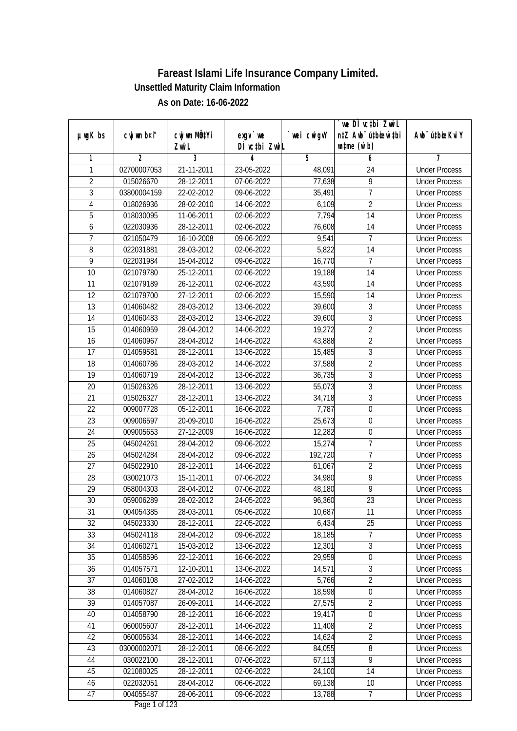|                 |                |                           |                  |             | `we DÌ vc‡bi Zwwi∟               |                             |
|-----------------|----------------|---------------------------|------------------|-------------|----------------------------------|-----------------------------|
| $µ$ ug $K$ bs   | cwj wm b¤i^    | cwj wm MQ <sup>1</sup> Yi | $exgV$ we        | `wei cwigvY | n‡Z Awb <sup>-</sup> ú‡bioen`‡bi | Awb <sup>-</sup> ú‡bioeKviY |
|                 |                | Zwi L                     | DÌ vctbi ZwiL    |             | $\n  untime\n  (u`b)\n$          |                             |
| 1               | $\overline{2}$ | $\overline{3}$            | 4                | 5           | 6                                | 7                           |
| 1               | 02700007053    | 21-11-2011                | 23-05-2022       | 48,091      | 24                               | <b>Under Process</b>        |
| $\overline{2}$  | 015026670      | 28-12-2011                | 07-06-2022       | 77,638      | $\overline{9}$                   | <b>Under Process</b>        |
| $\overline{3}$  | 03800004159    | 22-02-2012                | $09 - 06 - 2022$ | 35,491      | $\overline{7}$                   | <b>Under Process</b>        |
| 4               | 018026936      | 28-02-2010                | 14-06-2022       | 6,109       | $\overline{2}$                   | <b>Under Process</b>        |
| 5               | 018030095      | 11-06-2011                | 02-06-2022       | 7,794       | $\overline{14}$                  | <b>Under Process</b>        |
| 6               | 022030936      | 28-12-2011                | 02-06-2022       | 76,608      | $\overline{14}$                  | <b>Under Process</b>        |
| 7               | 021050479      | 16-10-2008                | 09-06-2022       | 9,541       | 7                                | <b>Under Process</b>        |
| 8               | 022031881      | 28-03-2012                | 02-06-2022       | 5,822       | $\overline{14}$                  | <b>Under Process</b>        |
| 9               | 022031984      | 15-04-2012                | 09-06-2022       | 16,770      | $\overline{7}$                   | <b>Under Process</b>        |
| 10              | 021079780      | 25-12-2011                | 02-06-2022       | 19,188      | $\overline{14}$                  | <b>Under Process</b>        |
| $\overline{11}$ | 021079189      | 26-12-2011                | 02-06-2022       | 43,590      | $\overline{14}$                  | <b>Under Process</b>        |
| 12              | 021079700      | 27-12-2011                | 02-06-2022       | 15,590      | 14                               | <b>Under Process</b>        |
| 13              | 014060482      | 28-03-2012                | 13-06-2022       | 39,600      | $\overline{3}$                   | <b>Under Process</b>        |
| 14              | 014060483      | 28-03-2012                | 13-06-2022       | 39,600      | $\overline{3}$                   | <b>Under Process</b>        |
| 15              | 014060959      | 28-04-2012                | 14-06-2022       | 19,272      | $\overline{2}$                   | <b>Under Process</b>        |
| 16              | 014060967      | 28-04-2012                | 14-06-2022       | 43,888      | $\overline{2}$                   | <b>Under Process</b>        |
| 17              | 014059581      | 28-12-2011                | 13-06-2022       | 15,485      | 3                                | <b>Under Process</b>        |
| 18              | 014060786      | 28-03-2012                | 14-06-2022       | 37,588      | $\overline{2}$                   | <b>Under Process</b>        |
| 19              | 014060719      | 28-04-2012                | 13-06-2022       | 36,735      | $\mathfrak{Z}$                   | <b>Under Process</b>        |
| 20              | 015026326      | 28-12-2011                | 13-06-2022       | 55,073      | $\overline{3}$                   | <b>Under Process</b>        |
| 21              | 015026327      | 28-12-2011                | 13-06-2022       | 34,718      | 3                                | <b>Under Process</b>        |
| 22              | 009007728      | 05-12-2011                | 16-06-2022       | 7,787       | $\mathbf 0$                      | <b>Under Process</b>        |
| 23              | 009006597      | 20-09-2010                | 16-06-2022       | 25,673      | $\overline{0}$                   | <b>Under Process</b>        |
| 24              | 009005653      | 27-12-2009                | 16-06-2022       | 12,282      | 0                                | <b>Under Process</b>        |
| 25              | 045024261      | 28-04-2012                | 09-06-2022       | 15,274      | 7                                | <b>Under Process</b>        |
| 26              | 045024284      | 28-04-2012                | 09-06-2022       | 192,720     | $\overline{1}$                   | <b>Under Process</b>        |
| 27              | 045022910      | 28-12-2011                | 14-06-2022       | 61,067      | $\overline{2}$                   | <b>Under Process</b>        |
| 28              | 030021073      | 15-11-2011                | 07-06-2022       | 34,980      | $\overline{9}$                   | <b>Under Process</b>        |
| 29              | 058004303      | 28-04-2012                | 07-06-2022       | 48,180      | $\overline{9}$                   | <b>Under Process</b>        |
| 30              | 059006289      | 28-02-2012                | 24-05-2022       | 96,360      | 23                               | <b>Under Process</b>        |
| 31              | 004054385      | 28-03-2011                | 05-06-2022       | 10,687      | 11                               | <b>Under Process</b>        |
| 32              | 045023330      | 28-12-2011                | 22-05-2022       | 6,434       | 25                               | <b>Under Process</b>        |
| 33              | 045024118      | 28-04-2012                | 09-06-2022       | 18,185      | 7                                | <b>Under Process</b>        |
| 34              | 014060271      | 15-03-2012                | 13-06-2022       | 12,301      | $\overline{3}$                   | <b>Under Process</b>        |
| 35              | 014058596      | 22-12-2011                | 16-06-2022       | 29,959      | 0                                | <b>Under Process</b>        |
| 36              | 014057571      | 12-10-2011                | 13-06-2022       | 14,571      | 3                                | <b>Under Process</b>        |
| 37              | 014060108      | 27-02-2012                | 14-06-2022       | 5,766       | $\overline{2}$                   | <b>Under Process</b>        |
| 38              | 014060827      | 28-04-2012                | 16-06-2022       | 18,598      | $\pmb{0}$                        | <b>Under Process</b>        |
| 39              | 014057087      | 26-09-2011                | 14-06-2022       | 27,575      | $\overline{2}$                   | <b>Under Process</b>        |
| 40              | 014058790      | 28-12-2011                | 16-06-2022       | 19,417      | $\pmb{0}$                        | <b>Under Process</b>        |
| 41              | 060005607      | 28-12-2011                | 14-06-2022       | 11,408      | $\overline{2}$                   | <b>Under Process</b>        |
| 42              | 060005634      | 28-12-2011                | 14-06-2022       | 14,624      | $\overline{2}$                   | <b>Under Process</b>        |
| 43              | 03000002071    | 28-12-2011                | 08-06-2022       | 84,055      | 8                                | <b>Under Process</b>        |
| 44              | 030022100      | 28-12-2011                | 07-06-2022       | 67,113      | $\overline{9}$                   | <b>Under Process</b>        |
| 45              | 021080025      | 28-12-2011                | 02-06-2022       | 24,100      | $\overline{14}$                  | <b>Under Process</b>        |
| 46              | 022032051      | 28-04-2012                | 06-06-2022       | 69,138      | 10                               | <b>Under Process</b>        |
| 47              | 004055487      | 28-06-2011                | 09-06-2022       | 13,788      | $\overline{7}$                   | <b>Under Process</b>        |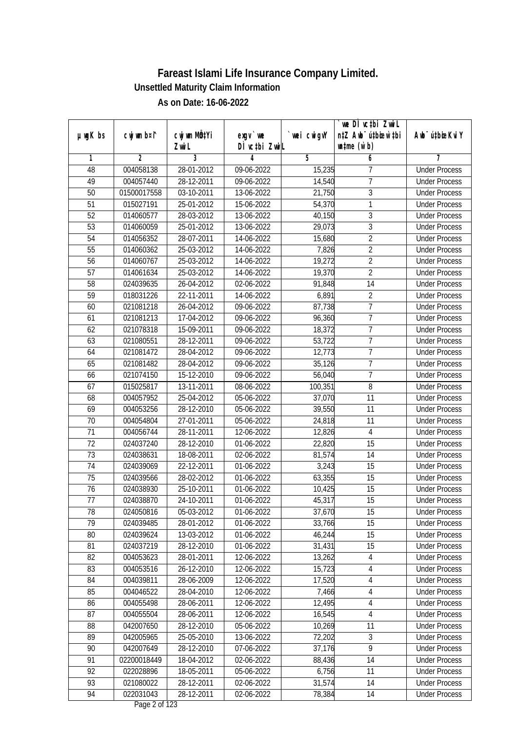|                 |                |              |               |             | we DI vctbi ZwiL                 |                             |
|-----------------|----------------|--------------|---------------|-------------|----------------------------------|-----------------------------|
| $µ$ ug $K$ bs   | cwj wm b¤i^    | cwj wm MQtYi | $exgV$ we     | `wei cwigvY | n‡Z Awb <sup>-</sup> ú‡bicen`‡bi | Awb <sup>-</sup> ú‡bioeKviY |
|                 |                | Zwi L        | DÌ vctbi ZwiL |             | $\n  untime\n  (u`b)\n$          |                             |
| 1               | $\overline{2}$ | 3            | 4             | 5           | 6                                | 7                           |
| 48              | 004058138      | 28-01-2012   | 09-06-2022    | 15,235      | 7                                | <b>Under Process</b>        |
| 49              | 004057440      | 28-12-2011   | 09-06-2022    | 14,540      | $\overline{7}$                   | <b>Under Process</b>        |
| 50              | 01500017558    | 03-10-2011   | 13-06-2022    | 21,750      | $\overline{3}$                   | <b>Under Process</b>        |
| 51              | 015027191      | 25-01-2012   | 15-06-2022    | 54,370      | 1                                | <b>Under Process</b>        |
| 52              | 014060577      | 28-03-2012   | 13-06-2022    | 40,150      | $\overline{3}$                   | <b>Under Process</b>        |
| 53              | 014060059      | 25-01-2012   | 13-06-2022    | 29,073      | 3                                | <b>Under Process</b>        |
| 54              | 014056352      | 28-07-2011   | 14-06-2022    | 15,680      | $\overline{2}$                   | <b>Under Process</b>        |
| 55              | 014060362      | 25-03-2012   | 14-06-2022    | 7,826       | $\overline{2}$                   | <b>Under Process</b>        |
| $\overline{56}$ | 014060767      | 25-03-2012   | 14-06-2022    | 19,272      | $\overline{2}$                   | <b>Under Process</b>        |
| 57              | 014061634      | 25-03-2012   | 14-06-2022    | 19,370      | $\overline{2}$                   | <b>Under Process</b>        |
| 58              | 024039635      | 26-04-2012   | 02-06-2022    | 91,848      | $\overline{14}$                  | <b>Under Process</b>        |
| 59              | 018031226      | 22-11-2011   | 14-06-2022    | 6,891       | $\overline{2}$                   | <b>Under Process</b>        |
| 60              | 021081218      | 26-04-2012   | 09-06-2022    | 87,738      | 7                                | <b>Under Process</b>        |
| 61              | 021081213      | 17-04-2012   | 09-06-2022    | 96,360      | $\overline{7}$                   | <b>Under Process</b>        |
| 62              | 021078318      | 15-09-2011   | 09-06-2022    | 18,372      | $\overline{1}$                   | <b>Under Process</b>        |
| 63              | 021080551      | 28-12-2011   | 09-06-2022    | 53,722      | 7                                | <b>Under Process</b>        |
| 64              | 021081472      | 28-04-2012   | 09-06-2022    | 12,773      | $\overline{1}$                   | <b>Under Process</b>        |
| 65              | 021081482      | 28-04-2012   | 09-06-2022    | 35,126      | $\overline{7}$                   | <b>Under Process</b>        |
| 66              | 021074150      | 15-12-2010   | 09-06-2022    | 56,040      | $\overline{7}$                   | <b>Under Process</b>        |
| 67              | 015025817      | 13-11-2011   | 08-06-2022    | 100,351     | 8                                | <b>Under Process</b>        |
| 68              | 004057952      | 25-04-2012   | 05-06-2022    | 37,070      | 11                               | <b>Under Process</b>        |
| 69              | 004053256      | 28-12-2010   | 05-06-2022    | 39,550      | 11                               | <b>Under Process</b>        |
| 70              | 004054804      | 27-01-2011   | 05-06-2022    | 24,818      | 11                               | <b>Under Process</b>        |
| 71              | 004056744      | 28-11-2011   | 12-06-2022    | 12,826      | $\overline{4}$                   | <b>Under Process</b>        |
| 72              | 024037240      | 28-12-2010   | 01-06-2022    | 22,820      | 15                               | <b>Under Process</b>        |
| 73              | 024038631      | 18-08-2011   | 02-06-2022    | 81,574      | 14                               | <b>Under Process</b>        |
| 74              | 024039069      | 22-12-2011   | 01-06-2022    | 3,243       | 15                               | <b>Under Process</b>        |
| 75              | 024039566      | 28-02-2012   | 01-06-2022    | 63,355      | 15                               | <b>Under Process</b>        |
| 76              | 024038930      | 25-10-2011   | 01-06-2022    | 10,425      | 15                               | <b>Under Process</b>        |
| 77              | 024038870      | 24-10-2011   | 01-06-2022    | 45,317      | 15                               | <b>Under Process</b>        |
| 78              | 024050816      | 05-03-2012   | 01-06-2022    | 37,670      | 15                               | <b>Under Process</b>        |
| 79              | 024039485      | 28-01-2012   | 01-06-2022    | 33,766      | 15                               | <b>Under Process</b>        |
| 80              | 024039624      | 13-03-2012   | 01-06-2022    | 46,244      | 15                               | <b>Under Process</b>        |
| 81              | 024037219      | 28-12-2010   | 01-06-2022    | 31,431      | 15                               | <b>Under Process</b>        |
| 82              | 004053623      | 28-01-2011   | 12-06-2022    | 13,262      | $\overline{4}$                   | <b>Under Process</b>        |
| 83              | 004053516      | 26-12-2010   | 12-06-2022    | 15,723      | 4                                | <b>Under Process</b>        |
| 84              | 004039811      | 28-06-2009   | 12-06-2022    | 17,520      | $\sqrt{4}$                       | <b>Under Process</b>        |
| 85              | 004046522      | 28-04-2010   | 12-06-2022    | 7,466       | $\sqrt{4}$                       | <b>Under Process</b>        |
| 86              | 004055498      | 28-06-2011   | 12-06-2022    | 12,495      | $\sqrt{4}$                       | <b>Under Process</b>        |
| 87              | 004055504      | 28-06-2011   | 12-06-2022    | 16,545      | $\sqrt{4}$                       | <b>Under Process</b>        |
| 88              | 042007650      | 28-12-2010   | 05-06-2022    | 10,269      | 11                               | <b>Under Process</b>        |
| 89              | 042005965      | 25-05-2010   | 13-06-2022    | 72,202      | 3                                | <b>Under Process</b>        |
| 90              | 042007649      | 28-12-2010   | 07-06-2022    | 37,176      | $\overline{9}$                   | <b>Under Process</b>        |
| 91              | 02200018449    | 18-04-2012   | 02-06-2022    | 88,436      | 14                               | <b>Under Process</b>        |
| 92              | 022028896      | 18-05-2011   | 05-06-2022    | 6,756       | 11                               | <b>Under Process</b>        |
| 93              | 021080022      | 28-12-2011   | 02-06-2022    | 31,574      | 14                               | <b>Under Process</b>        |
| 94              | 022031043      | 28-12-2011   | 02-06-2022    | 78,384      | 14                               | <b>Under Process</b>        |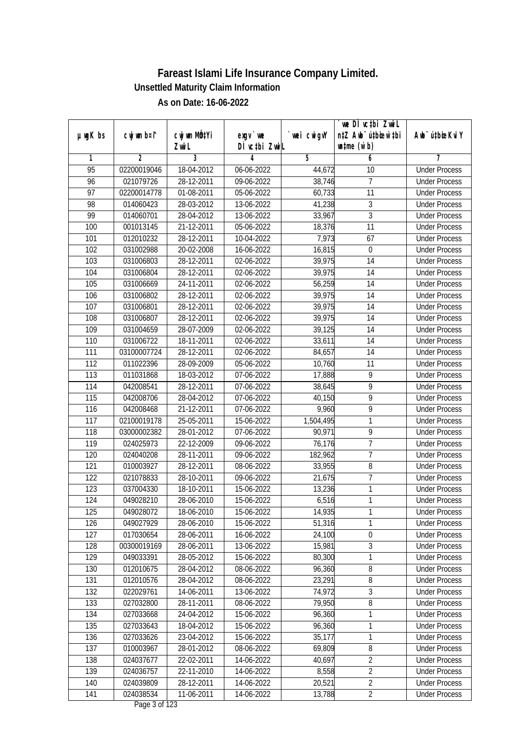|                 |             |                           |               |             | we DI vctbi ZwiL                 |                             |
|-----------------|-------------|---------------------------|---------------|-------------|----------------------------------|-----------------------------|
| $µ$ ug $K$ bs   | cwj wm b¤i^ | cwj wm MQ <sup>1</sup> Yi | $exgV$ we     | `wei cwigvY | n‡Z Awb <sup>-</sup> ú‡bioar`‡bi | Awb <sup>-</sup> ú‡bioeKviY |
|                 |             | Zwi L                     | DÌ vctbi ZwiL |             | $\n  untime\n  (u`b)\n$          |                             |
| 1               | 2           | 3                         | 4             | 5           | 6                                | 7                           |
| $\overline{95}$ | 02200019046 | 18-04-2012                | 06-06-2022    | 44,672      | 10                               | <b>Under Process</b>        |
| 96              | 021079726   | 28-12-2011                | 09-06-2022    | 38,746      | 7                                | <b>Under Process</b>        |
| $\overline{97}$ | 02200014778 | 01-08-2011                | 05-06-2022    | 60,733      | 11                               | <b>Under Process</b>        |
| 98              | 014060423   | 28-03-2012                | 13-06-2022    | 41,238      | 3                                | <b>Under Process</b>        |
| 99              | 014060701   | 28-04-2012                | 13-06-2022    | 33,967      | $\overline{3}$                   | <b>Under Process</b>        |
| 100             | 001013145   | 21-12-2011                | 05-06-2022    | 18,376      | $\overline{11}$                  | <b>Under Process</b>        |
| 101             | 012010232   | 28-12-2011                | 10-04-2022    | 7,973       | 67                               | <b>Under Process</b>        |
| 102             | 031002988   | 20-02-2008                | 16-06-2022    | 16,815      | $\boldsymbol{0}$                 | <b>Under Process</b>        |
| 103             | 031006803   | 28-12-2011                | 02-06-2022    | 39,975      | 14                               | <b>Under Process</b>        |
| 104             | 031006804   | 28-12-2011                | 02-06-2022    | 39,975      | 14                               | <b>Under Process</b>        |
| 105             | 031006669   | 24-11-2011                | 02-06-2022    | 56,259      | $\overline{14}$                  | <b>Under Process</b>        |
| 106             | 031006802   | 28-12-2011                | 02-06-2022    | 39,975      | 14                               | <b>Under Process</b>        |
| 107             | 031006801   | 28-12-2011                | 02-06-2022    | 39,975      | $\overline{14}$                  | <b>Under Process</b>        |
| 108             | 031006807   | 28-12-2011                | 02-06-2022    | 39,975      | 14                               | <b>Under Process</b>        |
| 109             | 031004659   | 28-07-2009                | 02-06-2022    | 39,125      | 14                               | <b>Under Process</b>        |
| 110             | 031006722   | 18-11-2011                | 02-06-2022    | 33,611      | 14                               | <b>Under Process</b>        |
| 111             | 03100007724 | 28-12-2011                | 02-06-2022    | 84,657      | 14                               | <b>Under Process</b>        |
| 112             | 011022396   | 28-09-2009                | 05-06-2022    | 10,760      | 11                               | <b>Under Process</b>        |
| 113             | 011031868   | 18-03-2012                | 07-06-2022    | 17,888      | 9                                | <b>Under Process</b>        |
| 114             | 042008541   | 28-12-2011                | 07-06-2022    | 38,645      | 9                                | <b>Under Process</b>        |
| 115             | 042008706   | 28-04-2012                | 07-06-2022    | 40,150      | 9                                | <b>Under Process</b>        |
| 116             | 042008468   | $\overline{21}$ -12-2011  | 07-06-2022    | 9,960       | 9                                | <b>Under Process</b>        |
| 117             | 02100019178 | 25-05-2011                | 15-06-2022    | 1,504,495   | 1                                | <b>Under Process</b>        |
| 118             | 03000002382 | 28-01-2012                | 07-06-2022    | 90,971      | 9                                | <b>Under Process</b>        |
| 119             | 024025973   | 22-12-2009                | 09-06-2022    | 76,176      | $\overline{7}$                   | <b>Under Process</b>        |
| 120             | 024040208   | 28-11-2011                | 09-06-2022    | 182,962     | 7                                | <b>Under Process</b>        |
| 121             | 010003927   | 28-12-2011                | 08-06-2022    | 33,955      | 8                                | <b>Under Process</b>        |
| 122             | 021078833   | 28-10-2011                | 09-06-2022    | 21,675      | $\overline{7}$                   | <b>Under Process</b>        |
| 123             | 037004330   | 18-10-2011                | 15-06-2022    | 13,236      | 1                                | <b>Under Process</b>        |
| 124             | 049028210   | 28-06-2010                | 15-06-2022    | 6,516       | 1                                | <b>Under Process</b>        |
| 125             | 049028072   | 18-06-2010                | 15-06-2022    | 14,935      | 1                                | <b>Under Process</b>        |
| 126             | 049027929   | 28-06-2010                | 15-06-2022    | 51,316      | 1                                | <b>Under Process</b>        |
| 127             | 017030654   | 28-06-2011                | 16-06-2022    | 24,100      | $\boldsymbol{0}$                 | <b>Under Process</b>        |
| 128             | 00300019169 | 28-06-2011                | 13-06-2022    | 15,981      | $\overline{3}$                   | <b>Under Process</b>        |
| 129             | 049033391   | 28-05-2012                | 15-06-2022    | 80,300      | 1                                | <b>Under Process</b>        |
| 130             | 012010675   | 28-04-2012                | 08-06-2022    | 96,360      | 8                                | <b>Under Process</b>        |
| 131             | 012010576   | 28-04-2012                | 08-06-2022    | 23,291      | 8                                | <b>Under Process</b>        |
| 132             | 022029761   | 14-06-2011                | 13-06-2022    | 74,972      | $\overline{3}$                   | <b>Under Process</b>        |
| 133             | 027032800   | 28-11-2011                | 08-06-2022    | 79,950      | $\overline{8}$                   | <b>Under Process</b>        |
| 134             | 027033668   | 24-04-2012                | 15-06-2022    | 96,360      | 1                                | <b>Under Process</b>        |
| 135             | 027033643   | 18-04-2012                | 15-06-2022    | 96,360      | 1                                | <b>Under Process</b>        |
| 136             | 027033626   | 23-04-2012                | 15-06-2022    | 35,177      | 1                                | <b>Under Process</b>        |
| 137             | 010003967   | 28-01-2012                | 08-06-2022    | 69,809      | 8                                | <b>Under Process</b>        |
| 138             | 024037677   | 22-02-2011                | 14-06-2022    | 40,697      | $\overline{2}$                   | <b>Under Process</b>        |
| 139             | 024036757   | 22-11-2010                | 14-06-2022    | 8,558       | $\overline{2}$                   | <b>Under Process</b>        |
| 140             | 024039809   | 28-12-2011                | 14-06-2022    | 20,521      | $\overline{2}$                   | <b>Under Process</b>        |
| 141             | 024038534   | 11-06-2011                | 14-06-2022    | 13,788      | $\overline{2}$                   | <b>Under Process</b>        |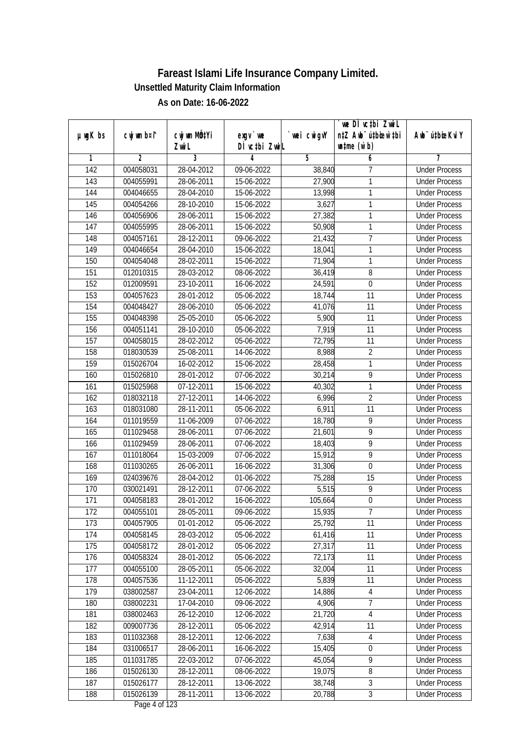|                  |                |                           |                          |             | `we DÌ vc‡bi Zwwi∟               |                             |
|------------------|----------------|---------------------------|--------------------------|-------------|----------------------------------|-----------------------------|
| $µ$ ug $K$ bs    | cwj wm b¤i^    | cwj wm MQ <sup>1</sup> Yi | $exgV$ we                | `wei cwigvY | n‡Z Awb <sup>-</sup> ú‡bioen`‡bi | Awb <sup>-</sup> ú‡bioeKviY |
|                  |                | Zwi L                     | DÌ vctbi ZwiL            |             | $\n  untime\n  (u`b)\n$          |                             |
| 1                | $\overline{2}$ | $\overline{3}$            | 4                        | 5           | 6                                | 7                           |
| $\overline{142}$ | 004058031      | 28-04-2012                | 09-06-2022               | 38,840      | 7                                | <b>Under Process</b>        |
| 143              | 004055991      | 28-06-2011                | 15-06-2022               | 27,900      | 1                                | <b>Under Process</b>        |
| 144              | 004046655      | 28-04-2010                | 15-06-2022               | 13,998      | 1                                | <b>Under Process</b>        |
| 145              | 004054266      | 28-10-2010                | 15-06-2022               | 3,627       | 1                                | <b>Under Process</b>        |
| 146              | 004056906      | 28-06-2011                | 15-06-2022               | 27,382      | 1                                | <b>Under Process</b>        |
| $\overline{147}$ | 004055995      | 28-06-2011                | 15-06-2022               | 50,908      | 1                                | <b>Under Process</b>        |
| 148              | 004057161      | 28-12-2011                | 09-06-2022               | 21,432      | 7                                | <b>Under Process</b>        |
| 149              | 004046654      | 28-04-2010                | 15-06-2022               | 18,041      | 1                                | <b>Under Process</b>        |
| 150              | 004054048      | 28-02-2011                | 15-06-2022               | 71,904      | 1                                | <b>Under Process</b>        |
| 151              | 012010315      | 28-03-2012                | 08-06-2022               | 36,419      | 8                                | <b>Under Process</b>        |
| 152              | 012009591      | 23-10-2011                | 16-06-2022               | 24,591      | 0                                | <b>Under Process</b>        |
| 153              | 004057623      | 28-01-2012                | 05-06-2022               | 18,744      | 11                               | <b>Under Process</b>        |
| 154              | 004048427      | 28-06-2010                | 05-06-2022               | 41,076      | 11                               | <b>Under Process</b>        |
| 155              | 004048398      | 25-05-2010                | 05-06-2022               | 5,900       | 11                               | <b>Under Process</b>        |
| 156              | 004051141      | 28-10-2010                | 05-06-2022               | 7,919       | 11                               | <b>Under Process</b>        |
| 157              | 004058015      | 28-02-2012                | $\overline{05}$ -06-2022 | 72,795      | 11                               | <b>Under Process</b>        |
| 158              | 018030539      | 25-08-2011                | 14-06-2022               | 8,988       | $\overline{2}$                   | <b>Under Process</b>        |
| 159              | 015026704      | 16-02-2012                | 15-06-2022               | 28,458      | 1                                | <b>Under Process</b>        |
| 160              | 015026810      | 28-01-2012                | 07-06-2022               | 30,214      | 9                                | <b>Under Process</b>        |
| 161              | 015025968      | 07-12-2011                | 15-06-2022               | 40,302      | 1                                | <b>Under Process</b>        |
| 162              | 018032118      | 27-12-2011                | 14-06-2022               | 6,996       | $\overline{2}$                   | <b>Under Process</b>        |
| 163              | 018031080      | 28-11-2011                | 05-06-2022               | 6,911       | 11                               | <b>Under Process</b>        |
| 164              | 011019559      | 11-06-2009                | 07-06-2022               | 18,780      | 9                                | <b>Under Process</b>        |
| 165              | 011029458      | 28-06-2011                | 07-06-2022               | 21,601      | 9                                | <b>Under Process</b>        |
| 166              | 011029459      | 28-06-2011                | 07-06-2022               | 18,403      | 9                                | <b>Under Process</b>        |
| 167              | 011018064      | 15-03-2009                | 07-06-2022               | 15,912      | 9                                | <b>Under Process</b>        |
| 168              | 011030265      | 26-06-2011                | 16-06-2022               | 31,306      | $\mathbf{0}$                     | <b>Under Process</b>        |
| 169              | 024039676      | 28-04-2012                | 01-06-2022               | 75,288      | 15                               | <b>Under Process</b>        |
| 170              | 030021491      | 28-12-2011                | 07-06-2022               | 5,515       | 9                                | <b>Under Process</b>        |
| 171              | 004058183      | 28-01-2012                | 16-06-2022               | 105,664     | $\boldsymbol{0}$                 | <b>Under Process</b>        |
| 172              | 004055101      | 28-05-2011                | 09-06-2022               | 15,935      | 7                                | <b>Under Process</b>        |
| 173              | 004057905      | 01-01-2012                | 05-06-2022               | 25,792      | 11                               | <b>Under Process</b>        |
| 174              | 004058145      | 28-03-2012                | 05-06-2022               | 61,416      | 11                               | <b>Under Process</b>        |
| 175              | 004058172      | 28-01-2012                | 05-06-2022               | 27,317      | 11                               | <b>Under Process</b>        |
| 176              | 004058324      | 28-01-2012                | 05-06-2022               | 72,173      | 11                               | <b>Under Process</b>        |
| 177              | 004055100      | 28-05-2011                | 05-06-2022               | 32,004      | 11                               | <b>Under Process</b>        |
| 178              | 004057536      | 11-12-2011                | 05-06-2022               | 5,839       | 11                               | <b>Under Process</b>        |
| 179              | 038002587      | 23-04-2011                | 12-06-2022               | 14,886      | 4                                | <b>Under Process</b>        |
| 180              | 038002231      | 17-04-2010                | 09-06-2022               | 4,906       | $\overline{7}$                   | <b>Under Process</b>        |
| 181              | 038002463      | 26-12-2010                | 12-06-2022               | 21,720      | 4                                | <b>Under Process</b>        |
| 182              | 009007736      | 28-12-2011                | 05-06-2022               | 42,914      | 11                               | <b>Under Process</b>        |
| 183              | 011032368      | 28-12-2011                | 12-06-2022               | 7,638       | $\overline{4}$                   | <b>Under Process</b>        |
| 184              | 031006517      | 28-06-2011                | 16-06-2022               | 15,405      | 0                                | <b>Under Process</b>        |
| 185              | 011031785      | 22-03-2012                | 07-06-2022               | 45,054      | $\overline{9}$                   | <b>Under Process</b>        |
| 186              | 015026130      | 28-12-2011                | 08-06-2022               | 19,075      | $\overline{8}$                   | <b>Under Process</b>        |
| 187              | 015026177      | 28-12-2011                | 13-06-2022               | 38,748      | $\mathfrak{Z}$                   | <b>Under Process</b>        |
| 188              | 015026139      | 28-11-2011                | 13-06-2022               | 20,788      | $\overline{3}$                   | <b>Under Process</b>        |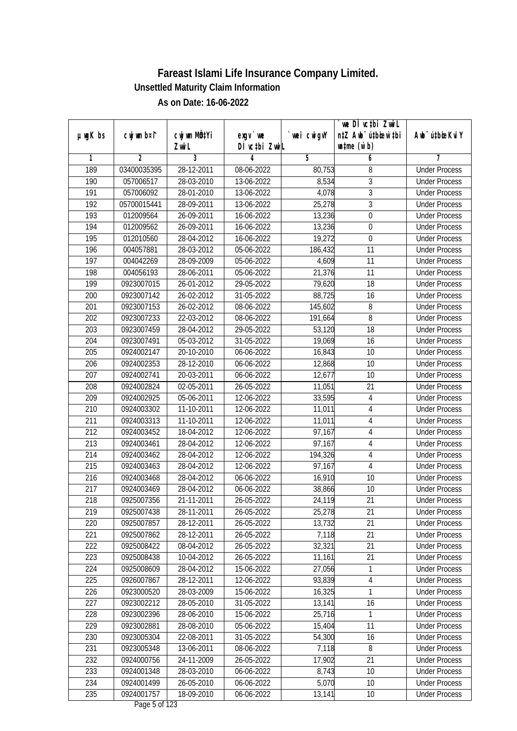|                  |                |                          |               |             | we DI vctbi ZwiL                 |                             |
|------------------|----------------|--------------------------|---------------|-------------|----------------------------------|-----------------------------|
| $µ$ ug $K$ bs    | cwj wm b¤i^    | cwj wm MQtYi             | $exgV$ we     | `wei cwigvY | n‡Z Awb <sup>-</sup> ú‡bioar`‡bi | Awb <sup>-</sup> ú‡bioeKviY |
|                  |                | Zwi L                    | DÌ vctbi ZwiL |             | $\n  untime\n  (u`b)\n$          |                             |
| 1                | $\overline{2}$ | 3                        | 4             | 5           | 6                                | 7                           |
| 189              | 03400035395    | 28-12-2011               | 08-06-2022    | 80,753      | 8                                | <b>Under Process</b>        |
| 190              | 057006517      | 28-03-2010               | 13-06-2022    | 8,534       | 3                                | <b>Under Process</b>        |
| 191              | 057006092      | 28-01-2010               | 13-06-2022    | 4,078       | $\overline{3}$                   | <b>Under Process</b>        |
| 192              | 05700015441    | 28-09-2011               | 13-06-2022    | 25,278      | $\overline{3}$                   | <b>Under Process</b>        |
| 193              | 012009564      | 26-09-2011               | 16-06-2022    | 13,236      | $\overline{0}$                   | <b>Under Process</b>        |
| 194              | 012009562      | 26-09-2011               | 16-06-2022    | 13,236      | $\boldsymbol{0}$                 | <b>Under Process</b>        |
| 195              | 012010560      | 28-04-2012               | 16-06-2022    | 19,272      | $\pmb{0}$                        | <b>Under Process</b>        |
| 196              | 004057881      | 28-03-2012               | 05-06-2022    | 186,432     | 11                               | <b>Under Process</b>        |
| $\overline{197}$ | 004042269      | 28-09-2009               | 05-06-2022    | 4,609       | 11                               | <b>Under Process</b>        |
| 198              | 004056193      | 28-06-2011               | 05-06-2022    | 21,376      | 11                               | <b>Under Process</b>        |
| 199              | 0923007015     | 26-01-2012               | 29-05-2022    | 79,620      | $\overline{18}$                  | <b>Under Process</b>        |
| 200              | 0923007142     | 26-02-2012               | 31-05-2022    | 88,725      | 16                               | <b>Under Process</b>        |
| 201              | 0923007153     | 26-02-2012               | 08-06-2022    | 145,602     | 8                                | <b>Under Process</b>        |
| 202              | 0923007233     | 22-03-2012               | 08-06-2022    | 191,664     | 8                                | <b>Under Process</b>        |
| 203              | 0923007459     | 28-04-2012               | 29-05-2022    | 53,120      | 18                               | <b>Under Process</b>        |
| 204              | 0923007491     | 05-03-2012               | 31-05-2022    | 19,069      | 16                               | <b>Under Process</b>        |
| 205              | 0924002147     | 20-10-2010               | 06-06-2022    | 16,843      | 10                               | <b>Under Process</b>        |
| 206              | 0924002353     | 28-12-2010               | 06-06-2022    | 12,868      | 10                               | <b>Under Process</b>        |
| 207              | 0924002741     | 20-03-2011               | 06-06-2022    | 12,677      | 10                               | <b>Under Process</b>        |
| 208              | 0924002824     | 02-05-2011               | 26-05-2022    | 11,051      | 21                               | <b>Under Process</b>        |
| 209              | 0924002925     | 05-06-2011               | 12-06-2022    | 33,595      | $\overline{4}$                   | <b>Under Process</b>        |
| 210              | 0924003302     | 11-10-2011               | 12-06-2022    | 11,011      | 4                                | <b>Under Process</b>        |
| 211              | 0924003313     | $\overline{11}$ -10-2011 | 12-06-2022    | 11,011      | $\overline{4}$                   | <b>Under Process</b>        |
| 212              | 0924003452     | 18-04-2012               | 12-06-2022    | 97,167      | $\overline{4}$                   | <b>Under Process</b>        |
| 213              | 0924003461     | 28-04-2012               | 12-06-2022    | 97,167      | $\sqrt{4}$                       | <b>Under Process</b>        |
| 214              | 0924003462     | 28-04-2012               | 12-06-2022    | 194,326     | 4                                | <b>Under Process</b>        |
| 215              | 0924003463     | 28-04-2012               | 12-06-2022    | 97,167      | 4                                | <b>Under Process</b>        |
| 216              | 0924003468     | 28-04-2012               | 06-06-2022    | 16,910      | 10                               | <b>Under Process</b>        |
| 217              | 0924003469     | 28-04-2012               | 06-06-2022    | 38,866      | 10                               | <b>Under Process</b>        |
| 218              | 0925007356     | 21-11-2011               | 26-05-2022    | 24,119      | 21                               | <b>Under Process</b>        |
| 219              | 0925007438     | 28-11-2011               | 26-05-2022    | 25,278      | 21                               | <b>Under Process</b>        |
| 220              | 0925007857     | 28-12-2011               | 26-05-2022    | 13,732      | 21                               | <b>Under Process</b>        |
| 221              | 0925007862     | 28-12-2011               | 26-05-2022    | 7,118       | 21                               | <b>Under Process</b>        |
| 222              | 0925008422     | 08-04-2012               | 26-05-2022    | 32,321      | 21                               | <b>Under Process</b>        |
| 223              | 0925008438     | 10-04-2012               | 26-05-2022    | 11,161      | 21                               | <b>Under Process</b>        |
| 224              | 0925008609     | 28-04-2012               | 15-06-2022    | 27,056      | 1                                | <b>Under Process</b>        |
| 225              | 0926007867     | 28-12-2011               | 12-06-2022    | 93,839      | $\sqrt{4}$                       | <b>Under Process</b>        |
| 226              | 0923000520     | 28-03-2009               | 15-06-2022    | 16,325      | 1                                | <b>Under Process</b>        |
| 227              | 0923002212     | 28-05-2010               | 31-05-2022    | 13,141      | 16                               | <b>Under Process</b>        |
| 228              | 0923002396     | 28-06-2010               | 15-06-2022    | 25,716      | 1                                | <b>Under Process</b>        |
| 229              | 0923002881     | 28-08-2010               | 05-06-2022    | 15,404      | 11                               | <b>Under Process</b>        |
| 230              | 0923005304     | 22-08-2011               | 31-05-2022    | 54,300      | 16                               | <b>Under Process</b>        |
| 231              | 0923005348     | 13-06-2011               | 08-06-2022    | 7,118       | 8                                | <b>Under Process</b>        |
| 232              | 0924000756     | 24-11-2009               | 26-05-2022    | 17,902      | 21                               | <b>Under Process</b>        |
| 233              | 0924001348     | 28-03-2010               | 06-06-2022    | 8,743       | 10                               | <b>Under Process</b>        |
| 234              | 0924001499     | 26-05-2010               | 06-06-2022    | 5,070       | 10                               | <b>Under Process</b>        |
| 235              | 0924001757     | 18-09-2010               | 06-06-2022    | 13,141      | 10                               | <b>Under Process</b>        |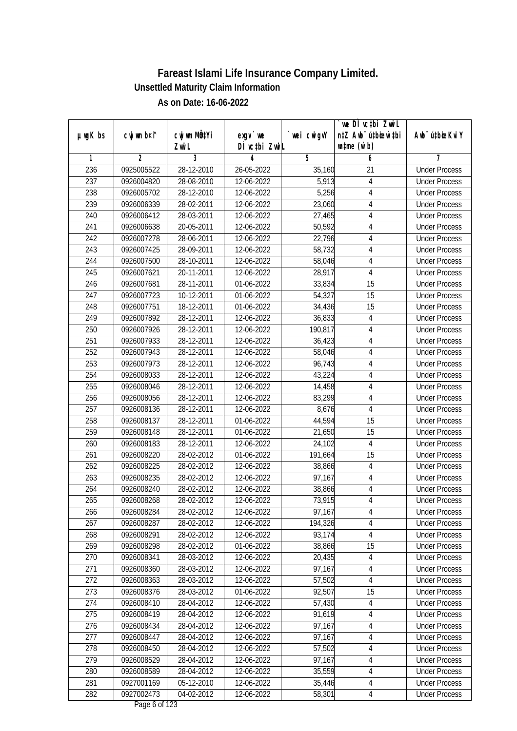|                  |                |              |                  |                | we DI vctbi ZwiL                 |                             |
|------------------|----------------|--------------|------------------|----------------|----------------------------------|-----------------------------|
| $µ$ ug $K$ bs    | cwj wm b¤i^    | cwj wm MQtYi | exgy `we         | `wei cwigvY    | n‡Z Awb <sup>-</sup> ú‡bioar`‡bi | Awb <sup>-</sup> ú‡bioeKviY |
|                  |                | Zwi L        | DÌ vctbi ZwiL    |                | $\n  untime\n  (u`b)\n$          |                             |
| 1                | $\overline{2}$ | 3            | 4                | $\overline{5}$ | 6                                | 7                           |
| 236              | 0925005522     | 28-12-2010   | 26-05-2022       | 35,160         | $\overline{21}$                  | <b>Under Process</b>        |
| 237              | 0926004820     | 28-08-2010   | 12-06-2022       | 5,913          | 4                                | <b>Under Process</b>        |
| 238              | 0926005702     | 28-12-2010   | 12-06-2022       | 5,256          | $\overline{4}$                   | <b>Under Process</b>        |
| 239              | 0926006339     | 28-02-2011   | 12-06-2022       | 23,060         | 4                                | <b>Under Process</b>        |
| 240              | 0926006412     | 28-03-2011   | 12-06-2022       | 27,465         | 4                                | <b>Under Process</b>        |
| 241              | 0926006638     | 20-05-2011   | 12-06-2022       | 50,592         | 4                                | <b>Under Process</b>        |
| $\overline{242}$ | 0926007278     | 28-06-2011   | 12-06-2022       | 22,796         | 4                                | <b>Under Process</b>        |
| 243              | 0926007425     | 28-09-2011   | 12-06-2022       | 58,732         | $\overline{4}$                   | <b>Under Process</b>        |
| 244              | 0926007500     | 28-10-2011   | 12-06-2022       | 58,046         | $\sqrt{4}$                       | <b>Under Process</b>        |
| 245              | 0926007621     | 20-11-2011   | 12-06-2022       | 28,917         | 4                                | <b>Under Process</b>        |
| 246              | 0926007681     | 28-11-2011   | 01-06-2022       | 33,834         | $\overline{15}$                  | <b>Under Process</b>        |
| 247              | 0926007723     | 10-12-2011   | 01-06-2022       | 54,327         | 15                               | <b>Under Process</b>        |
| 248              | 0926007751     | 18-12-2011   | 01-06-2022       | 34,436         | $\overline{15}$                  | <b>Under Process</b>        |
| 249              | 0926007892     | 28-12-2011   | 12-06-2022       | 36,833         | 4                                | <b>Under Process</b>        |
| 250              | 0926007926     | 28-12-2011   | 12-06-2022       | 190,817        | 4                                | <b>Under Process</b>        |
| 251              | 0926007933     | 28-12-2011   | 12-06-2022       | 36,423         | 4                                | <b>Under Process</b>        |
| 252              | 0926007943     | 28-12-2011   | 12-06-2022       | 58,046         | 4                                | <b>Under Process</b>        |
| 253              | 0926007973     | 28-12-2011   | 12-06-2022       | 96,743         | $\overline{4}$                   | <b>Under Process</b>        |
| 254              | 0926008033     | 28-12-2011   | 12-06-2022       | 43,224         | 4                                | <b>Under Process</b>        |
| 255              | 0926008046     | 28-12-2011   | 12-06-2022       | 14,458         | 4                                | <b>Under Process</b>        |
| 256              | 0926008056     | 28-12-2011   | 12-06-2022       | 83,299         | $\overline{4}$                   | <b>Under Process</b>        |
| 257              | 0926008136     | 28-12-2011   | 12-06-2022       | 8,676          | 4                                | <b>Under Process</b>        |
| 258              | 0926008137     | 28-12-2011   | 01-06-2022       | 44,594         | 15                               | <b>Under Process</b>        |
| 259              | 0926008148     | 28-12-2011   | 01-06-2022       | 21,650         | 15                               | <b>Under Process</b>        |
| 260              | 0926008183     | 28-12-2011   | 12-06-2022       | 24,102         | $\overline{4}$                   | <b>Under Process</b>        |
| 261              | 0926008220     | 28-02-2012   | 01-06-2022       | 191,664        | 15                               | <b>Under Process</b>        |
| 262              | 0926008225     | 28-02-2012   | 12-06-2022       | 38,866         | 4                                | <b>Under Process</b>        |
| 263              | 0926008235     | 28-02-2012   | 12-06-2022       | 97,167         | 4                                | <b>Under Process</b>        |
| 264              | 0926008240     | 28-02-2012   | 12-06-2022       | 38,866         | $\overline{4}$                   | <b>Under Process</b>        |
| 265              | 0926008268     | 28-02-2012   | 12-06-2022       | 73,915         | $\overline{4}$                   | <b>Under Process</b>        |
| 266              | 0926008284     | 28-02-2012   | 12-06-2022       | 97,167         | 4                                | <b>Under Process</b>        |
| 267              | 0926008287     | 28-02-2012   | 12-06-2022       | 194,326        | 4                                | <b>Under Process</b>        |
| 268              | 0926008291     | 28-02-2012   | 12-06-2022       | 93,174         | $\overline{4}$                   | <b>Under Process</b>        |
| 269              | 0926008298     | 28-02-2012   | 01-06-2022       | 38,866         | 15                               | <b>Under Process</b>        |
| 270              | 0926008341     | 28-03-2012   | 12-06-2022       | 20,435         | $\overline{4}$                   | <b>Under Process</b>        |
| 271              | 0926008360     | 28-03-2012   | 12-06-2022       | 97,167         | 4                                | <b>Under Process</b>        |
| 272              | 0926008363     | 28-03-2012   | 12-06-2022       | 57,502         | $\overline{4}$                   | <b>Under Process</b>        |
| 273              | 0926008376     | 28-03-2012   | 01-06-2022       | 92,507         | 15                               | <b>Under Process</b>        |
| 274              | 0926008410     | 28-04-2012   | 12-06-2022       | 57,430         | $\overline{4}$                   | <b>Under Process</b>        |
| 275              | 0926008419     | 28-04-2012   | 12-06-2022       | 91,619         | $\sqrt{4}$                       | <b>Under Process</b>        |
| 276              | 0926008434     | 28-04-2012   | 12-06-2022       | 97,167         | $\overline{4}$                   | <b>Under Process</b>        |
| 277              | 0926008447     | 28-04-2012   | 12-06-2022       | 97,167         | 4                                | <b>Under Process</b>        |
| 278              | 0926008450     | 28-04-2012   | $12 - 06 - 2022$ | 57,502         | 4                                | <b>Under Process</b>        |
| 279              | 0926008529     | 28-04-2012   | 12-06-2022       | 97,167         | 4                                | <b>Under Process</b>        |
| 280              | 0926008589     | 28-04-2012   | 12-06-2022       | 35,559         | $\overline{4}$                   | <b>Under Process</b>        |
| 281              | 0927001169     | 05-12-2010   | 12-06-2022       | 35,446         | $\overline{4}$                   | <b>Under Process</b>        |
| 282              | 0927002473     | 04-02-2012   | 12-06-2022       | 58,301         | 4                                | <b>Under Process</b>        |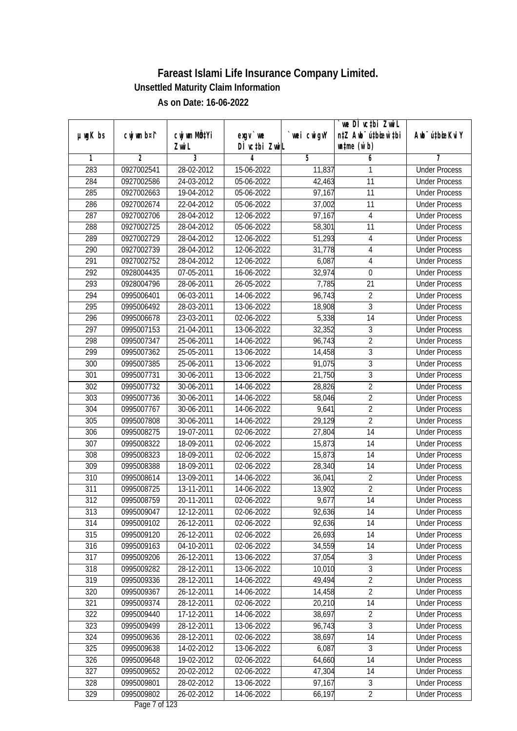|               |                |                           |               |                | we DI vctbi ZwiL                 |                             |
|---------------|----------------|---------------------------|---------------|----------------|----------------------------------|-----------------------------|
| $µ$ ug $K$ bs | cwj wm b¤i^    | cwj wm MQ <sup>1</sup> Yi | $exgV$ we     | `wei cwigvY    | n‡Z Awb <sup>-</sup> ú‡bioar`‡bi | Awb <sup>-</sup> ú‡bioeKviY |
|               |                | Zwi L                     | DÌ vctbi ZwiL |                | $\n  untime\n  (u`b)\n$          |                             |
| 1             | $\overline{2}$ | 3                         | 4             | $\overline{5}$ | 6                                | 7                           |
| 283           | 0927002541     | 28-02-2012                | 15-06-2022    | 11,837         | 1                                | <b>Under Process</b>        |
| 284           | 0927002586     | 24-03-2012                | 05-06-2022    | 42,463         | $\overline{11}$                  | <b>Under Process</b>        |
| 285           | 0927002663     | 19-04-2012                | 05-06-2022    | 97,167         | $\overline{11}$                  | <b>Under Process</b>        |
| 286           | 0927002674     | 22-04-2012                | 05-06-2022    | 37,002         | 11                               | <b>Under Process</b>        |
| 287           | 0927002706     | 28-04-2012                | 12-06-2022    | 97,167         | $\overline{4}$                   | <b>Under Process</b>        |
| 288           | 0927002725     | 28-04-2012                | 05-06-2022    | 58,301         | 11                               | <b>Under Process</b>        |
| 289           | 0927002729     | 28-04-2012                | 12-06-2022    | 51,293         | 4                                | <b>Under Process</b>        |
| 290           | 0927002739     | 28-04-2012                | 12-06-2022    | 31,778         | $\overline{4}$                   | <b>Under Process</b>        |
| 291           | 0927002752     | 28-04-2012                | 12-06-2022    | 6,087          | $\overline{4}$                   | <b>Under Process</b>        |
| 292           | 0928004435     | 07-05-2011                | 16-06-2022    | 32,974         | $\boldsymbol{0}$                 | <b>Under Process</b>        |
| 293           | 0928004796     | 28-06-2011                | 26-05-2022    | 7,785          | $\overline{21}$                  | <b>Under Process</b>        |
| 294           | 0995006401     | 06-03-2011                | 14-06-2022    | 96,743         | $\overline{2}$                   | <b>Under Process</b>        |
| 295           | 0995006492     | 28-03-2011                | 13-06-2022    | 18,908         | $\overline{3}$                   | <b>Under Process</b>        |
| 296           | 0995006678     | 23-03-2011                | 02-06-2022    | 5,338          | 14                               | <b>Under Process</b>        |
| 297           | 0995007153     | 21-04-2011                | 13-06-2022    | 32,352         | 3                                | <b>Under Process</b>        |
| 298           | 0995007347     | 25-06-2011                | 14-06-2022    | 96,743         | $\overline{2}$                   | <b>Under Process</b>        |
| 299           | 0995007362     | 25-05-2011                | 13-06-2022    | 14,458         | 3                                | <b>Under Process</b>        |
| 300           | 0995007385     | 25-06-2011                | 13-06-2022    | 91,075         | $\overline{3}$                   | <b>Under Process</b>        |
| 301           | 0995007731     | 30-06-2011                | 13-06-2022    | 21,750         | $\overline{3}$                   | <b>Under Process</b>        |
| 302           | 0995007732     | 30-06-2011                | 14-06-2022    | 28,826         | $\sqrt{2}$                       | <b>Under Process</b>        |
| 303           | 0995007736     | 30-06-2011                | 14-06-2022    | 58,046         | $\overline{2}$                   | <b>Under Process</b>        |
| 304           | 0995007767     | 30-06-2011                | 14-06-2022    | 9,641          | $\overline{2}$                   | <b>Under Process</b>        |
| 305           | 0995007808     | 30-06-2011                | 14-06-2022    | 29,129         | $\overline{2}$                   | <b>Under Process</b>        |
| 306           | 0995008275     | 19-07-2011                | 02-06-2022    | 27,804         | 14                               | <b>Under Process</b>        |
| 307           | 0995008322     | 18-09-2011                | 02-06-2022    | 15,873         | 14                               | <b>Under Process</b>        |
| 308           | 0995008323     | 18-09-2011                | 02-06-2022    | 15,873         | 14                               | <b>Under Process</b>        |
| 309           | 0995008388     | 18-09-2011                | 02-06-2022    | 28,340         | 14                               | <b>Under Process</b>        |
| 310           | 0995008614     | 13-09-2011                | 14-06-2022    | 36,041         | $\overline{2}$                   | <b>Under Process</b>        |
| 311           | 0995008725     | 13-11-2011                | 14-06-2022    | 13,902         | $\overline{2}$                   | <b>Under Process</b>        |
| 312           | 0995008759     | 20-11-2011                | 02-06-2022    | 9,677          | 14                               | <b>Under Process</b>        |
| 313           | 0995009047     | 12-12-2011                | 02-06-2022    | 92,636         | 14                               | <b>Under Process</b>        |
| 314           | 0995009102     | 26-12-2011                | 02-06-2022    | 92,636         | 14                               | <b>Under Process</b>        |
| 315           | 0995009120     | 26-12-2011                | 02-06-2022    | 26,693         | 14                               | <b>Under Process</b>        |
| 316           | 0995009163     | 04-10-2011                | 02-06-2022    | 34,559         | 14                               | <b>Under Process</b>        |
| 317           | 0995009206     | 26-12-2011                | 13-06-2022    | 37,054         | $\sqrt{3}$                       | <b>Under Process</b>        |
| 318           | 0995009282     | 28-12-2011                | 13-06-2022    | 10,010         | 3                                | <b>Under Process</b>        |
| 319           | 0995009336     | 28-12-2011                | 14-06-2022    | 49,494         | $\overline{2}$                   | <b>Under Process</b>        |
| 320           | 0995009367     | 26-12-2011                | 14-06-2022    | 14,458         | $\overline{2}$                   | <b>Under Process</b>        |
| 321           | 0995009374     | 28-12-2011                | 02-06-2022    | 20,210         | 14                               | <b>Under Process</b>        |
| 322           | 0995009440     | 17-12-2011                | 14-06-2022    | 38,697         | $\sqrt{2}$                       | <b>Under Process</b>        |
| 323           | 0995009499     | 28-12-2011                | 13-06-2022    | 96,743         | 3                                | <b>Under Process</b>        |
| 324           | 0995009636     | 28-12-2011                | 02-06-2022    | 38,697         | 14                               | <b>Under Process</b>        |
| 325           | 0995009638     | 14-02-2012                | 13-06-2022    | 6,087          | 3                                | <b>Under Process</b>        |
| 326           | 0995009648     | 19-02-2012                | 02-06-2022    | 64,660         | 14                               | <b>Under Process</b>        |
| 327           | 0995009652     | 20-02-2012                | 02-06-2022    | 47,304         | 14                               | <b>Under Process</b>        |
| 328           | 0995009801     | 28-02-2012                | 13-06-2022    | 97, 167        | $\mathfrak{Z}$                   | <b>Under Process</b>        |
| 329           | 0995009802     | 26-02-2012                | 14-06-2022    | 66,197         | $\overline{2}$                   | <b>Under Process</b>        |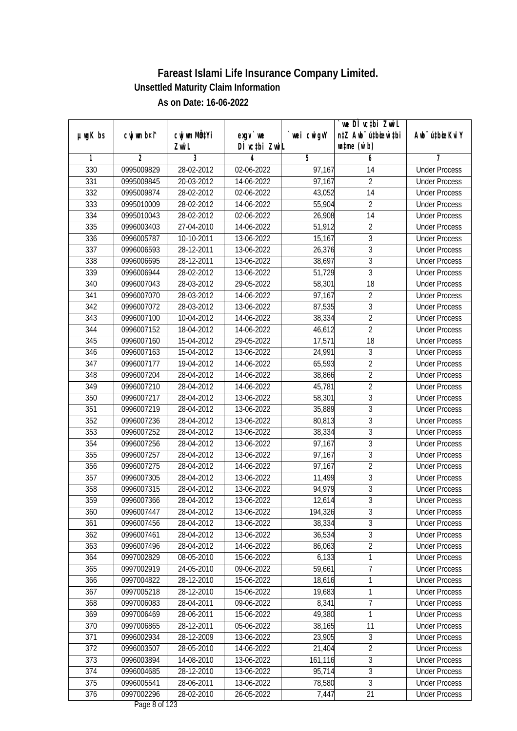|               |                |              |               |                | we DI vctbi Zwil                 |                             |
|---------------|----------------|--------------|---------------|----------------|----------------------------------|-----------------------------|
| $µ$ ug $K$ bs | cwj wm b¤i^    | cwj wm MQtYi | $exgV$ we     | wei cwigvY     | n‡Z Awb <sup>-</sup> ú‡bioen`‡bi | Awb <sup>-</sup> ú‡bioeKviY |
|               |                | Zwi L        | DÌ vctbi ZwiL |                | $\n  untime\n  (u`b)\n$          |                             |
| 1             | $\overline{2}$ | 3            | 4             | $\overline{5}$ | 6                                | 7                           |
| 330           | 0995009829     | 28-02-2012   | 02-06-2022    | 97,167         | 14                               | <b>Under Process</b>        |
| 331           | 0995009845     | 20-03-2012   | 14-06-2022    | 97,167         | $\overline{2}$                   | <b>Under Process</b>        |
| 332           | 0995009874     | 28-02-2012   | 02-06-2022    | 43,052         | $\overline{14}$                  | <b>Under Process</b>        |
| 333           | 0995010009     | 28-02-2012   | 14-06-2022    | 55,904         | $\overline{2}$                   | <b>Under Process</b>        |
| 334           | 0995010043     | 28-02-2012   | 02-06-2022    | 26,908         | $\overline{14}$                  | <b>Under Process</b>        |
| 335           | 0996003403     | 27-04-2010   | 14-06-2022    | 51,912         | $\overline{2}$                   | <b>Under Process</b>        |
| 336           | 0996005787     | 10-10-2011   | 13-06-2022    | 15,167         | $\overline{3}$                   | <b>Under Process</b>        |
| 337           | 0996006593     | 28-12-2011   | 13-06-2022    | 26,376         | $\overline{3}$                   | <b>Under Process</b>        |
| 338           | 0996006695     | 28-12-2011   | 13-06-2022    | 38,697         | $\overline{3}$                   | <b>Under Process</b>        |
| 339           | 0996006944     | 28-02-2012   | 13-06-2022    | 51,729         | $\overline{3}$                   | <b>Under Process</b>        |
| 340           | 0996007043     | 28-03-2012   | 29-05-2022    | 58,301         | $\overline{18}$                  | <b>Under Process</b>        |
| 341           | 0996007070     | 28-03-2012   | 14-06-2022    | 97,167         | $\overline{2}$                   | <b>Under Process</b>        |
| 342           | 0996007072     | 28-03-2012   | 13-06-2022    | 87,535         | $\overline{3}$                   | <b>Under Process</b>        |
| 343           | 0996007100     | 10-04-2012   | 14-06-2022    | 38,334         | $\overline{2}$                   | <b>Under Process</b>        |
| 344           | 0996007152     | 18-04-2012   | 14-06-2022    | 46,612         | $\overline{2}$                   | <b>Under Process</b>        |
| 345           | 0996007160     | 15-04-2012   | 29-05-2022    | 17,571         | 18                               | <b>Under Process</b>        |
| 346           | 0996007163     | 15-04-2012   | 13-06-2022    | 24,991         | 3                                | <b>Under Process</b>        |
| 347           | 0996007177     | 19-04-2012   | 14-06-2022    | 65,593         | $\overline{2}$                   | <b>Under Process</b>        |
| 348           | 0996007204     | 28-04-2012   | 14-06-2022    | 38,866         | $\overline{2}$                   | <b>Under Process</b>        |
| 349           | 0996007210     | 28-04-2012   | 14-06-2022    | 45,781         | $\overline{2}$                   | <b>Under Process</b>        |
| 350           | 0996007217     | 28-04-2012   | 13-06-2022    | 58,301         | 3                                | <b>Under Process</b>        |
| 351           | 0996007219     | 28-04-2012   | 13-06-2022    | 35,889         | $\mathbf{3}$                     | <b>Under Process</b>        |
| 352           | 0996007236     | 28-04-2012   | 13-06-2022    | 80,813         | 3                                | <b>Under Process</b>        |
| 353           | 0996007252     | 28-04-2012   | 13-06-2022    | 38,334         | $\overline{3}$                   | <b>Under Process</b>        |
| 354           | 0996007256     | 28-04-2012   | 13-06-2022    | 97,167         | $\overline{3}$                   | <b>Under Process</b>        |
| 355           | 0996007257     | 28-04-2012   | 13-06-2022    | 97,167         | 3                                | <b>Under Process</b>        |
| 356           | 0996007275     | 28-04-2012   | 14-06-2022    | 97,167         | $\overline{2}$                   | <b>Under Process</b>        |
| 357           | 0996007305     | 28-04-2012   | 13-06-2022    | 11,499         | $\overline{3}$                   | <b>Under Process</b>        |
| 358           | 0996007315     | 28-04-2012   | 13-06-2022    | 94,979         | $\overline{3}$                   | <b>Under Process</b>        |
| 359           | 0996007366     | 28-04-2012   | 13-06-2022    | 12,614         | $\overline{3}$                   | <b>Under Process</b>        |
| 360           | 0996007447     | 28-04-2012   | 13-06-2022    | 194,326        | 3                                | <b>Under Process</b>        |
| 361           | 0996007456     | 28-04-2012   | 13-06-2022    | 38,334         | $\overline{3}$                   | <b>Under Process</b>        |
| 362           | 0996007461     | 28-04-2012   | 13-06-2022    | 36,534         | 3                                | <b>Under Process</b>        |
| 363           | 0996007496     | 28-04-2012   | 14-06-2022    | 86,063         | $\overline{2}$                   | <b>Under Process</b>        |
| 364           | 0997002829     | 08-05-2010   | 15-06-2022    | 6,133          | $\mathbf 1$                      | <b>Under Process</b>        |
| 365           | 0997002919     | 24-05-2010   | 09-06-2022    | 59,661         | $\overline{7}$                   | <b>Under Process</b>        |
| 366           | 0997004822     | 28-12-2010   | 15-06-2022    | 18,616         | 1                                | <b>Under Process</b>        |
| 367           | 0997005218     | 28-12-2010   | 15-06-2022    | 19,683         | 1                                | <b>Under Process</b>        |
| 368           | 0997006083     | 28-04-2011   | 09-06-2022    | 8,341          | $\overline{7}$                   | <b>Under Process</b>        |
| 369           | 0997006469     | 28-06-2011   | 15-06-2022    | 49,380         | 1                                | <b>Under Process</b>        |
| 370           | 0997006865     | 28-12-2011   | 05-06-2022    | 38,165         | 11                               | <b>Under Process</b>        |
| 371           | 0996002934     | 28-12-2009   | 13-06-2022    | 23,905         | $\overline{3}$                   | <b>Under Process</b>        |
| 372           | 0996003507     | 28-05-2010   | 14-06-2022    | 21,404         | $\overline{2}$                   | <b>Under Process</b>        |
| 373           | 0996003894     | 14-08-2010   | 13-06-2022    | 161,116        | 3                                | <b>Under Process</b>        |
| 374           | 0996004685     | 28-12-2010   | 13-06-2022    | 95,714         | $\overline{3}$                   | <b>Under Process</b>        |
| 375           | 0996005541     | 28-06-2011   | 13-06-2022    | 78,580         | $\overline{3}$                   | <b>Under Process</b>        |
| 376           | 0997002296     | 28-02-2010   | 26-05-2022    | 7,447          | 21                               | <b>Under Process</b>        |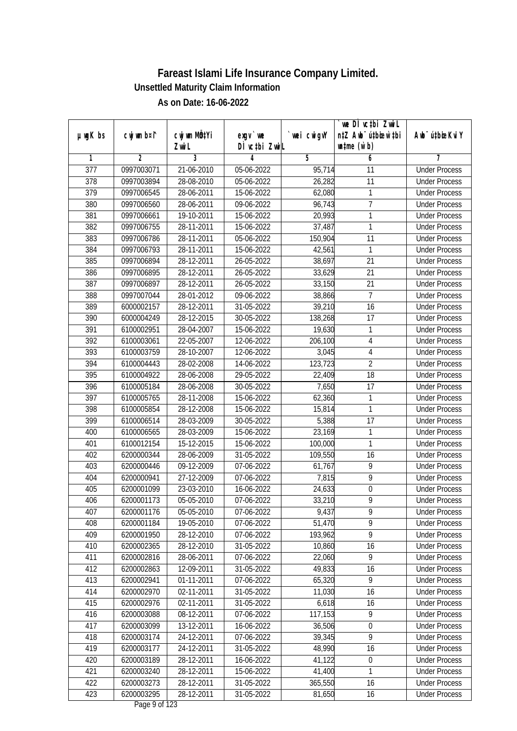|                  |                |              |               |             | we DI vctbi ZwiL                 |                              |
|------------------|----------------|--------------|---------------|-------------|----------------------------------|------------------------------|
| $µ$ ug $K$ bs    | cwj wm b¤i^    | cwj wm MQtYi | $exgV$ we     | `wei cwigvY | n‡Z Awb <sup>-</sup> ú‡bioen`‡bi | Aub <sup>-</sup> ú‡bioeKvi Y |
|                  |                | Zwi L        | DÌ vctbi ZwiL |             | $\n  untime\n  (u`b)\n$          |                              |
| 1                | $\overline{2}$ | 3            | 4             | 5           | 6                                | 7                            |
| $\overline{377}$ | 0997003071     | 21-06-2010   | 05-06-2022    | 95,714      | 11                               | <b>Under Process</b>         |
| 378              | 0997003894     | 28-08-2010   | 05-06-2022    | 26,282      | 11                               | <b>Under Process</b>         |
| 379              | 0997006545     | 28-06-2011   | 15-06-2022    | 62,080      | 1                                | <b>Under Process</b>         |
| 380              | 0997006560     | 28-06-2011   | 09-06-2022    | 96,743      | $\overline{7}$                   | <b>Under Process</b>         |
| 381              | 0997006661     | 19-10-2011   | 15-06-2022    | 20,993      | 1                                | <b>Under Process</b>         |
| 382              | 0997006755     | 28-11-2011   | 15-06-2022    | 37,487      | 1                                | <b>Under Process</b>         |
| 383              | 0997006786     | 28-11-2011   | 05-06-2022    | 150,904     | $\overline{11}$                  | <b>Under Process</b>         |
| 384              | 0997006793     | 28-11-2011   | 15-06-2022    | 42,561      | 1                                | <b>Under Process</b>         |
| 385              | 0997006894     | 28-12-2011   | 26-05-2022    | 38,697      | $\overline{21}$                  | <b>Under Process</b>         |
| 386              | 0997006895     | 28-12-2011   | 26-05-2022    | 33,629      | $\overline{21}$                  | <b>Under Process</b>         |
| 387              | 0997006897     | 28-12-2011   | 26-05-2022    | 33,150      | $\overline{21}$                  | <b>Under Process</b>         |
| 388              | 0997007044     | 28-01-2012   | 09-06-2022    | 38,866      | $\overline{7}$                   | <b>Under Process</b>         |
| 389              | 6000002157     | 28-12-2011   | 31-05-2022    | 39,210      | $\overline{16}$                  | <b>Under Process</b>         |
| 390              | 6000004249     | 28-12-2015   | 30-05-2022    | 138,268     | 17                               | <b>Under Process</b>         |
| 391              | 6100002951     | 28-04-2007   | 15-06-2022    | 19,630      | 1                                | <b>Under Process</b>         |
| 392              | 6100003061     | 22-05-2007   | 12-06-2022    | 206,100     | $\sqrt{4}$                       | <b>Under Process</b>         |
| 393              | 6100003759     | 28-10-2007   | 12-06-2022    | 3,045       | $\overline{\mathbf{4}}$          | <b>Under Process</b>         |
| 394              | 6100004443     | 28-02-2008   | 14-06-2022    | 123,723     | $\overline{2}$                   | <b>Under Process</b>         |
| 395              | 6100004922     | 28-06-2008   | 29-05-2022    | 22,409      | 18                               | <b>Under Process</b>         |
| 396              | 6100005184     | 28-06-2008   | 30-05-2022    | 7,650       | 17                               | <b>Under Process</b>         |
| 397              | 6100005765     | 28-11-2008   | 15-06-2022    | 62,360      | $\mathbf{1}$                     | <b>Under Process</b>         |
| 398              | 6100005854     | 28-12-2008   | 15-06-2022    | 15,814      | 1                                | <b>Under Process</b>         |
| 399              | 6100006514     | 28-03-2009   | 30-05-2022    | 5,388       | 17                               | <b>Under Process</b>         |
| 400              | 6100006565     | 28-03-2009   | 15-06-2022    | 23,169      | 1                                | <b>Under Process</b>         |
| 401              | 6100012154     | 15-12-2015   | 15-06-2022    | 100,000     | 1                                | <b>Under Process</b>         |
| 402              | 6200000344     | 28-06-2009   | 31-05-2022    | 109,550     | 16                               | <b>Under Process</b>         |
| 403              | 6200000446     | 09-12-2009   | 07-06-2022    | 61,767      | 9                                | <b>Under Process</b>         |
| 404              | 6200000941     | 27-12-2009   | 07-06-2022    | 7,815       | $\overline{9}$                   | <b>Under Process</b>         |
| 405              | 6200001099     | 23-03-2010   | 16-06-2022    | 24,633      | 0                                | <b>Under Process</b>         |
| 406              | 6200001173     | 05-05-2010   | 07-06-2022    | 33,210      | 9                                | <b>Under Process</b>         |
| 407              | 6200001176     | 05-05-2010   | 07-06-2022    | 9,437       | 9                                | <b>Under Process</b>         |
| 408              | 6200001184     | 19-05-2010   | 07-06-2022    | 51,470      | 9                                | <b>Under Process</b>         |
| 409              | 6200001950     | 28-12-2010   | 07-06-2022    | 193,962     | $\overline{9}$                   | <b>Under Process</b>         |
| 410              | 6200002365     | 28-12-2010   | 31-05-2022    | 10,860      | 16                               | <b>Under Process</b>         |
| 411              | 6200002816     | 28-06-2011   | 07-06-2022    | 22,060      | 9                                | <b>Under Process</b>         |
| 412              | 6200002863     | 12-09-2011   | 31-05-2022    | 49,833      | 16                               | <b>Under Process</b>         |
| 413              | 6200002941     | 01-11-2011   | 07-06-2022    | 65,320      | 9                                | <b>Under Process</b>         |
| 414              | 6200002970     | 02-11-2011   | 31-05-2022    | 11,030      | 16                               | <b>Under Process</b>         |
| 415              | 6200002976     | 02-11-2011   | 31-05-2022    | 6,618       | 16                               | <b>Under Process</b>         |
| 416              | 6200003088     | 08-12-2011   | 07-06-2022    | 117,153     | 9                                | <b>Under Process</b>         |
| 417              | 6200003099     | 13-12-2011   | 16-06-2022    | 36,506      | $\boldsymbol{0}$                 | <b>Under Process</b>         |
| 418              | 6200003174     | 24-12-2011   | 07-06-2022    | 39,345      | $\overline{9}$                   | <b>Under Process</b>         |
| 419              | 6200003177     | 24-12-2011   | 31-05-2022    | 48,990      | 16                               | <b>Under Process</b>         |
| 420              | 6200003189     | 28-12-2011   | 16-06-2022    | 41,122      | $\boldsymbol{0}$                 | <b>Under Process</b>         |
| 421              | 6200003240     | 28-12-2011   | 15-06-2022    | 41,400      | 1                                | <b>Under Process</b>         |
| 422              | 6200003273     | 28-12-2011   | 31-05-2022    | 365,550     | 16                               | <b>Under Process</b>         |
| 423              | 6200003295     | 28-12-2011   | 31-05-2022    | 81,650      | 16                               | <b>Under Process</b>         |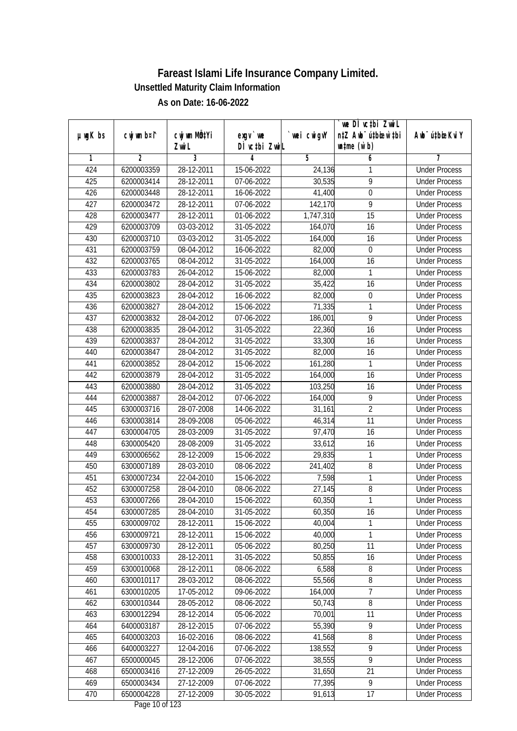| n‡Z Awb <sup>-</sup> ú‡bioar`‡bi<br>cwj wm b¤i^<br>cwj wm MQtYi<br>$µ$ ug $K$ bs<br>$exgV$ we<br>`wei cwigvY<br>Awb <sup>-</sup> ú‡bioeKviY<br>DÌ vctbi ZwiL<br>$\n  untime\n  (u`b)\n$<br>Zwi L<br>3<br>$\overline{2}$<br>$\overline{5}$<br>6<br>1<br>4<br>7<br>28-12-2011<br><b>Under Process</b><br>424<br>6200003359<br>15-06-2022<br>24,136<br>1<br>$\overline{9}$<br>425<br>6200003414<br>28-12-2011<br>07-06-2022<br>30,535<br><b>Under Process</b><br>$\overline{0}$<br>426<br>6200003448<br>28-12-2011<br>16-06-2022<br>41,400<br><b>Under Process</b><br>427<br>6200003472<br>28-12-2011<br>07-06-2022<br>9<br>142,170<br><b>Under Process</b><br>428<br>$28 - 12 - 2011$<br>$\overline{15}$<br>6200003477<br>01-06-2022<br>1,747,310<br><b>Under Process</b><br>429<br>6200003709<br>03-03-2012<br>31-05-2022<br>16<br>164,070<br><b>Under Process</b><br>430<br>6200003710<br>03-03-2012<br>$31-05-2022$<br>164,000<br>16<br><b>Under Process</b><br>431<br>6200003759<br>08-04-2012<br>16-06-2022<br>82,000<br>$\boldsymbol{0}$<br><b>Under Process</b><br>432<br>6200003765<br>08-04-2012<br>31-05-2022<br>164,000<br>16<br><b>Under Process</b><br>433<br>6200003783<br>26-04-2012<br>15-06-2022<br>82,000<br>1<br><b>Under Process</b><br>35,422<br>$\overline{16}$<br>434<br>6200003802<br>28-04-2012<br>31-05-2022<br><b>Under Process</b><br>82,000<br>435<br>6200003823<br>28-04-2012<br>16-06-2022<br>0<br><b>Under Process</b><br>436<br>71,335<br>1<br>6200003827<br>28-04-2012<br>15-06-2022<br><b>Under Process</b><br>9<br>437<br>6200003832<br>28-04-2012<br>07-06-2022<br>186,001<br><b>Under Process</b><br>16<br>438<br>6200003835<br>28-04-2012<br>31-05-2022<br>22,360<br><b>Under Process</b><br>16<br>439<br>6200003837<br>28-04-2012<br>31-05-2022<br>33,300<br><b>Under Process</b><br>440<br>6200003847<br>28-04-2012<br>31-05-2022<br>82,000<br>16<br><b>Under Process</b><br>441<br>6200003852<br>28-04-2012<br>15-06-2022<br>161,280<br>1<br><b>Under Process</b><br>442<br>6200003879<br>28-04-2012<br>31-05-2022<br>16<br>164,000<br><b>Under Process</b><br>443<br>103,250<br>6200003880<br>28-04-2012<br>31-05-2022<br>16<br><b>Under Process</b><br>9<br>444<br>6200003887<br>28-04-2012<br>07-06-2022<br>164,000<br><b>Under Process</b><br>$\overline{2}$<br>445<br>31,161<br>6300003716<br>28-07-2008<br>14-06-2022<br><b>Under Process</b><br>11<br>446<br>6300003814<br>28-09-2008<br>05-06-2022<br>46,314<br><b>Under Process</b><br>16<br>447<br>6300004705<br>28-03-2009<br>31-05-2022<br>97,470<br><b>Under Process</b><br>448<br>16<br>6300005420<br>28-08-2009<br>31-05-2022<br>33,612<br><b>Under Process</b><br>449<br>6300006562<br>28-12-2009<br>1<br>15-06-2022<br>29,835<br><b>Under Process</b><br>8<br>450<br>6300007189<br>28-03-2010<br>241,402<br>08-06-2022<br><b>Under Process</b><br>1<br>451<br>22-04-2010<br>7,598<br>6300007234<br>15-06-2022<br><b>Under Process</b><br>452<br>8<br>6300007258<br>28-04-2010<br>08-06-2022<br>27,145<br><b>Under Process</b><br>1<br>453<br>6300007266<br>28-04-2010<br>15-06-2022<br>60,350<br><b>Under Process</b><br>454<br>6300007285<br>28-04-2010<br>31-05-2022<br>60,350<br>16<br><b>Under Process</b><br>1<br>455<br>6300009702<br>28-12-2011<br>40,004<br>15-06-2022<br><b>Under Process</b><br>1<br>456<br>40,000<br>6300009721<br>28-12-2011<br>15-06-2022<br><b>Under Process</b><br>11<br>457<br>80,250<br>6300009730<br>28-12-2011<br>05-06-2022<br><b>Under Process</b><br>458<br>6300010033<br>31-05-2022<br>50,855<br>28-12-2011<br>16<br><b>Under Process</b><br>459<br>6,588<br>6300010068<br>28-12-2011<br>08-06-2022<br><b>Under Process</b><br>8<br>460<br>6300010117<br>55,566<br>8<br>28-03-2012<br>08-06-2022<br><b>Under Process</b><br>$\overline{7}$<br>461<br>6300010205<br>17-05-2012<br>164,000<br>09-06-2022<br><b>Under Process</b><br>$\overline{8}$<br>462<br>50,743<br>6300010344<br>28-05-2012<br>08-06-2022<br><b>Under Process</b><br>6300012294<br>70,001<br>11<br>463<br>28-12-2014<br>05-06-2022<br><b>Under Process</b><br>55,390<br>9<br>464<br>6400003187<br>28-12-2015<br>07-06-2022<br><b>Under Process</b><br>6400003203<br>8<br>465<br>16-02-2016<br>08-06-2022<br>41,568<br><b>Under Process</b><br>$\overline{9}$<br>466<br>6400003227<br>12-04-2016<br>$\overline{07}$ -06-2022<br>138,552<br><b>Under Process</b><br>$\overline{9}$<br>28-12-2006<br>38,555<br>467<br>6500000045<br>07-06-2022<br><b>Under Process</b><br>468<br>31,650<br>21<br>6500003416<br>27-12-2009<br>26-05-2022<br><b>Under Process</b> |     |            |            |            |        | we DI vctbi Zwil |                      |
|--------------------------------------------------------------------------------------------------------------------------------------------------------------------------------------------------------------------------------------------------------------------------------------------------------------------------------------------------------------------------------------------------------------------------------------------------------------------------------------------------------------------------------------------------------------------------------------------------------------------------------------------------------------------------------------------------------------------------------------------------------------------------------------------------------------------------------------------------------------------------------------------------------------------------------------------------------------------------------------------------------------------------------------------------------------------------------------------------------------------------------------------------------------------------------------------------------------------------------------------------------------------------------------------------------------------------------------------------------------------------------------------------------------------------------------------------------------------------------------------------------------------------------------------------------------------------------------------------------------------------------------------------------------------------------------------------------------------------------------------------------------------------------------------------------------------------------------------------------------------------------------------------------------------------------------------------------------------------------------------------------------------------------------------------------------------------------------------------------------------------------------------------------------------------------------------------------------------------------------------------------------------------------------------------------------------------------------------------------------------------------------------------------------------------------------------------------------------------------------------------------------------------------------------------------------------------------------------------------------------------------------------------------------------------------------------------------------------------------------------------------------------------------------------------------------------------------------------------------------------------------------------------------------------------------------------------------------------------------------------------------------------------------------------------------------------------------------------------------------------------------------------------------------------------------------------------------------------------------------------------------------------------------------------------------------------------------------------------------------------------------------------------------------------------------------------------------------------------------------------------------------------------------------------------------------------------------------------------------------------------------------------------------------------------------------------------------------------------------------------------------------------------------------------------------------------------------------------------------------------------------------------------------------------------------------------------------------------------------------------------------------------------------------------------------------------------------------------------------------------------------------------------------------------------------------------------------------------------------------------------------------------------------------------------------------------------------------------------------------------------------------------------------------------------------------------------------------------------------------------------------------------------------------------------------------------------------|-----|------------|------------|------------|--------|------------------|----------------------|
|                                                                                                                                                                                                                                                                                                                                                                                                                                                                                                                                                                                                                                                                                                                                                                                                                                                                                                                                                                                                                                                                                                                                                                                                                                                                                                                                                                                                                                                                                                                                                                                                                                                                                                                                                                                                                                                                                                                                                                                                                                                                                                                                                                                                                                                                                                                                                                                                                                                                                                                                                                                                                                                                                                                                                                                                                                                                                                                                                                                                                                                                                                                                                                                                                                                                                                                                                                                                                                                                                                                                                                                                                                                                                                                                                                                                                                                                                                                                                                                                                                                                                                                                                                                                                                                                                                                                                                                                                                                                                                                                                                                |     |            |            |            |        |                  |                      |
|                                                                                                                                                                                                                                                                                                                                                                                                                                                                                                                                                                                                                                                                                                                                                                                                                                                                                                                                                                                                                                                                                                                                                                                                                                                                                                                                                                                                                                                                                                                                                                                                                                                                                                                                                                                                                                                                                                                                                                                                                                                                                                                                                                                                                                                                                                                                                                                                                                                                                                                                                                                                                                                                                                                                                                                                                                                                                                                                                                                                                                                                                                                                                                                                                                                                                                                                                                                                                                                                                                                                                                                                                                                                                                                                                                                                                                                                                                                                                                                                                                                                                                                                                                                                                                                                                                                                                                                                                                                                                                                                                                                |     |            |            |            |        |                  |                      |
|                                                                                                                                                                                                                                                                                                                                                                                                                                                                                                                                                                                                                                                                                                                                                                                                                                                                                                                                                                                                                                                                                                                                                                                                                                                                                                                                                                                                                                                                                                                                                                                                                                                                                                                                                                                                                                                                                                                                                                                                                                                                                                                                                                                                                                                                                                                                                                                                                                                                                                                                                                                                                                                                                                                                                                                                                                                                                                                                                                                                                                                                                                                                                                                                                                                                                                                                                                                                                                                                                                                                                                                                                                                                                                                                                                                                                                                                                                                                                                                                                                                                                                                                                                                                                                                                                                                                                                                                                                                                                                                                                                                |     |            |            |            |        |                  |                      |
|                                                                                                                                                                                                                                                                                                                                                                                                                                                                                                                                                                                                                                                                                                                                                                                                                                                                                                                                                                                                                                                                                                                                                                                                                                                                                                                                                                                                                                                                                                                                                                                                                                                                                                                                                                                                                                                                                                                                                                                                                                                                                                                                                                                                                                                                                                                                                                                                                                                                                                                                                                                                                                                                                                                                                                                                                                                                                                                                                                                                                                                                                                                                                                                                                                                                                                                                                                                                                                                                                                                                                                                                                                                                                                                                                                                                                                                                                                                                                                                                                                                                                                                                                                                                                                                                                                                                                                                                                                                                                                                                                                                |     |            |            |            |        |                  |                      |
|                                                                                                                                                                                                                                                                                                                                                                                                                                                                                                                                                                                                                                                                                                                                                                                                                                                                                                                                                                                                                                                                                                                                                                                                                                                                                                                                                                                                                                                                                                                                                                                                                                                                                                                                                                                                                                                                                                                                                                                                                                                                                                                                                                                                                                                                                                                                                                                                                                                                                                                                                                                                                                                                                                                                                                                                                                                                                                                                                                                                                                                                                                                                                                                                                                                                                                                                                                                                                                                                                                                                                                                                                                                                                                                                                                                                                                                                                                                                                                                                                                                                                                                                                                                                                                                                                                                                                                                                                                                                                                                                                                                |     |            |            |            |        |                  |                      |
|                                                                                                                                                                                                                                                                                                                                                                                                                                                                                                                                                                                                                                                                                                                                                                                                                                                                                                                                                                                                                                                                                                                                                                                                                                                                                                                                                                                                                                                                                                                                                                                                                                                                                                                                                                                                                                                                                                                                                                                                                                                                                                                                                                                                                                                                                                                                                                                                                                                                                                                                                                                                                                                                                                                                                                                                                                                                                                                                                                                                                                                                                                                                                                                                                                                                                                                                                                                                                                                                                                                                                                                                                                                                                                                                                                                                                                                                                                                                                                                                                                                                                                                                                                                                                                                                                                                                                                                                                                                                                                                                                                                |     |            |            |            |        |                  |                      |
|                                                                                                                                                                                                                                                                                                                                                                                                                                                                                                                                                                                                                                                                                                                                                                                                                                                                                                                                                                                                                                                                                                                                                                                                                                                                                                                                                                                                                                                                                                                                                                                                                                                                                                                                                                                                                                                                                                                                                                                                                                                                                                                                                                                                                                                                                                                                                                                                                                                                                                                                                                                                                                                                                                                                                                                                                                                                                                                                                                                                                                                                                                                                                                                                                                                                                                                                                                                                                                                                                                                                                                                                                                                                                                                                                                                                                                                                                                                                                                                                                                                                                                                                                                                                                                                                                                                                                                                                                                                                                                                                                                                |     |            |            |            |        |                  |                      |
|                                                                                                                                                                                                                                                                                                                                                                                                                                                                                                                                                                                                                                                                                                                                                                                                                                                                                                                                                                                                                                                                                                                                                                                                                                                                                                                                                                                                                                                                                                                                                                                                                                                                                                                                                                                                                                                                                                                                                                                                                                                                                                                                                                                                                                                                                                                                                                                                                                                                                                                                                                                                                                                                                                                                                                                                                                                                                                                                                                                                                                                                                                                                                                                                                                                                                                                                                                                                                                                                                                                                                                                                                                                                                                                                                                                                                                                                                                                                                                                                                                                                                                                                                                                                                                                                                                                                                                                                                                                                                                                                                                                |     |            |            |            |        |                  |                      |
|                                                                                                                                                                                                                                                                                                                                                                                                                                                                                                                                                                                                                                                                                                                                                                                                                                                                                                                                                                                                                                                                                                                                                                                                                                                                                                                                                                                                                                                                                                                                                                                                                                                                                                                                                                                                                                                                                                                                                                                                                                                                                                                                                                                                                                                                                                                                                                                                                                                                                                                                                                                                                                                                                                                                                                                                                                                                                                                                                                                                                                                                                                                                                                                                                                                                                                                                                                                                                                                                                                                                                                                                                                                                                                                                                                                                                                                                                                                                                                                                                                                                                                                                                                                                                                                                                                                                                                                                                                                                                                                                                                                |     |            |            |            |        |                  |                      |
|                                                                                                                                                                                                                                                                                                                                                                                                                                                                                                                                                                                                                                                                                                                                                                                                                                                                                                                                                                                                                                                                                                                                                                                                                                                                                                                                                                                                                                                                                                                                                                                                                                                                                                                                                                                                                                                                                                                                                                                                                                                                                                                                                                                                                                                                                                                                                                                                                                                                                                                                                                                                                                                                                                                                                                                                                                                                                                                                                                                                                                                                                                                                                                                                                                                                                                                                                                                                                                                                                                                                                                                                                                                                                                                                                                                                                                                                                                                                                                                                                                                                                                                                                                                                                                                                                                                                                                                                                                                                                                                                                                                |     |            |            |            |        |                  |                      |
|                                                                                                                                                                                                                                                                                                                                                                                                                                                                                                                                                                                                                                                                                                                                                                                                                                                                                                                                                                                                                                                                                                                                                                                                                                                                                                                                                                                                                                                                                                                                                                                                                                                                                                                                                                                                                                                                                                                                                                                                                                                                                                                                                                                                                                                                                                                                                                                                                                                                                                                                                                                                                                                                                                                                                                                                                                                                                                                                                                                                                                                                                                                                                                                                                                                                                                                                                                                                                                                                                                                                                                                                                                                                                                                                                                                                                                                                                                                                                                                                                                                                                                                                                                                                                                                                                                                                                                                                                                                                                                                                                                                |     |            |            |            |        |                  |                      |
|                                                                                                                                                                                                                                                                                                                                                                                                                                                                                                                                                                                                                                                                                                                                                                                                                                                                                                                                                                                                                                                                                                                                                                                                                                                                                                                                                                                                                                                                                                                                                                                                                                                                                                                                                                                                                                                                                                                                                                                                                                                                                                                                                                                                                                                                                                                                                                                                                                                                                                                                                                                                                                                                                                                                                                                                                                                                                                                                                                                                                                                                                                                                                                                                                                                                                                                                                                                                                                                                                                                                                                                                                                                                                                                                                                                                                                                                                                                                                                                                                                                                                                                                                                                                                                                                                                                                                                                                                                                                                                                                                                                |     |            |            |            |        |                  |                      |
|                                                                                                                                                                                                                                                                                                                                                                                                                                                                                                                                                                                                                                                                                                                                                                                                                                                                                                                                                                                                                                                                                                                                                                                                                                                                                                                                                                                                                                                                                                                                                                                                                                                                                                                                                                                                                                                                                                                                                                                                                                                                                                                                                                                                                                                                                                                                                                                                                                                                                                                                                                                                                                                                                                                                                                                                                                                                                                                                                                                                                                                                                                                                                                                                                                                                                                                                                                                                                                                                                                                                                                                                                                                                                                                                                                                                                                                                                                                                                                                                                                                                                                                                                                                                                                                                                                                                                                                                                                                                                                                                                                                |     |            |            |            |        |                  |                      |
|                                                                                                                                                                                                                                                                                                                                                                                                                                                                                                                                                                                                                                                                                                                                                                                                                                                                                                                                                                                                                                                                                                                                                                                                                                                                                                                                                                                                                                                                                                                                                                                                                                                                                                                                                                                                                                                                                                                                                                                                                                                                                                                                                                                                                                                                                                                                                                                                                                                                                                                                                                                                                                                                                                                                                                                                                                                                                                                                                                                                                                                                                                                                                                                                                                                                                                                                                                                                                                                                                                                                                                                                                                                                                                                                                                                                                                                                                                                                                                                                                                                                                                                                                                                                                                                                                                                                                                                                                                                                                                                                                                                |     |            |            |            |        |                  |                      |
|                                                                                                                                                                                                                                                                                                                                                                                                                                                                                                                                                                                                                                                                                                                                                                                                                                                                                                                                                                                                                                                                                                                                                                                                                                                                                                                                                                                                                                                                                                                                                                                                                                                                                                                                                                                                                                                                                                                                                                                                                                                                                                                                                                                                                                                                                                                                                                                                                                                                                                                                                                                                                                                                                                                                                                                                                                                                                                                                                                                                                                                                                                                                                                                                                                                                                                                                                                                                                                                                                                                                                                                                                                                                                                                                                                                                                                                                                                                                                                                                                                                                                                                                                                                                                                                                                                                                                                                                                                                                                                                                                                                |     |            |            |            |        |                  |                      |
|                                                                                                                                                                                                                                                                                                                                                                                                                                                                                                                                                                                                                                                                                                                                                                                                                                                                                                                                                                                                                                                                                                                                                                                                                                                                                                                                                                                                                                                                                                                                                                                                                                                                                                                                                                                                                                                                                                                                                                                                                                                                                                                                                                                                                                                                                                                                                                                                                                                                                                                                                                                                                                                                                                                                                                                                                                                                                                                                                                                                                                                                                                                                                                                                                                                                                                                                                                                                                                                                                                                                                                                                                                                                                                                                                                                                                                                                                                                                                                                                                                                                                                                                                                                                                                                                                                                                                                                                                                                                                                                                                                                |     |            |            |            |        |                  |                      |
|                                                                                                                                                                                                                                                                                                                                                                                                                                                                                                                                                                                                                                                                                                                                                                                                                                                                                                                                                                                                                                                                                                                                                                                                                                                                                                                                                                                                                                                                                                                                                                                                                                                                                                                                                                                                                                                                                                                                                                                                                                                                                                                                                                                                                                                                                                                                                                                                                                                                                                                                                                                                                                                                                                                                                                                                                                                                                                                                                                                                                                                                                                                                                                                                                                                                                                                                                                                                                                                                                                                                                                                                                                                                                                                                                                                                                                                                                                                                                                                                                                                                                                                                                                                                                                                                                                                                                                                                                                                                                                                                                                                |     |            |            |            |        |                  |                      |
|                                                                                                                                                                                                                                                                                                                                                                                                                                                                                                                                                                                                                                                                                                                                                                                                                                                                                                                                                                                                                                                                                                                                                                                                                                                                                                                                                                                                                                                                                                                                                                                                                                                                                                                                                                                                                                                                                                                                                                                                                                                                                                                                                                                                                                                                                                                                                                                                                                                                                                                                                                                                                                                                                                                                                                                                                                                                                                                                                                                                                                                                                                                                                                                                                                                                                                                                                                                                                                                                                                                                                                                                                                                                                                                                                                                                                                                                                                                                                                                                                                                                                                                                                                                                                                                                                                                                                                                                                                                                                                                                                                                |     |            |            |            |        |                  |                      |
|                                                                                                                                                                                                                                                                                                                                                                                                                                                                                                                                                                                                                                                                                                                                                                                                                                                                                                                                                                                                                                                                                                                                                                                                                                                                                                                                                                                                                                                                                                                                                                                                                                                                                                                                                                                                                                                                                                                                                                                                                                                                                                                                                                                                                                                                                                                                                                                                                                                                                                                                                                                                                                                                                                                                                                                                                                                                                                                                                                                                                                                                                                                                                                                                                                                                                                                                                                                                                                                                                                                                                                                                                                                                                                                                                                                                                                                                                                                                                                                                                                                                                                                                                                                                                                                                                                                                                                                                                                                                                                                                                                                |     |            |            |            |        |                  |                      |
|                                                                                                                                                                                                                                                                                                                                                                                                                                                                                                                                                                                                                                                                                                                                                                                                                                                                                                                                                                                                                                                                                                                                                                                                                                                                                                                                                                                                                                                                                                                                                                                                                                                                                                                                                                                                                                                                                                                                                                                                                                                                                                                                                                                                                                                                                                                                                                                                                                                                                                                                                                                                                                                                                                                                                                                                                                                                                                                                                                                                                                                                                                                                                                                                                                                                                                                                                                                                                                                                                                                                                                                                                                                                                                                                                                                                                                                                                                                                                                                                                                                                                                                                                                                                                                                                                                                                                                                                                                                                                                                                                                                |     |            |            |            |        |                  |                      |
|                                                                                                                                                                                                                                                                                                                                                                                                                                                                                                                                                                                                                                                                                                                                                                                                                                                                                                                                                                                                                                                                                                                                                                                                                                                                                                                                                                                                                                                                                                                                                                                                                                                                                                                                                                                                                                                                                                                                                                                                                                                                                                                                                                                                                                                                                                                                                                                                                                                                                                                                                                                                                                                                                                                                                                                                                                                                                                                                                                                                                                                                                                                                                                                                                                                                                                                                                                                                                                                                                                                                                                                                                                                                                                                                                                                                                                                                                                                                                                                                                                                                                                                                                                                                                                                                                                                                                                                                                                                                                                                                                                                |     |            |            |            |        |                  |                      |
|                                                                                                                                                                                                                                                                                                                                                                                                                                                                                                                                                                                                                                                                                                                                                                                                                                                                                                                                                                                                                                                                                                                                                                                                                                                                                                                                                                                                                                                                                                                                                                                                                                                                                                                                                                                                                                                                                                                                                                                                                                                                                                                                                                                                                                                                                                                                                                                                                                                                                                                                                                                                                                                                                                                                                                                                                                                                                                                                                                                                                                                                                                                                                                                                                                                                                                                                                                                                                                                                                                                                                                                                                                                                                                                                                                                                                                                                                                                                                                                                                                                                                                                                                                                                                                                                                                                                                                                                                                                                                                                                                                                |     |            |            |            |        |                  |                      |
|                                                                                                                                                                                                                                                                                                                                                                                                                                                                                                                                                                                                                                                                                                                                                                                                                                                                                                                                                                                                                                                                                                                                                                                                                                                                                                                                                                                                                                                                                                                                                                                                                                                                                                                                                                                                                                                                                                                                                                                                                                                                                                                                                                                                                                                                                                                                                                                                                                                                                                                                                                                                                                                                                                                                                                                                                                                                                                                                                                                                                                                                                                                                                                                                                                                                                                                                                                                                                                                                                                                                                                                                                                                                                                                                                                                                                                                                                                                                                                                                                                                                                                                                                                                                                                                                                                                                                                                                                                                                                                                                                                                |     |            |            |            |        |                  |                      |
|                                                                                                                                                                                                                                                                                                                                                                                                                                                                                                                                                                                                                                                                                                                                                                                                                                                                                                                                                                                                                                                                                                                                                                                                                                                                                                                                                                                                                                                                                                                                                                                                                                                                                                                                                                                                                                                                                                                                                                                                                                                                                                                                                                                                                                                                                                                                                                                                                                                                                                                                                                                                                                                                                                                                                                                                                                                                                                                                                                                                                                                                                                                                                                                                                                                                                                                                                                                                                                                                                                                                                                                                                                                                                                                                                                                                                                                                                                                                                                                                                                                                                                                                                                                                                                                                                                                                                                                                                                                                                                                                                                                |     |            |            |            |        |                  |                      |
|                                                                                                                                                                                                                                                                                                                                                                                                                                                                                                                                                                                                                                                                                                                                                                                                                                                                                                                                                                                                                                                                                                                                                                                                                                                                                                                                                                                                                                                                                                                                                                                                                                                                                                                                                                                                                                                                                                                                                                                                                                                                                                                                                                                                                                                                                                                                                                                                                                                                                                                                                                                                                                                                                                                                                                                                                                                                                                                                                                                                                                                                                                                                                                                                                                                                                                                                                                                                                                                                                                                                                                                                                                                                                                                                                                                                                                                                                                                                                                                                                                                                                                                                                                                                                                                                                                                                                                                                                                                                                                                                                                                |     |            |            |            |        |                  |                      |
|                                                                                                                                                                                                                                                                                                                                                                                                                                                                                                                                                                                                                                                                                                                                                                                                                                                                                                                                                                                                                                                                                                                                                                                                                                                                                                                                                                                                                                                                                                                                                                                                                                                                                                                                                                                                                                                                                                                                                                                                                                                                                                                                                                                                                                                                                                                                                                                                                                                                                                                                                                                                                                                                                                                                                                                                                                                                                                                                                                                                                                                                                                                                                                                                                                                                                                                                                                                                                                                                                                                                                                                                                                                                                                                                                                                                                                                                                                                                                                                                                                                                                                                                                                                                                                                                                                                                                                                                                                                                                                                                                                                |     |            |            |            |        |                  |                      |
|                                                                                                                                                                                                                                                                                                                                                                                                                                                                                                                                                                                                                                                                                                                                                                                                                                                                                                                                                                                                                                                                                                                                                                                                                                                                                                                                                                                                                                                                                                                                                                                                                                                                                                                                                                                                                                                                                                                                                                                                                                                                                                                                                                                                                                                                                                                                                                                                                                                                                                                                                                                                                                                                                                                                                                                                                                                                                                                                                                                                                                                                                                                                                                                                                                                                                                                                                                                                                                                                                                                                                                                                                                                                                                                                                                                                                                                                                                                                                                                                                                                                                                                                                                                                                                                                                                                                                                                                                                                                                                                                                                                |     |            |            |            |        |                  |                      |
|                                                                                                                                                                                                                                                                                                                                                                                                                                                                                                                                                                                                                                                                                                                                                                                                                                                                                                                                                                                                                                                                                                                                                                                                                                                                                                                                                                                                                                                                                                                                                                                                                                                                                                                                                                                                                                                                                                                                                                                                                                                                                                                                                                                                                                                                                                                                                                                                                                                                                                                                                                                                                                                                                                                                                                                                                                                                                                                                                                                                                                                                                                                                                                                                                                                                                                                                                                                                                                                                                                                                                                                                                                                                                                                                                                                                                                                                                                                                                                                                                                                                                                                                                                                                                                                                                                                                                                                                                                                                                                                                                                                |     |            |            |            |        |                  |                      |
|                                                                                                                                                                                                                                                                                                                                                                                                                                                                                                                                                                                                                                                                                                                                                                                                                                                                                                                                                                                                                                                                                                                                                                                                                                                                                                                                                                                                                                                                                                                                                                                                                                                                                                                                                                                                                                                                                                                                                                                                                                                                                                                                                                                                                                                                                                                                                                                                                                                                                                                                                                                                                                                                                                                                                                                                                                                                                                                                                                                                                                                                                                                                                                                                                                                                                                                                                                                                                                                                                                                                                                                                                                                                                                                                                                                                                                                                                                                                                                                                                                                                                                                                                                                                                                                                                                                                                                                                                                                                                                                                                                                |     |            |            |            |        |                  |                      |
|                                                                                                                                                                                                                                                                                                                                                                                                                                                                                                                                                                                                                                                                                                                                                                                                                                                                                                                                                                                                                                                                                                                                                                                                                                                                                                                                                                                                                                                                                                                                                                                                                                                                                                                                                                                                                                                                                                                                                                                                                                                                                                                                                                                                                                                                                                                                                                                                                                                                                                                                                                                                                                                                                                                                                                                                                                                                                                                                                                                                                                                                                                                                                                                                                                                                                                                                                                                                                                                                                                                                                                                                                                                                                                                                                                                                                                                                                                                                                                                                                                                                                                                                                                                                                                                                                                                                                                                                                                                                                                                                                                                |     |            |            |            |        |                  |                      |
|                                                                                                                                                                                                                                                                                                                                                                                                                                                                                                                                                                                                                                                                                                                                                                                                                                                                                                                                                                                                                                                                                                                                                                                                                                                                                                                                                                                                                                                                                                                                                                                                                                                                                                                                                                                                                                                                                                                                                                                                                                                                                                                                                                                                                                                                                                                                                                                                                                                                                                                                                                                                                                                                                                                                                                                                                                                                                                                                                                                                                                                                                                                                                                                                                                                                                                                                                                                                                                                                                                                                                                                                                                                                                                                                                                                                                                                                                                                                                                                                                                                                                                                                                                                                                                                                                                                                                                                                                                                                                                                                                                                |     |            |            |            |        |                  |                      |
|                                                                                                                                                                                                                                                                                                                                                                                                                                                                                                                                                                                                                                                                                                                                                                                                                                                                                                                                                                                                                                                                                                                                                                                                                                                                                                                                                                                                                                                                                                                                                                                                                                                                                                                                                                                                                                                                                                                                                                                                                                                                                                                                                                                                                                                                                                                                                                                                                                                                                                                                                                                                                                                                                                                                                                                                                                                                                                                                                                                                                                                                                                                                                                                                                                                                                                                                                                                                                                                                                                                                                                                                                                                                                                                                                                                                                                                                                                                                                                                                                                                                                                                                                                                                                                                                                                                                                                                                                                                                                                                                                                                |     |            |            |            |        |                  |                      |
|                                                                                                                                                                                                                                                                                                                                                                                                                                                                                                                                                                                                                                                                                                                                                                                                                                                                                                                                                                                                                                                                                                                                                                                                                                                                                                                                                                                                                                                                                                                                                                                                                                                                                                                                                                                                                                                                                                                                                                                                                                                                                                                                                                                                                                                                                                                                                                                                                                                                                                                                                                                                                                                                                                                                                                                                                                                                                                                                                                                                                                                                                                                                                                                                                                                                                                                                                                                                                                                                                                                                                                                                                                                                                                                                                                                                                                                                                                                                                                                                                                                                                                                                                                                                                                                                                                                                                                                                                                                                                                                                                                                |     |            |            |            |        |                  |                      |
|                                                                                                                                                                                                                                                                                                                                                                                                                                                                                                                                                                                                                                                                                                                                                                                                                                                                                                                                                                                                                                                                                                                                                                                                                                                                                                                                                                                                                                                                                                                                                                                                                                                                                                                                                                                                                                                                                                                                                                                                                                                                                                                                                                                                                                                                                                                                                                                                                                                                                                                                                                                                                                                                                                                                                                                                                                                                                                                                                                                                                                                                                                                                                                                                                                                                                                                                                                                                                                                                                                                                                                                                                                                                                                                                                                                                                                                                                                                                                                                                                                                                                                                                                                                                                                                                                                                                                                                                                                                                                                                                                                                |     |            |            |            |        |                  |                      |
|                                                                                                                                                                                                                                                                                                                                                                                                                                                                                                                                                                                                                                                                                                                                                                                                                                                                                                                                                                                                                                                                                                                                                                                                                                                                                                                                                                                                                                                                                                                                                                                                                                                                                                                                                                                                                                                                                                                                                                                                                                                                                                                                                                                                                                                                                                                                                                                                                                                                                                                                                                                                                                                                                                                                                                                                                                                                                                                                                                                                                                                                                                                                                                                                                                                                                                                                                                                                                                                                                                                                                                                                                                                                                                                                                                                                                                                                                                                                                                                                                                                                                                                                                                                                                                                                                                                                                                                                                                                                                                                                                                                |     |            |            |            |        |                  |                      |
|                                                                                                                                                                                                                                                                                                                                                                                                                                                                                                                                                                                                                                                                                                                                                                                                                                                                                                                                                                                                                                                                                                                                                                                                                                                                                                                                                                                                                                                                                                                                                                                                                                                                                                                                                                                                                                                                                                                                                                                                                                                                                                                                                                                                                                                                                                                                                                                                                                                                                                                                                                                                                                                                                                                                                                                                                                                                                                                                                                                                                                                                                                                                                                                                                                                                                                                                                                                                                                                                                                                                                                                                                                                                                                                                                                                                                                                                                                                                                                                                                                                                                                                                                                                                                                                                                                                                                                                                                                                                                                                                                                                |     |            |            |            |        |                  |                      |
|                                                                                                                                                                                                                                                                                                                                                                                                                                                                                                                                                                                                                                                                                                                                                                                                                                                                                                                                                                                                                                                                                                                                                                                                                                                                                                                                                                                                                                                                                                                                                                                                                                                                                                                                                                                                                                                                                                                                                                                                                                                                                                                                                                                                                                                                                                                                                                                                                                                                                                                                                                                                                                                                                                                                                                                                                                                                                                                                                                                                                                                                                                                                                                                                                                                                                                                                                                                                                                                                                                                                                                                                                                                                                                                                                                                                                                                                                                                                                                                                                                                                                                                                                                                                                                                                                                                                                                                                                                                                                                                                                                                |     |            |            |            |        |                  |                      |
|                                                                                                                                                                                                                                                                                                                                                                                                                                                                                                                                                                                                                                                                                                                                                                                                                                                                                                                                                                                                                                                                                                                                                                                                                                                                                                                                                                                                                                                                                                                                                                                                                                                                                                                                                                                                                                                                                                                                                                                                                                                                                                                                                                                                                                                                                                                                                                                                                                                                                                                                                                                                                                                                                                                                                                                                                                                                                                                                                                                                                                                                                                                                                                                                                                                                                                                                                                                                                                                                                                                                                                                                                                                                                                                                                                                                                                                                                                                                                                                                                                                                                                                                                                                                                                                                                                                                                                                                                                                                                                                                                                                |     |            |            |            |        |                  |                      |
|                                                                                                                                                                                                                                                                                                                                                                                                                                                                                                                                                                                                                                                                                                                                                                                                                                                                                                                                                                                                                                                                                                                                                                                                                                                                                                                                                                                                                                                                                                                                                                                                                                                                                                                                                                                                                                                                                                                                                                                                                                                                                                                                                                                                                                                                                                                                                                                                                                                                                                                                                                                                                                                                                                                                                                                                                                                                                                                                                                                                                                                                                                                                                                                                                                                                                                                                                                                                                                                                                                                                                                                                                                                                                                                                                                                                                                                                                                                                                                                                                                                                                                                                                                                                                                                                                                                                                                                                                                                                                                                                                                                |     |            |            |            |        |                  |                      |
|                                                                                                                                                                                                                                                                                                                                                                                                                                                                                                                                                                                                                                                                                                                                                                                                                                                                                                                                                                                                                                                                                                                                                                                                                                                                                                                                                                                                                                                                                                                                                                                                                                                                                                                                                                                                                                                                                                                                                                                                                                                                                                                                                                                                                                                                                                                                                                                                                                                                                                                                                                                                                                                                                                                                                                                                                                                                                                                                                                                                                                                                                                                                                                                                                                                                                                                                                                                                                                                                                                                                                                                                                                                                                                                                                                                                                                                                                                                                                                                                                                                                                                                                                                                                                                                                                                                                                                                                                                                                                                                                                                                |     |            |            |            |        |                  |                      |
|                                                                                                                                                                                                                                                                                                                                                                                                                                                                                                                                                                                                                                                                                                                                                                                                                                                                                                                                                                                                                                                                                                                                                                                                                                                                                                                                                                                                                                                                                                                                                                                                                                                                                                                                                                                                                                                                                                                                                                                                                                                                                                                                                                                                                                                                                                                                                                                                                                                                                                                                                                                                                                                                                                                                                                                                                                                                                                                                                                                                                                                                                                                                                                                                                                                                                                                                                                                                                                                                                                                                                                                                                                                                                                                                                                                                                                                                                                                                                                                                                                                                                                                                                                                                                                                                                                                                                                                                                                                                                                                                                                                |     |            |            |            |        |                  |                      |
|                                                                                                                                                                                                                                                                                                                                                                                                                                                                                                                                                                                                                                                                                                                                                                                                                                                                                                                                                                                                                                                                                                                                                                                                                                                                                                                                                                                                                                                                                                                                                                                                                                                                                                                                                                                                                                                                                                                                                                                                                                                                                                                                                                                                                                                                                                                                                                                                                                                                                                                                                                                                                                                                                                                                                                                                                                                                                                                                                                                                                                                                                                                                                                                                                                                                                                                                                                                                                                                                                                                                                                                                                                                                                                                                                                                                                                                                                                                                                                                                                                                                                                                                                                                                                                                                                                                                                                                                                                                                                                                                                                                |     |            |            |            |        |                  |                      |
|                                                                                                                                                                                                                                                                                                                                                                                                                                                                                                                                                                                                                                                                                                                                                                                                                                                                                                                                                                                                                                                                                                                                                                                                                                                                                                                                                                                                                                                                                                                                                                                                                                                                                                                                                                                                                                                                                                                                                                                                                                                                                                                                                                                                                                                                                                                                                                                                                                                                                                                                                                                                                                                                                                                                                                                                                                                                                                                                                                                                                                                                                                                                                                                                                                                                                                                                                                                                                                                                                                                                                                                                                                                                                                                                                                                                                                                                                                                                                                                                                                                                                                                                                                                                                                                                                                                                                                                                                                                                                                                                                                                |     |            |            |            |        |                  |                      |
|                                                                                                                                                                                                                                                                                                                                                                                                                                                                                                                                                                                                                                                                                                                                                                                                                                                                                                                                                                                                                                                                                                                                                                                                                                                                                                                                                                                                                                                                                                                                                                                                                                                                                                                                                                                                                                                                                                                                                                                                                                                                                                                                                                                                                                                                                                                                                                                                                                                                                                                                                                                                                                                                                                                                                                                                                                                                                                                                                                                                                                                                                                                                                                                                                                                                                                                                                                                                                                                                                                                                                                                                                                                                                                                                                                                                                                                                                                                                                                                                                                                                                                                                                                                                                                                                                                                                                                                                                                                                                                                                                                                |     |            |            |            |        |                  |                      |
|                                                                                                                                                                                                                                                                                                                                                                                                                                                                                                                                                                                                                                                                                                                                                                                                                                                                                                                                                                                                                                                                                                                                                                                                                                                                                                                                                                                                                                                                                                                                                                                                                                                                                                                                                                                                                                                                                                                                                                                                                                                                                                                                                                                                                                                                                                                                                                                                                                                                                                                                                                                                                                                                                                                                                                                                                                                                                                                                                                                                                                                                                                                                                                                                                                                                                                                                                                                                                                                                                                                                                                                                                                                                                                                                                                                                                                                                                                                                                                                                                                                                                                                                                                                                                                                                                                                                                                                                                                                                                                                                                                                |     |            |            |            |        |                  |                      |
|                                                                                                                                                                                                                                                                                                                                                                                                                                                                                                                                                                                                                                                                                                                                                                                                                                                                                                                                                                                                                                                                                                                                                                                                                                                                                                                                                                                                                                                                                                                                                                                                                                                                                                                                                                                                                                                                                                                                                                                                                                                                                                                                                                                                                                                                                                                                                                                                                                                                                                                                                                                                                                                                                                                                                                                                                                                                                                                                                                                                                                                                                                                                                                                                                                                                                                                                                                                                                                                                                                                                                                                                                                                                                                                                                                                                                                                                                                                                                                                                                                                                                                                                                                                                                                                                                                                                                                                                                                                                                                                                                                                |     |            |            |            |        |                  |                      |
|                                                                                                                                                                                                                                                                                                                                                                                                                                                                                                                                                                                                                                                                                                                                                                                                                                                                                                                                                                                                                                                                                                                                                                                                                                                                                                                                                                                                                                                                                                                                                                                                                                                                                                                                                                                                                                                                                                                                                                                                                                                                                                                                                                                                                                                                                                                                                                                                                                                                                                                                                                                                                                                                                                                                                                                                                                                                                                                                                                                                                                                                                                                                                                                                                                                                                                                                                                                                                                                                                                                                                                                                                                                                                                                                                                                                                                                                                                                                                                                                                                                                                                                                                                                                                                                                                                                                                                                                                                                                                                                                                                                |     |            |            |            |        |                  |                      |
|                                                                                                                                                                                                                                                                                                                                                                                                                                                                                                                                                                                                                                                                                                                                                                                                                                                                                                                                                                                                                                                                                                                                                                                                                                                                                                                                                                                                                                                                                                                                                                                                                                                                                                                                                                                                                                                                                                                                                                                                                                                                                                                                                                                                                                                                                                                                                                                                                                                                                                                                                                                                                                                                                                                                                                                                                                                                                                                                                                                                                                                                                                                                                                                                                                                                                                                                                                                                                                                                                                                                                                                                                                                                                                                                                                                                                                                                                                                                                                                                                                                                                                                                                                                                                                                                                                                                                                                                                                                                                                                                                                                |     |            |            |            |        |                  |                      |
|                                                                                                                                                                                                                                                                                                                                                                                                                                                                                                                                                                                                                                                                                                                                                                                                                                                                                                                                                                                                                                                                                                                                                                                                                                                                                                                                                                                                                                                                                                                                                                                                                                                                                                                                                                                                                                                                                                                                                                                                                                                                                                                                                                                                                                                                                                                                                                                                                                                                                                                                                                                                                                                                                                                                                                                                                                                                                                                                                                                                                                                                                                                                                                                                                                                                                                                                                                                                                                                                                                                                                                                                                                                                                                                                                                                                                                                                                                                                                                                                                                                                                                                                                                                                                                                                                                                                                                                                                                                                                                                                                                                | 469 | 6500003434 | 27-12-2009 | 07-06-2022 | 77,395 | 9                | <b>Under Process</b> |
| 470<br>6500004228<br>27-12-2009<br>91,613<br>17<br>30-05-2022<br><b>Under Process</b>                                                                                                                                                                                                                                                                                                                                                                                                                                                                                                                                                                                                                                                                                                                                                                                                                                                                                                                                                                                                                                                                                                                                                                                                                                                                                                                                                                                                                                                                                                                                                                                                                                                                                                                                                                                                                                                                                                                                                                                                                                                                                                                                                                                                                                                                                                                                                                                                                                                                                                                                                                                                                                                                                                                                                                                                                                                                                                                                                                                                                                                                                                                                                                                                                                                                                                                                                                                                                                                                                                                                                                                                                                                                                                                                                                                                                                                                                                                                                                                                                                                                                                                                                                                                                                                                                                                                                                                                                                                                                          |     |            |            |            |        |                  |                      |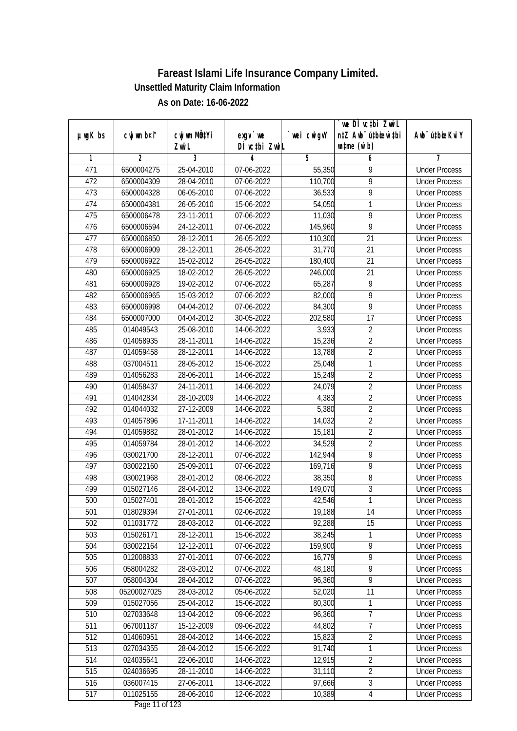|               |             | cwj wm MQ <sup>1</sup> Yi |                                    |             | we DI vctbi ZwiL<br>n‡Z Awb <sup>-</sup> ú‡bioen`‡bi |                             |
|---------------|-------------|---------------------------|------------------------------------|-------------|------------------------------------------------------|-----------------------------|
| $µ$ ug $K$ bs | cwj wm b¤i^ | Zwi L                     | $exgV$ we<br>DÌ vctbi ZwiL         | `wei cwigvY | $\n  untime\n  (u`b)\n$                              | Awb <sup>-</sup> ú‡bioeKviY |
| 1             | 2           | 3                         | 4                                  | 5           | 6                                                    | 7                           |
| 471           | 6500004275  | 25-04-2010                | 07-06-2022                         | 55,350      | 9                                                    | <b>Under Process</b>        |
| 472           | 6500004309  | 28-04-2010                | 07-06-2022                         | 110,700     | 9                                                    | <b>Under Process</b>        |
| 473           | 6500004328  | 06-05-2010                | 07-06-2022                         | 36,533      | 9                                                    | <b>Under Process</b>        |
| 474           | 6500004381  | 26-05-2010                | 15-06-2022                         | 54,050      | 1                                                    | <b>Under Process</b>        |
| 475           | 6500006478  | $23 - 11 - 2011$          | 07-06-2022                         | 11,030      | $\overline{9}$                                       | <b>Under Process</b>        |
| 476           | 6500006594  | 24-12-2011                | 07-06-2022                         | 145,960     | 9                                                    | <b>Under Process</b>        |
| 477           | 6500006850  | 28-12-2011                | 26-05-2022                         | 110,300     | 21                                                   | <b>Under Process</b>        |
| 478           | 6500006909  | 28-12-2011                | 26-05-2022                         | 31,770      | $\overline{21}$                                      | <b>Under Process</b>        |
| 479           | 6500006922  | 15-02-2012                | 26-05-2022                         | 180,400     | 21                                                   | <b>Under Process</b>        |
| 480           | 6500006925  | 18-02-2012                | 26-05-2022                         | 246,000     | 21                                                   | <b>Under Process</b>        |
| 481           | 6500006928  | 19-02-2012                | 07-06-2022                         | 65,287      | $\overline{9}$                                       | <b>Under Process</b>        |
| 482           | 6500006965  | 15-03-2012                | 07-06-2022                         | 82,000      | 9                                                    | <b>Under Process</b>        |
| 483           | 6500006998  | 04-04-2012                | 07-06-2022                         | 84,300      | $\overline{9}$                                       | <b>Under Process</b>        |
| 484           | 6500007000  | 04-04-2012                | 30-05-2022                         | 202,580     | 17                                                   | <b>Under Process</b>        |
| 485           | 014049543   | 25-08-2010                | 14-06-2022                         | 3,933       | $\sqrt{2}$                                           | <b>Under Process</b>        |
| 486           | 014058935   | 28-11-2011                | 14-06-2022                         | 15,236      | $\overline{2}$                                       | <b>Under Process</b>        |
| 487           | 014059458   | 28-12-2011                | 14-06-2022                         | 13,788      | $\overline{2}$                                       | <b>Under Process</b>        |
| 488           | 037004511   | 28-05-2012                | 15-06-2022                         | 25,048      | 1                                                    | <b>Under Process</b>        |
| 489           | 014056283   | 28-06-2011                | 14-06-2022                         | 15,249      | $\overline{2}$                                       | <b>Under Process</b>        |
| 490           | 014058437   | 24-11-2011                | 14-06-2022                         | 24,079      | $\overline{2}$                                       | <b>Under Process</b>        |
| 491           | 014042834   | 28-10-2009                | 14-06-2022                         | 4,383       | $\overline{2}$                                       | <b>Under Process</b>        |
| 492           | 014044032   | 27-12-2009                | 14-06-2022                         | 5,380       | $\overline{2}$                                       | <b>Under Process</b>        |
| 493           | 014057896   | $\overline{17}$ -11-2011  | 14-06-2022                         | 14,032      | $\overline{2}$                                       | <b>Under Process</b>        |
| 494           | 014059882   | 28-01-2012                | 14-06-2022                         | 15,181      | $\overline{2}$                                       | <b>Under Process</b>        |
| 495           | 014059784   | 28-01-2012                | 14-06-2022                         | 34,529      | $\overline{2}$                                       | <b>Under Process</b>        |
| 496           | 030021700   | 28-12-2011                | 07-06-2022                         | 142,944     | 9                                                    | <b>Under Process</b>        |
| 497           | 030022160   | 25-09-2011                | 07-06-2022                         | 169,716     | 9                                                    | <b>Under Process</b>        |
| 498           | 030021968   | 28-01-2012                | 08-06-2022                         | 38,350      | 8                                                    | <b>Under Process</b>        |
| 499           | 015027146   | 28-04-2012                | 13-06-2022                         | 149,070     | $\overline{3}$                                       | <b>Under Process</b>        |
| 500           | 015027401   | 28-01-2012                | 15-06-2022                         | 42,546      | 1                                                    | <b>Under Process</b>        |
| 501           | 018029394   | 27-01-2011                | 02-06-2022                         | 19,188      | 14                                                   | <b>Under Process</b>        |
| 502           | 011031772   | 28-03-2012                | 01-06-2022                         | 92,288      | 15                                                   | <b>Under Process</b>        |
| 503           | 015026171   | 28-12-2011                | 15-06-2022                         | 38,245      | 1                                                    | <b>Under Process</b>        |
| 504           | 030022164   | 12-12-2011                | 07-06-2022                         | 159,900     | $\overline{9}$                                       | <b>Under Process</b>        |
| 505           | 012008833   | 27-01-2011                | 07-06-2022                         | 16,779      | 9                                                    | <b>Under Process</b>        |
| 506           | 058004282   | 28-03-2012                | 07-06-2022                         | 48,180      | 9                                                    | <b>Under Process</b>        |
| 507           | 058004304   | 28-04-2012                | 07-06-2022                         | 96,360      | $\overline{9}$                                       | <b>Under Process</b>        |
| 508           | 05200027025 | 28-03-2012                | 05-06-2022                         | 52,020      | 11                                                   | <b>Under Process</b>        |
| 509           | 015027056   | 25-04-2012                | 15-06-2022                         | 80,300      | 1                                                    | <b>Under Process</b>        |
| 510           | 027033648   | 13-04-2012                | 09-06-2022                         | 96,360      | $\overline{7}$                                       | <b>Under Process</b>        |
| 511           | 067001187   | 15-12-2009                | 09-06-2022                         | 44,802      | $\overline{7}$                                       | <b>Under Process</b>        |
| 512           | 014060951   | 28-04-2012                | 14-06-2022                         | 15,823      | $\overline{2}$                                       | <b>Under Process</b>        |
| 513           | 027034355   | 28-04-2012                | 15-06-2022                         | 91,740      | 1                                                    | <b>Under Process</b>        |
| 514           | 024035641   | 22-06-2010                | 14-06-2022                         | 12,915      | $\overline{2}$                                       | <b>Under Process</b>        |
| 515           | 024036695   | 28-11-2010                | 14-06-2022                         | 31,110      | $\overline{2}$                                       | <b>Under Process</b>        |
| 516           | 036007415   | 27-06-2011                | 13-06-2022                         | 97,666      | $\overline{3}$                                       | <b>Under Process</b>        |
| 517           | 011025155   | 28-06-2010                | 12-06-2022<br>$D_{0.92}$ 11 of 100 | 10,389      | 4                                                    | <b>Under Process</b>        |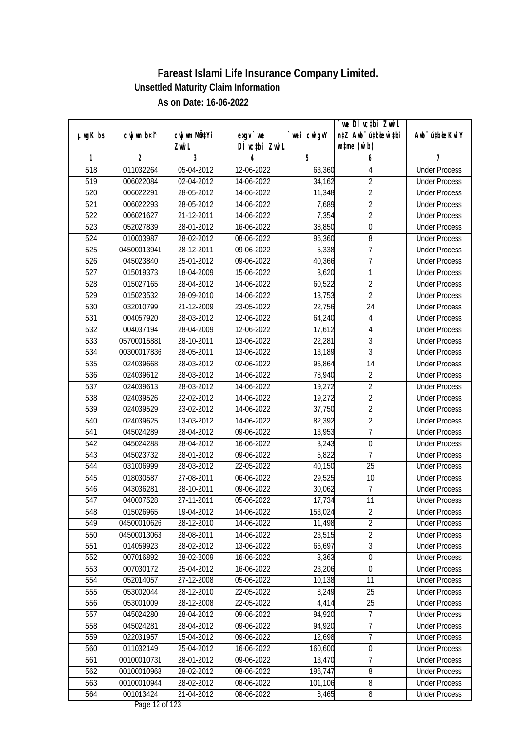|               |                |              |                  |            | we DI vctbi Zwil                 |                             |
|---------------|----------------|--------------|------------------|------------|----------------------------------|-----------------------------|
| $µ$ ug $K$ bs | cwj wm b¤i^    | cwj wm MQtYi | $exgV$ we        | wei cwigvY | n‡Z Awb <sup>-</sup> ú‡bioen`‡bi | Awb <sup>-</sup> ú‡bioeKviY |
|               |                | Zwi L        | DÌ vctbi ZwiL    |            | $\n  untime\n  (u`b)\n$          |                             |
| 1             | $\overline{2}$ | 3            | 4                | 5          | 6                                | 7                           |
| 518           | 011032264      | 05-04-2012   | 12-06-2022       | 63,360     | 4                                | <b>Under Process</b>        |
| 519           | 006022084      | 02-04-2012   | 14-06-2022       | 34,162     | $\overline{2}$                   | <b>Under Process</b>        |
| 520           | 006022291      | 28-05-2012   | 14-06-2022       | 11,348     | $\overline{2}$                   | <b>Under Process</b>        |
| 521           | 006022293      | 28-05-2012   | 14-06-2022       | 7,689      | $\overline{2}$                   | <b>Under Process</b>        |
| 522           | 006021627      | 21-12-2011   | 14-06-2022       | 7,354      | $\overline{2}$                   | <b>Under Process</b>        |
| 523           | 052027839      | 28-01-2012   | $16 - 06 - 2022$ | 38,850     | 0                                | <b>Under Process</b>        |
| 524           | 010003987      | 28-02-2012   | 08-06-2022       | 96,360     | 8                                | <b>Under Process</b>        |
| 525           | 04500013941    | 28-12-2011   | 09-06-2022       | 5,338      | 7                                | <b>Under Process</b>        |
| 526           | 045023840      | 25-01-2012   | 09-06-2022       | 40,366     | $\overline{7}$                   | <b>Under Process</b>        |
| 527           | 015019373      | 18-04-2009   | 15-06-2022       | 3,620      | 1                                | <b>Under Process</b>        |
| 528           | 015027165      | 28-04-2012   | 14-06-2022       | 60,522     | $\overline{2}$                   | <b>Under Process</b>        |
| 529           | 015023532      | 28-09-2010   | 14-06-2022       | 13,753     | $\overline{2}$                   | <b>Under Process</b>        |
| 530           | 032010799      | 21-12-2009   | 23-05-2022       | 22,756     | $\overline{24}$                  | <b>Under Process</b>        |
| 531           | 004057920      | 28-03-2012   | 12-06-2022       | 64,240     | 4                                | <b>Under Process</b>        |
| 532           | 004037194      | 28-04-2009   | 12-06-2022       | 17,612     | $\overline{4}$                   | <b>Under Process</b>        |
| 533           | 05700015881    | 28-10-2011   | 13-06-2022       | 22,281     | 3                                | <b>Under Process</b>        |
| 534           | 00300017836    | 28-05-2011   | 13-06-2022       | 13,189     | 3                                | <b>Under Process</b>        |
| 535           | 024039668      | 28-03-2012   | 02-06-2022       | 96,864     | 14                               | <b>Under Process</b>        |
| 536           | 024039612      | 28-03-2012   | 14-06-2022       | 78,940     | $\overline{2}$                   | <b>Under Process</b>        |
| 537           | 024039613      | 28-03-2012   | 14-06-2022       | 19,272     | $\overline{2}$                   | <b>Under Process</b>        |
| 538           | 024039526      | 22-02-2012   | 14-06-2022       | 19,272     | $\overline{2}$                   | <b>Under Process</b>        |
| 539           | 024039529      | 23-02-2012   | 14-06-2022       | 37,750     | $\overline{2}$                   | <b>Under Process</b>        |
| 540           | 024039625      | 13-03-2012   | 14-06-2022       | 82,392     | $\overline{2}$                   | <b>Under Process</b>        |
| 541           | 045024289      | 28-04-2012   | 09-06-2022       | 13,953     | $\overline{7}$                   | <b>Under Process</b>        |
| 542           | 045024288      | 28-04-2012   | 16-06-2022       | 3,243      | $\boldsymbol{0}$                 | <b>Under Process</b>        |
| 543           | 045023732      | 28-01-2012   | 09-06-2022       | 5,822      | $\overline{7}$                   | <b>Under Process</b>        |
| 544           | 031006999      | 28-03-2012   | $22 - 05 - 2022$ | 40,150     | 25                               | <b>Under Process</b>        |
| 545           | 018030587      | 27-08-2011   | 06-06-2022       | 29,525     | 10                               | <b>Under Process</b>        |
| 546           | 043036281      | 28-10-2011   | 09-06-2022       | 30,062     | $\overline{7}$                   | <b>Under Process</b>        |
| 547           | 040007528      | 27-11-2011   | 05-06-2022       | 17,734     | 11                               | <b>Under Process</b>        |
| 548           | 015026965      | 19-04-2012   | 14-06-2022       | 153,024    | $\overline{2}$                   | <b>Under Process</b>        |
| 549           | 04500010626    | 28-12-2010   | 14-06-2022       | 11,498     | $\overline{2}$                   | <b>Under Process</b>        |
| 550           | 04500013063    | 28-08-2011   | 14-06-2022       | 23,515     | $\overline{2}$                   | <b>Under Process</b>        |
| 551           | 014059923      | 28-02-2012   | 13-06-2022       | 66,697     | $\overline{3}$                   | <b>Under Process</b>        |
| 552           | 007016892      | 28-02-2009   | 16-06-2022       | 3,363      | $\boldsymbol{0}$                 | <b>Under Process</b>        |
| 553           | 007030172      | 25-04-2012   | 16-06-2022       | 23,206     | $\pmb{0}$                        | <b>Under Process</b>        |
| 554           | 052014057      | 27-12-2008   | 05-06-2022       | 10,138     | 11                               | <b>Under Process</b>        |
| 555           | 053002044      | 28-12-2010   | 22-05-2022       | 8,249      | 25                               | <b>Under Process</b>        |
| 556           | 053001009      | 28-12-2008   | 22-05-2022       | 4,414      | 25                               | <b>Under Process</b>        |
| 557           | 045024280      | 28-04-2012   | 09-06-2022       | 94,920     | $\overline{7}$                   | <b>Under Process</b>        |
| 558           | 045024281      | 28-04-2012   | 09-06-2022       | 94,920     | $\overline{7}$                   | <b>Under Process</b>        |
| 559           | 022031957      | 15-04-2012   | 09-06-2022       | 12,698     | $\overline{7}$                   | <b>Under Process</b>        |
| 560           | 011032149      | 25-04-2012   | 16-06-2022       | 160,600    | 0                                | <b>Under Process</b>        |
| 561           | 00100010731    | 28-01-2012   | 09-06-2022       | 13,470     | 7                                | <b>Under Process</b>        |
| 562           | 00100010968    | 28-02-2012   | 08-06-2022       | 196,747    | 8                                | <b>Under Process</b>        |
| 563           | 00100010944    | 28-02-2012   | 08-06-2022       | 101,106    | 8                                | <b>Under Process</b>        |
| 564           | 001013424      | 21-04-2012   | 08-06-2022       | 8,465      | 8                                | <b>Under Process</b>        |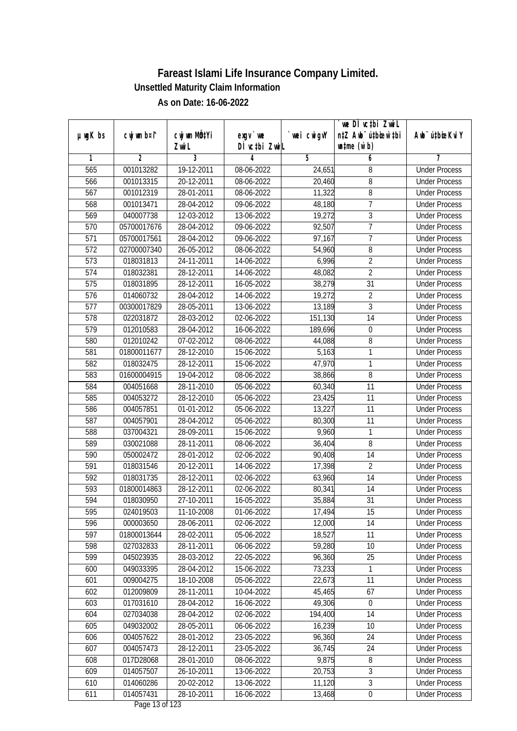|                  |                |                           |                                          |             | `we DÌ vc‡bi Zwwi∟               |                             |
|------------------|----------------|---------------------------|------------------------------------------|-------------|----------------------------------|-----------------------------|
| $µ$ ug $K$ bs    | cwj wm b¤i^    | cwj wm MQ <sup>1</sup> Yi | $exqu$ we                                | `wei cwigvY | n‡Z Awb <sup>-</sup> ú‡bioen`‡bi | Awb <sup>-</sup> ú‡bioeKviY |
|                  |                | Zwi L                     | DÌ vctbi ZwiL                            |             | $\n  untime\n  (u`b)\n$          |                             |
| 1                | $\overline{2}$ | $\overline{3}$            | 4                                        | 5           | 6                                | 7                           |
| 565              | 001013282      | 19-12-2011                | 08-06-2022                               | 24,651      | 8                                | <b>Under Process</b>        |
| 566              | 001013315      | 20-12-2011                | 08-06-2022                               | 20,460      | 8                                | <b>Under Process</b>        |
| 567              | 001012319      | 28-01-2011                | 08-06-2022                               | 11,322      | 8                                | <b>Under Process</b>        |
| 568              | 001013471      | 28-04-2012                | 09-06-2022                               | 48,180      | $\overline{7}$                   | <b>Under Process</b>        |
| 569              | 040007738      | 12-03-2012                | 13-06-2022                               | 19,272      | $\overline{3}$                   | <b>Under Process</b>        |
| 570              | 05700017676    | 28-04-2012                | 09-06-2022                               | 92,507      | 7                                | <b>Under Process</b>        |
| 571              | 05700017561    | 28-04-2012                | 09-06-2022                               | 97,167      | 7                                | <b>Under Process</b>        |
| 572              | 02700007340    | 26-05-2012                | 08-06-2022                               | 54,960      | 8                                | <b>Under Process</b>        |
| 573              | 018031813      | 24-11-2011                | 14-06-2022                               | 6,996       | $\overline{2}$                   | <b>Under Process</b>        |
| 574              | 018032381      | 28-12-2011                | 14-06-2022                               | 48,082      | $\overline{2}$                   | <b>Under Process</b>        |
| $\overline{575}$ | 018031895      | 28-12-2011                | 16-05-2022                               | 38,279      | $\overline{31}$                  | <b>Under Process</b>        |
| 576              | 014060732      | 28-04-2012                | 14-06-2022                               | 19,272      | $\overline{2}$                   | <b>Under Process</b>        |
| 577              | 00300017829    | 28-05-2011                | 13-06-2022                               | 13,189      | $\overline{3}$                   | <b>Under Process</b>        |
| 578              | 022031872      | 28-03-2012                | 02-06-2022                               | 151,130     | 14                               | <b>Under Process</b>        |
| 579              | 012010583      | 28-04-2012                | 16-06-2022                               | 189,696     | 0                                | <b>Under Process</b>        |
| 580              | 012010242      | 07-02-2012                | 08-06-2022                               | 44,088      | 8                                | <b>Under Process</b>        |
| 581              | 01800011677    | 28-12-2010                | 15-06-2022                               | 5,163       | 1                                | <b>Under Process</b>        |
| 582              | 018032475      | 28-12-2011                | 15-06-2022                               | 47,970      | 1                                | <b>Under Process</b>        |
| 583              | 01600004915    | 19-04-2012                | 08-06-2022                               | 38,866      | 8                                | <b>Under Process</b>        |
| 584              | 004051668      | 28-11-2010                | 05-06-2022                               | 60,340      | 11                               | <b>Under Process</b>        |
| 585              | 004053272      | 28-12-2010                | 05-06-2022                               | 23,425      | 11                               | <b>Under Process</b>        |
| 586              | 004057851      | 01-01-2012                | 05-06-2022                               | 13,227      | 11                               | <b>Under Process</b>        |
| 587              | 004057901      | 28-04-2012                | 05-06-2022                               | 80,300      | 11                               | <b>Under Process</b>        |
| 588              | 037004321      | 28-09-2011                | 15-06-2022                               | 9,960       | $\mathbf{1}$                     | <b>Under Process</b>        |
| 589              | 030021088      | 28-11-2011                | 08-06-2022                               | 36,404      | 8                                | <b>Under Process</b>        |
| 590              | 050002472      | 28-01-2012                | 02-06-2022                               | 90,408      | 14                               | <b>Under Process</b>        |
| 591              | 018031546      | 20-12-2011                | 14-06-2022                               | 17,398      | $\overline{2}$                   | <b>Under Process</b>        |
| 592              | 018031735      | 28-12-2011                | 02-06-2022                               | 63,960      | 14                               | <b>Under Process</b>        |
| 593              | 01800014863    | 28-12-2011                | 02-06-2022                               | 80,341      | 14                               | <b>Under Process</b>        |
| 594              | 018030950      | 27-10-2011                | 16-05-2022                               | 35,884      | 31                               | <b>Under Process</b>        |
| 595              | 024019503      | 11-10-2008                | 01-06-2022                               | 17,494      | 15                               | <b>Under Process</b>        |
| 596              | 000003650      | 28-06-2011                | 02-06-2022                               | 12,000      | 14                               | <b>Under Process</b>        |
| 597              | 01800013644    | 28-02-2011                | 05-06-2022                               | 18,527      | 11                               | <b>Under Process</b>        |
| 598              | 027032833      | 28-11-2011                | 06-06-2022                               | 59,280      | 10                               | <b>Under Process</b>        |
| 599              | 045023935      | 28-03-2012                | 22-05-2022                               | 96,360      | 25                               | <b>Under Process</b>        |
| 600              | 049033395      | 28-04-2012                | 15-06-2022                               | 73,233      | 1                                | <b>Under Process</b>        |
| 601              | 009004275      | 18-10-2008                | 05-06-2022                               | 22,673      | 11                               | <b>Under Process</b>        |
| 602              | 012009809      | 28-11-2011                | 10-04-2022                               | 45,465      | 67                               | <b>Under Process</b>        |
| 603              | 017031610      | 28-04-2012                | 16-06-2022                               | 49,306      | $\boldsymbol{0}$                 | <b>Under Process</b>        |
| 604              | 027034038      | 28-04-2012                | 02-06-2022                               | 194,400     | 14                               | <b>Under Process</b>        |
| 605              | 049032002      | 28-05-2011                | 06-06-2022                               | 16,239      | 10                               | <b>Under Process</b>        |
| 606              | 004057622      | 28-01-2012                | 23-05-2022                               | 96,360      | 24                               | <b>Under Process</b>        |
| 607              | 004057473      | 28-12-2011                | 23-05-2022                               | 36,745      | 24                               | <b>Under Process</b>        |
| 608              | 017D28068      | 28-01-2010                | 08-06-2022                               | 9,875       | 8                                | <b>Under Process</b>        |
| 609              | 014057507      | 26-10-2011                | 13-06-2022                               | 20,753      | $\overline{3}$                   | <b>Under Process</b>        |
| 610              | 014060286      | 20-02-2012                | 13-06-2022                               | 11,120      | $\overline{3}$                   | <b>Under Process</b>        |
| 611              | 014057431      | 28-10-2011                | 16-06-2022<br>$D_{\text{max}}$ 10 of 100 | 13,468      | $\boldsymbol{0}$                 | <b>Under Process</b>        |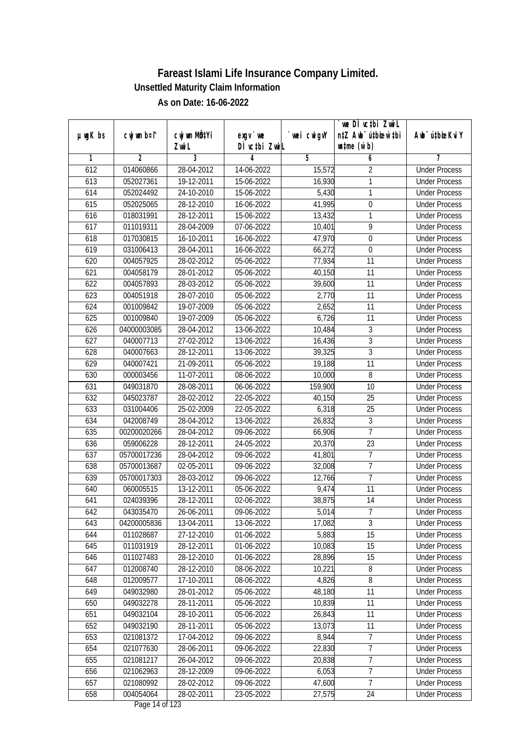|               |                |              |                                  |            | we DI vctbi ZwiL                 |                              |
|---------------|----------------|--------------|----------------------------------|------------|----------------------------------|------------------------------|
| $µ$ ug $K$ bs | cwj wm b¤i^    | cwj wm MQtYi | $exgV$ we                        | wei cwigvY | n‡Z Awb <sup>-</sup> ú‡bioar`‡bi | Aub <sup>-</sup> ú‡biosKvi Y |
|               |                | Zwi L        | DÌ vctbi ZwiL                    |            | $\n  untime\n  (u`b)\n$          |                              |
| 1             | $\overline{2}$ | 3            | 4                                | 5          | 6                                | 7                            |
| 612           | 014060866      | 28-04-2012   | 14-06-2022                       | 15,572     | $\overline{2}$                   | <b>Under Process</b>         |
| 613           | 052027361      | 19-12-2011   | 15-06-2022                       | 16,930     | 1                                | <b>Under Process</b>         |
| 614           | 052024492      | 24-10-2010   | 15-06-2022                       | 5,430      | 1                                | <b>Under Process</b>         |
| 615           | 052025065      | 28-12-2010   | 16-06-2022                       | 41,995     | $\boldsymbol{0}$                 | <b>Under Process</b>         |
| 616           | 018031991      | 28-12-2011   | 15-06-2022                       | 13,432     | 1                                | <b>Under Process</b>         |
| 617           | 011019311      | 28-04-2009   | 07-06-2022                       | 10,401     | $\overline{9}$                   | <b>Under Process</b>         |
| 618           | 017030815      | 16-10-2011   | 16-06-2022                       | 47,970     | $\overline{0}$                   | <b>Under Process</b>         |
| 619           | 031006413      | 28-04-2011   | 16-06-2022                       | 66,272     | $\boldsymbol{0}$                 | <b>Under Process</b>         |
| 620           | 004057925      | 28-02-2012   | 05-06-2022                       | 77,934     | 11                               | <b>Under Process</b>         |
| 621           | 004058179      | 28-01-2012   | 05-06-2022                       | 40,150     | 11                               | <b>Under Process</b>         |
| 622           | 004057893      | 28-03-2012   | 05-06-2022                       | 39,600     | $\overline{11}$                  | <b>Under Process</b>         |
| 623           | 004051918      | 28-07-2010   | 05-06-2022                       | 2,770      | 11                               | <b>Under Process</b>         |
| 624           | 001009842      | 19-07-2009   | 05-06-2022                       | 2,652      | $\overline{11}$                  | <b>Under Process</b>         |
| 625           | 001009840      | 19-07-2009   | 05-06-2022                       | 6,726      | 11                               | <b>Under Process</b>         |
| 626           | 04000003085    | 28-04-2012   | 13-06-2022                       | 10,484     | 3                                | <b>Under Process</b>         |
| 627           | 040007713      | 27-02-2012   | 13-06-2022                       | 16,436     | $\mathfrak{Z}$                   | <b>Under Process</b>         |
| 628           | 040007663      | 28-12-2011   | 13-06-2022                       | 39,325     | $\mathfrak{Z}$                   | <b>Under Process</b>         |
| 629           | 040007421      | 21-09-2011   | 05-06-2022                       | 19,188     | 11                               | <b>Under Process</b>         |
| 630           | 000003456      | 11-07-2011   | 08-06-2022                       | 10,000     | 8                                | <b>Under Process</b>         |
| 631           | 049031870      | 28-08-2011   | 06-06-2022                       | 159,900    | 10                               | <b>Under Process</b>         |
| 632           | 045023787      | 28-02-2012   | 22-05-2022                       | 40,150     | 25                               | <b>Under Process</b>         |
| 633           | 031004406      | 25-02-2009   | 22-05-2022                       | 6,318      | 25                               | <b>Under Process</b>         |
| 634           | 042008749      | 28-04-2012   | 13-06-2022                       | 26,832     | 3                                | <b>Under Process</b>         |
| 635           | 00200020266    | 28-04-2012   | 09-06-2022                       | 66,906     | $\overline{7}$                   | <b>Under Process</b>         |
| 636           | 059006228      | 28-12-2011   | 24-05-2022                       | 20,370     | 23                               | <b>Under Process</b>         |
| 637           | 05700017236    | 28-04-2012   | 09-06-2022                       | 41,801     | $\overline{7}$                   | <b>Under Process</b>         |
| 638           | 05700013687    | 02-05-2011   | 09-06-2022                       | 32,008     | $\overline{1}$                   | <b>Under Process</b>         |
| 639           | 05700017303    | 28-03-2012   | 09-06-2022                       | 12,766     | $\overline{7}$                   | <b>Under Process</b>         |
| 640           | 060005515      | 13-12-2011   | 05-06-2022                       | 9,474      | 11                               | <b>Under Process</b>         |
| 641           | 024039396      | 28-12-2011   | 02-06-2022                       | 38,875     | 14                               | <b>Under Process</b>         |
| 642           | 043035470      | 26-06-2011   | 09-06-2022                       | 5,014      | 7                                | <b>Under Process</b>         |
| 643           | 04200005836    | 13-04-2011   | 13-06-2022                       | 17,082     | $\overline{3}$                   | <b>Under Process</b>         |
| 644           | 011028687      | 27-12-2010   | 01-06-2022                       | 5,883      | 15                               | <b>Under Process</b>         |
| 645           | 011031919      | 28-12-2011   | 01-06-2022                       | 10,083     | 15                               | <b>Under Process</b>         |
| 646           | 011027483      | 28-12-2010   | 01-06-2022                       | 28,896     | 15                               | <b>Under Process</b>         |
| 647           | 012008740      | 28-12-2010   | 08-06-2022                       | 10,221     | 8                                | <b>Under Process</b>         |
| 648           | 012009577      | 17-10-2011   | 08-06-2022                       | 4,826      | $\overline{\bf 8}$               | <b>Under Process</b>         |
| 649           | 049032980      | 28-01-2012   | 05-06-2022                       | 48,180     | 11                               | <b>Under Process</b>         |
| 650           | 049032278      | 28-11-2011   | 05-06-2022                       | 10,839     | 11                               | <b>Under Process</b>         |
| 651           | 049032104      | 28-10-2011   | 05-06-2022                       | 26,843     | 11                               | <b>Under Process</b>         |
| 652           | 049032190      | 28-11-2011   | 05-06-2022                       | 13,073     | 11                               | <b>Under Process</b>         |
| 653           | 021081372      | 17-04-2012   | 09-06-2022                       | 8,944      | $\overline{7}$                   | <b>Under Process</b>         |
| 654           | 021077630      | 28-06-2011   | $\overline{09}$ -06-2022         | 22,830     | 7                                | <b>Under Process</b>         |
| 655           | 021081217      | 26-04-2012   | 09-06-2022                       | 20,838     | 7                                | <b>Under Process</b>         |
| 656           | 021062963      | 28-12-2009   | 09-06-2022                       | 6,053      | $\overline{7}$                   | <b>Under Process</b>         |
| 657           | 021080992      | 28-02-2012   | 09-06-2022                       | 47,600     | $\overline{7}$                   | <b>Under Process</b>         |
| 658           | 004054064      | 28-02-2011   | 23-05-2022<br>Dogs $14$ of $122$ | 27,575     | 24                               | <b>Under Process</b>         |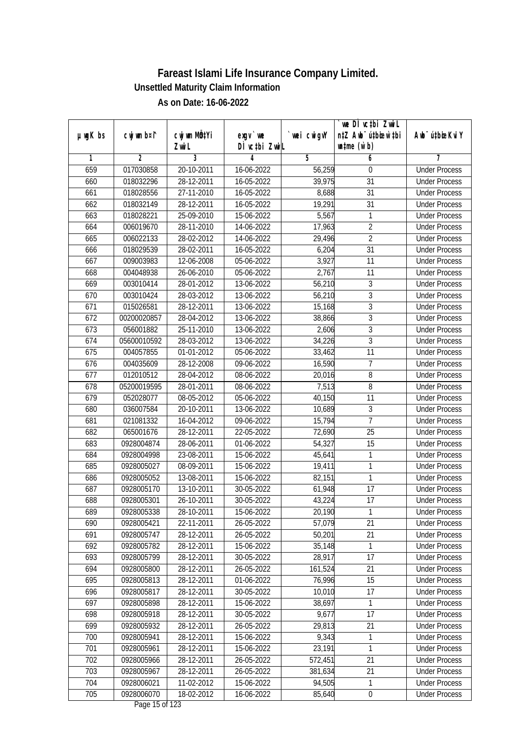|               |                |                           |                                                       |             | `we DÌ vc‡bi Zwwi∟               |                             |
|---------------|----------------|---------------------------|-------------------------------------------------------|-------------|----------------------------------|-----------------------------|
| $µ$ ug $K$ bs | cwj wm b¤i^    | cwj wm MQ <sup>1</sup> Yi | $exqu$ we                                             | `wei cwigvY | n‡Z Awb <sup>-</sup> ú‡bioen`‡bi | Awb <sup>-</sup> ú‡bioeKviY |
|               |                | Zwi L                     | DÌ vctbi ZwiL                                         |             | $\n  untime\n  (u`b)\n$          |                             |
| 1             | $\overline{2}$ | $\overline{3}$            | 4                                                     | 5           | 6                                | 7                           |
| 659           | 017030858      | 20-10-2011                | 16-06-2022                                            | 56,259      | 0                                | <b>Under Process</b>        |
| 660           | 018032296      | 28-12-2011                | 16-05-2022                                            | 39,975      | $\overline{31}$                  | <b>Under Process</b>        |
| 661           | 018028556      | 27-11-2010                | 16-05-2022                                            | 8,688       | $\overline{31}$                  | <b>Under Process</b>        |
| 662           | 018032149      | 28-12-2011                | 16-05-2022                                            | 19,291      | $\overline{31}$                  | <b>Under Process</b>        |
| 663           | 018028221      | 25-09-2010                | 15-06-2022                                            | 5,567       | 1                                | <b>Under Process</b>        |
| 664           | 006019670      | 28-11-2010                | 14-06-2022                                            | 17,963      | $\overline{2}$                   | <b>Under Process</b>        |
| 665           | 006022133      | 28-02-2012                | 14-06-2022                                            | 29,496      | $\overline{2}$                   | <b>Under Process</b>        |
| 666           | 018029539      | 28-02-2011                | 16-05-2022                                            | 6,204       | $\overline{31}$                  | <b>Under Process</b>        |
| 667           | 009003983      | 12-06-2008                | 05-06-2022                                            | 3,927       | 11                               | <b>Under Process</b>        |
| 668           | 004048938      | 26-06-2010                | 05-06-2022                                            | 2,767       | $\overline{11}$                  | <b>Under Process</b>        |
| 669           | 003010414      | 28-01-2012                | 13-06-2022                                            | 56,210      | 3                                | <b>Under Process</b>        |
| 670           | 003010424      | 28-03-2012                | 13-06-2022                                            | 56,210      | 3                                | <b>Under Process</b>        |
| 671           | 015026581      | 28-12-2011                | 13-06-2022                                            | 15,168      | $\overline{3}$                   | <b>Under Process</b>        |
| 672           | 00200020857    | 28-04-2012                | 13-06-2022                                            | 38,866      | $\overline{3}$                   | <b>Under Process</b>        |
| 673           | 056001882      | 25-11-2010                | 13-06-2022                                            | 2,606       | $\overline{3}$                   | <b>Under Process</b>        |
| 674           | 05600010592    | 28-03-2012                | $\overline{13} - 06 - 2022$                           | 34,226      | $\overline{3}$                   | <b>Under Process</b>        |
| 675           | 004057855      | 01-01-2012                | 05-06-2022                                            | 33,462      | 11                               | <b>Under Process</b>        |
| 676           | 004035609      | 28-12-2008                | 09-06-2022                                            | 16,590      | $\overline{7}$                   | <b>Under Process</b>        |
| 677           | 012010512      | 28-04-2012                | 08-06-2022                                            | 20,016      | 8                                | <b>Under Process</b>        |
| 678           | 05200019595    | 28-01-2011                | 08-06-2022                                            | 7,513       | 8                                | <b>Under Process</b>        |
| 679           | 052028077      | 08-05-2012                | 05-06-2022                                            | 40,150      | 11                               | <b>Under Process</b>        |
| 680           | 036007584      | 20-10-2011                | 13-06-2022                                            | 10,689      | $\overline{3}$                   | <b>Under Process</b>        |
| 681           | 021081332      | 16-04-2012                | 09-06-2022                                            | 15,794      | $\overline{7}$                   | <b>Under Process</b>        |
| 682           | 065001676      | 28-12-2011                | 22-05-2022                                            | 72,690      | 25                               | <b>Under Process</b>        |
| 683           | 0928004874     | 28-06-2011                | 01-06-2022                                            | 54,327      | 15                               | <b>Under Process</b>        |
| 684           | 0928004998     | 23-08-2011                | 15-06-2022                                            | 45,641      | $\mathbf{1}$                     | <b>Under Process</b>        |
| 685           | 0928005027     | 08-09-2011                | 15-06-2022                                            | 19,411      | 1                                | <b>Under Process</b>        |
| 686           | 0928005052     | 13-08-2011                | 15-06-2022                                            | 82,151      | $\mathbf{1}$                     | <b>Under Process</b>        |
| 687           | 0928005170     | 13-10-2011                | 30-05-2022                                            | 61,948      | 17                               | <b>Under Process</b>        |
| 688           | 0928005301     | 26-10-2011                | 30-05-2022                                            | 43,224      | 17                               | <b>Under Process</b>        |
| 689           | 0928005338     | 28-10-2011                | 15-06-2022                                            | 20,190      | 1                                | <b>Under Process</b>        |
| 690           | 0928005421     | 22-11-2011                | 26-05-2022                                            | 57,079      | 21                               | <b>Under Process</b>        |
| 691           | 0928005747     | 28-12-2011                | 26-05-2022                                            | 50,201      | 21                               | <b>Under Process</b>        |
| 692           | 0928005782     | 28-12-2011                | 15-06-2022                                            | 35,148      | $\mathbf{1}$                     | <b>Under Process</b>        |
| 693           | 0928005799     | 28-12-2011                | 30-05-2022                                            | 28,917      | 17                               | <b>Under Process</b>        |
| 694           | 0928005800     | 28-12-2011                | 26-05-2022                                            | 161,524     | 21                               | <b>Under Process</b>        |
| 695           | 0928005813     | 28-12-2011                | 01-06-2022                                            | 76,996      | 15                               | <b>Under Process</b>        |
| 696           | 0928005817     | 28-12-2011                | 30-05-2022                                            | 10,010      | 17                               | <b>Under Process</b>        |
| 697           | 0928005898     | 28-12-2011                | 15-06-2022                                            | 38,697      | 1                                | <b>Under Process</b>        |
| 698           | 0928005918     | 28-12-2011                | 30-05-2022                                            | 9,677       | 17                               | <b>Under Process</b>        |
| 699           | 0928005932     | 28-12-2011                | 26-05-2022                                            | 29,813      | 21                               | <b>Under Process</b>        |
| 700           | 0928005941     | 28-12-2011                | 15-06-2022                                            | 9,343       | 1                                | <b>Under Process</b>        |
| 701           | 0928005961     | 28-12-2011                | 15-06-2022                                            | 23,191      | 1                                | <b>Under Process</b>        |
| 702           | 0928005966     | 28-12-2011                | 26-05-2022                                            | 572,451     | 21                               | <b>Under Process</b>        |
| 703           | 0928005967     | 28-12-2011                | 26-05-2022                                            | 381,634     | 21                               | <b>Under Process</b>        |
| 704           | 0928006021     | 11-02-2012                | 15-06-2022                                            | 94,505      | 1                                | <b>Under Process</b>        |
| 705           | 0928006070     | 18-02-2012                | 16-06-2022<br>$D_{\text{max}}$ 1 $F_{\text{max}}$ 100 | 85,640      | $\boldsymbol{0}$                 | <b>Under Process</b>        |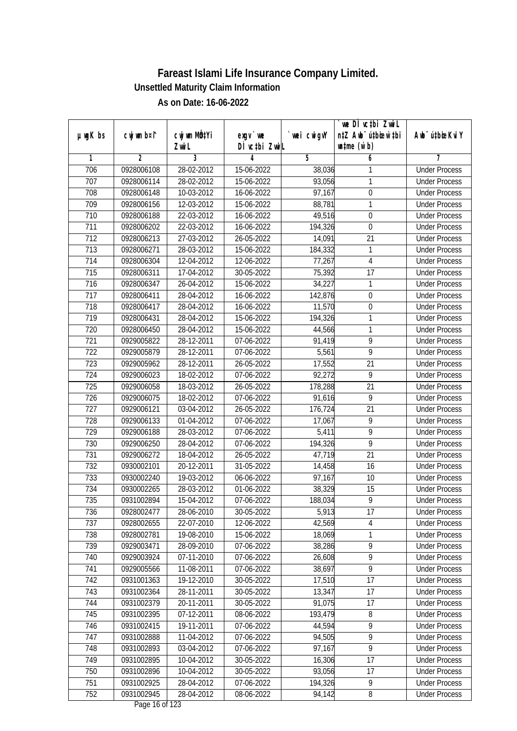|                  |                          |              |                    |            | we DI vctbi ZwiL                 |                             |
|------------------|--------------------------|--------------|--------------------|------------|----------------------------------|-----------------------------|
| $µ$ ug $K$ bs    | cwj wm b¤i^              | cwj wm MQtYi | $exgV$ we          | wei cwigvY | n‡Z Awb <sup>-</sup> ú‡bioar`‡bi | Awb <sup>-</sup> ú‡bioeKviY |
| 1                | $\overline{2}$           | Zwi L<br>3   | DÌ vctbi ZwiL<br>4 | 5          | $\n  untime\n  (u`b)\n$<br>6     | 7                           |
| 706              | 0928006108               | 28-02-2012   | 15-06-2022         | 38,036     | 1                                | <b>Under Process</b>        |
| 707              | 0928006114               | 28-02-2012   | 15-06-2022         | 93,056     | 1                                | <b>Under Process</b>        |
| 708              | 0928006148               | 10-03-2012   | 16-06-2022         | 97,167     | $\overline{0}$                   | <b>Under Process</b>        |
| 709              |                          | 12-03-2012   |                    |            | 1                                | <b>Under Process</b>        |
| 710              | 0928006156<br>0928006188 | 22-03-2012   | 15-06-2022         | 88,781     | $\overline{0}$                   | <b>Under Process</b>        |
|                  | 0928006202               |              | 16-06-2022         | 49,516     | $\mathbf 0$                      |                             |
| 711              |                          | 22-03-2012   | 16-06-2022         | 194,326    |                                  | <b>Under Process</b>        |
| $\overline{712}$ | 0928006213               | 27-03-2012   | $26 - 05 - 2022$   | 14,091     | 21                               | <b>Under Process</b>        |
| 713              | 0928006271               | 28-03-2012   | 15-06-2022         | 184,332    | 1                                | <b>Under Process</b>        |
| 714              | 0928006304               | 12-04-2012   | 12-06-2022         | 77,267     | $\overline{4}$                   | <b>Under Process</b>        |
| 715              | 0928006311               | 17-04-2012   | 30-05-2022         | 75,392     | 17                               | <b>Under Process</b>        |
| 716              | 0928006347               | 26-04-2012   | 15-06-2022         | 34,227     | 1                                | <b>Under Process</b>        |
| 717              | 0928006411               | 28-04-2012   | 16-06-2022         | 142,876    | $\boldsymbol{0}$                 | <b>Under Process</b>        |
| 718              | 0928006417               | 28-04-2012   | 16-06-2022         | 11,570     | $\overline{0}$                   | <b>Under Process</b>        |
| 719              | 0928006431               | 28-04-2012   | 15-06-2022         | 194,326    | 1                                | <b>Under Process</b>        |
| 720              | 0928006450               | 28-04-2012   | 15-06-2022         | 44,566     | 1                                | <b>Under Process</b>        |
| 721              | 0929005822               | 28-12-2011   | 07-06-2022         | 91,419     | $\overline{9}$                   | <b>Under Process</b>        |
| 722              | 0929005879               | 28-12-2011   | 07-06-2022         | 5,561      | $\overline{9}$                   | <b>Under Process</b>        |
| 723              | 0929005962               | 28-12-2011   | 26-05-2022         | 17,552     | 21                               | <b>Under Process</b>        |
| 724              | 0929006023               | 18-02-2012   | 07-06-2022         | 92,272     | 9                                | <b>Under Process</b>        |
| 725              | 0929006058               | 18-03-2012   | 26-05-2022         | 178,288    | 21                               | <b>Under Process</b>        |
| 726              | 0929006075               | 18-02-2012   | 07-06-2022         | 91,616     | 9                                | <b>Under Process</b>        |
| 727              | 0929006121               | 03-04-2012   | 26-05-2022         | 176,724    | 21                               | <b>Under Process</b>        |
| 728              | 0929006133               | 01-04-2012   | 07-06-2022         | 17,067     | $\overline{9}$                   | <b>Under Process</b>        |
| 729              | 0929006188               | 28-03-2012   | 07-06-2022         | 5,411      | $\overline{9}$                   | <b>Under Process</b>        |
| 730              | 0929006250               | 28-04-2012   | 07-06-2022         | 194,326    | 9                                | <b>Under Process</b>        |
| 731              | 0929006272               | 18-04-2012   | 26-05-2022         | 47,719     | 21                               | <b>Under Process</b>        |
| 732              | 0930002101               | 20-12-2011   | 31-05-2022         | 14,458     | 16                               | <b>Under Process</b>        |
| 733              | 0930002240               | 19-03-2012   | 06-06-2022         | 97,167     | 10                               | <b>Under Process</b>        |
| 734              | 0930002265               | 28-03-2012   | 01-06-2022         | 38,329     | 15                               | <b>Under Process</b>        |
| 735              | 0931002894               | 15-04-2012   | 07-06-2022         | 188,034    | 9                                | <b>Under Process</b>        |
| 736              | 0928002477               | 28-06-2010   | 30-05-2022         | 5,913      | 17                               | <b>Under Process</b>        |
| 737              | 0928002655               | 22-07-2010   | 12-06-2022         | 42,569     | 4                                | <b>Under Process</b>        |
| 738              | 0928002781               | 19-08-2010   | 15-06-2022         | 18,069     | 1                                | <b>Under Process</b>        |
| 739              | 0929003471               | 28-09-2010   | 07-06-2022         | 38,286     | 9                                | <b>Under Process</b>        |
| 740              | 0929003924               | 07-11-2010   | 07-06-2022         | 26,608     | $\overline{9}$                   | <b>Under Process</b>        |
| 741              | 0929005566               | 11-08-2011   | 07-06-2022         | 38,697     | $\overline{9}$                   | <b>Under Process</b>        |
| 742              | 0931001363               | 19-12-2010   | 30-05-2022         | 17,510     | 17                               | <b>Under Process</b>        |
| 743              | 0931002364               | 28-11-2011   | 30-05-2022         | 13,347     | 17                               | <b>Under Process</b>        |
| 744              | 0931002379               | 20-11-2011   | 30-05-2022         | 91,075     | 17                               | <b>Under Process</b>        |
| 745              | 0931002395               | 07-12-2011   | 08-06-2022         | 193,479    | 8                                | <b>Under Process</b>        |
| 746              | 0931002415               | 19-11-2011   | 07-06-2022         | 44,594     | 9                                | <b>Under Process</b>        |
| 747              | 0931002888               | 11-04-2012   | 07-06-2022         | 94,505     | $\overline{9}$                   | <b>Under Process</b>        |
| 748              | 0931002893               | 03-04-2012   | 07-06-2022         | 97,167     | 9                                | <b>Under Process</b>        |
| 749              | 0931002895               | 10-04-2012   | 30-05-2022         | 16,306     | 17                               | <b>Under Process</b>        |
| 750              | 0931002896               | 10-04-2012   | 30-05-2022         | 93,056     | 17                               | <b>Under Process</b>        |
| 751              | 0931002925               | 28-04-2012   | 07-06-2022         | 194,326    | 9                                | <b>Under Process</b>        |
| 752              | 0931002945               | 28-04-2012   | 08-06-2022         | 94,142     | 8                                | <b>Under Process</b>        |
|                  |                          |              |                    |            |                                  |                             |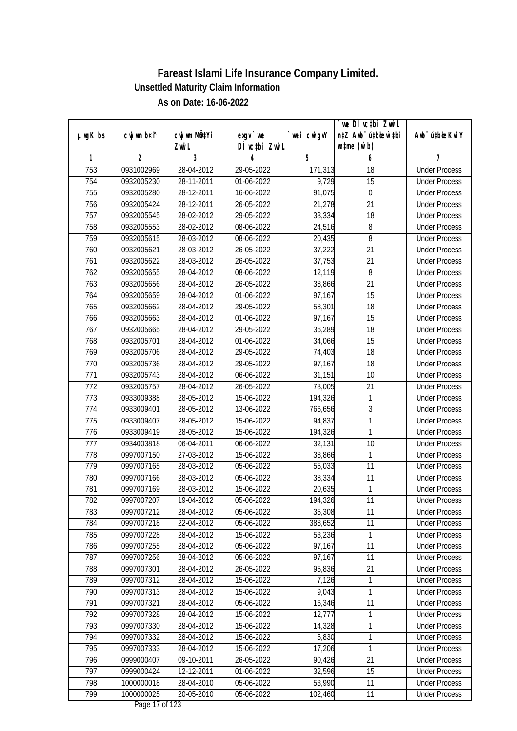|               |             |                           |                              |                  | we DI vctbi ZwiL                 |                                              |
|---------------|-------------|---------------------------|------------------------------|------------------|----------------------------------|----------------------------------------------|
| $µ$ ug $K$ bs | cwj wm b¤i^ | cwj wm MQ <sup>1</sup> Yi | $exgV$ we                    | `wei cwigvY      | n‡Z Awb <sup>-</sup> ú‡bioar`‡bi | Awb <sup>-</sup> ú‡bioeKviY                  |
| 1             | 2           | Zwi L<br>3                | DÌ vctbi ZwiL<br>4           | 5                | $\n  untime\n  (u`b)\n$<br>6     | 7                                            |
| 753           | 0931002969  | 28-04-2012                | 29-05-2022                   | 171,313          | 18                               | <b>Under Process</b>                         |
| 754           | 0932005230  | 28-11-2011                | 01-06-2022                   | 9,729            | 15                               | <b>Under Process</b>                         |
| 755           | 0932005280  | 28-12-2011                | 16-06-2022                   | 91,075           | $\boldsymbol{0}$                 | <b>Under Process</b>                         |
| 756           | 0932005424  | 28-12-2011                | 26-05-2022                   | 21,278           | $\overline{21}$                  | <b>Under Process</b>                         |
| 757           | 0932005545  | 28-02-2012                | 29-05-2022                   | 38,334           | 18                               | <b>Under Process</b>                         |
| 758           | 0932005553  | 28-02-2012                | 08-06-2022                   | 24,516           | 8                                | <b>Under Process</b>                         |
| 759           | 0932005615  | 28-03-2012                | 08-06-2022                   | 20,435           | 8                                | <b>Under Process</b>                         |
| 760           | 0932005621  | 28-03-2012                | 26-05-2022                   | 37,222           | $\overline{21}$                  | <b>Under Process</b>                         |
| 761           | 0932005622  | 28-03-2012                | 26-05-2022                   | 37,753           | 21                               | <b>Under Process</b>                         |
|               |             |                           |                              |                  | 8                                |                                              |
| 762<br>763    | 0932005655  | 28-04-2012                | 08-06-2022                   | 12,119           | $\overline{21}$                  | <b>Under Process</b><br><b>Under Process</b> |
|               | 0932005656  | 28-04-2012                | 26-05-2022                   | 38,866<br>97,167 |                                  |                                              |
| 764           | 0932005659  | 28-04-2012                | 01-06-2022                   |                  | 15<br>$\overline{18}$            | <b>Under Process</b><br><b>Under Process</b> |
| 765           | 0932005662  | 28-04-2012                | 29-05-2022                   | 58,301           |                                  |                                              |
| 766           | 0932005663  | 28-04-2012                | 01-06-2022                   | 97,167           | 15                               | <b>Under Process</b>                         |
| 767           | 0932005665  | 28-04-2012                | 29-05-2022                   | 36,289           | 18                               | <b>Under Process</b>                         |
| 768           | 0932005701  | 28-04-2012                | 01-06-2022                   | 34,066           | 15                               | <b>Under Process</b>                         |
| 769           | 0932005706  | 28-04-2012                | 29-05-2022                   | 74,403           | 18                               | <b>Under Process</b>                         |
| 770           | 0932005736  | 28-04-2012                | 29-05-2022                   | 97,167           | 18                               | <b>Under Process</b>                         |
| 771           | 0932005743  | 28-04-2012                | 06-06-2022                   | 31,151           | 10                               | <b>Under Process</b>                         |
| 772           | 0932005757  | 28-04-2012                | 26-05-2022                   | 78,005           | 21                               | <b>Under Process</b>                         |
| 773           | 0933009388  | 28-05-2012                | 15-06-2022                   | 194,326          | 1                                | <b>Under Process</b>                         |
| 774           | 0933009401  | 28-05-2012                | 13-06-2022                   | 766,656          | 3                                | <b>Under Process</b>                         |
| 775           | 0933009407  | 28-05-2012                | 15-06-2022                   | 94,837           | 1                                | <b>Under Process</b>                         |
| 776           | 0933009419  | 28-05-2012                | 15-06-2022                   | 194,326          | 1                                | <b>Under Process</b>                         |
| 777           | 0934003818  | 06-04-2011                | 06-06-2022                   | 32,131           | 10                               | <b>Under Process</b>                         |
| 778           | 0997007150  | 27-03-2012                | 15-06-2022                   | 38,866           | 1                                | <b>Under Process</b>                         |
| 779           | 0997007165  | 28-03-2012                | 05-06-2022                   | 55,033           | 11                               | <b>Under Process</b>                         |
| 780           | 0997007166  | 28-03-2012                | 05-06-2022                   | 38,334           | 11                               | <b>Under Process</b>                         |
| 781           | 0997007169  | 28-03-2012                | 15-06-2022                   | 20,635           | $\mathbf{1}$                     | <b>Under Process</b>                         |
| 782           | 0997007207  | 19-04-2012                | 05-06-2022                   | 194,326          | 11                               | <b>Under Process</b>                         |
| 783           | 0997007212  | 28-04-2012                | 05-06-2022                   | 35,308           | 11                               | <b>Under Process</b>                         |
| 784           | 0997007218  | 22-04-2012                | 05-06-2022                   | 388,652          | 11                               | <b>Under Process</b>                         |
| 785           | 0997007228  | 28-04-2012                | 15-06-2022                   | 53,236           | 1                                | <b>Under Process</b>                         |
| 786           | 0997007255  | 28-04-2012                | 05-06-2022                   | 97,167           | 11                               | <b>Under Process</b>                         |
| 787           | 0997007256  | 28-04-2012                | 05-06-2022                   | 97,167           | 11                               | <b>Under Process</b>                         |
| 788           | 0997007301  | 28-04-2012                | 26-05-2022                   | 95,836           | 21                               | <b>Under Process</b>                         |
| 789           | 0997007312  | 28-04-2012                | 15-06-2022                   | 7,126            | 1                                | <b>Under Process</b>                         |
| 790           | 0997007313  | 28-04-2012                | 15-06-2022                   | 9,043            | 1                                | <b>Under Process</b>                         |
| 791           | 0997007321  | 28-04-2012                | 05-06-2022                   | 16,346           | 11                               | <b>Under Process</b>                         |
| 792           | 0997007328  | 28-04-2012                | 15-06-2022                   | 12,777           | 1                                | <b>Under Process</b>                         |
| 793           | 0997007330  | 28-04-2012                | 15-06-2022                   | 14,328           | 1                                | <b>Under Process</b>                         |
| 794           | 0997007332  | 28-04-2012                | 15-06-2022                   | 5,830            | 1                                | <b>Under Process</b>                         |
| 795           | 0997007333  | 28-04-2012                | 15-06-2022                   | 17,206           | 1                                | <b>Under Process</b>                         |
| 796           | 0999000407  | 09-10-2011                | 26-05-2022                   | 90,426           | 21                               | <b>Under Process</b>                         |
| 797           | 0999000424  | 12-12-2011                | 01-06-2022                   | 32,596           | $\overline{15}$                  | <b>Under Process</b>                         |
| 798           | 1000000018  | 28-04-2010                | 05-06-2022                   | 53,990           | 11                               | <b>Under Process</b>                         |
| 799           | 1000000025  | 20-05-2010                | 05-06-2022<br>Dege 17 of 199 | 102,460          | 11                               | <b>Under Process</b>                         |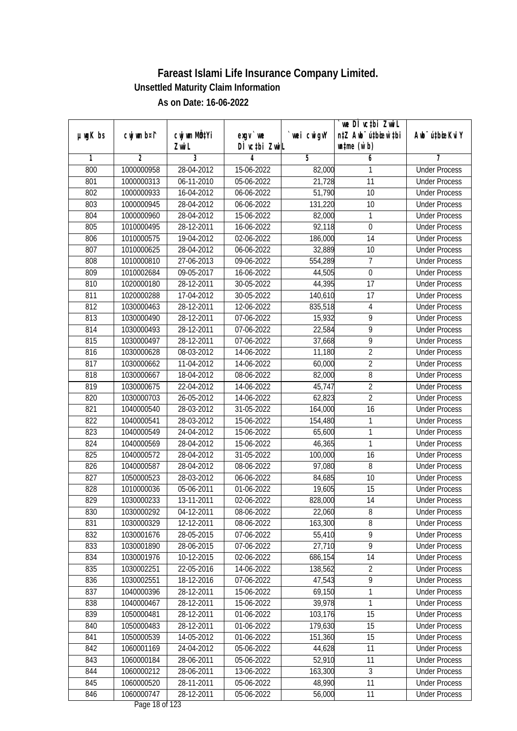|               |                |                       |                            |            | we DI vctbi ZwiL<br>n‡Z Awb <sup>-</sup> ú‡bioar`‡bi |                             |
|---------------|----------------|-----------------------|----------------------------|------------|------------------------------------------------------|-----------------------------|
| $µ$ ug $K$ bs | cwj wm b¤i^    | cwj wm MQtYi<br>Zwi L | $exgv$ we<br>DÌ vctbi ZwiL | wei cwigvY | $\n  untime\n  (u`b)\n$                              | Awb <sup>-</sup> ú‡bioeKviY |
| 1             | $\overline{2}$ | 3                     | 4                          | 5          | 6                                                    | 7                           |
| 800           | 1000000958     | 28-04-2012            | 15-06-2022                 | 82,000     | 1                                                    | <b>Under Process</b>        |
| 801           | 1000000313     | 06-11-2010            | 05-06-2022                 | 21,728     | $\overline{11}$                                      | <b>Under Process</b>        |
| 802           | 1000000933     | 16-04-2012            | 06-06-2022                 | 51,790     | $\overline{10}$                                      | <b>Under Process</b>        |
| 803           | 1000000945     | 28-04-2012            | 06-06-2022                 | 131,220    | 10                                                   | <b>Under Process</b>        |
| 804           | 1000000960     | 28-04-2012            | 15-06-2022                 | 82,000     | 1                                                    | <b>Under Process</b>        |
| 805           | 1010000495     | 28-12-2011            | 16-06-2022                 | 92,118     | $\mathbf 0$                                          | <b>Under Process</b>        |
| 806           | 1010000575     | 19-04-2012            | 02-06-2022                 | 186,000    | 14                                                   | <b>Under Process</b>        |
| 807           | 1010000625     | 28-04-2012            | 06-06-2022                 | 32,889     | 10                                                   | <b>Under Process</b>        |
| 808           | 1010000810     | 27-06-2013            | 09-06-2022                 | 554,289    | $\overline{7}$                                       | <b>Under Process</b>        |
| 809           | 1010002684     | $09 - 05 - 2017$      | 16-06-2022                 | 44,505     | $\mathbf 0$                                          | <b>Under Process</b>        |
| 810           | 1020000180     | 28-12-2011            | 30-05-2022                 | 44,395     | $\overline{17}$                                      | <b>Under Process</b>        |
| 811           | 1020000288     | 17-04-2012            | 30-05-2022                 | 140,610    | 17                                                   | <b>Under Process</b>        |
| 812           | 1030000463     | 28-12-2011            | 12-06-2022                 | 835,518    | $\overline{\mathbf{4}}$                              | <b>Under Process</b>        |
| 813           | 1030000490     | 28-12-2011            | 07-06-2022                 | 15,932     | 9                                                    | <b>Under Process</b>        |
| 814           | 1030000493     | 28-12-2011            | 07-06-2022                 | 22,584     | $\overline{9}$                                       | <b>Under Process</b>        |
| 815           | 1030000497     | 28-12-2011            | 07-06-2022                 | 37,668     | $\overline{9}$                                       | <b>Under Process</b>        |
| 816           | 1030000628     | 08-03-2012            | 14-06-2022                 | 11,180     | $\overline{2}$                                       | <b>Under Process</b>        |
| 817           | 1030000662     | 11-04-2012            | 14-06-2022                 | 60,000     | $\overline{2}$                                       | <b>Under Process</b>        |
| 818           | 1030000667     | 18-04-2012            | 08-06-2022                 | 82,000     | $\overline{8}$                                       | <b>Under Process</b>        |
| 819           | 1030000675     | 22-04-2012            | 14-06-2022                 | 45,747     | $\overline{2}$                                       | <b>Under Process</b>        |
| 820           | 1030000703     | 26-05-2012            | 14-06-2022                 | 62,823     | $\overline{2}$                                       | <b>Under Process</b>        |
| 821           | 1040000540     | 28-03-2012            | 31-05-2022                 | 164,000    | 16                                                   | <b>Under Process</b>        |
| 822           | 1040000541     | 28-03-2012            | 15-06-2022                 | 154,480    | 1                                                    | <b>Under Process</b>        |
| 823           | 1040000549     | 24-04-2012            | 15-06-2022                 | 65,600     | $\mathbf{1}$                                         | <b>Under Process</b>        |
| 824           | 1040000569     | 28-04-2012            | 15-06-2022                 | 46,365     | $\mathbf{1}$                                         | <b>Under Process</b>        |
| 825           | 1040000572     | 28-04-2012            | 31-05-2022                 | 100,000    | 16                                                   | <b>Under Process</b>        |
| 826           | 1040000587     | 28-04-2012            | 08-06-2022                 | 97,080     | 8                                                    | <b>Under Process</b>        |
| 827           | 1050000523     | 28-03-2012            | 06-06-2022                 | 84,685     | 10                                                   | <b>Under Process</b>        |
| 828           | 1010000036     | 05-06-2011            | 01-06-2022                 | 19,605     | 15                                                   | <b>Under Process</b>        |
| 829           | 1030000233     | 13-11-2011            | 02-06-2022                 | 828,000    | 14                                                   | <b>Under Process</b>        |
| 830           | 1030000292     | 04-12-2011            | 08-06-2022                 | 22,060     | 8                                                    | <b>Under Process</b>        |
| 831           | 1030000329     | 12-12-2011            | 08-06-2022                 | 163,300    | 8                                                    | <b>Under Process</b>        |
| 832           | 1030001676     | 28-05-2015            | 07-06-2022                 | 55,410     | 9                                                    | <b>Under Process</b>        |
| 833           | 1030001890     | 28-06-2015            | 07-06-2022                 | 27,710     | 9                                                    | <b>Under Process</b>        |
| 834           | 1030001976     | 10-12-2015            | 02-06-2022                 | 686,154    | 14                                                   | <b>Under Process</b>        |
| 835           | 1030002251     | 22-05-2016            | 14-06-2022                 | 138,562    | $\overline{2}$                                       | <b>Under Process</b>        |
| 836           | 1030002551     | 18-12-2016            | 07-06-2022                 | 47,543     | 9                                                    | <b>Under Process</b>        |
| 837           | 1040000396     | 28-12-2011            | 15-06-2022                 | 69,150     | 1                                                    | <b>Under Process</b>        |
| 838           | 1040000467     | 28-12-2011            | 15-06-2022                 | 39,978     | 1                                                    | <b>Under Process</b>        |
| 839           | 1050000481     | 28-12-2011            | 01-06-2022                 | 103,176    | 15                                                   | <b>Under Process</b>        |
| 840           | 1050000483     | 28-12-2011            | 01-06-2022                 | 179,630    | 15                                                   | <b>Under Process</b>        |
| 841           | 1050000539     | 14-05-2012            | 01-06-2022                 | 151,360    | 15                                                   | <b>Under Process</b>        |
| 842           | 1060001169     | 24-04-2012            | 05-06-2022                 | 44,628     | 11                                                   | <b>Under Process</b>        |
| 843           | 1060000184     | 28-06-2011            | 05-06-2022                 | 52,910     | 11                                                   | <b>Under Process</b>        |
| 844           | 1060000212     | 28-06-2011            | 13-06-2022                 | 163,300    | $\overline{3}$                                       | <b>Under Process</b>        |
| 845           | 1060000520     | 28-11-2011            | 05-06-2022                 | 48,990     | 11                                                   | <b>Under Process</b>        |
| 846           | 1060000747     | 28-12-2011            | 05-06-2022                 | 56,000     | 11                                                   | <b>Under Process</b>        |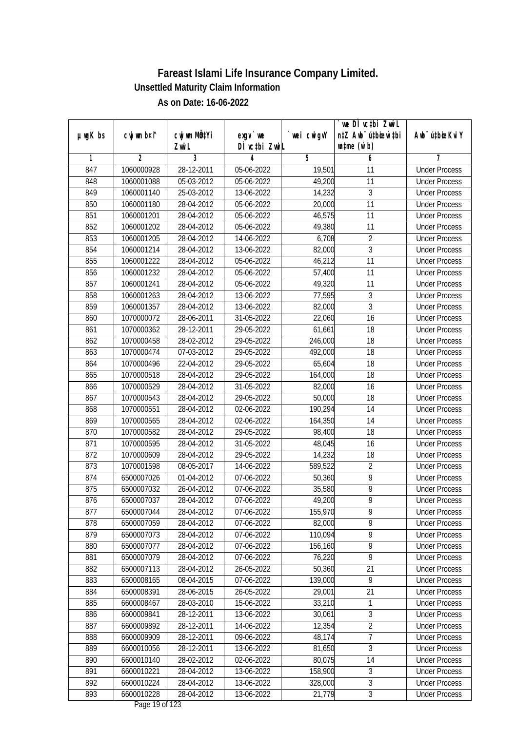| $µ$ ug $K$ bs    | cwj wm b¤i^    | cwj wm MQtYi | $exgV$ we     | wei cwigvY | we DI vctbi ZwiL<br>n‡Z Awb <sup>-</sup> ú‡bioar`‡bi | Awb <sup>-</sup> ú‡bioeKviY |
|------------------|----------------|--------------|---------------|------------|------------------------------------------------------|-----------------------------|
|                  |                | Zwi L        | DÌ vctbi ZwiL |            | $\n  untime\n  (u`b)\n$                              |                             |
| 1                | $\overline{2}$ | 3            | 4             | 5          | 6                                                    | 7                           |
| 847              | 1060000928     | 28-12-2011   | 05-06-2022    | 19,501     | 11                                                   | <b>Under Process</b>        |
| 848              | 1060001088     | 05-03-2012   | 05-06-2022    | 49,200     | 11                                                   | <b>Under Process</b>        |
| 849              | 1060001140     | 25-03-2012   | 13-06-2022    | 14,232     | 3                                                    | <b>Under Process</b>        |
| 850              | 1060001180     | 28-04-2012   | 05-06-2022    | 20,000     | 11                                                   | <b>Under Process</b>        |
| 851              | 1060001201     | 28-04-2012   | 05-06-2022    | 46,575     | $\overline{11}$                                      | <b>Under Process</b>        |
| 852              | 1060001202     | 28-04-2012   | 05-06-2022    | 49,380     | 11                                                   | <b>Under Process</b>        |
| 853              | 1060001205     | 28-04-2012   | 14-06-2022    | 6,708      | $\overline{2}$                                       | <b>Under Process</b>        |
| 854              | 1060001214     | 28-04-2012   | 13-06-2022    | 82,000     | 3                                                    | <b>Under Process</b>        |
| 855              | 1060001222     | 28-04-2012   | 05-06-2022    | 46,212     | 11                                                   | <b>Under Process</b>        |
| 856              | 1060001232     | 28-04-2012   | 05-06-2022    | 57,400     | 11                                                   | <b>Under Process</b>        |
| 857              | 1060001241     | 28-04-2012   | 05-06-2022    | 49,320     | $\overline{11}$                                      | <b>Under Process</b>        |
| 858              | 1060001263     | 28-04-2012   | 13-06-2022    | 77,595     | $\sqrt{3}$                                           | <b>Under Process</b>        |
| 859              | 1060001357     | 28-04-2012   | 13-06-2022    | 82,000     | $\overline{3}$                                       | <b>Under Process</b>        |
| 860              | 1070000072     | 28-06-2011   | 31-05-2022    | 22,060     | 16                                                   | <b>Under Process</b>        |
| 861              | 1070000362     | 28-12-2011   | 29-05-2022    | 61,661     | 18                                                   | <b>Under Process</b>        |
| 862              | 1070000458     | 28-02-2012   | 29-05-2022    | 246,000    | 18                                                   | <b>Under Process</b>        |
| 863              | 1070000474     | 07-03-2012   | 29-05-2022    | 492,000    | 18                                                   | <b>Under Process</b>        |
| 864              | 1070000496     | 22-04-2012   | 29-05-2022    | 65,604     | 18                                                   | <b>Under Process</b>        |
| 865              | 1070000518     | 28-04-2012   | 29-05-2022    | 164,000    | 18                                                   | <b>Under Process</b>        |
| 866              | 1070000529     | 28-04-2012   | 31-05-2022    | 82,000     | 16                                                   | <b>Under Process</b>        |
| 867              | 1070000543     | 28-04-2012   | 29-05-2022    | 50,000     | 18                                                   | <b>Under Process</b>        |
| 868              | 1070000551     | 28-04-2012   | 02-06-2022    | 190,294    | 14                                                   | <b>Under Process</b>        |
| 869              | 1070000565     | 28-04-2012   | 02-06-2022    | 164,350    | 14                                                   | <b>Under Process</b>        |
| 870              | 1070000582     | 28-04-2012   | 29-05-2022    | 98,400     | 18                                                   | <b>Under Process</b>        |
| 871              | 1070000595     | 28-04-2012   | 31-05-2022    | 48,045     | 16                                                   | <b>Under Process</b>        |
| $\overline{872}$ | 1070000609     | 28-04-2012   | 29-05-2022    | 14,232     | 18                                                   | <b>Under Process</b>        |
| 873              | 1070001598     | 08-05-2017   | 14-06-2022    | 589,522    | $\overline{2}$                                       | <b>Under Process</b>        |
| 874              | 6500007026     | 01-04-2012   | 07-06-2022    | 50,360     | $\overline{9}$                                       | <b>Under Process</b>        |
| 875              | 6500007032     | 26-04-2012   | 07-06-2022    | 35,580     | $\overline{9}$                                       | <b>Under Process</b>        |
| 876              | 6500007037     | 28-04-2012   | 07-06-2022    | 49,200     | $\overline{9}$                                       | <b>Under Process</b>        |
| 877              | 6500007044     | 28-04-2012   | 07-06-2022    | 155,970    | 9                                                    | <b>Under Process</b>        |
| 878              | 6500007059     | 28-04-2012   | 07-06-2022    | 82,000     | 9                                                    | <b>Under Process</b>        |
| 879              | 6500007073     | 28-04-2012   | 07-06-2022    | 110,094    | 9                                                    | <b>Under Process</b>        |
| 880              | 6500007077     | 28-04-2012   | 07-06-2022    | 156,160    | $\overline{9}$                                       | <b>Under Process</b>        |
| 881              | 6500007079     | 28-04-2012   | 07-06-2022    | 76,220     | $\overline{9}$                                       | <b>Under Process</b>        |
| 882              | 6500007113     | 28-04-2012   | 26-05-2022    | 50,360     | 21                                                   | <b>Under Process</b>        |
| 883              | 6500008165     | 08-04-2015   | 07-06-2022    | 139,000    | $\overline{9}$                                       | <b>Under Process</b>        |
| 884              | 6500008391     | 28-06-2015   | 26-05-2022    | 29,001     | 21                                                   | <b>Under Process</b>        |
| 885              | 6600008467     | 28-03-2010   | 15-06-2022    | 33,210     | 1                                                    | <b>Under Process</b>        |
| 886              | 6600009841     | 28-12-2011   | 13-06-2022    | 30,061     | $\sqrt{3}$                                           | <b>Under Process</b>        |
| 887              | 6600009892     | 28-12-2011   | 14-06-2022    | 12,354     | $\overline{2}$                                       | <b>Under Process</b>        |
| 888              | 6600009909     | 28-12-2011   | 09-06-2022    | 48,174     | $\overline{7}$                                       | <b>Under Process</b>        |
| 889              | 6600010056     | 28-12-2011   | 13-06-2022    | 81,650     | 3                                                    | <b>Under Process</b>        |
| 890              | 6600010140     | 28-02-2012   | 02-06-2022    | 80,075     | 14                                                   | <b>Under Process</b>        |
| 891              | 6600010221     | 28-04-2012   | 13-06-2022    | 158,900    | $\overline{3}$                                       | <b>Under Process</b>        |
| 892              | 6600010224     | 28-04-2012   | 13-06-2022    | 328,000    | $\overline{3}$                                       | <b>Under Process</b>        |
| 893              | 6600010228     | 28-04-2012   | 13-06-2022    | 21,779     | $\overline{3}$                                       | <b>Under Process</b>        |
|                  |                |              |               |            |                                                      |                             |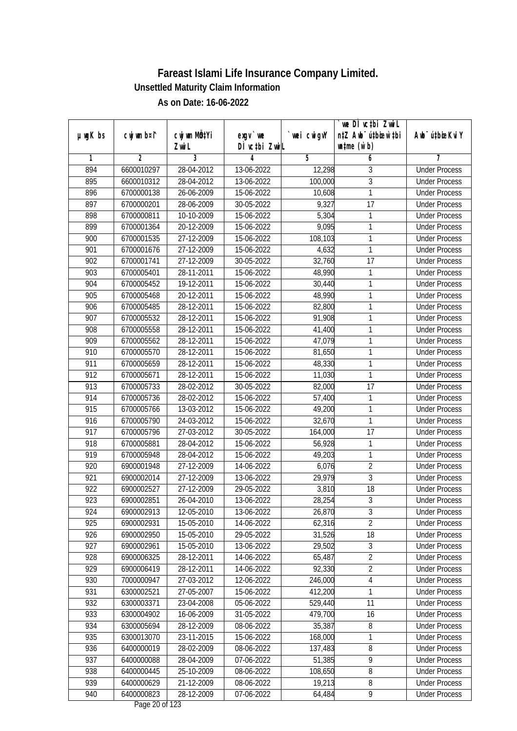|               |                |                           |               |             | `we DÌ vc‡bi Zwwi∟               |                              |
|---------------|----------------|---------------------------|---------------|-------------|----------------------------------|------------------------------|
| $µ$ ug $K$ bs | cwj wm b¤i^    | cwj wm MQ <sup>1</sup> Yi | $exgv$ we     | `wei cwigvY | n‡Z Awb <sup>-</sup> ú‡bioen`‡bi | Aub <sup>-</sup> ú‡bioeKvi Y |
|               |                | Zwi L                     | DÌ vctbi ZwiL |             | $\n  untime\n  (u`b)\n$          |                              |
| 1             | $\overline{2}$ | $\overline{3}$            | 4             | 5           | 6                                | 7                            |
| 894           | 6600010297     | 28-04-2012                | 13-06-2022    | 12,298      | 3                                | <b>Under Process</b>         |
| 895           | 6600010312     | 28-04-2012                | 13-06-2022    | 100,000     | $\overline{3}$                   | <b>Under Process</b>         |
| 896           | 6700000138     | 26-06-2009                | 15-06-2022    | 10,608      | $\mathbf{1}$                     | <b>Under Process</b>         |
| 897           | 6700000201     | 28-06-2009                | 30-05-2022    | 9,327       | $\overline{17}$                  | <b>Under Process</b>         |
| 898           | 6700000811     | 10-10-2009                | 15-06-2022    | 5,304       | 1                                | <b>Under Process</b>         |
| 899           | 6700001364     | 20-12-2009                | 15-06-2022    | 9,095       | 1                                | <b>Under Process</b>         |
| 900           | 6700001535     | 27-12-2009                | 15-06-2022    | 108,103     | 1                                | <b>Under Process</b>         |
| 901           | 6700001676     | 27-12-2009                | 15-06-2022    | 4,632       | 1                                | <b>Under Process</b>         |
| 902           | 6700001741     | 27-12-2009                | 30-05-2022    | 32,760      | 17                               | <b>Under Process</b>         |
| 903           | 6700005401     | 28-11-2011                | 15-06-2022    | 48,990      | 1                                | <b>Under Process</b>         |
| 904           | 6700005452     | 19-12-2011                | 15-06-2022    | 30,440      | 1                                | <b>Under Process</b>         |
| 905           | 6700005468     | 20-12-2011                | 15-06-2022    | 48,990      | 1                                | <b>Under Process</b>         |
| 906           | 6700005485     | 28-12-2011                | 15-06-2022    | 82,800      | 1                                | <b>Under Process</b>         |
| 907           | 6700005532     | 28-12-2011                | 15-06-2022    | 91,908      | 1                                | <b>Under Process</b>         |
| 908           | 6700005558     | 28-12-2011                | 15-06-2022    | 41,400      | 1                                | <b>Under Process</b>         |
| 909           | 6700005562     | 28-12-2011                | 15-06-2022    | 47,079      | 1                                | <b>Under Process</b>         |
| 910           | 6700005570     | 28-12-2011                | 15-06-2022    | 81,650      | 1                                | <b>Under Process</b>         |
| 911           | 6700005659     | 28-12-2011                | 15-06-2022    | 48,330      | 1                                | <b>Under Process</b>         |
| 912           | 6700005671     | 28-12-2011                | 15-06-2022    | 11,030      | 1                                | <b>Under Process</b>         |
| 913           | 6700005733     | 28-02-2012                | 30-05-2022    | 82,000      | 17                               | <b>Under Process</b>         |
| 914           | 6700005736     | 28-02-2012                | 15-06-2022    | 57,400      | $\mathbf{1}$                     | <b>Under Process</b>         |
| 915           | 6700005766     | 13-03-2012                | 15-06-2022    | 49,200      | 1                                | <b>Under Process</b>         |
| 916           | 6700005790     | 24-03-2012                | 15-06-2022    | 32,670      | 1                                | <b>Under Process</b>         |
| 917           | 6700005796     | 27-03-2012                | 30-05-2022    | 164,000     | 17                               | <b>Under Process</b>         |
| 918           | 6700005881     | 28-04-2012                | 15-06-2022    | 56,928      | 1                                | <b>Under Process</b>         |
| 919           | 6700005948     | 28-04-2012                | 15-06-2022    | 49,203      | 1                                | <b>Under Process</b>         |
| 920           | 6900001948     | 27-12-2009                | 14-06-2022    | 6,076       | $\overline{2}$                   | <b>Under Process</b>         |
| 921           | 6900002014     | 27-12-2009                | 13-06-2022    | 29,979      | $\overline{3}$                   | <b>Under Process</b>         |
| 922           | 6900002527     | 27-12-2009                | 29-05-2022    | 3,810       | 18                               | <b>Under Process</b>         |
| 923           | 6900002851     | 26-04-2010                | 13-06-2022    | 28,254      | 3                                | <b>Under Process</b>         |
| 924           | 6900002913     | 12-05-2010                | 13-06-2022    | 26,870      | $\mathfrak{Z}$                   | <b>Under Process</b>         |
| 925           | 6900002931     | 15-05-2010                | 14-06-2022    | 62,316      | $\overline{2}$                   | <b>Under Process</b>         |
| 926           | 6900002950     | 15-05-2010                | 29-05-2022    | 31,526      | 18                               | <b>Under Process</b>         |
| 927           | 6900002961     | 15-05-2010                | 13-06-2022    | 29,502      | $\overline{3}$                   | <b>Under Process</b>         |
| 928           | 6900006325     | 28-12-2011                | 14-06-2022    | 65,487      | $\overline{2}$                   | <b>Under Process</b>         |
| 929           | 6900006419     | 28-12-2011                | 14-06-2022    | 92,330      | $\overline{2}$                   | <b>Under Process</b>         |
| 930           | 7000000947     | 27-03-2012                | 12-06-2022    | 246,000     | 4                                | <b>Under Process</b>         |
| 931           | 6300002521     | 27-05-2007                | 15-06-2022    | 412,200     | 1                                | <b>Under Process</b>         |
| 932           | 6300003371     | 23-04-2008                | 05-06-2022    | 529,440     | 11                               | <b>Under Process</b>         |
| 933           | 6300004902     | 16-06-2009                | 31-05-2022    | 479,700     | 16                               | <b>Under Process</b>         |
| 934           | 6300005694     | 28-12-2009                | 08-06-2022    | 35,387      | 8                                | <b>Under Process</b>         |
| 935           | 6300013070     | 23-11-2015                | 15-06-2022    | 168,000     | 1                                | <b>Under Process</b>         |
| 936           | 6400000019     | 28-02-2009                | 08-06-2022    | 137,483     | 8                                | <b>Under Process</b>         |
| 937           | 6400000088     | 28-04-2009                | 07-06-2022    | 51,385      | $\overline{9}$                   | <b>Under Process</b>         |
| 938           | 6400000445     | 25-10-2009                | 08-06-2022    | 108,650     | $\overline{8}$                   | <b>Under Process</b>         |
| 939           | 6400000629     | 21-12-2009                | 08-06-2022    | 19,213      | 8                                | <b>Under Process</b>         |
| 940           | 6400000823     | 28-12-2009                | 07-06-2022    | 64,484      | $\overline{9}$                   | <b>Under Process</b>         |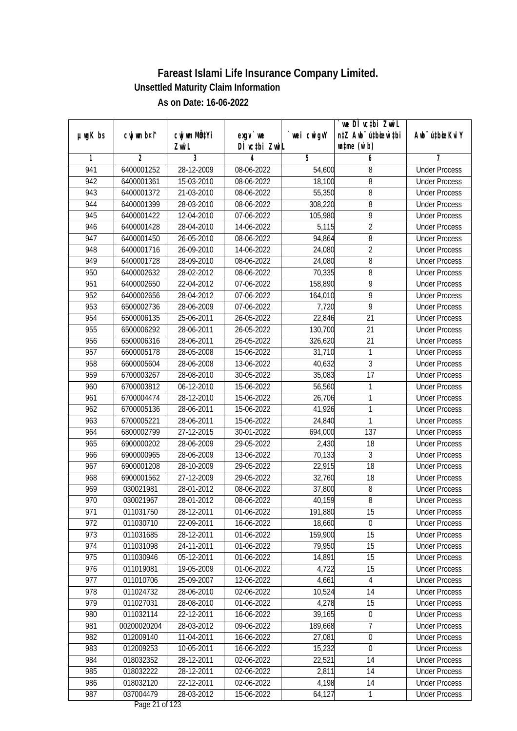|               |                          |                           |                              |                  | we DI vctbi ZwiL                 |                                              |
|---------------|--------------------------|---------------------------|------------------------------|------------------|----------------------------------|----------------------------------------------|
| $µ$ ug $K$ bs | cwj wm b¤i^              | cwj wm MQ <sup>1</sup> Yi | $exgV$ we                    | `wei cwigvY      | n‡Z Awb <sup>-</sup> ú‡bioen`‡bi | Awb <sup>-</sup> ú‡bioeKviY                  |
| 1             | 2                        | Zwi L<br>3                | DÌ vctbi ZwiL<br>4           | 5                | $\n  untime\n  (u`b)\n$          | 7                                            |
| 941           | 6400001252               | 28-12-2009                | 08-06-2022                   | 54,600           | 6<br>8                           | <b>Under Process</b>                         |
| 942           | 6400001361               | 15-03-2010                | 08-06-2022                   | 18,100           | 8                                | <b>Under Process</b>                         |
| 943           |                          |                           |                              |                  |                                  | <b>Under Process</b>                         |
|               | 6400001372               | 21-03-2010                | 08-06-2022                   | 55,350           | 8                                |                                              |
| 944           | 6400001399<br>6400001422 | 28-03-2010                | 08-06-2022                   | 308,220          | 8<br>$\overline{9}$              | <b>Under Process</b>                         |
| 945<br>946    |                          | 12-04-2010                | 07-06-2022<br>14-06-2022     | 105,980<br>5,115 | $\overline{2}$                   | <b>Under Process</b>                         |
|               | 6400001428<br>6400001450 | 28-04-2010                |                              |                  |                                  | <b>Under Process</b>                         |
| 947<br>948    | 6400001716               | 26-05-2010<br>26-09-2010  | 08-06-2022<br>14-06-2022     | 94,864           | 8<br>$\overline{2}$              | <b>Under Process</b><br><b>Under Process</b> |
| 949           | 6400001728               |                           |                              | 24,080           | $\overline{8}$                   | <b>Under Process</b>                         |
|               |                          | 28-09-2010                | 08-06-2022                   | 24,080           |                                  |                                              |
| 950           | 6400002632               | 28-02-2012                | 08-06-2022                   | 70,335           | 8                                | <b>Under Process</b>                         |
| 951           | 6400002650               | 22-04-2012                | 07-06-2022                   | 158,890          | 9                                | <b>Under Process</b>                         |
| 952           | 6400002656               | 28-04-2012                | 07-06-2022                   | 164,010          | 9                                | <b>Under Process</b>                         |
| 953           | 6500002736               | 28-06-2009                | 07-06-2022                   | 7,720            | $\overline{9}$                   | <b>Under Process</b>                         |
| 954           | 6500006135               | 25-06-2011                | 26-05-2022                   | 22,846           | 21                               | <b>Under Process</b>                         |
| 955           | 6500006292               | 28-06-2011                | 26-05-2022                   | 130,700          | 21                               | <b>Under Process</b>                         |
| 956           | 6500006316               | 28-06-2011                | 26-05-2022                   | 326,620          | 21                               | <b>Under Process</b>                         |
| 957           | 6600005178               | 28-05-2008                | 15-06-2022                   | 31,710           | 1                                | <b>Under Process</b>                         |
| 958           | 6600005604               | 28-06-2008                | 13-06-2022                   | 40,632           | 3                                | <b>Under Process</b>                         |
| 959           | 6700003267               | 28-08-2010                | 30-05-2022                   | 35,083           | 17                               | <b>Under Process</b>                         |
| 960           | 6700003812               | $\overline{0}$ 6-12-2010  | 15-06-2022                   | 56,560           | 1                                | <b>Under Process</b>                         |
| 961           | 6700004474               | 28-12-2010                | 15-06-2022                   | 26,706           | 1                                | <b>Under Process</b>                         |
| 962           | 6700005136               | 28-06-2011                | 15-06-2022                   | 41,926           | 1                                | <b>Under Process</b>                         |
| 963           | 6700005221               | 28-06-2011                | 15-06-2022                   | 24,840           | 1                                | <b>Under Process</b>                         |
| 964           | 6800002799               | 27-12-2015                | 30-01-2022                   | 694,000          | 137                              | <b>Under Process</b>                         |
| 965           | 6900000202               | 28-06-2009                | 29-05-2022                   | 2,430            | 18                               | <b>Under Process</b>                         |
| 966           | 6900000965               | 28-06-2009                | 13-06-2022                   | 70,133           | 3                                | <b>Under Process</b>                         |
| 967           | 6900001208               | 28-10-2009                | 29-05-2022                   | 22,915           | 18                               | <b>Under Process</b>                         |
| 968           | 6900001562               | 27-12-2009                | 29-05-2022                   | 32,760           | 18                               | <b>Under Process</b>                         |
| 969           | 030021981                | 28-01-2012                | 08-06-2022                   | 37,800           | 8                                | <b>Under Process</b>                         |
| 970           | 030021967                | 28-01-2012                | 08-06-2022                   | 40,159           | $8\,$                            | <b>Under Process</b>                         |
| 971           | 011031750                | 28-12-2011                | 01-06-2022                   | 191,880          | 15                               | <b>Under Process</b>                         |
| 972           | 011030710                | 22-09-2011                | 16-06-2022                   | 18,660           | $\theta$                         | <b>Under Process</b>                         |
| 973           | 011031685                | 28-12-2011                | 01-06-2022                   | 159,900          | 15                               | <b>Under Process</b>                         |
| 974           | 011031098                | 24-11-2011                | 01-06-2022                   | 79,950           | 15                               | <b>Under Process</b>                         |
| 975           | 011030946                | 05-12-2011                | 01-06-2022                   | 14,891           | 15                               | <b>Under Process</b>                         |
| 976           | 011019081                | 19-05-2009                | 01-06-2022                   | 4,722            | 15                               | <b>Under Process</b>                         |
| 977           | 011010706                | 25-09-2007                | 12-06-2022                   | 4,661            | $\overline{4}$                   | <b>Under Process</b>                         |
| 978           | 011024732                | 28-06-2010                | 02-06-2022                   | 10,524           | 14                               | <b>Under Process</b>                         |
| 979           | 011027031                | 28-08-2010                | 01-06-2022                   | 4,278            | 15                               | <b>Under Process</b>                         |
| 980           | 011032114                | 22-12-2011                | 16-06-2022                   | 39,165           | $\boldsymbol{0}$                 | <b>Under Process</b>                         |
| 981           | 00200020204              | 28-03-2012                | 09-06-2022                   | 189,668          | 7                                | <b>Under Process</b>                         |
| 982           | 012009140                | 11-04-2011                | 16-06-2022                   | 27,081           | $\boldsymbol{0}$                 | <b>Under Process</b>                         |
| 983           | 012009253                | 10-05-2011                | 16-06-2022                   | 15,232           | 0                                | <b>Under Process</b>                         |
| 984           | 018032352                | 28-12-2011                | 02-06-2022                   | 22,521           | 14                               | <b>Under Process</b>                         |
| 985           | 018032222                | 28-12-2011                | 02-06-2022                   | 2,811            | 14                               | <b>Under Process</b>                         |
| 986           | 018032120                | 22-12-2011                | 02-06-2022                   | 4,198            | 14                               | <b>Under Process</b>                         |
| 987           | 037004479                | 28-03-2012                | 15-06-2022<br>Dege 21 of 122 | 64,127           | 1                                | <b>Under Process</b>                         |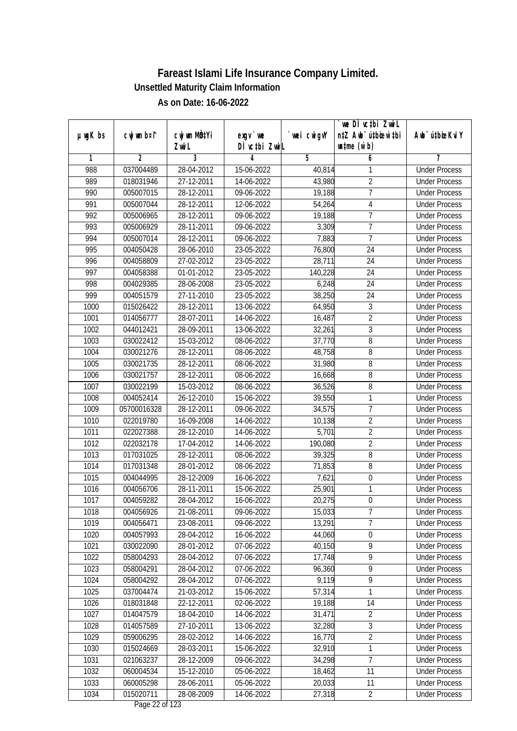|               |                |                       |                            |            | we DI vctbi ZwiL                                            |                             |
|---------------|----------------|-----------------------|----------------------------|------------|-------------------------------------------------------------|-----------------------------|
| $µ$ ug $K$ bs | cwj wm b¤i^    | cwj wm MQtYi<br>Zwi L | $exgV$ we<br>DÌ vctbi ZwiL | wei cwigvY | n‡Z Awb <sup>-</sup> ú‡bioar`‡bi<br>$\n  untime\n  (u`b)\n$ | Awb <sup>-</sup> ú‡bioeKviY |
| 1             | $\overline{2}$ | 3                     | 4                          | 5          | 6                                                           | 7                           |
| 988           | 037004489      | 28-04-2012            | 15-06-2022                 | 40,814     | 1                                                           | <b>Under Process</b>        |
| 989           | 018031946      | 27-12-2011            | 14-06-2022                 | 43,980     | $\overline{2}$                                              | <b>Under Process</b>        |
| 990           | 005007015      | 28-12-2011            | 09-06-2022                 | 19,188     | $\overline{7}$                                              | <b>Under Process</b>        |
| 991           | 005007044      | 28-12-2011            | 12-06-2022                 | 54,264     | 4                                                           | <b>Under Process</b>        |
| 992           | 005006965      | 28-12-2011            | 09-06-2022                 | 19,188     | $\overline{7}$                                              | <b>Under Process</b>        |
| 993           | 005006929      | 28-11-2011            | 09-06-2022                 | 3,309      | 7                                                           | <b>Under Process</b>        |
| 994           | 005007014      | 28-12-2011            | 09-06-2022                 | 7,883      | 7                                                           | <b>Under Process</b>        |
| 995           | 004050428      | 28-06-2010            | 23-05-2022                 | 76,800     | 24                                                          | <b>Under Process</b>        |
| 996           | 004058809      | 27-02-2012            | 23-05-2022                 | 28,711     | 24                                                          | <b>Under Process</b>        |
| 997           | 004058388      | 01-01-2012            | 23-05-2022                 | 140,228    | 24                                                          | <b>Under Process</b>        |
| 998           | 004029385      | 28-06-2008            | 23-05-2022                 | 6,248      | $\overline{24}$                                             | <b>Under Process</b>        |
| 999           | 004051579      | 27-11-2010            | 23-05-2022                 | 38,250     | 24                                                          | <b>Under Process</b>        |
| 1000          | 015026422      | 28-12-2011            | 13-06-2022                 | 64,950     | $\overline{3}$                                              | <b>Under Process</b>        |
| 1001          | 014056777      | 28-07-2011            | 14-06-2022                 | 16,487     | $\overline{2}$                                              | <b>Under Process</b>        |
| 1002          | 044012421      | 28-09-2011            | 13-06-2022                 | 32,261     | 3                                                           | <b>Under Process</b>        |
| 1003          | 030022412      | 15-03-2012            | 08-06-2022                 | 37,770     | 8                                                           | <b>Under Process</b>        |
| 1004          | 030021276      | 28-12-2011            | 08-06-2022                 | 48,758     | $\, 8$                                                      | <b>Under Process</b>        |
| 1005          | 030021735      | 28-12-2011            | 08-06-2022                 | 31,980     | $\overline{8}$                                              | <b>Under Process</b>        |
| 1006          | 030021757      | 28-12-2011            | 08-06-2022                 | 16,668     | 8                                                           | <b>Under Process</b>        |
| 1007          | 030022199      | 15-03-2012            | 08-06-2022                 | 36,526     | 8                                                           | <b>Under Process</b>        |
| 1008          | 004052414      | 26-12-2010            | 15-06-2022                 | 39,550     | 1                                                           | <b>Under Process</b>        |
| 1009          | 05700016328    | 28-12-2011            | 09-06-2022                 | 34,575     | $\overline{1}$                                              | <b>Under Process</b>        |
| 1010          | 022019780      | 16-09-2008            | 14-06-2022                 | 10,138     | $\overline{2}$                                              | <b>Under Process</b>        |
| 1011          | 022027388      | 28-12-2010            | 14-06-2022                 | 5,701      | $\overline{2}$                                              | <b>Under Process</b>        |
| 1012          | 022032178      | 17-04-2012            | 14-06-2022                 | 190,080    | $\overline{2}$                                              | <b>Under Process</b>        |
| 1013          | 017031025      | 28-12-2011            | 08-06-2022                 | 39,325     | 8                                                           | <b>Under Process</b>        |
| 1014          | 017031348      | 28-01-2012            | 08-06-2022                 | 71,853     | 8                                                           | <b>Under Process</b>        |
| 1015          | 004044995      | 28-12-2009            | 16-06-2022                 | 7,621      | $\boldsymbol{0}$                                            | <b>Under Process</b>        |
| 1016          | 004056706      | 28-11-2011            | 15-06-2022                 | 25,901     | 1                                                           | <b>Under Process</b>        |
| 1017          | 004059282      | 28-04-2012            | 16-06-2022                 | 20,275     | $\mathbf 0$                                                 | <b>Under Process</b>        |
| 1018          | 004056926      | 21-08-2011            | 09-06-2022                 | 15,033     | 7                                                           | <b>Under Process</b>        |
| 1019          | 004056471      | 23-08-2011            | 09-06-2022                 | 13,291     | 7                                                           | <b>Under Process</b>        |
| 1020          | 004057993      | 28-04-2012            | 16-06-2022                 | 44,060     | $\boldsymbol{0}$                                            | <b>Under Process</b>        |
| 1021          | 030022090      | 28-01-2012            | 07-06-2022                 | 40,150     | 9                                                           | <b>Under Process</b>        |
| 1022          | 058004293      | 28-04-2012            | 07-06-2022                 | 17,748     | $\overline{9}$                                              | <b>Under Process</b>        |
| 1023          | 058004291      | 28-04-2012            | 07-06-2022                 | 96,360     | $\overline{9}$                                              | <b>Under Process</b>        |
| 1024          | 058004292      | 28-04-2012            | 07-06-2022                 | 9,119      | 9                                                           | <b>Under Process</b>        |
| 1025          | 037004474      | 21-03-2012            | 15-06-2022                 | 57,314     | 1                                                           | <b>Under Process</b>        |
| 1026          | 018031848      | 22-12-2011            | 02-06-2022                 | 19,188     | 14                                                          | <b>Under Process</b>        |
| 1027          | 014047579      | 18-04-2010            | 14-06-2022                 | 31,471     | $\overline{2}$                                              | <b>Under Process</b>        |
| 1028          | 014057589      | 27-10-2011            | 13-06-2022                 | 32,280     | $\sqrt{3}$                                                  | <b>Under Process</b>        |
| 1029          | 059006295      | 28-02-2012            | 14-06-2022                 | 16,770     | $\overline{2}$                                              | <b>Under Process</b>        |
| 1030          | 015024669      | 28-03-2011            | 15-06-2022                 | 32,910     | 1                                                           | <b>Under Process</b>        |
| 1031          | 021063237      | 28-12-2009            | 09-06-2022                 | 34,298     | 7                                                           | <b>Under Process</b>        |
| 1032          | 060004534      | 15-12-2010            | 05-06-2022                 | 18,462     | 11                                                          | <b>Under Process</b>        |
| 1033          | 060005298      | 28-06-2011            | 05-06-2022                 | 20,033     | 11                                                          | <b>Under Process</b>        |
| 1034          | 015020711      | 28-08-2009            |                            | 27,318     | $\overline{2}$                                              |                             |
|               |                |                       | 14-06-2022                 |            |                                                             | <b>Under Process</b>        |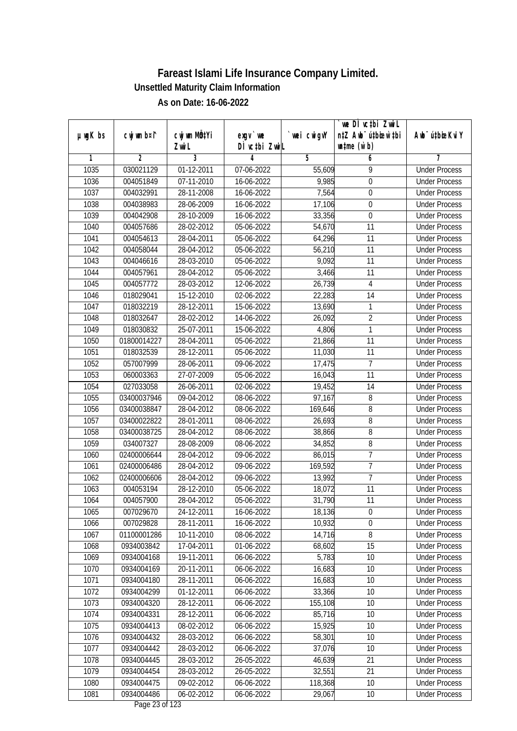|               |                |                       |                                          |            | `we DÌ vc‡bi ZwiL<br>n‡Z Awb <sup>-</sup> ú‡bioen`‡bi |                             |
|---------------|----------------|-----------------------|------------------------------------------|------------|-------------------------------------------------------|-----------------------------|
| $µ$ ug $K$ bs | cwj wm b¤i^    | cwj wm MQtYi<br>Zwi L | $exqu$ we<br>DÌ vcțbi ZwiL               | wei cwigvY | $\n  untime\n  (u`b)\n$                               | Awb <sup>-</sup> ú‡bioeKviY |
| 1             | $\overline{2}$ | 3                     | 4                                        | 5          | 6                                                     |                             |
| 1035          | 030021129      | 01-12-2011            | 07-06-2022                               | 55,609     | 9                                                     | <b>Under Process</b>        |
| 1036          | 004051849      | 07-11-2010            | 16-06-2022                               | 9,985      | $\overline{0}$                                        | <b>Under Process</b>        |
| 1037          | 004032991      | 28-11-2008            | 16-06-2022                               | 7,564      | $\boldsymbol{0}$                                      | <b>Under Process</b>        |
| 1038          | 004038983      | 28-06-2009            | 16-06-2022                               | 17,106     | $\boldsymbol{0}$                                      | <b>Under Process</b>        |
| 1039          | 004042908      | 28-10-2009            | 16-06-2022                               | 33,356     | $\overline{0}$                                        | <b>Under Process</b>        |
| 1040          | 004057686      | 28-02-2012            | 05-06-2022                               | 54,670     | $\overline{11}$                                       | <b>Under Process</b>        |
| 1041          | 004054613      | 28-04-2011            | 05-06-2022                               | 64,296     | 11                                                    | <b>Under Process</b>        |
| 1042          | 004058044      | 28-04-2012            | 05-06-2022                               | 56,210     | 11                                                    | <b>Under Process</b>        |
| 1043          | 004046616      | 28-03-2010            | 05-06-2022                               | 9,092      | 11                                                    | <b>Under Process</b>        |
| 1044          | 004057961      | 28-04-2012            | 05-06-2022                               | 3,466      | 11                                                    | <b>Under Process</b>        |
| 1045          | 004057772      | 28-03-2012            | 12-06-2022                               | 26,739     | 4                                                     | <b>Under Process</b>        |
| 1046          | 018029041      | 15-12-2010            | 02-06-2022                               | 22,283     | 14                                                    | <b>Under Process</b>        |
| 1047          | 018032219      | 28-12-2011            | 15-06-2022                               | 13,690     | 1                                                     | <b>Under Process</b>        |
| 1048          | 018032647      | 28-02-2012            | 14-06-2022                               | 26,092     | $\overline{2}$                                        | <b>Under Process</b>        |
| 1049          | 018030832      | 25-07-2011            | 15-06-2022                               | 4,806      | 1                                                     | <b>Under Process</b>        |
| 1050          | 01800014227    | 28-04-2011            | 05-06-2022                               | 21,866     | 11                                                    | <b>Under Process</b>        |
| 1051          | 018032539      | 28-12-2011            | 05-06-2022                               | 11,030     | 11                                                    | <b>Under Process</b>        |
| 1052          | 057007999      | 28-06-2011            | 09-06-2022                               | 17,475     | $\overline{1}$                                        | <b>Under Process</b>        |
| 1053          | 060003363      | 27-07-2009            | 05-06-2022                               | 16,043     | 11                                                    | <b>Under Process</b>        |
| 1054          | 027033058      | 26-06-2011            | 02-06-2022                               | 19,452     | 14                                                    | <b>Under Process</b>        |
| 1055          | 03400037946    | 09-04-2012            | 08-06-2022                               | 97,167     | 8                                                     | <b>Under Process</b>        |
| 1056          | 03400038847    | 28-04-2012            | 08-06-2022                               | 169,646    | 8                                                     | <b>Under Process</b>        |
| 1057          | 03400022822    | 28-01-2011            | 08-06-2022                               | 26,693     | $\overline{8}$                                        | <b>Under Process</b>        |
| 1058          | 03400038725    | 28-04-2012            | 08-06-2022                               | 38,866     | $\, 8$                                                | <b>Under Process</b>        |
| 1059          | 034007327      | 28-08-2009            | 08-06-2022                               | 34,852     | $\, 8$                                                | <b>Under Process</b>        |
| 1060          | 02400006644    | 28-04-2012            | 09-06-2022                               | 86,015     | $\overline{1}$                                        | <b>Under Process</b>        |
| 1061          | 02400006486    | 28-04-2012            | 09-06-2022                               | 169,592    | $\overline{1}$                                        | <b>Under Process</b>        |
| 1062          | 02400006606    | 28-04-2012            | 09-06-2022                               | 13,992     | $\overline{7}$                                        | <b>Under Process</b>        |
| 1063          | 004053194      | 28-12-2010            | 05-06-2022                               | 18,072     | 11                                                    | <b>Under Process</b>        |
| 1064          | 004057900      | 28-04-2012            | 05-06-2022                               | 31,790     | 11                                                    | <b>Under Process</b>        |
| 1065          | 007029670      | 24-12-2011            | 16-06-2022                               | 18,136     | $\boldsymbol{0}$                                      | <b>Under Process</b>        |
| 1066          | 007029828      | 28-11-2011            | 16-06-2022                               | 10,932     | 0                                                     | <b>Under Process</b>        |
| 1067          | 01100001286    | 10-11-2010            | 08-06-2022                               | 14,716     | 8                                                     | <b>Under Process</b>        |
| 1068          | 0934003842     | 17-04-2011            | 01-06-2022                               | 68,602     | 15                                                    | <b>Under Process</b>        |
| 1069          | 0934004168     | 19-11-2011            | 06-06-2022                               | 5,783      | 10                                                    | <b>Under Process</b>        |
| 1070          | 0934004169     | 20-11-2011            | 06-06-2022                               | 16,683     | 10                                                    | <b>Under Process</b>        |
| 1071          | 0934004180     | 28-11-2011            | 06-06-2022                               | 16,683     | 10                                                    | <b>Under Process</b>        |
| 1072          | 0934004299     | 01-12-2011            | 06-06-2022                               | 33,366     | 10                                                    | <b>Under Process</b>        |
| 1073          | 0934004320     | 28-12-2011            | 06-06-2022                               | 155,108    | 10                                                    | <b>Under Process</b>        |
| 1074          | 0934004331     | 28-12-2011            | 06-06-2022                               | 85,716     | 10                                                    | <b>Under Process</b>        |
| 1075          | 0934004413     | 08-02-2012            | 06-06-2022                               | 15,925     | 10                                                    | <b>Under Process</b>        |
| 1076          | 0934004432     | $28-03-2012$          | 06-06-2022                               | 58,301     | 10                                                    | <b>Under Process</b>        |
| 1077          | 0934004442     | 28-03-2012            | 06-06-2022                               | 37,076     | 10                                                    | <b>Under Process</b>        |
| 1078          | 0934004445     | 28-03-2012            | 26-05-2022                               | 46,639     | 21                                                    | <b>Under Process</b>        |
| 1079          | 0934004454     | 28-03-2012            | 26-05-2022                               | 32,551     | 21                                                    | <b>Under Process</b>        |
| 1080          | 0934004475     | 09-02-2012            | 06-06-2022                               | 118,368    | 10                                                    | <b>Under Process</b>        |
| 1081          | 0934004486     | 06-02-2012            | 06-06-2022<br>$D_{\text{max}}$ 00 of 100 | 29,067     | $10$                                                  | <b>Under Process</b>        |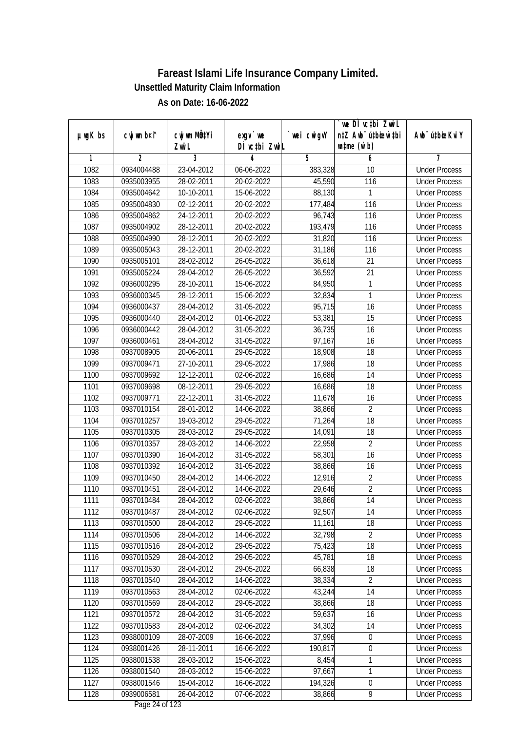| $µ$ ug $K$ bs | cwj wm b¤i^    | cwj wm MQtYi | $exgV$ we     | wei cwigvY | we DI vctbi ZwiL<br>n‡Z Awb <sup>-</sup> ú‡bioar`‡bi | Awb <sup>-</sup> ú‡bioeKviY |
|---------------|----------------|--------------|---------------|------------|------------------------------------------------------|-----------------------------|
|               |                | Zwi L        | DÌ vctbi ZwiL |            | $\n  untime\n  (u`b)\n$                              |                             |
| 1             | $\overline{2}$ | 3            | 4             | 5          | 6                                                    | 7                           |
| 1082          | 0934004488     | 23-04-2012   | 06-06-2022    | 383,328    | 10                                                   | <b>Under Process</b>        |
| 1083          | 0935003955     | 28-02-2011   | 20-02-2022    | 45,590     | 116                                                  | <b>Under Process</b>        |
| 1084          | 0935004642     | 10-10-2011   | 15-06-2022    | 88,130     | 1                                                    | <b>Under Process</b>        |
| 1085          | 0935004830     | 02-12-2011   | 20-02-2022    | 177,484    | 116                                                  | <b>Under Process</b>        |
| 1086          | 0935004862     | 24-12-2011   | 20-02-2022    | 96,743     | 116                                                  | <b>Under Process</b>        |
| 1087          | 0935004902     | 28-12-2011   | 20-02-2022    | 193,479    | $\overline{116}$                                     | <b>Under Process</b>        |
| 1088          | 0935004990     | 28-12-2011   | 20-02-2022    | 31,820     | 116                                                  | <b>Under Process</b>        |
| 1089          | 0935005043     | 28-12-2011   | 20-02-2022    | 31,186     | 116                                                  | <b>Under Process</b>        |
| 1090          | 0935005101     | 28-02-2012   | 26-05-2022    | 36,618     | 21                                                   | <b>Under Process</b>        |
| 1091          | 0935005224     | 28-04-2012   | 26-05-2022    | 36,592     | 21                                                   | <b>Under Process</b>        |
| 1092          | 0936000295     | 28-10-2011   | 15-06-2022    | 84,950     | 1                                                    | <b>Under Process</b>        |
| 1093          | 0936000345     | 28-12-2011   | 15-06-2022    | 32,834     | 1                                                    | <b>Under Process</b>        |
| 1094          | 0936000437     | 28-04-2012   | 31-05-2022    | 95,715     | $\overline{16}$                                      | <b>Under Process</b>        |
| 1095          | 0936000440     | 28-04-2012   | 01-06-2022    | 53,381     | 15                                                   | <b>Under Process</b>        |
| 1096          | 0936000442     | 28-04-2012   | 31-05-2022    | 36,735     | 16                                                   | <b>Under Process</b>        |
| 1097          | 0936000461     | 28-04-2012   | 31-05-2022    | 97,167     | 16                                                   | <b>Under Process</b>        |
| 1098          | 0937008905     | 20-06-2011   | 29-05-2022    | 18,908     | 18                                                   | <b>Under Process</b>        |
| 1099          | 0937009471     | 27-10-2011   | 29-05-2022    | 17,986     | 18                                                   | <b>Under Process</b>        |
| 1100          | 0937009692     | 12-12-2011   | 02-06-2022    | 16,686     | 14                                                   | <b>Under Process</b>        |
| 1101          | 0937009698     | 08-12-2011   | 29-05-2022    | 16,686     | 18                                                   | <b>Under Process</b>        |
| 1102          | 0937009771     | 22-12-2011   | 31-05-2022    | 11,678     | 16                                                   | <b>Under Process</b>        |
| 1103          | 0937010154     | 28-01-2012   | 14-06-2022    | 38,866     | $\overline{2}$                                       | <b>Under Process</b>        |
| 1104          | 0937010257     | 19-03-2012   | 29-05-2022    | 71,264     | 18                                                   | <b>Under Process</b>        |
| 1105          | 0937010305     | 28-03-2012   | 29-05-2022    | 14,091     | 18                                                   | <b>Under Process</b>        |
| 1106          | 0937010357     | 28-03-2012   | 14-06-2022    | 22,958     | $\overline{2}$                                       | <b>Under Process</b>        |
| 1107          | 0937010390     | 16-04-2012   | 31-05-2022    | 58,301     | 16                                                   | <b>Under Process</b>        |
| 1108          | 0937010392     | 16-04-2012   | 31-05-2022    | 38,866     | 16                                                   | <b>Under Process</b>        |
| 1109          | 0937010450     | 28-04-2012   | 14-06-2022    | 12,916     | $\overline{2}$                                       | <b>Under Process</b>        |
| 1110          | 0937010451     | 28-04-2012   | 14-06-2022    | 29,646     | $\overline{2}$                                       | <b>Under Process</b>        |
| 1111          | 0937010484     | 28-04-2012   | 02-06-2022    | 38,866     | 14                                                   | <b>Under Process</b>        |
| 1112          | 0937010487     | 28-04-2012   | 02-06-2022    | 92,507     | 14                                                   | <b>Under Process</b>        |
| 1113          | 0937010500     | 28-04-2012   | 29-05-2022    | 11,161     | 18                                                   | <b>Under Process</b>        |
| 1114          | 0937010506     | 28-04-2012   | 14-06-2022    | 32,798     | $\overline{2}$                                       | <b>Under Process</b>        |
| 1115          | 0937010516     | 28-04-2012   | 29-05-2022    | 75,423     | 18                                                   | <b>Under Process</b>        |
| 1116          | 0937010529     | 28-04-2012   | 29-05-2022    | 45,781     | 18                                                   | <b>Under Process</b>        |
| 1117          | 0937010530     | 28-04-2012   | 29-05-2022    | 66,838     | 18                                                   | <b>Under Process</b>        |
| 1118          | 0937010540     | 28-04-2012   | 14-06-2022    | 38,334     | $\overline{2}$                                       | <b>Under Process</b>        |
| 1119          | 0937010563     | 28-04-2012   | 02-06-2022    | 43,244     | 14                                                   | <b>Under Process</b>        |
| 1120          | 0937010569     | 28-04-2012   | 29-05-2022    | 38,866     | 18                                                   | <b>Under Process</b>        |
| 1121          | 0937010572     | 28-04-2012   | 31-05-2022    | 59,637     | 16                                                   | <b>Under Process</b>        |
| 1122          | 0937010583     | 28-04-2012   | 02-06-2022    | 34,302     | 14                                                   | <b>Under Process</b>        |
| 1123          | 0938000109     | 28-07-2009   | 16-06-2022    | 37,996     | $\boldsymbol{0}$                                     | <b>Under Process</b>        |
| 1124          | 0938001426     | 28-11-2011   | 16-06-2022    | 190,817    | $\boldsymbol{0}$                                     | <b>Under Process</b>        |
| 1125          | 0938001538     | 28-03-2012   | 15-06-2022    | 8,454      | 1                                                    | <b>Under Process</b>        |
| 1126          | 0938001540     | 28-03-2012   | 15-06-2022    | 97,667     | 1                                                    | <b>Under Process</b>        |
| 1127          | 0938001546     | 15-04-2012   | 16-06-2022    | 194,326    | $\boldsymbol{0}$                                     | <b>Under Process</b>        |
| 1128          | 0939006581     | 26-04-2012   | 07-06-2022    | 38,866     | 9                                                    | <b>Under Process</b>        |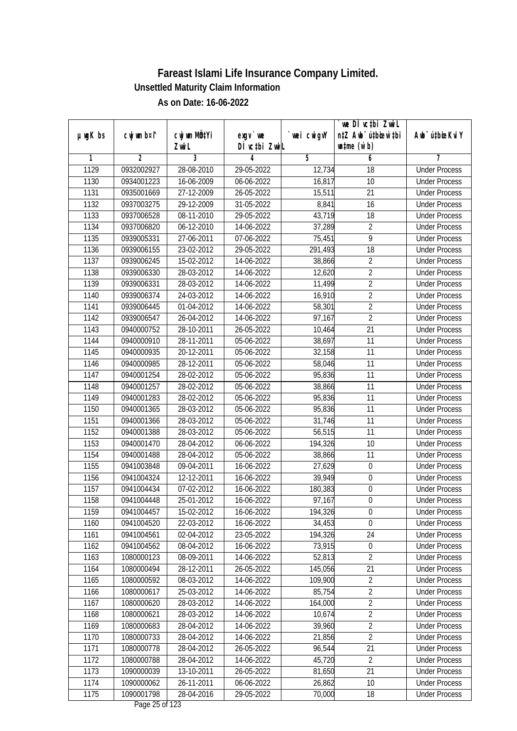|               |                |                       |                                       |            | we DI vctbi ZwiL                                            |                             |
|---------------|----------------|-----------------------|---------------------------------------|------------|-------------------------------------------------------------|-----------------------------|
| $µ$ ug $K$ bs | cwj wm b¤i^    | cwj wm MÖ¢Yi<br>Zwi L | $exgV$ we<br>DÌ vctbi ZwiL            | wei cwigvY | n‡Z Awb <sup>-</sup> ú‡bicen`‡bi<br>$\n  untime\n  (u`b)\n$ | Awb <sup>-</sup> ú‡bioeKviY |
| 1             | $\overline{2}$ | 3                     | 4                                     | 5          | 6                                                           | 7                           |
| 1129          | 0932002927     | 28-08-2010            | 29-05-2022                            | 12,734     | $\overline{18}$                                             | <b>Under Process</b>        |
| 1130          | 0934001223     | 16-06-2009            | 06-06-2022                            | 16,817     | 10                                                          | <b>Under Process</b>        |
| 1131          | 0935001669     | 27-12-2009            | 26-05-2022                            | 15,511     | $\overline{21}$                                             | <b>Under Process</b>        |
| 1132          | 0937003275     | 29-12-2009            | 31-05-2022                            | 8,841      | 16                                                          | <b>Under Process</b>        |
| 1133          | 0937006528     | 08-11-2010            | 29-05-2022                            | 43,719     | $\overline{18}$                                             | <b>Under Process</b>        |
| 1134          | 0937006820     | 06-12-2010            | 14-06-2022                            | 37,289     | $\overline{2}$                                              | <b>Under Process</b>        |
| 1135          | 0939005331     | 27-06-2011            | 07-06-2022                            | 75,451     | $\overline{9}$                                              | <b>Under Process</b>        |
| 1136          | 0939006155     | 23-02-2012            | 29-05-2022                            | 291,493    | $\overline{18}$                                             | <b>Under Process</b>        |
| 1137          | 0939006245     | 15-02-2012            | 14-06-2022                            | 38,866     | $\overline{2}$                                              | <b>Under Process</b>        |
| 1138          | 0939006330     | 28-03-2012            | 14-06-2022                            | 12,620     | $\overline{2}$                                              | <b>Under Process</b>        |
| 1139          | 0939006331     | 28-03-2012            | 14-06-2022                            | 11,499     | $\overline{2}$                                              | <b>Under Process</b>        |
| 1140          | 0939006374     | 24-03-2012            | 14-06-2022                            | 16,910     | $\overline{2}$                                              | <b>Under Process</b>        |
| 1141          | 0939006445     | 01-04-2012            | 14-06-2022                            | 58,301     | $\overline{2}$                                              | <b>Under Process</b>        |
| 1142          | 0939006547     | 26-04-2012            | 14-06-2022                            | 97,167     | $\overline{2}$                                              | <b>Under Process</b>        |
| 1143          | 0940000752     | 28-10-2011            | 26-05-2022                            | 10,464     | 21                                                          | <b>Under Process</b>        |
| 1144          | 0940000910     | 28-11-2011            | 05-06-2022                            | 38,697     | 11                                                          | <b>Under Process</b>        |
| 1145          | 0940000935     | 20-12-2011            | 05-06-2022                            | 32,158     | 11                                                          | <b>Under Process</b>        |
| 1146          | 0940000985     | 28-12-2011            | 05-06-2022                            | 58,046     | 11                                                          | <b>Under Process</b>        |
| 1147          | 0940001254     | 28-02-2012            | 05-06-2022                            | 95,836     | 11                                                          | <b>Under Process</b>        |
| 1148          | 0940001257     | 28-02-2012            | 05-06-2022                            | 38,866     | 11                                                          | <b>Under Process</b>        |
| 1149          | 0940001283     | 28-02-2012            | 05-06-2022                            | 95,836     | 11                                                          | <b>Under Process</b>        |
| 1150          | 0940001365     | 28-03-2012            | 05-06-2022                            | 95,836     | 11                                                          | <b>Under Process</b>        |
| 1151          | 0940001366     | 28-03-2012            | 05-06-2022                            | 31,746     | 11                                                          | <b>Under Process</b>        |
| 1152          | 0940001388     | 28-03-2012            | 05-06-2022                            | 56,515     | 11                                                          | <b>Under Process</b>        |
| 1153          | 0940001470     | 28-04-2012            | 06-06-2022                            | 194,326    | 10                                                          | <b>Under Process</b>        |
| 1154          | 0940001488     | 28-04-2012            | 05-06-2022                            | 38,866     | 11                                                          | <b>Under Process</b>        |
| 1155          | 0941003848     | 09-04-2011            | 16-06-2022                            | 27,629     | $\boldsymbol{0}$                                            | <b>Under Process</b>        |
| 1156          | 0941004324     | 12-12-2011            | 16-06-2022                            | 39,949     | $\boldsymbol{0}$                                            | <b>Under Process</b>        |
| 1157          | 0941004434     | 07-02-2012            | 16-06-2022                            | 180,383    | $\boldsymbol{0}$                                            | <b>Under Process</b>        |
| 1158          | 0941004448     | 25-01-2012            | 16-06-2022                            | 97,167     | $\boldsymbol{0}$                                            | <b>Under Process</b>        |
| 1159          | 0941004457     | 15-02-2012            | 16-06-2022                            | 194,326    | 0                                                           | <b>Under Process</b>        |
| 1160          | 0941004520     | 22-03-2012            | 16-06-2022                            | 34,453     | $\boldsymbol{0}$                                            | <b>Under Process</b>        |
| 1161          | 0941004561     | 02-04-2012            | 23-05-2022                            | 194,326    | 24                                                          | <b>Under Process</b>        |
| 1162          | 0941004562     | 08-04-2012            | 16-06-2022                            | 73,915     | $\overline{0}$                                              | <b>Under Process</b>        |
| 1163          | 1080000123     | 08-09-2011            | 14-06-2022                            | 52,813     | $\sqrt{2}$                                                  | <b>Under Process</b>        |
| 1164          | 1080000494     | 28-12-2011            | 26-05-2022                            | 145,056    | 21                                                          | <b>Under Process</b>        |
| 1165          | 1080000592     | 08-03-2012            | 14-06-2022                            | 109,900    | $\overline{2}$                                              | <b>Under Process</b>        |
| 1166          | 1080000617     | 25-03-2012            | 14-06-2022                            | 85,754     | $\overline{2}$                                              | <b>Under Process</b>        |
| 1167          | 1080000620     | 28-03-2012            | 14-06-2022                            | 164,000    | $\overline{2}$                                              | <b>Under Process</b>        |
| 1168          | 1080000621     | 28-03-2012            | 14-06-2022                            | 10,674     | $\overline{2}$                                              | <b>Under Process</b>        |
| 1169          | 1080000683     | 28-04-2012            | 14-06-2022                            | 39,960     | $\overline{2}$                                              | <b>Under Process</b>        |
| 1170          | 1080000733     | 28-04-2012            | 14-06-2022                            | 21,856     | $\overline{2}$                                              | <b>Under Process</b>        |
| 1171          | 1080000778     | 28-04-2012            | 26-05-2022                            | 96,544     | $\overline{21}$                                             | <b>Under Process</b>        |
| 1172          | 1080000788     | 28-04-2012            | 14-06-2022                            | 45,720     | $\overline{2}$                                              | <b>Under Process</b>        |
| 1173          | 1090000039     | 13-10-2011            | 26-05-2022                            | 81,650     | 21                                                          | <b>Under Process</b>        |
| 1174          | 1090000062     | 26-11-2011            | 06-06-2022                            | 26,862     | 10                                                          | <b>Under Process</b>        |
| 1175          | 1090001798     | 28-04-2016            | 29-05-2022<br>$D_{0.82}$ $25.6$ f 122 | 70,000     | 18                                                          | <b>Under Process</b>        |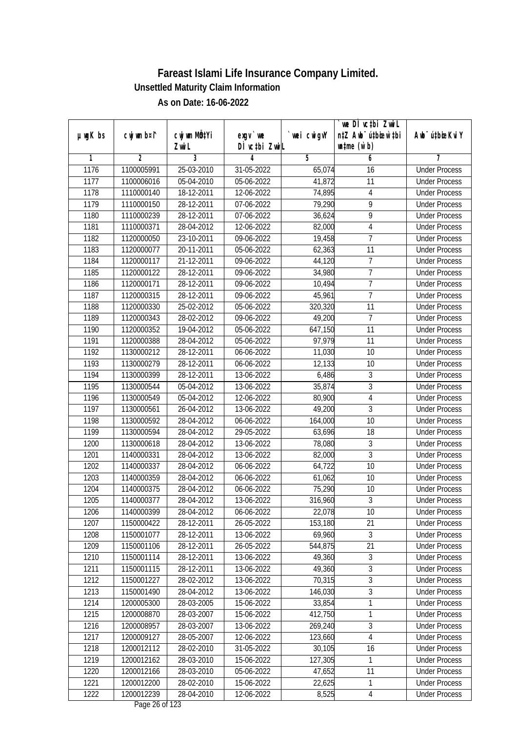|               |                |                       |                            |            | we DI vctbi ZwiL                                            |                             |
|---------------|----------------|-----------------------|----------------------------|------------|-------------------------------------------------------------|-----------------------------|
| $µ$ ug $K$ bs | cwj wm b¤i^    | cwj wm MQtYi<br>Zwi L | $exgV$ we<br>DÌ vctbi ZwiL | wei cwigvY | n‡Z Awb <sup>-</sup> ú‡bioar`‡bi<br>$\n  untime\n  (u`b)\n$ | Awb <sup>-</sup> ú‡bioeKviY |
| 1             | $\overline{2}$ | 3                     | 4                          | 5          | 6                                                           | 7                           |
| 1176          | 1100005991     | 25-03-2010            | 31-05-2022                 | 65,074     | 16                                                          | <b>Under Process</b>        |
| 1177          | 1100006016     | 05-04-2010            | 05-06-2022                 | 41,872     | 11                                                          | <b>Under Process</b>        |
| 1178          | 1110000140     | 18-12-2011            | 12-06-2022                 | 74,895     | $\overline{4}$                                              | <b>Under Process</b>        |
| 1179          | 1110000150     | 28-12-2011            | 07-06-2022                 | 79,290     | $\overline{9}$                                              | <b>Under Process</b>        |
| 1180          | 1110000239     | 28-12-2011            | 07-06-2022                 | 36,624     | $\overline{9}$                                              | <b>Under Process</b>        |
| 1181          | 1110000371     | 28-04-2012            | 12-06-2022                 | 82,000     | 4                                                           | <b>Under Process</b>        |
| 1182          | 1120000050     | 23-10-2011            | 09-06-2022                 | 19,458     | 7                                                           | <b>Under Process</b>        |
| 1183          | 1120000077     | 20-11-2011            | 05-06-2022                 | 62,363     | 11                                                          | <b>Under Process</b>        |
| 1184          | 1120000117     | 21-12-2011            | 09-06-2022                 | 44,120     | $\overline{7}$                                              | <b>Under Process</b>        |
| 1185          | 1120000122     | 28-12-2011            | 09-06-2022                 | 34,980     | $\overline{7}$                                              | <b>Under Process</b>        |
| 1186          | 1120000171     | 28-12-2011            | 09-06-2022                 | 10,494     | $\overline{7}$                                              | <b>Under Process</b>        |
| 1187          | 1120000315     | 28-12-2011            | 09-06-2022                 | 45,961     | 7                                                           | <b>Under Process</b>        |
| 1188          | 1120000330     | 25-02-2012            | 05-06-2022                 | 320,320    | $\overline{11}$                                             | <b>Under Process</b>        |
| 1189          | 1120000343     | 28-02-2012            | 09-06-2022                 | 49,200     | 7                                                           | <b>Under Process</b>        |
| 1190          | 1120000352     | 19-04-2012            | 05-06-2022                 | 647,150    | 11                                                          | <b>Under Process</b>        |
| 1191          | 1120000388     | 28-04-2012            | 05-06-2022                 | 97,979     | 11                                                          | <b>Under Process</b>        |
| 1192          | 1130000212     | 28-12-2011            | 06-06-2022                 | 11,030     | 10                                                          | <b>Under Process</b>        |
| 1193          | 1130000279     | 28-12-2011            | 06-06-2022                 | 12,133     | 10                                                          | <b>Under Process</b>        |
| 1194          | 1130000399     | 28-12-2011            | 13-06-2022                 | 6,486      | 3                                                           | <b>Under Process</b>        |
| 1195          | 1130000544     | 05-04-2012            | 13-06-2022                 | 35,874     | 3                                                           | <b>Under Process</b>        |
| 1196          | 1130000549     | 05-04-2012            | 12-06-2022                 | 80,900     | $\overline{4}$                                              | <b>Under Process</b>        |
| 1197          | 1130000561     | 26-04-2012            | 13-06-2022                 | 49,200     | $\mathfrak{Z}$                                              | <b>Under Process</b>        |
| 1198          | 1130000592     | 28-04-2012            | $\overline{06}$ -06-2022   | 164,000    | 10                                                          | <b>Under Process</b>        |
| 1199          | 1130000594     | 28-04-2012            | 29-05-2022                 | 63,696     | 18                                                          | <b>Under Process</b>        |
| 1200          | 1130000618     | 28-04-2012            | 13-06-2022                 | 78,080     | 3                                                           | <b>Under Process</b>        |
| 1201          | 1140000331     | 28-04-2012            | 13-06-2022                 | 82,000     | 3                                                           | <b>Under Process</b>        |
| 1202          | 1140000337     | 28-04-2012            | 06-06-2022                 | 64,722     | 10                                                          | <b>Under Process</b>        |
| 1203          | 1140000359     | 28-04-2012            | 06-06-2022                 | 61,062     | 10                                                          | <b>Under Process</b>        |
| 1204          | 1140000375     | 28-04-2012            | 06-06-2022                 | 75,290     | 10                                                          | <b>Under Process</b>        |
| 1205          | 1140000377     | 28-04-2012            | 13-06-2022                 | 316,960    | $\overline{3}$                                              | <b>Under Process</b>        |
| 1206          | 1140000399     | 28-04-2012            | 06-06-2022                 | 22,078     | 10                                                          | <b>Under Process</b>        |
| 1207          | 1150000422     | 28-12-2011            | 26-05-2022                 | 153,180    | 21                                                          | <b>Under Process</b>        |
| 1208          | 1150001077     | 28-12-2011            | 13-06-2022                 | 69,960     | 3                                                           | <b>Under Process</b>        |
| 1209          | 1150001106     | 28-12-2011            | 26-05-2022                 | 544,875    | 21                                                          | <b>Under Process</b>        |
| 1210          | 1150001114     | 28-12-2011            | 13-06-2022                 | 49,360     | $\overline{3}$                                              | <b>Under Process</b>        |
| 1211          | 1150001115     | 28-12-2011            | 13-06-2022                 | 49,360     | $\sqrt{3}$                                                  | <b>Under Process</b>        |
| 1212          | 1150001227     | 28-02-2012            | 13-06-2022                 | 70,315     | $\overline{3}$                                              | <b>Under Process</b>        |
| 1213          | 1150001490     | 28-04-2012            | 13-06-2022                 | 146,030    | $\overline{3}$                                              | <b>Under Process</b>        |
| 1214          | 1200005300     | 28-03-2005            | 15-06-2022                 | 33,854     | 1                                                           | <b>Under Process</b>        |
| 1215          | 1200008870     | 28-03-2007            | 15-06-2022                 | 412,750    | 1                                                           | <b>Under Process</b>        |
| 1216          | 1200008957     | 28-03-2007            | 13-06-2022                 | 269,240    | $\sqrt{3}$                                                  | <b>Under Process</b>        |
| 1217          | 1200009127     | 28-05-2007            | 12-06-2022                 | 123,660    | $\overline{4}$                                              | <b>Under Process</b>        |
| 1218          | 1200012112     | 28-02-2010            | 31-05-2022                 | 30,105     | 16                                                          | <b>Under Process</b>        |
| 1219          | 1200012162     | 28-03-2010            | 15-06-2022                 | 127,305    | 1                                                           | <b>Under Process</b>        |
| 1220          | 1200012166     | 28-03-2010            | 05-06-2022                 | 47,652     | 11                                                          | <b>Under Process</b>        |
| 1221          | 1200012200     | 28-02-2010            | 15-06-2022                 | 22,625     | $\mathbf{1}$                                                | <b>Under Process</b>        |
| 1222          | 1200012239     | 28-04-2010            | 12-06-2022                 | 8,525      | $\overline{4}$                                              | <b>Under Process</b>        |
|               |                |                       |                            |            |                                                             |                             |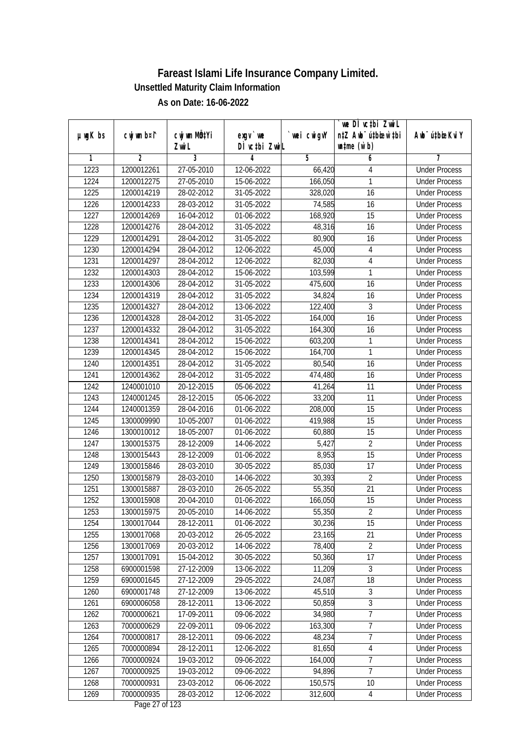|               |                |                           |                                |             | we DI vctbi ZwiL                 |                             |
|---------------|----------------|---------------------------|--------------------------------|-------------|----------------------------------|-----------------------------|
| $µ$ ug $K$ bs | cwj wm b¤i^    | cwj wm MQ <sup>1</sup> Yi | $exgV$ we                      | `wei cwigvY | n‡Z Awb <sup>-</sup> ú‡bioar`‡bi | Awb <sup>-</sup> ú‡bioeKviY |
|               |                | Zwi L                     | DÌ vctbi ZwiL                  |             | $\n  untime\n  (u`b)\n$          |                             |
| 1             | $\overline{2}$ | 3                         | 4                              | 5           | 6                                | 7                           |
| 1223          | 1200012261     | 27-05-2010                | 12-06-2022                     | 66,420      | 4                                | <b>Under Process</b>        |
| 1224          | 1200012275     | 27-05-2010                | 15-06-2022                     | 166,050     | 1                                | <b>Under Process</b>        |
| 1225          | 1200014219     | 28-02-2012                | 31-05-2022                     | 328,020     | 16                               | <b>Under Process</b>        |
| 1226          | 1200014233     | 28-03-2012                | 31-05-2022                     | 74,585      | 16                               | <b>Under Process</b>        |
| 1227          | 1200014269     | 16-04-2012                | 01-06-2022                     | 168,920     | $\overline{15}$                  | <b>Under Process</b>        |
| 1228          | 1200014276     | 28-04-2012                | 31-05-2022                     | 48,316      | 16                               | <b>Under Process</b>        |
| 1229          | 1200014291     | 28-04-2012                | $31 - 05 - 2022$               | 80,900      | 16                               | <b>Under Process</b>        |
| 1230          | 1200014294     | 28-04-2012                | 12-06-2022                     | 45,000      | $\sqrt{4}$                       | <b>Under Process</b>        |
| 1231          | 1200014297     | 28-04-2012                | 12-06-2022                     | 82,030      | $\sqrt{4}$                       | <b>Under Process</b>        |
| 1232          | 1200014303     | 28-04-2012                | 15-06-2022                     | 103,599     | 1                                | <b>Under Process</b>        |
| 1233          | 1200014306     | 28-04-2012                | 31-05-2022                     | 475,600     | $\overline{16}$                  | <b>Under Process</b>        |
| 1234          | 1200014319     | 28-04-2012                | 31-05-2022                     | 34,824      | 16                               | <b>Under Process</b>        |
| 1235          | 1200014327     | 28-04-2012                | 13-06-2022                     | 122,400     | 3                                | <b>Under Process</b>        |
| 1236          | 1200014328     | 28-04-2012                | 31-05-2022                     | 164,000     | 16                               | <b>Under Process</b>        |
| 1237          | 1200014332     | 28-04-2012                | 31-05-2022                     | 164,300     | 16                               | <b>Under Process</b>        |
| 1238          | 1200014341     | 28-04-2012                | 15-06-2022                     | 603,200     | 1                                | <b>Under Process</b>        |
| 1239          | 1200014345     | 28-04-2012                | 15-06-2022                     | 164,700     | 1                                | <b>Under Process</b>        |
| 1240          | 1200014351     | 28-04-2012                | $31 - 05 - 2022$               | 80,540      | 16                               | <b>Under Process</b>        |
| 1241          | 1200014362     | 28-04-2012                | 31-05-2022                     | 474,480     | 16                               | <b>Under Process</b>        |
| 1242          | 1240001010     | 20-12-2015                | 05-06-2022                     | 41,264      | 11                               | <b>Under Process</b>        |
| 1243          | 1240001245     | 28-12-2015                | 05-06-2022                     | 33,200      | 11                               | <b>Under Process</b>        |
| 1244          | 1240001359     | 28-04-2016                | 01-06-2022                     | 208,000     | 15                               | <b>Under Process</b>        |
| 1245          | 1300009990     | 10-05-2007                | 01-06-2022                     | 419,988     | 15                               | <b>Under Process</b>        |
| 1246          | 1300010012     | 18-05-2007                | 01-06-2022                     | 60,880      | 15                               | <b>Under Process</b>        |
| 1247          | 1300015375     | 28-12-2009                | 14-06-2022                     | 5,427       | $\sqrt{2}$                       | <b>Under Process</b>        |
| 1248          | 1300015443     | 28-12-2009                | 01-06-2022                     | 8,953       | 15                               | <b>Under Process</b>        |
| 1249          | 1300015846     | 28-03-2010                | 30-05-2022                     | 85,030      | 17                               | <b>Under Process</b>        |
| 1250          | 1300015879     | 28-03-2010                | 14-06-2022                     | 30,393      | $\overline{2}$                   | <b>Under Process</b>        |
| 1251          | 1300015887     | 28-03-2010                | 26-05-2022                     | 55,350      | 21                               | <b>Under Process</b>        |
| 1252          | 1300015908     | 20-04-2010                | 01-06-2022                     | 166,050     | 15                               | <b>Under Process</b>        |
| 1253          | 1300015975     | 20-05-2010                | 14-06-2022                     | 55,350      | 2                                | <b>Under Process</b>        |
| 1254          | 1300017044     | 28-12-2011                | 01-06-2022                     | 30,236      | 15                               | <b>Under Process</b>        |
| 1255          | 1300017068     | 20-03-2012                | 26-05-2022                     | 23,165      | 21                               | <b>Under Process</b>        |
| 1256          | 1300017069     | 20-03-2012                | 14-06-2022                     | 78,400      | $\overline{2}$                   | <b>Under Process</b>        |
| 1257          | 1300017091     | 15-04-2012                | 30-05-2022                     | 50,360      | 17                               | <b>Under Process</b>        |
| 1258          | 6900001598     | 27-12-2009                | 13-06-2022                     | 11,209      | 3                                | <b>Under Process</b>        |
| 1259          | 6900001645     | 27-12-2009                | 29-05-2022                     | 24,087      | 18                               | <b>Under Process</b>        |
| 1260          | 6900001748     | 27-12-2009                | 13-06-2022                     | 45,510      | 3                                | <b>Under Process</b>        |
| 1261          | 6900006058     | 28-12-2011                | 13-06-2022                     | 50,859      | $\overline{3}$                   | <b>Under Process</b>        |
| 1262          | 7000000621     | 17-09-2011                | 09-06-2022                     | 34,980      | $\overline{7}$                   | <b>Under Process</b>        |
| 1263          | 7000000629     | 22-09-2011                | 09-06-2022                     | 163,300     | $\overline{7}$                   | <b>Under Process</b>        |
| 1264          | 7000000817     | 28-12-2011                | 09-06-2022                     | 48,234      | 7                                | <b>Under Process</b>        |
| 1265          | 7000000894     | 28-12-2011                | 12-06-2022                     | 81,650      | 4                                | <b>Under Process</b>        |
| 1266          | 7000000924     | 19-03-2012                | 09-06-2022                     | 164,000     | $\overline{7}$                   | <b>Under Process</b>        |
| 1267          | 7000000925     | 19-03-2012                | 09-06-2022                     | 94,896      | 7                                | <b>Under Process</b>        |
| 1268          | 7000000931     | 23-03-2012                | 06-06-2022                     | 150, 575    | 10                               | <b>Under Process</b>        |
| 1269          | 7000000935     | 28-03-2012                | 12-06-2022<br>Dege $27$ of 122 | 312,600     | 4                                | <b>Under Process</b>        |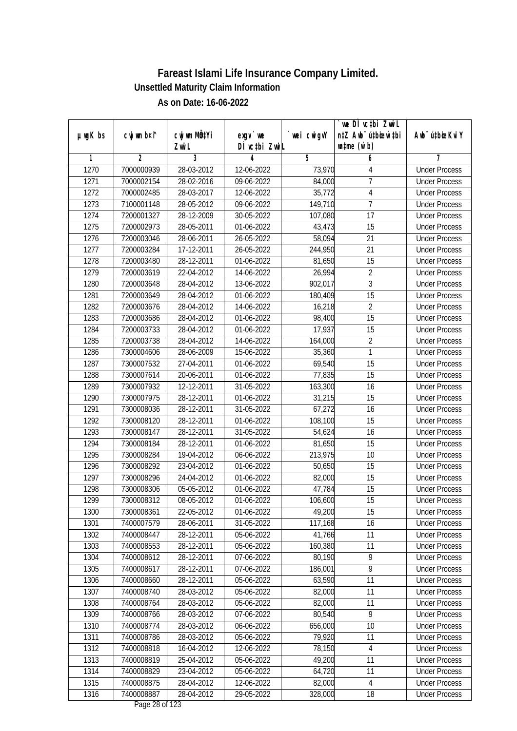|               |                |                             |                                          |             | `we DÌ vc‡bi Zwwi∟               |                             |
|---------------|----------------|-----------------------------|------------------------------------------|-------------|----------------------------------|-----------------------------|
| $µ$ ug $K$ bs | cwj wm b¤i^    | cwj wm MQ <sup>1</sup> Yi   | $exqu$ we                                | `wei cwigvY | n‡Z Awb <sup>-</sup> ú‡bioen`‡bi | Awb <sup>-</sup> ú‡bioeKviY |
|               |                | Zwi L                       | DÌ vctbi ZwiL                            |             | $\n  untime\n  (u`b)\n$          |                             |
| 1             | $\overline{2}$ | $\overline{3}$              | 4                                        | 5           | 6                                | 7                           |
| 1270          | 7000000939     | 28-03-2012                  | 12-06-2022                               | 73,970      | 4                                | <b>Under Process</b>        |
| 1271          | 7000002154     | 28-02-2016                  | 09-06-2022                               | 84,000      | $\overline{7}$                   | <b>Under Process</b>        |
| 1272          | 7000002485     | 28-03-2017                  | 12-06-2022                               | 35,772      | $\overline{4}$                   | <b>Under Process</b>        |
| 1273          | 7100001148     | 28-05-2012                  | 09-06-2022                               | 149,710     | $\overline{7}$                   | <b>Under Process</b>        |
| 1274          | 7200001327     | 28-12-2009                  | 30-05-2022                               | 107,080     | $\overline{17}$                  | <b>Under Process</b>        |
| 1275          | 7200002973     | 28-05-2011                  | 01-06-2022                               | 43,473      | $\overline{15}$                  | <b>Under Process</b>        |
| 1276          | 7200003046     | 28-06-2011                  | 26-05-2022                               | 58,094      | 21                               | <b>Under Process</b>        |
| 1277          | 7200003284     | 17-12-2011                  | 26-05-2022                               | 244,950     | $\overline{21}$                  | <b>Under Process</b>        |
| 1278          | 7200003480     | 28-12-2011                  | 01-06-2022                               | 81,650      | 15                               | <b>Under Process</b>        |
| 1279          | 7200003619     | 22-04-2012                  | 14-06-2022                               | 26,994      | $\overline{2}$                   | <b>Under Process</b>        |
| 1280          | 7200003648     | 28-04-2012                  | 13-06-2022                               | 902,017     | $\overline{3}$                   | <b>Under Process</b>        |
| 1281          | 7200003649     | 28-04-2012                  | 01-06-2022                               | 180,409     | 15                               | <b>Under Process</b>        |
| 1282          | 7200003676     | 28-04-2012                  | 14-06-2022                               | 16,218      | $\overline{2}$                   | <b>Under Process</b>        |
| 1283          | 7200003686     | 28-04-2012                  | 01-06-2022                               | 98,400      | 15                               | <b>Under Process</b>        |
| 1284          | 7200003733     | 28-04-2012                  | 01-06-2022                               | 17,937      | 15                               | <b>Under Process</b>        |
| 1285          | 7200003738     | 28-04-2012                  | 14-06-2022                               | 164,000     | $\overline{2}$                   | <b>Under Process</b>        |
| 1286          | 7300004606     | 28-06-2009                  | 15-06-2022                               | 35,360      | 1                                | <b>Under Process</b>        |
| 1287          | 7300007532     | 27-04-2011                  | 01-06-2022                               | 69,540      | 15                               | <b>Under Process</b>        |
| 1288          | 7300007614     | 20-06-2011                  | 01-06-2022                               | 77,835      | 15                               | <b>Under Process</b>        |
| 1289          | 7300007932     | $\overline{12} - 12 - 2011$ | 31-05-2022                               | 163,300     | 16                               | <b>Under Process</b>        |
| 1290          | 7300007975     | 28-12-2011                  | 01-06-2022                               | 31,215      | 15                               | <b>Under Process</b>        |
| 1291          | 7300008036     | 28-12-2011                  | 31-05-2022                               | 67,272      | 16                               | <b>Under Process</b>        |
| 1292          | 7300008120     | 28-12-2011                  | 01-06-2022                               | 108,100     | 15                               | <b>Under Process</b>        |
| 1293          | 7300008147     | 28-12-2011                  | 31-05-2022                               | 54,624      | 16                               | <b>Under Process</b>        |
| 1294          | 7300008184     | 28-12-2011                  | 01-06-2022                               | 81,650      | 15                               | <b>Under Process</b>        |
| 1295          | 7300008284     | 19-04-2012                  | 06-06-2022                               | 213,975     | 10                               | <b>Under Process</b>        |
| 1296          | 7300008292     | 23-04-2012                  | 01-06-2022                               | 50,650      | 15                               | <b>Under Process</b>        |
| 1297          | 7300008296     | 24-04-2012                  | 01-06-2022                               | 82,000      | 15                               | <b>Under Process</b>        |
| 1298          | 7300008306     | 05-05-2012                  | 01-06-2022                               | 47,784      | 15                               | <b>Under Process</b>        |
| 1299          | 7300008312     | 08-05-2012                  | 01-06-2022                               | 106,600     | 15                               | <b>Under Process</b>        |
| 1300          | 7300008361     | 22-05-2012                  | 01-06-2022                               | 49,200      | 15                               | <b>Under Process</b>        |
| 1301          | 7400007579     | 28-06-2011                  | 31-05-2022                               | 117,168     | 16                               | <b>Under Process</b>        |
| 1302          | 7400008447     | 28-12-2011                  | 05-06-2022                               | 41,766      | 11                               | <b>Under Process</b>        |
| 1303          | 7400008553     | 28-12-2011                  | 05-06-2022                               | 160,380     | 11                               | <b>Under Process</b>        |
| 1304          | 7400008612     | 28-12-2011                  | 07-06-2022                               | 80,190      | 9                                | <b>Under Process</b>        |
| 1305          | 7400008617     | 28-12-2011                  | 07-06-2022                               | 186,001     | 9                                | <b>Under Process</b>        |
| 1306          | 7400008660     | 28-12-2011                  | 05-06-2022                               | 63,590      | 11                               | <b>Under Process</b>        |
| 1307          | 7400008740     | 28-03-2012                  | 05-06-2022                               | 82,000      | 11                               | <b>Under Process</b>        |
| 1308          | 7400008764     | 28-03-2012                  | 05-06-2022                               | 82,000      | 11                               | <b>Under Process</b>        |
| 1309          | 7400008766     | 28-03-2012                  | 07-06-2022                               | 80,540      | 9                                | <b>Under Process</b>        |
| 1310          | 7400008774     | 28-03-2012                  | 06-06-2022                               | 656,000     | 10                               | <b>Under Process</b>        |
| 1311          | 7400008786     | 28-03-2012                  | 05-06-2022                               | 79,920      | 11                               | <b>Under Process</b>        |
| 1312          | 7400008818     | 16-04-2012                  | 12-06-2022                               | 78,150      | $\overline{4}$                   | <b>Under Process</b>        |
| 1313          | 7400008819     | 25-04-2012                  | 05-06-2022                               | 49,200      | 11                               | <b>Under Process</b>        |
| 1314          | 7400008829     | 23-04-2012                  | 05-06-2022                               | 64,720      | 11                               | <b>Under Process</b>        |
| 1315          | 7400008875     | 28-04-2012                  | 12-06-2022                               | 82,000      | 4                                | <b>Under Process</b>        |
| 1316          | 7400008887     | 28-04-2012                  | 29-05-2022<br>$D_{\text{max}}$ 00 of 100 | 328,000     | 18                               | <b>Under Process</b>        |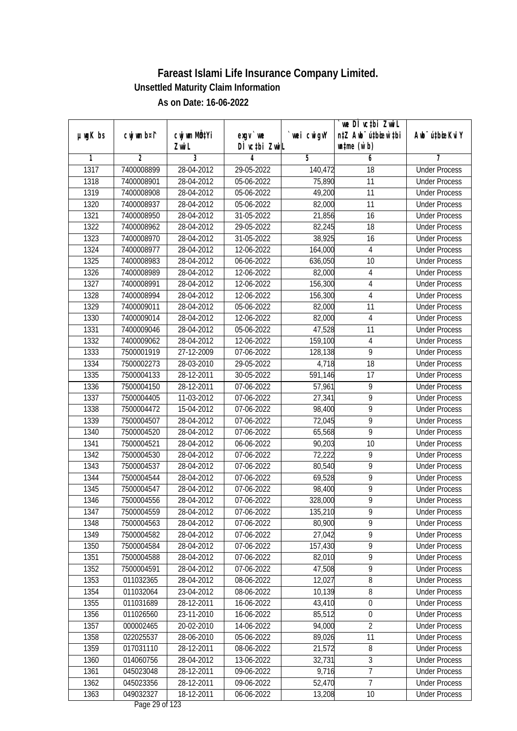|               |                | cwj wm MQtYi |                            |            | we DI vctbi ZwiL<br>n‡Z Awb <sup>-</sup> ú‡bioar`‡bi |                             |
|---------------|----------------|--------------|----------------------------|------------|------------------------------------------------------|-----------------------------|
| $µ$ ug $K$ bs | cwj wm b¤i^    | Zwi L        | $exgV$ we<br>DÌ vctbi ZwiL | wei cwigvY | $\n  untime\n  (u`b)\n$                              | Awb <sup>-</sup> ú‡bioeKviY |
| 1             | $\overline{2}$ | 3            | 4                          | 5          | 6                                                    | 7                           |
| 1317          | 7400008899     | 28-04-2012   | 29-05-2022                 | 140,472    | $\overline{18}$                                      | <b>Under Process</b>        |
| 1318          | 7400008901     | 28-04-2012   | $05-06-2022$               | 75,890     | 11                                                   | <b>Under Process</b>        |
| 1319          | 7400008908     | 28-04-2012   | 05-06-2022                 | 49,200     | 11                                                   | <b>Under Process</b>        |
| 1320          | 7400008937     | 28-04-2012   | 05-06-2022                 | 82,000     | 11                                                   | <b>Under Process</b>        |
| 1321          | 7400008950     | 28-04-2012   | 31-05-2022                 | 21,856     | $\overline{16}$                                      | <b>Under Process</b>        |
| 1322          | 7400008962     | 28-04-2012   | 29-05-2022                 | 82,245     | $\overline{18}$                                      | <b>Under Process</b>        |
| 1323          | 7400008970     | 28-04-2012   | $31 - 05 - 2022$           | 38,925     | 16                                                   | <b>Under Process</b>        |
| 1324          | 7400008977     | 28-04-2012   | 12-06-2022                 | 164,000    | 4                                                    | <b>Under Process</b>        |
| 1325          | 7400008983     | 28-04-2012   | 06-06-2022                 | 636,050    | 10                                                   | <b>Under Process</b>        |
| 1326          | 7400008989     | 28-04-2012   | 12-06-2022                 | 82,000     | $\overline{4}$                                       | <b>Under Process</b>        |
| 1327          | 7400008991     | 28-04-2012   | 12-06-2022                 | 156,300    | 4                                                    | <b>Under Process</b>        |
| 1328          | 7400008994     | 28-04-2012   | 12-06-2022                 | 156,300    | $\overline{4}$                                       | <b>Under Process</b>        |
| 1329          | 7400009011     | 28-04-2012   | 05-06-2022                 | 82,000     | $\overline{11}$                                      | <b>Under Process</b>        |
| 1330          | 7400009014     | 28-04-2012   | 12-06-2022                 | 82,000     | $\overline{4}$                                       | <b>Under Process</b>        |
| 1331          | 7400009046     | 28-04-2012   | 05-06-2022                 | 47,528     | 11                                                   | <b>Under Process</b>        |
| 1332          | 7400009062     | 28-04-2012   | 12-06-2022                 | 159,100    | $\overline{4}$                                       | <b>Under Process</b>        |
| 1333          | 7500001919     | 27-12-2009   | 07-06-2022                 | 128,138    | $\overline{9}$                                       | <b>Under Process</b>        |
| 1334          | 7500002273     | 28-03-2010   | 29-05-2022                 | 4,718      | $\overline{18}$                                      | <b>Under Process</b>        |
| 1335          | 7500004133     | 28-12-2011   | 30-05-2022                 | 591,146    | 17                                                   | <b>Under Process</b>        |
| 1336          | 7500004150     | 28-12-2011   | 07-06-2022                 | 57,961     | 9                                                    | <b>Under Process</b>        |
| 1337          | 7500004405     | 11-03-2012   | 07-06-2022                 | 27,341     | 9                                                    | <b>Under Process</b>        |
| 1338          | 7500004472     | 15-04-2012   | 07-06-2022                 | 98,400     | 9                                                    | <b>Under Process</b>        |
| 1339          | 7500004507     | 28-04-2012   | 07-06-2022                 | 72,045     | $\overline{9}$                                       | <b>Under Process</b>        |
| 1340          | 7500004520     | 28-04-2012   | 07-06-2022                 | 65,568     | $\overline{9}$                                       | <b>Under Process</b>        |
| 1341          | 7500004521     | 28-04-2012   | 06-06-2022                 | 90,203     | 10                                                   | <b>Under Process</b>        |
| 1342          | 7500004530     | 28-04-2012   | 07-06-2022                 | 72,222     | 9                                                    | <b>Under Process</b>        |
| 1343          | 7500004537     | 28-04-2012   | 07-06-2022                 | 80,540     | 9                                                    | <b>Under Process</b>        |
| 1344          | 7500004544     | 28-04-2012   | 07-06-2022                 | 69,528     | 9                                                    | <b>Under Process</b>        |
| 1345          | 7500004547     | 28-04-2012   | 07-06-2022                 | 98,400     | $\overline{9}$                                       | <b>Under Process</b>        |
| 1346          | 7500004556     | 28-04-2012   | 07-06-2022                 | 328,000    | $\overline{9}$                                       | <b>Under Process</b>        |
| 1347          | 7500004559     | 28-04-2012   | 07-06-2022                 | 135,210    | 9                                                    | <b>Under Process</b>        |
| 1348          | 7500004563     | 28-04-2012   | 07-06-2022                 | 80,900     | 9                                                    | <b>Under Process</b>        |
| 1349          | 7500004582     | 28-04-2012   | 07-06-2022                 | 27,042     | 9                                                    | <b>Under Process</b>        |
| 1350          | 7500004584     | 28-04-2012   | 07-06-2022                 | 157,430    | $\overline{9}$                                       | <b>Under Process</b>        |
| 1351          | 7500004588     | 28-04-2012   | 07-06-2022                 | 82,010     | $\overline{9}$                                       | <b>Under Process</b>        |
| 1352          | 7500004591     | 28-04-2012   | 07-06-2022                 | 47,508     | 9                                                    | <b>Under Process</b>        |
| 1353          | 011032365      | 28-04-2012   | 08-06-2022                 | 12,027     | 8                                                    | <b>Under Process</b>        |
| 1354          | 011032064      | 23-04-2012   | 08-06-2022                 | 10,139     | 8                                                    | <b>Under Process</b>        |
| 1355          | 011031689      | 28-12-2011   | 16-06-2022                 | 43,410     | $\boldsymbol{0}$                                     | <b>Under Process</b>        |
| 1356          | 011026560      | 23-11-2010   | 16-06-2022                 | 85,512     | $\boldsymbol{0}$                                     | <b>Under Process</b>        |
| 1357          | 000002465      | 20-02-2010   | 14-06-2022                 | 94,000     | $\overline{2}$                                       | <b>Under Process</b>        |
| 1358          | 022025537      | 28-06-2010   | 05-06-2022                 | 89,026     | 11                                                   | <b>Under Process</b>        |
| 1359          | 017031110      | 28-12-2011   | 08-06-2022                 | 21,572     | 8                                                    | <b>Under Process</b>        |
| 1360          | 014060756      | 28-04-2012   | 13-06-2022                 | 32,731     | 3                                                    | <b>Under Process</b>        |
| 1361          | 045023048      | 28-12-2011   | 09-06-2022                 | 9,716      | $\overline{7}$                                       | <b>Under Process</b>        |
| 1362          | 045023356      | 28-12-2011   | 09-06-2022                 | 52,470     | $\overline{7}$                                       | <b>Under Process</b>        |
| 1363          | 049032327      | 18-12-2011   | 06-06-2022                 | 13,208     | 10                                                   | <b>Under Process</b>        |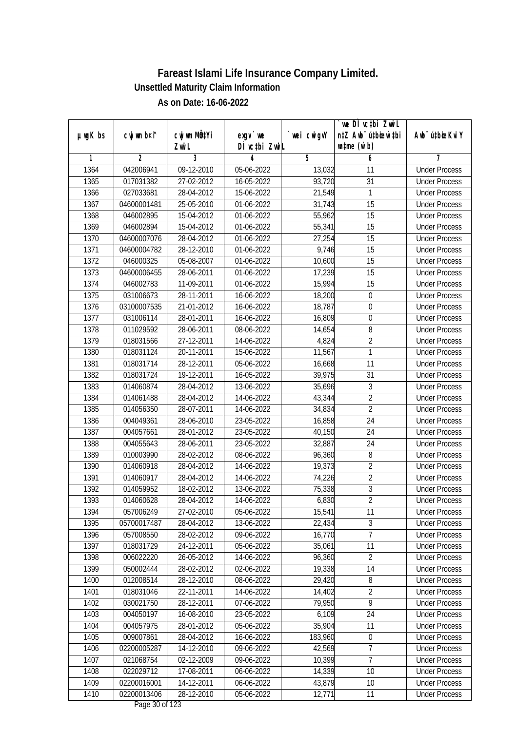|               |                |                           |                                          |             | `we DÌ vc‡bi Zwwi∟               |                             |
|---------------|----------------|---------------------------|------------------------------------------|-------------|----------------------------------|-----------------------------|
| $µ$ ug $K$ bs | cwj wm b¤i^    | cwj wm MQ <sup>1</sup> Yi | $exqu$ we                                | `wei cwigvY | n‡Z Awb <sup>-</sup> ú‡bioen`‡bi | Awb <sup>-</sup> ú‡bioeKviY |
|               |                | Zwi L                     | DÌ vctbi ZwiL                            |             | $\n  untime\n  (u`b)\n$          |                             |
| 1             | $\overline{2}$ | $\overline{3}$            | 4                                        | 5           | 6                                | 7                           |
| 1364          | 042006941      | $09-12-2010$              | 05-06-2022                               | 13,032      | 11                               | <b>Under Process</b>        |
| 1365          | 017031382      | 27-02-2012                | 16-05-2022                               | 93,720      | $\overline{31}$                  | <b>Under Process</b>        |
| 1366          | 027033681      | 28-04-2012                | 15-06-2022                               | 21,549      | 1                                | <b>Under Process</b>        |
| 1367          | 04600001481    | 25-05-2010                | 01-06-2022                               | 31,743      | $\overline{15}$                  | <b>Under Process</b>        |
| 1368          | 046002895      | 15-04-2012                | 01-06-2022                               | 55,962      | $\overline{15}$                  | <b>Under Process</b>        |
| 1369          | 046002894      | 15-04-2012                | 01-06-2022                               | 55,341      | $\overline{15}$                  | <b>Under Process</b>        |
| 1370          | 04600007076    | 28-04-2012                | 01-06-2022                               | 27,254      | 15                               | <b>Under Process</b>        |
| 1371          | 04600004782    | 28-12-2010                | 01-06-2022                               | 9,746       | 15                               | <b>Under Process</b>        |
| 1372          | 046000325      | 05-08-2007                | 01-06-2022                               | 10,600      | 15                               | <b>Under Process</b>        |
| 1373          | 04600006455    | 28-06-2011                | 01-06-2022                               | 17,239      | $\overline{15}$                  | <b>Under Process</b>        |
| 1374          | 046002783      | 11-09-2011                | 01-06-2022                               | 15,994      | $\overline{15}$                  | <b>Under Process</b>        |
| 1375          | 031006673      | 28-11-2011                | 16-06-2022                               | 18,200      | $\boldsymbol{0}$                 | <b>Under Process</b>        |
| 1376          | 03100007535    | 21-01-2012                | 16-06-2022                               | 18,787      | 0                                | <b>Under Process</b>        |
| 1377          | 031006114      | 28-01-2011                | 16-06-2022                               | 16,809      | 0                                | <b>Under Process</b>        |
| 1378          | 011029592      | 28-06-2011                | 08-06-2022                               | 14,654      | 8                                | <b>Under Process</b>        |
| 1379          | 018031566      | 27-12-2011                | $\overline{14} - 06 - 2022$              | 4,824       | $\overline{2}$                   | <b>Under Process</b>        |
| 1380          | 018031124      | 20-11-2011                | 15-06-2022                               | 11,567      | 1                                | <b>Under Process</b>        |
| 1381          | 018031714      | 28-12-2011                | 05-06-2022                               | 16,668      | 11                               | <b>Under Process</b>        |
| 1382          | 018031724      | 19-12-2011                | 16-05-2022                               | 39,975      | 31                               | <b>Under Process</b>        |
| 1383          | 014060874      | 28-04-2012                | 13-06-2022                               | 35,696      | 3                                | <b>Under Process</b>        |
| 1384          | 014061488      | 28-04-2012                | 14-06-2022                               | 43,344      | $\overline{2}$                   | <b>Under Process</b>        |
| 1385          | 014056350      | 28-07-2011                | 14-06-2022                               | 34,834      | $\overline{2}$                   | <b>Under Process</b>        |
| 1386          | 004049361      | 28-06-2010                | 23-05-2022                               | 16,858      | 24                               | <b>Under Process</b>        |
| 1387          | 004057661      | 28-01-2012                | 23-05-2022                               | 40,150      | 24                               | <b>Under Process</b>        |
| 1388          | 004055643      | 28-06-2011                | 23-05-2022                               | 32,887      | 24                               | <b>Under Process</b>        |
| 1389          | 010003990      | 28-02-2012                | 08-06-2022                               | 96,360      | 8                                | <b>Under Process</b>        |
| 1390          | 014060918      | 28-04-2012                | 14-06-2022                               | 19,373      | $\overline{2}$                   | <b>Under Process</b>        |
| 1391          | 014060917      | 28-04-2012                | 14-06-2022                               | 74,226      | $\overline{2}$                   | <b>Under Process</b>        |
| 1392          | 014059952      | 18-02-2012                | 13-06-2022                               | 75,338      | $\overline{3}$                   | <b>Under Process</b>        |
| 1393          | 014060628      | 28-04-2012                | 14-06-2022                               | 6,830       | $\overline{2}$                   | <b>Under Process</b>        |
| 1394          | 057006249      | 27-02-2010                | 05-06-2022                               | 15,541      | 11                               | <b>Under Process</b>        |
| 1395          | 05700017487    | 28-04-2012                | 13-06-2022                               | 22,434      | 3                                | <b>Under Process</b>        |
| 1396          | 057008550      | 28-02-2012                | 09-06-2022                               | 16,770      | $\overline{7}$                   | <b>Under Process</b>        |
| 1397          | 018031729      | 24-12-2011                | 05-06-2022                               | 35,061      | 11                               | <b>Under Process</b>        |
| 1398          | 006022220      | 26-05-2012                | 14-06-2022                               | 96,360      | $\overline{2}$                   | <b>Under Process</b>        |
| 1399          | 050002444      | 28-02-2012                | 02-06-2022                               | 19,338      | 14                               | <b>Under Process</b>        |
| 1400          | 012008514      | 28-12-2010                | 08-06-2022                               | 29,420      | 8                                | <b>Under Process</b>        |
| 1401          | 018031046      | 22-11-2011                | 14-06-2022                               | 14,402      | $\overline{2}$                   | <b>Under Process</b>        |
| 1402          | 030021750      | 28-12-2011                | 07-06-2022                               | 79,950      | $\overline{9}$                   | <b>Under Process</b>        |
| 1403          | 004050197      | 16-08-2010                | 23-05-2022                               | 6,109       | 24                               | <b>Under Process</b>        |
| 1404          | 004057975      | 28-01-2012                | 05-06-2022                               | 35,904      | 11                               | <b>Under Process</b>        |
| 1405          | 009007861      | 28-04-2012                | 16-06-2022                               | 183,960     | $\boldsymbol{0}$                 | <b>Under Process</b>        |
| 1406          | 02200005287    | 14-12-2010                | 09-06-2022                               | 42,569      | $\overline{7}$                   | <b>Under Process</b>        |
| 1407          | 021068754      | 02-12-2009                | 09-06-2022                               | 10,399      | $\overline{7}$                   | <b>Under Process</b>        |
| 1408          | 022029712      | 17-08-2011                | 06-06-2022                               | 14,339      | 10                               | <b>Under Process</b>        |
| 1409          | 02200016001    | 14-12-2011                | 06-06-2022                               | 43,879      | 10                               | <b>Under Process</b>        |
| 1410          | 02200013406    | 28-12-2010                | 05-06-2022<br>$D_{\text{max}}$ 20 of 123 | 12,771      | 11                               | <b>Under Process</b>        |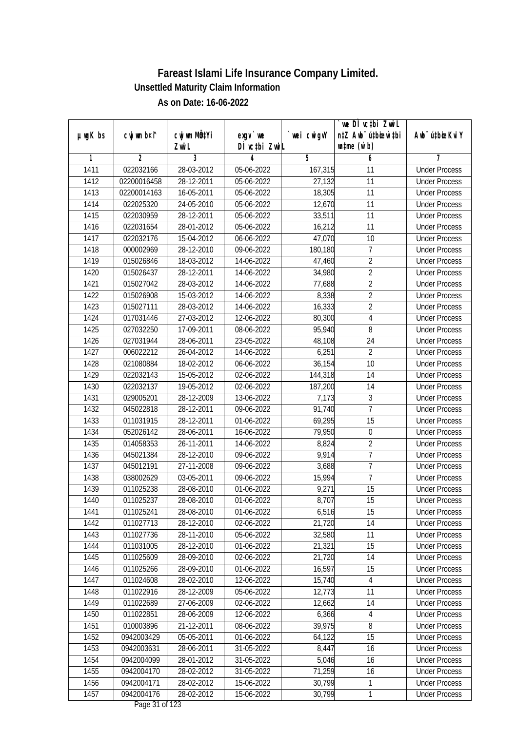|               |                |                |               |            | we DI vctbi Zwil                 |                             |
|---------------|----------------|----------------|---------------|------------|----------------------------------|-----------------------------|
| $µ$ ug $K$ bs | cwj wm b¤i^    | cwj wm MQtYi   | $exgv$ we     | wei cwigvY | n‡Z Awb <sup>-</sup> ú‡bioen`‡bi | Awb <sup>-</sup> ú‡bioeKviY |
|               |                | Zwi L          | DÌ vctbi ZwiL |            | $\n  untime\n  (u`b)\n$          |                             |
| 1             | $\overline{2}$ | $\overline{3}$ | 4             | 5          | 6                                | 7                           |
| 1411          | 022032166      | 28-03-2012     | 05-06-2022    | 167,315    | $\overline{11}$                  | <b>Under Process</b>        |
| 1412          | 02200016458    | 28-12-2011     | 05-06-2022    | 27,132     | $\overline{11}$                  | <b>Under Process</b>        |
| 1413          | 02200014163    | 16-05-2011     | 05-06-2022    | 18,305     | 11                               | <b>Under Process</b>        |
| 1414          | 022025320      | 24-05-2010     | 05-06-2022    | 12,670     | 11                               | <b>Under Process</b>        |
| 1415          | 022030959      | 28-12-2011     | 05-06-2022    | 33,511     | $\overline{11}$                  | <b>Under Process</b>        |
| 1416          | 022031654      | 28-01-2012     | $05-06-2022$  | 16,212     | $\overline{11}$                  | <b>Under Process</b>        |
| 1417          | 022032176      | 15-04-2012     | 06-06-2022    | 47,070     | 10                               | <b>Under Process</b>        |
| 1418          | 000002969      | 28-12-2010     | 09-06-2022    | 180,180    | 7                                | <b>Under Process</b>        |
| 1419          | 015026846      | 18-03-2012     | 14-06-2022    | 47,460     | $\overline{2}$                   | <b>Under Process</b>        |
| 1420          | 015026437      | 28-12-2011     | 14-06-2022    | 34,980     | $\overline{2}$                   | <b>Under Process</b>        |
| 1421          | 015027042      | 28-03-2012     | 14-06-2022    | 77,688     | $\overline{2}$                   | <b>Under Process</b>        |
| 1422          | 015026908      | 15-03-2012     | 14-06-2022    | 8,338      | $\overline{2}$                   | <b>Under Process</b>        |
| 1423          | 015027111      | 28-03-2012     | 14-06-2022    | 16,333     | $\overline{2}$                   | <b>Under Process</b>        |
| 1424          | 017031446      | 27-03-2012     | 12-06-2022    | 80,300     | 4                                | <b>Under Process</b>        |
| 1425          | 027032250      | 17-09-2011     | 08-06-2022    | 95,940     | 8                                | <b>Under Process</b>        |
| 1426          | 027031944      | 28-06-2011     | 23-05-2022    | 48,108     | 24                               | <b>Under Process</b>        |
| 1427          | 006022212      | 26-04-2012     | 14-06-2022    | 6,251      | $\overline{2}$                   | <b>Under Process</b>        |
| 1428          | 021080884      | 18-02-2012     | 06-06-2022    | 36,154     | 10                               | <b>Under Process</b>        |
| 1429          | 022032143      | 15-05-2012     | 02-06-2022    | 144,318    | 14                               | <b>Under Process</b>        |
| 1430          | 022032137      | 19-05-2012     | 02-06-2022    | 187,200    | 14                               | <b>Under Process</b>        |
| 1431          | 029005201      | 28-12-2009     | 13-06-2022    | 7,173      | 3                                | <b>Under Process</b>        |
| 1432          | 045022818      | 28-12-2011     | 09-06-2022    | 91,740     | $\overline{7}$                   | <b>Under Process</b>        |
| 1433          | 011031915      | 28-12-2011     | 01-06-2022    | 69,295     | 15                               | <b>Under Process</b>        |
| 1434          | 052026142      | 28-06-2011     | 16-06-2022    | 79,950     | $\boldsymbol{0}$                 | <b>Under Process</b>        |
| 1435          | 014058353      | 26-11-2011     | 14-06-2022    | 8,824      | $\overline{2}$                   | <b>Under Process</b>        |
| 1436          | 045021384      | 28-12-2010     | 09-06-2022    | 9,914      | 7                                | <b>Under Process</b>        |
| 1437          | 045012191      | 27-11-2008     | 09-06-2022    | 3,688      | $\overline{1}$                   | <b>Under Process</b>        |
| 1438          | 038002629      | 03-05-2011     | 09-06-2022    | 15,994     | $\overline{7}$                   | <b>Under Process</b>        |
| 1439          | 011025238      | 28-08-2010     | 01-06-2022    | 9,271      | 15                               | <b>Under Process</b>        |
| 1440          | 011025237      | 28-08-2010     | 01-06-2022    | 8,707      | 15                               | <b>Under Process</b>        |
| 1441          | 011025241      | 28-08-2010     | 01-06-2022    | 6,516      | 15                               | <b>Under Process</b>        |
| 1442          | 011027713      | 28-12-2010     | 02-06-2022    | 21,720     | 14                               | <b>Under Process</b>        |
| 1443          | 011027736      | 28-11-2010     | 05-06-2022    | 32,580     | 11                               | <b>Under Process</b>        |
| 1444          | 011031005      | 28-12-2010     | 01-06-2022    | 21,321     | 15                               | <b>Under Process</b>        |
| 1445          | 011025609      | 28-09-2010     | 02-06-2022    | 21,720     | 14                               | <b>Under Process</b>        |
| 1446          | 011025266      | 28-09-2010     | 01-06-2022    | 16,597     | 15                               | <b>Under Process</b>        |
| 1447          | 011024608      | 28-02-2010     | 12-06-2022    | 15,740     | $\overline{4}$                   | <b>Under Process</b>        |
| 1448          | 011022916      | 28-12-2009     | 05-06-2022    | 12,773     | 11                               | <b>Under Process</b>        |
| 1449          | 011022689      | 27-06-2009     | 02-06-2022    | 12,662     | 14                               | <b>Under Process</b>        |
| 1450          | 011022851      | 28-06-2009     | 12-06-2022    | 6,366      | $\overline{4}$                   | <b>Under Process</b>        |
| 1451          | 010003896      | 21-12-2011     | 08-06-2022    | 39,975     | 8                                | <b>Under Process</b>        |
| 1452          | 0942003429     | 05-05-2011     | 01-06-2022    | 64,122     | 15                               | <b>Under Process</b>        |
| 1453          | 0942003631     | 28-06-2011     | 31-05-2022    | 8,447      | 16                               | <b>Under Process</b>        |
| 1454          | 0942004099     | 28-01-2012     | 31-05-2022    | 5,046      | 16                               | <b>Under Process</b>        |
| 1455          | 0942004170     | 28-02-2012     | 31-05-2022    | 71,259     | 16                               | <b>Under Process</b>        |
| 1456          | 0942004171     | 28-02-2012     | 15-06-2022    | 30,799     | 1                                | <b>Under Process</b>        |
| 1457          | 0942004176     | 28-02-2012     | 15-06-2022    | 30,799     | $\mathbf 1$                      | <b>Under Process</b>        |
|               |                |                |               |            |                                  |                             |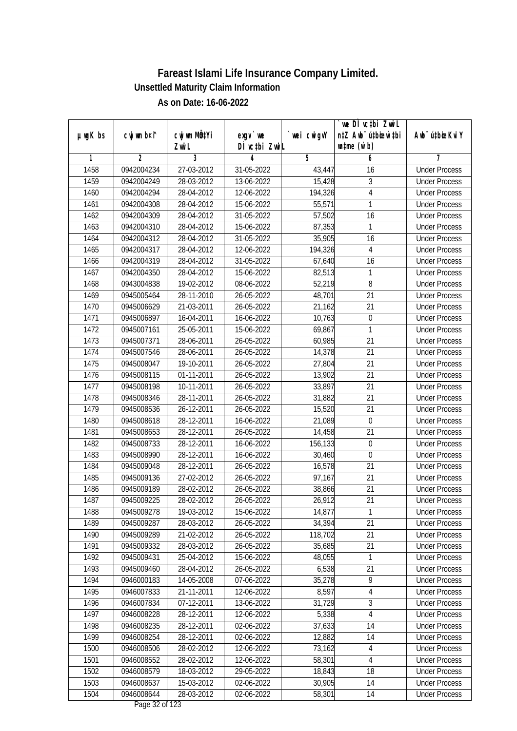|               |                |              |                               |                | we DI vctbi ZwiL                 |                             |
|---------------|----------------|--------------|-------------------------------|----------------|----------------------------------|-----------------------------|
| $µ$ ug $K$ bs | cwj wm b¤i^    | cwj wm MQtYi | $exgV$ we                     | `wei cwigvY    | n‡Z Awb <sup>-</sup> ú‡bioar`‡bi | Awb <sup>-</sup> ú‡bioeKviY |
|               |                | Zwi L        | DÌ vctbi ZwiL                 |                | $\n  untime\n  (u`b)\n$          |                             |
| 1             | $\overline{2}$ | 3            | 4                             | $\overline{5}$ | 6                                | 7                           |
| 1458          | 0942004234     | 27-03-2012   | 31-05-2022                    | 43,447         | 16                               | <b>Under Process</b>        |
| 1459          | 0942004249     | 28-03-2012   | 13-06-2022                    | 15,428         | 3                                | <b>Under Process</b>        |
| 1460          | 0942004294     | 28-04-2012   | 12-06-2022                    | 194,326        | $\overline{4}$                   | <b>Under Process</b>        |
| 1461          | 0942004308     | 28-04-2012   | 15-06-2022                    | 55,571         | 1                                | <b>Under Process</b>        |
| 1462          | 0942004309     | 28-04-2012   | 31-05-2022                    | 57,502         | $\overline{16}$                  | <b>Under Process</b>        |
| 1463          | 0942004310     | 28-04-2012   | 15-06-2022                    | 87,353         | 1                                | <b>Under Process</b>        |
| 1464          | 0942004312     | 28-04-2012   | $31 - 05 - 2022$              | 35,905         | 16                               | <b>Under Process</b>        |
| 1465          | 0942004317     | 28-04-2012   | 12-06-2022                    | 194,326        | $\overline{4}$                   | <b>Under Process</b>        |
| 1466          | 0942004319     | 28-04-2012   | 31-05-2022                    | 67,640         | 16                               | <b>Under Process</b>        |
| 1467          | 0942004350     | 28-04-2012   | 15-06-2022                    | 82,513         | 1                                | <b>Under Process</b>        |
| 1468          | 0943004838     | 19-02-2012   | 08-06-2022                    | 52,219         | 8                                | <b>Under Process</b>        |
| 1469          | 0945005464     | 28-11-2010   | 26-05-2022                    | 48,701         | 21                               | <b>Under Process</b>        |
| 1470          | 0945006629     | 21-03-2011   | 26-05-2022                    | 21,162         | $\overline{21}$                  | <b>Under Process</b>        |
| 1471          | 0945006897     | 16-04-2011   | 16-06-2022                    | 10,763         | $\boldsymbol{0}$                 | <b>Under Process</b>        |
| 1472          | 0945007161     | 25-05-2011   | 15-06-2022                    | 69,867         | 1                                | <b>Under Process</b>        |
| 1473          | 0945007371     | 28-06-2011   | 26-05-2022                    | 60,985         | 21                               | <b>Under Process</b>        |
| 1474          | 0945007546     | 28-06-2011   | 26-05-2022                    | 14,378         | 21                               | <b>Under Process</b>        |
| 1475          | 0945008047     | 19-10-2011   | 26-05-2022                    | 27,804         | 21                               | <b>Under Process</b>        |
| 1476          | 0945008115     | 01-11-2011   | 26-05-2022                    | 13,902         | 21                               | <b>Under Process</b>        |
| 1477          | 0945008198     | 10-11-2011   | 26-05-2022                    | 33,897         | 21                               | <b>Under Process</b>        |
| 1478          | 0945008346     | 28-11-2011   | 26-05-2022                    | 31,882         | 21                               | <b>Under Process</b>        |
| 1479          | 0945008536     | 26-12-2011   | 26-05-2022                    | 15,520         | 21                               | <b>Under Process</b>        |
| 1480          | 0945008618     | 28-12-2011   | 16-06-2022                    | 21,089         | $\boldsymbol{0}$                 | <b>Under Process</b>        |
| 1481          | 0945008653     | 28-12-2011   | 26-05-2022                    | 14,458         | 21                               | <b>Under Process</b>        |
| 1482          | 0945008733     | 28-12-2011   | 16-06-2022                    | 156,133        | $\boldsymbol{0}$                 | <b>Under Process</b>        |
| 1483          | 0945008990     | 28-12-2011   | 16-06-2022                    | 30,460         | 0                                | <b>Under Process</b>        |
| 1484          | 0945009048     | 28-12-2011   | 26-05-2022                    | 16,578         | 21                               | <b>Under Process</b>        |
| 1485          | 0945009136     | 27-02-2012   | 26-05-2022                    | 97,167         | 21                               | <b>Under Process</b>        |
| 1486          | 0945009189     | 28-02-2012   | 26-05-2022                    | 38,866         | 21                               | <b>Under Process</b>        |
| 1487          | 0945009225     | 28-02-2012   | 26-05-2022                    | 26,912         | 21                               | <b>Under Process</b>        |
| 1488          | 0945009278     | 19-03-2012   | 15-06-2022                    | 14,877         | 1                                | <b>Under Process</b>        |
| 1489          | 0945009287     | 28-03-2012   | 26-05-2022                    | 34,394         | 21                               | <b>Under Process</b>        |
| 1490          | 0945009289     | 21-02-2012   | 26-05-2022                    | 118,702        | 21                               | <b>Under Process</b>        |
| 1491          | 0945009332     | 28-03-2012   | 26-05-2022                    | 35,685         | $\overline{21}$                  | <b>Under Process</b>        |
| 1492          | 0945009431     | 25-04-2012   | 15-06-2022                    | 48,055         | 1                                | <b>Under Process</b>        |
| 1493          | 0945009460     | 28-04-2012   | 26-05-2022                    | 6,538          | 21                               | <b>Under Process</b>        |
| 1494          | 0946000183     | 14-05-2008   | 07-06-2022                    | 35,278         | 9                                | <b>Under Process</b>        |
| 1495          | 0946007833     | 21-11-2011   | 12-06-2022                    | 8,597          | 4                                | <b>Under Process</b>        |
| 1496          | 0946007834     | 07-12-2011   | 13-06-2022                    | 31,729         | 3                                | <b>Under Process</b>        |
| 1497          | 0946008228     | 28-12-2011   | 12-06-2022                    | 5,338          | $\overline{4}$                   | <b>Under Process</b>        |
| 1498          | 0946008235     | 28-12-2011   | 02-06-2022                    | 37,633         | 14                               | <b>Under Process</b>        |
| 1499          | 0946008254     | 28-12-2011   | 02-06-2022                    | 12,882         | 14                               | <b>Under Process</b>        |
| 1500          | 0946008506     | 28-02-2012   | $12 - 06 - 2022$              | 73,162         | 4                                | <b>Under Process</b>        |
| 1501          | 0946008552     | 28-02-2012   | 12-06-2022                    | 58, 301        | $\overline{4}$                   | <b>Under Process</b>        |
| 1502          | 0946008579     | 18-03-2012   | 29-05-2022                    | 18,843         | 18                               | <b>Under Process</b>        |
| 1503          | 0946008637     | 15-03-2012   | 02-06-2022                    | 30,905         | 14                               | <b>Under Process</b>        |
| 1504          | 0946008644     | 28-03-2012   | 02-06-2022<br>Dega $22.65122$ | 58,301         | 14                               | <b>Under Process</b>        |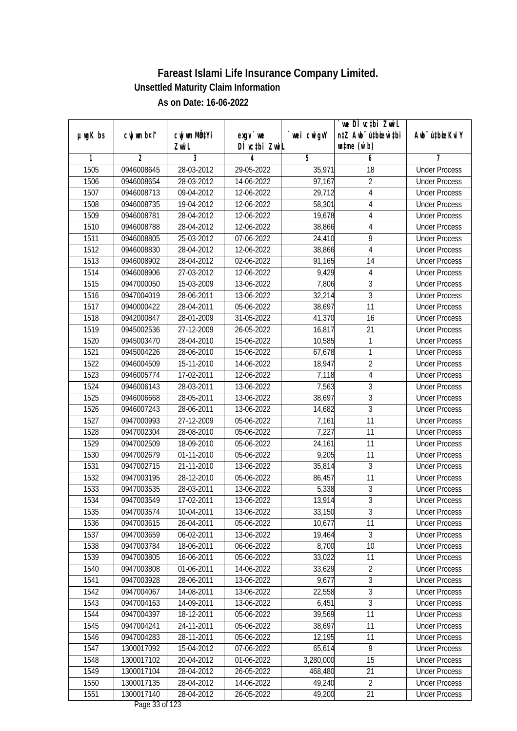|               |                |                             |                  |                | we DI vctbi Zwil                 |                             |
|---------------|----------------|-----------------------------|------------------|----------------|----------------------------------|-----------------------------|
| $µ$ ug $K$ bs | cwj wm b¤i^    | cwj wm MQtYi                | $exgv$ we        | wei cwigvY     | n‡Z Awb <sup>-</sup> ú‡bioen`‡bi | Awb <sup>-</sup> ú‡bioeKviY |
|               |                | Zwi L                       | DÌ vctbi ZwiL    |                | $\n  untime\n  (u`b)\n$          |                             |
| 1             | $\overline{2}$ | $\overline{3}$              | 4                | $\overline{5}$ | 6                                | 7                           |
| 1505          | 0946008645     | 28-03-2012                  | 29-05-2022       | 35,971         | 18                               | <b>Under Process</b>        |
| 1506          | 0946008654     | 28-03-2012                  | 14-06-2022       | 97,167         | $\overline{2}$                   | <b>Under Process</b>        |
| 1507          | 0946008713     | 09-04-2012                  | 12-06-2022       | 29,712         | $\overline{\mathbf{4}}$          | <b>Under Process</b>        |
| 1508          | 0946008735     | $\overline{19} - 04 - 2012$ | 12-06-2022       | 58,301         | 4                                | <b>Under Process</b>        |
| 1509          | 0946008781     | 28-04-2012                  | 12-06-2022       | 19,678         | $\overline{4}$                   | <b>Under Process</b>        |
| 1510          | 0946008788     | 28-04-2012                  | $12 - 06 - 2022$ | 38,866         | 4                                | <b>Under Process</b>        |
| 1511          | 0946008805     | 25-03-2012                  | 07-06-2022       | 24,410         | 9                                | <b>Under Process</b>        |
| 1512          | 0946008830     | 28-04-2012                  | 12-06-2022       | 38,866         | $\overline{4}$                   | <b>Under Process</b>        |
| 1513          | 0946008902     | 28-04-2012                  | 02-06-2022       | 91,165         | 14                               | <b>Under Process</b>        |
| 1514          | 0946008906     | 27-03-2012                  | 12-06-2022       | 9,429          | $\overline{4}$                   | <b>Under Process</b>        |
| 1515          | 0947000050     | 15-03-2009                  | 13-06-2022       | 7,806          | $\overline{3}$                   | <b>Under Process</b>        |
| 1516          | 0947004019     | 28-06-2011                  | 13-06-2022       | 32,214         | 3                                | <b>Under Process</b>        |
| 1517          | 0940000422     | 28-04-2011                  | 05-06-2022       | 38,697         | $\overline{11}$                  | <b>Under Process</b>        |
| 1518          | 0942000847     | 28-01-2009                  | 31-05-2022       | 41,370         | 16                               | <b>Under Process</b>        |
| 1519          | 0945002536     | 27-12-2009                  | 26-05-2022       | 16,817         | 21                               | <b>Under Process</b>        |
| 1520          | 0945003470     | 28-04-2010                  | 15-06-2022       | 10,585         | 1                                | <b>Under Process</b>        |
| 1521          | 0945004226     | 28-06-2010                  | 15-06-2022       | 67,678         | 1                                | <b>Under Process</b>        |
| 1522          | 0946004509     | 15-11-2010                  | 14-06-2022       | 18,947         | $\overline{2}$                   | <b>Under Process</b>        |
| 1523          | 0946005774     | 17-02-2011                  | 12-06-2022       | 7,118          | $\overline{4}$                   | <b>Under Process</b>        |
| 1524          | 0946006143     | 28-03-2011                  | 13-06-2022       | 7,563          | 3                                | <b>Under Process</b>        |
| 1525          | 0946006668     | 28-05-2011                  | 13-06-2022       | 38,697         | $\overline{3}$                   | <b>Under Process</b>        |
| 1526          | 0946007243     | 28-06-2011                  | 13-06-2022       | 14,682         | $\overline{3}$                   | <b>Under Process</b>        |
| 1527          | 0947000993     | 27-12-2009                  | 05-06-2022       | 7,161          | 11                               | <b>Under Process</b>        |
| 1528          | 0947002304     | 28-08-2010                  | 05-06-2022       | 7,227          | 11                               | <b>Under Process</b>        |
| 1529          | 0947002509     | 18-09-2010                  | 05-06-2022       | 24,161         | 11                               | <b>Under Process</b>        |
| 1530          | 0947002679     | 01-11-2010                  | 05-06-2022       | 9,205          | 11                               | <b>Under Process</b>        |
| 1531          | 0947002715     | 21-11-2010                  | 13-06-2022       | 35,814         | $\overline{3}$                   | <b>Under Process</b>        |
| 1532          | 0947003195     | 28-12-2010                  | 05-06-2022       | 86,457         | 11                               | <b>Under Process</b>        |
| 1533          | 0947003535     | 28-03-2011                  | 13-06-2022       | 5,338          | $\overline{3}$                   | <b>Under Process</b>        |
| 1534          | 0947003549     | 17-02-2011                  | 13-06-2022       | 13,914         | $\overline{3}$                   | <b>Under Process</b>        |
| 1535          | 0947003574     | 10-04-2011                  | 13-06-2022       | 33,150         | 3                                | <b>Under Process</b>        |
| 1536          | 0947003615     | 26-04-2011                  | 05-06-2022       | 10,677         | 11                               | <b>Under Process</b>        |
| 1537          | 0947003659     | 06-02-2011                  | 13-06-2022       | 19,464         | $\overline{3}$                   | <b>Under Process</b>        |
| 1538          | 0947003784     | 18-06-2011                  | 06-06-2022       | 8,700          | 10                               | <b>Under Process</b>        |
| 1539          | 0947003805     | 16-06-2011                  | 05-06-2022       | 33,022         | 11                               | <b>Under Process</b>        |
| 1540          | 0947003808     | 01-06-2011                  | 14-06-2022       | 33,629         | $\overline{2}$                   | <b>Under Process</b>        |
| 1541          | 0947003928     | 28-06-2011                  | 13-06-2022       | 9,677          | $\overline{3}$                   | <b>Under Process</b>        |
| 1542          | 0947004067     | 14-08-2011                  | 13-06-2022       | 22,558         | 3                                | <b>Under Process</b>        |
| 1543          | 0947004163     | 14-09-2011                  | 13-06-2022       | 6,451          | 3                                | <b>Under Process</b>        |
| 1544          | 0947004397     | 18-12-2011                  | 05-06-2022       | 39,569         | 11                               | <b>Under Process</b>        |
| 1545          | 0947004241     | 24-11-2011                  | 05-06-2022       | 38,697         | 11                               | <b>Under Process</b>        |
| 1546          | 0947004283     | 28-11-2011                  | 05-06-2022       | 12,195         | 11                               | <b>Under Process</b>        |
| 1547          | 1300017092     | 15-04-2012                  | 07-06-2022       | 65,614         | 9                                | <b>Under Process</b>        |
| 1548          | 1300017102     | 20-04-2012                  | 01-06-2022       | 3,280,000      | 15                               | <b>Under Process</b>        |
| 1549          | 1300017104     | 28-04-2012                  | 26-05-2022       | 468,480        | 21                               | <b>Under Process</b>        |
| 1550          | 1300017135     | 28-04-2012                  | 14-06-2022       | 49,240         | $\overline{2}$                   | <b>Under Process</b>        |
| 1551          | 1300017140     | 28-04-2012                  | 26-05-2022       | 49,200         | 21                               | <b>Under Process</b>        |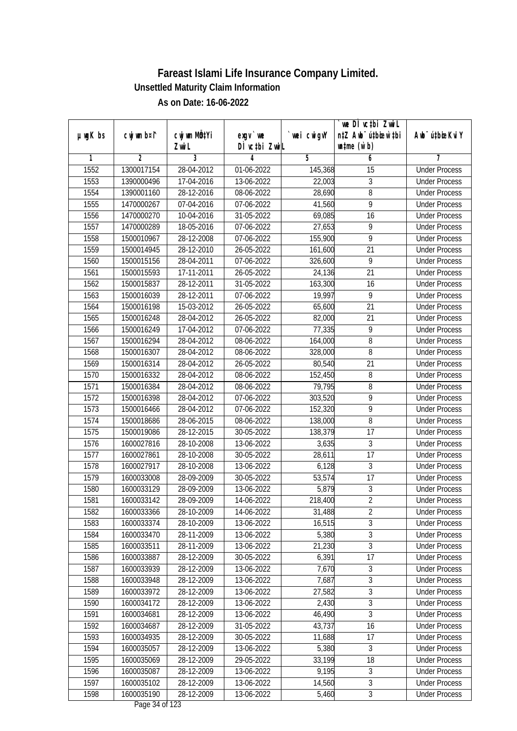|               |                |              |                  |            | we DI vctbi Zwil                 |                             |
|---------------|----------------|--------------|------------------|------------|----------------------------------|-----------------------------|
| $µ$ ug $K$ bs | cwj wm b¤i^    | cwj wm MQtYi | $exgv$ we        | wei cwigvY | n‡Z Awb <sup>-</sup> ú‡bioen`‡bi | Awb <sup>-</sup> ú‡bioeKviY |
|               |                | Zwi L        | DÌ vctbi ZwiL    |            | $\n  untime\n  (u`b)\n$          |                             |
| 1             | $\overline{2}$ | 3            | 4                | 5          | 6                                | 7                           |
| 1552          | 1300017154     | 28-04-2012   | 01-06-2022       | 145,368    | $\overline{15}$                  | <b>Under Process</b>        |
| 1553          | 1390000496     | 17-04-2016   | 13-06-2022       | 22,003     | 3                                | <b>Under Process</b>        |
| 1554          | 1390001160     | 28-12-2016   | 08-06-2022       | 28,690     | 8                                | <b>Under Process</b>        |
| 1555          | 1470000267     | 07-04-2016   | 07-06-2022       | 41,560     | 9                                | <b>Under Process</b>        |
| 1556          | 1470000270     | 10-04-2016   | 31-05-2022       | 69,085     | $\overline{16}$                  | <b>Under Process</b>        |
| 1557          | 1470000289     | 18-05-2016   | $07 - 06 - 2022$ | 27,653     | 9                                | <b>Under Process</b>        |
| 1558          | 1500010967     | 28-12-2008   | 07-06-2022       | 155,900    | 9                                | <b>Under Process</b>        |
| 1559          | 1500014945     | 28-12-2010   | 26-05-2022       | 161,600    | 21                               | <b>Under Process</b>        |
| 1560          | 1500015156     | 28-04-2011   | 07-06-2022       | 326,600    | $\overline{9}$                   | <b>Under Process</b>        |
| 1561          | 1500015593     | 17-11-2011   | 26-05-2022       | 24,136     | $\overline{21}$                  | <b>Under Process</b>        |
| 1562          | 1500015837     | 28-12-2011   | 31-05-2022       | 163,300    | 16                               | <b>Under Process</b>        |
| 1563          | 1500016039     | 28-12-2011   | 07-06-2022       | 19,997     | 9                                | <b>Under Process</b>        |
| 1564          | 1500016198     | 15-03-2012   | 26-05-2022       | 65,600     | $\overline{21}$                  | <b>Under Process</b>        |
| 1565          | 1500016248     | 28-04-2012   | 26-05-2022       | 82,000     | 21                               | <b>Under Process</b>        |
| 1566          | 1500016249     | 17-04-2012   | 07-06-2022       | 77,335     | 9                                | <b>Under Process</b>        |
| 1567          | 1500016294     | 28-04-2012   | 08-06-2022       | 164,000    | 8                                | <b>Under Process</b>        |
| 1568          | 1500016307     | 28-04-2012   | 08-06-2022       | 328,000    | 8                                | <b>Under Process</b>        |
| 1569          | 1500016314     | 28-04-2012   | 26-05-2022       | 80,540     | 21                               | <b>Under Process</b>        |
| 1570          | 1500016332     | 28-04-2012   | 08-06-2022       | 152,450    | 8                                | <b>Under Process</b>        |
| 1571          | 1500016384     | 28-04-2012   | 08-06-2022       | 79,795     | 8                                | <b>Under Process</b>        |
| 1572          | 1500016398     | 28-04-2012   | 07-06-2022       | 303,520    | $\overline{9}$                   | <b>Under Process</b>        |
| 1573          | 1500016466     | 28-04-2012   | 07-06-2022       | 152,320    | 9                                | <b>Under Process</b>        |
| 1574          | 1500018686     | 28-06-2015   | 08-06-2022       | 138,000    | $\overline{8}$                   | <b>Under Process</b>        |
| 1575          | 1500019086     | 28-12-2015   | 30-05-2022       | 138,379    | 17                               | <b>Under Process</b>        |
| 1576          | 1600027816     | 28-10-2008   | 13-06-2022       | 3,635      | $\mathfrak{Z}$                   | <b>Under Process</b>        |
| 1577          | 1600027861     | 28-10-2008   | 30-05-2022       | 28,611     | 17                               | <b>Under Process</b>        |
| 1578          | 1600027917     | 28-10-2008   | 13-06-2022       | 6,128      | 3                                | <b>Under Process</b>        |
| 1579          | 1600033008     | 28-09-2009   | 30-05-2022       | 53,574     | 17                               | <b>Under Process</b>        |
| 1580          | 1600033129     | 28-09-2009   | 13-06-2022       | 5,879      | $\overline{3}$                   | <b>Under Process</b>        |
| 1581          | 1600033142     | 28-09-2009   | 14-06-2022       | 218,400    | $\overline{2}$                   | <b>Under Process</b>        |
| 1582          | 1600033366     | 28-10-2009   | 14-06-2022       | 31,488     | $\overline{2}$                   | <b>Under Process</b>        |
| 1583          | 1600033374     | 28-10-2009   | 13-06-2022       | 16,515     | $\overline{3}$                   | <b>Under Process</b>        |
| 1584          | 1600033470     | 28-11-2009   | 13-06-2022       | 5,380      | 3                                | <b>Under Process</b>        |
| 1585          | 1600033511     | 28-11-2009   | 13-06-2022       | 21,230     | $\overline{3}$                   | <b>Under Process</b>        |
| 1586          | 1600033887     | 28-12-2009   | 30-05-2022       | 6,391      | 17                               | <b>Under Process</b>        |
| 1587          | 1600033939     | 28-12-2009   | 13-06-2022       | 7,670      | 3                                | <b>Under Process</b>        |
| 1588          | 1600033948     | 28-12-2009   | 13-06-2022       | 7,687      | 3                                | <b>Under Process</b>        |
| 1589          | 1600033972     | 28-12-2009   | 13-06-2022       | 27,582     | 3                                | <b>Under Process</b>        |
| 1590          | 1600034172     | 28-12-2009   | 13-06-2022       | 2,430      | 3                                | <b>Under Process</b>        |
| 1591          | 1600034681     | 28-12-2009   | 13-06-2022       | 46,490     | $\overline{3}$                   | <b>Under Process</b>        |
| 1592          | 1600034687     | 28-12-2009   | 31-05-2022       | 43,737     | 16                               | <b>Under Process</b>        |
| 1593          | 1600034935     | 28-12-2009   | 30-05-2022       | 11,688     | 17                               | <b>Under Process</b>        |
| 1594          | 1600035057     | 28-12-2009   | 13-06-2022       | 5,380      | 3                                | <b>Under Process</b>        |
| 1595          | 1600035069     | 28-12-2009   | 29-05-2022       | 33,199     | 18                               | <b>Under Process</b>        |
| 1596          | 1600035087     | 28-12-2009   | 13-06-2022       | 9,195      | $\overline{3}$                   | <b>Under Process</b>        |
| 1597          | 1600035102     | 28-12-2009   | 13-06-2022       | 14,560     | $\overline{3}$                   | <b>Under Process</b>        |
| 1598          | 1600035190     | 28-12-2009   | 13-06-2022       | 5,460      | $\overline{3}$                   | <b>Under Process</b>        |
|               |                |              |                  |            |                                  |                             |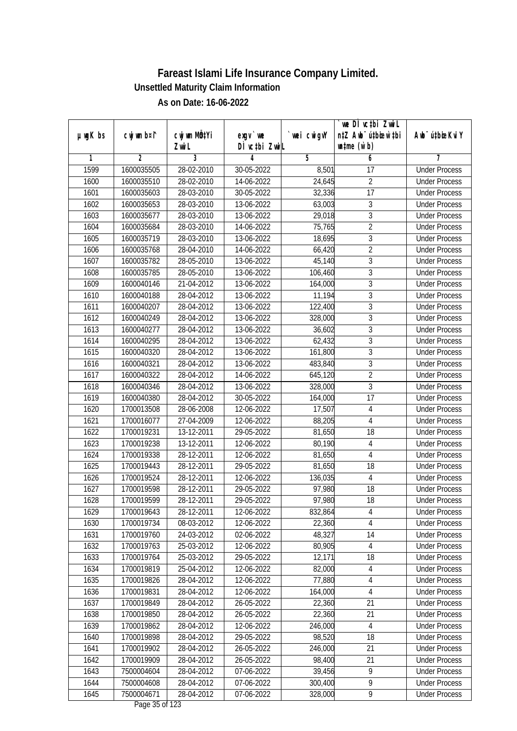|               |                |                       |                            |            | we DI vctbi ZwiL                                            |                             |
|---------------|----------------|-----------------------|----------------------------|------------|-------------------------------------------------------------|-----------------------------|
| $µ$ ug $K$ bs | cwj wm b¤i^    | cwj wm MQtYi<br>Zwi L | $exgV$ we<br>DÌ vctbi ZwiL | wei cwigvY | n‡Z Awb <sup>-</sup> ú‡bioar`‡bi<br>$\n  untime\n  (u`b)\n$ | Awb <sup>-</sup> ú‡bioeKviY |
| 1             | $\overline{2}$ | 3                     | 4                          | 5          | 6                                                           | 7                           |
| 1599          | 1600035505     | 28-02-2010            | 30-05-2022                 | 8,501      | $\overline{17}$                                             | <b>Under Process</b>        |
| 1600          | 1600035510     | 28-02-2010            | 14-06-2022                 | 24,645     | $\overline{2}$                                              | <b>Under Process</b>        |
| 1601          | 1600035603     | 28-03-2010            | 30-05-2022                 | 32,336     | 17                                                          | <b>Under Process</b>        |
| 1602          | 1600035653     | 28-03-2010            | 13-06-2022                 | 63,003     | $\sqrt{3}$                                                  | <b>Under Process</b>        |
| 1603          | 1600035677     | 28-03-2010            | 13-06-2022                 | 29,018     | $\overline{3}$                                              | <b>Under Process</b>        |
| 1604          | 1600035684     | 28-03-2010            | 14-06-2022                 | 75,765     | $\overline{2}$                                              | <b>Under Process</b>        |
| 1605          | 1600035719     | 28-03-2010            | 13-06-2022                 | 18,695     | $\overline{3}$                                              | <b>Under Process</b>        |
| 1606          | 1600035768     | 28-04-2010            | 14-06-2022                 | 66,420     | $\overline{2}$                                              | <b>Under Process</b>        |
| 1607          | 1600035782     | 28-05-2010            | 13-06-2022                 | 45,140     | $\overline{3}$                                              | <b>Under Process</b>        |
| 1608          | 1600035785     | 28-05-2010            | 13-06-2022                 | 106,460    | $\overline{3}$                                              | <b>Under Process</b>        |
| 1609          | 1600040146     | 21-04-2012            | 13-06-2022                 | 164,000    | $\overline{3}$                                              | <b>Under Process</b>        |
| 1610          | 1600040188     | 28-04-2012            | 13-06-2022                 | 11,194     | 3                                                           | <b>Under Process</b>        |
| 1611          | 1600040207     | 28-04-2012            | 13-06-2022                 | 122,400    | $\overline{3}$                                              | <b>Under Process</b>        |
| 1612          | 1600040249     | 28-04-2012            | 13-06-2022                 | 328,000    | $\sqrt{3}$                                                  | <b>Under Process</b>        |
| 1613          | 1600040277     | 28-04-2012            | 13-06-2022                 | 36,602     | $\overline{3}$                                              | <b>Under Process</b>        |
| 1614          | 1600040295     | 28-04-2012            | 13-06-2022                 | 62,432     | $\mathfrak{Z}$                                              | <b>Under Process</b>        |
| 1615          | 1600040320     | 28-04-2012            | 13-06-2022                 | 161,800    | $\mathfrak z$                                               | <b>Under Process</b>        |
| 1616          | 1600040321     | 28-04-2012            | 13-06-2022                 | 483,840    | $\mathfrak{Z}$                                              | <b>Under Process</b>        |
| 1617          | 1600040322     | 28-04-2012            | 14-06-2022                 | 645,120    | $\overline{2}$                                              | <b>Under Process</b>        |
| 1618          | 1600040346     | 28-04-2012            | 13-06-2022                 | 328,000    | 3                                                           | <b>Under Process</b>        |
| 1619          | 1600040380     | 28-04-2012            | 30-05-2022                 | 164,000    | 17                                                          | <b>Under Process</b>        |
| 1620          | 1700013508     | 28-06-2008            | 12-06-2022                 | 17,507     | 4                                                           | <b>Under Process</b>        |
| 1621          | 1700016077     | 27-04-2009            | 12-06-2022                 | 88,205     | $\overline{4}$                                              | <b>Under Process</b>        |
| 1622          | 1700019231     | 13-12-2011            | 29-05-2022                 | 81,650     | 18                                                          | <b>Under Process</b>        |
| 1623          | 1700019238     | 13-12-2011            | 12-06-2022                 | 80,190     | $\overline{4}$                                              | <b>Under Process</b>        |
| 1624          | 1700019338     | 28-12-2011            | 12-06-2022                 | 81,650     | $\overline{4}$                                              | <b>Under Process</b>        |
| 1625          | 1700019443     | 28-12-2011            | 29-05-2022                 | 81,650     | 18                                                          | <b>Under Process</b>        |
| 1626          | 1700019524     | 28-12-2011            | 12-06-2022                 | 136,035    | $\overline{4}$                                              | <b>Under Process</b>        |
| 1627          | 1700019598     | 28-12-2011            | 29-05-2022                 | 97,980     | 18                                                          | <b>Under Process</b>        |
| 1628          | 1700019599     | 28-12-2011            | 29-05-2022                 | 97,980     | 18                                                          | <b>Under Process</b>        |
| 1629          | 1700019643     | 28-12-2011            | 12-06-2022                 | 832,864    | 4                                                           | <b>Under Process</b>        |
| 1630          | 1700019734     | 08-03-2012            | 12-06-2022                 | 22,360     | 4                                                           | <b>Under Process</b>        |
| 1631          | 1700019760     | 24-03-2012            | 02-06-2022                 | 48,327     | 14                                                          | <b>Under Process</b>        |
| 1632          | 1700019763     | 25-03-2012            | 12-06-2022                 | 80,905     | $\overline{4}$                                              | <b>Under Process</b>        |
| 1633          | 1700019764     | 25-03-2012            | 29-05-2022                 | 12,171     | 18                                                          | <b>Under Process</b>        |
| 1634          | 1700019819     | 25-04-2012            | 12-06-2022                 | 82,000     | 4                                                           | <b>Under Process</b>        |
| 1635          | 1700019826     | 28-04-2012            | 12-06-2022                 | 77,880     | 4                                                           | <b>Under Process</b>        |
| 1636          | 1700019831     | 28-04-2012            | 12-06-2022                 | 164,000    | $\overline{4}$                                              | <b>Under Process</b>        |
| 1637          | 1700019849     | 28-04-2012            | 26-05-2022                 | 22,360     | 21                                                          | <b>Under Process</b>        |
| 1638          | 1700019850     | 28-04-2012            | 26-05-2022                 | 22,360     | 21                                                          | <b>Under Process</b>        |
| 1639          | 1700019862     | 28-04-2012            | 12-06-2022                 | 246,000    | 4                                                           | <b>Under Process</b>        |
| 1640          | 1700019898     | 28-04-2012            | 29-05-2022                 | 98,520     | 18                                                          | <b>Under Process</b>        |
| 1641          | 1700019902     | 28-04-2012            | 26-05-2022                 | 246,000    | 21                                                          | <b>Under Process</b>        |
| 1642          | 1700019909     | 28-04-2012            | 26-05-2022                 | 98,400     | 21                                                          | <b>Under Process</b>        |
| 1643          | 7500004604     | 28-04-2012            | 07-06-2022                 | 39,456     | 9                                                           | <b>Under Process</b>        |
| 1644          | 7500004608     | 28-04-2012            | 07-06-2022                 | 300,400    | $\overline{9}$                                              | <b>Under Process</b>        |
| 1645          | 7500004671     | 28-04-2012            | 07-06-2022                 | 328,000    | 9                                                           | <b>Under Process</b>        |
|               |                |                       |                            |            |                                                             |                             |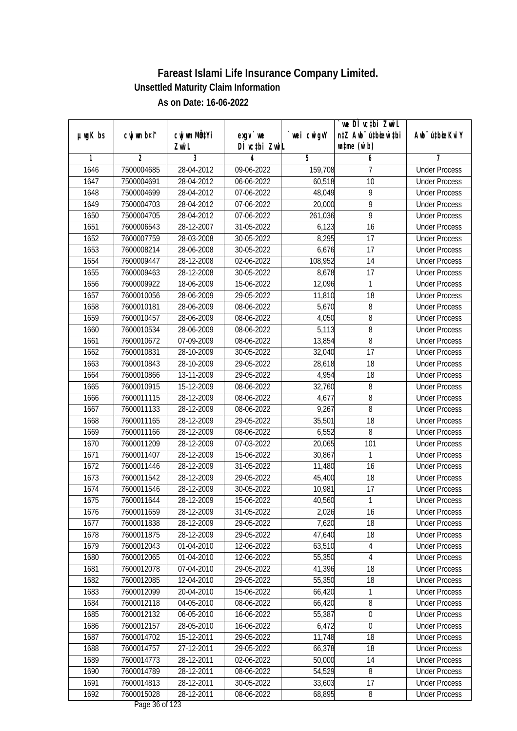|               |                |              |                  |            | we DI vctbi Zwil                 |                             |
|---------------|----------------|--------------|------------------|------------|----------------------------------|-----------------------------|
| $µ$ ug $K$ bs | cwj wm b¤i^    | cwj wm MQtYi | $exgv$ we        | wei cwigvY | n‡Z Awb <sup>-</sup> ú‡biosw`‡bi | Awb <sup>-</sup> ú‡bioeKviY |
|               |                | Zwi L        | DÌ vctbi ZwiL    |            | $\n  untime\n  (u`b)\n$          |                             |
| 1             | $\overline{2}$ | 3            | 4                | 5          | 6                                | 7                           |
| 1646          | 7500004685     | 28-04-2012   | 09-06-2022       | 159,708    | 7                                | <b>Under Process</b>        |
| 1647          | 7500004691     | 28-04-2012   | 06-06-2022       | 60,518     | 10                               | <b>Under Process</b>        |
| 1648          | 7500004699     | 28-04-2012   | 07-06-2022       | 48,049     | 9                                | <b>Under Process</b>        |
| 1649          | 7500004703     | 28-04-2012   | 07-06-2022       | 20,000     | 9                                | <b>Under Process</b>        |
| 1650          | 7500004705     | 28-04-2012   | 07-06-2022       | 261,036    | $\overline{9}$                   | <b>Under Process</b>        |
| 1651          | 7600006543     | 28-12-2007   | 31-05-2022       | 6,123      | $\overline{16}$                  | <b>Under Process</b>        |
| 1652          | 7600007759     | 28-03-2008   | $30 - 05 - 2022$ | 8,295      | $\overline{17}$                  | <b>Under Process</b>        |
| 1653          | 7600008214     | 28-06-2008   | 30-05-2022       | 6,676      | 17                               | <b>Under Process</b>        |
| 1654          | 7600009447     | 28-12-2008   | 02-06-2022       | 108,952    | 14                               | <b>Under Process</b>        |
| 1655          | 7600009463     | 28-12-2008   | 30-05-2022       | 8,678      | 17                               | <b>Under Process</b>        |
| 1656          | 7600009922     | 18-06-2009   | 15-06-2022       | 12,096     | 1                                | <b>Under Process</b>        |
| 1657          | 7600010056     | 28-06-2009   | 29-05-2022       | 11,810     | 18                               | <b>Under Process</b>        |
| 1658          | 7600010181     | 28-06-2009   | 08-06-2022       | 5,670      | 8                                | <b>Under Process</b>        |
| 1659          | 7600010457     | 28-06-2009   | 08-06-2022       | 4,050      | 8                                | <b>Under Process</b>        |
| 1660          | 7600010534     | 28-06-2009   | 08-06-2022       | 5,113      | 8                                | <b>Under Process</b>        |
| 1661          | 7600010672     | 07-09-2009   | 08-06-2022       | 13,854     | 8                                | <b>Under Process</b>        |
| 1662          | 7600010831     | 28-10-2009   | 30-05-2022       | 32,040     | $\overline{17}$                  | <b>Under Process</b>        |
| 1663          | 7600010843     | 28-10-2009   | 29-05-2022       | 28,618     | 18                               | <b>Under Process</b>        |
| 1664          | 7600010866     | 13-11-2009   | 29-05-2022       | 4,954      | 18                               | <b>Under Process</b>        |
| 1665          | 7600010915     | 15-12-2009   | 08-06-2022       | 32,760     | 8                                | <b>Under Process</b>        |
| 1666          | 7600011115     | 28-12-2009   | 08-06-2022       | 4,677      | 8                                | <b>Under Process</b>        |
| 1667          | 7600011133     | 28-12-2009   | 08-06-2022       | 9,267      | 8                                | <b>Under Process</b>        |
| 1668          | 7600011165     | 28-12-2009   | 29-05-2022       | 35,501     | 18                               | <b>Under Process</b>        |
| 1669          | 7600011166     | 28-12-2009   | 08-06-2022       | 6,552      | 8                                | <b>Under Process</b>        |
| 1670          | 7600011209     | 28-12-2009   | 07-03-2022       | 20,065     | 101                              | <b>Under Process</b>        |
| 1671          | 7600011407     | 28-12-2009   | 15-06-2022       | 30,867     | 1                                | <b>Under Process</b>        |
| 1672          | 7600011446     | 28-12-2009   | 31-05-2022       | 11,480     | 16                               | <b>Under Process</b>        |
| 1673          | 7600011542     | 28-12-2009   | 29-05-2022       | 45,400     | 18                               | <b>Under Process</b>        |
| 1674          | 7600011546     | 28-12-2009   | 30-05-2022       | 10,981     | 17                               | <b>Under Process</b>        |
| 1675          | 7600011644     | 28-12-2009   | 15-06-2022       | 40,560     | 1                                | <b>Under Process</b>        |
| 1676          | 7600011659     | 28-12-2009   | 31-05-2022       | 2,026      | 16                               | <b>Under Process</b>        |
| 1677          | 7600011838     | 28-12-2009   | 29-05-2022       | 7,620      | 18                               | <b>Under Process</b>        |
| 1678          | 7600011875     | 28-12-2009   | 29-05-2022       | 47,640     | 18                               | <b>Under Process</b>        |
| 1679          | 7600012043     | 01-04-2010   | 12-06-2022       | 63,510     | $\overline{4}$                   | <b>Under Process</b>        |
| 1680          | 7600012065     | 01-04-2010   | 12-06-2022       | 55,350     | 4                                | <b>Under Process</b>        |
| 1681          | 7600012078     | 07-04-2010   | 29-05-2022       | 41,396     | 18                               | <b>Under Process</b>        |
| 1682          | 7600012085     | 12-04-2010   | 29-05-2022       | 55,350     | 18                               | <b>Under Process</b>        |
| 1683          | 7600012099     | 20-04-2010   | 15-06-2022       | 66,420     | 1                                | <b>Under Process</b>        |
| 1684          | 7600012118     | 04-05-2010   | 08-06-2022       | 66,420     | 8                                | <b>Under Process</b>        |
| 1685          | 7600012132     | 06-05-2010   | 16-06-2022       | 55,387     | 0                                | <b>Under Process</b>        |
| 1686          | 7600012157     | 28-05-2010   | 16-06-2022       | 6,472      | 0                                | <b>Under Process</b>        |
| 1687          | 7600014702     | 15-12-2011   | 29-05-2022       | 11,748     | 18                               | <b>Under Process</b>        |
| 1688          | 7600014757     | 27-12-2011   | 29-05-2022       | 66,378     | 18                               | <b>Under Process</b>        |
| 1689          | 7600014773     | 28-12-2011   | 02-06-2022       | 50,000     | 14                               | <b>Under Process</b>        |
| 1690          | 7600014789     | 28-12-2011   | 08-06-2022       | 54,529     | 8                                | <b>Under Process</b>        |
| 1691          | 7600014813     | 28-12-2011   | 30-05-2022       | 33,603     | 17                               | <b>Under Process</b>        |
| 1692          | 7600015028     | 28-12-2011   | 08-06-2022       | 68,895     | 8                                | <b>Under Process</b>        |
|               |                |              |                  |            |                                  |                             |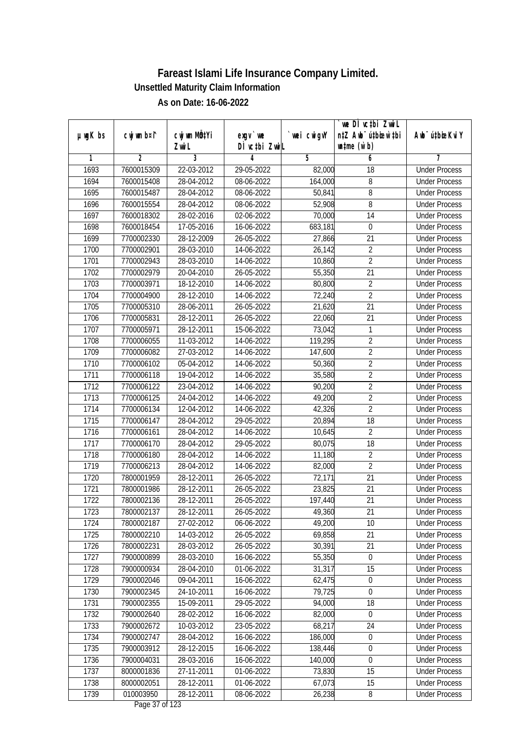| $µ$ ug $K$ bs | cwj wm b¤i^ | cwj wm MQtYi | $exgV$ we                    | wei cwigvY | `we DÌ vc‡bi ZwiL<br>n‡Z Awb <sup>-</sup> ú‡bioen`‡bi | Awb <sup>-</sup> ú‡bioeKviY |
|---------------|-------------|--------------|------------------------------|------------|-------------------------------------------------------|-----------------------------|
|               |             | Zwi L        | DÌ vctbi ZwiL                |            | $\n  untime\n  (u`b)\n$                               |                             |
| 1             | 2           | 3            | 4                            | 5          | 6                                                     | 7                           |
| 1693          | 7600015309  | 22-03-2012   | 29-05-2022                   | 82,000     | 18                                                    | <b>Under Process</b>        |
| 1694          | 7600015408  | 28-04-2012   | 08-06-2022                   | 164,000    | 8                                                     | <b>Under Process</b>        |
| 1695          | 7600015487  | 28-04-2012   | 08-06-2022                   | 50,841     | $\overline{8}$                                        | <b>Under Process</b>        |
| 1696          | 7600015554  | 28-04-2012   | 08-06-2022                   | 52,908     | 8                                                     | <b>Under Process</b>        |
| 1697          | 7600018302  | 28-02-2016   | 02-06-2022                   | 70,000     | 14                                                    | <b>Under Process</b>        |
| 1698          | 7600018454  | 17-05-2016   | 16-06-2022                   | 683,181    | $\mathbf 0$                                           | <b>Under Process</b>        |
| 1699          | 7700002330  | 28-12-2009   | 26-05-2022                   | 27,866     | $\overline{21}$                                       | <b>Under Process</b>        |
| 1700          | 7700002901  | 28-03-2010   | 14-06-2022                   | 26,142     | $\overline{2}$                                        | <b>Under Process</b>        |
| 1701          | 7700002943  | 28-03-2010   | 14-06-2022                   | 10,860     | $\overline{2}$                                        | <b>Under Process</b>        |
| 1702          | 7700002979  | 20-04-2010   | 26-05-2022                   | 55,350     | 21                                                    | <b>Under Process</b>        |
| 1703          | 7700003971  | 18-12-2010   | 14-06-2022                   | 80,800     | $\overline{2}$                                        | <b>Under Process</b>        |
| 1704          | 7700004900  | 28-12-2010   | 14-06-2022                   | 72,240     | $\overline{2}$                                        | <b>Under Process</b>        |
| 1705          | 7700005310  | 28-06-2011   | 26-05-2022                   | 21,620     | $\overline{21}$                                       | <b>Under Process</b>        |
| 1706          | 7700005831  | 28-12-2011   | 26-05-2022                   | 22,060     | 21                                                    | <b>Under Process</b>        |
| 1707          | 7700005971  | 28-12-2011   | 15-06-2022                   | 73,042     | 1                                                     | <b>Under Process</b>        |
| 1708          | 7700006055  | $11-03-2012$ | 14-06-2022                   | 119,295    | $\overline{2}$                                        | <b>Under Process</b>        |
| 1709          | 7700006082  | 27-03-2012   | 14-06-2022                   | 147,600    | $\overline{2}$                                        | <b>Under Process</b>        |
| 1710          | 7700006102  | 05-04-2012   | 14-06-2022                   | 50,360     | $\overline{2}$                                        | <b>Under Process</b>        |
| 1711          | 7700006118  | 19-04-2012   | 14-06-2022                   | 35,580     | $\overline{2}$                                        | <b>Under Process</b>        |
| 1712          | 7700006122  | 23-04-2012   | 14-06-2022                   | 90,200     | $\overline{2}$                                        | <b>Under Process</b>        |
| 1713          | 7700006125  | 24-04-2012   | 14-06-2022                   | 49,200     | $\overline{2}$                                        | <b>Under Process</b>        |
| 1714          | 7700006134  | 12-04-2012   | 14-06-2022                   | 42,326     | $\overline{2}$                                        | <b>Under Process</b>        |
| 1715          | 7700006147  | 28-04-2012   | 29-05-2022                   | 20,894     | 18                                                    | <b>Under Process</b>        |
| 1716          | 7700006161  | 28-04-2012   | 14-06-2022                   | 10,645     | $\overline{2}$                                        | <b>Under Process</b>        |
| 1717          | 7700006170  | 28-04-2012   | 29-05-2022                   | 80,075     | 18                                                    | <b>Under Process</b>        |
| 1718          | 7700006180  | 28-04-2012   | 14-06-2022                   | 11,180     | $\overline{2}$                                        | <b>Under Process</b>        |
| 1719          | 7700006213  | 28-04-2012   | 14-06-2022                   | 82,000     | $\overline{2}$                                        | <b>Under Process</b>        |
| 1720          | 7800001959  | 28-12-2011   | 26-05-2022                   | 72,171     | 21                                                    | <b>Under Process</b>        |
| 1721          | 7800001986  | 28-12-2011   | 26-05-2022                   | 23,825     | 21                                                    | <b>Under Process</b>        |
| 1722          | 7800002136  | 28-12-2011   | 26-05-2022                   | 197,440    | 21                                                    | <b>Under Process</b>        |
| 1723          | 7800002137  | 28-12-2011   | 26-05-2022                   | 49,360     | 21                                                    | <b>Under Process</b>        |
| 1724          | 7800002187  | 27-02-2012   | 06-06-2022                   | 49,200     | 10                                                    | <b>Under Process</b>        |
| 1725          | 7800002210  | 14-03-2012   | 26-05-2022                   | 69,858     | 21                                                    | <b>Under Process</b>        |
| 1726          | 7800002231  | 28-03-2012   | 26-05-2022                   | 30,391     | 21                                                    | <b>Under Process</b>        |
| 1727          | 7900000899  | 28-03-2010   | 16-06-2022                   | 55,350     | $\boldsymbol{0}$                                      | <b>Under Process</b>        |
| 1728          | 7900000934  | 28-04-2010   | 01-06-2022                   | 31,317     | 15                                                    | <b>Under Process</b>        |
| 1729          | 7900002046  | 09-04-2011   | 16-06-2022                   | 62,475     | $\boldsymbol{0}$                                      | <b>Under Process</b>        |
| 1730          | 7900002345  | 24-10-2011   | 16-06-2022                   | 79,725     | $\boldsymbol{0}$                                      | <b>Under Process</b>        |
| 1731          | 7900002355  | 15-09-2011   | 29-05-2022                   | 94,000     | 18                                                    | <b>Under Process</b>        |
| 1732          | 7900002640  | 28-02-2012   | 16-06-2022                   | 82,000     | $\boldsymbol{0}$                                      | <b>Under Process</b>        |
| 1733          | 7900002672  | 10-03-2012   | 23-05-2022                   | 68,217     | 24                                                    | <b>Under Process</b>        |
| 1734          | 7900002747  | 28-04-2012   | 16-06-2022                   | 186,000    | $\boldsymbol{0}$                                      | <b>Under Process</b>        |
| 1735          | 7900003912  | 28-12-2015   | 16-06-2022                   | 138,446    | $\boldsymbol{0}$                                      | <b>Under Process</b>        |
| 1736          | 7900004031  | 28-03-2016   | 16-06-2022                   | 140,000    | $\boldsymbol{0}$                                      | <b>Under Process</b>        |
| 1737          | 8000001836  | 27-11-2011   | 01-06-2022                   | 73,830     | 15                                                    | <b>Under Process</b>        |
| 1738          | 8000002051  | 28-12-2011   | 01-06-2022                   | 67,073     | 15                                                    | <b>Under Process</b>        |
| 1739          | 010003950   | 28-12-2011   | 08-06-2022<br>Dege 27 of 122 | 26,238     | 8                                                     | <b>Under Process</b>        |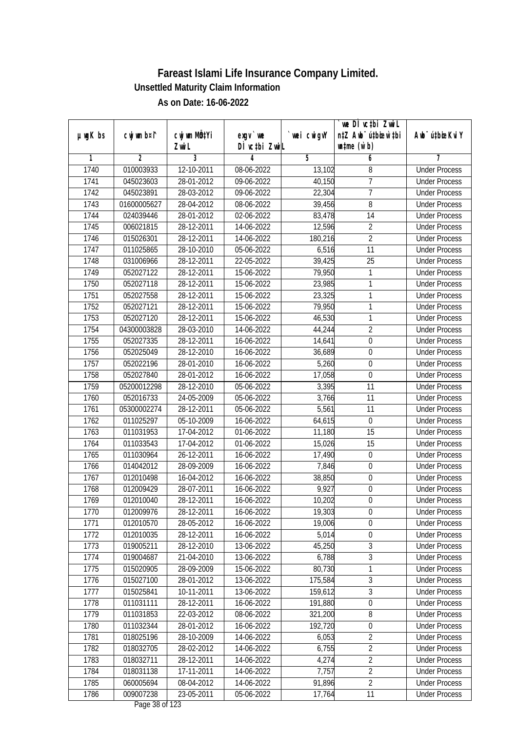| n‡Z Awb <sup>-</sup> ú‡bioen`‡bi<br>cwj wm b¤i^<br>cwj wm MQ <sup>1</sup> Yi<br>$µ$ ug $K$ bs<br>$exgV$ we<br>`wei cwigvY<br>Awb <sup>-</sup> ú‡bioeKviY<br>DÌ vctbi ZwiL<br>$\n  untime\n  (u`b)\n$<br>Zwi L<br>3<br>2<br>5<br>6<br>1<br>4<br>7<br>1740<br>010003933<br>12-10-2011<br><b>Under Process</b><br>08-06-2022<br>13,102<br>8<br>7<br>1741<br>045023603<br>28-01-2012<br>40,150<br>09-06-2022<br><b>Under Process</b><br>$\overline{7}$<br>1742<br>045023891<br>28-03-2012<br>09-06-2022<br>22,304<br><b>Under Process</b><br>1743<br>39,456<br>8<br>01600005627<br>28-04-2012<br>08-06-2022<br><b>Under Process</b><br>1744<br>28-01-2012<br>024039446<br>02-06-2022<br>83,478<br>14<br><b>Under Process</b><br>$\overline{2}$<br>1745<br>006021815<br>28-12-2011<br>14-06-2022<br>12,596<br><b>Under Process</b><br>$\overline{2}$<br>1746<br>015026301<br>28-12-2011<br>14-06-2022<br>180,216<br><b>Under Process</b><br>1747<br>6,516<br>$\overline{11}$<br>011025865<br>28-10-2010<br>05-06-2022<br><b>Under Process</b><br>$\overline{25}$<br>1748<br>031006966<br>28-12-2011<br>22-05-2022<br>39,425<br><b>Under Process</b><br>1749<br>052027122<br>28-12-2011<br>15-06-2022<br>79,950<br>1<br><b>Under Process</b><br>1750<br>052027118<br>28-12-2011<br>23,985<br>1<br><b>Under Process</b><br>15-06-2022<br>23,325<br>1<br>1751<br>052027558<br>28-12-2011<br>15-06-2022<br><b>Under Process</b><br>1752<br>1<br>052027121<br>28-12-2011<br>15-06-2022<br>79,950<br><b>Under Process</b><br>1<br>1753<br>052027120<br>28-12-2011<br>15-06-2022<br>46,530<br><b>Under Process</b><br>$\overline{2}$<br>1754<br>28-03-2010<br>04300003828<br>14-06-2022<br>44,244<br><b>Under Process</b><br>1755<br>$\mathbf 0$<br>052027335<br>28-12-2011<br>16-06-2022<br>14,641<br><b>Under Process</b><br>1756<br>052025049<br>28-12-2010<br>36,689<br>16-06-2022<br>0<br><b>Under Process</b><br>5,260<br>1757<br>052022196<br>28-01-2010<br>$\boldsymbol{0}$<br>16-06-2022<br><b>Under Process</b><br>$\pmb{0}$<br>1758<br>052027840<br>28-01-2012<br>16-06-2022<br>17,058<br><b>Under Process</b><br>1759<br>05200012298<br>28-12-2010<br>3,395<br>11<br>05-06-2022<br><b>Under Process</b><br>1760<br>052016733<br>11<br>24-05-2009<br>05-06-2022<br>3,766<br><b>Under Process</b><br>1761<br>5,561<br>05300002274<br>28-12-2011<br>11<br>05-06-2022<br><b>Under Process</b><br>1762<br>05-10-2009<br>64,615<br>$\boldsymbol{0}$<br>011025297<br>16-06-2022<br><b>Under Process</b><br>1763<br>15<br>011031953<br>17-04-2012<br>01-06-2022<br>11,180<br><b>Under Process</b><br>1764<br>011033543<br>17-04-2012<br>01-06-2022<br>15<br>15,026<br><b>Under Process</b><br>1765<br>011030964<br>26-12-2011<br>$\boldsymbol{0}$<br>16-06-2022<br>17,490<br><b>Under Process</b><br>1766<br>014042012<br>28-09-2009<br>16-06-2022<br>7,846<br>$\boldsymbol{0}$<br><b>Under Process</b><br>1767<br>38,850<br>012010498<br>16-04-2012<br>16-06-2022<br>0<br><b>Under Process</b><br>9,927<br>$\overline{0}$<br>1768<br>012009429<br>28-07-2011<br>16-06-2022<br><b>Under Process</b><br>1769<br>012010040<br>28-12-2011<br>16-06-2022<br>10,202<br>$\boldsymbol{0}$<br><b>Under Process</b><br>1770<br>012009976<br>28-12-2011<br>16-06-2022<br>19,303<br>$\boldsymbol{0}$<br><b>Under Process</b><br>012010570<br>$\mathbf 0$<br>1771<br>28-05-2012<br>16-06-2022<br>19,006<br><b>Under Process</b><br>1772<br>012010035<br>5,014<br>0<br>28-12-2011<br>16-06-2022<br><b>Under Process</b><br>3<br>28-12-2010<br>45,250<br>1773<br>019005211<br>13-06-2022<br><b>Under Process</b><br>$\overline{3}$<br>019004687<br>21-04-2010<br>6,788<br>1774<br>13-06-2022<br><b>Under Process</b><br>1775<br>80,730<br>015020905<br>28-09-2009<br>15-06-2022<br>1<br><b>Under Process</b><br>$\overline{3}$<br>1776<br>015027100<br>28-01-2012<br>13-06-2022<br>175,584<br><b>Under Process</b><br>3<br>1777<br>159,612<br>015025841<br>10-11-2011<br>13-06-2022<br><b>Under Process</b><br>191,880<br>$\boldsymbol{0}$<br>1778<br>011031111<br>28-12-2011<br>16-06-2022<br><b>Under Process</b><br>8<br>1779<br>011031853<br>22-03-2012<br>08-06-2022<br>321,200<br><b>Under Process</b><br>$\boldsymbol{0}$<br>1780<br>011032344<br>28-01-2012<br>16-06-2022<br>192,720<br><b>Under Process</b><br>1781<br>018025196<br>28-10-2009<br>$\overline{2}$<br>14-06-2022<br>6,053<br><b>Under Process</b><br>$\overline{2}$<br>1782<br>018032705<br>28-02-2012<br>6,755<br><b>Under Process</b><br>14-06-2022<br>$\overline{2}$<br>1783<br>28-12-2011<br>4,274<br>018032711<br>14-06-2022<br><b>Under Process</b><br>$\overline{2}$<br>1784<br>7,757<br>018031138<br>17-11-2011<br>14-06-2022<br><b>Under Process</b><br>$\overline{2}$<br>91,896<br>1785<br>060005694<br>08-04-2012<br>14-06-2022<br><b>Under Process</b><br>1786<br>009007238<br>23-05-2011<br>05-06-2022<br>17,764<br>11<br><b>Under Process</b> |  |  | we DI vctbi ZwiL |  |
|--------------------------------------------------------------------------------------------------------------------------------------------------------------------------------------------------------------------------------------------------------------------------------------------------------------------------------------------------------------------------------------------------------------------------------------------------------------------------------------------------------------------------------------------------------------------------------------------------------------------------------------------------------------------------------------------------------------------------------------------------------------------------------------------------------------------------------------------------------------------------------------------------------------------------------------------------------------------------------------------------------------------------------------------------------------------------------------------------------------------------------------------------------------------------------------------------------------------------------------------------------------------------------------------------------------------------------------------------------------------------------------------------------------------------------------------------------------------------------------------------------------------------------------------------------------------------------------------------------------------------------------------------------------------------------------------------------------------------------------------------------------------------------------------------------------------------------------------------------------------------------------------------------------------------------------------------------------------------------------------------------------------------------------------------------------------------------------------------------------------------------------------------------------------------------------------------------------------------------------------------------------------------------------------------------------------------------------------------------------------------------------------------------------------------------------------------------------------------------------------------------------------------------------------------------------------------------------------------------------------------------------------------------------------------------------------------------------------------------------------------------------------------------------------------------------------------------------------------------------------------------------------------------------------------------------------------------------------------------------------------------------------------------------------------------------------------------------------------------------------------------------------------------------------------------------------------------------------------------------------------------------------------------------------------------------------------------------------------------------------------------------------------------------------------------------------------------------------------------------------------------------------------------------------------------------------------------------------------------------------------------------------------------------------------------------------------------------------------------------------------------------------------------------------------------------------------------------------------------------------------------------------------------------------------------------------------------------------------------------------------------------------------------------------------------------------------------------------------------------------------------------------------------------------------------------------------------------------------------------------------------------------------------------------------------------------------------------------------------------------------------------------------------------------------------------------------------------------------------------------------------------------------------------------------------------------------------------------------------------------------------------------------------------------------------------------------------------------------------------------------------------------------------------------------------------------------------------------------------------------------------------------------------------|--|--|------------------|--|
|                                                                                                                                                                                                                                                                                                                                                                                                                                                                                                                                                                                                                                                                                                                                                                                                                                                                                                                                                                                                                                                                                                                                                                                                                                                                                                                                                                                                                                                                                                                                                                                                                                                                                                                                                                                                                                                                                                                                                                                                                                                                                                                                                                                                                                                                                                                                                                                                                                                                                                                                                                                                                                                                                                                                                                                                                                                                                                                                                                                                                                                                                                                                                                                                                                                                                                                                                                                                                                                                                                                                                                                                                                                                                                                                                                                                                                                                                                                                                                                                                                                                                                                                                                                                                                                                                                                                                                                                                                                                                                                                                                                                                                                                                                                                                                                                                                                                                                              |  |  |                  |  |
|                                                                                                                                                                                                                                                                                                                                                                                                                                                                                                                                                                                                                                                                                                                                                                                                                                                                                                                                                                                                                                                                                                                                                                                                                                                                                                                                                                                                                                                                                                                                                                                                                                                                                                                                                                                                                                                                                                                                                                                                                                                                                                                                                                                                                                                                                                                                                                                                                                                                                                                                                                                                                                                                                                                                                                                                                                                                                                                                                                                                                                                                                                                                                                                                                                                                                                                                                                                                                                                                                                                                                                                                                                                                                                                                                                                                                                                                                                                                                                                                                                                                                                                                                                                                                                                                                                                                                                                                                                                                                                                                                                                                                                                                                                                                                                                                                                                                                                              |  |  |                  |  |
|                                                                                                                                                                                                                                                                                                                                                                                                                                                                                                                                                                                                                                                                                                                                                                                                                                                                                                                                                                                                                                                                                                                                                                                                                                                                                                                                                                                                                                                                                                                                                                                                                                                                                                                                                                                                                                                                                                                                                                                                                                                                                                                                                                                                                                                                                                                                                                                                                                                                                                                                                                                                                                                                                                                                                                                                                                                                                                                                                                                                                                                                                                                                                                                                                                                                                                                                                                                                                                                                                                                                                                                                                                                                                                                                                                                                                                                                                                                                                                                                                                                                                                                                                                                                                                                                                                                                                                                                                                                                                                                                                                                                                                                                                                                                                                                                                                                                                                              |  |  |                  |  |
|                                                                                                                                                                                                                                                                                                                                                                                                                                                                                                                                                                                                                                                                                                                                                                                                                                                                                                                                                                                                                                                                                                                                                                                                                                                                                                                                                                                                                                                                                                                                                                                                                                                                                                                                                                                                                                                                                                                                                                                                                                                                                                                                                                                                                                                                                                                                                                                                                                                                                                                                                                                                                                                                                                                                                                                                                                                                                                                                                                                                                                                                                                                                                                                                                                                                                                                                                                                                                                                                                                                                                                                                                                                                                                                                                                                                                                                                                                                                                                                                                                                                                                                                                                                                                                                                                                                                                                                                                                                                                                                                                                                                                                                                                                                                                                                                                                                                                                              |  |  |                  |  |
|                                                                                                                                                                                                                                                                                                                                                                                                                                                                                                                                                                                                                                                                                                                                                                                                                                                                                                                                                                                                                                                                                                                                                                                                                                                                                                                                                                                                                                                                                                                                                                                                                                                                                                                                                                                                                                                                                                                                                                                                                                                                                                                                                                                                                                                                                                                                                                                                                                                                                                                                                                                                                                                                                                                                                                                                                                                                                                                                                                                                                                                                                                                                                                                                                                                                                                                                                                                                                                                                                                                                                                                                                                                                                                                                                                                                                                                                                                                                                                                                                                                                                                                                                                                                                                                                                                                                                                                                                                                                                                                                                                                                                                                                                                                                                                                                                                                                                                              |  |  |                  |  |
|                                                                                                                                                                                                                                                                                                                                                                                                                                                                                                                                                                                                                                                                                                                                                                                                                                                                                                                                                                                                                                                                                                                                                                                                                                                                                                                                                                                                                                                                                                                                                                                                                                                                                                                                                                                                                                                                                                                                                                                                                                                                                                                                                                                                                                                                                                                                                                                                                                                                                                                                                                                                                                                                                                                                                                                                                                                                                                                                                                                                                                                                                                                                                                                                                                                                                                                                                                                                                                                                                                                                                                                                                                                                                                                                                                                                                                                                                                                                                                                                                                                                                                                                                                                                                                                                                                                                                                                                                                                                                                                                                                                                                                                                                                                                                                                                                                                                                                              |  |  |                  |  |
|                                                                                                                                                                                                                                                                                                                                                                                                                                                                                                                                                                                                                                                                                                                                                                                                                                                                                                                                                                                                                                                                                                                                                                                                                                                                                                                                                                                                                                                                                                                                                                                                                                                                                                                                                                                                                                                                                                                                                                                                                                                                                                                                                                                                                                                                                                                                                                                                                                                                                                                                                                                                                                                                                                                                                                                                                                                                                                                                                                                                                                                                                                                                                                                                                                                                                                                                                                                                                                                                                                                                                                                                                                                                                                                                                                                                                                                                                                                                                                                                                                                                                                                                                                                                                                                                                                                                                                                                                                                                                                                                                                                                                                                                                                                                                                                                                                                                                                              |  |  |                  |  |
|                                                                                                                                                                                                                                                                                                                                                                                                                                                                                                                                                                                                                                                                                                                                                                                                                                                                                                                                                                                                                                                                                                                                                                                                                                                                                                                                                                                                                                                                                                                                                                                                                                                                                                                                                                                                                                                                                                                                                                                                                                                                                                                                                                                                                                                                                                                                                                                                                                                                                                                                                                                                                                                                                                                                                                                                                                                                                                                                                                                                                                                                                                                                                                                                                                                                                                                                                                                                                                                                                                                                                                                                                                                                                                                                                                                                                                                                                                                                                                                                                                                                                                                                                                                                                                                                                                                                                                                                                                                                                                                                                                                                                                                                                                                                                                                                                                                                                                              |  |  |                  |  |
|                                                                                                                                                                                                                                                                                                                                                                                                                                                                                                                                                                                                                                                                                                                                                                                                                                                                                                                                                                                                                                                                                                                                                                                                                                                                                                                                                                                                                                                                                                                                                                                                                                                                                                                                                                                                                                                                                                                                                                                                                                                                                                                                                                                                                                                                                                                                                                                                                                                                                                                                                                                                                                                                                                                                                                                                                                                                                                                                                                                                                                                                                                                                                                                                                                                                                                                                                                                                                                                                                                                                                                                                                                                                                                                                                                                                                                                                                                                                                                                                                                                                                                                                                                                                                                                                                                                                                                                                                                                                                                                                                                                                                                                                                                                                                                                                                                                                                                              |  |  |                  |  |
|                                                                                                                                                                                                                                                                                                                                                                                                                                                                                                                                                                                                                                                                                                                                                                                                                                                                                                                                                                                                                                                                                                                                                                                                                                                                                                                                                                                                                                                                                                                                                                                                                                                                                                                                                                                                                                                                                                                                                                                                                                                                                                                                                                                                                                                                                                                                                                                                                                                                                                                                                                                                                                                                                                                                                                                                                                                                                                                                                                                                                                                                                                                                                                                                                                                                                                                                                                                                                                                                                                                                                                                                                                                                                                                                                                                                                                                                                                                                                                                                                                                                                                                                                                                                                                                                                                                                                                                                                                                                                                                                                                                                                                                                                                                                                                                                                                                                                                              |  |  |                  |  |
|                                                                                                                                                                                                                                                                                                                                                                                                                                                                                                                                                                                                                                                                                                                                                                                                                                                                                                                                                                                                                                                                                                                                                                                                                                                                                                                                                                                                                                                                                                                                                                                                                                                                                                                                                                                                                                                                                                                                                                                                                                                                                                                                                                                                                                                                                                                                                                                                                                                                                                                                                                                                                                                                                                                                                                                                                                                                                                                                                                                                                                                                                                                                                                                                                                                                                                                                                                                                                                                                                                                                                                                                                                                                                                                                                                                                                                                                                                                                                                                                                                                                                                                                                                                                                                                                                                                                                                                                                                                                                                                                                                                                                                                                                                                                                                                                                                                                                                              |  |  |                  |  |
|                                                                                                                                                                                                                                                                                                                                                                                                                                                                                                                                                                                                                                                                                                                                                                                                                                                                                                                                                                                                                                                                                                                                                                                                                                                                                                                                                                                                                                                                                                                                                                                                                                                                                                                                                                                                                                                                                                                                                                                                                                                                                                                                                                                                                                                                                                                                                                                                                                                                                                                                                                                                                                                                                                                                                                                                                                                                                                                                                                                                                                                                                                                                                                                                                                                                                                                                                                                                                                                                                                                                                                                                                                                                                                                                                                                                                                                                                                                                                                                                                                                                                                                                                                                                                                                                                                                                                                                                                                                                                                                                                                                                                                                                                                                                                                                                                                                                                                              |  |  |                  |  |
|                                                                                                                                                                                                                                                                                                                                                                                                                                                                                                                                                                                                                                                                                                                                                                                                                                                                                                                                                                                                                                                                                                                                                                                                                                                                                                                                                                                                                                                                                                                                                                                                                                                                                                                                                                                                                                                                                                                                                                                                                                                                                                                                                                                                                                                                                                                                                                                                                                                                                                                                                                                                                                                                                                                                                                                                                                                                                                                                                                                                                                                                                                                                                                                                                                                                                                                                                                                                                                                                                                                                                                                                                                                                                                                                                                                                                                                                                                                                                                                                                                                                                                                                                                                                                                                                                                                                                                                                                                                                                                                                                                                                                                                                                                                                                                                                                                                                                                              |  |  |                  |  |
|                                                                                                                                                                                                                                                                                                                                                                                                                                                                                                                                                                                                                                                                                                                                                                                                                                                                                                                                                                                                                                                                                                                                                                                                                                                                                                                                                                                                                                                                                                                                                                                                                                                                                                                                                                                                                                                                                                                                                                                                                                                                                                                                                                                                                                                                                                                                                                                                                                                                                                                                                                                                                                                                                                                                                                                                                                                                                                                                                                                                                                                                                                                                                                                                                                                                                                                                                                                                                                                                                                                                                                                                                                                                                                                                                                                                                                                                                                                                                                                                                                                                                                                                                                                                                                                                                                                                                                                                                                                                                                                                                                                                                                                                                                                                                                                                                                                                                                              |  |  |                  |  |
|                                                                                                                                                                                                                                                                                                                                                                                                                                                                                                                                                                                                                                                                                                                                                                                                                                                                                                                                                                                                                                                                                                                                                                                                                                                                                                                                                                                                                                                                                                                                                                                                                                                                                                                                                                                                                                                                                                                                                                                                                                                                                                                                                                                                                                                                                                                                                                                                                                                                                                                                                                                                                                                                                                                                                                                                                                                                                                                                                                                                                                                                                                                                                                                                                                                                                                                                                                                                                                                                                                                                                                                                                                                                                                                                                                                                                                                                                                                                                                                                                                                                                                                                                                                                                                                                                                                                                                                                                                                                                                                                                                                                                                                                                                                                                                                                                                                                                                              |  |  |                  |  |
|                                                                                                                                                                                                                                                                                                                                                                                                                                                                                                                                                                                                                                                                                                                                                                                                                                                                                                                                                                                                                                                                                                                                                                                                                                                                                                                                                                                                                                                                                                                                                                                                                                                                                                                                                                                                                                                                                                                                                                                                                                                                                                                                                                                                                                                                                                                                                                                                                                                                                                                                                                                                                                                                                                                                                                                                                                                                                                                                                                                                                                                                                                                                                                                                                                                                                                                                                                                                                                                                                                                                                                                                                                                                                                                                                                                                                                                                                                                                                                                                                                                                                                                                                                                                                                                                                                                                                                                                                                                                                                                                                                                                                                                                                                                                                                                                                                                                                                              |  |  |                  |  |
|                                                                                                                                                                                                                                                                                                                                                                                                                                                                                                                                                                                                                                                                                                                                                                                                                                                                                                                                                                                                                                                                                                                                                                                                                                                                                                                                                                                                                                                                                                                                                                                                                                                                                                                                                                                                                                                                                                                                                                                                                                                                                                                                                                                                                                                                                                                                                                                                                                                                                                                                                                                                                                                                                                                                                                                                                                                                                                                                                                                                                                                                                                                                                                                                                                                                                                                                                                                                                                                                                                                                                                                                                                                                                                                                                                                                                                                                                                                                                                                                                                                                                                                                                                                                                                                                                                                                                                                                                                                                                                                                                                                                                                                                                                                                                                                                                                                                                                              |  |  |                  |  |
|                                                                                                                                                                                                                                                                                                                                                                                                                                                                                                                                                                                                                                                                                                                                                                                                                                                                                                                                                                                                                                                                                                                                                                                                                                                                                                                                                                                                                                                                                                                                                                                                                                                                                                                                                                                                                                                                                                                                                                                                                                                                                                                                                                                                                                                                                                                                                                                                                                                                                                                                                                                                                                                                                                                                                                                                                                                                                                                                                                                                                                                                                                                                                                                                                                                                                                                                                                                                                                                                                                                                                                                                                                                                                                                                                                                                                                                                                                                                                                                                                                                                                                                                                                                                                                                                                                                                                                                                                                                                                                                                                                                                                                                                                                                                                                                                                                                                                                              |  |  |                  |  |
|                                                                                                                                                                                                                                                                                                                                                                                                                                                                                                                                                                                                                                                                                                                                                                                                                                                                                                                                                                                                                                                                                                                                                                                                                                                                                                                                                                                                                                                                                                                                                                                                                                                                                                                                                                                                                                                                                                                                                                                                                                                                                                                                                                                                                                                                                                                                                                                                                                                                                                                                                                                                                                                                                                                                                                                                                                                                                                                                                                                                                                                                                                                                                                                                                                                                                                                                                                                                                                                                                                                                                                                                                                                                                                                                                                                                                                                                                                                                                                                                                                                                                                                                                                                                                                                                                                                                                                                                                                                                                                                                                                                                                                                                                                                                                                                                                                                                                                              |  |  |                  |  |
|                                                                                                                                                                                                                                                                                                                                                                                                                                                                                                                                                                                                                                                                                                                                                                                                                                                                                                                                                                                                                                                                                                                                                                                                                                                                                                                                                                                                                                                                                                                                                                                                                                                                                                                                                                                                                                                                                                                                                                                                                                                                                                                                                                                                                                                                                                                                                                                                                                                                                                                                                                                                                                                                                                                                                                                                                                                                                                                                                                                                                                                                                                                                                                                                                                                                                                                                                                                                                                                                                                                                                                                                                                                                                                                                                                                                                                                                                                                                                                                                                                                                                                                                                                                                                                                                                                                                                                                                                                                                                                                                                                                                                                                                                                                                                                                                                                                                                                              |  |  |                  |  |
|                                                                                                                                                                                                                                                                                                                                                                                                                                                                                                                                                                                                                                                                                                                                                                                                                                                                                                                                                                                                                                                                                                                                                                                                                                                                                                                                                                                                                                                                                                                                                                                                                                                                                                                                                                                                                                                                                                                                                                                                                                                                                                                                                                                                                                                                                                                                                                                                                                                                                                                                                                                                                                                                                                                                                                                                                                                                                                                                                                                                                                                                                                                                                                                                                                                                                                                                                                                                                                                                                                                                                                                                                                                                                                                                                                                                                                                                                                                                                                                                                                                                                                                                                                                                                                                                                                                                                                                                                                                                                                                                                                                                                                                                                                                                                                                                                                                                                                              |  |  |                  |  |
|                                                                                                                                                                                                                                                                                                                                                                                                                                                                                                                                                                                                                                                                                                                                                                                                                                                                                                                                                                                                                                                                                                                                                                                                                                                                                                                                                                                                                                                                                                                                                                                                                                                                                                                                                                                                                                                                                                                                                                                                                                                                                                                                                                                                                                                                                                                                                                                                                                                                                                                                                                                                                                                                                                                                                                                                                                                                                                                                                                                                                                                                                                                                                                                                                                                                                                                                                                                                                                                                                                                                                                                                                                                                                                                                                                                                                                                                                                                                                                                                                                                                                                                                                                                                                                                                                                                                                                                                                                                                                                                                                                                                                                                                                                                                                                                                                                                                                                              |  |  |                  |  |
|                                                                                                                                                                                                                                                                                                                                                                                                                                                                                                                                                                                                                                                                                                                                                                                                                                                                                                                                                                                                                                                                                                                                                                                                                                                                                                                                                                                                                                                                                                                                                                                                                                                                                                                                                                                                                                                                                                                                                                                                                                                                                                                                                                                                                                                                                                                                                                                                                                                                                                                                                                                                                                                                                                                                                                                                                                                                                                                                                                                                                                                                                                                                                                                                                                                                                                                                                                                                                                                                                                                                                                                                                                                                                                                                                                                                                                                                                                                                                                                                                                                                                                                                                                                                                                                                                                                                                                                                                                                                                                                                                                                                                                                                                                                                                                                                                                                                                                              |  |  |                  |  |
|                                                                                                                                                                                                                                                                                                                                                                                                                                                                                                                                                                                                                                                                                                                                                                                                                                                                                                                                                                                                                                                                                                                                                                                                                                                                                                                                                                                                                                                                                                                                                                                                                                                                                                                                                                                                                                                                                                                                                                                                                                                                                                                                                                                                                                                                                                                                                                                                                                                                                                                                                                                                                                                                                                                                                                                                                                                                                                                                                                                                                                                                                                                                                                                                                                                                                                                                                                                                                                                                                                                                                                                                                                                                                                                                                                                                                                                                                                                                                                                                                                                                                                                                                                                                                                                                                                                                                                                                                                                                                                                                                                                                                                                                                                                                                                                                                                                                                                              |  |  |                  |  |
|                                                                                                                                                                                                                                                                                                                                                                                                                                                                                                                                                                                                                                                                                                                                                                                                                                                                                                                                                                                                                                                                                                                                                                                                                                                                                                                                                                                                                                                                                                                                                                                                                                                                                                                                                                                                                                                                                                                                                                                                                                                                                                                                                                                                                                                                                                                                                                                                                                                                                                                                                                                                                                                                                                                                                                                                                                                                                                                                                                                                                                                                                                                                                                                                                                                                                                                                                                                                                                                                                                                                                                                                                                                                                                                                                                                                                                                                                                                                                                                                                                                                                                                                                                                                                                                                                                                                                                                                                                                                                                                                                                                                                                                                                                                                                                                                                                                                                                              |  |  |                  |  |
|                                                                                                                                                                                                                                                                                                                                                                                                                                                                                                                                                                                                                                                                                                                                                                                                                                                                                                                                                                                                                                                                                                                                                                                                                                                                                                                                                                                                                                                                                                                                                                                                                                                                                                                                                                                                                                                                                                                                                                                                                                                                                                                                                                                                                                                                                                                                                                                                                                                                                                                                                                                                                                                                                                                                                                                                                                                                                                                                                                                                                                                                                                                                                                                                                                                                                                                                                                                                                                                                                                                                                                                                                                                                                                                                                                                                                                                                                                                                                                                                                                                                                                                                                                                                                                                                                                                                                                                                                                                                                                                                                                                                                                                                                                                                                                                                                                                                                                              |  |  |                  |  |
|                                                                                                                                                                                                                                                                                                                                                                                                                                                                                                                                                                                                                                                                                                                                                                                                                                                                                                                                                                                                                                                                                                                                                                                                                                                                                                                                                                                                                                                                                                                                                                                                                                                                                                                                                                                                                                                                                                                                                                                                                                                                                                                                                                                                                                                                                                                                                                                                                                                                                                                                                                                                                                                                                                                                                                                                                                                                                                                                                                                                                                                                                                                                                                                                                                                                                                                                                                                                                                                                                                                                                                                                                                                                                                                                                                                                                                                                                                                                                                                                                                                                                                                                                                                                                                                                                                                                                                                                                                                                                                                                                                                                                                                                                                                                                                                                                                                                                                              |  |  |                  |  |
|                                                                                                                                                                                                                                                                                                                                                                                                                                                                                                                                                                                                                                                                                                                                                                                                                                                                                                                                                                                                                                                                                                                                                                                                                                                                                                                                                                                                                                                                                                                                                                                                                                                                                                                                                                                                                                                                                                                                                                                                                                                                                                                                                                                                                                                                                                                                                                                                                                                                                                                                                                                                                                                                                                                                                                                                                                                                                                                                                                                                                                                                                                                                                                                                                                                                                                                                                                                                                                                                                                                                                                                                                                                                                                                                                                                                                                                                                                                                                                                                                                                                                                                                                                                                                                                                                                                                                                                                                                                                                                                                                                                                                                                                                                                                                                                                                                                                                                              |  |  |                  |  |
|                                                                                                                                                                                                                                                                                                                                                                                                                                                                                                                                                                                                                                                                                                                                                                                                                                                                                                                                                                                                                                                                                                                                                                                                                                                                                                                                                                                                                                                                                                                                                                                                                                                                                                                                                                                                                                                                                                                                                                                                                                                                                                                                                                                                                                                                                                                                                                                                                                                                                                                                                                                                                                                                                                                                                                                                                                                                                                                                                                                                                                                                                                                                                                                                                                                                                                                                                                                                                                                                                                                                                                                                                                                                                                                                                                                                                                                                                                                                                                                                                                                                                                                                                                                                                                                                                                                                                                                                                                                                                                                                                                                                                                                                                                                                                                                                                                                                                                              |  |  |                  |  |
|                                                                                                                                                                                                                                                                                                                                                                                                                                                                                                                                                                                                                                                                                                                                                                                                                                                                                                                                                                                                                                                                                                                                                                                                                                                                                                                                                                                                                                                                                                                                                                                                                                                                                                                                                                                                                                                                                                                                                                                                                                                                                                                                                                                                                                                                                                                                                                                                                                                                                                                                                                                                                                                                                                                                                                                                                                                                                                                                                                                                                                                                                                                                                                                                                                                                                                                                                                                                                                                                                                                                                                                                                                                                                                                                                                                                                                                                                                                                                                                                                                                                                                                                                                                                                                                                                                                                                                                                                                                                                                                                                                                                                                                                                                                                                                                                                                                                                                              |  |  |                  |  |
|                                                                                                                                                                                                                                                                                                                                                                                                                                                                                                                                                                                                                                                                                                                                                                                                                                                                                                                                                                                                                                                                                                                                                                                                                                                                                                                                                                                                                                                                                                                                                                                                                                                                                                                                                                                                                                                                                                                                                                                                                                                                                                                                                                                                                                                                                                                                                                                                                                                                                                                                                                                                                                                                                                                                                                                                                                                                                                                                                                                                                                                                                                                                                                                                                                                                                                                                                                                                                                                                                                                                                                                                                                                                                                                                                                                                                                                                                                                                                                                                                                                                                                                                                                                                                                                                                                                                                                                                                                                                                                                                                                                                                                                                                                                                                                                                                                                                                                              |  |  |                  |  |
|                                                                                                                                                                                                                                                                                                                                                                                                                                                                                                                                                                                                                                                                                                                                                                                                                                                                                                                                                                                                                                                                                                                                                                                                                                                                                                                                                                                                                                                                                                                                                                                                                                                                                                                                                                                                                                                                                                                                                                                                                                                                                                                                                                                                                                                                                                                                                                                                                                                                                                                                                                                                                                                                                                                                                                                                                                                                                                                                                                                                                                                                                                                                                                                                                                                                                                                                                                                                                                                                                                                                                                                                                                                                                                                                                                                                                                                                                                                                                                                                                                                                                                                                                                                                                                                                                                                                                                                                                                                                                                                                                                                                                                                                                                                                                                                                                                                                                                              |  |  |                  |  |
|                                                                                                                                                                                                                                                                                                                                                                                                                                                                                                                                                                                                                                                                                                                                                                                                                                                                                                                                                                                                                                                                                                                                                                                                                                                                                                                                                                                                                                                                                                                                                                                                                                                                                                                                                                                                                                                                                                                                                                                                                                                                                                                                                                                                                                                                                                                                                                                                                                                                                                                                                                                                                                                                                                                                                                                                                                                                                                                                                                                                                                                                                                                                                                                                                                                                                                                                                                                                                                                                                                                                                                                                                                                                                                                                                                                                                                                                                                                                                                                                                                                                                                                                                                                                                                                                                                                                                                                                                                                                                                                                                                                                                                                                                                                                                                                                                                                                                                              |  |  |                  |  |
|                                                                                                                                                                                                                                                                                                                                                                                                                                                                                                                                                                                                                                                                                                                                                                                                                                                                                                                                                                                                                                                                                                                                                                                                                                                                                                                                                                                                                                                                                                                                                                                                                                                                                                                                                                                                                                                                                                                                                                                                                                                                                                                                                                                                                                                                                                                                                                                                                                                                                                                                                                                                                                                                                                                                                                                                                                                                                                                                                                                                                                                                                                                                                                                                                                                                                                                                                                                                                                                                                                                                                                                                                                                                                                                                                                                                                                                                                                                                                                                                                                                                                                                                                                                                                                                                                                                                                                                                                                                                                                                                                                                                                                                                                                                                                                                                                                                                                                              |  |  |                  |  |
|                                                                                                                                                                                                                                                                                                                                                                                                                                                                                                                                                                                                                                                                                                                                                                                                                                                                                                                                                                                                                                                                                                                                                                                                                                                                                                                                                                                                                                                                                                                                                                                                                                                                                                                                                                                                                                                                                                                                                                                                                                                                                                                                                                                                                                                                                                                                                                                                                                                                                                                                                                                                                                                                                                                                                                                                                                                                                                                                                                                                                                                                                                                                                                                                                                                                                                                                                                                                                                                                                                                                                                                                                                                                                                                                                                                                                                                                                                                                                                                                                                                                                                                                                                                                                                                                                                                                                                                                                                                                                                                                                                                                                                                                                                                                                                                                                                                                                                              |  |  |                  |  |
|                                                                                                                                                                                                                                                                                                                                                                                                                                                                                                                                                                                                                                                                                                                                                                                                                                                                                                                                                                                                                                                                                                                                                                                                                                                                                                                                                                                                                                                                                                                                                                                                                                                                                                                                                                                                                                                                                                                                                                                                                                                                                                                                                                                                                                                                                                                                                                                                                                                                                                                                                                                                                                                                                                                                                                                                                                                                                                                                                                                                                                                                                                                                                                                                                                                                                                                                                                                                                                                                                                                                                                                                                                                                                                                                                                                                                                                                                                                                                                                                                                                                                                                                                                                                                                                                                                                                                                                                                                                                                                                                                                                                                                                                                                                                                                                                                                                                                                              |  |  |                  |  |
|                                                                                                                                                                                                                                                                                                                                                                                                                                                                                                                                                                                                                                                                                                                                                                                                                                                                                                                                                                                                                                                                                                                                                                                                                                                                                                                                                                                                                                                                                                                                                                                                                                                                                                                                                                                                                                                                                                                                                                                                                                                                                                                                                                                                                                                                                                                                                                                                                                                                                                                                                                                                                                                                                                                                                                                                                                                                                                                                                                                                                                                                                                                                                                                                                                                                                                                                                                                                                                                                                                                                                                                                                                                                                                                                                                                                                                                                                                                                                                                                                                                                                                                                                                                                                                                                                                                                                                                                                                                                                                                                                                                                                                                                                                                                                                                                                                                                                                              |  |  |                  |  |
|                                                                                                                                                                                                                                                                                                                                                                                                                                                                                                                                                                                                                                                                                                                                                                                                                                                                                                                                                                                                                                                                                                                                                                                                                                                                                                                                                                                                                                                                                                                                                                                                                                                                                                                                                                                                                                                                                                                                                                                                                                                                                                                                                                                                                                                                                                                                                                                                                                                                                                                                                                                                                                                                                                                                                                                                                                                                                                                                                                                                                                                                                                                                                                                                                                                                                                                                                                                                                                                                                                                                                                                                                                                                                                                                                                                                                                                                                                                                                                                                                                                                                                                                                                                                                                                                                                                                                                                                                                                                                                                                                                                                                                                                                                                                                                                                                                                                                                              |  |  |                  |  |
|                                                                                                                                                                                                                                                                                                                                                                                                                                                                                                                                                                                                                                                                                                                                                                                                                                                                                                                                                                                                                                                                                                                                                                                                                                                                                                                                                                                                                                                                                                                                                                                                                                                                                                                                                                                                                                                                                                                                                                                                                                                                                                                                                                                                                                                                                                                                                                                                                                                                                                                                                                                                                                                                                                                                                                                                                                                                                                                                                                                                                                                                                                                                                                                                                                                                                                                                                                                                                                                                                                                                                                                                                                                                                                                                                                                                                                                                                                                                                                                                                                                                                                                                                                                                                                                                                                                                                                                                                                                                                                                                                                                                                                                                                                                                                                                                                                                                                                              |  |  |                  |  |
|                                                                                                                                                                                                                                                                                                                                                                                                                                                                                                                                                                                                                                                                                                                                                                                                                                                                                                                                                                                                                                                                                                                                                                                                                                                                                                                                                                                                                                                                                                                                                                                                                                                                                                                                                                                                                                                                                                                                                                                                                                                                                                                                                                                                                                                                                                                                                                                                                                                                                                                                                                                                                                                                                                                                                                                                                                                                                                                                                                                                                                                                                                                                                                                                                                                                                                                                                                                                                                                                                                                                                                                                                                                                                                                                                                                                                                                                                                                                                                                                                                                                                                                                                                                                                                                                                                                                                                                                                                                                                                                                                                                                                                                                                                                                                                                                                                                                                                              |  |  |                  |  |
|                                                                                                                                                                                                                                                                                                                                                                                                                                                                                                                                                                                                                                                                                                                                                                                                                                                                                                                                                                                                                                                                                                                                                                                                                                                                                                                                                                                                                                                                                                                                                                                                                                                                                                                                                                                                                                                                                                                                                                                                                                                                                                                                                                                                                                                                                                                                                                                                                                                                                                                                                                                                                                                                                                                                                                                                                                                                                                                                                                                                                                                                                                                                                                                                                                                                                                                                                                                                                                                                                                                                                                                                                                                                                                                                                                                                                                                                                                                                                                                                                                                                                                                                                                                                                                                                                                                                                                                                                                                                                                                                                                                                                                                                                                                                                                                                                                                                                                              |  |  |                  |  |
|                                                                                                                                                                                                                                                                                                                                                                                                                                                                                                                                                                                                                                                                                                                                                                                                                                                                                                                                                                                                                                                                                                                                                                                                                                                                                                                                                                                                                                                                                                                                                                                                                                                                                                                                                                                                                                                                                                                                                                                                                                                                                                                                                                                                                                                                                                                                                                                                                                                                                                                                                                                                                                                                                                                                                                                                                                                                                                                                                                                                                                                                                                                                                                                                                                                                                                                                                                                                                                                                                                                                                                                                                                                                                                                                                                                                                                                                                                                                                                                                                                                                                                                                                                                                                                                                                                                                                                                                                                                                                                                                                                                                                                                                                                                                                                                                                                                                                                              |  |  |                  |  |
|                                                                                                                                                                                                                                                                                                                                                                                                                                                                                                                                                                                                                                                                                                                                                                                                                                                                                                                                                                                                                                                                                                                                                                                                                                                                                                                                                                                                                                                                                                                                                                                                                                                                                                                                                                                                                                                                                                                                                                                                                                                                                                                                                                                                                                                                                                                                                                                                                                                                                                                                                                                                                                                                                                                                                                                                                                                                                                                                                                                                                                                                                                                                                                                                                                                                                                                                                                                                                                                                                                                                                                                                                                                                                                                                                                                                                                                                                                                                                                                                                                                                                                                                                                                                                                                                                                                                                                                                                                                                                                                                                                                                                                                                                                                                                                                                                                                                                                              |  |  |                  |  |
|                                                                                                                                                                                                                                                                                                                                                                                                                                                                                                                                                                                                                                                                                                                                                                                                                                                                                                                                                                                                                                                                                                                                                                                                                                                                                                                                                                                                                                                                                                                                                                                                                                                                                                                                                                                                                                                                                                                                                                                                                                                                                                                                                                                                                                                                                                                                                                                                                                                                                                                                                                                                                                                                                                                                                                                                                                                                                                                                                                                                                                                                                                                                                                                                                                                                                                                                                                                                                                                                                                                                                                                                                                                                                                                                                                                                                                                                                                                                                                                                                                                                                                                                                                                                                                                                                                                                                                                                                                                                                                                                                                                                                                                                                                                                                                                                                                                                                                              |  |  |                  |  |
|                                                                                                                                                                                                                                                                                                                                                                                                                                                                                                                                                                                                                                                                                                                                                                                                                                                                                                                                                                                                                                                                                                                                                                                                                                                                                                                                                                                                                                                                                                                                                                                                                                                                                                                                                                                                                                                                                                                                                                                                                                                                                                                                                                                                                                                                                                                                                                                                                                                                                                                                                                                                                                                                                                                                                                                                                                                                                                                                                                                                                                                                                                                                                                                                                                                                                                                                                                                                                                                                                                                                                                                                                                                                                                                                                                                                                                                                                                                                                                                                                                                                                                                                                                                                                                                                                                                                                                                                                                                                                                                                                                                                                                                                                                                                                                                                                                                                                                              |  |  |                  |  |
|                                                                                                                                                                                                                                                                                                                                                                                                                                                                                                                                                                                                                                                                                                                                                                                                                                                                                                                                                                                                                                                                                                                                                                                                                                                                                                                                                                                                                                                                                                                                                                                                                                                                                                                                                                                                                                                                                                                                                                                                                                                                                                                                                                                                                                                                                                                                                                                                                                                                                                                                                                                                                                                                                                                                                                                                                                                                                                                                                                                                                                                                                                                                                                                                                                                                                                                                                                                                                                                                                                                                                                                                                                                                                                                                                                                                                                                                                                                                                                                                                                                                                                                                                                                                                                                                                                                                                                                                                                                                                                                                                                                                                                                                                                                                                                                                                                                                                                              |  |  |                  |  |
|                                                                                                                                                                                                                                                                                                                                                                                                                                                                                                                                                                                                                                                                                                                                                                                                                                                                                                                                                                                                                                                                                                                                                                                                                                                                                                                                                                                                                                                                                                                                                                                                                                                                                                                                                                                                                                                                                                                                                                                                                                                                                                                                                                                                                                                                                                                                                                                                                                                                                                                                                                                                                                                                                                                                                                                                                                                                                                                                                                                                                                                                                                                                                                                                                                                                                                                                                                                                                                                                                                                                                                                                                                                                                                                                                                                                                                                                                                                                                                                                                                                                                                                                                                                                                                                                                                                                                                                                                                                                                                                                                                                                                                                                                                                                                                                                                                                                                                              |  |  |                  |  |
|                                                                                                                                                                                                                                                                                                                                                                                                                                                                                                                                                                                                                                                                                                                                                                                                                                                                                                                                                                                                                                                                                                                                                                                                                                                                                                                                                                                                                                                                                                                                                                                                                                                                                                                                                                                                                                                                                                                                                                                                                                                                                                                                                                                                                                                                                                                                                                                                                                                                                                                                                                                                                                                                                                                                                                                                                                                                                                                                                                                                                                                                                                                                                                                                                                                                                                                                                                                                                                                                                                                                                                                                                                                                                                                                                                                                                                                                                                                                                                                                                                                                                                                                                                                                                                                                                                                                                                                                                                                                                                                                                                                                                                                                                                                                                                                                                                                                                                              |  |  |                  |  |
|                                                                                                                                                                                                                                                                                                                                                                                                                                                                                                                                                                                                                                                                                                                                                                                                                                                                                                                                                                                                                                                                                                                                                                                                                                                                                                                                                                                                                                                                                                                                                                                                                                                                                                                                                                                                                                                                                                                                                                                                                                                                                                                                                                                                                                                                                                                                                                                                                                                                                                                                                                                                                                                                                                                                                                                                                                                                                                                                                                                                                                                                                                                                                                                                                                                                                                                                                                                                                                                                                                                                                                                                                                                                                                                                                                                                                                                                                                                                                                                                                                                                                                                                                                                                                                                                                                                                                                                                                                                                                                                                                                                                                                                                                                                                                                                                                                                                                                              |  |  |                  |  |
| Dago 20 of 122                                                                                                                                                                                                                                                                                                                                                                                                                                                                                                                                                                                                                                                                                                                                                                                                                                                                                                                                                                                                                                                                                                                                                                                                                                                                                                                                                                                                                                                                                                                                                                                                                                                                                                                                                                                                                                                                                                                                                                                                                                                                                                                                                                                                                                                                                                                                                                                                                                                                                                                                                                                                                                                                                                                                                                                                                                                                                                                                                                                                                                                                                                                                                                                                                                                                                                                                                                                                                                                                                                                                                                                                                                                                                                                                                                                                                                                                                                                                                                                                                                                                                                                                                                                                                                                                                                                                                                                                                                                                                                                                                                                                                                                                                                                                                                                                                                                                                               |  |  |                  |  |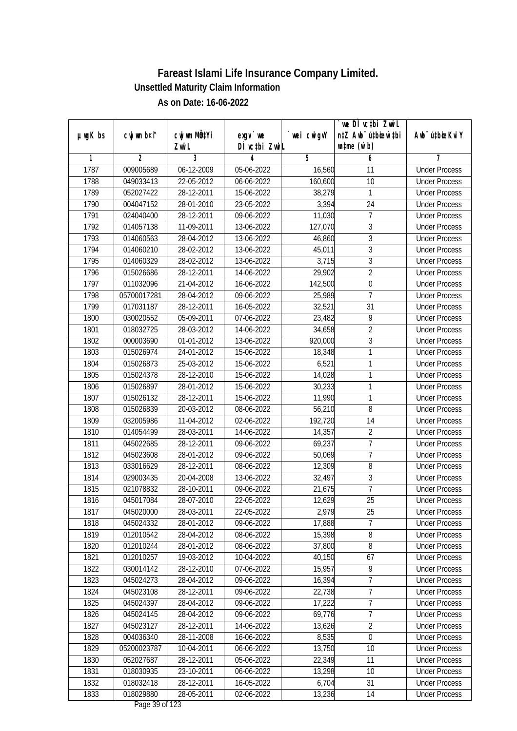| DÌ vctbi ZwiL<br>$\n  untime\n  (u`b)\n$<br>Zwi L<br>3<br>$\overline{2}$<br>5<br>6<br>1<br>4<br>7<br>1787<br>009005689<br>06-12-2009<br>05-06-2022<br>16,560<br><b>Under Process</b><br>11<br>1788<br>22-05-2012<br>160,600<br>10<br>049033413<br>06-06-2022<br><b>Under Process</b><br>1789<br>052027422<br>28-12-2011<br>15-06-2022<br>38,279<br>1<br><b>Under Process</b><br>1790<br>004047152<br>28-01-2010<br>23-05-2022<br>24<br>3,394<br><b>Under Process</b><br>$\overline{7}$<br>1791<br>024040400<br>28-12-2011<br>09-06-2022<br>11,030<br><b>Under Process</b><br>$\overline{3}$<br>1792<br>014057138<br>11-09-2011<br>13-06-2022<br>127,070<br><b>Under Process</b><br>$\overline{3}$<br>1793<br>014060563<br>28-04-2012<br>46,860<br>13-06-2022<br><b>Under Process</b><br>$\sqrt{3}$<br>1794<br>014060210<br>28-02-2012<br>13-06-2022<br>45,011<br><b>Under Process</b><br>$\overline{3}$<br>1795<br>3,715<br>014060329<br>28-02-2012<br>13-06-2022<br><b>Under Process</b><br>$\overline{2}$<br>1796<br>28-12-2011<br>29,902<br>015026686<br>14-06-2022<br><b>Under Process</b><br>1797<br>$\overline{0}$<br>011032096<br>21-04-2012<br>16-06-2022<br>142,500<br><b>Under Process</b><br>7<br>28-04-2012<br>25,989<br>1798<br>05700017281<br>09-06-2022<br><b>Under Process</b><br>1799<br>$\overline{31}$<br>017031187<br>28-12-2011<br>16-05-2022<br>32,521<br><b>Under Process</b><br>9<br>1800<br>030020552<br>05-09-2011<br>07-06-2022<br><b>Under Process</b><br>23,482<br>$\overline{2}$<br>1801<br>018032725<br>28-03-2012<br>14-06-2022<br>34,658<br><b>Under Process</b><br>3<br>1802<br>000003690<br>01-01-2012<br>13-06-2022<br>920,000<br><b>Under Process</b><br>1803<br>1<br>015026974<br>24-01-2012<br>15-06-2022<br>18,348<br><b>Under Process</b><br>1<br>1804<br>015026873<br>25-03-2012<br>6,521<br>15-06-2022<br><b>Under Process</b><br>1<br>1805<br>28-12-2010<br>015024378<br>15-06-2022<br>14,028<br><b>Under Process</b><br>1806<br>015026897<br>28-01-2012<br>15-06-2022<br>30,233<br>1<br><b>Under Process</b><br>1807<br>1<br>015026132<br>28-12-2011<br>15-06-2022<br>11,990<br><b>Under Process</b><br>8<br>1808<br>015026839<br>20-03-2012<br>56,210<br>08-06-2022<br><b>Under Process</b><br>192,720<br>1809<br>032005986<br>11-04-2012<br>02-06-2022<br>14<br><b>Under Process</b><br>$\overline{2}$<br>1810<br>014054499<br>28-03-2011<br>14-06-2022<br>14,357<br><b>Under Process</b><br>$\overline{1}$<br>1811<br>045022685<br>28-12-2011<br>09-06-2022<br>69,237<br><b>Under Process</b><br>1812<br>7<br>045023608<br>28-01-2012<br>09-06-2022<br>50,069<br><b>Under Process</b><br>1813<br>033016629<br>28-12-2011<br>12,309<br>8<br>08-06-2022<br><b>Under Process</b><br>3<br>1814<br>029003435<br>20-04-2008<br>13-06-2022<br>32,497<br><b>Under Process</b><br>$\overline{7}$<br>1815<br>021078832<br>28-10-2011<br>09-06-2022<br>21,675<br><b>Under Process</b><br>25<br>1816<br>12,629<br>045017084<br>28-07-2010<br>22-05-2022<br><b>Under Process</b><br>1817<br>045020000<br>28-03-2011<br>22-05-2022<br>2,979<br>25<br><b>Under Process</b><br>7<br>1818<br>045024332<br>28-01-2012<br>17,888<br>09-06-2022<br><b>Under Process</b><br>15,398<br>8<br>1819<br>012010542<br>28-04-2012<br>08-06-2022<br><b>Under Process</b><br>$\, 8$<br>37,800<br>1820<br>012010244<br>28-01-2012<br>08-06-2022<br><b>Under Process</b><br>1821<br>012010257<br>19-03-2012<br>40,150<br>10-04-2022<br>67<br><b>Under Process</b><br>1822<br>030014142<br>28-12-2010<br>15,957<br>9<br>07-06-2022<br><b>Under Process</b><br>$\overline{7}$<br>1823<br>045024273<br>16,394<br>28-04-2012<br>09-06-2022<br><b>Under Process</b><br>22,738<br>$\overline{7}$<br>1824<br>045023108<br>28-12-2011<br>09-06-2022<br><b>Under Process</b><br>$\overline{7}$<br>17,222<br>1825<br>045024397<br>28-04-2012<br>09-06-2022<br><b>Under Process</b><br>$\overline{7}$<br>1826<br>69,776<br>045024145<br>28-04-2012<br>09-06-2022<br><b>Under Process</b><br>1827<br>$\overline{2}$<br>045023127<br>28-12-2011<br>14-06-2022<br>13,626<br><b>Under Process</b><br>004036340<br>28-11-2008<br>$\boldsymbol{0}$<br>1828<br>16-06-2022<br>8,535<br><b>Under Process</b><br>1829<br>13,750<br>10<br>05200023787<br>10-04-2011<br>06-06-2022<br><b>Under Process</b><br>22,349<br>1830<br>052027687<br>28-12-2011<br>05-06-2022<br>11<br><b>Under Process</b><br>1831<br>13,298<br>018030935<br>23-10-2011<br>06-06-2022<br>10<br><b>Under Process</b><br>1832<br>018032418<br>28-12-2011<br>6,704<br>31<br>16-05-2022<br><b>Under Process</b><br>13,236<br>1833<br>018029880<br>28-05-2011<br>02-06-2022<br>14<br><b>Under Process</b> | $µ$ ug $K$ bs | cwj wm b¤i^ | cwj wm MQtYi | $exgV$ we |            | we DI vctbi ZwiL<br>n‡Z Awb <sup>-</sup> ú‡bioar`‡bi | Awb <sup>-</sup> ú‡bioeKviY |
|------------------------------------------------------------------------------------------------------------------------------------------------------------------------------------------------------------------------------------------------------------------------------------------------------------------------------------------------------------------------------------------------------------------------------------------------------------------------------------------------------------------------------------------------------------------------------------------------------------------------------------------------------------------------------------------------------------------------------------------------------------------------------------------------------------------------------------------------------------------------------------------------------------------------------------------------------------------------------------------------------------------------------------------------------------------------------------------------------------------------------------------------------------------------------------------------------------------------------------------------------------------------------------------------------------------------------------------------------------------------------------------------------------------------------------------------------------------------------------------------------------------------------------------------------------------------------------------------------------------------------------------------------------------------------------------------------------------------------------------------------------------------------------------------------------------------------------------------------------------------------------------------------------------------------------------------------------------------------------------------------------------------------------------------------------------------------------------------------------------------------------------------------------------------------------------------------------------------------------------------------------------------------------------------------------------------------------------------------------------------------------------------------------------------------------------------------------------------------------------------------------------------------------------------------------------------------------------------------------------------------------------------------------------------------------------------------------------------------------------------------------------------------------------------------------------------------------------------------------------------------------------------------------------------------------------------------------------------------------------------------------------------------------------------------------------------------------------------------------------------------------------------------------------------------------------------------------------------------------------------------------------------------------------------------------------------------------------------------------------------------------------------------------------------------------------------------------------------------------------------------------------------------------------------------------------------------------------------------------------------------------------------------------------------------------------------------------------------------------------------------------------------------------------------------------------------------------------------------------------------------------------------------------------------------------------------------------------------------------------------------------------------------------------------------------------------------------------------------------------------------------------------------------------------------------------------------------------------------------------------------------------------------------------------------------------------------------------------------------------------------------------------------------------------------------------------------------------------------------------------------------------------------------------------------------------------------------------------------------------------------------------------------------------------|---------------|-------------|--------------|-----------|------------|------------------------------------------------------|-----------------------------|
|                                                                                                                                                                                                                                                                                                                                                                                                                                                                                                                                                                                                                                                                                                                                                                                                                                                                                                                                                                                                                                                                                                                                                                                                                                                                                                                                                                                                                                                                                                                                                                                                                                                                                                                                                                                                                                                                                                                                                                                                                                                                                                                                                                                                                                                                                                                                                                                                                                                                                                                                                                                                                                                                                                                                                                                                                                                                                                                                                                                                                                                                                                                                                                                                                                                                                                                                                                                                                                                                                                                                                                                                                                                                                                                                                                                                                                                                                                                                                                                                                                                                                                                                                                                                                                                                                                                                                                                                                                                                                                                                                                                                                                                                        |               |             |              |           | wei cwigvY |                                                      |                             |
|                                                                                                                                                                                                                                                                                                                                                                                                                                                                                                                                                                                                                                                                                                                                                                                                                                                                                                                                                                                                                                                                                                                                                                                                                                                                                                                                                                                                                                                                                                                                                                                                                                                                                                                                                                                                                                                                                                                                                                                                                                                                                                                                                                                                                                                                                                                                                                                                                                                                                                                                                                                                                                                                                                                                                                                                                                                                                                                                                                                                                                                                                                                                                                                                                                                                                                                                                                                                                                                                                                                                                                                                                                                                                                                                                                                                                                                                                                                                                                                                                                                                                                                                                                                                                                                                                                                                                                                                                                                                                                                                                                                                                                                                        |               |             |              |           |            |                                                      |                             |
|                                                                                                                                                                                                                                                                                                                                                                                                                                                                                                                                                                                                                                                                                                                                                                                                                                                                                                                                                                                                                                                                                                                                                                                                                                                                                                                                                                                                                                                                                                                                                                                                                                                                                                                                                                                                                                                                                                                                                                                                                                                                                                                                                                                                                                                                                                                                                                                                                                                                                                                                                                                                                                                                                                                                                                                                                                                                                                                                                                                                                                                                                                                                                                                                                                                                                                                                                                                                                                                                                                                                                                                                                                                                                                                                                                                                                                                                                                                                                                                                                                                                                                                                                                                                                                                                                                                                                                                                                                                                                                                                                                                                                                                                        |               |             |              |           |            |                                                      |                             |
|                                                                                                                                                                                                                                                                                                                                                                                                                                                                                                                                                                                                                                                                                                                                                                                                                                                                                                                                                                                                                                                                                                                                                                                                                                                                                                                                                                                                                                                                                                                                                                                                                                                                                                                                                                                                                                                                                                                                                                                                                                                                                                                                                                                                                                                                                                                                                                                                                                                                                                                                                                                                                                                                                                                                                                                                                                                                                                                                                                                                                                                                                                                                                                                                                                                                                                                                                                                                                                                                                                                                                                                                                                                                                                                                                                                                                                                                                                                                                                                                                                                                                                                                                                                                                                                                                                                                                                                                                                                                                                                                                                                                                                                                        |               |             |              |           |            |                                                      |                             |
|                                                                                                                                                                                                                                                                                                                                                                                                                                                                                                                                                                                                                                                                                                                                                                                                                                                                                                                                                                                                                                                                                                                                                                                                                                                                                                                                                                                                                                                                                                                                                                                                                                                                                                                                                                                                                                                                                                                                                                                                                                                                                                                                                                                                                                                                                                                                                                                                                                                                                                                                                                                                                                                                                                                                                                                                                                                                                                                                                                                                                                                                                                                                                                                                                                                                                                                                                                                                                                                                                                                                                                                                                                                                                                                                                                                                                                                                                                                                                                                                                                                                                                                                                                                                                                                                                                                                                                                                                                                                                                                                                                                                                                                                        |               |             |              |           |            |                                                      |                             |
|                                                                                                                                                                                                                                                                                                                                                                                                                                                                                                                                                                                                                                                                                                                                                                                                                                                                                                                                                                                                                                                                                                                                                                                                                                                                                                                                                                                                                                                                                                                                                                                                                                                                                                                                                                                                                                                                                                                                                                                                                                                                                                                                                                                                                                                                                                                                                                                                                                                                                                                                                                                                                                                                                                                                                                                                                                                                                                                                                                                                                                                                                                                                                                                                                                                                                                                                                                                                                                                                                                                                                                                                                                                                                                                                                                                                                                                                                                                                                                                                                                                                                                                                                                                                                                                                                                                                                                                                                                                                                                                                                                                                                                                                        |               |             |              |           |            |                                                      |                             |
|                                                                                                                                                                                                                                                                                                                                                                                                                                                                                                                                                                                                                                                                                                                                                                                                                                                                                                                                                                                                                                                                                                                                                                                                                                                                                                                                                                                                                                                                                                                                                                                                                                                                                                                                                                                                                                                                                                                                                                                                                                                                                                                                                                                                                                                                                                                                                                                                                                                                                                                                                                                                                                                                                                                                                                                                                                                                                                                                                                                                                                                                                                                                                                                                                                                                                                                                                                                                                                                                                                                                                                                                                                                                                                                                                                                                                                                                                                                                                                                                                                                                                                                                                                                                                                                                                                                                                                                                                                                                                                                                                                                                                                                                        |               |             |              |           |            |                                                      |                             |
|                                                                                                                                                                                                                                                                                                                                                                                                                                                                                                                                                                                                                                                                                                                                                                                                                                                                                                                                                                                                                                                                                                                                                                                                                                                                                                                                                                                                                                                                                                                                                                                                                                                                                                                                                                                                                                                                                                                                                                                                                                                                                                                                                                                                                                                                                                                                                                                                                                                                                                                                                                                                                                                                                                                                                                                                                                                                                                                                                                                                                                                                                                                                                                                                                                                                                                                                                                                                                                                                                                                                                                                                                                                                                                                                                                                                                                                                                                                                                                                                                                                                                                                                                                                                                                                                                                                                                                                                                                                                                                                                                                                                                                                                        |               |             |              |           |            |                                                      |                             |
|                                                                                                                                                                                                                                                                                                                                                                                                                                                                                                                                                                                                                                                                                                                                                                                                                                                                                                                                                                                                                                                                                                                                                                                                                                                                                                                                                                                                                                                                                                                                                                                                                                                                                                                                                                                                                                                                                                                                                                                                                                                                                                                                                                                                                                                                                                                                                                                                                                                                                                                                                                                                                                                                                                                                                                                                                                                                                                                                                                                                                                                                                                                                                                                                                                                                                                                                                                                                                                                                                                                                                                                                                                                                                                                                                                                                                                                                                                                                                                                                                                                                                                                                                                                                                                                                                                                                                                                                                                                                                                                                                                                                                                                                        |               |             |              |           |            |                                                      |                             |
|                                                                                                                                                                                                                                                                                                                                                                                                                                                                                                                                                                                                                                                                                                                                                                                                                                                                                                                                                                                                                                                                                                                                                                                                                                                                                                                                                                                                                                                                                                                                                                                                                                                                                                                                                                                                                                                                                                                                                                                                                                                                                                                                                                                                                                                                                                                                                                                                                                                                                                                                                                                                                                                                                                                                                                                                                                                                                                                                                                                                                                                                                                                                                                                                                                                                                                                                                                                                                                                                                                                                                                                                                                                                                                                                                                                                                                                                                                                                                                                                                                                                                                                                                                                                                                                                                                                                                                                                                                                                                                                                                                                                                                                                        |               |             |              |           |            |                                                      |                             |
|                                                                                                                                                                                                                                                                                                                                                                                                                                                                                                                                                                                                                                                                                                                                                                                                                                                                                                                                                                                                                                                                                                                                                                                                                                                                                                                                                                                                                                                                                                                                                                                                                                                                                                                                                                                                                                                                                                                                                                                                                                                                                                                                                                                                                                                                                                                                                                                                                                                                                                                                                                                                                                                                                                                                                                                                                                                                                                                                                                                                                                                                                                                                                                                                                                                                                                                                                                                                                                                                                                                                                                                                                                                                                                                                                                                                                                                                                                                                                                                                                                                                                                                                                                                                                                                                                                                                                                                                                                                                                                                                                                                                                                                                        |               |             |              |           |            |                                                      |                             |
|                                                                                                                                                                                                                                                                                                                                                                                                                                                                                                                                                                                                                                                                                                                                                                                                                                                                                                                                                                                                                                                                                                                                                                                                                                                                                                                                                                                                                                                                                                                                                                                                                                                                                                                                                                                                                                                                                                                                                                                                                                                                                                                                                                                                                                                                                                                                                                                                                                                                                                                                                                                                                                                                                                                                                                                                                                                                                                                                                                                                                                                                                                                                                                                                                                                                                                                                                                                                                                                                                                                                                                                                                                                                                                                                                                                                                                                                                                                                                                                                                                                                                                                                                                                                                                                                                                                                                                                                                                                                                                                                                                                                                                                                        |               |             |              |           |            |                                                      |                             |
|                                                                                                                                                                                                                                                                                                                                                                                                                                                                                                                                                                                                                                                                                                                                                                                                                                                                                                                                                                                                                                                                                                                                                                                                                                                                                                                                                                                                                                                                                                                                                                                                                                                                                                                                                                                                                                                                                                                                                                                                                                                                                                                                                                                                                                                                                                                                                                                                                                                                                                                                                                                                                                                                                                                                                                                                                                                                                                                                                                                                                                                                                                                                                                                                                                                                                                                                                                                                                                                                                                                                                                                                                                                                                                                                                                                                                                                                                                                                                                                                                                                                                                                                                                                                                                                                                                                                                                                                                                                                                                                                                                                                                                                                        |               |             |              |           |            |                                                      |                             |
|                                                                                                                                                                                                                                                                                                                                                                                                                                                                                                                                                                                                                                                                                                                                                                                                                                                                                                                                                                                                                                                                                                                                                                                                                                                                                                                                                                                                                                                                                                                                                                                                                                                                                                                                                                                                                                                                                                                                                                                                                                                                                                                                                                                                                                                                                                                                                                                                                                                                                                                                                                                                                                                                                                                                                                                                                                                                                                                                                                                                                                                                                                                                                                                                                                                                                                                                                                                                                                                                                                                                                                                                                                                                                                                                                                                                                                                                                                                                                                                                                                                                                                                                                                                                                                                                                                                                                                                                                                                                                                                                                                                                                                                                        |               |             |              |           |            |                                                      |                             |
|                                                                                                                                                                                                                                                                                                                                                                                                                                                                                                                                                                                                                                                                                                                                                                                                                                                                                                                                                                                                                                                                                                                                                                                                                                                                                                                                                                                                                                                                                                                                                                                                                                                                                                                                                                                                                                                                                                                                                                                                                                                                                                                                                                                                                                                                                                                                                                                                                                                                                                                                                                                                                                                                                                                                                                                                                                                                                                                                                                                                                                                                                                                                                                                                                                                                                                                                                                                                                                                                                                                                                                                                                                                                                                                                                                                                                                                                                                                                                                                                                                                                                                                                                                                                                                                                                                                                                                                                                                                                                                                                                                                                                                                                        |               |             |              |           |            |                                                      |                             |
|                                                                                                                                                                                                                                                                                                                                                                                                                                                                                                                                                                                                                                                                                                                                                                                                                                                                                                                                                                                                                                                                                                                                                                                                                                                                                                                                                                                                                                                                                                                                                                                                                                                                                                                                                                                                                                                                                                                                                                                                                                                                                                                                                                                                                                                                                                                                                                                                                                                                                                                                                                                                                                                                                                                                                                                                                                                                                                                                                                                                                                                                                                                                                                                                                                                                                                                                                                                                                                                                                                                                                                                                                                                                                                                                                                                                                                                                                                                                                                                                                                                                                                                                                                                                                                                                                                                                                                                                                                                                                                                                                                                                                                                                        |               |             |              |           |            |                                                      |                             |
|                                                                                                                                                                                                                                                                                                                                                                                                                                                                                                                                                                                                                                                                                                                                                                                                                                                                                                                                                                                                                                                                                                                                                                                                                                                                                                                                                                                                                                                                                                                                                                                                                                                                                                                                                                                                                                                                                                                                                                                                                                                                                                                                                                                                                                                                                                                                                                                                                                                                                                                                                                                                                                                                                                                                                                                                                                                                                                                                                                                                                                                                                                                                                                                                                                                                                                                                                                                                                                                                                                                                                                                                                                                                                                                                                                                                                                                                                                                                                                                                                                                                                                                                                                                                                                                                                                                                                                                                                                                                                                                                                                                                                                                                        |               |             |              |           |            |                                                      |                             |
|                                                                                                                                                                                                                                                                                                                                                                                                                                                                                                                                                                                                                                                                                                                                                                                                                                                                                                                                                                                                                                                                                                                                                                                                                                                                                                                                                                                                                                                                                                                                                                                                                                                                                                                                                                                                                                                                                                                                                                                                                                                                                                                                                                                                                                                                                                                                                                                                                                                                                                                                                                                                                                                                                                                                                                                                                                                                                                                                                                                                                                                                                                                                                                                                                                                                                                                                                                                                                                                                                                                                                                                                                                                                                                                                                                                                                                                                                                                                                                                                                                                                                                                                                                                                                                                                                                                                                                                                                                                                                                                                                                                                                                                                        |               |             |              |           |            |                                                      |                             |
|                                                                                                                                                                                                                                                                                                                                                                                                                                                                                                                                                                                                                                                                                                                                                                                                                                                                                                                                                                                                                                                                                                                                                                                                                                                                                                                                                                                                                                                                                                                                                                                                                                                                                                                                                                                                                                                                                                                                                                                                                                                                                                                                                                                                                                                                                                                                                                                                                                                                                                                                                                                                                                                                                                                                                                                                                                                                                                                                                                                                                                                                                                                                                                                                                                                                                                                                                                                                                                                                                                                                                                                                                                                                                                                                                                                                                                                                                                                                                                                                                                                                                                                                                                                                                                                                                                                                                                                                                                                                                                                                                                                                                                                                        |               |             |              |           |            |                                                      |                             |
|                                                                                                                                                                                                                                                                                                                                                                                                                                                                                                                                                                                                                                                                                                                                                                                                                                                                                                                                                                                                                                                                                                                                                                                                                                                                                                                                                                                                                                                                                                                                                                                                                                                                                                                                                                                                                                                                                                                                                                                                                                                                                                                                                                                                                                                                                                                                                                                                                                                                                                                                                                                                                                                                                                                                                                                                                                                                                                                                                                                                                                                                                                                                                                                                                                                                                                                                                                                                                                                                                                                                                                                                                                                                                                                                                                                                                                                                                                                                                                                                                                                                                                                                                                                                                                                                                                                                                                                                                                                                                                                                                                                                                                                                        |               |             |              |           |            |                                                      |                             |
|                                                                                                                                                                                                                                                                                                                                                                                                                                                                                                                                                                                                                                                                                                                                                                                                                                                                                                                                                                                                                                                                                                                                                                                                                                                                                                                                                                                                                                                                                                                                                                                                                                                                                                                                                                                                                                                                                                                                                                                                                                                                                                                                                                                                                                                                                                                                                                                                                                                                                                                                                                                                                                                                                                                                                                                                                                                                                                                                                                                                                                                                                                                                                                                                                                                                                                                                                                                                                                                                                                                                                                                                                                                                                                                                                                                                                                                                                                                                                                                                                                                                                                                                                                                                                                                                                                                                                                                                                                                                                                                                                                                                                                                                        |               |             |              |           |            |                                                      |                             |
|                                                                                                                                                                                                                                                                                                                                                                                                                                                                                                                                                                                                                                                                                                                                                                                                                                                                                                                                                                                                                                                                                                                                                                                                                                                                                                                                                                                                                                                                                                                                                                                                                                                                                                                                                                                                                                                                                                                                                                                                                                                                                                                                                                                                                                                                                                                                                                                                                                                                                                                                                                                                                                                                                                                                                                                                                                                                                                                                                                                                                                                                                                                                                                                                                                                                                                                                                                                                                                                                                                                                                                                                                                                                                                                                                                                                                                                                                                                                                                                                                                                                                                                                                                                                                                                                                                                                                                                                                                                                                                                                                                                                                                                                        |               |             |              |           |            |                                                      |                             |
|                                                                                                                                                                                                                                                                                                                                                                                                                                                                                                                                                                                                                                                                                                                                                                                                                                                                                                                                                                                                                                                                                                                                                                                                                                                                                                                                                                                                                                                                                                                                                                                                                                                                                                                                                                                                                                                                                                                                                                                                                                                                                                                                                                                                                                                                                                                                                                                                                                                                                                                                                                                                                                                                                                                                                                                                                                                                                                                                                                                                                                                                                                                                                                                                                                                                                                                                                                                                                                                                                                                                                                                                                                                                                                                                                                                                                                                                                                                                                                                                                                                                                                                                                                                                                                                                                                                                                                                                                                                                                                                                                                                                                                                                        |               |             |              |           |            |                                                      |                             |
|                                                                                                                                                                                                                                                                                                                                                                                                                                                                                                                                                                                                                                                                                                                                                                                                                                                                                                                                                                                                                                                                                                                                                                                                                                                                                                                                                                                                                                                                                                                                                                                                                                                                                                                                                                                                                                                                                                                                                                                                                                                                                                                                                                                                                                                                                                                                                                                                                                                                                                                                                                                                                                                                                                                                                                                                                                                                                                                                                                                                                                                                                                                                                                                                                                                                                                                                                                                                                                                                                                                                                                                                                                                                                                                                                                                                                                                                                                                                                                                                                                                                                                                                                                                                                                                                                                                                                                                                                                                                                                                                                                                                                                                                        |               |             |              |           |            |                                                      |                             |
|                                                                                                                                                                                                                                                                                                                                                                                                                                                                                                                                                                                                                                                                                                                                                                                                                                                                                                                                                                                                                                                                                                                                                                                                                                                                                                                                                                                                                                                                                                                                                                                                                                                                                                                                                                                                                                                                                                                                                                                                                                                                                                                                                                                                                                                                                                                                                                                                                                                                                                                                                                                                                                                                                                                                                                                                                                                                                                                                                                                                                                                                                                                                                                                                                                                                                                                                                                                                                                                                                                                                                                                                                                                                                                                                                                                                                                                                                                                                                                                                                                                                                                                                                                                                                                                                                                                                                                                                                                                                                                                                                                                                                                                                        |               |             |              |           |            |                                                      |                             |
|                                                                                                                                                                                                                                                                                                                                                                                                                                                                                                                                                                                                                                                                                                                                                                                                                                                                                                                                                                                                                                                                                                                                                                                                                                                                                                                                                                                                                                                                                                                                                                                                                                                                                                                                                                                                                                                                                                                                                                                                                                                                                                                                                                                                                                                                                                                                                                                                                                                                                                                                                                                                                                                                                                                                                                                                                                                                                                                                                                                                                                                                                                                                                                                                                                                                                                                                                                                                                                                                                                                                                                                                                                                                                                                                                                                                                                                                                                                                                                                                                                                                                                                                                                                                                                                                                                                                                                                                                                                                                                                                                                                                                                                                        |               |             |              |           |            |                                                      |                             |
|                                                                                                                                                                                                                                                                                                                                                                                                                                                                                                                                                                                                                                                                                                                                                                                                                                                                                                                                                                                                                                                                                                                                                                                                                                                                                                                                                                                                                                                                                                                                                                                                                                                                                                                                                                                                                                                                                                                                                                                                                                                                                                                                                                                                                                                                                                                                                                                                                                                                                                                                                                                                                                                                                                                                                                                                                                                                                                                                                                                                                                                                                                                                                                                                                                                                                                                                                                                                                                                                                                                                                                                                                                                                                                                                                                                                                                                                                                                                                                                                                                                                                                                                                                                                                                                                                                                                                                                                                                                                                                                                                                                                                                                                        |               |             |              |           |            |                                                      |                             |
|                                                                                                                                                                                                                                                                                                                                                                                                                                                                                                                                                                                                                                                                                                                                                                                                                                                                                                                                                                                                                                                                                                                                                                                                                                                                                                                                                                                                                                                                                                                                                                                                                                                                                                                                                                                                                                                                                                                                                                                                                                                                                                                                                                                                                                                                                                                                                                                                                                                                                                                                                                                                                                                                                                                                                                                                                                                                                                                                                                                                                                                                                                                                                                                                                                                                                                                                                                                                                                                                                                                                                                                                                                                                                                                                                                                                                                                                                                                                                                                                                                                                                                                                                                                                                                                                                                                                                                                                                                                                                                                                                                                                                                                                        |               |             |              |           |            |                                                      |                             |
|                                                                                                                                                                                                                                                                                                                                                                                                                                                                                                                                                                                                                                                                                                                                                                                                                                                                                                                                                                                                                                                                                                                                                                                                                                                                                                                                                                                                                                                                                                                                                                                                                                                                                                                                                                                                                                                                                                                                                                                                                                                                                                                                                                                                                                                                                                                                                                                                                                                                                                                                                                                                                                                                                                                                                                                                                                                                                                                                                                                                                                                                                                                                                                                                                                                                                                                                                                                                                                                                                                                                                                                                                                                                                                                                                                                                                                                                                                                                                                                                                                                                                                                                                                                                                                                                                                                                                                                                                                                                                                                                                                                                                                                                        |               |             |              |           |            |                                                      |                             |
|                                                                                                                                                                                                                                                                                                                                                                                                                                                                                                                                                                                                                                                                                                                                                                                                                                                                                                                                                                                                                                                                                                                                                                                                                                                                                                                                                                                                                                                                                                                                                                                                                                                                                                                                                                                                                                                                                                                                                                                                                                                                                                                                                                                                                                                                                                                                                                                                                                                                                                                                                                                                                                                                                                                                                                                                                                                                                                                                                                                                                                                                                                                                                                                                                                                                                                                                                                                                                                                                                                                                                                                                                                                                                                                                                                                                                                                                                                                                                                                                                                                                                                                                                                                                                                                                                                                                                                                                                                                                                                                                                                                                                                                                        |               |             |              |           |            |                                                      |                             |
|                                                                                                                                                                                                                                                                                                                                                                                                                                                                                                                                                                                                                                                                                                                                                                                                                                                                                                                                                                                                                                                                                                                                                                                                                                                                                                                                                                                                                                                                                                                                                                                                                                                                                                                                                                                                                                                                                                                                                                                                                                                                                                                                                                                                                                                                                                                                                                                                                                                                                                                                                                                                                                                                                                                                                                                                                                                                                                                                                                                                                                                                                                                                                                                                                                                                                                                                                                                                                                                                                                                                                                                                                                                                                                                                                                                                                                                                                                                                                                                                                                                                                                                                                                                                                                                                                                                                                                                                                                                                                                                                                                                                                                                                        |               |             |              |           |            |                                                      |                             |
|                                                                                                                                                                                                                                                                                                                                                                                                                                                                                                                                                                                                                                                                                                                                                                                                                                                                                                                                                                                                                                                                                                                                                                                                                                                                                                                                                                                                                                                                                                                                                                                                                                                                                                                                                                                                                                                                                                                                                                                                                                                                                                                                                                                                                                                                                                                                                                                                                                                                                                                                                                                                                                                                                                                                                                                                                                                                                                                                                                                                                                                                                                                                                                                                                                                                                                                                                                                                                                                                                                                                                                                                                                                                                                                                                                                                                                                                                                                                                                                                                                                                                                                                                                                                                                                                                                                                                                                                                                                                                                                                                                                                                                                                        |               |             |              |           |            |                                                      |                             |
|                                                                                                                                                                                                                                                                                                                                                                                                                                                                                                                                                                                                                                                                                                                                                                                                                                                                                                                                                                                                                                                                                                                                                                                                                                                                                                                                                                                                                                                                                                                                                                                                                                                                                                                                                                                                                                                                                                                                                                                                                                                                                                                                                                                                                                                                                                                                                                                                                                                                                                                                                                                                                                                                                                                                                                                                                                                                                                                                                                                                                                                                                                                                                                                                                                                                                                                                                                                                                                                                                                                                                                                                                                                                                                                                                                                                                                                                                                                                                                                                                                                                                                                                                                                                                                                                                                                                                                                                                                                                                                                                                                                                                                                                        |               |             |              |           |            |                                                      |                             |
|                                                                                                                                                                                                                                                                                                                                                                                                                                                                                                                                                                                                                                                                                                                                                                                                                                                                                                                                                                                                                                                                                                                                                                                                                                                                                                                                                                                                                                                                                                                                                                                                                                                                                                                                                                                                                                                                                                                                                                                                                                                                                                                                                                                                                                                                                                                                                                                                                                                                                                                                                                                                                                                                                                                                                                                                                                                                                                                                                                                                                                                                                                                                                                                                                                                                                                                                                                                                                                                                                                                                                                                                                                                                                                                                                                                                                                                                                                                                                                                                                                                                                                                                                                                                                                                                                                                                                                                                                                                                                                                                                                                                                                                                        |               |             |              |           |            |                                                      |                             |
|                                                                                                                                                                                                                                                                                                                                                                                                                                                                                                                                                                                                                                                                                                                                                                                                                                                                                                                                                                                                                                                                                                                                                                                                                                                                                                                                                                                                                                                                                                                                                                                                                                                                                                                                                                                                                                                                                                                                                                                                                                                                                                                                                                                                                                                                                                                                                                                                                                                                                                                                                                                                                                                                                                                                                                                                                                                                                                                                                                                                                                                                                                                                                                                                                                                                                                                                                                                                                                                                                                                                                                                                                                                                                                                                                                                                                                                                                                                                                                                                                                                                                                                                                                                                                                                                                                                                                                                                                                                                                                                                                                                                                                                                        |               |             |              |           |            |                                                      |                             |
|                                                                                                                                                                                                                                                                                                                                                                                                                                                                                                                                                                                                                                                                                                                                                                                                                                                                                                                                                                                                                                                                                                                                                                                                                                                                                                                                                                                                                                                                                                                                                                                                                                                                                                                                                                                                                                                                                                                                                                                                                                                                                                                                                                                                                                                                                                                                                                                                                                                                                                                                                                                                                                                                                                                                                                                                                                                                                                                                                                                                                                                                                                                                                                                                                                                                                                                                                                                                                                                                                                                                                                                                                                                                                                                                                                                                                                                                                                                                                                                                                                                                                                                                                                                                                                                                                                                                                                                                                                                                                                                                                                                                                                                                        |               |             |              |           |            |                                                      |                             |
|                                                                                                                                                                                                                                                                                                                                                                                                                                                                                                                                                                                                                                                                                                                                                                                                                                                                                                                                                                                                                                                                                                                                                                                                                                                                                                                                                                                                                                                                                                                                                                                                                                                                                                                                                                                                                                                                                                                                                                                                                                                                                                                                                                                                                                                                                                                                                                                                                                                                                                                                                                                                                                                                                                                                                                                                                                                                                                                                                                                                                                                                                                                                                                                                                                                                                                                                                                                                                                                                                                                                                                                                                                                                                                                                                                                                                                                                                                                                                                                                                                                                                                                                                                                                                                                                                                                                                                                                                                                                                                                                                                                                                                                                        |               |             |              |           |            |                                                      |                             |
|                                                                                                                                                                                                                                                                                                                                                                                                                                                                                                                                                                                                                                                                                                                                                                                                                                                                                                                                                                                                                                                                                                                                                                                                                                                                                                                                                                                                                                                                                                                                                                                                                                                                                                                                                                                                                                                                                                                                                                                                                                                                                                                                                                                                                                                                                                                                                                                                                                                                                                                                                                                                                                                                                                                                                                                                                                                                                                                                                                                                                                                                                                                                                                                                                                                                                                                                                                                                                                                                                                                                                                                                                                                                                                                                                                                                                                                                                                                                                                                                                                                                                                                                                                                                                                                                                                                                                                                                                                                                                                                                                                                                                                                                        |               |             |              |           |            |                                                      |                             |
|                                                                                                                                                                                                                                                                                                                                                                                                                                                                                                                                                                                                                                                                                                                                                                                                                                                                                                                                                                                                                                                                                                                                                                                                                                                                                                                                                                                                                                                                                                                                                                                                                                                                                                                                                                                                                                                                                                                                                                                                                                                                                                                                                                                                                                                                                                                                                                                                                                                                                                                                                                                                                                                                                                                                                                                                                                                                                                                                                                                                                                                                                                                                                                                                                                                                                                                                                                                                                                                                                                                                                                                                                                                                                                                                                                                                                                                                                                                                                                                                                                                                                                                                                                                                                                                                                                                                                                                                                                                                                                                                                                                                                                                                        |               |             |              |           |            |                                                      |                             |
|                                                                                                                                                                                                                                                                                                                                                                                                                                                                                                                                                                                                                                                                                                                                                                                                                                                                                                                                                                                                                                                                                                                                                                                                                                                                                                                                                                                                                                                                                                                                                                                                                                                                                                                                                                                                                                                                                                                                                                                                                                                                                                                                                                                                                                                                                                                                                                                                                                                                                                                                                                                                                                                                                                                                                                                                                                                                                                                                                                                                                                                                                                                                                                                                                                                                                                                                                                                                                                                                                                                                                                                                                                                                                                                                                                                                                                                                                                                                                                                                                                                                                                                                                                                                                                                                                                                                                                                                                                                                                                                                                                                                                                                                        |               |             |              |           |            |                                                      |                             |
|                                                                                                                                                                                                                                                                                                                                                                                                                                                                                                                                                                                                                                                                                                                                                                                                                                                                                                                                                                                                                                                                                                                                                                                                                                                                                                                                                                                                                                                                                                                                                                                                                                                                                                                                                                                                                                                                                                                                                                                                                                                                                                                                                                                                                                                                                                                                                                                                                                                                                                                                                                                                                                                                                                                                                                                                                                                                                                                                                                                                                                                                                                                                                                                                                                                                                                                                                                                                                                                                                                                                                                                                                                                                                                                                                                                                                                                                                                                                                                                                                                                                                                                                                                                                                                                                                                                                                                                                                                                                                                                                                                                                                                                                        |               |             |              |           |            |                                                      |                             |
|                                                                                                                                                                                                                                                                                                                                                                                                                                                                                                                                                                                                                                                                                                                                                                                                                                                                                                                                                                                                                                                                                                                                                                                                                                                                                                                                                                                                                                                                                                                                                                                                                                                                                                                                                                                                                                                                                                                                                                                                                                                                                                                                                                                                                                                                                                                                                                                                                                                                                                                                                                                                                                                                                                                                                                                                                                                                                                                                                                                                                                                                                                                                                                                                                                                                                                                                                                                                                                                                                                                                                                                                                                                                                                                                                                                                                                                                                                                                                                                                                                                                                                                                                                                                                                                                                                                                                                                                                                                                                                                                                                                                                                                                        |               |             |              |           |            |                                                      |                             |
|                                                                                                                                                                                                                                                                                                                                                                                                                                                                                                                                                                                                                                                                                                                                                                                                                                                                                                                                                                                                                                                                                                                                                                                                                                                                                                                                                                                                                                                                                                                                                                                                                                                                                                                                                                                                                                                                                                                                                                                                                                                                                                                                                                                                                                                                                                                                                                                                                                                                                                                                                                                                                                                                                                                                                                                                                                                                                                                                                                                                                                                                                                                                                                                                                                                                                                                                                                                                                                                                                                                                                                                                                                                                                                                                                                                                                                                                                                                                                                                                                                                                                                                                                                                                                                                                                                                                                                                                                                                                                                                                                                                                                                                                        |               |             |              |           |            |                                                      |                             |
|                                                                                                                                                                                                                                                                                                                                                                                                                                                                                                                                                                                                                                                                                                                                                                                                                                                                                                                                                                                                                                                                                                                                                                                                                                                                                                                                                                                                                                                                                                                                                                                                                                                                                                                                                                                                                                                                                                                                                                                                                                                                                                                                                                                                                                                                                                                                                                                                                                                                                                                                                                                                                                                                                                                                                                                                                                                                                                                                                                                                                                                                                                                                                                                                                                                                                                                                                                                                                                                                                                                                                                                                                                                                                                                                                                                                                                                                                                                                                                                                                                                                                                                                                                                                                                                                                                                                                                                                                                                                                                                                                                                                                                                                        |               |             |              |           |            |                                                      |                             |
|                                                                                                                                                                                                                                                                                                                                                                                                                                                                                                                                                                                                                                                                                                                                                                                                                                                                                                                                                                                                                                                                                                                                                                                                                                                                                                                                                                                                                                                                                                                                                                                                                                                                                                                                                                                                                                                                                                                                                                                                                                                                                                                                                                                                                                                                                                                                                                                                                                                                                                                                                                                                                                                                                                                                                                                                                                                                                                                                                                                                                                                                                                                                                                                                                                                                                                                                                                                                                                                                                                                                                                                                                                                                                                                                                                                                                                                                                                                                                                                                                                                                                                                                                                                                                                                                                                                                                                                                                                                                                                                                                                                                                                                                        |               |             |              |           |            |                                                      |                             |
|                                                                                                                                                                                                                                                                                                                                                                                                                                                                                                                                                                                                                                                                                                                                                                                                                                                                                                                                                                                                                                                                                                                                                                                                                                                                                                                                                                                                                                                                                                                                                                                                                                                                                                                                                                                                                                                                                                                                                                                                                                                                                                                                                                                                                                                                                                                                                                                                                                                                                                                                                                                                                                                                                                                                                                                                                                                                                                                                                                                                                                                                                                                                                                                                                                                                                                                                                                                                                                                                                                                                                                                                                                                                                                                                                                                                                                                                                                                                                                                                                                                                                                                                                                                                                                                                                                                                                                                                                                                                                                                                                                                                                                                                        |               |             |              |           |            |                                                      |                             |
|                                                                                                                                                                                                                                                                                                                                                                                                                                                                                                                                                                                                                                                                                                                                                                                                                                                                                                                                                                                                                                                                                                                                                                                                                                                                                                                                                                                                                                                                                                                                                                                                                                                                                                                                                                                                                                                                                                                                                                                                                                                                                                                                                                                                                                                                                                                                                                                                                                                                                                                                                                                                                                                                                                                                                                                                                                                                                                                                                                                                                                                                                                                                                                                                                                                                                                                                                                                                                                                                                                                                                                                                                                                                                                                                                                                                                                                                                                                                                                                                                                                                                                                                                                                                                                                                                                                                                                                                                                                                                                                                                                                                                                                                        |               |             |              |           |            |                                                      |                             |
|                                                                                                                                                                                                                                                                                                                                                                                                                                                                                                                                                                                                                                                                                                                                                                                                                                                                                                                                                                                                                                                                                                                                                                                                                                                                                                                                                                                                                                                                                                                                                                                                                                                                                                                                                                                                                                                                                                                                                                                                                                                                                                                                                                                                                                                                                                                                                                                                                                                                                                                                                                                                                                                                                                                                                                                                                                                                                                                                                                                                                                                                                                                                                                                                                                                                                                                                                                                                                                                                                                                                                                                                                                                                                                                                                                                                                                                                                                                                                                                                                                                                                                                                                                                                                                                                                                                                                                                                                                                                                                                                                                                                                                                                        |               |             |              |           |            |                                                      |                             |
|                                                                                                                                                                                                                                                                                                                                                                                                                                                                                                                                                                                                                                                                                                                                                                                                                                                                                                                                                                                                                                                                                                                                                                                                                                                                                                                                                                                                                                                                                                                                                                                                                                                                                                                                                                                                                                                                                                                                                                                                                                                                                                                                                                                                                                                                                                                                                                                                                                                                                                                                                                                                                                                                                                                                                                                                                                                                                                                                                                                                                                                                                                                                                                                                                                                                                                                                                                                                                                                                                                                                                                                                                                                                                                                                                                                                                                                                                                                                                                                                                                                                                                                                                                                                                                                                                                                                                                                                                                                                                                                                                                                                                                                                        |               |             |              |           |            |                                                      |                             |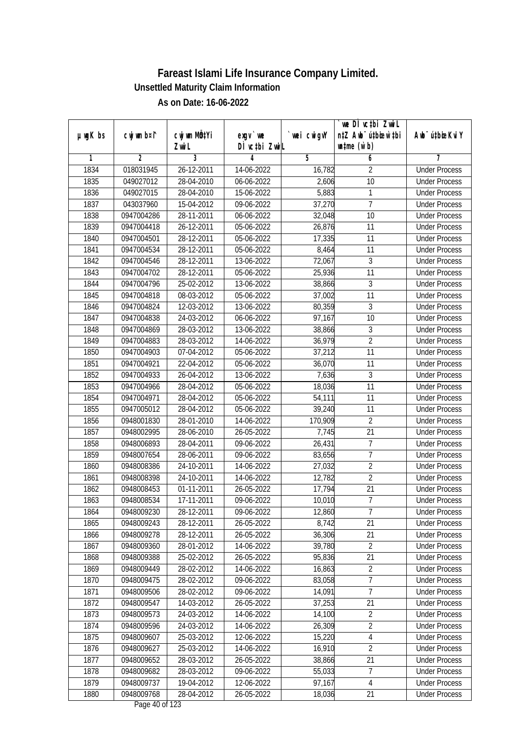|               |                |                           |                                |             | `we DÌ vc‡bi Zwwi∟               |                             |
|---------------|----------------|---------------------------|--------------------------------|-------------|----------------------------------|-----------------------------|
| $µ$ ug $K$ bs | cwj wm b¤i^    | cwj wm MQ <sup>1</sup> Yi | $exqu$ we                      | `wei cwigvY | n‡Z Awb <sup>-</sup> ú‡bioen`‡bi | Awb <sup>-</sup> ú‡bioeKviY |
|               |                | Zwi L                     | DÌ vctbi ZwiL                  |             | $\n  untime\n  (u`b)\n$          |                             |
| 1             | $\overline{2}$ | $\overline{3}$            | 4                              | 5           | 6                                | 7                           |
| 1834          | 018031945      | 26-12-2011                | 14-06-2022                     | 16,782      | 2                                | <b>Under Process</b>        |
| 1835          | 049027012      | 28-04-2010                | 06-06-2022                     | 2,606       | $\overline{10}$                  | <b>Under Process</b>        |
| 1836          | 049027015      | 28-04-2010                | 15-06-2022                     | 5,883       | 1                                | <b>Under Process</b>        |
| 1837          | 043037960      | 15-04-2012                | 09-06-2022                     | 37,270      | $\overline{7}$                   | <b>Under Process</b>        |
| 1838          | 0947004286     | 28-11-2011                | 06-06-2022                     | 32,048      | $\overline{10}$                  | <b>Under Process</b>        |
| 1839          | 0947004418     | 26-12-2011                | 05-06-2022                     | 26,876      | $\overline{11}$                  | <b>Under Process</b>        |
| 1840          | 0947004501     | 28-12-2011                | 05-06-2022                     | 17,335      | 11                               | <b>Under Process</b>        |
| 1841          | 0947004534     | 28-12-2011                | 05-06-2022                     | 8,464       | 11                               | <b>Under Process</b>        |
| 1842          | 0947004546     | 28-12-2011                | 13-06-2022                     | 72,067      | 3                                | <b>Under Process</b>        |
| 1843          | 0947004702     | 28-12-2011                | 05-06-2022                     | 25,936      | 11                               | <b>Under Process</b>        |
| 1844          | 0947004796     | 25-02-2012                | 13-06-2022                     | 38,866      | 3                                | <b>Under Process</b>        |
| 1845          | 0947004818     | 08-03-2012                | 05-06-2022                     | 37,002      | 11                               | <b>Under Process</b>        |
| 1846          | 0947004824     | 12-03-2012                | 13-06-2022                     | 80,359      | $\overline{3}$                   | <b>Under Process</b>        |
| 1847          | 0947004838     | 24-03-2012                | 06-06-2022                     | 97,167      | 10                               | <b>Under Process</b>        |
| 1848          | 0947004869     | 28-03-2012                | 13-06-2022                     | 38,866      | 3                                | <b>Under Process</b>        |
| 1849          | 0947004883     | 28-03-2012                | 14-06-2022                     | 36,979      | $\overline{2}$                   | <b>Under Process</b>        |
| 1850          | 0947004903     | 07-04-2012                | 05-06-2022                     | 37,212      | 11                               | <b>Under Process</b>        |
| 1851          | 0947004921     | 22-04-2012                | 05-06-2022                     | 36,070      | 11                               | <b>Under Process</b>        |
| 1852          | 0947004933     | 26-04-2012                | 13-06-2022                     | 7,636       | $\mathfrak{Z}$                   | <b>Under Process</b>        |
| 1853          | 0947004966     | 28-04-2012                | 05-06-2022                     | 18,036      | 11                               | <b>Under Process</b>        |
| 1854          | 0947004971     | 28-04-2012                | 05-06-2022                     | 54,111      | 11                               | <b>Under Process</b>        |
| 1855          | 0947005012     | 28-04-2012                | 05-06-2022                     | 39,240      | 11                               | <b>Under Process</b>        |
| 1856          | 0948001830     | 28-01-2010                | 14-06-2022                     | 170,909     | $\overline{2}$                   | <b>Under Process</b>        |
| 1857          | 0948002995     | 28-06-2010                | 26-05-2022                     | 7,745       | 21                               | <b>Under Process</b>        |
| 1858          | 0948006893     | 28-04-2011                | 09-06-2022                     | 26,431      | 7                                | <b>Under Process</b>        |
| 1859          | 0948007654     | 28-06-2011                | 09-06-2022                     | 83,656      | $\overline{1}$                   | <b>Under Process</b>        |
| 1860          | 0948008386     | 24-10-2011                | 14-06-2022                     | 27,032      | $\overline{2}$                   | <b>Under Process</b>        |
| 1861          | 0948008398     | 24-10-2011                | 14-06-2022                     | 12,782      | $\overline{2}$                   | <b>Under Process</b>        |
| 1862          | 0948008453     | 01-11-2011                | 26-05-2022                     | 17,794      | 21                               | <b>Under Process</b>        |
| 1863          | 0948008534     | 17-11-2011                | 09-06-2022                     | 10,010      | $\overline{7}$                   | <b>Under Process</b>        |
| 1864          | 0948009230     | 28-12-2011                | 09-06-2022                     | 12,860      | 7                                | <b>Under Process</b>        |
| 1865          | 0948009243     | 28-12-2011                | 26-05-2022                     | 8,742       | 21                               | <b>Under Process</b>        |
| 1866          | 0948009278     | 28-12-2011                | 26-05-2022                     | 36,306      | 21                               | <b>Under Process</b>        |
| 1867          | 0948009360     | 28-01-2012                | 14-06-2022                     | 39,780      | $\overline{2}$                   | <b>Under Process</b>        |
| 1868          | 0948009388     | 25-02-2012                | 26-05-2022                     | 95,836      | 21                               | <b>Under Process</b>        |
| 1869          | 0948009449     | 28-02-2012                | 14-06-2022                     | 16,863      | $\overline{2}$                   | <b>Under Process</b>        |
| 1870          | 0948009475     | 28-02-2012                | 09-06-2022                     | 83,058      | $\overline{7}$                   | <b>Under Process</b>        |
| 1871          | 0948009506     | 28-02-2012                | 09-06-2022                     | 14,091      | $\overline{7}$                   | <b>Under Process</b>        |
| 1872          | 0948009547     | 14-03-2012                | 26-05-2022                     | 37,253      | 21                               | <b>Under Process</b>        |
| 1873          | 0948009573     | 24-03-2012                | 14-06-2022                     | 14,100      | $\overline{2}$                   | <b>Under Process</b>        |
| 1874          | 0948009596     | 24-03-2012                | 14-06-2022                     | 26,309      | $\overline{2}$                   | <b>Under Process</b>        |
| 1875          | 0948009607     | 25-03-2012                | 12-06-2022                     | 15,220      | $\overline{4}$                   | <b>Under Process</b>        |
| 1876          | 0948009627     | 25-03-2012                | 14-06-2022                     | 16,910      | $\overline{2}$                   | <b>Under Process</b>        |
| 1877          | 0948009652     | 28-03-2012                | 26-05-2022                     | 38,866      | 21                               | <b>Under Process</b>        |
| 1878          | 0948009682     | 28-03-2012                | 09-06-2022                     | 55,033      | $\overline{7}$                   | <b>Under Process</b>        |
| 1879          | 0948009737     | 19-04-2012                | 12-06-2022                     | 97,167      | 4                                | <b>Under Process</b>        |
| 1880          | 0948009768     | 28-04-2012                | 26-05-2022<br>Dega $10e$ f 100 | 18,036      | 21                               | <b>Under Process</b>        |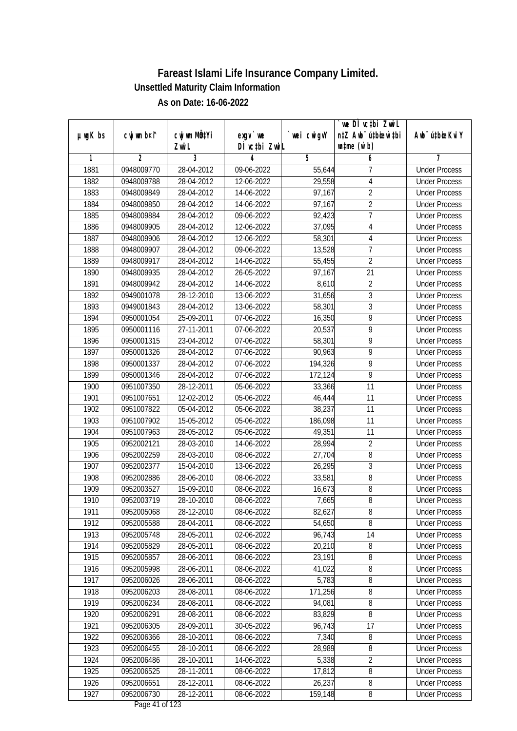|               |                |                           |                                |             | we DI vctbi ZwiL                 |                             |
|---------------|----------------|---------------------------|--------------------------------|-------------|----------------------------------|-----------------------------|
| $µ$ ug $K$ bs | cwj wm b¤i^    | cwj wm MQ <sup>1</sup> Yi | $exgV$ we                      | `wei cwigvY | n‡Z Awb <sup>-</sup> ú‡bicen`‡bi | Awb <sup>-</sup> ú‡bioeKviY |
|               |                | Zwi L                     | DÌ vctbi ZwiL                  |             | $\n  untime\n  (u`b)\n$          |                             |
| 1             | $\overline{2}$ | 3                         | 4                              | 5           | 6                                | 7                           |
| 1881          | 0948009770     | 28-04-2012                | 09-06-2022                     | 55,644      | 7                                | <b>Under Process</b>        |
| 1882          | 0948009788     | 28-04-2012                | 12-06-2022                     | 29,558      | 4                                | <b>Under Process</b>        |
| 1883          | 0948009849     | 28-04-2012                | 14-06-2022                     | 97,167      | $\overline{2}$                   | <b>Under Process</b>        |
| 1884          | 0948009850     | 28-04-2012                | 14-06-2022                     | 97,167      | $\overline{2}$                   | <b>Under Process</b>        |
| 1885          | 0948009884     | 28-04-2012                | 09-06-2022                     | 92,423      | $\overline{7}$                   | <b>Under Process</b>        |
| 1886          | 0948009905     | 28-04-2012                | 12-06-2022                     | 37,095      | 4                                | <b>Under Process</b>        |
| 1887          | 0948009906     | 28-04-2012                | 12-06-2022                     | 58,301      | 4                                | <b>Under Process</b>        |
| 1888          | 0948009907     | 28-04-2012                | 09-06-2022                     | 13,528      | 7                                | <b>Under Process</b>        |
| 1889          | 0948009917     | 28-04-2012                | 14-06-2022                     | 55,455      | $\overline{2}$                   | <b>Under Process</b>        |
| 1890          | 0948009935     | 28-04-2012                | 26-05-2022                     | 97,167      | 21                               | <b>Under Process</b>        |
| 1891          | 0948009942     | 28-04-2012                | 14-06-2022                     | 8,610       | $\overline{2}$                   | <b>Under Process</b>        |
| 1892          | 0949001078     | 28-12-2010                | 13-06-2022                     | 31,656      | 3                                | <b>Under Process</b>        |
| 1893          | 0949001843     | 28-04-2012                | 13-06-2022                     | 58,301      | $\overline{3}$                   | <b>Under Process</b>        |
| 1894          | 0950001054     | 25-09-2011                | 07-06-2022                     | 16,350      | 9                                | <b>Under Process</b>        |
| 1895          | 0950001116     | 27-11-2011                | 07-06-2022                     | 20,537      | 9                                | <b>Under Process</b>        |
| 1896          | 0950001315     | 23-04-2012                | 07-06-2022                     | 58,301      | 9                                | <b>Under Process</b>        |
| 1897          | 0950001326     | 28-04-2012                | 07-06-2022                     | 90,963      | 9                                | <b>Under Process</b>        |
| 1898          | 0950001337     | 28-04-2012                | 07-06-2022                     | 194,326     | $\overline{9}$                   | <b>Under Process</b>        |
| 1899          | 0950001346     | 28-04-2012                | 07-06-2022                     | 172,124     | $\overline{9}$                   | <b>Under Process</b>        |
| 1900          | 0951007350     | 28-12-2011                | 05-06-2022                     | 33,366      | 11                               | <b>Under Process</b>        |
| 1901          | 0951007651     | 12-02-2012                | 05-06-2022                     | 46,444      | 11                               | <b>Under Process</b>        |
| 1902          | 0951007822     | 05-04-2012                | 05-06-2022                     | 38,237      | 11                               | <b>Under Process</b>        |
| 1903          | 0951007902     | 15-05-2012                | 05-06-2022                     | 186,098     | 11                               | <b>Under Process</b>        |
| 1904          | 0951007963     | 28-05-2012                | 05-06-2022                     | 49,351      | 11                               | <b>Under Process</b>        |
| 1905          | 0952002121     | 28-03-2010                | 14-06-2022                     | 28,994      | $\sqrt{2}$                       | <b>Under Process</b>        |
| 1906          | 0952002259     | 28-03-2010                | 08-06-2022                     | 27,704      | 8                                | <b>Under Process</b>        |
| 1907          | 0952002377     | 15-04-2010                | 13-06-2022                     | 26,295      | 3                                | <b>Under Process</b>        |
| 1908          | 0952002886     | 28-06-2010                | 08-06-2022                     | 33,581      | 8                                | <b>Under Process</b>        |
| 1909          | 0952003527     | 15-09-2010                | 08-06-2022                     | 16,673      | $\sqrt{8}$                       | <b>Under Process</b>        |
| 1910          | 0952003719     | 28-10-2010                | 08-06-2022                     | 7,665       | $8\,$                            | <b>Under Process</b>        |
| 1911          | 0952005068     | 28-12-2010                | 08-06-2022                     | 82,627      | 8                                | <b>Under Process</b>        |
| 1912          | 0952005588     | 28-04-2011                | 08-06-2022                     | 54,650      | 8                                | <b>Under Process</b>        |
| 1913          | 0952005748     | 28-05-2011                | 02-06-2022                     | 96,743      | 14                               | <b>Under Process</b>        |
| 1914          | 0952005829     | 28-05-2011                | 08-06-2022                     | 20,210      | $\bf 8$                          | <b>Under Process</b>        |
| 1915          | 0952005857     | 28-06-2011                | 08-06-2022                     | 23,191      | 8                                | <b>Under Process</b>        |
| 1916          | 0952005998     | 28-06-2011                | 08-06-2022                     | 41,022      | 8                                | <b>Under Process</b>        |
| 1917          | 0952006026     | 28-06-2011                | 08-06-2022                     | 5,783       | 8                                | <b>Under Process</b>        |
| 1918          | 0952006203     | 28-08-2011                | 08-06-2022                     | 171,256     | 8                                | <b>Under Process</b>        |
| 1919          | 0952006234     | 28-08-2011                | 08-06-2022                     | 94,081      | 8                                | <b>Under Process</b>        |
| 1920          | 0952006291     | 28-08-2011                | 08-06-2022                     | 83,829      | $\overline{8}$                   | <b>Under Process</b>        |
| 1921          | 0952006305     | 28-09-2011                | 30-05-2022                     | 96,743      | 17                               | <b>Under Process</b>        |
| 1922          | 0952006366     | 28-10-2011                | 08-06-2022                     | 7,340       | 8                                | <b>Under Process</b>        |
| 1923          | 0952006455     | 28-10-2011                | 08-06-2022                     | 28,989      | 8                                | <b>Under Process</b>        |
| 1924          | 0952006486     | 28-10-2011                | 14-06-2022                     | 5,338       | $\overline{2}$                   | <b>Under Process</b>        |
| 1925          | 0952006525     | 28-11-2011                | 08-06-2022                     | 17,812      | $\overline{8}$                   | <b>Under Process</b>        |
| 1926          | 0952006651     | 28-12-2011                | 08-06-2022                     | 26,237      | 8                                | <b>Under Process</b>        |
| 1927          | 0952006730     | 28-12-2011                | 08-06-2022<br>Dega $11$ of 122 | 159,148     | 8                                | <b>Under Process</b>        |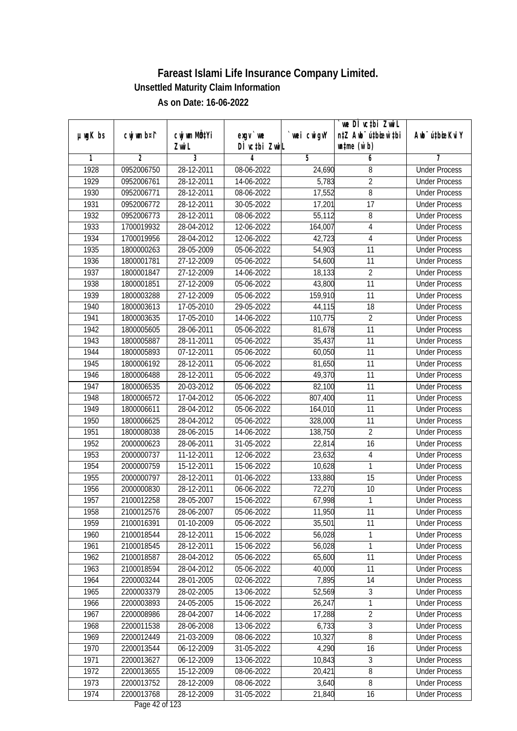|               |                |                           |                                          |             | `we DÌ vc‡bi Zwwi∟               |                             |
|---------------|----------------|---------------------------|------------------------------------------|-------------|----------------------------------|-----------------------------|
| $µ$ ug $K$ bs | cwj wm b¤i^    | cwj wm MQ <sup>1</sup> Yi | $exqu$ we                                | `wei cwigvY | n‡Z Awb <sup>-</sup> ú‡bioen`‡bi | Awb <sup>-</sup> ú‡bioeKviY |
|               |                | Zwi L                     | DÌ vctbi ZwiL                            |             | $\n  untime\n  (u`b)\n$          |                             |
| 1             | $\overline{2}$ | $\overline{3}$            | 4                                        | 5           | 6                                | 7                           |
| 1928          | 0952006750     | 28-12-2011                | 08-06-2022                               | 24,690      | 8                                | <b>Under Process</b>        |
| 1929          | 0952006761     | 28-12-2011                | 14-06-2022                               | 5,783       | $\overline{2}$                   | <b>Under Process</b>        |
| 1930          | 0952006771     | 28-12-2011                | 08-06-2022                               | 17,552      | 8                                | <b>Under Process</b>        |
| 1931          | 0952006772     | 28-12-2011                | 30-05-2022                               | 17,201      | $\overline{17}$                  | <b>Under Process</b>        |
| 1932          | 0952006773     | 28-12-2011                | 08-06-2022                               | 55,112      | $\overline{8}$                   | <b>Under Process</b>        |
| 1933          | 1700019932     | 28-04-2012                | 12-06-2022                               | 164,007     | 4                                | <b>Under Process</b>        |
| 1934          | 1700019956     | 28-04-2012                | 12-06-2022                               | 42,723      | $\sqrt{4}$                       | <b>Under Process</b>        |
| 1935          | 1800000263     | 28-05-2009                | 05-06-2022                               | 54,903      | 11                               | <b>Under Process</b>        |
| 1936          | 1800001781     | 27-12-2009                | 05-06-2022                               | 54,600      | 11                               | <b>Under Process</b>        |
| 1937          | 1800001847     | 27-12-2009                | 14-06-2022                               | 18,133      | $\overline{2}$                   | <b>Under Process</b>        |
| 1938          | 1800001851     | 27-12-2009                | 05-06-2022                               | 43,800      | $\overline{11}$                  | <b>Under Process</b>        |
| 1939          | 1800003288     | 27-12-2009                | 05-06-2022                               | 159,910     | 11                               | <b>Under Process</b>        |
| 1940          | 1800003613     | 17-05-2010                | 29-05-2022                               | 44,115      | 18                               | <b>Under Process</b>        |
| 1941          | 1800003635     | 17-05-2010                | 14-06-2022                               | 110,775     | $\overline{2}$                   | <b>Under Process</b>        |
| 1942          | 1800005605     | 28-06-2011                | 05-06-2022                               | 81,678      | 11                               | <b>Under Process</b>        |
| 1943          | 1800005887     | 28-11-2011                | 05-06-2022                               | 35,437      | 11                               | <b>Under Process</b>        |
| 1944          | 1800005893     | 07-12-2011                | 05-06-2022                               | 60,050      | 11                               | <b>Under Process</b>        |
| 1945          | 1800006192     | 28-12-2011                | 05-06-2022                               | 81,650      | 11                               | <b>Under Process</b>        |
| 1946          | 1800006488     | 28-12-2011                | 05-06-2022                               | 49,370      | 11                               | <b>Under Process</b>        |
| 1947          | 1800006535     | 20-03-2012                | 05-06-2022                               | 82,100      | 11                               | <b>Under Process</b>        |
| 1948          | 1800006572     | 17-04-2012                | 05-06-2022                               | 807,400     | 11                               | <b>Under Process</b>        |
| 1949          | 1800006611     | 28-04-2012                | 05-06-2022                               | 164,010     | 11                               | <b>Under Process</b>        |
| 1950          | 1800006625     | 28-04-2012                | 05-06-2022                               | 328,000     | 11                               | <b>Under Process</b>        |
| 1951          | 1800008038     | 28-06-2015                | 14-06-2022                               | 138,750     | $\overline{2}$                   | <b>Under Process</b>        |
| 1952          | 2000000623     | 28-06-2011                | 31-05-2022                               | 22,814      | 16                               | <b>Under Process</b>        |
| 1953          | 2000000737     | $11 - 12 - 2011$          | 12-06-2022                               | 23,632      | 4                                | <b>Under Process</b>        |
| 1954          | 2000000759     | 15-12-2011                | 15-06-2022                               | 10,628      | 1                                | <b>Under Process</b>        |
| 1955          | 2000000797     | 28-12-2011                | 01-06-2022                               | 133,880     | 15                               | <b>Under Process</b>        |
| 1956          | 2000000830     | 28-12-2011                | 06-06-2022                               | 72,270      | 10                               | <b>Under Process</b>        |
| 1957          | 2100012258     | 28-05-2007                | 15-06-2022                               | 67,998      | 1                                | <b>Under Process</b>        |
| 1958          | 2100012576     | 28-06-2007                | 05-06-2022                               | 11,950      | 11                               | <b>Under Process</b>        |
| 1959          | 2100016391     | 01-10-2009                | 05-06-2022                               | 35,501      | 11                               | <b>Under Process</b>        |
| 1960          | 2100018544     | 28-12-2011                | 15-06-2022                               | 56,028      | 1                                | <b>Under Process</b>        |
| 1961          | 2100018545     | 28-12-2011                | 15-06-2022                               | 56,028      | 1                                | <b>Under Process</b>        |
| 1962          | 2100018587     | 28-04-2012                | 05-06-2022                               | 65,600      | 11                               | <b>Under Process</b>        |
| 1963          | 2100018594     | 28-04-2012                | 05-06-2022                               | 40,000      | 11                               | <b>Under Process</b>        |
| 1964          | 2200003244     | 28-01-2005                | 02-06-2022                               | 7,895       | 14                               | <b>Under Process</b>        |
| 1965          | 2200003379     | 28-02-2005                | 13-06-2022                               | 52,569      | 3                                | <b>Under Process</b>        |
| 1966          | 2200003893     | 24-05-2005                | 15-06-2022                               | 26,247      | 1                                | <b>Under Process</b>        |
| 1967          | 2200008986     | 28-04-2007                | 14-06-2022                               | 17,288      | $\overline{2}$                   | <b>Under Process</b>        |
| 1968          | 2200011538     | 28-06-2008                | 13-06-2022                               | 6,733       | 3                                | <b>Under Process</b>        |
| 1969          | 2200012449     | 21-03-2009                | 08-06-2022                               | 10,327      | $\overline{8}$                   | <b>Under Process</b>        |
| 1970          | 2200013544     | 06-12-2009                | 31-05-2022                               | 4,290       | 16                               | <b>Under Process</b>        |
| 1971          | 2200013627     | 06-12-2009                | 13-06-2022                               | 10,843      | 3                                | <b>Under Process</b>        |
| 1972          | 2200013655     | 15-12-2009                | 08-06-2022                               | 20,421      | $\overline{8}$                   | <b>Under Process</b>        |
| 1973          | 2200013752     | 28-12-2009                | 08-06-2022                               | 3,640       | 8                                | <b>Under Process</b>        |
| 1974          | 2200013768     | 28-12-2009                | 31-05-2022<br>$D_{\text{max}}$ 40 of 100 | 21,840      | 16                               | <b>Under Process</b>        |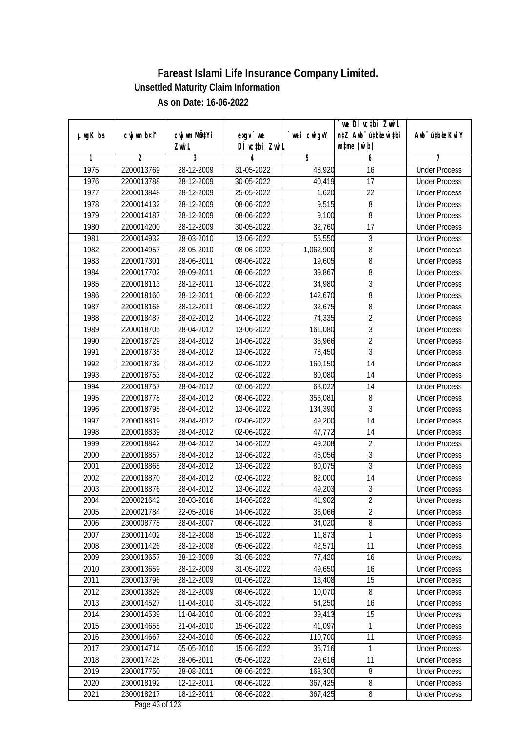| $µ$ ug $K$ bs | cwj wm b¤i^    | cwj wm MQtYi | $exgV$ we        | wei cwigvY | we DI vctbi ZwiL<br>n‡Z Awb <sup>-</sup> ú‡bioar`‡bi | Awb <sup>-</sup> ú‡bioeKviY |
|---------------|----------------|--------------|------------------|------------|------------------------------------------------------|-----------------------------|
|               |                | Zwi L        | DÌ vctbi ZwiL    |            | $\n  untime\n  (u`b)\n$                              |                             |
| 1             | $\overline{2}$ | 3            | 4                | 5          | 6                                                    | 7                           |
| 1975          | 2200013769     | 28-12-2009   | 31-05-2022       | 48,920     | 16                                                   | <b>Under Process</b>        |
| 1976          | 2200013788     | 28-12-2009   | $30 - 05 - 2022$ | 40,419     | 17                                                   | <b>Under Process</b>        |
| 1977          | 2200013848     | 28-12-2009   | 25-05-2022       | 1,620      | $\overline{22}$                                      | <b>Under Process</b>        |
| 1978          | 2200014132     | 28-12-2009   | 08-06-2022       | 9,515      | 8                                                    | <b>Under Process</b>        |
| 1979          | 2200014187     | 28-12-2009   | 08-06-2022       | 9,100      | $\overline{8}$                                       | <b>Under Process</b>        |
| 1980          | 2200014200     | 28-12-2009   | 30-05-2022       | 32,760     | $\overline{17}$                                      | <b>Under Process</b>        |
| 1981          | 2200014932     | 28-03-2010   | 13-06-2022       | 55,550     | $\sqrt{3}$                                           | <b>Under Process</b>        |
| 1982          | 2200014957     | 28-05-2010   | 08-06-2022       | 1,062,900  | 8                                                    | <b>Under Process</b>        |
| 1983          | 2200017301     | 28-06-2011   | 08-06-2022       | 19,605     | $\overline{8}$                                       | <b>Under Process</b>        |
| 1984          | 2200017702     | 28-09-2011   | 08-06-2022       | 39,867     | 8                                                    | <b>Under Process</b>        |
| 1985          | 2200018113     | 28-12-2011   | 13-06-2022       | 34,980     | $\overline{3}$                                       | <b>Under Process</b>        |
| 1986          | 2200018160     | 28-12-2011   | 08-06-2022       | 142,670    | 8                                                    | <b>Under Process</b>        |
| 1987          | 2200018168     | 28-12-2011   | 08-06-2022       | 32,675     | $\overline{8}$                                       | <b>Under Process</b>        |
| 1988          | 2200018487     | 28-02-2012   | 14-06-2022       | 74,335     | $\overline{2}$                                       | <b>Under Process</b>        |
| 1989          | 2200018705     | 28-04-2012   | 13-06-2022       | 161,080    | 3                                                    | <b>Under Process</b>        |
| 1990          | 2200018729     | 28-04-2012   | 14-06-2022       | 35,966     | $\overline{2}$                                       | <b>Under Process</b>        |
| 1991          | 2200018735     | 28-04-2012   | 13-06-2022       | 78,450     | $\mathfrak{Z}$                                       | <b>Under Process</b>        |
| 1992          | 2200018739     | 28-04-2012   | 02-06-2022       | 160,150    | 14                                                   | <b>Under Process</b>        |
| 1993          | 2200018753     | 28-04-2012   | 02-06-2022       | 80,080     | 14                                                   | <b>Under Process</b>        |
| 1994          | 2200018757     | 28-04-2012   | 02-06-2022       | 68,022     | 14                                                   | <b>Under Process</b>        |
| 1995          | 2200018778     | 28-04-2012   | 08-06-2022       | 356,081    | 8                                                    | <b>Under Process</b>        |
| 1996          | 2200018795     | 28-04-2012   | 13-06-2022       | 134,390    | $\mathfrak{Z}$                                       | <b>Under Process</b>        |
| 1997          | 2200018819     | 28-04-2012   | 02-06-2022       | 49,200     | 14                                                   | <b>Under Process</b>        |
| 1998          | 2200018839     | 28-04-2012   | 02-06-2022       | 47,772     | 14                                                   | <b>Under Process</b>        |
| 1999          | 2200018842     | 28-04-2012   | 14-06-2022       | 49,208     | $\overline{2}$                                       | <b>Under Process</b>        |
| 2000          | 2200018857     | 28-04-2012   | 13-06-2022       | 46,056     | 3                                                    | <b>Under Process</b>        |
| 2001          | 2200018865     | 28-04-2012   | 13-06-2022       | 80,075     | 3                                                    | <b>Under Process</b>        |
| 2002          | 2200018870     | 28-04-2012   | 02-06-2022       | 82,000     | 14                                                   | <b>Under Process</b>        |
| 2003          | 2200018876     | 28-04-2012   | 13-06-2022       | 49,203     | $\sqrt{3}$                                           | <b>Under Process</b>        |
| 2004          | 2200021642     | 28-03-2016   | 14-06-2022       | 41,902     | $\overline{2}$                                       | <b>Under Process</b>        |
| 2005          | 2200021784     | 22-05-2016   | 14-06-2022       | 36,066     | 2                                                    | <b>Under Process</b>        |
| 2006          | 2300008775     | 28-04-2007   | 08-06-2022       | 34,020     | 8                                                    | <b>Under Process</b>        |
| 2007          | 2300011402     | 28-12-2008   | 15-06-2022       | 11,873     | 1                                                    | <b>Under Process</b>        |
| 2008          | 2300011426     | 28-12-2008   | 05-06-2022       | 42,571     | 11                                                   | <b>Under Process</b>        |
| 2009          | 2300013657     | 28-12-2009   | 31-05-2022       | 77,420     | 16                                                   | <b>Under Process</b>        |
| 2010          | 2300013659     | 28-12-2009   | 31-05-2022       | 49,650     | 16                                                   | <b>Under Process</b>        |
| 2011          | 2300013796     | 28-12-2009   | 01-06-2022       | 13,408     | 15                                                   | <b>Under Process</b>        |
| 2012          | 2300013829     | 28-12-2009   | 08-06-2022       | 10,070     | 8                                                    | <b>Under Process</b>        |
| 2013          | 2300014527     | 11-04-2010   | 31-05-2022       | 54,250     | 16                                                   | <b>Under Process</b>        |
| 2014          | 2300014539     | 11-04-2010   | 01-06-2022       | 39,413     | 15                                                   | <b>Under Process</b>        |
| 2015          | 2300014655     | 21-04-2010   | 15-06-2022       | 41,097     | 1                                                    | <b>Under Process</b>        |
| 2016          | 2300014667     | 22-04-2010   | 05-06-2022       | 110,700    | 11                                                   | <b>Under Process</b>        |
| 2017          | 2300014714     | 05-05-2010   | 15-06-2022       | 35,716     | 1                                                    | <b>Under Process</b>        |
| 2018          | 2300017428     | 28-06-2011   | 05-06-2022       | 29,616     | 11                                                   | <b>Under Process</b>        |
| 2019          | 2300017750     | 28-08-2011   | 08-06-2022       | 163,300    | 8                                                    | <b>Under Process</b>        |
| 2020          | 2300018192     | 12-12-2011   | 08-06-2022       | 367,425    | 8                                                    | <b>Under Process</b>        |
| 2021          | 2300018217     | 18-12-2011   | 08-06-2022       | 367,425    | 8                                                    | <b>Under Process</b>        |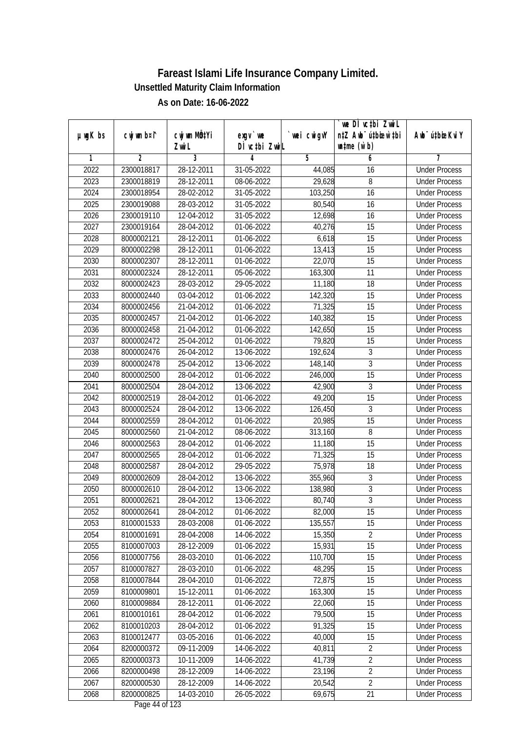|               |                          |                           |                          |                   | we DI vctbi ZwiL                 |                             |
|---------------|--------------------------|---------------------------|--------------------------|-------------------|----------------------------------|-----------------------------|
| $µ$ ug $K$ bs | cwj wm b¤i^              | cwj wm MQ <sup>1</sup> Yi | exgy `we                 | `wei cwigvY       | n‡Z Awb <sup>-</sup> ú‡bicen`‡bi | Awb <sup>-</sup> ú‡bioeKviY |
| 1             | $\overline{2}$           | Zwi L<br>3                | DÌ vctbi ZwiL<br>4       | 5                 | $\n  untime\n  (u`b)\n$<br>6     | 7                           |
| 2022          | 2300018817               | 28-12-2011                | 31-05-2022               | 44,085            | 16                               | <b>Under Process</b>        |
| 2023          | 2300018819               | 28-12-2011                | 08-06-2022               | 29,628            | 8                                | <b>Under Process</b>        |
| 2024          | 2300018954               | 28-02-2012                | 31-05-2022               | 103,250           | $\overline{16}$                  | <b>Under Process</b>        |
| 2025          | 2300019088               | 28-03-2012                | 31-05-2022               | 80,540            | 16                               | <b>Under Process</b>        |
| 2026          | 2300019110               | 12-04-2012                | 31-05-2022               | 12,698            | $\overline{16}$                  | <b>Under Process</b>        |
| 2027          | 2300019164               | 28-04-2012                | 01-06-2022               | 40,276            | 15                               | <b>Under Process</b>        |
| 2028          | 8000002121               | 28-12-2011                | 01-06-2022               | 6,618             | 15                               | <b>Under Process</b>        |
| 2029          | 8000002298               | 28-12-2011                | 01-06-2022               | 13,413            | $\overline{15}$                  | <b>Under Process</b>        |
| 2030          | 8000002307               | 28-12-2011                | 01-06-2022               | 22,070            | $\overline{15}$                  | <b>Under Process</b>        |
| 2031          | 8000002324               | 28-12-2011                | 05-06-2022               | 163,300           | 11                               | <b>Under Process</b>        |
| 2032          | 8000002423               | 28-03-2012                | 29-05-2022               | 11,180            | $\overline{18}$                  | <b>Under Process</b>        |
|               |                          |                           |                          |                   |                                  |                             |
| 2033<br>2034  | 8000002440<br>8000002456 | 03-04-2012<br>21-04-2012  | 01-06-2022<br>01-06-2022 | 142,320<br>71,325 | 15<br>$\overline{15}$            | <b>Under Process</b>        |
|               |                          |                           |                          |                   |                                  | <b>Under Process</b>        |
| 2035          | 8000002457               | 21-04-2012                | $\overline{01}$ -06-2022 | 140,382           | 15                               | <b>Under Process</b>        |
| 2036          | 8000002458               | 21-04-2012                | 01-06-2022               | 142,650           | 15                               | <b>Under Process</b>        |
| 2037          | 8000002472               | 25-04-2012                | 01-06-2022               | 79,820            | 15                               | <b>Under Process</b>        |
| 2038          | 8000002476               | 26-04-2012                | 13-06-2022               | 192,624           | 3                                | <b>Under Process</b>        |
| 2039          | 8000002478               | 25-04-2012                | 13-06-2022               | 148,140           | $\overline{3}$                   | <b>Under Process</b>        |
| 2040          | 8000002500               | 28-04-2012                | 01-06-2022               | 246,000           | 15                               | <b>Under Process</b>        |
| 2041          | 8000002504               | 28-04-2012                | 13-06-2022               | 42,900            | $\mathfrak{Z}$                   | <b>Under Process</b>        |
| 2042          | 8000002519               | 28-04-2012                | 01-06-2022               | 49,200            | 15                               | <b>Under Process</b>        |
| 2043          | 8000002524               | 28-04-2012                | 13-06-2022               | 126,450           | $\mathfrak{Z}$                   | <b>Under Process</b>        |
| 2044          | 8000002559               | 28-04-2012                | 01-06-2022               | 20,985            | 15                               | <b>Under Process</b>        |
| 2045          | 8000002560               | 21-04-2012                | 08-06-2022               | 313,160           | 8                                | <b>Under Process</b>        |
| 2046          | 8000002563               | 28-04-2012                | 01-06-2022               | 11,180            | 15                               | <b>Under Process</b>        |
| 2047          | 8000002565               | 28-04-2012                | 01-06-2022               | 71,325            | 15                               | <b>Under Process</b>        |
| 2048          | 8000002587               | 28-04-2012                | 29-05-2022               | 75,978            | 18                               | <b>Under Process</b>        |
| 2049          | 8000002609               | 28-04-2012                | 13-06-2022               | 355,960           | 3                                | <b>Under Process</b>        |
| 2050          | 8000002610               | 28-04-2012                | 13-06-2022               | 138,980           | $\overline{3}$                   | <b>Under Process</b>        |
| 2051          | 8000002621               | 28-04-2012                | 13-06-2022               | 80,740            | $\overline{3}$                   | <b>Under Process</b>        |
| 2052          | 8000002641               | 28-04-2012                | 01-06-2022               | 82,000            | 15                               | <b>Under Process</b>        |
| 2053          | 8100001533               | 28-03-2008                | 01-06-2022               | 135,557           | 15                               | <b>Under Process</b>        |
| 2054          | 8100001691               | 28-04-2008                | 14-06-2022               | 15,350            | $\overline{2}$                   | <b>Under Process</b>        |
| 2055          | 8100007003               | 28-12-2009                | 01-06-2022               | 15,931            | 15                               | <b>Under Process</b>        |
| 2056          | 8100007756               | 28-03-2010                | 01-06-2022               | 110,700           | 15                               | <b>Under Process</b>        |
| 2057          | 8100007827               | 28-03-2010                | 01-06-2022               | 48,295            | 15                               | <b>Under Process</b>        |
| 2058          | 8100007844               | 28-04-2010                | 01-06-2022               | 72,875            | 15                               | <b>Under Process</b>        |
| 2059          | 8100009801               | 15-12-2011                | 01-06-2022               | 163,300           | 15                               | <b>Under Process</b>        |
| 2060          | 8100009884               | 28-12-2011                | 01-06-2022               | 22,060            | 15                               | <b>Under Process</b>        |
| 2061          | 8100010161               | 28-04-2012                | 01-06-2022               | 79,500            | 15                               | <b>Under Process</b>        |
| 2062          | 8100010203               | 28-04-2012                | 01-06-2022               | 91,325            | 15                               | <b>Under Process</b>        |
| 2063          | 8100012477               | 03-05-2016                | 01-06-2022               | 40,000            | 15                               | <b>Under Process</b>        |
| 2064          | 8200000372               | 09-11-2009                | 14-06-2022               | 40,811            | $\overline{2}$                   | <b>Under Process</b>        |
| 2065          | 8200000373               | 10-11-2009                | 14-06-2022               | 41,739            | $\overline{2}$                   | <b>Under Process</b>        |
| 2066          | 8200000498               | 28-12-2009                | 14-06-2022               | 23,196            | $\overline{2}$                   | <b>Under Process</b>        |
| 2067          | 8200000530               | 28-12-2009                | 14-06-2022               | 20,542            | $\overline{2}$                   | <b>Under Process</b>        |
| 2068          | 8200000825               | 14-03-2010                | 26-05-2022               | 69,675            | 21                               | <b>Under Process</b>        |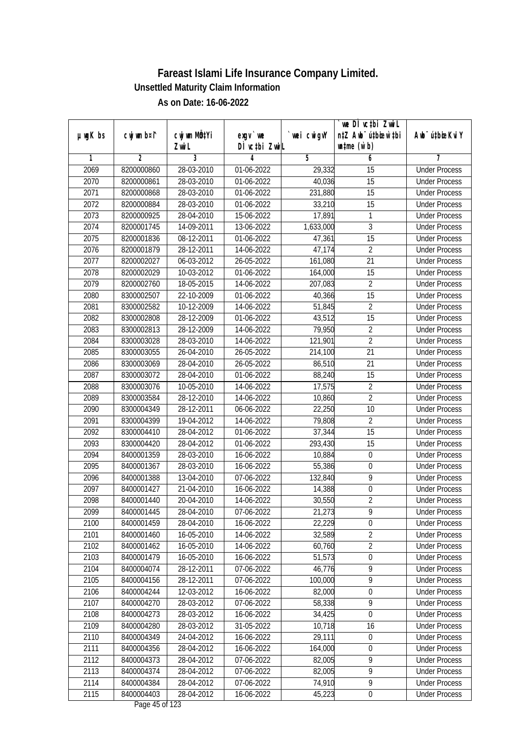|               |                |                                    |                            |                | we DI vctbi ZwiL                                            |                             |
|---------------|----------------|------------------------------------|----------------------------|----------------|-------------------------------------------------------------|-----------------------------|
| $µ$ ug $K$ bs | cwj wm b¤i^    | cwj wm MQ <sup>1</sup> Yi<br>Zwi L | $exgV$ we<br>DÌ vctbi ZwiL | `wei cwigvY    | n‡Z Awb <sup>-</sup> ú‡bicen`‡bi<br>$\n  untime\n  (u`b)\n$ | Awb <sup>-</sup> ú‡bioeKviY |
| 1             | $\overline{2}$ | 3                                  | 4                          | $\overline{5}$ | 6                                                           | 7                           |
| 2069          | 8200000860     | 28-03-2010                         | 01-06-2022                 | 29,332         | $\overline{15}$                                             | <b>Under Process</b>        |
| 2070          | 8200000861     | 28-03-2010                         | 01-06-2022                 | 40,036         | 15                                                          | <b>Under Process</b>        |
| 2071          | 8200000868     | 28-03-2010                         | 01-06-2022                 | 231,880        | $\overline{15}$                                             | <b>Under Process</b>        |
| 2072          | 8200000884     | 28-03-2010                         | 01-06-2022                 | 33,210         | 15                                                          | <b>Under Process</b>        |
| 2073          | 8200000925     | 28-04-2010                         | 15-06-2022                 | 17,891         | 1                                                           | <b>Under Process</b>        |
| 2074          | 8200001745     | 14-09-2011                         | 13-06-2022                 | 1,633,000      | 3                                                           | <b>Under Process</b>        |
| 2075          | 8200001836     | 08-12-2011                         | 01-06-2022                 | 47,361         | $\overline{15}$                                             | <b>Under Process</b>        |
| 2076          | 8200001879     | 28-12-2011                         | 14-06-2022                 | 47,174         | $\overline{2}$                                              | <b>Under Process</b>        |
| 2077          | 8200002027     | 06-03-2012                         | 26-05-2022                 | 161,080        | $\overline{21}$                                             | <b>Under Process</b>        |
| 2078          | 8200002029     | 10-03-2012                         | 01-06-2022                 | 164,000        | 15                                                          | <b>Under Process</b>        |
| 2079          | 8200002760     | 18-05-2015                         | 14-06-2022                 | 207,083        | $\overline{2}$                                              | <b>Under Process</b>        |
| 2080          | 8300002507     | 22-10-2009                         | 01-06-2022                 | 40,366         | 15                                                          | <b>Under Process</b>        |
| 2081          | 8300002582     | 10-12-2009                         | 14-06-2022                 | 51,845         | $\overline{2}$                                              | <b>Under Process</b>        |
| 2082          | 8300002808     | 28-12-2009                         | 01-06-2022                 | 43,512         | 15                                                          | <b>Under Process</b>        |
| 2083          | 8300002813     | 28-12-2009                         | 14-06-2022                 | 79,950         | $\overline{2}$                                              | <b>Under Process</b>        |
| 2084          | 8300003028     | 28-03-2010                         | 14-06-2022                 | 121,901        | $\overline{2}$                                              | <b>Under Process</b>        |
| 2085          | 8300003055     | 26-04-2010                         | 26-05-2022                 | 214,100        | 21                                                          | <b>Under Process</b>        |
| 2086          | 8300003069     | 28-04-2010                         | 26-05-2022                 | 86,510         | 21                                                          | <b>Under Process</b>        |
| 2087          | 8300003072     | 28-04-2010                         | 01-06-2022                 | 88,240         | 15                                                          | <b>Under Process</b>        |
| 2088          | 8300003076     | 10-05-2010                         | 14-06-2022                 | 17,575         | $\overline{2}$                                              | <b>Under Process</b>        |
| 2089          | 8300003584     | 28-12-2010                         | 14-06-2022                 | 10,860         | $\overline{2}$                                              | <b>Under Process</b>        |
| 2090          | 8300004349     | 28-12-2011                         | 06-06-2022                 | 22,250         | 10                                                          | <b>Under Process</b>        |
| 2091          | 8300004399     | 19-04-2012                         | 14-06-2022                 | 79,808         | $\overline{2}$                                              | <b>Under Process</b>        |
| 2092          | 8300004410     | 28-04-2012                         | 01-06-2022                 | 37,344         | 15                                                          | <b>Under Process</b>        |
| 2093          | 8300004420     | 28-04-2012                         | 01-06-2022                 | 293,430        | 15                                                          | <b>Under Process</b>        |
| 2094          | 8400001359     | 28-03-2010                         | 16-06-2022                 | 10,884         | $\boldsymbol{0}$                                            | <b>Under Process</b>        |
| 2095          | 8400001367     | 28-03-2010                         | 16-06-2022                 | 55,386         | 0                                                           | <b>Under Process</b>        |
| 2096          | 8400001388     | 13-04-2010                         | 07-06-2022                 | 132,840        | 9                                                           | <b>Under Process</b>        |
| 2097          | 8400001427     | 21-04-2010                         | 16-06-2022                 | 14,388         | $\boldsymbol{0}$                                            | <b>Under Process</b>        |
| 2098          | 8400001440     | 20-04-2010                         | 14-06-2022                 | 30,550         | $\overline{2}$                                              | <b>Under Process</b>        |
| 2099          | 8400001445     | 28-04-2010                         | 07-06-2022                 | 21,273         | 9                                                           | <b>Under Process</b>        |
| 2100          | 8400001459     | 28-04-2010                         | 16-06-2022                 | 22,229         | 0                                                           | <b>Under Process</b>        |
| 2101          | 8400001460     | 16-05-2010                         | 14-06-2022                 | 32,589         | $\overline{2}$                                              | <b>Under Process</b>        |
| 2102          | 8400001462     | 16-05-2010                         | 14-06-2022                 | 60,760         | $\overline{2}$                                              | <b>Under Process</b>        |
| 2103          | 8400001479     | 16-05-2010                         | 16-06-2022                 | 51,573         | $\boldsymbol{0}$                                            | <b>Under Process</b>        |
| 2104          | 8400004074     | 28-12-2011                         | 07-06-2022                 | 46,776         | 9                                                           | <b>Under Process</b>        |
| 2105          | 8400004156     | 28-12-2011                         | 07-06-2022                 | 100,000        | $\overline{9}$                                              | <b>Under Process</b>        |
| 2106          | 8400004244     | 12-03-2012                         | 16-06-2022                 | 82,000         | 0                                                           | <b>Under Process</b>        |
| 2107          | 8400004270     | 28-03-2012                         | 07-06-2022                 | 58,338         | $\overline{9}$                                              | <b>Under Process</b>        |
| 2108          | 8400004273     | 28-03-2012                         |                            | 34,425         | $\boldsymbol{0}$                                            | <b>Under Process</b>        |
| 2109          | 8400004280     | 28-03-2012                         | 16-06-2022<br>31-05-2022   | 10,718         | 16                                                          | <b>Under Process</b>        |
| 2110          | 8400004349     | 24-04-2012                         | 16-06-2022                 | 29,111         | $\boldsymbol{0}$                                            | <b>Under Process</b>        |
| 2111          | 8400004356     | 28-04-2012                         | 16-06-2022                 | 164,000        |                                                             | <b>Under Process</b>        |
| 2112          | 8400004373     | 28-04-2012                         | 07-06-2022                 | 82,005         | 0<br>9                                                      | <b>Under Process</b>        |
|               |                |                                    |                            | 82,005         | $\overline{9}$                                              |                             |
| 2113          | 8400004374     | 28-04-2012                         | 07-06-2022                 |                | $\overline{9}$                                              | <b>Under Process</b>        |
| 2114          | 8400004384     | 28-04-2012                         | 07-06-2022                 | 74,910         |                                                             | <b>Under Process</b>        |
| 2115          | 8400004403     | 28-04-2012                         | 16-06-2022                 | 45,223         | $\boldsymbol{0}$                                            | <b>Under Process</b>        |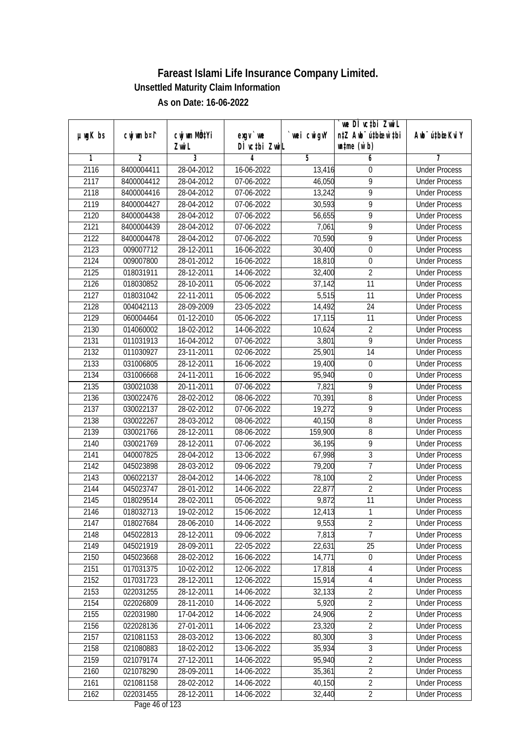| $µ$ ug $K$ bs | cwj wm b¤i^ | cwj wm MQtYi     | $exgv$ we                       | wei cwigvY | `we DÌ vc‡bi ZwiL<br>n‡Z Awb <sup>-</sup> ú‡bioen`‡bi | Awb <sup>-</sup> ú‡bioeKviY |
|---------------|-------------|------------------|---------------------------------|------------|-------------------------------------------------------|-----------------------------|
|               |             | Zwi L            | DÌ vctbi ZwiL                   |            | $\n  untime\n  (u`b)\n$                               |                             |
| 1             | 2           | 3                | 4                               | 5          | 6                                                     | 7                           |
| 2116          | 8400004411  | 28-04-2012       | $16-06-2022$                    | 13,416     | 0                                                     | <b>Under Process</b>        |
| 2117          | 8400004412  | 28-04-2012       | 07-06-2022                      | 46,050     | 9                                                     | <b>Under Process</b>        |
| 2118          | 8400004416  | 28-04-2012       | 07-06-2022                      | 13,242     | $\overline{9}$                                        | <b>Under Process</b>        |
| 2119          | 8400004427  | 28-04-2012       | 07-06-2022                      | 30,593     | $\overline{9}$                                        | <b>Under Process</b>        |
| 2120          | 8400004438  | 28-04-2012       | 07-06-2022                      | 56,655     | $\overline{9}$                                        | <b>Under Process</b>        |
| 2121          | 8400004439  | 28-04-2012       | 07-06-2022                      | 7,061      | $\overline{9}$                                        | <b>Under Process</b>        |
| 2122          | 8400004478  | 28-04-2012       | 07-06-2022                      | 70,590     | 9                                                     | <b>Under Process</b>        |
| 2123          | 009007712   | 28-12-2011       | 16-06-2022                      | 30,400     | $\overline{0}$                                        | <b>Under Process</b>        |
| 2124          | 009007800   | 28-01-2012       | 16-06-2022                      | 18,810     | $\boldsymbol{0}$                                      | <b>Under Process</b>        |
| 2125          | 018031911   | 28-12-2011       | 14-06-2022                      | 32,400     | $\overline{2}$                                        | <b>Under Process</b>        |
| 2126          | 018030852   | 28-10-2011       | 05-06-2022                      | 37,142     | $\overline{11}$                                       | <b>Under Process</b>        |
| 2127          | 018031042   | $22 - 11 - 2011$ | 05-06-2022                      | 5,515      | 11                                                    | <b>Under Process</b>        |
| 2128          | 004042113   | 28-09-2009       | 23-05-2022                      | 14,492     | $\overline{24}$                                       | <b>Under Process</b>        |
| 2129          | 060004464   | 01-12-2010       | 05-06-2022                      | 17,115     | 11                                                    | <b>Under Process</b>        |
| 2130          | 014060002   | 18-02-2012       | 14-06-2022                      | 10,624     | $\overline{2}$                                        | <b>Under Process</b>        |
| 2131          | 011031913   | 16-04-2012       | 07-06-2022                      | 3,801      | $\overline{9}$                                        | <b>Under Process</b>        |
| 2132          | 011030927   | 23-11-2011       | 02-06-2022                      | 25,901     | 14                                                    | <b>Under Process</b>        |
| 2133          | 031006805   | 28-12-2011       | 16-06-2022                      | 19,400     | $\boldsymbol{0}$                                      | <b>Under Process</b>        |
| 2134          | 031006668   | 24-11-2011       | 16-06-2022                      | 95,940     | $\boldsymbol{0}$                                      | <b>Under Process</b>        |
| 2135          | 030021038   | 20-11-2011       | 07-06-2022                      | 7,821      | 9                                                     | <b>Under Process</b>        |
| 2136          | 030022476   | 28-02-2012       | 08-06-2022                      | 70,391     | 8                                                     | <b>Under Process</b>        |
| 2137          | 030022137   | 28-02-2012       | 07-06-2022                      | 19,272     | 9                                                     | <b>Under Process</b>        |
| 2138          | 030022267   | 28-03-2012       | 08-06-2022                      | 40,150     | 8                                                     | <b>Under Process</b>        |
| 2139          | 030021766   | 28-12-2011       | 08-06-2022                      | 159,900    | 8                                                     | <b>Under Process</b>        |
| 2140          | 030021769   | 28-12-2011       | 07-06-2022                      | 36,195     | 9                                                     | <b>Under Process</b>        |
| 2141          | 040007825   | 28-04-2012       | 13-06-2022                      | 67,998     | $\sqrt{3}$                                            | <b>Under Process</b>        |
| 2142          | 045023898   | 28-03-2012       | 09-06-2022                      | 79,200     | 7                                                     | <b>Under Process</b>        |
| 2143          | 006022137   | 28-04-2012       | 14-06-2022                      | 78,100     | $\overline{2}$                                        | <b>Under Process</b>        |
| 2144          | 045023747   | 28-01-2012       | 14-06-2022                      | 22,877     | $\overline{2}$                                        | <b>Under Process</b>        |
| 2145          | 018029514   | 28-02-2011       | 05-06-2022                      | 9,872      | 11                                                    | <b>Under Process</b>        |
| 2146          | 018032713   | 19-02-2012       | 15-06-2022                      | 12,413     | 1                                                     | <b>Under Process</b>        |
| 2147          | 018027684   | 28-06-2010       | 14-06-2022                      | 9,553      | $\overline{2}$                                        | <b>Under Process</b>        |
| 2148          | 045022813   | 28-12-2011       | 09-06-2022                      | 7,813      | $\overline{7}$                                        | <b>Under Process</b>        |
| 2149          | 045021919   | 28-09-2011       | 22-05-2022                      | 22,631     | 25                                                    | <b>Under Process</b>        |
| 2150          | 045023668   | 28-02-2012       | 16-06-2022                      | 14,771     | $\boldsymbol{0}$                                      | <b>Under Process</b>        |
| 2151          | 017031375   | 10-02-2012       | 12-06-2022                      | 17,818     | 4                                                     | <b>Under Process</b>        |
| 2152          | 017031723   | 28-12-2011       | 12-06-2022                      | 15,914     | $\overline{4}$                                        | <b>Under Process</b>        |
| 2153          | 022031255   | 28-12-2011       | 14-06-2022                      | 32,133     | $\overline{2}$                                        | <b>Under Process</b>        |
| 2154          | 022026809   | 28-11-2010       | 14-06-2022                      | 5,920      | $\overline{2}$                                        | <b>Under Process</b>        |
| 2155          | 022031980   | 17-04-2012       | 14-06-2022                      | 24,906     | $\overline{2}$                                        | <b>Under Process</b>        |
| 2156          | 022028136   | 27-01-2011       | 14-06-2022                      | 23,320     | $\overline{2}$                                        | <b>Under Process</b>        |
| 2157          | 021081153   | 28-03-2012       | 13-06-2022                      | 80,300     | $\sqrt{3}$                                            | <b>Under Process</b>        |
| 2158          | 021080883   | 18-02-2012       | 13-06-2022                      | 35,934     | $\overline{3}$                                        | <b>Under Process</b>        |
| 2159          | 021079174   | 27-12-2011       | 14-06-2022                      | 95,940     | $\overline{2}$                                        | <b>Under Process</b>        |
| 2160          | 021078290   | 28-09-2011       | 14-06-2022                      | 35,361     | $\overline{2}$                                        | <b>Under Process</b>        |
| 2161          | 021081158   | 28-02-2012       | 14-06-2022                      | 40,150     | $\overline{2}$                                        | <b>Under Process</b>        |
| 2162          | 022031455   | 28-12-2011       | 14-06-2022<br>Dege $\mu$ of 122 | 32,440     | $\overline{2}$                                        | <b>Under Process</b>        |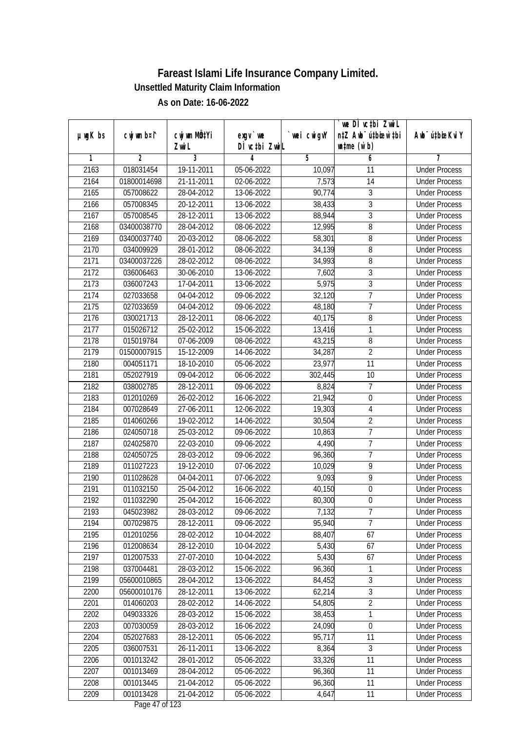|                  |                |                  |                                     |             | `we DÌ vc‡bi ZwwiL               |                             |
|------------------|----------------|------------------|-------------------------------------|-------------|----------------------------------|-----------------------------|
| $µ$ ug $K$ bs    | cwj wm b¤i^    | cwj wm MQtYi     | exgy `we                            | `wei cwigvY | n‡Z Awb <sup>-</sup> ú‡bioen`‡bi | Awb <sup>-</sup> ú‡bioeKviY |
|                  |                | Zwi L            | DÌ vcțbi ZwiL                       |             | $\n  untime\n  (u`b)\n$          |                             |
| 1                | $\overline{2}$ | 3                | 4                                   | 5           | 6                                | 7                           |
| 2163             | 018031454      | 19-11-2011       | 05-06-2022                          | 10,097      | 11                               | <b>Under Process</b>        |
| 2164             | 01800014698    | 21-11-2011       | 02-06-2022                          | 7,573       | $\overline{14}$                  | <b>Under Process</b>        |
| $\frac{1}{2165}$ | 057008622      | 28-04-2012       | 13-06-2022                          | 90,774      | $\overline{3}$                   | <b>Under Process</b>        |
| 2166             | 057008345      | 20-12-2011       | 13-06-2022                          | 38,433      | $\overline{3}$                   | <b>Under Process</b>        |
| 2167             | 057008545      | 28-12-2011       | 13-06-2022                          | 88,944      | $\overline{3}$                   | <b>Under Process</b>        |
| 2168             | 03400038770    | 28-04-2012       | 08-06-2022                          | 12,995      | 8                                | <b>Under Process</b>        |
| 2169             | 03400037740    | 20-03-2012       | 08-06-2022                          | 58,301      | 8                                | <b>Under Process</b>        |
| 2170             | 034009929      | 28-01-2012       | 08-06-2022                          | 34,139      | $\overline{8}$                   | <b>Under Process</b>        |
| 2171             | 03400037226    | 28-02-2012       | 08-06-2022                          | 34,993      | 8                                | <b>Under Process</b>        |
| 2172             | 036006463      | 30-06-2010       | 13-06-2022                          | 7,602       | 3                                | <b>Under Process</b>        |
| 2173             | 036007243      | 17-04-2011       | 13-06-2022                          | 5,975       | 3                                | <b>Under Process</b>        |
| 2174             | 027033658      | $04 - 04 - 2012$ | 09-06-2022                          | 32,120      | $\overline{1}$                   | <b>Under Process</b>        |
| 2175             | 027033659      | 04-04-2012       | 09-06-2022                          | 48,180      | $\overline{7}$                   | <b>Under Process</b>        |
| 2176             | 030021713      | 28-12-2011       | 08-06-2022                          | 40,175      | 8                                | <b>Under Process</b>        |
| 2177             | 015026712      | 25-02-2012       | 15-06-2022                          | 13,416      | 1                                | <b>Under Process</b>        |
| 2178             | 015019784      | 07-06-2009       | 08-06-2022                          | 43,215      | 8                                | <b>Under Process</b>        |
| 2179             | 01500007915    | 15-12-2009       | 14-06-2022                          | 34,287      | $\overline{2}$                   | <b>Under Process</b>        |
| 2180             | 004051171      | 18-10-2010       | 05-06-2022                          | 23,977      | 11                               | <b>Under Process</b>        |
| 2181             | 052027919      | 09-04-2012       | 06-06-2022                          | 302,445     | 10                               | <b>Under Process</b>        |
| 2182             | 038002785      | 28-12-2011       | 09-06-2022                          | 8,824       | 7                                | <b>Under Process</b>        |
| 2183             | 012010269      | 26-02-2012       | 16-06-2022                          | 21,942      | $\boldsymbol{0}$                 | <b>Under Process</b>        |
| 2184             | 007028649      | 27-06-2011       | 12-06-2022                          | 19,303      | $\overline{4}$                   | <b>Under Process</b>        |
| 2185             | 014060266      | 19-02-2012       | 14-06-2022                          | 30,504      | $\overline{2}$                   | <b>Under Process</b>        |
| 2186             | 024050718      | 25-03-2012       | 09-06-2022                          | 10,863      | $\overline{7}$                   | <b>Under Process</b>        |
| 2187             | 024025870      | 22-03-2010       | 09-06-2022                          | 4,490       | $\overline{7}$                   | <b>Under Process</b>        |
| 2188             | 024050725      | 28-03-2012       | 09-06-2022                          | 96,360      | $\overline{1}$                   | <b>Under Process</b>        |
| 2189             | 011027223      | 19-12-2010       | 07-06-2022                          | 10,029      | 9                                | <b>Under Process</b>        |
| 2190             | 011028628      | 04-04-2011       | 07-06-2022                          | 9,093       | $\overline{9}$                   | <b>Under Process</b>        |
| 2191             | 011032150      | 25-04-2012       | 16-06-2022                          | 40,150      | $\boldsymbol{0}$                 | <b>Under Process</b>        |
| 2192             | 011032290      | 25-04-2012       | 16-06-2022                          | 80,300      | $\boldsymbol{0}$                 | <b>Under Process</b>        |
| 2193             | 045023982      | 28-03-2012       | 09-06-2022                          | 7,132       | 7                                | <b>Under Process</b>        |
| 2194             | 007029875      | 28-12-2011       | 09-06-2022                          | 95,940      | $\overline{7}$                   | <b>Under Process</b>        |
| 2195             | 012010256      | 28-02-2012       | 10-04-2022                          | 88,407      | 67                               | <b>Under Process</b>        |
| 2196             | 012008634      | 28-12-2010       | 10-04-2022                          | 5,430       | 67                               | <b>Under Process</b>        |
| 2197             | 012007533      | 27-07-2010       | 10-04-2022                          | 5,430       | 67                               | <b>Under Process</b>        |
| 2198             | 037004481      | 28-03-2012       | 15-06-2022                          | 96,360      | 1                                | <b>Under Process</b>        |
| 2199             | 05600010865    | 28-04-2012       | 13-06-2022                          | 84,452      | 3                                | <b>Under Process</b>        |
| 2200             | 05600010176    | 28-12-2011       | 13-06-2022                          | 62,214      | $\overline{3}$                   | <b>Under Process</b>        |
| 2201             | 014060203      | 28-02-2012       | 14-06-2022                          | 54,805      | $\overline{2}$                   | <b>Under Process</b>        |
| 2202             | 049033326      | 28-03-2012       | 15-06-2022                          | 38,453      | 1                                | <b>Under Process</b>        |
| 2203             | 007030059      | 28-03-2012       | 16-06-2022                          | 24,090      | $\boldsymbol{0}$                 | <b>Under Process</b>        |
| 2204             | 052027683      | 28-12-2011       | 05-06-2022                          | 95,717      | 11                               | <b>Under Process</b>        |
| 2205             | 036007531      | 26-11-2011       | 13-06-2022                          | 8,364       | $\overline{3}$                   | <b>Under Process</b>        |
| 2206             | 001013242      | 28-01-2012       | 05-06-2022                          | 33,326      | $\overline{11}$                  | <b>Under Process</b>        |
| 2207             | 001013469      | 28-04-2012       | 05-06-2022                          | 96,360      | 11                               | <b>Under Process</b>        |
| 2208             | 001013445      | 21-04-2012       | 05-06-2022                          | 96,360      | 11                               | <b>Under Process</b>        |
| 2209             | 001013428      | 21-04-2012       | 05-06-2022<br>$D_{0.92}$ $A7 - 132$ | 4,647       | 11                               | <b>Under Process</b>        |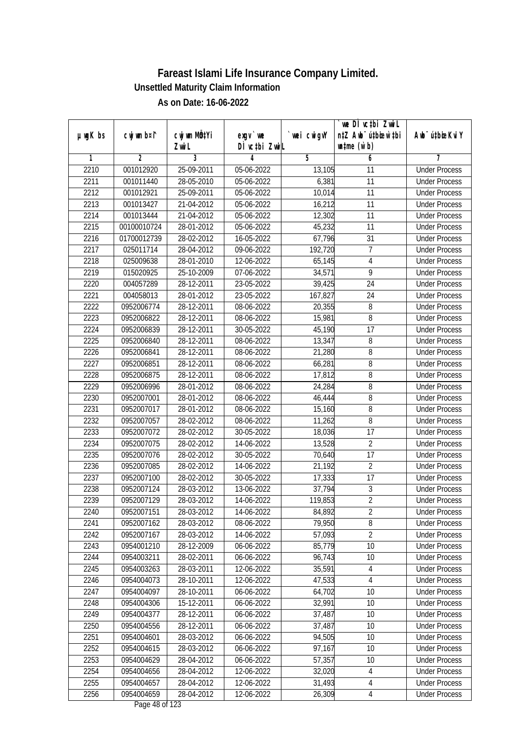|         |             |                     |                                         |             | we DI vctbi ZwiL                                            |                             |
|---------|-------------|---------------------|-----------------------------------------|-------------|-------------------------------------------------------------|-----------------------------|
| µwgK bs | cwj wm b¤i^ | CW wm MQYi<br>Zwi L | $exqu$ we<br>DÌ vctbi ZwiL              | `wei cwigvY | n‡Z Awb <sup>-</sup> ú‡bioar`‡bi<br>$\n  untime\n  (u`b)\n$ | Awb <sup>-</sup> ú‡bioeKviY |
| 1       | 2           | 3                   | 4                                       | 5           | 6                                                           | 7                           |
| 2210    | 001012920   | 25-09-2011          | 05-06-2022                              | 13,105      | 11                                                          | <b>Under Process</b>        |
| 2211    | 001011440   | 28-05-2010          | 05-06-2022                              | 6,381       | 11                                                          | <b>Under Process</b>        |
| 2212    | 001012921   | 25-09-2011          | 05-06-2022                              | 10,014      | $\overline{11}$                                             | <b>Under Process</b>        |
| 2213    | 001013427   | 21-04-2012          | 05-06-2022                              | 16,212      | $\overline{11}$                                             | <b>Under Process</b>        |
| 2214    | 001013444   | 21-04-2012          | 05-06-2022                              | 12,302      | $\overline{11}$                                             | <b>Under Process</b>        |
| 2215    | 00100010724 | 28-01-2012          | 05-06-2022                              | 45,232      | 11                                                          | <b>Under Process</b>        |
| 2216    | 01700012739 | 28-02-2012          | 16-05-2022                              | 67,796      | $\overline{31}$                                             | <b>Under Process</b>        |
| 2217    | 025011714   | 28-04-2012          | 09-06-2022                              | 192,720     | $\overline{1}$                                              | <b>Under Process</b>        |
| 2218    | 025009638   | 28-01-2010          | 12-06-2022                              | 65,145      | 4                                                           | <b>Under Process</b>        |
| 2219    | 015020925   | 25-10-2009          | 07-06-2022                              | 34,571      | 9                                                           | <b>Under Process</b>        |
| 2220    | 004057289   | 28-12-2011          | 23-05-2022                              | 39,425      | 24                                                          | <b>Under Process</b>        |
| 2221    | 004058013   | 28-01-2012          | 23-05-2022                              | 167,827     | 24                                                          | <b>Under Process</b>        |
| 2222    | 0952006774  | 28-12-2011          | 08-06-2022                              | 20,355      | 8                                                           | <b>Under Process</b>        |
| 2223    | 0952006822  | 28-12-2011          | 08-06-2022                              | 15,981      | 8                                                           | <b>Under Process</b>        |
| 2224    | 0952006839  | 28-12-2011          | 30-05-2022                              | 45,190      | 17                                                          | <b>Under Process</b>        |
| 2225    | 0952006840  | 28-12-2011          | 08-06-2022                              | 13,347      | 8                                                           | <b>Under Process</b>        |
| 2226    | 0952006841  | 28-12-2011          | 08-06-2022                              | 21,280      | 8                                                           | <b>Under Process</b>        |
| 2227    | 0952006851  | 28-12-2011          | 08-06-2022                              | 66,281      | 8                                                           | <b>Under Process</b>        |
| 2228    | 0952006875  | 28-12-2011          | 08-06-2022                              | 17,812      | 8                                                           | <b>Under Process</b>        |
| 2229    | 0952006996  | 28-01-2012          | 08-06-2022                              | 24,284      | 8                                                           | <b>Under Process</b>        |
| 2230    | 0952007001  | 28-01-2012          | 08-06-2022                              | 46,444      | 8                                                           | <b>Under Process</b>        |
| 2231    | 0952007017  | 28-01-2012          | 08-06-2022                              | 15,160      | 8                                                           | <b>Under Process</b>        |
| 2232    | 0952007057  | 28-02-2012          | 08-06-2022                              | 11,262      | 8                                                           | <b>Under Process</b>        |
| 2233    | 0952007072  | 28-02-2012          | 30-05-2022                              | 18,036      | 17                                                          | <b>Under Process</b>        |
| 2234    | 0952007075  | 28-02-2012          | 14-06-2022                              | 13,528      | $\overline{2}$                                              | <b>Under Process</b>        |
| 2235    | 0952007076  | 28-02-2012          | 30-05-2022                              | 70,640      | 17                                                          | <b>Under Process</b>        |
| 2236    | 0952007085  | 28-02-2012          | 14-06-2022                              | 21,192      | $\overline{2}$                                              | <b>Under Process</b>        |
| 2237    | 0952007100  | 28-02-2012          | 30-05-2022                              | 17,333      | 17                                                          | <b>Under Process</b>        |
| 2238    | 0952007124  | 28-03-2012          | 13-06-2022                              | 37,794      | $\sqrt{3}$                                                  | <b>Under Process</b>        |
| 2239    | 0952007129  | 28-03-2012          | 14-06-2022                              | 119,853     | $\overline{2}$                                              | <b>Under Process</b>        |
| 2240    | 0952007151  | 28-03-2012          | 14-06-2022                              | 84,892      | $\sqrt{2}$                                                  | <b>Under Process</b>        |
| 2241    | 0952007162  | 28-03-2012          | 08-06-2022                              | 79,950      | 8                                                           | <b>Under Process</b>        |
| 2242    | 0952007167  | 28-03-2012          | 14-06-2022                              | 57,093      | $\overline{2}$                                              | <b>Under Process</b>        |
| 2243    | 0954001210  | 28-12-2009          | 06-06-2022                              | 85,779      | 10                                                          | <b>Under Process</b>        |
| 2244    | 0954003211  | 28-02-2011          | 06-06-2022                              | 96,743      | 10                                                          | <b>Under Process</b>        |
| 2245    | 0954003263  | 28-03-2011          | 12-06-2022                              | 35,591      | $\overline{4}$                                              | <b>Under Process</b>        |
| 2246    | 0954004073  | 28-10-2011          | 12-06-2022                              | 47,533      | 4                                                           | <b>Under Process</b>        |
| 2247    | 0954004097  | 28-10-2011          | 06-06-2022                              | 64,702      | 10                                                          | <b>Under Process</b>        |
| 2248    | 0954004306  | 15-12-2011          | 06-06-2022                              | 32,991      | 10                                                          | <b>Under Process</b>        |
| 2249    | 0954004377  | 28-12-2011          | 06-06-2022                              | 37,487      | 10                                                          | <b>Under Process</b>        |
| 2250    | 0954004556  | 28-12-2011          | 06-06-2022                              | 37,487      | 10                                                          | <b>Under Process</b>        |
| 2251    | 0954004601  | 28-03-2012          | 06-06-2022                              | 94,505      | $\overline{10}$                                             | <b>Under Process</b>        |
| 2252    | 0954004615  | 28-03-2012          | 06-06-2022                              | 97,167      | 10                                                          | <b>Under Process</b>        |
| 2253    | 0954004629  | 28-04-2012          | 06-06-2022                              | 57,357      | 10                                                          | <b>Under Process</b>        |
| 2254    | 0954004656  | 28-04-2012          | 12-06-2022                              | 32,020      | 4                                                           | <b>Under Process</b>        |
| 2255    | 0954004657  | 28-04-2012          | 12-06-2022                              | 31,493      | 4                                                           | <b>Under Process</b>        |
| 2256    | 0954004659  | 28-04-2012          | 12-06-2022<br>Dege $40 \text{ of } 122$ | 26,309      | $\overline{4}$                                              | <b>Under Process</b>        |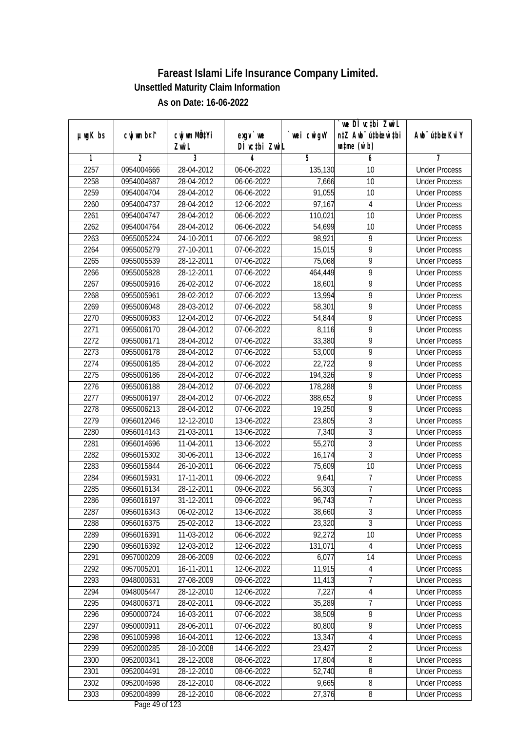|                  |                |                                    |                            |             | we DI vctbi ZwiL                                            |                             |
|------------------|----------------|------------------------------------|----------------------------|-------------|-------------------------------------------------------------|-----------------------------|
| $µ$ ug $K$ bs    | cwj wm b¤i^    | cwj wm MQ <sup>1</sup> Yi<br>Zwi L | $exqu$ we<br>DÌ vctbi ZwiL | `wei cwigvY | n‡Z Awb <sup>-</sup> ú‡bioen`‡bi<br>$\n  untime\n  (u`b)\n$ | Awb <sup>-</sup> ú‡bioeKviY |
| 1                | $\overline{2}$ | 3                                  | 4                          | 5           | 6                                                           | 7                           |
| 2257             | 0954004666     | 28-04-2012                         | 06-06-2022                 | 135,130     | 10                                                          | <b>Under Process</b>        |
| 2258             | 0954004687     | 28-04-2012                         | 06-06-2022                 | 7,666       | 10                                                          | <b>Under Process</b>        |
| 2259             | 0954004704     | 28-04-2012                         | 06-06-2022                 | 91,055      | $\overline{10}$                                             | <b>Under Process</b>        |
| 2260             | 0954004737     | 28-04-2012                         | 12-06-2022                 | 97,167      | 4                                                           | <b>Under Process</b>        |
| 2261             | 0954004747     | 28-04-2012                         | 06-06-2022                 | 110,021     | $\overline{10}$                                             | <b>Under Process</b>        |
| 2262             | 0954004764     | 28-04-2012                         | 06-06-2022                 | 54,699      | 10                                                          | <b>Under Process</b>        |
| $\frac{2263}{ }$ | 0955005224     | 24-10-2011                         | 07-06-2022                 | 98,921      | 9                                                           | <b>Under Process</b>        |
| 2264             | 0955005279     | 27-10-2011                         | 07-06-2022                 | 15,015      | 9                                                           | <b>Under Process</b>        |
| 2265             | 0955005539     | 28-12-2011                         | 07-06-2022                 | 75,068      | $\overline{9}$                                              | <b>Under Process</b>        |
| 2266             | 0955005828     | 28-12-2011                         | 07-06-2022                 | 464,449     | 9                                                           | <b>Under Process</b>        |
| 2267             | 0955005916     | 26-02-2012                         | 07-06-2022                 | 18,601      | 9                                                           | <b>Under Process</b>        |
| 2268             | 0955005961     | 28-02-2012                         | 07-06-2022                 | 13,994      | 9                                                           | <b>Under Process</b>        |
| 2269             | 0955006048     | 28-03-2012                         | 07-06-2022                 | 58,301      | $\overline{9}$                                              | <b>Under Process</b>        |
| 2270             | 0955006083     | 12-04-2012                         | 07-06-2022                 | 54,844      | 9                                                           | <b>Under Process</b>        |
| 2271             | 0955006170     | 28-04-2012                         | 07-06-2022                 | 8,116       | 9                                                           | <b>Under Process</b>        |
| 2272             | 0955006171     | 28-04-2012                         | 07-06-2022                 | 33,380      | 9                                                           | <b>Under Process</b>        |
| 2273             | 0955006178     | 28-04-2012                         | 07-06-2022                 | 53,000      | 9                                                           | <b>Under Process</b>        |
| 2274             | 0955006185     | 28-04-2012                         | 07-06-2022                 | 22,722      | $\overline{9}$                                              | <b>Under Process</b>        |
| 2275             | 0955006186     | 28-04-2012                         | 07-06-2022                 | 194,326     | 9                                                           | <b>Under Process</b>        |
| 2276             | 0955006188     | 28-04-2012                         | 07-06-2022                 | 178,288     | 9                                                           | <b>Under Process</b>        |
| 2277             | 0955006197     | 28-04-2012                         | 07-06-2022                 | 388,652     | 9                                                           | <b>Under Process</b>        |
| 2278             | 0955006213     | 28-04-2012                         | 07-06-2022                 | 19,250      | 9                                                           | <b>Under Process</b>        |
| 2279             | 0956012046     | 12-12-2010                         | 13-06-2022                 | 23,805      | 3                                                           | <b>Under Process</b>        |
| 2280             | 0956014143     | 21-03-2011                         | 13-06-2022                 | 7,340       | $\overline{3}$                                              | <b>Under Process</b>        |
| 2281             | 0956014696     | 11-04-2011                         | 13-06-2022                 | 55,270      | $\overline{3}$                                              | <b>Under Process</b>        |
| 2282             | 0956015302     | 30-06-2011                         | 13-06-2022                 | 16,174      | $\overline{3}$                                              | <b>Under Process</b>        |
| 2283             | 0956015844     | 26-10-2011                         | 06-06-2022                 | 75,609      | 10                                                          | <b>Under Process</b>        |
| 2284             | 0956015931     | 17-11-2011                         | 09-06-2022                 | 9,641       | $\overline{7}$                                              | <b>Under Process</b>        |
| 2285             | 0956016134     | 28-12-2011                         | 09-06-2022                 | 56,303      | $\overline{7}$                                              | <b>Under Process</b>        |
| 2286             | 0956016197     | 31-12-2011                         | 09-06-2022                 | 96,743      | $\overline{7}$                                              | <b>Under Process</b>        |
| 2287             | 0956016343     | 06-02-2012                         | 13-06-2022                 | 38,660      | 3                                                           | <b>Under Process</b>        |
| 2288             | 0956016375     | 25-02-2012                         | 13-06-2022                 | 23,320      | $\overline{3}$                                              | <b>Under Process</b>        |
| 2289             | 0956016391     | 11-03-2012                         | 06-06-2022                 | 92,272      | 10                                                          | <b>Under Process</b>        |
| 2290             | 0956016392     | 12-03-2012                         | 12-06-2022                 | 131,071     | $\overline{4}$                                              | <b>Under Process</b>        |
| 2291             | 0957000209     | 28-06-2009                         | 02-06-2022                 | 6,077       | 14                                                          | <b>Under Process</b>        |
| 2292             | 0957005201     | 16-11-2011                         | 12-06-2022                 | 11,915      | 4                                                           | <b>Under Process</b>        |
| 2293             | 0948000631     | 27-08-2009                         | 09-06-2022                 | 11,413      | 7                                                           | <b>Under Process</b>        |
| 2294             | 0948005447     | 28-12-2010                         | 12-06-2022                 | 7,227       | 4                                                           | <b>Under Process</b>        |
| 2295             | 0948006371     | 28-02-2011                         | 09-06-2022                 | 35,289      | $\overline{7}$                                              | <b>Under Process</b>        |
| 2296             | 0950000724     | 16-03-2011                         | 07-06-2022                 | 38,509      | $\overline{9}$                                              | <b>Under Process</b>        |
| 2297             | 0950000911     | 28-06-2011                         | 07-06-2022                 | 80,800      | 9                                                           | <b>Under Process</b>        |
| 2298             | 0951005998     | 16-04-2011                         | 12-06-2022                 | 13,347      | 4                                                           | <b>Under Process</b>        |
| 2299             | 0952000285     | 28-10-2008                         | 14-06-2022                 | 23,427      | $\overline{2}$                                              | <b>Under Process</b>        |
| 2300             | 0952000341     | 28-12-2008                         | 08-06-2022                 | 17,804      | $\overline{8}$                                              | <b>Under Process</b>        |
| 2301             | 0952004491     | 28-12-2010                         | 08-06-2022                 | 52,740      | $\overline{8}$                                              | <b>Under Process</b>        |
| 2302             | 0952004698     | 28-12-2010                         | 08-06-2022                 | 9,665       | 8                                                           | <b>Under Process</b>        |
| 2303             | 0952004899     | 28-12-2010                         | 08-06-2022                 | 27,376      | 8                                                           | <b>Under Process</b>        |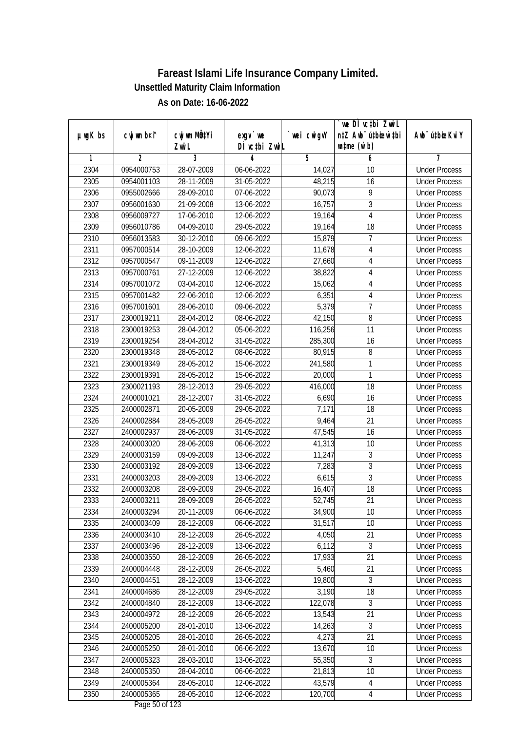| DÌ vctbi ZwiL<br>$\n  untime\n  (u`b)\n$<br>Zwi L<br>3<br>$\overline{2}$<br>5<br>6<br>1<br>4<br>7<br><b>Under Process</b><br>2304<br>0954000753<br>28-07-2009<br>06-06-2022<br>14,027<br>10<br>2305<br>0954001103<br>28-11-2009<br>31-05-2022<br>48,215<br>16<br><b>Under Process</b><br>2306<br>9<br>0955002666<br>28-09-2010<br>07-06-2022<br>90,073<br><b>Under Process</b><br>3<br>2307<br>0956001630<br>16,757<br>21-09-2008<br>13-06-2022<br><b>Under Process</b><br>2308<br>4<br>0956009727<br>17-06-2010<br>12-06-2022<br>19,164<br><b>Under Process</b><br>2309<br>0956010786<br>04-09-2010<br>29-05-2022<br>19,164<br>18<br><b>Under Process</b><br>7<br>2310<br>0956013583<br>30-12-2010<br>15,879<br>09-06-2022<br><b>Under Process</b><br>2311<br>0957000514<br>28-10-2009<br>12-06-2022<br>11,678<br>4<br><b>Under Process</b><br>2312<br>0957000547<br>09-11-2009<br>12-06-2022<br>27,660<br>$\sqrt{4}$<br><b>Under Process</b><br>2313<br>0957000761<br>27-12-2009<br>12-06-2022<br>38,822<br>4<br><b>Under Process</b><br>2314<br>0957001072<br>03-04-2010<br>12-06-2022<br>15,062<br>4<br><b>Under Process</b><br>2315<br>6,351<br>0957001482<br>22-06-2010<br>12-06-2022<br>$\overline{4}$<br><b>Under Process</b><br>7<br>5,379<br>2316<br>0957001601<br>28-06-2010<br>09-06-2022<br><b>Under Process</b><br>8<br>2317<br>08-06-2022<br>42,150<br>2300019211<br>28-04-2012<br><b>Under Process</b><br>11<br>2318<br>2300019253<br>28-04-2012<br>05-06-2022<br>116,256<br><b>Under Process</b><br>2319<br>2300019254<br>28-04-2012<br>285,300<br>16<br><b>Under Process</b><br>31-05-2022<br>2320<br>2300019348<br>28-05-2012<br>08-06-2022<br>80,915<br>8<br><b>Under Process</b><br>1<br>2321<br>2300019349<br>28-05-2012<br>241,580<br>15-06-2022<br><b>Under Process</b><br>2322<br>1<br>2300019391<br>28-05-2012<br>15-06-2022<br>20,000<br><b>Under Process</b><br>2323<br>28-12-2013<br>416,000<br>18<br>2300021193<br>29-05-2022<br><b>Under Process</b><br>16<br>2324<br>2400001021<br>28-12-2007<br>31-05-2022<br>6,690<br><b>Under Process</b><br>2325<br>20-05-2009<br>29-05-2022<br>7,171<br>18<br>2400002871<br><b>Under Process</b><br>2326<br>2400002884<br>28-05-2009<br>26-05-2022<br>9,464<br>21<br><b>Under Process</b><br>16<br>2327<br>28-06-2009<br>31-05-2022<br>47,545<br>2400002937<br><b>Under Process</b><br>2328<br>10<br>2400003020<br>28-06-2009<br>06-06-2022<br>41,313<br><b>Under Process</b><br>$\sqrt{3}$<br>2329<br>2400003159<br>09-09-2009<br>11,247<br>13-06-2022<br><b>Under Process</b><br>2330<br>3<br>2400003192<br>28-09-2009<br>7,283<br>13-06-2022<br><b>Under Process</b><br>$\overline{3}$<br>2331<br>2400003203<br>28-09-2009<br>13-06-2022<br>6,615<br><b>Under Process</b><br>2332<br>18<br>2400003208<br>28-09-2009<br>29-05-2022<br>16,407<br><b>Under Process</b><br>2333<br>21<br>2400003211<br>28-09-2009<br>26-05-2022<br>52,745<br><b>Under Process</b><br>2334<br>2400003294<br>20-11-2009<br>06-06-2022<br>34,900<br>10<br><b>Under Process</b><br>2400003409<br>28-12-2009<br>10<br>2335<br>06-06-2022<br>31,517<br><b>Under Process</b><br>4,050<br>21<br>2336<br>2400003410<br>28-12-2009<br>26-05-2022<br><b>Under Process</b><br>$\overline{3}$<br>2337<br>6,112<br>2400003496<br>28-12-2009<br>13-06-2022<br><b>Under Process</b><br>2338<br>2400003550<br>17,933<br>28-12-2009<br>26-05-2022<br>21<br><b>Under Process</b><br>2339<br>2400004448<br>28-12-2009<br>26-05-2022<br>5,460<br>21<br><b>Under Process</b><br>$\overline{3}$<br>2340<br>19,800<br>2400004451<br>28-12-2009<br>13-06-2022<br><b>Under Process</b><br>3,190<br>2341<br>2400004686<br>28-12-2009<br>18<br>29-05-2022<br><b>Under Process</b><br>122,078<br>3<br>2342<br>2400004840<br>28-12-2009<br>13-06-2022<br><b>Under Process</b><br>13,543<br>21<br>2343<br>2400004972<br>28-12-2009<br>26-05-2022<br><b>Under Process</b><br>2344<br>2400005200<br>28-01-2010<br>14,263<br>3<br><b>Under Process</b><br>13-06-2022<br>2400005205<br>28-01-2010<br>21<br>2345<br>26-05-2022<br>4,273<br><b>Under Process</b><br>2346<br>2400005250<br>28-01-2010<br>13,670<br>10<br>06-06-2022<br><b>Under Process</b><br>55,350<br>3<br>2347<br>2400005323<br>28-03-2010<br>13-06-2022<br><b>Under Process</b><br>2348<br>10<br>2400005350<br>28-04-2010<br>06-06-2022<br>21,813<br><b>Under Process</b><br>2349<br>43,579<br>2400005364<br>28-05-2010<br><b>Under Process</b><br>12-06-2022<br>4<br>2350<br>2400005365<br>120,700<br>28-05-2010<br><b>Under Process</b><br>12-06-2022<br>4 |               |             |                           |           |             | we DI vctbi ZwiL                 |                             |
|-------------------------------------------------------------------------------------------------------------------------------------------------------------------------------------------------------------------------------------------------------------------------------------------------------------------------------------------------------------------------------------------------------------------------------------------------------------------------------------------------------------------------------------------------------------------------------------------------------------------------------------------------------------------------------------------------------------------------------------------------------------------------------------------------------------------------------------------------------------------------------------------------------------------------------------------------------------------------------------------------------------------------------------------------------------------------------------------------------------------------------------------------------------------------------------------------------------------------------------------------------------------------------------------------------------------------------------------------------------------------------------------------------------------------------------------------------------------------------------------------------------------------------------------------------------------------------------------------------------------------------------------------------------------------------------------------------------------------------------------------------------------------------------------------------------------------------------------------------------------------------------------------------------------------------------------------------------------------------------------------------------------------------------------------------------------------------------------------------------------------------------------------------------------------------------------------------------------------------------------------------------------------------------------------------------------------------------------------------------------------------------------------------------------------------------------------------------------------------------------------------------------------------------------------------------------------------------------------------------------------------------------------------------------------------------------------------------------------------------------------------------------------------------------------------------------------------------------------------------------------------------------------------------------------------------------------------------------------------------------------------------------------------------------------------------------------------------------------------------------------------------------------------------------------------------------------------------------------------------------------------------------------------------------------------------------------------------------------------------------------------------------------------------------------------------------------------------------------------------------------------------------------------------------------------------------------------------------------------------------------------------------------------------------------------------------------------------------------------------------------------------------------------------------------------------------------------------------------------------------------------------------------------------------------------------------------------------------------------------------------------------------------------------------------------------------------------------------------------------------------------------------------------------------------------------------------------------------------------------------------------------------------------------------------------------------------------------------------------------------------------------------------------------------------------------------------------------------------------------------------------------------------------------------------|---------------|-------------|---------------------------|-----------|-------------|----------------------------------|-----------------------------|
|                                                                                                                                                                                                                                                                                                                                                                                                                                                                                                                                                                                                                                                                                                                                                                                                                                                                                                                                                                                                                                                                                                                                                                                                                                                                                                                                                                                                                                                                                                                                                                                                                                                                                                                                                                                                                                                                                                                                                                                                                                                                                                                                                                                                                                                                                                                                                                                                                                                                                                                                                                                                                                                                                                                                                                                                                                                                                                                                                                                                                                                                                                                                                                                                                                                                                                                                                                                                                                                                                                                                                                                                                                                                                                                                                                                                                                                                                                                                                                                                                                                                                                                                                                                                                                                                                                                                                                                                                                                                                                                                                 | $µ$ ug $K$ bs | cwj wm b¤i^ | cwj wm MQ <sup>1</sup> Yi | $exgV$ we | `wei cwigvY | n‡Z Awb <sup>-</sup> ú‡bicen`‡bi | Awb <sup>-</sup> ú‡bioeKviY |
|                                                                                                                                                                                                                                                                                                                                                                                                                                                                                                                                                                                                                                                                                                                                                                                                                                                                                                                                                                                                                                                                                                                                                                                                                                                                                                                                                                                                                                                                                                                                                                                                                                                                                                                                                                                                                                                                                                                                                                                                                                                                                                                                                                                                                                                                                                                                                                                                                                                                                                                                                                                                                                                                                                                                                                                                                                                                                                                                                                                                                                                                                                                                                                                                                                                                                                                                                                                                                                                                                                                                                                                                                                                                                                                                                                                                                                                                                                                                                                                                                                                                                                                                                                                                                                                                                                                                                                                                                                                                                                                                                 |               |             |                           |           |             |                                  |                             |
|                                                                                                                                                                                                                                                                                                                                                                                                                                                                                                                                                                                                                                                                                                                                                                                                                                                                                                                                                                                                                                                                                                                                                                                                                                                                                                                                                                                                                                                                                                                                                                                                                                                                                                                                                                                                                                                                                                                                                                                                                                                                                                                                                                                                                                                                                                                                                                                                                                                                                                                                                                                                                                                                                                                                                                                                                                                                                                                                                                                                                                                                                                                                                                                                                                                                                                                                                                                                                                                                                                                                                                                                                                                                                                                                                                                                                                                                                                                                                                                                                                                                                                                                                                                                                                                                                                                                                                                                                                                                                                                                                 |               |             |                           |           |             |                                  |                             |
|                                                                                                                                                                                                                                                                                                                                                                                                                                                                                                                                                                                                                                                                                                                                                                                                                                                                                                                                                                                                                                                                                                                                                                                                                                                                                                                                                                                                                                                                                                                                                                                                                                                                                                                                                                                                                                                                                                                                                                                                                                                                                                                                                                                                                                                                                                                                                                                                                                                                                                                                                                                                                                                                                                                                                                                                                                                                                                                                                                                                                                                                                                                                                                                                                                                                                                                                                                                                                                                                                                                                                                                                                                                                                                                                                                                                                                                                                                                                                                                                                                                                                                                                                                                                                                                                                                                                                                                                                                                                                                                                                 |               |             |                           |           |             |                                  |                             |
|                                                                                                                                                                                                                                                                                                                                                                                                                                                                                                                                                                                                                                                                                                                                                                                                                                                                                                                                                                                                                                                                                                                                                                                                                                                                                                                                                                                                                                                                                                                                                                                                                                                                                                                                                                                                                                                                                                                                                                                                                                                                                                                                                                                                                                                                                                                                                                                                                                                                                                                                                                                                                                                                                                                                                                                                                                                                                                                                                                                                                                                                                                                                                                                                                                                                                                                                                                                                                                                                                                                                                                                                                                                                                                                                                                                                                                                                                                                                                                                                                                                                                                                                                                                                                                                                                                                                                                                                                                                                                                                                                 |               |             |                           |           |             |                                  |                             |
|                                                                                                                                                                                                                                                                                                                                                                                                                                                                                                                                                                                                                                                                                                                                                                                                                                                                                                                                                                                                                                                                                                                                                                                                                                                                                                                                                                                                                                                                                                                                                                                                                                                                                                                                                                                                                                                                                                                                                                                                                                                                                                                                                                                                                                                                                                                                                                                                                                                                                                                                                                                                                                                                                                                                                                                                                                                                                                                                                                                                                                                                                                                                                                                                                                                                                                                                                                                                                                                                                                                                                                                                                                                                                                                                                                                                                                                                                                                                                                                                                                                                                                                                                                                                                                                                                                                                                                                                                                                                                                                                                 |               |             |                           |           |             |                                  |                             |
|                                                                                                                                                                                                                                                                                                                                                                                                                                                                                                                                                                                                                                                                                                                                                                                                                                                                                                                                                                                                                                                                                                                                                                                                                                                                                                                                                                                                                                                                                                                                                                                                                                                                                                                                                                                                                                                                                                                                                                                                                                                                                                                                                                                                                                                                                                                                                                                                                                                                                                                                                                                                                                                                                                                                                                                                                                                                                                                                                                                                                                                                                                                                                                                                                                                                                                                                                                                                                                                                                                                                                                                                                                                                                                                                                                                                                                                                                                                                                                                                                                                                                                                                                                                                                                                                                                                                                                                                                                                                                                                                                 |               |             |                           |           |             |                                  |                             |
|                                                                                                                                                                                                                                                                                                                                                                                                                                                                                                                                                                                                                                                                                                                                                                                                                                                                                                                                                                                                                                                                                                                                                                                                                                                                                                                                                                                                                                                                                                                                                                                                                                                                                                                                                                                                                                                                                                                                                                                                                                                                                                                                                                                                                                                                                                                                                                                                                                                                                                                                                                                                                                                                                                                                                                                                                                                                                                                                                                                                                                                                                                                                                                                                                                                                                                                                                                                                                                                                                                                                                                                                                                                                                                                                                                                                                                                                                                                                                                                                                                                                                                                                                                                                                                                                                                                                                                                                                                                                                                                                                 |               |             |                           |           |             |                                  |                             |
|                                                                                                                                                                                                                                                                                                                                                                                                                                                                                                                                                                                                                                                                                                                                                                                                                                                                                                                                                                                                                                                                                                                                                                                                                                                                                                                                                                                                                                                                                                                                                                                                                                                                                                                                                                                                                                                                                                                                                                                                                                                                                                                                                                                                                                                                                                                                                                                                                                                                                                                                                                                                                                                                                                                                                                                                                                                                                                                                                                                                                                                                                                                                                                                                                                                                                                                                                                                                                                                                                                                                                                                                                                                                                                                                                                                                                                                                                                                                                                                                                                                                                                                                                                                                                                                                                                                                                                                                                                                                                                                                                 |               |             |                           |           |             |                                  |                             |
|                                                                                                                                                                                                                                                                                                                                                                                                                                                                                                                                                                                                                                                                                                                                                                                                                                                                                                                                                                                                                                                                                                                                                                                                                                                                                                                                                                                                                                                                                                                                                                                                                                                                                                                                                                                                                                                                                                                                                                                                                                                                                                                                                                                                                                                                                                                                                                                                                                                                                                                                                                                                                                                                                                                                                                                                                                                                                                                                                                                                                                                                                                                                                                                                                                                                                                                                                                                                                                                                                                                                                                                                                                                                                                                                                                                                                                                                                                                                                                                                                                                                                                                                                                                                                                                                                                                                                                                                                                                                                                                                                 |               |             |                           |           |             |                                  |                             |
|                                                                                                                                                                                                                                                                                                                                                                                                                                                                                                                                                                                                                                                                                                                                                                                                                                                                                                                                                                                                                                                                                                                                                                                                                                                                                                                                                                                                                                                                                                                                                                                                                                                                                                                                                                                                                                                                                                                                                                                                                                                                                                                                                                                                                                                                                                                                                                                                                                                                                                                                                                                                                                                                                                                                                                                                                                                                                                                                                                                                                                                                                                                                                                                                                                                                                                                                                                                                                                                                                                                                                                                                                                                                                                                                                                                                                                                                                                                                                                                                                                                                                                                                                                                                                                                                                                                                                                                                                                                                                                                                                 |               |             |                           |           |             |                                  |                             |
|                                                                                                                                                                                                                                                                                                                                                                                                                                                                                                                                                                                                                                                                                                                                                                                                                                                                                                                                                                                                                                                                                                                                                                                                                                                                                                                                                                                                                                                                                                                                                                                                                                                                                                                                                                                                                                                                                                                                                                                                                                                                                                                                                                                                                                                                                                                                                                                                                                                                                                                                                                                                                                                                                                                                                                                                                                                                                                                                                                                                                                                                                                                                                                                                                                                                                                                                                                                                                                                                                                                                                                                                                                                                                                                                                                                                                                                                                                                                                                                                                                                                                                                                                                                                                                                                                                                                                                                                                                                                                                                                                 |               |             |                           |           |             |                                  |                             |
|                                                                                                                                                                                                                                                                                                                                                                                                                                                                                                                                                                                                                                                                                                                                                                                                                                                                                                                                                                                                                                                                                                                                                                                                                                                                                                                                                                                                                                                                                                                                                                                                                                                                                                                                                                                                                                                                                                                                                                                                                                                                                                                                                                                                                                                                                                                                                                                                                                                                                                                                                                                                                                                                                                                                                                                                                                                                                                                                                                                                                                                                                                                                                                                                                                                                                                                                                                                                                                                                                                                                                                                                                                                                                                                                                                                                                                                                                                                                                                                                                                                                                                                                                                                                                                                                                                                                                                                                                                                                                                                                                 |               |             |                           |           |             |                                  |                             |
|                                                                                                                                                                                                                                                                                                                                                                                                                                                                                                                                                                                                                                                                                                                                                                                                                                                                                                                                                                                                                                                                                                                                                                                                                                                                                                                                                                                                                                                                                                                                                                                                                                                                                                                                                                                                                                                                                                                                                                                                                                                                                                                                                                                                                                                                                                                                                                                                                                                                                                                                                                                                                                                                                                                                                                                                                                                                                                                                                                                                                                                                                                                                                                                                                                                                                                                                                                                                                                                                                                                                                                                                                                                                                                                                                                                                                                                                                                                                                                                                                                                                                                                                                                                                                                                                                                                                                                                                                                                                                                                                                 |               |             |                           |           |             |                                  |                             |
|                                                                                                                                                                                                                                                                                                                                                                                                                                                                                                                                                                                                                                                                                                                                                                                                                                                                                                                                                                                                                                                                                                                                                                                                                                                                                                                                                                                                                                                                                                                                                                                                                                                                                                                                                                                                                                                                                                                                                                                                                                                                                                                                                                                                                                                                                                                                                                                                                                                                                                                                                                                                                                                                                                                                                                                                                                                                                                                                                                                                                                                                                                                                                                                                                                                                                                                                                                                                                                                                                                                                                                                                                                                                                                                                                                                                                                                                                                                                                                                                                                                                                                                                                                                                                                                                                                                                                                                                                                                                                                                                                 |               |             |                           |           |             |                                  |                             |
|                                                                                                                                                                                                                                                                                                                                                                                                                                                                                                                                                                                                                                                                                                                                                                                                                                                                                                                                                                                                                                                                                                                                                                                                                                                                                                                                                                                                                                                                                                                                                                                                                                                                                                                                                                                                                                                                                                                                                                                                                                                                                                                                                                                                                                                                                                                                                                                                                                                                                                                                                                                                                                                                                                                                                                                                                                                                                                                                                                                                                                                                                                                                                                                                                                                                                                                                                                                                                                                                                                                                                                                                                                                                                                                                                                                                                                                                                                                                                                                                                                                                                                                                                                                                                                                                                                                                                                                                                                                                                                                                                 |               |             |                           |           |             |                                  |                             |
|                                                                                                                                                                                                                                                                                                                                                                                                                                                                                                                                                                                                                                                                                                                                                                                                                                                                                                                                                                                                                                                                                                                                                                                                                                                                                                                                                                                                                                                                                                                                                                                                                                                                                                                                                                                                                                                                                                                                                                                                                                                                                                                                                                                                                                                                                                                                                                                                                                                                                                                                                                                                                                                                                                                                                                                                                                                                                                                                                                                                                                                                                                                                                                                                                                                                                                                                                                                                                                                                                                                                                                                                                                                                                                                                                                                                                                                                                                                                                                                                                                                                                                                                                                                                                                                                                                                                                                                                                                                                                                                                                 |               |             |                           |           |             |                                  |                             |
|                                                                                                                                                                                                                                                                                                                                                                                                                                                                                                                                                                                                                                                                                                                                                                                                                                                                                                                                                                                                                                                                                                                                                                                                                                                                                                                                                                                                                                                                                                                                                                                                                                                                                                                                                                                                                                                                                                                                                                                                                                                                                                                                                                                                                                                                                                                                                                                                                                                                                                                                                                                                                                                                                                                                                                                                                                                                                                                                                                                                                                                                                                                                                                                                                                                                                                                                                                                                                                                                                                                                                                                                                                                                                                                                                                                                                                                                                                                                                                                                                                                                                                                                                                                                                                                                                                                                                                                                                                                                                                                                                 |               |             |                           |           |             |                                  |                             |
|                                                                                                                                                                                                                                                                                                                                                                                                                                                                                                                                                                                                                                                                                                                                                                                                                                                                                                                                                                                                                                                                                                                                                                                                                                                                                                                                                                                                                                                                                                                                                                                                                                                                                                                                                                                                                                                                                                                                                                                                                                                                                                                                                                                                                                                                                                                                                                                                                                                                                                                                                                                                                                                                                                                                                                                                                                                                                                                                                                                                                                                                                                                                                                                                                                                                                                                                                                                                                                                                                                                                                                                                                                                                                                                                                                                                                                                                                                                                                                                                                                                                                                                                                                                                                                                                                                                                                                                                                                                                                                                                                 |               |             |                           |           |             |                                  |                             |
|                                                                                                                                                                                                                                                                                                                                                                                                                                                                                                                                                                                                                                                                                                                                                                                                                                                                                                                                                                                                                                                                                                                                                                                                                                                                                                                                                                                                                                                                                                                                                                                                                                                                                                                                                                                                                                                                                                                                                                                                                                                                                                                                                                                                                                                                                                                                                                                                                                                                                                                                                                                                                                                                                                                                                                                                                                                                                                                                                                                                                                                                                                                                                                                                                                                                                                                                                                                                                                                                                                                                                                                                                                                                                                                                                                                                                                                                                                                                                                                                                                                                                                                                                                                                                                                                                                                                                                                                                                                                                                                                                 |               |             |                           |           |             |                                  |                             |
|                                                                                                                                                                                                                                                                                                                                                                                                                                                                                                                                                                                                                                                                                                                                                                                                                                                                                                                                                                                                                                                                                                                                                                                                                                                                                                                                                                                                                                                                                                                                                                                                                                                                                                                                                                                                                                                                                                                                                                                                                                                                                                                                                                                                                                                                                                                                                                                                                                                                                                                                                                                                                                                                                                                                                                                                                                                                                                                                                                                                                                                                                                                                                                                                                                                                                                                                                                                                                                                                                                                                                                                                                                                                                                                                                                                                                                                                                                                                                                                                                                                                                                                                                                                                                                                                                                                                                                                                                                                                                                                                                 |               |             |                           |           |             |                                  |                             |
|                                                                                                                                                                                                                                                                                                                                                                                                                                                                                                                                                                                                                                                                                                                                                                                                                                                                                                                                                                                                                                                                                                                                                                                                                                                                                                                                                                                                                                                                                                                                                                                                                                                                                                                                                                                                                                                                                                                                                                                                                                                                                                                                                                                                                                                                                                                                                                                                                                                                                                                                                                                                                                                                                                                                                                                                                                                                                                                                                                                                                                                                                                                                                                                                                                                                                                                                                                                                                                                                                                                                                                                                                                                                                                                                                                                                                                                                                                                                                                                                                                                                                                                                                                                                                                                                                                                                                                                                                                                                                                                                                 |               |             |                           |           |             |                                  |                             |
|                                                                                                                                                                                                                                                                                                                                                                                                                                                                                                                                                                                                                                                                                                                                                                                                                                                                                                                                                                                                                                                                                                                                                                                                                                                                                                                                                                                                                                                                                                                                                                                                                                                                                                                                                                                                                                                                                                                                                                                                                                                                                                                                                                                                                                                                                                                                                                                                                                                                                                                                                                                                                                                                                                                                                                                                                                                                                                                                                                                                                                                                                                                                                                                                                                                                                                                                                                                                                                                                                                                                                                                                                                                                                                                                                                                                                                                                                                                                                                                                                                                                                                                                                                                                                                                                                                                                                                                                                                                                                                                                                 |               |             |                           |           |             |                                  |                             |
|                                                                                                                                                                                                                                                                                                                                                                                                                                                                                                                                                                                                                                                                                                                                                                                                                                                                                                                                                                                                                                                                                                                                                                                                                                                                                                                                                                                                                                                                                                                                                                                                                                                                                                                                                                                                                                                                                                                                                                                                                                                                                                                                                                                                                                                                                                                                                                                                                                                                                                                                                                                                                                                                                                                                                                                                                                                                                                                                                                                                                                                                                                                                                                                                                                                                                                                                                                                                                                                                                                                                                                                                                                                                                                                                                                                                                                                                                                                                                                                                                                                                                                                                                                                                                                                                                                                                                                                                                                                                                                                                                 |               |             |                           |           |             |                                  |                             |
|                                                                                                                                                                                                                                                                                                                                                                                                                                                                                                                                                                                                                                                                                                                                                                                                                                                                                                                                                                                                                                                                                                                                                                                                                                                                                                                                                                                                                                                                                                                                                                                                                                                                                                                                                                                                                                                                                                                                                                                                                                                                                                                                                                                                                                                                                                                                                                                                                                                                                                                                                                                                                                                                                                                                                                                                                                                                                                                                                                                                                                                                                                                                                                                                                                                                                                                                                                                                                                                                                                                                                                                                                                                                                                                                                                                                                                                                                                                                                                                                                                                                                                                                                                                                                                                                                                                                                                                                                                                                                                                                                 |               |             |                           |           |             |                                  |                             |
|                                                                                                                                                                                                                                                                                                                                                                                                                                                                                                                                                                                                                                                                                                                                                                                                                                                                                                                                                                                                                                                                                                                                                                                                                                                                                                                                                                                                                                                                                                                                                                                                                                                                                                                                                                                                                                                                                                                                                                                                                                                                                                                                                                                                                                                                                                                                                                                                                                                                                                                                                                                                                                                                                                                                                                                                                                                                                                                                                                                                                                                                                                                                                                                                                                                                                                                                                                                                                                                                                                                                                                                                                                                                                                                                                                                                                                                                                                                                                                                                                                                                                                                                                                                                                                                                                                                                                                                                                                                                                                                                                 |               |             |                           |           |             |                                  |                             |
|                                                                                                                                                                                                                                                                                                                                                                                                                                                                                                                                                                                                                                                                                                                                                                                                                                                                                                                                                                                                                                                                                                                                                                                                                                                                                                                                                                                                                                                                                                                                                                                                                                                                                                                                                                                                                                                                                                                                                                                                                                                                                                                                                                                                                                                                                                                                                                                                                                                                                                                                                                                                                                                                                                                                                                                                                                                                                                                                                                                                                                                                                                                                                                                                                                                                                                                                                                                                                                                                                                                                                                                                                                                                                                                                                                                                                                                                                                                                                                                                                                                                                                                                                                                                                                                                                                                                                                                                                                                                                                                                                 |               |             |                           |           |             |                                  |                             |
|                                                                                                                                                                                                                                                                                                                                                                                                                                                                                                                                                                                                                                                                                                                                                                                                                                                                                                                                                                                                                                                                                                                                                                                                                                                                                                                                                                                                                                                                                                                                                                                                                                                                                                                                                                                                                                                                                                                                                                                                                                                                                                                                                                                                                                                                                                                                                                                                                                                                                                                                                                                                                                                                                                                                                                                                                                                                                                                                                                                                                                                                                                                                                                                                                                                                                                                                                                                                                                                                                                                                                                                                                                                                                                                                                                                                                                                                                                                                                                                                                                                                                                                                                                                                                                                                                                                                                                                                                                                                                                                                                 |               |             |                           |           |             |                                  |                             |
|                                                                                                                                                                                                                                                                                                                                                                                                                                                                                                                                                                                                                                                                                                                                                                                                                                                                                                                                                                                                                                                                                                                                                                                                                                                                                                                                                                                                                                                                                                                                                                                                                                                                                                                                                                                                                                                                                                                                                                                                                                                                                                                                                                                                                                                                                                                                                                                                                                                                                                                                                                                                                                                                                                                                                                                                                                                                                                                                                                                                                                                                                                                                                                                                                                                                                                                                                                                                                                                                                                                                                                                                                                                                                                                                                                                                                                                                                                                                                                                                                                                                                                                                                                                                                                                                                                                                                                                                                                                                                                                                                 |               |             |                           |           |             |                                  |                             |
|                                                                                                                                                                                                                                                                                                                                                                                                                                                                                                                                                                                                                                                                                                                                                                                                                                                                                                                                                                                                                                                                                                                                                                                                                                                                                                                                                                                                                                                                                                                                                                                                                                                                                                                                                                                                                                                                                                                                                                                                                                                                                                                                                                                                                                                                                                                                                                                                                                                                                                                                                                                                                                                                                                                                                                                                                                                                                                                                                                                                                                                                                                                                                                                                                                                                                                                                                                                                                                                                                                                                                                                                                                                                                                                                                                                                                                                                                                                                                                                                                                                                                                                                                                                                                                                                                                                                                                                                                                                                                                                                                 |               |             |                           |           |             |                                  |                             |
|                                                                                                                                                                                                                                                                                                                                                                                                                                                                                                                                                                                                                                                                                                                                                                                                                                                                                                                                                                                                                                                                                                                                                                                                                                                                                                                                                                                                                                                                                                                                                                                                                                                                                                                                                                                                                                                                                                                                                                                                                                                                                                                                                                                                                                                                                                                                                                                                                                                                                                                                                                                                                                                                                                                                                                                                                                                                                                                                                                                                                                                                                                                                                                                                                                                                                                                                                                                                                                                                                                                                                                                                                                                                                                                                                                                                                                                                                                                                                                                                                                                                                                                                                                                                                                                                                                                                                                                                                                                                                                                                                 |               |             |                           |           |             |                                  |                             |
|                                                                                                                                                                                                                                                                                                                                                                                                                                                                                                                                                                                                                                                                                                                                                                                                                                                                                                                                                                                                                                                                                                                                                                                                                                                                                                                                                                                                                                                                                                                                                                                                                                                                                                                                                                                                                                                                                                                                                                                                                                                                                                                                                                                                                                                                                                                                                                                                                                                                                                                                                                                                                                                                                                                                                                                                                                                                                                                                                                                                                                                                                                                                                                                                                                                                                                                                                                                                                                                                                                                                                                                                                                                                                                                                                                                                                                                                                                                                                                                                                                                                                                                                                                                                                                                                                                                                                                                                                                                                                                                                                 |               |             |                           |           |             |                                  |                             |
|                                                                                                                                                                                                                                                                                                                                                                                                                                                                                                                                                                                                                                                                                                                                                                                                                                                                                                                                                                                                                                                                                                                                                                                                                                                                                                                                                                                                                                                                                                                                                                                                                                                                                                                                                                                                                                                                                                                                                                                                                                                                                                                                                                                                                                                                                                                                                                                                                                                                                                                                                                                                                                                                                                                                                                                                                                                                                                                                                                                                                                                                                                                                                                                                                                                                                                                                                                                                                                                                                                                                                                                                                                                                                                                                                                                                                                                                                                                                                                                                                                                                                                                                                                                                                                                                                                                                                                                                                                                                                                                                                 |               |             |                           |           |             |                                  |                             |
|                                                                                                                                                                                                                                                                                                                                                                                                                                                                                                                                                                                                                                                                                                                                                                                                                                                                                                                                                                                                                                                                                                                                                                                                                                                                                                                                                                                                                                                                                                                                                                                                                                                                                                                                                                                                                                                                                                                                                                                                                                                                                                                                                                                                                                                                                                                                                                                                                                                                                                                                                                                                                                                                                                                                                                                                                                                                                                                                                                                                                                                                                                                                                                                                                                                                                                                                                                                                                                                                                                                                                                                                                                                                                                                                                                                                                                                                                                                                                                                                                                                                                                                                                                                                                                                                                                                                                                                                                                                                                                                                                 |               |             |                           |           |             |                                  |                             |
|                                                                                                                                                                                                                                                                                                                                                                                                                                                                                                                                                                                                                                                                                                                                                                                                                                                                                                                                                                                                                                                                                                                                                                                                                                                                                                                                                                                                                                                                                                                                                                                                                                                                                                                                                                                                                                                                                                                                                                                                                                                                                                                                                                                                                                                                                                                                                                                                                                                                                                                                                                                                                                                                                                                                                                                                                                                                                                                                                                                                                                                                                                                                                                                                                                                                                                                                                                                                                                                                                                                                                                                                                                                                                                                                                                                                                                                                                                                                                                                                                                                                                                                                                                                                                                                                                                                                                                                                                                                                                                                                                 |               |             |                           |           |             |                                  |                             |
|                                                                                                                                                                                                                                                                                                                                                                                                                                                                                                                                                                                                                                                                                                                                                                                                                                                                                                                                                                                                                                                                                                                                                                                                                                                                                                                                                                                                                                                                                                                                                                                                                                                                                                                                                                                                                                                                                                                                                                                                                                                                                                                                                                                                                                                                                                                                                                                                                                                                                                                                                                                                                                                                                                                                                                                                                                                                                                                                                                                                                                                                                                                                                                                                                                                                                                                                                                                                                                                                                                                                                                                                                                                                                                                                                                                                                                                                                                                                                                                                                                                                                                                                                                                                                                                                                                                                                                                                                                                                                                                                                 |               |             |                           |           |             |                                  |                             |
|                                                                                                                                                                                                                                                                                                                                                                                                                                                                                                                                                                                                                                                                                                                                                                                                                                                                                                                                                                                                                                                                                                                                                                                                                                                                                                                                                                                                                                                                                                                                                                                                                                                                                                                                                                                                                                                                                                                                                                                                                                                                                                                                                                                                                                                                                                                                                                                                                                                                                                                                                                                                                                                                                                                                                                                                                                                                                                                                                                                                                                                                                                                                                                                                                                                                                                                                                                                                                                                                                                                                                                                                                                                                                                                                                                                                                                                                                                                                                                                                                                                                                                                                                                                                                                                                                                                                                                                                                                                                                                                                                 |               |             |                           |           |             |                                  |                             |
|                                                                                                                                                                                                                                                                                                                                                                                                                                                                                                                                                                                                                                                                                                                                                                                                                                                                                                                                                                                                                                                                                                                                                                                                                                                                                                                                                                                                                                                                                                                                                                                                                                                                                                                                                                                                                                                                                                                                                                                                                                                                                                                                                                                                                                                                                                                                                                                                                                                                                                                                                                                                                                                                                                                                                                                                                                                                                                                                                                                                                                                                                                                                                                                                                                                                                                                                                                                                                                                                                                                                                                                                                                                                                                                                                                                                                                                                                                                                                                                                                                                                                                                                                                                                                                                                                                                                                                                                                                                                                                                                                 |               |             |                           |           |             |                                  |                             |
|                                                                                                                                                                                                                                                                                                                                                                                                                                                                                                                                                                                                                                                                                                                                                                                                                                                                                                                                                                                                                                                                                                                                                                                                                                                                                                                                                                                                                                                                                                                                                                                                                                                                                                                                                                                                                                                                                                                                                                                                                                                                                                                                                                                                                                                                                                                                                                                                                                                                                                                                                                                                                                                                                                                                                                                                                                                                                                                                                                                                                                                                                                                                                                                                                                                                                                                                                                                                                                                                                                                                                                                                                                                                                                                                                                                                                                                                                                                                                                                                                                                                                                                                                                                                                                                                                                                                                                                                                                                                                                                                                 |               |             |                           |           |             |                                  |                             |
|                                                                                                                                                                                                                                                                                                                                                                                                                                                                                                                                                                                                                                                                                                                                                                                                                                                                                                                                                                                                                                                                                                                                                                                                                                                                                                                                                                                                                                                                                                                                                                                                                                                                                                                                                                                                                                                                                                                                                                                                                                                                                                                                                                                                                                                                                                                                                                                                                                                                                                                                                                                                                                                                                                                                                                                                                                                                                                                                                                                                                                                                                                                                                                                                                                                                                                                                                                                                                                                                                                                                                                                                                                                                                                                                                                                                                                                                                                                                                                                                                                                                                                                                                                                                                                                                                                                                                                                                                                                                                                                                                 |               |             |                           |           |             |                                  |                             |
|                                                                                                                                                                                                                                                                                                                                                                                                                                                                                                                                                                                                                                                                                                                                                                                                                                                                                                                                                                                                                                                                                                                                                                                                                                                                                                                                                                                                                                                                                                                                                                                                                                                                                                                                                                                                                                                                                                                                                                                                                                                                                                                                                                                                                                                                                                                                                                                                                                                                                                                                                                                                                                                                                                                                                                                                                                                                                                                                                                                                                                                                                                                                                                                                                                                                                                                                                                                                                                                                                                                                                                                                                                                                                                                                                                                                                                                                                                                                                                                                                                                                                                                                                                                                                                                                                                                                                                                                                                                                                                                                                 |               |             |                           |           |             |                                  |                             |
|                                                                                                                                                                                                                                                                                                                                                                                                                                                                                                                                                                                                                                                                                                                                                                                                                                                                                                                                                                                                                                                                                                                                                                                                                                                                                                                                                                                                                                                                                                                                                                                                                                                                                                                                                                                                                                                                                                                                                                                                                                                                                                                                                                                                                                                                                                                                                                                                                                                                                                                                                                                                                                                                                                                                                                                                                                                                                                                                                                                                                                                                                                                                                                                                                                                                                                                                                                                                                                                                                                                                                                                                                                                                                                                                                                                                                                                                                                                                                                                                                                                                                                                                                                                                                                                                                                                                                                                                                                                                                                                                                 |               |             |                           |           |             |                                  |                             |
|                                                                                                                                                                                                                                                                                                                                                                                                                                                                                                                                                                                                                                                                                                                                                                                                                                                                                                                                                                                                                                                                                                                                                                                                                                                                                                                                                                                                                                                                                                                                                                                                                                                                                                                                                                                                                                                                                                                                                                                                                                                                                                                                                                                                                                                                                                                                                                                                                                                                                                                                                                                                                                                                                                                                                                                                                                                                                                                                                                                                                                                                                                                                                                                                                                                                                                                                                                                                                                                                                                                                                                                                                                                                                                                                                                                                                                                                                                                                                                                                                                                                                                                                                                                                                                                                                                                                                                                                                                                                                                                                                 |               |             |                           |           |             |                                  |                             |
|                                                                                                                                                                                                                                                                                                                                                                                                                                                                                                                                                                                                                                                                                                                                                                                                                                                                                                                                                                                                                                                                                                                                                                                                                                                                                                                                                                                                                                                                                                                                                                                                                                                                                                                                                                                                                                                                                                                                                                                                                                                                                                                                                                                                                                                                                                                                                                                                                                                                                                                                                                                                                                                                                                                                                                                                                                                                                                                                                                                                                                                                                                                                                                                                                                                                                                                                                                                                                                                                                                                                                                                                                                                                                                                                                                                                                                                                                                                                                                                                                                                                                                                                                                                                                                                                                                                                                                                                                                                                                                                                                 |               |             |                           |           |             |                                  |                             |
|                                                                                                                                                                                                                                                                                                                                                                                                                                                                                                                                                                                                                                                                                                                                                                                                                                                                                                                                                                                                                                                                                                                                                                                                                                                                                                                                                                                                                                                                                                                                                                                                                                                                                                                                                                                                                                                                                                                                                                                                                                                                                                                                                                                                                                                                                                                                                                                                                                                                                                                                                                                                                                                                                                                                                                                                                                                                                                                                                                                                                                                                                                                                                                                                                                                                                                                                                                                                                                                                                                                                                                                                                                                                                                                                                                                                                                                                                                                                                                                                                                                                                                                                                                                                                                                                                                                                                                                                                                                                                                                                                 |               |             |                           |           |             |                                  |                             |
|                                                                                                                                                                                                                                                                                                                                                                                                                                                                                                                                                                                                                                                                                                                                                                                                                                                                                                                                                                                                                                                                                                                                                                                                                                                                                                                                                                                                                                                                                                                                                                                                                                                                                                                                                                                                                                                                                                                                                                                                                                                                                                                                                                                                                                                                                                                                                                                                                                                                                                                                                                                                                                                                                                                                                                                                                                                                                                                                                                                                                                                                                                                                                                                                                                                                                                                                                                                                                                                                                                                                                                                                                                                                                                                                                                                                                                                                                                                                                                                                                                                                                                                                                                                                                                                                                                                                                                                                                                                                                                                                                 |               |             |                           |           |             |                                  |                             |
|                                                                                                                                                                                                                                                                                                                                                                                                                                                                                                                                                                                                                                                                                                                                                                                                                                                                                                                                                                                                                                                                                                                                                                                                                                                                                                                                                                                                                                                                                                                                                                                                                                                                                                                                                                                                                                                                                                                                                                                                                                                                                                                                                                                                                                                                                                                                                                                                                                                                                                                                                                                                                                                                                                                                                                                                                                                                                                                                                                                                                                                                                                                                                                                                                                                                                                                                                                                                                                                                                                                                                                                                                                                                                                                                                                                                                                                                                                                                                                                                                                                                                                                                                                                                                                                                                                                                                                                                                                                                                                                                                 |               |             |                           |           |             |                                  |                             |
|                                                                                                                                                                                                                                                                                                                                                                                                                                                                                                                                                                                                                                                                                                                                                                                                                                                                                                                                                                                                                                                                                                                                                                                                                                                                                                                                                                                                                                                                                                                                                                                                                                                                                                                                                                                                                                                                                                                                                                                                                                                                                                                                                                                                                                                                                                                                                                                                                                                                                                                                                                                                                                                                                                                                                                                                                                                                                                                                                                                                                                                                                                                                                                                                                                                                                                                                                                                                                                                                                                                                                                                                                                                                                                                                                                                                                                                                                                                                                                                                                                                                                                                                                                                                                                                                                                                                                                                                                                                                                                                                                 |               |             |                           |           |             |                                  |                             |
|                                                                                                                                                                                                                                                                                                                                                                                                                                                                                                                                                                                                                                                                                                                                                                                                                                                                                                                                                                                                                                                                                                                                                                                                                                                                                                                                                                                                                                                                                                                                                                                                                                                                                                                                                                                                                                                                                                                                                                                                                                                                                                                                                                                                                                                                                                                                                                                                                                                                                                                                                                                                                                                                                                                                                                                                                                                                                                                                                                                                                                                                                                                                                                                                                                                                                                                                                                                                                                                                                                                                                                                                                                                                                                                                                                                                                                                                                                                                                                                                                                                                                                                                                                                                                                                                                                                                                                                                                                                                                                                                                 |               |             |                           |           |             |                                  |                             |
|                                                                                                                                                                                                                                                                                                                                                                                                                                                                                                                                                                                                                                                                                                                                                                                                                                                                                                                                                                                                                                                                                                                                                                                                                                                                                                                                                                                                                                                                                                                                                                                                                                                                                                                                                                                                                                                                                                                                                                                                                                                                                                                                                                                                                                                                                                                                                                                                                                                                                                                                                                                                                                                                                                                                                                                                                                                                                                                                                                                                                                                                                                                                                                                                                                                                                                                                                                                                                                                                                                                                                                                                                                                                                                                                                                                                                                                                                                                                                                                                                                                                                                                                                                                                                                                                                                                                                                                                                                                                                                                                                 |               |             |                           |           |             |                                  |                             |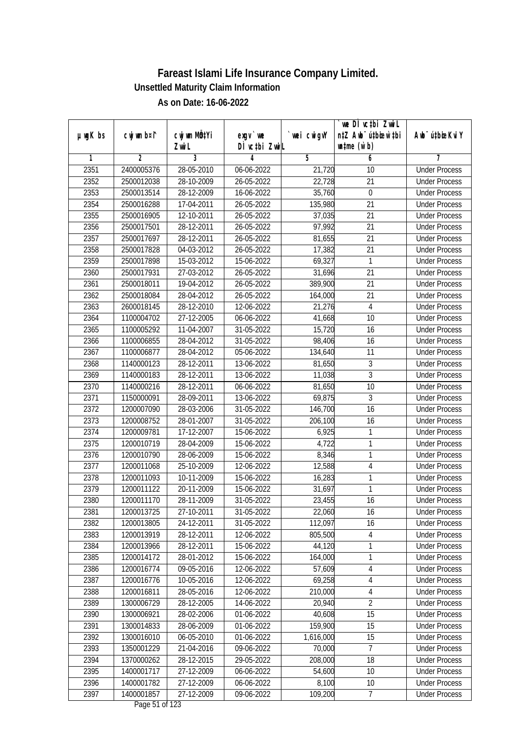|               |                |                          |                          |                | we DI vctbi ZwiL                 |                             |
|---------------|----------------|--------------------------|--------------------------|----------------|----------------------------------|-----------------------------|
| $µ$ ug $K$ bs | cwj wm b¤i^    | cwj wm MQtYi             | exgy `we                 | `wei cwigvY    | n‡Z Awb <sup>-</sup> ú‡bioar`‡bi | Awb <sup>-</sup> ú‡bioeKviY |
| 1             | $\overline{2}$ | Zwi L<br>3               | DÌ vctbi ZwiL<br>4       | $\overline{5}$ | $\n  untime\n  (u`b)\n$<br>6     | 7                           |
| 2351          | 2400005376     | 28-05-2010               | 06-06-2022               | 21,720         | 10                               | <b>Under Process</b>        |
| 2352          | 2500012038     | 28-10-2009               | 26-05-2022               | 22,728         | $\overline{21}$                  | <b>Under Process</b>        |
| 2353          | 2500013514     | 28-12-2009               | 16-06-2022               | 35,760         | $\boldsymbol{0}$                 | <b>Under Process</b>        |
| 2354          | 2500016288     |                          | 26-05-2022               | 135,980        | 21                               | <b>Under Process</b>        |
| 2355          | 2500016905     | 17-04-2011<br>12-10-2011 | 26-05-2022               | 37,035         | $\overline{21}$                  | <b>Under Process</b>        |
|               |                | 28-12-2011               |                          |                |                                  |                             |
| 2356          | 2500017501     |                          | 26-05-2022               | 97,992         | 21<br>$\overline{21}$            | <b>Under Process</b>        |
| 2357          | 2500017697     | 28-12-2011               | 26-05-2022               | 81,655         |                                  | <b>Under Process</b>        |
| 2358          | 2500017828     | 04-03-2012               | 26-05-2022               | 17,382         | 21                               | <b>Under Process</b>        |
| 2359          | 2500017898     | 15-03-2012               | 15-06-2022               | 69,327         | 1                                | <b>Under Process</b>        |
| 2360          | 2500017931     | 27-03-2012               | 26-05-2022               | 31,696         | 21                               | <b>Under Process</b>        |
| 2361          | 2500018011     | 19-04-2012               | 26-05-2022               | 389,900        | $\overline{21}$                  | <b>Under Process</b>        |
| 2362          | 2500018084     | 28-04-2012               | 26-05-2022               | 164,000        | 21                               | <b>Under Process</b>        |
| 2363          | 2600018145     | 28-12-2010               | 12-06-2022               | 21,276         | $\overline{4}$                   | <b>Under Process</b>        |
| 2364          | 1100004702     | 27-12-2005               | 06-06-2022               | 41,668         | 10                               | <b>Under Process</b>        |
| 2365          | 1100005292     | 11-04-2007               | 31-05-2022               | 15,720         | 16                               | <b>Under Process</b>        |
| 2366          | 1100006855     | 28-04-2012               | 31-05-2022               | 98,406         | 16                               | <b>Under Process</b>        |
| 2367          | 1100006877     | 28-04-2012               | 05-06-2022               | 134,640        | 11                               | <b>Under Process</b>        |
| 2368          | 1140000123     | 28-12-2011               | 13-06-2022               | 81,650         | $\mathfrak{Z}$                   | <b>Under Process</b>        |
| 2369          | 1140000183     | 28-12-2011               | 13-06-2022               | 11,038         | $\overline{3}$                   | <b>Under Process</b>        |
| 2370          | 1140000216     | 28-12-2011               | 06-06-2022               | 81,650         | 10                               | <b>Under Process</b>        |
| 2371          | 1150000091     | 28-09-2011               | 13-06-2022               | 69,875         | 3                                | <b>Under Process</b>        |
| 2372          | 1200007090     | 28-03-2006               | 31-05-2022               | 146,700        | 16                               | <b>Under Process</b>        |
| 2373          | 1200008752     | 28-01-2007               | $31 - 05 - 2022$         | 206,100        | 16                               | <b>Under Process</b>        |
| 2374          | 1200009781     | 17-12-2007               | 15-06-2022               | 6,925          | $\mathbf{1}$                     | <b>Under Process</b>        |
| 2375          | 1200010719     | 28-04-2009               | 15-06-2022               | 4,722          | 1                                | <b>Under Process</b>        |
| 2376          | 1200010790     | 28-06-2009               | 15-06-2022               | 8,346          | 1                                | <b>Under Process</b>        |
| 2377          | 1200011068     | 25-10-2009               | 12-06-2022               | 12,588         | 4                                | <b>Under Process</b>        |
| 2378          | 1200011093     | 10-11-2009               | 15-06-2022               | 16,283         | 1                                | <b>Under Process</b>        |
| 2379          | 1200011122     | 20-11-2009               | 15-06-2022               | 31,697         | 1                                | <b>Under Process</b>        |
| 2380          | 1200011170     | 28-11-2009               | 31-05-2022               | 23,455         | 16                               | <b>Under Process</b>        |
| 2381          | 1200013725     | 27-10-2011               | 31-05-2022               | 22,060         | 16                               | <b>Under Process</b>        |
| 2382          | 1200013805     | 24-12-2011               | 31-05-2022               | 112,097        | 16                               | <b>Under Process</b>        |
| 2383          | 1200013919     | 28-12-2011               | 12-06-2022               | 805,500        | 4                                | <b>Under Process</b>        |
| 2384          | 1200013966     | 28-12-2011               | 15-06-2022               | 44,120         | 1                                | <b>Under Process</b>        |
| 2385          | 1200014172     | 28-01-2012               | 15-06-2022               | 164,000        | 1                                | <b>Under Process</b>        |
| 2386          | 1200016774     | 09-05-2016               | 12-06-2022               | 57,609         | 4                                | <b>Under Process</b>        |
| 2387          | 1200016776     | 10-05-2016               | 12-06-2022               | 69,258         | $\sqrt{4}$                       | <b>Under Process</b>        |
| 2388          | 1200016811     | 28-05-2016               | 12-06-2022               | 210,000        | $\sqrt{4}$                       | <b>Under Process</b>        |
| 2389          | 1300006729     | 28-12-2005               | 14-06-2022               | 20,940         | $\overline{2}$                   | <b>Under Process</b>        |
| 2390          | 1300006921     | 28-02-2006               | 01-06-2022               | 40,608         | 15                               | <b>Under Process</b>        |
| 2391          | 1300014833     | 28-06-2009               | 01-06-2022               | 159,900        | 15                               | <b>Under Process</b>        |
| 2392          | 1300016010     | 06-05-2010               | 01-06-2022               | 1,616,000      | 15                               | <b>Under Process</b>        |
| 2393          | 1350001229     | 21-04-2016               | $\overline{09}$ -06-2022 | 70,000         | 7                                | <b>Under Process</b>        |
| 2394          | 1370000262     | 28-12-2015               | 29-05-2022               | 208,000        | 18                               | <b>Under Process</b>        |
| 2395          | 1400001717     | 27-12-2009               | 06-06-2022               | 54,600         | 10                               | <b>Under Process</b>        |
| 2396          | 1400001782     | 27-12-2009               | 06-06-2022               | 8,100          | 10                               | <b>Under Process</b>        |
| 2397          | 1400001857     | 27-12-2009               | 09-06-2022               | 109,200        | $\overline{7}$                   | <b>Under Process</b>        |
|               |                |                          |                          |                |                                  |                             |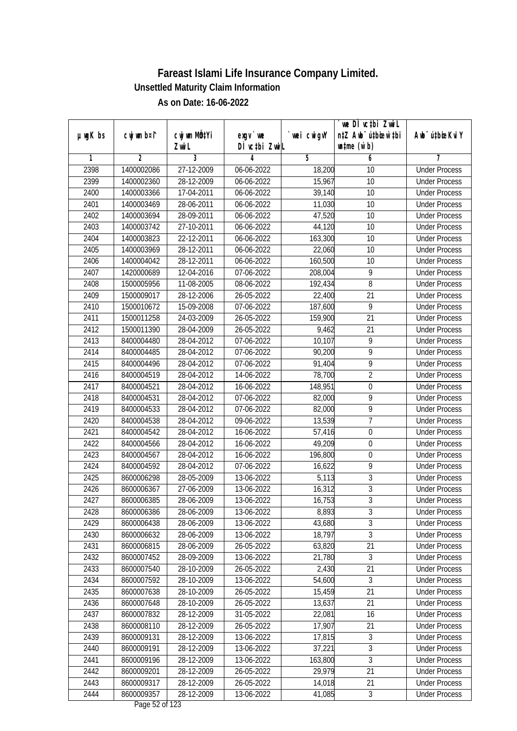|               |                |                                    |                            |             | we DI vctbi ZwiL                                            |                             |
|---------------|----------------|------------------------------------|----------------------------|-------------|-------------------------------------------------------------|-----------------------------|
| $µ$ ug $K$ bs | cwj wm b¤i^    | cwj wm MQ <sup>1</sup> Yi<br>Zwi L | $exgV$ we<br>DÌ vctbi ZwiL | `wei cwigvY | n‡Z Awb <sup>-</sup> ú‡bicen`‡bi<br>$\n  untime\n  (u`b)\n$ | Awb <sup>-</sup> ú‡bioeKviY |
| 1             | $\overline{2}$ | 3                                  | 4                          | 5           | 6                                                           | 7                           |
| 2398          | 1400002086     | 27-12-2009                         | 06-06-2022                 | 18,200      | 10                                                          | <b>Under Process</b>        |
| 2399          | 1400002360     | 28-12-2009                         | 06-06-2022                 | 15,967      | 10                                                          | <b>Under Process</b>        |
| 2400          | 1400003366     | 17-04-2011                         | 06-06-2022                 | 39,140      | $\overline{10}$                                             | <b>Under Process</b>        |
| 2401          | 1400003469     | 28-06-2011                         | 06-06-2022                 | 11,030      | 10                                                          | <b>Under Process</b>        |
| 2402          | 1400003694     | 28-09-2011                         | 06-06-2022                 | 47,520      | $\overline{10}$                                             | <b>Under Process</b>        |
| 2403          | 1400003742     | 27-10-2011                         | 06-06-2022                 | 44,120      | 10                                                          | <b>Under Process</b>        |
| 2404          | 1400003823     | 22-12-2011                         | 06-06-2022                 | 163,300     | 10                                                          | <b>Under Process</b>        |
| 2405          | 1400003969     | 28-12-2011                         | 06-06-2022                 | 22,060      | 10                                                          | <b>Under Process</b>        |
| 2406          | 1400004042     | 28-12-2011                         | 06-06-2022                 | 160,500     | 10                                                          | <b>Under Process</b>        |
| 2407          | 1420000689     | 12-04-2016                         | 07-06-2022                 | 208,004     | 9                                                           | <b>Under Process</b>        |
| 2408          | 1500005956     | 11-08-2005                         | 08-06-2022                 | 192,434     | 8                                                           | <b>Under Process</b>        |
| 2409          | 1500009017     | 28-12-2006                         | 26-05-2022                 | 22,400      | 21                                                          | <b>Under Process</b>        |
| 2410          | 1500010672     | 15-09-2008                         | 07-06-2022                 | 187,600     | $\overline{9}$                                              | <b>Under Process</b>        |
|               |                |                                    |                            |             |                                                             |                             |
| 2411          | 1500011258     | 24-03-2009                         | 26-05-2022                 | 159,900     | 21                                                          | <b>Under Process</b>        |
| 2412          | 1500011390     | 28-04-2009                         | 26-05-2022                 | 9,462       | 21                                                          | <b>Under Process</b>        |
| 2413          | 8400004480     | 28-04-2012                         | 07-06-2022                 | 10,107      | 9                                                           | <b>Under Process</b>        |
| 2414          | 8400004485     | 28-04-2012                         | 07-06-2022                 | 90,200      | 9                                                           | <b>Under Process</b>        |
| 2415          | 8400004496     | 28-04-2012                         | 07-06-2022                 | 91,404      | $\overline{9}$                                              | <b>Under Process</b>        |
| 2416          | 8400004519     | 28-04-2012                         | 14-06-2022                 | 78,700      | $\overline{2}$                                              | <b>Under Process</b>        |
| 2417          | 8400004521     | 28-04-2012                         | 16-06-2022                 | 148,951     | $\boldsymbol{0}$                                            | <b>Under Process</b>        |
| 2418          | 8400004531     | 28-04-2012                         | 07-06-2022                 | 82,000      | 9                                                           | <b>Under Process</b>        |
| 2419          | 8400004533     | 28-04-2012                         | 07-06-2022                 | 82,000      | 9                                                           | <b>Under Process</b>        |
| 2420          | 8400004538     | 28-04-2012                         | 09-06-2022                 | 13,539      | $\overline{1}$                                              | <b>Under Process</b>        |
| 2421          | 8400004542     | 28-04-2012                         | 16-06-2022                 | 57,416      | $\boldsymbol{0}$                                            | <b>Under Process</b>        |
| 2422          | 8400004566     | 28-04-2012                         | 16-06-2022                 | 49,209      | $\boldsymbol{0}$                                            | <b>Under Process</b>        |
| 2423          | 8400004567     | 28-04-2012                         | 16-06-2022                 | 196,800     | $\boldsymbol{0}$                                            | <b>Under Process</b>        |
| 2424          | 8400004592     | 28-04-2012                         | 07-06-2022                 | 16,622      | 9                                                           | <b>Under Process</b>        |
| 2425          | 8600006298     | 28-05-2009                         | 13-06-2022                 | 5,113       | 3                                                           | <b>Under Process</b>        |
| 2426          | 8600006367     | 27-06-2009                         | 13-06-2022                 | 16,312      | $\overline{3}$                                              | <b>Under Process</b>        |
| 2427          | 8600006385     | 28-06-2009                         | 13-06-2022                 | 16,753      | $\overline{3}$                                              | <b>Under Process</b>        |
| 2428          | 8600006386     | 28-06-2009                         | 13-06-2022                 | 8,893       | 3                                                           | <b>Under Process</b>        |
| 2429          | 8600006438     | 28-06-2009                         | 13-06-2022                 | 43,680      | $\overline{3}$                                              | <b>Under Process</b>        |
| 2430          | 8600006632     | 28-06-2009                         | 13-06-2022                 | 18,797      | 3                                                           | <b>Under Process</b>        |
| 2431          | 8600006815     | 28-06-2009                         | 26-05-2022                 | 63,820      | $\overline{21}$                                             | <b>Under Process</b>        |
| 2432          | 8600007452     | 28-09-2009                         | 13-06-2022                 | 21,780      | $\mathfrak{Z}$                                              | <b>Under Process</b>        |
| 2433          | 8600007540     | 28-10-2009                         | 26-05-2022                 | 2,430       | 21                                                          | <b>Under Process</b>        |
| 2434          | 8600007592     | 28-10-2009                         | 13-06-2022                 | 54,600      | $\overline{3}$                                              | <b>Under Process</b>        |
| 2435          | 8600007638     | 28-10-2009                         | 26-05-2022                 | 15,459      | $\overline{21}$                                             | <b>Under Process</b>        |
| 2436          | 8600007648     | 28-10-2009                         | 26-05-2022                 | 13,637      | 21                                                          | <b>Under Process</b>        |
| 2437          | 8600007832     | 28-12-2009                         | 31-05-2022                 | 22,081      | 16                                                          | <b>Under Process</b>        |
| 2438          | 8600008110     | 28-12-2009                         | 26-05-2022                 | 17,907      | 21                                                          | <b>Under Process</b>        |
| 2439          | 8600009131     | 28-12-2009                         | 13-06-2022                 | 17,815      | 3                                                           | <b>Under Process</b>        |
| 2440          | 8600009191     | 28-12-2009                         | 13-06-2022                 | 37,221      | 3                                                           | <b>Under Process</b>        |
| 2441          | 8600009196     | 28-12-2009                         | 13-06-2022                 | 163,800     | $\overline{3}$                                              | <b>Under Process</b>        |
| 2442          | 8600009201     | 28-12-2009                         | 26-05-2022                 | 29,979      | 21                                                          | <b>Under Process</b>        |
| 2443          | 8600009317     | 28-12-2009                         | 26-05-2022                 | 14,018      | 21                                                          | <b>Under Process</b>        |
| 2444          | 8600009357     | 28-12-2009                         | 13-06-2022                 | 41,085      | $\mathfrak{Z}$                                              | <b>Under Process</b>        |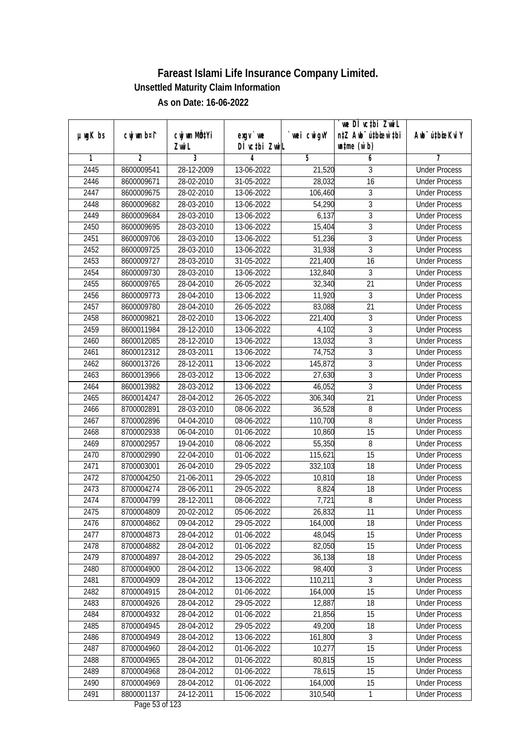|               |                |              |                                                         |             | `we DÌ vc‡bi ZwwiL               |                             |
|---------------|----------------|--------------|---------------------------------------------------------|-------------|----------------------------------|-----------------------------|
| $µ$ ug $K$ bs | cwj wm b¤i^    | cwj wm MQtYi | exgy `we                                                | `wei cwigvY | n‡Z Awb <sup>-</sup> ú‡bioen`‡bi | Awb <sup>-</sup> ú‡bioeKviY |
|               |                | Zwi L        | DÌ vctbi ZwiL                                           |             | $\n  untime\n  (u`b)\n$          |                             |
| 1             | $\overline{2}$ | 3            | 4                                                       | 5           | 6                                | 7                           |
| 2445          | 8600009541     | 28-12-2009   | 13-06-2022                                              | 21,520      | 3                                | <b>Under Process</b>        |
| 2446          | 8600009671     | 28-02-2010   | 31-05-2022                                              | 28,032      | $\overline{16}$                  | <b>Under Process</b>        |
| 2447          | 8600009675     | 28-02-2010   | 13-06-2022                                              | 106,460     | $\overline{3}$                   | <b>Under Process</b>        |
| 2448          | 8600009682     | 28-03-2010   | 13-06-2022                                              | 54,290      | $\overline{3}$                   | <b>Under Process</b>        |
| 2449          | 8600009684     | 28-03-2010   | 13-06-2022                                              | 6,137       | $\overline{3}$                   | <b>Under Process</b>        |
| 2450          | 8600009695     | 28-03-2010   | 13-06-2022                                              | 15,404      | $\overline{3}$                   | <b>Under Process</b>        |
| 2451          | 8600009706     | 28-03-2010   | 13-06-2022                                              | 51,236      | $\overline{3}$                   | <b>Under Process</b>        |
| 2452          | 8600009725     | 28-03-2010   | 13-06-2022                                              | 31,938      | $\overline{3}$                   | <b>Under Process</b>        |
| 2453          | 8600009727     | 28-03-2010   | 31-05-2022                                              | 221,400     | 16                               | <b>Under Process</b>        |
| 2454          | 8600009730     | 28-03-2010   | 13-06-2022                                              | 132,840     | 3                                | <b>Under Process</b>        |
| 2455          | 8600009765     | 28-04-2010   | 26-05-2022                                              | 32,340      | 21                               | <b>Under Process</b>        |
| 2456          | 8600009773     | 28-04-2010   | 13-06-2022                                              | 11,920      | 3                                | <b>Under Process</b>        |
| 2457          | 8600009780     | 28-04-2010   | 26-05-2022                                              | 83,088      | $\overline{21}$                  | <b>Under Process</b>        |
| 2458          | 8600009821     | 28-02-2010   | 13-06-2022                                              | 221,400     | $\overline{3}$                   | <b>Under Process</b>        |
| 2459          | 8600011984     | 28-12-2010   | 13-06-2022                                              | 4,102       | 3                                | <b>Under Process</b>        |
| 2460          | 8600012085     | 28-12-2010   | 13-06-2022                                              | 13,032      | 3                                | <b>Under Process</b>        |
| 2461          | 8600012312     | 28-03-2011   | 13-06-2022                                              | 74,752      | 3                                | <b>Under Process</b>        |
| 2462          | 8600013726     | 28-12-2011   | 13-06-2022                                              | 145,872     | $\overline{3}$                   | <b>Under Process</b>        |
| 2463          | 8600013966     | 28-03-2012   | 13-06-2022                                              | 27,630      | $\overline{3}$                   | <b>Under Process</b>        |
| 2464          | 8600013982     | 28-03-2012   | 13-06-2022                                              | 46,052      | $\overline{3}$                   | <b>Under Process</b>        |
| 2465          | 8600014247     | 28-04-2012   | 26-05-2022                                              | 306,340     | 21                               | <b>Under Process</b>        |
| 2466          | 8700002891     | 28-03-2010   | 08-06-2022                                              | 36,528      | 8                                | <b>Under Process</b>        |
| 2467          | 8700002896     | 04-04-2010   | 08-06-2022                                              | 110,700     | 8                                | <b>Under Process</b>        |
| 2468          | 8700002938     | 06-04-2010   | 01-06-2022                                              | 10,860      | 15                               | <b>Under Process</b>        |
| 2469          | 8700002957     | 19-04-2010   | 08-06-2022                                              | 55,350      | 8                                | <b>Under Process</b>        |
| 2470          | 8700002990     | 22-04-2010   | 01-06-2022                                              | 115,621     | 15                               | <b>Under Process</b>        |
| 2471          | 8700003001     | 26-04-2010   | 29-05-2022                                              | 332,103     | 18                               | <b>Under Process</b>        |
| 2472          | 8700004250     | 21-06-2011   | 29-05-2022                                              | 10,810      | 18                               | <b>Under Process</b>        |
| 2473          | 8700004274     | 28-06-2011   | 29-05-2022                                              | 8,824       | 18                               | <b>Under Process</b>        |
| 2474          | 8700004799     | 28-12-2011   | 08-06-2022                                              | 7,721       | 8                                | <b>Under Process</b>        |
| 2475          | 8700004809     | 20-02-2012   | 05-06-2022                                              | 26,832      | 11                               | <b>Under Process</b>        |
| 2476          | 8700004862     | 09-04-2012   | 29-05-2022                                              | 164,000     | 18                               | <b>Under Process</b>        |
| 2477          | 8700004873     | 28-04-2012   | 01-06-2022                                              | 48,045      | 15                               | <b>Under Process</b>        |
| 2478          | 8700004882     | 28-04-2012   | 01-06-2022                                              | 82,050      | 15                               | <b>Under Process</b>        |
| 2479          | 8700004897     | 28-04-2012   | 29-05-2022                                              | 36,138      | 18                               | <b>Under Process</b>        |
| 2480          | 8700004900     | 28-04-2012   | 13-06-2022                                              | 98,400      | 3                                | <b>Under Process</b>        |
| 2481          | 8700004909     | 28-04-2012   | 13-06-2022                                              | 110,211     | $\overline{3}$                   | <b>Under Process</b>        |
| 2482          | 8700004915     | 28-04-2012   | 01-06-2022                                              | 164,000     | 15                               | <b>Under Process</b>        |
| 2483          | 8700004926     | 28-04-2012   | 29-05-2022                                              | 12,887      | 18                               | <b>Under Process</b>        |
| 2484          | 8700004932     | 28-04-2012   | 01-06-2022                                              | 21,856      | 15                               | <b>Under Process</b>        |
| 2485          | 8700004945     | 28-04-2012   | 29-05-2022                                              | 49,200      | 18                               | <b>Under Process</b>        |
| 2486          | 8700004949     | 28-04-2012   | 13-06-2022                                              | 161,800     | 3                                | <b>Under Process</b>        |
| 2487          | 8700004960     | 28-04-2012   | 01-06-2022                                              | 10,277      | $\overline{15}$                  | <b>Under Process</b>        |
| 2488          | 8700004965     | 28-04-2012   | 01-06-2022                                              | 80,815      | 15                               | <b>Under Process</b>        |
| 2489          | 8700004968     | 28-04-2012   | 01-06-2022                                              | 78,615      | 15                               | <b>Under Process</b>        |
| 2490          | 8700004969     | 28-04-2012   | 01-06-2022                                              | 164,000     | 15                               | <b>Under Process</b>        |
| 2491          | 8800001137     | 24-12-2011   | 15-06-2022<br>$D_{\text{max}}$ $\Gamma$ $\Omega$ of 100 | 310,540     | $\mathbf{1}$                     | <b>Under Process</b>        |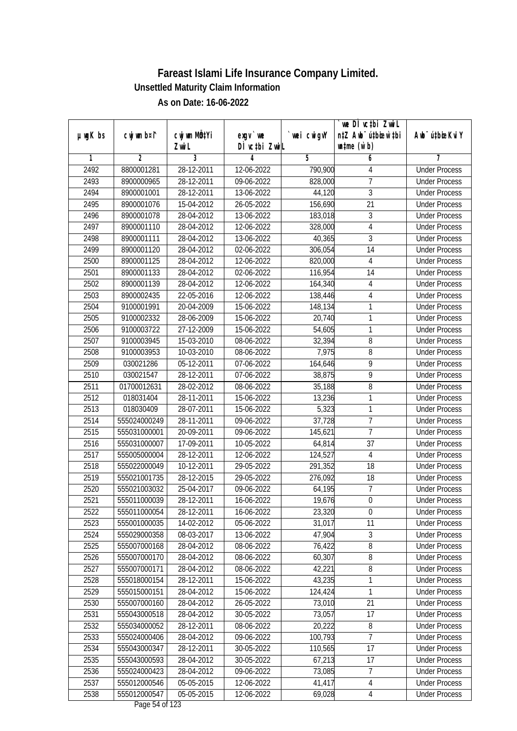|               |                        |                       |                           |            | we DI vctbi ZwiL                                            |                                              |
|---------------|------------------------|-----------------------|---------------------------|------------|-------------------------------------------------------------|----------------------------------------------|
| $µ$ ug $K$ bs | cwj wm b¤i^            | cwj wm MQtYi<br>Zwi L | exgv `we<br>DÌ vctbi ZwiL | wei cwigvY | n‡Z Awb <sup>-</sup> ú‡bioar`‡bi<br>$\n  untime\n  (u`b)\n$ | Awb <sup>-</sup> ú‡bioeKviY                  |
| 1             | $\overline{2}$         | 3                     | 4                         | 5          | 6                                                           | 7                                            |
| 2492          | 8800001281             | 28-12-2011            | 12-06-2022                | 790,900    | 4                                                           | <b>Under Process</b>                         |
| 2493          | 8900000965             | 28-12-2011            | 09-06-2022                | 828,000    | 7                                                           | <b>Under Process</b>                         |
| 2494          | 8900001001             | 28-12-2011            | 13-06-2022                | 44,120     | $\overline{3}$                                              | <b>Under Process</b>                         |
| 2495          | 8900001076             | 15-04-2012            | 26-05-2022                | 156,690    | 21                                                          | <b>Under Process</b>                         |
| 2496          | 8900001078             | 28-04-2012            | 13-06-2022                | 183,018    | $\overline{3}$                                              | <b>Under Process</b>                         |
| 2497          | 8900001110             | 28-04-2012            | 12-06-2022                | 328,000    | $\overline{4}$                                              | <b>Under Process</b>                         |
| 2498          | 8900001111             | 28-04-2012            | 13-06-2022                | 40,365     | $\overline{3}$                                              | <b>Under Process</b>                         |
| 2499          | 8900001120             | 28-04-2012            | 02-06-2022                | 306,054    | 14                                                          | <b>Under Process</b>                         |
| 2500          | 8900001125             | 28-04-2012            | 12-06-2022                | 820,000    | 4                                                           | <b>Under Process</b>                         |
| 2501          | 8900001133             | 28-04-2012            | 02-06-2022                | 116,954    | 14                                                          | <b>Under Process</b>                         |
| 2502          | 8900001139             | 28-04-2012            | 12-06-2022                | 164,340    | 4                                                           | <b>Under Process</b>                         |
| 2503          | 8900002435             | 22-05-2016            | 12-06-2022                | 138,446    | 4                                                           | <b>Under Process</b>                         |
| 2504          | 9100001991             | 20-04-2009            | 15-06-2022                | 148,134    | 1                                                           | <b>Under Process</b>                         |
| 2505          | 9100002332             | 28-06-2009            | 15-06-2022                | 20,740     | 1                                                           | <b>Under Process</b>                         |
| 2506          | 9100003722             | 27-12-2009            | 15-06-2022                | 54,605     | 1                                                           | <b>Under Process</b>                         |
| 2507          | 9100003945             | 15-03-2010            | 08-06-2022                | 32,394     | $\, 8$                                                      | <b>Under Process</b>                         |
| 2508          | 9100003953             | 10-03-2010            | 08-06-2022                | 7,975      | $\, 8$                                                      | <b>Under Process</b>                         |
| 2509          | 030021286              | 05-12-2011            |                           | 164,646    | $\overline{9}$                                              | <b>Under Process</b>                         |
|               |                        |                       | 07-06-2022                |            | $\overline{9}$                                              |                                              |
| 2510          | 030021547              | 28-12-2011            | 07-06-2022                | 38,875     |                                                             | <b>Under Process</b>                         |
| 2511<br>2512  | 01700012631            | 28-02-2012            | 08-06-2022                | 35,188     | 8<br>1                                                      | <b>Under Process</b><br><b>Under Process</b> |
|               | 018031404<br>018030409 | 28-11-2011            | 15-06-2022                | 13,236     | 1                                                           |                                              |
| 2513          |                        | 28-07-2011            | 15-06-2022                | 5,323      |                                                             | <b>Under Process</b>                         |
| 2514          | 555024000249           | 28-11-2011            | 09-06-2022                | 37,728     | $\overline{1}$                                              | <b>Under Process</b>                         |
| 2515          | 555031000001           | 20-09-2011            | 09-06-2022                | 145,621    | $\overline{7}$                                              | <b>Under Process</b>                         |
| 2516          | 555031000007           | 17-09-2011            | 10-05-2022                | 64,814     | 37                                                          | <b>Under Process</b>                         |
| 2517          | 555005000004           | 28-12-2011            | 12-06-2022                | 124,527    | $\overline{4}$                                              | <b>Under Process</b>                         |
| 2518          | 555022000049           | 10-12-2011            | 29-05-2022                | 291,352    | 18                                                          | <b>Under Process</b>                         |
| 2519          | 555021001735           | 28-12-2015            | 29-05-2022                | 276,092    | 18                                                          | <b>Under Process</b>                         |
| 2520          | 555021003032           | 25-04-2017            | 09-06-2022                | 64,195     | $\overline{7}$                                              | <b>Under Process</b>                         |
| 2521          | 555011000039           | 28-12-2011            | 16-06-2022                | 19,676     | $\boldsymbol{0}$                                            | <b>Under Process</b>                         |
| 2522          | 555011000054           | 28-12-2011            | 16-06-2022                | 23,320     | $\boldsymbol{0}$                                            | <b>Under Process</b>                         |
| 2523          | 555001000035           | 14-02-2012            | 05-06-2022                | 31,017     | 11                                                          | <b>Under Process</b>                         |
| 2524          | 555029000358           | 08-03-2017            | 13-06-2022                | 47,904     | $\sqrt{3}$                                                  | <b>Under Process</b>                         |
| 2525          | 555007000168           | 28-04-2012            | 08-06-2022                | 76,422     | $\overline{8}$                                              | <b>Under Process</b>                         |
| 2526          | 555007000170           | 28-04-2012            | 08-06-2022                | 60,307     | 8                                                           | <b>Under Process</b>                         |
| 2527          | 555007000171           | 28-04-2012            | 08-06-2022                | 42,221     | 8                                                           | <b>Under Process</b>                         |
| 2528          | 555018000154           | 28-12-2011            | 15-06-2022                | 43,235     | 1                                                           | <b>Under Process</b>                         |
| 2529          | 555015000151           | 28-04-2012            | 15-06-2022                | 124,424    | 1                                                           | <b>Under Process</b>                         |
| 2530          | 555007000160           | 28-04-2012            | 26-05-2022                | 73,010     | 21                                                          | <b>Under Process</b>                         |
| 2531          | 555043000518           | 28-04-2012            | 30-05-2022                | 73,057     | 17                                                          | <b>Under Process</b>                         |
| 2532          | 555034000052           | 28-12-2011            | 08-06-2022                | 20,222     | 8                                                           | <b>Under Process</b>                         |
| 2533          | 555024000406           | 28-04-2012            | 09-06-2022                | 100,793    | $\overline{7}$                                              | <b>Under Process</b>                         |
| 2534          | 555043000347           | 28-12-2011            | 30-05-2022                | 110,565    | 17                                                          | <b>Under Process</b>                         |
| 2535          | 555043000593           | 28-04-2012            | 30-05-2022                | 67,213     | 17                                                          | <b>Under Process</b>                         |
| 2536          | 555024000423           | 28-04-2012            | 09-06-2022                | 73,085     | 7                                                           | <b>Under Process</b>                         |
| 2537          | 555012000546           | 05-05-2015            | 12-06-2022                | 41,417     | $\overline{4}$                                              | <b>Under Process</b>                         |
| 2538          | 555012000547           | $05 - 05 - 2015$      | 12-06-2022                | 69,028     | $\overline{4}$                                              | <b>Under Process</b>                         |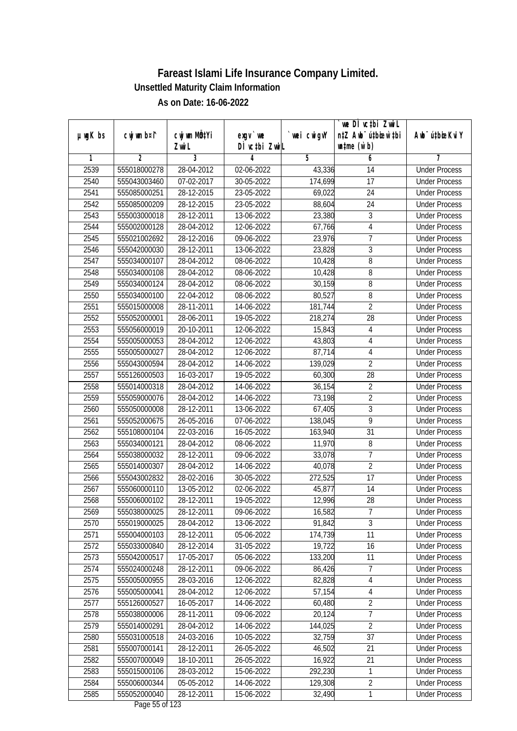|               |                              |                       |                                                       |            | `we DÌ vc‡bi ZwwiL                                          |                                              |
|---------------|------------------------------|-----------------------|-------------------------------------------------------|------------|-------------------------------------------------------------|----------------------------------------------|
| $µ$ ug $K$ bs | cwj wm b¤i^                  | cwj wm MQtYi<br>Zwi L | $exqu$ we<br>DÌ vctbi ZwiL                            | wei cwigvY | n‡Z Awb <sup>-</sup> ú‡bioen`‡bi<br>$\n  untime\n  (u`b)\n$ | Awb <sup>-</sup> ú‡bioeKviY                  |
| 1             | $\overline{2}$               | 3                     | 4                                                     | 5          | 6                                                           | 7                                            |
| 2539          | 555018000278                 | 28-04-2012            | 02-06-2022                                            | 43,336     | 14                                                          | <b>Under Process</b>                         |
| 2540          | 555043003460                 | 07-02-2017            | 30-05-2022                                            | 174,699    | 17                                                          | <b>Under Process</b>                         |
| 2541          | 555085000251                 | 28-12-2015            | 23-05-2022                                            | 69,022     | 24                                                          | <b>Under Process</b>                         |
| 2542          | 555085000209                 | 28-12-2015            | 23-05-2022                                            | 88,604     | 24                                                          | <b>Under Process</b>                         |
| 2543          | 555003000018                 | 28-12-2011            | 13-06-2022                                            | 23,380     | 3                                                           | <b>Under Process</b>                         |
| 2544          | 555002000128                 | 28-04-2012            | 12-06-2022                                            | 67,766     | 4                                                           | <b>Under Process</b>                         |
| 2545          | 555021002692                 | 28-12-2016            | 09-06-2022                                            | 23,976     | $\overline{7}$                                              | <b>Under Process</b>                         |
| 2546          | 555042000030                 | 28-12-2011            | 13-06-2022                                            | 23,828     | $\overline{3}$                                              | <b>Under Process</b>                         |
| 2547          | 555034000107                 | 28-04-2012            | 08-06-2022                                            | 10,428     | 8                                                           | <b>Under Process</b>                         |
| 2548          | 555034000108                 | 28-04-2012            | 08-06-2022                                            | 10,428     | 8                                                           | <b>Under Process</b>                         |
| 2549          | 555034000124                 | 28-04-2012            | 08-06-2022                                            | 30,159     | 8                                                           | <b>Under Process</b>                         |
|               |                              |                       |                                                       |            | $\, 8$                                                      |                                              |
| 2550          | 555034000100<br>555015000008 | 22-04-2012            | 08-06-2022                                            | 80,527     |                                                             | <b>Under Process</b><br><b>Under Process</b> |
| 2551          |                              | 28-11-2011            | 14-06-2022                                            | 181,744    | $\overline{2}$                                              |                                              |
| 2552          | 555052000001                 | 28-06-2011            | 19-05-2022                                            | 218,274    | 28                                                          | <b>Under Process</b>                         |
| 2553          | 555056000019                 | 20-10-2011            | 12-06-2022                                            | 15,843     | $\overline{4}$                                              | <b>Under Process</b>                         |
| 2554          | 555005000053                 | 28-04-2012            | 12-06-2022                                            | 43,803     | 4                                                           | <b>Under Process</b>                         |
| 2555          | 555005000027                 | 28-04-2012            | 12-06-2022                                            | 87,714     | 4                                                           | <b>Under Process</b>                         |
| 2556          | 555043000594                 | 28-04-2012            | 14-06-2022                                            | 139,029    | $\overline{2}$                                              | <b>Under Process</b>                         |
| 2557          | 555126000503                 | 16-03-2017            | 19-05-2022                                            | 60,300     | 28                                                          | <b>Under Process</b>                         |
| 2558          | 555014000318                 | 28-04-2012            | 14-06-2022                                            | 36,154     | $\overline{2}$                                              | <b>Under Process</b>                         |
| 2559          | 555059000076                 | 28-04-2012            | 14-06-2022                                            | 73,198     | $\overline{2}$                                              | <b>Under Process</b>                         |
| 2560          | 555050000008                 | 28-12-2011            | 13-06-2022                                            | 67,405     | $\mathfrak{Z}$                                              | <b>Under Process</b>                         |
| 2561          | 555052000675                 | 26-05-2016            | 07-06-2022                                            | 138,045    | $\overline{9}$                                              | <b>Under Process</b>                         |
| 2562          | 555108000104                 | 22-03-2016            | 16-05-2022                                            | 163,940    | 31                                                          | <b>Under Process</b>                         |
| 2563          | 555034000121                 | 28-04-2012            | 08-06-2022                                            | 11,970     | 8                                                           | <b>Under Process</b>                         |
| 2564          | 555038000032                 | 28-12-2011            | 09-06-2022                                            | 33,078     | $\overline{1}$                                              | <b>Under Process</b>                         |
| 2565          | 555014000307                 | 28-04-2012            | 14-06-2022                                            | 40,078     | $\overline{2}$                                              | <b>Under Process</b>                         |
| 2566          | 555043002832                 | 28-02-2016            | 30-05-2022                                            | 272,525    | 17                                                          | <b>Under Process</b>                         |
| 2567          | 555060000110                 | 13-05-2012            | 02-06-2022                                            | 45,877     | 14                                                          | <b>Under Process</b>                         |
| 2568          | 555006000102                 | 28-12-2011            | 19-05-2022                                            | 12,996     | 28                                                          | <b>Under Process</b>                         |
| 2569          | 555038000025                 | 28-12-2011            | 09-06-2022                                            | 16,582     | 7                                                           | <b>Under Process</b>                         |
| 2570          | 555019000025                 | 28-04-2012            | 13-06-2022                                            | 91,842     | $\overline{3}$                                              | <b>Under Process</b>                         |
| 2571          | 555004000103                 | 28-12-2011            | 05-06-2022                                            | 174,739    | 11                                                          | <b>Under Process</b>                         |
| 2572          | 555033000840                 | 28-12-2014            | 31-05-2022                                            | 19,722     | 16                                                          | <b>Under Process</b>                         |
| 2573          | 555042000517                 | 17-05-2017            | 05-06-2022                                            | 133,200    | 11                                                          | <b>Under Process</b>                         |
| 2574          | 555024000248                 | 28-12-2011            | 09-06-2022                                            | 86,426     | 7                                                           | <b>Under Process</b>                         |
| 2575          | 555005000955                 | 28-03-2016            | 12-06-2022                                            | 82,828     | 4                                                           | <b>Under Process</b>                         |
| 2576          | 555005000041                 | 28-04-2012            | 12-06-2022                                            | 57,154     | $\overline{4}$                                              | <b>Under Process</b>                         |
| 2577          | 555126000527                 | 16-05-2017            | 14-06-2022                                            | 60,480     | $\overline{2}$                                              | <b>Under Process</b>                         |
| 2578          | 555038000006                 | 28-11-2011            | 09-06-2022                                            | 20,124     | 7                                                           | <b>Under Process</b>                         |
| 2579          | 555014000291                 | 28-04-2012            | 14-06-2022                                            | 144,025    | $\overline{2}$                                              | <b>Under Process</b>                         |
| 2580          | 555031000518                 | 24-03-2016            | 10-05-2022                                            | 32,759     | 37                                                          | <b>Under Process</b>                         |
| 2581          | 555007000141                 | 28-12-2011            | 26-05-2022                                            | 46,502     | 21                                                          | <b>Under Process</b>                         |
| 2582          | 555007000049                 | 18-10-2011            | 26-05-2022                                            | 16,922     | 21                                                          | <b>Under Process</b>                         |
| 2583          | 555015000106                 | 28-03-2012            | 15-06-2022                                            | 292,230    | $\mathbf{1}$                                                | <b>Under Process</b>                         |
| 2584          | 555006000344                 | 05-05-2012            | 14-06-2022                                            | 129,308    | $\overline{2}$                                              | <b>Under Process</b>                         |
| 2585          | 555052000040                 | 28-12-2011            | 15-06-2022<br>$D_{\text{max}}$ FF $_{\text{eff}}$ 100 | 32,490     | $\mathbf{1}$                                                | <b>Under Process</b>                         |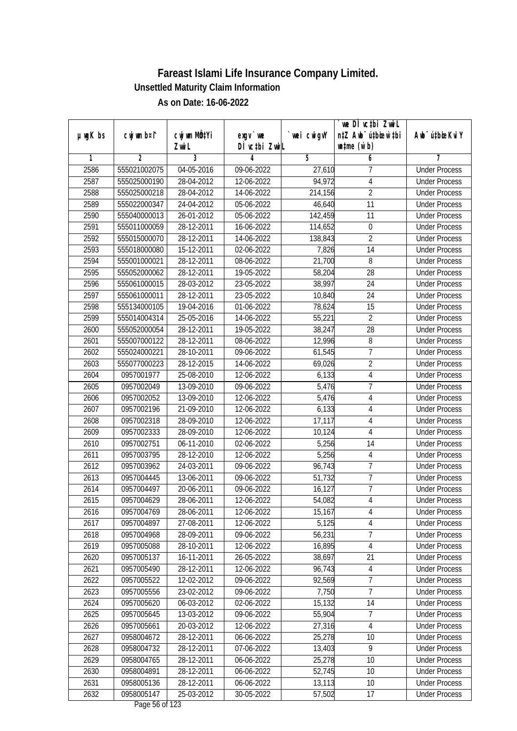|         |              |                       |                                   |             | we DI vctbi ZwiL                                            |                             |
|---------|--------------|-----------------------|-----------------------------------|-------------|-------------------------------------------------------------|-----------------------------|
| µwgK bs | cwj wm b¤i^  | cwj wm MQtYi<br>Zwi L | $exqu$ we<br>DÌ vctbi ZwiL        | `wei cwigvY | n‡Z Awb <sup>-</sup> ú‡bioar`‡bi<br>$\n  untime\n  (u`b)\n$ | Awb <sup>-</sup> ú‡bioeKviY |
| 1       | 2            | $\overline{3}$        | 4                                 | 5           | 6                                                           | 7                           |
| 2586    | 555021002075 | 04-05-2016            | 09-06-2022                        | 27,610      | 7                                                           | <b>Under Process</b>        |
| 2587    | 555025000190 | 28-04-2012            | 12-06-2022                        | 94,972      | $\overline{4}$                                              | <b>Under Process</b>        |
| 2588    | 555025000218 | 28-04-2012            | 14-06-2022                        | 214,156     | $\overline{2}$                                              | <b>Under Process</b>        |
| 2589    | 555022000347 | 24-04-2012            | 05-06-2022                        | 46,640      | $\overline{11}$                                             | <b>Under Process</b>        |
| 2590    | 555040000013 | 26-01-2012            | 05-06-2022                        | 142,459     | $\overline{11}$                                             | <b>Under Process</b>        |
| 2591    | 555011000059 | 28-12-2011            | 16-06-2022                        | 114,652     | 0                                                           | <b>Under Process</b>        |
| 2592    | 555015000070 | 28-12-2011            | 14-06-2022                        | 138,843     | $\overline{2}$                                              | <b>Under Process</b>        |
| 2593    | 555018000080 | 15-12-2011            | 02-06-2022                        | 7,826       | $\overline{14}$                                             | <b>Under Process</b>        |
| 2594    | 555001000021 | 28-12-2011            | 08-06-2022                        | 21,700      | $\overline{8}$                                              | <b>Under Process</b>        |
| 2595    | 555052000062 | 28-12-2011            | 19-05-2022                        | 58,204      | 28                                                          | <b>Under Process</b>        |
| 2596    | 555061000015 | 28-03-2012            | 23-05-2022                        | 38,997      | 24                                                          | <b>Under Process</b>        |
| 2597    | 555061000011 | 28-12-2011            | 23-05-2022                        | 10,840      | 24                                                          | <b>Under Process</b>        |
| 2598    | 555134000105 | 19-04-2016            | 01-06-2022                        | 78,624      | $\overline{15}$                                             | <b>Under Process</b>        |
| 2599    | 555014004314 | 25-05-2016            | 14-06-2022                        | 55,221      | $\overline{2}$                                              | <b>Under Process</b>        |
| 2600    | 555052000054 | 28-12-2011            | 19-05-2022                        | 38,247      | 28                                                          | <b>Under Process</b>        |
| 2601    | 555007000122 | 28-12-2011            | 08-06-2022                        | 12,996      | 8                                                           | <b>Under Process</b>        |
| 2602    | 555024000221 | 28-10-2011            | 09-06-2022                        | 61,545      | $\overline{1}$                                              | <b>Under Process</b>        |
| 2603    | 555077000223 | 28-12-2015            | 14-06-2022                        | 69,026      | $\overline{2}$                                              | <b>Under Process</b>        |
| 2604    | 0957001977   | 25-08-2010            | 12-06-2022                        | 6,133       | $\sqrt{4}$                                                  | <b>Under Process</b>        |
| 2605    | 0957002049   | 13-09-2010            | 09-06-2022                        | 5,476       | 7                                                           | <b>Under Process</b>        |
| 2606    | 0957002052   | 13-09-2010            | 12-06-2022                        | 5,476       | 4                                                           | <b>Under Process</b>        |
| 2607    | 0957002196   | 21-09-2010            | 12-06-2022                        | 6,133       | 4                                                           | <b>Under Process</b>        |
| 2608    | 0957002318   | 28-09-2010            | 12-06-2022                        | 17,117      | $\overline{4}$                                              | <b>Under Process</b>        |
| 2609    | 0957002333   | 28-09-2010            | 12-06-2022                        | 10,124      | 4                                                           | <b>Under Process</b>        |
| 2610    | 0957002751   | 06-11-2010            | 02-06-2022                        | 5,256       | 14                                                          | <b>Under Process</b>        |
| 2611    | 0957003795   | 28-12-2010            | 12-06-2022                        | 5,256       | 4                                                           | <b>Under Process</b>        |
| 2612    | 0957003962   | 24-03-2011            | 09-06-2022                        | 96,743      | $\overline{1}$                                              | <b>Under Process</b>        |
| 2613    | 0957004445   | 13-06-2011            | 09-06-2022                        | 51,732      | $\overline{7}$                                              | <b>Under Process</b>        |
| 2614    | 0957004497   | 20-06-2011            | 09-06-2022                        | 16,127      | $\overline{7}$                                              | <b>Under Process</b>        |
| 2615    | 0957004629   | 28-06-2011            | 12-06-2022                        | 54,082      | 4                                                           | <b>Under Process</b>        |
| 2616    | 0957004769   | 28-06-2011            | 12-06-2022                        | 15,167      | 4                                                           | <b>Under Process</b>        |
| 2617    | 0957004897   | 27-08-2011            | 12-06-2022                        | 5,125       | 4                                                           | <b>Under Process</b>        |
| 2618    | 0957004968   | 28-09-2011            | 09-06-2022                        | 56,231      | $\overline{7}$                                              | <b>Under Process</b>        |
| 2619    | 0957005088   | 28-10-2011            | 12-06-2022                        | 16,895      | $\sqrt{4}$                                                  | <b>Under Process</b>        |
| 2620    | 0957005137   | 16-11-2011            | 26-05-2022                        | 38,697      | 21                                                          | <b>Under Process</b>        |
| 2621    | 0957005490   | 28-12-2011            | 12-06-2022                        | 96,743      | $\overline{4}$                                              | <b>Under Process</b>        |
| 2622    | 0957005522   | 12-02-2012            | 09-06-2022                        | 92,569      | 7                                                           | <b>Under Process</b>        |
| 2623    | 0957005556   | 23-02-2012            | 09-06-2022                        | 7,750       | $\overline{7}$                                              | <b>Under Process</b>        |
| 2624    | 0957005620   | 06-03-2012            | 02-06-2022                        | 15,132      | 14                                                          | <b>Under Process</b>        |
| 2625    | 0957005645   | 13-03-2012            | 09-06-2022                        | 55,904      | 7                                                           | <b>Under Process</b>        |
| 2626    | 0957005661   | 20-03-2012            | 12-06-2022                        | 27,316      | $\overline{4}$                                              | <b>Under Process</b>        |
| 2627    | 0958004672   | 28-12-2011            | 06-06-2022                        | 25,278      | 10                                                          | <b>Under Process</b>        |
| 2628    | 0958004732   | 28-12-2011            | 07-06-2022                        | 13,403      | $\overline{9}$                                              | <b>Under Process</b>        |
| 2629    | 0958004765   | 28-12-2011            | 06-06-2022                        | 25,278      | $\overline{10}$                                             | <b>Under Process</b>        |
| 2630    | 0958004891   | 28-12-2011            | 06-06-2022                        | 52,745      | 10                                                          | <b>Under Process</b>        |
| 2631    | 0958005136   | 28-12-2011            | 06-06-2022                        | 13,113      | 10                                                          | <b>Under Process</b>        |
| 2632    | 0958005147   | 25-03-2012            | 30-05-2022<br>Dogs $E\ell$ of 122 | 57,502      | 17                                                          | <b>Under Process</b>        |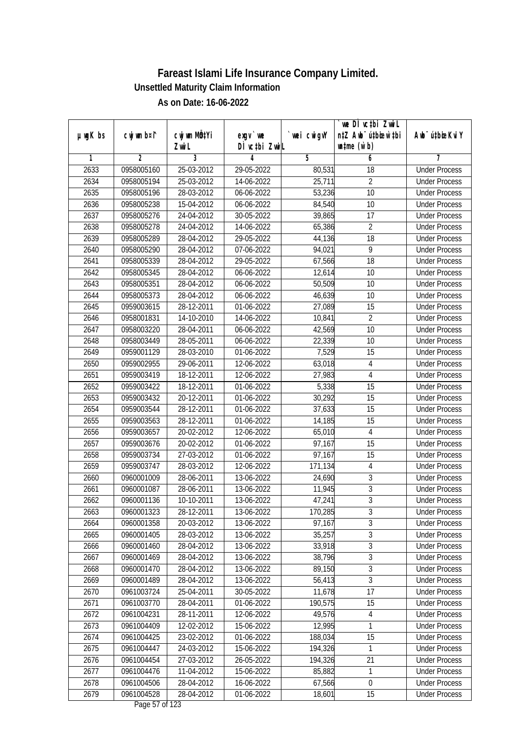|               |                |              |                                                  |             | `we DÌ vc‡bi ZwwiL               |                             |
|---------------|----------------|--------------|--------------------------------------------------|-------------|----------------------------------|-----------------------------|
| $µ$ ug $K$ bs | cwj wm b¤i^    | cwj wm MQtYi | exgy `we                                         | `wei cwigvY | n‡Z Awb <sup>-</sup> ú‡bioen`‡bi | Awb <sup>-</sup> ú‡bioeKviY |
|               |                | Zwi L        | DÌ vctbi ZwiL                                    |             | $\n  untime\n  (u`b)\n$          |                             |
| 1             | $\overline{2}$ | 3            | 4                                                | 5           | 6                                | 7                           |
| 2633          | 0958005160     | 25-03-2012   | 29-05-2022                                       | 80,531      | 18                               | <b>Under Process</b>        |
| 2634          | 0958005194     | 25-03-2012   | 14-06-2022                                       | 25,711      | $\overline{2}$                   | <b>Under Process</b>        |
| 2635          | 0958005196     | 28-03-2012   | 06-06-2022                                       | 53,236      | 10                               | <b>Under Process</b>        |
| 2636          | 0958005238     | 15-04-2012   | 06-06-2022                                       | 84,540      | 10                               | <b>Under Process</b>        |
| 2637          | 0958005276     | 24-04-2012   | 30-05-2022                                       | 39,865      | $\overline{17}$                  | <b>Under Process</b>        |
| 2638          | 0958005278     | 24-04-2012   | 14-06-2022                                       | 65,386      | $\overline{2}$                   | <b>Under Process</b>        |
| 2639          | 0958005289     | 28-04-2012   | 29-05-2022                                       | 44,136      | $\overline{18}$                  | <b>Under Process</b>        |
| 2640          | 0958005290     | 28-04-2012   | 07-06-2022                                       | 94,021      | $\overline{9}$                   | <b>Under Process</b>        |
| 2641          | 0958005339     | 28-04-2012   | 29-05-2022                                       | 67,566      | 18                               | <b>Under Process</b>        |
| 2642          | 0958005345     | 28-04-2012   | 06-06-2022                                       | 12,614      | 10                               | <b>Under Process</b>        |
| 2643          | 0958005351     | 28-04-2012   | 06-06-2022                                       | 50,509      | 10                               | <b>Under Process</b>        |
| 2644          | 0958005373     | 28-04-2012   | 06-06-2022                                       | 46,639      | 10                               | <b>Under Process</b>        |
| 2645          | 0959003615     | 28-12-2011   | 01-06-2022                                       | 27,089      | $\overline{15}$                  | <b>Under Process</b>        |
| 2646          | 0958001831     | 14-10-2010   | 14-06-2022                                       | 10,841      | $\overline{2}$                   | <b>Under Process</b>        |
| 2647          | 0958003220     | 28-04-2011   | 06-06-2022                                       | 42,569      | 10                               | <b>Under Process</b>        |
| 2648          | 0958003449     | 28-05-2011   | 06-06-2022                                       | 22,339      | 10                               | <b>Under Process</b>        |
| 2649          | 0959001129     | 28-03-2010   | 01-06-2022                                       | 7,529       | 15                               | <b>Under Process</b>        |
| 2650          | 0959002955     | 29-06-2011   | 12-06-2022                                       | 63,018      | $\sqrt{4}$                       | <b>Under Process</b>        |
| 2651          | 0959003419     | 18-12-2011   | 12-06-2022                                       | 27,983      | $\overline{4}$                   | <b>Under Process</b>        |
| 2652          | 0959003422     | 18-12-2011   | 01-06-2022                                       | 5,338       | 15                               | <b>Under Process</b>        |
| 2653          | 0959003432     | 20-12-2011   | 01-06-2022                                       | 30,292      | 15                               | <b>Under Process</b>        |
| 2654          | 0959003544     | 28-12-2011   | 01-06-2022                                       | 37,633      | 15                               | <b>Under Process</b>        |
| 2655          | 0959003563     | 28-12-2011   | 01-06-2022                                       | 14,185      | 15                               | <b>Under Process</b>        |
| 2656          | 0959003657     | 20-02-2012   | 12-06-2022                                       | 65,010      | $\overline{4}$                   | <b>Under Process</b>        |
| 2657          | 0959003676     | 20-02-2012   | 01-06-2022                                       | 97,167      | 15                               | <b>Under Process</b>        |
| 2658          | 0959003734     | 27-03-2012   | 01-06-2022                                       | 97,167      | 15                               | <b>Under Process</b>        |
| 2659          | 0959003747     | 28-03-2012   | 12-06-2022                                       | 171,134     | $\sqrt{4}$                       | <b>Under Process</b>        |
| 2660          | 0960001009     | 28-06-2011   | 13-06-2022                                       | 24,690      | 3                                | <b>Under Process</b>        |
| 2661          | 0960001087     | 28-06-2011   | 13-06-2022                                       | 11,945      | $\overline{3}$                   | <b>Under Process</b>        |
| 2662          | 0960001136     | 10-10-2011   | 13-06-2022                                       | 47,241      | $\overline{3}$                   | <b>Under Process</b>        |
| 2663          | 0960001323     | 28-12-2011   | 13-06-2022                                       | 170,285     | 3                                | <b>Under Process</b>        |
| 2664          | 0960001358     | 20-03-2012   | 13-06-2022                                       | 97,167      | $\overline{3}$                   | <b>Under Process</b>        |
| 2665          | 0960001405     | 28-03-2012   | 13-06-2022                                       | 35,257      | $\overline{3}$                   | <b>Under Process</b>        |
| 2666          | 0960001460     | 28-04-2012   | 13-06-2022                                       | 33,918      | $\overline{3}$                   | <b>Under Process</b>        |
| 2667          | 0960001469     | 28-04-2012   | 13-06-2022                                       | 38,796      | $\overline{3}$                   | <b>Under Process</b>        |
| 2668          | 0960001470     | 28-04-2012   | 13-06-2022                                       | 89,150      | 3                                | <b>Under Process</b>        |
| 2669          | 0960001489     | 28-04-2012   | 13-06-2022                                       | 56,413      | $\overline{3}$                   | <b>Under Process</b>        |
| 2670          | 0961003724     | 25-04-2011   | 30-05-2022                                       | 11,678      | 17                               | <b>Under Process</b>        |
| 2671          | 0961003770     | 28-04-2011   | 01-06-2022                                       | 190,575     | 15                               | <b>Under Process</b>        |
| 2672          | 0961004231     | 28-11-2011   | 12-06-2022                                       | 49,576      | 4                                | <b>Under Process</b>        |
| 2673          | 0961004409     | 12-02-2012   | 15-06-2022                                       | 12,995      | 1                                | <b>Under Process</b>        |
| 2674          | 0961004425     | 23-02-2012   | 01-06-2022                                       | 188,034     | 15                               | <b>Under Process</b>        |
| 2675          | 0961004447     | 24-03-2012   | 15-06-2022                                       | 194,326     | 1                                | <b>Under Process</b>        |
| 2676          | 0961004454     | 27-03-2012   | 26-05-2022                                       | 194,326     | 21                               | <b>Under Process</b>        |
| 2677          | 0961004476     | 11-04-2012   | 15-06-2022                                       | 85,882      | $\mathbf 1$                      | <b>Under Process</b>        |
| 2678          | 0961004506     | 28-04-2012   | 16-06-2022                                       | 67,566      | 0                                | <b>Under Process</b>        |
| 2679          | 0961004528     | 28-04-2012   | 01-06-2022<br>$D_{\text{max}}$ $\Gamma$ 7 of 100 | 18,601      | 15                               | <b>Under Process</b>        |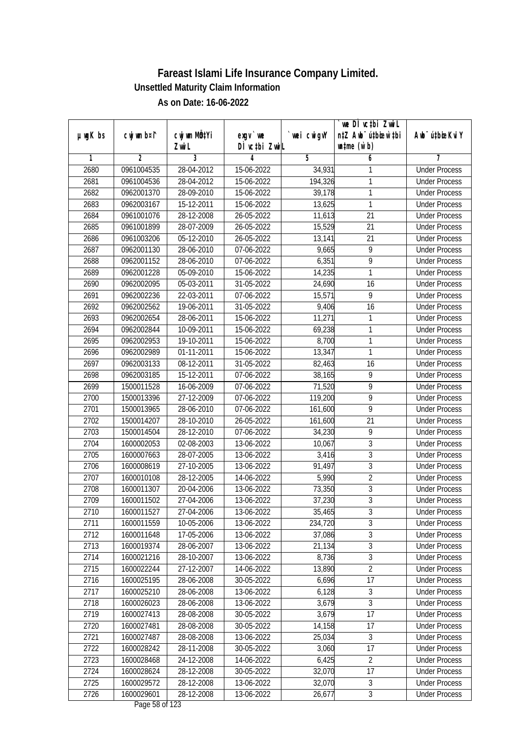|         |             |                       |                            |             | we DI vctbi ZwiL                                            |                             |
|---------|-------------|-----------------------|----------------------------|-------------|-------------------------------------------------------------|-----------------------------|
| µwgK bs | cwj wm b¤i^ | cwj wm MQtYi<br>Zwi L | $exqu$ we<br>DÌ vctbi ZwiL | `wei cwigvY | n‡Z Awb <sup>-</sup> ú‡bioen`‡bi<br>$\n  untime\n  (u`b)\n$ | Awb <sup>-</sup> ú‡bioeKviY |
| 1       | 2           | $\overline{3}$        | 4                          | 5           | 6                                                           | 7                           |
| 2680    | 0961004535  | 28-04-2012            | 15-06-2022                 | 34,931      | 1                                                           | <b>Under Process</b>        |
| 2681    | 0961004536  | 28-04-2012            | 15-06-2022                 | 194,326     | 1                                                           | <b>Under Process</b>        |
| 2682    | 0962001370  | 28-09-2010            | 15-06-2022                 | 39,178      | 1                                                           | <b>Under Process</b>        |
| 2683    | 0962003167  | 15-12-2011            | 15-06-2022                 | 13,625      | 1                                                           | <b>Under Process</b>        |
| 2684    | 0961001076  | 28-12-2008            | 26-05-2022                 | 11,613      | $\overline{21}$                                             | <b>Under Process</b>        |
| 2685    | 0961001899  | 28-07-2009            | 26-05-2022                 | 15,529      | 21                                                          | <b>Under Process</b>        |
| 2686    | 0961003206  | 05-12-2010            | 26-05-2022                 | 13,141      | $\overline{21}$                                             | <b>Under Process</b>        |
| 2687    | 0962001130  | 28-06-2010            | 07-06-2022                 | 9,665       | $\overline{9}$                                              | <b>Under Process</b>        |
| 2688    | 0962001152  | 28-06-2010            | 07-06-2022                 | 6,351       | 9                                                           | <b>Under Process</b>        |
| 2689    | 0962001228  | 05-09-2010            | 15-06-2022                 | 14,235      | 1                                                           | <b>Under Process</b>        |
| 2690    | 0962002095  | 05-03-2011            | 31-05-2022                 | 24,690      | 16                                                          | <b>Under Process</b>        |
| 2691    | 0962002236  | 22-03-2011            | 07-06-2022                 | 15,571      | 9                                                           | <b>Under Process</b>        |
| 2692    | 0962002562  | 19-06-2011            | 31-05-2022                 | 9,406       | $\overline{16}$                                             | <b>Under Process</b>        |
| 2693    | 0962002654  | 28-06-2011            | 15-06-2022                 | 11,271      | 1                                                           | <b>Under Process</b>        |
| 2694    | 0962002844  | 10-09-2011            | 15-06-2022                 | 69,238      | 1                                                           | <b>Under Process</b>        |
| 2695    | 0962002953  | 19-10-2011            | 15-06-2022                 | 8,700       | 1                                                           | <b>Under Process</b>        |
| 2696    | 0962002989  | 01-11-2011            | 15-06-2022                 | 13,347      | 1                                                           | <b>Under Process</b>        |
| 2697    | 0962003133  | 08-12-2011            | 31-05-2022                 | 82,463      | 16                                                          | <b>Under Process</b>        |
| 2698    | 0962003185  | 15-12-2011            | 07-06-2022                 | 38,165      | 9                                                           | <b>Under Process</b>        |
| 2699    | 1500011528  | 16-06-2009            | 07-06-2022                 | 71,520      | 9                                                           | <b>Under Process</b>        |
| 2700    | 1500013396  | 27-12-2009            | 07-06-2022                 | 119,200     | 9                                                           | <b>Under Process</b>        |
| 2701    | 1500013965  | 28-06-2010            | 07-06-2022                 | 161,600     | 9                                                           | <b>Under Process</b>        |
| 2702    | 1500014207  | 28-10-2010            | 26-05-2022                 | 161,600     | $\overline{21}$                                             | <b>Under Process</b>        |
| 2703    | 1500014504  | 28-12-2010            | 07-06-2022                 | 34,230      | 9                                                           | <b>Under Process</b>        |
| 2704    | 1600002053  | 02-08-2003            | 13-06-2022                 | 10,067      | 3                                                           | <b>Under Process</b>        |
| 2705    | 1600007663  | 28-07-2005            | 13-06-2022                 | 3,416       | 3                                                           | <b>Under Process</b>        |
| 2706    | 1600008619  | 27-10-2005            | 13-06-2022                 | 91,497      | 3                                                           | <b>Under Process</b>        |
| 2707    | 1600010108  | 28-12-2005            | 14-06-2022                 | 5,990       | $\overline{2}$                                              | <b>Under Process</b>        |
| 2708    | 1600011307  | 20-04-2006            | 13-06-2022                 | 73,350      | $\overline{3}$                                              | <b>Under Process</b>        |
| 2709    | 1600011502  | 27-04-2006            | 13-06-2022                 | 37,230      | $\overline{3}$                                              | <b>Under Process</b>        |
| 2710    | 1600011527  | 27-04-2006            | 13-06-2022                 | 35,465      | $\sqrt{3}$                                                  | <b>Under Process</b>        |
| 2711    | 1600011559  | 10-05-2006            | 13-06-2022                 | 234,720     | $\overline{3}$                                              | <b>Under Process</b>        |
| 2712    | 1600011648  | 17-05-2006            | 13-06-2022                 | 37,086      | $\overline{3}$                                              | <b>Under Process</b>        |
| 2713    | 1600019374  | 28-06-2007            | 13-06-2022                 | 21,134      | $\overline{3}$                                              | <b>Under Process</b>        |
| 2714    | 1600021216  | 28-10-2007            | 13-06-2022                 | 8,736       | $\overline{3}$                                              | <b>Under Process</b>        |
| 2715    | 1600022244  | 27-12-2007            | 14-06-2022                 | 13,890      | $\overline{2}$                                              | <b>Under Process</b>        |
| 2716    | 1600025195  | 28-06-2008            | 30-05-2022                 | 6,696       | 17                                                          | <b>Under Process</b>        |
| 2717    | 1600025210  | 28-06-2008            | 13-06-2022                 | 6,128       | $\mathfrak{Z}$                                              | <b>Under Process</b>        |
| 2718    | 1600026023  | 28-06-2008            | 13-06-2022                 | 3,679       | $\overline{3}$                                              | <b>Under Process</b>        |
| 2719    | 1600027413  | 28-08-2008            | 30-05-2022                 | 3,679       | 17                                                          | <b>Under Process</b>        |
| 2720    | 1600027481  | 28-08-2008            | 30-05-2022                 | 14, 158     | 17                                                          | <b>Under Process</b>        |
| 2721    | 1600027487  | 28-08-2008            | 13-06-2022                 | 25,034      | $\overline{3}$                                              | <b>Under Process</b>        |
| 2722    | 1600028242  | 28-11-2008            | 30-05-2022                 | 3,060       | $\overline{17}$                                             | <b>Under Process</b>        |
| 2723    | 1600028468  | 24-12-2008            | 14-06-2022                 | 6,425       | $\overline{2}$                                              | <b>Under Process</b>        |
| 2724    | 1600028624  | 28-12-2008            | 30-05-2022                 | 32,070      | 17                                                          | <b>Under Process</b>        |
| 2725    | 1600029572  | 28-12-2008            | 13-06-2022                 | 32,070      | 3                                                           | <b>Under Process</b>        |
| 2726    | 1600029601  | 28-12-2008            | 13-06-2022                 | 26,677      | $\overline{3}$                                              | <b>Under Process</b>        |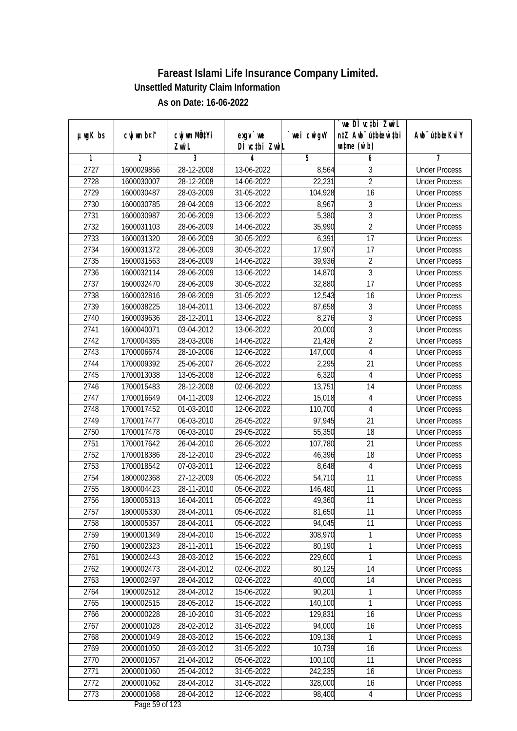|               |                |                       |                            |            | we DI vctbi ZwiL                                            |                             |
|---------------|----------------|-----------------------|----------------------------|------------|-------------------------------------------------------------|-----------------------------|
| $µ$ ug $K$ bs | cwj wm b¤i^    | cwj wm MÖ¢Yi<br>Zwi L | $exgV$ we<br>DÌ vctbi ZwiL | wei cwigvY | n‡Z Awb <sup>-</sup> ú‡bicen`‡bi<br>$\n  untime\n  (u`b)\n$ | Awb <sup>-</sup> ú‡bioeKviY |
| 1             | $\overline{2}$ | 3                     | 4                          | 5          | 6                                                           | 7                           |
| 2727          | 1600029856     | 28-12-2008            | 13-06-2022                 | 8,564      | 3                                                           | <b>Under Process</b>        |
| 2728          | 1600030007     | 28-12-2008            | 14-06-2022                 | 22,231     | $\overline{2}$                                              | <b>Under Process</b>        |
| 2729          | 1600030487     | 28-03-2009            | 31-05-2022                 | 104,928    | $\overline{16}$                                             | <b>Under Process</b>        |
| 2730          | 1600030785     | 28-04-2009            | 13-06-2022                 | 8,967      | 3                                                           | <b>Under Process</b>        |
| 2731          | 1600030987     | 20-06-2009            | 13-06-2022                 | 5,380      | $\overline{3}$                                              | <b>Under Process</b>        |
| 2732          | 1600031103     | 28-06-2009            | $14-06-2022$               | 35,990     | $\overline{2}$                                              | <b>Under Process</b>        |
| 2733          | 1600031320     | 28-06-2009            | $30 - 05 - 2022$           | 6,391      | $\overline{17}$                                             | <b>Under Process</b>        |
| 2734          | 1600031372     | 28-06-2009            | 30-05-2022                 | 17,907     | 17                                                          | <b>Under Process</b>        |
| 2735          | 1600031563     | 28-06-2009            | 14-06-2022                 | 39,936     | $\overline{2}$                                              | <b>Under Process</b>        |
| 2736          | 1600032114     | 28-06-2009            | 13-06-2022                 | 14,870     | $\overline{3}$                                              | <b>Under Process</b>        |
| 2737          | 1600032470     | 28-06-2009            | 30-05-2022                 | 32,880     | $\overline{17}$                                             | <b>Under Process</b>        |
| 2738          | 1600032816     | 28-08-2009            | 31-05-2022                 | 12,543     | 16                                                          | <b>Under Process</b>        |
| 2739          | 1600038225     | 18-04-2011            | 13-06-2022                 | 87,658     | $\overline{3}$                                              | <b>Under Process</b>        |
| 2740          | 1600039636     | 28-12-2011            | 13-06-2022                 | 8,276      | $\sqrt{3}$                                                  | <b>Under Process</b>        |
| 2741          | 1600040071     | 03-04-2012            | 13-06-2022                 | 20,000     | $\overline{3}$                                              | <b>Under Process</b>        |
| 2742          | 1700004365     | 28-03-2006            | 14-06-2022                 | 21,426     | $\overline{2}$                                              | <b>Under Process</b>        |
| 2743          | 1700006674     | 28-10-2006            | 12-06-2022                 | 147,000    | $\overline{4}$                                              | <b>Under Process</b>        |
| 2744          | 1700009392     | 25-06-2007            | 26-05-2022                 | 2,295      | 21                                                          | <b>Under Process</b>        |
| 2745          | 1700013038     | 13-05-2008            | 12-06-2022                 | 6,320      | $\overline{4}$                                              | <b>Under Process</b>        |
| 2746          | 1700015483     | 28-12-2008            | 02-06-2022                 | 13,751     | 14                                                          | <b>Under Process</b>        |
| 2747          | 1700016649     | 04-11-2009            | 12-06-2022                 | 15,018     | $\overline{4}$                                              | <b>Under Process</b>        |
| 2748          | 1700017452     | 01-03-2010            | 12-06-2022                 | 110,700    | $\overline{4}$                                              | <b>Under Process</b>        |
| 2749          | 1700017477     | 06-03-2010            | 26-05-2022                 | 97,945     | 21                                                          | <b>Under Process</b>        |
| 2750          | 1700017478     | 06-03-2010            | 29-05-2022                 | 55,350     | 18                                                          | <b>Under Process</b>        |
| 2751          | 1700017642     | 26-04-2010            | 26-05-2022                 | 107,780    | 21                                                          | <b>Under Process</b>        |
| 2752          | 1700018386     | 28-12-2010            | 29-05-2022                 | 46,396     | 18                                                          | <b>Under Process</b>        |
| 2753          | 1700018542     | 07-03-2011            | 12-06-2022                 | 8,648      | 4                                                           | <b>Under Process</b>        |
| 2754          | 1800002368     | 27-12-2009            | 05-06-2022                 | 54,710     | 11                                                          | <b>Under Process</b>        |
| 2755          | 1800004423     | 28-11-2010            | 05-06-2022                 | 146,480    | 11                                                          | <b>Under Process</b>        |
| 2756          | 1800005313     | 16-04-2011            | 05-06-2022                 | 49,360     | 11                                                          | <b>Under Process</b>        |
| 2757          | 1800005330     | 28-04-2011            | 05-06-2022                 | 81,650     | 11                                                          | <b>Under Process</b>        |
| 2758          | 1800005357     | 28-04-2011            | 05-06-2022                 | 94,045     | 11                                                          | <b>Under Process</b>        |
| 2759          | 1900001349     | 28-04-2010            | 15-06-2022                 | 308,970    | 1                                                           | <b>Under Process</b>        |
| 2760          | 1900002323     | 28-11-2011            | 15-06-2022                 | 80,190     | $\mathbf{1}$                                                | <b>Under Process</b>        |
| 2761          | 1900002443     | 28-03-2012            | 15-06-2022                 | 229,600    | 1                                                           | <b>Under Process</b>        |
| 2762          | 1900002473     | 28-04-2012            | 02-06-2022                 | 80,125     | 14                                                          | <b>Under Process</b>        |
| 2763          | 1900002497     | 28-04-2012            | 02-06-2022                 | 40,000     | 14                                                          | <b>Under Process</b>        |
| 2764          | 1900002512     | 28-04-2012            | 15-06-2022                 | 90,201     | $\mathbf{1}$                                                | <b>Under Process</b>        |
| 2765          | 1900002515     | 28-05-2012            | 15-06-2022                 | 140,100    | 1                                                           | <b>Under Process</b>        |
| 2766          | 2000000228     | 28-10-2010            | 31-05-2022                 | 129,831    | 16                                                          | <b>Under Process</b>        |
| 2767          | 2000001028     | 28-02-2012            | 31-05-2022                 | 94,000     | 16                                                          | <b>Under Process</b>        |
| 2768          | 2000001049     | 28-03-2012            | 15-06-2022                 | 109,136    | 1                                                           | <b>Under Process</b>        |
| 2769          | 2000001050     | 28-03-2012            | 31-05-2022                 | 10,739     | 16                                                          | <b>Under Process</b>        |
| 2770          | 2000001057     | 21-04-2012            | 05-06-2022                 | 100,100    | 11                                                          | <b>Under Process</b>        |
| 2771          | 2000001060     | 25-04-2012            | 31-05-2022                 | 242,235    | 16                                                          | <b>Under Process</b>        |
| 2772          | 2000001062     | 28-04-2012            | 31-05-2022                 | 328,000    | 16                                                          | <b>Under Process</b>        |
| 2773          | 2000001068     | 28-04-2012            | 12-06-2022                 | 98,400     | $\overline{4}$                                              | <b>Under Process</b>        |
|               |                |                       |                            |            |                                                             |                             |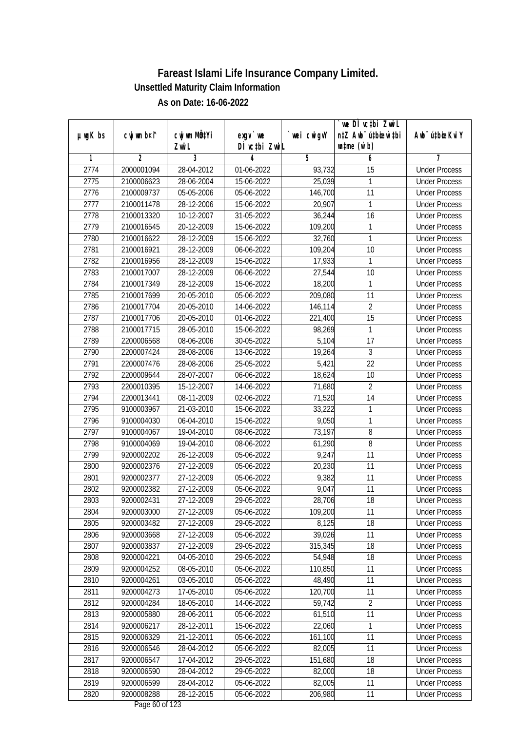| n‡Z Awb <sup>-</sup> ú‡bioen`‡bi<br>cwj wm b¤i^<br>cwj wm MQtYi<br>`wei cwigvY<br>Awb <sup>-</sup> ú‡bioeKviY<br>$µ$ ug $K$ bs<br>exgy `we<br>DÌ vctbi ZwiL<br>$\n  untime\n  (u`b)\n$<br>Zwi L<br>3<br>$\overline{2}$<br>5<br>7<br>1<br>4<br>6<br>2774<br>2000001094<br>28-04-2012<br>01-06-2022<br><b>Under Process</b><br>93,732<br>15<br>25,039<br>2775<br>2100006623<br>28-06-2004<br>15-06-2022<br>1<br><b>Under Process</b><br>$\overline{11}$<br>2776<br>2100009737<br>05-05-2006<br>05-06-2022<br>146,700<br><b>Under Process</b><br>2777<br>2100011478<br>28-12-2006<br>20,907<br>1<br>15-06-2022<br><b>Under Process</b><br>2778<br>2100013320<br>10-12-2007<br>31-05-2022<br>36,244<br>16<br><b>Under Process</b><br>2779<br>109,200<br>2100016545<br>20-12-2009<br>15-06-2022<br>1<br><b>Under Process</b><br>1<br>2780<br>2100016622<br>28-12-2009<br>32,760<br>15-06-2022<br><b>Under Process</b><br>2781<br>2100016921<br>28-12-2009<br>06-06-2022<br>109,204<br>10<br><b>Under Process</b><br>2782<br>28-12-2009<br>2100016956<br>15-06-2022<br>17,933<br><b>Under Process</b><br>1<br>2783<br>28-12-2009<br>27,544<br>10<br>2100017007<br>06-06-2022<br><b>Under Process</b><br>2784<br>28-12-2009<br>18,200<br>2100017349<br>15-06-2022<br>1<br><b>Under Process</b><br>11<br>2785<br>20-05-2010<br>209,080<br>2100017699<br>05-06-2022<br><b>Under Process</b><br>$\overline{2}$<br>2786<br>2100017704<br>20-05-2010<br>14-06-2022<br><b>Under Process</b><br>146,114<br>2787<br>15<br>2100017706<br>20-05-2010<br>01-06-2022<br>221,400<br><b>Under Process</b><br>2788<br>28-05-2010<br>1<br>2100017715<br>15-06-2022<br>98,269<br><b>Under Process</b><br>2789<br>17<br>2200006568<br>08-06-2006<br>30-05-2022<br>5,104<br><b>Under Process</b><br>$\mathfrak{Z}$<br>2790<br>19,264<br>2200007424<br>28-08-2006<br>13-06-2022<br><b>Under Process</b><br>$\overline{22}$<br>2791<br>5,421<br>2200007476<br>28-08-2006<br>25-05-2022<br><b>Under Process</b><br>2792<br>18,624<br>10<br>2200009644<br>28-07-2007<br>06-06-2022<br><b>Under Process</b><br>2793<br>$\overline{2}$<br>2200010395<br>15-12-2007<br>14-06-2022<br>71,680<br><b>Under Process</b><br>2794<br>2200013441<br>08-11-2009<br>02-06-2022<br>71,520<br>14<br><b>Under Process</b><br>33,222<br>2795<br>21-03-2010<br>1<br>9100003967<br>15-06-2022<br><b>Under Process</b><br>1<br>2796<br>9100004030<br>06-04-2010<br>15-06-2022<br>9,050<br><b>Under Process</b><br>8<br>2797<br>9100004067<br>19-04-2010<br>08-06-2022<br>73,197<br><b>Under Process</b><br>2798<br>9100004069<br>61,290<br>8<br>19-04-2010<br>08-06-2022<br><b>Under Process</b><br>2799<br>11<br>9200002202<br>26-12-2009<br>9,247<br><b>Under Process</b><br>05-06-2022<br>2800<br>9200002376<br>27-12-2009<br>05-06-2022<br>20,230<br>11<br><b>Under Process</b><br>2801<br>9200002377<br>27-12-2009<br>9,382<br>11<br>05-06-2022<br><b>Under Process</b><br>9,047<br>2802<br>9200002382<br>27-12-2009<br>05-06-2022<br>11<br><b>Under Process</b><br>2803<br>28,706<br>18<br>9200002431<br>27-12-2009<br>29-05-2022<br><b>Under Process</b><br>2804<br>9200003000<br>27-12-2009<br>05-06-2022<br>109,200<br>11<br><b>Under Process</b><br>2805<br>9200003482<br>27-12-2009<br>29-05-2022<br>8,125<br>18<br><b>Under Process</b><br>39,026<br>2806<br>9200003668<br>27-12-2009<br>05-06-2022<br>11<br><b>Under Process</b><br>2807<br>315,345<br>18<br>9200003837<br>27-12-2009<br>29-05-2022<br><b>Under Process</b><br>2808<br>9200004221<br>04-05-2010<br>29-05-2022<br>54,948<br>18<br><b>Under Process</b><br>2809<br>9200004252<br>08-05-2010<br>110,850<br>05-06-2022<br>11<br><b>Under Process</b><br>2810<br>9200004261<br>48,490<br>11<br>03-05-2010<br>05-06-2022<br><b>Under Process</b><br>9200004273<br>120,700<br>11<br>2811<br>17-05-2010<br>05-06-2022<br><b>Under Process</b><br>$\overline{2}$<br>2812<br>59,742<br>9200004284<br>18-05-2010<br>14-06-2022<br><b>Under Process</b><br>2813<br>9200005880<br>28-06-2011<br>05-06-2022<br>61,510<br>11<br><b>Under Process</b><br>2814<br>9200006217<br>28-12-2011<br>15-06-2022<br>22,060<br>1<br><b>Under Process</b><br>2815<br>9200006329<br>21-12-2011<br>161,100<br>11<br>05-06-2022<br><b>Under Process</b><br>82,005<br>$\overline{11}$<br>2816<br>9200006546<br>28-04-2012<br>05-06-2022<br><b>Under Process</b><br>151,680<br>18<br>2817<br>9200006547<br>17-04-2012<br>29-05-2022<br><b>Under Process</b><br>2818<br>9200006590<br>82,000<br>18<br>28-04-2012<br>29-05-2022<br><b>Under Process</b><br>2819<br>9200006599<br>28-04-2012<br>82,005<br>11<br><b>Under Process</b><br>05-06-2022<br>2820<br>28-12-2015<br>206,980<br>11<br>9200008288<br>05-06-2022<br><b>Under Process</b> |  |  | `we DÌ vc‡bi ZwwiL |  |
|----------------------------------------------------------------------------------------------------------------------------------------------------------------------------------------------------------------------------------------------------------------------------------------------------------------------------------------------------------------------------------------------------------------------------------------------------------------------------------------------------------------------------------------------------------------------------------------------------------------------------------------------------------------------------------------------------------------------------------------------------------------------------------------------------------------------------------------------------------------------------------------------------------------------------------------------------------------------------------------------------------------------------------------------------------------------------------------------------------------------------------------------------------------------------------------------------------------------------------------------------------------------------------------------------------------------------------------------------------------------------------------------------------------------------------------------------------------------------------------------------------------------------------------------------------------------------------------------------------------------------------------------------------------------------------------------------------------------------------------------------------------------------------------------------------------------------------------------------------------------------------------------------------------------------------------------------------------------------------------------------------------------------------------------------------------------------------------------------------------------------------------------------------------------------------------------------------------------------------------------------------------------------------------------------------------------------------------------------------------------------------------------------------------------------------------------------------------------------------------------------------------------------------------------------------------------------------------------------------------------------------------------------------------------------------------------------------------------------------------------------------------------------------------------------------------------------------------------------------------------------------------------------------------------------------------------------------------------------------------------------------------------------------------------------------------------------------------------------------------------------------------------------------------------------------------------------------------------------------------------------------------------------------------------------------------------------------------------------------------------------------------------------------------------------------------------------------------------------------------------------------------------------------------------------------------------------------------------------------------------------------------------------------------------------------------------------------------------------------------------------------------------------------------------------------------------------------------------------------------------------------------------------------------------------------------------------------------------------------------------------------------------------------------------------------------------------------------------------------------------------------------------------------------------------------------------------------------------------------------------------------------------------------------------------------------------------------------------------------------------------------------------------------------------------------------------------------------------------------------------------------------------------------------------------------------------------------------------------------------------------------------------------------------------------------------------------------------------------------------|--|--|--------------------|--|
|                                                                                                                                                                                                                                                                                                                                                                                                                                                                                                                                                                                                                                                                                                                                                                                                                                                                                                                                                                                                                                                                                                                                                                                                                                                                                                                                                                                                                                                                                                                                                                                                                                                                                                                                                                                                                                                                                                                                                                                                                                                                                                                                                                                                                                                                                                                                                                                                                                                                                                                                                                                                                                                                                                                                                                                                                                                                                                                                                                                                                                                                                                                                                                                                                                                                                                                                                                                                                                                                                                                                                                                                                                                                                                                                                                                                                                                                                                                                                                                                                                                                                                                                                                                                                                                                                                                                                                                                                                                                                                                                                                                                                                                                                                                                        |  |  |                    |  |
|                                                                                                                                                                                                                                                                                                                                                                                                                                                                                                                                                                                                                                                                                                                                                                                                                                                                                                                                                                                                                                                                                                                                                                                                                                                                                                                                                                                                                                                                                                                                                                                                                                                                                                                                                                                                                                                                                                                                                                                                                                                                                                                                                                                                                                                                                                                                                                                                                                                                                                                                                                                                                                                                                                                                                                                                                                                                                                                                                                                                                                                                                                                                                                                                                                                                                                                                                                                                                                                                                                                                                                                                                                                                                                                                                                                                                                                                                                                                                                                                                                                                                                                                                                                                                                                                                                                                                                                                                                                                                                                                                                                                                                                                                                                                        |  |  |                    |  |
|                                                                                                                                                                                                                                                                                                                                                                                                                                                                                                                                                                                                                                                                                                                                                                                                                                                                                                                                                                                                                                                                                                                                                                                                                                                                                                                                                                                                                                                                                                                                                                                                                                                                                                                                                                                                                                                                                                                                                                                                                                                                                                                                                                                                                                                                                                                                                                                                                                                                                                                                                                                                                                                                                                                                                                                                                                                                                                                                                                                                                                                                                                                                                                                                                                                                                                                                                                                                                                                                                                                                                                                                                                                                                                                                                                                                                                                                                                                                                                                                                                                                                                                                                                                                                                                                                                                                                                                                                                                                                                                                                                                                                                                                                                                                        |  |  |                    |  |
|                                                                                                                                                                                                                                                                                                                                                                                                                                                                                                                                                                                                                                                                                                                                                                                                                                                                                                                                                                                                                                                                                                                                                                                                                                                                                                                                                                                                                                                                                                                                                                                                                                                                                                                                                                                                                                                                                                                                                                                                                                                                                                                                                                                                                                                                                                                                                                                                                                                                                                                                                                                                                                                                                                                                                                                                                                                                                                                                                                                                                                                                                                                                                                                                                                                                                                                                                                                                                                                                                                                                                                                                                                                                                                                                                                                                                                                                                                                                                                                                                                                                                                                                                                                                                                                                                                                                                                                                                                                                                                                                                                                                                                                                                                                                        |  |  |                    |  |
|                                                                                                                                                                                                                                                                                                                                                                                                                                                                                                                                                                                                                                                                                                                                                                                                                                                                                                                                                                                                                                                                                                                                                                                                                                                                                                                                                                                                                                                                                                                                                                                                                                                                                                                                                                                                                                                                                                                                                                                                                                                                                                                                                                                                                                                                                                                                                                                                                                                                                                                                                                                                                                                                                                                                                                                                                                                                                                                                                                                                                                                                                                                                                                                                                                                                                                                                                                                                                                                                                                                                                                                                                                                                                                                                                                                                                                                                                                                                                                                                                                                                                                                                                                                                                                                                                                                                                                                                                                                                                                                                                                                                                                                                                                                                        |  |  |                    |  |
|                                                                                                                                                                                                                                                                                                                                                                                                                                                                                                                                                                                                                                                                                                                                                                                                                                                                                                                                                                                                                                                                                                                                                                                                                                                                                                                                                                                                                                                                                                                                                                                                                                                                                                                                                                                                                                                                                                                                                                                                                                                                                                                                                                                                                                                                                                                                                                                                                                                                                                                                                                                                                                                                                                                                                                                                                                                                                                                                                                                                                                                                                                                                                                                                                                                                                                                                                                                                                                                                                                                                                                                                                                                                                                                                                                                                                                                                                                                                                                                                                                                                                                                                                                                                                                                                                                                                                                                                                                                                                                                                                                                                                                                                                                                                        |  |  |                    |  |
|                                                                                                                                                                                                                                                                                                                                                                                                                                                                                                                                                                                                                                                                                                                                                                                                                                                                                                                                                                                                                                                                                                                                                                                                                                                                                                                                                                                                                                                                                                                                                                                                                                                                                                                                                                                                                                                                                                                                                                                                                                                                                                                                                                                                                                                                                                                                                                                                                                                                                                                                                                                                                                                                                                                                                                                                                                                                                                                                                                                                                                                                                                                                                                                                                                                                                                                                                                                                                                                                                                                                                                                                                                                                                                                                                                                                                                                                                                                                                                                                                                                                                                                                                                                                                                                                                                                                                                                                                                                                                                                                                                                                                                                                                                                                        |  |  |                    |  |
|                                                                                                                                                                                                                                                                                                                                                                                                                                                                                                                                                                                                                                                                                                                                                                                                                                                                                                                                                                                                                                                                                                                                                                                                                                                                                                                                                                                                                                                                                                                                                                                                                                                                                                                                                                                                                                                                                                                                                                                                                                                                                                                                                                                                                                                                                                                                                                                                                                                                                                                                                                                                                                                                                                                                                                                                                                                                                                                                                                                                                                                                                                                                                                                                                                                                                                                                                                                                                                                                                                                                                                                                                                                                                                                                                                                                                                                                                                                                                                                                                                                                                                                                                                                                                                                                                                                                                                                                                                                                                                                                                                                                                                                                                                                                        |  |  |                    |  |
|                                                                                                                                                                                                                                                                                                                                                                                                                                                                                                                                                                                                                                                                                                                                                                                                                                                                                                                                                                                                                                                                                                                                                                                                                                                                                                                                                                                                                                                                                                                                                                                                                                                                                                                                                                                                                                                                                                                                                                                                                                                                                                                                                                                                                                                                                                                                                                                                                                                                                                                                                                                                                                                                                                                                                                                                                                                                                                                                                                                                                                                                                                                                                                                                                                                                                                                                                                                                                                                                                                                                                                                                                                                                                                                                                                                                                                                                                                                                                                                                                                                                                                                                                                                                                                                                                                                                                                                                                                                                                                                                                                                                                                                                                                                                        |  |  |                    |  |
|                                                                                                                                                                                                                                                                                                                                                                                                                                                                                                                                                                                                                                                                                                                                                                                                                                                                                                                                                                                                                                                                                                                                                                                                                                                                                                                                                                                                                                                                                                                                                                                                                                                                                                                                                                                                                                                                                                                                                                                                                                                                                                                                                                                                                                                                                                                                                                                                                                                                                                                                                                                                                                                                                                                                                                                                                                                                                                                                                                                                                                                                                                                                                                                                                                                                                                                                                                                                                                                                                                                                                                                                                                                                                                                                                                                                                                                                                                                                                                                                                                                                                                                                                                                                                                                                                                                                                                                                                                                                                                                                                                                                                                                                                                                                        |  |  |                    |  |
|                                                                                                                                                                                                                                                                                                                                                                                                                                                                                                                                                                                                                                                                                                                                                                                                                                                                                                                                                                                                                                                                                                                                                                                                                                                                                                                                                                                                                                                                                                                                                                                                                                                                                                                                                                                                                                                                                                                                                                                                                                                                                                                                                                                                                                                                                                                                                                                                                                                                                                                                                                                                                                                                                                                                                                                                                                                                                                                                                                                                                                                                                                                                                                                                                                                                                                                                                                                                                                                                                                                                                                                                                                                                                                                                                                                                                                                                                                                                                                                                                                                                                                                                                                                                                                                                                                                                                                                                                                                                                                                                                                                                                                                                                                                                        |  |  |                    |  |
|                                                                                                                                                                                                                                                                                                                                                                                                                                                                                                                                                                                                                                                                                                                                                                                                                                                                                                                                                                                                                                                                                                                                                                                                                                                                                                                                                                                                                                                                                                                                                                                                                                                                                                                                                                                                                                                                                                                                                                                                                                                                                                                                                                                                                                                                                                                                                                                                                                                                                                                                                                                                                                                                                                                                                                                                                                                                                                                                                                                                                                                                                                                                                                                                                                                                                                                                                                                                                                                                                                                                                                                                                                                                                                                                                                                                                                                                                                                                                                                                                                                                                                                                                                                                                                                                                                                                                                                                                                                                                                                                                                                                                                                                                                                                        |  |  |                    |  |
|                                                                                                                                                                                                                                                                                                                                                                                                                                                                                                                                                                                                                                                                                                                                                                                                                                                                                                                                                                                                                                                                                                                                                                                                                                                                                                                                                                                                                                                                                                                                                                                                                                                                                                                                                                                                                                                                                                                                                                                                                                                                                                                                                                                                                                                                                                                                                                                                                                                                                                                                                                                                                                                                                                                                                                                                                                                                                                                                                                                                                                                                                                                                                                                                                                                                                                                                                                                                                                                                                                                                                                                                                                                                                                                                                                                                                                                                                                                                                                                                                                                                                                                                                                                                                                                                                                                                                                                                                                                                                                                                                                                                                                                                                                                                        |  |  |                    |  |
|                                                                                                                                                                                                                                                                                                                                                                                                                                                                                                                                                                                                                                                                                                                                                                                                                                                                                                                                                                                                                                                                                                                                                                                                                                                                                                                                                                                                                                                                                                                                                                                                                                                                                                                                                                                                                                                                                                                                                                                                                                                                                                                                                                                                                                                                                                                                                                                                                                                                                                                                                                                                                                                                                                                                                                                                                                                                                                                                                                                                                                                                                                                                                                                                                                                                                                                                                                                                                                                                                                                                                                                                                                                                                                                                                                                                                                                                                                                                                                                                                                                                                                                                                                                                                                                                                                                                                                                                                                                                                                                                                                                                                                                                                                                                        |  |  |                    |  |
|                                                                                                                                                                                                                                                                                                                                                                                                                                                                                                                                                                                                                                                                                                                                                                                                                                                                                                                                                                                                                                                                                                                                                                                                                                                                                                                                                                                                                                                                                                                                                                                                                                                                                                                                                                                                                                                                                                                                                                                                                                                                                                                                                                                                                                                                                                                                                                                                                                                                                                                                                                                                                                                                                                                                                                                                                                                                                                                                                                                                                                                                                                                                                                                                                                                                                                                                                                                                                                                                                                                                                                                                                                                                                                                                                                                                                                                                                                                                                                                                                                                                                                                                                                                                                                                                                                                                                                                                                                                                                                                                                                                                                                                                                                                                        |  |  |                    |  |
|                                                                                                                                                                                                                                                                                                                                                                                                                                                                                                                                                                                                                                                                                                                                                                                                                                                                                                                                                                                                                                                                                                                                                                                                                                                                                                                                                                                                                                                                                                                                                                                                                                                                                                                                                                                                                                                                                                                                                                                                                                                                                                                                                                                                                                                                                                                                                                                                                                                                                                                                                                                                                                                                                                                                                                                                                                                                                                                                                                                                                                                                                                                                                                                                                                                                                                                                                                                                                                                                                                                                                                                                                                                                                                                                                                                                                                                                                                                                                                                                                                                                                                                                                                                                                                                                                                                                                                                                                                                                                                                                                                                                                                                                                                                                        |  |  |                    |  |
|                                                                                                                                                                                                                                                                                                                                                                                                                                                                                                                                                                                                                                                                                                                                                                                                                                                                                                                                                                                                                                                                                                                                                                                                                                                                                                                                                                                                                                                                                                                                                                                                                                                                                                                                                                                                                                                                                                                                                                                                                                                                                                                                                                                                                                                                                                                                                                                                                                                                                                                                                                                                                                                                                                                                                                                                                                                                                                                                                                                                                                                                                                                                                                                                                                                                                                                                                                                                                                                                                                                                                                                                                                                                                                                                                                                                                                                                                                                                                                                                                                                                                                                                                                                                                                                                                                                                                                                                                                                                                                                                                                                                                                                                                                                                        |  |  |                    |  |
|                                                                                                                                                                                                                                                                                                                                                                                                                                                                                                                                                                                                                                                                                                                                                                                                                                                                                                                                                                                                                                                                                                                                                                                                                                                                                                                                                                                                                                                                                                                                                                                                                                                                                                                                                                                                                                                                                                                                                                                                                                                                                                                                                                                                                                                                                                                                                                                                                                                                                                                                                                                                                                                                                                                                                                                                                                                                                                                                                                                                                                                                                                                                                                                                                                                                                                                                                                                                                                                                                                                                                                                                                                                                                                                                                                                                                                                                                                                                                                                                                                                                                                                                                                                                                                                                                                                                                                                                                                                                                                                                                                                                                                                                                                                                        |  |  |                    |  |
|                                                                                                                                                                                                                                                                                                                                                                                                                                                                                                                                                                                                                                                                                                                                                                                                                                                                                                                                                                                                                                                                                                                                                                                                                                                                                                                                                                                                                                                                                                                                                                                                                                                                                                                                                                                                                                                                                                                                                                                                                                                                                                                                                                                                                                                                                                                                                                                                                                                                                                                                                                                                                                                                                                                                                                                                                                                                                                                                                                                                                                                                                                                                                                                                                                                                                                                                                                                                                                                                                                                                                                                                                                                                                                                                                                                                                                                                                                                                                                                                                                                                                                                                                                                                                                                                                                                                                                                                                                                                                                                                                                                                                                                                                                                                        |  |  |                    |  |
|                                                                                                                                                                                                                                                                                                                                                                                                                                                                                                                                                                                                                                                                                                                                                                                                                                                                                                                                                                                                                                                                                                                                                                                                                                                                                                                                                                                                                                                                                                                                                                                                                                                                                                                                                                                                                                                                                                                                                                                                                                                                                                                                                                                                                                                                                                                                                                                                                                                                                                                                                                                                                                                                                                                                                                                                                                                                                                                                                                                                                                                                                                                                                                                                                                                                                                                                                                                                                                                                                                                                                                                                                                                                                                                                                                                                                                                                                                                                                                                                                                                                                                                                                                                                                                                                                                                                                                                                                                                                                                                                                                                                                                                                                                                                        |  |  |                    |  |
|                                                                                                                                                                                                                                                                                                                                                                                                                                                                                                                                                                                                                                                                                                                                                                                                                                                                                                                                                                                                                                                                                                                                                                                                                                                                                                                                                                                                                                                                                                                                                                                                                                                                                                                                                                                                                                                                                                                                                                                                                                                                                                                                                                                                                                                                                                                                                                                                                                                                                                                                                                                                                                                                                                                                                                                                                                                                                                                                                                                                                                                                                                                                                                                                                                                                                                                                                                                                                                                                                                                                                                                                                                                                                                                                                                                                                                                                                                                                                                                                                                                                                                                                                                                                                                                                                                                                                                                                                                                                                                                                                                                                                                                                                                                                        |  |  |                    |  |
|                                                                                                                                                                                                                                                                                                                                                                                                                                                                                                                                                                                                                                                                                                                                                                                                                                                                                                                                                                                                                                                                                                                                                                                                                                                                                                                                                                                                                                                                                                                                                                                                                                                                                                                                                                                                                                                                                                                                                                                                                                                                                                                                                                                                                                                                                                                                                                                                                                                                                                                                                                                                                                                                                                                                                                                                                                                                                                                                                                                                                                                                                                                                                                                                                                                                                                                                                                                                                                                                                                                                                                                                                                                                                                                                                                                                                                                                                                                                                                                                                                                                                                                                                                                                                                                                                                                                                                                                                                                                                                                                                                                                                                                                                                                                        |  |  |                    |  |
|                                                                                                                                                                                                                                                                                                                                                                                                                                                                                                                                                                                                                                                                                                                                                                                                                                                                                                                                                                                                                                                                                                                                                                                                                                                                                                                                                                                                                                                                                                                                                                                                                                                                                                                                                                                                                                                                                                                                                                                                                                                                                                                                                                                                                                                                                                                                                                                                                                                                                                                                                                                                                                                                                                                                                                                                                                                                                                                                                                                                                                                                                                                                                                                                                                                                                                                                                                                                                                                                                                                                                                                                                                                                                                                                                                                                                                                                                                                                                                                                                                                                                                                                                                                                                                                                                                                                                                                                                                                                                                                                                                                                                                                                                                                                        |  |  |                    |  |
|                                                                                                                                                                                                                                                                                                                                                                                                                                                                                                                                                                                                                                                                                                                                                                                                                                                                                                                                                                                                                                                                                                                                                                                                                                                                                                                                                                                                                                                                                                                                                                                                                                                                                                                                                                                                                                                                                                                                                                                                                                                                                                                                                                                                                                                                                                                                                                                                                                                                                                                                                                                                                                                                                                                                                                                                                                                                                                                                                                                                                                                                                                                                                                                                                                                                                                                                                                                                                                                                                                                                                                                                                                                                                                                                                                                                                                                                                                                                                                                                                                                                                                                                                                                                                                                                                                                                                                                                                                                                                                                                                                                                                                                                                                                                        |  |  |                    |  |
|                                                                                                                                                                                                                                                                                                                                                                                                                                                                                                                                                                                                                                                                                                                                                                                                                                                                                                                                                                                                                                                                                                                                                                                                                                                                                                                                                                                                                                                                                                                                                                                                                                                                                                                                                                                                                                                                                                                                                                                                                                                                                                                                                                                                                                                                                                                                                                                                                                                                                                                                                                                                                                                                                                                                                                                                                                                                                                                                                                                                                                                                                                                                                                                                                                                                                                                                                                                                                                                                                                                                                                                                                                                                                                                                                                                                                                                                                                                                                                                                                                                                                                                                                                                                                                                                                                                                                                                                                                                                                                                                                                                                                                                                                                                                        |  |  |                    |  |
|                                                                                                                                                                                                                                                                                                                                                                                                                                                                                                                                                                                                                                                                                                                                                                                                                                                                                                                                                                                                                                                                                                                                                                                                                                                                                                                                                                                                                                                                                                                                                                                                                                                                                                                                                                                                                                                                                                                                                                                                                                                                                                                                                                                                                                                                                                                                                                                                                                                                                                                                                                                                                                                                                                                                                                                                                                                                                                                                                                                                                                                                                                                                                                                                                                                                                                                                                                                                                                                                                                                                                                                                                                                                                                                                                                                                                                                                                                                                                                                                                                                                                                                                                                                                                                                                                                                                                                                                                                                                                                                                                                                                                                                                                                                                        |  |  |                    |  |
|                                                                                                                                                                                                                                                                                                                                                                                                                                                                                                                                                                                                                                                                                                                                                                                                                                                                                                                                                                                                                                                                                                                                                                                                                                                                                                                                                                                                                                                                                                                                                                                                                                                                                                                                                                                                                                                                                                                                                                                                                                                                                                                                                                                                                                                                                                                                                                                                                                                                                                                                                                                                                                                                                                                                                                                                                                                                                                                                                                                                                                                                                                                                                                                                                                                                                                                                                                                                                                                                                                                                                                                                                                                                                                                                                                                                                                                                                                                                                                                                                                                                                                                                                                                                                                                                                                                                                                                                                                                                                                                                                                                                                                                                                                                                        |  |  |                    |  |
|                                                                                                                                                                                                                                                                                                                                                                                                                                                                                                                                                                                                                                                                                                                                                                                                                                                                                                                                                                                                                                                                                                                                                                                                                                                                                                                                                                                                                                                                                                                                                                                                                                                                                                                                                                                                                                                                                                                                                                                                                                                                                                                                                                                                                                                                                                                                                                                                                                                                                                                                                                                                                                                                                                                                                                                                                                                                                                                                                                                                                                                                                                                                                                                                                                                                                                                                                                                                                                                                                                                                                                                                                                                                                                                                                                                                                                                                                                                                                                                                                                                                                                                                                                                                                                                                                                                                                                                                                                                                                                                                                                                                                                                                                                                                        |  |  |                    |  |
|                                                                                                                                                                                                                                                                                                                                                                                                                                                                                                                                                                                                                                                                                                                                                                                                                                                                                                                                                                                                                                                                                                                                                                                                                                                                                                                                                                                                                                                                                                                                                                                                                                                                                                                                                                                                                                                                                                                                                                                                                                                                                                                                                                                                                                                                                                                                                                                                                                                                                                                                                                                                                                                                                                                                                                                                                                                                                                                                                                                                                                                                                                                                                                                                                                                                                                                                                                                                                                                                                                                                                                                                                                                                                                                                                                                                                                                                                                                                                                                                                                                                                                                                                                                                                                                                                                                                                                                                                                                                                                                                                                                                                                                                                                                                        |  |  |                    |  |
|                                                                                                                                                                                                                                                                                                                                                                                                                                                                                                                                                                                                                                                                                                                                                                                                                                                                                                                                                                                                                                                                                                                                                                                                                                                                                                                                                                                                                                                                                                                                                                                                                                                                                                                                                                                                                                                                                                                                                                                                                                                                                                                                                                                                                                                                                                                                                                                                                                                                                                                                                                                                                                                                                                                                                                                                                                                                                                                                                                                                                                                                                                                                                                                                                                                                                                                                                                                                                                                                                                                                                                                                                                                                                                                                                                                                                                                                                                                                                                                                                                                                                                                                                                                                                                                                                                                                                                                                                                                                                                                                                                                                                                                                                                                                        |  |  |                    |  |
|                                                                                                                                                                                                                                                                                                                                                                                                                                                                                                                                                                                                                                                                                                                                                                                                                                                                                                                                                                                                                                                                                                                                                                                                                                                                                                                                                                                                                                                                                                                                                                                                                                                                                                                                                                                                                                                                                                                                                                                                                                                                                                                                                                                                                                                                                                                                                                                                                                                                                                                                                                                                                                                                                                                                                                                                                                                                                                                                                                                                                                                                                                                                                                                                                                                                                                                                                                                                                                                                                                                                                                                                                                                                                                                                                                                                                                                                                                                                                                                                                                                                                                                                                                                                                                                                                                                                                                                                                                                                                                                                                                                                                                                                                                                                        |  |  |                    |  |
|                                                                                                                                                                                                                                                                                                                                                                                                                                                                                                                                                                                                                                                                                                                                                                                                                                                                                                                                                                                                                                                                                                                                                                                                                                                                                                                                                                                                                                                                                                                                                                                                                                                                                                                                                                                                                                                                                                                                                                                                                                                                                                                                                                                                                                                                                                                                                                                                                                                                                                                                                                                                                                                                                                                                                                                                                                                                                                                                                                                                                                                                                                                                                                                                                                                                                                                                                                                                                                                                                                                                                                                                                                                                                                                                                                                                                                                                                                                                                                                                                                                                                                                                                                                                                                                                                                                                                                                                                                                                                                                                                                                                                                                                                                                                        |  |  |                    |  |
|                                                                                                                                                                                                                                                                                                                                                                                                                                                                                                                                                                                                                                                                                                                                                                                                                                                                                                                                                                                                                                                                                                                                                                                                                                                                                                                                                                                                                                                                                                                                                                                                                                                                                                                                                                                                                                                                                                                                                                                                                                                                                                                                                                                                                                                                                                                                                                                                                                                                                                                                                                                                                                                                                                                                                                                                                                                                                                                                                                                                                                                                                                                                                                                                                                                                                                                                                                                                                                                                                                                                                                                                                                                                                                                                                                                                                                                                                                                                                                                                                                                                                                                                                                                                                                                                                                                                                                                                                                                                                                                                                                                                                                                                                                                                        |  |  |                    |  |
|                                                                                                                                                                                                                                                                                                                                                                                                                                                                                                                                                                                                                                                                                                                                                                                                                                                                                                                                                                                                                                                                                                                                                                                                                                                                                                                                                                                                                                                                                                                                                                                                                                                                                                                                                                                                                                                                                                                                                                                                                                                                                                                                                                                                                                                                                                                                                                                                                                                                                                                                                                                                                                                                                                                                                                                                                                                                                                                                                                                                                                                                                                                                                                                                                                                                                                                                                                                                                                                                                                                                                                                                                                                                                                                                                                                                                                                                                                                                                                                                                                                                                                                                                                                                                                                                                                                                                                                                                                                                                                                                                                                                                                                                                                                                        |  |  |                    |  |
|                                                                                                                                                                                                                                                                                                                                                                                                                                                                                                                                                                                                                                                                                                                                                                                                                                                                                                                                                                                                                                                                                                                                                                                                                                                                                                                                                                                                                                                                                                                                                                                                                                                                                                                                                                                                                                                                                                                                                                                                                                                                                                                                                                                                                                                                                                                                                                                                                                                                                                                                                                                                                                                                                                                                                                                                                                                                                                                                                                                                                                                                                                                                                                                                                                                                                                                                                                                                                                                                                                                                                                                                                                                                                                                                                                                                                                                                                                                                                                                                                                                                                                                                                                                                                                                                                                                                                                                                                                                                                                                                                                                                                                                                                                                                        |  |  |                    |  |
|                                                                                                                                                                                                                                                                                                                                                                                                                                                                                                                                                                                                                                                                                                                                                                                                                                                                                                                                                                                                                                                                                                                                                                                                                                                                                                                                                                                                                                                                                                                                                                                                                                                                                                                                                                                                                                                                                                                                                                                                                                                                                                                                                                                                                                                                                                                                                                                                                                                                                                                                                                                                                                                                                                                                                                                                                                                                                                                                                                                                                                                                                                                                                                                                                                                                                                                                                                                                                                                                                                                                                                                                                                                                                                                                                                                                                                                                                                                                                                                                                                                                                                                                                                                                                                                                                                                                                                                                                                                                                                                                                                                                                                                                                                                                        |  |  |                    |  |
|                                                                                                                                                                                                                                                                                                                                                                                                                                                                                                                                                                                                                                                                                                                                                                                                                                                                                                                                                                                                                                                                                                                                                                                                                                                                                                                                                                                                                                                                                                                                                                                                                                                                                                                                                                                                                                                                                                                                                                                                                                                                                                                                                                                                                                                                                                                                                                                                                                                                                                                                                                                                                                                                                                                                                                                                                                                                                                                                                                                                                                                                                                                                                                                                                                                                                                                                                                                                                                                                                                                                                                                                                                                                                                                                                                                                                                                                                                                                                                                                                                                                                                                                                                                                                                                                                                                                                                                                                                                                                                                                                                                                                                                                                                                                        |  |  |                    |  |
|                                                                                                                                                                                                                                                                                                                                                                                                                                                                                                                                                                                                                                                                                                                                                                                                                                                                                                                                                                                                                                                                                                                                                                                                                                                                                                                                                                                                                                                                                                                                                                                                                                                                                                                                                                                                                                                                                                                                                                                                                                                                                                                                                                                                                                                                                                                                                                                                                                                                                                                                                                                                                                                                                                                                                                                                                                                                                                                                                                                                                                                                                                                                                                                                                                                                                                                                                                                                                                                                                                                                                                                                                                                                                                                                                                                                                                                                                                                                                                                                                                                                                                                                                                                                                                                                                                                                                                                                                                                                                                                                                                                                                                                                                                                                        |  |  |                    |  |
|                                                                                                                                                                                                                                                                                                                                                                                                                                                                                                                                                                                                                                                                                                                                                                                                                                                                                                                                                                                                                                                                                                                                                                                                                                                                                                                                                                                                                                                                                                                                                                                                                                                                                                                                                                                                                                                                                                                                                                                                                                                                                                                                                                                                                                                                                                                                                                                                                                                                                                                                                                                                                                                                                                                                                                                                                                                                                                                                                                                                                                                                                                                                                                                                                                                                                                                                                                                                                                                                                                                                                                                                                                                                                                                                                                                                                                                                                                                                                                                                                                                                                                                                                                                                                                                                                                                                                                                                                                                                                                                                                                                                                                                                                                                                        |  |  |                    |  |
|                                                                                                                                                                                                                                                                                                                                                                                                                                                                                                                                                                                                                                                                                                                                                                                                                                                                                                                                                                                                                                                                                                                                                                                                                                                                                                                                                                                                                                                                                                                                                                                                                                                                                                                                                                                                                                                                                                                                                                                                                                                                                                                                                                                                                                                                                                                                                                                                                                                                                                                                                                                                                                                                                                                                                                                                                                                                                                                                                                                                                                                                                                                                                                                                                                                                                                                                                                                                                                                                                                                                                                                                                                                                                                                                                                                                                                                                                                                                                                                                                                                                                                                                                                                                                                                                                                                                                                                                                                                                                                                                                                                                                                                                                                                                        |  |  |                    |  |
|                                                                                                                                                                                                                                                                                                                                                                                                                                                                                                                                                                                                                                                                                                                                                                                                                                                                                                                                                                                                                                                                                                                                                                                                                                                                                                                                                                                                                                                                                                                                                                                                                                                                                                                                                                                                                                                                                                                                                                                                                                                                                                                                                                                                                                                                                                                                                                                                                                                                                                                                                                                                                                                                                                                                                                                                                                                                                                                                                                                                                                                                                                                                                                                                                                                                                                                                                                                                                                                                                                                                                                                                                                                                                                                                                                                                                                                                                                                                                                                                                                                                                                                                                                                                                                                                                                                                                                                                                                                                                                                                                                                                                                                                                                                                        |  |  |                    |  |
|                                                                                                                                                                                                                                                                                                                                                                                                                                                                                                                                                                                                                                                                                                                                                                                                                                                                                                                                                                                                                                                                                                                                                                                                                                                                                                                                                                                                                                                                                                                                                                                                                                                                                                                                                                                                                                                                                                                                                                                                                                                                                                                                                                                                                                                                                                                                                                                                                                                                                                                                                                                                                                                                                                                                                                                                                                                                                                                                                                                                                                                                                                                                                                                                                                                                                                                                                                                                                                                                                                                                                                                                                                                                                                                                                                                                                                                                                                                                                                                                                                                                                                                                                                                                                                                                                                                                                                                                                                                                                                                                                                                                                                                                                                                                        |  |  |                    |  |
|                                                                                                                                                                                                                                                                                                                                                                                                                                                                                                                                                                                                                                                                                                                                                                                                                                                                                                                                                                                                                                                                                                                                                                                                                                                                                                                                                                                                                                                                                                                                                                                                                                                                                                                                                                                                                                                                                                                                                                                                                                                                                                                                                                                                                                                                                                                                                                                                                                                                                                                                                                                                                                                                                                                                                                                                                                                                                                                                                                                                                                                                                                                                                                                                                                                                                                                                                                                                                                                                                                                                                                                                                                                                                                                                                                                                                                                                                                                                                                                                                                                                                                                                                                                                                                                                                                                                                                                                                                                                                                                                                                                                                                                                                                                                        |  |  |                    |  |
|                                                                                                                                                                                                                                                                                                                                                                                                                                                                                                                                                                                                                                                                                                                                                                                                                                                                                                                                                                                                                                                                                                                                                                                                                                                                                                                                                                                                                                                                                                                                                                                                                                                                                                                                                                                                                                                                                                                                                                                                                                                                                                                                                                                                                                                                                                                                                                                                                                                                                                                                                                                                                                                                                                                                                                                                                                                                                                                                                                                                                                                                                                                                                                                                                                                                                                                                                                                                                                                                                                                                                                                                                                                                                                                                                                                                                                                                                                                                                                                                                                                                                                                                                                                                                                                                                                                                                                                                                                                                                                                                                                                                                                                                                                                                        |  |  |                    |  |
|                                                                                                                                                                                                                                                                                                                                                                                                                                                                                                                                                                                                                                                                                                                                                                                                                                                                                                                                                                                                                                                                                                                                                                                                                                                                                                                                                                                                                                                                                                                                                                                                                                                                                                                                                                                                                                                                                                                                                                                                                                                                                                                                                                                                                                                                                                                                                                                                                                                                                                                                                                                                                                                                                                                                                                                                                                                                                                                                                                                                                                                                                                                                                                                                                                                                                                                                                                                                                                                                                                                                                                                                                                                                                                                                                                                                                                                                                                                                                                                                                                                                                                                                                                                                                                                                                                                                                                                                                                                                                                                                                                                                                                                                                                                                        |  |  |                    |  |
|                                                                                                                                                                                                                                                                                                                                                                                                                                                                                                                                                                                                                                                                                                                                                                                                                                                                                                                                                                                                                                                                                                                                                                                                                                                                                                                                                                                                                                                                                                                                                                                                                                                                                                                                                                                                                                                                                                                                                                                                                                                                                                                                                                                                                                                                                                                                                                                                                                                                                                                                                                                                                                                                                                                                                                                                                                                                                                                                                                                                                                                                                                                                                                                                                                                                                                                                                                                                                                                                                                                                                                                                                                                                                                                                                                                                                                                                                                                                                                                                                                                                                                                                                                                                                                                                                                                                                                                                                                                                                                                                                                                                                                                                                                                                        |  |  |                    |  |
|                                                                                                                                                                                                                                                                                                                                                                                                                                                                                                                                                                                                                                                                                                                                                                                                                                                                                                                                                                                                                                                                                                                                                                                                                                                                                                                                                                                                                                                                                                                                                                                                                                                                                                                                                                                                                                                                                                                                                                                                                                                                                                                                                                                                                                                                                                                                                                                                                                                                                                                                                                                                                                                                                                                                                                                                                                                                                                                                                                                                                                                                                                                                                                                                                                                                                                                                                                                                                                                                                                                                                                                                                                                                                                                                                                                                                                                                                                                                                                                                                                                                                                                                                                                                                                                                                                                                                                                                                                                                                                                                                                                                                                                                                                                                        |  |  |                    |  |
|                                                                                                                                                                                                                                                                                                                                                                                                                                                                                                                                                                                                                                                                                                                                                                                                                                                                                                                                                                                                                                                                                                                                                                                                                                                                                                                                                                                                                                                                                                                                                                                                                                                                                                                                                                                                                                                                                                                                                                                                                                                                                                                                                                                                                                                                                                                                                                                                                                                                                                                                                                                                                                                                                                                                                                                                                                                                                                                                                                                                                                                                                                                                                                                                                                                                                                                                                                                                                                                                                                                                                                                                                                                                                                                                                                                                                                                                                                                                                                                                                                                                                                                                                                                                                                                                                                                                                                                                                                                                                                                                                                                                                                                                                                                                        |  |  |                    |  |
|                                                                                                                                                                                                                                                                                                                                                                                                                                                                                                                                                                                                                                                                                                                                                                                                                                                                                                                                                                                                                                                                                                                                                                                                                                                                                                                                                                                                                                                                                                                                                                                                                                                                                                                                                                                                                                                                                                                                                                                                                                                                                                                                                                                                                                                                                                                                                                                                                                                                                                                                                                                                                                                                                                                                                                                                                                                                                                                                                                                                                                                                                                                                                                                                                                                                                                                                                                                                                                                                                                                                                                                                                                                                                                                                                                                                                                                                                                                                                                                                                                                                                                                                                                                                                                                                                                                                                                                                                                                                                                                                                                                                                                                                                                                                        |  |  |                    |  |
|                                                                                                                                                                                                                                                                                                                                                                                                                                                                                                                                                                                                                                                                                                                                                                                                                                                                                                                                                                                                                                                                                                                                                                                                                                                                                                                                                                                                                                                                                                                                                                                                                                                                                                                                                                                                                                                                                                                                                                                                                                                                                                                                                                                                                                                                                                                                                                                                                                                                                                                                                                                                                                                                                                                                                                                                                                                                                                                                                                                                                                                                                                                                                                                                                                                                                                                                                                                                                                                                                                                                                                                                                                                                                                                                                                                                                                                                                                                                                                                                                                                                                                                                                                                                                                                                                                                                                                                                                                                                                                                                                                                                                                                                                                                                        |  |  |                    |  |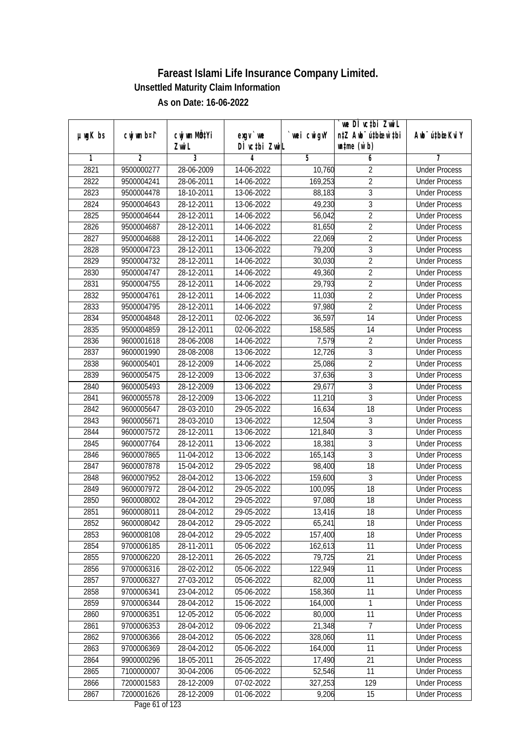|               |                |                           |               |             | we DI vctbi ZwiL                 |                             |
|---------------|----------------|---------------------------|---------------|-------------|----------------------------------|-----------------------------|
| $µ$ ug $K$ bs | cwj wm b¤i^    | cwj wm MQ <sup>1</sup> Yi | $exgV$ we     | `wei cwigvY | n‡Z Awb <sup>-</sup> ú‡bicen`‡bi | Awb <sup>-</sup> ú‡bioeKviY |
|               |                | Zwi L                     | DÌ vctbi ZwiL |             | $\n  untime\n  (u`b)\n$          |                             |
| 1             | $\overline{2}$ | 3                         | 4             | 5           | 6                                | 7                           |
| 2821          | 9500000277     | 28-06-2009                | 14-06-2022    | 10,760      | $\overline{2}$                   | <b>Under Process</b>        |
| 2822          | 9500004241     | 28-06-2011                | 14-06-2022    | 169,253     | $\overline{2}$                   | <b>Under Process</b>        |
| 2823          | 9500004478     | 18-10-2011                | 13-06-2022    | 88,183      | $\overline{3}$                   | <b>Under Process</b>        |
| 2824          | 9500004643     | 28-12-2011                | 13-06-2022    | 49,230      | $\overline{3}$                   | <b>Under Process</b>        |
| 2825          | 9500004644     | 28-12-2011                | 14-06-2022    | 56,042      | $\overline{2}$                   | <b>Under Process</b>        |
| 2826          | 9500004687     | 28-12-2011                | 14-06-2022    | 81,650      | $\overline{2}$                   | <b>Under Process</b>        |
| 2827          | 9500004688     | 28-12-2011                | 14-06-2022    | 22,069      | $\overline{2}$                   | <b>Under Process</b>        |
| 2828          | 9500004723     | 28-12-2011                | 13-06-2022    | 79,200      | $\overline{3}$                   | <b>Under Process</b>        |
| 2829          | 9500004732     | 28-12-2011                | 14-06-2022    | 30,030      | $\overline{2}$                   | <b>Under Process</b>        |
| 2830          | 9500004747     | 28-12-2011                | 14-06-2022    | 49,360      | $\overline{2}$                   | <b>Under Process</b>        |
| 2831          | 9500004755     | 28-12-2011                | 14-06-2022    | 29,793      | $\overline{2}$                   | <b>Under Process</b>        |
| 2832          | 9500004761     | 28-12-2011                | 14-06-2022    | 11,030      | $\overline{2}$                   | <b>Under Process</b>        |
| 2833          | 9500004795     | 28-12-2011                | 14-06-2022    | 97,980      | $\overline{2}$                   | <b>Under Process</b>        |
| 2834          | 9500004848     | 28-12-2011                | 02-06-2022    | 36,597      | 14                               | <b>Under Process</b>        |
| 2835          | 9500004859     | 28-12-2011                | 02-06-2022    | 158,585     | 14                               | <b>Under Process</b>        |
| 2836          | 9600001618     | 28-06-2008                | 14-06-2022    | 7,579       | $\overline{2}$                   | <b>Under Process</b>        |
| 2837          | 9600001990     | 28-08-2008                | 13-06-2022    | 12,726      | 3                                | <b>Under Process</b>        |
| 2838          | 9600005401     | 28-12-2009                | 14-06-2022    | 25,086      | $\overline{2}$                   | <b>Under Process</b>        |
| 2839          | 9600005475     | 28-12-2009                | 13-06-2022    | 37,636      | $\overline{3}$                   | <b>Under Process</b>        |
| 2840          | 9600005493     | 28-12-2009                | 13-06-2022    | 29,677      | 3                                | <b>Under Process</b>        |
| 2841          | 9600005578     | 28-12-2009                | 13-06-2022    | 11,210      | $\overline{3}$                   | <b>Under Process</b>        |
| 2842          | 9600005647     | 28-03-2010                | 29-05-2022    | 16,634      | 18                               | <b>Under Process</b>        |
| 2843          | 9600005671     | 28-03-2010                | 13-06-2022    | 12,504      | 3                                | <b>Under Process</b>        |
| 2844          | 9600007572     | 28-12-2011                | 13-06-2022    | 121,840     | $\overline{3}$                   | <b>Under Process</b>        |
| 2845          | 9600007764     | 28-12-2011                | 13-06-2022    | 18,381      | $\overline{3}$                   | <b>Under Process</b>        |
| 2846          | 9600007865     | 11-04-2012                | 13-06-2022    | 165,143     | $\overline{3}$                   | <b>Under Process</b>        |
| 2847          | 9600007878     | 15-04-2012                | 29-05-2022    | 98,400      | 18                               | <b>Under Process</b>        |
| 2848          | 9600007952     | 28-04-2012                | 13-06-2022    | 159,600     | 3                                | <b>Under Process</b>        |
| 2849          | 9600007972     | 28-04-2012                | 29-05-2022    | 100,095     | 18                               | <b>Under Process</b>        |
| 2850          | 9600008002     | 28-04-2012                | 29-05-2022    | 97,080      | 18                               | <b>Under Process</b>        |
| 2851          | 9600008011     | 28-04-2012                | 29-05-2022    | 13,416      | 18                               | <b>Under Process</b>        |
| 2852          | 9600008042     | 28-04-2012                | 29-05-2022    | 65,241      | 18                               | <b>Under Process</b>        |
| 2853          | 9600008108     | 28-04-2012                | 29-05-2022    | 157,400     | 18                               | <b>Under Process</b>        |
| 2854          | 9700006185     | 28-11-2011                | 05-06-2022    | 162,613     | 11                               | <b>Under Process</b>        |
| 2855          | 9700006220     | 28-12-2011                | 26-05-2022    | 79,725      | 21                               | <b>Under Process</b>        |
| 2856          | 9700006316     | 28-02-2012                | 05-06-2022    | 122,949     | 11                               | <b>Under Process</b>        |
| 2857          | 9700006327     | 27-03-2012                | 05-06-2022    | 82,000      | 11                               | <b>Under Process</b>        |
| 2858          | 9700006341     | 23-04-2012                | 05-06-2022    | 158,360     | $\overline{11}$                  | <b>Under Process</b>        |
| 2859          | 9700006344     | 28-04-2012                | 15-06-2022    | 164,000     | 1                                | <b>Under Process</b>        |
| 2860          | 9700006351     | 12-05-2012                | 05-06-2022    | 80,000      | 11                               | <b>Under Process</b>        |
| 2861          | 9700006353     | 28-04-2012                | 09-06-2022    | 21,348      | 7                                | <b>Under Process</b>        |
| 2862          | 9700006366     | 28-04-2012                | 05-06-2022    | 328,060     | 11                               | <b>Under Process</b>        |
| 2863          | 9700006369     | 28-04-2012                | 05-06-2022    | 164,000     | 11                               | <b>Under Process</b>        |
| 2864          | 9900000296     | 18-05-2011                | 26-05-2022    | 17,490      | 21                               | <b>Under Process</b>        |
| 2865          | 7100000007     | 30-04-2006                | 05-06-2022    | 52,546      | 11                               | <b>Under Process</b>        |
| 2866          | 7200001583     | 28-12-2009                | 07-02-2022    | 327,253     | 129                              | <b>Under Process</b>        |
| 2867          | 7200001626     | 28-12-2009                | 01-06-2022    | 9,206       | 15                               | <b>Under Process</b>        |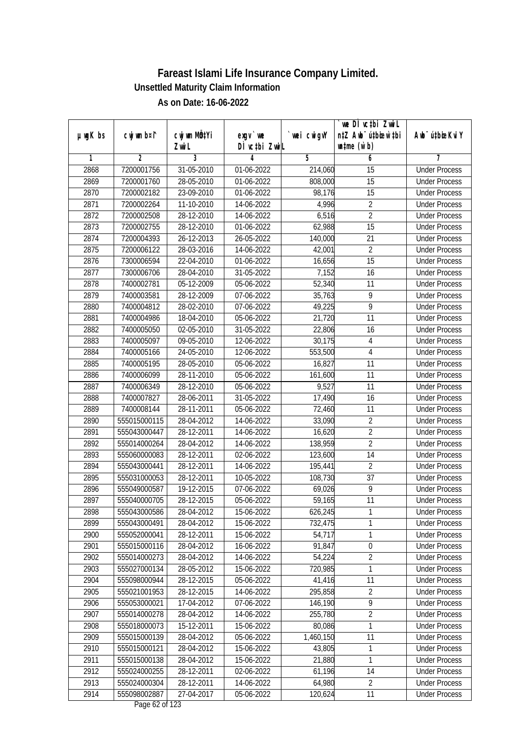|               |                |              |                                          |             | `we DÌ vc‡bi ZwwiL               |                             |
|---------------|----------------|--------------|------------------------------------------|-------------|----------------------------------|-----------------------------|
| $µ$ ug $K$ bs | cwj wm b¤i^    | cwj wm MQtYi | exgy `we                                 | `wei cwigvY | n‡Z Awb <sup>-</sup> ú‡bioen`‡bi | Awb <sup>-</sup> ú‡bioeKviY |
|               |                | Zwi L<br>3   | DÌ vctbi ZwiL                            |             | $\n  untime\n  (u`b)\n$          | 7                           |
| 1             | $\overline{2}$ | 31-05-2010   | 4                                        | 5           | 6                                | <b>Under Process</b>        |
| 2868          | 7200001756     |              | 01-06-2022                               | 214,060     | 15                               |                             |
| 2869          | 7200001760     | 28-05-2010   | 01-06-2022                               | 808,000     | $\overline{15}$                  | <b>Under Process</b>        |
| 2870          | 7200002182     | 23-09-2010   | 01-06-2022                               | 98,176      | 15                               | <b>Under Process</b>        |
| 2871          | 7200002264     | 11-10-2010   | 14-06-2022                               | 4,996       | $\overline{2}$                   | <b>Under Process</b>        |
| 2872          | 7200002508     | 28-12-2010   | 14-06-2022                               | 6,516       | $\overline{2}$                   | <b>Under Process</b>        |
| 2873          | 7200002755     | 28-12-2010   | 01-06-2022                               | 62,988      | $\overline{15}$                  | <b>Under Process</b>        |
| 2874          | 7200004393     | 26-12-2013   | 26-05-2022                               | 140,000     | $\overline{21}$                  | <b>Under Process</b>        |
| 2875          | 7200006122     | 28-03-2016   | 14-06-2022                               | 42,001      | $\overline{2}$                   | <b>Under Process</b>        |
| 2876          | 7300006594     | 22-04-2010   | 01-06-2022                               | 16,656      | 15                               | <b>Under Process</b>        |
| 2877          | 7300006706     | 28-04-2010   | 31-05-2022                               | 7,152       | 16                               | <b>Under Process</b>        |
| 2878          | 7400002781     | 05-12-2009   | 05-06-2022                               | 52,340      | 11                               | <b>Under Process</b>        |
| 2879          | 7400003581     | 28-12-2009   | 07-06-2022                               | 35,763      | 9                                | <b>Under Process</b>        |
| 2880          | 7400004812     | 28-02-2010   | 07-06-2022                               | 49,225      | $\overline{9}$                   | <b>Under Process</b>        |
| 2881          | 7400004986     | 18-04-2010   | 05-06-2022                               | 21,720      | 11                               | <b>Under Process</b>        |
| 2882          | 7400005050     | 02-05-2010   | 31-05-2022                               | 22,806      | 16                               | <b>Under Process</b>        |
| 2883          | 7400005097     | 09-05-2010   | 12-06-2022                               | 30,175      | 4                                | <b>Under Process</b>        |
| 2884          | 7400005166     | 24-05-2010   | 12-06-2022                               | 553,500     | 4                                | <b>Under Process</b>        |
| 2885          | 7400005195     | 28-05-2010   | 05-06-2022                               | 16,827      | 11                               | <b>Under Process</b>        |
| 2886          | 7400006099     | 28-11-2010   | 05-06-2022                               | 161,600     | 11                               | <b>Under Process</b>        |
| 2887          | 7400006349     | 28-12-2010   | 05-06-2022                               | 9,527       | 11                               | <b>Under Process</b>        |
| 2888          | 7400007827     | 28-06-2011   | 31-05-2022                               | 17,490      | 16                               | <b>Under Process</b>        |
| 2889          | 7400008144     | 28-11-2011   | 05-06-2022                               | 72,460      | 11                               | <b>Under Process</b>        |
| 2890          | 555015000115   | 28-04-2012   | 14-06-2022                               | 33,090      | $\overline{2}$                   | <b>Under Process</b>        |
| 2891          | 555043000447   | 28-12-2011   | 14-06-2022                               | 16,620      | $\overline{2}$                   | <b>Under Process</b>        |
| 2892          | 555014000264   | 28-04-2012   | 14-06-2022                               | 138,959     | $\overline{2}$                   | <b>Under Process</b>        |
| 2893          | 555060000083   | 28-12-2011   | 02-06-2022                               | 123,600     | 14                               | <b>Under Process</b>        |
| 2894          | 555043000441   | 28-12-2011   | 14-06-2022                               | 195,441     | $\overline{2}$                   | <b>Under Process</b>        |
| 2895          | 555031000053   | 28-12-2011   | 10-05-2022                               | 108,730     | 37                               | <b>Under Process</b>        |
| 2896          | 555049000587   | 19-12-2015   | 07-06-2022                               | 69,026      | 9                                | <b>Under Process</b>        |
| 2897          | 555040000705   | 28-12-2015   | 05-06-2022                               | 59,165      | 11                               | <b>Under Process</b>        |
| 2898          | 555043000586   | 28-04-2012   | 15-06-2022                               | 626,245     | 1                                | <b>Under Process</b>        |
| 2899          | 555043000491   | 28-04-2012   | 15-06-2022                               | 732,475     | 1                                | <b>Under Process</b>        |
| 2900          | 555052000041   | 28-12-2011   | 15-06-2022                               | 54,717      | 1                                | <b>Under Process</b>        |
| 2901          | 555015000116   | 28-04-2012   | 16-06-2022                               | 91,847      | $\boldsymbol{0}$                 | <b>Under Process</b>        |
| 2902          | 555014000273   | 28-04-2012   | 14-06-2022                               | 54,224      | $\overline{2}$                   | <b>Under Process</b>        |
| 2903          | 555027000134   | 28-05-2012   | 15-06-2022                               | 720,985     | 1                                | <b>Under Process</b>        |
| 2904          | 555098000944   | 28-12-2015   | 05-06-2022                               | 41,416      | 11                               | <b>Under Process</b>        |
| 2905          | 555021001953   | 28-12-2015   | 14-06-2022                               | 295,858     | $\overline{2}$                   | <b>Under Process</b>        |
| 2906          | 555053000021   | 17-04-2012   | 07-06-2022                               | 146,190     | $\overline{9}$                   | <b>Under Process</b>        |
| 2907          | 555014000278   | 28-04-2012   | 14-06-2022                               | 255,780     | $\overline{2}$                   | <b>Under Process</b>        |
| 2908          | 555018000073   | 15-12-2011   | 15-06-2022                               | 80,086      | 1                                | <b>Under Process</b>        |
| 2909          | 555015000139   | 28-04-2012   | 05-06-2022                               | 1,460,150   | 11                               | <b>Under Process</b>        |
| 2910          | 555015000121   | 28-04-2012   | 15-06-2022                               | 43,805      | 1                                | <b>Under Process</b>        |
| 2911          | 555015000138   | 28-04-2012   | 15-06-2022                               | 21,880      | 1                                | <b>Under Process</b>        |
| 2912          | 555024000255   | 28-12-2011   | 02-06-2022                               | 61,196      | 14                               | <b>Under Process</b>        |
| 2913          | 555024000304   | 28-12-2011   | 14-06-2022                               | 64,980      | 2                                | <b>Under Process</b>        |
| 2914          | 555098002887   | 27-04-2017   | 05-06-2022<br>$D_{\text{max}}$ (2 of 122 | 120,624     | 11                               | <b>Under Process</b>        |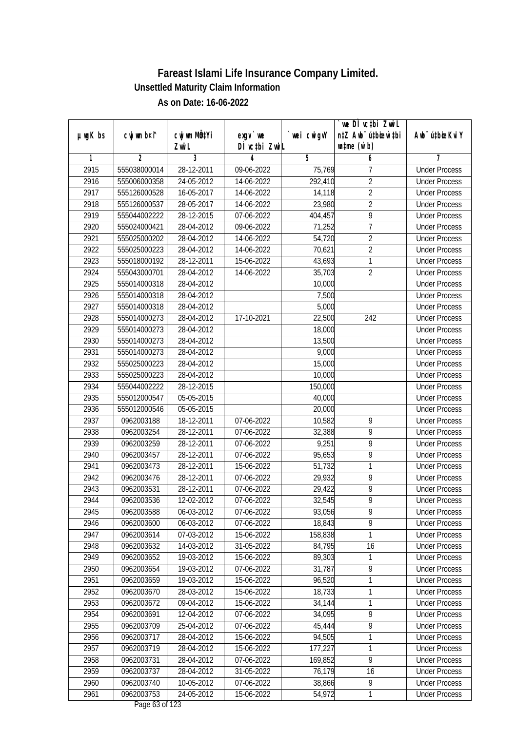|               |                |              |                                                       |             | `we DÌ vc‡bi ZwwiL               |                             |
|---------------|----------------|--------------|-------------------------------------------------------|-------------|----------------------------------|-----------------------------|
| $µ$ ug $K$ bs | cwj wm b¤i^    | CW wm MQYi   | $exgV$ we                                             | `wei cwigvY | n‡Z Awb <sup>-</sup> ú‡bioen`‡bi | Awb <sup>-</sup> ú‡bioeKviY |
|               |                | Zwi L        | DÌ vctbi ZwiL                                         |             | $\n  untime\n  (u`b)\n$          |                             |
| 1             | $\mathfrak{p}$ | 3            | 4                                                     | 5           | 6                                | 7                           |
| 2915          | 555038000014   | 28-12-2011   | 09-06-2022                                            | 75,769      | 7                                | <b>Under Process</b>        |
| 2916          | 555006000358   | 24-05-2012   | 14-06-2022                                            | 292,410     | $\overline{2}$                   | <b>Under Process</b>        |
| 2917          | 555126000528   | 16-05-2017   | 14-06-2022                                            | 14,118      | $\overline{2}$                   | <b>Under Process</b>        |
| 2918          | 555126000537   | 28-05-2017   | 14-06-2022                                            | 23,980      | $\overline{2}$                   | <b>Under Process</b>        |
| 2919          | 555044002222   | 28-12-2015   | 07-06-2022                                            | 404,457     | 9                                | <b>Under Process</b>        |
| 2920          | 555024000421   | 28-04-2012   | 09-06-2022                                            | 71,252      | $\overline{7}$                   | <b>Under Process</b>        |
| 2921          | 555025000202   | 28-04-2012   | 14-06-2022                                            | 54,720      | $\overline{2}$                   | <b>Under Process</b>        |
| 2922          | 555025000223   | 28-04-2012   | 14-06-2022                                            | 70,621      | $\overline{2}$                   | <b>Under Process</b>        |
| 2923          | 555018000192   | 28-12-2011   | 15-06-2022                                            | 43,693      | 1                                | <b>Under Process</b>        |
| 2924          | 555043000701   | 28-04-2012   | 14-06-2022                                            | 35,703      | $\overline{2}$                   | <b>Under Process</b>        |
| 2925          | 555014000318   | 28-04-2012   |                                                       | 10,000      |                                  | <b>Under Process</b>        |
| 2926          | 555014000318   | 28-04-2012   |                                                       | 7,500       |                                  | <b>Under Process</b>        |
| 2927          | 555014000318   | 28-04-2012   |                                                       | 5,000       |                                  | <b>Under Process</b>        |
| 2928          | 555014000273   | 28-04-2012   | 17-10-2021                                            | 22,500      | 242                              | <b>Under Process</b>        |
| 2929          | 555014000273   | 28-04-2012   |                                                       | 18,000      |                                  | <b>Under Process</b>        |
| 2930          | 555014000273   | 28-04-2012   |                                                       | 13,500      |                                  | <b>Under Process</b>        |
| 2931          | 555014000273   | 28-04-2012   |                                                       | 9,000       |                                  | <b>Under Process</b>        |
| 2932          | 555025000223   | 28-04-2012   |                                                       | 15,000      |                                  | <b>Under Process</b>        |
| 2933          | 555025000223   | 28-04-2012   |                                                       | 10,000      |                                  | <b>Under Process</b>        |
| 2934          | 555044002222   | $28-12-2015$ |                                                       | 150,000     |                                  | <b>Under Process</b>        |
| 2935          | 555012000547   | 05-05-2015   |                                                       | 40,000      |                                  | <b>Under Process</b>        |
| 2936          | 555012000546   | 05-05-2015   |                                                       | 20,000      |                                  | <b>Under Process</b>        |
| 2937          | 0962003188     | 18-12-2011   | 07-06-2022                                            | 10,582      | 9                                | <b>Under Process</b>        |
| 2938          | 0962003254     | 28-12-2011   | 07-06-2022                                            | 32,388      | $\overline{9}$                   | <b>Under Process</b>        |
| 2939          | 0962003259     | 28-12-2011   | 07-06-2022                                            | 9,251       | 9                                | <b>Under Process</b>        |
| 2940          | 0962003457     | 28-12-2011   | 07-06-2022                                            | 95,653      | 9                                | <b>Under Process</b>        |
| 2941          | 0962003473     | 28-12-2011   | 15-06-2022                                            | 51,732      | 1                                | <b>Under Process</b>        |
| 2942          | 0962003476     | 28-12-2011   | 07-06-2022                                            | 29,932      | 9                                | <b>Under Process</b>        |
| 2943          | 0962003531     | 28-12-2011   | 07-06-2022                                            | 29,422      | $\overline{9}$                   | <b>Under Process</b>        |
| 2944          | 0962003536     | 12-02-2012   | 07-06-2022                                            | 32,545      | $\overline{9}$                   | <b>Under Process</b>        |
| 2945          | 0962003588     | 06-03-2012   | 07-06-2022                                            | 93,056      | 9                                | <b>Under Process</b>        |
| 2946          | 0962003600     | 06-03-2012   | 07-06-2022                                            | 18,843      | 9                                | <b>Under Process</b>        |
| 2947          | 0962003614     | 07-03-2012   | 15-06-2022                                            | 158,838     | 1                                | <b>Under Process</b>        |
| 2948          | 0962003632     | 14-03-2012   | 31-05-2022                                            | 84,795      | 16                               | <b>Under Process</b>        |
| 2949          | 0962003652     | 19-03-2012   | 15-06-2022                                            | 89,303      | 1                                | <b>Under Process</b>        |
| 2950          | 0962003654     | 19-03-2012   | 07-06-2022                                            | 31,787      | 9                                | <b>Under Process</b>        |
| 2951          | 0962003659     | $19-03-2012$ | 15-06-2022                                            | 96,520      | 1                                | <b>Under Process</b>        |
| 2952          | 0962003670     | 28-03-2012   | 15-06-2022                                            | 18,733      | 1                                | <b>Under Process</b>        |
| 2953          | 0962003672     | 09-04-2012   | 15-06-2022                                            | 34,144      | 1                                | <b>Under Process</b>        |
| 2954          | 0962003691     | 12-04-2012   | 07-06-2022                                            | 34,095      | $\overline{9}$                   | <b>Under Process</b>        |
| 2955          | 0962003709     | 25-04-2012   | 07-06-2022                                            | 45,444      | $\overline{9}$                   | <b>Under Process</b>        |
| 2956          | 0962003717     | 28-04-2012   | 15-06-2022                                            | 94,505      | 1                                | <b>Under Process</b>        |
| 2957          | 0962003719     | 28-04-2012   | 15-06-2022                                            | 177,227     | 1                                | <b>Under Process</b>        |
| 2958          | 0962003731     | 28-04-2012   | 07-06-2022                                            | 169,852     | $\overline{9}$                   | <b>Under Process</b>        |
| 2959          | 0962003737     | 28-04-2012   | 31-05-2022                                            | 76,179      | 16                               | <b>Under Process</b>        |
| 2960          | 0962003740     | 10-05-2012   | 07-06-2022                                            | 38,866      | 9                                | <b>Under Process</b>        |
| 2961          | 0962003753     | 24-05-2012   | 15-06-2022<br>$D_{\text{max}}$ / $D_{\text{eff}}$ 100 | 54,972      | 1                                | <b>Under Process</b>        |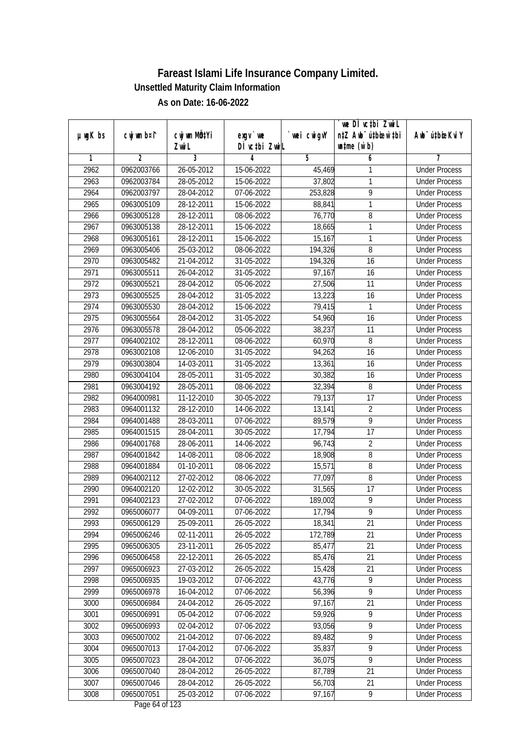|               |                |              |                                                |             | `we DÌ vc‡bi ZwwiL               |                             |
|---------------|----------------|--------------|------------------------------------------------|-------------|----------------------------------|-----------------------------|
| $µ$ ug $K$ bs | cwj wm b¤i^    | cwj wm MQtYi | exgy `we                                       | `wei cwigvY | n‡Z Awb <sup>-</sup> ú‡bioen`‡bi | Awb <sup>-</sup> ú‡bioeKviY |
|               |                | Zwi L        | DÌ vctbi ZwiL                                  |             | $\n  untime\n  (u`b)\n$          |                             |
| 1             | $\overline{2}$ | 3            | 4                                              | 5           | 6                                | 7                           |
| 2962          | 0962003766     | 26-05-2012   | 15-06-2022                                     | 45,469      | 1                                | <b>Under Process</b>        |
| 2963          | 0962003784     | 28-05-2012   | 15-06-2022                                     | 37,802      | 1                                | <b>Under Process</b>        |
| 2964          | 0962003797     | 28-04-2012   | 07-06-2022                                     | 253,828     | 9                                | <b>Under Process</b>        |
| 2965          | 0963005109     | 28-12-2011   | 15-06-2022                                     | 88,841      | 1                                | <b>Under Process</b>        |
| 2966          | 0963005128     | 28-12-2011   | 08-06-2022                                     | 76,770      | 8                                | <b>Under Process</b>        |
| 2967          | 0963005138     | 28-12-2011   | 15-06-2022                                     | 18,665      | 1                                | <b>Under Process</b>        |
| 2968          | 0963005161     | 28-12-2011   | 15-06-2022                                     | 15,167      | 1                                | <b>Under Process</b>        |
| 2969          | 0963005406     | 25-03-2012   | 08-06-2022                                     | 194,326     | 8                                | <b>Under Process</b>        |
| 2970          | 0963005482     | 21-04-2012   | 31-05-2022                                     | 194,326     | 16                               | <b>Under Process</b>        |
| 2971          | 0963005511     | 26-04-2012   | 31-05-2022                                     | 97,167      | 16                               | <b>Under Process</b>        |
| 2972          | 0963005521     | 28-04-2012   | 05-06-2022                                     | 27,506      | 11                               | <b>Under Process</b>        |
| 2973          | 0963005525     | 28-04-2012   | $31 - 05 - 2022$                               | 13,223      | 16                               | <b>Under Process</b>        |
| 2974          | 0963005530     | 28-04-2012   | 15-06-2022                                     | 79,415      | 1                                | <b>Under Process</b>        |
| 2975          | 0963005564     | 28-04-2012   | 31-05-2022                                     | 54,960      | 16                               | <b>Under Process</b>        |
| 2976          | 0963005578     | 28-04-2012   | 05-06-2022                                     | 38,237      | 11                               | <b>Under Process</b>        |
| 2977          | 0964002102     | 28-12-2011   | 08-06-2022                                     | 60,970      | 8                                | <b>Under Process</b>        |
| 2978          | 0963002108     | 12-06-2010   | 31-05-2022                                     | 94,262      | 16                               | <b>Under Process</b>        |
| 2979          | 0963003804     | 14-03-2011   | 31-05-2022                                     | 13,361      | 16                               | <b>Under Process</b>        |
| 2980          | 0963004104     | 28-05-2011   | 31-05-2022                                     | 30,382      | 16                               | <b>Under Process</b>        |
| 2981          | 0963004192     | 28-05-2011   | 08-06-2022                                     | 32,394      | 8                                | <b>Under Process</b>        |
| 2982          | 0964000981     | 11-12-2010   | 30-05-2022                                     | 79,137      | 17                               | <b>Under Process</b>        |
| 2983          | 0964001132     | 28-12-2010   | 14-06-2022                                     | 13,141      | $\overline{2}$                   | <b>Under Process</b>        |
| 2984          | 0964001488     | 28-03-2011   | 07-06-2022                                     | 89,579      | $\overline{9}$                   | <b>Under Process</b>        |
| 2985          | 0964001515     | 28-04-2011   | 30-05-2022                                     | 17,794      | 17                               | <b>Under Process</b>        |
| 2986          | 0964001768     | 28-06-2011   | 14-06-2022                                     | 96,743      | $\sqrt{2}$                       | <b>Under Process</b>        |
| 2987          | 0964001842     | 14-08-2011   | 08-06-2022                                     | 18,908      | 8                                | <b>Under Process</b>        |
| 2988          | 0964001884     | 01-10-2011   | 08-06-2022                                     | 15,571      | 8                                | <b>Under Process</b>        |
| 2989          | 0964002112     | 27-02-2012   | 08-06-2022                                     | 77,097      | $8\,$                            | <b>Under Process</b>        |
| 2990          | 0964002120     | 12-02-2012   | 30-05-2022                                     | 31,565      | 17                               | <b>Under Process</b>        |
| 2991          | 0964002123     | 27-02-2012   | 07-06-2022                                     | 189,002     | 9                                | <b>Under Process</b>        |
| 2992          | 0965006077     | 04-09-2011   | 07-06-2022                                     | 17,794      | 9                                | <b>Under Process</b>        |
| 2993          | 0965006129     | 25-09-2011   | 26-05-2022                                     | 18,341      | 21                               | <b>Under Process</b>        |
| 2994          | 0965006246     | 02-11-2011   | 26-05-2022                                     | 172,789     | 21                               | <b>Under Process</b>        |
| 2995          | 0965006305     | 23-11-2011   | 26-05-2022                                     | 85,477      | 21                               | <b>Under Process</b>        |
| 2996          | 0965006458     | 22-12-2011   | 26-05-2022                                     | 85,476      | 21                               | <b>Under Process</b>        |
| 2997          | 0965006923     | 27-03-2012   | 26-05-2022                                     | 15,428      | 21                               | <b>Under Process</b>        |
| 2998          | 0965006935     | 19-03-2012   | 07-06-2022                                     | 43,776      | $\overline{9}$                   | <b>Under Process</b>        |
| 2999          | 0965006978     | 16-04-2012   | 07-06-2022                                     | 56,396      | $\overline{9}$                   | <b>Under Process</b>        |
| 3000          | 0965006984     | 24-04-2012   | 26-05-2022                                     | 97,167      | 21                               | <b>Under Process</b>        |
| 3001          | 0965006991     | 05-04-2012   | 07-06-2022                                     | 59,926      | 9                                | <b>Under Process</b>        |
| 3002          | 0965006993     | 02-04-2012   | 07-06-2022                                     | 93,056      | $\overline{9}$                   | <b>Under Process</b>        |
| 3003          | 0965007002     | 21-04-2012   | 07-06-2022                                     | 89,482      | $\overline{9}$                   | <b>Under Process</b>        |
| 3004          | 0965007013     | 17-04-2012   | 07-06-2022                                     | 35,837      | $\overline{9}$                   | <b>Under Process</b>        |
| 3005          | 0965007023     | 28-04-2012   | 07-06-2022                                     | 36,075      | $\overline{9}$                   | <b>Under Process</b>        |
| 3006          | 0965007040     | 28-04-2012   | 26-05-2022                                     | 87,789      | 21                               | <b>Under Process</b>        |
| 3007          | 0965007046     | 28-04-2012   | 26-05-2022                                     | 56,703      | 21                               | <b>Under Process</b>        |
| 3008          | 0965007051     | 25-03-2012   | 07-06-2022<br>$D_{\text{max}}$ / $\ell$ of 122 | 97,167      | $\overline{9}$                   | <b>Under Process</b>        |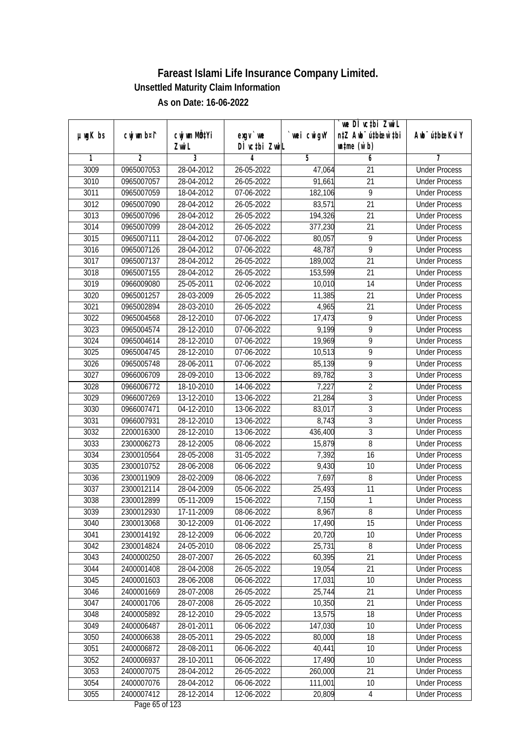| $µ$ ug $K$ bs | cwj wm b¤i^    | cwj wm MQtYi | $exgV$ we        | wei cwigvY | we DI vctbi ZwiL<br>n‡Z Awb <sup>-</sup> ú‡bioar`‡bi | Awb <sup>-</sup> ú‡bioeKviY |
|---------------|----------------|--------------|------------------|------------|------------------------------------------------------|-----------------------------|
|               |                | Zwi L        | DÌ vctbi ZwiL    |            | $\n  untime\n  (u`b)\n$                              |                             |
| 1             | $\overline{2}$ | 3            | 4                | 5          | 6                                                    | 7                           |
| 3009          | 0965007053     | 28-04-2012   | 26-05-2022       | 47,064     | 21                                                   | <b>Under Process</b>        |
| 3010          | 0965007057     | 28-04-2012   | $26 - 05 - 2022$ | 91,661     | $\overline{21}$                                      | <b>Under Process</b>        |
| 3011          | 0965007059     | 18-04-2012   | 07-06-2022       | 182,106    | $\overline{9}$                                       | <b>Under Process</b>        |
| 3012          | 0965007090     | 28-04-2012   | 26-05-2022       | 83,571     | 21                                                   | <b>Under Process</b>        |
| 3013          | 0965007096     | 28-04-2012   | 26-05-2022       | 194,326    | $\overline{21}$                                      | <b>Under Process</b>        |
| 3014          | 0965007099     | 28-04-2012   | 26-05-2022       | 377,230    | $\overline{21}$                                      | <b>Under Process</b>        |
| 3015          | 0965007111     | 28-04-2012   | 07-06-2022       | 80,057     | $\overline{9}$                                       | <b>Under Process</b>        |
| 3016          | 0965007126     | 28-04-2012   | 07-06-2022       | 48,787     | $\overline{9}$                                       | <b>Under Process</b>        |
| 3017          | 0965007137     | 28-04-2012   | 26-05-2022       | 189,002    | 21                                                   | <b>Under Process</b>        |
| 3018          | 0965007155     | 28-04-2012   | 26-05-2022       | 153,599    | 21                                                   | <b>Under Process</b>        |
| 3019          | 0966009080     | 25-05-2011   | 02-06-2022       | 10,010     | $\overline{14}$                                      | <b>Under Process</b>        |
| 3020          | 0965001257     | 28-03-2009   | 26-05-2022       | 11,385     | 21                                                   | <b>Under Process</b>        |
| 3021          | 0965002894     | 28-03-2010   | 26-05-2022       | 4,965      | $\overline{21}$                                      | <b>Under Process</b>        |
| 3022          | 0965004568     | 28-12-2010   | 07-06-2022       | 17,473     | 9                                                    | <b>Under Process</b>        |
| 3023          | 0965004574     | 28-12-2010   | 07-06-2022       | 9,199      | $\overline{9}$                                       | <b>Under Process</b>        |
| 3024          | 0965004614     | 28-12-2010   | 07-06-2022       | 19,969     | 9                                                    | <b>Under Process</b>        |
| 3025          | 0965004745     | 28-12-2010   | 07-06-2022       | 10,513     | $\overline{9}$                                       | <b>Under Process</b>        |
| 3026          | 0965005748     | 28-06-2011   | 07-06-2022       | 85,139     | $\overline{9}$                                       | <b>Under Process</b>        |
| 3027          | 0966006709     | 28-09-2010   | 13-06-2022       | 89,782     | $\mathfrak{Z}$                                       | <b>Under Process</b>        |
| 3028          | 0966006772     | 18-10-2010   | 14-06-2022       | 7,227      | $\overline{2}$                                       | <b>Under Process</b>        |
| 3029          | 0966007269     | 13-12-2010   | 13-06-2022       | 21,284     | $\mathfrak{Z}$                                       | <b>Under Process</b>        |
| 3030          | 0966007471     | 04-12-2010   | 13-06-2022       | 83,017     | 3                                                    | <b>Under Process</b>        |
| 3031          | 0966007931     | 28-12-2010   | 13-06-2022       | 8,743      | $\mathfrak{Z}$                                       | <b>Under Process</b>        |
| 3032          | 2200016300     | 28-12-2010   | 13-06-2022       | 436,400    | $\overline{3}$                                       | <b>Under Process</b>        |
| 3033          | 2300006273     | 28-12-2005   | 08-06-2022       | 15,879     | $\, 8$                                               | <b>Under Process</b>        |
| 3034          | 2300010564     | 28-05-2008   | 31-05-2022       | 7,392      | 16                                                   | <b>Under Process</b>        |
| 3035          | 2300010752     | 28-06-2008   | 06-06-2022       | 9,430      | 10                                                   | <b>Under Process</b>        |
| 3036          | 2300011909     | 28-02-2009   | 08-06-2022       | 7,697      | 8                                                    | <b>Under Process</b>        |
| 3037          | 2300012114     | 28-04-2009   | 05-06-2022       | 25,493     | 11                                                   | <b>Under Process</b>        |
| 3038          | 2300012899     | 05-11-2009   | 15-06-2022       | 7,150      | $\mathbf{1}$                                         | <b>Under Process</b>        |
| 3039          | 2300012930     | 17-11-2009   | 08-06-2022       | 8,967      | 8                                                    | <b>Under Process</b>        |
| 3040          | 2300013068     | 30-12-2009   | 01-06-2022       | 17,490     | 15                                                   | <b>Under Process</b>        |
| 3041          | 2300014192     | 28-12-2009   | 06-06-2022       | 20,720     | 10                                                   | <b>Under Process</b>        |
| 3042          | 2300014824     | 24-05-2010   | 08-06-2022       | 25,731     | 8                                                    | <b>Under Process</b>        |
| 3043          | 2400000250     | 28-07-2007   | 26-05-2022       | 60,395     | 21                                                   | <b>Under Process</b>        |
| 3044          | 2400001408     | 28-04-2008   | 26-05-2022       | 19,054     | 21                                                   | <b>Under Process</b>        |
| 3045          | 2400001603     | 28-06-2008   | 06-06-2022       | 17,031     | 10                                                   | <b>Under Process</b>        |
| 3046          | 2400001669     | 28-07-2008   | 26-05-2022       | 25,744     | 21                                                   | <b>Under Process</b>        |
| 3047          | 2400001706     | 28-07-2008   | 26-05-2022       | 10,350     | 21                                                   | <b>Under Process</b>        |
| 3048          | 2400005892     | 28-12-2010   | 29-05-2022       | 13,575     | 18                                                   | <b>Under Process</b>        |
| 3049          | 2400006487     | 28-01-2011   | 06-06-2022       | 147,030    | 10                                                   | <b>Under Process</b>        |
| 3050          | 2400006638     | 28-05-2011   | 29-05-2022       | 80,000     | 18                                                   | <b>Under Process</b>        |
| 3051          | 2400006872     | 28-08-2011   | 06-06-2022       | 40,441     | 10                                                   | <b>Under Process</b>        |
| 3052          | 2400006937     | 28-10-2011   | 06-06-2022       | 17,490     | 10                                                   | <b>Under Process</b>        |
| 3053          | 2400007075     | 28-04-2012   | 26-05-2022       | 260,000    | 21                                                   | <b>Under Process</b>        |
| 3054          | 2400007076     | 28-04-2012   | 06-06-2022       | 111,001    | 10                                                   | <b>Under Process</b>        |
| 3055          | 2400007412     | 28-12-2014   | 12-06-2022       | 20,809     | $\overline{4}$                                       | <b>Under Process</b>        |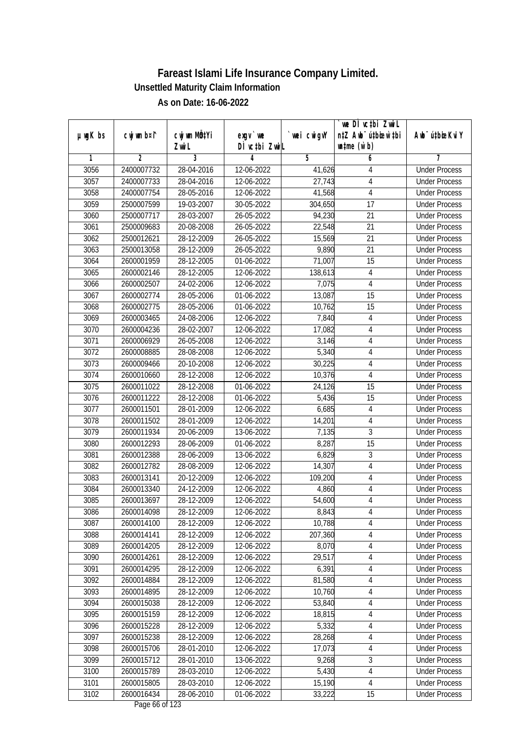|               |                |              |               |            | we DI vctbi Zwil                 |                             |
|---------------|----------------|--------------|---------------|------------|----------------------------------|-----------------------------|
| $µ$ ug $K$ bs | cwj wm b¤i^    | cwj wm MQtYi | $exgV$ we     | wei cwigvY | n‡Z Awb <sup>-</sup> ú‡bioen`‡bi | Awb <sup>-</sup> ú‡bioeKviY |
|               |                | Zwi L        | DÌ vctbi ZwiL |            | $\n  untime\n  (u`b)\n$          |                             |
| 1             | $\overline{2}$ | 3            | 4             | 5          | 6                                | 7                           |
| 3056          | 2400007732     | 28-04-2016   | 12-06-2022    | 41,626     | 4                                | <b>Under Process</b>        |
| 3057          | 2400007733     | 28-04-2016   | 12-06-2022    | 27,743     | $\sqrt{4}$                       | <b>Under Process</b>        |
| 3058          | 2400007754     | 28-05-2016   | 12-06-2022    | 41,568     | $\overline{\mathbf{4}}$          | <b>Under Process</b>        |
| 3059          | 2500007599     | 19-03-2007   | 30-05-2022    | 304,650    | 17                               | <b>Under Process</b>        |
| 3060          | 2500007717     | 28-03-2007   | 26-05-2022    | 94,230     | $\overline{21}$                  | <b>Under Process</b>        |
| 3061          | 2500009683     | 20-08-2008   | 26-05-2022    | 22,548     | $\overline{21}$                  | <b>Under Process</b>        |
| 3062          | 2500012621     | 28-12-2009   | 26-05-2022    | 15,569     | $\overline{21}$                  | <b>Under Process</b>        |
| 3063          | 2500013058     | 28-12-2009   | 26-05-2022    | 9,890      | 21                               | <b>Under Process</b>        |
| 3064          | 2600001959     | 28-12-2005   | 01-06-2022    | 71,007     | 15                               | <b>Under Process</b>        |
| 3065          | 2600002146     | 28-12-2005   | 12-06-2022    | 138,613    | $\overline{4}$                   | <b>Under Process</b>        |
| 3066          | 2600002507     | 24-02-2006   | 12-06-2022    | 7,075      | 4                                | <b>Under Process</b>        |
| 3067          | 2600002774     | 28-05-2006   | 01-06-2022    | 13,087     | 15                               | <b>Under Process</b>        |
| 3068          | 2600002775     | 28-05-2006   | 01-06-2022    | 10,762     | $\overline{15}$                  | <b>Under Process</b>        |
| 3069          | 2600003465     | 24-08-2006   | 12-06-2022    | 7,840      | 4                                | <b>Under Process</b>        |
| 3070          | 2600004236     | 28-02-2007   | 12-06-2022    | 17,082     | $\overline{4}$                   | <b>Under Process</b>        |
| 3071          | 2600006929     | 26-05-2008   | 12-06-2022    | 3,146      | 4                                | <b>Under Process</b>        |
| 3072          | 2600008885     | 28-08-2008   | 12-06-2022    | 5,340      | $\overline{4}$                   | <b>Under Process</b>        |
| 3073          | 2600009466     | 20-10-2008   | 12-06-2022    | 30,225     | $\overline{\mathbf{4}}$          | <b>Under Process</b>        |
| 3074          | 2600010660     | 28-12-2008   | 12-06-2022    | 10,376     | $\overline{4}$                   | <b>Under Process</b>        |
| 3075          | 2600011022     | 28-12-2008   | 01-06-2022    | 24,126     | 15                               | <b>Under Process</b>        |
| 3076          | 2600011222     | 28-12-2008   | 01-06-2022    | 5,436      | 15                               | <b>Under Process</b>        |
| 3077          | 2600011501     | 28-01-2009   | 12-06-2022    | 6,685      | 4                                | <b>Under Process</b>        |
| 3078          | 2600011502     | 28-01-2009   | 12-06-2022    | 14,201     | $\overline{4}$                   | <b>Under Process</b>        |
| 3079          | 2600011934     | 20-06-2009   | 13-06-2022    | 7,135      | $\overline{3}$                   | <b>Under Process</b>        |
| 3080          | 2600012293     | 28-06-2009   | 01-06-2022    | 8,287      | 15                               | <b>Under Process</b>        |
| 3081          | 2600012388     | 28-06-2009   | 13-06-2022    | 6,829      | 3                                | <b>Under Process</b>        |
| 3082          | 2600012782     | 28-08-2009   | 12-06-2022    | 14,307     | $\sqrt{4}$                       | <b>Under Process</b>        |
| 3083          | 2600013141     | 20-12-2009   | 12-06-2022    | 109,200    | $\overline{4}$                   | <b>Under Process</b>        |
| 3084          | 2600013340     | 24-12-2009   | 12-06-2022    | 4,860      | $\sqrt{4}$                       | <b>Under Process</b>        |
| 3085          | 2600013697     | 28-12-2009   | 12-06-2022    | 54,600     | $\overline{4}$                   | <b>Under Process</b>        |
| 3086          | 2600014098     | 28-12-2009   | 12-06-2022    | 8,843      | 4                                | <b>Under Process</b>        |
| 3087          | 2600014100     | 28-12-2009   | 12-06-2022    | 10,788     | 4                                | <b>Under Process</b>        |
| 3088          | 2600014141     | 28-12-2009   | 12-06-2022    | 207,360    | 4                                | <b>Under Process</b>        |
| 3089          | 2600014205     | 28-12-2009   | 12-06-2022    | 8,070      | $\overline{4}$                   | <b>Under Process</b>        |
| 3090          | 2600014261     | 28-12-2009   | 12-06-2022    | 29,517     | 4                                | <b>Under Process</b>        |
| 3091          | 2600014295     | 28-12-2009   | 12-06-2022    | 6,391      | 4                                | <b>Under Process</b>        |
| 3092          | 2600014884     | 28-12-2009   | 12-06-2022    | 81,580     | 4                                | <b>Under Process</b>        |
| 3093          | 2600014895     | 28-12-2009   | 12-06-2022    | 10,760     | 4                                | <b>Under Process</b>        |
| 3094          | 2600015038     | 28-12-2009   | 12-06-2022    | 53,840     | 4                                | <b>Under Process</b>        |
| 3095          | 2600015159     | 28-12-2009   | 12-06-2022    | 18,815     | 4                                | <b>Under Process</b>        |
| 3096          | 2600015228     | 28-12-2009   | 12-06-2022    | 5,332      | 4                                | <b>Under Process</b>        |
| 3097          | 2600015238     | 28-12-2009   | 12-06-2022    | 28,268     | $\overline{4}$                   | <b>Under Process</b>        |
| 3098          | 2600015706     | 28-01-2010   | 12-06-2022    | 17,073     | 4                                | <b>Under Process</b>        |
| 3099          | 2600015712     | 28-01-2010   | 13-06-2022    | 9,268      | 3                                | <b>Under Process</b>        |
| 3100          | 2600015789     | 28-03-2010   | 12-06-2022    | 5,430      | $\overline{4}$                   | <b>Under Process</b>        |
| 3101          | 2600015805     | 28-03-2010   | 12-06-2022    | 15,190     | $\overline{4}$                   | <b>Under Process</b>        |
| 3102          | 2600016434     | 28-06-2010   | 01-06-2022    | 33,222     | 15                               | <b>Under Process</b>        |
|               |                |              |               |            |                                  |                             |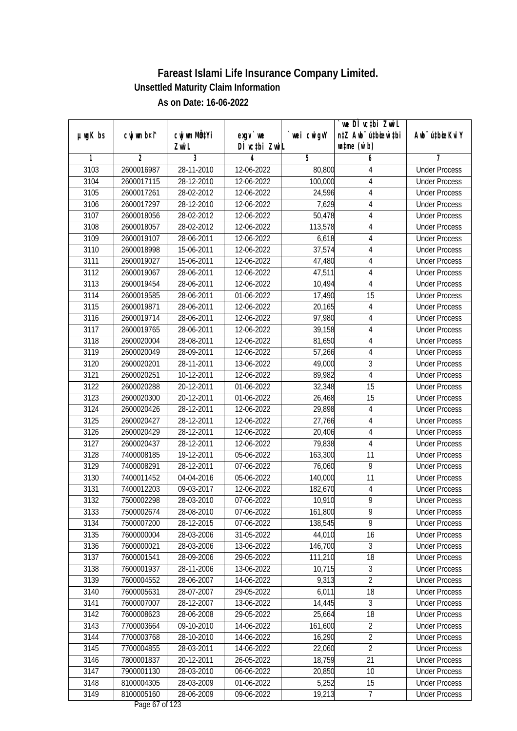|               |                |              |                  |            | we DI vctbi ZwiL                 |                             |
|---------------|----------------|--------------|------------------|------------|----------------------------------|-----------------------------|
| $µ$ ug $K$ bs | cwj wm b¤i^    | cwj wm MÖ¢Yi | $exgV$ we        | wei cwigvY | n‡Z Awb <sup>-</sup> ú‡bicen`‡bi | Awb <sup>-</sup> ú‡bioeKviY |
|               |                | Zwi L        | DÌ vctbi ZwiL    |            | $\n  untime\n  (u`b)\n$          |                             |
| 1             | $\overline{2}$ | 3            | 4                | 5          | 6                                | 7                           |
| 3103          | 2600016987     | 28-11-2010   | 12-06-2022       | 80,800     | 4                                | <b>Under Process</b>        |
| 3104          | 2600017115     | 28-12-2010   | 12-06-2022       | 100,000    | $\overline{4}$                   | <b>Under Process</b>        |
| 3105          | 2600017261     | 28-02-2012   | 12-06-2022       | 24,596     | $\overline{4}$                   | <b>Under Process</b>        |
| 3106          | 2600017297     | 28-12-2010   | 12-06-2022       | 7,629      | $\overline{4}$                   | <b>Under Process</b>        |
| 3107          | 2600018056     | 28-02-2012   | 12-06-2022       | 50,478     | $\overline{4}$                   | <b>Under Process</b>        |
| 3108          | 2600018057     | 28-02-2012   | 12-06-2022       | 113,578    | 4                                | <b>Under Process</b>        |
| 3109          | 2600019107     | 28-06-2011   | 12-06-2022       | 6,618      | $\overline{4}$                   | <b>Under Process</b>        |
| 3110          | 2600018998     | 15-06-2011   | 12-06-2022       | 37,574     | 4                                | <b>Under Process</b>        |
| 3111          | 2600019027     | 15-06-2011   | 12-06-2022       | 47,480     | $\overline{4}$                   | <b>Under Process</b>        |
| 3112          | 2600019067     | 28-06-2011   | 12-06-2022       | 47,511     | $\overline{4}$                   | <b>Under Process</b>        |
| 3113          | 2600019454     | 28-06-2011   | 12-06-2022       | 10,494     | 4                                | <b>Under Process</b>        |
| 3114          | 2600019585     | 28-06-2011   | 01-06-2022       | 17,490     | 15                               | <b>Under Process</b>        |
| 3115          | 2600019871     | 28-06-2011   | 12-06-2022       | 20,165     | $\overline{4}$                   | <b>Under Process</b>        |
| 3116          | 2600019714     | 28-06-2011   | 12-06-2022       | 97,980     | 4                                | <b>Under Process</b>        |
| 3117          | 2600019765     | 28-06-2011   | 12-06-2022       | 39,158     | $\overline{4}$                   | <b>Under Process</b>        |
| 3118          | 2600020004     | 28-08-2011   | 12-06-2022       | 81,650     | $\overline{4}$                   | <b>Under Process</b>        |
| 3119          | 2600020049     | 28-09-2011   | 12-06-2022       | 57,266     | $\overline{4}$                   | <b>Under Process</b>        |
| 3120          | 2600020201     | 28-11-2011   | 13-06-2022       | 49,000     | $\mathfrak{Z}$                   | <b>Under Process</b>        |
| 3121          | 2600020251     | 10-12-2011   | 12-06-2022       | 89,982     | $\overline{4}$                   | <b>Under Process</b>        |
| 3122          | 2600020288     | 20-12-2011   | 01-06-2022       | 32,348     | 15                               | <b>Under Process</b>        |
| 3123          | 2600020300     | 20-12-2011   | 01-06-2022       | 26,468     | 15                               | <b>Under Process</b>        |
| 3124          | 2600020426     | 28-12-2011   | 12-06-2022       | 29,898     | 4                                | <b>Under Process</b>        |
| 3125          | 2600020427     | 28-12-2011   | 12-06-2022       | 27,766     | $\overline{4}$                   | <b>Under Process</b>        |
| 3126          | 2600020429     | 28-12-2011   | 12-06-2022       | 20,406     | $\overline{4}$                   | <b>Under Process</b>        |
| 3127          | 2600020437     | 28-12-2011   | 12-06-2022       | 79,838     | $\overline{4}$                   | <b>Under Process</b>        |
| 3128          | 7400008185     | 19-12-2011   | 05-06-2022       | 163,300    | 11                               | <b>Under Process</b>        |
| 3129          | 7400008291     | 28-12-2011   | 07-06-2022       | 76,060     | 9                                | <b>Under Process</b>        |
| 3130          | 7400011452     | 04-04-2016   | 05-06-2022       | 140,000    | 11                               | <b>Under Process</b>        |
| 3131          | 7400012203     | 09-03-2017   | 12-06-2022       | 182,670    | $\sqrt{4}$                       | <b>Under Process</b>        |
| 3132          | 7500002298     | 28-03-2010   | 07-06-2022       | 10,910     | $\overline{9}$                   | <b>Under Process</b>        |
| 3133          | 7500002674     | 28-08-2010   | 07-06-2022       | 161,800    | 9                                | <b>Under Process</b>        |
| 3134          | 7500007200     | 28-12-2015   | 07-06-2022       | 138,545    | 9                                | <b>Under Process</b>        |
| 3135          | 7600000004     | 28-03-2006   | 31-05-2022       | 44,010     | 16                               | <b>Under Process</b>        |
| 3136          | 7600000021     | 28-03-2006   | 13-06-2022       | 146,700    | $\overline{3}$                   | <b>Under Process</b>        |
| 3137          | 7600001541     | 28-09-2006   | 29-05-2022       | 111,210    | 18                               | <b>Under Process</b>        |
| 3138          | 7600001937     | 28-11-2006   | 13-06-2022       | 10,715     | 3                                | <b>Under Process</b>        |
| 3139          | 7600004552     | 28-06-2007   | 14-06-2022       | 9,313      | $\overline{2}$                   | <b>Under Process</b>        |
| 3140          | 7600005631     | 28-07-2007   | 29-05-2022       | 6,011      | 18                               | <b>Under Process</b>        |
| 3141          | 7600007007     | 28-12-2007   | 13-06-2022       | 14,445     | 3                                | <b>Under Process</b>        |
| 3142          | 7600008623     | 28-06-2008   | 29-05-2022       | 25,664     | 18                               | <b>Under Process</b>        |
| 3143          | 7700003664     | 09-10-2010   | 14-06-2022       | 161,600    | $\overline{2}$                   | <b>Under Process</b>        |
| 3144          | 7700003768     | 28-10-2010   | 14-06-2022       | 16,290     | $\overline{2}$                   | <b>Under Process</b>        |
| 3145          | 7700004855     | 28-03-2011   | 14-06-2022       | 22,060     | $\overline{2}$                   | <b>Under Process</b>        |
| 3146          | 7800001837     | 20-12-2011   | 26-05-2022       | 18,759     | 21                               | <b>Under Process</b>        |
| 3147          | 7900001130     | 28-03-2010   | 06-06-2022       | 20,850     | 10                               | <b>Under Process</b>        |
| 3148          | 8100004305     | 28-03-2009   | 01-06-2022       | 5,252      | 15                               | <b>Under Process</b>        |
| 3149          | 8100005160     | 28-06-2009   | 09-06-2022       | 19,213     | $\overline{7}$                   | <b>Under Process</b>        |
|               |                |              | Dege $17$ of 122 |            |                                  |                             |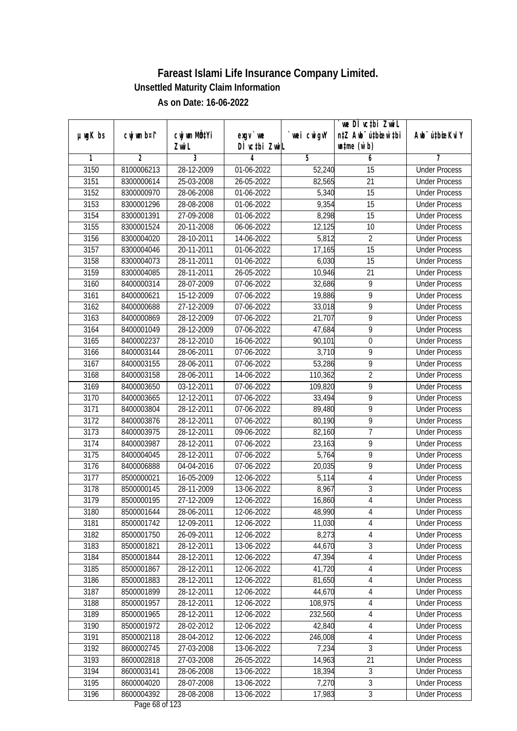|         |                |                                    |                            |             | we DI vctbi ZwiL                                            |                             |
|---------|----------------|------------------------------------|----------------------------|-------------|-------------------------------------------------------------|-----------------------------|
| µwgK bs | cwj wm b¤i^    | cwj wm MQ <sup>1</sup> Yi<br>Zwi L | $exgV$ we<br>DÌ vctbi ZwiL | `wei cwigvY | n‡Z Awb <sup>-</sup> ú‡bicen`‡bi<br>$\n  untime\n  (u`b)\n$ | Awb <sup>-</sup> ú‡bioeKviY |
| 1       | $\overline{2}$ | 3                                  | 4                          | 5           | 6                                                           | 7                           |
| 3150    | 8100006213     | 28-12-2009                         | 01-06-2022                 | 52,240      | $\overline{15}$                                             | <b>Under Process</b>        |
| 3151    | 8300000614     | 25-03-2008                         | 26-05-2022                 | 82,565      | $\overline{21}$                                             | <b>Under Process</b>        |
| 3152    | 8300000970     | 28-06-2008                         | 01-06-2022                 | 5,340       | 15                                                          | <b>Under Process</b>        |
| 3153    | 8300001296     | 28-08-2008                         | 01-06-2022                 | 9,354       | 15                                                          | <b>Under Process</b>        |
| 3154    | 8300001391     | 27-09-2008                         | 01-06-2022                 | 8,298       | $\overline{15}$                                             | <b>Under Process</b>        |
| 3155    | 8300001524     | 20-11-2008                         | 06-06-2022                 | 12,125      | 10                                                          | <b>Under Process</b>        |
| 3156    | 8300004020     | 28-10-2011                         | 14-06-2022                 | 5,812       | $\overline{2}$                                              | <b>Under Process</b>        |
| 3157    | 8300004046     | 20-11-2011                         | 01-06-2022                 | 17,165      | $\overline{15}$                                             | <b>Under Process</b>        |
| 3158    | 8300004073     | 28-11-2011                         | 01-06-2022                 | 6,030       | $\overline{15}$                                             | <b>Under Process</b>        |
| 3159    | 8300004085     | 28-11-2011                         | 26-05-2022                 | 10,946      | 21                                                          | <b>Under Process</b>        |
| 3160    | 8400000314     | 28-07-2009                         | 07-06-2022                 | 32,686      | $\overline{9}$                                              | <b>Under Process</b>        |
| 3161    | 8400000621     | 15-12-2009                         | 07-06-2022                 | 19,886      | 9                                                           | <b>Under Process</b>        |
| 3162    | 8400000688     | 27-12-2009                         | 07-06-2022                 | 33,018      | $\overline{9}$                                              | <b>Under Process</b>        |
| 3163    | 8400000869     | 28-12-2009                         | $\overline{07}$ -06-2022   | 21,707      | 9                                                           | <b>Under Process</b>        |
| 3164    | 8400001049     | 28-12-2009                         | 07-06-2022                 | 47,684      | 9                                                           | <b>Under Process</b>        |
| 3165    | 8400002237     | 28-12-2010                         | 16-06-2022                 | 90,101      | $\boldsymbol{0}$                                            | <b>Under Process</b>        |
| 3166    | 8400003144     | 28-06-2011                         | 07-06-2022                 | 3,710       | 9                                                           | <b>Under Process</b>        |
| 3167    | 8400003155     | 28-06-2011                         | 07-06-2022                 | 53,286      | $\overline{9}$                                              | <b>Under Process</b>        |
| 3168    | 8400003158     | 28-06-2011                         | 14-06-2022                 | 110,362     | $\overline{2}$                                              | <b>Under Process</b>        |
| 3169    | 8400003650     | 03-12-2011                         | 07-06-2022                 | 109,820     | 9                                                           | <b>Under Process</b>        |
| 3170    | 8400003665     | 12-12-2011                         | 07-06-2022                 | 33,494      | 9                                                           | <b>Under Process</b>        |
| 3171    | 8400003804     | 28-12-2011                         | 07-06-2022                 | 89,480      | 9                                                           | <b>Under Process</b>        |
| 3172    | 8400003876     | 28-12-2011                         | 07-06-2022                 | 80,190      | $\overline{9}$                                              | <b>Under Process</b>        |
| 3173    | 8400003975     | 28-12-2011                         | 09-06-2022                 | 82,160      | $\overline{7}$                                              | <b>Under Process</b>        |
| 3174    | 8400003987     | 28-12-2011                         | 07-06-2022                 | 23,163      | 9                                                           | <b>Under Process</b>        |
| 3175    | 8400004045     | 28-12-2011                         | 07-06-2022                 | 5,764       | 9                                                           | <b>Under Process</b>        |
| 3176    | 8400006888     | 04-04-2016                         | 07-06-2022                 | 20,035      | 9                                                           | <b>Under Process</b>        |
| 3177    | 8500000021     | 16-05-2009                         | 12-06-2022                 | 5,114       | 4                                                           | <b>Under Process</b>        |
| 3178    | 8500000145     | 28-11-2009                         | 13-06-2022                 | 8,967       | $\overline{3}$                                              | <b>Under Process</b>        |
| 3179    | 8500000195     | 27-12-2009                         | 12-06-2022                 | 16,860      | $\overline{4}$                                              | <b>Under Process</b>        |
| 3180    | 8500001644     | 28-06-2011                         | 12-06-2022                 | 48,990      | 4                                                           | <b>Under Process</b>        |
| 3181    | 8500001742     | 12-09-2011                         | 12-06-2022                 | 11,030      | 4                                                           | <b>Under Process</b>        |
| 3182    | 8500001750     | 26-09-2011                         | 12-06-2022                 | 8,273       | $\sqrt{4}$                                                  | <b>Under Process</b>        |
| 3183    | 8500001821     | 28-12-2011                         | 13-06-2022                 | 44,670      | $\overline{3}$                                              | <b>Under Process</b>        |
| 3184    | 8500001844     | 28-12-2011                         | 12-06-2022                 | 47,394      | $\sqrt{4}$                                                  | <b>Under Process</b>        |
| 3185    | 8500001867     | 28-12-2011                         | 12-06-2022                 | 41,720      | 4                                                           | <b>Under Process</b>        |
| 3186    | 8500001883     | 28-12-2011                         | 12-06-2022                 | 81,650      | $\sqrt{4}$                                                  | <b>Under Process</b>        |
| 3187    | 8500001899     | 28-12-2011                         | 12-06-2022                 | 44,670      | $\sqrt{4}$                                                  | <b>Under Process</b>        |
| 3188    | 8500001957     | 28-12-2011                         | 12-06-2022                 | 108,975     | $\sqrt{4}$                                                  | <b>Under Process</b>        |
| 3189    | 8500001965     | 28-12-2011                         | 12-06-2022                 | 232,560     | $\sqrt{4}$                                                  | <b>Under Process</b>        |
| 3190    | 8500001972     | 28-02-2012                         | 12-06-2022                 | 42,840      | $\overline{4}$                                              | <b>Under Process</b>        |
| 3191    | 8500002118     | 28-04-2012                         | 12-06-2022                 | 246,008     | 4                                                           | <b>Under Process</b>        |
| 3192    | 8600002745     | 27-03-2008                         | 13-06-2022                 | 7,234       | 3                                                           | <b>Under Process</b>        |
| 3193    | 8600002818     | 27-03-2008                         | 26-05-2022                 | 14,963      | 21                                                          | <b>Under Process</b>        |
| 3194    | 8600003141     | 28-06-2008                         | 13-06-2022                 | 18,394      | $\overline{3}$                                              | <b>Under Process</b>        |
| 3195    | 8600004020     | 28-07-2008                         | 13-06-2022                 | 7,270       | $\overline{3}$                                              | <b>Under Process</b>        |
| 3196    | 8600004392     | 28-08-2008                         | 13-06-2022                 | 17,983      | $\mathfrak{Z}$                                              | <b>Under Process</b>        |
|         |                |                                    |                            |             |                                                             |                             |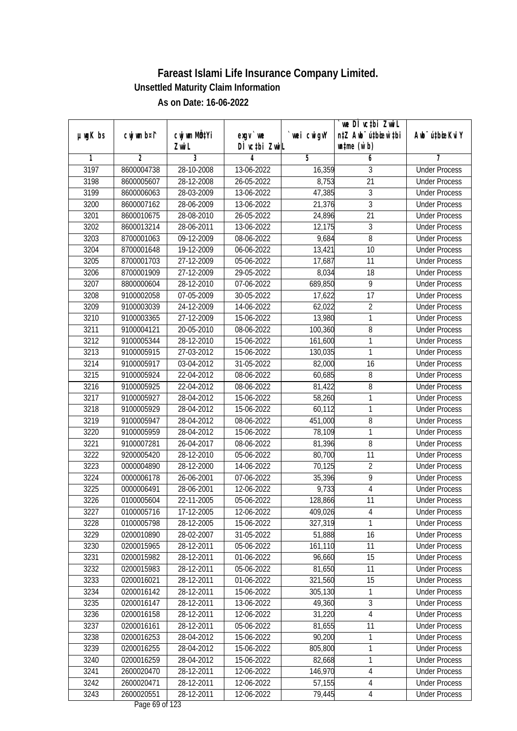|               |                |                       |                            |            | we DI vctbi ZwiL<br>n‡Z Awb <sup>-</sup> ú‡bioar`‡bi |                             |
|---------------|----------------|-----------------------|----------------------------|------------|------------------------------------------------------|-----------------------------|
| $µ$ ug $K$ bs | cwj wm b¤i^    | cwj wm MQtYi<br>Zwi L | $exgV$ we<br>DÌ vctbi ZwiL | wei cwigvY | $\n  untime\n  (u`b)\n$                              | Awb <sup>-</sup> ú‡bioeKviY |
| 1             | $\overline{2}$ | 3                     | 4                          | 5          | 6                                                    | 7                           |
| 3197          | 8600004738     | 28-10-2008            | 13-06-2022                 | 16,359     | 3                                                    | <b>Under Process</b>        |
| 3198          | 8600005607     | 28-12-2008            | $26 - 05 - 2022$           | 8,753      | $\overline{21}$                                      | <b>Under Process</b>        |
| 3199          | 8600006063     | 28-03-2009            | 13-06-2022                 | 47,385     | 3                                                    | <b>Under Process</b>        |
| 3200          | 8600007162     | 28-06-2009            | 13-06-2022                 | 21,376     | $\overline{3}$                                       | <b>Under Process</b>        |
| 3201          | 8600010675     | 28-08-2010            | 26-05-2022                 | 24,896     | $\overline{21}$                                      | <b>Under Process</b>        |
| 3202          | 8600013214     | 28-06-2011            | 13-06-2022                 | 12,175     | 3                                                    | <b>Under Process</b>        |
| 3203          | 8700001063     | 09-12-2009            | 08-06-2022                 | 9,684      | $\overline{8}$                                       | <b>Under Process</b>        |
| 3204          | 8700001648     | 19-12-2009            | 06-06-2022                 | 13,421     | 10                                                   | <b>Under Process</b>        |
| 3205          | 8700001703     | 27-12-2009            | 05-06-2022                 | 17,687     | 11                                                   | <b>Under Process</b>        |
| 3206          | 8700001909     | 27-12-2009            | 29-05-2022                 | 8,034      | 18                                                   | <b>Under Process</b>        |
| 3207          | 8800000604     | 28-12-2010            | 07-06-2022                 | 689,850    | 9                                                    | <b>Under Process</b>        |
| 3208          | 9100002058     | 07-05-2009            | 30-05-2022                 | 17,622     | 17                                                   | <b>Under Process</b>        |
| 3209          | 9100003039     | 24-12-2009            | 14-06-2022                 | 62,022     | $\overline{2}$                                       | <b>Under Process</b>        |
| 3210          | 9100003365     | 27-12-2009            | 15-06-2022                 | 13,980     | 1                                                    | <b>Under Process</b>        |
| 3211          | 9100004121     | 20-05-2010            | 08-06-2022                 | 100,360    | $\, 8$                                               | <b>Under Process</b>        |
| 3212          | 9100005344     | 28-12-2010            | 15-06-2022                 | 161,600    | 1                                                    | <b>Under Process</b>        |
| 3213          | 9100005915     | 27-03-2012            | 15-06-2022                 | 130,035    | 1                                                    | <b>Under Process</b>        |
| 3214          | 9100005917     | 03-04-2012            | 31-05-2022                 | 82,000     | 16                                                   | <b>Under Process</b>        |
| 3215          | 9100005924     | 22-04-2012            | 08-06-2022                 | 60,685     | 8                                                    | <b>Under Process</b>        |
| 3216          | 9100005925     | 22-04-2012            | 08-06-2022                 | 81,422     | 8                                                    | <b>Under Process</b>        |
| 3217          | 9100005927     | 28-04-2012            | 15-06-2022                 | 58,260     | 1                                                    | <b>Under Process</b>        |
| 3218          | 9100005929     | 28-04-2012            | 15-06-2022                 | 60,112     | 1                                                    | <b>Under Process</b>        |
| 3219          | 9100005947     | 28-04-2012            | 08-06-2022                 | 451,000    | 8                                                    | <b>Under Process</b>        |
| 3220          | 9100005959     | 28-04-2012            | 15-06-2022                 | 78,109     | 1                                                    | <b>Under Process</b>        |
| 3221          | 9100007281     | 26-04-2017            | 08-06-2022                 | 81,396     | $\, 8$                                               | <b>Under Process</b>        |
| 3222          | 9200005420     | 28-12-2010            | 05-06-2022                 | 80,700     | 11                                                   | <b>Under Process</b>        |
| 3223          | 0000004890     | 28-12-2000            | 14-06-2022                 | 70,125     | $\overline{2}$                                       | <b>Under Process</b>        |
| 3224          | 0000006178     | 26-06-2001            | 07-06-2022                 | 35,396     | $\overline{9}$                                       | <b>Under Process</b>        |
| 3225          | 0000006491     | 28-06-2001            | 12-06-2022                 | 9,733      | $\overline{4}$                                       | <b>Under Process</b>        |
| 3226          | 0100005604     | 22-11-2005            | 05-06-2022                 | 128,866    | 11                                                   | <b>Under Process</b>        |
| 3227          | 0100005716     | 17-12-2005            | 12-06-2022                 | 409,026    | 4                                                    | <b>Under Process</b>        |
| 3228          | 0100005798     | 28-12-2005            | 15-06-2022                 | 327,319    | 1                                                    | <b>Under Process</b>        |
| 3229          | 0200010890     | 28-02-2007            | 31-05-2022                 | 51,888     | 16                                                   | <b>Under Process</b>        |
| 3230          | 0200015965     | 28-12-2011            | 05-06-2022                 | 161,110    | 11                                                   | <b>Under Process</b>        |
| 3231          | 0200015982     | 28-12-2011            | 01-06-2022                 | 96,660     | 15                                                   | <b>Under Process</b>        |
| 3232          | 0200015983     | 28-12-2011            | 05-06-2022                 | 81,650     | 11                                                   | <b>Under Process</b>        |
| 3233          | 0200016021     | 28-12-2011            | 01-06-2022                 | 321,560    | 15                                                   | <b>Under Process</b>        |
| 3234          | 0200016142     | 28-12-2011            | 15-06-2022                 | 305,130    | 1                                                    | <b>Under Process</b>        |
| 3235          | 0200016147     | 28-12-2011            | 13-06-2022                 | 49,360     | 3                                                    | <b>Under Process</b>        |
| 3236          | 0200016158     | 28-12-2011            | 12-06-2022                 | 31,220     | 4                                                    | <b>Under Process</b>        |
| 3237          | 0200016161     | 28-12-2011            | 05-06-2022                 | 81,655     | 11                                                   | <b>Under Process</b>        |
| 3238          | 0200016253     | 28-04-2012            | 15-06-2022                 | 90,200     | 1                                                    | <b>Under Process</b>        |
| 3239          | 0200016255     | 28-04-2012            | 15-06-2022                 | 805,800    | 1                                                    | <b>Under Process</b>        |
| 3240          | 0200016259     | 28-04-2012            | 15-06-2022                 | 82,668     | 1                                                    | <b>Under Process</b>        |
| 3241          | 2600020470     | 28-12-2011            | 12-06-2022                 | 146,970    | 4                                                    | <b>Under Process</b>        |
| 3242          | 2600020471     | 28-12-2011            | 12-06-2022                 | 57,155     | 4                                                    | <b>Under Process</b>        |
| 3243          | 2600020551     | 28-12-2011            | 12-06-2022                 | 79,445     | $\overline{4}$                                       | <b>Under Process</b>        |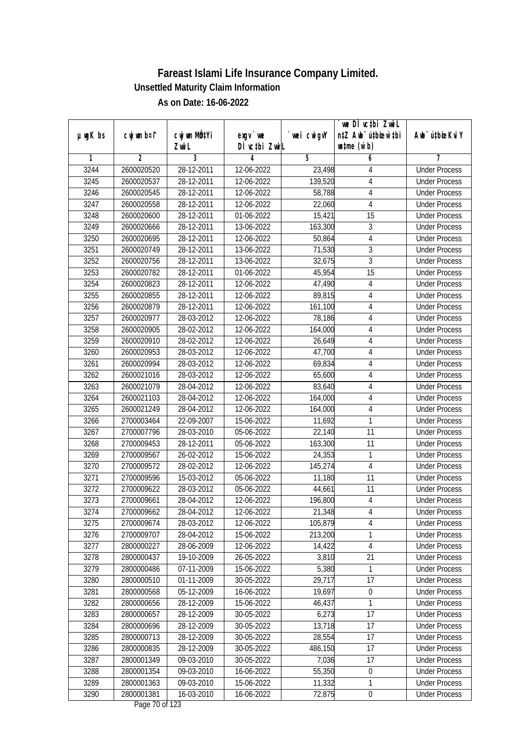|               |                |              |                                    |             | `we DÌ vc‡bi ZwwiL               |                             |
|---------------|----------------|--------------|------------------------------------|-------------|----------------------------------|-----------------------------|
| $µ$ ug $K$ bs | cwj wm b¤i^    | cwj wm MQtYi | exgy `we                           | `wei cwigvY | n‡Z Awb <sup>-</sup> ú‡bioen`‡bi | Awb <sup>-</sup> ú‡bioeKviY |
|               |                | Zwi L        | DÌ vctbi ZwiL                      |             | $\n  untime\n  (u`b)\n$          |                             |
| 1             | $\overline{2}$ | 3            | 4                                  | 5           | 6                                | 7                           |
| 3244          | 2600020520     | 28-12-2011   | 12-06-2022                         | 23,498      | 4                                | <b>Under Process</b>        |
| 3245          | 2600020537     | 28-12-2011   | 12-06-2022                         | 139,520     | 4                                | <b>Under Process</b>        |
| 3246          | 2600020545     | 28-12-2011   | 12-06-2022                         | 58,788      | 4                                | <b>Under Process</b>        |
| 3247          | 2600020558     | 28-12-2011   | 12-06-2022                         | 22,060      | $\overline{4}$                   | <b>Under Process</b>        |
| 3248          | 2600020600     | 28-12-2011   | 01-06-2022                         | 15,421      | 15                               | <b>Under Process</b>        |
| 3249          | 2600020666     | 28-12-2011   | 13-06-2022                         | 163,300     | 3                                | <b>Under Process</b>        |
| 3250          | 2600020695     | 28-12-2011   | 12-06-2022                         | 50,864      | $\overline{4}$                   | <b>Under Process</b>        |
| 3251          | 2600020749     | 28-12-2011   | 13-06-2022                         | 71,530      | $\overline{3}$                   | <b>Under Process</b>        |
| 3252          | 2600020756     | 28-12-2011   | 13-06-2022                         | 32,675      | $\overline{3}$                   | <b>Under Process</b>        |
| 3253          | 2600020782     | 28-12-2011   | 01-06-2022                         | 45,954      | 15                               | <b>Under Process</b>        |
| 3254          | 2600020823     | 28-12-2011   | 12-06-2022                         | 47,490      | 4                                | <b>Under Process</b>        |
| 3255          | 2600020855     | 28-12-2011   | 12-06-2022                         | 89,815      | 4                                | <b>Under Process</b>        |
| 3256          | 2600020879     | 28-12-2011   | 12-06-2022                         | 161,100     | $\overline{4}$                   | <b>Under Process</b>        |
| 3257          | 2600020977     | 28-03-2012   | 12-06-2022                         | 78,186      | $\sqrt{4}$                       | <b>Under Process</b>        |
| 3258          | 2600020905     | 28-02-2012   | 12-06-2022                         | 164,000     | 4                                | <b>Under Process</b>        |
| 3259          | 2600020910     | 28-02-2012   | 12-06-2022                         | 26,649      | 4                                | <b>Under Process</b>        |
| 3260          | 2600020953     | 28-03-2012   | 12-06-2022                         | 47,700      | 4                                | <b>Under Process</b>        |
| 3261          | 2600020994     | 28-03-2012   | 12-06-2022                         | 69,834      | $\overline{4}$                   | <b>Under Process</b>        |
| 3262          | 2600021016     | 28-03-2012   | 12-06-2022                         | 65,600      | 4                                | <b>Under Process</b>        |
| 3263          | 2600021079     | 28-04-2012   | 12-06-2022                         | 83,640      | 4                                | <b>Under Process</b>        |
| 3264          | 2600021103     | 28-04-2012   | 12-06-2022                         | 164,000     | 4                                | <b>Under Process</b>        |
| 3265          | 2600021249     | 28-04-2012   | 12-06-2022                         | 164,000     | 4                                | <b>Under Process</b>        |
| 3266          | 2700003464     | 22-09-2007   | 15-06-2022                         | 11,692      | 1                                | <b>Under Process</b>        |
| 3267          | 2700007796     | 28-03-2010   | 05-06-2022                         | 22,140      | 11                               | <b>Under Process</b>        |
| 3268          | 2700009453     | 28-12-2011   | 05-06-2022                         | 163,300     | 11                               | <b>Under Process</b>        |
| 3269          | 2700009567     | 26-02-2012   | 15-06-2022                         | 24,353      | 1                                | <b>Under Process</b>        |
| 3270          | 2700009572     | 28-02-2012   | 12-06-2022                         | 145,274     | 4                                | <b>Under Process</b>        |
| 3271          | 2700009596     | 15-03-2012   | 05-06-2022                         | 11,180      | 11                               | <b>Under Process</b>        |
| 3272          | 2700009622     | 28-03-2012   | 05-06-2022                         | 44,661      | 11                               | <b>Under Process</b>        |
| 3273          | 2700009661     | 28-04-2012   | 12-06-2022                         | 196,800     | $\overline{4}$                   | <b>Under Process</b>        |
| 3274          | 2700009662     | 28-04-2012   | 12-06-2022                         | 21,348      | 4                                | <b>Under Process</b>        |
| 3275          | 2700009674     | 28-03-2012   | 12-06-2022                         | 105,879     | 4                                | <b>Under Process</b>        |
| 3276          | 2700009707     | 28-04-2012   | 15-06-2022                         | 213,200     | 1                                | <b>Under Process</b>        |
| 3277          | 2800000227     | 28-06-2009   | 12-06-2022                         | 14,422      | $\overline{\mathbf{4}}$          | <b>Under Process</b>        |
| 3278          | 2800000437     | 19-10-2009   | 26-05-2022                         | 3,810       | 21                               | <b>Under Process</b>        |
| 3279          | 2800000486     | 07-11-2009   | 15-06-2022                         | 5,380       | 1                                | <b>Under Process</b>        |
| 3280          | 2800000510     | 01-11-2009   | 30-05-2022                         | 29,717      | 17                               | <b>Under Process</b>        |
| 3281          | 2800000568     | 05-12-2009   | 16-06-2022                         | 19,697      | $\boldsymbol{0}$                 | <b>Under Process</b>        |
| 3282          | 2800000656     | 28-12-2009   | 15-06-2022                         | 46,437      | 1                                | <b>Under Process</b>        |
| 3283          | 2800000657     | 28-12-2009   | 30-05-2022                         | 6,273       | 17                               | <b>Under Process</b>        |
| 3284          | 2800000696     | 28-12-2009   | 30-05-2022                         | 13,718      | 17                               | <b>Under Process</b>        |
| 3285          | 2800000713     | 28-12-2009   | 30-05-2022                         | 28,554      | 17                               | <b>Under Process</b>        |
| 3286          | 2800000835     | 28-12-2009   | 30-05-2022                         | 486,150     | $\overline{17}$                  | <b>Under Process</b>        |
| 3287          | 2800001349     | 09-03-2010   | 30-05-2022                         | 7,036       | 17                               | <b>Under Process</b>        |
| 3288          | 2800001354     | 09-03-2010   | 16-06-2022                         | 55,350      | $\boldsymbol{0}$                 | <b>Under Process</b>        |
| 3289          | 2800001363     | 09-03-2010   | 15-06-2022                         | 11,332      | 1                                | <b>Under Process</b>        |
| 3290          | 2800001381     | 16-03-2010   | 16-06-2022<br>$D_{0.82}$ 70 of 100 | 72,875      | $\boldsymbol{0}$                 | <b>Under Process</b>        |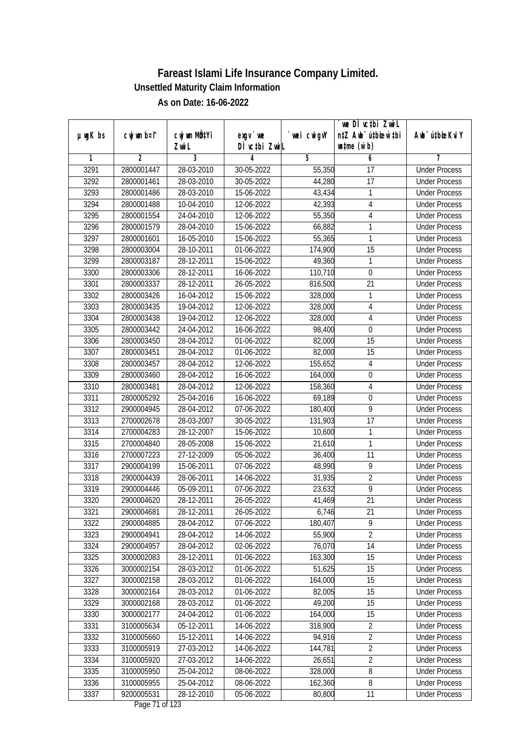|               |                |                           |               |                | we DI vctbi ZwiL                 |                             |
|---------------|----------------|---------------------------|---------------|----------------|----------------------------------|-----------------------------|
| $µ$ ug $K$ bs | cwj wm b¤i^    | cwj wm MQ <sup>1</sup> Yi | $exgV$ we     | `wei cwigvY    | n‡Z Awb <sup>-</sup> ú‡bioar`‡bi | Awb <sup>-</sup> ú‡bioeKviY |
|               |                | Zwi L                     | DÌ vctbi ZwiL |                | $\n  untime\n  (u`b)\n$          |                             |
| 1             | $\overline{2}$ | 3                         | 4             | $\overline{5}$ | 6                                | 7                           |
| 3291          | 2800001447     | 28-03-2010                | 30-05-2022    | 55,350         | $\overline{17}$                  | <b>Under Process</b>        |
| 3292          | 2800001461     | 28-03-2010                | 30-05-2022    | 44,280         | $\overline{17}$                  | <b>Under Process</b>        |
| 3293          | 2800001486     | 28-03-2010                | 15-06-2022    | 43,434         | 1                                | <b>Under Process</b>        |
| 3294          | 2800001488     | 10-04-2010                | 12-06-2022    | 42,393         | 4                                | <b>Under Process</b>        |
| 3295          | 2800001554     | 24-04-2010                | 12-06-2022    | 55,350         | 4                                | <b>Under Process</b>        |
| 3296          | 2800001579     | 28-04-2010                | 15-06-2022    | 66,882         | 1                                | <b>Under Process</b>        |
| 3297          | 2800001601     | 16-05-2010                | 15-06-2022    | 55,365         | 1                                | <b>Under Process</b>        |
| 3298          | 2800003004     | 28-10-2011                | 01-06-2022    | 174,900        | $\overline{15}$                  | <b>Under Process</b>        |
| 3299          | 2800003187     | 28-12-2011                | 15-06-2022    | 49,360         | 1                                | <b>Under Process</b>        |
| 3300          | 2800003306     | 28-12-2011                | 16-06-2022    | 110,710        | $\boldsymbol{0}$                 | <b>Under Process</b>        |
| 3301          | 2800003337     | 28-12-2011                | 26-05-2022    | 816,500        | $\overline{21}$                  | <b>Under Process</b>        |
| 3302          | 2800003426     | 16-04-2012                | 15-06-2022    | 328,000        | 1                                | <b>Under Process</b>        |
| 3303          | 2800003435     | 19-04-2012                | 12-06-2022    | 328,000        | $\overline{4}$                   | <b>Under Process</b>        |
| 3304          | 2800003438     | 19-04-2012                | 12-06-2022    | 328,000        | $\sqrt{4}$                       | <b>Under Process</b>        |
| 3305          | 2800003442     | 24-04-2012                | 16-06-2022    | 98,400         | $\boldsymbol{0}$                 | <b>Under Process</b>        |
| 3306          | 2800003450     | 28-04-2012                | 01-06-2022    | 82,000         | 15                               | <b>Under Process</b>        |
| 3307          | 2800003451     | 28-04-2012                | 01-06-2022    | 82,000         | 15                               | <b>Under Process</b>        |
| 3308          | 2800003457     | 28-04-2012                | 12-06-2022    | 155,652        | $\overline{4}$                   | <b>Under Process</b>        |
| 3309          | 2800003460     | 28-04-2012                | 16-06-2022    | 164,000        | $\boldsymbol{0}$                 | <b>Under Process</b>        |
| 3310          | 2800003481     | 28-04-2012                | 12-06-2022    | 158,360        | 4                                | <b>Under Process</b>        |
| 3311          | 2800005292     | 25-04-2016                | 16-06-2022    | 69,189         | $\boldsymbol{0}$                 | <b>Under Process</b>        |
| 3312          | 2900004945     | 28-04-2012                | 07-06-2022    | 180,400        | 9                                | <b>Under Process</b>        |
| 3313          | 2700002678     | 28-03-2007                | 30-05-2022    | 131,903        | 17                               | <b>Under Process</b>        |
| 3314          | 2700004283     | 28-12-2007                | 15-06-2022    | 10,600         | $\mathbf{1}$                     | <b>Under Process</b>        |
| 3315          | 2700004840     | 28-05-2008                | 15-06-2022    | 21,610         | 1                                | <b>Under Process</b>        |
| 3316          | 2700007223     | 27-12-2009                | 05-06-2022    | 36,400         | 11                               | <b>Under Process</b>        |
| 3317          | 2900004199     | 15-06-2011                | 07-06-2022    | 48,990         | 9                                | <b>Under Process</b>        |
| 3318          | 2900004439     | 28-06-2011                | 14-06-2022    | 31,935         | $\overline{2}$                   | <b>Under Process</b>        |
| 3319          | 2900004446     | 05-09-2011                | 07-06-2022    | 23,632         | $\overline{9}$                   | <b>Under Process</b>        |
| 3320          | 2900004620     | 28-12-2011                | 26-05-2022    | 41,469         | 21                               | <b>Under Process</b>        |
| 3321          | 2900004681     | 28-12-2011                | 26-05-2022    | 6,746          | 21                               | <b>Under Process</b>        |
| 3322          | 2900004885     | 28-04-2012                | 07-06-2022    | 180,407        | 9                                | <b>Under Process</b>        |
| 3323          | 2900004941     | 28-04-2012                | 14-06-2022    | 55,900         | $\overline{2}$                   | <b>Under Process</b>        |
| 3324          | 2900004957     | 28-04-2012                | 02-06-2022    | 76,070         | 14                               | <b>Under Process</b>        |
| 3325          | 3000002083     | 28-12-2011                | 01-06-2022    | 163,300        | 15                               | <b>Under Process</b>        |
| 3326          | 3000002154     | 28-03-2012                | 01-06-2022    | 51,625         | 15                               | <b>Under Process</b>        |
| 3327          | 3000002158     | 28-03-2012                | 01-06-2022    | 164,000        | 15                               | <b>Under Process</b>        |
| 3328          | 3000002164     | 28-03-2012                | 01-06-2022    | 82,005         | 15                               | <b>Under Process</b>        |
| 3329          | 3000002168     | 28-03-2012                | 01-06-2022    | 49,200         | 15                               | <b>Under Process</b>        |
| 3330          | 3000002177     | 24-04-2012                | 01-06-2022    | 164,000        | 15                               | <b>Under Process</b>        |
| 3331          | 3100005634     | 05-12-2011                | 14-06-2022    | 318,900        | $\sqrt{2}$                       | <b>Under Process</b>        |
| 3332          | 3100005660     | 15-12-2011                | 14-06-2022    | 94,916         | $\overline{2}$                   | <b>Under Process</b>        |
| 3333          | 3100005919     | 27-03-2012                | 14-06-2022    | 144,781        | $\overline{2}$                   | <b>Under Process</b>        |
| 3334          | 3100005920     | 27-03-2012                | 14-06-2022    | 26,651         | $\overline{2}$                   | <b>Under Process</b>        |
| 3335          | 3100005950     | 25-04-2012                | 08-06-2022    | 328,000        | $\overline{8}$                   | <b>Under Process</b>        |
| 3336          | 3100005955     | 25-04-2012                | 08-06-2022    | 162,360        | 8                                | <b>Under Process</b>        |
| 3337          | 9200005531     | 28-12-2010                | 05-06-2022    | 80,800         | 11                               | <b>Under Process</b>        |
|               |                |                           |               |                |                                  |                             |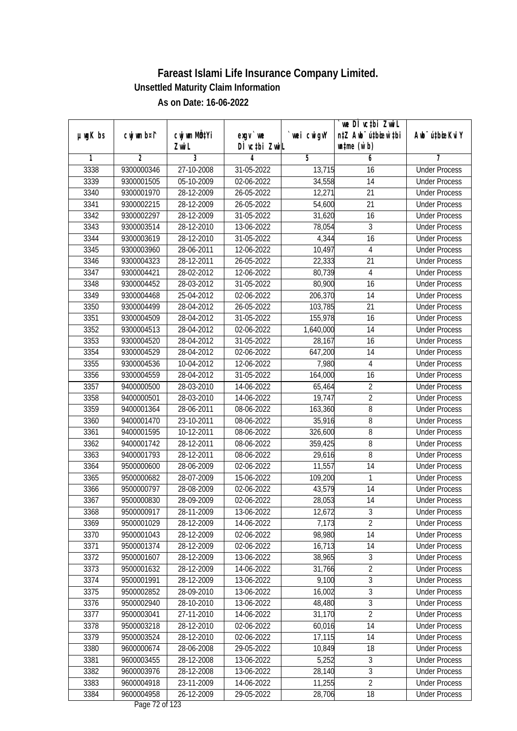|               |             |                           |                                  |                      | `we DÌ vc‡bi ZwiL                |                             |
|---------------|-------------|---------------------------|----------------------------------|----------------------|----------------------------------|-----------------------------|
| $µ$ ug $K$ bs | cwj wm b¤i^ | cwj wm MQ <sup>1</sup> Yi | $exgV$ we                        | `wei cwigvY          | n‡Z Awb <sup>-</sup> ú‡bioen`‡bi | Awb <sup>-</sup> ú‡bioeKviY |
|               |             | Zwi L                     | DÌ vctbi ZwiL                    |                      | $\n  untime\n  (u`b)\n$          |                             |
| 1             | 2           | 3                         | 4                                | 5                    | 6                                | 7                           |
| 3338          | 9300000346  | 27-10-2008                | 31-05-2022                       | 13,715               | 16                               | <b>Under Process</b>        |
| 3339          | 9300001505  | 05-10-2009                | 02-06-2022                       | 34,558               | 14                               | <b>Under Process</b>        |
| 3340          | 9300001970  | 28-12-2009                | 26-05-2022                       | 12,271               | 21                               | <b>Under Process</b>        |
| 3341          | 9300002215  | 28-12-2009                | 26-05-2022                       | 54,600               | $\overline{21}$                  | <b>Under Process</b>        |
| 3342          | 9300002297  | 28-12-2009                | 31-05-2022                       | 31,620               | 16                               | <b>Under Process</b>        |
| 3343          | 9300003514  | 28-12-2010                | 13-06-2022                       | 78,054               | $\overline{3}$                   | <b>Under Process</b>        |
| 3344          | 9300003619  | 28-12-2010                | 31-05-2022                       | 4,344                | 16                               | <b>Under Process</b>        |
| 3345          | 9300003960  | 28-06-2011                | 12-06-2022                       | 10,497               | $\overline{4}$                   | <b>Under Process</b>        |
| 3346          | 9300004323  | 28-12-2011                | 26-05-2022                       | 22,333               | 21                               | <b>Under Process</b>        |
| 3347          | 9300004421  | 28-02-2012                | 12-06-2022                       | 80,739               | $\overline{4}$                   | <b>Under Process</b>        |
| 3348          | 9300004452  | 28-03-2012                | 31-05-2022                       | 80,900               | 16                               | <b>Under Process</b>        |
| 3349          | 9300004468  | 25-04-2012                | 02-06-2022                       | 206,370              | 14                               | <b>Under Process</b>        |
| 3350          | 9300004499  | 28-04-2012                | 26-05-2022                       | 103,785              | $\overline{21}$                  | <b>Under Process</b>        |
| 3351          | 9300004509  | 28-04-2012                | 31-05-2022                       | 155,978              | 16                               | <b>Under Process</b>        |
| 3352          | 9300004513  | 28-04-2012                | 02-06-2022                       | 1,640,000            | 14                               | <b>Under Process</b>        |
| 3353          | 9300004520  | 28-04-2012                | 31-05-2022                       | 28,167               | 16                               | <b>Under Process</b>        |
| 3354          | 9300004529  | 28-04-2012                | 02-06-2022                       | 647,200              | 14                               | <b>Under Process</b>        |
| 3355          | 9300004536  | 10-04-2012                | 12-06-2022                       | 7,980                | 4                                | <b>Under Process</b>        |
| 3356          | 9300004559  | 28-04-2012                | 31-05-2022                       | 164,000              | 16                               | <b>Under Process</b>        |
| 3357          | 9400000500  | 28-03-2010                | 14-06-2022                       | 65,464               | $\overline{2}$                   | <b>Under Process</b>        |
| 3358          | 9400000501  | 28-03-2010                | 14-06-2022                       | 19,747               | $\overline{2}$                   | <b>Under Process</b>        |
| 3359          | 9400001364  | 28-06-2011                | 08-06-2022                       | $\overline{163,360}$ | 8                                | <b>Under Process</b>        |
| 3360          | 9400001470  | 23-10-2011                | 08-06-2022                       | 35,916               | 8                                | <b>Under Process</b>        |
| 3361          | 9400001595  | 10-12-2011                | 08-06-2022                       | 326,600              | 8                                | <b>Under Process</b>        |
| 3362          | 9400001742  | 28-12-2011                | 08-06-2022                       | 359,425              | 8                                | <b>Under Process</b>        |
| 3363          | 9400001793  | 28-12-2011                | 08-06-2022                       | 29,616               | 8                                | <b>Under Process</b>        |
| 3364          | 9500000600  | 28-06-2009                | 02-06-2022                       | 11,557               | 14                               | <b>Under Process</b>        |
| 3365          | 9500000682  | 28-07-2009                | 15-06-2022                       | 109,200              | 1                                | <b>Under Process</b>        |
| 3366          | 9500000797  | 28-08-2009                | 02-06-2022                       | 43,579               | 14                               | <b>Under Process</b>        |
| 3367          | 9500000830  | 28-09-2009                | 02-06-2022                       | 28,053               | 14                               | <b>Under Process</b>        |
| 3368          | 9500000917  | 28-11-2009                | 13-06-2022                       | 12,672               | 3                                | <b>Under Process</b>        |
| 3369          | 9500001029  | 28-12-2009                | 14-06-2022                       | 7,173                | $\overline{2}$                   | <b>Under Process</b>        |
| 3370          | 9500001043  | 28-12-2009                | 02-06-2022                       | 98,980               | 14                               | <b>Under Process</b>        |
| 3371          | 9500001374  | 28-12-2009                | 02-06-2022                       | 16,713               | 14                               | <b>Under Process</b>        |
| 3372          | 9500001607  | 28-12-2009                | 13-06-2022                       | 38,965               | $\overline{3}$                   | <b>Under Process</b>        |
| 3373          | 9500001632  | 28-12-2009                | 14-06-2022                       | 31,766               | $\overline{2}$                   | <b>Under Process</b>        |
| 3374          | 9500001991  | 28-12-2009                | 13-06-2022                       | 9,100                | 3                                | <b>Under Process</b>        |
| 3375          | 9500002852  | 28-09-2010                | 13-06-2022                       | 16,002               | 3                                | <b>Under Process</b>        |
| 3376          | 9500002940  | 28-10-2010                | 13-06-2022                       | 48,480               | 3                                | <b>Under Process</b>        |
| 3377          | 9500003041  | 27-11-2010                | 14-06-2022                       | 31,170               | $\overline{2}$                   | <b>Under Process</b>        |
| 3378          | 9500003218  | 28-12-2010                | 02-06-2022                       | 60,016               | 14                               | <b>Under Process</b>        |
| 3379          | 9500003524  | 28-12-2010                | 02-06-2022                       | 17,115               | 14                               | <b>Under Process</b>        |
| 3380          | 9600000674  | 28-06-2008                | 29-05-2022                       | 10,849               | 18                               | <b>Under Process</b>        |
| 3381          | 9600003455  | 28-12-2008                | 13-06-2022                       | 5,252                | 3                                | <b>Under Process</b>        |
| 3382          | 9600003976  | 28-12-2008                | 13-06-2022                       | 28,140               | $\overline{3}$                   | <b>Under Process</b>        |
| 3383          | 9600004918  | 23-11-2009                | 14-06-2022                       | 11,255               | $\overline{2}$                   | <b>Under Process</b>        |
| 3384          | 9600004958  | 26-12-2009                | 29-05-2022<br>Dege $72$ of $122$ | 28,706               | 18                               | <b>Under Process</b>        |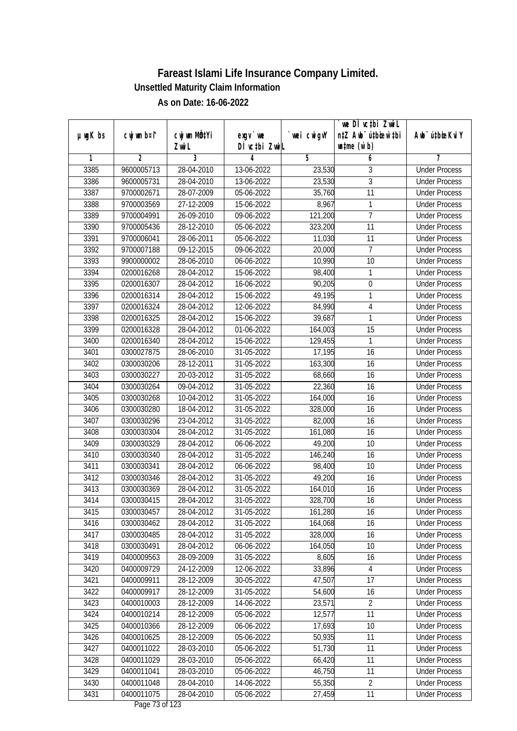|               |                | cwj wm MQtYi |                            |            | we DI vctbi ZwiL<br>n‡Z Awb <sup>-</sup> ú‡bioar`‡bi |                             |
|---------------|----------------|--------------|----------------------------|------------|------------------------------------------------------|-----------------------------|
| $µ$ ug $K$ bs | cwj wm b¤i^    | Zwi L        | $exgV$ we<br>DÌ vctbi ZwiL | wei cwigvY | $\n  untime\n  (u`b)\n$                              | Awb <sup>-</sup> ú‡bioeKviY |
| 1             | $\overline{2}$ | 3            | 4                          | 5          | 6                                                    | 7                           |
| 3385          | 9600005713     | 28-04-2010   | 13-06-2022                 | 23,530     | 3                                                    | <b>Under Process</b>        |
| 3386          | 9600005731     | 28-04-2010   | 13-06-2022                 | 23,530     | $\overline{3}$                                       | <b>Under Process</b>        |
| 3387          | 9700002671     | 28-07-2009   | 05-06-2022                 | 35,760     | $\overline{11}$                                      | <b>Under Process</b>        |
| 3388          | 9700003569     | 27-12-2009   | 15-06-2022                 | 8,967      | 1                                                    | <b>Under Process</b>        |
| 3389          | 9700004991     | 26-09-2010   | 09-06-2022                 | 121,200    | $\overline{7}$                                       | <b>Under Process</b>        |
| 3390          | 9700005436     | 28-12-2010   | 05-06-2022                 | 323,200    | $\overline{11}$                                      | <b>Under Process</b>        |
| 3391          | 9700006041     | 28-06-2011   | 05-06-2022                 | 11,030     | 11                                                   | <b>Under Process</b>        |
| 3392          | 9700007188     | 09-12-2015   | 09-06-2022                 | 20,000     | 7                                                    | <b>Under Process</b>        |
| 3393          | 9900000002     | 28-06-2010   | 06-06-2022                 | 10,990     | 10                                                   | <b>Under Process</b>        |
| 3394          | 0200016268     | 28-04-2012   | 15-06-2022                 | 98,400     | 1                                                    | <b>Under Process</b>        |
| 3395          | 0200016307     | 28-04-2012   | 16-06-2022                 | 90,205     | $\overline{0}$                                       | <b>Under Process</b>        |
| 3396          | 0200016314     | 28-04-2012   | 15-06-2022                 | 49,195     | 1                                                    | <b>Under Process</b>        |
| 3397          | 0200016324     | 28-04-2012   | 12-06-2022                 | 84,990     | $\overline{4}$                                       | <b>Under Process</b>        |
| 3398          | 0200016325     | 28-04-2012   | 15-06-2022                 | 39,687     | 1                                                    | <b>Under Process</b>        |
| 3399          | 0200016328     | 28-04-2012   | 01-06-2022                 | 164,003    | 15                                                   | <b>Under Process</b>        |
| 3400          | 0200016340     | 28-04-2012   | 15-06-2022                 | 129,455    | 1                                                    | <b>Under Process</b>        |
| 3401          | 0300027875     | 28-06-2010   | 31-05-2022                 | 17,195     | 16                                                   | <b>Under Process</b>        |
| 3402          | 0300030206     | 28-12-2011   | 31-05-2022                 | 163,300    | 16                                                   | <b>Under Process</b>        |
| 3403          | 0300030227     | 20-03-2012   | 31-05-2022                 | 68,660     | 16                                                   | <b>Under Process</b>        |
| 3404          | 0300030264     | 09-04-2012   | 31-05-2022                 | 22,360     | 16                                                   | <b>Under Process</b>        |
| 3405          | 0300030268     | 10-04-2012   | 31-05-2022                 | 164,000    | 16                                                   | <b>Under Process</b>        |
| 3406          | 0300030280     | 18-04-2012   | 31-05-2022                 | 328,000    | 16                                                   | <b>Under Process</b>        |
| 3407          | 0300030296     | 23-04-2012   | 31-05-2022                 | 82,000     | 16                                                   | <b>Under Process</b>        |
| 3408          | 0300030304     | 28-04-2012   | 31-05-2022                 | 161,080    | 16                                                   | <b>Under Process</b>        |
| 3409          | 0300030329     | 28-04-2012   | 06-06-2022                 | 49,200     | 10                                                   | <b>Under Process</b>        |
| 3410          | 0300030340     | 28-04-2012   | 31-05-2022                 | 146,240    | 16                                                   | <b>Under Process</b>        |
| 3411          | 0300030341     | 28-04-2012   | 06-06-2022                 | 98,400     | 10                                                   | <b>Under Process</b>        |
| 3412          | 0300030346     | 28-04-2012   | 31-05-2022                 | 49,200     | 16                                                   | <b>Under Process</b>        |
| 3413          | 0300030369     | 28-04-2012   | 31-05-2022                 | 164,010    | 16                                                   | <b>Under Process</b>        |
| 3414          | 0300030415     | 28-04-2012   | 31-05-2022                 | 328,700    | 16                                                   | <b>Under Process</b>        |
| 3415          | 0300030457     | 28-04-2012   | 31-05-2022                 | 161,280    | 16                                                   | <b>Under Process</b>        |
| 3416          | 0300030462     | 28-04-2012   | 31-05-2022                 | 164,068    | 16                                                   | <b>Under Process</b>        |
| 3417          | 0300030485     | 28-04-2012   | 31-05-2022                 | 328,000    | 16                                                   | <b>Under Process</b>        |
| 3418          | 0300030491     | 28-04-2012   | 06-06-2022                 | 164,050    | 10                                                   | <b>Under Process</b>        |
| 3419          | 0400009563     | 28-09-2009   | 31-05-2022                 | 8,605      | 16                                                   | <b>Under Process</b>        |
| 3420          | 0400009729     | 24-12-2009   | 12-06-2022                 | 33,896     | 4                                                    | <b>Under Process</b>        |
| 3421          | 0400009911     | 28-12-2009   | 30-05-2022                 | 47,507     | 17                                                   | <b>Under Process</b>        |
| 3422          | 0400009917     | 28-12-2009   | 31-05-2022                 | 54,600     | 16                                                   | <b>Under Process</b>        |
| 3423          | 0400010003     | 28-12-2009   | 14-06-2022                 | 23,571     | $\overline{2}$                                       | <b>Under Process</b>        |
| 3424          | 0400010214     | 28-12-2009   | 05-06-2022                 | 12,577     | 11                                                   | <b>Under Process</b>        |
| 3425          | 0400010366     | 28-12-2009   | 06-06-2022                 | 17,693     | 10                                                   | <b>Under Process</b>        |
| 3426          | 0400010625     | 28-12-2009   | 05-06-2022                 | 50,935     | 11                                                   | <b>Under Process</b>        |
| 3427          | 0400011022     | 28-03-2010   | 05-06-2022                 | 51,730     | 11                                                   | <b>Under Process</b>        |
| 3428          | 0400011029     | 28-03-2010   | 05-06-2022                 | 66,420     | 11                                                   | <b>Under Process</b>        |
| 3429          | 0400011041     | 28-03-2010   | 05-06-2022                 | 46,750     | 11                                                   | <b>Under Process</b>        |
| 3430          | 0400011048     | 28-04-2010   | 14-06-2022                 | 55,350     | $\overline{2}$                                       | <b>Under Process</b>        |
| 3431          | 0400011075     | 28-04-2010   | 05-06-2022                 | 27,459     | 11                                                   | <b>Under Process</b>        |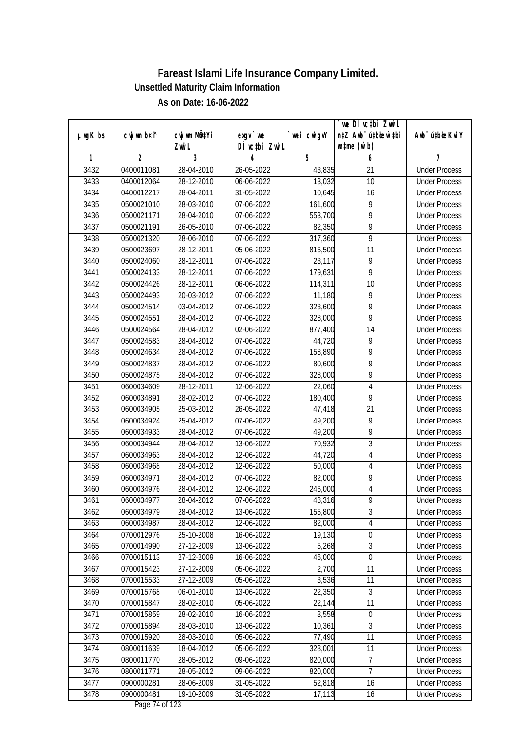| DÌ vctbi ZwiL<br>$\n  untime\n  (u`b)\n$<br>Zwi L<br>3<br>$\overline{2}$<br>5<br>6<br>1<br>4<br>7<br>3432<br>0400011081<br>28-04-2010<br>26-05-2022<br>43,835<br><b>Under Process</b><br>21<br>3433<br>28-12-2010<br>10<br>0400012064<br>06-06-2022<br>13,032<br><b>Under Process</b><br>3434<br>0400012217<br>28-04-2011<br>31-05-2022<br>10,645<br>16<br><b>Under Process</b><br>3435<br>28-03-2010<br>07-06-2022<br>9<br>0500021010<br>161,600<br><b>Under Process</b><br>$\overline{9}$<br>3436<br>0500021171<br>28-04-2010<br>553,700<br>07-06-2022<br><b>Under Process</b><br>$\overline{9}$<br>3437<br>0500021191<br>26-05-2010<br>07-06-2022<br>82,350<br><b>Under Process</b><br>$\overline{9}$<br>3438<br>0500021320<br>28-06-2010<br>317,360<br>07-06-2022<br><b>Under Process</b><br>3439<br>0500023697<br>$28-12-2011$<br>05-06-2022<br>816,500<br>11<br><b>Under Process</b><br>$\overline{9}$<br>3440<br>0500024060<br>28-12-2011<br>07-06-2022<br>23,117<br><b>Under Process</b><br>$\overline{9}$<br>179,631<br>3441<br>0500024133<br>28-12-2011<br>07-06-2022<br><b>Under Process</b><br>3442<br>$\overline{10}$<br>0500024426<br>28-12-2011<br>06-06-2022<br>114,311<br><b>Under Process</b><br>3443<br>11,180<br>9<br>0500024493<br>20-03-2012<br>07-06-2022<br><b>Under Process</b><br>$\overline{9}$<br>3444<br>323,600<br>0500024514<br>03-04-2012<br>07-06-2022<br><b>Under Process</b><br>9<br>3445<br>0500024551<br>28-04-2012<br>07-06-2022<br>328,000<br><b>Under Process</b><br>3446<br>0500024564<br>28-04-2012<br>02-06-2022<br>877,400<br>14<br><b>Under Process</b><br>9<br>3447<br>0500024583<br>28-04-2012<br>07-06-2022<br>44,720<br><b>Under Process</b><br>$\overline{9}$<br>3448<br>158,890<br>0500024634<br>28-04-2012<br>07-06-2022<br><b>Under Process</b><br>$\overline{9}$<br>3449<br>28-04-2012<br>0500024837<br>07-06-2022<br>80,600<br><b>Under Process</b><br>$\overline{9}$<br>3450<br>328,000<br>0500024875<br>28-04-2012<br>07-06-2022<br><b>Under Process</b><br>3451<br>0600034609<br>28-12-2011<br>12-06-2022<br>22,060<br><b>Under Process</b><br>4<br>9<br>3452<br>0600034891<br>28-02-2012<br>07-06-2022<br>180,400<br><b>Under Process</b><br>3453<br>25-03-2012<br>26-05-2022<br>47,418<br>21<br>0600034905<br><b>Under Process</b><br>$\overline{9}$<br>3454<br>25-04-2012<br>07-06-2022<br>49,200<br>0600034924<br><b>Under Process</b><br>$\overline{9}$<br>3455<br>28-04-2012<br>07-06-2022<br>49,200<br>0600034933<br><b>Under Process</b><br>$\mathfrak{Z}$<br>3456<br>0600034944<br>28-04-2012<br>13-06-2022<br>70,932<br><b>Under Process</b><br>3457<br>0600034963<br>28-04-2012<br>12-06-2022<br>44,720<br>$\overline{4}$<br><b>Under Process</b><br>3458<br>0600034968<br>28-04-2012<br>12-06-2022<br>50,000<br>$\overline{4}$<br><b>Under Process</b><br>9<br>3459<br>28-04-2012<br>82,000<br>0600034971<br>07-06-2022<br><b>Under Process</b><br>$\overline{4}$<br>3460<br>0600034976<br>28-04-2012<br>12-06-2022<br>246,000<br><b>Under Process</b><br>$\overline{9}$<br>3461<br>0600034977<br>28-04-2012<br>07-06-2022<br>48,316<br><b>Under Process</b><br>3462<br>0600034979<br>28-04-2012<br>13-06-2022<br>155,800<br>3<br><b>Under Process</b><br>0600034987<br>28-04-2012<br>4<br>3463<br>12-06-2022<br>82,000<br><b>Under Process</b><br>25-10-2008<br>19,130<br>$\boldsymbol{0}$<br>3464<br>0700012976<br>16-06-2022<br><b>Under Process</b><br>$\overline{3}$<br>5,268<br>3465<br>0700014990<br>27-12-2009<br>13-06-2022<br><b>Under Process</b><br>3466<br>0700015113<br>27-12-2009<br>$\boldsymbol{0}$<br>16-06-2022<br>46,000<br><b>Under Process</b><br>3467<br>27-12-2009<br>2,700<br>0700015423<br>05-06-2022<br>11<br><b>Under Process</b><br>0700015533<br>27-12-2009<br>3,536<br>11<br>3468<br>05-06-2022<br><b>Under Process</b><br>3<br>3469<br>0700015768<br>22,350<br>06-01-2010<br>13-06-2022<br><b>Under Process</b><br>11<br>3470<br>0700015847<br>28-02-2010<br>05-06-2022<br>22,144<br><b>Under Process</b><br>3471<br>0700015859<br>8,558<br>28-02-2010<br>16-06-2022<br>$\boldsymbol{0}$<br><b>Under Process</b><br>3472<br>3<br>0700015894<br>28-03-2010<br>13-06-2022<br>10,361<br><b>Under Process</b><br>3473<br>0700015920<br>28-03-2010<br>77,490<br>11<br>05-06-2022<br><b>Under Process</b><br>3474<br>0800011639<br>18-04-2012<br>328,001<br>11<br>05-06-2022<br><b>Under Process</b><br>7<br>820,000<br>3475<br>0800011770<br>28-05-2012<br>09-06-2022<br><b>Under Process</b><br>$\overline{7}$<br>3476<br>28-05-2012<br>0800011771<br>09-06-2022<br>820,000<br><b>Under Process</b><br>3477<br>0900000281<br>28-06-2009<br>52,818<br>31-05-2022<br>16<br><b>Under Process</b><br>3478<br>0900000481<br>19-10-2009<br>17,113<br>31-05-2022<br>16<br><b>Under Process</b> | $µ$ ug $K$ bs | cwj wm b¤i^ | cwj wm MQ <sup>1</sup> Yi | $exqu$ we | wei cwigvY | we DI vctbi ZwiL<br>n‡Z Awb <sup>-</sup> ú‡bioen`‡bi | Awb <sup>-</sup> ú‡bioeKviY |
|-------------------------------------------------------------------------------------------------------------------------------------------------------------------------------------------------------------------------------------------------------------------------------------------------------------------------------------------------------------------------------------------------------------------------------------------------------------------------------------------------------------------------------------------------------------------------------------------------------------------------------------------------------------------------------------------------------------------------------------------------------------------------------------------------------------------------------------------------------------------------------------------------------------------------------------------------------------------------------------------------------------------------------------------------------------------------------------------------------------------------------------------------------------------------------------------------------------------------------------------------------------------------------------------------------------------------------------------------------------------------------------------------------------------------------------------------------------------------------------------------------------------------------------------------------------------------------------------------------------------------------------------------------------------------------------------------------------------------------------------------------------------------------------------------------------------------------------------------------------------------------------------------------------------------------------------------------------------------------------------------------------------------------------------------------------------------------------------------------------------------------------------------------------------------------------------------------------------------------------------------------------------------------------------------------------------------------------------------------------------------------------------------------------------------------------------------------------------------------------------------------------------------------------------------------------------------------------------------------------------------------------------------------------------------------------------------------------------------------------------------------------------------------------------------------------------------------------------------------------------------------------------------------------------------------------------------------------------------------------------------------------------------------------------------------------------------------------------------------------------------------------------------------------------------------------------------------------------------------------------------------------------------------------------------------------------------------------------------------------------------------------------------------------------------------------------------------------------------------------------------------------------------------------------------------------------------------------------------------------------------------------------------------------------------------------------------------------------------------------------------------------------------------------------------------------------------------------------------------------------------------------------------------------------------------------------------------------------------------------------------------------------------------------------------------------------------------------------------------------------------------------------------------------------------------------------------------------------------------------------------------------------------------------------------------------------------------------------------------------------------------------------------------------------------------------------------------------------------------------------------------------------------------------------------------------------------------------------------------------------------------------------------------------------------------------------------------------------------------------------------------------------------------------------|---------------|-------------|---------------------------|-----------|------------|------------------------------------------------------|-----------------------------|
|                                                                                                                                                                                                                                                                                                                                                                                                                                                                                                                                                                                                                                                                                                                                                                                                                                                                                                                                                                                                                                                                                                                                                                                                                                                                                                                                                                                                                                                                                                                                                                                                                                                                                                                                                                                                                                                                                                                                                                                                                                                                                                                                                                                                                                                                                                                                                                                                                                                                                                                                                                                                                                                                                                                                                                                                                                                                                                                                                                                                                                                                                                                                                                                                                                                                                                                                                                                                                                                                                                                                                                                                                                                                                                                                                                                                                                                                                                                                                                                                                                                                                                                                                                                                                                                                                                                                                                                                                                                                                                                                                                                                                                                                                                                                                                                           |               |             |                           |           |            |                                                      |                             |
|                                                                                                                                                                                                                                                                                                                                                                                                                                                                                                                                                                                                                                                                                                                                                                                                                                                                                                                                                                                                                                                                                                                                                                                                                                                                                                                                                                                                                                                                                                                                                                                                                                                                                                                                                                                                                                                                                                                                                                                                                                                                                                                                                                                                                                                                                                                                                                                                                                                                                                                                                                                                                                                                                                                                                                                                                                                                                                                                                                                                                                                                                                                                                                                                                                                                                                                                                                                                                                                                                                                                                                                                                                                                                                                                                                                                                                                                                                                                                                                                                                                                                                                                                                                                                                                                                                                                                                                                                                                                                                                                                                                                                                                                                                                                                                                           |               |             |                           |           |            |                                                      |                             |
|                                                                                                                                                                                                                                                                                                                                                                                                                                                                                                                                                                                                                                                                                                                                                                                                                                                                                                                                                                                                                                                                                                                                                                                                                                                                                                                                                                                                                                                                                                                                                                                                                                                                                                                                                                                                                                                                                                                                                                                                                                                                                                                                                                                                                                                                                                                                                                                                                                                                                                                                                                                                                                                                                                                                                                                                                                                                                                                                                                                                                                                                                                                                                                                                                                                                                                                                                                                                                                                                                                                                                                                                                                                                                                                                                                                                                                                                                                                                                                                                                                                                                                                                                                                                                                                                                                                                                                                                                                                                                                                                                                                                                                                                                                                                                                                           |               |             |                           |           |            |                                                      |                             |
|                                                                                                                                                                                                                                                                                                                                                                                                                                                                                                                                                                                                                                                                                                                                                                                                                                                                                                                                                                                                                                                                                                                                                                                                                                                                                                                                                                                                                                                                                                                                                                                                                                                                                                                                                                                                                                                                                                                                                                                                                                                                                                                                                                                                                                                                                                                                                                                                                                                                                                                                                                                                                                                                                                                                                                                                                                                                                                                                                                                                                                                                                                                                                                                                                                                                                                                                                                                                                                                                                                                                                                                                                                                                                                                                                                                                                                                                                                                                                                                                                                                                                                                                                                                                                                                                                                                                                                                                                                                                                                                                                                                                                                                                                                                                                                                           |               |             |                           |           |            |                                                      |                             |
|                                                                                                                                                                                                                                                                                                                                                                                                                                                                                                                                                                                                                                                                                                                                                                                                                                                                                                                                                                                                                                                                                                                                                                                                                                                                                                                                                                                                                                                                                                                                                                                                                                                                                                                                                                                                                                                                                                                                                                                                                                                                                                                                                                                                                                                                                                                                                                                                                                                                                                                                                                                                                                                                                                                                                                                                                                                                                                                                                                                                                                                                                                                                                                                                                                                                                                                                                                                                                                                                                                                                                                                                                                                                                                                                                                                                                                                                                                                                                                                                                                                                                                                                                                                                                                                                                                                                                                                                                                                                                                                                                                                                                                                                                                                                                                                           |               |             |                           |           |            |                                                      |                             |
|                                                                                                                                                                                                                                                                                                                                                                                                                                                                                                                                                                                                                                                                                                                                                                                                                                                                                                                                                                                                                                                                                                                                                                                                                                                                                                                                                                                                                                                                                                                                                                                                                                                                                                                                                                                                                                                                                                                                                                                                                                                                                                                                                                                                                                                                                                                                                                                                                                                                                                                                                                                                                                                                                                                                                                                                                                                                                                                                                                                                                                                                                                                                                                                                                                                                                                                                                                                                                                                                                                                                                                                                                                                                                                                                                                                                                                                                                                                                                                                                                                                                                                                                                                                                                                                                                                                                                                                                                                                                                                                                                                                                                                                                                                                                                                                           |               |             |                           |           |            |                                                      |                             |
|                                                                                                                                                                                                                                                                                                                                                                                                                                                                                                                                                                                                                                                                                                                                                                                                                                                                                                                                                                                                                                                                                                                                                                                                                                                                                                                                                                                                                                                                                                                                                                                                                                                                                                                                                                                                                                                                                                                                                                                                                                                                                                                                                                                                                                                                                                                                                                                                                                                                                                                                                                                                                                                                                                                                                                                                                                                                                                                                                                                                                                                                                                                                                                                                                                                                                                                                                                                                                                                                                                                                                                                                                                                                                                                                                                                                                                                                                                                                                                                                                                                                                                                                                                                                                                                                                                                                                                                                                                                                                                                                                                                                                                                                                                                                                                                           |               |             |                           |           |            |                                                      |                             |
|                                                                                                                                                                                                                                                                                                                                                                                                                                                                                                                                                                                                                                                                                                                                                                                                                                                                                                                                                                                                                                                                                                                                                                                                                                                                                                                                                                                                                                                                                                                                                                                                                                                                                                                                                                                                                                                                                                                                                                                                                                                                                                                                                                                                                                                                                                                                                                                                                                                                                                                                                                                                                                                                                                                                                                                                                                                                                                                                                                                                                                                                                                                                                                                                                                                                                                                                                                                                                                                                                                                                                                                                                                                                                                                                                                                                                                                                                                                                                                                                                                                                                                                                                                                                                                                                                                                                                                                                                                                                                                                                                                                                                                                                                                                                                                                           |               |             |                           |           |            |                                                      |                             |
|                                                                                                                                                                                                                                                                                                                                                                                                                                                                                                                                                                                                                                                                                                                                                                                                                                                                                                                                                                                                                                                                                                                                                                                                                                                                                                                                                                                                                                                                                                                                                                                                                                                                                                                                                                                                                                                                                                                                                                                                                                                                                                                                                                                                                                                                                                                                                                                                                                                                                                                                                                                                                                                                                                                                                                                                                                                                                                                                                                                                                                                                                                                                                                                                                                                                                                                                                                                                                                                                                                                                                                                                                                                                                                                                                                                                                                                                                                                                                                                                                                                                                                                                                                                                                                                                                                                                                                                                                                                                                                                                                                                                                                                                                                                                                                                           |               |             |                           |           |            |                                                      |                             |
|                                                                                                                                                                                                                                                                                                                                                                                                                                                                                                                                                                                                                                                                                                                                                                                                                                                                                                                                                                                                                                                                                                                                                                                                                                                                                                                                                                                                                                                                                                                                                                                                                                                                                                                                                                                                                                                                                                                                                                                                                                                                                                                                                                                                                                                                                                                                                                                                                                                                                                                                                                                                                                                                                                                                                                                                                                                                                                                                                                                                                                                                                                                                                                                                                                                                                                                                                                                                                                                                                                                                                                                                                                                                                                                                                                                                                                                                                                                                                                                                                                                                                                                                                                                                                                                                                                                                                                                                                                                                                                                                                                                                                                                                                                                                                                                           |               |             |                           |           |            |                                                      |                             |
|                                                                                                                                                                                                                                                                                                                                                                                                                                                                                                                                                                                                                                                                                                                                                                                                                                                                                                                                                                                                                                                                                                                                                                                                                                                                                                                                                                                                                                                                                                                                                                                                                                                                                                                                                                                                                                                                                                                                                                                                                                                                                                                                                                                                                                                                                                                                                                                                                                                                                                                                                                                                                                                                                                                                                                                                                                                                                                                                                                                                                                                                                                                                                                                                                                                                                                                                                                                                                                                                                                                                                                                                                                                                                                                                                                                                                                                                                                                                                                                                                                                                                                                                                                                                                                                                                                                                                                                                                                                                                                                                                                                                                                                                                                                                                                                           |               |             |                           |           |            |                                                      |                             |
|                                                                                                                                                                                                                                                                                                                                                                                                                                                                                                                                                                                                                                                                                                                                                                                                                                                                                                                                                                                                                                                                                                                                                                                                                                                                                                                                                                                                                                                                                                                                                                                                                                                                                                                                                                                                                                                                                                                                                                                                                                                                                                                                                                                                                                                                                                                                                                                                                                                                                                                                                                                                                                                                                                                                                                                                                                                                                                                                                                                                                                                                                                                                                                                                                                                                                                                                                                                                                                                                                                                                                                                                                                                                                                                                                                                                                                                                                                                                                                                                                                                                                                                                                                                                                                                                                                                                                                                                                                                                                                                                                                                                                                                                                                                                                                                           |               |             |                           |           |            |                                                      |                             |
|                                                                                                                                                                                                                                                                                                                                                                                                                                                                                                                                                                                                                                                                                                                                                                                                                                                                                                                                                                                                                                                                                                                                                                                                                                                                                                                                                                                                                                                                                                                                                                                                                                                                                                                                                                                                                                                                                                                                                                                                                                                                                                                                                                                                                                                                                                                                                                                                                                                                                                                                                                                                                                                                                                                                                                                                                                                                                                                                                                                                                                                                                                                                                                                                                                                                                                                                                                                                                                                                                                                                                                                                                                                                                                                                                                                                                                                                                                                                                                                                                                                                                                                                                                                                                                                                                                                                                                                                                                                                                                                                                                                                                                                                                                                                                                                           |               |             |                           |           |            |                                                      |                             |
|                                                                                                                                                                                                                                                                                                                                                                                                                                                                                                                                                                                                                                                                                                                                                                                                                                                                                                                                                                                                                                                                                                                                                                                                                                                                                                                                                                                                                                                                                                                                                                                                                                                                                                                                                                                                                                                                                                                                                                                                                                                                                                                                                                                                                                                                                                                                                                                                                                                                                                                                                                                                                                                                                                                                                                                                                                                                                                                                                                                                                                                                                                                                                                                                                                                                                                                                                                                                                                                                                                                                                                                                                                                                                                                                                                                                                                                                                                                                                                                                                                                                                                                                                                                                                                                                                                                                                                                                                                                                                                                                                                                                                                                                                                                                                                                           |               |             |                           |           |            |                                                      |                             |
|                                                                                                                                                                                                                                                                                                                                                                                                                                                                                                                                                                                                                                                                                                                                                                                                                                                                                                                                                                                                                                                                                                                                                                                                                                                                                                                                                                                                                                                                                                                                                                                                                                                                                                                                                                                                                                                                                                                                                                                                                                                                                                                                                                                                                                                                                                                                                                                                                                                                                                                                                                                                                                                                                                                                                                                                                                                                                                                                                                                                                                                                                                                                                                                                                                                                                                                                                                                                                                                                                                                                                                                                                                                                                                                                                                                                                                                                                                                                                                                                                                                                                                                                                                                                                                                                                                                                                                                                                                                                                                                                                                                                                                                                                                                                                                                           |               |             |                           |           |            |                                                      |                             |
|                                                                                                                                                                                                                                                                                                                                                                                                                                                                                                                                                                                                                                                                                                                                                                                                                                                                                                                                                                                                                                                                                                                                                                                                                                                                                                                                                                                                                                                                                                                                                                                                                                                                                                                                                                                                                                                                                                                                                                                                                                                                                                                                                                                                                                                                                                                                                                                                                                                                                                                                                                                                                                                                                                                                                                                                                                                                                                                                                                                                                                                                                                                                                                                                                                                                                                                                                                                                                                                                                                                                                                                                                                                                                                                                                                                                                                                                                                                                                                                                                                                                                                                                                                                                                                                                                                                                                                                                                                                                                                                                                                                                                                                                                                                                                                                           |               |             |                           |           |            |                                                      |                             |
|                                                                                                                                                                                                                                                                                                                                                                                                                                                                                                                                                                                                                                                                                                                                                                                                                                                                                                                                                                                                                                                                                                                                                                                                                                                                                                                                                                                                                                                                                                                                                                                                                                                                                                                                                                                                                                                                                                                                                                                                                                                                                                                                                                                                                                                                                                                                                                                                                                                                                                                                                                                                                                                                                                                                                                                                                                                                                                                                                                                                                                                                                                                                                                                                                                                                                                                                                                                                                                                                                                                                                                                                                                                                                                                                                                                                                                                                                                                                                                                                                                                                                                                                                                                                                                                                                                                                                                                                                                                                                                                                                                                                                                                                                                                                                                                           |               |             |                           |           |            |                                                      |                             |
|                                                                                                                                                                                                                                                                                                                                                                                                                                                                                                                                                                                                                                                                                                                                                                                                                                                                                                                                                                                                                                                                                                                                                                                                                                                                                                                                                                                                                                                                                                                                                                                                                                                                                                                                                                                                                                                                                                                                                                                                                                                                                                                                                                                                                                                                                                                                                                                                                                                                                                                                                                                                                                                                                                                                                                                                                                                                                                                                                                                                                                                                                                                                                                                                                                                                                                                                                                                                                                                                                                                                                                                                                                                                                                                                                                                                                                                                                                                                                                                                                                                                                                                                                                                                                                                                                                                                                                                                                                                                                                                                                                                                                                                                                                                                                                                           |               |             |                           |           |            |                                                      |                             |
|                                                                                                                                                                                                                                                                                                                                                                                                                                                                                                                                                                                                                                                                                                                                                                                                                                                                                                                                                                                                                                                                                                                                                                                                                                                                                                                                                                                                                                                                                                                                                                                                                                                                                                                                                                                                                                                                                                                                                                                                                                                                                                                                                                                                                                                                                                                                                                                                                                                                                                                                                                                                                                                                                                                                                                                                                                                                                                                                                                                                                                                                                                                                                                                                                                                                                                                                                                                                                                                                                                                                                                                                                                                                                                                                                                                                                                                                                                                                                                                                                                                                                                                                                                                                                                                                                                                                                                                                                                                                                                                                                                                                                                                                                                                                                                                           |               |             |                           |           |            |                                                      |                             |
|                                                                                                                                                                                                                                                                                                                                                                                                                                                                                                                                                                                                                                                                                                                                                                                                                                                                                                                                                                                                                                                                                                                                                                                                                                                                                                                                                                                                                                                                                                                                                                                                                                                                                                                                                                                                                                                                                                                                                                                                                                                                                                                                                                                                                                                                                                                                                                                                                                                                                                                                                                                                                                                                                                                                                                                                                                                                                                                                                                                                                                                                                                                                                                                                                                                                                                                                                                                                                                                                                                                                                                                                                                                                                                                                                                                                                                                                                                                                                                                                                                                                                                                                                                                                                                                                                                                                                                                                                                                                                                                                                                                                                                                                                                                                                                                           |               |             |                           |           |            |                                                      |                             |
|                                                                                                                                                                                                                                                                                                                                                                                                                                                                                                                                                                                                                                                                                                                                                                                                                                                                                                                                                                                                                                                                                                                                                                                                                                                                                                                                                                                                                                                                                                                                                                                                                                                                                                                                                                                                                                                                                                                                                                                                                                                                                                                                                                                                                                                                                                                                                                                                                                                                                                                                                                                                                                                                                                                                                                                                                                                                                                                                                                                                                                                                                                                                                                                                                                                                                                                                                                                                                                                                                                                                                                                                                                                                                                                                                                                                                                                                                                                                                                                                                                                                                                                                                                                                                                                                                                                                                                                                                                                                                                                                                                                                                                                                                                                                                                                           |               |             |                           |           |            |                                                      |                             |
|                                                                                                                                                                                                                                                                                                                                                                                                                                                                                                                                                                                                                                                                                                                                                                                                                                                                                                                                                                                                                                                                                                                                                                                                                                                                                                                                                                                                                                                                                                                                                                                                                                                                                                                                                                                                                                                                                                                                                                                                                                                                                                                                                                                                                                                                                                                                                                                                                                                                                                                                                                                                                                                                                                                                                                                                                                                                                                                                                                                                                                                                                                                                                                                                                                                                                                                                                                                                                                                                                                                                                                                                                                                                                                                                                                                                                                                                                                                                                                                                                                                                                                                                                                                                                                                                                                                                                                                                                                                                                                                                                                                                                                                                                                                                                                                           |               |             |                           |           |            |                                                      |                             |
|                                                                                                                                                                                                                                                                                                                                                                                                                                                                                                                                                                                                                                                                                                                                                                                                                                                                                                                                                                                                                                                                                                                                                                                                                                                                                                                                                                                                                                                                                                                                                                                                                                                                                                                                                                                                                                                                                                                                                                                                                                                                                                                                                                                                                                                                                                                                                                                                                                                                                                                                                                                                                                                                                                                                                                                                                                                                                                                                                                                                                                                                                                                                                                                                                                                                                                                                                                                                                                                                                                                                                                                                                                                                                                                                                                                                                                                                                                                                                                                                                                                                                                                                                                                                                                                                                                                                                                                                                                                                                                                                                                                                                                                                                                                                                                                           |               |             |                           |           |            |                                                      |                             |
|                                                                                                                                                                                                                                                                                                                                                                                                                                                                                                                                                                                                                                                                                                                                                                                                                                                                                                                                                                                                                                                                                                                                                                                                                                                                                                                                                                                                                                                                                                                                                                                                                                                                                                                                                                                                                                                                                                                                                                                                                                                                                                                                                                                                                                                                                                                                                                                                                                                                                                                                                                                                                                                                                                                                                                                                                                                                                                                                                                                                                                                                                                                                                                                                                                                                                                                                                                                                                                                                                                                                                                                                                                                                                                                                                                                                                                                                                                                                                                                                                                                                                                                                                                                                                                                                                                                                                                                                                                                                                                                                                                                                                                                                                                                                                                                           |               |             |                           |           |            |                                                      |                             |
|                                                                                                                                                                                                                                                                                                                                                                                                                                                                                                                                                                                                                                                                                                                                                                                                                                                                                                                                                                                                                                                                                                                                                                                                                                                                                                                                                                                                                                                                                                                                                                                                                                                                                                                                                                                                                                                                                                                                                                                                                                                                                                                                                                                                                                                                                                                                                                                                                                                                                                                                                                                                                                                                                                                                                                                                                                                                                                                                                                                                                                                                                                                                                                                                                                                                                                                                                                                                                                                                                                                                                                                                                                                                                                                                                                                                                                                                                                                                                                                                                                                                                                                                                                                                                                                                                                                                                                                                                                                                                                                                                                                                                                                                                                                                                                                           |               |             |                           |           |            |                                                      |                             |
|                                                                                                                                                                                                                                                                                                                                                                                                                                                                                                                                                                                                                                                                                                                                                                                                                                                                                                                                                                                                                                                                                                                                                                                                                                                                                                                                                                                                                                                                                                                                                                                                                                                                                                                                                                                                                                                                                                                                                                                                                                                                                                                                                                                                                                                                                                                                                                                                                                                                                                                                                                                                                                                                                                                                                                                                                                                                                                                                                                                                                                                                                                                                                                                                                                                                                                                                                                                                                                                                                                                                                                                                                                                                                                                                                                                                                                                                                                                                                                                                                                                                                                                                                                                                                                                                                                                                                                                                                                                                                                                                                                                                                                                                                                                                                                                           |               |             |                           |           |            |                                                      |                             |
|                                                                                                                                                                                                                                                                                                                                                                                                                                                                                                                                                                                                                                                                                                                                                                                                                                                                                                                                                                                                                                                                                                                                                                                                                                                                                                                                                                                                                                                                                                                                                                                                                                                                                                                                                                                                                                                                                                                                                                                                                                                                                                                                                                                                                                                                                                                                                                                                                                                                                                                                                                                                                                                                                                                                                                                                                                                                                                                                                                                                                                                                                                                                                                                                                                                                                                                                                                                                                                                                                                                                                                                                                                                                                                                                                                                                                                                                                                                                                                                                                                                                                                                                                                                                                                                                                                                                                                                                                                                                                                                                                                                                                                                                                                                                                                                           |               |             |                           |           |            |                                                      |                             |
|                                                                                                                                                                                                                                                                                                                                                                                                                                                                                                                                                                                                                                                                                                                                                                                                                                                                                                                                                                                                                                                                                                                                                                                                                                                                                                                                                                                                                                                                                                                                                                                                                                                                                                                                                                                                                                                                                                                                                                                                                                                                                                                                                                                                                                                                                                                                                                                                                                                                                                                                                                                                                                                                                                                                                                                                                                                                                                                                                                                                                                                                                                                                                                                                                                                                                                                                                                                                                                                                                                                                                                                                                                                                                                                                                                                                                                                                                                                                                                                                                                                                                                                                                                                                                                                                                                                                                                                                                                                                                                                                                                                                                                                                                                                                                                                           |               |             |                           |           |            |                                                      |                             |
|                                                                                                                                                                                                                                                                                                                                                                                                                                                                                                                                                                                                                                                                                                                                                                                                                                                                                                                                                                                                                                                                                                                                                                                                                                                                                                                                                                                                                                                                                                                                                                                                                                                                                                                                                                                                                                                                                                                                                                                                                                                                                                                                                                                                                                                                                                                                                                                                                                                                                                                                                                                                                                                                                                                                                                                                                                                                                                                                                                                                                                                                                                                                                                                                                                                                                                                                                                                                                                                                                                                                                                                                                                                                                                                                                                                                                                                                                                                                                                                                                                                                                                                                                                                                                                                                                                                                                                                                                                                                                                                                                                                                                                                                                                                                                                                           |               |             |                           |           |            |                                                      |                             |
|                                                                                                                                                                                                                                                                                                                                                                                                                                                                                                                                                                                                                                                                                                                                                                                                                                                                                                                                                                                                                                                                                                                                                                                                                                                                                                                                                                                                                                                                                                                                                                                                                                                                                                                                                                                                                                                                                                                                                                                                                                                                                                                                                                                                                                                                                                                                                                                                                                                                                                                                                                                                                                                                                                                                                                                                                                                                                                                                                                                                                                                                                                                                                                                                                                                                                                                                                                                                                                                                                                                                                                                                                                                                                                                                                                                                                                                                                                                                                                                                                                                                                                                                                                                                                                                                                                                                                                                                                                                                                                                                                                                                                                                                                                                                                                                           |               |             |                           |           |            |                                                      |                             |
|                                                                                                                                                                                                                                                                                                                                                                                                                                                                                                                                                                                                                                                                                                                                                                                                                                                                                                                                                                                                                                                                                                                                                                                                                                                                                                                                                                                                                                                                                                                                                                                                                                                                                                                                                                                                                                                                                                                                                                                                                                                                                                                                                                                                                                                                                                                                                                                                                                                                                                                                                                                                                                                                                                                                                                                                                                                                                                                                                                                                                                                                                                                                                                                                                                                                                                                                                                                                                                                                                                                                                                                                                                                                                                                                                                                                                                                                                                                                                                                                                                                                                                                                                                                                                                                                                                                                                                                                                                                                                                                                                                                                                                                                                                                                                                                           |               |             |                           |           |            |                                                      |                             |
|                                                                                                                                                                                                                                                                                                                                                                                                                                                                                                                                                                                                                                                                                                                                                                                                                                                                                                                                                                                                                                                                                                                                                                                                                                                                                                                                                                                                                                                                                                                                                                                                                                                                                                                                                                                                                                                                                                                                                                                                                                                                                                                                                                                                                                                                                                                                                                                                                                                                                                                                                                                                                                                                                                                                                                                                                                                                                                                                                                                                                                                                                                                                                                                                                                                                                                                                                                                                                                                                                                                                                                                                                                                                                                                                                                                                                                                                                                                                                                                                                                                                                                                                                                                                                                                                                                                                                                                                                                                                                                                                                                                                                                                                                                                                                                                           |               |             |                           |           |            |                                                      |                             |
|                                                                                                                                                                                                                                                                                                                                                                                                                                                                                                                                                                                                                                                                                                                                                                                                                                                                                                                                                                                                                                                                                                                                                                                                                                                                                                                                                                                                                                                                                                                                                                                                                                                                                                                                                                                                                                                                                                                                                                                                                                                                                                                                                                                                                                                                                                                                                                                                                                                                                                                                                                                                                                                                                                                                                                                                                                                                                                                                                                                                                                                                                                                                                                                                                                                                                                                                                                                                                                                                                                                                                                                                                                                                                                                                                                                                                                                                                                                                                                                                                                                                                                                                                                                                                                                                                                                                                                                                                                                                                                                                                                                                                                                                                                                                                                                           |               |             |                           |           |            |                                                      |                             |
|                                                                                                                                                                                                                                                                                                                                                                                                                                                                                                                                                                                                                                                                                                                                                                                                                                                                                                                                                                                                                                                                                                                                                                                                                                                                                                                                                                                                                                                                                                                                                                                                                                                                                                                                                                                                                                                                                                                                                                                                                                                                                                                                                                                                                                                                                                                                                                                                                                                                                                                                                                                                                                                                                                                                                                                                                                                                                                                                                                                                                                                                                                                                                                                                                                                                                                                                                                                                                                                                                                                                                                                                                                                                                                                                                                                                                                                                                                                                                                                                                                                                                                                                                                                                                                                                                                                                                                                                                                                                                                                                                                                                                                                                                                                                                                                           |               |             |                           |           |            |                                                      |                             |
|                                                                                                                                                                                                                                                                                                                                                                                                                                                                                                                                                                                                                                                                                                                                                                                                                                                                                                                                                                                                                                                                                                                                                                                                                                                                                                                                                                                                                                                                                                                                                                                                                                                                                                                                                                                                                                                                                                                                                                                                                                                                                                                                                                                                                                                                                                                                                                                                                                                                                                                                                                                                                                                                                                                                                                                                                                                                                                                                                                                                                                                                                                                                                                                                                                                                                                                                                                                                                                                                                                                                                                                                                                                                                                                                                                                                                                                                                                                                                                                                                                                                                                                                                                                                                                                                                                                                                                                                                                                                                                                                                                                                                                                                                                                                                                                           |               |             |                           |           |            |                                                      |                             |
|                                                                                                                                                                                                                                                                                                                                                                                                                                                                                                                                                                                                                                                                                                                                                                                                                                                                                                                                                                                                                                                                                                                                                                                                                                                                                                                                                                                                                                                                                                                                                                                                                                                                                                                                                                                                                                                                                                                                                                                                                                                                                                                                                                                                                                                                                                                                                                                                                                                                                                                                                                                                                                                                                                                                                                                                                                                                                                                                                                                                                                                                                                                                                                                                                                                                                                                                                                                                                                                                                                                                                                                                                                                                                                                                                                                                                                                                                                                                                                                                                                                                                                                                                                                                                                                                                                                                                                                                                                                                                                                                                                                                                                                                                                                                                                                           |               |             |                           |           |            |                                                      |                             |
|                                                                                                                                                                                                                                                                                                                                                                                                                                                                                                                                                                                                                                                                                                                                                                                                                                                                                                                                                                                                                                                                                                                                                                                                                                                                                                                                                                                                                                                                                                                                                                                                                                                                                                                                                                                                                                                                                                                                                                                                                                                                                                                                                                                                                                                                                                                                                                                                                                                                                                                                                                                                                                                                                                                                                                                                                                                                                                                                                                                                                                                                                                                                                                                                                                                                                                                                                                                                                                                                                                                                                                                                                                                                                                                                                                                                                                                                                                                                                                                                                                                                                                                                                                                                                                                                                                                                                                                                                                                                                                                                                                                                                                                                                                                                                                                           |               |             |                           |           |            |                                                      |                             |
|                                                                                                                                                                                                                                                                                                                                                                                                                                                                                                                                                                                                                                                                                                                                                                                                                                                                                                                                                                                                                                                                                                                                                                                                                                                                                                                                                                                                                                                                                                                                                                                                                                                                                                                                                                                                                                                                                                                                                                                                                                                                                                                                                                                                                                                                                                                                                                                                                                                                                                                                                                                                                                                                                                                                                                                                                                                                                                                                                                                                                                                                                                                                                                                                                                                                                                                                                                                                                                                                                                                                                                                                                                                                                                                                                                                                                                                                                                                                                                                                                                                                                                                                                                                                                                                                                                                                                                                                                                                                                                                                                                                                                                                                                                                                                                                           |               |             |                           |           |            |                                                      |                             |
|                                                                                                                                                                                                                                                                                                                                                                                                                                                                                                                                                                                                                                                                                                                                                                                                                                                                                                                                                                                                                                                                                                                                                                                                                                                                                                                                                                                                                                                                                                                                                                                                                                                                                                                                                                                                                                                                                                                                                                                                                                                                                                                                                                                                                                                                                                                                                                                                                                                                                                                                                                                                                                                                                                                                                                                                                                                                                                                                                                                                                                                                                                                                                                                                                                                                                                                                                                                                                                                                                                                                                                                                                                                                                                                                                                                                                                                                                                                                                                                                                                                                                                                                                                                                                                                                                                                                                                                                                                                                                                                                                                                                                                                                                                                                                                                           |               |             |                           |           |            |                                                      |                             |
|                                                                                                                                                                                                                                                                                                                                                                                                                                                                                                                                                                                                                                                                                                                                                                                                                                                                                                                                                                                                                                                                                                                                                                                                                                                                                                                                                                                                                                                                                                                                                                                                                                                                                                                                                                                                                                                                                                                                                                                                                                                                                                                                                                                                                                                                                                                                                                                                                                                                                                                                                                                                                                                                                                                                                                                                                                                                                                                                                                                                                                                                                                                                                                                                                                                                                                                                                                                                                                                                                                                                                                                                                                                                                                                                                                                                                                                                                                                                                                                                                                                                                                                                                                                                                                                                                                                                                                                                                                                                                                                                                                                                                                                                                                                                                                                           |               |             |                           |           |            |                                                      |                             |
|                                                                                                                                                                                                                                                                                                                                                                                                                                                                                                                                                                                                                                                                                                                                                                                                                                                                                                                                                                                                                                                                                                                                                                                                                                                                                                                                                                                                                                                                                                                                                                                                                                                                                                                                                                                                                                                                                                                                                                                                                                                                                                                                                                                                                                                                                                                                                                                                                                                                                                                                                                                                                                                                                                                                                                                                                                                                                                                                                                                                                                                                                                                                                                                                                                                                                                                                                                                                                                                                                                                                                                                                                                                                                                                                                                                                                                                                                                                                                                                                                                                                                                                                                                                                                                                                                                                                                                                                                                                                                                                                                                                                                                                                                                                                                                                           |               |             |                           |           |            |                                                      |                             |
|                                                                                                                                                                                                                                                                                                                                                                                                                                                                                                                                                                                                                                                                                                                                                                                                                                                                                                                                                                                                                                                                                                                                                                                                                                                                                                                                                                                                                                                                                                                                                                                                                                                                                                                                                                                                                                                                                                                                                                                                                                                                                                                                                                                                                                                                                                                                                                                                                                                                                                                                                                                                                                                                                                                                                                                                                                                                                                                                                                                                                                                                                                                                                                                                                                                                                                                                                                                                                                                                                                                                                                                                                                                                                                                                                                                                                                                                                                                                                                                                                                                                                                                                                                                                                                                                                                                                                                                                                                                                                                                                                                                                                                                                                                                                                                                           |               |             |                           |           |            |                                                      |                             |
|                                                                                                                                                                                                                                                                                                                                                                                                                                                                                                                                                                                                                                                                                                                                                                                                                                                                                                                                                                                                                                                                                                                                                                                                                                                                                                                                                                                                                                                                                                                                                                                                                                                                                                                                                                                                                                                                                                                                                                                                                                                                                                                                                                                                                                                                                                                                                                                                                                                                                                                                                                                                                                                                                                                                                                                                                                                                                                                                                                                                                                                                                                                                                                                                                                                                                                                                                                                                                                                                                                                                                                                                                                                                                                                                                                                                                                                                                                                                                                                                                                                                                                                                                                                                                                                                                                                                                                                                                                                                                                                                                                                                                                                                                                                                                                                           |               |             |                           |           |            |                                                      |                             |
|                                                                                                                                                                                                                                                                                                                                                                                                                                                                                                                                                                                                                                                                                                                                                                                                                                                                                                                                                                                                                                                                                                                                                                                                                                                                                                                                                                                                                                                                                                                                                                                                                                                                                                                                                                                                                                                                                                                                                                                                                                                                                                                                                                                                                                                                                                                                                                                                                                                                                                                                                                                                                                                                                                                                                                                                                                                                                                                                                                                                                                                                                                                                                                                                                                                                                                                                                                                                                                                                                                                                                                                                                                                                                                                                                                                                                                                                                                                                                                                                                                                                                                                                                                                                                                                                                                                                                                                                                                                                                                                                                                                                                                                                                                                                                                                           |               |             |                           |           |            |                                                      |                             |
|                                                                                                                                                                                                                                                                                                                                                                                                                                                                                                                                                                                                                                                                                                                                                                                                                                                                                                                                                                                                                                                                                                                                                                                                                                                                                                                                                                                                                                                                                                                                                                                                                                                                                                                                                                                                                                                                                                                                                                                                                                                                                                                                                                                                                                                                                                                                                                                                                                                                                                                                                                                                                                                                                                                                                                                                                                                                                                                                                                                                                                                                                                                                                                                                                                                                                                                                                                                                                                                                                                                                                                                                                                                                                                                                                                                                                                                                                                                                                                                                                                                                                                                                                                                                                                                                                                                                                                                                                                                                                                                                                                                                                                                                                                                                                                                           |               |             |                           |           |            |                                                      |                             |
|                                                                                                                                                                                                                                                                                                                                                                                                                                                                                                                                                                                                                                                                                                                                                                                                                                                                                                                                                                                                                                                                                                                                                                                                                                                                                                                                                                                                                                                                                                                                                                                                                                                                                                                                                                                                                                                                                                                                                                                                                                                                                                                                                                                                                                                                                                                                                                                                                                                                                                                                                                                                                                                                                                                                                                                                                                                                                                                                                                                                                                                                                                                                                                                                                                                                                                                                                                                                                                                                                                                                                                                                                                                                                                                                                                                                                                                                                                                                                                                                                                                                                                                                                                                                                                                                                                                                                                                                                                                                                                                                                                                                                                                                                                                                                                                           |               |             |                           |           |            |                                                      |                             |
|                                                                                                                                                                                                                                                                                                                                                                                                                                                                                                                                                                                                                                                                                                                                                                                                                                                                                                                                                                                                                                                                                                                                                                                                                                                                                                                                                                                                                                                                                                                                                                                                                                                                                                                                                                                                                                                                                                                                                                                                                                                                                                                                                                                                                                                                                                                                                                                                                                                                                                                                                                                                                                                                                                                                                                                                                                                                                                                                                                                                                                                                                                                                                                                                                                                                                                                                                                                                                                                                                                                                                                                                                                                                                                                                                                                                                                                                                                                                                                                                                                                                                                                                                                                                                                                                                                                                                                                                                                                                                                                                                                                                                                                                                                                                                                                           |               |             |                           |           |            |                                                      |                             |
|                                                                                                                                                                                                                                                                                                                                                                                                                                                                                                                                                                                                                                                                                                                                                                                                                                                                                                                                                                                                                                                                                                                                                                                                                                                                                                                                                                                                                                                                                                                                                                                                                                                                                                                                                                                                                                                                                                                                                                                                                                                                                                                                                                                                                                                                                                                                                                                                                                                                                                                                                                                                                                                                                                                                                                                                                                                                                                                                                                                                                                                                                                                                                                                                                                                                                                                                                                                                                                                                                                                                                                                                                                                                                                                                                                                                                                                                                                                                                                                                                                                                                                                                                                                                                                                                                                                                                                                                                                                                                                                                                                                                                                                                                                                                                                                           |               |             |                           |           |            |                                                      |                             |
|                                                                                                                                                                                                                                                                                                                                                                                                                                                                                                                                                                                                                                                                                                                                                                                                                                                                                                                                                                                                                                                                                                                                                                                                                                                                                                                                                                                                                                                                                                                                                                                                                                                                                                                                                                                                                                                                                                                                                                                                                                                                                                                                                                                                                                                                                                                                                                                                                                                                                                                                                                                                                                                                                                                                                                                                                                                                                                                                                                                                                                                                                                                                                                                                                                                                                                                                                                                                                                                                                                                                                                                                                                                                                                                                                                                                                                                                                                                                                                                                                                                                                                                                                                                                                                                                                                                                                                                                                                                                                                                                                                                                                                                                                                                                                                                           |               |             |                           |           |            |                                                      |                             |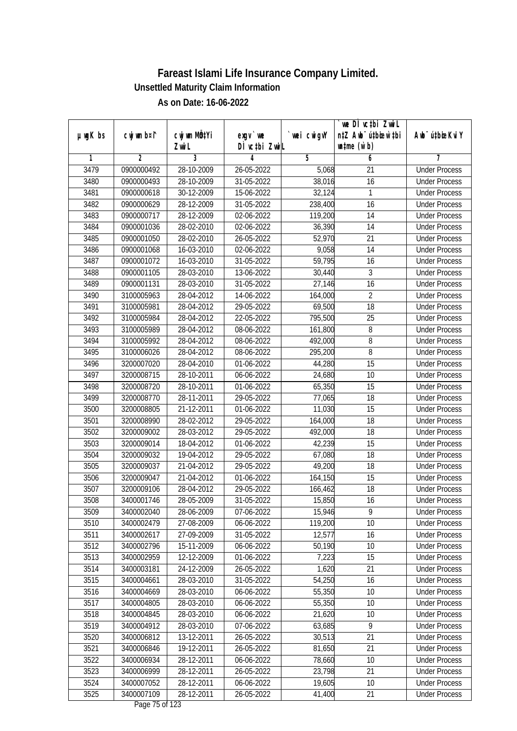|               |             |                           |                                    |             | we DI vctbi ZwiL                 |                             |
|---------------|-------------|---------------------------|------------------------------------|-------------|----------------------------------|-----------------------------|
| $µ$ ug $K$ bs | cwj wm b¤i^ | cwj wm MQ <sup>1</sup> Yi | $exgv$ we                          | `wei cwigvY | n‡Z Awb <sup>-</sup> ú‡bioar`‡bi | Awb <sup>-</sup> ú‡bioeKviY |
|               |             | Zwi L                     | DÌ vctbi ZwiL                      |             | $\n  untime\n  (u`b)\n$          |                             |
| 1             | 2           | 3                         | 4                                  | 5           | 6                                | 7                           |
| 3479          | 0900000492  | 28-10-2009                | 26-05-2022                         | 5,068       | 21                               | <b>Under Process</b>        |
| 3480          | 0900000493  | 28-10-2009                | 31-05-2022                         | 38,016      | 16                               | <b>Under Process</b>        |
| 3481          | 0900000618  | 30-12-2009                | 15-06-2022                         | 32,124      | 1                                | <b>Under Process</b>        |
| 3482          | 0900000629  | 28-12-2009                | 31-05-2022                         | 238,400     | 16                               | <b>Under Process</b>        |
| 3483          | 0900000717  | 28-12-2009                | 02-06-2022                         | 119,200     | 14                               | <b>Under Process</b>        |
| 3484          | 0900001036  | 28-02-2010                | 02-06-2022                         | 36,390      | $\overline{14}$                  | <b>Under Process</b>        |
| 3485          | 0900001050  | 28-02-2010                | 26-05-2022                         | 52,970      | 21                               | <b>Under Process</b>        |
| 3486          | 0900001068  | 16-03-2010                | 02-06-2022                         | 9,058       | $\overline{14}$                  | <b>Under Process</b>        |
| 3487          | 0900001072  | 16-03-2010                | 31-05-2022                         | 59,795      | 16                               | <b>Under Process</b>        |
| 3488          | 0900001105  | 28-03-2010                | 13-06-2022                         | 30,440      | 3                                | <b>Under Process</b>        |
| 3489          | 0900001131  | 28-03-2010                | 31-05-2022                         | 27,146      | 16                               | <b>Under Process</b>        |
| 3490          | 3100005963  | 28-04-2012                | 14-06-2022                         | 164,000     | $\overline{2}$                   | <b>Under Process</b>        |
| 3491          | 3100005981  | 28-04-2012                | 29-05-2022                         | 69,500      | $\overline{18}$                  | <b>Under Process</b>        |
| 3492          | 3100005984  | 28-04-2012                | 22-05-2022                         | 795,500     | 25                               | <b>Under Process</b>        |
| 3493          | 3100005989  | 28-04-2012                | 08-06-2022                         | 161,800     | 8                                | <b>Under Process</b>        |
| 3494          | 3100005992  | 28-04-2012                | 08-06-2022                         | 492,000     | 8                                | <b>Under Process</b>        |
| 3495          | 3100006026  | 28-04-2012                | 08-06-2022                         | 295,200     | 8                                | <b>Under Process</b>        |
| 3496          | 3200007020  | 28-04-2010                | 01-06-2022                         | 44,280      | 15                               | <b>Under Process</b>        |
| 3497          | 3200008715  | 28-10-2011                | 06-06-2022                         | 24,680      | 10                               | <b>Under Process</b>        |
| 3498          | 3200008720  | 28-10-2011                | 01-06-2022                         | 65,350      | 15                               | <b>Under Process</b>        |
| 3499          | 3200008770  | 28-11-2011                | 29-05-2022                         | 77,065      | 18                               | <b>Under Process</b>        |
| 3500          | 3200008805  | $\overline{21}$ -12-2011  | 01-06-2022                         | 11,030      | 15                               | <b>Under Process</b>        |
| 3501          | 3200008990  | 28-02-2012                | 29-05-2022                         | 164,000     | 18                               | <b>Under Process</b>        |
| 3502          | 3200009002  | 28-03-2012                | 29-05-2022                         | 492,000     | 18                               | <b>Under Process</b>        |
| 3503          | 3200009014  | 18-04-2012                | 01-06-2022                         | 42,239      | 15                               | <b>Under Process</b>        |
| 3504          | 3200009032  | 19-04-2012                | 29-05-2022                         | 67,080      | 18                               | <b>Under Process</b>        |
| 3505          | 3200009037  | 21-04-2012                | 29-05-2022                         | 49,200      | 18                               | <b>Under Process</b>        |
| 3506          | 3200009047  | 21-04-2012                | 01-06-2022                         | 164,150     | 15                               | <b>Under Process</b>        |
| 3507          | 3200009106  | 28-04-2012                | 29-05-2022                         | 166,462     | 18                               | <b>Under Process</b>        |
| 3508          | 3400001746  | 28-05-2009                | 31-05-2022                         | 15,850      | 16                               | <b>Under Process</b>        |
| 3509          | 3400002040  | 28-06-2009                | 07-06-2022                         | 15,946      | 9                                | <b>Under Process</b>        |
| 3510          | 3400002479  | 27-08-2009                | 06-06-2022                         | 119,200     | 10                               | <b>Under Process</b>        |
| 3511          | 3400002617  | 27-09-2009                | 31-05-2022                         | 12,577      | 16                               | <b>Under Process</b>        |
| 3512          | 3400002796  | 15-11-2009                | 06-06-2022                         | 50,190      | 10                               | <b>Under Process</b>        |
| 3513          | 3400002959  | 12-12-2009                | 01-06-2022                         | 7,223       | 15                               | <b>Under Process</b>        |
| 3514          | 3400003181  | 24-12-2009                | 26-05-2022                         | 1,620       | 21                               | <b>Under Process</b>        |
| 3515          | 3400004661  | 28-03-2010                | 31-05-2022                         | 54,250      | 16                               | <b>Under Process</b>        |
| 3516          | 3400004669  | 28-03-2010                | 06-06-2022                         | 55,350      | 10                               | <b>Under Process</b>        |
| 3517          | 3400004805  | 28-03-2010                | 06-06-2022                         | 55,350      | 10                               | <b>Under Process</b>        |
| 3518          | 3400004845  | 28-03-2010                | 06-06-2022                         | 21,620      | 10                               | <b>Under Process</b>        |
| 3519          | 3400004912  | 28-03-2010                | 07-06-2022                         | 63,685      | 9                                | <b>Under Process</b>        |
| 3520          | 3400006812  | 13-12-2011                | 26-05-2022                         | 30,513      | 21                               | <b>Under Process</b>        |
| 3521          | 3400006846  | 19-12-2011                | 26-05-2022                         | 81,650      | $\overline{21}$                  | <b>Under Process</b>        |
| 3522          | 3400006934  | 28-12-2011                | 06-06-2022                         | 78,660      | 10                               | <b>Under Process</b>        |
| 3523          | 3400006999  | 28-12-2011                | 26-05-2022                         | 23,798      | 21                               | <b>Under Process</b>        |
| 3524          | 3400007052  | 28-12-2011                | 06-06-2022                         | 19,605      | 10                               | <b>Under Process</b>        |
| 3525          | 3400007109  | 28-12-2011                | 26-05-2022<br>$D_{0.92}$ 7E of 122 | 41,400      | 21                               | <b>Under Process</b>        |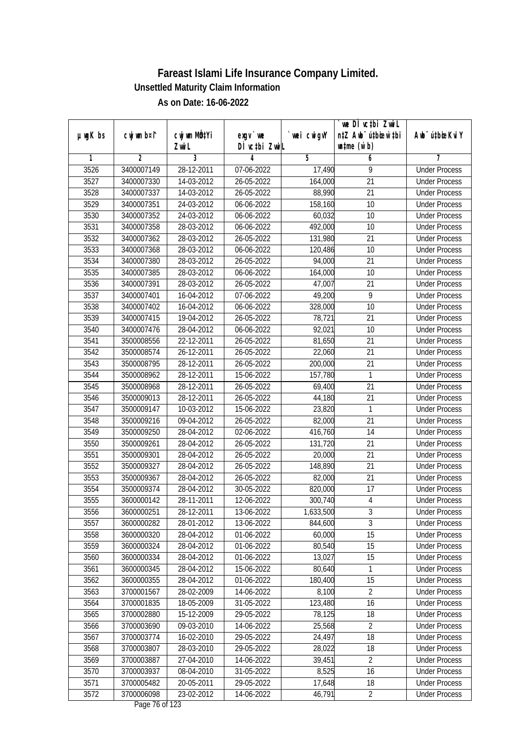|               |                          |                                    |                            |                      | we DI vctbi ZwiL                                            |                                              |
|---------------|--------------------------|------------------------------------|----------------------------|----------------------|-------------------------------------------------------------|----------------------------------------------|
| $µ$ ug $K$ bs | cwj wm b¤i^              | cwj wm MQ <sup>1</sup> Yi<br>Zwi L | $exgv$ we<br>DÌ vctbi ZwiL | `wei cwigvY          | n‡Z Awb <sup>-</sup> ú‡bioar`‡bi<br>$\n  untime\n  (u`b)\n$ | Awb <sup>-</sup> ú‡bioeKviY                  |
| 1             | $\overline{2}$           | 3                                  | 4                          | 5                    | 6                                                           | 7                                            |
| 3526          | 3400007149               | 28-12-2011                         | 07-06-2022                 | 17,490               | 9                                                           | <b>Under Process</b>                         |
| 3527          | 3400007330               | 14-03-2012                         | 26-05-2022                 | 164,000              | $\overline{21}$                                             | <b>Under Process</b>                         |
| 3528          | 3400007337               | 14-03-2012                         | 26-05-2022                 | 88,990               | $\overline{21}$                                             | <b>Under Process</b>                         |
| 3529          | 3400007351               | 24-03-2012                         | 06-06-2022                 | 158,160              | 10                                                          | <b>Under Process</b>                         |
| 3530          | 3400007352               | 24-03-2012                         | 06-06-2022                 | 60,032               | $\overline{10}$                                             | <b>Under Process</b>                         |
| 3531          | 3400007358               | 28-03-2012                         | 06-06-2022                 | 492,000              | 10                                                          | <b>Under Process</b>                         |
| 3532          | 3400007362               | 28-03-2012                         | 26-05-2022                 | 131,980              | $\overline{21}$                                             | <b>Under Process</b>                         |
| 3533          | 3400007368               | 28-03-2012                         | 06-06-2022                 | 120,486              | 10                                                          | <b>Under Process</b>                         |
| 3534          | 3400007380               | 28-03-2012                         | 26-05-2022                 | 94,000               | 21                                                          | <b>Under Process</b>                         |
| 3535          | 3400007385               | 28-03-2012                         | 06-06-2022                 | 164,000              | 10                                                          | <b>Under Process</b>                         |
| 3536          | 3400007391               | 28-03-2012                         | 26-05-2022                 | 47,007               | $\overline{21}$                                             | <b>Under Process</b>                         |
| 3537          | 3400007401               | 16-04-2012                         | 07-06-2022                 | 49,200               | 9                                                           | <b>Under Process</b>                         |
| 3538          | 3400007402               | 16-04-2012                         | 06-06-2022                 | 328,000              | $\overline{10}$                                             | <b>Under Process</b>                         |
| 3539          | 3400007415               | 19-04-2012                         | 26-05-2022                 | 78,721               | 21                                                          | <b>Under Process</b>                         |
| 3540          | 3400007476               | 28-04-2012                         | 06-06-2022                 | 92,021               | 10                                                          | <b>Under Process</b>                         |
| 3541          | 3500008556               | 22-12-2011                         | 26-05-2022                 | 81,650               | 21                                                          | <b>Under Process</b>                         |
| 3542          | 3500008574               | 26-12-2011                         | 26-05-2022                 | 22,060               | 21                                                          | <b>Under Process</b>                         |
| 3543          | 3500008795               | 28-12-2011                         | 26-05-2022                 | 200,000              | 21                                                          | <b>Under Process</b>                         |
| 3544          | 3500008962               | 28-12-2011                         | 15-06-2022                 | 157,780              | 1                                                           | <b>Under Process</b>                         |
| 3545          | 3500008968               | 28-12-2011                         | 26-05-2022                 | 69,400               | 21                                                          | <b>Under Process</b>                         |
| 3546          | 3500009013               | 28-12-2011                         | 26-05-2022                 | 44,180               | 21                                                          | <b>Under Process</b>                         |
| 3547          | 3500009147               | 10-03-2012                         | 15-06-2022                 | 23,820               | 1                                                           | <b>Under Process</b>                         |
| 3548          | 3500009216               | 09-04-2012                         | 26-05-2022                 | 82,000               | 21                                                          | <b>Under Process</b>                         |
| 3549          | 3500009250               | 28-04-2012                         | 02-06-2022                 | 416,760              | 14                                                          | <b>Under Process</b>                         |
| 3550          | 3500009261               | 28-04-2012                         | 26-05-2022                 | 131,720              | 21                                                          | <b>Under Process</b>                         |
| 3551          | 3500009301               | 28-04-2012                         | 26-05-2022                 | 20,000               | 21                                                          | <b>Under Process</b>                         |
| 3552          | 3500009327               | 28-04-2012                         | 26-05-2022                 | 148,890              | 21                                                          | <b>Under Process</b>                         |
| 3553          | 3500009367               | 28-04-2012                         | 26-05-2022                 | 82,000               | $\overline{21}$                                             | <b>Under Process</b>                         |
| 3554          | 3500009374               | 28-04-2012                         | 30-05-2022                 | 820,000              | 17                                                          | <b>Under Process</b>                         |
| 3555          | 3600000142               | 28-11-2011                         | 12-06-2022                 | 300,740              | $\overline{4}$                                              | <b>Under Process</b>                         |
|               |                          |                                    |                            |                      |                                                             |                                              |
| 3556<br>3557  | 3600000251<br>3600000282 | 28-12-2011<br>28-01-2012           | 13-06-2022<br>13-06-2022   | 1,633,500<br>844,600 | 3<br>$\overline{3}$                                         | <b>Under Process</b><br><b>Under Process</b> |
| 3558          | 3600000320               | 28-04-2012                         | 01-06-2022                 | 60,000               | 15                                                          |                                              |
| 3559          | 3600000324               | 28-04-2012                         | 01-06-2022                 | 80,540               | 15                                                          | <b>Under Process</b><br><b>Under Process</b> |
| 3560          | 3600000334               | 28-04-2012                         | 01-06-2022                 | 13,027               | 15                                                          | <b>Under Process</b>                         |
|               |                          |                                    |                            |                      |                                                             | <b>Under Process</b>                         |
| 3561          | 3600000345<br>3600000355 | 28-04-2012                         | 15-06-2022                 | 80,640<br>180,400    | 1<br>15                                                     | <b>Under Process</b>                         |
| 3562          |                          | 28-04-2012                         | 01-06-2022                 |                      | $\overline{2}$                                              |                                              |
| 3563          | 3700001567               | 28-02-2009                         | 14-06-2022                 | 8,100                |                                                             | <b>Under Process</b>                         |
| 3564          | 3700001835               | 18-05-2009                         | 31-05-2022                 | 123,480              | 16                                                          | <b>Under Process</b>                         |
| 3565          | 3700002880               | 15-12-2009                         | 29-05-2022                 | 78,125               | 18                                                          | <b>Under Process</b>                         |
| 3566          | 3700003690               | 09-03-2010                         | 14-06-2022                 | 25,568               | $\overline{2}$                                              | <b>Under Process</b>                         |
| 3567          | 3700003774               | 16-02-2010                         | 29-05-2022                 | 24,497               | 18                                                          | <b>Under Process</b>                         |
| 3568          | 3700003807               | 28-03-2010                         | 29-05-2022                 | 28,022               | 18                                                          | <b>Under Process</b>                         |
| 3569          | 3700003887               | 27-04-2010                         | 14-06-2022                 | 39,451               | $\overline{2}$                                              | <b>Under Process</b>                         |
| 3570          | 3700003937               | 08-04-2010                         | 31-05-2022                 | 8,525                | 16                                                          | <b>Under Process</b>                         |
| 3571          | 3700005482               | 20-05-2011                         | 29-05-2022                 | 17,648               | 18                                                          | <b>Under Process</b>                         |
| 3572          | 3700006098               | 23-02-2012                         | 14-06-2022                 | 46,791               | $\overline{2}$                                              | <b>Under Process</b>                         |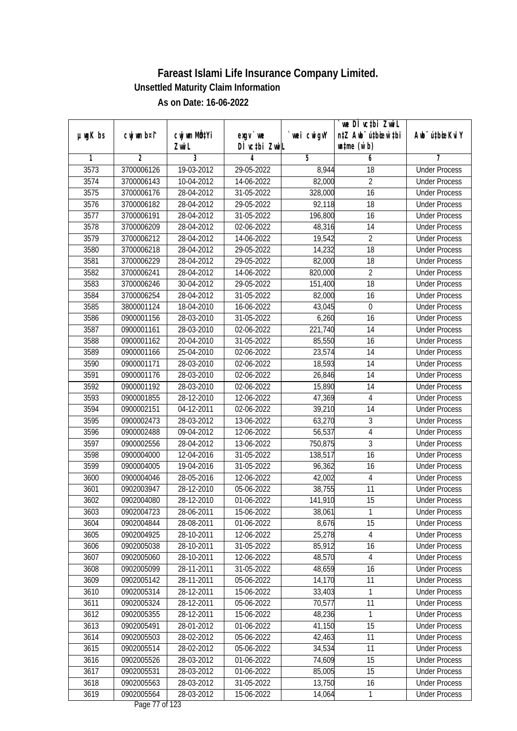|               |             |                           |                              |                  | `we DÌ vc‡bi ZwiL                |                                              |
|---------------|-------------|---------------------------|------------------------------|------------------|----------------------------------|----------------------------------------------|
| $µ$ ug $K$ bs | cwj wm b¤i^ | cwj wm MQ <sup>1</sup> Yi | $exgV$ we                    | `wei cwigvY      | n‡Z Awb <sup>-</sup> ú‡bioar`‡bi | Awb <sup>-</sup> ú‡bioeKviY                  |
| 1             | 2           | Zwi L<br>3                | DÌ vctbi ZwiL<br>4           | 5                | $\n  untime\n  (u`b)\n$<br>6     | 7                                            |
| 3573          | 3700006126  | 19-03-2012                | 29-05-2022                   | 8,944            | 18                               | <b>Under Process</b>                         |
| 3574          | 3700006143  | 10-04-2012                | 14-06-2022                   | 82,000           | $\overline{2}$                   | <b>Under Process</b>                         |
| 3575          | 3700006176  | 28-04-2012                | 31-05-2022                   | 328,000          | 16                               | <b>Under Process</b>                         |
| 3576          | 3700006182  | 28-04-2012                | 29-05-2022                   | 92,118           | 18                               | <b>Under Process</b>                         |
| 3577          | 3700006191  | 28-04-2012                | 31-05-2022                   | 196,800          | 16                               | <b>Under Process</b>                         |
| 3578          | 3700006209  | 28-04-2012                | 02-06-2022                   | 48,316           | $\overline{14}$                  | <b>Under Process</b>                         |
| 3579          | 3700006212  | 28-04-2012                | 14-06-2022                   | 19,542           | $\overline{2}$                   | <b>Under Process</b>                         |
| 3580          | 3700006218  | 28-04-2012                | 29-05-2022                   | 14,232           | $\overline{18}$                  | <b>Under Process</b>                         |
| 3581          | 3700006229  | 28-04-2012                | 29-05-2022                   | 82,000           | 18                               | <b>Under Process</b>                         |
|               |             |                           |                              |                  | $\overline{2}$                   |                                              |
| 3582          | 3700006241  | 28-04-2012                | 14-06-2022                   | 820,000          | 18                               | <b>Under Process</b><br><b>Under Process</b> |
| 3583          | 3700006246  | 30-04-2012                | 29-05-2022                   | 151,400          |                                  | <b>Under Process</b>                         |
| 3584          | 3700006254  | 28-04-2012<br>18-04-2010  | 31-05-2022                   | 82,000<br>43,045 | 16                               | <b>Under Process</b>                         |
| 3585          | 3800001124  |                           | 16-06-2022                   |                  | $\boldsymbol{0}$                 |                                              |
| 3586          | 0900001156  | 28-03-2010                | 31-05-2022                   | 6,260            | 16                               | <b>Under Process</b>                         |
| 3587          | 0900001161  | 28-03-2010                | 02-06-2022                   | 221,740          | 14                               | <b>Under Process</b>                         |
| 3588          | 0900001162  | 20-04-2010                | 31-05-2022                   | 85,550           | 16                               | <b>Under Process</b>                         |
| 3589          | 0900001166  | 25-04-2010                | 02-06-2022                   | 23,574           | 14                               | <b>Under Process</b>                         |
| 3590          | 0900001171  | 28-03-2010                | 02-06-2022                   | 18,593           | 14                               | <b>Under Process</b>                         |
| 3591          | 0900001176  | 28-03-2010                | 02-06-2022                   | 26,846           | 14                               | <b>Under Process</b>                         |
| 3592          | 0900001192  | 28-03-2010                | 02-06-2022                   | 15,890           | 14                               | <b>Under Process</b>                         |
| 3593          | 0900001855  | 28-12-2010                | 12-06-2022                   | 47,369           | $\overline{4}$                   | <b>Under Process</b>                         |
| 3594          | 0900002151  | $\overline{04-1}$ 2-2011  | 02-06-2022                   | 39,210           | 14                               | <b>Under Process</b>                         |
| 3595          | 0900002473  | 28-03-2012                | 13-06-2022                   | 63,270           | 3                                | <b>Under Process</b>                         |
| 3596          | 0900002488  | 09-04-2012                | 12-06-2022                   | 56,537           | $\overline{4}$                   | <b>Under Process</b>                         |
| 3597          | 0900002556  | 28-04-2012                | 13-06-2022                   | 750,875          | $\overline{3}$                   | <b>Under Process</b>                         |
| 3598          | 0900004000  | 12-04-2016                | 31-05-2022                   | 138,517          | 16                               | <b>Under Process</b>                         |
| 3599          | 0900004005  | 19-04-2016                | 31-05-2022                   | 96,362           | 16                               | <b>Under Process</b>                         |
| 3600          | 0900004046  | 28-05-2016                | 12-06-2022                   | 42,002           | 4                                | <b>Under Process</b>                         |
| 3601          | 0902003947  | 28-12-2010                | 05-06-2022                   | 38,755           | 11                               | <b>Under Process</b>                         |
| 3602          | 0902004080  | 28-12-2010                | 01-06-2022                   | 141,910          | 15                               | <b>Under Process</b>                         |
| 3603          | 0902004723  | 28-06-2011                | 15-06-2022                   | 38,061           | 1                                | <b>Under Process</b>                         |
| 3604          | 0902004844  | 28-08-2011                | 01-06-2022                   | 8,676            | 15                               | <b>Under Process</b>                         |
| 3605          | 0902004925  | 28-10-2011                | 12-06-2022                   | 25,278           | 4                                | <b>Under Process</b>                         |
| 3606          | 0902005038  | 28-10-2011                | 31-05-2022                   | 85,912           | 16                               | <b>Under Process</b>                         |
| 3607          | 0902005060  | 28-10-2011                | 12-06-2022                   | 48,570           | $\overline{4}$                   | <b>Under Process</b>                         |
| 3608          | 0902005099  | 28-11-2011                | 31-05-2022                   | 48,659           | 16                               | <b>Under Process</b>                         |
| 3609          | 0902005142  | 28-11-2011                | 05-06-2022                   | 14,170           | 11                               | <b>Under Process</b>                         |
| 3610          | 0902005314  | 28-12-2011                | 15-06-2022                   | 33,403           | 1                                | <b>Under Process</b>                         |
| 3611          | 0902005324  | 28-12-2011                | 05-06-2022                   | 70,577           | 11                               | <b>Under Process</b>                         |
| 3612          | 0902005355  | 28-12-2011                | 15-06-2022                   | 48,236           | 1                                | <b>Under Process</b>                         |
| 3613          | 0902005491  | 28-01-2012                | 01-06-2022                   | 41,150           | 15                               | <b>Under Process</b>                         |
| 3614          | 0902005503  | 28-02-2012                | 05-06-2022                   | 42,463           | 11                               | <b>Under Process</b>                         |
| 3615          | 0902005514  | 28-02-2012                | 05-06-2022                   | 34,534           | $\overline{11}$                  | <b>Under Process</b>                         |
| 3616          | 0902005526  | 28-03-2012                | 01-06-2022                   | 74,609           | 15                               | <b>Under Process</b>                         |
| 3617          | 0902005531  | 28-03-2012                | 01-06-2022                   | 85,005           | $\overline{15}$                  | <b>Under Process</b>                         |
| 3618          | 0902005563  | 28-03-2012                | 31-05-2022                   | 13,750           | 16                               | <b>Under Process</b>                         |
| 3619          | 0902005564  | 28-03-2012                | 15-06-2022<br>Dege 77 of 199 | 14,064           | 1                                | <b>Under Process</b>                         |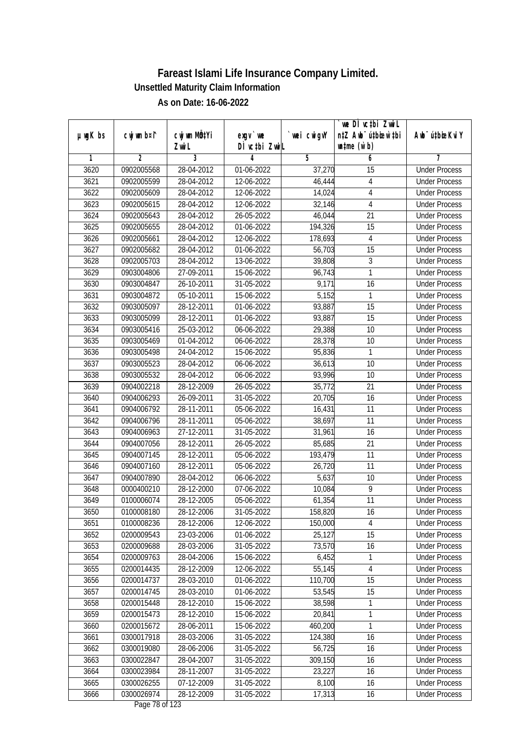|         |                |                           |                  |                | we DI vctbi Zwil                 |                             |
|---------|----------------|---------------------------|------------------|----------------|----------------------------------|-----------------------------|
| µwgK bs | cwj wm b¤i^    | cwj wm MQ <sup>1</sup> Yi | $exgV$ we        | `wei cwigvY    | n‡Z Awb <sup>-</sup> ú‡bioar`‡bi | Awb <sup>-</sup> ú‡bioeKviY |
|         |                | Zwi L                     | DÌ vctbi ZwiL    |                | $\n  untime\n  (u`b)\n$          |                             |
| 1       | $\overline{2}$ | 3                         | 4                | $\overline{5}$ | 6                                | 7                           |
| 3620    | 0902005568     | 28-04-2012                | 01-06-2022       | 37,270         | 15                               | <b>Under Process</b>        |
| 3621    | 0902005599     | 28-04-2012                | 12-06-2022       | 46,444         | 4                                | <b>Under Process</b>        |
| 3622    | 0902005609     | 28-04-2012                | 12-06-2022       | 14,024         | $\overline{4}$                   | <b>Under Process</b>        |
| 3623    | 0902005615     | 28-04-2012                | 12-06-2022       | 32,146         | 4                                | <b>Under Process</b>        |
| 3624    | 0902005643     | 28-04-2012                | 26-05-2022       | 46,044         | $\overline{21}$                  | <b>Under Process</b>        |
| 3625    | 0902005655     | 28-04-2012                | 01-06-2022       | 194,326        | 15                               | <b>Under Process</b>        |
| 3626    | 0902005661     | 28-04-2012                | 12-06-2022       | 178,693        | 4                                | <b>Under Process</b>        |
| 3627    | 0902005682     | 28-04-2012                | 01-06-2022       | 56,703         | 15                               | <b>Under Process</b>        |
| 3628    | 0902005703     | 28-04-2012                | 13-06-2022       | 39,808         | $\overline{3}$                   | <b>Under Process</b>        |
| 3629    | 0903004806     | 27-09-2011                | 15-06-2022       | 96,743         | 1                                | <b>Under Process</b>        |
| 3630    | 0903004847     | 26-10-2011                | 31-05-2022       | 9,171          | $\overline{16}$                  | <b>Under Process</b>        |
| 3631    | 0903004872     | 05-10-2011                | 15-06-2022       | 5,152          | 1                                | <b>Under Process</b>        |
| 3632    | 0903005097     | 28-12-2011                | 01-06-2022       | 93,887         | $\overline{15}$                  | <b>Under Process</b>        |
| 3633    | 0903005099     | 28-12-2011                | 01-06-2022       | 93,887         | 15                               | <b>Under Process</b>        |
| 3634    | 0903005416     | 25-03-2012                | 06-06-2022       | 29,388         | 10                               | <b>Under Process</b>        |
| 3635    | 0903005469     | 01-04-2012                | 06-06-2022       | 28,378         | 10                               | <b>Under Process</b>        |
| 3636    | 0903005498     | 24-04-2012                | 15-06-2022       | 95,836         | 1                                | <b>Under Process</b>        |
| 3637    | 0903005523     | 28-04-2012                | 06-06-2022       | 36,613         | 10                               | <b>Under Process</b>        |
| 3638    | 0903005532     | 28-04-2012                | 06-06-2022       | 93,996         | 10                               | <b>Under Process</b>        |
| 3639    | 0904002218     | 28-12-2009                | 26-05-2022       | 35,772         | 21                               | <b>Under Process</b>        |
| 3640    | 0904006293     | 26-09-2011                | $31 - 05 - 2022$ | 20,705         | 16                               | <b>Under Process</b>        |
| 3641    | 0904006792     | 28-11-2011                | 05-06-2022       | 16,431         | 11                               | <b>Under Process</b>        |
| 3642    | 0904006796     | 28-11-2011                | 05-06-2022       | 38,697         | 11                               | <b>Under Process</b>        |
| 3643    | 0904006963     | 27-12-2011                | 31-05-2022       | 31,961         | 16                               | <b>Under Process</b>        |
| 3644    | 0904007056     | 28-12-2011                | 26-05-2022       | 85,685         | 21                               | <b>Under Process</b>        |
| 3645    | 0904007145     | 28-12-2011                | 05-06-2022       | 193,479        | 11                               | <b>Under Process</b>        |
| 3646    | 0904007160     | 28-12-2011                | 05-06-2022       | 26,720         | 11                               | <b>Under Process</b>        |
| 3647    | 0904007890     | 28-04-2012                | 06-06-2022       | 5,637          | 10                               | <b>Under Process</b>        |
| 3648    | 0000400210     | 28-12-2000                | 07-06-2022       | 10,084         | 9                                | <b>Under Process</b>        |
| 3649    | 0100006074     | 28-12-2005                | 05-06-2022       | 61,354         | 11                               | <b>Under Process</b>        |
| 3650    | 0100008180     | 28-12-2006                | 31-05-2022       | 158,820        | 16                               | <b>Under Process</b>        |
| 3651    | 0100008236     | 28-12-2006                | 12-06-2022       | 150,000        | 4                                | <b>Under Process</b>        |
| 3652    | 0200009543     | 23-03-2006                | 01-06-2022       | 25,127         | 15                               | <b>Under Process</b>        |
| 3653    | 0200009688     | 28-03-2006                | 31-05-2022       | 73,570         | 16                               | <b>Under Process</b>        |
| 3654    | 0200009763     | 28-04-2006                | 15-06-2022       | 6,452          | 1                                | <b>Under Process</b>        |
| 3655    | 0200014435     | 28-12-2009                | 12-06-2022       | 55,145         | 4                                | <b>Under Process</b>        |
| 3656    | 0200014737     | 28-03-2010                | 01-06-2022       | 110,700        | 15                               | <b>Under Process</b>        |
| 3657    | 0200014745     | 28-03-2010                | 01-06-2022       | 53,545         | 15                               | <b>Under Process</b>        |
| 3658    | 0200015448     | 28-12-2010                | 15-06-2022       | 38,598         | 1                                | <b>Under Process</b>        |
| 3659    | 0200015473     | 28-12-2010                | 15-06-2022       | 20,841         | 1                                | <b>Under Process</b>        |
| 3660    | 0200015672     | 28-06-2011                | 15-06-2022       | 460,200        | 1                                | <b>Under Process</b>        |
| 3661    | 0300017918     | 28-03-2006                | 31-05-2022       | 124,380        | 16                               | <b>Under Process</b>        |
| 3662    | 0300019080     | 28-06-2006                | 31-05-2022       | 56,725         | 16                               | <b>Under Process</b>        |
| 3663    | 0300022847     | 28-04-2007                | 31-05-2022       | 309,150        | 16                               | <b>Under Process</b>        |
| 3664    | 0300023984     | 28-11-2007                | 31-05-2022       | 23,227         | 16                               | <b>Under Process</b>        |
| 3665    | 0300026255     | 07-12-2009                | 31-05-2022       | 8,100          | 16                               | <b>Under Process</b>        |
| 3666    | 0300026974     | 28-12-2009                | 31-05-2022       | 17,313         | 16                               | <b>Under Process</b>        |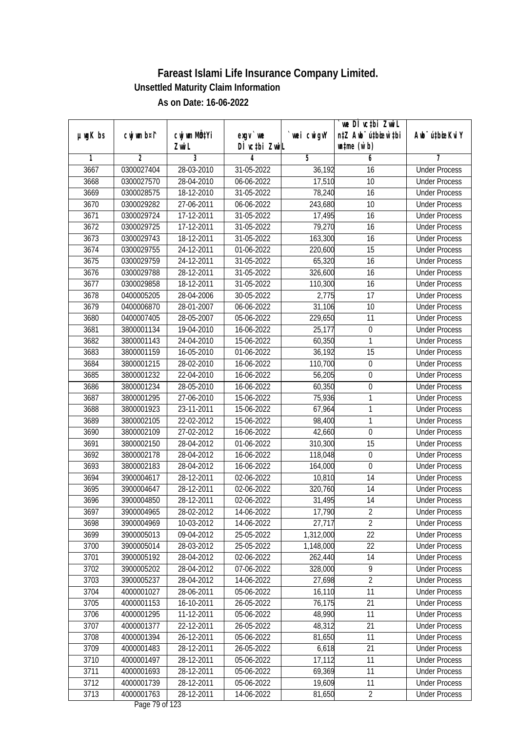|               |             |                       |                                    |            | `we DÌ vc‡bi ZwiL<br>n‡Z Awb <sup>-</sup> ú‡bioar`‡bi |                             |
|---------------|-------------|-----------------------|------------------------------------|------------|-------------------------------------------------------|-----------------------------|
| $µ$ ug $K$ bs | cwj wm b¤i^ | cwj wm MQtYi<br>Zwi L | $exqu$ we<br>DÌ vctbi ZwiL         | wei cwigvY | $\n  untime\n  (u`b)\n$                               | Awb <sup>-</sup> ú‡bioeKviY |
| 1             | 2           | 3                     | 4                                  | 5          | 6                                                     |                             |
| 3667          | 0300027404  | 28-03-2010            | 31-05-2022                         | 36,192     | 16                                                    | <b>Under Process</b>        |
| 3668          | 0300027570  | 28-04-2010            | 06-06-2022                         | 17,510     | $\overline{10}$                                       | <b>Under Process</b>        |
| 3669          | 0300028575  | 18-12-2010            | 31-05-2022                         | 78,240     | 16                                                    | <b>Under Process</b>        |
| 3670          | 0300029282  | 27-06-2011            | 06-06-2022                         | 243,680    | 10                                                    | <b>Under Process</b>        |
| 3671          | 0300029724  | 17-12-2011            | 31-05-2022                         | 17,495     | 16                                                    | <b>Under Process</b>        |
| 3672          | 0300029725  | 17-12-2011            | 31-05-2022                         | 79,270     | 16                                                    | <b>Under Process</b>        |
| 3673          | 0300029743  | 18-12-2011            | 31-05-2022                         | 163,300    | 16                                                    | <b>Under Process</b>        |
| 3674          | 0300029755  | 24-12-2011            | 01-06-2022                         | 220,600    | 15                                                    | <b>Under Process</b>        |
| 3675          | 0300029759  | 24-12-2011            | 31-05-2022                         | 65,320     | 16                                                    | <b>Under Process</b>        |
| 3676          | 0300029788  | 28-12-2011            | 31-05-2022                         | 326,600    | 16                                                    | <b>Under Process</b>        |
| 3677          | 0300029858  | 18-12-2011            | 31-05-2022                         | 110,300    | 16                                                    | <b>Under Process</b>        |
| 3678          | 0400005205  | 28-04-2006            | 30-05-2022                         | 2,775      | 17                                                    | <b>Under Process</b>        |
| 3679          | 0400006870  | 28-01-2007            | 06-06-2022                         | 31,106     | 10                                                    | <b>Under Process</b>        |
| 3680          | 0400007405  | 28-05-2007            | 05-06-2022                         | 229,650    | 11                                                    | <b>Under Process</b>        |
| 3681          | 3800001134  | 19-04-2010            | 16-06-2022                         | 25,177     | $\boldsymbol{0}$                                      | <b>Under Process</b>        |
| 3682          | 3800001143  | 24-04-2010            | 15-06-2022                         | 60,350     | 1                                                     | <b>Under Process</b>        |
| 3683          | 3800001159  | 16-05-2010            | 01-06-2022                         | 36,192     | 15                                                    | <b>Under Process</b>        |
| 3684          | 3800001215  | 28-02-2010            | 16-06-2022                         | 110,700    | $\boldsymbol{0}$                                      | <b>Under Process</b>        |
| 3685          | 3800001232  | 22-04-2010            | 16-06-2022                         | 56,205     | $\boldsymbol{0}$                                      | <b>Under Process</b>        |
| 3686          | 3800001234  | 28-05-2010            | 16-06-2022                         | 60,350     | $\boldsymbol{0}$                                      | <b>Under Process</b>        |
| 3687          | 3800001295  | 27-06-2010            | 15-06-2022                         | 75,936     | 1                                                     | <b>Under Process</b>        |
| 3688          | 3800001923  | 23-11-2011            | 15-06-2022                         | 67,964     | 1                                                     | <b>Under Process</b>        |
| 3689          | 3800002105  | 22-02-2012            | 15-06-2022                         | 98,400     | 1                                                     | <b>Under Process</b>        |
| 3690          | 3800002109  | 27-02-2012            | 16-06-2022                         | 42,660     | $\mathbf 0$                                           | <b>Under Process</b>        |
| 3691          | 3800002150  | 28-04-2012            | 01-06-2022                         | 310,300    | 15                                                    | <b>Under Process</b>        |
| 3692          | 3800002178  | 28-04-2012            | 16-06-2022                         | 118,048    | $\mathbf 0$                                           | <b>Under Process</b>        |
| 3693          | 3800002183  | 28-04-2012            | 16-06-2022                         | 164,000    | $\boldsymbol{0}$                                      | <b>Under Process</b>        |
| 3694          | 3900004617  | 28-12-2011            | 02-06-2022                         | 10,810     | 14                                                    | <b>Under Process</b>        |
| 3695          | 3900004647  | 28-12-2011            | 02-06-2022                         | 320,760    | 14                                                    | <b>Under Process</b>        |
| 3696          | 3900004850  | 28-12-2011            | 02-06-2022                         | 31,495     | 14                                                    | <b>Under Process</b>        |
| 3697          | 3900004965  | 28-02-2012            | 14-06-2022                         | 17,790     | $\overline{2}$                                        | <b>Under Process</b>        |
| 3698          | 3900004969  | 10-03-2012            | 14-06-2022                         | 27,717     | $\overline{2}$                                        | <b>Under Process</b>        |
| 3699          | 3900005013  | 09-04-2012            | 25-05-2022                         | 1,312,000  | 22                                                    | <b>Under Process</b>        |
| 3700          | 3900005014  | 28-03-2012            | 25-05-2022                         | 1,148,000  | 22                                                    | <b>Under Process</b>        |
| 3701          | 3900005192  | 28-04-2012            | 02-06-2022                         | 262,440    | 14                                                    | <b>Under Process</b>        |
| 3702          | 3900005202  | 28-04-2012            | 07-06-2022                         | 328,000    | 9                                                     | <b>Under Process</b>        |
| 3703          | 3900005237  | 28-04-2012            | 14-06-2022                         | 27,698     | $\overline{2}$                                        | <b>Under Process</b>        |
| 3704          | 4000001027  | 28-06-2011            | 05-06-2022                         | 16,110     | 11                                                    | <b>Under Process</b>        |
| 3705          | 4000001153  | 16-10-2011            | 26-05-2022                         | 76,175     | 21                                                    | <b>Under Process</b>        |
| 3706          | 4000001295  | 11-12-2011            | 05-06-2022                         | 48,990     | 11                                                    | <b>Under Process</b>        |
| 3707          | 4000001377  | 22-12-2011            | 26-05-2022                         | 48,312     | 21                                                    | <b>Under Process</b>        |
| 3708          | 4000001394  | 26-12-2011            | 05-06-2022                         | 81,650     | 11                                                    | <b>Under Process</b>        |
| 3709          | 4000001483  | 28-12-2011            | 26-05-2022                         | 6,618      | $\overline{21}$                                       | <b>Under Process</b>        |
| 3710          | 4000001497  | 28-12-2011            | 05-06-2022                         | 17,112     | 11                                                    | <b>Under Process</b>        |
| 3711          | 4000001693  | 28-12-2011            | 05-06-2022                         | 69,369     | 11                                                    | <b>Under Process</b>        |
| 3712          | 4000001739  | 28-12-2011            | 05-06-2022                         | 19,609     | 11                                                    | <b>Under Process</b>        |
| 3713          | 4000001763  | 28-12-2011            | 14-06-2022<br>$D_{0.82}$ 70 of 100 | 81,650     | $\overline{2}$                                        | <b>Under Process</b>        |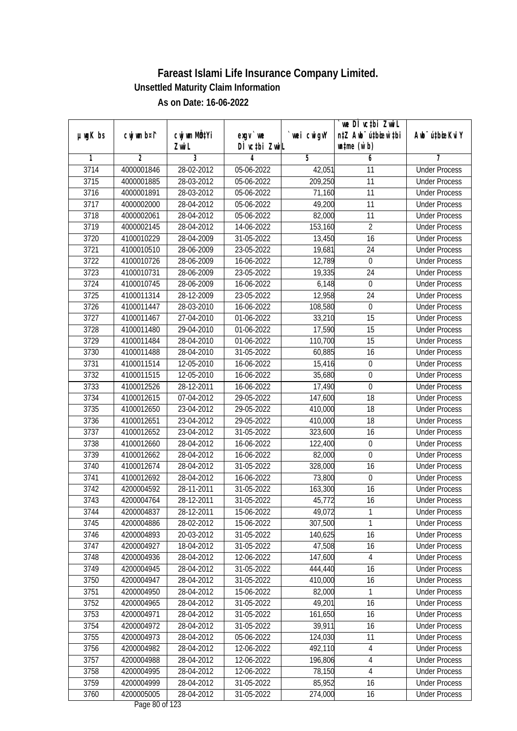|         |             |              |                  |             | we DI vctbi ZwiL                 |                             |
|---------|-------------|--------------|------------------|-------------|----------------------------------|-----------------------------|
| µwgK bs | cwj wm b¤i^ | cwj wm MQtYi | exgy `we         | `wei cwigvY | n‡Z Awb <sup>-</sup> ú‡bioar`‡bi | Awb <sup>-</sup> ú‡bioeKviY |
|         |             | Zwi L        | DÌ vctbi ZwiL    |             | $\n  untime\n  (u`b)\n$          |                             |
| 1       | 2           | 3            | 4                | 5           | 6                                | 7                           |
| 3714    | 4000001846  | 28-02-2012   | 05-06-2022       | 42,051      | $\overline{11}$                  | <b>Under Process</b>        |
| 3715    | 4000001885  | 28-03-2012   | 05-06-2022       | 209,250     | $\overline{11}$                  | <b>Under Process</b>        |
| 3716    | 4000001891  | 28-03-2012   | 05-06-2022       | 71,160      | 11                               | <b>Under Process</b>        |
| 3717    | 4000002000  | 28-04-2012   | 05-06-2022       | 49,200      | 11                               | <b>Under Process</b>        |
| 3718    | 4000002061  | 28-04-2012   | 05-06-2022       | 82,000      | $\overline{11}$                  | <b>Under Process</b>        |
| 3719    | 4000002145  | 28-04-2012   | 14-06-2022       | 153,160     | $\overline{2}$                   | <b>Under Process</b>        |
| 3720    | 4100010229  | 28-04-2009   | $31 - 05 - 2022$ | 13,450      | 16                               | <b>Under Process</b>        |
| 3721    | 4100010510  | 28-06-2009   | 23-05-2022       | 19,681      | 24                               | <b>Under Process</b>        |
| 3722    | 4100010726  | 28-06-2009   | 16-06-2022       | 12,789      | $\boldsymbol{0}$                 | <b>Under Process</b>        |
| 3723    | 4100010731  | 28-06-2009   | 23-05-2022       | 19,335      | 24                               | <b>Under Process</b>        |
| 3724    | 4100010745  | 28-06-2009   | 16-06-2022       | 6,148       | 0                                | <b>Under Process</b>        |
| 3725    | 4100011314  | 28-12-2009   | 23-05-2022       | 12,958      | 24                               | <b>Under Process</b>        |
| 3726    | 4100011447  | 28-03-2010   | 16-06-2022       | 108,580     | $\boldsymbol{0}$                 | <b>Under Process</b>        |
| 3727    | 4100011467  | 27-04-2010   | 01-06-2022       | 33,210      | 15                               | <b>Under Process</b>        |
| 3728    | 4100011480  | 29-04-2010   | 01-06-2022       | 17,590      | 15                               | <b>Under Process</b>        |
| 3729    | 4100011484  | 28-04-2010   | 01-06-2022       | 110,700     | 15                               | <b>Under Process</b>        |
| 3730    | 4100011488  | 28-04-2010   | 31-05-2022       | 60,885      | 16                               | <b>Under Process</b>        |
| 3731    | 4100011514  | 12-05-2010   | 16-06-2022       | 15,416      | $\boldsymbol{0}$                 | <b>Under Process</b>        |
| 3732    | 4100011515  | 12-05-2010   | 16-06-2022       | 35,680      | $\boldsymbol{0}$                 | <b>Under Process</b>        |
| 3733    | 4100012526  | 28-12-2011   | 16-06-2022       | 17,490      | $\boldsymbol{0}$                 | <b>Under Process</b>        |
| 3734    | 4100012615  | 07-04-2012   | 29-05-2022       | 147,600     | 18                               | <b>Under Process</b>        |
| 3735    | 4100012650  | 23-04-2012   | 29-05-2022       | 410,000     | 18                               | <b>Under Process</b>        |
| 3736    | 4100012651  | 23-04-2012   | 29-05-2022       | 410,000     | 18                               | <b>Under Process</b>        |
| 3737    | 4100012652  | 23-04-2012   | 31-05-2022       | 323,600     | 16                               | <b>Under Process</b>        |
| 3738    | 4100012660  | 28-04-2012   | 16-06-2022       | 122,400     | 0                                | <b>Under Process</b>        |
| 3739    | 4100012662  | 28-04-2012   | 16-06-2022       | 82,000      | $\mathbf 0$                      | <b>Under Process</b>        |
| 3740    | 4100012674  | 28-04-2012   | 31-05-2022       | 328,000     | 16                               | <b>Under Process</b>        |
| 3741    | 4100012692  | 28-04-2012   | 16-06-2022       | 73,800      | $\boldsymbol{0}$                 | <b>Under Process</b>        |
| 3742    | 4200004592  | 28-11-2011   | 31-05-2022       | 163,300     | 16                               | <b>Under Process</b>        |
| 3743    | 4200004764  | 28-12-2011   | 31-05-2022       | 45,772      | 16                               | <b>Under Process</b>        |
| 3744    | 4200004837  | 28-12-2011   | 15-06-2022       | 49,072      | 1                                | <b>Under Process</b>        |
| 3745    | 4200004886  | 28-02-2012   | 15-06-2022       | 307,500     | 1                                | <b>Under Process</b>        |
| 3746    | 4200004893  | 20-03-2012   | 31-05-2022       | 140,625     | 16                               | <b>Under Process</b>        |
| 3747    | 4200004927  | 18-04-2012   | 31-05-2022       | 47,508      | 16                               | <b>Under Process</b>        |
| 3748    | 4200004936  | 28-04-2012   | 12-06-2022       | 147,600     | 4                                | <b>Under Process</b>        |
| 3749    | 4200004945  | 28-04-2012   | 31-05-2022       | 444,440     | 16                               | <b>Under Process</b>        |
| 3750    | 4200004947  | 28-04-2012   | 31-05-2022       | 410,000     | 16                               | <b>Under Process</b>        |
| 3751    | 4200004950  | 28-04-2012   | 15-06-2022       | 82,000      | 1                                | <b>Under Process</b>        |
| 3752    | 4200004965  | 28-04-2012   | 31-05-2022       | 49,201      | 16                               | <b>Under Process</b>        |
| 3753    | 4200004971  | 28-04-2012   | 31-05-2022       | 161,650     | 16                               | <b>Under Process</b>        |
| 3754    | 4200004972  | 28-04-2012   | 31-05-2022       | 39,911      | 16                               | <b>Under Process</b>        |
| 3755    | 4200004973  | 28-04-2012   | 05-06-2022       | 124,030     | 11                               | <b>Under Process</b>        |
| 3756    | 4200004982  | 28-04-2012   | $12 - 06 - 2022$ | 492,110     | 4                                | <b>Under Process</b>        |
| 3757    | 4200004988  | 28-04-2012   | 12-06-2022       | 196,806     | 4                                | <b>Under Process</b>        |
| 3758    | 4200004995  | 28-04-2012   | 12-06-2022       | 78,150      | $\sqrt{4}$                       | <b>Under Process</b>        |
| 3759    | 4200004999  | 28-04-2012   | 31-05-2022       | 85,952      | 16                               | <b>Under Process</b>        |
| 3760    | 4200005005  | 28-04-2012   | 31-05-2022       | 274,000     | 16                               | <b>Under Process</b>        |
|         |             |              |                  |             |                                  |                             |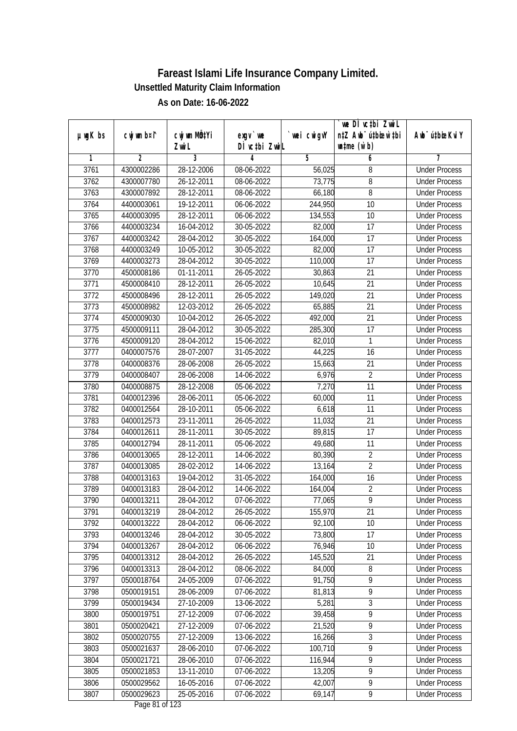|               |                |                                    |                           |             | we DI vctbi ZwiL                                            |                             |
|---------------|----------------|------------------------------------|---------------------------|-------------|-------------------------------------------------------------|-----------------------------|
| $µ$ ug $K$ bs | cwj wm b¤i^    | cwj wm MQ <sup>1</sup> Yi<br>Zwi L | exgy `we<br>DÌ vctbi ZwiL | `wei cwigvY | n‡Z Awb <sup>-</sup> ú‡bicen`‡bi<br>$\n  untime\n  (u`b)\n$ | Awb <sup>-</sup> ú‡bioeKviY |
| 1             | $\overline{2}$ | 3                                  | 4                         | 5           | 6                                                           | 7                           |
| 3761          | 4300002286     | 28-12-2006                         | 08-06-2022                | 56,025      | 8                                                           | <b>Under Process</b>        |
| 3762          | 4300007780     | 26-12-2011                         | 08-06-2022                | 73,775      | 8                                                           | <b>Under Process</b>        |
| 3763          | 4300007892     | 28-12-2011                         | 08-06-2022                | 66,180      | 8                                                           | <b>Under Process</b>        |
| 3764          | 4400003061     | 19-12-2011                         | 06-06-2022                | 244,950     | 10                                                          | <b>Under Process</b>        |
| 3765          | 4400003095     | 28-12-2011                         | 06-06-2022                | 134,553     | $\overline{10}$                                             | <b>Under Process</b>        |
| 3766          | 4400003234     | 16-04-2012                         | 30-05-2022                | 82,000      | $\overline{17}$                                             | <b>Under Process</b>        |
| 3767          | 4400003242     | 28-04-2012                         | 30-05-2022                | 164,000     | $\overline{17}$                                             | <b>Under Process</b>        |
| 3768          | 4400003249     | 10-05-2012                         | 30-05-2022                | 82,000      | 17                                                          | <b>Under Process</b>        |
| 3769          | 4400003273     | 28-04-2012                         | 30-05-2022                | 110,000     | $\overline{17}$                                             | <b>Under Process</b>        |
| 3770          | 4500008186     | 01-11-2011                         | 26-05-2022                | 30,863      | 21                                                          | <b>Under Process</b>        |
| 3771          | 4500008410     | 28-12-2011                         | 26-05-2022                | 10,645      | $\overline{21}$                                             | <b>Under Process</b>        |
| 3772          | 4500008496     | 28-12-2011                         | 26-05-2022                | 149,020     | 21                                                          | <b>Under Process</b>        |
| 3773          | 4500008982     | 12-03-2012                         | 26-05-2022                | 65,885      | $\overline{21}$                                             | <b>Under Process</b>        |
|               |                |                                    |                           | 492,000     | 21                                                          |                             |
| 3774          | 4500009030     | 10-04-2012                         | 26-05-2022                |             |                                                             | <b>Under Process</b>        |
| 3775          | 4500009111     | 28-04-2012                         | 30-05-2022                | 285,300     | 17                                                          | <b>Under Process</b>        |
| 3776          | 4500009120     | 28-04-2012                         | 15-06-2022                | 82,010      | 1                                                           | <b>Under Process</b>        |
| 3777          | 0400007576     | 28-07-2007                         | 31-05-2022                | 44,225      | 16                                                          | <b>Under Process</b>        |
| 3778          | 0400008376     | 28-06-2008                         | 26-05-2022                | 15,663      | 21                                                          | <b>Under Process</b>        |
| 3779          | 0400008407     | 28-06-2008                         | 14-06-2022                | 6,976       | $\overline{2}$                                              | <b>Under Process</b>        |
| 3780          | 0400008875     | 28-12-2008                         | 05-06-2022                | 7,270       | 11                                                          | <b>Under Process</b>        |
| 3781          | 0400012396     | 28-06-2011                         | 05-06-2022                | 60,000      | 11                                                          | <b>Under Process</b>        |
| 3782          | 0400012564     | 28-10-2011                         | 05-06-2022                | 6,618       | 11                                                          | <b>Under Process</b>        |
| 3783          | 0400012573     | 23-11-2011                         | 26-05-2022                | 11,032      | 21                                                          | <b>Under Process</b>        |
| 3784          | 0400012611     | 28-11-2011                         | 30-05-2022                | 89,815      | 17                                                          | <b>Under Process</b>        |
| 3785          | 0400012794     | 28-11-2011                         | 05-06-2022                | 49,680      | 11                                                          | <b>Under Process</b>        |
| 3786          | 0400013065     | 28-12-2011                         | 14-06-2022                | 80,390      | $\sqrt{2}$                                                  | <b>Under Process</b>        |
| 3787          | 0400013085     | 28-02-2012                         | 14-06-2022                | 13,164      | $\overline{2}$                                              | <b>Under Process</b>        |
| 3788          | 0400013163     | 19-04-2012                         | 31-05-2022                | 164,000     | 16                                                          | <b>Under Process</b>        |
| 3789          | 0400013183     | 28-04-2012                         | 14-06-2022                | 164,004     | $\sqrt{2}$                                                  | <b>Under Process</b>        |
| 3790          | 0400013211     | 28-04-2012                         | 07-06-2022                | 77,065      | $\overline{9}$                                              | <b>Under Process</b>        |
| 3791          | 0400013219     | 28-04-2012                         | 26-05-2022                | 155,970     | 21                                                          | <b>Under Process</b>        |
| 3792          | 0400013222     | 28-04-2012                         | 06-06-2022                | 92,100      | 10                                                          | <b>Under Process</b>        |
| 3793          | 0400013246     | 28-04-2012                         | 30-05-2022                | 73,800      | 17                                                          | <b>Under Process</b>        |
| 3794          | 0400013267     | 28-04-2012                         | 06-06-2022                | 76,946      | 10                                                          | <b>Under Process</b>        |
| 3795          | 0400013312     | 28-04-2012                         | 26-05-2022                | 145,520     | 21                                                          | <b>Under Process</b>        |
| 3796          | 0400013313     | 28-04-2012                         | 08-06-2022                | 84,000      | 8                                                           | <b>Under Process</b>        |
| 3797          | 0500018764     | 24-05-2009                         | 07-06-2022                | 91,750      | $\overline{9}$                                              | <b>Under Process</b>        |
| 3798          | 0500019151     | 28-06-2009                         | 07-06-2022                | 81,813      | $\overline{9}$                                              | <b>Under Process</b>        |
| 3799          | 0500019434     | 27-10-2009                         | 13-06-2022                | 5,281       | 3                                                           | <b>Under Process</b>        |
| 3800          | 0500019751     | 27-12-2009                         | 07-06-2022                | 39,458      | $\overline{9}$                                              | <b>Under Process</b>        |
| 3801          | 0500020421     | 27-12-2009                         | 07-06-2022                | 21,520      | 9                                                           | <b>Under Process</b>        |
| 3802          | 0500020755     | 27-12-2009                         | 13-06-2022                | 16,266      | 3                                                           | <b>Under Process</b>        |
| 3803          | 0500021637     | 28-06-2010                         | 07-06-2022                | 100,710     | $\overline{9}$                                              | <b>Under Process</b>        |
| 3804          | 0500021721     | 28-06-2010                         | 07-06-2022                | 116,944     | $\overline{9}$                                              | <b>Under Process</b>        |
| 3805          | 0500021853     | 13-11-2010                         | 07-06-2022                | 13,205      | $\overline{9}$                                              | <b>Under Process</b>        |
| 3806          | 0500029562     | 16-05-2016                         | 07-06-2022                | 42,007      | $\overline{9}$                                              | <b>Under Process</b>        |
| 3807          | 0500029623     | 25-05-2016                         | 07-06-2022                | 69,147      | 9                                                           | <b>Under Process</b>        |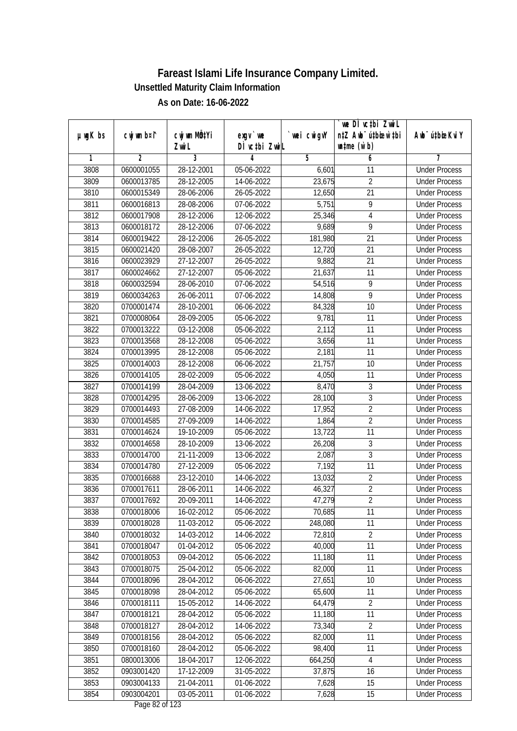| $µ$ ug $K$ bs | cwj wm b¤i^ | cwj wm MQtYi | $exqu$ we                                | wei cwigvY | `we DÌ vc‡bi ZwiL<br>n‡Z Awb <sup>-</sup> ú‡bioen`‡bi | Awb <sup>-</sup> ú‡bioeKviY |
|---------------|-------------|--------------|------------------------------------------|------------|-------------------------------------------------------|-----------------------------|
|               |             | Zwi L        | DÌ vctbi ZwiL                            |            | $\n  untime\n  (u`b)\n$                               |                             |
| 1             | 2           | 3            | 4                                        | 5          | 6                                                     |                             |
| 3808          | 0600001055  | 28-12-2001   | 05-06-2022                               | 6,601      | 11                                                    | <b>Under Process</b>        |
| 3809          | 0600013785  | 28-12-2005   | 14-06-2022                               | 23,675     | $\overline{2}$                                        | <b>Under Process</b>        |
| 3810          | 0600015349  | 28-06-2006   | 26-05-2022                               | 12,650     | $\overline{21}$                                       | <b>Under Process</b>        |
| 3811          | 0600016813  | 28-08-2006   | 07-06-2022                               | 5,751      | $\overline{9}$                                        | <b>Under Process</b>        |
| 3812          | 0600017908  | 28-12-2006   | 12-06-2022                               | 25,346     | $\overline{4}$                                        | <b>Under Process</b>        |
| 3813          | 0600018172  | 28-12-2006   | 07-06-2022                               | 9,689      | $\overline{9}$                                        | <b>Under Process</b>        |
| 3814          | 0600019422  | 28-12-2006   | 26-05-2022                               | 181,980    | $\overline{21}$                                       | <b>Under Process</b>        |
| 3815          | 0600021420  | 28-08-2007   | 26-05-2022                               | 12,720     | $\overline{21}$                                       | <b>Under Process</b>        |
| 3816          | 0600023929  | 27-12-2007   | 26-05-2022                               | 9,882      | 21                                                    | <b>Under Process</b>        |
| 3817          | 0600024662  | 27-12-2007   | 05-06-2022                               | 21,637     | 11                                                    | <b>Under Process</b>        |
| 3818          | 0600032594  | 28-06-2010   | 07-06-2022                               | 54,516     | $\overline{9}$                                        | <b>Under Process</b>        |
| 3819          | 0600034263  | 26-06-2011   | 07-06-2022                               | 14,808     | $\overline{9}$                                        | <b>Under Process</b>        |
| 3820          | 0700001474  | 28-10-2001   | 06-06-2022                               | 84,328     | $\overline{10}$                                       | <b>Under Process</b>        |
| 3821          | 0700008064  | 28-09-2005   | 05-06-2022                               | 9,781      | 11                                                    | <b>Under Process</b>        |
| 3822          | 0700013222  | 03-12-2008   | 05-06-2022                               | 2,112      | 11                                                    | <b>Under Process</b>        |
| 3823          | 0700013568  | 28-12-2008   | 05-06-2022                               | 3,656      | 11                                                    | <b>Under Process</b>        |
| 3824          | 0700013995  | 28-12-2008   | 05-06-2022                               | 2,181      | 11                                                    | <b>Under Process</b>        |
| 3825          | 0700014003  | 28-12-2008   | 06-06-2022                               | 21,757     | 10                                                    | <b>Under Process</b>        |
| 3826          | 0700014105  | 28-02-2009   | 05-06-2022                               | 4,050      | 11                                                    | <b>Under Process</b>        |
| 3827          | 0700014199  | 28-04-2009   | 13-06-2022                               | 8,470      | $\sqrt{3}$                                            | <b>Under Process</b>        |
| 3828          | 0700014295  | 28-06-2009   | 13-06-2022                               | 28,100     | $\mathfrak{Z}$                                        | <b>Under Process</b>        |
| 3829          | 0700014493  | 27-08-2009   | 14-06-2022                               | 17,952     | $\overline{2}$                                        | <b>Under Process</b>        |
| 3830          | 0700014585  | 27-09-2009   | 14-06-2022                               | 1,864      | $\overline{2}$                                        | <b>Under Process</b>        |
| 3831          | 0700014624  | 19-10-2009   | 05-06-2022                               | 13,722     | 11                                                    | <b>Under Process</b>        |
| 3832          | 0700014658  | 28-10-2009   | 13-06-2022                               | 26,208     | 3                                                     | <b>Under Process</b>        |
| 3833          | 0700014700  | 21-11-2009   | 13-06-2022                               | 2,087      | 3                                                     | <b>Under Process</b>        |
| 3834          | 0700014780  | 27-12-2009   | 05-06-2022                               | 7,192      | 11                                                    | <b>Under Process</b>        |
| 3835          | 0700016688  | 23-12-2010   | 14-06-2022                               | 13,032     | $\overline{2}$                                        | <b>Under Process</b>        |
| 3836          | 0700017611  | 28-06-2011   | 14-06-2022                               | 46,327     | $\overline{2}$                                        | <b>Under Process</b>        |
| 3837          | 0700017692  | 20-09-2011   | 14-06-2022                               | 47,279     | $\overline{2}$                                        | <b>Under Process</b>        |
| 3838          | 0700018006  | 16-02-2012   | 05-06-2022                               | 70,685     | 11                                                    | <b>Under Process</b>        |
| 3839          | 0700018028  | 11-03-2012   | 05-06-2022                               | 248,080    | 11                                                    | <b>Under Process</b>        |
| 3840          | 0700018032  | 14-03-2012   | 14-06-2022                               | 72,810     | $\overline{2}$                                        | <b>Under Process</b>        |
| 3841          | 0700018047  | 01-04-2012   | 05-06-2022                               | 40,000     | 11                                                    | <b>Under Process</b>        |
| 3842          | 0700018053  | 09-04-2012   | 05-06-2022                               | 11,180     | 11                                                    | <b>Under Process</b>        |
| 3843          | 0700018075  | 25-04-2012   | 05-06-2022                               | 82,000     | 11                                                    | <b>Under Process</b>        |
| 3844          | 0700018096  | 28-04-2012   | 06-06-2022                               | 27,651     | 10                                                    | <b>Under Process</b>        |
| 3845          | 0700018098  | 28-04-2012   | 05-06-2022                               | 65,600     | 11                                                    | <b>Under Process</b>        |
| 3846          | 0700018111  | 15-05-2012   | 14-06-2022                               | 64,479     | $\overline{2}$                                        | <b>Under Process</b>        |
| 3847          | 0700018121  | 28-04-2012   | 05-06-2022                               | 11,180     | 11                                                    | <b>Under Process</b>        |
| 3848          | 0700018127  | 28-04-2012   | 14-06-2022                               | 73,340     | $\overline{2}$                                        | <b>Under Process</b>        |
| 3849          | 0700018156  | 28-04-2012   | 05-06-2022                               | 82,000     | 11                                                    | <b>Under Process</b>        |
| 3850          | 0700018160  | 28-04-2012   | 05-06-2022                               | 98,400     | 11                                                    | <b>Under Process</b>        |
| 3851          | 0800013006  | 18-04-2017   | 12-06-2022                               | 664,250    | 4                                                     | <b>Under Process</b>        |
| 3852          | 0903001420  | 17-12-2009   | 31-05-2022                               | 37,875     | 16                                                    | <b>Under Process</b>        |
| 3853          | 0903004133  | 21-04-2011   | 01-06-2022                               | 7,628      | 15                                                    | <b>Under Process</b>        |
| 3854          | 0903004201  | 03-05-2011   | 01-06-2022<br>$D_{\text{max}}$ 00 of 100 | 7,628      | 15                                                    | <b>Under Process</b>        |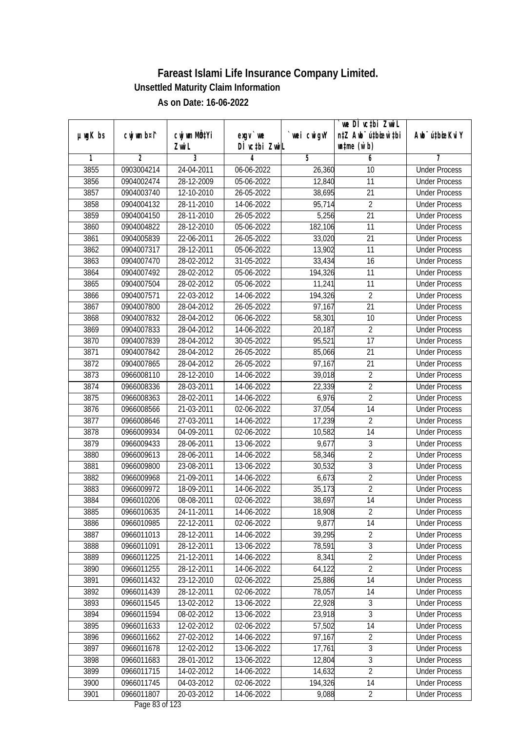| $µ$ ug $K$ bs | cwj wm b¤i^ | cwj wm MQtYi     | $exqu$ we                                | wei cwigvY | `we DÌ vc‡bi ZwiL<br>n‡Z Awb <sup>-</sup> ú‡bioar`‡bi | Awb <sup>-</sup> ú‡bioeKviY |
|---------------|-------------|------------------|------------------------------------------|------------|-------------------------------------------------------|-----------------------------|
|               |             | Zwi L            | DÌ vctbi ZwiL                            |            | $\n  untime\n  (u`b)\n$                               |                             |
| 1             | 2           | 3                | 4                                        | 5          | 6                                                     | 7                           |
| 3855          | 0903004214  | 24-04-2011       | 06-06-2022                               | 26,360     | 10                                                    | <b>Under Process</b>        |
| 3856          | 0904002474  | 28-12-2009       | 05-06-2022                               | 12,840     | 11                                                    | <b>Under Process</b>        |
| 3857          | 0904003740  | 12-10-2010       | 26-05-2022                               | 38,695     | 21                                                    | <b>Under Process</b>        |
| 3858          | 0904004132  | 28-11-2010       | 14-06-2022                               | 95,714     | $\overline{2}$                                        | <b>Under Process</b>        |
| 3859          | 0904004150  | 28-11-2010       | 26-05-2022                               | 5,256      | $\overline{21}$                                       | <b>Under Process</b>        |
| 3860          | 0904004822  | 28-12-2010       | 05-06-2022                               | 182,106    | 11                                                    | <b>Under Process</b>        |
| 3861          | 0904005839  | 22-06-2011       | 26-05-2022                               | 33,020     | $\overline{21}$                                       | <b>Under Process</b>        |
| 3862          | 0904007317  | 28-12-2011       | 05-06-2022                               | 13,902     | 11                                                    | <b>Under Process</b>        |
| 3863          | 0904007470  | 28-02-2012       | 31-05-2022                               | 33,434     | 16                                                    | <b>Under Process</b>        |
| 3864          | 0904007492  | 28-02-2012       | 05-06-2022                               | 194,326    | 11                                                    | <b>Under Process</b>        |
| 3865          | 0904007504  | 28-02-2012       | 05-06-2022                               | 11,241     | $\overline{11}$                                       | <b>Under Process</b>        |
| 3866          | 0904007571  | 22-03-2012       | 14-06-2022                               | 194,326    | $\overline{2}$                                        | <b>Under Process</b>        |
| 3867          | 0904007800  | 28-04-2012       | 26-05-2022                               | 97,167     | 21                                                    | <b>Under Process</b>        |
| 3868          | 0904007832  | 28-04-2012       | 06-06-2022                               | 58,301     | 10                                                    | <b>Under Process</b>        |
| 3869          | 0904007833  | 28-04-2012       | 14-06-2022                               | 20,187     | $\overline{2}$                                        | <b>Under Process</b>        |
| 3870          | 0904007839  | 28-04-2012       | 30-05-2022                               | 95,521     | 17                                                    | <b>Under Process</b>        |
| 3871          | 0904007842  | 28-04-2012       | 26-05-2022                               | 85,066     | 21                                                    | <b>Under Process</b>        |
| 3872          | 0904007865  | 28-04-2012       | 26-05-2022                               | 97,167     | 21                                                    | <b>Under Process</b>        |
| 3873          | 0966008110  | 28-12-2010       | 14-06-2022                               | 39,018     | $\overline{2}$                                        | <b>Under Process</b>        |
| 3874          | 0966008336  | 28-03-2011       | 14-06-2022                               | 22,339     | $\overline{2}$                                        | <b>Under Process</b>        |
| 3875          | 0966008363  | 28-02-2011       | 14-06-2022                               | 6,976      | $\overline{2}$                                        | <b>Under Process</b>        |
| 3876          | 0966008566  | 21-03-2011       | 02-06-2022                               | 37,054     | 14                                                    | <b>Under Process</b>        |
| 3877          | 0966008646  | 27-03-2011       | 14-06-2022                               | 17,239     | $\overline{2}$                                        | <b>Under Process</b>        |
| 3878          | 0966009934  | 04-09-2011       | 02-06-2022                               | 10,582     | 14                                                    | <b>Under Process</b>        |
| 3879          | 0966009433  | 28-06-2011       | 13-06-2022                               | 9,677      | 3                                                     | <b>Under Process</b>        |
| 3880          | 0966009613  | 28-06-2011       | 14-06-2022                               | 58,346     | $\overline{2}$                                        | <b>Under Process</b>        |
| 3881          | 0966009800  | 23-08-2011       | 13-06-2022                               | 30,532     | $\mathfrak{Z}$                                        | <b>Under Process</b>        |
| 3882          | 0966009968  | 21-09-2011       | 14-06-2022                               | 6,673      | $\overline{2}$                                        | <b>Under Process</b>        |
| 3883          | 0966009972  | 18-09-2011       | 14-06-2022                               | 35,173     | $\overline{2}$                                        | <b>Under Process</b>        |
| 3884          | 0966010206  | 08-08-2011       | 02-06-2022                               | 38,697     | 14                                                    | <b>Under Process</b>        |
| 3885          | 0966010635  | 24-11-2011       | 14-06-2022                               | 18,908     | 2                                                     | <b>Under Process</b>        |
| 3886          | 0966010985  | 22-12-2011       | 02-06-2022                               | 9,877      | 14                                                    | <b>Under Process</b>        |
| 3887          | 0966011013  | 28-12-2011       | 14-06-2022                               | 39,295     | $\overline{2}$                                        | <b>Under Process</b>        |
| 3888          | 0966011091  | 28-12-2011       | 13-06-2022                               | 78,591     | $\overline{3}$                                        | <b>Under Process</b>        |
| 3889          | 0966011225  | 21-12-2011       | 14-06-2022                               | 8,341      | $\overline{2}$                                        | <b>Under Process</b>        |
| 3890          | 0966011255  | 28-12-2011       | 14-06-2022                               | 64,122     | $\overline{2}$                                        | <b>Under Process</b>        |
| 3891          | 0966011432  | 23-12-2010       | 02-06-2022                               | 25,886     | 14                                                    | <b>Under Process</b>        |
| 3892          | 0966011439  | 28-12-2011       | 02-06-2022                               | 78,057     | 14                                                    | <b>Under Process</b>        |
| 3893          | 0966011545  | 13-02-2012       | 13-06-2022                               | 22,928     | 3                                                     | <b>Under Process</b>        |
| 3894          | 0966011594  | 08-02-2012       | 13-06-2022                               | 23,918     | 3                                                     | <b>Under Process</b>        |
| 3895          | 0966011633  | 12-02-2012       | 02-06-2022                               | 57,502     | 14                                                    | <b>Under Process</b>        |
| 3896          | 0966011662  | $27 - 02 - 2012$ | 14-06-2022                               | 97,167     | $\overline{2}$                                        | <b>Under Process</b>        |
| 3897          | 0966011678  | 12-02-2012       | 13-06-2022                               | 17,761     | $\overline{3}$                                        | <b>Under Process</b>        |
| 3898          | 0966011683  | 28-01-2012       | 13-06-2022                               | 12,804     | 3                                                     | <b>Under Process</b>        |
| 3899          | 0966011715  | 14-02-2012       | 14-06-2022                               | 14,632     | $\overline{2}$                                        | <b>Under Process</b>        |
| 3900          | 0966011745  | 04-03-2012       | 02-06-2022                               | 194,326    | 14                                                    | <b>Under Process</b>        |
| 3901          | 0966011807  | 20-03-2012       | 14-06-2022<br>$D_{\text{max}}$ 02 of 122 | 9,088      | $\overline{2}$                                        | <b>Under Process</b>        |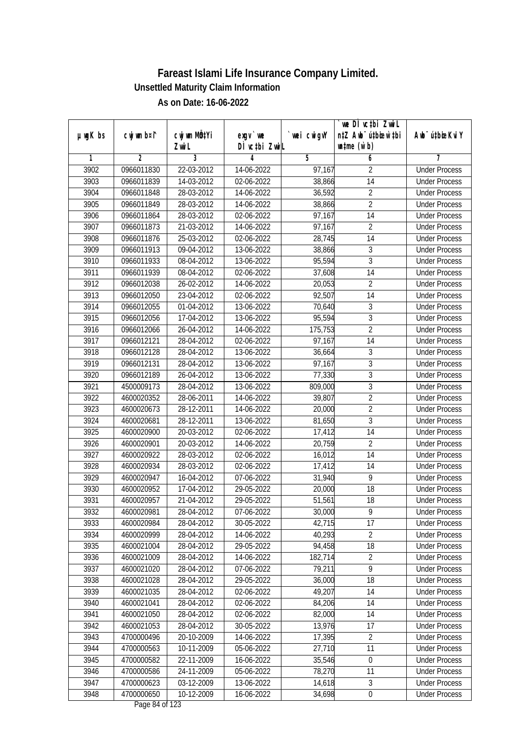|               |             |                       |                                                          |            | `we DÌ vc‡bi ZwiL<br>n‡Z Awb <sup>-</sup> ú‡bioen`‡bi |                              |
|---------------|-------------|-----------------------|----------------------------------------------------------|------------|-------------------------------------------------------|------------------------------|
| $µ$ ug $K$ bs | cwj wm b¤i^ | cwj wm MQtYi<br>Zwi L | $exqu$ we<br>DÌ vctbi ZwiL                               | wei cwigvY | $\n  untime\n  (u`b)\n$                               | Aub <sup>-</sup> ú‡biosKvi Y |
| 1             | 2           | 3                     | 4                                                        | 5          | 6                                                     |                              |
| 3902          | 0966011830  | 22-03-2012            | 14-06-2022                                               | 97,167     | $\overline{2}$                                        | <b>Under Process</b>         |
| 3903          | 0966011839  | 14-03-2012            | 02-06-2022                                               | 38,866     | $\overline{14}$                                       | <b>Under Process</b>         |
| 3904          | 0966011848  | 28-03-2012            | 14-06-2022                                               | 36,592     | $\overline{2}$                                        | <b>Under Process</b>         |
| 3905          | 0966011849  | 28-03-2012            | 14-06-2022                                               | 38,866     | $\overline{2}$                                        | <b>Under Process</b>         |
| 3906          | 0966011864  | 28-03-2012            | 02-06-2022                                               | 97,167     | $\overline{14}$                                       | <b>Under Process</b>         |
| 3907          | 0966011873  | 21-03-2012            | 14-06-2022                                               | 97,167     | $\overline{2}$                                        | <b>Under Process</b>         |
| 3908          | 0966011876  | 25-03-2012            | 02-06-2022                                               | 28,745     | 14                                                    | <b>Under Process</b>         |
| 3909          | 0966011913  | 09-04-2012            | 13-06-2022                                               | 38,866     | 3                                                     | <b>Under Process</b>         |
| 3910          | 0966011933  | 08-04-2012            | 13-06-2022                                               | 95,594     | $\overline{3}$                                        | <b>Under Process</b>         |
| 3911          | 0966011939  | 08-04-2012            | 02-06-2022                                               | 37,608     | 14                                                    | <b>Under Process</b>         |
| 3912          | 0966012038  | 26-02-2012            | 14-06-2022                                               | 20,053     | $\overline{2}$                                        | <b>Under Process</b>         |
| 3913          | 0966012050  | 23-04-2012            | 02-06-2022                                               | 92,507     | 14                                                    | <b>Under Process</b>         |
| 3914          | 0966012055  | 01-04-2012            | 13-06-2022                                               | 70,640     | $\sqrt{3}$                                            | <b>Under Process</b>         |
| 3915          | 0966012056  | 17-04-2012            | 13-06-2022                                               | 95,594     | $\mathfrak{Z}$                                        | <b>Under Process</b>         |
| 3916          | 0966012066  | 26-04-2012            | 14-06-2022                                               | 175,753    | $\overline{2}$                                        | <b>Under Process</b>         |
| 3917          | 0966012121  | 28-04-2012            | 02-06-2022                                               | 97,167     | 14                                                    | <b>Under Process</b>         |
| 3918          | 0966012128  | 28-04-2012            | 13-06-2022                                               | 36,664     | $\sqrt{3}$                                            | <b>Under Process</b>         |
| 3919          | 0966012131  | 28-04-2012            | 13-06-2022                                               | 97,167     | $\overline{3}$                                        | <b>Under Process</b>         |
| 3920          | 0966012189  | 26-04-2012            | 13-06-2022                                               | 77,330     | $\mathfrak z$                                         | <b>Under Process</b>         |
| 3921          | 4500009173  | 28-04-2012            | 13-06-2022                                               | 809,000    | $\overline{3}$                                        | <b>Under Process</b>         |
| 3922          | 4600020352  | 28-06-2011            | 14-06-2022                                               | 39,807     | $\overline{2}$                                        | <b>Under Process</b>         |
| 3923          | 4600020673  | 28-12-2011            | 14-06-2022                                               | 20,000     | $\overline{2}$                                        | <b>Under Process</b>         |
| 3924          | 4600020681  | 28-12-2011            | 13-06-2022                                               | 81,650     | $\overline{3}$                                        | <b>Under Process</b>         |
| 3925          | 4600020900  | 20-03-2012            | 02-06-2022                                               | 17,412     | 14                                                    | <b>Under Process</b>         |
| 3926          | 4600020901  | 20-03-2012            | 14-06-2022                                               | 20,759     | $\overline{2}$                                        | <b>Under Process</b>         |
| 3927          | 4600020922  | 28-03-2012            | 02-06-2022                                               | 16,012     | 14                                                    | <b>Under Process</b>         |
| 3928          | 4600020934  | 28-03-2012            | 02-06-2022                                               | 17,412     | 14                                                    | <b>Under Process</b>         |
| 3929          | 4600020947  | 16-04-2012            | 07-06-2022                                               | 31,940     | $\overline{9}$                                        | <b>Under Process</b>         |
| 3930          | 4600020952  | 17-04-2012            | 29-05-2022                                               | 20,000     | 18                                                    | <b>Under Process</b>         |
| 3931          | 4600020957  | 21-04-2012            | 29-05-2022                                               | 51,561     | 18                                                    | <b>Under Process</b>         |
| 3932          | 4600020981  | 28-04-2012            | 07-06-2022                                               | 30,000     | 9                                                     | <b>Under Process</b>         |
| 3933          | 4600020984  | 28-04-2012            | 30-05-2022                                               | 42,715     | 17                                                    | <b>Under Process</b>         |
| 3934          | 4600020999  | 28-04-2012            | 14-06-2022                                               | 40,293     | $\overline{2}$                                        | <b>Under Process</b>         |
| 3935          | 4600021004  | 28-04-2012            | 29-05-2022                                               | 94,458     | 18                                                    | <b>Under Process</b>         |
| 3936          | 4600021009  | 28-04-2012            | 14-06-2022                                               | 182,714    | $\overline{2}$                                        | <b>Under Process</b>         |
| 3937          | 4600021020  | 28-04-2012            | 07-06-2022                                               | 79,211     | 9                                                     | <b>Under Process</b>         |
| 3938          | 4600021028  | 28-04-2012            | 29-05-2022                                               | 36,000     | 18                                                    | <b>Under Process</b>         |
| 3939          | 4600021035  | 28-04-2012            | 02-06-2022                                               | 49,207     | 14                                                    | <b>Under Process</b>         |
| 3940          | 4600021041  | 28-04-2012            | 02-06-2022                                               | 84,206     | 14                                                    | <b>Under Process</b>         |
| 3941          | 4600021050  | 28-04-2012            | 02-06-2022                                               | 82,000     | 14                                                    | <b>Under Process</b>         |
| 3942          | 4600021053  | 28-04-2012            | 30-05-2022                                               | 13,976     | 17                                                    | <b>Under Process</b>         |
| 3943          | 4700000496  | 20-10-2009            | 14-06-2022                                               | 17,395     | $\overline{2}$                                        | <b>Under Process</b>         |
| 3944          | 4700000563  | 10-11-2009            | 05-06-2022                                               | 27,710     | $\overline{11}$                                       | <b>Under Process</b>         |
| 3945          | 4700000582  | 22-11-2009            | 16-06-2022                                               | 35,546     | $\boldsymbol{0}$                                      | <b>Under Process</b>         |
| 3946          | 4700000586  | 24-11-2009            | 05-06-2022                                               | 78,270     | 11                                                    | <b>Under Process</b>         |
| 3947          | 4700000623  | 03-12-2009            | 13-06-2022                                               | 14,618     | 3                                                     | <b>Under Process</b>         |
| 3948          | 4700000650  | 10-12-2009            | 16-06-2022<br>$D_{\text{max}}$ $\Omega$ $\Lambda$ of 122 | 34,698     | $\boldsymbol{0}$                                      | <b>Under Process</b>         |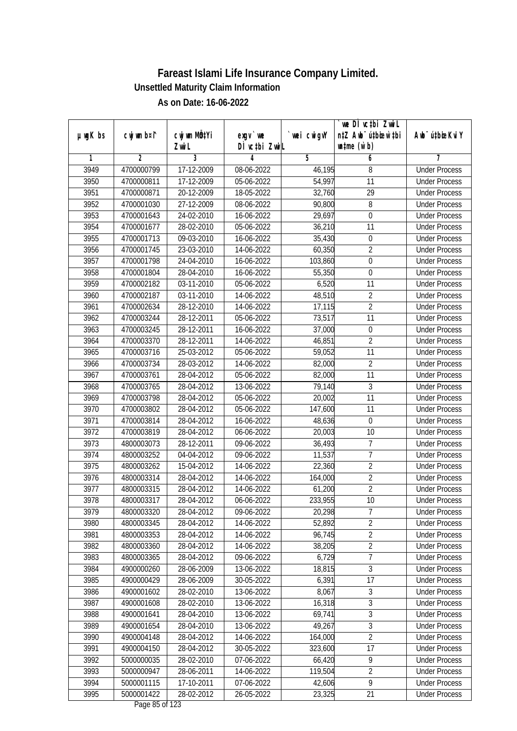|         |             | CW wm MQYi     |                            |             | we DI vctbi ZwiL<br>n‡Z Awb <sup>-</sup> ú‡bioar`‡bi | Awb <sup>-</sup> ú‡bioeKviY |
|---------|-------------|----------------|----------------------------|-------------|------------------------------------------------------|-----------------------------|
| µwgK bs | cwj wm b¤i^ | Zwi L          | $exqu$ we<br>DÌ vctbi ZwiL | `wei cwigvY | $\n  untime\n  (u`b)\n$                              |                             |
| 1       | 2           | $\overline{3}$ | 4                          | 5           | 6                                                    | 7                           |
| 3949    | 4700000799  | 17-12-2009     | 08-06-2022                 | 46,195      | 8                                                    | <b>Under Process</b>        |
| 3950    | 4700000811  | 17-12-2009     | 05-06-2022                 | 54,997      | 11                                                   | <b>Under Process</b>        |
| 3951    | 4700000871  | 20-12-2009     | 18-05-2022                 | 32,760      | $\overline{29}$                                      | <b>Under Process</b>        |
| 3952    | 4700001030  | 27-12-2009     | 08-06-2022                 | 90,800      | $\overline{8}$                                       | <b>Under Process</b>        |
| 3953    | 4700001643  | 24-02-2010     | 16-06-2022                 | 29,697      | $\mathbf 0$                                          | <b>Under Process</b>        |
| 3954    | 4700001677  | 28-02-2010     | 05-06-2022                 | 36,210      | 11                                                   | <b>Under Process</b>        |
| 3955    | 4700001713  | 09-03-2010     | 16-06-2022                 | 35,430      | $\boldsymbol{0}$                                     | <b>Under Process</b>        |
| 3956    | 4700001745  | 23-03-2010     | 14-06-2022                 | 60,350      | $\overline{2}$                                       | <b>Under Process</b>        |
| 3957    | 4700001798  | 24-04-2010     | 16-06-2022                 | 103,860     | $\overline{0}$                                       | <b>Under Process</b>        |
| 3958    | 4700001804  | 28-04-2010     | 16-06-2022                 | 55,350      | $\boldsymbol{0}$                                     | <b>Under Process</b>        |
| 3959    | 4700002182  | 03-11-2010     | 05-06-2022                 | 6,520       | $\overline{11}$                                      | <b>Under Process</b>        |
| 3960    | 4700002187  | 03-11-2010     | 14-06-2022                 | 48,510      | $\overline{2}$                                       | <b>Under Process</b>        |
| 3961    | 4700002634  | 28-12-2010     | 14-06-2022                 | 17,115      | $\overline{2}$                                       | <b>Under Process</b>        |
| 3962    | 4700003244  | 28-12-2011     | 05-06-2022                 | 73,517      | 11                                                   | <b>Under Process</b>        |
| 3963    | 4700003245  | 28-12-2011     | 16-06-2022                 | 37,000      | $\boldsymbol{0}$                                     | <b>Under Process</b>        |
| 3964    | 4700003370  | 28-12-2011     | 14-06-2022                 | 46,851      | $\overline{2}$                                       | <b>Under Process</b>        |
| 3965    | 4700003716  | 25-03-2012     | 05-06-2022                 | 59,052      | 11                                                   | <b>Under Process</b>        |
| 3966    | 4700003734  | 28-03-2012     | 14-06-2022                 | 82,000      | $\overline{2}$                                       | <b>Under Process</b>        |
| 3967    | 4700003761  | 28-04-2012     | 05-06-2022                 | 82,000      | 11                                                   | <b>Under Process</b>        |
| 3968    | 4700003765  | 28-04-2012     | 13-06-2022                 | 79,140      | 3                                                    | <b>Under Process</b>        |
| 3969    | 4700003798  | 28-04-2012     | 05-06-2022                 | 20,002      | 11                                                   | <b>Under Process</b>        |
| 3970    | 4700003802  | 28-04-2012     | 05-06-2022                 | 147,600     | 11                                                   | <b>Under Process</b>        |
| 3971    | 4700003814  | 28-04-2012     | 16-06-2022                 | 48,636      | $\pmb{0}$                                            | <b>Under Process</b>        |
| 3972    | 4700003819  | 28-04-2012     | 06-06-2022                 | 20,003      | 10                                                   | <b>Under Process</b>        |
| 3973    | 4800003073  | 28-12-2011     | 09-06-2022                 | 36,493      | 7                                                    | <b>Under Process</b>        |
| 3974    | 4800003252  | 04-04-2012     | 09-06-2022                 | 11,537      | 7                                                    | <b>Under Process</b>        |
| 3975    | 4800003262  | 15-04-2012     | 14-06-2022                 | 22,360      | $\overline{2}$                                       | <b>Under Process</b>        |
| 3976    | 4800003314  | 28-04-2012     | 14-06-2022                 | 164,000     | $\overline{2}$                                       | <b>Under Process</b>        |
| 3977    | 4800003315  | 28-04-2012     | 14-06-2022                 | 61,200      | $\overline{2}$                                       | <b>Under Process</b>        |
| 3978    | 4800003317  | 28-04-2012     | 06-06-2022                 | 233,955     | 10                                                   | <b>Under Process</b>        |
| 3979    | 4800003320  | 28-04-2012     | 09-06-2022                 | 20,298      | 7                                                    | <b>Under Process</b>        |
| 3980    | 4800003345  | 28-04-2012     | 14-06-2022                 | 52,892      | $\overline{2}$                                       | <b>Under Process</b>        |
| 3981    | 4800003353  | 28-04-2012     | 14-06-2022                 | 96,745      | $\overline{2}$                                       | <b>Under Process</b>        |
| 3982    | 4800003360  | 28-04-2012     | 14-06-2022                 | 38,205      | $\overline{2}$                                       | <b>Under Process</b>        |
| 3983    | 4800003365  | 28-04-2012     | 09-06-2022                 | 6,729       | 7                                                    | <b>Under Process</b>        |
| 3984    | 4900000260  | 28-06-2009     | 13-06-2022                 | 18,815      | $\overline{3}$                                       | <b>Under Process</b>        |
| 3985    | 4900000429  | 28-06-2009     | 30-05-2022                 | 6,391       | 17                                                   | <b>Under Process</b>        |
| 3986    | 4900001602  | 28-02-2010     | 13-06-2022                 | 8,067       | 3                                                    | <b>Under Process</b>        |
| 3987    | 4900001608  | 28-02-2010     | 13-06-2022                 | 16,318      | $\overline{3}$                                       | <b>Under Process</b>        |
| 3988    | 4900001641  | 28-04-2010     | 13-06-2022                 | 69,741      | $\overline{3}$                                       | <b>Under Process</b>        |
| 3989    | 4900001654  | 28-04-2010     | 13-06-2022                 | 49,267      | 3                                                    | <b>Under Process</b>        |
| 3990    | 4900004148  | 28-04-2012     | 14-06-2022                 | 164,000     | $\overline{2}$                                       | <b>Under Process</b>        |
| 3991    | 4900004150  | 28-04-2012     | 30-05-2022                 | 323,600     | $\overline{17}$                                      | <b>Under Process</b>        |
| 3992    | 5000000035  | 28-02-2010     | 07-06-2022                 | 66,420      | $\overline{9}$                                       | <b>Under Process</b>        |
| 3993    | 5000000947  | 28-06-2011     | 14-06-2022                 | 119,504     | $\overline{2}$                                       | <b>Under Process</b>        |
| 3994    | 5000001115  | 17-10-2011     | 07-06-2022                 | 42,606      | 9                                                    | <b>Under Process</b>        |
| 3995    | 5000001422  | 28-02-2012     | 26-05-2022                 | 23,325      | 21                                                   | <b>Under Process</b>        |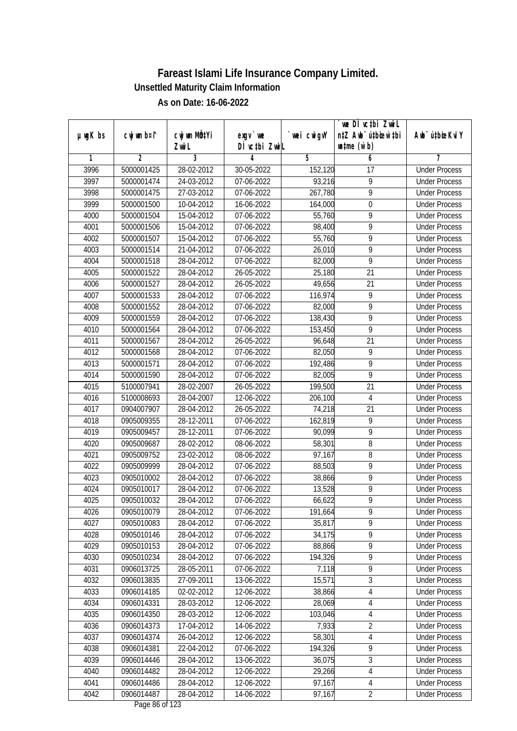|               |             |                                    |                            |            | we DI vctbi ZwiL<br>n‡Z Awb <sup>-</sup> ú‡bioen`‡bi |                             |
|---------------|-------------|------------------------------------|----------------------------|------------|------------------------------------------------------|-----------------------------|
| $µ$ ug $K$ bs | cwj wm b¤i^ | cwj wm MQ <sup>1</sup> Yi<br>Zwi L | $exgV$ we<br>DÌ vctbi ZwiL | wei cwigvY | $\n  untime\n  (u`b)\n$                              | Awb <sup>-</sup> ú‡bioeKviY |
| 1             | 2           | 3                                  | 4                          | 5          | 6                                                    | 7                           |
| 3996          | 5000001425  | 28-02-2012                         | 30-05-2022                 | 152,120    | $\overline{17}$                                      | <b>Under Process</b>        |
| 3997          | 5000001474  | 24-03-2012                         | $07 - 06 - 2022$           | 93,216     | $\overline{9}$                                       | <b>Under Process</b>        |
| 3998          | 5000001475  | 27-03-2012                         | 07-06-2022                 | 267,780    | $\overline{9}$                                       | <b>Under Process</b>        |
| 3999          | 5000001500  | 10-04-2012                         | 16-06-2022                 | 164,000    | $\boldsymbol{0}$                                     | <b>Under Process</b>        |
| 4000          | 5000001504  | $15-04-2012$                       | 07-06-2022                 | 55,760     | $\overline{9}$                                       | <b>Under Process</b>        |
| 4001          | 5000001506  | 15-04-2012                         | 07-06-2022                 | 98,400     | $\overline{9}$                                       | <b>Under Process</b>        |
| 4002          | 5000001507  | 15-04-2012                         | 07-06-2022                 | 55,760     | $\overline{9}$                                       | <b>Under Process</b>        |
| 4003          | 5000001514  | 21-04-2012                         | 07-06-2022                 | 26,010     | $\overline{9}$                                       | <b>Under Process</b>        |
| 4004          | 5000001518  | 28-04-2012                         | 07-06-2022                 | 82,000     | $\overline{9}$                                       | <b>Under Process</b>        |
| 4005          | 5000001522  | 28-04-2012                         | 26-05-2022                 | 25,180     | 21                                                   | <b>Under Process</b>        |
| 4006          | 5000001527  | 28-04-2012                         | 26-05-2022                 | 49,656     | $\overline{21}$                                      | <b>Under Process</b>        |
| 4007          | 5000001533  | 28-04-2012                         | 07-06-2022                 | 116,974    | 9                                                    | <b>Under Process</b>        |
| 4008          | 5000001552  | 28-04-2012                         | 07-06-2022                 | 82,000     | $\overline{9}$                                       | <b>Under Process</b>        |
| 4009          | 5000001559  | 28-04-2012                         | 07-06-2022                 | 138,430    | 9                                                    | <b>Under Process</b>        |
| 4010          | 5000001564  | 28-04-2012                         | 07-06-2022                 | 153,450    | 9                                                    | <b>Under Process</b>        |
| 4011          | 5000001567  | 28-04-2012                         | 26-05-2022                 | 96,648     | 21                                                   | <b>Under Process</b>        |
| 4012          | 5000001568  | 28-04-2012                         | 07-06-2022                 | 82,050     | 9                                                    | <b>Under Process</b>        |
| 4013          | 5000001571  | 28-04-2012                         | 07-06-2022                 | 192,486    | $\overline{9}$                                       | <b>Under Process</b>        |
| 4014          | 5000001590  | 28-04-2012                         | 07-06-2022                 | 82,005     | $\overline{9}$                                       | <b>Under Process</b>        |
| 4015          | 5100007941  | 28-02-2007                         | 26-05-2022                 | 199,500    | 21                                                   | <b>Under Process</b>        |
| 4016          | 5100008693  | 28-04-2007                         | 12-06-2022                 | 206,100    | $\overline{4}$                                       | <b>Under Process</b>        |
| 4017          | 0904007907  | 28-04-2012                         | 26-05-2022                 | 74,218     | 21                                                   | <b>Under Process</b>        |
| 4018          | 0905009355  | 28-12-2011                         | 07-06-2022                 | 162,819    | 9                                                    | <b>Under Process</b>        |
| 4019          | 0905009457  | 28-12-2011                         | 07-06-2022                 | 90,099     | $\overline{9}$                                       | <b>Under Process</b>        |
| 4020          | 0905009687  | 28-02-2012                         | 08-06-2022                 | 58,301     | $\, 8$                                               | <b>Under Process</b>        |
| 4021          | 0905009752  | 23-02-2012                         | 08-06-2022                 | 97,167     | 8                                                    | <b>Under Process</b>        |
| 4022          | 0905009999  | 28-04-2012                         | 07-06-2022                 | 88,503     | 9                                                    | <b>Under Process</b>        |
| 4023          | 0905010002  | 28-04-2012                         | 07-06-2022                 | 38,866     | 9                                                    | <b>Under Process</b>        |
| 4024          | 0905010017  | 28-04-2012                         | 07-06-2022                 | 13,528     | $\overline{9}$                                       | <b>Under Process</b>        |
| 4025          | 0905010032  | 28-04-2012                         | 07-06-2022                 | 66,622     | $\overline{9}$                                       | <b>Under Process</b>        |
| 4026          | 0905010079  | 28-04-2012                         | 07-06-2022                 | 191,664    | 9                                                    | <b>Under Process</b>        |
| 4027          | 0905010083  | 28-04-2012                         | 07-06-2022                 | 35,817     | 9                                                    | <b>Under Process</b>        |
| 4028          | 0905010146  | 28-04-2012                         | 07-06-2022                 | 34,175     | 9                                                    | <b>Under Process</b>        |
| 4029          | 0905010153  | 28-04-2012                         | 07-06-2022                 | 88,866     | $\overline{9}$                                       | <b>Under Process</b>        |
| 4030          | 0905010234  | 28-04-2012                         | 07-06-2022                 | 194,326    | $\overline{9}$                                       | <b>Under Process</b>        |
| 4031          | 0906013725  | 28-05-2011                         | 07-06-2022                 | 7,118      | $\overline{9}$                                       | <b>Under Process</b>        |
| 4032          | 0906013835  | 27-09-2011                         | 13-06-2022                 | 15,571     | $\sqrt{3}$                                           | <b>Under Process</b>        |
| 4033          | 0906014185  | 02-02-2012                         | 12-06-2022                 | 38,866     | 4                                                    | <b>Under Process</b>        |
| 4034          | 0906014331  | 28-03-2012                         | 12-06-2022                 | 28,069     | 4                                                    | <b>Under Process</b>        |
| 4035          | 0906014350  | 28-03-2012                         | 12-06-2022                 | 103,046    | $\overline{4}$                                       | <b>Under Process</b>        |
| 4036          | 0906014373  | 17-04-2012                         | 14-06-2022                 | 7,933      | $\overline{2}$                                       | <b>Under Process</b>        |
| 4037          | 0906014374  | 26-04-2012                         | 12-06-2022                 | 58,301     | $\overline{4}$                                       | <b>Under Process</b>        |
| 4038          | 0906014381  | 22-04-2012                         | 07-06-2022                 | 194,326    | 9                                                    | <b>Under Process</b>        |
| 4039          | 0906014446  | 28-04-2012                         | 13-06-2022                 | 36,075     | 3                                                    | <b>Under Process</b>        |
| 4040          | 0906014482  | 28-04-2012                         | 12-06-2022                 | 29,266     | $\overline{4}$                                       | <b>Under Process</b>        |
| 4041          | 0906014486  | 28-04-2012                         | 12-06-2022                 | 97,167     | $\overline{4}$                                       | <b>Under Process</b>        |
| 4042          | 0906014487  | 28-04-2012                         | 14-06-2022                 | 97,167     | $\overline{2}$                                       | <b>Under Process</b>        |
|               |             |                                    |                            |            |                                                      |                             |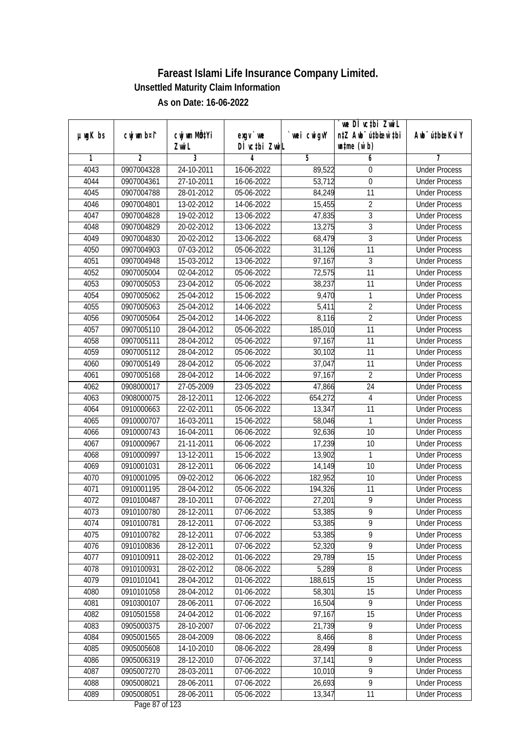|               |             |                       |                                          |            | `we DÌ vc‡bi ZwiL                                           |                             |
|---------------|-------------|-----------------------|------------------------------------------|------------|-------------------------------------------------------------|-----------------------------|
| $µ$ ug $K$ bs | cwj wm b¤i^ | cwj wm MQtYi<br>Zwi L | $exqu$ we<br>DÌ vctbi ZwiL               | wei cwigvY | n‡Z Awb <sup>-</sup> ú‡bioen`‡bi<br>$\n  untime\n  (u`b)\n$ | Awb <sup>-</sup> ú‡bioeKviY |
| 1             | 2           | 3                     | 4                                        | 5          | 6                                                           | 7                           |
| 4043          | 0907004328  | 24-10-2011            | 16-06-2022                               | 89,522     | 0                                                           | <b>Under Process</b>        |
| 4044          | 0907004361  | 27-10-2011            | 16-06-2022                               | 53,712     | $\overline{0}$                                              | <b>Under Process</b>        |
| 4045          | 0907004788  | 28-01-2012            | 05-06-2022                               | 84,249     | 11                                                          | <b>Under Process</b>        |
| 4046          | 0907004801  | 13-02-2012            | 14-06-2022                               | 15,455     | $\overline{2}$                                              | <b>Under Process</b>        |
| 4047          | 0907004828  | 19-02-2012            | 13-06-2022                               | 47,835     | $\overline{3}$                                              | <b>Under Process</b>        |
| 4048          | 0907004829  | 20-02-2012            | 13-06-2022                               | 13,275     | $\overline{3}$                                              | <b>Under Process</b>        |
| 4049          | 0907004830  | 20-02-2012            | 13-06-2022                               | 68,479     | $\overline{3}$                                              | <b>Under Process</b>        |
| 4050          | 0907004903  | 07-03-2012            | 05-06-2022                               | 31,126     | 11                                                          | <b>Under Process</b>        |
| 4051          | 0907004948  | 15-03-2012            | 13-06-2022                               | 97,167     | 3                                                           | <b>Under Process</b>        |
| 4052          | 0907005004  | 02-04-2012            | 05-06-2022                               | 72,575     | 11                                                          | <b>Under Process</b>        |
| 4053          | 0907005053  | 23-04-2012            | 05-06-2022                               | 38,237     | $\overline{11}$                                             | <b>Under Process</b>        |
| 4054          | 0907005062  | 25-04-2012            | 15-06-2022                               | 9,470      | $\mathbf{1}$                                                | <b>Under Process</b>        |
| 4055          | 0907005063  | 25-04-2012            | $14 - 06 - 2022$                         | 5,411      | $\overline{2}$                                              | <b>Under Process</b>        |
| 4056          | 0907005064  | 25-04-2012            | 14-06-2022                               | 8,116      | $\overline{2}$                                              | <b>Under Process</b>        |
| 4057          | 0907005110  | 28-04-2012            | 05-06-2022                               | 185,010    | 11                                                          | <b>Under Process</b>        |
| 4058          | 0907005111  | 28-04-2012            | 05-06-2022                               | 97,167     | 11                                                          | <b>Under Process</b>        |
| 4059          | 0907005112  | 28-04-2012            | 05-06-2022                               | 30,102     | 11                                                          | <b>Under Process</b>        |
| 4060          | 0907005149  | 28-04-2012            | 05-06-2022                               | 37,047     | 11                                                          | <b>Under Process</b>        |
| 4061          | 0907005168  | 28-04-2012            | 14-06-2022                               | 97,167     | $\overline{2}$                                              | <b>Under Process</b>        |
| 4062          | 0908000017  | 27-05-2009            | 23-05-2022                               | 47,866     | 24                                                          | <b>Under Process</b>        |
| 4063          | 0908000075  | 28-12-2011            | 12-06-2022                               | 654,272    | $\overline{\mathbf{4}}$                                     | <b>Under Process</b>        |
| 4064          | 0910000663  | 22-02-2011            | 05-06-2022                               | 13,347     | 11                                                          | <b>Under Process</b>        |
| 4065          | 0910000707  | 16-03-2011            | 15-06-2022                               | 58,046     | 1                                                           | <b>Under Process</b>        |
| 4066          | 0910000743  | 16-04-2011            | 06-06-2022                               | 92,636     | 10                                                          | <b>Under Process</b>        |
| 4067          | 0910000967  | 21-11-2011            | 06-06-2022                               | 17,239     | 10                                                          | <b>Under Process</b>        |
| 4068          | 0910000997  | 13-12-2011            | 15-06-2022                               | 13,902     | 1                                                           | <b>Under Process</b>        |
| 4069          | 0910001031  | 28-12-2011            | 06-06-2022                               | 14,149     | 10                                                          | <b>Under Process</b>        |
| 4070          | 0910001095  | 09-02-2012            | 06-06-2022                               | 182,952    | 10                                                          | <b>Under Process</b>        |
| 4071          | 0910001195  | 28-04-2012            | 05-06-2022                               | 194,326    | 11                                                          | <b>Under Process</b>        |
| 4072          | 0910100487  | 28-10-2011            | 07-06-2022                               | 27,201     | 9                                                           | <b>Under Process</b>        |
| 4073          | 0910100780  | 28-12-2011            | 07-06-2022                               | 53,385     | 9                                                           | <b>Under Process</b>        |
| 4074          | 0910100781  | 28-12-2011            | 07-06-2022                               | 53,385     | 9                                                           | <b>Under Process</b>        |
| 4075          | 0910100782  | 28-12-2011            | 07-06-2022                               | 53,385     | 9                                                           | <b>Under Process</b>        |
| 4076          | 0910100836  | 28-12-2011            | 07-06-2022                               | 52,320     | $\overline{9}$                                              | <b>Under Process</b>        |
| 4077          | 0910100911  | 28-02-2012            | 01-06-2022                               | 29,789     | 15                                                          | <b>Under Process</b>        |
| 4078          | 0910100931  | 28-02-2012            | 08-06-2022                               | 5,289      | 8                                                           | <b>Under Process</b>        |
| 4079          | 0910101041  | 28-04-2012            | 01-06-2022                               | 188,615    | 15                                                          | <b>Under Process</b>        |
| 4080          | 0910101058  | 28-04-2012            | 01-06-2022                               | 58,301     | 15                                                          | <b>Under Process</b>        |
| 4081          | 0910300107  | 28-06-2011            | 07-06-2022                               | 16,504     | 9                                                           | <b>Under Process</b>        |
| 4082          | 0910501558  | 24-04-2012            | 01-06-2022                               | 97,167     | 15                                                          | <b>Under Process</b>        |
| 4083          | 0905000375  | 28-10-2007            | 07-06-2022                               | 21,739     | 9                                                           | <b>Under Process</b>        |
| 4084          | 0905001565  | 28-04-2009            | 08-06-2022                               | 8,466      | $\overline{8}$                                              | <b>Under Process</b>        |
| 4085          | 0905005608  | 14-10-2010            | 08-06-2022                               | 28,499     | $\overline{8}$                                              | <b>Under Process</b>        |
| 4086          | 0905006319  | 28-12-2010            | 07-06-2022                               | 37,141     | $\overline{9}$                                              | <b>Under Process</b>        |
| 4087          | 0905007270  | 28-03-2011            | 07-06-2022                               | 10,010     | $\overline{9}$                                              | <b>Under Process</b>        |
| 4088          | 0905008021  | 28-06-2011            | 07-06-2022                               | 26,693     | 9                                                           | <b>Under Process</b>        |
| 4089          | 0905008051  | 28-06-2011            | 05-06-2022<br>$D_{\text{max}}$ 07 of 100 | 13,347     | 11                                                          | <b>Under Process</b>        |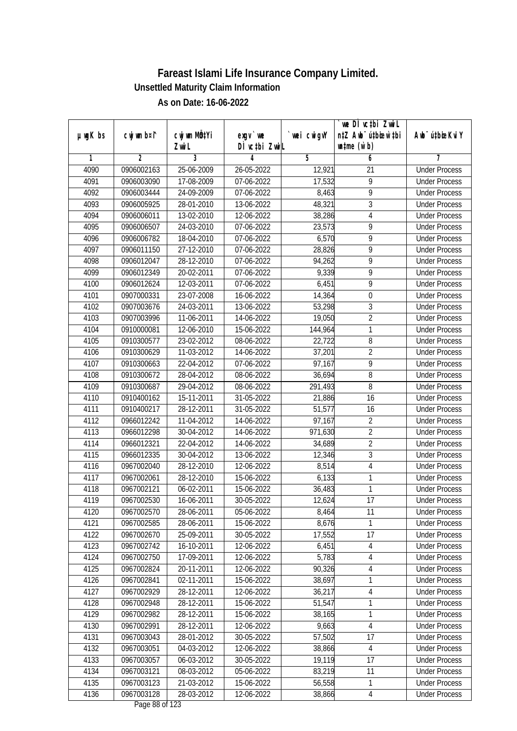|               |                |                       |                            |            | we DI vctbi ZwiL<br>n‡Z Awb <sup>-</sup> ú‡bioar`‡bi |                             |
|---------------|----------------|-----------------------|----------------------------|------------|------------------------------------------------------|-----------------------------|
| $µ$ ug $K$ bs | cwj wm b¤i^    | cwj wm MQtYi<br>Zwi L | $exgV$ we<br>DÌ vctbi ZwiL | wei cwigvY | $\n  untime\n  (u`b)\n$                              | Awb <sup>-</sup> ú‡bioeKviY |
| 1             | $\overline{2}$ | 3                     | 4                          | 5          | 6                                                    | 7                           |
| 4090          | 0906002163     | 25-06-2009            | 26-05-2022                 | 12,921     | 21                                                   | <b>Under Process</b>        |
| 4091          | 0906003090     | 17-08-2009            | 07-06-2022                 | 17,532     | $\overline{9}$                                       | <b>Under Process</b>        |
| 4092          | 0906003444     | 24-09-2009            | 07-06-2022                 | 8,463      | $\overline{9}$                                       | <b>Under Process</b>        |
| 4093          | 0906005925     | 28-01-2010            | 13-06-2022                 | 48,321     | $\overline{3}$                                       | <b>Under Process</b>        |
| 4094          | 0906006011     | 13-02-2010            | 12-06-2022                 | 38,286     | $\overline{\mathbf{4}}$                              | <b>Under Process</b>        |
| 4095          | 0906006507     | 24-03-2010            | 07-06-2022                 | 23,573     | $\overline{9}$                                       | <b>Under Process</b>        |
| 4096          | 0906006782     | 18-04-2010            | 07-06-2022                 | 6,570      | $\overline{9}$                                       | <b>Under Process</b>        |
| 4097          | 0906011150     | 27-12-2010            | 07-06-2022                 | 28,826     | $\overline{9}$                                       | <b>Under Process</b>        |
| 4098          | 0906012047     | 28-12-2010            | 07-06-2022                 | 94,262     | $\overline{9}$                                       | <b>Under Process</b>        |
| 4099          | 0906012349     | 20-02-2011            | 07-06-2022                 | 9,339      | $\overline{9}$                                       | <b>Under Process</b>        |
| 4100          | 0906012624     | 12-03-2011            | 07-06-2022                 | 6,451      | 9                                                    | <b>Under Process</b>        |
| 4101          | 0907000331     | 23-07-2008            | 16-06-2022                 | 14,364     | $\boldsymbol{0}$                                     | <b>Under Process</b>        |
| 4102          | 0907003676     | 24-03-2011            | 13-06-2022                 | 53,298     | $\overline{3}$                                       | <b>Under Process</b>        |
| 4103          | 0907003996     | 11-06-2011            | 14-06-2022                 | 19,050     | $\overline{2}$                                       | <b>Under Process</b>        |
| 4104          | 0910000081     | 12-06-2010            | 15-06-2022                 | 144,964    | 1                                                    | <b>Under Process</b>        |
| 4105          | 0910300577     | 23-02-2012            | 08-06-2022                 | 22,722     | $\, 8$                                               | <b>Under Process</b>        |
| 4106          | 0910300629     | 11-03-2012            | 14-06-2022                 | 37,201     | $\overline{2}$                                       | <b>Under Process</b>        |
| 4107          | 0910300663     | 22-04-2012            | 07-06-2022                 | 97,167     | $\overline{9}$                                       | <b>Under Process</b>        |
| 4108          | 0910300672     | 28-04-2012            | 08-06-2022                 | 36,694     | $\overline{8}$                                       | <b>Under Process</b>        |
| 4109          | 0910300687     | 29-04-2012            | 08-06-2022                 | 291,493    | 8                                                    | <b>Under Process</b>        |
| 4110          | 0910400162     | 15-11-2011            | 31-05-2022                 | 21,886     | 16                                                   | <b>Under Process</b>        |
| 4111          | 0910400217     | $28 - 12 - 2011$      | 31-05-2022                 | 51,577     | 16                                                   | <b>Under Process</b>        |
| 4112          | 0966012242     | 11-04-2012            | 14-06-2022                 | 97,167     | $\overline{2}$                                       | <b>Under Process</b>        |
| 4113          | 0966012298     | 30-04-2012            | 14-06-2022                 | 971,630    | $\overline{2}$                                       | <b>Under Process</b>        |
| 4114          | 0966012321     | 22-04-2012            | 14-06-2022                 | 34,689     | $\overline{2}$                                       | <b>Under Process</b>        |
| 4115          | 0966012335     | 30-04-2012            | 13-06-2022                 | 12,346     | 3                                                    | <b>Under Process</b>        |
| 4116          | 0967002040     | 28-12-2010            | 12-06-2022                 | 8,514      | $\overline{4}$                                       | <b>Under Process</b>        |
| 4117          | 0967002061     | 28-12-2010            | 15-06-2022                 | 6,133      | 1                                                    | <b>Under Process</b>        |
| 4118          | 0967002121     | 06-02-2011            | 15-06-2022                 | 36,483     | 1                                                    | <b>Under Process</b>        |
| 4119          | 0967002530     | 16-06-2011            | 30-05-2022                 | 12,624     | 17                                                   | <b>Under Process</b>        |
| 4120          | 0967002570     | 28-06-2011            | 05-06-2022                 | 8,464      | 11                                                   | <b>Under Process</b>        |
| 4121          | 0967002585     | 28-06-2011            | 15-06-2022                 | 8,676      | 1                                                    | <b>Under Process</b>        |
| 4122          | 0967002670     | 25-09-2011            | 30-05-2022                 | 17,552     | 17                                                   | <b>Under Process</b>        |
| 4123          | 0967002742     | 16-10-2011            | 12-06-2022                 | 6,451      | $\overline{4}$                                       | <b>Under Process</b>        |
| 4124          | 0967002750     | 17-09-2011            | 12-06-2022                 | 5,783      | 4                                                    | <b>Under Process</b>        |
| 4125          | 0967002824     | 20-11-2011            | 12-06-2022                 | 90,326     | 4                                                    | <b>Under Process</b>        |
| 4126          | 0967002841     | 02-11-2011            | 15-06-2022                 | 38,697     | 1                                                    | <b>Under Process</b>        |
| 4127          | 0967002929     | 28-12-2011            | 12-06-2022                 | 36,217     | 4                                                    | <b>Under Process</b>        |
| 4128          | 0967002948     | 28-12-2011            | 15-06-2022                 | 51,547     | 1                                                    | <b>Under Process</b>        |
| 4129          | 0967002982     | 28-12-2011            | 15-06-2022                 | 38,165     | 1                                                    | <b>Under Process</b>        |
| 4130          | 0967002991     | 28-12-2011            | 12-06-2022                 | 9,663      | $\overline{4}$                                       | <b>Under Process</b>        |
| 4131          | 0967003043     | 28-01-2012            | 30-05-2022                 | 57,502     | 17                                                   | <b>Under Process</b>        |
| 4132          | 0967003051     | 04-03-2012            | 12-06-2022                 | 38,866     | 4                                                    | <b>Under Process</b>        |
| 4133          | 0967003057     | 06-03-2012            | 30-05-2022                 | 19,119     | 17                                                   | <b>Under Process</b>        |
| 4134          | 0967003121     | 08-03-2012            | 05-06-2022                 | 83,219     | 11                                                   | <b>Under Process</b>        |
| 4135          | 0967003123     | 21-03-2012            | 15-06-2022                 | 56,558     | 1                                                    | <b>Under Process</b>        |
| 4136          | 0967003128     | 28-03-2012            |                            | 38,866     |                                                      |                             |
|               |                |                       | 12-06-2022                 |            | $\overline{4}$                                       | <b>Under Process</b>        |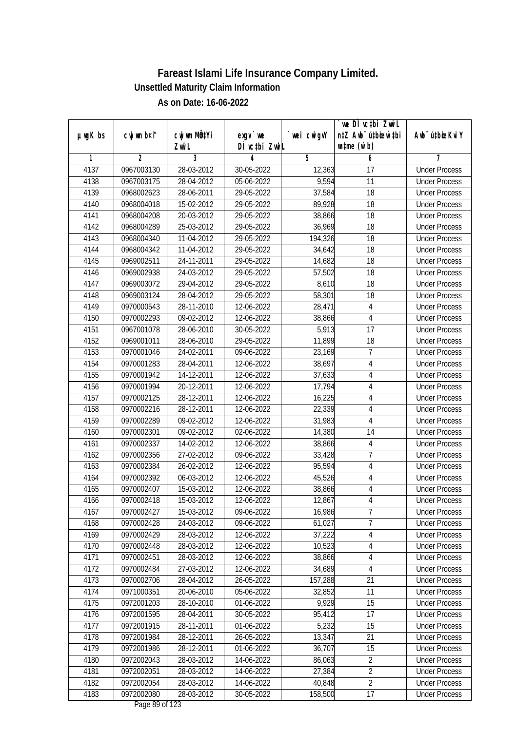|               |                |                       |                            |                     | we DI vctbi ZwiL                                            |                             |
|---------------|----------------|-----------------------|----------------------------|---------------------|-------------------------------------------------------------|-----------------------------|
| $µ$ ug $K$ bs | cwj wm b¤i^    | cwj wm MQtYi<br>Zwi L | $exgV$ we<br>DÌ vctbi ZwiL | wei cwigvY          | n‡Z Awb <sup>-</sup> ú‡bioar`‡bi<br>$\n  untime\n  (u`b)\n$ | Awb <sup>-</sup> ú‡bioeKviY |
| 1             | $\overline{2}$ | 3                     | 4                          | 5                   | 6                                                           | 7                           |
| 4137          | 0967003130     | 28-03-2012            | 30-05-2022                 | 12,363              | $\overline{17}$                                             | <b>Under Process</b>        |
| 4138          | 0967003175     | 28-04-2012            | 05-06-2022                 | 9,594               | 11                                                          | <b>Under Process</b>        |
| 4139          | 0968002623     | 28-06-2011            | 29-05-2022                 | 37,584              | 18                                                          | <b>Under Process</b>        |
| 4140          | 0968004018     | 15-02-2012            | 29-05-2022                 | 89,928              | 18                                                          | <b>Under Process</b>        |
| 4141          | 0968004208     | 20-03-2012            | 29-05-2022                 | 38,866              | $\overline{18}$                                             | <b>Under Process</b>        |
| 4142          | 0968004289     | 25-03-2012            | 29-05-2022                 | 36,969              | $\overline{18}$                                             | <b>Under Process</b>        |
| 4143          | 0968004340     | 11-04-2012            | 29-05-2022                 | 194,326             | 18                                                          | <b>Under Process</b>        |
| 4144          | 0968004342     | 11-04-2012            | 29-05-2022                 | 34,642              | 18                                                          | <b>Under Process</b>        |
| 4145          | 0969002511     | 24-11-2011            | 29-05-2022                 | 14,682              | 18                                                          | <b>Under Process</b>        |
| 4146          | 0969002938     | 24-03-2012            | 29-05-2022                 | 57,502              | 18                                                          | <b>Under Process</b>        |
| 4147          | 0969003072     | 29-04-2012            | 29-05-2022                 | 8,610               | $\overline{18}$                                             | <b>Under Process</b>        |
| 4148          | 0969003124     | 28-04-2012            | 29-05-2022                 | $\overline{58,}301$ | 18                                                          | <b>Under Process</b>        |
| 4149          | 0970000543     | 28-11-2010            | 12-06-2022                 | 28,471              | $\overline{4}$                                              | <b>Under Process</b>        |
| 4150          | 0970002293     | 09-02-2012            | 12-06-2022                 | 38,866              | $\overline{4}$                                              | <b>Under Process</b>        |
| 4151          | 0967001078     | 28-06-2010            | 30-05-2022                 | 5,913               | 17                                                          | <b>Under Process</b>        |
| 4152          | 0969001011     | 28-06-2010            | 29-05-2022                 | 11,899              | 18                                                          | <b>Under Process</b>        |
| 4153          | 0970001046     | 24-02-2011            | 09-06-2022                 | 23,169              | $\overline{1}$                                              | <b>Under Process</b>        |
| 4154          | 0970001283     | 28-04-2011            | 12-06-2022                 | 38,697              | $\overline{\mathbf{4}}$                                     | <b>Under Process</b>        |
| 4155          | 0970001942     | 14-12-2011            | 12-06-2022                 | 37,633              | $\overline{4}$                                              | <b>Under Process</b>        |
| 4156          | 0970001994     | 20-12-2011            | 12-06-2022                 | 17,794              | 4                                                           | <b>Under Process</b>        |
| 4157          | 0970002125     | 28-12-2011            | 12-06-2022                 | 16,225              | $\overline{\mathbf{4}}$                                     | <b>Under Process</b>        |
| 4158          | 0970002216     | 28-12-2011            | 12-06-2022                 | 22,339              | 4                                                           | <b>Under Process</b>        |
| 4159          | 0970002289     | 09-02-2012            | 12-06-2022                 | 31,983              | $\overline{\mathbf{4}}$                                     | <b>Under Process</b>        |
| 4160          | 0970002301     | 09-02-2012            | 02-06-2022                 | 14,380              | 14                                                          | <b>Under Process</b>        |
| 4161          | 0970002337     | 14-02-2012            | 12-06-2022                 | 38,866              | $\overline{4}$                                              | <b>Under Process</b>        |
| 4162          | 0970002356     | 27-02-2012            | 09-06-2022                 | 33,428              | 7                                                           | <b>Under Process</b>        |
| 4163          | 0970002384     | 26-02-2012            | 12-06-2022                 | 95,594              | 4                                                           | <b>Under Process</b>        |
| 4164          | 0970002392     | 06-03-2012            | 12-06-2022                 | 45,526              | $\overline{4}$                                              | <b>Under Process</b>        |
| 4165          | 0970002407     | 15-03-2012            | 12-06-2022                 | 38,866              | $\sqrt{4}$                                                  | <b>Under Process</b>        |
| 4166          | 0970002418     | 15-03-2012            | 12-06-2022                 | 12,867              | $\overline{4}$                                              | <b>Under Process</b>        |
| 4167          | 0970002427     | 15-03-2012            | 09-06-2022                 | 16,986              | 7                                                           | <b>Under Process</b>        |
| 4168          | 0970002428     | 24-03-2012            | 09-06-2022                 | 61,027              | $\overline{7}$                                              | <b>Under Process</b>        |
| 4169          | 0970002429     | 28-03-2012            | 12-06-2022                 | 37,222              | $\overline{4}$                                              | <b>Under Process</b>        |
| 4170          | 0970002448     | 28-03-2012            | 12-06-2022                 | 10,523              | $\overline{4}$                                              | <b>Under Process</b>        |
| 4171          | 0970002451     | 28-03-2012            | 12-06-2022                 | 38,866              | 4                                                           | <b>Under Process</b>        |
| 4172          | 0970002484     | 27-03-2012            | 12-06-2022                 | 34,689              | 4                                                           | <b>Under Process</b>        |
| 4173          | 0970002706     | 28-04-2012            | 26-05-2022                 | 157,288             | 21                                                          | <b>Under Process</b>        |
| 4174          | 0971000351     | 20-06-2010            | 05-06-2022                 | 32,852              | 11                                                          | <b>Under Process</b>        |
| 4175          | 0972001203     | 28-10-2010            | 01-06-2022                 | 9,929               | 15                                                          | <b>Under Process</b>        |
| 4176          | 0972001595     | 28-04-2011            | 30-05-2022                 | 95,412              | 17                                                          | <b>Under Process</b>        |
| 4177          | 0972001915     | 28-11-2011            | 01-06-2022                 | 5,232               | 15                                                          | <b>Under Process</b>        |
| 4178          | 0972001984     | 28-12-2011            | 26-05-2022                 | 13,347              | 21                                                          | <b>Under Process</b>        |
| 4179          | 0972001986     | 28-12-2011            | 01-06-2022                 | 36,707              | 15                                                          | <b>Under Process</b>        |
| 4180          | 0972002043     | 28-03-2012            | 14-06-2022                 | 86,063              | $\overline{2}$                                              | <b>Under Process</b>        |
| 4181          | 0972002051     | 28-03-2012            | 14-06-2022                 | 27,384              | $\overline{2}$                                              | <b>Under Process</b>        |
| 4182          | 0972002054     | 28-03-2012            | 14-06-2022                 | 40,848              | $\overline{2}$                                              | <b>Under Process</b>        |
| 4183          | 0972002080     | 28-03-2012            | 30-05-2022                 | 158,500             | 17                                                          | <b>Under Process</b>        |
|               |                |                       | Dege 00 of 122             |                     |                                                             |                             |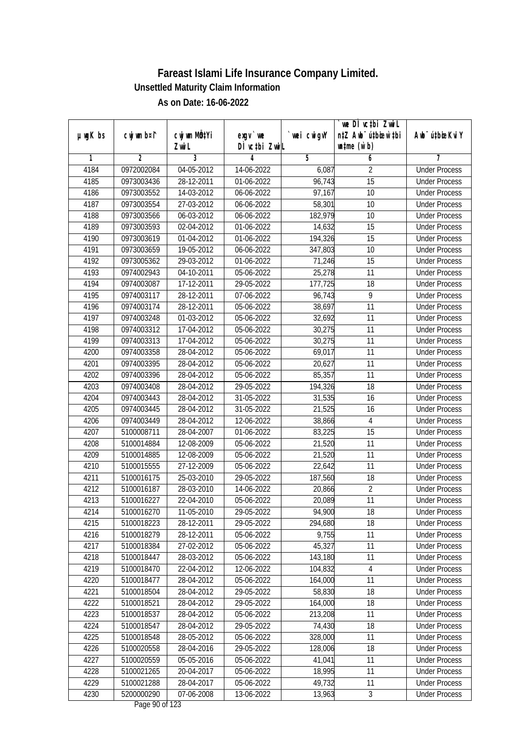|               |                | cwj wm MQtYi                |                            |            | we DI vctbi ZwiL<br>n‡Z Awb <sup>-</sup> ú‡bioar`‡bi |                             |
|---------------|----------------|-----------------------------|----------------------------|------------|------------------------------------------------------|-----------------------------|
| $µ$ ug $K$ bs | cwj wm b¤i^    | Zwi L                       | $exgV$ we<br>DÌ vctbi ZwiL | wei cwigvY | $\n  untime\n  (u`b)\n$                              | Awb <sup>-</sup> ú‡bioeKviY |
| 1             | $\overline{2}$ | 3                           | 4                          | 5          | 6                                                    | 7                           |
| 4184          | 0972002084     | 04-05-2012                  | 14-06-2022                 | 6,087      | $\overline{2}$                                       | <b>Under Process</b>        |
| 4185          | 0973003436     | 28-12-2011                  | 01-06-2022                 | 96,743     | $\overline{15}$                                      | <b>Under Process</b>        |
| 4186          | 0973003552     | 14-03-2012                  | 06-06-2022                 | 97,167     | 10                                                   | <b>Under Process</b>        |
| 4187          | 0973003554     | 27-03-2012                  | 06-06-2022                 | 58,301     | 10                                                   | <b>Under Process</b>        |
| 4188          | 0973003566     | $06 - 03 - 2012$            | 06-06-2022                 | 182,979    | $\overline{10}$                                      | <b>Under Process</b>        |
| 4189          | 0973003593     | 02-04-2012                  | 01-06-2022                 | 14,632     | 15                                                   | <b>Under Process</b>        |
| 4190          | 0973003619     | 01-04-2012                  | 01-06-2022                 | 194,326    | 15                                                   | <b>Under Process</b>        |
| 4191          | 0973003659     | $\overline{19} - 05 - 2012$ | 06-06-2022                 | 347,803    | 10                                                   | <b>Under Process</b>        |
| 4192          | 0973005362     | 29-03-2012                  | 01-06-2022                 | 71,246     | 15                                                   | <b>Under Process</b>        |
| 4193          | 0974002943     | 04-10-2011                  | 05-06-2022                 | 25,278     | 11                                                   | <b>Under Process</b>        |
| 4194          | 0974003087     | 17-12-2011                  | 29-05-2022                 | 177,725    | $\overline{18}$                                      | <b>Under Process</b>        |
| 4195          | 0974003117     | 28-12-2011                  | 07-06-2022                 | 96,743     | 9                                                    | <b>Under Process</b>        |
| 4196          | 0974003174     | 28-12-2011                  | 05-06-2022                 | 38,697     | $\overline{11}$                                      | <b>Under Process</b>        |
| 4197          | 0974003248     | 01-03-2012                  | 05-06-2022                 | 32,692     | 11                                                   | <b>Under Process</b>        |
| 4198          | 0974003312     | 17-04-2012                  | 05-06-2022                 | 30,275     | 11                                                   | <b>Under Process</b>        |
| 4199          | 0974003313     | 17-04-2012                  | 05-06-2022                 | 30,275     | 11                                                   | <b>Under Process</b>        |
| 4200          | 0974003358     | 28-04-2012                  | 05-06-2022                 | 69,017     | 11                                                   | <b>Under Process</b>        |
| 4201          | 0974003395     | 28-04-2012                  | 05-06-2022                 | 20,627     | 11                                                   | <b>Under Process</b>        |
| 4202          | 0974003396     | 28-04-2012                  | 05-06-2022                 | 85,357     | 11                                                   | <b>Under Process</b>        |
| 4203          | 0974003408     | 28-04-2012                  | 29-05-2022                 | 194,326    | 18                                                   | <b>Under Process</b>        |
| 4204          | 0974003443     | 28-04-2012                  | 31-05-2022                 | 31,535     | 16                                                   | <b>Under Process</b>        |
| 4205          | 0974003445     | 28-04-2012                  | 31-05-2022                 | 21,525     | 16                                                   | <b>Under Process</b>        |
| 4206          | 0974003449     | 28-04-2012                  | 12-06-2022                 | 38,866     | $\overline{4}$                                       | <b>Under Process</b>        |
| 4207          | 5100008711     | 28-04-2007                  | 01-06-2022                 | 83,225     | 15                                                   | <b>Under Process</b>        |
| 4208          | 5100014884     | 12-08-2009                  | 05-06-2022                 | 21,520     | 11                                                   | <b>Under Process</b>        |
| 4209          | 5100014885     | 12-08-2009                  | 05-06-2022                 | 21,520     | 11                                                   | <b>Under Process</b>        |
| 4210          | 5100015555     | 27-12-2009                  | 05-06-2022                 | 22,642     | 11                                                   | <b>Under Process</b>        |
| 4211          | 5100016175     | 25-03-2010                  | 29-05-2022                 | 187,560    | 18                                                   | <b>Under Process</b>        |
| 4212          | 5100016187     | 28-03-2010                  | 14-06-2022                 | 20,866     | $\overline{2}$                                       | <b>Under Process</b>        |
| 4213          | 5100016227     | 22-04-2010                  | 05-06-2022                 | 20,089     | 11                                                   | <b>Under Process</b>        |
| 4214          | 5100016270     | 11-05-2010                  | 29-05-2022                 | 94,900     | 18                                                   | <b>Under Process</b>        |
| 4215          | 5100018223     | 28-12-2011                  | 29-05-2022                 | 294,680    | 18                                                   | <b>Under Process</b>        |
| 4216          | 5100018279     | 28-12-2011                  | 05-06-2022                 | 9,755      | 11                                                   | <b>Under Process</b>        |
| 4217          | 5100018384     | 27-02-2012                  | 05-06-2022                 | 45,327     | 11                                                   | <b>Under Process</b>        |
| 4218          | 5100018447     | 28-03-2012                  | 05-06-2022                 | 143,180    | 11                                                   | <b>Under Process</b>        |
| 4219          | 5100018470     | 22-04-2012                  | 12-06-2022                 | 104,832    | 4                                                    | <b>Under Process</b>        |
| 4220          | 5100018477     | 28-04-2012                  | 05-06-2022                 | 164,000    | 11                                                   | <b>Under Process</b>        |
| 4221          | 5100018504     | 28-04-2012                  | 29-05-2022                 | 58,830     | 18                                                   | <b>Under Process</b>        |
| 4222          | 5100018521     | 28-04-2012                  | 29-05-2022                 | 164,000    | 18                                                   | <b>Under Process</b>        |
| 4223          | 5100018537     | 28-04-2012                  | 05-06-2022                 | 213,208    | 11                                                   | <b>Under Process</b>        |
| 4224          | 5100018547     | 28-04-2012                  | 29-05-2022                 | 74,430     | 18                                                   | <b>Under Process</b>        |
| 4225          | 5100018548     | 28-05-2012                  | 05-06-2022                 | 328,000    | 11                                                   | <b>Under Process</b>        |
| 4226          | 5100020558     | 28-04-2016                  | $29 - 05 - 2022$           | 128,006    | 18                                                   | <b>Under Process</b>        |
| 4227          | 5100020559     | 05-05-2016                  | 05-06-2022                 | 41,041     | 11                                                   | <b>Under Process</b>        |
| 4228          | 5100021265     | 20-04-2017                  | 05-06-2022                 | 18,995     | 11                                                   | <b>Under Process</b>        |
| 4229          | 5100021288     | 28-04-2017                  | 05-06-2022                 | 49,732     | 11                                                   | <b>Under Process</b>        |
| 4230          | 5200000290     | $\overline{07-06} - 2008$   | 13-06-2022                 | 13,963     | $\overline{3}$                                       | <b>Under Process</b>        |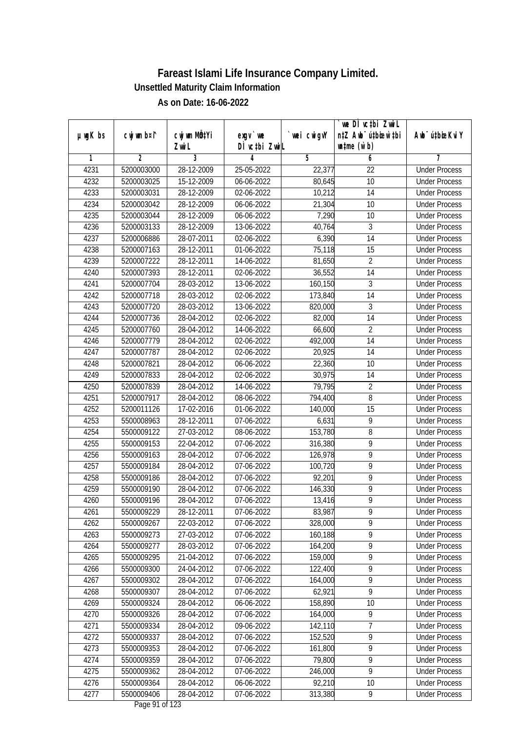|               |                |                                    |                            |                | we DI vctbi ZwiL                                            |                             |
|---------------|----------------|------------------------------------|----------------------------|----------------|-------------------------------------------------------------|-----------------------------|
| $µ$ ug $K$ bs | cwj wm b¤i^    | cwj wm MQ <sup>1</sup> Yi<br>Zwi L | $exqu$ we<br>DÌ vctbi ZwiL | `wei cwigvY    | n‡Z Awb <sup>-</sup> ú‡bioen`‡bi<br>$\n  untime\n  (u`b)\n$ | Awb <sup>-</sup> ú‡bioeKviY |
| 1             | $\overline{2}$ | 3                                  | 4                          | $\overline{5}$ | 6                                                           | 7                           |
| 4231          | 5200003000     | 28-12-2009                         | 25-05-2022                 | 22,377         | $\overline{22}$                                             | <b>Under Process</b>        |
| 4232          | 5200003025     | 15-12-2009                         | 06-06-2022                 | 80,645         | 10                                                          | <b>Under Process</b>        |
| 4233          | 5200003031     | 28-12-2009                         | 02-06-2022                 | 10,212         | $\overline{14}$                                             | <b>Under Process</b>        |
| 4234          | 5200003042     | 28-12-2009                         | 06-06-2022                 | 21,304         | 10                                                          | <b>Under Process</b>        |
| 4235          | 5200003044     | 28-12-2009                         | 06-06-2022                 | 7,290          | $\overline{10}$                                             | <b>Under Process</b>        |
| 4236          | 5200003133     | 28-12-2009                         | 13-06-2022                 | 40,764         | 3                                                           | <b>Under Process</b>        |
| 4237          | 5200006886     | 28-07-2011                         | 02-06-2022                 | 6,390          | $\overline{14}$                                             | <b>Under Process</b>        |
| 4238          | 5200007163     | 28-12-2011                         | 01-06-2022                 | 75,118         | 15                                                          | <b>Under Process</b>        |
| 4239          | 5200007222     | 28-12-2011                         | 14-06-2022                 | 81,650         | $\overline{2}$                                              | <b>Under Process</b>        |
| 4240          | 5200007393     | 28-12-2011                         | 02-06-2022                 | 36,552         | 14                                                          | <b>Under Process</b>        |
| 4241          | 5200007704     | 28-03-2012                         | 13-06-2022                 | 160,150        | $\overline{3}$                                              | <b>Under Process</b>        |
| 4242          | 5200007718     | 28-03-2012                         | 02-06-2022                 | 173,840        | 14                                                          | <b>Under Process</b>        |
| 4243          | 5200007720     | 28-03-2012                         | 13-06-2022                 | 820,000        | $\overline{3}$                                              | <b>Under Process</b>        |
| 4244          | 5200007736     | 28-04-2012                         | 02-06-2022                 | 82,000         | 14                                                          | <b>Under Process</b>        |
| 4245          | 5200007760     | 28-04-2012                         | 14-06-2022                 | 66,600         | $\overline{2}$                                              | <b>Under Process</b>        |
| 4246          | 5200007779     | 28-04-2012                         | 02-06-2022                 | 492,000        | 14                                                          | <b>Under Process</b>        |
| 4247          | 5200007787     | 28-04-2012                         | 02-06-2022                 | 20,925         | 14                                                          | <b>Under Process</b>        |
| 4248          | 5200007821     | 28-04-2012                         | 06-06-2022                 | 22,360         | 10                                                          | <b>Under Process</b>        |
| 4249          | 5200007833     | 28-04-2012                         | 02-06-2022                 | 30,975         | 14                                                          | <b>Under Process</b>        |
| 4250          | 5200007839     | 28-04-2012                         | 14-06-2022                 | 79,795         | $\overline{2}$                                              | <b>Under Process</b>        |
| 4251          | 5200007917     | 28-04-2012                         | 08-06-2022                 | 794,400        | 8                                                           | <b>Under Process</b>        |
| 4252          | 5200011126     | 17-02-2016                         | 01-06-2022                 | 140,000        | 15                                                          | <b>Under Process</b>        |
| 4253          | 5500008963     | 28-12-2011                         | 07-06-2022                 | 6,631          | 9                                                           | <b>Under Process</b>        |
| 4254          | 5500009122     | 27-03-2012                         | 08-06-2022                 | 153,780        | 8                                                           | <b>Under Process</b>        |
| 4255          | 5500009153     | 22-04-2012                         | 07-06-2022                 | 316,380        | 9                                                           | <b>Under Process</b>        |
| 4256          | 5500009163     | 28-04-2012                         | 07-06-2022                 | 126,978        | 9                                                           | <b>Under Process</b>        |
| 4257          | 5500009184     | 28-04-2012                         | 07-06-2022                 | 100,720        | 9                                                           | <b>Under Process</b>        |
| 4258          | 5500009186     | 28-04-2012                         | 07-06-2022                 | 92,201         | 9                                                           | <b>Under Process</b>        |
| 4259          | 5500009190     | 28-04-2012                         | 07-06-2022                 | 146,330        | $\overline{9}$                                              | <b>Under Process</b>        |
| 4260          | 5500009196     | 28-04-2012                         | 07-06-2022                 | 13,416         | $\overline{9}$                                              | <b>Under Process</b>        |
| 4261          | 5500009229     | 28-12-2011                         | 07-06-2022                 | 83,987         | 9                                                           | <b>Under Process</b>        |
| 4262          | 5500009267     | 22-03-2012                         | 07-06-2022                 | 328,000        | 9                                                           | <b>Under Process</b>        |
| 4263          | 5500009273     | 27-03-2012                         | 07-06-2022                 | 160,188        | 9                                                           | <b>Under Process</b>        |
| 4264          | 5500009277     | 28-03-2012                         | 07-06-2022                 | 164,200        | $\overline{9}$                                              | <b>Under Process</b>        |
| 4265          | 5500009295     | 21-04-2012                         | 07-06-2022                 | 159,000        | 9                                                           | <b>Under Process</b>        |
| 4266          | 5500009300     | 24-04-2012                         | 07-06-2022                 | 122,400        | 9                                                           | <b>Under Process</b>        |
| 4267          | 5500009302     | 28-04-2012                         | 07-06-2022                 | 164,000        | $\overline{9}$                                              | <b>Under Process</b>        |
| 4268          | 5500009307     | 28-04-2012                         | 07-06-2022                 | 62,921         | $\overline{9}$                                              | <b>Under Process</b>        |
| 4269          | 5500009324     | 28-04-2012                         | 06-06-2022                 | 158,890        | 10                                                          | <b>Under Process</b>        |
| 4270          | 5500009326     | 28-04-2012                         | 07-06-2022                 | 164,000        | $\overline{9}$                                              | <b>Under Process</b>        |
| 4271          | 5500009334     | 28-04-2012                         | 09-06-2022                 | 142,110        | 7                                                           | <b>Under Process</b>        |
| 4272          | 5500009337     | 28-04-2012                         | 07-06-2022                 | 152,520        | $\overline{9}$                                              | <b>Under Process</b>        |
| 4273          | 5500009353     | 28-04-2012                         | 07-06-2022                 | 161,800        | $\overline{9}$                                              | <b>Under Process</b>        |
| 4274          | 5500009359     | 28-04-2012                         | 07-06-2022                 | 79,800         | $\overline{9}$                                              | <b>Under Process</b>        |
| 4275          | 5500009362     | 28-04-2012                         | 07-06-2022                 | 246,000        | $\overline{9}$                                              | <b>Under Process</b>        |
| 4276          | 5500009364     | 28-04-2012                         | 06-06-2022                 | 92,210         | 10                                                          | <b>Under Process</b>        |
| 4277          | 5500009406     | 28-04-2012                         | 07-06-2022                 | 313,380        | 9                                                           | <b>Under Process</b>        |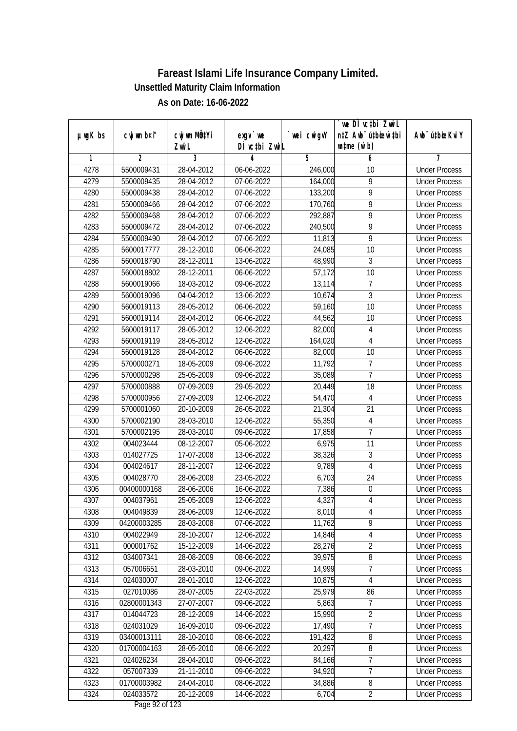| $µ$ ug $K$ bs | cwj wm b¤i^ | cwj wm MQtYi | $exgv$ we                          | wei cwigvY | `we DÌ vc‡bi ZwiL<br>n‡Z Awb <sup>-</sup> ú‡bioen`‡bi | Awb <sup>-</sup> ú‡bioeKviY |
|---------------|-------------|--------------|------------------------------------|------------|-------------------------------------------------------|-----------------------------|
|               |             | Zwi L        | DÌ vctbi ZwiL                      |            | $\n  untime\n  (u`b)\n$                               |                             |
| 1             | 2           | 3            | 4                                  | 5          | 6                                                     | 7                           |
| 4278          | 5500009431  | 28-04-2012   | 06-06-2022                         | 246,000    | 10                                                    | <b>Under Process</b>        |
| 4279          | 5500009435  | 28-04-2012   | 07-06-2022                         | 164,000    | $\overline{9}$                                        | <b>Under Process</b>        |
| 4280          | 5500009438  | 28-04-2012   | 07-06-2022                         | 133,200    | $\overline{9}$                                        | <b>Under Process</b>        |
| 4281          | 5500009466  | 28-04-2012   | 07-06-2022                         | 170,760    | $\overline{9}$                                        | <b>Under Process</b>        |
| 4282          | 5500009468  | 28-04-2012   | 07-06-2022                         | 292,887    | $\overline{9}$                                        | <b>Under Process</b>        |
| 4283          | 5500009472  | 28-04-2012   | 07-06-2022                         | 240,500    | $\overline{9}$                                        | <b>Under Process</b>        |
| 4284          | 5500009490  | 28-04-2012   | 07-06-2022                         | 11,813     | 9                                                     | <b>Under Process</b>        |
| 4285          | 5600017777  | 28-12-2010   | 06-06-2022                         | 24,085     | $\overline{10}$                                       | <b>Under Process</b>        |
| 4286          | 5600018790  | 28-12-2011   | 13-06-2022                         | 48,990     | $\mathfrak{Z}$                                        | <b>Under Process</b>        |
| 4287          | 5600018802  | 28-12-2011   | 06-06-2022                         | 57,172     | 10                                                    | <b>Under Process</b>        |
| 4288          | 5600019066  | 18-03-2012   | 09-06-2022                         | 13,114     | $\overline{7}$                                        | <b>Under Process</b>        |
| 4289          | 5600019096  | 04-04-2012   | 13-06-2022                         | 10,674     | $\mathfrak{Z}$                                        | <b>Under Process</b>        |
| 4290          | 5600019113  | 28-05-2012   | 06-06-2022                         | 59,160     | $\overline{10}$                                       | <b>Under Process</b>        |
| 4291          | 5600019114  | 28-04-2012   | 06-06-2022                         | 44,562     | 10                                                    | <b>Under Process</b>        |
| 4292          | 5600019117  | 28-05-2012   | 12-06-2022                         | 82,000     | 4                                                     | <b>Under Process</b>        |
| 4293          | 5600019119  | 28-05-2012   | 12-06-2022                         | 164,020    | $\overline{4}$                                        | <b>Under Process</b>        |
| 4294          | 5600019128  | 28-04-2012   | 06-06-2022                         | 82,000     | 10                                                    | <b>Under Process</b>        |
| 4295          | 5700000271  | 18-05-2009   | 09-06-2022                         | 11,792     | $\overline{7}$                                        | <b>Under Process</b>        |
| 4296          | 5700000298  | 25-05-2009   | 09-06-2022                         | 35,089     | $\overline{7}$                                        | <b>Under Process</b>        |
| 4297          | 5700000888  | 07-09-2009   | 29-05-2022                         | 20,449     | 18                                                    | <b>Under Process</b>        |
| 4298          | 5700000956  | 27-09-2009   | 12-06-2022                         | 54,470     | $\overline{4}$                                        | <b>Under Process</b>        |
| 4299          | 5700001060  | 20-10-2009   | 26-05-2022                         | 21,304     | 21                                                    | <b>Under Process</b>        |
| 4300          | 5700002190  | 28-03-2010   | 12-06-2022                         | 55,350     | 4                                                     | <b>Under Process</b>        |
| 4301          | 5700002195  | 28-03-2010   | 09-06-2022                         | 17,858     | $\overline{1}$                                        | <b>Under Process</b>        |
| 4302          | 004023444   | 08-12-2007   | 05-06-2022                         | 6,975      | 11                                                    | <b>Under Process</b>        |
| 4303          | 014027725   | 17-07-2008   | 13-06-2022                         | 38,326     | 3                                                     | <b>Under Process</b>        |
| 4304          | 004024617   | 28-11-2007   | 12-06-2022                         | 9,789      | 4                                                     | <b>Under Process</b>        |
| 4305          | 004028770   | 28-06-2008   | 23-05-2022                         | 6,703      | 24                                                    | <b>Under Process</b>        |
| 4306          | 00400000168 | 28-06-2006   | 16-06-2022                         | 7,386      | $\mathbf 0$                                           | <b>Under Process</b>        |
| 4307          | 004037961   | 25-05-2009   | 12-06-2022                         | 4,327      | $\overline{4}$                                        | <b>Under Process</b>        |
| 4308          | 004049839   | 28-06-2009   | 12-06-2022                         | 8,010      | 4                                                     | <b>Under Process</b>        |
| 4309          | 04200003285 | 28-03-2008   | 07-06-2022                         | 11,762     | 9                                                     | <b>Under Process</b>        |
| 4310          | 004022949   | 28-10-2007   | 12-06-2022                         | 14,846     | 4                                                     | <b>Under Process</b>        |
| 4311          | 000001762   | 15-12-2009   | 14-06-2022                         | 28,276     | $\overline{2}$                                        | <b>Under Process</b>        |
| 4312          | 034007341   | 28-08-2009   | 08-06-2022                         | 39,975     | $\bf 8$                                               | <b>Under Process</b>        |
| 4313          | 057006651   | 28-03-2010   | 09-06-2022                         | 14,999     | 7                                                     | <b>Under Process</b>        |
| 4314          | 024030007   | 28-01-2010   | 12-06-2022                         | 10,875     | $\overline{4}$                                        | <b>Under Process</b>        |
| 4315          | 027010086   | 28-07-2005   | 22-03-2022                         | 25,979     | 86                                                    | <b>Under Process</b>        |
| 4316          | 02800001343 | 27-07-2007   | 09-06-2022                         | 5,863      | 7                                                     | <b>Under Process</b>        |
| 4317          | 014044723   | 28-12-2009   | 14-06-2022                         | 15,990     | $\overline{2}$                                        | <b>Under Process</b>        |
| 4318          | 024031029   | 16-09-2010   | 09-06-2022                         | 17,490     | $\overline{7}$                                        | <b>Under Process</b>        |
| 4319          | 03400013111 | 28-10-2010   | 08-06-2022                         | 191,422    | 8                                                     | <b>Under Process</b>        |
| 4320          | 01700004163 | 28-05-2010   | 08-06-2022                         | 20,297     | $\overline{8}$                                        | <b>Under Process</b>        |
| 4321          | 024026234   | 28-04-2010   | 09-06-2022                         | 84,166     | 7                                                     | <b>Under Process</b>        |
| 4322          | 057007339   | 21-11-2010   | 09-06-2022                         | 94,920     | $\overline{7}$                                        | <b>Under Process</b>        |
| 4323          | 01700003982 | 24-04-2010   | 08-06-2022                         | 34,886     | 8                                                     | <b>Under Process</b>        |
| 4324          | 024033572   | 20-12-2009   | 14-06-2022<br>$D_{0.92}$ 02 of 122 | 6,704      | $\overline{2}$                                        | <b>Under Process</b>        |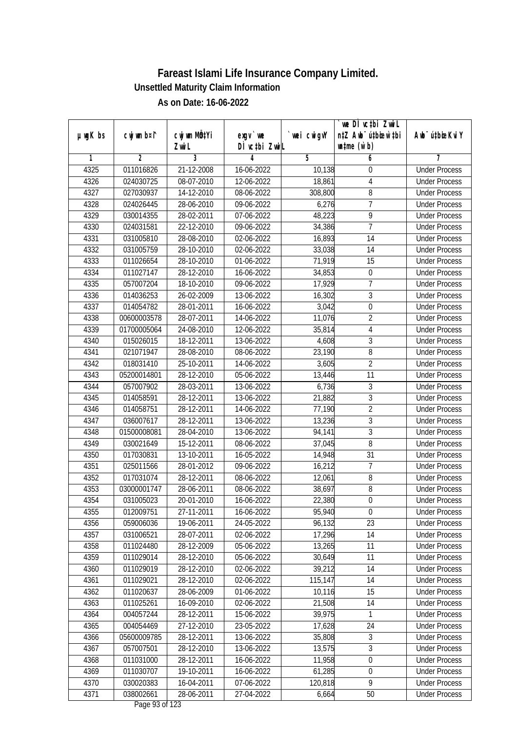|               |                |                       |                                    |            | we DI vctbi ZwiL                                            |                             |
|---------------|----------------|-----------------------|------------------------------------|------------|-------------------------------------------------------------|-----------------------------|
| $µ$ ug $K$ bs | cwj wm b¤i^    | cwj wm MQtYi<br>Zwi L | $exgV$ we<br>DÌ vctbi ZwiL         | wei cwigvY | n‡Z Awb <sup>-</sup> ú‡bioen`‡bi<br>$\n  untime\n  (u`b)\n$ | Awb <sup>-</sup> ú‡bioeKviY |
| 1             | $\overline{2}$ | 3                     | 4                                  | 5          | 6                                                           | 7                           |
| 4325          | 011016826      | 21-12-2008            | 16-06-2022                         | 10,138     | $\boldsymbol{0}$                                            | <b>Under Process</b>        |
| 4326          | 024030725      | 08-07-2010            | 12-06-2022                         | 18,861     | $\overline{4}$                                              | <b>Under Process</b>        |
| 4327          | 027030937      | 14-12-2010            | 08-06-2022                         | 308,800    | $\overline{8}$                                              | <b>Under Process</b>        |
| 4328          | 024026445      | 28-06-2010            | 09-06-2022                         | 6,276      | $\overline{1}$                                              | <b>Under Process</b>        |
| 4329          | 030014355      | 28-02-2011            | 07-06-2022                         | 48,223     | $\overline{9}$                                              | <b>Under Process</b>        |
| 4330          | 024031581      | 22-12-2010            | 09-06-2022                         | 34,386     | $\overline{7}$                                              | <b>Under Process</b>        |
| 4331          | 031005810      | 28-08-2010            | 02-06-2022                         | 16,893     | 14                                                          | <b>Under Process</b>        |
| 4332          | 031005759      | 28-10-2010            | 02-06-2022                         | 33,038     | 14                                                          | <b>Under Process</b>        |
| 4333          | 011026654      | 28-10-2010            | 01-06-2022                         | 71,919     | 15                                                          | <b>Under Process</b>        |
| 4334          | 011027147      | 28-12-2010            | 16-06-2022                         | 34,853     | $\boldsymbol{0}$                                            | <b>Under Process</b>        |
| 4335          | 057007204      | 18-10-2010            | 09-06-2022                         | 17,929     | $\overline{7}$                                              | <b>Under Process</b>        |
| 4336          | 014036253      | 26-02-2009            | 13-06-2022                         | 16,302     | $\sqrt{3}$                                                  | <b>Under Process</b>        |
| 4337          | 014054782      | 28-01-2011            | 16-06-2022                         | 3,042      | $\overline{0}$                                              | <b>Under Process</b>        |
| 4338          | 00600003578    | 28-07-2011            | 14-06-2022                         | 11,076     | $\overline{2}$                                              | <b>Under Process</b>        |
| 4339          | 01700005064    | 24-08-2010            | 12-06-2022                         | 35,814     | $\overline{4}$                                              | <b>Under Process</b>        |
| 4340          | 015026015      | 18-12-2011            | 13-06-2022                         | 4,608      | $\mathfrak{Z}$                                              | <b>Under Process</b>        |
| 4341          | 021071947      | 28-08-2010            | 08-06-2022                         | 23,190     | 8                                                           | <b>Under Process</b>        |
| 4342          | 018031410      | 25-10-2011            | 14-06-2022                         | 3,605      | $\overline{2}$                                              | <b>Under Process</b>        |
| 4343          | 05200014801    | 28-12-2010            | 05-06-2022                         | 13,446     | 11                                                          | <b>Under Process</b>        |
| 4344          | 057007902      | 28-03-2011            | 13-06-2022                         | 6,736      | 3                                                           | <b>Under Process</b>        |
| 4345          | 014058591      | 28-12-2011            | 13-06-2022                         | 21,882     | $\overline{3}$                                              | <b>Under Process</b>        |
| 4346          | 014058751      | 28-12-2011            | 14-06-2022                         | 77,190     | $\overline{2}$                                              | <b>Under Process</b>        |
| 4347          | 036007617      | 28-12-2011            | 13-06-2022                         | 13,236     | $\mathfrak{Z}$                                              | <b>Under Process</b>        |
| 4348          | 01500008081    | 28-04-2010            | 13-06-2022                         | 94,141     | $\overline{3}$                                              | <b>Under Process</b>        |
| 4349          | 030021649      | 15-12-2011            | 08-06-2022                         | 37,045     | $\overline{8}$                                              | <b>Under Process</b>        |
| 4350          | 017030831      | 13-10-2011            | 16-05-2022                         | 14,948     | 31                                                          | <b>Under Process</b>        |
| 4351          | 025011566      | 28-01-2012            | 09-06-2022                         | 16,212     | $\overline{1}$                                              | <b>Under Process</b>        |
| 4352          | 017031074      | 28-12-2011            | 08-06-2022                         | 12,061     | 8                                                           | <b>Under Process</b>        |
| 4353          | 03000001747    | 28-06-2011            | 08-06-2022                         | 38,697     | 8                                                           | <b>Under Process</b>        |
| 4354          | 031005023      | 20-01-2010            | 16-06-2022                         | 22,380     | $\overline{0}$                                              | <b>Under Process</b>        |
| 4355          | 012009751      | 27-11-2011            | 16-06-2022                         | 95,940     | $\boldsymbol{0}$                                            | <b>Under Process</b>        |
| 4356          | 059006036      | 19-06-2011            | 24-05-2022                         | 96,132     | 23                                                          | <b>Under Process</b>        |
| 4357          | 031006521      | 28-07-2011            | 02-06-2022                         | 17,296     | 14                                                          | <b>Under Process</b>        |
| 4358          | 011024480      | 28-12-2009            | 05-06-2022                         | 13,265     | 11                                                          | <b>Under Process</b>        |
| 4359          | 011029014      | 28-12-2010            | 05-06-2022                         | 30,649     | 11                                                          | <b>Under Process</b>        |
| 4360          | 011029019      | 28-12-2010            | 02-06-2022                         | 39,212     | 14                                                          | <b>Under Process</b>        |
| 4361          | 011029021      | 28-12-2010            | 02-06-2022                         | 115,147    | 14                                                          | <b>Under Process</b>        |
| 4362          | 011020637      | 28-06-2009            | 01-06-2022                         | 10,116     | 15                                                          | <b>Under Process</b>        |
| 4363          | 011025261      | 16-09-2010            | 02-06-2022                         | 21,508     | 14                                                          | <b>Under Process</b>        |
| 4364          | 004057244      | 28-12-2011            | 15-06-2022                         | 39,975     | 1                                                           | <b>Under Process</b>        |
| 4365          | 004054469      | 27-12-2010            | 23-05-2022                         | 17,628     | 24                                                          | <b>Under Process</b>        |
| 4366          | 05600009785    | 28-12-2011            | 13-06-2022                         | 35,808     | 3                                                           | <b>Under Process</b>        |
| 4367          | 057007501      | 28-12-2010            | 13-06-2022                         | 13,575     | 3                                                           | <b>Under Process</b>        |
| 4368          | 011031000      | 28-12-2011            | 16-06-2022                         | 11,958     | $\overline{0}$                                              | <b>Under Process</b>        |
| 4369          | 011030707      | 19-10-2011            | 16-06-2022                         | 61,285     | $\boldsymbol{0}$                                            | <b>Under Process</b>        |
| 4370          | 030020383      | 16-04-2011            | 07-06-2022                         | 120,818    | $\overline{9}$                                              | <b>Under Process</b>        |
| 4371          | 038002661      | 28-06-2011            | 27-04-2022<br>$D_{0.82}$ 02 of 122 | 6,664      | 50                                                          | <b>Under Process</b>        |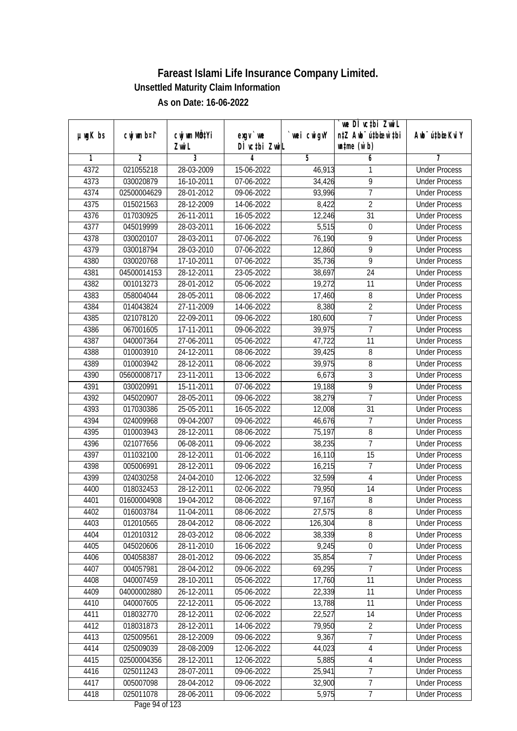|               |                        |              |                                                          |            | `we DÌ vc‡bi ZwiL                |                             |
|---------------|------------------------|--------------|----------------------------------------------------------|------------|----------------------------------|-----------------------------|
| $µ$ ug $K$ bs | cwj wm b¤i^            | cwj wm MQtYi | $exqu$ we                                                | wei cwigvY | n‡Z Awb <sup>-</sup> ú‡bioen`‡bi | Awb <sup>-</sup> ú‡bioeKviY |
| 1             | $\overline{2}$         | Zwi L<br>3   | DÌ vctbi ZwiL<br>4                                       | 5          | $\n  untime\n  (u`b)\n$<br>6     | 7                           |
| 4372          | 021055218              | 28-03-2009   | 15-06-2022                                               | 46,913     | 1                                | <b>Under Process</b>        |
| 4373          | 030020879              | 16-10-2011   | 07-06-2022                                               | 34,426     | $\overline{9}$                   | <b>Under Process</b>        |
| 4374          | 02500004629            | 28-01-2012   | 09-06-2022                                               | 93,996     | 7                                | <b>Under Process</b>        |
| 4375          | 015021563              | 28-12-2009   | 14-06-2022                                               | 8,422      | $\overline{2}$                   | <b>Under Process</b>        |
| 4376          | 017030925              | 26-11-2011   | 16-05-2022                                               | 12,246     | $\overline{31}$                  | <b>Under Process</b>        |
| 4377          | 045019999              | 28-03-2011   | 16-06-2022                                               | 5,515      | $\boldsymbol{0}$                 | <b>Under Process</b>        |
| 4378          | 030020107              | 28-03-2011   | 07-06-2022                                               | 76,190     | $\overline{9}$                   | <b>Under Process</b>        |
| 4379          | 030018794              | 28-03-2010   | 07-06-2022                                               | 12,860     | $\overline{9}$                   | <b>Under Process</b>        |
| 4380          | 030020768              | 17-10-2011   | 07-06-2022                                               | 35,736     | $\overline{9}$                   | <b>Under Process</b>        |
| 4381          | 04500014153            | 28-12-2011   | 23-05-2022                                               | 38,697     | 24                               | <b>Under Process</b>        |
| 4382          | 001013273              | 28-01-2012   | 05-06-2022                                               | 19,272     | 11                               | <b>Under Process</b>        |
|               |                        |              |                                                          |            | $\, 8$                           | <b>Under Process</b>        |
| 4383          | 058004044<br>014043824 | 28-05-2011   | 08-06-2022<br>14-06-2022                                 | 17,460     | $\overline{2}$                   |                             |
| 4384          |                        | 27-11-2009   |                                                          | 8,380      |                                  | <b>Under Process</b>        |
| 4385          | 021078120              | 22-09-2011   | 09-06-2022                                               | 180,600    | $\overline{1}$                   | <b>Under Process</b>        |
| 4386          | 067001605              | $17-11-2011$ | 09-06-2022                                               | 39,975     | $\overline{7}$                   | <b>Under Process</b>        |
| 4387          | 040007364              | 27-06-2011   | 05-06-2022                                               | 47,722     | 11                               | <b>Under Process</b>        |
| 4388          | 010003910              | 24-12-2011   | 08-06-2022                                               | 39,425     | 8                                | <b>Under Process</b>        |
| 4389          | 010003942              | 28-12-2011   | 08-06-2022                                               | 39,975     | $\overline{8}$                   | <b>Under Process</b>        |
| 4390          | 05600008717            | 23-11-2011   | 13-06-2022                                               | 6,673      | $\sqrt{3}$                       | <b>Under Process</b>        |
| 4391          | 030020991              | 15-11-2011   | 07-06-2022                                               | 19,188     | $\overline{9}$                   | <b>Under Process</b>        |
| 4392          | 045020907              | 28-05-2011   | 09-06-2022                                               | 38,279     | $\overline{7}$                   | <b>Under Process</b>        |
| 4393          | 017030386              | 25-05-2011   | 16-05-2022                                               | 12,008     | 31                               | <b>Under Process</b>        |
| 4394          | 024009968              | 09-04-2007   | 09-06-2022                                               | 46,676     | $\overline{7}$                   | <b>Under Process</b>        |
| 4395          | 010003943              | 28-12-2011   | 08-06-2022                                               | 75,197     | $\, 8$                           | <b>Under Process</b>        |
| 4396          | 021077656              | 06-08-2011   | 09-06-2022                                               | 38,235     | 7                                | <b>Under Process</b>        |
| 4397          | 011032100              | 28-12-2011   | 01-06-2022                                               | 16,110     | 15                               | <b>Under Process</b>        |
| 4398          | 005006991              | 28-12-2011   | 09-06-2022                                               | 16,215     | 7                                | <b>Under Process</b>        |
| 4399          | 024030258              | 24-04-2010   | 12-06-2022                                               | 32,599     | $\overline{4}$                   | <b>Under Process</b>        |
| 4400          | 018032453              | 28-12-2011   | 02-06-2022                                               | 79,950     | 14                               | <b>Under Process</b>        |
| 4401          | 01600004908            | 19-04-2012   | 08-06-2022                                               | 97,167     | 8                                | <b>Under Process</b>        |
| 4402          | 016003784              | 11-04-2011   | 08-06-2022                                               | 27,575     | 8                                | <b>Under Process</b>        |
| 4403          | 012010565              | 28-04-2012   | 08-06-2022                                               | 126,304    | 8                                | <b>Under Process</b>        |
| 4404          | 012010312              | 28-03-2012   | 08-06-2022                                               | 38,339     | 8                                | <b>Under Process</b>        |
| 4405          | 045020606              | 28-11-2010   | 16-06-2022                                               | 9,245      | $\boldsymbol{0}$                 | <b>Under Process</b>        |
| 4406          | 004058387              | 28-01-2012   | 09-06-2022                                               | 35,854     | $\overline{7}$                   | <b>Under Process</b>        |
| 4407          | 004057981              | 28-04-2012   | 09-06-2022                                               | 69,295     | 7                                | <b>Under Process</b>        |
| 4408          | 040007459              | 28-10-2011   | 05-06-2022                                               | 17,760     | 11                               | <b>Under Process</b>        |
| 4409          | 04000002880            | 26-12-2011   | 05-06-2022                                               | 22,339     | 11                               | <b>Under Process</b>        |
| 4410          | 040007605              | 22-12-2011   | 05-06-2022                                               | 13,788     | 11                               | <b>Under Process</b>        |
| 4411          | 018032770              | 28-12-2011   | 02-06-2022                                               | 22,527     | 14                               | <b>Under Process</b>        |
| 4412          | 018031873              | 28-12-2011   | 14-06-2022                                               | 79,950     | $\overline{2}$                   | <b>Under Process</b>        |
| 4413          | 025009561              | 28-12-2009   | 09-06-2022                                               | 9,367      | 7                                | <b>Under Process</b>        |
| 4414          | 025009039              | 28-08-2009   | 12-06-2022                                               | 44,023     | 4                                | <b>Under Process</b>        |
| 4415          | 02500004356            | 28-12-2011   | 12-06-2022                                               | 5,885      | 4                                | <b>Under Process</b>        |
| 4416          | 025011243              | 28-07-2011   | 09-06-2022                                               | 25,941     | 7                                | <b>Under Process</b>        |
| 4417          | 005007098              | 28-04-2012   | 09-06-2022                                               | 32,900     | $\overline{7}$                   | <b>Under Process</b>        |
| 4418          | 025011078              | 28-06-2011   | 09-06-2022<br>$D_{\text{max}}$ $\Omega$ $\Lambda$ of 123 | 5,975      | $\overline{7}$                   | <b>Under Process</b>        |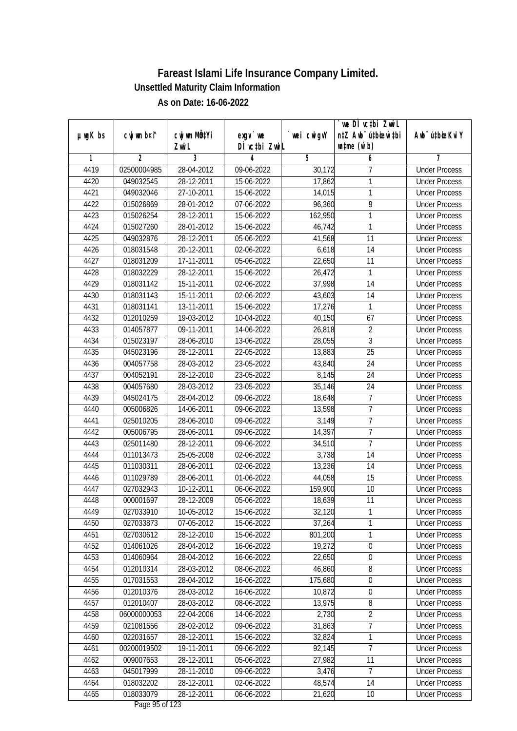|               |             |                           |                                    |             | `we DÌ vc‡bi ZwiL                |                             |
|---------------|-------------|---------------------------|------------------------------------|-------------|----------------------------------|-----------------------------|
| $µ$ ug $K$ bs | cwj wm b¤i^ | cwj wm MQ <sup>1</sup> Yi | $exgV$ we                          | `wei cwigvY | n‡Z Awb <sup>-</sup> ú‡bioen`‡bi | Awb <sup>-</sup> ú‡bioeKviY |
|               |             | Zwi L                     | DÌ vctbi ZwiL                      |             | $\n  untime\n  (u`b)\n$          |                             |
| 1             | 2           | 3                         | 4                                  | 5           | 6                                | 7                           |
| 4419          | 02500004985 | 28-04-2012                | 09-06-2022                         | 30,172      | 7                                | <b>Under Process</b>        |
| 4420          | 049032545   | 28-12-2011                | 15-06-2022                         | 17,862      | 1                                | <b>Under Process</b>        |
| 4421          | 049032046   | 27-10-2011                | 15-06-2022                         | 14,015      | 1                                | <b>Under Process</b>        |
| 4422          | 015026869   | 28-01-2012                | 07-06-2022                         | 96,360      | 9                                | <b>Under Process</b>        |
| 4423          | 015026254   | 28-12-2011                | 15-06-2022                         | 162,950     | 1                                | <b>Under Process</b>        |
| 4424          | 015027260   | 28-01-2012                | 15-06-2022                         | 46,742      | 1                                | <b>Under Process</b>        |
| 4425          | 049032876   | 28-12-2011                | 05-06-2022                         | 41,568      | 11                               | <b>Under Process</b>        |
| 4426          | 018031548   | 20-12-2011                | 02-06-2022                         | 6,618       | $\overline{14}$                  | <b>Under Process</b>        |
| 4427          | 018031209   | 17-11-2011                | 05-06-2022                         | 22,650      | 11                               | <b>Under Process</b>        |
| 4428          | 018032229   | 28-12-2011                | 15-06-2022                         | 26,472      | $\mathbf{1}$                     | <b>Under Process</b>        |
| 4429          | 018031142   | 15-11-2011                | 02-06-2022                         | 37,998      | 14                               | <b>Under Process</b>        |
| 4430          | 018031143   | 15-11-2011                | 02-06-2022                         | 43,603      | 14                               | <b>Under Process</b>        |
| 4431          | 018031141   | 13-11-2011                | 15-06-2022                         | 17,276      | 1                                | <b>Under Process</b>        |
| 4432          | 012010259   | 19-03-2012                | 10-04-2022                         | 40,150      | 67                               | <b>Under Process</b>        |
| 4433          | 014057877   | 09-11-2011                | 14-06-2022                         | 26,818      | 2                                | <b>Under Process</b>        |
| 4434          | 015023197   | 28-06-2010                | 13-06-2022                         | 28,055      | $\overline{3}$                   | <b>Under Process</b>        |
| 4435          | 045023196   | 28-12-2011                | 22-05-2022                         | 13,883      | 25                               | <b>Under Process</b>        |
| 4436          | 004057758   | 28-03-2012                | 23-05-2022                         | 43,840      | 24                               | <b>Under Process</b>        |
| 4437          | 004052191   | 28-12-2010                | 23-05-2022                         | 8,145       | 24                               | <b>Under Process</b>        |
| 4438          | 004057680   | 28-03-2012                | 23-05-2022                         | 35,146      | 24                               | <b>Under Process</b>        |
| 4439          | 045024175   | 28-04-2012                | 09-06-2022                         | 18,648      | 7                                | <b>Under Process</b>        |
| 4440          | 005006826   | 14-06-2011                | 09-06-2022                         | 13,598      | $\overline{1}$                   | <b>Under Process</b>        |
| 4441          | 025010205   | 28-06-2010                | 09-06-2022                         | 3,149       | $\overline{7}$                   | <b>Under Process</b>        |
| 4442          | 005006795   | 28-06-2011                | 09-06-2022                         | 14,397      | $\overline{7}$                   | <b>Under Process</b>        |
| 4443          | 025011480   | 28-12-2011                | 09-06-2022                         | 34,510      | $\overline{1}$                   | <b>Under Process</b>        |
| 4444          | 011013473   | 25-05-2008                | 02-06-2022                         | 3,738       | 14                               | <b>Under Process</b>        |
| 4445          | 011030311   | 28-06-2011                | 02-06-2022                         | 13,236      | 14                               | <b>Under Process</b>        |
| 4446          | 011029789   | 28-06-2011                | 01-06-2022                         | 44,058      | 15                               | <b>Under Process</b>        |
| 4447          | 027032943   | 10-12-2011                | 06-06-2022                         | 159,900     | 10                               | <b>Under Process</b>        |
| 4448          | 000001697   | 28-12-2009                | 05-06-2022                         | 18,639      | 11                               | <b>Under Process</b>        |
| 4449          | 027033910   | 10-05-2012                | 15-06-2022                         | 32,120      | 1                                | <b>Under Process</b>        |
| 4450          | 027033873   | 07-05-2012                | 15-06-2022                         | 37,264      | 1                                | <b>Under Process</b>        |
| 4451          | 027030612   | 28-12-2010                | 15-06-2022                         | 801,200     | 1                                | <b>Under Process</b>        |
| 4452          | 014061026   | 28-04-2012                | 16-06-2022                         | 19,272      | $\boldsymbol{0}$                 | <b>Under Process</b>        |
| 4453          | 014060964   | 28-04-2012                | 16-06-2022                         | 22,650      | $\boldsymbol{0}$                 | <b>Under Process</b>        |
| 4454          | 012010314   | 28-03-2012                | 08-06-2022                         | 46,860      | 8                                | <b>Under Process</b>        |
| 4455          | 017031553   | 28-04-2012                | 16-06-2022                         | 175,680     | $\boldsymbol{0}$                 | <b>Under Process</b>        |
| 4456          | 012010376   | 28-03-2012                | 16-06-2022                         | 10,872      | 0                                | <b>Under Process</b>        |
| 4457          | 012010407   | 28-03-2012                | 08-06-2022                         | 13,975      | 8                                | <b>Under Process</b>        |
| 4458          | 06000000053 | 22-04-2006                | 14-06-2022                         | 2,730       | $\overline{2}$                   | <b>Under Process</b>        |
| 4459          | 021081556   | 28-02-2012                | 09-06-2022                         | 31,863      | $\overline{7}$                   | <b>Under Process</b>        |
| 4460          | 022031657   | 28-12-2011                | 15-06-2022                         | 32,824      | 1                                | <b>Under Process</b>        |
| 4461          | 00200019502 | 19-11-2011                | 09-06-2022                         | 92,145      | $\overline{7}$                   | <b>Under Process</b>        |
| 4462          | 009007653   | 28-12-2011                | 05-06-2022                         | 27,982      | 11                               | <b>Under Process</b>        |
| 4463          | 045017999   | 28-11-2010                | 09-06-2022                         | 3,476       | $\overline{7}$                   | <b>Under Process</b>        |
| 4464          | 018032202   | 28-12-2011                | 02-06-2022                         | 48,574      | 14                               | <b>Under Process</b>        |
| 4465          | 018033079   | 28-12-2011                | 06-06-2022<br>$D_{0.92}$ OF of 122 | 21,620      | 10                               | <b>Under Process</b>        |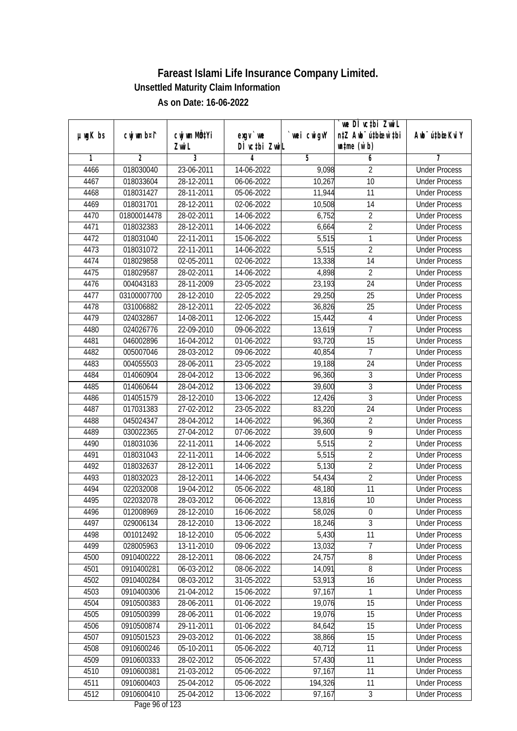| $µ$ ug $K$ bs | cwj wm b¤i^    | cwj wm MQtYi | $exgV$ we        | wei cwigvY | we DI vctbi ZwiL<br>n‡Z Awb <sup>-</sup> ú‡bioar`‡bi | Awb <sup>-</sup> ú‡bioeKviY |
|---------------|----------------|--------------|------------------|------------|------------------------------------------------------|-----------------------------|
|               |                | Zwi L        | DÌ vctbi ZwiL    |            | $\n  untime\n  (u`b)\n$                              |                             |
| 1             | $\overline{2}$ | 3            | 4                | 5          | 6                                                    | 7                           |
| 4466          | 018030040      | 23-06-2011   | 14-06-2022       | 9,098      | $\overline{2}$                                       | <b>Under Process</b>        |
| 4467          | 018033604      | 28-12-2011   | $06 - 06 - 2022$ | 10,267     | $\overline{10}$                                      | <b>Under Process</b>        |
| 4468          | 018031427      | 28-11-2011   | 05-06-2022       | 11,944     | 11                                                   | <b>Under Process</b>        |
| 4469          | 018031701      | 28-12-2011   | 02-06-2022       | 10,508     | 14                                                   | <b>Under Process</b>        |
| 4470          | 01800014478    | 28-02-2011   | 14-06-2022       | 6,752      | $\overline{2}$                                       | <b>Under Process</b>        |
| 4471          | 018032383      | 28-12-2011   | 14-06-2022       | 6,664      | $\overline{2}$                                       | <b>Under Process</b>        |
| 4472          | 018031040      | 22-11-2011   | $15-06-2022$     | 5,515      | 1                                                    | <b>Under Process</b>        |
| 4473          | 018031072      | 22-11-2011   | 14-06-2022       | 5,515      | $\overline{2}$                                       | <b>Under Process</b>        |
| 4474          | 018029858      | 02-05-2011   | 02-06-2022       | 13,338     | 14                                                   | <b>Under Process</b>        |
| 4475          | 018029587      | 28-02-2011   | 14-06-2022       | 4,898      | $\overline{2}$                                       | <b>Under Process</b>        |
| 4476          | 004043183      | 28-11-2009   | 23-05-2022       | 23,193     | $\overline{24}$                                      | <b>Under Process</b>        |
| 4477          | 03100007700    | 28-12-2010   | 22-05-2022       | 29,250     | 25                                                   | <b>Under Process</b>        |
| 4478          | 031006882      | 28-12-2011   | 22-05-2022       | 36,826     | $\overline{25}$                                      | <b>Under Process</b>        |
| 4479          | 024032867      | 14-08-2011   | 12-06-2022       | 15,442     | $\overline{4}$                                       | <b>Under Process</b>        |
| 4480          | 024026776      | 22-09-2010   | 09-06-2022       | 13,619     | $\overline{1}$                                       | <b>Under Process</b>        |
| 4481          | 046002896      | 16-04-2012   | 01-06-2022       | 93,720     | 15                                                   | <b>Under Process</b>        |
| 4482          | 005007046      | 28-03-2012   | 09-06-2022       | 40,854     | $\overline{7}$                                       | <b>Under Process</b>        |
| 4483          | 004055503      | 28-06-2011   | 23-05-2022       | 19,188     | 24                                                   | <b>Under Process</b>        |
| 4484          | 014060904      | 28-04-2012   | 13-06-2022       | 96,360     | 3                                                    | <b>Under Process</b>        |
| 4485          | 014060644      | 28-04-2012   | 13-06-2022       | 39,600     | 3                                                    | <b>Under Process</b>        |
| 4486          | 014051579      | 28-12-2010   | 13-06-2022       | 12,426     | $\overline{3}$                                       | <b>Under Process</b>        |
| 4487          | 017031383      | 27-02-2012   | 23-05-2022       | 83,220     | 24                                                   | <b>Under Process</b>        |
| 4488          | 045024347      | 28-04-2012   | 14-06-2022       | 96,360     | $\overline{2}$                                       | <b>Under Process</b>        |
| 4489          | 030022365      | 27-04-2012   | 07-06-2022       | 39,600     | $\overline{9}$                                       | <b>Under Process</b>        |
| 4490          | 018031036      | 22-11-2011   | 14-06-2022       | 5,515      | $\overline{2}$                                       | <b>Under Process</b>        |
| 4491          | 018031043      | 22-11-2011   | 14-06-2022       | 5,515      | $\overline{2}$                                       | <b>Under Process</b>        |
| 4492          | 018032637      | 28-12-2011   | 14-06-2022       | 5,130      | $\overline{2}$                                       | <b>Under Process</b>        |
| 4493          | 018032023      | 28-12-2011   | 14-06-2022       | 54,434     | $\overline{2}$                                       | <b>Under Process</b>        |
| 4494          | 022032008      | 19-04-2012   | 05-06-2022       | 48,180     | 11                                                   | <b>Under Process</b>        |
| 4495          | 022032078      | 28-03-2012   | 06-06-2022       | 13,816     | 10                                                   | <b>Under Process</b>        |
| 4496          | 012008969      | 28-12-2010   | 16-06-2022       | 58,026     | $\boldsymbol{0}$                                     | <b>Under Process</b>        |
| 4497          | 029006134      | 28-12-2010   | 13-06-2022       | 18,246     | 3                                                    | <b>Under Process</b>        |
| 4498          | 001012492      | 18-12-2010   | 05-06-2022       | 5,430      | 11                                                   | <b>Under Process</b>        |
| 4499          | 028005963      | 13-11-2010   | 09-06-2022       | 13,032     | $\overline{7}$                                       | <b>Under Process</b>        |
| 4500          | 0910400222     | 28-12-2011   | 08-06-2022       | 24,757     | 8                                                    | <b>Under Process</b>        |
| 4501          | 0910400281     | 06-03-2012   | 08-06-2022       | 14,091     | 8                                                    | <b>Under Process</b>        |
| 4502          | 0910400284     | 08-03-2012   | 31-05-2022       | 53,913     | 16                                                   | <b>Under Process</b>        |
| 4503          | 0910400306     | 21-04-2012   | 15-06-2022       | 97,167     | 1                                                    | <b>Under Process</b>        |
| 4504          | 0910500383     | 28-06-2011   | 01-06-2022       | 19,076     | 15                                                   | <b>Under Process</b>        |
| 4505          | 0910500399     | 28-06-2011   | 01-06-2022       | 19,076     | 15                                                   | <b>Under Process</b>        |
| 4506          | 0910500874     | 29-11-2011   | 01-06-2022       | 84,642     | 15                                                   | <b>Under Process</b>        |
| 4507          | 0910501523     | 29-03-2012   | 01-06-2022       | 38,866     | 15                                                   | <b>Under Process</b>        |
| 4508          | 0910600246     | 05-10-2011   | 05-06-2022       | 40,712     | 11                                                   | <b>Under Process</b>        |
| 4509          | 0910600333     | 28-02-2012   | 05-06-2022       | 57,430     | 11                                                   | <b>Under Process</b>        |
| 4510          | 0910600381     | 21-03-2012   | 05-06-2022       | 97,167     | 11                                                   | <b>Under Process</b>        |
| 4511          | 0910600403     | 25-04-2012   | 05-06-2022       | 194,326    | 11                                                   | <b>Under Process</b>        |
| 4512          | 0910600410     | 25-04-2012   | 13-06-2022       | 97,167     | $\overline{3}$                                       | <b>Under Process</b>        |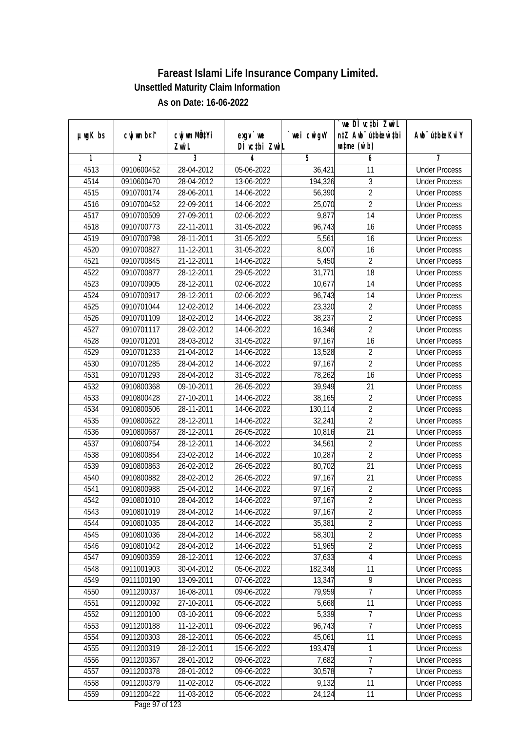|               |                |                           |                  |             | we DI vctbi ZwiL                 |                             |
|---------------|----------------|---------------------------|------------------|-------------|----------------------------------|-----------------------------|
| $µ$ ug $K$ bs | cwj wm b¤i^    | cwj wm MQ <sup>1</sup> Yi | $exgV$ we        | `wei cwigvY | n‡Z Awb <sup>-</sup> ú‡bioar`‡bi | Awb <sup>-</sup> ú‡bioeKviY |
|               |                | Zwi L                     | DÌ vctbi ZwiL    |             | $\n  untime\n  (u`b)\n$          |                             |
| 1             | $\overline{2}$ | 3                         | 4                | 5           | 6                                | 7                           |
| 4513          | 0910600452     | 28-04-2012                | 05-06-2022       | 36,421      | 11                               | <b>Under Process</b>        |
| 4514          | 0910600470     | 28-04-2012                | 13-06-2022       | 194,326     | 3                                | <b>Under Process</b>        |
| 4515          | 0910700174     | 28-06-2011                | 14-06-2022       | 56,390      | $\overline{2}$                   | <b>Under Process</b>        |
| 4516          | 0910700452     | 22-09-2011                | 14-06-2022       | 25,070      | $\overline{2}$                   | <b>Under Process</b>        |
| 4517          | 0910700509     | 27-09-2011                | 02-06-2022       | 9,877       | $\overline{14}$                  | <b>Under Process</b>        |
| 4518          | 0910700773     | 22-11-2011                | 31-05-2022       | 96,743      | 16                               | <b>Under Process</b>        |
| 4519          | 0910700798     | 28-11-2011                | $31 - 05 - 2022$ | 5,561       | 16                               | <b>Under Process</b>        |
| 4520          | 0910700827     | 11-12-2011                | 31-05-2022       | 8,007       | 16                               | <b>Under Process</b>        |
| 4521          | 0910700845     | 21-12-2011                | 14-06-2022       | 5,450       | $\overline{2}$                   | <b>Under Process</b>        |
| 4522          | 0910700877     | 28-12-2011                | 29-05-2022       | 31,771      | 18                               | <b>Under Process</b>        |
| 4523          | 0910700905     | 28-12-2011                | 02-06-2022       | 10,677      | $\overline{14}$                  | <b>Under Process</b>        |
| 4524          | 0910700917     | 28-12-2011                | 02-06-2022       | 96,743      | 14                               | <b>Under Process</b>        |
| 4525          | 0910701044     | 12-02-2012                | 14-06-2022       | 23,320      | $\overline{2}$                   | <b>Under Process</b>        |
| 4526          | 0910701109     | 18-02-2012                | 14-06-2022       | 38,237      | $\overline{2}$                   | <b>Under Process</b>        |
| 4527          | 0910701117     | 28-02-2012                | 14-06-2022       | 16,346      | $\overline{2}$                   | <b>Under Process</b>        |
| 4528          | 0910701201     | 28-03-2012                | 31-05-2022       | 97,167      | 16                               | <b>Under Process</b>        |
| 4529          | 0910701233     | 21-04-2012                | 14-06-2022       | 13,528      | $\sqrt{2}$                       | <b>Under Process</b>        |
| 4530          | 0910701285     | 28-04-2012                | 14-06-2022       | 97,167      | $\overline{2}$                   | <b>Under Process</b>        |
| 4531          | 0910701293     | 28-04-2012                | 31-05-2022       | 78,262      | 16                               | <b>Under Process</b>        |
| 4532          | 0910800368     | $\overline{09}$ -10-2011  | 26-05-2022       | 39,949      | 21                               | <b>Under Process</b>        |
| 4533          | 0910800428     | 27-10-2011                | 14-06-2022       | 38,165      | $\overline{2}$                   | <b>Under Process</b>        |
| 4534          | 0910800506     | 28-11-2011                | 14-06-2022       | 130,114     | $\overline{2}$                   | <b>Under Process</b>        |
| 4535          | 0910800622     | 28-12-2011                | 14-06-2022       | 32,241      | $\overline{2}$                   | <b>Under Process</b>        |
| 4536          | 0910800687     | 28-12-2011                | 26-05-2022       | 10,816      | 21                               | <b>Under Process</b>        |
| 4537          | 0910800754     | 28-12-2011                | 14-06-2022       | 34,561      | $\sqrt{2}$                       | <b>Under Process</b>        |
| 4538          | 0910800854     | 23-02-2012                | 14-06-2022       | 10,287      | $\overline{2}$                   | <b>Under Process</b>        |
| 4539          | 0910800863     | 26-02-2012                | 26-05-2022       | 80,702      | 21                               | <b>Under Process</b>        |
| 4540          | 0910800882     | 28-02-2012                | 26-05-2022       | 97,167      | $\overline{21}$                  | <b>Under Process</b>        |
| 4541          | 0910800988     | 25-04-2012                | 14-06-2022       | 97,167      | $\overline{2}$                   | <b>Under Process</b>        |
| 4542          | 0910801010     | 28-04-2012                | 14-06-2022       | 97,167      | $\overline{2}$                   | <b>Under Process</b>        |
| 4543          | 0910801019     | 28-04-2012                | 14-06-2022       | 97,167      | 2                                | <b>Under Process</b>        |
| 4544          | 0910801035     | 28-04-2012                | 14-06-2022       | 35,381      | $\overline{2}$                   | <b>Under Process</b>        |
| 4545          | 0910801036     | 28-04-2012                | 14-06-2022       | 58,301      | $\overline{2}$                   | <b>Under Process</b>        |
| 4546          | 0910801042     | 28-04-2012                | 14-06-2022       | 51,965      | $\overline{2}$                   | <b>Under Process</b>        |
| 4547          | 0910900359     | 28-12-2011                | 12-06-2022       | 37,633      | $\sqrt{4}$                       | <b>Under Process</b>        |
| 4548          | 0911001903     | 30-04-2012                | 05-06-2022       | 182,348     | 11                               | <b>Under Process</b>        |
| 4549          | 0911100190     | 13-09-2011                | 07-06-2022       | 13,347      | $\overline{9}$                   | <b>Under Process</b>        |
| 4550          | 0911200037     | 16-08-2011                | 09-06-2022       | 79,959      | $\overline{7}$                   | <b>Under Process</b>        |
| 4551          | 0911200092     | 27-10-2011                | 05-06-2022       | 5,668       | 11                               | <b>Under Process</b>        |
| 4552          | 0911200100     | 03-10-2011                | 09-06-2022       | 5,339       | $\overline{7}$                   | <b>Under Process</b>        |
| 4553          | 0911200188     | 11-12-2011                | 09-06-2022       | 96,743      | 7                                | <b>Under Process</b>        |
| 4554          | 0911200303     | 28-12-2011                | 05-06-2022       | 45,061      | 11                               | <b>Under Process</b>        |
| 4555          | 0911200319     | 28-12-2011                | 15-06-2022       | 193,479     | 1                                | <b>Under Process</b>        |
| 4556          | 0911200367     | 28-01-2012                | 09-06-2022       | 7,682       | $\overline{7}$                   | <b>Under Process</b>        |
| 4557          | 0911200378     | 28-01-2012                | 09-06-2022       | 30,578      | 7                                | <b>Under Process</b>        |
| 4558          | 0911200379     | 11-02-2012                | 05-06-2022       | 9,132       | 11                               | <b>Under Process</b>        |
| 4559          | 0911200422     | 11-03-2012                | 05-06-2022       | 24, 124     | 11                               | <b>Under Process</b>        |
|               |                |                           |                  |             |                                  |                             |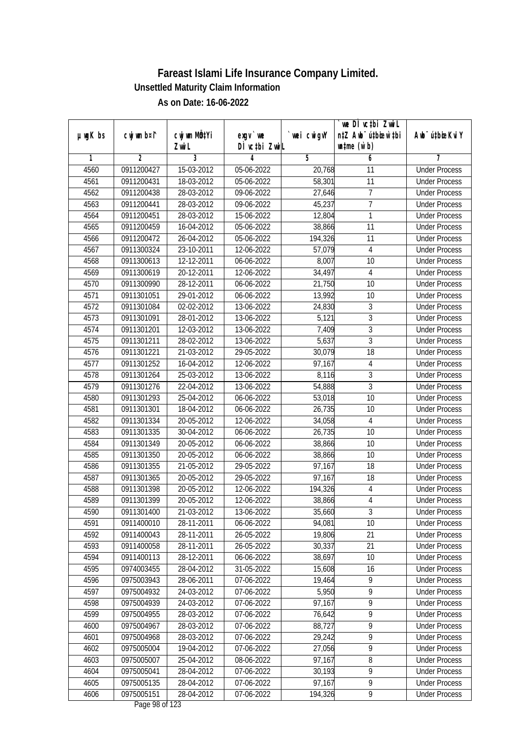|               |                |                       |                            |            | we DI vctbi ZwiL                                            |                             |
|---------------|----------------|-----------------------|----------------------------|------------|-------------------------------------------------------------|-----------------------------|
| $µ$ ug $K$ bs | cwj wm b¤i^    | cwj wm MÖ¢Yi<br>Zwi L | $exgV$ we<br>DÌ vctbi ZwiL | wei cwigvY | n‡Z Awb <sup>-</sup> ú‡bicen`‡bi<br>$\n  untime\n  (u`b)\n$ | Awb <sup>-</sup> ú‡bioeKviY |
| 1             | $\overline{2}$ | 3                     | 4                          | 5          | 6                                                           | 7                           |
| 4560          | 0911200427     | 15-03-2012            | 05-06-2022                 | 20,768     | 11                                                          | <b>Under Process</b>        |
| 4561          | 0911200431     | 18-03-2012            | 05-06-2022                 | 58,301     | 11                                                          | <b>Under Process</b>        |
| 4562          | 0911200438     | 28-03-2012            | 09-06-2022                 | 27,646     | 7                                                           | <b>Under Process</b>        |
| 4563          | 0911200441     | 28-03-2012            | 09-06-2022                 | 45,237     | $\overline{7}$                                              | <b>Under Process</b>        |
| 4564          | 0911200451     | 28-03-2012            | 15-06-2022                 | 12,804     | 1                                                           | <b>Under Process</b>        |
| 4565          | 0911200459     | 16-04-2012            | 05-06-2022                 | 38,866     | $\overline{11}$                                             | <b>Under Process</b>        |
| 4566          | 0911200472     | 26-04-2012            | 05-06-2022                 | 194,326    | 11                                                          | <b>Under Process</b>        |
| 4567          | 0911300324     | 23-10-2011            | 12-06-2022                 | 57,079     | 4                                                           | <b>Under Process</b>        |
| 4568          | 0911300613     | 12-12-2011            | 06-06-2022                 | 8,007      | 10                                                          | <b>Under Process</b>        |
| 4569          | 0911300619     | 20-12-2011            | 12-06-2022                 | 34,497     | $\overline{4}$                                              | <b>Under Process</b>        |
| 4570          | 0911300990     | 28-12-2011            | 06-06-2022                 | 21,750     | $\overline{10}$                                             | <b>Under Process</b>        |
| 4571          | 0911301051     | 29-01-2012            | 06-06-2022                 | 13,992     | 10                                                          | <b>Under Process</b>        |
| 4572          | 0911301084     | 02-02-2012            | 13-06-2022                 | 24,830     | $\overline{3}$                                              | <b>Under Process</b>        |
| 4573          | 0911301091     | 28-01-2012            | 13-06-2022                 | 5,121      | $\sqrt{3}$                                                  | <b>Under Process</b>        |
| 4574          | 0911301201     | 12-03-2012            | 13-06-2022                 | 7,409      | $\overline{3}$                                              | <b>Under Process</b>        |
| 4575          | 0911301211     | 28-02-2012            | 13-06-2022                 | 5,637      | $\overline{3}$                                              | <b>Under Process</b>        |
| 4576          | 0911301221     | 21-03-2012            | 29-05-2022                 | 30,079     | 18                                                          | <b>Under Process</b>        |
| 4577          | 0911301252     | 16-04-2012            | 12-06-2022                 | 97,167     | $\overline{4}$                                              | <b>Under Process</b>        |
| 4578          | 0911301264     | 25-03-2012            | 13-06-2022                 | 8,116      | $\mathfrak{Z}$                                              | <b>Under Process</b>        |
| 4579          | 0911301276     | 22-04-2012            | 13-06-2022                 | 54,888     | 3                                                           | <b>Under Process</b>        |
| 4580          | 0911301293     | 25-04-2012            | 06-06-2022                 | 53,018     | 10                                                          | <b>Under Process</b>        |
| 4581          | 0911301301     | 18-04-2012            | 06-06-2022                 | 26,735     | 10                                                          | <b>Under Process</b>        |
| 4582          | 0911301334     | 20-05-2012            | 12-06-2022                 | 34,058     | $\overline{4}$                                              | <b>Under Process</b>        |
| 4583          | 0911301335     | 30-04-2012            | 06-06-2022                 | 26,735     | 10                                                          | <b>Under Process</b>        |
| 4584          | 0911301349     | 20-05-2012            | 06-06-2022                 | 38,866     | 10                                                          | <b>Under Process</b>        |
| 4585          | 0911301350     | 20-05-2012            | 06-06-2022                 | 38,866     | 10                                                          | <b>Under Process</b>        |
| 4586          | 0911301355     | 21-05-2012            | 29-05-2022                 | 97,167     | 18                                                          | <b>Under Process</b>        |
| 4587          | 0911301365     | 20-05-2012            | 29-05-2022                 | 97,167     | 18                                                          | <b>Under Process</b>        |
| 4588          | 0911301398     | 20-05-2012            | 12-06-2022                 | 194,326    | $\overline{4}$                                              | <b>Under Process</b>        |
| 4589          | 0911301399     | 20-05-2012            | 12-06-2022                 | 38,866     | $\overline{4}$                                              | <b>Under Process</b>        |
| 4590          | 0911301400     | 21-03-2012            | 13-06-2022                 | 35,660     | 3                                                           | <b>Under Process</b>        |
| 4591          | 0911400010     | 28-11-2011            | 06-06-2022                 | 94,081     | 10                                                          | <b>Under Process</b>        |
| 4592          | 0911400043     | 28-11-2011            | 26-05-2022                 | 19,806     | 21                                                          | <b>Under Process</b>        |
| 4593          | 0911400058     | 28-11-2011            | 26-05-2022                 | 30,337     | 21                                                          | <b>Under Process</b>        |
| 4594          | 0911400113     | 28-12-2011            | 06-06-2022                 | 38,697     | 10                                                          | <b>Under Process</b>        |
| 4595          | 0974003455     | 28-04-2012            | 31-05-2022                 | 15,608     | 16                                                          | <b>Under Process</b>        |
| 4596          | 0975003943     | 28-06-2011            | 07-06-2022                 | 19,464     | 9                                                           | <b>Under Process</b>        |
| 4597          | 0975004932     | 24-03-2012            | 07-06-2022                 | 5,950      | 9                                                           | <b>Under Process</b>        |
| 4598          | 0975004939     | 24-03-2012            | 07-06-2022                 | 97,167     | 9                                                           | <b>Under Process</b>        |
| 4599          | 0975004955     | 28-03-2012            | 07-06-2022                 | 76,642     | $\overline{9}$                                              | <b>Under Process</b>        |
| 4600          | 0975004967     | 28-03-2012            | 07-06-2022                 | 88,727     | 9                                                           | <b>Under Process</b>        |
| 4601          | 0975004968     | 28-03-2012            | 07-06-2022                 | 29,242     | $\overline{9}$                                              | <b>Under Process</b>        |
| 4602          | 0975005004     | 19-04-2012            | 07-06-2022                 | 27,056     | 9                                                           | <b>Under Process</b>        |
| 4603          | 0975005007     | 25-04-2012            | 08-06-2022                 | 97,167     | 8                                                           | <b>Under Process</b>        |
| 4604          | 0975005041     | 28-04-2012            | 07-06-2022                 | 30,193     | $\overline{9}$                                              | <b>Under Process</b>        |
| 4605          | 0975005135     | 28-04-2012            | 07-06-2022                 | 97,167     | $\overline{9}$                                              | <b>Under Process</b>        |
| 4606          | 0975005151     | 28-04-2012            |                            | 194,326    | 9                                                           |                             |
|               |                |                       | 07-06-2022                 |            |                                                             | <b>Under Process</b>        |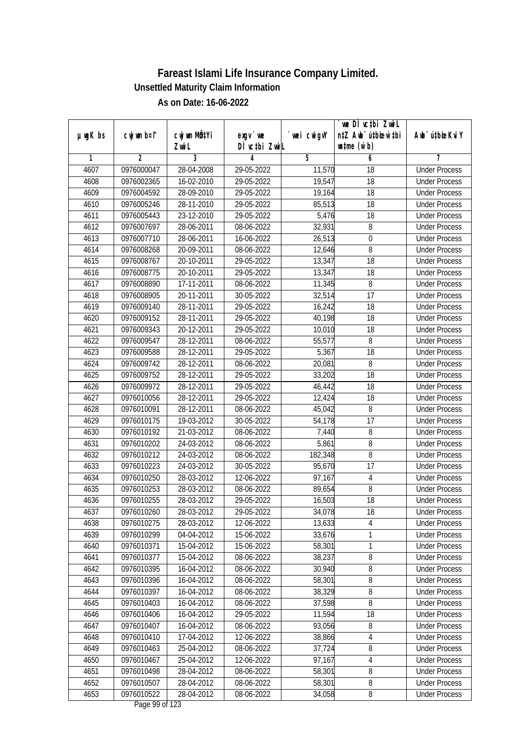|               |                |              |               |                | we DI vctbi ZwiL                 |                             |
|---------------|----------------|--------------|---------------|----------------|----------------------------------|-----------------------------|
| $µ$ ug $K$ bs | cwj wm b¤i^    | cwj wm MQtYi | exgy `we      | `wei cwigvY    | n‡Z Awb <sup>-</sup> ú‡bioar`‡bi | Awb <sup>-</sup> ú‡bioeKviY |
|               |                | Zwi L        | DÌ vctbi ZwiL |                | $\n  untime\n  (u`b)\n$          |                             |
| 1             | $\overline{2}$ | 3            | 4             | $\overline{5}$ | 6                                | 7                           |
| 4607          | 0976000047     | 28-04-2008   | 29-05-2022    | 11,570         | $\overline{18}$                  | <b>Under Process</b>        |
| 4608          | 0976002365     | 16-02-2010   | 29-05-2022    | 19,547         | 18                               | <b>Under Process</b>        |
| 4609          | 0976004592     | 28-09-2010   | 29-05-2022    | 19,164         | $\overline{18}$                  | <b>Under Process</b>        |
| 4610          | 0976005246     | 28-11-2010   | 29-05-2022    | 85,513         | 18                               | <b>Under Process</b>        |
| 4611          | 0976005443     | 23-12-2010   | 29-05-2022    | 5,476          | $\overline{18}$                  | <b>Under Process</b>        |
| 4612          | 0976007697     | 28-06-2011   | 08-06-2022    | 32,931         | 8                                | <b>Under Process</b>        |
| 4613          | 0976007710     | 28-06-2011   | 16-06-2022    | 26,513         | $\boldsymbol{0}$                 | <b>Under Process</b>        |
| 4614          | 0976008268     | 20-09-2011   | 08-06-2022    | 12,646         | $\overline{8}$                   | <b>Under Process</b>        |
| 4615          | 0976008767     | 20-10-2011   | 29-05-2022    | 13,347         | $\overline{18}$                  | <b>Under Process</b>        |
| 4616          | 0976008775     | 20-10-2011   | 29-05-2022    | 13,347         | 18                               | <b>Under Process</b>        |
| 4617          | 0976008890     | 17-11-2011   | 08-06-2022    | 11,345         | 8                                | <b>Under Process</b>        |
| 4618          | 0976008905     | 20-11-2011   | 30-05-2022    | 32,514         | 17                               | <b>Under Process</b>        |
| 4619          | 0976009140     | 28-11-2011   | 29-05-2022    | 16,242         | $\overline{18}$                  | <b>Under Process</b>        |
| 4620          | 0976009152     | 28-11-2011   | 29-05-2022    | 40,198         | 18                               | <b>Under Process</b>        |
| 4621          | 0976009343     | 20-12-2011   | 29-05-2022    | 10,010         | 18                               | <b>Under Process</b>        |
| 4622          | 0976009547     | 28-12-2011   | 08-06-2022    | 55,577         | 8                                | <b>Under Process</b>        |
| 4623          | 0976009588     | 28-12-2011   | 29-05-2022    | 5,367          | 18                               | <b>Under Process</b>        |
| 4624          | 0976009742     | 28-12-2011   | 08-06-2022    | 20,081         | 8                                | <b>Under Process</b>        |
| 4625          | 0976009752     | 28-12-2011   | 29-05-2022    | 33,202         | 18                               | <b>Under Process</b>        |
| 4626          | 0976009972     | 28-12-2011   | 29-05-2022    | 46,442         | 18                               | <b>Under Process</b>        |
| 4627          | 0976010056     | 28-12-2011   | 29-05-2022    | 12,424         | 18                               | <b>Under Process</b>        |
| 4628          | 0976010091     | 28-12-2011   | 08-06-2022    | 45,042         | 8                                | <b>Under Process</b>        |
| 4629          | 0976010175     | 19-03-2012   | 30-05-2022    | 54,178         | 17                               | <b>Under Process</b>        |
| 4630          | 0976010192     | 21-03-2012   | 08-06-2022    | 7,440          | 8                                | <b>Under Process</b>        |
| 4631          | 0976010202     | 24-03-2012   | 08-06-2022    | 5,861          | 8                                | <b>Under Process</b>        |
| 4632          | 0976010212     | 24-03-2012   | 08-06-2022    | 182,348        | 8                                | <b>Under Process</b>        |
| 4633          | 0976010223     | 24-03-2012   | 30-05-2022    | 95,670         | 17                               | <b>Under Process</b>        |
| 4634          | 0976010250     | 28-03-2012   | 12-06-2022    | 97,167         | $\overline{4}$                   | <b>Under Process</b>        |
| 4635          | 0976010253     | 28-03-2012   | 08-06-2022    | 89,654         | $\overline{8}$                   | <b>Under Process</b>        |
| 4636          | 0976010255     | 28-03-2012   | 29-05-2022    | 16,503         | 18                               | <b>Under Process</b>        |
| 4637          | 0976010260     | 28-03-2012   | 29-05-2022    | 34,078         | 18                               | <b>Under Process</b>        |
| 4638          | 0976010275     | 28-03-2012   | 12-06-2022    | 13,633         | 4                                | <b>Under Process</b>        |
| 4639          | 0976010299     | 04-04-2012   | 15-06-2022    | 33,676         | 1                                | <b>Under Process</b>        |
| 4640          | 0976010371     | 15-04-2012   | 15-06-2022    | 58,301         | 1                                | <b>Under Process</b>        |
| 4641          | 0976010377     | 15-04-2012   | 08-06-2022    | 38,237         | 8                                | <b>Under Process</b>        |
| 4642          | 0976010395     | 16-04-2012   | 08-06-2022    | 30,940         | 8                                | <b>Under Process</b>        |
| 4643          | 0976010396     | 16-04-2012   | 08-06-2022    | 58,301         | 8                                | <b>Under Process</b>        |
| 4644          | 0976010397     | 16-04-2012   | 08-06-2022    | 38,329         | 8                                | <b>Under Process</b>        |
| 4645          | 0976010403     | 16-04-2012   | 08-06-2022    | 37,598         | $\overline{8}$                   | <b>Under Process</b>        |
| 4646          | 0976010406     | 16-04-2012   | 29-05-2022    | 11,594         | 18                               | <b>Under Process</b>        |
| 4647          | 0976010407     | 16-04-2012   | 08-06-2022    | 93,056         | 8                                | <b>Under Process</b>        |
| 4648          | 0976010410     | 17-04-2012   | 12-06-2022    | 38,866         | 4                                | <b>Under Process</b>        |
| 4649          | 0976010463     | 25-04-2012   | 08-06-2022    | 37,724         | 8                                | <b>Under Process</b>        |
| 4650          | 0976010467     | 25-04-2012   | 12-06-2022    | 97,167         | $\sqrt{4}$                       | <b>Under Process</b>        |
| 4651          | 0976010498     | 28-04-2012   | 08-06-2022    | 58,301         | 8                                | <b>Under Process</b>        |
| 4652          | 0976010507     | 28-04-2012   | 08-06-2022    | 58,301         | 8                                | <b>Under Process</b>        |
| 4653          | 0976010522     | 28-04-2012   | 08-06-2022    | 34,058         | 8                                | <b>Under Process</b>        |
|               |                |              |               |                |                                  |                             |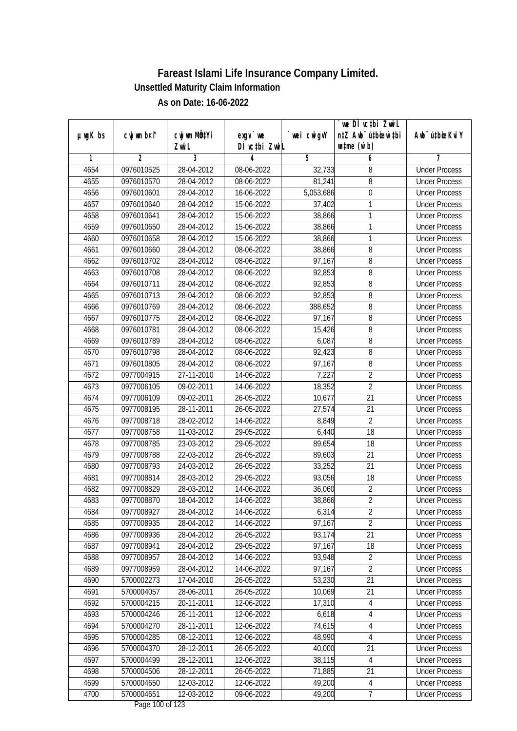|               | cwj wm b¤i^ | cwj wm MÖ¢Yi |                                     | wei cwigvY          | we DI vctbi ZwiL<br>n‡Z Awb <sup>-</sup> ú‡bioen`‡bi | Awb <sup>-</sup> ú‡bioeKviY |
|---------------|-------------|--------------|-------------------------------------|---------------------|------------------------------------------------------|-----------------------------|
| $µ$ ug $K$ bs |             | Zwi L        | $exgV$ we<br>DÌ vctbi ZwiL          |                     | $\n  untime\n  (u`b)\n$                              |                             |
| 1             | 2           | 3            | 4                                   | 5                   | 6                                                    | 7                           |
| 4654          | 0976010525  | 28-04-2012   | 08-06-2022                          | 32,733              | 8                                                    | <b>Under Process</b>        |
| 4655          | 0976010570  | 28-04-2012   | 08-06-2022                          | 81,241              | 8                                                    | <b>Under Process</b>        |
| 4656          | 0976010601  | 28-04-2012   | 16-06-2022                          | 5,053,686           | $\overline{0}$                                       | <b>Under Process</b>        |
| 4657          | 0976010640  | 28-04-2012   | 15-06-2022                          | 37,402              | $\mathbf{1}$                                         | <b>Under Process</b>        |
| 4658          | 0976010641  | 28-04-2012   | 15-06-2022                          | 38,866              | $\mathbf{1}$                                         | <b>Under Process</b>        |
| 4659          | 0976010650  | 28-04-2012   | 15-06-2022                          | 38,866              | 1                                                    | <b>Under Process</b>        |
| 4660          | 0976010658  | 28-04-2012   | 15-06-2022                          | 38,866              | 1                                                    | <b>Under Process</b>        |
| 4661          | 0976010660  | 28-04-2012   | 08-06-2022                          | 38,866              | 8                                                    | <b>Under Process</b>        |
| 4662          | 0976010702  | 28-04-2012   | 08-06-2022                          | 97,167              | 8                                                    | <b>Under Process</b>        |
| 4663          | 0976010708  | 28-04-2012   | 08-06-2022                          | 92,853              | $\, 8$                                               | <b>Under Process</b>        |
| 4664          | 0976010711  | 28-04-2012   | 08-06-2022                          | 92,853              | 8                                                    | <b>Under Process</b>        |
| 4665          | 0976010713  | 28-04-2012   | 08-06-2022                          | $\overline{92,853}$ | 8                                                    | <b>Under Process</b>        |
| 4666          | 0976010769  | 28-04-2012   | 08-06-2022                          | 388,652             | 8                                                    | <b>Under Process</b>        |
| 4667          | 0976010775  | 28-04-2012   | 08-06-2022                          | 97,167              | 8                                                    | <b>Under Process</b>        |
| 4668          | 0976010781  | 28-04-2012   | 08-06-2022                          | 15,426              | 8                                                    | <b>Under Process</b>        |
| 4669          | 0976010789  | 28-04-2012   | 08-06-2022                          | 6,087               | 8                                                    | <b>Under Process</b>        |
| 4670          | 0976010798  | 28-04-2012   | 08-06-2022                          | 92,423              | 8                                                    | <b>Under Process</b>        |
| 4671          | 0976010805  | 28-04-2012   | 08-06-2022                          | 97,167              | 8                                                    | <b>Under Process</b>        |
| 4672          | 0977004915  | 27-11-2010   | 14-06-2022                          | 7,227               | $\overline{2}$                                       | <b>Under Process</b>        |
| 4673          | 0977006105  | 09-02-2011   | 14-06-2022                          | 18,352              | $\overline{2}$                                       | <b>Under Process</b>        |
| 4674          | 0977006109  | 09-02-2011   | 26-05-2022                          | 10,677              | 21                                                   | <b>Under Process</b>        |
| 4675          | 0977008195  | 28-11-2011   | 26-05-2022                          | 27,574              | 21                                                   | <b>Under Process</b>        |
| 4676          | 0977008718  | 28-02-2012   | 14-06-2022                          | 8,849               | $\overline{2}$                                       | <b>Under Process</b>        |
| 4677          | 0977008758  | 11-03-2012   | 29-05-2022                          | 6,440               | 18                                                   | <b>Under Process</b>        |
| 4678          | 0977008785  | 23-03-2012   | 29-05-2022                          | 89,654              | 18                                                   | <b>Under Process</b>        |
| 4679          | 0977008788  | 22-03-2012   | 26-05-2022                          | 89,603              | 21                                                   | <b>Under Process</b>        |
| 4680          | 0977008793  | 24-03-2012   | 26-05-2022                          | 33,252              | 21                                                   | <b>Under Process</b>        |
| 4681          | 0977008814  | 28-03-2012   | 29-05-2022                          | 93,056              | 18                                                   | <b>Under Process</b>        |
| 4682          | 0977008829  | 28-03-2012   | 14-06-2022                          | 36,060              | $\overline{2}$                                       | <b>Under Process</b>        |
| 4683          | 0977008870  | 18-04-2012   | 14-06-2022                          | 38,866              | $\overline{2}$                                       | <b>Under Process</b>        |
| 4684          | 0977008927  | 28-04-2012   | 14-06-2022                          | 6,314               | 2                                                    | <b>Under Process</b>        |
| 4685          | 0977008935  | 28-04-2012   | 14-06-2022                          | 97,167              | $\overline{2}$                                       | <b>Under Process</b>        |
| 4686          | 0977008936  | 28-04-2012   | 26-05-2022                          | 93,174              | 21                                                   | <b>Under Process</b>        |
| 4687          | 0977008941  | 28-04-2012   | 29-05-2022                          | 97,167              | 18                                                   | <b>Under Process</b>        |
| 4688          | 0977008957  | 28-04-2012   | 14-06-2022                          | 93,948              | $\sqrt{2}$                                           | <b>Under Process</b>        |
| 4689          | 0977008959  | 28-04-2012   | 14-06-2022                          | 97,167              | $\overline{2}$                                       | <b>Under Process</b>        |
| 4690          | 5700002273  | 17-04-2010   | 26-05-2022                          | 53,230              | 21                                                   | <b>Under Process</b>        |
| 4691          | 5700004057  | 28-06-2011   | 26-05-2022                          | 10,069              | 21                                                   | <b>Under Process</b>        |
| 4692          | 5700004215  | 20-11-2011   | 12-06-2022                          | 17,310              | 4                                                    | <b>Under Process</b>        |
| 4693          | 5700004246  | 26-11-2011   | 12-06-2022                          | 6,618               | $\overline{4}$                                       | <b>Under Process</b>        |
| 4694          | 5700004270  | 28-11-2011   | 12-06-2022                          | 74,615              | $\overline{4}$                                       | <b>Under Process</b>        |
| 4695          | 5700004285  | 08-12-2011   | 12-06-2022                          | 48,990              | $\overline{4}$                                       | <b>Under Process</b>        |
| 4696          | 5700004370  | 28-12-2011   | 26-05-2022                          | 40,000              | 21                                                   | <b>Under Process</b>        |
| 4697          | 5700004499  | 28-12-2011   | 12-06-2022                          | 38,115              | $\overline{4}$                                       | <b>Under Process</b>        |
| 4698          | 5700004506  | 28-12-2011   | 26-05-2022                          | 71,885              | 21                                                   | <b>Under Process</b>        |
| 4699          | 5700004650  | 12-03-2012   | 12-06-2022                          | 49,200              | $\overline{4}$                                       | <b>Under Process</b>        |
| 4700          | 5700004651  | 12-03-2012   | 09-06-2022<br>$D_{0.92}$ 100 of 122 | 49,200              | 7                                                    | <b>Under Process</b>        |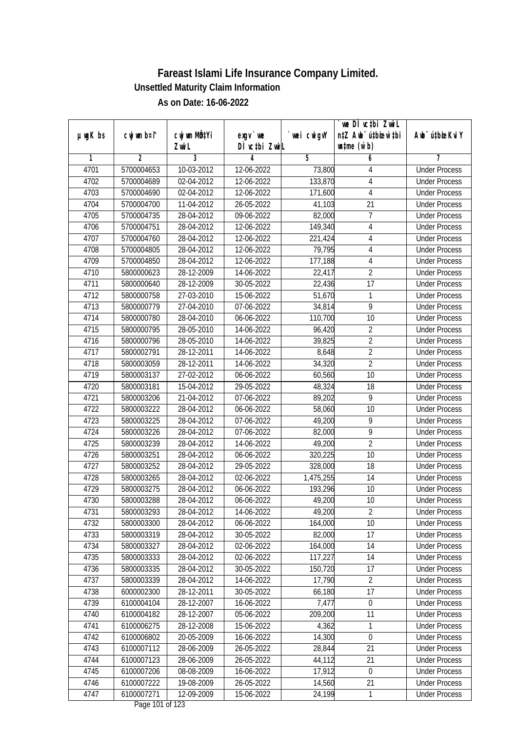|               |                |                           |                  |             | we DI vctbi ZwiL                 |                             |
|---------------|----------------|---------------------------|------------------|-------------|----------------------------------|-----------------------------|
| $µ$ ug $K$ bs | cwj wm b¤i^    | cwj wm MQ <sup>1</sup> Yi | $exgV$ we        | `wei cwigvY | n‡Z Awb <sup>-</sup> ú‡bicen`‡bi | Awb <sup>-</sup> ú‡bioeKviY |
|               |                | Zwi L                     | DÌ vctbi ZwiL    |             | $\n  untime\n  (u`b)\n$          |                             |
| 1             | $\overline{2}$ | 3                         | 4                | 5           | 6                                | 7                           |
| 4701          | 5700004653     | 10-03-2012                | 12-06-2022       | 73,800      | 4                                | <b>Under Process</b>        |
| 4702          | 5700004689     | 02-04-2012                | 12-06-2022       | 133,870     | 4                                | <b>Under Process</b>        |
| 4703          | 5700004690     | 02-04-2012                | 12-06-2022       | 171,600     | $\overline{4}$                   | <b>Under Process</b>        |
| 4704          | 5700004700     | 11-04-2012                | 26-05-2022       | 41,103      | 21                               | <b>Under Process</b>        |
| 4705          | 5700004735     | 28-04-2012                | 09-06-2022       | 82,000      | $\overline{7}$                   | <b>Under Process</b>        |
| 4706          | 5700004751     | 28-04-2012                | 12-06-2022       | 149,340     | 4                                | <b>Under Process</b>        |
| 4707          | 5700004760     | 28-04-2012                | 12-06-2022       | 221,424     | 4                                | <b>Under Process</b>        |
| 4708          | 5700004805     | 28-04-2012                | 12-06-2022       | 79,795      | 4                                | <b>Under Process</b>        |
| 4709          | 5700004850     | 28-04-2012                | 12-06-2022       | 177,188     | $\sqrt{4}$                       | <b>Under Process</b>        |
| 4710          | 5800000623     | 28-12-2009                | 14-06-2022       | 22,417      | $\overline{2}$                   | <b>Under Process</b>        |
| 4711          | 5800000640     | 28-12-2009                | 30-05-2022       | 22,436      | $\overline{17}$                  | <b>Under Process</b>        |
| 4712          | 5800000758     | 27-03-2010                | 15-06-2022       | 51,670      | 1                                | <b>Under Process</b>        |
| 4713          | 5800000779     | 27-04-2010                | 07-06-2022       | 34,814      | $\overline{9}$                   | <b>Under Process</b>        |
| 4714          | 5800000780     | 28-04-2010                | $06 - 06 - 2022$ | 110,700     | 10                               | <b>Under Process</b>        |
| 4715          | 5800000795     | 28-05-2010                | 14-06-2022       | 96,420      | $\overline{2}$                   | <b>Under Process</b>        |
| 4716          | 5800000796     | 28-05-2010                | 14-06-2022       | 39,825      | $\overline{2}$                   | <b>Under Process</b>        |
| 4717          | 5800002791     | 28-12-2011                | 14-06-2022       | 8,648       | $\overline{2}$                   | <b>Under Process</b>        |
| 4718          | 5800003059     | 28-12-2011                | 14-06-2022       | 34,320      | $\overline{2}$                   | <b>Under Process</b>        |
| 4719          | 5800003137     | 27-02-2012                | 06-06-2022       | 60,560      | 10                               | <b>Under Process</b>        |
| 4720          | 5800003181     | 15-04-2012                | 29-05-2022       | 48,324      | 18                               | <b>Under Process</b>        |
| 4721          | 5800003206     | 21-04-2012                | 07-06-2022       | 89,202      | 9                                | <b>Under Process</b>        |
| 4722          | 5800003222     | 28-04-2012                | 06-06-2022       | 58,060      | 10                               | <b>Under Process</b>        |
| 4723          | 5800003225     | 28-04-2012                | 07-06-2022       | 49,200      | 9                                | <b>Under Process</b>        |
| 4724          | 5800003226     | 28-04-2012                | 07-06-2022       | 82,000      | 9                                | <b>Under Process</b>        |
| 4725          | 5800003239     | 28-04-2012                | 14-06-2022       | 49,200      | $\overline{2}$                   | <b>Under Process</b>        |
| 4726          | 5800003251     | 28-04-2012                | 06-06-2022       | 320,225     | 10                               | <b>Under Process</b>        |
| 4727          | 5800003252     | 28-04-2012                | 29-05-2022       | 328,000     | 18                               | <b>Under Process</b>        |
| 4728          | 5800003265     | 28-04-2012                | 02-06-2022       | 1,475,255   | 14                               | <b>Under Process</b>        |
| 4729          | 5800003275     | 28-04-2012                | 06-06-2022       | 193,296     | 10                               | <b>Under Process</b>        |
| 4730          | 5800003288     | 28-04-2012                | 06-06-2022       | 49,200      | 10                               | <b>Under Process</b>        |
| 4731          | 5800003293     | 28-04-2012                | 14-06-2022       | 49,200      | $\overline{2}$                   | <b>Under Process</b>        |
| 4732          | 5800003300     | 28-04-2012                | 06-06-2022       | 164,000     | 10                               | <b>Under Process</b>        |
| 4733          | 5800003319     | 28-04-2012                | 30-05-2022       | 82,000      | 17                               | <b>Under Process</b>        |
| 4734          | 5800003327     | 28-04-2012                | 02-06-2022       | 164,000     | 14                               | <b>Under Process</b>        |
| 4735          | 5800003333     | 28-04-2012                | 02-06-2022       | 117,227     | 14                               | <b>Under Process</b>        |
| 4736          | 5800003335     | 28-04-2012                | 30-05-2022       | 150,720     | 17                               | <b>Under Process</b>        |
| 4737          | 5800003339     | 28-04-2012                | 14-06-2022       | 17,790      | $\overline{2}$                   | <b>Under Process</b>        |
| 4738          | 6000002300     | 28-12-2011                | 30-05-2022       | 66,180      | 17                               | <b>Under Process</b>        |
| 4739          | 6100004104     | 28-12-2007                | 16-06-2022       | 7,477       | $\boldsymbol{0}$                 | <b>Under Process</b>        |
| 4740          | 6100004182     | 28-12-2007                | 05-06-2022       | 209,200     | 11                               | <b>Under Process</b>        |
| 4741          | 6100006275     | 28-12-2008                | 15-06-2022       | 4,362       | 1                                | <b>Under Process</b>        |
| 4742          | 6100006802     | 20-05-2009                | 16-06-2022       | 14,300      | $\mathbf 0$                      | <b>Under Process</b>        |
| 4743          | 6100007112     | 28-06-2009                | 26-05-2022       | 28,844      | 21                               | <b>Under Process</b>        |
| 4744          | 6100007123     | 28-06-2009                | 26-05-2022       | 44,112      | 21                               | <b>Under Process</b>        |
| 4745          | 6100007206     | 08-08-2009                | 16-06-2022       | 17,912      | $\boldsymbol{0}$                 | <b>Under Process</b>        |
| 4746          | 6100007222     | 19-08-2009                | 26-05-2022       | 14,560      | 21                               | <b>Under Process</b>        |
| 4747          | 6100007271     | 12-09-2009                | 15-06-2022       | 24,199      | 1                                | <b>Under Process</b>        |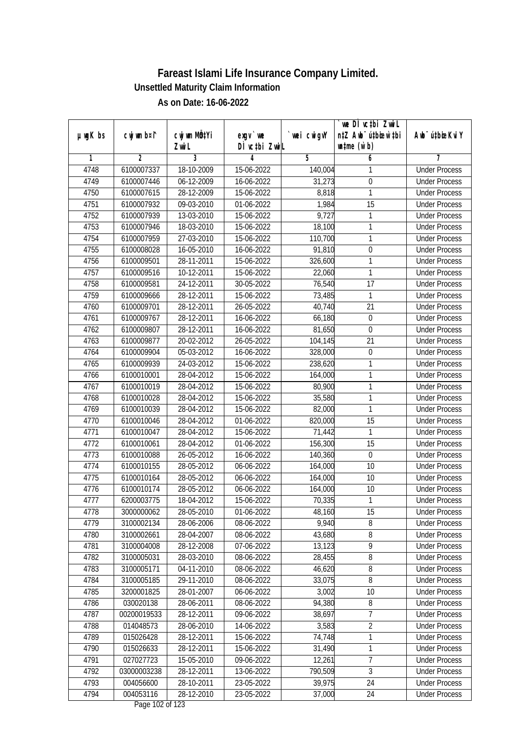| $µ$ ug $K$ bs | cwj wm b¤i^ | cwj wm MÖ¢Yi | $exgV$ we                           | wei cwigvY | we DI vctbi ZwiL<br>n‡Z Awb <sup>-</sup> ú‡bioen`‡bi | Awb <sup>-</sup> ú‡bioeKviY |
|---------------|-------------|--------------|-------------------------------------|------------|------------------------------------------------------|-----------------------------|
|               |             | Zwi L        | DÌ vctbi ZwiL                       |            | $\n  untime\n  (u`b)\n$                              |                             |
| 1             | 2           | 3            | 4                                   | 5          | 6                                                    | 7                           |
| 4748          | 6100007337  | 18-10-2009   | 15-06-2022                          | 140,004    | 1                                                    | <b>Under Process</b>        |
| 4749          | 6100007446  | 06-12-2009   | 16-06-2022                          | 31,273     | $\boldsymbol{0}$                                     | <b>Under Process</b>        |
| 4750          | 6100007615  | 28-12-2009   | 15-06-2022                          | 8,818      | $\mathbf{1}$                                         | <b>Under Process</b>        |
| 4751          | 6100007932  | 09-03-2010   | 01-06-2022                          | 1,984      | $\overline{15}$                                      | <b>Under Process</b>        |
| 4752          | 6100007939  | 13-03-2010   | 15-06-2022                          | 9,727      | 1                                                    | <b>Under Process</b>        |
| 4753          | 6100007946  | 18-03-2010   | 15-06-2022                          | 18,100     | 1                                                    | <b>Under Process</b>        |
| 4754          | 6100007959  | 27-03-2010   | 15-06-2022                          | 110,700    | 1                                                    | <b>Under Process</b>        |
| 4755          | 6100008028  | 16-05-2010   | 16-06-2022                          | 91,810     | $\boldsymbol{0}$                                     | <b>Under Process</b>        |
| 4756          | 6100009501  | 28-11-2011   | 15-06-2022                          | 326,600    | 1                                                    | <b>Under Process</b>        |
| 4757          | 6100009516  | 10-12-2011   | 15-06-2022                          | 22,060     | $\mathbf{1}$                                         | <b>Under Process</b>        |
| 4758          | 6100009581  | 24-12-2011   | 30-05-2022                          | 76,540     | $\overline{17}$                                      | <b>Under Process</b>        |
| 4759          | 6100009666  | 28-12-2011   | 15-06-2022                          | 73,485     | $\mathbf{1}$                                         | <b>Under Process</b>        |
| 4760          | 6100009701  | 28-12-2011   | 26-05-2022                          | 40,740     | $\overline{21}$                                      | <b>Under Process</b>        |
| 4761          | 6100009767  | 28-12-2011   | 16-06-2022                          | 66,180     | $\boldsymbol{0}$                                     | <b>Under Process</b>        |
| 4762          | 6100009807  | 28-12-2011   | 16-06-2022                          | 81,650     | 0                                                    | <b>Under Process</b>        |
| 4763          | 6100009877  | 20-02-2012   | 26-05-2022                          | 104,145    | 21                                                   | <b>Under Process</b>        |
| 4764          | 6100009904  | 05-03-2012   | 16-06-2022                          | 328,000    | $\boldsymbol{0}$                                     | <b>Under Process</b>        |
| 4765          | 6100009939  | 24-03-2012   | 15-06-2022                          | 238,620    | 1                                                    | <b>Under Process</b>        |
| 4766          | 6100010001  | 28-04-2012   | 15-06-2022                          | 164,000    | 1                                                    | <b>Under Process</b>        |
| 4767          | 6100010019  | 28-04-2012   | 15-06-2022                          | 80,900     | $\mathbf{1}$                                         | <b>Under Process</b>        |
| 4768          | 6100010028  | 28-04-2012   | 15-06-2022                          | 35,580     | $\mathbf{1}$                                         | <b>Under Process</b>        |
| 4769          | 6100010039  | 28-04-2012   | 15-06-2022                          | 82,000     | 1                                                    | <b>Under Process</b>        |
| 4770          | 6100010046  | 28-04-2012   | 01-06-2022                          | 820,000    | 15                                                   | <b>Under Process</b>        |
| 4771          | 6100010047  | 28-04-2012   | 15-06-2022                          | 71,442     | 1                                                    | <b>Under Process</b>        |
| 4772          | 6100010061  | 28-04-2012   | 01-06-2022                          | 156,300    | 15                                                   | <b>Under Process</b>        |
| 4773          | 6100010088  | 26-05-2012   | 16-06-2022                          | 140,360    | $\boldsymbol{0}$                                     | <b>Under Process</b>        |
| 4774          | 6100010155  | 28-05-2012   | 06-06-2022                          | 164,000    | 10                                                   | <b>Under Process</b>        |
| 4775          | 6100010164  | 28-05-2012   | 06-06-2022                          | 164,000    | 10                                                   | <b>Under Process</b>        |
| 4776          | 6100010174  | 28-05-2012   | 06-06-2022                          | 164,000    | 10                                                   | <b>Under Process</b>        |
| 4777          | 6200003775  | 18-04-2012   | 15-06-2022                          | 70,335     | 1                                                    | <b>Under Process</b>        |
| 4778          | 3000000062  | 28-05-2010   | 01-06-2022                          | 48,160     | 15                                                   | <b>Under Process</b>        |
| 4779          | 3100002134  | 28-06-2006   | 08-06-2022                          | 9,940      | 8                                                    | <b>Under Process</b>        |
| 4780          | 3100002661  | 28-04-2007   | 08-06-2022                          | 43,680     | 8                                                    | <b>Under Process</b>        |
| 4781          | 3100004008  | 28-12-2008   | 07-06-2022                          | 13,123     | $\overline{9}$                                       | <b>Under Process</b>        |
| 4782          | 3100005031  | 28-03-2010   | 08-06-2022                          | 28,455     | 8                                                    | <b>Under Process</b>        |
| 4783          | 3100005171  | 04-11-2010   | 08-06-2022                          | 46,620     | 8                                                    | <b>Under Process</b>        |
| 4784          | 3100005185  | 29-11-2010   | 08-06-2022                          | 33,075     | 8                                                    | <b>Under Process</b>        |
| 4785          | 3200001825  | 28-01-2007   | 06-06-2022                          | 3,002      | 10                                                   | <b>Under Process</b>        |
| 4786          | 030020138   | 28-06-2011   | 08-06-2022                          | 94,380     | $\, 8$                                               | <b>Under Process</b>        |
| 4787          | 00200019533 | 28-12-2011   | 09-06-2022                          | 38,697     | $\overline{7}$                                       | <b>Under Process</b>        |
| 4788          | 014048573   | 28-06-2010   | 14-06-2022                          | 3,583      | $\overline{2}$                                       | <b>Under Process</b>        |
| 4789          | 015026428   | 28-12-2011   | 15-06-2022                          | 74,748     | 1                                                    | <b>Under Process</b>        |
| 4790          | 015026633   | 28-12-2011   | 15-06-2022                          | 31,490     | $\mathbf{1}$                                         | <b>Under Process</b>        |
| 4791          | 027027723   | 15-05-2010   | 09-06-2022                          | 12,261     | $\overline{7}$                                       | <b>Under Process</b>        |
| 4792          | 03000003238 | 28-12-2011   | 13-06-2022                          | 790,509    | $\overline{3}$                                       | <b>Under Process</b>        |
| 4793          | 004056600   | 28-10-2011   | 23-05-2022                          | 39,975     | 24                                                   | <b>Under Process</b>        |
| 4794          | 004053116   | 28-12-2010   | 23-05-2022<br>$D_{0.92}$ 102 of 122 | 37,000     | 24                                                   | <b>Under Process</b>        |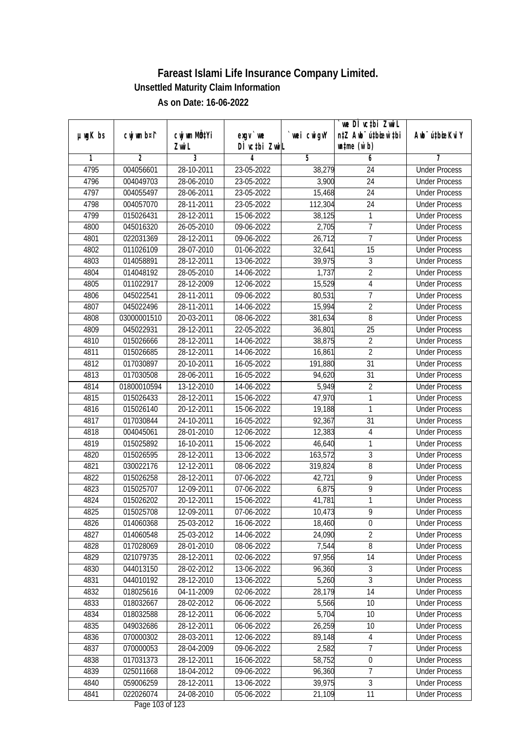|               |                |                       |                                     |            | we DI vctbi ZwiL                                            |                             |
|---------------|----------------|-----------------------|-------------------------------------|------------|-------------------------------------------------------------|-----------------------------|
| $µ$ ug $K$ bs | cwj wm b¤i^    | cwj wm MÖ¢Yi<br>Zwi L | $exgV$ we<br>DÌ vctbi ZwiL          | wei cwigvY | n‡Z Awb <sup>-</sup> ú‡bioen`‡bi<br>$\n  untime\n  (u`b)\n$ | Awb <sup>-</sup> ú‡bioeKviY |
| 1             | $\overline{2}$ | 3                     | 4                                   | 5          | 6                                                           | 7                           |
| 4795          | 004056601      | 28-10-2011            | 23-05-2022                          | 38,279     | 24                                                          | <b>Under Process</b>        |
| 4796          | 004049703      | 28-06-2010            | 23-05-2022                          | 3,900      | $\overline{24}$                                             | <b>Under Process</b>        |
| 4797          | 004055497      | 28-06-2011            | 23-05-2022                          | 15,468     | $\overline{24}$                                             | <b>Under Process</b>        |
| 4798          | 004057070      | 28-11-2011            | 23-05-2022                          | 112,304    | 24                                                          | <b>Under Process</b>        |
| 4799          | 015026431      | 28-12-2011            | 15-06-2022                          | 38,125     | $\mathbf{1}$                                                | <b>Under Process</b>        |
| 4800          | 045016320      | 26-05-2010            | 09-06-2022                          | 2,705      | $\overline{7}$                                              | <b>Under Process</b>        |
| 4801          | 022031369      | 28-12-2011            | $09 - 06 - 2022$                    | 26,712     | $\overline{7}$                                              | <b>Under Process</b>        |
| 4802          | 011026109      | 28-07-2010            | 01-06-2022                          | 32,641     | 15                                                          | <b>Under Process</b>        |
| 4803          | 014058891      | 28-12-2011            | 13-06-2022                          | 39,975     | $\overline{3}$                                              | <b>Under Process</b>        |
| 4804          | 014048192      | 28-05-2010            | 14-06-2022                          | 1,737      | $\overline{2}$                                              | <b>Under Process</b>        |
| 4805          | 011022917      | 28-12-2009            | 12-06-2022                          | 15,529     | $\overline{4}$                                              | <b>Under Process</b>        |
| 4806          | 045022541      | 28-11-2011            | 09-06-2022                          | 80,531     | $\overline{7}$                                              | <b>Under Process</b>        |
| 4807          | 045022496      | 28-11-2011            | 14-06-2022                          | 15,994     | $\overline{2}$                                              | <b>Under Process</b>        |
| 4808          | 03000001510    | 20-03-2011            | 08-06-2022                          | 381,634    | 8                                                           | <b>Under Process</b>        |
| 4809          | 045022931      | 28-12-2011            | 22-05-2022                          | 36,801     | 25                                                          | <b>Under Process</b>        |
| 4810          | 015026666      | 28-12-2011            | 14-06-2022                          | 38,875     | $\overline{2}$                                              | <b>Under Process</b>        |
| 4811          | 015026685      | 28-12-2011            | 14-06-2022                          | 16,861     | $\overline{2}$                                              | <b>Under Process</b>        |
| 4812          | 017030897      | 20-10-2011            | 16-05-2022                          | 191,880    | 31                                                          | <b>Under Process</b>        |
| 4813          | 017030508      | 28-06-2011            | 16-05-2022                          | 94,620     | 31                                                          | <b>Under Process</b>        |
| 4814          | 01800010594    | 13-12-2010            | 14-06-2022                          | 5,949      | $\overline{2}$                                              | <b>Under Process</b>        |
| 4815          | 015026433      | 28-12-2011            | 15-06-2022                          | 47,970     | $\mathbf{1}$                                                | <b>Under Process</b>        |
| 4816          | 015026140      | 20-12-2011            | 15-06-2022                          | 19,188     | 1                                                           | <b>Under Process</b>        |
| 4817          | 017030844      | 24-10-2011            | 16-05-2022                          | 92,367     | 31                                                          | <b>Under Process</b>        |
| 4818          | 004045061      | 28-01-2010            | 12-06-2022                          | 12,383     | $\overline{4}$                                              | <b>Under Process</b>        |
| 4819          | 015025892      | 16-10-2011            | 15-06-2022                          | 46,640     | 1                                                           | <b>Under Process</b>        |
| 4820          | 015026595      | $28-12-2011$          | 13-06-2022                          | 163,572    | $\overline{3}$                                              | <b>Under Process</b>        |
| 4821          | 030022176      | 12-12-2011            | 08-06-2022                          | 319,824    | 8                                                           | <b>Under Process</b>        |
| 4822          | 015026258      | 28-12-2011            | 07-06-2022                          | 42,721     | 9                                                           | <b>Under Process</b>        |
| 4823          | 015025707      | 12-09-2011            | 07-06-2022                          | 6,875      | $\overline{9}$                                              | <b>Under Process</b>        |
| 4824          | 015026202      | 20-12-2011            | 15-06-2022                          | 41,781     | $\mathbf{1}$                                                | <b>Under Process</b>        |
| 4825          | 015025708      | 12-09-2011            | 07-06-2022                          | 10,473     | 9                                                           | <b>Under Process</b>        |
| 4826          | 014060368      | 25-03-2012            | 16-06-2022                          | 18,460     | $\mathbf 0$                                                 | <b>Under Process</b>        |
| 4827          | 014060548      | 25-03-2012            | 14-06-2022                          | 24,090     | $\overline{2}$                                              | <b>Under Process</b>        |
| 4828          | 017028069      | 28-01-2010            | 08-06-2022                          | 7,544      | $\bf 8$                                                     | <b>Under Process</b>        |
| 4829          | 021079735      | 28-12-2011            | 02-06-2022                          | 97,956     | 14                                                          | <b>Under Process</b>        |
| 4830          | 044013150      | 28-02-2012            | 13-06-2022                          | 96,360     | 3                                                           | <b>Under Process</b>        |
| 4831          | 044010192      | 28-12-2010            | 13-06-2022                          | 5,260      | 3                                                           | <b>Under Process</b>        |
| 4832          | 018025616      | 04-11-2009            | 02-06-2022                          | 28,179     | 14                                                          | <b>Under Process</b>        |
| 4833          | 018032667      | 28-02-2012            | 06-06-2022                          | 5,566      | 10                                                          | <b>Under Process</b>        |
| 4834          | 018032588      | 28-12-2011            | 06-06-2022                          | 5,704      | 10                                                          | <b>Under Process</b>        |
| 4835          | 049032686      | 28-12-2011            | 06-06-2022                          | 26,259     | 10                                                          | <b>Under Process</b>        |
| 4836          | 070000302      | 28-03-2011            | 12-06-2022                          | 89,148     | $\overline{4}$                                              | <b>Under Process</b>        |
| 4837          | 070000053      | 28-04-2009            | 09-06-2022                          | 2,582      | 7                                                           | <b>Under Process</b>        |
| 4838          | 017031373      | 28-12-2011            | 16-06-2022                          | 58,752     | $\boldsymbol{0}$                                            | <b>Under Process</b>        |
| 4839          | 025011668      | 18-04-2012            | 09-06-2022                          | 96,360     | $\overline{7}$                                              | <b>Under Process</b>        |
| 4840          | 059006259      | 28-12-2011            | 13-06-2022                          | 39,975     | $\overline{3}$                                              | <b>Under Process</b>        |
| 4841          | 022026074      | 24-08-2010            | 05-06-2022<br>$D_{0.92}$ 102 of 122 | 21,109     | 11                                                          | <b>Under Process</b>        |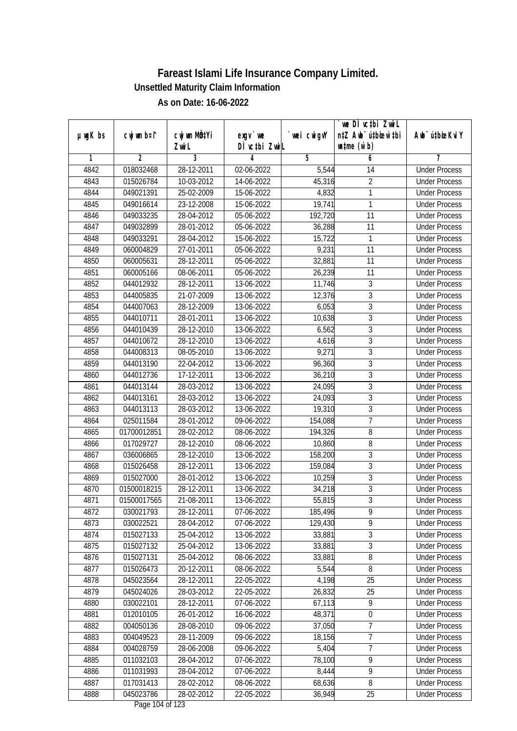| $µ$ ug $K$ bs | cwj wm b¤i^    | cwj wm MÖ¢Yi | $exgV$ we                | wei cwigvY | we DI vctbi ZwiL<br>n‡Z Awb <sup>-</sup> ú‡bioar`‡bi | Awb <sup>-</sup> ú‡bioeKviY |
|---------------|----------------|--------------|--------------------------|------------|------------------------------------------------------|-----------------------------|
|               |                | Zwi L        | DÌ vctbi ZwiL            |            | $\n  untime\n  (u`b)\n$                              |                             |
| 1             | $\overline{2}$ | 3            | 4                        | 5          | 6                                                    | 7                           |
| 4842          | 018032468      | 28-12-2011   | 02-06-2022               | 5,544      | 14                                                   | <b>Under Process</b>        |
| 4843          | 015026784      | 10-03-2012   | 14-06-2022               | 45,316     | $\overline{2}$                                       | <b>Under Process</b>        |
| 4844          | 049021391      | 25-02-2009   | 15-06-2022               | 4,832      | 1                                                    | <b>Under Process</b>        |
| 4845          | 049016614      | 23-12-2008   | 15-06-2022               | 19,741     | 1                                                    | <b>Under Process</b>        |
| 4846          | 049033235      | 28-04-2012   | 05-06-2022               | 192,720    | $\overline{11}$                                      | <b>Under Process</b>        |
| 4847          | 049032899      | 28-01-2012   | 05-06-2022               | 36,288     | $\overline{11}$                                      | <b>Under Process</b>        |
| 4848          | 049033291      | 28-04-2012   | 15-06-2022               | 15,722     | 1                                                    | <b>Under Process</b>        |
| 4849          | 060004829      | 27-01-2011   | 05-06-2022               | 9,231      | 11                                                   | <b>Under Process</b>        |
| 4850          | 060005631      | 28-12-2011   | 05-06-2022               | 32,881     | 11                                                   | <b>Under Process</b>        |
| 4851          | 060005166      | 08-06-2011   | 05-06-2022               | 26,239     | 11                                                   | <b>Under Process</b>        |
| 4852          | 044012932      | 28-12-2011   | 13-06-2022               | 11,746     | $\overline{3}$                                       | <b>Under Process</b>        |
| 4853          | 044005835      | 21-07-2009   | 13-06-2022               | 12,376     | 3                                                    | <b>Under Process</b>        |
| 4854          | 044007063      | 28-12-2009   | 13-06-2022               | 6,053      | $\overline{3}$                                       | <b>Under Process</b>        |
| 4855          | 044010711      | 28-01-2011   | 13-06-2022               | 10,638     | $\sqrt{3}$                                           | <b>Under Process</b>        |
| 4856          | 044010439      | 28-12-2010   | 13-06-2022               | 6,562      | $\overline{3}$                                       | <b>Under Process</b>        |
| 4857          | 044010672      | 28-12-2010   | 13-06-2022               | 4,616      | $\mathfrak{Z}$                                       | <b>Under Process</b>        |
| 4858          | 044008313      | 08-05-2010   | 13-06-2022               | 9,271      | $\mathfrak z$                                        | <b>Under Process</b>        |
| 4859          | 044013190      | 22-04-2012   | 13-06-2022               | 96,360     | $\mathfrak{Z}$                                       | <b>Under Process</b>        |
| 4860          | 044012736      | 17-12-2011   | 13-06-2022               | 36,210     | $\overline{3}$                                       | <b>Under Process</b>        |
| 4861          | 044013144      | 28-03-2012   | 13-06-2022               | 24,095     | 3                                                    | <b>Under Process</b>        |
| 4862          | 044013161      | 28-03-2012   | 13-06-2022               | 24,093     | $\overline{3}$                                       | <b>Under Process</b>        |
| 4863          | 044013113      | 28-03-2012   | 13-06-2022               | 19,310     | $\mathfrak{Z}$                                       | <b>Under Process</b>        |
| 4864          | 025011584      | 28-01-2012   | 09-06-2022               | 154,088    | $\overline{1}$                                       | <b>Under Process</b>        |
| 4865          | 01700012851    | 28-02-2012   | 08-06-2022               | 194,326    | $\, 8$                                               | <b>Under Process</b>        |
| 4866          | 017029727      | 28-12-2010   | 08-06-2022               | 10,860     | $\, 8$                                               | <b>Under Process</b>        |
| 4867          | 036006865      | 28-12-2010   | 13-06-2022               | 158,200    | $\mathfrak{Z}$                                       | <b>Under Process</b>        |
| 4868          | 015026458      | 28-12-2011   | 13-06-2022               | 159,084    | $\mathfrak{Z}$                                       | <b>Under Process</b>        |
| 4869          | 015027000      | 28-01-2012   | 13-06-2022               | 10,259     | 3                                                    | <b>Under Process</b>        |
| 4870          | 01500018215    | 28-12-2011   | 13-06-2022               | 34,218     | $\overline{3}$                                       | <b>Under Process</b>        |
| 4871          | 01500017565    | 21-08-2011   | 13-06-2022               | 55,815     | $\overline{3}$                                       | <b>Under Process</b>        |
| 4872          | 030021793      | 28-12-2011   | 07-06-2022               | 185,496    | 9                                                    | <b>Under Process</b>        |
| 4873          | 030022521      | 28-04-2012   | 07-06-2022               | 129,430    | 9                                                    | <b>Under Process</b>        |
| 4874          | 015027133      | 25-04-2012   | 13-06-2022               | 33,881     | $\sqrt{3}$                                           | <b>Under Process</b>        |
| 4875          | 015027132      | 25-04-2012   | 13-06-2022               | 33,881     | $\overline{3}$                                       | <b>Under Process</b>        |
| 4876          | 015027131      | 25-04-2012   | 08-06-2022               | 33,881     | 8                                                    | <b>Under Process</b>        |
| 4877          | 015026473      | 20-12-2011   | 08-06-2022               | 5,544      | 8                                                    | <b>Under Process</b>        |
| 4878          | 045023564      | 28-12-2011   | 22-05-2022               | 4,198      | 25                                                   | <b>Under Process</b>        |
| 4879          | 045024026      | 28-03-2012   | 22-05-2022               | 26,832     | 25                                                   | <b>Under Process</b>        |
| 4880          | 030022101      | 28-12-2011   | 07-06-2022               | 67,113     | $\overline{9}$                                       | <b>Under Process</b>        |
| 4881          | 012010105      | 26-01-2012   | 16-06-2022               | 48,371     | $\boldsymbol{0}$                                     | <b>Under Process</b>        |
| 4882          | 004050136      | 28-08-2010   | 09-06-2022               | 37,050     | 7                                                    | <b>Under Process</b>        |
| 4883          | 004049523      | 28-11-2009   | 09-06-2022               | 18,156     | 7                                                    | <b>Under Process</b>        |
| 4884          | 004028759      | 28-06-2008   | $\overline{09}$ -06-2022 | 5,404      | 7                                                    | <b>Under Process</b>        |
| 4885          | 011032103      | 28-04-2012   | 07-06-2022               | 78,100     | $\overline{9}$                                       | <b>Under Process</b>        |
| 4886          | 011031993      | 28-04-2012   | 07-06-2022               | 8,444      | $\overline{9}$                                       | <b>Under Process</b>        |
| 4887          | 017031413      | 28-02-2012   | 08-06-2022               | 68,636     | 8                                                    | <b>Under Process</b>        |
| 4888          | 045023786      | 28-02-2012   | 22-05-2022               | 36,949     | 25                                                   | <b>Under Process</b>        |
|               |                |              |                          |            |                                                      |                             |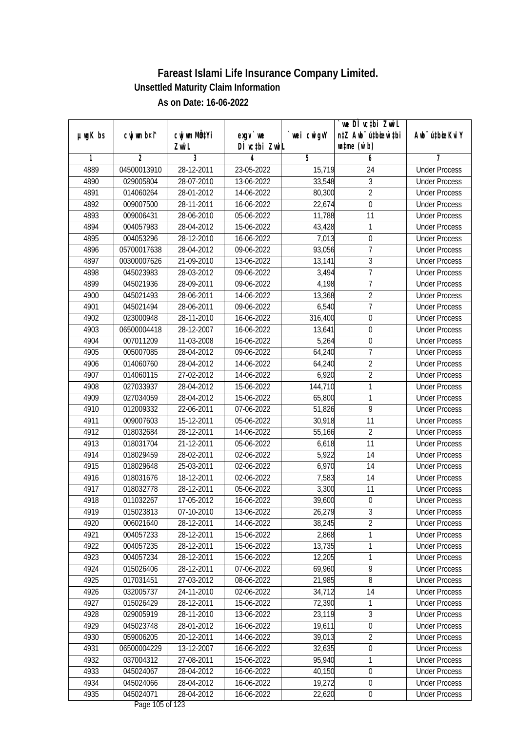|               |                | cwj wm MÖ¢Yi |                                     |            | we DI vctbi ZwiL<br>n‡Z Awb <sup>-</sup> ú‡bioen`‡bi |                             |
|---------------|----------------|--------------|-------------------------------------|------------|------------------------------------------------------|-----------------------------|
| $µ$ ug $K$ bs | cwj wm b¤i^    | Zwi L        | $exgV$ we<br>DÌ vctbi ZwiL          | wei cwigvY | $\n  untime\n  (u`b)\n$                              | Awb <sup>-</sup> ú‡bioeKviY |
| 1             | $\overline{2}$ | 3            | 4                                   | 5          | 6                                                    | 7                           |
| 4889          | 04500013910    | 28-12-2011   | 23-05-2022                          | 15,719     | 24                                                   | <b>Under Process</b>        |
| 4890          | 029005804      | 28-07-2010   | 13-06-2022                          | 33,548     | 3                                                    | <b>Under Process</b>        |
| 4891          | 014060264      | 28-01-2012   | 14-06-2022                          | 80,300     | $\overline{2}$                                       | <b>Under Process</b>        |
| 4892          | 009007500      | 28-11-2011   | 16-06-2022                          | 22,674     | $\boldsymbol{0}$                                     | <b>Under Process</b>        |
| 4893          | 009006431      | 28-06-2010   | 05-06-2022                          | 11,788     | $\overline{11}$                                      | <b>Under Process</b>        |
| 4894          | 004057983      | 28-04-2012   | 15-06-2022                          | 43,428     | $\mathbf{1}$                                         | <b>Under Process</b>        |
| 4895          | 004053296      | 28-12-2010   | 16-06-2022                          | 7,013      | $\boldsymbol{0}$                                     | <b>Under Process</b>        |
| 4896          | 05700017638    | 28-04-2012   | 09-06-2022                          | 93,056     | $\overline{7}$                                       | <b>Under Process</b>        |
| 4897          | 00300007626    | 21-09-2010   | 13-06-2022                          | 13,141     | $\overline{3}$                                       | <b>Under Process</b>        |
| 4898          | 045023983      | 28-03-2012   | 09-06-2022                          | 3,494      | $\overline{1}$                                       | <b>Under Process</b>        |
| 4899          | 045021936      | 28-09-2011   | 09-06-2022                          | 4,198      | $\overline{7}$                                       | <b>Under Process</b>        |
| 4900          | 045021493      | 28-06-2011   | 14-06-2022                          | 13,368     | $\overline{2}$                                       | <b>Under Process</b>        |
| 4901          | 045021494      | 28-06-2011   | 09-06-2022                          | 6,540      | $\overline{7}$                                       | <b>Under Process</b>        |
| 4902          | 023000948      | 28-11-2010   | 16-06-2022                          | 316,400    | 0                                                    | <b>Under Process</b>        |
| 4903          | 06500004418    | 28-12-2007   | 16-06-2022                          | 13,641     | $\boldsymbol{0}$                                     | <b>Under Process</b>        |
| 4904          | 007011209      | 11-03-2008   | 16-06-2022                          | 5,264      | $\boldsymbol{0}$                                     | <b>Under Process</b>        |
| 4905          | 005007085      | 28-04-2012   | 09-06-2022                          | 64,240     | $\overline{1}$                                       | <b>Under Process</b>        |
| 4906          | 014060760      | 28-04-2012   | 14-06-2022                          | 64,240     | $\overline{2}$                                       | <b>Under Process</b>        |
| 4907          | 014060115      | 27-02-2012   | 14-06-2022                          | 6,920      | $\overline{2}$                                       | <b>Under Process</b>        |
| 4908          | 027033937      | 28-04-2012   | 15-06-2022                          | 144,710    | 1                                                    | <b>Under Process</b>        |
| 4909          | 027034059      | 28-04-2012   | 15-06-2022                          | 65,800     | $\mathbf{1}$                                         | <b>Under Process</b>        |
| 4910          | 012009332      | 22-06-2011   | 07-06-2022                          | 51,826     | 9                                                    | <b>Under Process</b>        |
| 4911          | 009007603      | 15-12-2011   | 05-06-2022                          | 30,918     | 11                                                   | <b>Under Process</b>        |
| 4912          | 018032684      | 28-12-2011   | 14-06-2022                          | 55,166     | $\overline{2}$                                       | <b>Under Process</b>        |
| 4913          | 018031704      | 21-12-2011   | 05-06-2022                          | 6,618      | 11                                                   | <b>Under Process</b>        |
| 4914          | 018029459      | 28-02-2011   | 02-06-2022                          | 5,922      | 14                                                   | <b>Under Process</b>        |
| 4915          | 018029648      | 25-03-2011   | 02-06-2022                          | 6,970      | 14                                                   | <b>Under Process</b>        |
| 4916          | 018031676      | 18-12-2011   | 02-06-2022                          | 7,583      | 14                                                   | <b>Under Process</b>        |
| 4917          | 018032778      | 28-12-2011   | 05-06-2022                          | 3,300      | 11                                                   | <b>Under Process</b>        |
| 4918          | 011032267      | 17-05-2012   | 16-06-2022                          | 39,600     | $\boldsymbol{0}$                                     | <b>Under Process</b>        |
| 4919          | 015023813      | 07-10-2010   | 13-06-2022                          | 26,279     | 3                                                    | <b>Under Process</b>        |
| 4920          | 006021640      | 28-12-2011   | 14-06-2022                          | 38,245     | $\overline{2}$                                       | <b>Under Process</b>        |
| 4921          | 004057233      | 28-12-2011   | 15-06-2022                          | 2,868      | 1                                                    | <b>Under Process</b>        |
| 4922          | 004057235      | 28-12-2011   | 15-06-2022                          | 13,735     | $\mathbf{1}$                                         | <b>Under Process</b>        |
| 4923          | 004057234      | 28-12-2011   | 15-06-2022                          | 12,205     | $\mathbf{1}$                                         | <b>Under Process</b>        |
| 4924          | 015026406      | 28-12-2011   | 07-06-2022                          | 69,960     | 9                                                    | <b>Under Process</b>        |
| 4925          | 017031451      | 27-03-2012   | 08-06-2022                          | 21,985     | 8                                                    | <b>Under Process</b>        |
| 4926          | 032005737      | 24-11-2010   | 02-06-2022                          | 34,712     | 14                                                   | <b>Under Process</b>        |
| 4927          | 015026429      | 28-12-2011   | 15-06-2022                          | 72,390     | 1                                                    | <b>Under Process</b>        |
| 4928          | 029005919      | 28-11-2010   | 13-06-2022                          | 23,119     | $\overline{3}$                                       | <b>Under Process</b>        |
| 4929          | 045023748      | 28-01-2012   | 16-06-2022                          | 19,611     | $\boldsymbol{0}$                                     | <b>Under Process</b>        |
| 4930          | 059006205      | 20-12-2011   | 14-06-2022                          | 39,013     | $\overline{2}$                                       | <b>Under Process</b>        |
| 4931          | 06500004229    | 13-12-2007   | 16-06-2022                          | 32,635     | $\boldsymbol{0}$                                     | <b>Under Process</b>        |
| 4932          | 037004312      | 27-08-2011   | 15-06-2022                          | 95,940     | 1                                                    | <b>Under Process</b>        |
| 4933          | 045024067      | 28-04-2012   | 16-06-2022                          | 40,150     | $\boldsymbol{0}$                                     | <b>Under Process</b>        |
| 4934          | 045024066      | 28-04-2012   | 16-06-2022                          | 19,272     | $\boldsymbol{0}$                                     | <b>Under Process</b>        |
| 4935          | 045024071      | 28-04-2012   | 16-06-2022<br>$D_{0.92}$ 10E of 122 | 22,620     | $\pmb{0}$                                            | <b>Under Process</b>        |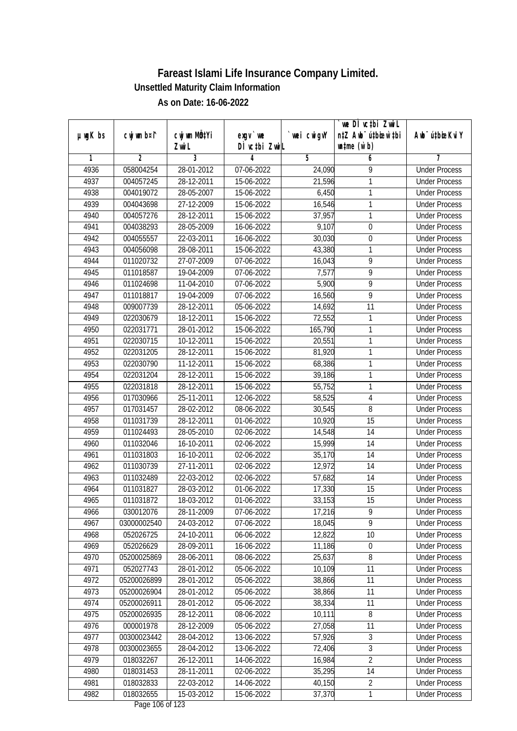|               |                |              |               |                | we DI vctbi ZwiL                 |                             |
|---------------|----------------|--------------|---------------|----------------|----------------------------------|-----------------------------|
| $µ$ ug $K$ bs | cwj wm b¤i^    | cwj wm MQtYi | exgy `we      | `wei cwigvY    | n‡Z Awb <sup>-</sup> ú‡bicen`‡bi | Awb <sup>-</sup> ú‡bioeKviY |
|               |                | Zwi L        | DÌ vctbi ZwiL |                | $\n  untime\n  (u`b)\n$          |                             |
| 1             | $\overline{2}$ | 3            | 4             | $\overline{5}$ | 6                                | 7                           |
| 4936          | 058004254      | 28-01-2012   | 07-06-2022    | 24,090         | 9                                | <b>Under Process</b>        |
| 4937          | 004057245      | 28-12-2011   | 15-06-2022    | 21,596         | 1                                | <b>Under Process</b>        |
| 4938          | 004019072      | 28-05-2007   | 15-06-2022    | 6,450          | 1                                | <b>Under Process</b>        |
| 4939          | 004043698      | 27-12-2009   | 15-06-2022    | 16,546         | 1                                | <b>Under Process</b>        |
| 4940          | 004057276      | 28-12-2011   | 15-06-2022    | 37,957         | 1                                | <b>Under Process</b>        |
| 4941          | 004038293      | 28-05-2009   | 16-06-2022    | 9,107          | $\pmb{0}$                        | <b>Under Process</b>        |
| 4942          | 004055557      | 22-03-2011   | 16-06-2022    | 30,030         | $\boldsymbol{0}$                 | <b>Under Process</b>        |
| 4943          | 004056098      | 28-08-2011   | 15-06-2022    | 43,380         | 1                                | <b>Under Process</b>        |
| 4944          | 011020732      | 27-07-2009   | 07-06-2022    | 16,043         | 9                                | <b>Under Process</b>        |
| 4945          | 011018587      | 19-04-2009   | 07-06-2022    | 7,577          | 9                                | <b>Under Process</b>        |
| 4946          | 011024698      | 11-04-2010   | 07-06-2022    | 5,900          | 9                                | <b>Under Process</b>        |
| 4947          | 011018817      | 19-04-2009   | 07-06-2022    | 16,560         | 9                                | <b>Under Process</b>        |
| 4948          | 009007739      | 28-12-2011   | 05-06-2022    | 14,692         | $\overline{11}$                  | <b>Under Process</b>        |
| 4949          | 022030679      | 18-12-2011   | 15-06-2022    | 72,552         | 1                                | <b>Under Process</b>        |
| 4950          | 022031771      | 28-01-2012   | 15-06-2022    | 165,790        | 1                                | <b>Under Process</b>        |
| 4951          | 022030715      | 10-12-2011   | 15-06-2022    | 20,551         | 1                                | <b>Under Process</b>        |
| 4952          | 022031205      | 28-12-2011   | 15-06-2022    | 81,920         | 1                                | <b>Under Process</b>        |
| 4953          | 022030790      | 11-12-2011   | 15-06-2022    | 68,386         | 1                                | <b>Under Process</b>        |
| 4954          | 022031204      | 28-12-2011   | 15-06-2022    | 39,186         | 1                                | <b>Under Process</b>        |
| 4955          | 022031818      | 28-12-2011   | 15-06-2022    | 55,752         | 1                                | <b>Under Process</b>        |
| 4956          | 017030966      | 25-11-2011   | 12-06-2022    | 58,525         | 4                                | <b>Under Process</b>        |
| 4957          | 017031457      | 28-02-2012   | 08-06-2022    | 30,545         | 8                                | <b>Under Process</b>        |
| 4958          | 011031739      | 28-12-2011   | 01-06-2022    | 10,920         | 15                               | <b>Under Process</b>        |
| 4959          | 011024493      | 28-05-2010   | 02-06-2022    | 14,548         | 14                               | <b>Under Process</b>        |
| 4960          | 011032046      | 16-10-2011   | 02-06-2022    | 15,999         | 14                               | <b>Under Process</b>        |
| 4961          | 011031803      | 16-10-2011   | 02-06-2022    | 35,170         | 14                               | <b>Under Process</b>        |
| 4962          | 011030739      | 27-11-2011   | 02-06-2022    | 12,972         | 14                               | <b>Under Process</b>        |
| 4963          | 011032489      | 22-03-2012   | 02-06-2022    | 57,682         | 14                               | <b>Under Process</b>        |
| 4964          | 011031827      | 28-03-2012   | 01-06-2022    | 17,330         | 15                               | <b>Under Process</b>        |
| 4965          | 011031872      | 18-03-2012   | 01-06-2022    | 33,153         | 15                               | <b>Under Process</b>        |
| 4966          | 030012076      | 28-11-2009   | 07-06-2022    | 17,216         | 9                                | <b>Under Process</b>        |
| 4967          | 03000002540    | 24-03-2012   | 07-06-2022    | 18,045         | $\overline{9}$                   | <b>Under Process</b>        |
| 4968          | 052026725      | 24-10-2011   | 06-06-2022    | 12,822         | 10                               | <b>Under Process</b>        |
| 4969          | 052026629      | 28-09-2011   | 16-06-2022    | 11,186         | $\boldsymbol{0}$                 | <b>Under Process</b>        |
| 4970          | 05200025869    | 28-06-2011   | 08-06-2022    | 25,637         | 8                                | <b>Under Process</b>        |
| 4971          | 052027743      | 28-01-2012   | 05-06-2022    | 10,109         | 11                               | <b>Under Process</b>        |
| 4972          | 05200026899    | 28-01-2012   | 05-06-2022    | 38,866         | 11                               | <b>Under Process</b>        |
| 4973          | 05200026904    | 28-01-2012   | 05-06-2022    | 38,866         | 11                               | <b>Under Process</b>        |
| 4974          | 05200026911    | 28-01-2012   | 05-06-2022    | 38,334         | 11                               | <b>Under Process</b>        |
| 4975          | 05200026935    | 28-12-2011   | 08-06-2022    | 10,111         | 8                                | <b>Under Process</b>        |
| 4976          | 000001978      | 28-12-2009   | 05-06-2022    | 27,058         | 11                               | <b>Under Process</b>        |
| 4977          | 00300023442    | 28-04-2012   | 13-06-2022    | 57,926         | 3                                | <b>Under Process</b>        |
| 4978          | 00300023655    | 28-04-2012   | $13-06-2022$  | 72,406         | 3                                | <b>Under Process</b>        |
| 4979          | 018032267      | 26-12-2011   | 14-06-2022    | 16,984         | $\overline{2}$                   | <b>Under Process</b>        |
| 4980          | 018031453      | 28-11-2011   | 02-06-2022    | 35,295         | 14                               | <b>Under Process</b>        |
| 4981          | 018032833      | 22-03-2012   | 14-06-2022    | 40,150         | $\sqrt{2}$                       | <b>Under Process</b>        |
| 4982          | 018032655      | 15-03-2012   | 15-06-2022    | 37,370         | 1                                | <b>Under Process</b>        |
|               |                |              |               |                |                                  |                             |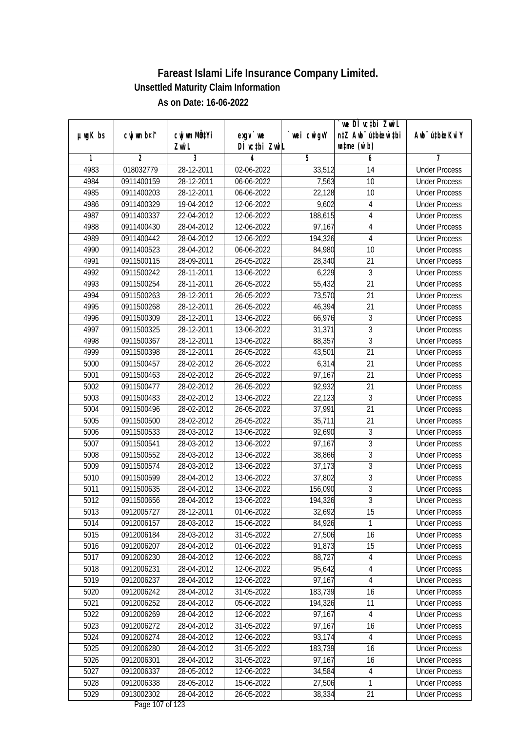|               |                |                                    |                            |                | we DI vctbi ZwiL                                            |                             |
|---------------|----------------|------------------------------------|----------------------------|----------------|-------------------------------------------------------------|-----------------------------|
| $µ$ ug $K$ bs | cwj wm b¤i^    | cwj wm MQ <sup>1</sup> Yi<br>Zwi L | $exgV$ we<br>DÌ vctbi ZwiL | `wei cwigvY    | n‡Z Awb <sup>-</sup> ú‡bioar`‡bi<br>$\n  untime\n  (u`b)\n$ | Awb <sup>-</sup> ú‡bioeKviY |
| 1             | $\overline{2}$ | 3                                  | 4                          | $\overline{5}$ | 6                                                           | 7                           |
| 4983          | 018032779      | 28-12-2011                         | 02-06-2022                 | 33,512         | 14                                                          | <b>Under Process</b>        |
| 4984          | 0911400159     | 28-12-2011                         | 06-06-2022                 | 7,563          | 10                                                          | <b>Under Process</b>        |
| 4985          | 0911400203     | 28-12-2011                         | 06-06-2022                 | 22,128         | $\overline{10}$                                             | <b>Under Process</b>        |
| 4986          | 0911400329     | 19-04-2012                         | 12-06-2022                 | 9,602          | 4                                                           | <b>Under Process</b>        |
| 4987          | 0911400337     | 22-04-2012                         | 12-06-2022                 | 188,615        | 4                                                           | <b>Under Process</b>        |
| 4988          | 0911400430     | 28-04-2012                         | 12-06-2022                 | 97,167         | 4                                                           | <b>Under Process</b>        |
| 4989          | 0911400442     | 28-04-2012                         | 12-06-2022                 | 194,326        | 4                                                           | <b>Under Process</b>        |
| 4990          | 0911400523     | 28-04-2012                         | 06-06-2022                 | 84,980         | 10                                                          | <b>Under Process</b>        |
| 4991          | 0911500115     | 28-09-2011                         | 26-05-2022                 | 28,340         | 21                                                          | <b>Under Process</b>        |
| 4992          | 0911500242     | 28-11-2011                         | 13-06-2022                 | 6,229          | $\mathfrak{Z}$                                              | <b>Under Process</b>        |
| 4993          | 0911500254     | 28-11-2011                         | 26-05-2022                 | 55,432         | $\overline{21}$                                             | <b>Under Process</b>        |
| 4994          | 0911500263     | 28-12-2011                         | 26-05-2022                 | 73,570         | 21                                                          | <b>Under Process</b>        |
| 4995          | 0911500268     | 28-12-2011                         | 26-05-2022                 | 46,394         | $\overline{21}$                                             | <b>Under Process</b>        |
| 4996          | 0911500309     | 28-12-2011                         | 13-06-2022                 | 66,976         | $\sqrt{3}$                                                  | <b>Under Process</b>        |
| 4997          | 0911500325     | 28-12-2011                         | 13-06-2022                 | 31,371         | $\overline{3}$                                              | <b>Under Process</b>        |
| 4998          | 0911500367     | 28-12-2011                         | 13-06-2022                 | 88,357         | 3                                                           | <b>Under Process</b>        |
| 4999          | 0911500398     | 28-12-2011                         | 26-05-2022                 | 43,501         | 21                                                          | <b>Under Process</b>        |
| 5000          | 0911500457     | 28-02-2012                         | 26-05-2022                 | 6,314          | 21                                                          | <b>Under Process</b>        |
| 5001          | 0911500463     | 28-02-2012                         | 26-05-2022                 | 97,167         | 21                                                          | <b>Under Process</b>        |
| 5002          | 0911500477     | 28-02-2012                         | 26-05-2022                 | 92,932         | 21                                                          | <b>Under Process</b>        |
| 5003          | 0911500483     | 28-02-2012                         | 13-06-2022                 | 22,123         | $\overline{3}$                                              | <b>Under Process</b>        |
| 5004          | 0911500496     | 28-02-2012                         | 26-05-2022                 | 37,991         | 21                                                          | <b>Under Process</b>        |
| 5005          | 0911500500     | 28-02-2012                         | 26-05-2022                 | 35,711         | 21                                                          | <b>Under Process</b>        |
| 5006          | 0911500533     | 28-03-2012                         | 13-06-2022                 | 92,690         | $\overline{3}$                                              | <b>Under Process</b>        |
| 5007          | 0911500541     | 28-03-2012                         | 13-06-2022                 | 97,167         | $\overline{3}$                                              | <b>Under Process</b>        |
| 5008          | 0911500552     | 28-03-2012                         | 13-06-2022                 | 38,866         | 3                                                           | <b>Under Process</b>        |
| 5009          | 0911500574     | 28-03-2012                         | 13-06-2022                 | 37,173         | 3                                                           | <b>Under Process</b>        |
| 5010          | 0911500599     | 28-04-2012                         | 13-06-2022                 | 37,802         | $\overline{3}$                                              | <b>Under Process</b>        |
| 5011          | 0911500635     | 28-04-2012                         | 13-06-2022                 | 156,090        | $\overline{3}$                                              | <b>Under Process</b>        |
| 5012          | 0911500656     | 28-04-2012                         | 13-06-2022                 | 194,326        | $\overline{3}$                                              | <b>Under Process</b>        |
| 5013          | 0912005727     | 28-12-2011                         | 01-06-2022                 | 32,692         | 15                                                          | <b>Under Process</b>        |
| 5014          | 0912006157     | 28-03-2012                         | 15-06-2022                 | 84,926         | 1                                                           | <b>Under Process</b>        |
| 5015          | 0912006184     | 28-03-2012                         | 31-05-2022                 | 27,506         | 16                                                          | <b>Under Process</b>        |
| 5016          | 0912006207     | 28-04-2012                         | 01-06-2022                 | 91,873         | 15                                                          | <b>Under Process</b>        |
| 5017          | 0912006230     | 28-04-2012                         | 12-06-2022                 | 88,727         | 4                                                           | <b>Under Process</b>        |
| 5018          | 0912006231     | 28-04-2012                         | 12-06-2022                 | 95,642         | 4                                                           | <b>Under Process</b>        |
| 5019          | 0912006237     | 28-04-2012                         | 12-06-2022                 | 97,167         | $\overline{4}$                                              | <b>Under Process</b>        |
| 5020          | 0912006242     | 28-04-2012                         | 31-05-2022                 | 183,739        | 16                                                          | <b>Under Process</b>        |
| 5021          | 0912006252     | 28-04-2012                         | 05-06-2022                 | 194,326        | 11                                                          | <b>Under Process</b>        |
| 5022          | 0912006269     | 28-04-2012                         | 12-06-2022                 | 97,167         | $\overline{4}$                                              | <b>Under Process</b>        |
| 5023          | 0912006272     | 28-04-2012                         | 31-05-2022                 | 97,167         | 16                                                          | <b>Under Process</b>        |
| 5024          | 0912006274     | 28-04-2012                         | 12-06-2022                 | 93,174         | 4                                                           | <b>Under Process</b>        |
| 5025          | 0912006280     | 28-04-2012                         | 31-05-2022                 | 183,739        | 16                                                          | <b>Under Process</b>        |
| 5026          | 0912006301     | 28-04-2012                         | 31-05-2022                 | 97,167         | 16                                                          | <b>Under Process</b>        |
| 5027          | 0912006337     | 28-05-2012                         | 12-06-2022                 | 34,584         | $\overline{\mathcal{A}}$                                    | <b>Under Process</b>        |
| 5028          | 0912006338     | 28-05-2012                         | 15-06-2022                 | 27,506         | 1                                                           | <b>Under Process</b>        |
| 5029          | 0913002302     | 28-04-2012                         | 26-05-2022                 | 38,334         | 21                                                          | <b>Under Process</b>        |
|               |                |                                    |                            |                |                                                             |                             |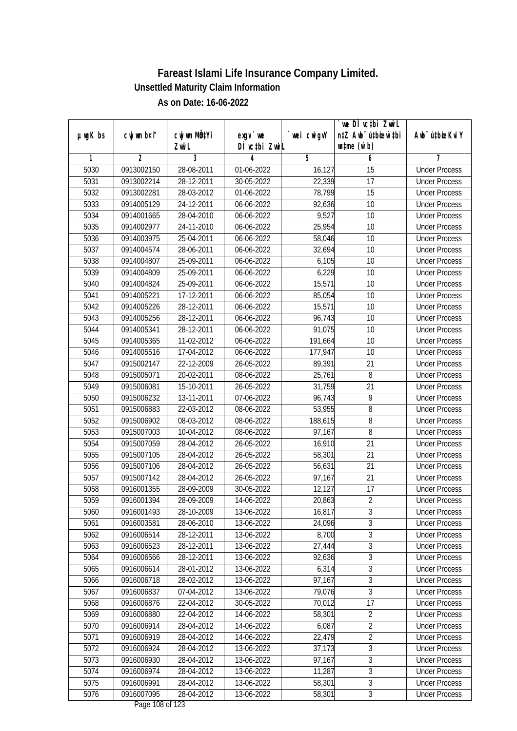|               |                |                           |                                           |             | `we DÌ vc‡bi Zwwi∟               |                             |
|---------------|----------------|---------------------------|-------------------------------------------|-------------|----------------------------------|-----------------------------|
| $µ$ ug $K$ bs | cwj wm b¤i^    | cwj wm MQ <sup>1</sup> Yi | $exqu$ we                                 | `wei cwigvY | n‡Z Awb <sup>-</sup> ú‡bioen`‡bi | Awb <sup>-</sup> ú‡bioeKviY |
|               |                | Zwi L                     | DÌ vctbi ZwiL                             |             | $\n  untime\n  (u`b)\n$          |                             |
| 1             | $\overline{2}$ | 3                         | 4                                         | 5           | 6                                | 7                           |
| 5030          | 0913002150     | 28-08-2011                | 01-06-2022                                | 16,127      | 15                               | <b>Under Process</b>        |
| 5031          | 0913002214     | 28-12-2011                | 30-05-2022                                | 22,339      | $\overline{17}$                  | <b>Under Process</b>        |
| 5032          | 0913002281     | 28-03-2012                | 01-06-2022                                | 78,799      | 15                               | <b>Under Process</b>        |
| 5033          | 0914005129     | 24-12-2011                | 06-06-2022                                | 92,636      | 10                               | <b>Under Process</b>        |
| 5034          | 0914001665     | 28-04-2010                | 06-06-2022                                | 9,527       | $\overline{10}$                  | <b>Under Process</b>        |
| 5035          | 0914002977     | 24-11-2010                | 06-06-2022                                | 25,954      | 10                               | <b>Under Process</b>        |
| 5036          | 0914003975     | 25-04-2011                | 06-06-2022                                | 58,046      | 10                               | <b>Under Process</b>        |
| 5037          | 0914004574     | 28-06-2011                | 06-06-2022                                | 32,694      | 10                               | <b>Under Process</b>        |
| 5038          | 0914004807     | 25-09-2011                | 06-06-2022                                | 6,105       | 10                               | <b>Under Process</b>        |
| 5039          | 0914004809     | 25-09-2011                | 06-06-2022                                | 6,229       | 10                               | <b>Under Process</b>        |
| 5040          | 0914004824     | 25-09-2011                | 06-06-2022                                | 15,571      | $\overline{10}$                  | <b>Under Process</b>        |
| 5041          | 0914005221     | 17-12-2011                | 06-06-2022                                | 85,054      | 10                               | <b>Under Process</b>        |
| 5042          | 0914005226     | 28-12-2011                | 06-06-2022                                | 15,571      | 10                               | <b>Under Process</b>        |
| 5043          | 0914005256     | 28-12-2011                | 06-06-2022                                | 96,743      | 10                               | <b>Under Process</b>        |
| 5044          | 0914005341     | 28-12-2011                | 06-06-2022                                | 91,075      | 10                               | <b>Under Process</b>        |
| 5045          | 0914005365     | 11-02-2012                | 06-06-2022                                | 191,664     | 10                               | <b>Under Process</b>        |
| 5046          | 0914005516     | 17-04-2012                | 06-06-2022                                | 177,947     | 10                               | <b>Under Process</b>        |
| 5047          | 0915002147     | 22-12-2009                | 26-05-2022                                | 89,391      | 21                               | <b>Under Process</b>        |
| 5048          | 0915005071     | 20-02-2011                | 08-06-2022                                | 25,761      | 8                                | <b>Under Process</b>        |
| 5049          | 0915006081     | 15-10-2011                | 26-05-2022                                | 31,759      | 21                               | <b>Under Process</b>        |
| 5050          | 0915006232     | 13-11-2011                | 07-06-2022                                | 96,743      | 9                                | <b>Under Process</b>        |
| 5051          | 0915006883     | 22-03-2012                | 08-06-2022                                | 53,955      | 8                                | <b>Under Process</b>        |
| 5052          | 0915006902     | 08-03-2012                | 08-06-2022                                | 188,615     | 8                                | <b>Under Process</b>        |
| 5053          | 0915007003     | 10-04-2012                | 08-06-2022                                | 97,167      | 8                                | <b>Under Process</b>        |
| 5054          | 0915007059     | 28-04-2012                | 26-05-2022                                | 16,910      | 21                               | <b>Under Process</b>        |
| 5055          | 0915007105     | 28-04-2012                | 26-05-2022                                | 58,301      | 21                               | <b>Under Process</b>        |
| 5056          | 0915007106     | 28-04-2012                | 26-05-2022                                | 56,631      | 21                               | <b>Under Process</b>        |
| 5057          | 0915007142     | 28-04-2012                | 26-05-2022                                | 97,167      | 21                               | <b>Under Process</b>        |
| 5058          | 0916001355     | 28-09-2009                | 30-05-2022                                | 12,127      | 17                               | <b>Under Process</b>        |
| 5059          | 0916001394     | 28-09-2009                | 14-06-2022                                | 20,863      | $\overline{2}$                   | <b>Under Process</b>        |
| 5060          | 0916001493     | 28-10-2009                | 13-06-2022                                | 16,817      | 3                                | <b>Under Process</b>        |
| 5061          | 0916003581     | 28-06-2010                | 13-06-2022                                | 24,096      | $\overline{3}$                   | <b>Under Process</b>        |
| 5062          | 0916006514     | 28-12-2011                | 13-06-2022                                | 8,700       | $\overline{3}$                   | <b>Under Process</b>        |
| 5063          | 0916006523     | 28-12-2011                | 13-06-2022                                | 27,444      | $\overline{3}$                   | <b>Under Process</b>        |
| 5064          | 0916006566     | 28-12-2011                | 13-06-2022                                | 92,636      | $\overline{3}$                   | <b>Under Process</b>        |
| 5065          | 0916006614     | 28-01-2012                | 13-06-2022                                | 6,314       | 3                                | <b>Under Process</b>        |
| 5066          | 0916006718     | 28-02-2012                | 13-06-2022                                | 97,167      | 3                                | <b>Under Process</b>        |
| 5067          | 0916006837     | 07-04-2012                | 13-06-2022                                | 79,076      | 3                                | <b>Under Process</b>        |
| 5068          | 0916006876     | 22-04-2012                | 30-05-2022                                | 70,012      | 17                               | <b>Under Process</b>        |
| 5069          | 0916006880     | 22-04-2012                | 14-06-2022                                | 58,301      | $\overline{2}$                   | <b>Under Process</b>        |
| 5070          | 0916006914     | 28-04-2012                | 14-06-2022                                | 6,087       | $\overline{2}$                   | <b>Under Process</b>        |
| 5071          | 0916006919     | 28-04-2012                | 14-06-2022                                | 22,479      | $\overline{2}$                   | <b>Under Process</b>        |
| 5072          | 0916006924     | 28-04-2012                | 13-06-2022                                | 37,173      | $\overline{3}$                   | <b>Under Process</b>        |
| 5073          | 0916006930     | 28-04-2012                | 13-06-2022                                | 97,167      | 3                                | <b>Under Process</b>        |
| 5074          | 0916006974     | 28-04-2012                | 13-06-2022                                | 11,287      | $\overline{3}$                   | <b>Under Process</b>        |
| 5075          | 0916006991     | 28-04-2012                | 13-06-2022                                | 58,301      | $\overline{3}$                   | <b>Under Process</b>        |
| 5076          | 0916007095     | 28-04-2012                | 13-06-2022<br>$D_{\text{max}}$ 100 of 100 | 58,301      | $\overline{3}$                   | <b>Under Process</b>        |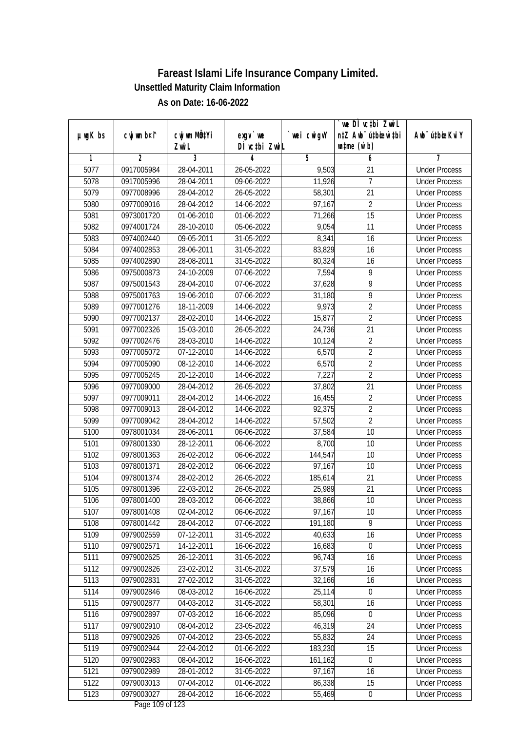|               |                |                                    |                            |             | we DI vctbi ZwiL                                            |                             |
|---------------|----------------|------------------------------------|----------------------------|-------------|-------------------------------------------------------------|-----------------------------|
| $µ$ ug $K$ bs | cwj wm b¤i^    | cwj wm MQ <sup>1</sup> Yi<br>Zwi L | $exgV$ we<br>DÌ vctbi ZwiL | `wei cwigvY | n‡Z Awb <sup>-</sup> ú‡bicen`‡bi<br>$\n  untime\n  (u`b)\n$ | Awb <sup>-</sup> ú‡bioeKviY |
| 1             | $\overline{2}$ | 3                                  | 4                          | 5           | 6                                                           | 7                           |
| 5077          | 0917005984     | 28-04-2011                         | 26-05-2022                 | 9,503       | $\overline{21}$                                             | <b>Under Process</b>        |
| 5078          | 0917005996     | 28-04-2011                         | 09-06-2022                 | 11,926      | $\overline{1}$                                              | <b>Under Process</b>        |
| 5079          | 0977008996     | 28-04-2012                         | 26-05-2022                 | 58,301      | $\overline{21}$                                             | <b>Under Process</b>        |
| 5080          | 0977009016     | 28-04-2012                         | 14-06-2022                 | 97,167      | $\sqrt{2}$                                                  | <b>Under Process</b>        |
| 5081          | 0973001720     | 01-06-2010                         | 01-06-2022                 | 71,266      | $\overline{15}$                                             | <b>Under Process</b>        |
| 5082          | 0974001724     | 28-10-2010                         | 05-06-2022                 | 9,054       | $\overline{11}$                                             | <b>Under Process</b>        |
| 5083          | 0974002440     | 09-05-2011                         | $31 - 05 - 2022$           | 8,341       | 16                                                          | <b>Under Process</b>        |
| 5084          | 0974002853     | 28-06-2011                         | 31-05-2022                 | 83,829      | 16                                                          | <b>Under Process</b>        |
| 5085          | 0974002890     | 28-08-2011                         | 31-05-2022                 | 80,324      | 16                                                          | <b>Under Process</b>        |
| 5086          | 0975000873     | 24-10-2009                         | 07-06-2022                 | 7,594       | 9                                                           | <b>Under Process</b>        |
| 5087          | 0975001543     | 28-04-2010                         | 07-06-2022                 | 37,628      | 9                                                           | <b>Under Process</b>        |
|               |                |                                    |                            |             |                                                             |                             |
| 5088<br>5089  | 0975001763     | 19-06-2010<br>18-11-2009           | 07-06-2022                 | 31,180      | 9<br>$\overline{2}$                                         | <b>Under Process</b>        |
|               | 0977001276     |                                    | 14-06-2022                 | 9,973       |                                                             | <b>Under Process</b>        |
| 5090          | 0977002137     | 28-02-2010                         | 14-06-2022                 | 15,877      | $\overline{2}$                                              | <b>Under Process</b>        |
| 5091          | 0977002326     | 15-03-2010                         | 26-05-2022                 | 24,736      | 21                                                          | <b>Under Process</b>        |
| 5092          | 0977002476     | 28-03-2010                         | 14-06-2022                 | 10,124      | $\sqrt{2}$                                                  | <b>Under Process</b>        |
| 5093          | 0977005072     | 07-12-2010                         | 14-06-2022                 | 6,570       | $\overline{2}$                                              | <b>Under Process</b>        |
| 5094          | 0977005090     | 08-12-2010                         | 14-06-2022                 | 6,570       | $\overline{2}$                                              | <b>Under Process</b>        |
| 5095          | 0977005245     | 20-12-2010                         | 14-06-2022                 | 7,227       | $\overline{2}$                                              | <b>Under Process</b>        |
| 5096          | 0977009000     | 28-04-2012                         | 26-05-2022                 | 37,802      | 21                                                          | <b>Under Process</b>        |
| 5097          | 0977009011     | 28-04-2012                         | 14-06-2022                 | 16,455      | $\overline{2}$                                              | <b>Under Process</b>        |
| 5098          | 0977009013     | 28-04-2012                         | 14-06-2022                 | 92,375      | $\overline{2}$                                              | <b>Under Process</b>        |
| 5099          | 0977009042     | 28-04-2012                         | 14-06-2022                 | 57,502      | $\overline{2}$                                              | <b>Under Process</b>        |
| 5100          | 0978001034     | 28-06-2011                         | 06-06-2022                 | 37,584      | 10                                                          | <b>Under Process</b>        |
| 5101          | 0978001330     | 28-12-2011                         | 06-06-2022                 | 8,700       | 10                                                          | <b>Under Process</b>        |
| 5102          | 0978001363     | 26-02-2012                         | 06-06-2022                 | 144,547     | 10                                                          | <b>Under Process</b>        |
| 5103          | 0978001371     | 28-02-2012                         | 06-06-2022                 | 97,167      | 10                                                          | <b>Under Process</b>        |
| 5104          | 0978001374     | 28-02-2012                         | 26-05-2022                 | 185,614     | 21                                                          | <b>Under Process</b>        |
| 5105          | 0978001396     | 22-03-2012                         | 26-05-2022                 | 25,989      | 21                                                          | <b>Under Process</b>        |
| 5106          | 0978001400     | 28-03-2012                         | 06-06-2022                 | 38,866      | 10                                                          | <b>Under Process</b>        |
| 5107          | 0978001408     | 02-04-2012                         | 06-06-2022                 | 97,167      | 10                                                          | <b>Under Process</b>        |
| 5108          | 0978001442     | 28-04-2012                         | 07-06-2022                 | 191,180     | 9                                                           | <b>Under Process</b>        |
| 5109          | 0979002559     | 07-12-2011                         | 31-05-2022                 | 40,633      | 16                                                          | <b>Under Process</b>        |
| 5110          | 0979002571     | 14-12-2011                         | 16-06-2022                 | 16,683      | $\boldsymbol{0}$                                            | <b>Under Process</b>        |
| 5111          | 0979002625     | 26-12-2011                         | 31-05-2022                 | 96,743      | 16                                                          | <b>Under Process</b>        |
| 5112          | 0979002826     | 23-02-2012                         | 31-05-2022                 | 37,579      | 16                                                          | <b>Under Process</b>        |
| 5113          | 0979002831     | 27-02-2012                         | 31-05-2022                 | 32,166      | 16                                                          | <b>Under Process</b>        |
| 5114          | 0979002846     | 08-03-2012                         | 16-06-2022                 | 25,114      | 0                                                           | <b>Under Process</b>        |
| 5115          | 0979002877     | 04-03-2012                         | 31-05-2022                 | 58,301      | 16                                                          | <b>Under Process</b>        |
| 5116          | 0979002897     | 07-03-2012                         | 16-06-2022                 | 85,096      | $\boldsymbol{0}$                                            | <b>Under Process</b>        |
| 5117          | 0979002910     | 08-04-2012                         | 23-05-2022                 | 46,319      | 24                                                          | <b>Under Process</b>        |
| 5118          | 0979002926     | 07-04-2012                         | 23-05-2022                 | 55,832      | 24                                                          | <b>Under Process</b>        |
| 5119          | 0979002944     | 22-04-2012                         | 01-06-2022                 | 183,230     | 15                                                          | <b>Under Process</b>        |
| 5120          | 0979002983     | 08-04-2012                         | 16-06-2022                 | 161,162     | $\boldsymbol{0}$                                            | <b>Under Process</b>        |
| 5121          | 0979002989     | 28-01-2012                         | 31-05-2022                 | 97,167      | 16                                                          | <b>Under Process</b>        |
| 5122          | 0979003013     | 07-04-2012                         | 01-06-2022                 | 86,338      | 15                                                          | <b>Under Process</b>        |
| 5123          | 0979003027     | 28-04-2012                         | 16-06-2022                 | 55,469      | $\boldsymbol{0}$                                            | <b>Under Process</b>        |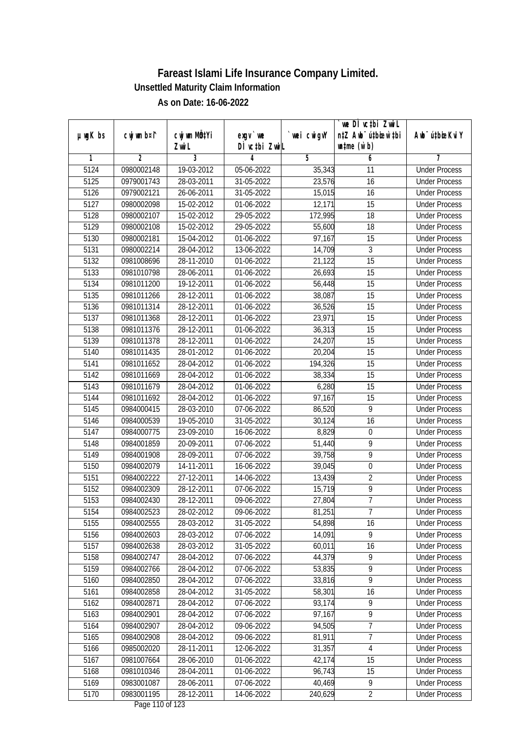|               |                |                       |                                           |            | `we DÌ vc‡bi ZwiL                                           |                             |
|---------------|----------------|-----------------------|-------------------------------------------|------------|-------------------------------------------------------------|-----------------------------|
| $µ$ ug $K$ bs | cwj wm b¤i^    | cwj wm MQtYi<br>Zwi L | $exqu$ we<br>DÌ vctbi ZwiL                | wei cwigvY | n‡Z Awb <sup>-</sup> ú‡bioen`‡bi<br>$\n  untime\n  (u`b)\n$ | Awb <sup>-</sup> ú‡bioeKviY |
| 1             | $\overline{2}$ | 3                     | 4                                         | 5          | 6                                                           | 7                           |
| 5124          | 0980002148     | 19-03-2012            | 05-06-2022                                | 35,343     | 11                                                          | <b>Under Process</b>        |
| 5125          | 0979001743     | 28-03-2011            | 31-05-2022                                | 23,576     | $\overline{16}$                                             | <b>Under Process</b>        |
| 5126          | 0979002121     | 26-06-2011            | 31-05-2022                                | 15,015     | 16                                                          | <b>Under Process</b>        |
| 5127          | 0980002098     | 15-02-2012            | 01-06-2022                                | 12,171     | 15                                                          | <b>Under Process</b>        |
| 5128          | 0980002107     | 15-02-2012            | 29-05-2022                                | 172,995    | $\overline{18}$                                             | <b>Under Process</b>        |
| 5129          | 0980002108     | 15-02-2012            | 29-05-2022                                | 55,600     | $\overline{18}$                                             | <b>Under Process</b>        |
| 5130          | 0980002181     | 15-04-2012            | 01-06-2022                                | 97,167     | 15                                                          | <b>Under Process</b>        |
| 5131          | 0980002214     | 28-04-2012            | 13-06-2022                                | 14,709     | 3                                                           | <b>Under Process</b>        |
| 5132          | 0981008696     | 28-11-2010            | 01-06-2022                                | 21,122     | 15                                                          | <b>Under Process</b>        |
| 5133          | 0981010798     | 28-06-2011            | 01-06-2022                                | 26,693     | 15                                                          | <b>Under Process</b>        |
| 5134          | 0981011200     | 19-12-2011            | 01-06-2022                                | 56,448     | $\overline{15}$                                             | <b>Under Process</b>        |
| 5135          | 0981011266     | 28-12-2011            | 01-06-2022                                | 38,087     | 15                                                          | <b>Under Process</b>        |
| 5136          | 0981011314     | 28-12-2011            | 01-06-2022                                | 36,526     | 15                                                          | <b>Under Process</b>        |
| 5137          | 0981011368     | 28-12-2011            | 01-06-2022                                | 23,971     | 15                                                          | <b>Under Process</b>        |
| 5138          | 0981011376     | 28-12-2011            | 01-06-2022                                | 36,313     | 15                                                          | <b>Under Process</b>        |
| 5139          | 0981011378     | 28-12-2011            | 01-06-2022                                | 24,207     | 15                                                          | <b>Under Process</b>        |
| 5140          | 0981011435     | 28-01-2012            | 01-06-2022                                | 20,204     | 15                                                          | <b>Under Process</b>        |
| 5141          | 0981011652     | 28-04-2012            | 01-06-2022                                | 194,326    | 15                                                          | <b>Under Process</b>        |
| 5142          | 0981011669     | 28-04-2012            | 01-06-2022                                | 38,334     | 15                                                          | <b>Under Process</b>        |
| 5143          | 0981011679     | 28-04-2012            | 01-06-2022                                | 6,280      | 15                                                          | <b>Under Process</b>        |
| 5144          | 0981011692     | 28-04-2012            | 01-06-2022                                | 97,167     | 15                                                          | <b>Under Process</b>        |
| 5145          | 0984000415     | 28-03-2010            | 07-06-2022                                | 86,520     | 9                                                           | <b>Under Process</b>        |
| 5146          | 0984000539     | 19-05-2010            | 31-05-2022                                | 30,124     | $\overline{16}$                                             | <b>Under Process</b>        |
| 5147          | 0984000775     | 23-09-2010            | 16-06-2022                                | 8,829      | $\boldsymbol{0}$                                            | <b>Under Process</b>        |
| 5148          | 0984001859     | 20-09-2011            | 07-06-2022                                | 51,440     | 9                                                           | <b>Under Process</b>        |
| 5149          | 0984001908     | 28-09-2011            | 07-06-2022                                | 39,758     | 9                                                           | <b>Under Process</b>        |
| 5150          | 0984002079     | 14-11-2011            | 16-06-2022                                | 39,045     | $\boldsymbol{0}$                                            | <b>Under Process</b>        |
| 5151          | 0984002222     | 27-12-2011            | 14-06-2022                                | 13,439     | $\overline{2}$                                              | <b>Under Process</b>        |
| 5152          | 0984002309     | 28-12-2011            | 07-06-2022                                | 15,719     | $\overline{9}$                                              | <b>Under Process</b>        |
| 5153          | 0984002430     | 28-12-2011            | 09-06-2022                                | 27,804     | $\overline{7}$                                              | <b>Under Process</b>        |
| 5154          | 0984002523     | 28-02-2012            | 09-06-2022                                | 81,251     | 7                                                           | <b>Under Process</b>        |
| 5155          | 0984002555     | 28-03-2012            | 31-05-2022                                | 54,898     | 16                                                          | <b>Under Process</b>        |
| 5156          | 0984002603     | 28-03-2012            | 07-06-2022                                | 14,091     | 9                                                           | <b>Under Process</b>        |
| 5157          | 0984002638     | 28-03-2012            | 31-05-2022                                | 60,011     | 16                                                          | <b>Under Process</b>        |
| 5158          | 0984002747     | 28-04-2012            | 07-06-2022                                | 44,379     | 9                                                           | <b>Under Process</b>        |
| 5159          | 0984002766     | 28-04-2012            | 07-06-2022                                | 53,835     | $\overline{9}$                                              | <b>Under Process</b>        |
| 5160          | 0984002850     | 28-04-2012            | 07-06-2022                                | 33,816     | $\overline{9}$                                              | <b>Under Process</b>        |
| 5161          | 0984002858     | 28-04-2012            | 31-05-2022                                | 58,301     | 16                                                          | <b>Under Process</b>        |
| 5162          | 0984002871     | 28-04-2012            | 07-06-2022                                | 93,174     | $\overline{9}$                                              | <b>Under Process</b>        |
| 5163          | 0984002901     | 28-04-2012            | 07-06-2022                                | 97,167     | $\overline{9}$                                              | <b>Under Process</b>        |
| 5164          | 0984002907     | 28-04-2012            | 09-06-2022                                | 94,505     | 7                                                           | <b>Under Process</b>        |
| 5165          | 0984002908     | 28-04-2012            | 09-06-2022                                | 81,911     | $\overline{7}$                                              | <b>Under Process</b>        |
| 5166          | 0985002020     | 28-11-2011            | 12-06-2022                                | 31,357     | $\overline{4}$                                              | <b>Under Process</b>        |
| 5167          | 0981007664     | 28-06-2010            | 01-06-2022                                | 42,174     | 15                                                          | <b>Under Process</b>        |
| 5168          | 0981010346     | 28-04-2011            | 01-06-2022                                | 96,743     | 15                                                          | <b>Under Process</b>        |
| 5169          | 0983001087     | 28-06-2011            | 07-06-2022                                | 40,469     | 9                                                           | <b>Under Process</b>        |
| 5170          | 0983001195     | 28-12-2011            | 14-06-2022<br>$D_{\text{max}}$ 110 of 100 | 240,629    | $\overline{2}$                                              | <b>Under Process</b>        |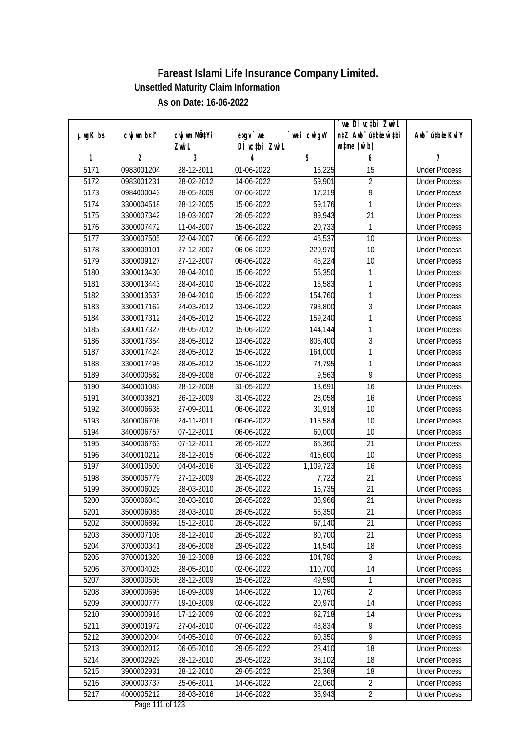|               |                |                       |                            |            | we DI vctbi ZwiL<br>n‡Z Awb <sup>-</sup> ú‡bioar`‡bi |                             |
|---------------|----------------|-----------------------|----------------------------|------------|------------------------------------------------------|-----------------------------|
| $µ$ ug $K$ bs | cwj wm b¤i^    | cwj wm MQtYi<br>Zwi L | $exgV$ we<br>DÌ vctbi ZwiL | wei cwigvY | $\n  untime\n  (u`b)\n$                              | Awb <sup>-</sup> ú‡bioeKviY |
| 1             | $\overline{2}$ | 3                     | 4                          | 5          | 6                                                    | 7                           |
| 5171          | 0983001204     | 28-12-2011            | 01-06-2022                 | 16,225     | $\overline{15}$                                      | <b>Under Process</b>        |
| 5172          | 0983001231     | 28-02-2012            | 14-06-2022                 | 59,901     | $\overline{2}$                                       | <b>Under Process</b>        |
| 5173          | 0984000043     | 28-05-2009            | 07-06-2022                 | 17,219     | $\overline{9}$                                       | <b>Under Process</b>        |
| 5174          | 3300004518     | 28-12-2005            | 15-06-2022                 | 59,176     | 1                                                    | <b>Under Process</b>        |
| 5175          | 3300007342     | 18-03-2007            | 26-05-2022                 | 89,943     | $\overline{21}$                                      | <b>Under Process</b>        |
| 5176          | 3300007472     | 11-04-2007            | 15-06-2022                 | 20,733     | 1                                                    | <b>Under Process</b>        |
| 5177          | 3300007505     | 22-04-2007            | 06-06-2022                 | 45,537     | 10                                                   | <b>Under Process</b>        |
| 5178          | 3300009101     | 27-12-2007            | 06-06-2022                 | 229,970    | 10                                                   | <b>Under Process</b>        |
| 5179          | 3300009127     | 27-12-2007            | 06-06-2022                 | 45,224     | 10                                                   | <b>Under Process</b>        |
| 5180          | 3300013430     | 28-04-2010            | 15-06-2022                 | 55,350     | 1                                                    | <b>Under Process</b>        |
| 5181          | 3300013443     | 28-04-2010            | 15-06-2022                 | 16,583     | 1                                                    | <b>Under Process</b>        |
| 5182          | 3300013537     | 28-04-2010            | 15-06-2022                 | 154,760    | 1                                                    | <b>Under Process</b>        |
| 5183          | 3300017162     | 24-03-2012            | 13-06-2022                 | 793,800    | $\overline{3}$                                       | <b>Under Process</b>        |
| 5184          | 3300017312     | 24-05-2012            | 15-06-2022                 | 159,240    | 1                                                    | <b>Under Process</b>        |
| 5185          | 3300017327     | 28-05-2012            | 15-06-2022                 | 144,144    | 1                                                    | <b>Under Process</b>        |
| 5186          | 3300017354     | 28-05-2012            | 13-06-2022                 | 806,400    | $\mathfrak{Z}$                                       | <b>Under Process</b>        |
| 5187          | 3300017424     | 28-05-2012            | 15-06-2022                 | 164,000    | 1                                                    | <b>Under Process</b>        |
| 5188          | 3300017495     | 28-05-2012            | 15-06-2022                 | 74,795     | 1                                                    | <b>Under Process</b>        |
| 5189          | 3400000582     | 28-09-2008            | 07-06-2022                 | 9,563      | $\overline{9}$                                       | <b>Under Process</b>        |
| 5190          | 3400001083     | 28-12-2008            | 31-05-2022                 | 13,691     | 16                                                   | <b>Under Process</b>        |
| 5191          | 3400003821     | 26-12-2009            | 31-05-2022                 | 28,058     | 16                                                   | <b>Under Process</b>        |
| 5192          | 3400006638     | 27-09-2011            | 06-06-2022                 | 31,918     | 10                                                   | <b>Under Process</b>        |
| 5193          | 3400006706     | 24-11-2011            | 06-06-2022                 | 115,584    | 10                                                   | <b>Under Process</b>        |
| 5194          | 3400006757     | 07-12-2011            | 06-06-2022                 | 60,000     | 10                                                   | <b>Under Process</b>        |
| 5195          | 3400006763     | 07-12-2011            | 26-05-2022                 | 65,360     | 21                                                   | <b>Under Process</b>        |
| 5196          | 3400010212     | 28-12-2015            | 06-06-2022                 | 415,600    | 10                                                   | <b>Under Process</b>        |
| 5197          | 3400010500     | 04-04-2016            | 31-05-2022                 | 1,109,723  | 16                                                   | <b>Under Process</b>        |
| 5198          | 3500005779     | 27-12-2009            | 26-05-2022                 | 7,722      | 21                                                   | <b>Under Process</b>        |
| 5199          | 3500006029     | 28-03-2010            | 26-05-2022                 | 16,735     | 21                                                   | <b>Under Process</b>        |
| 5200          | 3500006043     | 28-03-2010            | 26-05-2022                 | 35,966     | 21                                                   | <b>Under Process</b>        |
| 5201          | 3500006085     | 28-03-2010            | 26-05-2022                 | 55,350     | 21                                                   | <b>Under Process</b>        |
| 5202          | 3500006892     | 15-12-2010            | 26-05-2022                 | 67,140     | 21                                                   | <b>Under Process</b>        |
| 5203          | 3500007108     | 28-12-2010            | 26-05-2022                 | 80,700     | 21                                                   | <b>Under Process</b>        |
| 5204          | 3700000341     | 28-06-2008            | 29-05-2022                 | 14,540     | 18                                                   | <b>Under Process</b>        |
| 5205          | 3700001320     | 28-12-2008            | 13-06-2022                 | 104,780    | 3                                                    | <b>Under Process</b>        |
| 5206          | 3700004028     | 28-05-2010            | 02-06-2022                 | 110,700    | 14                                                   | <b>Under Process</b>        |
| 5207          | 3800000508     | 28-12-2009            | 15-06-2022                 | 49,590     | 1                                                    | <b>Under Process</b>        |
| 5208          | 3900000695     | 16-09-2009            | 14-06-2022                 | 10,760     | $\overline{2}$                                       | <b>Under Process</b>        |
| 5209          | 3900000777     | 19-10-2009            | 02-06-2022                 | 20,970     | 14                                                   | <b>Under Process</b>        |
| 5210          | 3900000916     | 17-12-2009            | 02-06-2022                 | 62,718     | 14                                                   | <b>Under Process</b>        |
| 5211          | 3900001972     | 27-04-2010            | 07-06-2022                 | 43,834     | 9                                                    | <b>Under Process</b>        |
| 5212          | 3900002004     | 04-05-2010            | 07-06-2022                 | 60,350     | $\overline{9}$                                       | <b>Under Process</b>        |
| 5213          | 3900002012     | 06-05-2010            | $29 - 05 - 2022$           | 28,410     | 18                                                   | <b>Under Process</b>        |
| 5214          | 3900002929     | 28-12-2010            | 29-05-2022                 | 38,102     | 18                                                   | <b>Under Process</b>        |
| 5215          | 3900002931     | 28-12-2010            | 29-05-2022                 | 26,368     | 18                                                   | <b>Under Process</b>        |
| 5216          | 3900003737     | 25-06-2011            | 14-06-2022                 | 22,060     | $\overline{2}$                                       | <b>Under Process</b>        |
| 5217          | 4000005212     | 28-03-2016            | 14-06-2022                 | 36,943     | $\overline{2}$                                       | <b>Under Process</b>        |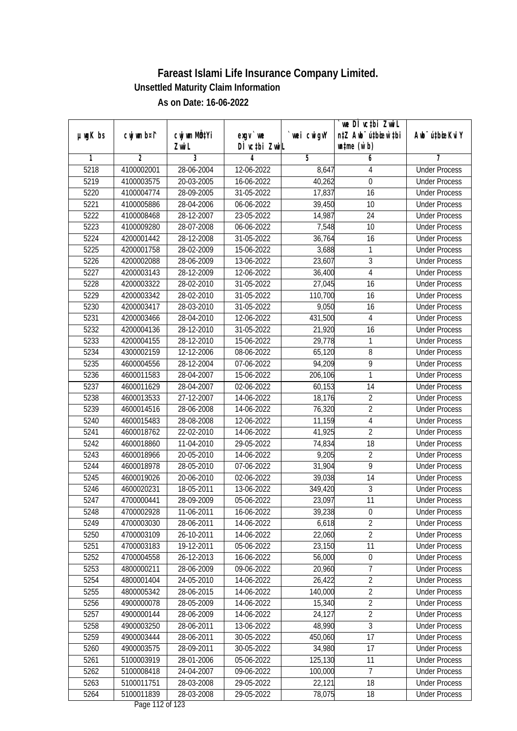|               |                |                       |                            |            | we DI vctbi ZwiL<br>n‡Z Awb <sup>-</sup> ú‡bioar`‡bi |                             |
|---------------|----------------|-----------------------|----------------------------|------------|------------------------------------------------------|-----------------------------|
| $µ$ ug $K$ bs | cwj wm b¤i^    | cwj wm MQtYi<br>Zwi L | $exqu$ we<br>DÌ vctbi ZwiL | wei cwigvY | $\n  untime\n  (u`b)\n$                              | Awb <sup>-</sup> ú‡bioeKviY |
| 1             | $\overline{2}$ | 3                     | 4                          | 5          | 6                                                    | 7                           |
| 5218          | 4100002001     | 28-06-2004            | 12-06-2022                 | 8,647      | $\overline{4}$                                       | <b>Under Process</b>        |
| 5219          | 4100003575     | 20-03-2005            | 16-06-2022                 | 40,262     | $\boldsymbol{0}$                                     | <b>Under Process</b>        |
| 5220          | 4100004774     | 28-09-2005            | 31-05-2022                 | 17,837     | 16                                                   | <b>Under Process</b>        |
| 5221          | 4100005886     | 28-04-2006            | 06-06-2022                 | 39,450     | 10                                                   | <b>Under Process</b>        |
| 5222          | 4100008468     | 28-12-2007            | 23-05-2022                 | 14,987     | $\overline{24}$                                      | <b>Under Process</b>        |
| 5223          | 4100009280     | 28-07-2008            | 06-06-2022                 | 7,548      | 10                                                   | <b>Under Process</b>        |
| 5224          | 4200001442     | 28-12-2008            | $31 - 05 - 2022$           | 36,764     | 16                                                   | <b>Under Process</b>        |
| 5225          | 4200001758     | 28-02-2009            | 15-06-2022                 | 3,688      | 1                                                    | <b>Under Process</b>        |
| 5226          | 4200002088     | 28-06-2009            | 13-06-2022                 | 23,607     | $\overline{3}$                                       | <b>Under Process</b>        |
| 5227          | 4200003143     | 28-12-2009            | 12-06-2022                 | 36,400     | $\overline{4}$                                       | <b>Under Process</b>        |
| 5228          | 4200003322     | 28-02-2010            | 31-05-2022                 | 27,045     | 16                                                   | <b>Under Process</b>        |
| 5229          | 4200003342     | 28-02-2010            | 31-05-2022                 | 110,700    | 16                                                   | <b>Under Process</b>        |
| 5230          | 4200003417     | 28-03-2010            | 31-05-2022                 | 9,050      | $\overline{16}$                                      | <b>Under Process</b>        |
| 5231          | 4200003466     | 28-04-2010            | 12-06-2022                 | 431,500    | 4                                                    | <b>Under Process</b>        |
| 5232          | 4200004136     | 28-12-2010            | 31-05-2022                 | 21,920     | 16                                                   | <b>Under Process</b>        |
| 5233          | 4200004155     | 28-12-2010            | 15-06-2022                 | 29,778     | 1                                                    | <b>Under Process</b>        |
| 5234          | 4300002159     | 12-12-2006            | 08-06-2022                 | 65,120     | $\, 8$                                               | <b>Under Process</b>        |
| 5235          | 4600004556     | 28-12-2004            | 07-06-2022                 | 94,209     | 9                                                    | <b>Under Process</b>        |
| 5236          | 4600011583     | 28-04-2007            | 15-06-2022                 | 206,106    | $\mathbf{1}$                                         | <b>Under Process</b>        |
| 5237          | 4600011629     | 28-04-2007            | 02-06-2022                 | 60,153     | 14                                                   | <b>Under Process</b>        |
| 5238          | 4600013533     | 27-12-2007            | 14-06-2022                 | 18,176     | $\overline{2}$                                       | <b>Under Process</b>        |
| 5239          | 4600014516     | 28-06-2008            | 14-06-2022                 | 76,320     | $\overline{2}$                                       | <b>Under Process</b>        |
| 5240          | 4600015483     | 28-08-2008            | 12-06-2022                 | 11,159     | $\overline{4}$                                       | <b>Under Process</b>        |
| 5241          | 4600018762     | 22-02-2010            | 14-06-2022                 | 41,925     | $\overline{2}$                                       | <b>Under Process</b>        |
| 5242          | 4600018860     | 11-04-2010            | 29-05-2022                 | 74,834     | 18                                                   | <b>Under Process</b>        |
| 5243          | 4600018966     | 20-05-2010            | 14-06-2022                 | 9,205      | $\overline{2}$                                       | <b>Under Process</b>        |
| 5244          | 4600018978     | 28-05-2010            | 07-06-2022                 | 31,904     | 9                                                    | <b>Under Process</b>        |
| 5245          | 4600019026     | 20-06-2010            | 02-06-2022                 | 39,038     | 14                                                   | <b>Under Process</b>        |
| 5246          | 4600020231     | 18-05-2011            | 13-06-2022                 | 349,420    | $\overline{3}$                                       | <b>Under Process</b>        |
| 5247          | 4700000441     | 28-09-2009            | 05-06-2022                 | 23,097     | 11                                                   | <b>Under Process</b>        |
| 5248          | 4700002928     | 11-06-2011            | 16-06-2022                 | 39,238     | $\boldsymbol{0}$                                     | <b>Under Process</b>        |
| 5249          | 4700003030     | 28-06-2011            | 14-06-2022                 | 6,618      | $\overline{2}$                                       | <b>Under Process</b>        |
| 5250          | 4700003109     | 26-10-2011            | 14-06-2022                 | 22,060     | $\overline{2}$                                       | <b>Under Process</b>        |
| 5251          | 4700003183     | 19-12-2011            | 05-06-2022                 | 23,150     | 11                                                   | <b>Under Process</b>        |
| 5252          | 4700004558     | 26-12-2013            | 16-06-2022                 | 56,000     | $\boldsymbol{0}$                                     | <b>Under Process</b>        |
| 5253          | 4800000211     | 28-06-2009            | 09-06-2022                 | 20,960     | 7                                                    | <b>Under Process</b>        |
| 5254          | 4800001404     | 24-05-2010            | 14-06-2022                 | 26,422     | $\overline{2}$                                       | <b>Under Process</b>        |
| 5255          | 4800005342     | 28-06-2015            | 14-06-2022                 | 140,000    | $\overline{2}$                                       | <b>Under Process</b>        |
| 5256          | 4900000078     | 28-05-2009            | 14-06-2022                 | 15,340     | $\overline{2}$                                       | <b>Under Process</b>        |
| 5257          | 4900000144     | 28-06-2009            | 14-06-2022                 | 24,127     | $\overline{2}$                                       | <b>Under Process</b>        |
| 5258          | 4900003250     | 28-06-2011            | 13-06-2022                 | 48,990     | $\sqrt{3}$                                           | <b>Under Process</b>        |
| 5259          | 4900003444     | 28-06-2011            | 30-05-2022                 | 450,060    | 17                                                   | <b>Under Process</b>        |
| 5260          | 4900003575     | 28-09-2011            | 30-05-2022                 | 34,980     | 17                                                   | <b>Under Process</b>        |
| 5261          | 5100003919     | 28-01-2006            | 05-06-2022                 | 125,130    | 11                                                   | <b>Under Process</b>        |
| 5262          | 5100008418     | 24-04-2007            | 09-06-2022                 | 100,000    | 7                                                    | <b>Under Process</b>        |
| 5263          | 5100011751     | 28-03-2008            | 29-05-2022                 | 22,121     | 18                                                   | <b>Under Process</b>        |
| 5264          | 5100011839     | $28-03-2008$          |                            | 78,075     | 18                                                   |                             |
|               |                |                       | 29-05-2022                 |            |                                                      | <b>Under Process</b>        |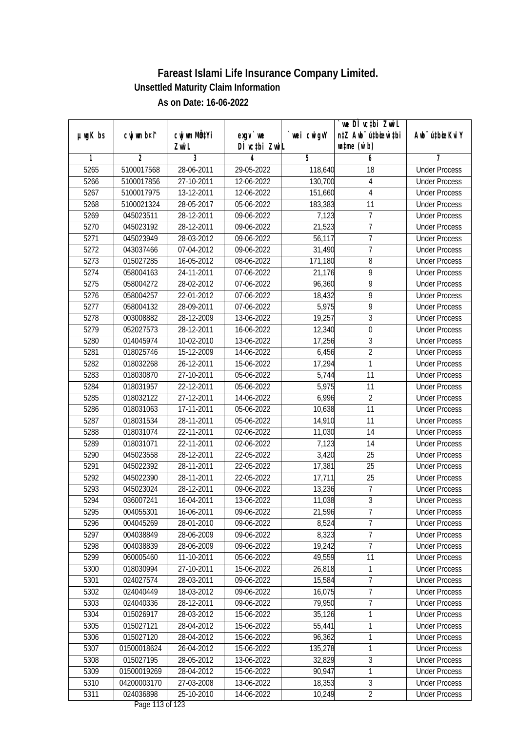|               |                |                           |                                     |             | we DI vctbi ZwiL                 |                             |
|---------------|----------------|---------------------------|-------------------------------------|-------------|----------------------------------|-----------------------------|
| $µ$ ug $K$ bs | cwj wm b¤i^    | cwj wm MQ <sup>1</sup> Yi | $exgV$ we                           | `wei cwigvY | n‡Z Awb <sup>-</sup> ú‡bioen`‡bi | Awb <sup>-</sup> ú‡bioeKviY |
|               |                | Zwi L                     | DÌ vctbi ZwiL                       |             | $\n  untime\n  (u`b)\n$          |                             |
| 1             | $\overline{2}$ | 3                         | 4                                   | 5           | 6                                | 7                           |
| 5265          | 5100017568     | 28-06-2011                | 29-05-2022                          | 118,640     | 18                               | <b>Under Process</b>        |
| 5266          | 5100017856     | 27-10-2011                | 12-06-2022                          | 130,700     | 4                                | <b>Under Process</b>        |
| 5267          | 5100017975     | 13-12-2011                | 12-06-2022                          | 151,660     | $\overline{4}$                   | <b>Under Process</b>        |
| 5268          | 5100021324     | 28-05-2017                | 05-06-2022                          | 183,383     | 11                               | <b>Under Process</b>        |
| 5269          | 045023511      | 28-12-2011                | 09-06-2022                          | 7,123       | $\overline{7}$                   | <b>Under Process</b>        |
| 5270          | 045023192      | 28-12-2011                | 09-06-2022                          | 21,523      | 7                                | <b>Under Process</b>        |
| 5271          | 045023949      | 28-03-2012                | 09-06-2022                          | 56,117      | $\overline{7}$                   | <b>Under Process</b>        |
| 5272          | 043037466      | 07-04-2012                | 09-06-2022                          | 31,490      | $\overline{7}$                   | <b>Under Process</b>        |
| 5273          | 015027285      | 16-05-2012                | 08-06-2022                          | 171,180     | 8                                | <b>Under Process</b>        |
| 5274          | 058004163      | 24-11-2011                | 07-06-2022                          | 21,176      | 9                                | <b>Under Process</b>        |
| 5275          | 058004272      | 28-02-2012                | 07-06-2022                          | 96,360      | 9                                | <b>Under Process</b>        |
| 5276          | 058004257      | 22-01-2012                | 07-06-2022                          | 18,432      | 9                                | <b>Under Process</b>        |
| 5277          | 058004132      | 28-09-2011                | 07-06-2022                          | 5,975       | $\overline{9}$                   | <b>Under Process</b>        |
| 5278          | 003008882      | 28-12-2009                | 13-06-2022                          | 19,257      | $\overline{3}$                   | <b>Under Process</b>        |
| 5279          | 052027573      | 28-12-2011                | 16-06-2022                          | 12,340      | $\boldsymbol{0}$                 | <b>Under Process</b>        |
| 5280          | 014045974      | 10-02-2010                | 13-06-2022                          | 17,256      | 3                                | <b>Under Process</b>        |
| 5281          | 018025746      | 15-12-2009                | 14-06-2022                          | 6,456       | $\overline{2}$                   | <b>Under Process</b>        |
| 5282          | 018032268      | 26-12-2011                | 15-06-2022                          | 17,294      | 1                                | <b>Under Process</b>        |
| 5283          | 018030870      | 27-10-2011                | 05-06-2022                          | 5,744       | 11                               | <b>Under Process</b>        |
| 5284          | 018031957      | 22-12-2011                | 05-06-2022                          | 5,975       | 11                               | <b>Under Process</b>        |
| 5285          | 018032122      | 27-12-2011                | 14-06-2022                          | 6,996       | $\overline{2}$                   | <b>Under Process</b>        |
| 5286          | 018031063      | 17-11-2011                | 05-06-2022                          | 10,638      | 11                               | <b>Under Process</b>        |
| 5287          | 018031534      | 28-11-2011                | 05-06-2022                          | 14,910      | 11                               | <b>Under Process</b>        |
| 5288          | 018031074      | 22-11-2011                | 02-06-2022                          | 11,030      | 14                               | <b>Under Process</b>        |
| 5289          | 018031071      | 22-11-2011                | 02-06-2022                          | 7,123       | 14                               | <b>Under Process</b>        |
| 5290          | 045023558      | 28-12-2011                | 22-05-2022                          | 3,420       | 25                               | <b>Under Process</b>        |
| 5291          | 045022392      | 28-11-2011                | 22-05-2022                          | 17,381      | 25                               | <b>Under Process</b>        |
| 5292          | 045022390      | 28-11-2011                | 22-05-2022                          | 17,711      | 25                               | <b>Under Process</b>        |
| 5293          | 045023024      | 28-12-2011                | 09-06-2022                          | 13,236      | $\overline{7}$                   | <b>Under Process</b>        |
| 5294          | 036007241      | 16-04-2011                | 13-06-2022                          | 11,038      | $\overline{3}$                   | <b>Under Process</b>        |
| 5295          | 004055301      | 16-06-2011                | 09-06-2022                          | 21,596      | 7                                | <b>Under Process</b>        |
| 5296          | 004045269      | 28-01-2010                | 09-06-2022                          | 8,524       | $\overline{7}$                   | <b>Under Process</b>        |
| 5297          | 004038849      | 28-06-2009                | 09-06-2022                          | 8,323       | $\overline{7}$                   | <b>Under Process</b>        |
| 5298          | 004038839      | 28-06-2009                | 09-06-2022                          | 19,242      | $\overline{7}$                   | <b>Under Process</b>        |
| 5299          | 060005460      | 11-10-2011                | 05-06-2022                          | 49,559      | 11                               | <b>Under Process</b>        |
| 5300          | 018030994      | 27-10-2011                | 15-06-2022                          | 26,818      | 1                                | <b>Under Process</b>        |
| 5301          | 024027574      | 28-03-2011                | 09-06-2022                          | 15,584      | 7                                | <b>Under Process</b>        |
| 5302          | 024040449      | 18-03-2012                | 09-06-2022                          | 16,075      | $\overline{7}$                   | <b>Under Process</b>        |
| 5303          | 024040336      | 28-12-2011                | 09-06-2022                          | 79,950      | 7                                | <b>Under Process</b>        |
| 5304          | 015026917      | 28-03-2012                | 15-06-2022                          | 35,126      | 1                                | <b>Under Process</b>        |
| 5305          | 015027121      | 28-04-2012                | 15-06-2022                          | 55,441      | 1                                | <b>Under Process</b>        |
| 5306          | 015027120      | 28-04-2012                | 15-06-2022                          | 96,362      | 1                                | <b>Under Process</b>        |
| 5307          | 01500018624    | 26-04-2012                | 15-06-2022                          | 135,278     | 1                                | <b>Under Process</b>        |
| 5308          | 015027195      | 28-05-2012                | 13-06-2022                          | 32,829      | $\overline{3}$                   | <b>Under Process</b>        |
| 5309          | 01500019269    | 28-04-2012                | 15-06-2022                          | 90,947      | 1                                | <b>Under Process</b>        |
| 5310          | 04200003170    | 27-03-2008                | 13-06-2022                          | 18,353      | $\overline{3}$                   | <b>Under Process</b>        |
| 5311          | 024036898      | 25-10-2010                | 14-06-2022<br>$D_{0.92}$ 112 of 122 | 10,249      | $\overline{2}$                   | <b>Under Process</b>        |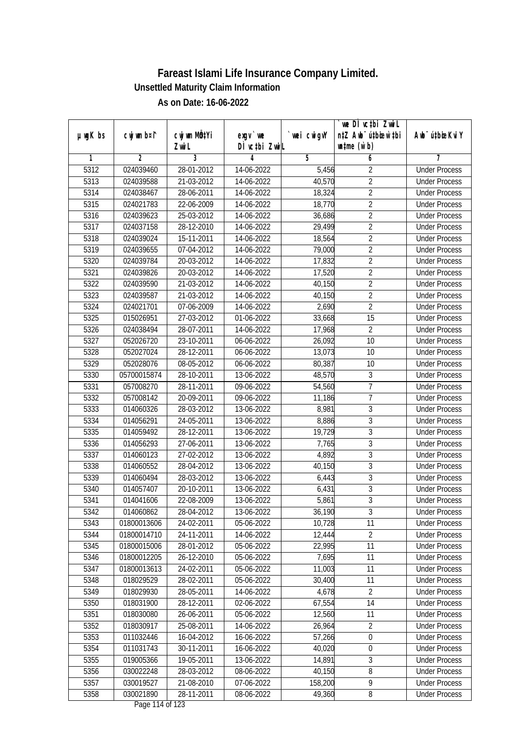|               |                |                           |                       |             | we DI vctbi ZwiL                 |                             |
|---------------|----------------|---------------------------|-----------------------|-------------|----------------------------------|-----------------------------|
| $µ$ ug $K$ bs | cwj wm b¤i^    | cwj wm MQ <sup>1</sup> Yi | $exgV$ we             | `wei cwigvY | n‡Z Awb <sup>-</sup> ú‡bioen`‡bi | Awb <sup>-</sup> ú‡bioeKviY |
|               |                | Zwi L                     | DÌ vctbi ZwiL         |             | $\n  untime\n  (u`b)\n$          |                             |
| 1             | $\overline{2}$ | 3                         | 4                     | 5           | 6                                | 7                           |
| 5312          | 024039460      | 28-01-2012                | 14-06-2022            | 5,456       | $\overline{2}$                   | <b>Under Process</b>        |
| 5313          | 024039588      | 21-03-2012                | 14-06-2022            | 40,570      | $\overline{2}$                   | <b>Under Process</b>        |
| 5314          | 024038467      | 28-06-2011                | 14-06-2022            | 18,324      | $\overline{2}$                   | <b>Under Process</b>        |
| 5315          | 024021783      | 22-06-2009                | 14-06-2022            | 18,770      | $\overline{2}$                   | <b>Under Process</b>        |
| 5316          | 024039623      | 25-03-2012                | 14-06-2022            | 36,686      | $\overline{2}$                   | <b>Under Process</b>        |
| 5317          | 024037158      | 28-12-2010                | 14-06-2022            | 29,499      | $\overline{2}$                   | <b>Under Process</b>        |
| 5318          | 024039024      | 15-11-2011                | 14-06-2022            | 18,564      | $\overline{2}$                   | <b>Under Process</b>        |
| 5319          | 024039655      | 07-04-2012                | 14-06-2022            | 79,000      | $\overline{2}$                   | <b>Under Process</b>        |
| 5320          | 024039784      | 20-03-2012                | 14-06-2022            | 17,832      | $\overline{2}$                   | <b>Under Process</b>        |
| 5321          | 024039826      | 20-03-2012                | 14-06-2022            | 17,520      | $\overline{2}$                   | <b>Under Process</b>        |
| 5322          | 024039590      | 21-03-2012                | 14-06-2022            | 40,150      | $\overline{2}$                   | <b>Under Process</b>        |
| 5323          | 024039587      | 21-03-2012                | 14-06-2022            | 40,150      | $\overline{2}$                   | <b>Under Process</b>        |
| 5324          | 024021701      | 07-06-2009                | 14-06-2022            | 2,690       | $\overline{2}$                   | <b>Under Process</b>        |
| 5325          | 015026951      | 27-03-2012                | 01-06-2022            | 33,668      | 15                               | <b>Under Process</b>        |
| 5326          | 024038494      | 28-07-2011                | 14-06-2022            | 17,968      | $\overline{2}$                   | <b>Under Process</b>        |
| 5327          | 052026720      | 23-10-2011                | 06-06-2022            | 26,092      | 10                               | <b>Under Process</b>        |
| 5328          | 052027024      | 28-12-2011                | 06-06-2022            | 13,073      | 10                               | <b>Under Process</b>        |
| 5329          | 052028076      | 08-05-2012                | 06-06-2022            | 80,387      | 10                               | <b>Under Process</b>        |
| 5330          | 05700015874    | 28-10-2011                | 13-06-2022            | 48,570      | $\sqrt{3}$                       | <b>Under Process</b>        |
| 5331          | 057008270      | 28-11-2011                | 09-06-2022            | 54,560      | $\overline{7}$                   | <b>Under Process</b>        |
| 5332          | 057008142      | 20-09-2011                | 09-06-2022            | 11,186      | $\overline{7}$                   | <b>Under Process</b>        |
| 5333          | 014060326      | 28-03-2012                | 13-06-2022            | 8,981       | 3                                | <b>Under Process</b>        |
| 5334          | 014056291      | 24-05-2011                | 13-06-2022            | 8,886       | 3                                | <b>Under Process</b>        |
| 5335          | 014059492      | 28-12-2011                | 13-06-2022            | 19,729      | $\overline{3}$                   | <b>Under Process</b>        |
| 5336          | 014056293      | 27-06-2011                | 13-06-2022            | 7,765       | $\overline{3}$                   | <b>Under Process</b>        |
| 5337          | 014060123      | 27-02-2012                | 13-06-2022            | 4,892       | 3                                | <b>Under Process</b>        |
| 5338          | 014060552      | 28-04-2012                | 13-06-2022            | 40,150      | 3                                | <b>Under Process</b>        |
| 5339          | 014060494      | 28-03-2012                | 13-06-2022            | 6,443       | $\overline{3}$                   | <b>Under Process</b>        |
| 5340          | 014057407      | 20-10-2011                | 13-06-2022            | 6,431       | $\overline{3}$                   | <b>Under Process</b>        |
| 5341          | 014041606      | 22-08-2009                | 13-06-2022            | 5,861       | $\overline{3}$                   | <b>Under Process</b>        |
| 5342          | 014060862      | 28-04-2012                | 13-06-2022            | 36,190      | 3                                | <b>Under Process</b>        |
| 5343          | 01800013606    | 24-02-2011                | 05-06-2022            | 10,728      | 11                               | <b>Under Process</b>        |
| 5344          | 01800014710    | 24-11-2011                | 14-06-2022            | 12,444      | $\overline{2}$                   | <b>Under Process</b>        |
| 5345          | 01800015006    | 28-01-2012                | 05-06-2022            | 22,995      | 11                               | <b>Under Process</b>        |
| 5346          | 01800012205    | 26-12-2010                | 05-06-2022            | 7,695       | 11                               | <b>Under Process</b>        |
| 5347          | 01800013613    | 24-02-2011                | 05-06-2022            | 11,003      | 11                               | <b>Under Process</b>        |
| 5348          | 018029529      | 28-02-2011                | 05-06-2022            | 30,400      | 11                               | <b>Under Process</b>        |
| 5349          | 018029930      | 28-05-2011                | 14-06-2022            | 4,678       | $\overline{2}$                   | <b>Under Process</b>        |
| 5350          | 018031900      | 28-12-2011                | 02-06-2022            | 67,554      | 14                               | <b>Under Process</b>        |
| 5351          | 018030080      | 26-06-2011                | 05-06-2022            | 12,560      | 11                               | <b>Under Process</b>        |
| 5352          | 018030917      | 25-08-2011                | 14-06-2022            | 26,964      | $\sqrt{2}$                       | <b>Under Process</b>        |
| 5353          | 011032446      | 16-04-2012                | 16-06-2022            | 57,266      | $\boldsymbol{0}$                 | <b>Under Process</b>        |
| 5354          | 011031743      | 30-11-2011                | 16-06-2022            | 40,020      | 0                                | <b>Under Process</b>        |
| 5355          | 019005366      | 19-05-2011                | 13-06-2022            | 14,891      | 3                                | <b>Under Process</b>        |
| 5356          | 030022248      | 28-03-2012                | 08-06-2022            | 40,150      | $\overline{8}$                   | <b>Under Process</b>        |
| 5357          | 030019527      | 21-08-2010                | 07-06-2022            | 158,200     | $\overline{9}$                   | <b>Under Process</b>        |
| 5358          | 030021890      | 28-11-2011                | 08-06-2022            | 49,360      | 8                                | <b>Under Process</b>        |
|               |                |                           | $D_{0.92}$ 114 of 122 |             |                                  |                             |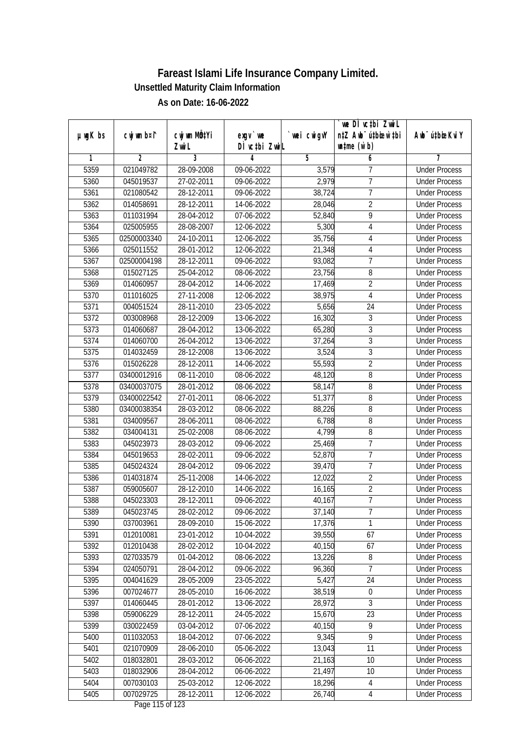|               |                |                           |                                     |                | we DI vctbi ZwiL                 |                             |
|---------------|----------------|---------------------------|-------------------------------------|----------------|----------------------------------|-----------------------------|
| $µ$ ug $K$ bs | cwj wm b¤i^    | cwj wm MQ <sup>1</sup> Yi | $exgV$ we                           | `wei cwigvY    | n‡Z Awb <sup>-</sup> ú‡bioen`‡bi | Awb <sup>-</sup> ú‡bioeKviY |
|               |                | Zwi L                     | DÌ vctbi ZwiL                       |                | $\n  untime\n  (u`b)\n$          |                             |
| 1             | $\overline{2}$ | 3                         | 4                                   | $\overline{5}$ | 6                                | 7                           |
| 5359          | 021049782      | 28-09-2008                | 09-06-2022                          | 3,579          | 7                                | <b>Under Process</b>        |
| 5360          | 045019537      | 27-02-2011                | 09-06-2022                          | 2,979          | $\overline{7}$                   | <b>Under Process</b>        |
| 5361          | 021080542      | 28-12-2011                | 09-06-2022                          | 38,724         | $\overline{7}$                   | <b>Under Process</b>        |
| 5362          | 014058691      | 28-12-2011                | 14-06-2022                          | 28,046         | $\overline{2}$                   | <b>Under Process</b>        |
| 5363          | 011031994      | 28-04-2012                | 07-06-2022                          | 52,840         | $\overline{9}$                   | <b>Under Process</b>        |
| 5364          | 025005955      | 28-08-2007                | 12-06-2022                          | 5,300          | 4                                | <b>Under Process</b>        |
| 5365          | 02500003340    | 24-10-2011                | 12-06-2022                          | 35,756         | 4                                | <b>Under Process</b>        |
| 5366          | 025011552      | 28-01-2012                | 12-06-2022                          | 21,348         | 4                                | <b>Under Process</b>        |
| 5367          | 02500004198    | 28-12-2011                | 09-06-2022                          | 93,082         | $\overline{7}$                   | <b>Under Process</b>        |
| 5368          | 015027125      | 25-04-2012                | 08-06-2022                          | 23,756         | 8                                | <b>Under Process</b>        |
| 5369          | 014060957      | 28-04-2012                | 14-06-2022                          | 17,469         | $\overline{2}$                   | <b>Under Process</b>        |
| 5370          | 011016025      | 27-11-2008                | 12-06-2022                          | 38,975         | $\overline{4}$                   | <b>Under Process</b>        |
| 5371          | 004051524      | 28-11-2010                | 23-05-2022                          | 5,656          | $\overline{24}$                  | <b>Under Process</b>        |
| 5372          | 003008968      | 28-12-2009                | 13-06-2022                          | 16,302         | $\sqrt{3}$                       | <b>Under Process</b>        |
| 5373          | 014060687      | 28-04-2012                | 13-06-2022                          | 65,280         | $\overline{3}$                   | <b>Under Process</b>        |
| 5374          | 014060700      | 26-04-2012                | 13-06-2022                          | 37,264         | 3                                | <b>Under Process</b>        |
| 5375          | 014032459      | 28-12-2008                | 13-06-2022                          | 3,524          | 3                                | <b>Under Process</b>        |
| 5376          | 015026228      | 28-12-2011                | 14-06-2022                          | 55,593         | $\overline{2}$                   | <b>Under Process</b>        |
| 5377          | 03400012916    | 08-11-2010                | 08-06-2022                          | 48,120         | 8                                | <b>Under Process</b>        |
| 5378          | 03400037075    | 28-01-2012                | 08-06-2022                          | 58,147         | 8                                | <b>Under Process</b>        |
| 5379          | 03400022542    | 27-01-2011                | 08-06-2022                          | 51,377         | 8                                | <b>Under Process</b>        |
| 5380          | 03400038354    | 28-03-2012                | 08-06-2022                          | 88,226         | 8                                | <b>Under Process</b>        |
| 5381          | 034009567      | 28-06-2011                | 08-06-2022                          | 6,788          | 8                                | <b>Under Process</b>        |
| 5382          | 034004131      | 25-02-2008                | 08-06-2022                          | 4,799          | 8                                | <b>Under Process</b>        |
| 5383          | 045023973      | 28-03-2012                | 09-06-2022                          | 25,469         | $\overline{7}$                   | <b>Under Process</b>        |
| 5384          | 045019653      | 28-02-2011                | 09-06-2022                          | 52,870         | 7                                | <b>Under Process</b>        |
| 5385          | 045024324      | 28-04-2012                | 09-06-2022                          | 39,470         | $\overline{1}$                   | <b>Under Process</b>        |
| 5386          | 014031874      | 25-11-2008                | 14-06-2022                          | 12,022         | $\overline{2}$                   | <b>Under Process</b>        |
| 5387          | 059005607      | 28-12-2010                | 14-06-2022                          | 16,165         | $\overline{2}$                   | <b>Under Process</b>        |
| 5388          | 045023303      | 28-12-2011                | 09-06-2022                          | 40,167         | $\overline{7}$                   | <b>Under Process</b>        |
| 5389          | 045023745      | 28-02-2012                | 09-06-2022                          | 37,140         | 7                                | <b>Under Process</b>        |
| 5390          | 037003961      | 28-09-2010                | 15-06-2022                          | 17,376         | 1                                | <b>Under Process</b>        |
| 5391          | 012010081      | 23-01-2012                | 10-04-2022                          | 39,550         | 67                               | <b>Under Process</b>        |
| 5392          | 012010438      | 28-02-2012                | 10-04-2022                          | 40,150         | 67                               | <b>Under Process</b>        |
| 5393          | 027033579      | 01-04-2012                | 08-06-2022                          | 13,226         | 8                                | <b>Under Process</b>        |
| 5394          | 024050791      | 28-04-2012                | 09-06-2022                          | 96,360         | 7                                | <b>Under Process</b>        |
| 5395          | 004041629      | 28-05-2009                | 23-05-2022                          | 5,427          | 24                               | <b>Under Process</b>        |
| 5396          | 007024677      | 28-05-2010                | 16-06-2022                          | 38,519         | $\boldsymbol{0}$                 | <b>Under Process</b>        |
| 5397          | 014060445      | 28-01-2012                | 13-06-2022                          | 28,972         | 3                                | <b>Under Process</b>        |
| 5398          | 059006229      | 28-12-2011                | 24-05-2022                          | 15,670         | 23                               | <b>Under Process</b>        |
| 5399          | 030022459      | 03-04-2012                | 07-06-2022                          | 40,150         | 9                                | <b>Under Process</b>        |
| 5400          | 011032053      | 18-04-2012                | 07-06-2022                          | 9,345          | $\overline{9}$                   | <b>Under Process</b>        |
| 5401          | 021070909      | 28-06-2010                | 05-06-2022                          | 13,043         | 11                               | <b>Under Process</b>        |
| 5402          | 018032801      | 28-03-2012                | 06-06-2022                          | 21,163         | 10                               | <b>Under Process</b>        |
| 5403          | 018032906      | 28-04-2012                | 06-06-2022                          | 21,497         | 10                               | <b>Under Process</b>        |
| 5404          | 007030103      | 25-03-2012                | 12-06-2022                          | 18,296         | 4                                | <b>Under Process</b>        |
| 5405          | 007029725      | 28-12-2011                | 12-06-2022<br>$D_{0.92}$ 11E of 122 | 26,740         | 4                                | <b>Under Process</b>        |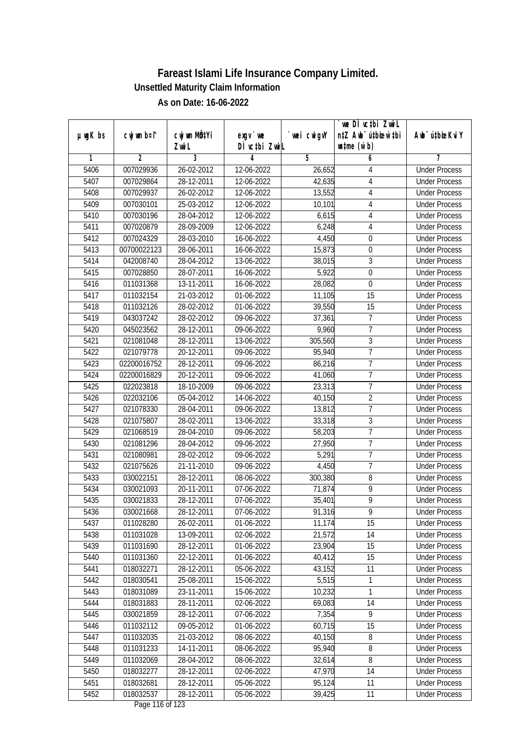|               |                |                           |                                     |             | `we DÌ vc‡bi Zwwi∟               |                             |
|---------------|----------------|---------------------------|-------------------------------------|-------------|----------------------------------|-----------------------------|
| $µ$ ug $K$ bs | cwj wm b¤i^    | cwj wm MQ <sup>1</sup> Yi | $exqu$ we                           | `wei cwigvY | n‡Z Awb <sup>-</sup> ú‡bioen`‡bi | Awb <sup>-</sup> ú‡bioeKviY |
|               |                | Zwi L                     | DÌ vctbi ZwiL                       |             | $\n  untime\n  (u`b)\n$          |                             |
| 1             | $\overline{2}$ | 3                         | 4                                   | 5           | 6                                | 7                           |
| 5406          | 007029936      | 26-02-2012                | 12-06-2022                          | 26,652      | 4                                | <b>Under Process</b>        |
| 5407          | 007029864      | 28-12-2011                | 12-06-2022                          | 42,635      | $\overline{4}$                   | <b>Under Process</b>        |
| 5408          | 007029937      | 26-02-2012                | 12-06-2022                          | 13,552      | $\sqrt{4}$                       | <b>Under Process</b>        |
| 5409          | 007030101      | 25-03-2012                | 12-06-2022                          | 10,101      | $\overline{4}$                   | <b>Under Process</b>        |
| 5410          | 007030196      | 28-04-2012                | 12-06-2022                          | 6,615       | $\overline{4}$                   | <b>Under Process</b>        |
| 5411          | 007020879      | 28-09-2009                | 12-06-2022                          | 6,248       | $\overline{4}$                   | <b>Under Process</b>        |
| 5412          | 007024329      | 28-03-2010                | 16-06-2022                          | 4,450       | 0                                | <b>Under Process</b>        |
| 5413          | 00700022123    | 28-06-2011                | 16-06-2022                          | 15,873      | 0                                | <b>Under Process</b>        |
| 5414          | 042008740      | 28-04-2012                | 13-06-2022                          | 38,015      | 3                                | <b>Under Process</b>        |
| 5415          | 007028850      | 28-07-2011                | 16-06-2022                          | 5,922       | $\boldsymbol{0}$                 | <b>Under Process</b>        |
| 5416          | 011031368      | 13-11-2011                | 16-06-2022                          | 28,082      | 0                                | <b>Under Process</b>        |
| 5417          | 011032154      | 21-03-2012                | 01-06-2022                          | 11,105      | 15                               | <b>Under Process</b>        |
| 5418          | 011032126      | 28-02-2012                | 01-06-2022                          | 39,550      | 15                               | <b>Under Process</b>        |
| 5419          | 043037242      | 28-02-2012                | 09-06-2022                          | 37,361      | $\overline{7}$                   | <b>Under Process</b>        |
| 5420          | 045023562      | 28-12-2011                | 09-06-2022                          | 9,960       | $\overline{1}$                   | <b>Under Process</b>        |
| 5421          | 021081048      | 28-12-2011                | $\overline{13} - 06 - 2022$         | 305,560     | $\overline{3}$                   | <b>Under Process</b>        |
| 5422          | 021079778      | 20-12-2011                | 09-06-2022                          | 95,940      | $\overline{1}$                   | <b>Under Process</b>        |
| 5423          | 02200016752    | 28-12-2011                | 09-06-2022                          | 86,216      | $\overline{7}$                   | <b>Under Process</b>        |
| 5424          | 02200016829    | 20-12-2011                | 09-06-2022                          | 41,060      | 7                                | <b>Under Process</b>        |
| 5425          | 022023818      | 18-10-2009                | 09-06-2022                          | 23,313      | 7                                | <b>Under Process</b>        |
| 5426          | 022032106      | 05-04-2012                | 14-06-2022                          | 40,150      | $\overline{2}$                   | <b>Under Process</b>        |
| 5427          | 021078330      | 28-04-2011                | 09-06-2022                          | 13,812      | $\overline{1}$                   | <b>Under Process</b>        |
| 5428          | 021075807      | 28-02-2011                | 13-06-2022                          | 33,318      | $\overline{3}$                   | <b>Under Process</b>        |
| 5429          | 021068519      | 28-04-2010                | 09-06-2022                          | 58,203      | $\overline{7}$                   | <b>Under Process</b>        |
| 5430          | 021081296      | 28-04-2012                | 09-06-2022                          | 27,950      | 7                                | <b>Under Process</b>        |
| 5431          | 021080981      | 28-02-2012                | 09-06-2022                          | 5,291       | $\overline{1}$                   | <b>Under Process</b>        |
| 5432          | 021075626      | 21-11-2010                | 09-06-2022                          | 4,450       | $\overline{7}$                   | <b>Under Process</b>        |
| 5433          | 030022151      | 28-12-2011                | 08-06-2022                          | 300,380     | 8                                | <b>Under Process</b>        |
| 5434          | 030021093      | 20-11-2011                | 07-06-2022                          | 71,874      | $\overline{9}$                   | <b>Under Process</b>        |
| 5435          | 030021833      | 28-12-2011                | 07-06-2022                          | 35,401      | $\overline{9}$                   | <b>Under Process</b>        |
| 5436          | 030021668      | 28-12-2011                | 07-06-2022                          | 91,316      | 9                                | <b>Under Process</b>        |
| 5437          | 011028280      | 26-02-2011                | 01-06-2022                          | 11,174      | 15                               | <b>Under Process</b>        |
| 5438          | 011031028      | 13-09-2011                | 02-06-2022                          | 21,572      | 14                               | <b>Under Process</b>        |
| 5439          | 011031690      | 28-12-2011                | 01-06-2022                          | 23,904      | 15                               | <b>Under Process</b>        |
| 5440          | 011031360      | 22-12-2011                | 01-06-2022                          | 40,412      | 15                               | <b>Under Process</b>        |
| 5441          | 018032271      | 28-12-2011                | 05-06-2022                          | 43,152      | 11                               | <b>Under Process</b>        |
| 5442          | 018030541      | 25-08-2011                | 15-06-2022                          | 5,515       | $\mathbf{1}$                     | <b>Under Process</b>        |
| 5443          | 018031089      | 23-11-2011                | 15-06-2022                          | 10,232      | 1                                | <b>Under Process</b>        |
| 5444          | 018031883      | 28-11-2011                | 02-06-2022                          | 69,083      | 14                               | <b>Under Process</b>        |
| 5445          | 030021859      | 28-12-2011                | 07-06-2022                          | 7,354       | 9                                | <b>Under Process</b>        |
| 5446          | 011032112      | 09-05-2012                | 01-06-2022                          | 60,715      | 15                               | <b>Under Process</b>        |
| 5447          | 011032035      | 21-03-2012                | 08-06-2022                          | 40,150      | 8                                | <b>Under Process</b>        |
| 5448          | 011031233      | 14-11-2011                | 08-06-2022                          | 95,940      | $\overline{8}$                   | <b>Under Process</b>        |
| 5449          | 011032069      | 28-04-2012                | 08-06-2022                          | 32,614      | 8                                | <b>Under Process</b>        |
| 5450          | 018032277      | 28-12-2011                | 02-06-2022                          | 47,970      | 14                               | <b>Under Process</b>        |
| 5451          | 018032681      | 28-12-2011                | 05-06-2022                          | 95,124      | 11                               | <b>Under Process</b>        |
| 5452          | 018032537      | 28-12-2011                | 05-06-2022<br>$D_{0.88}$ 11/ of 100 | 39,425      | 11                               | <b>Under Process</b>        |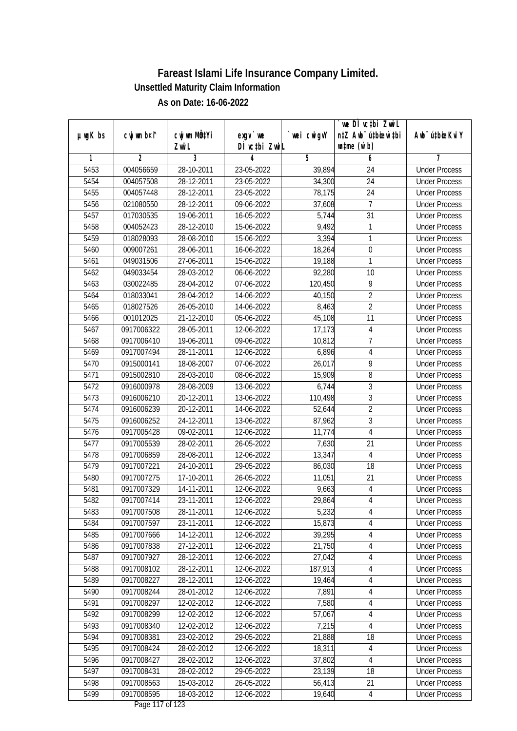| DÌ vctbi ZwiL<br>$\n  untime\n  (u`b)\n$<br>Zwi L<br>3<br>2<br>5<br>6<br>1<br>4<br>7<br>5453<br>004056659<br>28-10-2011<br>23-05-2022<br><b>Under Process</b><br>39,894<br>24<br>$\overline{24}$<br>5454<br>004057508<br>28-12-2011<br>23-05-2022<br>34,300<br><b>Under Process</b><br>5455<br>004057448<br>28-12-2011<br>23-05-2022<br>78,175<br>24<br><b>Under Process</b><br>5456<br>09-06-2022<br>37,608<br>7<br>021080550<br>28-12-2011<br><b>Under Process</b><br>$\overline{31}$<br>5457<br>017030535<br>19-06-2011<br>16-05-2022<br>5,744<br><b>Under Process</b><br>28-12-2010<br>9,492<br>5458<br>004052423<br>15-06-2022<br>1<br><b>Under Process</b><br>3,394<br>5459<br>018028093<br>28-08-2010<br>15-06-2022<br>1<br><b>Under Process</b><br>18,264<br>5460<br>009007261<br>28-06-2011<br>16-06-2022<br>$\boldsymbol{0}$<br><b>Under Process</b><br>1<br>5461<br>049031506<br>27-06-2011<br>15-06-2022<br>19,188<br><b>Under Process</b><br>5462<br>049033454<br>28-03-2012<br>06-06-2022<br>92,280<br>10<br><b>Under Process</b><br>5463<br>030022485<br>28-04-2012<br>07-06-2022<br>120,450<br>9<br><b>Under Process</b><br>40,150<br>$\overline{2}$<br>5464<br>018033041<br>28-04-2012<br>14-06-2022<br><b>Under Process</b><br>$\overline{2}$<br>5465<br>018027526<br>26-05-2010<br>14-06-2022<br>8,463<br><b>Under Process</b><br>5466<br>11<br>001012025<br>21-12-2010<br>05-06-2022<br>45,108<br><b>Under Process</b><br>5467<br>0917006322<br>28-05-2011<br>12-06-2022<br>17,173<br>$\overline{4}$<br><b>Under Process</b><br>$\overline{7}$<br>5468<br>0917006410<br>19-06-2011<br>09-06-2022<br>10,812<br><b>Under Process</b><br>5469<br>28-11-2011<br>12-06-2022<br>6,896<br>0917007494<br>4<br><b>Under Process</b><br>9<br>5470<br>0915000141<br>18-08-2007<br>26,017<br>07-06-2022<br><b>Under Process</b><br>5471<br>8<br>0915002810<br>28-03-2010<br>08-06-2022<br>15,909<br><b>Under Process</b><br>3<br>5472<br>28-08-2009<br>6,744<br>0916000978<br>13-06-2022<br><b>Under Process</b><br>3<br>5473<br>0916006210<br>20-12-2011<br>13-06-2022<br>110,498<br><b>Under Process</b><br>$\overline{2}$<br>5474<br>0916006239<br>20-12-2011<br>52,644<br>14-06-2022<br><b>Under Process</b><br>87,962<br>3<br>5475<br>0916006252<br>24-12-2011<br>13-06-2022<br><b>Under Process</b><br>$\overline{4}$<br>5476<br>0917005428<br>09-02-2011<br>12-06-2022<br>11,774<br><b>Under Process</b><br>5477<br>26-05-2022<br>7,630<br>21<br>0917005539<br>28-02-2011<br><b>Under Process</b><br>5478<br>0917006859<br>28-08-2011<br>4<br>12-06-2022<br>13,347<br><b>Under Process</b><br>5479<br>0917007221<br>24-10-2011<br>29-05-2022<br>86,030<br>18<br><b>Under Process</b><br>21<br>5480<br>0917007275<br>17-10-2011<br>26-05-2022<br>11,051<br><b>Under Process</b><br>5481<br>$\overline{4}$<br>0917007329<br>14-11-2011<br>12-06-2022<br>9,663<br><b>Under Process</b><br>29,864<br>5482<br>0917007414<br>23-11-2011<br>12-06-2022<br>$\overline{4}$<br><b>Under Process</b><br>5483<br>0917007508<br>28-11-2011<br>12-06-2022<br>5,232<br>4<br><b>Under Process</b><br>4<br>5484<br>0917007597<br>23-11-2011<br>12-06-2022<br>15,873<br><b>Under Process</b><br>5485<br>39,295<br>4<br>0917007666<br>14-12-2011<br>12-06-2022<br><b>Under Process</b><br>21,750<br>4<br>5486<br>0917007838<br>27-12-2011<br>12-06-2022<br><b>Under Process</b><br>27,042<br>$\sqrt{4}$<br>5487<br>0917007927<br>28-12-2011<br>12-06-2022<br><b>Under Process</b><br>5488<br>0917008102<br>28-12-2011<br>12-06-2022<br>187,913<br><b>Under Process</b><br>4<br>5489<br>0917008227<br>28-12-2011<br>12-06-2022<br>19,464<br>4<br><b>Under Process</b><br>7,891<br>5490<br>0917008244<br>28-01-2012<br>12-06-2022<br>4<br><b>Under Process</b><br>7,580<br>5491<br>0917008297<br>12-02-2012<br>12-06-2022<br>4<br><b>Under Process</b><br>$\overline{4}$<br>0917008299<br>5492<br>12-02-2012<br>12-06-2022<br>57,067<br><b>Under Process</b><br>5493<br>0917008340<br>7,215<br>$\overline{4}$<br><b>Under Process</b><br>12-02-2012<br>12-06-2022 |               |             |                           |           |             | `we DÌ vc‡bi ZwiL                |                             |
|-------------------------------------------------------------------------------------------------------------------------------------------------------------------------------------------------------------------------------------------------------------------------------------------------------------------------------------------------------------------------------------------------------------------------------------------------------------------------------------------------------------------------------------------------------------------------------------------------------------------------------------------------------------------------------------------------------------------------------------------------------------------------------------------------------------------------------------------------------------------------------------------------------------------------------------------------------------------------------------------------------------------------------------------------------------------------------------------------------------------------------------------------------------------------------------------------------------------------------------------------------------------------------------------------------------------------------------------------------------------------------------------------------------------------------------------------------------------------------------------------------------------------------------------------------------------------------------------------------------------------------------------------------------------------------------------------------------------------------------------------------------------------------------------------------------------------------------------------------------------------------------------------------------------------------------------------------------------------------------------------------------------------------------------------------------------------------------------------------------------------------------------------------------------------------------------------------------------------------------------------------------------------------------------------------------------------------------------------------------------------------------------------------------------------------------------------------------------------------------------------------------------------------------------------------------------------------------------------------------------------------------------------------------------------------------------------------------------------------------------------------------------------------------------------------------------------------------------------------------------------------------------------------------------------------------------------------------------------------------------------------------------------------------------------------------------------------------------------------------------------------------------------------------------------------------------------------------------------------------------------------------------------------------------------------------------------------------------------------------------------------------------------------------------------------------------------------------------------------------------------------------------------------------------------------------------------------------------------------------------------------------------------------------------------------------------------------------------------------------------------------------------------------------------------------------------------------------------------------------------------------------------------------------------------------------------------------------------------------------------------------------------------------------------------------------|---------------|-------------|---------------------------|-----------|-------------|----------------------------------|-----------------------------|
|                                                                                                                                                                                                                                                                                                                                                                                                                                                                                                                                                                                                                                                                                                                                                                                                                                                                                                                                                                                                                                                                                                                                                                                                                                                                                                                                                                                                                                                                                                                                                                                                                                                                                                                                                                                                                                                                                                                                                                                                                                                                                                                                                                                                                                                                                                                                                                                                                                                                                                                                                                                                                                                                                                                                                                                                                                                                                                                                                                                                                                                                                                                                                                                                                                                                                                                                                                                                                                                                                                                                                                                                                                                                                                                                                                                                                                                                                                                                                                                                                                                             | $µ$ ug $K$ bs | cwj wm b¤i^ | cwj wm MQ <sup>1</sup> Yi | $exgV$ we | `wei cwigvY | n‡Z Awb <sup>-</sup> ú‡bioen`‡bi | Awb <sup>-</sup> ú‡bioeKviY |
|                                                                                                                                                                                                                                                                                                                                                                                                                                                                                                                                                                                                                                                                                                                                                                                                                                                                                                                                                                                                                                                                                                                                                                                                                                                                                                                                                                                                                                                                                                                                                                                                                                                                                                                                                                                                                                                                                                                                                                                                                                                                                                                                                                                                                                                                                                                                                                                                                                                                                                                                                                                                                                                                                                                                                                                                                                                                                                                                                                                                                                                                                                                                                                                                                                                                                                                                                                                                                                                                                                                                                                                                                                                                                                                                                                                                                                                                                                                                                                                                                                                             |               |             |                           |           |             |                                  |                             |
|                                                                                                                                                                                                                                                                                                                                                                                                                                                                                                                                                                                                                                                                                                                                                                                                                                                                                                                                                                                                                                                                                                                                                                                                                                                                                                                                                                                                                                                                                                                                                                                                                                                                                                                                                                                                                                                                                                                                                                                                                                                                                                                                                                                                                                                                                                                                                                                                                                                                                                                                                                                                                                                                                                                                                                                                                                                                                                                                                                                                                                                                                                                                                                                                                                                                                                                                                                                                                                                                                                                                                                                                                                                                                                                                                                                                                                                                                                                                                                                                                                                             |               |             |                           |           |             |                                  |                             |
|                                                                                                                                                                                                                                                                                                                                                                                                                                                                                                                                                                                                                                                                                                                                                                                                                                                                                                                                                                                                                                                                                                                                                                                                                                                                                                                                                                                                                                                                                                                                                                                                                                                                                                                                                                                                                                                                                                                                                                                                                                                                                                                                                                                                                                                                                                                                                                                                                                                                                                                                                                                                                                                                                                                                                                                                                                                                                                                                                                                                                                                                                                                                                                                                                                                                                                                                                                                                                                                                                                                                                                                                                                                                                                                                                                                                                                                                                                                                                                                                                                                             |               |             |                           |           |             |                                  |                             |
|                                                                                                                                                                                                                                                                                                                                                                                                                                                                                                                                                                                                                                                                                                                                                                                                                                                                                                                                                                                                                                                                                                                                                                                                                                                                                                                                                                                                                                                                                                                                                                                                                                                                                                                                                                                                                                                                                                                                                                                                                                                                                                                                                                                                                                                                                                                                                                                                                                                                                                                                                                                                                                                                                                                                                                                                                                                                                                                                                                                                                                                                                                                                                                                                                                                                                                                                                                                                                                                                                                                                                                                                                                                                                                                                                                                                                                                                                                                                                                                                                                                             |               |             |                           |           |             |                                  |                             |
|                                                                                                                                                                                                                                                                                                                                                                                                                                                                                                                                                                                                                                                                                                                                                                                                                                                                                                                                                                                                                                                                                                                                                                                                                                                                                                                                                                                                                                                                                                                                                                                                                                                                                                                                                                                                                                                                                                                                                                                                                                                                                                                                                                                                                                                                                                                                                                                                                                                                                                                                                                                                                                                                                                                                                                                                                                                                                                                                                                                                                                                                                                                                                                                                                                                                                                                                                                                                                                                                                                                                                                                                                                                                                                                                                                                                                                                                                                                                                                                                                                                             |               |             |                           |           |             |                                  |                             |
|                                                                                                                                                                                                                                                                                                                                                                                                                                                                                                                                                                                                                                                                                                                                                                                                                                                                                                                                                                                                                                                                                                                                                                                                                                                                                                                                                                                                                                                                                                                                                                                                                                                                                                                                                                                                                                                                                                                                                                                                                                                                                                                                                                                                                                                                                                                                                                                                                                                                                                                                                                                                                                                                                                                                                                                                                                                                                                                                                                                                                                                                                                                                                                                                                                                                                                                                                                                                                                                                                                                                                                                                                                                                                                                                                                                                                                                                                                                                                                                                                                                             |               |             |                           |           |             |                                  |                             |
|                                                                                                                                                                                                                                                                                                                                                                                                                                                                                                                                                                                                                                                                                                                                                                                                                                                                                                                                                                                                                                                                                                                                                                                                                                                                                                                                                                                                                                                                                                                                                                                                                                                                                                                                                                                                                                                                                                                                                                                                                                                                                                                                                                                                                                                                                                                                                                                                                                                                                                                                                                                                                                                                                                                                                                                                                                                                                                                                                                                                                                                                                                                                                                                                                                                                                                                                                                                                                                                                                                                                                                                                                                                                                                                                                                                                                                                                                                                                                                                                                                                             |               |             |                           |           |             |                                  |                             |
|                                                                                                                                                                                                                                                                                                                                                                                                                                                                                                                                                                                                                                                                                                                                                                                                                                                                                                                                                                                                                                                                                                                                                                                                                                                                                                                                                                                                                                                                                                                                                                                                                                                                                                                                                                                                                                                                                                                                                                                                                                                                                                                                                                                                                                                                                                                                                                                                                                                                                                                                                                                                                                                                                                                                                                                                                                                                                                                                                                                                                                                                                                                                                                                                                                                                                                                                                                                                                                                                                                                                                                                                                                                                                                                                                                                                                                                                                                                                                                                                                                                             |               |             |                           |           |             |                                  |                             |
|                                                                                                                                                                                                                                                                                                                                                                                                                                                                                                                                                                                                                                                                                                                                                                                                                                                                                                                                                                                                                                                                                                                                                                                                                                                                                                                                                                                                                                                                                                                                                                                                                                                                                                                                                                                                                                                                                                                                                                                                                                                                                                                                                                                                                                                                                                                                                                                                                                                                                                                                                                                                                                                                                                                                                                                                                                                                                                                                                                                                                                                                                                                                                                                                                                                                                                                                                                                                                                                                                                                                                                                                                                                                                                                                                                                                                                                                                                                                                                                                                                                             |               |             |                           |           |             |                                  |                             |
|                                                                                                                                                                                                                                                                                                                                                                                                                                                                                                                                                                                                                                                                                                                                                                                                                                                                                                                                                                                                                                                                                                                                                                                                                                                                                                                                                                                                                                                                                                                                                                                                                                                                                                                                                                                                                                                                                                                                                                                                                                                                                                                                                                                                                                                                                                                                                                                                                                                                                                                                                                                                                                                                                                                                                                                                                                                                                                                                                                                                                                                                                                                                                                                                                                                                                                                                                                                                                                                                                                                                                                                                                                                                                                                                                                                                                                                                                                                                                                                                                                                             |               |             |                           |           |             |                                  |                             |
|                                                                                                                                                                                                                                                                                                                                                                                                                                                                                                                                                                                                                                                                                                                                                                                                                                                                                                                                                                                                                                                                                                                                                                                                                                                                                                                                                                                                                                                                                                                                                                                                                                                                                                                                                                                                                                                                                                                                                                                                                                                                                                                                                                                                                                                                                                                                                                                                                                                                                                                                                                                                                                                                                                                                                                                                                                                                                                                                                                                                                                                                                                                                                                                                                                                                                                                                                                                                                                                                                                                                                                                                                                                                                                                                                                                                                                                                                                                                                                                                                                                             |               |             |                           |           |             |                                  |                             |
|                                                                                                                                                                                                                                                                                                                                                                                                                                                                                                                                                                                                                                                                                                                                                                                                                                                                                                                                                                                                                                                                                                                                                                                                                                                                                                                                                                                                                                                                                                                                                                                                                                                                                                                                                                                                                                                                                                                                                                                                                                                                                                                                                                                                                                                                                                                                                                                                                                                                                                                                                                                                                                                                                                                                                                                                                                                                                                                                                                                                                                                                                                                                                                                                                                                                                                                                                                                                                                                                                                                                                                                                                                                                                                                                                                                                                                                                                                                                                                                                                                                             |               |             |                           |           |             |                                  |                             |
|                                                                                                                                                                                                                                                                                                                                                                                                                                                                                                                                                                                                                                                                                                                                                                                                                                                                                                                                                                                                                                                                                                                                                                                                                                                                                                                                                                                                                                                                                                                                                                                                                                                                                                                                                                                                                                                                                                                                                                                                                                                                                                                                                                                                                                                                                                                                                                                                                                                                                                                                                                                                                                                                                                                                                                                                                                                                                                                                                                                                                                                                                                                                                                                                                                                                                                                                                                                                                                                                                                                                                                                                                                                                                                                                                                                                                                                                                                                                                                                                                                                             |               |             |                           |           |             |                                  |                             |
|                                                                                                                                                                                                                                                                                                                                                                                                                                                                                                                                                                                                                                                                                                                                                                                                                                                                                                                                                                                                                                                                                                                                                                                                                                                                                                                                                                                                                                                                                                                                                                                                                                                                                                                                                                                                                                                                                                                                                                                                                                                                                                                                                                                                                                                                                                                                                                                                                                                                                                                                                                                                                                                                                                                                                                                                                                                                                                                                                                                                                                                                                                                                                                                                                                                                                                                                                                                                                                                                                                                                                                                                                                                                                                                                                                                                                                                                                                                                                                                                                                                             |               |             |                           |           |             |                                  |                             |
|                                                                                                                                                                                                                                                                                                                                                                                                                                                                                                                                                                                                                                                                                                                                                                                                                                                                                                                                                                                                                                                                                                                                                                                                                                                                                                                                                                                                                                                                                                                                                                                                                                                                                                                                                                                                                                                                                                                                                                                                                                                                                                                                                                                                                                                                                                                                                                                                                                                                                                                                                                                                                                                                                                                                                                                                                                                                                                                                                                                                                                                                                                                                                                                                                                                                                                                                                                                                                                                                                                                                                                                                                                                                                                                                                                                                                                                                                                                                                                                                                                                             |               |             |                           |           |             |                                  |                             |
|                                                                                                                                                                                                                                                                                                                                                                                                                                                                                                                                                                                                                                                                                                                                                                                                                                                                                                                                                                                                                                                                                                                                                                                                                                                                                                                                                                                                                                                                                                                                                                                                                                                                                                                                                                                                                                                                                                                                                                                                                                                                                                                                                                                                                                                                                                                                                                                                                                                                                                                                                                                                                                                                                                                                                                                                                                                                                                                                                                                                                                                                                                                                                                                                                                                                                                                                                                                                                                                                                                                                                                                                                                                                                                                                                                                                                                                                                                                                                                                                                                                             |               |             |                           |           |             |                                  |                             |
|                                                                                                                                                                                                                                                                                                                                                                                                                                                                                                                                                                                                                                                                                                                                                                                                                                                                                                                                                                                                                                                                                                                                                                                                                                                                                                                                                                                                                                                                                                                                                                                                                                                                                                                                                                                                                                                                                                                                                                                                                                                                                                                                                                                                                                                                                                                                                                                                                                                                                                                                                                                                                                                                                                                                                                                                                                                                                                                                                                                                                                                                                                                                                                                                                                                                                                                                                                                                                                                                                                                                                                                                                                                                                                                                                                                                                                                                                                                                                                                                                                                             |               |             |                           |           |             |                                  |                             |
|                                                                                                                                                                                                                                                                                                                                                                                                                                                                                                                                                                                                                                                                                                                                                                                                                                                                                                                                                                                                                                                                                                                                                                                                                                                                                                                                                                                                                                                                                                                                                                                                                                                                                                                                                                                                                                                                                                                                                                                                                                                                                                                                                                                                                                                                                                                                                                                                                                                                                                                                                                                                                                                                                                                                                                                                                                                                                                                                                                                                                                                                                                                                                                                                                                                                                                                                                                                                                                                                                                                                                                                                                                                                                                                                                                                                                                                                                                                                                                                                                                                             |               |             |                           |           |             |                                  |                             |
|                                                                                                                                                                                                                                                                                                                                                                                                                                                                                                                                                                                                                                                                                                                                                                                                                                                                                                                                                                                                                                                                                                                                                                                                                                                                                                                                                                                                                                                                                                                                                                                                                                                                                                                                                                                                                                                                                                                                                                                                                                                                                                                                                                                                                                                                                                                                                                                                                                                                                                                                                                                                                                                                                                                                                                                                                                                                                                                                                                                                                                                                                                                                                                                                                                                                                                                                                                                                                                                                                                                                                                                                                                                                                                                                                                                                                                                                                                                                                                                                                                                             |               |             |                           |           |             |                                  |                             |
|                                                                                                                                                                                                                                                                                                                                                                                                                                                                                                                                                                                                                                                                                                                                                                                                                                                                                                                                                                                                                                                                                                                                                                                                                                                                                                                                                                                                                                                                                                                                                                                                                                                                                                                                                                                                                                                                                                                                                                                                                                                                                                                                                                                                                                                                                                                                                                                                                                                                                                                                                                                                                                                                                                                                                                                                                                                                                                                                                                                                                                                                                                                                                                                                                                                                                                                                                                                                                                                                                                                                                                                                                                                                                                                                                                                                                                                                                                                                                                                                                                                             |               |             |                           |           |             |                                  |                             |
|                                                                                                                                                                                                                                                                                                                                                                                                                                                                                                                                                                                                                                                                                                                                                                                                                                                                                                                                                                                                                                                                                                                                                                                                                                                                                                                                                                                                                                                                                                                                                                                                                                                                                                                                                                                                                                                                                                                                                                                                                                                                                                                                                                                                                                                                                                                                                                                                                                                                                                                                                                                                                                                                                                                                                                                                                                                                                                                                                                                                                                                                                                                                                                                                                                                                                                                                                                                                                                                                                                                                                                                                                                                                                                                                                                                                                                                                                                                                                                                                                                                             |               |             |                           |           |             |                                  |                             |
|                                                                                                                                                                                                                                                                                                                                                                                                                                                                                                                                                                                                                                                                                                                                                                                                                                                                                                                                                                                                                                                                                                                                                                                                                                                                                                                                                                                                                                                                                                                                                                                                                                                                                                                                                                                                                                                                                                                                                                                                                                                                                                                                                                                                                                                                                                                                                                                                                                                                                                                                                                                                                                                                                                                                                                                                                                                                                                                                                                                                                                                                                                                                                                                                                                                                                                                                                                                                                                                                                                                                                                                                                                                                                                                                                                                                                                                                                                                                                                                                                                                             |               |             |                           |           |             |                                  |                             |
|                                                                                                                                                                                                                                                                                                                                                                                                                                                                                                                                                                                                                                                                                                                                                                                                                                                                                                                                                                                                                                                                                                                                                                                                                                                                                                                                                                                                                                                                                                                                                                                                                                                                                                                                                                                                                                                                                                                                                                                                                                                                                                                                                                                                                                                                                                                                                                                                                                                                                                                                                                                                                                                                                                                                                                                                                                                                                                                                                                                                                                                                                                                                                                                                                                                                                                                                                                                                                                                                                                                                                                                                                                                                                                                                                                                                                                                                                                                                                                                                                                                             |               |             |                           |           |             |                                  |                             |
|                                                                                                                                                                                                                                                                                                                                                                                                                                                                                                                                                                                                                                                                                                                                                                                                                                                                                                                                                                                                                                                                                                                                                                                                                                                                                                                                                                                                                                                                                                                                                                                                                                                                                                                                                                                                                                                                                                                                                                                                                                                                                                                                                                                                                                                                                                                                                                                                                                                                                                                                                                                                                                                                                                                                                                                                                                                                                                                                                                                                                                                                                                                                                                                                                                                                                                                                                                                                                                                                                                                                                                                                                                                                                                                                                                                                                                                                                                                                                                                                                                                             |               |             |                           |           |             |                                  |                             |
|                                                                                                                                                                                                                                                                                                                                                                                                                                                                                                                                                                                                                                                                                                                                                                                                                                                                                                                                                                                                                                                                                                                                                                                                                                                                                                                                                                                                                                                                                                                                                                                                                                                                                                                                                                                                                                                                                                                                                                                                                                                                                                                                                                                                                                                                                                                                                                                                                                                                                                                                                                                                                                                                                                                                                                                                                                                                                                                                                                                                                                                                                                                                                                                                                                                                                                                                                                                                                                                                                                                                                                                                                                                                                                                                                                                                                                                                                                                                                                                                                                                             |               |             |                           |           |             |                                  |                             |
|                                                                                                                                                                                                                                                                                                                                                                                                                                                                                                                                                                                                                                                                                                                                                                                                                                                                                                                                                                                                                                                                                                                                                                                                                                                                                                                                                                                                                                                                                                                                                                                                                                                                                                                                                                                                                                                                                                                                                                                                                                                                                                                                                                                                                                                                                                                                                                                                                                                                                                                                                                                                                                                                                                                                                                                                                                                                                                                                                                                                                                                                                                                                                                                                                                                                                                                                                                                                                                                                                                                                                                                                                                                                                                                                                                                                                                                                                                                                                                                                                                                             |               |             |                           |           |             |                                  |                             |
|                                                                                                                                                                                                                                                                                                                                                                                                                                                                                                                                                                                                                                                                                                                                                                                                                                                                                                                                                                                                                                                                                                                                                                                                                                                                                                                                                                                                                                                                                                                                                                                                                                                                                                                                                                                                                                                                                                                                                                                                                                                                                                                                                                                                                                                                                                                                                                                                                                                                                                                                                                                                                                                                                                                                                                                                                                                                                                                                                                                                                                                                                                                                                                                                                                                                                                                                                                                                                                                                                                                                                                                                                                                                                                                                                                                                                                                                                                                                                                                                                                                             |               |             |                           |           |             |                                  |                             |
|                                                                                                                                                                                                                                                                                                                                                                                                                                                                                                                                                                                                                                                                                                                                                                                                                                                                                                                                                                                                                                                                                                                                                                                                                                                                                                                                                                                                                                                                                                                                                                                                                                                                                                                                                                                                                                                                                                                                                                                                                                                                                                                                                                                                                                                                                                                                                                                                                                                                                                                                                                                                                                                                                                                                                                                                                                                                                                                                                                                                                                                                                                                                                                                                                                                                                                                                                                                                                                                                                                                                                                                                                                                                                                                                                                                                                                                                                                                                                                                                                                                             |               |             |                           |           |             |                                  |                             |
|                                                                                                                                                                                                                                                                                                                                                                                                                                                                                                                                                                                                                                                                                                                                                                                                                                                                                                                                                                                                                                                                                                                                                                                                                                                                                                                                                                                                                                                                                                                                                                                                                                                                                                                                                                                                                                                                                                                                                                                                                                                                                                                                                                                                                                                                                                                                                                                                                                                                                                                                                                                                                                                                                                                                                                                                                                                                                                                                                                                                                                                                                                                                                                                                                                                                                                                                                                                                                                                                                                                                                                                                                                                                                                                                                                                                                                                                                                                                                                                                                                                             |               |             |                           |           |             |                                  |                             |
|                                                                                                                                                                                                                                                                                                                                                                                                                                                                                                                                                                                                                                                                                                                                                                                                                                                                                                                                                                                                                                                                                                                                                                                                                                                                                                                                                                                                                                                                                                                                                                                                                                                                                                                                                                                                                                                                                                                                                                                                                                                                                                                                                                                                                                                                                                                                                                                                                                                                                                                                                                                                                                                                                                                                                                                                                                                                                                                                                                                                                                                                                                                                                                                                                                                                                                                                                                                                                                                                                                                                                                                                                                                                                                                                                                                                                                                                                                                                                                                                                                                             |               |             |                           |           |             |                                  |                             |
|                                                                                                                                                                                                                                                                                                                                                                                                                                                                                                                                                                                                                                                                                                                                                                                                                                                                                                                                                                                                                                                                                                                                                                                                                                                                                                                                                                                                                                                                                                                                                                                                                                                                                                                                                                                                                                                                                                                                                                                                                                                                                                                                                                                                                                                                                                                                                                                                                                                                                                                                                                                                                                                                                                                                                                                                                                                                                                                                                                                                                                                                                                                                                                                                                                                                                                                                                                                                                                                                                                                                                                                                                                                                                                                                                                                                                                                                                                                                                                                                                                                             |               |             |                           |           |             |                                  |                             |
|                                                                                                                                                                                                                                                                                                                                                                                                                                                                                                                                                                                                                                                                                                                                                                                                                                                                                                                                                                                                                                                                                                                                                                                                                                                                                                                                                                                                                                                                                                                                                                                                                                                                                                                                                                                                                                                                                                                                                                                                                                                                                                                                                                                                                                                                                                                                                                                                                                                                                                                                                                                                                                                                                                                                                                                                                                                                                                                                                                                                                                                                                                                                                                                                                                                                                                                                                                                                                                                                                                                                                                                                                                                                                                                                                                                                                                                                                                                                                                                                                                                             |               |             |                           |           |             |                                  |                             |
|                                                                                                                                                                                                                                                                                                                                                                                                                                                                                                                                                                                                                                                                                                                                                                                                                                                                                                                                                                                                                                                                                                                                                                                                                                                                                                                                                                                                                                                                                                                                                                                                                                                                                                                                                                                                                                                                                                                                                                                                                                                                                                                                                                                                                                                                                                                                                                                                                                                                                                                                                                                                                                                                                                                                                                                                                                                                                                                                                                                                                                                                                                                                                                                                                                                                                                                                                                                                                                                                                                                                                                                                                                                                                                                                                                                                                                                                                                                                                                                                                                                             |               |             |                           |           |             |                                  |                             |
|                                                                                                                                                                                                                                                                                                                                                                                                                                                                                                                                                                                                                                                                                                                                                                                                                                                                                                                                                                                                                                                                                                                                                                                                                                                                                                                                                                                                                                                                                                                                                                                                                                                                                                                                                                                                                                                                                                                                                                                                                                                                                                                                                                                                                                                                                                                                                                                                                                                                                                                                                                                                                                                                                                                                                                                                                                                                                                                                                                                                                                                                                                                                                                                                                                                                                                                                                                                                                                                                                                                                                                                                                                                                                                                                                                                                                                                                                                                                                                                                                                                             |               |             |                           |           |             |                                  |                             |
|                                                                                                                                                                                                                                                                                                                                                                                                                                                                                                                                                                                                                                                                                                                                                                                                                                                                                                                                                                                                                                                                                                                                                                                                                                                                                                                                                                                                                                                                                                                                                                                                                                                                                                                                                                                                                                                                                                                                                                                                                                                                                                                                                                                                                                                                                                                                                                                                                                                                                                                                                                                                                                                                                                                                                                                                                                                                                                                                                                                                                                                                                                                                                                                                                                                                                                                                                                                                                                                                                                                                                                                                                                                                                                                                                                                                                                                                                                                                                                                                                                                             |               |             |                           |           |             |                                  |                             |
|                                                                                                                                                                                                                                                                                                                                                                                                                                                                                                                                                                                                                                                                                                                                                                                                                                                                                                                                                                                                                                                                                                                                                                                                                                                                                                                                                                                                                                                                                                                                                                                                                                                                                                                                                                                                                                                                                                                                                                                                                                                                                                                                                                                                                                                                                                                                                                                                                                                                                                                                                                                                                                                                                                                                                                                                                                                                                                                                                                                                                                                                                                                                                                                                                                                                                                                                                                                                                                                                                                                                                                                                                                                                                                                                                                                                                                                                                                                                                                                                                                                             |               |             |                           |           |             |                                  |                             |
|                                                                                                                                                                                                                                                                                                                                                                                                                                                                                                                                                                                                                                                                                                                                                                                                                                                                                                                                                                                                                                                                                                                                                                                                                                                                                                                                                                                                                                                                                                                                                                                                                                                                                                                                                                                                                                                                                                                                                                                                                                                                                                                                                                                                                                                                                                                                                                                                                                                                                                                                                                                                                                                                                                                                                                                                                                                                                                                                                                                                                                                                                                                                                                                                                                                                                                                                                                                                                                                                                                                                                                                                                                                                                                                                                                                                                                                                                                                                                                                                                                                             |               |             |                           |           |             |                                  |                             |
|                                                                                                                                                                                                                                                                                                                                                                                                                                                                                                                                                                                                                                                                                                                                                                                                                                                                                                                                                                                                                                                                                                                                                                                                                                                                                                                                                                                                                                                                                                                                                                                                                                                                                                                                                                                                                                                                                                                                                                                                                                                                                                                                                                                                                                                                                                                                                                                                                                                                                                                                                                                                                                                                                                                                                                                                                                                                                                                                                                                                                                                                                                                                                                                                                                                                                                                                                                                                                                                                                                                                                                                                                                                                                                                                                                                                                                                                                                                                                                                                                                                             |               |             |                           |           |             |                                  |                             |
|                                                                                                                                                                                                                                                                                                                                                                                                                                                                                                                                                                                                                                                                                                                                                                                                                                                                                                                                                                                                                                                                                                                                                                                                                                                                                                                                                                                                                                                                                                                                                                                                                                                                                                                                                                                                                                                                                                                                                                                                                                                                                                                                                                                                                                                                                                                                                                                                                                                                                                                                                                                                                                                                                                                                                                                                                                                                                                                                                                                                                                                                                                                                                                                                                                                                                                                                                                                                                                                                                                                                                                                                                                                                                                                                                                                                                                                                                                                                                                                                                                                             |               |             |                           |           |             |                                  |                             |
|                                                                                                                                                                                                                                                                                                                                                                                                                                                                                                                                                                                                                                                                                                                                                                                                                                                                                                                                                                                                                                                                                                                                                                                                                                                                                                                                                                                                                                                                                                                                                                                                                                                                                                                                                                                                                                                                                                                                                                                                                                                                                                                                                                                                                                                                                                                                                                                                                                                                                                                                                                                                                                                                                                                                                                                                                                                                                                                                                                                                                                                                                                                                                                                                                                                                                                                                                                                                                                                                                                                                                                                                                                                                                                                                                                                                                                                                                                                                                                                                                                                             |               |             |                           |           |             |                                  |                             |
|                                                                                                                                                                                                                                                                                                                                                                                                                                                                                                                                                                                                                                                                                                                                                                                                                                                                                                                                                                                                                                                                                                                                                                                                                                                                                                                                                                                                                                                                                                                                                                                                                                                                                                                                                                                                                                                                                                                                                                                                                                                                                                                                                                                                                                                                                                                                                                                                                                                                                                                                                                                                                                                                                                                                                                                                                                                                                                                                                                                                                                                                                                                                                                                                                                                                                                                                                                                                                                                                                                                                                                                                                                                                                                                                                                                                                                                                                                                                                                                                                                                             |               |             |                           |           |             |                                  |                             |
|                                                                                                                                                                                                                                                                                                                                                                                                                                                                                                                                                                                                                                                                                                                                                                                                                                                                                                                                                                                                                                                                                                                                                                                                                                                                                                                                                                                                                                                                                                                                                                                                                                                                                                                                                                                                                                                                                                                                                                                                                                                                                                                                                                                                                                                                                                                                                                                                                                                                                                                                                                                                                                                                                                                                                                                                                                                                                                                                                                                                                                                                                                                                                                                                                                                                                                                                                                                                                                                                                                                                                                                                                                                                                                                                                                                                                                                                                                                                                                                                                                                             |               |             |                           |           |             |                                  |                             |
|                                                                                                                                                                                                                                                                                                                                                                                                                                                                                                                                                                                                                                                                                                                                                                                                                                                                                                                                                                                                                                                                                                                                                                                                                                                                                                                                                                                                                                                                                                                                                                                                                                                                                                                                                                                                                                                                                                                                                                                                                                                                                                                                                                                                                                                                                                                                                                                                                                                                                                                                                                                                                                                                                                                                                                                                                                                                                                                                                                                                                                                                                                                                                                                                                                                                                                                                                                                                                                                                                                                                                                                                                                                                                                                                                                                                                                                                                                                                                                                                                                                             |               |             |                           |           |             |                                  |                             |
| 0917008381<br>23-02-2012<br>5494<br>29-05-2022<br>21,888<br>18<br><b>Under Process</b>                                                                                                                                                                                                                                                                                                                                                                                                                                                                                                                                                                                                                                                                                                                                                                                                                                                                                                                                                                                                                                                                                                                                                                                                                                                                                                                                                                                                                                                                                                                                                                                                                                                                                                                                                                                                                                                                                                                                                                                                                                                                                                                                                                                                                                                                                                                                                                                                                                                                                                                                                                                                                                                                                                                                                                                                                                                                                                                                                                                                                                                                                                                                                                                                                                                                                                                                                                                                                                                                                                                                                                                                                                                                                                                                                                                                                                                                                                                                                                      |               |             |                           |           |             |                                  |                             |
| 5495<br>0917008424<br>28-02-2012<br>12-06-2022<br>18,311<br>4<br><b>Under Process</b>                                                                                                                                                                                                                                                                                                                                                                                                                                                                                                                                                                                                                                                                                                                                                                                                                                                                                                                                                                                                                                                                                                                                                                                                                                                                                                                                                                                                                                                                                                                                                                                                                                                                                                                                                                                                                                                                                                                                                                                                                                                                                                                                                                                                                                                                                                                                                                                                                                                                                                                                                                                                                                                                                                                                                                                                                                                                                                                                                                                                                                                                                                                                                                                                                                                                                                                                                                                                                                                                                                                                                                                                                                                                                                                                                                                                                                                                                                                                                                       |               |             |                           |           |             |                                  |                             |
| 0917008427<br>28-02-2012<br>37,802<br>4<br>5496<br>12-06-2022<br><b>Under Process</b>                                                                                                                                                                                                                                                                                                                                                                                                                                                                                                                                                                                                                                                                                                                                                                                                                                                                                                                                                                                                                                                                                                                                                                                                                                                                                                                                                                                                                                                                                                                                                                                                                                                                                                                                                                                                                                                                                                                                                                                                                                                                                                                                                                                                                                                                                                                                                                                                                                                                                                                                                                                                                                                                                                                                                                                                                                                                                                                                                                                                                                                                                                                                                                                                                                                                                                                                                                                                                                                                                                                                                                                                                                                                                                                                                                                                                                                                                                                                                                       |               |             |                           |           |             |                                  |                             |
| 23,139<br>18<br>5497<br>0917008431<br>28-02-2012<br>29-05-2022<br><b>Under Process</b>                                                                                                                                                                                                                                                                                                                                                                                                                                                                                                                                                                                                                                                                                                                                                                                                                                                                                                                                                                                                                                                                                                                                                                                                                                                                                                                                                                                                                                                                                                                                                                                                                                                                                                                                                                                                                                                                                                                                                                                                                                                                                                                                                                                                                                                                                                                                                                                                                                                                                                                                                                                                                                                                                                                                                                                                                                                                                                                                                                                                                                                                                                                                                                                                                                                                                                                                                                                                                                                                                                                                                                                                                                                                                                                                                                                                                                                                                                                                                                      |               |             |                           |           |             |                                  |                             |
| 5498<br>0917008563<br>15-03-2012<br>56,413<br>21<br><b>Under Process</b><br>26-05-2022                                                                                                                                                                                                                                                                                                                                                                                                                                                                                                                                                                                                                                                                                                                                                                                                                                                                                                                                                                                                                                                                                                                                                                                                                                                                                                                                                                                                                                                                                                                                                                                                                                                                                                                                                                                                                                                                                                                                                                                                                                                                                                                                                                                                                                                                                                                                                                                                                                                                                                                                                                                                                                                                                                                                                                                                                                                                                                                                                                                                                                                                                                                                                                                                                                                                                                                                                                                                                                                                                                                                                                                                                                                                                                                                                                                                                                                                                                                                                                      |               |             |                           |           |             |                                  |                             |
| 5499<br>0917008595<br>18-03-2012<br>12-06-2022<br>19,640<br><b>Under Process</b><br>4<br>$D_{0.92}$ 117 of 122                                                                                                                                                                                                                                                                                                                                                                                                                                                                                                                                                                                                                                                                                                                                                                                                                                                                                                                                                                                                                                                                                                                                                                                                                                                                                                                                                                                                                                                                                                                                                                                                                                                                                                                                                                                                                                                                                                                                                                                                                                                                                                                                                                                                                                                                                                                                                                                                                                                                                                                                                                                                                                                                                                                                                                                                                                                                                                                                                                                                                                                                                                                                                                                                                                                                                                                                                                                                                                                                                                                                                                                                                                                                                                                                                                                                                                                                                                                                              |               |             |                           |           |             |                                  |                             |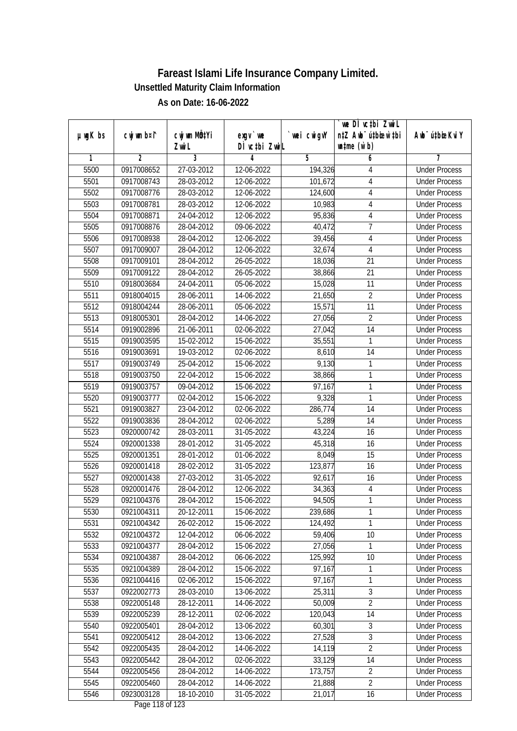|               |                |                           |                                     |             | `we DÌ vc‡bi Zwwi∟               |                             |
|---------------|----------------|---------------------------|-------------------------------------|-------------|----------------------------------|-----------------------------|
| $µ$ ug $K$ bs | cwj wm b¤i^    | cwj wm MQ <sup>1</sup> Yi | $exqu$ we                           | `wei cwigvY | n‡Z Awb <sup>-</sup> ú‡bioen`‡bi | Awb <sup>-</sup> ú‡bioeKviY |
|               |                | Zwi L                     | DÌ vctbi ZwiL                       |             | $\n  untime\n  (u`b)\n$          |                             |
| 1             | $\overline{2}$ | 3                         | 4                                   | 5           | 6                                | 7                           |
| 5500          | 0917008652     | 27-03-2012                | 12-06-2022                          | 194,326     | 4                                | <b>Under Process</b>        |
| 5501          | 0917008743     | 28-03-2012                | 12-06-2022                          | 101,672     | 4                                | <b>Under Process</b>        |
| 5502          | 0917008776     | 28-03-2012                | 12-06-2022                          | 124,600     | $\sqrt{4}$                       | <b>Under Process</b>        |
| 5503          | 0917008781     | 28-03-2012                | 12-06-2022                          | 10,983      | $\overline{4}$                   | <b>Under Process</b>        |
| 5504          | 0917008871     | 24-04-2012                | 12-06-2022                          | 95,836      | $\overline{\mathbf{4}}$          | <b>Under Process</b>        |
| 5505          | 0917008876     | 28-04-2012                | 09-06-2022                          | 40,472      | $\overline{7}$                   | <b>Under Process</b>        |
| 5506          | 0917008938     | 28-04-2012                | 12-06-2022                          | 39,456      | $\sqrt{4}$                       | <b>Under Process</b>        |
| 5507          | 0917009007     | 28-04-2012                | 12-06-2022                          | 32,674      | $\overline{\mathbf{4}}$          | <b>Under Process</b>        |
| 5508          | 0917009101     | 28-04-2012                | 26-05-2022                          | 18,036      | 21                               | <b>Under Process</b>        |
| 5509          | 0917009122     | 28-04-2012                | 26-05-2022                          | 38,866      | 21                               | <b>Under Process</b>        |
| 5510          | 0918003684     | 24-04-2011                | 05-06-2022                          | 15,028      | $\overline{11}$                  | <b>Under Process</b>        |
| 5511          | 0918004015     | 28-06-2011                | 14-06-2022                          | 21,650      | $\overline{2}$                   | <b>Under Process</b>        |
| 5512          | 0918004244     | 28-06-2011                | 05-06-2022                          | 15,571      | 11                               | <b>Under Process</b>        |
| 5513          | 0918005301     | 28-04-2012                | 14-06-2022                          | 27,056      | $\overline{2}$                   | <b>Under Process</b>        |
| 5514          | 0919002896     | 21-06-2011                | 02-06-2022                          | 27,042      | 14                               | <b>Under Process</b>        |
| 5515          | 0919003595     | 15-02-2012                | 15-06-2022                          | 35,551      | 1                                | <b>Under Process</b>        |
| 5516          | 0919003691     | 19-03-2012                | 02-06-2022                          | 8,610       | 14                               | <b>Under Process</b>        |
| 5517          | 0919003749     | 25-04-2012                | 15-06-2022                          | 9,130       | 1                                | <b>Under Process</b>        |
| 5518          | 0919003750     | 22-04-2012                | 15-06-2022                          | 38,866      | 1                                | <b>Under Process</b>        |
| 5519          | 0919003757     | 09-04-2012                | 15-06-2022                          | 97,167      | 1                                | <b>Under Process</b>        |
| 5520          | 0919003777     | 02-04-2012                | 15-06-2022                          | 9,328       | 1                                | <b>Under Process</b>        |
| 5521          | 0919003827     | 23-04-2012                | 02-06-2022                          | 286,774     | 14                               | <b>Under Process</b>        |
| 5522          | 0919003836     | 28-04-2012                | 02-06-2022                          | 5,289       | 14                               | <b>Under Process</b>        |
| 5523          | 0920000742     | 28-03-2011                | 31-05-2022                          | 43,224      | 16                               | <b>Under Process</b>        |
| 5524          | 0920001338     | 28-01-2012                | 31-05-2022                          | 45,318      | 16                               | <b>Under Process</b>        |
| 5525          | 0920001351     | 28-01-2012                | 01-06-2022                          | 8,049       | 15                               | <b>Under Process</b>        |
| 5526          | 0920001418     | 28-02-2012                | 31-05-2022                          | 123,877     | 16                               | <b>Under Process</b>        |
| 5527          | 0920001438     | 27-03-2012                | 31-05-2022                          | 92,617      | 16                               | <b>Under Process</b>        |
| 5528          | 0920001476     | 28-04-2012                | 12-06-2022                          | 34,363      | $\overline{4}$                   | <b>Under Process</b>        |
| 5529          | 0921004376     | 28-04-2012                | 15-06-2022                          | 94,505      | 1                                | <b>Under Process</b>        |
| 5530          | 0921004311     | 20-12-2011                | 15-06-2022                          | 239,686     | 1                                | <b>Under Process</b>        |
| 5531          | 0921004342     | 26-02-2012                | 15-06-2022                          | 124,492     | 1                                | <b>Under Process</b>        |
| 5532          | 0921004372     | 12-04-2012                | 06-06-2022                          | 59,406      | 10                               | <b>Under Process</b>        |
| 5533          | 0921004377     | 28-04-2012                | 15-06-2022                          | 27,056      | 1                                | <b>Under Process</b>        |
| 5534          | 0921004387     | 28-04-2012                | 06-06-2022                          | 125,992     | 10                               | <b>Under Process</b>        |
| 5535          | 0921004389     | 28-04-2012                | 15-06-2022                          | 97,167      | 1                                | <b>Under Process</b>        |
| 5536          | 0921004416     | 02-06-2012                | 15-06-2022                          | 97,167      | 1                                | <b>Under Process</b>        |
| 5537          | 0922002773     | 28-03-2010                | 13-06-2022                          | 25,311      | 3                                | <b>Under Process</b>        |
| 5538          | 0922005148     | 28-12-2011                | 14-06-2022                          | 50,009      | $\overline{2}$                   | <b>Under Process</b>        |
| 5539          | 0922005239     | 28-12-2011                | 02-06-2022                          | 120,043     | 14                               | <b>Under Process</b>        |
| 5540          | 0922005401     | 28-04-2012                | 13-06-2022                          | 60,301      | 3                                | <b>Under Process</b>        |
| 5541          | 0922005412     | 28-04-2012                | 13-06-2022                          | 27,528      | $\overline{3}$                   | <b>Under Process</b>        |
| 5542          | 0922005435     | 28-04-2012                | 14-06-2022                          | 14,119      | $\overline{2}$                   | <b>Under Process</b>        |
| 5543          | 0922005442     | 28-04-2012                | 02-06-2022                          | 33,129      | 14                               | <b>Under Process</b>        |
| 5544          | 0922005456     | 28-04-2012                | 14-06-2022                          | 173,757     | $\overline{2}$                   | <b>Under Process</b>        |
| 5545          | 0922005460     | 28-04-2012                | 14-06-2022                          | 21,888      | $\overline{2}$                   | <b>Under Process</b>        |
| 5546          | 0923003128     | 18-10-2010                | 31-05-2022<br>$D_{0.88}$ 110 of 100 | 21,017      | 16                               | <b>Under Process</b>        |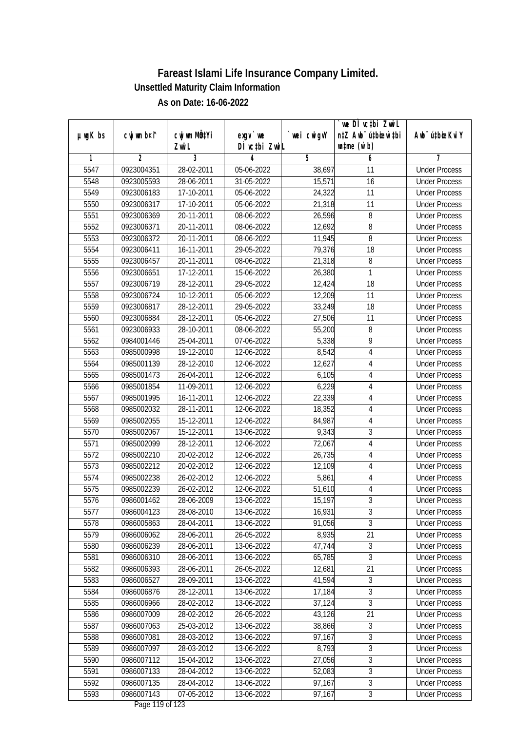|               |                |                           |                                           |             | `we DÌ vc‡bi Zwwi∟               |                             |
|---------------|----------------|---------------------------|-------------------------------------------|-------------|----------------------------------|-----------------------------|
| $µ$ ug $K$ bs | cwj wm b¤i^    | cwj wm MQ <sup>1</sup> Yi | $exqu$ we                                 | `wei cwigvY | n‡Z Awb <sup>-</sup> ú‡bioen`‡bi | Awb <sup>-</sup> ú‡bioeKviY |
|               |                | Zwi L                     | DÌ vctbi ZwiL                             |             | $\n  untime\n  (u`b)\n$          |                             |
| 1             | $\overline{2}$ | $\overline{3}$            | 4                                         | 5           | 6                                | 7                           |
| 5547          | 0923004351     | $28-02-2011$              | 05-06-2022                                | 38,697      | 11                               | <b>Under Process</b>        |
| 5548          | 0923005593     | 28-06-2011                | 31-05-2022                                | 15,571      | $\overline{16}$                  | <b>Under Process</b>        |
| 5549          | 0923006183     | 17-10-2011                | 05-06-2022                                | 24,322      | 11                               | <b>Under Process</b>        |
| 5550          | 0923006317     | 17-10-2011                | 05-06-2022                                | 21,318      | 11                               | <b>Under Process</b>        |
| 5551          | 0923006369     | 20-11-2011                | 08-06-2022                                | 26,596      | 8                                | <b>Under Process</b>        |
| 5552          | 0923006371     | 20-11-2011                | 08-06-2022                                | 12,692      | 8                                | <b>Under Process</b>        |
| 5553          | 0923006372     | 20-11-2011                | 08-06-2022                                | 11,945      | 8                                | <b>Under Process</b>        |
| 5554          | 0923006411     | 16-11-2011                | 29-05-2022                                | 79,376      | $\overline{18}$                  | <b>Under Process</b>        |
| 5555          | 0923006457     | 20-11-2011                | 08-06-2022                                | 21,318      | 8                                | <b>Under Process</b>        |
| 5556          | 0923006651     | 17-12-2011                | 15-06-2022                                | 26,380      | 1                                | <b>Under Process</b>        |
| 5557          | 0923006719     | 28-12-2011                | 29-05-2022                                | 12,424      | $\overline{18}$                  | <b>Under Process</b>        |
| 5558          | 0923006724     | 10-12-2011                | 05-06-2022                                | 12,209      | 11                               | <b>Under Process</b>        |
| 5559          | 0923006817     | 28-12-2011                | 29-05-2022                                | 33,249      | 18                               | <b>Under Process</b>        |
| 5560          | 0923006884     | 28-12-2011                | 05-06-2022                                | 27,506      | 11                               | <b>Under Process</b>        |
| 5561          | 0923006933     | 28-10-2011                | 08-06-2022                                | 55,200      | 8                                | <b>Under Process</b>        |
| 5562          | 0984001446     | 25-04-2011                | $\overline{07}$ -06-2022                  | 5,338       | 9                                | <b>Under Process</b>        |
| 5563          | 0985000998     | 19-12-2010                | 12-06-2022                                | 8,542       | 4                                | <b>Under Process</b>        |
| 5564          | 0985001139     | 28-12-2010                | 12-06-2022                                | 12,627      | $\sqrt{4}$                       | <b>Under Process</b>        |
| 5565          | 0985001473     | 26-04-2011                | 12-06-2022                                | 6,105       | 4                                | <b>Under Process</b>        |
| 5566          | 0985001854     | 11-09-2011                | 12-06-2022                                | 6,229       | $\sqrt{4}$                       | <b>Under Process</b>        |
| 5567          | 0985001995     | 16-11-2011                | 12-06-2022                                | 22,339      | 4                                | <b>Under Process</b>        |
| 5568          | 0985002032     | 28-11-2011                | 12-06-2022                                | 18,352      | $\overline{4}$                   | <b>Under Process</b>        |
| 5569          | 0985002055     | 15-12-2011                | 12-06-2022                                | 84,987      | $\overline{\mathbf{4}}$          | <b>Under Process</b>        |
| 5570          | 0985002067     | 15-12-2011                | 13-06-2022                                | 9,343       | $\overline{3}$                   | <b>Under Process</b>        |
| 5571          | 0985002099     | 28-12-2011                | 12-06-2022                                | 72,067      | 4                                | <b>Under Process</b>        |
| 5572          | 0985002210     | 20-02-2012                | 12-06-2022                                | 26,735      | 4                                | <b>Under Process</b>        |
| 5573          | 0985002212     | 20-02-2012                | 12-06-2022                                | 12,109      | $\sqrt{4}$                       | <b>Under Process</b>        |
| 5574          | 0985002238     | 26-02-2012                | 12-06-2022                                | 5,861       | 4                                | <b>Under Process</b>        |
| 5575          | 0985002239     | 26-02-2012                | 12-06-2022                                | 51,610      | $\sqrt{4}$                       | <b>Under Process</b>        |
| 5576          | 0986001462     | 28-06-2009                | 13-06-2022                                | 15,197      | $\overline{3}$                   | <b>Under Process</b>        |
| 5577          | 0986004123     | 28-08-2010                | 13-06-2022                                | 16,931      | 3                                | <b>Under Process</b>        |
| 5578          | 0986005863     | 28-04-2011                | 13-06-2022                                | 91,056      | $\overline{3}$                   | <b>Under Process</b>        |
| 5579          | 0986006062     | 28-06-2011                | 26-05-2022                                | 8,935       | 21                               | <b>Under Process</b>        |
| 5580          | 0986006239     | 28-06-2011                | 13-06-2022                                | 47,744      | $\overline{3}$                   | <b>Under Process</b>        |
| 5581          | 0986006310     | 28-06-2011                | 13-06-2022                                | 65,785      | $\overline{3}$                   | <b>Under Process</b>        |
| 5582          | 0986006393     | 28-06-2011                | 26-05-2022                                | 12,681      | 21                               | <b>Under Process</b>        |
| 5583          | 0986006527     | 28-09-2011                | 13-06-2022                                | 41,594      | $\overline{3}$                   | <b>Under Process</b>        |
| 5584          | 0986006876     | 28-12-2011                | 13-06-2022                                | 17,184      | 3                                | <b>Under Process</b>        |
| 5585          | 0986006966     | 28-02-2012                | 13-06-2022                                | 37,124      | $\overline{3}$                   | <b>Under Process</b>        |
| 5586          | 0986007009     | 28-02-2012                | 26-05-2022                                | 43,126      | 21                               | <b>Under Process</b>        |
| 5587          | 0986007063     | 25-03-2012                | 13-06-2022                                | 38,866      | 3                                | <b>Under Process</b>        |
| 5588          | 0986007081     | 28-03-2012                | 13-06-2022                                | 97,167      | $\overline{3}$                   | <b>Under Process</b>        |
| 5589          | 0986007097     | 28-03-2012                | 13-06-2022                                | 8,793       | $\overline{3}$                   | <b>Under Process</b>        |
| 5590          | 0986007112     | 15-04-2012                | 13-06-2022                                | 27,056      | 3                                | <b>Under Process</b>        |
| 5591          | 0986007133     | 28-04-2012                | 13-06-2022                                | 52,083      | $\overline{3}$                   | <b>Under Process</b>        |
| 5592          | 0986007135     | 28-04-2012                | 13-06-2022                                | 97,167      | $\overline{3}$                   | <b>Under Process</b>        |
| 5593          | 0986007143     | 07-05-2012                | 13-06-2022<br>$D_{\text{max}}$ 110 of 100 | 97,167      | $\overline{3}$                   | <b>Under Process</b>        |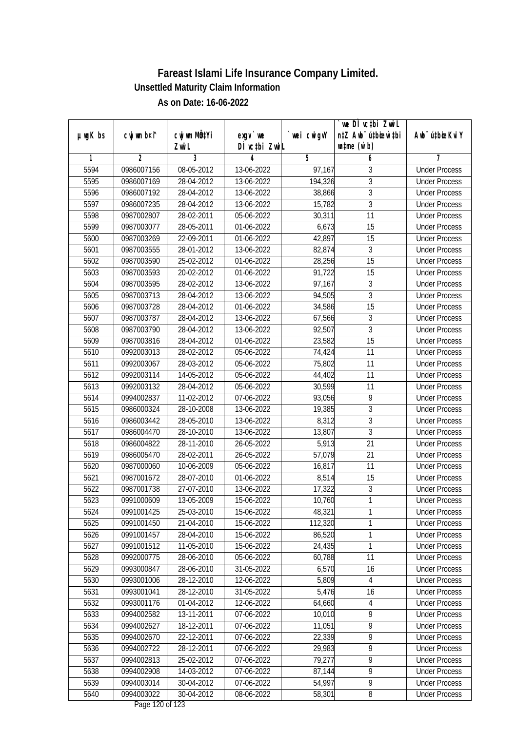| n‡Z Awb <sup>-</sup> ú‡bioen`‡bi<br>cwj wm MQtYi<br>cwj wm b¤i^<br>$exgV$ we<br>`wei cwigvY<br>Awb <sup>-</sup> ú‡bioeKviY<br>$µ$ ug $K$ bs<br>DÌ vctbi ZwiL<br>$\n  untime\n  (u`b)\n$<br>Zwi L<br>3<br>$\overline{2}$<br>5<br>6<br>1<br>4<br>7<br>5594<br>0986007156<br>08-05-2012<br>13-06-2022<br>3<br><b>Under Process</b><br>97,167<br>3<br>5595<br>0986007169<br>28-04-2012<br>13-06-2022<br>194,326<br><b>Under Process</b><br>$\overline{3}$<br>5596<br>0986007192<br>28-04-2012<br>13-06-2022<br>38,866<br><b>Under Process</b><br>$\overline{3}$<br>5597<br>0986007235<br>28-04-2012<br>13-06-2022<br>15,782<br><b>Under Process</b><br>$\overline{11}$<br>5598<br>0987002807<br>28-02-2011<br>30,311<br>05-06-2022<br><b>Under Process</b><br>5599<br>0987003077<br>28-05-2011<br>01-06-2022<br>6,673<br>15<br><b>Under Process</b><br>5600<br>42,897<br>$\overline{15}$<br>0987003269<br>22-09-2011<br>01-06-2022<br><b>Under Process</b><br>5601<br>13-06-2022<br>3<br>0987003555<br>28-01-2012<br>82,874<br><b>Under Process</b><br>$\overline{15}$<br>5602<br>0987003590<br>25-02-2012<br>01-06-2022<br>28,256<br><b>Under Process</b><br>20-02-2012<br>91,722<br>15<br>5603<br>0987003593<br>01-06-2022<br><b>Under Process</b><br>97,167<br>5604<br>0987003595<br>$\overline{3}$<br>28-02-2012<br>13-06-2022<br><b>Under Process</b><br>$\overline{3}$<br>5605<br>0987003713<br>28-04-2012<br>13-06-2022<br>94,505<br><b>Under Process</b><br>$\overline{15}$<br>5606<br>0987003728<br>28-04-2012<br>01-06-2022<br>34,586<br><b>Under Process</b><br>5607<br>0987003787<br>28-04-2012<br>13-06-2022<br>67,566<br>3<br><b>Under Process</b><br>$\overline{3}$<br>0987003790<br>92,507<br>5608<br>28-04-2012<br>13-06-2022<br><b>Under Process</b><br>$\overline{15}$<br>5609<br>23,582<br>0987003816<br>28-04-2012<br>01-06-2022<br><b>Under Process</b><br>5610<br>11<br>0992003013<br>28-02-2012<br>05-06-2022<br>74,424<br><b>Under Process</b><br>5611<br>0992003067<br>28-03-2012<br>05-06-2022<br>11<br><b>Under Process</b><br>75,802<br>5612<br>11<br>0992003114<br>14-05-2012<br>05-06-2022<br>44,402<br><b>Under Process</b><br>5613<br>30,599<br>11<br>0992003132<br>28-04-2012<br>05-06-2022<br><b>Under Process</b><br>5614<br>93,056<br>9<br>0994002837<br>11-02-2012<br>07-06-2022<br><b>Under Process</b><br>5615<br>19,385<br>3<br>28-10-2008<br>13-06-2022<br>0986000324<br><b>Under Process</b><br>$\overline{3}$<br>5616<br>8,312<br>0986003442<br>28-05-2010<br>13-06-2022<br><b>Under Process</b><br>$\overline{3}$<br>5617<br>28-10-2010<br>0986004470<br>13-06-2022<br>13,807<br><b>Under Process</b><br>21<br>5618<br>0986004822<br>28-11-2010<br>26-05-2022<br>5,913<br><b>Under Process</b><br>5619<br>21<br>0986005470<br>28-02-2011<br>26-05-2022<br>57,079<br><b>Under Process</b><br>5620<br>11<br>0987000060<br>10-06-2009<br>05-06-2022<br>16,817<br><b>Under Process</b><br>5621<br>8,514<br>15<br>0987001672<br>28-07-2010<br>01-06-2022<br><b>Under Process</b><br>$\overline{3}$<br>5622<br>0987001738<br>27-07-2010<br>13-06-2022<br>17,322<br><b>Under Process</b><br>1<br>5623<br>0991000609<br>13-05-2009<br>15-06-2022<br>10,760<br><b>Under Process</b><br>0991001425<br>25-03-2010<br>15-06-2022<br>48,321<br>5624<br><b>Under Process</b><br>1<br>1<br>5625<br>0991001450<br>21-04-2010<br>112,320<br>15-06-2022<br><b>Under Process</b><br>1<br>5626<br>0991001457<br>28-04-2010<br>15-06-2022<br>86,520<br><b>Under Process</b><br>5627<br>0991001512<br>11-05-2010<br>24,435<br>1<br>15-06-2022<br><b>Under Process</b><br>5628<br>0992000775<br>28-06-2010<br>05-06-2022<br>60,788<br>11<br><b>Under Process</b><br>5629<br>0993000847<br>28-06-2010<br>6,570<br>31-05-2022<br>16<br><b>Under Process</b><br>5,809<br>5630<br>0993001006<br>28-12-2010<br>12-06-2022<br><b>Under Process</b><br>4<br>5,476<br>5631<br>0993001041<br>28-12-2010<br>31-05-2022<br>16<br><b>Under Process</b><br>5632<br>64,660<br>0993001176<br>01-04-2012<br>12-06-2022<br>$\overline{4}$<br><b>Under Process</b><br>9<br>5633<br>0994002582<br>13-11-2011<br>07-06-2022<br>10,010<br><b>Under Process</b><br>$\overline{9}$<br>5634<br>0994002627<br>18-12-2011<br>07-06-2022<br>11,051<br><b>Under Process</b><br>$\overline{9}$<br>0994002670<br>22-12-2011<br>22,339<br><b>Under Process</b><br>5635<br>07-06-2022<br>9<br>5636<br>29,983<br>0994002722<br>28-12-2011<br>07-06-2022<br><b>Under Process</b><br>$\overline{9}$<br>5637<br>79,277<br>0994002813<br>25-02-2012<br>07-06-2022<br><b>Under Process</b><br>$\overline{9}$<br>5638<br>0994002908<br>14-03-2012<br>07-06-2022<br>87,144<br><b>Under Process</b><br>$\overline{9}$<br>5639<br>0994003014<br>54,997<br>30-04-2012<br>07-06-2022<br><b>Under Process</b><br>5640<br>0994003022<br>30-04-2012<br>58,301<br>08-06-2022<br>8<br><b>Under Process</b><br>Dege 100 of 100 |  |  | we DI vctbi ZwiL |  |
|------------------------------------------------------------------------------------------------------------------------------------------------------------------------------------------------------------------------------------------------------------------------------------------------------------------------------------------------------------------------------------------------------------------------------------------------------------------------------------------------------------------------------------------------------------------------------------------------------------------------------------------------------------------------------------------------------------------------------------------------------------------------------------------------------------------------------------------------------------------------------------------------------------------------------------------------------------------------------------------------------------------------------------------------------------------------------------------------------------------------------------------------------------------------------------------------------------------------------------------------------------------------------------------------------------------------------------------------------------------------------------------------------------------------------------------------------------------------------------------------------------------------------------------------------------------------------------------------------------------------------------------------------------------------------------------------------------------------------------------------------------------------------------------------------------------------------------------------------------------------------------------------------------------------------------------------------------------------------------------------------------------------------------------------------------------------------------------------------------------------------------------------------------------------------------------------------------------------------------------------------------------------------------------------------------------------------------------------------------------------------------------------------------------------------------------------------------------------------------------------------------------------------------------------------------------------------------------------------------------------------------------------------------------------------------------------------------------------------------------------------------------------------------------------------------------------------------------------------------------------------------------------------------------------------------------------------------------------------------------------------------------------------------------------------------------------------------------------------------------------------------------------------------------------------------------------------------------------------------------------------------------------------------------------------------------------------------------------------------------------------------------------------------------------------------------------------------------------------------------------------------------------------------------------------------------------------------------------------------------------------------------------------------------------------------------------------------------------------------------------------------------------------------------------------------------------------------------------------------------------------------------------------------------------------------------------------------------------------------------------------------------------------------------------------------------------------------------------------------------------------------------------------------------------------------------------------------------------------------------------------------------------------------------------------------------------------------------------------------------------------------------------------------------------------------------------------------------------------------------------------------------------------------------------------------------------------------------------------------------------------------------------------------------------------------------------------------------------------------------------------------------------------------------------------------------------------------------------------------------------------------------------|--|--|------------------|--|
|                                                                                                                                                                                                                                                                                                                                                                                                                                                                                                                                                                                                                                                                                                                                                                                                                                                                                                                                                                                                                                                                                                                                                                                                                                                                                                                                                                                                                                                                                                                                                                                                                                                                                                                                                                                                                                                                                                                                                                                                                                                                                                                                                                                                                                                                                                                                                                                                                                                                                                                                                                                                                                                                                                                                                                                                                                                                                                                                                                                                                                                                                                                                                                                                                                                                                                                                                                                                                                                                                                                                                                                                                                                                                                                                                                                                                                                                                                                                                                                                                                                                                                                                                                                                                                                                                                                                                                                                                                                                                                                                                                                                                                                                                                                                                                                                                                                                                                |  |  |                  |  |
|                                                                                                                                                                                                                                                                                                                                                                                                                                                                                                                                                                                                                                                                                                                                                                                                                                                                                                                                                                                                                                                                                                                                                                                                                                                                                                                                                                                                                                                                                                                                                                                                                                                                                                                                                                                                                                                                                                                                                                                                                                                                                                                                                                                                                                                                                                                                                                                                                                                                                                                                                                                                                                                                                                                                                                                                                                                                                                                                                                                                                                                                                                                                                                                                                                                                                                                                                                                                                                                                                                                                                                                                                                                                                                                                                                                                                                                                                                                                                                                                                                                                                                                                                                                                                                                                                                                                                                                                                                                                                                                                                                                                                                                                                                                                                                                                                                                                                                |  |  |                  |  |
|                                                                                                                                                                                                                                                                                                                                                                                                                                                                                                                                                                                                                                                                                                                                                                                                                                                                                                                                                                                                                                                                                                                                                                                                                                                                                                                                                                                                                                                                                                                                                                                                                                                                                                                                                                                                                                                                                                                                                                                                                                                                                                                                                                                                                                                                                                                                                                                                                                                                                                                                                                                                                                                                                                                                                                                                                                                                                                                                                                                                                                                                                                                                                                                                                                                                                                                                                                                                                                                                                                                                                                                                                                                                                                                                                                                                                                                                                                                                                                                                                                                                                                                                                                                                                                                                                                                                                                                                                                                                                                                                                                                                                                                                                                                                                                                                                                                                                                |  |  |                  |  |
|                                                                                                                                                                                                                                                                                                                                                                                                                                                                                                                                                                                                                                                                                                                                                                                                                                                                                                                                                                                                                                                                                                                                                                                                                                                                                                                                                                                                                                                                                                                                                                                                                                                                                                                                                                                                                                                                                                                                                                                                                                                                                                                                                                                                                                                                                                                                                                                                                                                                                                                                                                                                                                                                                                                                                                                                                                                                                                                                                                                                                                                                                                                                                                                                                                                                                                                                                                                                                                                                                                                                                                                                                                                                                                                                                                                                                                                                                                                                                                                                                                                                                                                                                                                                                                                                                                                                                                                                                                                                                                                                                                                                                                                                                                                                                                                                                                                                                                |  |  |                  |  |
|                                                                                                                                                                                                                                                                                                                                                                                                                                                                                                                                                                                                                                                                                                                                                                                                                                                                                                                                                                                                                                                                                                                                                                                                                                                                                                                                                                                                                                                                                                                                                                                                                                                                                                                                                                                                                                                                                                                                                                                                                                                                                                                                                                                                                                                                                                                                                                                                                                                                                                                                                                                                                                                                                                                                                                                                                                                                                                                                                                                                                                                                                                                                                                                                                                                                                                                                                                                                                                                                                                                                                                                                                                                                                                                                                                                                                                                                                                                                                                                                                                                                                                                                                                                                                                                                                                                                                                                                                                                                                                                                                                                                                                                                                                                                                                                                                                                                                                |  |  |                  |  |
|                                                                                                                                                                                                                                                                                                                                                                                                                                                                                                                                                                                                                                                                                                                                                                                                                                                                                                                                                                                                                                                                                                                                                                                                                                                                                                                                                                                                                                                                                                                                                                                                                                                                                                                                                                                                                                                                                                                                                                                                                                                                                                                                                                                                                                                                                                                                                                                                                                                                                                                                                                                                                                                                                                                                                                                                                                                                                                                                                                                                                                                                                                                                                                                                                                                                                                                                                                                                                                                                                                                                                                                                                                                                                                                                                                                                                                                                                                                                                                                                                                                                                                                                                                                                                                                                                                                                                                                                                                                                                                                                                                                                                                                                                                                                                                                                                                                                                                |  |  |                  |  |
|                                                                                                                                                                                                                                                                                                                                                                                                                                                                                                                                                                                                                                                                                                                                                                                                                                                                                                                                                                                                                                                                                                                                                                                                                                                                                                                                                                                                                                                                                                                                                                                                                                                                                                                                                                                                                                                                                                                                                                                                                                                                                                                                                                                                                                                                                                                                                                                                                                                                                                                                                                                                                                                                                                                                                                                                                                                                                                                                                                                                                                                                                                                                                                                                                                                                                                                                                                                                                                                                                                                                                                                                                                                                                                                                                                                                                                                                                                                                                                                                                                                                                                                                                                                                                                                                                                                                                                                                                                                                                                                                                                                                                                                                                                                                                                                                                                                                                                |  |  |                  |  |
|                                                                                                                                                                                                                                                                                                                                                                                                                                                                                                                                                                                                                                                                                                                                                                                                                                                                                                                                                                                                                                                                                                                                                                                                                                                                                                                                                                                                                                                                                                                                                                                                                                                                                                                                                                                                                                                                                                                                                                                                                                                                                                                                                                                                                                                                                                                                                                                                                                                                                                                                                                                                                                                                                                                                                                                                                                                                                                                                                                                                                                                                                                                                                                                                                                                                                                                                                                                                                                                                                                                                                                                                                                                                                                                                                                                                                                                                                                                                                                                                                                                                                                                                                                                                                                                                                                                                                                                                                                                                                                                                                                                                                                                                                                                                                                                                                                                                                                |  |  |                  |  |
|                                                                                                                                                                                                                                                                                                                                                                                                                                                                                                                                                                                                                                                                                                                                                                                                                                                                                                                                                                                                                                                                                                                                                                                                                                                                                                                                                                                                                                                                                                                                                                                                                                                                                                                                                                                                                                                                                                                                                                                                                                                                                                                                                                                                                                                                                                                                                                                                                                                                                                                                                                                                                                                                                                                                                                                                                                                                                                                                                                                                                                                                                                                                                                                                                                                                                                                                                                                                                                                                                                                                                                                                                                                                                                                                                                                                                                                                                                                                                                                                                                                                                                                                                                                                                                                                                                                                                                                                                                                                                                                                                                                                                                                                                                                                                                                                                                                                                                |  |  |                  |  |
|                                                                                                                                                                                                                                                                                                                                                                                                                                                                                                                                                                                                                                                                                                                                                                                                                                                                                                                                                                                                                                                                                                                                                                                                                                                                                                                                                                                                                                                                                                                                                                                                                                                                                                                                                                                                                                                                                                                                                                                                                                                                                                                                                                                                                                                                                                                                                                                                                                                                                                                                                                                                                                                                                                                                                                                                                                                                                                                                                                                                                                                                                                                                                                                                                                                                                                                                                                                                                                                                                                                                                                                                                                                                                                                                                                                                                                                                                                                                                                                                                                                                                                                                                                                                                                                                                                                                                                                                                                                                                                                                                                                                                                                                                                                                                                                                                                                                                                |  |  |                  |  |
|                                                                                                                                                                                                                                                                                                                                                                                                                                                                                                                                                                                                                                                                                                                                                                                                                                                                                                                                                                                                                                                                                                                                                                                                                                                                                                                                                                                                                                                                                                                                                                                                                                                                                                                                                                                                                                                                                                                                                                                                                                                                                                                                                                                                                                                                                                                                                                                                                                                                                                                                                                                                                                                                                                                                                                                                                                                                                                                                                                                                                                                                                                                                                                                                                                                                                                                                                                                                                                                                                                                                                                                                                                                                                                                                                                                                                                                                                                                                                                                                                                                                                                                                                                                                                                                                                                                                                                                                                                                                                                                                                                                                                                                                                                                                                                                                                                                                                                |  |  |                  |  |
|                                                                                                                                                                                                                                                                                                                                                                                                                                                                                                                                                                                                                                                                                                                                                                                                                                                                                                                                                                                                                                                                                                                                                                                                                                                                                                                                                                                                                                                                                                                                                                                                                                                                                                                                                                                                                                                                                                                                                                                                                                                                                                                                                                                                                                                                                                                                                                                                                                                                                                                                                                                                                                                                                                                                                                                                                                                                                                                                                                                                                                                                                                                                                                                                                                                                                                                                                                                                                                                                                                                                                                                                                                                                                                                                                                                                                                                                                                                                                                                                                                                                                                                                                                                                                                                                                                                                                                                                                                                                                                                                                                                                                                                                                                                                                                                                                                                                                                |  |  |                  |  |
|                                                                                                                                                                                                                                                                                                                                                                                                                                                                                                                                                                                                                                                                                                                                                                                                                                                                                                                                                                                                                                                                                                                                                                                                                                                                                                                                                                                                                                                                                                                                                                                                                                                                                                                                                                                                                                                                                                                                                                                                                                                                                                                                                                                                                                                                                                                                                                                                                                                                                                                                                                                                                                                                                                                                                                                                                                                                                                                                                                                                                                                                                                                                                                                                                                                                                                                                                                                                                                                                                                                                                                                                                                                                                                                                                                                                                                                                                                                                                                                                                                                                                                                                                                                                                                                                                                                                                                                                                                                                                                                                                                                                                                                                                                                                                                                                                                                                                                |  |  |                  |  |
|                                                                                                                                                                                                                                                                                                                                                                                                                                                                                                                                                                                                                                                                                                                                                                                                                                                                                                                                                                                                                                                                                                                                                                                                                                                                                                                                                                                                                                                                                                                                                                                                                                                                                                                                                                                                                                                                                                                                                                                                                                                                                                                                                                                                                                                                                                                                                                                                                                                                                                                                                                                                                                                                                                                                                                                                                                                                                                                                                                                                                                                                                                                                                                                                                                                                                                                                                                                                                                                                                                                                                                                                                                                                                                                                                                                                                                                                                                                                                                                                                                                                                                                                                                                                                                                                                                                                                                                                                                                                                                                                                                                                                                                                                                                                                                                                                                                                                                |  |  |                  |  |
|                                                                                                                                                                                                                                                                                                                                                                                                                                                                                                                                                                                                                                                                                                                                                                                                                                                                                                                                                                                                                                                                                                                                                                                                                                                                                                                                                                                                                                                                                                                                                                                                                                                                                                                                                                                                                                                                                                                                                                                                                                                                                                                                                                                                                                                                                                                                                                                                                                                                                                                                                                                                                                                                                                                                                                                                                                                                                                                                                                                                                                                                                                                                                                                                                                                                                                                                                                                                                                                                                                                                                                                                                                                                                                                                                                                                                                                                                                                                                                                                                                                                                                                                                                                                                                                                                                                                                                                                                                                                                                                                                                                                                                                                                                                                                                                                                                                                                                |  |  |                  |  |
|                                                                                                                                                                                                                                                                                                                                                                                                                                                                                                                                                                                                                                                                                                                                                                                                                                                                                                                                                                                                                                                                                                                                                                                                                                                                                                                                                                                                                                                                                                                                                                                                                                                                                                                                                                                                                                                                                                                                                                                                                                                                                                                                                                                                                                                                                                                                                                                                                                                                                                                                                                                                                                                                                                                                                                                                                                                                                                                                                                                                                                                                                                                                                                                                                                                                                                                                                                                                                                                                                                                                                                                                                                                                                                                                                                                                                                                                                                                                                                                                                                                                                                                                                                                                                                                                                                                                                                                                                                                                                                                                                                                                                                                                                                                                                                                                                                                                                                |  |  |                  |  |
|                                                                                                                                                                                                                                                                                                                                                                                                                                                                                                                                                                                                                                                                                                                                                                                                                                                                                                                                                                                                                                                                                                                                                                                                                                                                                                                                                                                                                                                                                                                                                                                                                                                                                                                                                                                                                                                                                                                                                                                                                                                                                                                                                                                                                                                                                                                                                                                                                                                                                                                                                                                                                                                                                                                                                                                                                                                                                                                                                                                                                                                                                                                                                                                                                                                                                                                                                                                                                                                                                                                                                                                                                                                                                                                                                                                                                                                                                                                                                                                                                                                                                                                                                                                                                                                                                                                                                                                                                                                                                                                                                                                                                                                                                                                                                                                                                                                                                                |  |  |                  |  |
|                                                                                                                                                                                                                                                                                                                                                                                                                                                                                                                                                                                                                                                                                                                                                                                                                                                                                                                                                                                                                                                                                                                                                                                                                                                                                                                                                                                                                                                                                                                                                                                                                                                                                                                                                                                                                                                                                                                                                                                                                                                                                                                                                                                                                                                                                                                                                                                                                                                                                                                                                                                                                                                                                                                                                                                                                                                                                                                                                                                                                                                                                                                                                                                                                                                                                                                                                                                                                                                                                                                                                                                                                                                                                                                                                                                                                                                                                                                                                                                                                                                                                                                                                                                                                                                                                                                                                                                                                                                                                                                                                                                                                                                                                                                                                                                                                                                                                                |  |  |                  |  |
|                                                                                                                                                                                                                                                                                                                                                                                                                                                                                                                                                                                                                                                                                                                                                                                                                                                                                                                                                                                                                                                                                                                                                                                                                                                                                                                                                                                                                                                                                                                                                                                                                                                                                                                                                                                                                                                                                                                                                                                                                                                                                                                                                                                                                                                                                                                                                                                                                                                                                                                                                                                                                                                                                                                                                                                                                                                                                                                                                                                                                                                                                                                                                                                                                                                                                                                                                                                                                                                                                                                                                                                                                                                                                                                                                                                                                                                                                                                                                                                                                                                                                                                                                                                                                                                                                                                                                                                                                                                                                                                                                                                                                                                                                                                                                                                                                                                                                                |  |  |                  |  |
|                                                                                                                                                                                                                                                                                                                                                                                                                                                                                                                                                                                                                                                                                                                                                                                                                                                                                                                                                                                                                                                                                                                                                                                                                                                                                                                                                                                                                                                                                                                                                                                                                                                                                                                                                                                                                                                                                                                                                                                                                                                                                                                                                                                                                                                                                                                                                                                                                                                                                                                                                                                                                                                                                                                                                                                                                                                                                                                                                                                                                                                                                                                                                                                                                                                                                                                                                                                                                                                                                                                                                                                                                                                                                                                                                                                                                                                                                                                                                                                                                                                                                                                                                                                                                                                                                                                                                                                                                                                                                                                                                                                                                                                                                                                                                                                                                                                                                                |  |  |                  |  |
|                                                                                                                                                                                                                                                                                                                                                                                                                                                                                                                                                                                                                                                                                                                                                                                                                                                                                                                                                                                                                                                                                                                                                                                                                                                                                                                                                                                                                                                                                                                                                                                                                                                                                                                                                                                                                                                                                                                                                                                                                                                                                                                                                                                                                                                                                                                                                                                                                                                                                                                                                                                                                                                                                                                                                                                                                                                                                                                                                                                                                                                                                                                                                                                                                                                                                                                                                                                                                                                                                                                                                                                                                                                                                                                                                                                                                                                                                                                                                                                                                                                                                                                                                                                                                                                                                                                                                                                                                                                                                                                                                                                                                                                                                                                                                                                                                                                                                                |  |  |                  |  |
|                                                                                                                                                                                                                                                                                                                                                                                                                                                                                                                                                                                                                                                                                                                                                                                                                                                                                                                                                                                                                                                                                                                                                                                                                                                                                                                                                                                                                                                                                                                                                                                                                                                                                                                                                                                                                                                                                                                                                                                                                                                                                                                                                                                                                                                                                                                                                                                                                                                                                                                                                                                                                                                                                                                                                                                                                                                                                                                                                                                                                                                                                                                                                                                                                                                                                                                                                                                                                                                                                                                                                                                                                                                                                                                                                                                                                                                                                                                                                                                                                                                                                                                                                                                                                                                                                                                                                                                                                                                                                                                                                                                                                                                                                                                                                                                                                                                                                                |  |  |                  |  |
|                                                                                                                                                                                                                                                                                                                                                                                                                                                                                                                                                                                                                                                                                                                                                                                                                                                                                                                                                                                                                                                                                                                                                                                                                                                                                                                                                                                                                                                                                                                                                                                                                                                                                                                                                                                                                                                                                                                                                                                                                                                                                                                                                                                                                                                                                                                                                                                                                                                                                                                                                                                                                                                                                                                                                                                                                                                                                                                                                                                                                                                                                                                                                                                                                                                                                                                                                                                                                                                                                                                                                                                                                                                                                                                                                                                                                                                                                                                                                                                                                                                                                                                                                                                                                                                                                                                                                                                                                                                                                                                                                                                                                                                                                                                                                                                                                                                                                                |  |  |                  |  |
|                                                                                                                                                                                                                                                                                                                                                                                                                                                                                                                                                                                                                                                                                                                                                                                                                                                                                                                                                                                                                                                                                                                                                                                                                                                                                                                                                                                                                                                                                                                                                                                                                                                                                                                                                                                                                                                                                                                                                                                                                                                                                                                                                                                                                                                                                                                                                                                                                                                                                                                                                                                                                                                                                                                                                                                                                                                                                                                                                                                                                                                                                                                                                                                                                                                                                                                                                                                                                                                                                                                                                                                                                                                                                                                                                                                                                                                                                                                                                                                                                                                                                                                                                                                                                                                                                                                                                                                                                                                                                                                                                                                                                                                                                                                                                                                                                                                                                                |  |  |                  |  |
|                                                                                                                                                                                                                                                                                                                                                                                                                                                                                                                                                                                                                                                                                                                                                                                                                                                                                                                                                                                                                                                                                                                                                                                                                                                                                                                                                                                                                                                                                                                                                                                                                                                                                                                                                                                                                                                                                                                                                                                                                                                                                                                                                                                                                                                                                                                                                                                                                                                                                                                                                                                                                                                                                                                                                                                                                                                                                                                                                                                                                                                                                                                                                                                                                                                                                                                                                                                                                                                                                                                                                                                                                                                                                                                                                                                                                                                                                                                                                                                                                                                                                                                                                                                                                                                                                                                                                                                                                                                                                                                                                                                                                                                                                                                                                                                                                                                                                                |  |  |                  |  |
|                                                                                                                                                                                                                                                                                                                                                                                                                                                                                                                                                                                                                                                                                                                                                                                                                                                                                                                                                                                                                                                                                                                                                                                                                                                                                                                                                                                                                                                                                                                                                                                                                                                                                                                                                                                                                                                                                                                                                                                                                                                                                                                                                                                                                                                                                                                                                                                                                                                                                                                                                                                                                                                                                                                                                                                                                                                                                                                                                                                                                                                                                                                                                                                                                                                                                                                                                                                                                                                                                                                                                                                                                                                                                                                                                                                                                                                                                                                                                                                                                                                                                                                                                                                                                                                                                                                                                                                                                                                                                                                                                                                                                                                                                                                                                                                                                                                                                                |  |  |                  |  |
|                                                                                                                                                                                                                                                                                                                                                                                                                                                                                                                                                                                                                                                                                                                                                                                                                                                                                                                                                                                                                                                                                                                                                                                                                                                                                                                                                                                                                                                                                                                                                                                                                                                                                                                                                                                                                                                                                                                                                                                                                                                                                                                                                                                                                                                                                                                                                                                                                                                                                                                                                                                                                                                                                                                                                                                                                                                                                                                                                                                                                                                                                                                                                                                                                                                                                                                                                                                                                                                                                                                                                                                                                                                                                                                                                                                                                                                                                                                                                                                                                                                                                                                                                                                                                                                                                                                                                                                                                                                                                                                                                                                                                                                                                                                                                                                                                                                                                                |  |  |                  |  |
|                                                                                                                                                                                                                                                                                                                                                                                                                                                                                                                                                                                                                                                                                                                                                                                                                                                                                                                                                                                                                                                                                                                                                                                                                                                                                                                                                                                                                                                                                                                                                                                                                                                                                                                                                                                                                                                                                                                                                                                                                                                                                                                                                                                                                                                                                                                                                                                                                                                                                                                                                                                                                                                                                                                                                                                                                                                                                                                                                                                                                                                                                                                                                                                                                                                                                                                                                                                                                                                                                                                                                                                                                                                                                                                                                                                                                                                                                                                                                                                                                                                                                                                                                                                                                                                                                                                                                                                                                                                                                                                                                                                                                                                                                                                                                                                                                                                                                                |  |  |                  |  |
|                                                                                                                                                                                                                                                                                                                                                                                                                                                                                                                                                                                                                                                                                                                                                                                                                                                                                                                                                                                                                                                                                                                                                                                                                                                                                                                                                                                                                                                                                                                                                                                                                                                                                                                                                                                                                                                                                                                                                                                                                                                                                                                                                                                                                                                                                                                                                                                                                                                                                                                                                                                                                                                                                                                                                                                                                                                                                                                                                                                                                                                                                                                                                                                                                                                                                                                                                                                                                                                                                                                                                                                                                                                                                                                                                                                                                                                                                                                                                                                                                                                                                                                                                                                                                                                                                                                                                                                                                                                                                                                                                                                                                                                                                                                                                                                                                                                                                                |  |  |                  |  |
|                                                                                                                                                                                                                                                                                                                                                                                                                                                                                                                                                                                                                                                                                                                                                                                                                                                                                                                                                                                                                                                                                                                                                                                                                                                                                                                                                                                                                                                                                                                                                                                                                                                                                                                                                                                                                                                                                                                                                                                                                                                                                                                                                                                                                                                                                                                                                                                                                                                                                                                                                                                                                                                                                                                                                                                                                                                                                                                                                                                                                                                                                                                                                                                                                                                                                                                                                                                                                                                                                                                                                                                                                                                                                                                                                                                                                                                                                                                                                                                                                                                                                                                                                                                                                                                                                                                                                                                                                                                                                                                                                                                                                                                                                                                                                                                                                                                                                                |  |  |                  |  |
|                                                                                                                                                                                                                                                                                                                                                                                                                                                                                                                                                                                                                                                                                                                                                                                                                                                                                                                                                                                                                                                                                                                                                                                                                                                                                                                                                                                                                                                                                                                                                                                                                                                                                                                                                                                                                                                                                                                                                                                                                                                                                                                                                                                                                                                                                                                                                                                                                                                                                                                                                                                                                                                                                                                                                                                                                                                                                                                                                                                                                                                                                                                                                                                                                                                                                                                                                                                                                                                                                                                                                                                                                                                                                                                                                                                                                                                                                                                                                                                                                                                                                                                                                                                                                                                                                                                                                                                                                                                                                                                                                                                                                                                                                                                                                                                                                                                                                                |  |  |                  |  |
|                                                                                                                                                                                                                                                                                                                                                                                                                                                                                                                                                                                                                                                                                                                                                                                                                                                                                                                                                                                                                                                                                                                                                                                                                                                                                                                                                                                                                                                                                                                                                                                                                                                                                                                                                                                                                                                                                                                                                                                                                                                                                                                                                                                                                                                                                                                                                                                                                                                                                                                                                                                                                                                                                                                                                                                                                                                                                                                                                                                                                                                                                                                                                                                                                                                                                                                                                                                                                                                                                                                                                                                                                                                                                                                                                                                                                                                                                                                                                                                                                                                                                                                                                                                                                                                                                                                                                                                                                                                                                                                                                                                                                                                                                                                                                                                                                                                                                                |  |  |                  |  |
|                                                                                                                                                                                                                                                                                                                                                                                                                                                                                                                                                                                                                                                                                                                                                                                                                                                                                                                                                                                                                                                                                                                                                                                                                                                                                                                                                                                                                                                                                                                                                                                                                                                                                                                                                                                                                                                                                                                                                                                                                                                                                                                                                                                                                                                                                                                                                                                                                                                                                                                                                                                                                                                                                                                                                                                                                                                                                                                                                                                                                                                                                                                                                                                                                                                                                                                                                                                                                                                                                                                                                                                                                                                                                                                                                                                                                                                                                                                                                                                                                                                                                                                                                                                                                                                                                                                                                                                                                                                                                                                                                                                                                                                                                                                                                                                                                                                                                                |  |  |                  |  |
|                                                                                                                                                                                                                                                                                                                                                                                                                                                                                                                                                                                                                                                                                                                                                                                                                                                                                                                                                                                                                                                                                                                                                                                                                                                                                                                                                                                                                                                                                                                                                                                                                                                                                                                                                                                                                                                                                                                                                                                                                                                                                                                                                                                                                                                                                                                                                                                                                                                                                                                                                                                                                                                                                                                                                                                                                                                                                                                                                                                                                                                                                                                                                                                                                                                                                                                                                                                                                                                                                                                                                                                                                                                                                                                                                                                                                                                                                                                                                                                                                                                                                                                                                                                                                                                                                                                                                                                                                                                                                                                                                                                                                                                                                                                                                                                                                                                                                                |  |  |                  |  |
|                                                                                                                                                                                                                                                                                                                                                                                                                                                                                                                                                                                                                                                                                                                                                                                                                                                                                                                                                                                                                                                                                                                                                                                                                                                                                                                                                                                                                                                                                                                                                                                                                                                                                                                                                                                                                                                                                                                                                                                                                                                                                                                                                                                                                                                                                                                                                                                                                                                                                                                                                                                                                                                                                                                                                                                                                                                                                                                                                                                                                                                                                                                                                                                                                                                                                                                                                                                                                                                                                                                                                                                                                                                                                                                                                                                                                                                                                                                                                                                                                                                                                                                                                                                                                                                                                                                                                                                                                                                                                                                                                                                                                                                                                                                                                                                                                                                                                                |  |  |                  |  |
|                                                                                                                                                                                                                                                                                                                                                                                                                                                                                                                                                                                                                                                                                                                                                                                                                                                                                                                                                                                                                                                                                                                                                                                                                                                                                                                                                                                                                                                                                                                                                                                                                                                                                                                                                                                                                                                                                                                                                                                                                                                                                                                                                                                                                                                                                                                                                                                                                                                                                                                                                                                                                                                                                                                                                                                                                                                                                                                                                                                                                                                                                                                                                                                                                                                                                                                                                                                                                                                                                                                                                                                                                                                                                                                                                                                                                                                                                                                                                                                                                                                                                                                                                                                                                                                                                                                                                                                                                                                                                                                                                                                                                                                                                                                                                                                                                                                                                                |  |  |                  |  |
|                                                                                                                                                                                                                                                                                                                                                                                                                                                                                                                                                                                                                                                                                                                                                                                                                                                                                                                                                                                                                                                                                                                                                                                                                                                                                                                                                                                                                                                                                                                                                                                                                                                                                                                                                                                                                                                                                                                                                                                                                                                                                                                                                                                                                                                                                                                                                                                                                                                                                                                                                                                                                                                                                                                                                                                                                                                                                                                                                                                                                                                                                                                                                                                                                                                                                                                                                                                                                                                                                                                                                                                                                                                                                                                                                                                                                                                                                                                                                                                                                                                                                                                                                                                                                                                                                                                                                                                                                                                                                                                                                                                                                                                                                                                                                                                                                                                                                                |  |  |                  |  |
|                                                                                                                                                                                                                                                                                                                                                                                                                                                                                                                                                                                                                                                                                                                                                                                                                                                                                                                                                                                                                                                                                                                                                                                                                                                                                                                                                                                                                                                                                                                                                                                                                                                                                                                                                                                                                                                                                                                                                                                                                                                                                                                                                                                                                                                                                                                                                                                                                                                                                                                                                                                                                                                                                                                                                                                                                                                                                                                                                                                                                                                                                                                                                                                                                                                                                                                                                                                                                                                                                                                                                                                                                                                                                                                                                                                                                                                                                                                                                                                                                                                                                                                                                                                                                                                                                                                                                                                                                                                                                                                                                                                                                                                                                                                                                                                                                                                                                                |  |  |                  |  |
|                                                                                                                                                                                                                                                                                                                                                                                                                                                                                                                                                                                                                                                                                                                                                                                                                                                                                                                                                                                                                                                                                                                                                                                                                                                                                                                                                                                                                                                                                                                                                                                                                                                                                                                                                                                                                                                                                                                                                                                                                                                                                                                                                                                                                                                                                                                                                                                                                                                                                                                                                                                                                                                                                                                                                                                                                                                                                                                                                                                                                                                                                                                                                                                                                                                                                                                                                                                                                                                                                                                                                                                                                                                                                                                                                                                                                                                                                                                                                                                                                                                                                                                                                                                                                                                                                                                                                                                                                                                                                                                                                                                                                                                                                                                                                                                                                                                                                                |  |  |                  |  |
|                                                                                                                                                                                                                                                                                                                                                                                                                                                                                                                                                                                                                                                                                                                                                                                                                                                                                                                                                                                                                                                                                                                                                                                                                                                                                                                                                                                                                                                                                                                                                                                                                                                                                                                                                                                                                                                                                                                                                                                                                                                                                                                                                                                                                                                                                                                                                                                                                                                                                                                                                                                                                                                                                                                                                                                                                                                                                                                                                                                                                                                                                                                                                                                                                                                                                                                                                                                                                                                                                                                                                                                                                                                                                                                                                                                                                                                                                                                                                                                                                                                                                                                                                                                                                                                                                                                                                                                                                                                                                                                                                                                                                                                                                                                                                                                                                                                                                                |  |  |                  |  |
|                                                                                                                                                                                                                                                                                                                                                                                                                                                                                                                                                                                                                                                                                                                                                                                                                                                                                                                                                                                                                                                                                                                                                                                                                                                                                                                                                                                                                                                                                                                                                                                                                                                                                                                                                                                                                                                                                                                                                                                                                                                                                                                                                                                                                                                                                                                                                                                                                                                                                                                                                                                                                                                                                                                                                                                                                                                                                                                                                                                                                                                                                                                                                                                                                                                                                                                                                                                                                                                                                                                                                                                                                                                                                                                                                                                                                                                                                                                                                                                                                                                                                                                                                                                                                                                                                                                                                                                                                                                                                                                                                                                                                                                                                                                                                                                                                                                                                                |  |  |                  |  |
|                                                                                                                                                                                                                                                                                                                                                                                                                                                                                                                                                                                                                                                                                                                                                                                                                                                                                                                                                                                                                                                                                                                                                                                                                                                                                                                                                                                                                                                                                                                                                                                                                                                                                                                                                                                                                                                                                                                                                                                                                                                                                                                                                                                                                                                                                                                                                                                                                                                                                                                                                                                                                                                                                                                                                                                                                                                                                                                                                                                                                                                                                                                                                                                                                                                                                                                                                                                                                                                                                                                                                                                                                                                                                                                                                                                                                                                                                                                                                                                                                                                                                                                                                                                                                                                                                                                                                                                                                                                                                                                                                                                                                                                                                                                                                                                                                                                                                                |  |  |                  |  |
|                                                                                                                                                                                                                                                                                                                                                                                                                                                                                                                                                                                                                                                                                                                                                                                                                                                                                                                                                                                                                                                                                                                                                                                                                                                                                                                                                                                                                                                                                                                                                                                                                                                                                                                                                                                                                                                                                                                                                                                                                                                                                                                                                                                                                                                                                                                                                                                                                                                                                                                                                                                                                                                                                                                                                                                                                                                                                                                                                                                                                                                                                                                                                                                                                                                                                                                                                                                                                                                                                                                                                                                                                                                                                                                                                                                                                                                                                                                                                                                                                                                                                                                                                                                                                                                                                                                                                                                                                                                                                                                                                                                                                                                                                                                                                                                                                                                                                                |  |  |                  |  |
|                                                                                                                                                                                                                                                                                                                                                                                                                                                                                                                                                                                                                                                                                                                                                                                                                                                                                                                                                                                                                                                                                                                                                                                                                                                                                                                                                                                                                                                                                                                                                                                                                                                                                                                                                                                                                                                                                                                                                                                                                                                                                                                                                                                                                                                                                                                                                                                                                                                                                                                                                                                                                                                                                                                                                                                                                                                                                                                                                                                                                                                                                                                                                                                                                                                                                                                                                                                                                                                                                                                                                                                                                                                                                                                                                                                                                                                                                                                                                                                                                                                                                                                                                                                                                                                                                                                                                                                                                                                                                                                                                                                                                                                                                                                                                                                                                                                                                                |  |  |                  |  |
|                                                                                                                                                                                                                                                                                                                                                                                                                                                                                                                                                                                                                                                                                                                                                                                                                                                                                                                                                                                                                                                                                                                                                                                                                                                                                                                                                                                                                                                                                                                                                                                                                                                                                                                                                                                                                                                                                                                                                                                                                                                                                                                                                                                                                                                                                                                                                                                                                                                                                                                                                                                                                                                                                                                                                                                                                                                                                                                                                                                                                                                                                                                                                                                                                                                                                                                                                                                                                                                                                                                                                                                                                                                                                                                                                                                                                                                                                                                                                                                                                                                                                                                                                                                                                                                                                                                                                                                                                                                                                                                                                                                                                                                                                                                                                                                                                                                                                                |  |  |                  |  |
|                                                                                                                                                                                                                                                                                                                                                                                                                                                                                                                                                                                                                                                                                                                                                                                                                                                                                                                                                                                                                                                                                                                                                                                                                                                                                                                                                                                                                                                                                                                                                                                                                                                                                                                                                                                                                                                                                                                                                                                                                                                                                                                                                                                                                                                                                                                                                                                                                                                                                                                                                                                                                                                                                                                                                                                                                                                                                                                                                                                                                                                                                                                                                                                                                                                                                                                                                                                                                                                                                                                                                                                                                                                                                                                                                                                                                                                                                                                                                                                                                                                                                                                                                                                                                                                                                                                                                                                                                                                                                                                                                                                                                                                                                                                                                                                                                                                                                                |  |  |                  |  |
|                                                                                                                                                                                                                                                                                                                                                                                                                                                                                                                                                                                                                                                                                                                                                                                                                                                                                                                                                                                                                                                                                                                                                                                                                                                                                                                                                                                                                                                                                                                                                                                                                                                                                                                                                                                                                                                                                                                                                                                                                                                                                                                                                                                                                                                                                                                                                                                                                                                                                                                                                                                                                                                                                                                                                                                                                                                                                                                                                                                                                                                                                                                                                                                                                                                                                                                                                                                                                                                                                                                                                                                                                                                                                                                                                                                                                                                                                                                                                                                                                                                                                                                                                                                                                                                                                                                                                                                                                                                                                                                                                                                                                                                                                                                                                                                                                                                                                                |  |  |                  |  |
|                                                                                                                                                                                                                                                                                                                                                                                                                                                                                                                                                                                                                                                                                                                                                                                                                                                                                                                                                                                                                                                                                                                                                                                                                                                                                                                                                                                                                                                                                                                                                                                                                                                                                                                                                                                                                                                                                                                                                                                                                                                                                                                                                                                                                                                                                                                                                                                                                                                                                                                                                                                                                                                                                                                                                                                                                                                                                                                                                                                                                                                                                                                                                                                                                                                                                                                                                                                                                                                                                                                                                                                                                                                                                                                                                                                                                                                                                                                                                                                                                                                                                                                                                                                                                                                                                                                                                                                                                                                                                                                                                                                                                                                                                                                                                                                                                                                                                                |  |  |                  |  |
|                                                                                                                                                                                                                                                                                                                                                                                                                                                                                                                                                                                                                                                                                                                                                                                                                                                                                                                                                                                                                                                                                                                                                                                                                                                                                                                                                                                                                                                                                                                                                                                                                                                                                                                                                                                                                                                                                                                                                                                                                                                                                                                                                                                                                                                                                                                                                                                                                                                                                                                                                                                                                                                                                                                                                                                                                                                                                                                                                                                                                                                                                                                                                                                                                                                                                                                                                                                                                                                                                                                                                                                                                                                                                                                                                                                                                                                                                                                                                                                                                                                                                                                                                                                                                                                                                                                                                                                                                                                                                                                                                                                                                                                                                                                                                                                                                                                                                                |  |  |                  |  |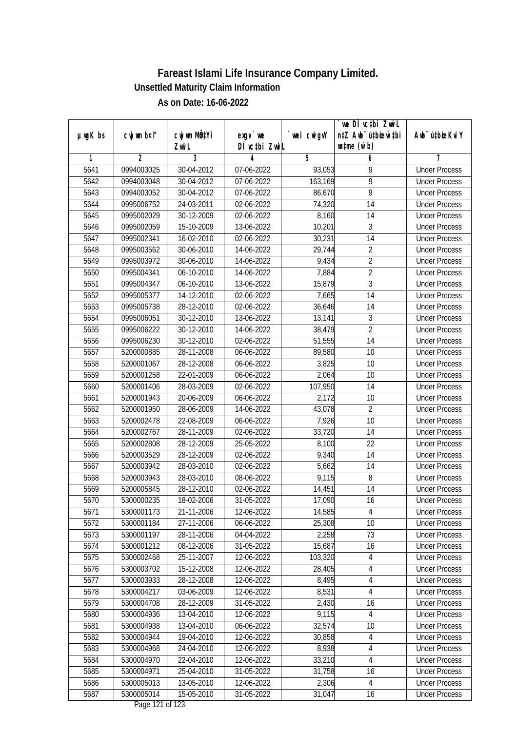|               |             |              |               |                | we DI vctbi Zwil                 |                             |
|---------------|-------------|--------------|---------------|----------------|----------------------------------|-----------------------------|
| $µ$ ug $K$ bs | cwj wm b¤i^ | cwj wm MQtYi | $exgV$ we     | wei cwigvY     | n‡Z Awb <sup>-</sup> ú‡bioen`‡bi | Awb <sup>-</sup> ú‡bioeKviY |
|               |             | Zwi L        | DÌ vctbi ZwiL |                | $\n  untime\n  (u`b)\n$          |                             |
| 1             | 2           | 3            | 4             | $\overline{5}$ | 6                                | 7                           |
| 5641          | 0994003025  | 30-04-2012   | 07-06-2022    | 93,053         | 9                                | <b>Under Process</b>        |
| 5642          | 0994003048  | 30-04-2012   | 07-06-2022    | 163,169        | $\overline{9}$                   | <b>Under Process</b>        |
| 5643          | 0994003052  | 30-04-2012   | 07-06-2022    | 86,670         | 9                                | <b>Under Process</b>        |
| 5644          | 0995006752  | 24-03-2011   | 02-06-2022    | 74,320         | 14                               | <b>Under Process</b>        |
| 5645          | 0995002029  | 30-12-2009   | 02-06-2022    | 8,160          | $\overline{14}$                  | <b>Under Process</b>        |
| 5646          | 0995002059  | 15-10-2009   | $13-06-2022$  | 10,201         | 3                                | <b>Under Process</b>        |
| 5647          | 0995002341  | 16-02-2010   | 02-06-2022    | 30,231         | $\overline{14}$                  | <b>Under Process</b>        |
| 5648          | 0995003562  | 30-06-2010   | 14-06-2022    | 29,744         | $\overline{2}$                   | <b>Under Process</b>        |
| 5649          | 0995003972  | 30-06-2010   | 14-06-2022    | 9,434          | $\overline{2}$                   | <b>Under Process</b>        |
| 5650          | 0995004341  | 06-10-2010   | 14-06-2022    | 7,884          | $\overline{2}$                   | <b>Under Process</b>        |
| 5651          | 0995004347  | 06-10-2010   | 13-06-2022    | 15,879         | $\overline{3}$                   | <b>Under Process</b>        |
| 5652          | 0995005377  | 14-12-2010   | 02-06-2022    | 7,665          | 14                               | <b>Under Process</b>        |
| 5653          | 0995005738  | 28-12-2010   | 02-06-2022    | 36,646         | $\overline{14}$                  | <b>Under Process</b>        |
| 5654          | 0995006051  | 30-12-2010   | 13-06-2022    | 13,141         | $\mathfrak{Z}$                   | <b>Under Process</b>        |
| 5655          | 0995006222  | 30-12-2010   | 14-06-2022    | 38,479         | $\overline{2}$                   | <b>Under Process</b>        |
| 5656          | 0995006230  | 30-12-2010   | 02-06-2022    | 51,555         | 14                               | <b>Under Process</b>        |
| 5657          | 5200000885  | 28-11-2008   | 06-06-2022    | 89,580         | 10                               | <b>Under Process</b>        |
| 5658          | 5200001067  | 28-12-2008   | 06-06-2022    | 3,825          | 10                               | <b>Under Process</b>        |
| 5659          | 5200001258  | 22-01-2009   | 06-06-2022    | 2,064          | 10                               | <b>Under Process</b>        |
| 5660          | 5200001406  | 28-03-2009   | 02-06-2022    | 107,950        | 14                               | <b>Under Process</b>        |
| 5661          | 5200001943  | 20-06-2009   | 06-06-2022    | 2,172          | 10                               | <b>Under Process</b>        |
| 5662          | 5200001950  | 28-06-2009   | 14-06-2022    | 43,078         | $\overline{2}$                   | <b>Under Process</b>        |
| 5663          | 5200002478  | 22-08-2009   | 06-06-2022    | 7,926          | 10                               | <b>Under Process</b>        |
| 5664          | 5200002767  | 28-11-2009   | 02-06-2022    | 33,720         | 14                               | <b>Under Process</b>        |
| 5665          | 5200002808  | 28-12-2009   | 25-05-2022    | 8,100          | 22                               | <b>Under Process</b>        |
| 5666          | 5200003529  | 28-12-2009   | 02-06-2022    | 9,340          | 14                               | <b>Under Process</b>        |
| 5667          | 5200003942  | 28-03-2010   | 02-06-2022    | 5,662          | 14                               | <b>Under Process</b>        |
| 5668          | 5200003943  | 28-03-2010   | 08-06-2022    | 9,115          | 8                                | <b>Under Process</b>        |
| 5669          | 5200005845  | 28-12-2010   | 02-06-2022    | 14,451         | 14                               | <b>Under Process</b>        |
| 5670          | 5300000235  | 18-02-2006   | 31-05-2022    | 17,090         | 16                               | <b>Under Process</b>        |
| 5671          | 5300001173  | 21-11-2006   | 12-06-2022    | 14,585         | 4                                | <b>Under Process</b>        |
| 5672          | 5300001184  | 27-11-2006   | 06-06-2022    | 25,308         | 10                               | <b>Under Process</b>        |
| 5673          | 5300001197  | 28-11-2006   | 04-04-2022    | 2,258          | 73                               | <b>Under Process</b>        |
| 5674          | 5300001212  | 08-12-2006   | 31-05-2022    | 15,687         | 16                               | <b>Under Process</b>        |
| 5675          | 5300002468  | 25-11-2007   | 12-06-2022    | 103,320        | 4                                | <b>Under Process</b>        |
| 5676          | 5300003702  | 15-12-2008   | 12-06-2022    | 28,405         | 4                                | <b>Under Process</b>        |
| 5677          | 5300003933  | 28-12-2008   | 12-06-2022    | 8,495          | 4                                | <b>Under Process</b>        |
| 5678          | 5300004217  | 03-06-2009   | 12-06-2022    | 8,531          | $\overline{4}$                   | <b>Under Process</b>        |
| 5679          | 5300004708  | 28-12-2009   | 31-05-2022    | 2,430          | 16                               | <b>Under Process</b>        |
| 5680          | 5300004936  | 13-04-2010   | 12-06-2022    | 9,115          | $\overline{4}$                   | <b>Under Process</b>        |
| 5681          | 5300004938  | 13-04-2010   | 06-06-2022    | 32,574         | 10                               | <b>Under Process</b>        |
| 5682          | 5300004944  | 19-04-2010   | 12-06-2022    | 30,858         | $\overline{4}$                   | <b>Under Process</b>        |
| 5683          | 5300004968  | 24-04-2010   | 12-06-2022    | 8,938          | 4                                | <b>Under Process</b>        |
| 5684          | 5300004970  | 22-04-2010   | 12-06-2022    | 33,210         | $\overline{4}$                   | <b>Under Process</b>        |
| 5685          | 5300004971  | 25-04-2010   | 31-05-2022    | 31,758         | 16                               | <b>Under Process</b>        |
| 5686          | 5300005013  | 13-05-2010   | 12-06-2022    | 2,306          | 4                                | <b>Under Process</b>        |
| 5687          | 5300005014  | 15-05-2010   | 31-05-2022    | 31,047         | 16                               | <b>Under Process</b>        |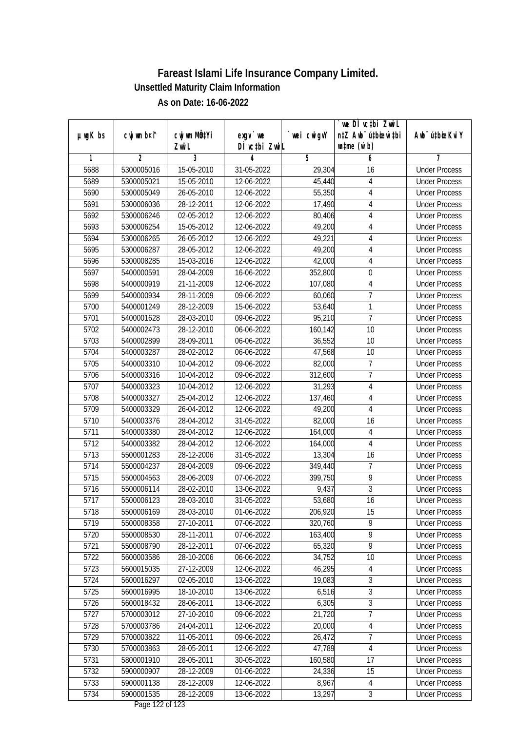| DÌ vctbi ZwiL<br>$\n  untime\n  (u`b)\n$<br>Zwi L<br>3<br>2<br>5<br>6<br>1<br>4<br>7<br>5688<br>5300005016<br>15-05-2010<br>31-05-2022<br>29,304<br><b>Under Process</b><br>16<br>5689<br>15-05-2010<br>12-06-2022<br>4<br>5300005021<br>45,440<br><b>Under Process</b><br>5690<br>5300005049<br>26-05-2010<br>12-06-2022<br>55,350<br>$\overline{4}$<br><b>Under Process</b><br>5691<br>5300006036<br>28-12-2011<br>12-06-2022<br>17,490<br>4<br><b>Under Process</b><br>5692<br>02-05-2012<br>$\overline{4}$<br>5300006246<br>12-06-2022<br>80,406<br><b>Under Process</b><br>5693<br>5300006254<br>15-05-2012<br>12-06-2022<br>49,200<br>4<br><b>Under Process</b><br>5694<br>5300006265<br>26-05-2012<br>49,221<br>4<br>12-06-2022<br><b>Under Process</b><br>5695<br>5300006287<br>28-05-2012<br>49,200<br>4<br>12-06-2022<br><b>Under Process</b><br>5696<br>5300008285<br>15-03-2016<br>12-06-2022<br>$\overline{4}$<br>42,000<br><b>Under Process</b><br>28-04-2009<br>5697<br>5400000591<br>16-06-2022<br>352,800<br>$\mathbf 0$<br><b>Under Process</b><br>21-11-2009<br>5698<br>5400000919<br>12-06-2022<br>107,080<br>4<br><b>Under Process</b><br>7<br>5699<br>5400000934<br>28-11-2009<br>09-06-2022<br>60,060<br><b>Under Process</b><br>1<br>5700<br>5400001249<br>28-12-2009<br>53,640<br>15-06-2022<br><b>Under Process</b><br>7<br>5701<br>5400001628<br>28-03-2010<br>09-06-2022<br>95,210<br><b>Under Process</b><br>5702<br>5400002473<br>28-12-2010<br>06-06-2022<br>160,142<br>10<br><b>Under Process</b><br>5703<br>10<br>5400002899<br>28-09-2011<br>06-06-2022<br>36,552<br><b>Under Process</b><br>5704<br>5400003287<br>28-02-2012<br>47,568<br>10<br>06-06-2022<br><b>Under Process</b><br>5705<br>5400003310<br>10-04-2012<br>7<br>09-06-2022<br>82,000<br><b>Under Process</b><br>$\overline{1}$<br>5706<br>5400003316<br>10-04-2012<br>09-06-2022<br>312,600<br><b>Under Process</b><br>5707<br>5400003323<br>10-04-2012<br>12-06-2022<br>31,293<br><b>Under Process</b><br>4<br>$\overline{4}$<br>5708<br>5400003327<br>25-04-2012<br>12-06-2022<br>137,460<br><b>Under Process</b><br>5709<br>26-04-2012<br>12-06-2022<br>49,200<br>$\overline{4}$<br>5400003329<br><b>Under Process</b><br>5710<br>5400003376<br>28-04-2012<br>31-05-2022<br>82,000<br>16<br><b>Under Process</b><br>5711<br>5400003380<br>28-04-2012<br>12-06-2022<br>164,000<br>4<br><b>Under Process</b><br>5712<br>5400003382<br>28-04-2012<br>12-06-2022<br>$\overline{4}$<br><b>Under Process</b><br>164,000<br>5713<br>5500001283<br>28-12-2006<br>31-05-2022<br>13,304<br>16<br><b>Under Process</b><br>$\overline{7}$<br>5714<br>5500004237<br>28-04-2009<br>349,440<br>09-06-2022<br><b>Under Process</b><br>$\overline{9}$<br>5715<br>5500004563<br>28-06-2009<br>399,750<br>07-06-2022<br><b>Under Process</b><br>$\overline{3}$<br>9,437<br>5716<br>5500006114<br>28-02-2010<br>13-06-2022<br><b>Under Process</b><br>5717<br>53,680<br>16<br>5500006123<br>28-03-2010<br>31-05-2022<br><b>Under Process</b><br>5718<br>5500006169<br>28-03-2010<br>01-06-2022<br>206,920<br>15<br><b>Under Process</b><br>9<br>5719<br>27-10-2011<br>320,760<br>5500008358<br>07-06-2022<br><b>Under Process</b><br>9<br>163,400<br>5720<br>5500008530<br>28-11-2011<br>07-06-2022<br><b>Under Process</b><br>$\overline{9}$<br>5721<br>5500008790<br>28-12-2011<br>07-06-2022<br>65,320<br><b>Under Process</b><br>5722<br>5600003586<br>28-10-2006<br>34,752<br>06-06-2022<br>10<br><b>Under Process</b><br>5723<br>27-12-2009<br>46,295<br>5600015035<br>12-06-2022<br><b>Under Process</b><br>4<br>3<br>5724<br>5600016297<br>19,083<br>02-05-2010<br>13-06-2022<br><b>Under Process</b><br>$\overline{3}$<br>6,516<br>5725<br>5600016995<br>18-10-2010<br>13-06-2022<br><b>Under Process</b><br>3<br>6,305<br>5726<br>5600018432<br>28-06-2011<br>13-06-2022<br><b>Under Process</b><br>$\overline{7}$<br>5727<br>27-10-2010<br>21,720<br>5700003012<br>09-06-2022<br><b>Under Process</b><br>5728<br>5700003786<br>24-04-2011<br>12-06-2022<br>20,000<br>4<br><b>Under Process</b><br>$\overline{7}$<br>5729<br>5700003822<br>11-05-2011<br>09-06-2022<br>26,472<br><b>Under Process</b><br>5700003863<br>28-05-2011<br>$12-06-2022$<br>47,789<br>5730<br>4<br><b>Under Process</b><br>160,580<br>17<br>5731<br>5800001910<br>28-05-2011<br>30-05-2022<br><b>Under Process</b><br>5732<br>5900000907<br>28-12-2009<br>01-06-2022<br>24,336<br>15<br><b>Under Process</b><br>5733<br>5900001138<br>28-12-2009<br>8,967<br>12-06-2022<br><b>Under Process</b><br>4<br>3<br>5734<br>5900001535<br>28-12-2009<br>13,297<br>13-06-2022<br><b>Under Process</b> |               | cwj wm b¤i^ | cwj wm MQtYi |           |            | we DI vctbi ZwiL<br>n‡Z Awb <sup>-</sup> ú‡bioar`‡bi | Awb <sup>-</sup> ú‡bioeKviY |
|-------------------------------------------------------------------------------------------------------------------------------------------------------------------------------------------------------------------------------------------------------------------------------------------------------------------------------------------------------------------------------------------------------------------------------------------------------------------------------------------------------------------------------------------------------------------------------------------------------------------------------------------------------------------------------------------------------------------------------------------------------------------------------------------------------------------------------------------------------------------------------------------------------------------------------------------------------------------------------------------------------------------------------------------------------------------------------------------------------------------------------------------------------------------------------------------------------------------------------------------------------------------------------------------------------------------------------------------------------------------------------------------------------------------------------------------------------------------------------------------------------------------------------------------------------------------------------------------------------------------------------------------------------------------------------------------------------------------------------------------------------------------------------------------------------------------------------------------------------------------------------------------------------------------------------------------------------------------------------------------------------------------------------------------------------------------------------------------------------------------------------------------------------------------------------------------------------------------------------------------------------------------------------------------------------------------------------------------------------------------------------------------------------------------------------------------------------------------------------------------------------------------------------------------------------------------------------------------------------------------------------------------------------------------------------------------------------------------------------------------------------------------------------------------------------------------------------------------------------------------------------------------------------------------------------------------------------------------------------------------------------------------------------------------------------------------------------------------------------------------------------------------------------------------------------------------------------------------------------------------------------------------------------------------------------------------------------------------------------------------------------------------------------------------------------------------------------------------------------------------------------------------------------------------------------------------------------------------------------------------------------------------------------------------------------------------------------------------------------------------------------------------------------------------------------------------------------------------------------------------------------------------------------------------------------------------------------------------------------------------------------------------------------------------------------------------------------------------------------------------------------------------------------------------------------------------------------------------------------------------------------------------------------------------------------------------------------------------------------------------------------------------------------------------------------------------------------------------------------------------------------------------------------------------------------------------------------------------------------------------------------------------------------------------|---------------|-------------|--------------|-----------|------------|------------------------------------------------------|-----------------------------|
|                                                                                                                                                                                                                                                                                                                                                                                                                                                                                                                                                                                                                                                                                                                                                                                                                                                                                                                                                                                                                                                                                                                                                                                                                                                                                                                                                                                                                                                                                                                                                                                                                                                                                                                                                                                                                                                                                                                                                                                                                                                                                                                                                                                                                                                                                                                                                                                                                                                                                                                                                                                                                                                                                                                                                                                                                                                                                                                                                                                                                                                                                                                                                                                                                                                                                                                                                                                                                                                                                                                                                                                                                                                                                                                                                                                                                                                                                                                                                                                                                                                                                                                                                                                                                                                                                                                                                                                                                                                                                                                                                                                                                                                                   | $µ$ ug $K$ bs |             |              | $exgV$ we | wei cwigvY |                                                      |                             |
|                                                                                                                                                                                                                                                                                                                                                                                                                                                                                                                                                                                                                                                                                                                                                                                                                                                                                                                                                                                                                                                                                                                                                                                                                                                                                                                                                                                                                                                                                                                                                                                                                                                                                                                                                                                                                                                                                                                                                                                                                                                                                                                                                                                                                                                                                                                                                                                                                                                                                                                                                                                                                                                                                                                                                                                                                                                                                                                                                                                                                                                                                                                                                                                                                                                                                                                                                                                                                                                                                                                                                                                                                                                                                                                                                                                                                                                                                                                                                                                                                                                                                                                                                                                                                                                                                                                                                                                                                                                                                                                                                                                                                                                                   |               |             |              |           |            |                                                      |                             |
|                                                                                                                                                                                                                                                                                                                                                                                                                                                                                                                                                                                                                                                                                                                                                                                                                                                                                                                                                                                                                                                                                                                                                                                                                                                                                                                                                                                                                                                                                                                                                                                                                                                                                                                                                                                                                                                                                                                                                                                                                                                                                                                                                                                                                                                                                                                                                                                                                                                                                                                                                                                                                                                                                                                                                                                                                                                                                                                                                                                                                                                                                                                                                                                                                                                                                                                                                                                                                                                                                                                                                                                                                                                                                                                                                                                                                                                                                                                                                                                                                                                                                                                                                                                                                                                                                                                                                                                                                                                                                                                                                                                                                                                                   |               |             |              |           |            |                                                      |                             |
|                                                                                                                                                                                                                                                                                                                                                                                                                                                                                                                                                                                                                                                                                                                                                                                                                                                                                                                                                                                                                                                                                                                                                                                                                                                                                                                                                                                                                                                                                                                                                                                                                                                                                                                                                                                                                                                                                                                                                                                                                                                                                                                                                                                                                                                                                                                                                                                                                                                                                                                                                                                                                                                                                                                                                                                                                                                                                                                                                                                                                                                                                                                                                                                                                                                                                                                                                                                                                                                                                                                                                                                                                                                                                                                                                                                                                                                                                                                                                                                                                                                                                                                                                                                                                                                                                                                                                                                                                                                                                                                                                                                                                                                                   |               |             |              |           |            |                                                      |                             |
|                                                                                                                                                                                                                                                                                                                                                                                                                                                                                                                                                                                                                                                                                                                                                                                                                                                                                                                                                                                                                                                                                                                                                                                                                                                                                                                                                                                                                                                                                                                                                                                                                                                                                                                                                                                                                                                                                                                                                                                                                                                                                                                                                                                                                                                                                                                                                                                                                                                                                                                                                                                                                                                                                                                                                                                                                                                                                                                                                                                                                                                                                                                                                                                                                                                                                                                                                                                                                                                                                                                                                                                                                                                                                                                                                                                                                                                                                                                                                                                                                                                                                                                                                                                                                                                                                                                                                                                                                                                                                                                                                                                                                                                                   |               |             |              |           |            |                                                      |                             |
|                                                                                                                                                                                                                                                                                                                                                                                                                                                                                                                                                                                                                                                                                                                                                                                                                                                                                                                                                                                                                                                                                                                                                                                                                                                                                                                                                                                                                                                                                                                                                                                                                                                                                                                                                                                                                                                                                                                                                                                                                                                                                                                                                                                                                                                                                                                                                                                                                                                                                                                                                                                                                                                                                                                                                                                                                                                                                                                                                                                                                                                                                                                                                                                                                                                                                                                                                                                                                                                                                                                                                                                                                                                                                                                                                                                                                                                                                                                                                                                                                                                                                                                                                                                                                                                                                                                                                                                                                                                                                                                                                                                                                                                                   |               |             |              |           |            |                                                      |                             |
|                                                                                                                                                                                                                                                                                                                                                                                                                                                                                                                                                                                                                                                                                                                                                                                                                                                                                                                                                                                                                                                                                                                                                                                                                                                                                                                                                                                                                                                                                                                                                                                                                                                                                                                                                                                                                                                                                                                                                                                                                                                                                                                                                                                                                                                                                                                                                                                                                                                                                                                                                                                                                                                                                                                                                                                                                                                                                                                                                                                                                                                                                                                                                                                                                                                                                                                                                                                                                                                                                                                                                                                                                                                                                                                                                                                                                                                                                                                                                                                                                                                                                                                                                                                                                                                                                                                                                                                                                                                                                                                                                                                                                                                                   |               |             |              |           |            |                                                      |                             |
|                                                                                                                                                                                                                                                                                                                                                                                                                                                                                                                                                                                                                                                                                                                                                                                                                                                                                                                                                                                                                                                                                                                                                                                                                                                                                                                                                                                                                                                                                                                                                                                                                                                                                                                                                                                                                                                                                                                                                                                                                                                                                                                                                                                                                                                                                                                                                                                                                                                                                                                                                                                                                                                                                                                                                                                                                                                                                                                                                                                                                                                                                                                                                                                                                                                                                                                                                                                                                                                                                                                                                                                                                                                                                                                                                                                                                                                                                                                                                                                                                                                                                                                                                                                                                                                                                                                                                                                                                                                                                                                                                                                                                                                                   |               |             |              |           |            |                                                      |                             |
|                                                                                                                                                                                                                                                                                                                                                                                                                                                                                                                                                                                                                                                                                                                                                                                                                                                                                                                                                                                                                                                                                                                                                                                                                                                                                                                                                                                                                                                                                                                                                                                                                                                                                                                                                                                                                                                                                                                                                                                                                                                                                                                                                                                                                                                                                                                                                                                                                                                                                                                                                                                                                                                                                                                                                                                                                                                                                                                                                                                                                                                                                                                                                                                                                                                                                                                                                                                                                                                                                                                                                                                                                                                                                                                                                                                                                                                                                                                                                                                                                                                                                                                                                                                                                                                                                                                                                                                                                                                                                                                                                                                                                                                                   |               |             |              |           |            |                                                      |                             |
|                                                                                                                                                                                                                                                                                                                                                                                                                                                                                                                                                                                                                                                                                                                                                                                                                                                                                                                                                                                                                                                                                                                                                                                                                                                                                                                                                                                                                                                                                                                                                                                                                                                                                                                                                                                                                                                                                                                                                                                                                                                                                                                                                                                                                                                                                                                                                                                                                                                                                                                                                                                                                                                                                                                                                                                                                                                                                                                                                                                                                                                                                                                                                                                                                                                                                                                                                                                                                                                                                                                                                                                                                                                                                                                                                                                                                                                                                                                                                                                                                                                                                                                                                                                                                                                                                                                                                                                                                                                                                                                                                                                                                                                                   |               |             |              |           |            |                                                      |                             |
|                                                                                                                                                                                                                                                                                                                                                                                                                                                                                                                                                                                                                                                                                                                                                                                                                                                                                                                                                                                                                                                                                                                                                                                                                                                                                                                                                                                                                                                                                                                                                                                                                                                                                                                                                                                                                                                                                                                                                                                                                                                                                                                                                                                                                                                                                                                                                                                                                                                                                                                                                                                                                                                                                                                                                                                                                                                                                                                                                                                                                                                                                                                                                                                                                                                                                                                                                                                                                                                                                                                                                                                                                                                                                                                                                                                                                                                                                                                                                                                                                                                                                                                                                                                                                                                                                                                                                                                                                                                                                                                                                                                                                                                                   |               |             |              |           |            |                                                      |                             |
|                                                                                                                                                                                                                                                                                                                                                                                                                                                                                                                                                                                                                                                                                                                                                                                                                                                                                                                                                                                                                                                                                                                                                                                                                                                                                                                                                                                                                                                                                                                                                                                                                                                                                                                                                                                                                                                                                                                                                                                                                                                                                                                                                                                                                                                                                                                                                                                                                                                                                                                                                                                                                                                                                                                                                                                                                                                                                                                                                                                                                                                                                                                                                                                                                                                                                                                                                                                                                                                                                                                                                                                                                                                                                                                                                                                                                                                                                                                                                                                                                                                                                                                                                                                                                                                                                                                                                                                                                                                                                                                                                                                                                                                                   |               |             |              |           |            |                                                      |                             |
|                                                                                                                                                                                                                                                                                                                                                                                                                                                                                                                                                                                                                                                                                                                                                                                                                                                                                                                                                                                                                                                                                                                                                                                                                                                                                                                                                                                                                                                                                                                                                                                                                                                                                                                                                                                                                                                                                                                                                                                                                                                                                                                                                                                                                                                                                                                                                                                                                                                                                                                                                                                                                                                                                                                                                                                                                                                                                                                                                                                                                                                                                                                                                                                                                                                                                                                                                                                                                                                                                                                                                                                                                                                                                                                                                                                                                                                                                                                                                                                                                                                                                                                                                                                                                                                                                                                                                                                                                                                                                                                                                                                                                                                                   |               |             |              |           |            |                                                      |                             |
|                                                                                                                                                                                                                                                                                                                                                                                                                                                                                                                                                                                                                                                                                                                                                                                                                                                                                                                                                                                                                                                                                                                                                                                                                                                                                                                                                                                                                                                                                                                                                                                                                                                                                                                                                                                                                                                                                                                                                                                                                                                                                                                                                                                                                                                                                                                                                                                                                                                                                                                                                                                                                                                                                                                                                                                                                                                                                                                                                                                                                                                                                                                                                                                                                                                                                                                                                                                                                                                                                                                                                                                                                                                                                                                                                                                                                                                                                                                                                                                                                                                                                                                                                                                                                                                                                                                                                                                                                                                                                                                                                                                                                                                                   |               |             |              |           |            |                                                      |                             |
|                                                                                                                                                                                                                                                                                                                                                                                                                                                                                                                                                                                                                                                                                                                                                                                                                                                                                                                                                                                                                                                                                                                                                                                                                                                                                                                                                                                                                                                                                                                                                                                                                                                                                                                                                                                                                                                                                                                                                                                                                                                                                                                                                                                                                                                                                                                                                                                                                                                                                                                                                                                                                                                                                                                                                                                                                                                                                                                                                                                                                                                                                                                                                                                                                                                                                                                                                                                                                                                                                                                                                                                                                                                                                                                                                                                                                                                                                                                                                                                                                                                                                                                                                                                                                                                                                                                                                                                                                                                                                                                                                                                                                                                                   |               |             |              |           |            |                                                      |                             |
|                                                                                                                                                                                                                                                                                                                                                                                                                                                                                                                                                                                                                                                                                                                                                                                                                                                                                                                                                                                                                                                                                                                                                                                                                                                                                                                                                                                                                                                                                                                                                                                                                                                                                                                                                                                                                                                                                                                                                                                                                                                                                                                                                                                                                                                                                                                                                                                                                                                                                                                                                                                                                                                                                                                                                                                                                                                                                                                                                                                                                                                                                                                                                                                                                                                                                                                                                                                                                                                                                                                                                                                                                                                                                                                                                                                                                                                                                                                                                                                                                                                                                                                                                                                                                                                                                                                                                                                                                                                                                                                                                                                                                                                                   |               |             |              |           |            |                                                      |                             |
|                                                                                                                                                                                                                                                                                                                                                                                                                                                                                                                                                                                                                                                                                                                                                                                                                                                                                                                                                                                                                                                                                                                                                                                                                                                                                                                                                                                                                                                                                                                                                                                                                                                                                                                                                                                                                                                                                                                                                                                                                                                                                                                                                                                                                                                                                                                                                                                                                                                                                                                                                                                                                                                                                                                                                                                                                                                                                                                                                                                                                                                                                                                                                                                                                                                                                                                                                                                                                                                                                                                                                                                                                                                                                                                                                                                                                                                                                                                                                                                                                                                                                                                                                                                                                                                                                                                                                                                                                                                                                                                                                                                                                                                                   |               |             |              |           |            |                                                      |                             |
|                                                                                                                                                                                                                                                                                                                                                                                                                                                                                                                                                                                                                                                                                                                                                                                                                                                                                                                                                                                                                                                                                                                                                                                                                                                                                                                                                                                                                                                                                                                                                                                                                                                                                                                                                                                                                                                                                                                                                                                                                                                                                                                                                                                                                                                                                                                                                                                                                                                                                                                                                                                                                                                                                                                                                                                                                                                                                                                                                                                                                                                                                                                                                                                                                                                                                                                                                                                                                                                                                                                                                                                                                                                                                                                                                                                                                                                                                                                                                                                                                                                                                                                                                                                                                                                                                                                                                                                                                                                                                                                                                                                                                                                                   |               |             |              |           |            |                                                      |                             |
|                                                                                                                                                                                                                                                                                                                                                                                                                                                                                                                                                                                                                                                                                                                                                                                                                                                                                                                                                                                                                                                                                                                                                                                                                                                                                                                                                                                                                                                                                                                                                                                                                                                                                                                                                                                                                                                                                                                                                                                                                                                                                                                                                                                                                                                                                                                                                                                                                                                                                                                                                                                                                                                                                                                                                                                                                                                                                                                                                                                                                                                                                                                                                                                                                                                                                                                                                                                                                                                                                                                                                                                                                                                                                                                                                                                                                                                                                                                                                                                                                                                                                                                                                                                                                                                                                                                                                                                                                                                                                                                                                                                                                                                                   |               |             |              |           |            |                                                      |                             |
|                                                                                                                                                                                                                                                                                                                                                                                                                                                                                                                                                                                                                                                                                                                                                                                                                                                                                                                                                                                                                                                                                                                                                                                                                                                                                                                                                                                                                                                                                                                                                                                                                                                                                                                                                                                                                                                                                                                                                                                                                                                                                                                                                                                                                                                                                                                                                                                                                                                                                                                                                                                                                                                                                                                                                                                                                                                                                                                                                                                                                                                                                                                                                                                                                                                                                                                                                                                                                                                                                                                                                                                                                                                                                                                                                                                                                                                                                                                                                                                                                                                                                                                                                                                                                                                                                                                                                                                                                                                                                                                                                                                                                                                                   |               |             |              |           |            |                                                      |                             |
|                                                                                                                                                                                                                                                                                                                                                                                                                                                                                                                                                                                                                                                                                                                                                                                                                                                                                                                                                                                                                                                                                                                                                                                                                                                                                                                                                                                                                                                                                                                                                                                                                                                                                                                                                                                                                                                                                                                                                                                                                                                                                                                                                                                                                                                                                                                                                                                                                                                                                                                                                                                                                                                                                                                                                                                                                                                                                                                                                                                                                                                                                                                                                                                                                                                                                                                                                                                                                                                                                                                                                                                                                                                                                                                                                                                                                                                                                                                                                                                                                                                                                                                                                                                                                                                                                                                                                                                                                                                                                                                                                                                                                                                                   |               |             |              |           |            |                                                      |                             |
|                                                                                                                                                                                                                                                                                                                                                                                                                                                                                                                                                                                                                                                                                                                                                                                                                                                                                                                                                                                                                                                                                                                                                                                                                                                                                                                                                                                                                                                                                                                                                                                                                                                                                                                                                                                                                                                                                                                                                                                                                                                                                                                                                                                                                                                                                                                                                                                                                                                                                                                                                                                                                                                                                                                                                                                                                                                                                                                                                                                                                                                                                                                                                                                                                                                                                                                                                                                                                                                                                                                                                                                                                                                                                                                                                                                                                                                                                                                                                                                                                                                                                                                                                                                                                                                                                                                                                                                                                                                                                                                                                                                                                                                                   |               |             |              |           |            |                                                      |                             |
|                                                                                                                                                                                                                                                                                                                                                                                                                                                                                                                                                                                                                                                                                                                                                                                                                                                                                                                                                                                                                                                                                                                                                                                                                                                                                                                                                                                                                                                                                                                                                                                                                                                                                                                                                                                                                                                                                                                                                                                                                                                                                                                                                                                                                                                                                                                                                                                                                                                                                                                                                                                                                                                                                                                                                                                                                                                                                                                                                                                                                                                                                                                                                                                                                                                                                                                                                                                                                                                                                                                                                                                                                                                                                                                                                                                                                                                                                                                                                                                                                                                                                                                                                                                                                                                                                                                                                                                                                                                                                                                                                                                                                                                                   |               |             |              |           |            |                                                      |                             |
|                                                                                                                                                                                                                                                                                                                                                                                                                                                                                                                                                                                                                                                                                                                                                                                                                                                                                                                                                                                                                                                                                                                                                                                                                                                                                                                                                                                                                                                                                                                                                                                                                                                                                                                                                                                                                                                                                                                                                                                                                                                                                                                                                                                                                                                                                                                                                                                                                                                                                                                                                                                                                                                                                                                                                                                                                                                                                                                                                                                                                                                                                                                                                                                                                                                                                                                                                                                                                                                                                                                                                                                                                                                                                                                                                                                                                                                                                                                                                                                                                                                                                                                                                                                                                                                                                                                                                                                                                                                                                                                                                                                                                                                                   |               |             |              |           |            |                                                      |                             |
|                                                                                                                                                                                                                                                                                                                                                                                                                                                                                                                                                                                                                                                                                                                                                                                                                                                                                                                                                                                                                                                                                                                                                                                                                                                                                                                                                                                                                                                                                                                                                                                                                                                                                                                                                                                                                                                                                                                                                                                                                                                                                                                                                                                                                                                                                                                                                                                                                                                                                                                                                                                                                                                                                                                                                                                                                                                                                                                                                                                                                                                                                                                                                                                                                                                                                                                                                                                                                                                                                                                                                                                                                                                                                                                                                                                                                                                                                                                                                                                                                                                                                                                                                                                                                                                                                                                                                                                                                                                                                                                                                                                                                                                                   |               |             |              |           |            |                                                      |                             |
|                                                                                                                                                                                                                                                                                                                                                                                                                                                                                                                                                                                                                                                                                                                                                                                                                                                                                                                                                                                                                                                                                                                                                                                                                                                                                                                                                                                                                                                                                                                                                                                                                                                                                                                                                                                                                                                                                                                                                                                                                                                                                                                                                                                                                                                                                                                                                                                                                                                                                                                                                                                                                                                                                                                                                                                                                                                                                                                                                                                                                                                                                                                                                                                                                                                                                                                                                                                                                                                                                                                                                                                                                                                                                                                                                                                                                                                                                                                                                                                                                                                                                                                                                                                                                                                                                                                                                                                                                                                                                                                                                                                                                                                                   |               |             |              |           |            |                                                      |                             |
|                                                                                                                                                                                                                                                                                                                                                                                                                                                                                                                                                                                                                                                                                                                                                                                                                                                                                                                                                                                                                                                                                                                                                                                                                                                                                                                                                                                                                                                                                                                                                                                                                                                                                                                                                                                                                                                                                                                                                                                                                                                                                                                                                                                                                                                                                                                                                                                                                                                                                                                                                                                                                                                                                                                                                                                                                                                                                                                                                                                                                                                                                                                                                                                                                                                                                                                                                                                                                                                                                                                                                                                                                                                                                                                                                                                                                                                                                                                                                                                                                                                                                                                                                                                                                                                                                                                                                                                                                                                                                                                                                                                                                                                                   |               |             |              |           |            |                                                      |                             |
|                                                                                                                                                                                                                                                                                                                                                                                                                                                                                                                                                                                                                                                                                                                                                                                                                                                                                                                                                                                                                                                                                                                                                                                                                                                                                                                                                                                                                                                                                                                                                                                                                                                                                                                                                                                                                                                                                                                                                                                                                                                                                                                                                                                                                                                                                                                                                                                                                                                                                                                                                                                                                                                                                                                                                                                                                                                                                                                                                                                                                                                                                                                                                                                                                                                                                                                                                                                                                                                                                                                                                                                                                                                                                                                                                                                                                                                                                                                                                                                                                                                                                                                                                                                                                                                                                                                                                                                                                                                                                                                                                                                                                                                                   |               |             |              |           |            |                                                      |                             |
|                                                                                                                                                                                                                                                                                                                                                                                                                                                                                                                                                                                                                                                                                                                                                                                                                                                                                                                                                                                                                                                                                                                                                                                                                                                                                                                                                                                                                                                                                                                                                                                                                                                                                                                                                                                                                                                                                                                                                                                                                                                                                                                                                                                                                                                                                                                                                                                                                                                                                                                                                                                                                                                                                                                                                                                                                                                                                                                                                                                                                                                                                                                                                                                                                                                                                                                                                                                                                                                                                                                                                                                                                                                                                                                                                                                                                                                                                                                                                                                                                                                                                                                                                                                                                                                                                                                                                                                                                                                                                                                                                                                                                                                                   |               |             |              |           |            |                                                      |                             |
|                                                                                                                                                                                                                                                                                                                                                                                                                                                                                                                                                                                                                                                                                                                                                                                                                                                                                                                                                                                                                                                                                                                                                                                                                                                                                                                                                                                                                                                                                                                                                                                                                                                                                                                                                                                                                                                                                                                                                                                                                                                                                                                                                                                                                                                                                                                                                                                                                                                                                                                                                                                                                                                                                                                                                                                                                                                                                                                                                                                                                                                                                                                                                                                                                                                                                                                                                                                                                                                                                                                                                                                                                                                                                                                                                                                                                                                                                                                                                                                                                                                                                                                                                                                                                                                                                                                                                                                                                                                                                                                                                                                                                                                                   |               |             |              |           |            |                                                      |                             |
|                                                                                                                                                                                                                                                                                                                                                                                                                                                                                                                                                                                                                                                                                                                                                                                                                                                                                                                                                                                                                                                                                                                                                                                                                                                                                                                                                                                                                                                                                                                                                                                                                                                                                                                                                                                                                                                                                                                                                                                                                                                                                                                                                                                                                                                                                                                                                                                                                                                                                                                                                                                                                                                                                                                                                                                                                                                                                                                                                                                                                                                                                                                                                                                                                                                                                                                                                                                                                                                                                                                                                                                                                                                                                                                                                                                                                                                                                                                                                                                                                                                                                                                                                                                                                                                                                                                                                                                                                                                                                                                                                                                                                                                                   |               |             |              |           |            |                                                      |                             |
|                                                                                                                                                                                                                                                                                                                                                                                                                                                                                                                                                                                                                                                                                                                                                                                                                                                                                                                                                                                                                                                                                                                                                                                                                                                                                                                                                                                                                                                                                                                                                                                                                                                                                                                                                                                                                                                                                                                                                                                                                                                                                                                                                                                                                                                                                                                                                                                                                                                                                                                                                                                                                                                                                                                                                                                                                                                                                                                                                                                                                                                                                                                                                                                                                                                                                                                                                                                                                                                                                                                                                                                                                                                                                                                                                                                                                                                                                                                                                                                                                                                                                                                                                                                                                                                                                                                                                                                                                                                                                                                                                                                                                                                                   |               |             |              |           |            |                                                      |                             |
|                                                                                                                                                                                                                                                                                                                                                                                                                                                                                                                                                                                                                                                                                                                                                                                                                                                                                                                                                                                                                                                                                                                                                                                                                                                                                                                                                                                                                                                                                                                                                                                                                                                                                                                                                                                                                                                                                                                                                                                                                                                                                                                                                                                                                                                                                                                                                                                                                                                                                                                                                                                                                                                                                                                                                                                                                                                                                                                                                                                                                                                                                                                                                                                                                                                                                                                                                                                                                                                                                                                                                                                                                                                                                                                                                                                                                                                                                                                                                                                                                                                                                                                                                                                                                                                                                                                                                                                                                                                                                                                                                                                                                                                                   |               |             |              |           |            |                                                      |                             |
|                                                                                                                                                                                                                                                                                                                                                                                                                                                                                                                                                                                                                                                                                                                                                                                                                                                                                                                                                                                                                                                                                                                                                                                                                                                                                                                                                                                                                                                                                                                                                                                                                                                                                                                                                                                                                                                                                                                                                                                                                                                                                                                                                                                                                                                                                                                                                                                                                                                                                                                                                                                                                                                                                                                                                                                                                                                                                                                                                                                                                                                                                                                                                                                                                                                                                                                                                                                                                                                                                                                                                                                                                                                                                                                                                                                                                                                                                                                                                                                                                                                                                                                                                                                                                                                                                                                                                                                                                                                                                                                                                                                                                                                                   |               |             |              |           |            |                                                      |                             |
|                                                                                                                                                                                                                                                                                                                                                                                                                                                                                                                                                                                                                                                                                                                                                                                                                                                                                                                                                                                                                                                                                                                                                                                                                                                                                                                                                                                                                                                                                                                                                                                                                                                                                                                                                                                                                                                                                                                                                                                                                                                                                                                                                                                                                                                                                                                                                                                                                                                                                                                                                                                                                                                                                                                                                                                                                                                                                                                                                                                                                                                                                                                                                                                                                                                                                                                                                                                                                                                                                                                                                                                                                                                                                                                                                                                                                                                                                                                                                                                                                                                                                                                                                                                                                                                                                                                                                                                                                                                                                                                                                                                                                                                                   |               |             |              |           |            |                                                      |                             |
|                                                                                                                                                                                                                                                                                                                                                                                                                                                                                                                                                                                                                                                                                                                                                                                                                                                                                                                                                                                                                                                                                                                                                                                                                                                                                                                                                                                                                                                                                                                                                                                                                                                                                                                                                                                                                                                                                                                                                                                                                                                                                                                                                                                                                                                                                                                                                                                                                                                                                                                                                                                                                                                                                                                                                                                                                                                                                                                                                                                                                                                                                                                                                                                                                                                                                                                                                                                                                                                                                                                                                                                                                                                                                                                                                                                                                                                                                                                                                                                                                                                                                                                                                                                                                                                                                                                                                                                                                                                                                                                                                                                                                                                                   |               |             |              |           |            |                                                      |                             |
|                                                                                                                                                                                                                                                                                                                                                                                                                                                                                                                                                                                                                                                                                                                                                                                                                                                                                                                                                                                                                                                                                                                                                                                                                                                                                                                                                                                                                                                                                                                                                                                                                                                                                                                                                                                                                                                                                                                                                                                                                                                                                                                                                                                                                                                                                                                                                                                                                                                                                                                                                                                                                                                                                                                                                                                                                                                                                                                                                                                                                                                                                                                                                                                                                                                                                                                                                                                                                                                                                                                                                                                                                                                                                                                                                                                                                                                                                                                                                                                                                                                                                                                                                                                                                                                                                                                                                                                                                                                                                                                                                                                                                                                                   |               |             |              |           |            |                                                      |                             |
|                                                                                                                                                                                                                                                                                                                                                                                                                                                                                                                                                                                                                                                                                                                                                                                                                                                                                                                                                                                                                                                                                                                                                                                                                                                                                                                                                                                                                                                                                                                                                                                                                                                                                                                                                                                                                                                                                                                                                                                                                                                                                                                                                                                                                                                                                                                                                                                                                                                                                                                                                                                                                                                                                                                                                                                                                                                                                                                                                                                                                                                                                                                                                                                                                                                                                                                                                                                                                                                                                                                                                                                                                                                                                                                                                                                                                                                                                                                                                                                                                                                                                                                                                                                                                                                                                                                                                                                                                                                                                                                                                                                                                                                                   |               |             |              |           |            |                                                      |                             |
|                                                                                                                                                                                                                                                                                                                                                                                                                                                                                                                                                                                                                                                                                                                                                                                                                                                                                                                                                                                                                                                                                                                                                                                                                                                                                                                                                                                                                                                                                                                                                                                                                                                                                                                                                                                                                                                                                                                                                                                                                                                                                                                                                                                                                                                                                                                                                                                                                                                                                                                                                                                                                                                                                                                                                                                                                                                                                                                                                                                                                                                                                                                                                                                                                                                                                                                                                                                                                                                                                                                                                                                                                                                                                                                                                                                                                                                                                                                                                                                                                                                                                                                                                                                                                                                                                                                                                                                                                                                                                                                                                                                                                                                                   |               |             |              |           |            |                                                      |                             |
|                                                                                                                                                                                                                                                                                                                                                                                                                                                                                                                                                                                                                                                                                                                                                                                                                                                                                                                                                                                                                                                                                                                                                                                                                                                                                                                                                                                                                                                                                                                                                                                                                                                                                                                                                                                                                                                                                                                                                                                                                                                                                                                                                                                                                                                                                                                                                                                                                                                                                                                                                                                                                                                                                                                                                                                                                                                                                                                                                                                                                                                                                                                                                                                                                                                                                                                                                                                                                                                                                                                                                                                                                                                                                                                                                                                                                                                                                                                                                                                                                                                                                                                                                                                                                                                                                                                                                                                                                                                                                                                                                                                                                                                                   |               |             |              |           |            |                                                      |                             |
|                                                                                                                                                                                                                                                                                                                                                                                                                                                                                                                                                                                                                                                                                                                                                                                                                                                                                                                                                                                                                                                                                                                                                                                                                                                                                                                                                                                                                                                                                                                                                                                                                                                                                                                                                                                                                                                                                                                                                                                                                                                                                                                                                                                                                                                                                                                                                                                                                                                                                                                                                                                                                                                                                                                                                                                                                                                                                                                                                                                                                                                                                                                                                                                                                                                                                                                                                                                                                                                                                                                                                                                                                                                                                                                                                                                                                                                                                                                                                                                                                                                                                                                                                                                                                                                                                                                                                                                                                                                                                                                                                                                                                                                                   |               |             |              |           |            |                                                      |                             |
|                                                                                                                                                                                                                                                                                                                                                                                                                                                                                                                                                                                                                                                                                                                                                                                                                                                                                                                                                                                                                                                                                                                                                                                                                                                                                                                                                                                                                                                                                                                                                                                                                                                                                                                                                                                                                                                                                                                                                                                                                                                                                                                                                                                                                                                                                                                                                                                                                                                                                                                                                                                                                                                                                                                                                                                                                                                                                                                                                                                                                                                                                                                                                                                                                                                                                                                                                                                                                                                                                                                                                                                                                                                                                                                                                                                                                                                                                                                                                                                                                                                                                                                                                                                                                                                                                                                                                                                                                                                                                                                                                                                                                                                                   |               |             |              |           |            |                                                      |                             |
|                                                                                                                                                                                                                                                                                                                                                                                                                                                                                                                                                                                                                                                                                                                                                                                                                                                                                                                                                                                                                                                                                                                                                                                                                                                                                                                                                                                                                                                                                                                                                                                                                                                                                                                                                                                                                                                                                                                                                                                                                                                                                                                                                                                                                                                                                                                                                                                                                                                                                                                                                                                                                                                                                                                                                                                                                                                                                                                                                                                                                                                                                                                                                                                                                                                                                                                                                                                                                                                                                                                                                                                                                                                                                                                                                                                                                                                                                                                                                                                                                                                                                                                                                                                                                                                                                                                                                                                                                                                                                                                                                                                                                                                                   |               |             |              |           |            |                                                      |                             |
|                                                                                                                                                                                                                                                                                                                                                                                                                                                                                                                                                                                                                                                                                                                                                                                                                                                                                                                                                                                                                                                                                                                                                                                                                                                                                                                                                                                                                                                                                                                                                                                                                                                                                                                                                                                                                                                                                                                                                                                                                                                                                                                                                                                                                                                                                                                                                                                                                                                                                                                                                                                                                                                                                                                                                                                                                                                                                                                                                                                                                                                                                                                                                                                                                                                                                                                                                                                                                                                                                                                                                                                                                                                                                                                                                                                                                                                                                                                                                                                                                                                                                                                                                                                                                                                                                                                                                                                                                                                                                                                                                                                                                                                                   |               |             |              |           |            |                                                      |                             |
|                                                                                                                                                                                                                                                                                                                                                                                                                                                                                                                                                                                                                                                                                                                                                                                                                                                                                                                                                                                                                                                                                                                                                                                                                                                                                                                                                                                                                                                                                                                                                                                                                                                                                                                                                                                                                                                                                                                                                                                                                                                                                                                                                                                                                                                                                                                                                                                                                                                                                                                                                                                                                                                                                                                                                                                                                                                                                                                                                                                                                                                                                                                                                                                                                                                                                                                                                                                                                                                                                                                                                                                                                                                                                                                                                                                                                                                                                                                                                                                                                                                                                                                                                                                                                                                                                                                                                                                                                                                                                                                                                                                                                                                                   |               |             |              |           |            |                                                      |                             |
|                                                                                                                                                                                                                                                                                                                                                                                                                                                                                                                                                                                                                                                                                                                                                                                                                                                                                                                                                                                                                                                                                                                                                                                                                                                                                                                                                                                                                                                                                                                                                                                                                                                                                                                                                                                                                                                                                                                                                                                                                                                                                                                                                                                                                                                                                                                                                                                                                                                                                                                                                                                                                                                                                                                                                                                                                                                                                                                                                                                                                                                                                                                                                                                                                                                                                                                                                                                                                                                                                                                                                                                                                                                                                                                                                                                                                                                                                                                                                                                                                                                                                                                                                                                                                                                                                                                                                                                                                                                                                                                                                                                                                                                                   |               |             |              |           |            |                                                      |                             |
|                                                                                                                                                                                                                                                                                                                                                                                                                                                                                                                                                                                                                                                                                                                                                                                                                                                                                                                                                                                                                                                                                                                                                                                                                                                                                                                                                                                                                                                                                                                                                                                                                                                                                                                                                                                                                                                                                                                                                                                                                                                                                                                                                                                                                                                                                                                                                                                                                                                                                                                                                                                                                                                                                                                                                                                                                                                                                                                                                                                                                                                                                                                                                                                                                                                                                                                                                                                                                                                                                                                                                                                                                                                                                                                                                                                                                                                                                                                                                                                                                                                                                                                                                                                                                                                                                                                                                                                                                                                                                                                                                                                                                                                                   |               |             |              |           |            |                                                      |                             |
|                                                                                                                                                                                                                                                                                                                                                                                                                                                                                                                                                                                                                                                                                                                                                                                                                                                                                                                                                                                                                                                                                                                                                                                                                                                                                                                                                                                                                                                                                                                                                                                                                                                                                                                                                                                                                                                                                                                                                                                                                                                                                                                                                                                                                                                                                                                                                                                                                                                                                                                                                                                                                                                                                                                                                                                                                                                                                                                                                                                                                                                                                                                                                                                                                                                                                                                                                                                                                                                                                                                                                                                                                                                                                                                                                                                                                                                                                                                                                                                                                                                                                                                                                                                                                                                                                                                                                                                                                                                                                                                                                                                                                                                                   |               |             |              |           |            |                                                      |                             |
|                                                                                                                                                                                                                                                                                                                                                                                                                                                                                                                                                                                                                                                                                                                                                                                                                                                                                                                                                                                                                                                                                                                                                                                                                                                                                                                                                                                                                                                                                                                                                                                                                                                                                                                                                                                                                                                                                                                                                                                                                                                                                                                                                                                                                                                                                                                                                                                                                                                                                                                                                                                                                                                                                                                                                                                                                                                                                                                                                                                                                                                                                                                                                                                                                                                                                                                                                                                                                                                                                                                                                                                                                                                                                                                                                                                                                                                                                                                                                                                                                                                                                                                                                                                                                                                                                                                                                                                                                                                                                                                                                                                                                                                                   |               |             |              |           |            |                                                      |                             |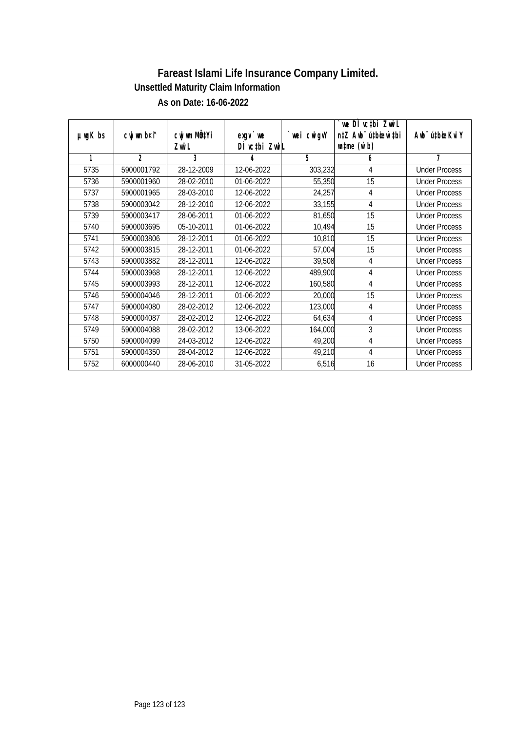|               |                |              |               |             | we DI vctbi ZwiL                 |                             |
|---------------|----------------|--------------|---------------|-------------|----------------------------------|-----------------------------|
| $µ$ ug $K$ bs | cwj wm b¤i^    | cwj wm MQtYi | $exqu$ we     | `wei cwigvY | n‡Z Awb <sup>-</sup> ú‡bioen`‡bi | Awb <sup>-</sup> ú‡bioeKviY |
|               |                | Zwi L        | DI vctbi ZwiL |             | $\n  untime\n  (W b)\n$          |                             |
| 1             | $\mathfrak{D}$ | 3            | 4             | 5           | 6                                | 7                           |
| 5735          | 5900001792     | 28-12-2009   | 12-06-2022    | 303,232     | 4                                | <b>Under Process</b>        |
| 5736          | 5900001960     | 28-02-2010   | 01-06-2022    | 55,350      | 15                               | <b>Under Process</b>        |
| 5737          | 5900001965     | 28-03-2010   | 12-06-2022    | 24,257      | 4                                | <b>Under Process</b>        |
| 5738          | 5900003042     | 28-12-2010   | 12-06-2022    | 33,155      | 4                                | <b>Under Process</b>        |
| 5739          | 5900003417     | 28-06-2011   | 01-06-2022    | 81,650      | 15                               | <b>Under Process</b>        |
| 5740          | 5900003695     | 05-10-2011   | 01-06-2022    | 10,494      | 15                               | <b>Under Process</b>        |
| 5741          | 5900003806     | 28-12-2011   | 01-06-2022    | 10,810      | 15                               | <b>Under Process</b>        |
| 5742          | 5900003815     | 28-12-2011   | 01-06-2022    | 57,004      | 15                               | <b>Under Process</b>        |
| 5743          | 5900003882     | 28-12-2011   | 12-06-2022    | 39,508      | 4                                | <b>Under Process</b>        |
| 5744          | 5900003968     | 28-12-2011   | 12-06-2022    | 489,900     | 4                                | <b>Under Process</b>        |
| 5745          | 5900003993     | 28-12-2011   | 12-06-2022    | 160,580     | 4                                | <b>Under Process</b>        |
| 5746          | 5900004046     | 28-12-2011   | 01-06-2022    | 20,000      | 15                               | <b>Under Process</b>        |
| 5747          | 5900004080     | 28-02-2012   | 12-06-2022    | 123,000     | 4                                | <b>Under Process</b>        |
| 5748          | 5900004087     | 28-02-2012   | 12-06-2022    | 64,634      | 4                                | <b>Under Process</b>        |
| 5749          | 5900004088     | 28-02-2012   | 13-06-2022    | 164,000     | $\mathfrak{Z}$                   | <b>Under Process</b>        |
| 5750          | 5900004099     | 24-03-2012   | 12-06-2022    | 49,200      | 4                                | <b>Under Process</b>        |
| 5751          | 5900004350     | 28-04-2012   | 12-06-2022    | 49,210      | 4                                | <b>Under Process</b>        |
| 5752          | 6000000440     | 28-06-2010   | 31-05-2022    | 6,516       | 16                               | <b>Under Process</b>        |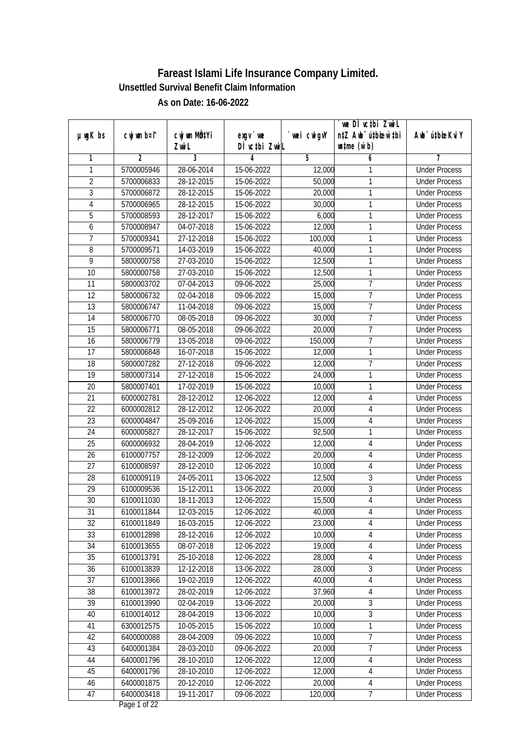|                 |                |                  |               |            | we DI vctbi ZwiL                 |                              |
|-----------------|----------------|------------------|---------------|------------|----------------------------------|------------------------------|
| $µ$ ug $K$ bs   | cwj wm b¤i^    | cwj wm MQtYi     | $exqu$ we     | wei cwigvY | n‡Z Awb <sup>-</sup> ú‡biosw`‡bi | Aub <sup>-</sup> ú‡biosKvi Y |
|                 |                | Zwi L            | DÌ vc‡bi ZwiL |            | $\n  untime\n  (u`b)\n$          |                              |
| 1               | $\overline{2}$ | 3                | 4             | 5          | 6                                | 7                            |
| $\mathbf{1}$    | 5700005946     | 28-06-2014       | 15-06-2022    | 12,000     | 1                                | <b>Under Process</b>         |
| $\overline{2}$  | 5700006833     | 28-12-2015       | 15-06-2022    | 50,000     | 1                                | <b>Under Process</b>         |
| $\overline{3}$  | 5700006872     | 28-12-2015       | 15-06-2022    | 20,000     | 1                                | <b>Under Process</b>         |
| 4               | 5700006965     | 28-12-2015       | 15-06-2022    | 30,000     | 1                                | <b>Under Process</b>         |
| 5               | 5700008593     | 28-12-2017       | 15-06-2022    | 6,000      | $\mathbf{1}$                     | <b>Under Process</b>         |
| 6               | 5700008947     | 04-07-2018       | 15-06-2022    | 12,000     | 1                                | <b>Under Process</b>         |
| $\overline{7}$  | 5700009341     | 27-12-2018       | 15-06-2022    | 100,000    | 1                                | <b>Under Process</b>         |
| $\overline{8}$  | 5700009571     | 14-03-2019       | 15-06-2022    | 40,000     | 1                                | <b>Under Process</b>         |
| $\overline{9}$  | 5800000758     | 27-03-2010       | 15-06-2022    | 12,500     | 1                                | <b>Under Process</b>         |
| 10              | 5800000758     | 27-03-2010       | 15-06-2022    | 12,500     | 1                                | <b>Under Process</b>         |
| $\overline{11}$ | 5800003702     | 07-04-2013       | 09-06-2022    | 25,000     | $\overline{7}$                   | <b>Under Process</b>         |
| 12              | 5800006732     | 02-04-2018       | 09-06-2022    | 15,000     | $\overline{1}$                   | <b>Under Process</b>         |
| $\overline{13}$ | 5800006747     | 11-04-2018       | 09-06-2022    | 15,000     | $\overline{7}$                   | <b>Under Process</b>         |
| 14              | 5800006770     | 08-05-2018       | 09-06-2022    | 30,000     | $\overline{1}$                   | <b>Under Process</b>         |
| 15              | 5800006771     | $08 - 05 - 2018$ | 09-06-2022    | 20,000     | $\overline{1}$                   | <b>Under Process</b>         |
| 16              | 5800006779     | 13-05-2018       | 09-06-2022    | 150,000    | $\overline{1}$                   | <b>Under Process</b>         |
| 17              | 5800006848     | 16-07-2018       | 15-06-2022    | 12,000     | 1                                | <b>Under Process</b>         |
| 18              | 5800007282     | 27-12-2018       | 09-06-2022    | 12,000     | $\overline{1}$                   | <b>Under Process</b>         |
| 19              | 5800007314     | 27-12-2018       | 15-06-2022    | 24,000     | $\mathbf{1}$                     | <b>Under Process</b>         |
| 20              | 5800007401     | 17-02-2019       | 15-06-2022    | 10,000     | 1                                | <b>Under Process</b>         |
| 21              | 6000002781     | $28-12-2012$     | 12-06-2022    | 12,000     | $\overline{4}$                   | <b>Under Process</b>         |
| 22              | 6000002812     | 28-12-2012       | 12-06-2022    | 20,000     | 4                                | <b>Under Process</b>         |
| 23              | 6000004847     | 25-09-2016       | 12-06-2022    | 15,000     | $\overline{4}$                   | <b>Under Process</b>         |
| 24              | 6000005827     | 28-12-2017       | 15-06-2022    | 92,500     | $\mathbf{1}$                     | <b>Under Process</b>         |
| 25              | 6000006932     | 28-04-2019       | 12-06-2022    | 12,000     | 4                                | <b>Under Process</b>         |
| 26              | 6100007757     | 28-12-2009       | 12-06-2022    | 20,000     | 4                                | <b>Under Process</b>         |
| 27              | 6100008597     | 28-12-2010       | 12-06-2022    | 10,000     | 4                                | <b>Under Process</b>         |
| 28              | 6100009119     | 24-05-2011       | 13-06-2022    | 12,500     | 3                                | <b>Under Process</b>         |
| 29              | 6100009536     | 15-12-2011       | 13-06-2022    | 20,000     | $\overline{3}$                   | <b>Under Process</b>         |
| 30              | 6100011030     | 18-11-2013       | 12-06-2022    | 15,500     | $\overline{4}$                   | <b>Under Process</b>         |
| 31              | 6100011844     | 12-03-2015       | 12-06-2022    | 40,000     | 4                                | <b>Under Process</b>         |
| 32              | 6100011849     | 16-03-2015       | 12-06-2022    | 23,000     | 4                                | <b>Under Process</b>         |
| 33              | 6100012898     | 28-12-2016       | 12-06-2022    | 10,000     | $\sqrt{4}$                       | <b>Under Process</b>         |
| 34              | 6100013655     | 08-07-2018       | 12-06-2022    | 19,000     | 4                                | <b>Under Process</b>         |
| 35              | 6100013791     | 25-10-2018       | 12-06-2022    | 28,000     | 4                                | <b>Under Process</b>         |
| 36              | 6100013839     | 12-12-2018       | 13-06-2022    | 28,000     | $\mathfrak{Z}$                   | <b>Under Process</b>         |
| 37              | 6100013966     | 19-02-2019       | 12-06-2022    | 40,000     | $\overline{4}$                   | <b>Under Process</b>         |
| 38              | 6100013972     | 28-02-2019       | 12-06-2022    | 37,960     | $\sqrt{4}$                       | <b>Under Process</b>         |
| 39              | 6100013990     | 02-04-2019       | 13-06-2022    | 20,000     | $\sqrt{3}$                       | <b>Under Process</b>         |
| 40              | 6100014012     | 28-04-2019       | 13-06-2022    | 10,000     | $\overline{3}$                   | <b>Under Process</b>         |
| 41              | 6300012575     | 10-05-2015       | 15-06-2022    | 10,000     | 1                                | <b>Under Process</b>         |
| 42              | 6400000088     | 28-04-2009       | 09-06-2022    | 10,000     | $\overline{7}$                   | <b>Under Process</b>         |
| 43              | 6400001384     | 28-03-2010       | 09-06-2022    | 20,000     | 7                                | <b>Under Process</b>         |
| 44              | 6400001796     | 28-10-2010       | 12-06-2022    | 12,000     | 4                                | <b>Under Process</b>         |
| 45              | 6400001796     | 28-10-2010       | 12-06-2022    | 12,000     | 4                                | <b>Under Process</b>         |
| 46              | 6400001875     | 20-12-2010       | 12-06-2022    | 20,000     | 4                                | <b>Under Process</b>         |
| 47              | 6400003418     | 19-11-2017       | 09-06-2022    | 120,000    | $\overline{7}$                   | <b>Under Process</b>         |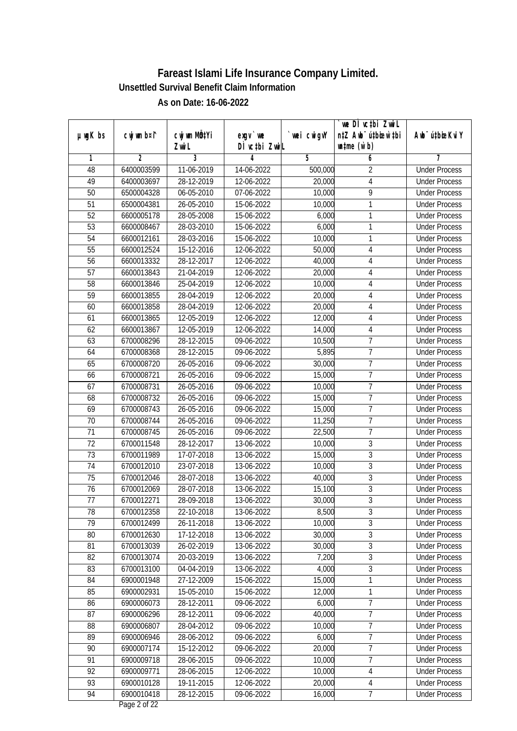|                 |                |              |                  |            | we DI vctbi ZwiL                 |                              |
|-----------------|----------------|--------------|------------------|------------|----------------------------------|------------------------------|
| $µ$ ug $K$ bs   | cwj wm b¤i^    | cwj wm MQtYi | $exqu$ we        | wei cwigvY | n‡Z Awb <sup>-</sup> ú‡biosw`‡bi | Aub <sup>-</sup> ú‡biosKvi Y |
|                 |                | Zwi L        | DÌ vctbi ZwiL    |            | $\n  untime\n  (u`b)\n$          |                              |
| 1               | $\overline{2}$ | 3            | 4                | 5          | 6                                | 7                            |
| 48              | 6400003599     | 11-06-2019   | 14-06-2022       | 500,000    | $\overline{2}$                   | <b>Under Process</b>         |
| 49              | 6400003697     | 28-12-2019   | 12-06-2022       | 20,000     | $\overline{4}$                   | <b>Under Process</b>         |
| $\overline{50}$ | 6500004328     | 06-05-2010   | 07-06-2022       | 10,000     | 9                                | <b>Under Process</b>         |
| 51              | 6500004381     | 26-05-2010   | 15-06-2022       | 10,000     | 1                                | <b>Under Process</b>         |
| $\overline{52}$ | 6600005178     | 28-05-2008   | 15-06-2022       | 6,000      | $\mathbf{1}$                     | <b>Under Process</b>         |
| $\overline{53}$ | 6600008467     | 28-03-2010   | 15-06-2022       | 6,000      | 1                                | <b>Under Process</b>         |
| 54              | 6600012161     | 28-03-2016   | 15-06-2022       | 10,000     | 1                                | <b>Under Process</b>         |
| 55              | 6600012524     | 15-12-2016   | 12-06-2022       | 50,000     | 4                                | <b>Under Process</b>         |
| $\overline{56}$ | 6600013332     | 28-12-2017   | 12-06-2022       | 40,000     | 4                                | <b>Under Process</b>         |
| 57              | 6600013843     | 21-04-2019   | 12-06-2022       | 20,000     | 4                                | <b>Under Process</b>         |
| $\overline{58}$ | 6600013846     | 25-04-2019   | 12-06-2022       | 10,000     | $\overline{4}$                   | <b>Under Process</b>         |
| 59              | 6600013855     | 28-04-2019   | 12-06-2022       | 20,000     | 4                                | <b>Under Process</b>         |
| 60              | 6600013858     | 28-04-2019   | 12-06-2022       | 20,000     | $\sqrt{4}$                       | <b>Under Process</b>         |
| 61              | 6600013865     | 12-05-2019   | 12-06-2022       | 12,000     | 4                                | <b>Under Process</b>         |
| 62              | 6600013867     | 12-05-2019   | 12-06-2022       | 14,000     | 4                                | <b>Under Process</b>         |
| 63              | 6700008296     | 28-12-2015   | 09-06-2022       | 10,500     | $\overline{1}$                   | <b>Under Process</b>         |
| 64              | 6700008368     | 28-12-2015   | 09-06-2022       | 5,895      | $\overline{1}$                   | <b>Under Process</b>         |
| 65              | 6700008720     | 26-05-2016   | $09 - 06 - 2022$ | 30,000     | $\overline{1}$                   | <b>Under Process</b>         |
| 66              | 6700008721     | 26-05-2016   | 09-06-2022       | 15,000     | $\overline{1}$                   | <b>Under Process</b>         |
| 67              | 6700008731     | 26-05-2016   | 09-06-2022       | 10,000     | $\overline{1}$                   | <b>Under Process</b>         |
| 68              | 6700008732     | 26-05-2016   | 09-06-2022       | 15,000     | $\overline{7}$                   | <b>Under Process</b>         |
| 69              | 6700008743     | 26-05-2016   | 09-06-2022       | 15,000     | $\overline{1}$                   | <b>Under Process</b>         |
| 70              | 6700008744     | 26-05-2016   | 09-06-2022       | 11,250     | $\overline{1}$                   | <b>Under Process</b>         |
| 71              | 6700008745     | 26-05-2016   | 09-06-2022       | 22,500     | $\overline{7}$                   | <b>Under Process</b>         |
| 72              | 6700011548     | 28-12-2017   | 13-06-2022       | 10,000     | $\mathfrak z$                    | <b>Under Process</b>         |
| 73              | 6700011989     | 17-07-2018   | 13-06-2022       | 15,000     | $\overline{3}$                   | <b>Under Process</b>         |
| 74              | 6700012010     | 23-07-2018   | 13-06-2022       | 10,000     | $\overline{3}$                   | <b>Under Process</b>         |
| 75              | 6700012046     | 28-07-2018   | 13-06-2022       | 40,000     | $\overline{3}$                   | <b>Under Process</b>         |
| 76              | 6700012069     | 28-07-2018   | 13-06-2022       | 15,100     | $\overline{3}$                   | <b>Under Process</b>         |
| 77              | 6700012271     | 28-09-2018   | 13-06-2022       | 30,000     | $\overline{3}$                   | <b>Under Process</b>         |
| 78              | 6700012358     | 22-10-2018   | 13-06-2022       | 8,500      | 3                                | <b>Under Process</b>         |
| 79              | 6700012499     | 26-11-2018   | 13-06-2022       | 10,000     | $\overline{3}$                   | <b>Under Process</b>         |
| 80              | 6700012630     | 17-12-2018   | 13-06-2022       | 30,000     | $\overline{3}$                   | <b>Under Process</b>         |
| 81              | 6700013039     | 26-02-2019   | 13-06-2022       | 30,000     | $\overline{3}$                   | <b>Under Process</b>         |
| 82              | 6700013074     | 20-03-2019   | 13-06-2022       | 7,200      | $\overline{3}$                   | <b>Under Process</b>         |
| 83              | 6700013100     | 04-04-2019   | 13-06-2022       | 4,000      | $\sqrt{3}$                       | <b>Under Process</b>         |
| 84              | 6900001948     | 27-12-2009   | 15-06-2022       | 15,000     | 1                                | <b>Under Process</b>         |
| 85              | 6900002931     | 15-05-2010   | 15-06-2022       | 12,000     | $\mathbf{1}$                     | <b>Under Process</b>         |
| 86              | 6900006073     | 28-12-2011   | 09-06-2022       | 6,000      | $\overline{7}$                   | <b>Under Process</b>         |
| 87              | 6900006296     | 28-12-2011   | 09-06-2022       | 40,000     | $\overline{7}$                   | <b>Under Process</b>         |
| 88              | 6900006807     | 28-04-2012   | 09-06-2022       | 10,000     | 7                                | <b>Under Process</b>         |
| 89              | 6900006946     | 28-06-2012   | 09-06-2022       | 6,000      | $\overline{7}$                   | <b>Under Process</b>         |
| 90              | 6900007174     | 15-12-2012   | 09-06-2022       | 20,000     | $\overline{7}$                   | <b>Under Process</b>         |
| 91              | 6900009718     | 28-06-2015   | 09-06-2022       | 10,000     | $\overline{7}$                   | <b>Under Process</b>         |
| 92              | 6900009771     | 28-06-2015   | 12-06-2022       | 10,000     | 4                                | <b>Under Process</b>         |
| 93              | 6900010128     | 19-11-2015   | 12-06-2022       | 20,000     | 4                                | <b>Under Process</b>         |
| 94              | 6900010418     | 28-12-2015   | 09-06-2022       | 16,000     | $\overline{7}$                   | <b>Under Process</b>         |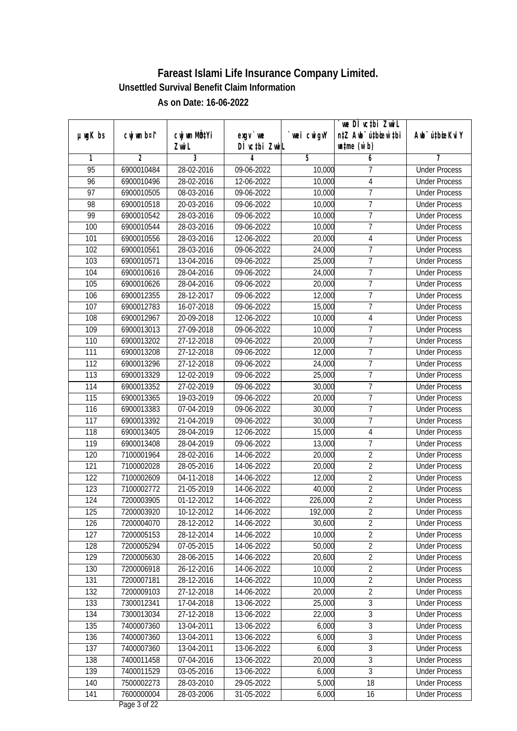|                 |                |              |               |             | `we DÌ vc‡bi ZwwiL               |                             |
|-----------------|----------------|--------------|---------------|-------------|----------------------------------|-----------------------------|
| $µ$ ug $K$ bs   | cwj wm b¤i^    | cwj wm MQtYi | $exgV$ we     | `wei cwigvY | n‡Z Awb <sup>-</sup> ú‡bioen`‡bi | Awb <sup>-</sup> ú‡bioeKviY |
|                 |                | Zwi L        | DÌ vctbi ZwiL |             | $\n  untime\n  (u`b)\n$          |                             |
| 1               | $\overline{2}$ | 3            | 4             | 5           | 6                                | 7                           |
| 95              | 6900010484     | 28-02-2016   | 09-06-2022    | 10,000      | 7                                | <b>Under Process</b>        |
| 96              | 6900010496     | 28-02-2016   | 12-06-2022    | 10,000      | $\overline{4}$                   | <b>Under Process</b>        |
| $\overline{97}$ | 6900010505     | 08-03-2016   | 09-06-2022    | 10,000      | $\overline{7}$                   | <b>Under Process</b>        |
| 98              | 6900010518     | 20-03-2016   | 09-06-2022    | 10,000      | $\overline{7}$                   | <b>Under Process</b>        |
| 99              | 6900010542     | 28-03-2016   | 09-06-2022    | 10,000      | $\overline{7}$                   | <b>Under Process</b>        |
| 100             | 6900010544     | 28-03-2016   | 09-06-2022    | 10,000      | $\overline{7}$                   | <b>Under Process</b>        |
| 101             | 6900010556     | 28-03-2016   | 12-06-2022    | 20,000      | $\overline{4}$                   | <b>Under Process</b>        |
| 102             | 6900010561     | 28-03-2016   | 09-06-2022    | 24,000      | 7                                | <b>Under Process</b>        |
| 103             | 6900010571     | 13-04-2016   | 09-06-2022    | 25,000      | 7                                | <b>Under Process</b>        |
| 104             | 6900010616     | 28-04-2016   | 09-06-2022    | 24,000      | $\overline{7}$                   | <b>Under Process</b>        |
| 105             | 6900010626     | 28-04-2016   | 09-06-2022    | 20,000      | 7                                | <b>Under Process</b>        |
| 106             | 6900012355     | 28-12-2017   | 09-06-2022    | 12,000      | $\overline{1}$                   | <b>Under Process</b>        |
| 107             | 6900012783     | 16-07-2018   | 09-06-2022    | 15,000      | $\overline{7}$                   | <b>Under Process</b>        |
| 108             | 6900012967     | 20-09-2018   | 12-06-2022    | 10,000      | $\sqrt{4}$                       | <b>Under Process</b>        |
| 109             | 6900013013     | 27-09-2018   | 09-06-2022    | 10,000      | 7                                | <b>Under Process</b>        |
| 110             | 6900013202     | 27-12-2018   | 09-06-2022    | 20,000      | $\overline{1}$                   | <b>Under Process</b>        |
| 111             | 6900013208     | 27-12-2018   | 09-06-2022    | 12,000      | $\overline{1}$                   | <b>Under Process</b>        |
| 112             | 6900013296     | 27-12-2018   | 09-06-2022    | 24,000      | $\overline{7}$                   | <b>Under Process</b>        |
| 113             | 6900013329     | 12-02-2019   | 09-06-2022    | 25,000      | $\overline{7}$                   | <b>Under Process</b>        |
| 114             | 6900013352     | 27-02-2019   | 09-06-2022    | 30,000      | $\overline{1}$                   | <b>Under Process</b>        |
| 115             | 6900013365     | 19-03-2019   | 09-06-2022    | 20,000      | 7                                | <b>Under Process</b>        |
| 116             | 6900013383     | 07-04-2019   | 09-06-2022    | 30,000      | $\overline{1}$                   | <b>Under Process</b>        |
| 117             | 6900013392     | 21-04-2019   | 09-06-2022    | 30,000      | $\overline{7}$                   | <b>Under Process</b>        |
| 118             | 6900013405     | 28-04-2019   | 12-06-2022    | 15,000      | $\overline{4}$                   | <b>Under Process</b>        |
| 119             | 6900013408     | 28-04-2019   | 09-06-2022    | 13,000      | 7                                | <b>Under Process</b>        |
| 120             | 7100001964     | 28-02-2016   | 14-06-2022    | 20,000      | $\overline{2}$                   | <b>Under Process</b>        |
| 121             | 7100002028     | 28-05-2016   | 14-06-2022    | 20,000      | $\overline{2}$                   | <b>Under Process</b>        |
| 122             | 7100002609     | 04-11-2018   | 14-06-2022    | 12,000      | $\overline{2}$                   | <b>Under Process</b>        |
| 123             | 7100002772     | 21-05-2019   | 14-06-2022    | 40,000      | $\overline{2}$                   | <b>Under Process</b>        |
| 124             | 7200003905     | 01-12-2012   | 14-06-2022    | 226,000     | $\overline{2}$                   | <b>Under Process</b>        |
| 125             | 7200003920     | 10-12-2012   | 14-06-2022    | 192,000     | $\sqrt{2}$                       | <b>Under Process</b>        |
| 126             | 7200004070     | 28-12-2012   | 14-06-2022    | 30,600      | $\overline{2}$                   | <b>Under Process</b>        |
| 127             | 7200005153     | 28-12-2014   | 14-06-2022    | 10,000      | $\overline{2}$                   | <b>Under Process</b>        |
| 128             | 7200005294     | 07-05-2015   | 14-06-2022    | 50,000      | $\overline{2}$                   | <b>Under Process</b>        |
| 129             | 7200005630     | 28-06-2015   | 14-06-2022    | 20,600      | $\overline{2}$                   | <b>Under Process</b>        |
| 130             | 7200006918     | 26-12-2016   | 14-06-2022    | 10,000      | $\overline{2}$                   | <b>Under Process</b>        |
| 131             | 7200007181     | 28-12-2016   | 14-06-2022    | 10,000      | $\overline{2}$                   | <b>Under Process</b>        |
| 132             | 7200009103     | 27-12-2018   | 14-06-2022    | 20,000      | $\overline{2}$                   | <b>Under Process</b>        |
| 133             | 7300012341     | 17-04-2018   | 13-06-2022    | 25,000      | $\overline{3}$                   | <b>Under Process</b>        |
| 134             | 7300013034     | 27-12-2018   | 13-06-2022    | 22,000      | $\overline{3}$                   | <b>Under Process</b>        |
| 135             | 7400007360     | 13-04-2011   | 13-06-2022    | 6,000       | $\overline{3}$                   | <b>Under Process</b>        |
| 136             | 7400007360     | 13-04-2011   | 13-06-2022    | 6,000       | $\overline{3}$                   | <b>Under Process</b>        |
| 137             | 7400007360     | 13-04-2011   | 13-06-2022    | 6,000       | $\overline{3}$                   | <b>Under Process</b>        |
| 138             | 7400011458     | 07-04-2016   | 13-06-2022    | 20,000      | $\overline{3}$                   | <b>Under Process</b>        |
| 139             | 7400011529     | 03-05-2016   | 13-06-2022    | 6,000       | $\overline{3}$                   | <b>Under Process</b>        |
| 140             | 7500002273     | 28-03-2010   | 29-05-2022    | 5,000       | 18                               | <b>Under Process</b>        |
| 141             | 7600000004     | 28-03-2006   | 31-05-2022    | 6,000       | 16                               | <b>Under Process</b>        |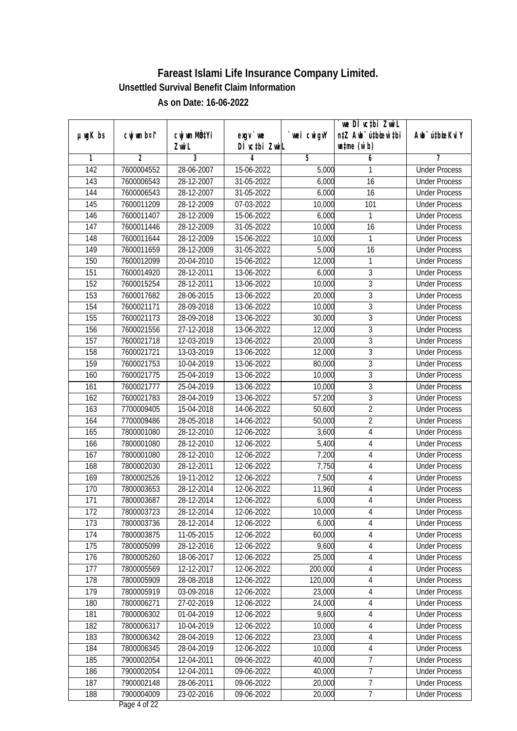| $µ$ ug $K$ bs    | cwj wm b¤i^ | CW wm MQYi       | $exqu$ we     | `wei cwigvY | we DI vctbi ZwiL<br>n‡Z Awb <sup>-</sup> ú‡bioar`‡bi | Awb <sup>-</sup> ú‡bioeKviY |
|------------------|-------------|------------------|---------------|-------------|------------------------------------------------------|-----------------------------|
|                  |             | Zwi L            | DÌ vctbi ZwiL |             | $\n  untime\n  (u`b)\n$                              |                             |
| 1                | 2           | $\overline{3}$   | 4             | 5           | 6                                                    | 7                           |
| $\overline{142}$ | 7600004552  | 28-06-2007       | 15-06-2022    | 5,000       | 1                                                    | <b>Under Process</b>        |
| 143              | 7600006543  | 28-12-2007       | 31-05-2022    | 6,000       | 16                                                   | <b>Under Process</b>        |
| 144              | 7600006543  | 28-12-2007       | 31-05-2022    | 6,000       | $\overline{16}$                                      | <b>Under Process</b>        |
| 145              | 7600011209  | 28-12-2009       | 07-03-2022    | 10,000      | 101                                                  | <b>Under Process</b>        |
| 146              | 7600011407  | 28-12-2009       | 15-06-2022    | 6,000       | 1                                                    | <b>Under Process</b>        |
| 147              | 7600011446  | 28-12-2009       | 31-05-2022    | 10,000      | 16                                                   | <b>Under Process</b>        |
| 148              | 7600011644  | 28-12-2009       | 15-06-2022    | 10,000      | 1                                                    | <b>Under Process</b>        |
| 149              | 7600011659  | 28-12-2009       | 31-05-2022    | 5,000       | $\overline{16}$                                      | <b>Under Process</b>        |
| 150              | 7600012099  | 20-04-2010       | 15-06-2022    | 12,000      | 1                                                    | <b>Under Process</b>        |
| 151              | 7600014920  | 28-12-2011       | 13-06-2022    | 6,000       | 3                                                    | <b>Under Process</b>        |
| 152              | 7600015254  | 28-12-2011       | 13-06-2022    | 10,000      | $\overline{3}$                                       | <b>Under Process</b>        |
| 153              | 7600017682  | 28-06-2015       | 13-06-2022    | 20,000      | 3                                                    | <b>Under Process</b>        |
| 154              | 7600021171  | 28-09-2018       | 13-06-2022    | 10,000      | $\overline{3}$                                       | <b>Under Process</b>        |
| 155              | 7600021173  | 28-09-2018       | 13-06-2022    | 30,000      | 3                                                    | <b>Under Process</b>        |
| 156              | 7600021556  | $27 - 12 - 2018$ | 13-06-2022    | 12,000      | $\overline{3}$                                       | <b>Under Process</b>        |
| 157              | 7600021718  | 12-03-2019       | 13-06-2022    | 20,000      | 3                                                    | <b>Under Process</b>        |
| 158              | 7600021721  | 13-03-2019       | 13-06-2022    | 12,000      | 3                                                    | <b>Under Process</b>        |
| 159              | 7600021753  | 10-04-2019       | 13-06-2022    | 80,000      | $\overline{3}$                                       | <b>Under Process</b>        |
| 160              | 7600021775  | 25-04-2019       | 13-06-2022    | 10,000      | $\overline{3}$                                       | <b>Under Process</b>        |
| 161              | 7600021777  | 25-04-2019       | 13-06-2022    | 10,000      | $\overline{3}$                                       | <b>Under Process</b>        |
| 162              | 7600021783  | 28-04-2019       | 13-06-2022    | 57,200      | 3                                                    | <b>Under Process</b>        |
| 163              | 7700009405  | 15-04-2018       | 14-06-2022    | 50,600      | $\overline{2}$                                       | <b>Under Process</b>        |
| 164              | 7700009486  | 28-05-2018       | 14-06-2022    | 50,000      | $\overline{2}$                                       | <b>Under Process</b>        |
| 165              | 7800001080  | 28-12-2010       | 12-06-2022    | 3,600       | $\overline{4}$                                       | <b>Under Process</b>        |
| 166              | 7800001080  | 28-12-2010       | 12-06-2022    | 5,400       | 4                                                    | <b>Under Process</b>        |
| 167              | 7800001080  | 28-12-2010       | 12-06-2022    | 7,200       | 4                                                    | <b>Under Process</b>        |
| 168              | 7800002030  | 28-12-2011       | 12-06-2022    | 7,750       | 4                                                    | <b>Under Process</b>        |
| 169              | 7800002526  | 19-11-2012       | 12-06-2022    | 7,500       | $\overline{4}$                                       | <b>Under Process</b>        |
| 170              | 7800003653  | 28-12-2014       | 12-06-2022    | 11,960      | 4                                                    | <b>Under Process</b>        |
| 171              | 7800003687  | 28-12-2014       | 12-06-2022    | 6,000       | 4                                                    | <b>Under Process</b>        |
| 172              | 7800003723  | 28-12-2014       | 12-06-2022    | 10,000      | 4                                                    | <b>Under Process</b>        |
| 173              | 7800003736  | 28-12-2014       | 12-06-2022    | 6,000       | 4                                                    | <b>Under Process</b>        |
| 174              | 7800003875  | 11-05-2015       | 12-06-2022    | 60,000      | 4                                                    | <b>Under Process</b>        |
| 175              | 7800005099  | 28-12-2016       | 12-06-2022    | 9,600       | $\sqrt{4}$                                           | <b>Under Process</b>        |
| 176              | 7800005260  | 18-06-2017       | 12-06-2022    | 25,000      | 4                                                    | <b>Under Process</b>        |
| 177              | 7800005569  | 12-12-2017       | 12-06-2022    | 200,000     | 4                                                    | <b>Under Process</b>        |
| 178              | 7800005909  | 28-08-2018       | 12-06-2022    | 120,000     | 4                                                    | <b>Under Process</b>        |
| 179              | 7800005919  | 03-09-2018       | 12-06-2022    | 23,000      | 4                                                    | <b>Under Process</b>        |
| 180              | 7800006271  | 27-02-2019       | 12-06-2022    | 24,000      | $\overline{4}$                                       | <b>Under Process</b>        |
| 181              | 7800006302  | 01-04-2019       | 12-06-2022    | 9,600       | $\overline{4}$                                       | <b>Under Process</b>        |
| 182              | 7800006317  | 10-04-2019       | 12-06-2022    | 10,000      | $\overline{4}$                                       | <b>Under Process</b>        |
| 183              | 7800006342  | 28-04-2019       | 12-06-2022    | 23,000      | 4                                                    | <b>Under Process</b>        |
| 184              | 7800006345  | 28-04-2019       | 12-06-2022    | 10,000      | $\sqrt{4}$                                           | <b>Under Process</b>        |
| 185              | 7900002054  | 12-04-2011       | 09-06-2022    | 40,000      | $\overline{7}$                                       | <b>Under Process</b>        |
| 186              | 7900002054  | 12-04-2011       | 09-06-2022    | 40,000      | 7                                                    | <b>Under Process</b>        |
| 187              | 7900002148  | 28-06-2011       | 09-06-2022    | 20,000      | $\overline{7}$                                       | <b>Under Process</b>        |
| 188              | 7900004009  | 23-02-2016       | 09-06-2022    | 20,000      | $\overline{7}$                                       | <b>Under Process</b>        |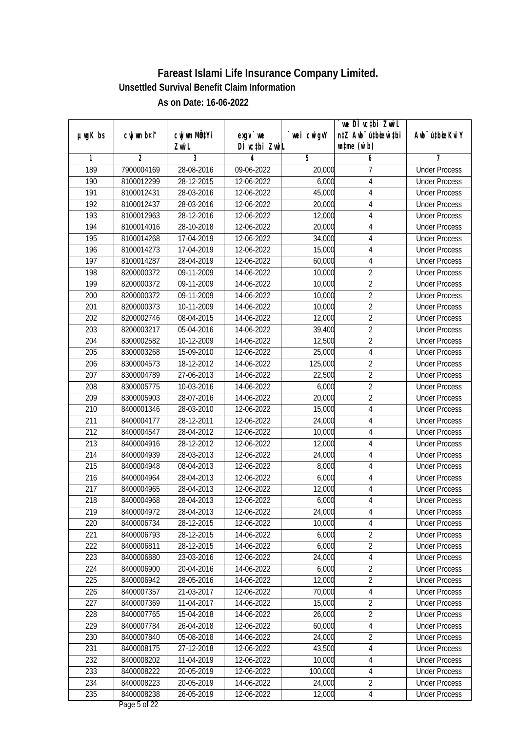|                  |                          |                          |                            |             | we DI vctbi ZwiL                 |                             |
|------------------|--------------------------|--------------------------|----------------------------|-------------|----------------------------------|-----------------------------|
| µwgK bs          | cwj wm b¤i^              | CW wm MQYi               | $exqu$ we<br>DÌ vctbi ZwiL | `wei cwigvY | n‡Z Awb <sup>-</sup> ú‡bioar`‡bi | Awb <sup>-</sup> ú‡bioeKviY |
| 1                | 2                        | Zwi L<br>$\overline{3}$  | 4                          | 5           | $\n  untime\n  (u`b)\n$<br>6     | 7                           |
| 189              | 7900004169               | 28-08-2016               | 09-06-2022                 | 20,000      | 7                                | <b>Under Process</b>        |
| 190              | 8100012299               | 28-12-2015               | 12-06-2022                 | 6,000       | 4                                | <b>Under Process</b>        |
| 191              | 8100012431               | 28-03-2016               | 12-06-2022                 | 45,000      | 4                                | <b>Under Process</b>        |
| 192              | 8100012437               | 28-03-2016               | 12-06-2022                 | 20,000      | 4                                | <b>Under Process</b>        |
| 193              | 8100012963               | 28-12-2016               | 12-06-2022                 | 12,000      | 4                                | <b>Under Process</b>        |
| 194              | 8100014016               | 28-10-2018               | 12-06-2022                 | 20,000      | $\sqrt{4}$                       | <b>Under Process</b>        |
| 195              | 8100014268               | 17-04-2019               | 12-06-2022                 | 34,000      | $\overline{4}$                   | <b>Under Process</b>        |
| 196              | 8100014273               | 17-04-2019               | 12-06-2022                 | 15,000      | 4                                | <b>Under Process</b>        |
| $\overline{197}$ | 8100014287               | 28-04-2019               | 12-06-2022                 | 60,000      | 4                                | <b>Under Process</b>        |
| 198              | 8200000372               | 09-11-2009               | 14-06-2022                 | 10,000      | $\overline{2}$                   | <b>Under Process</b>        |
| 199              | 8200000372               | 09-11-2009               | 14-06-2022                 | 10,000      | $\overline{2}$                   | <b>Under Process</b>        |
| 200              | 8200000372               | 09-11-2009               | 14-06-2022                 | 10,000      | $\overline{2}$                   | <b>Under Process</b>        |
| 201              | 8200000373               | 10-11-2009               | 14-06-2022                 | 10,000      | $\overline{2}$                   | <b>Under Process</b>        |
| 202              | 8200002746               | 08-04-2015               | 14-06-2022                 | 12,000      | $\overline{2}$                   | <b>Under Process</b>        |
| 203              | 8200003217               | 05-04-2016               | 14-06-2022                 | 39,400      | $\overline{2}$                   | <b>Under Process</b>        |
| 204              | 8300002582               | 10-12-2009               | 14-06-2022                 | 12,500      | $\overline{2}$                   | <b>Under Process</b>        |
| 205              | 8300003268               | 15-09-2010               | 12-06-2022                 |             | $\overline{4}$                   |                             |
| 206              |                          |                          |                            | 25,000      | $\overline{2}$                   | <b>Under Process</b>        |
| 207              | 8300004573               | 18-12-2012               | 14-06-2022                 | 125,000     | $\overline{2}$                   | <b>Under Process</b>        |
|                  | 8300004789<br>8300005775 | 27-06-2013               | 14-06-2022                 | 22,500      | $\overline{2}$                   | <b>Under Process</b>        |
| 208              |                          | 10-03-2016               | 14-06-2022                 | 6,000       | $\overline{2}$                   | <b>Under Process</b>        |
| 209              | 8300005903               | 28-07-2016               | 14-06-2022                 | 20,000      |                                  | <b>Under Process</b>        |
| 210              | 8400001346               | 28-03-2010               | 12-06-2022                 | 15,000      | 4                                | <b>Under Process</b>        |
| 211              | 8400004177               | 28-12-2011               | 12-06-2022                 | 24,000      | $\overline{4}$                   | <b>Under Process</b>        |
| 212              | 8400004547               | 28-04-2012               | 12-06-2022                 | 10,000      | 4                                | <b>Under Process</b>        |
| 213              | 8400004916               | 28-12-2012               | 12-06-2022                 | 12,000      | 4                                | <b>Under Process</b>        |
| 214              | 8400004939               | 28-03-2013               | 12-06-2022                 | 24,000      | 4                                | <b>Under Process</b>        |
| 215              | 8400004948               | 08-04-2013               | 12-06-2022                 | 8,000       | 4                                | <b>Under Process</b>        |
| 216              | 8400004964               | 28-04-2013               | 12-06-2022                 | 6,000       | $\overline{4}$                   | <b>Under Process</b>        |
| 217              | 8400004965               | 28-04-2013               | 12-06-2022                 | 12,000      | 4                                | <b>Under Process</b>        |
| 218              | 8400004968               | 28-04-2013               | 12-06-2022                 | 6,000       | 4                                | <b>Under Process</b>        |
| 219              | 8400004972               | 28-04-2013               | 12-06-2022                 | 24,000      | 4                                | <b>Under Process</b>        |
| 220              | 8400006734               | 28-12-2015               | 12-06-2022                 | 10,000      | 4<br>$\overline{2}$              | <b>Under Process</b>        |
| 221              | 8400006793               | 28-12-2015               | 14-06-2022                 | 6,000       |                                  | <b>Under Process</b>        |
| 222              | 8400006811               | 28-12-2015               | 14-06-2022                 | 6,000       | $\overline{2}$                   | <b>Under Process</b>        |
| 223              | 8400006880               | 23-03-2016<br>20-04-2016 | 12-06-2022                 | 24,000      | $\sqrt{4}$                       | <b>Under Process</b>        |
| 224              | 8400006900               |                          | 14-06-2022                 | 6,000       | $\overline{2}$                   | <b>Under Process</b>        |
| 225              | 8400006942               | 28-05-2016               | 14-06-2022                 | 12,000      | $\overline{2}$                   | <b>Under Process</b>        |
| 226              | 8400007357               | 21-03-2017               | 12-06-2022                 | 70,000      | $\sqrt{4}$                       | <b>Under Process</b>        |
| 227              | 8400007369               | 11-04-2017               | 14-06-2022                 | 15,000      | $\overline{2}$                   | <b>Under Process</b>        |
| 228              | 8400007765               | 15-04-2018               | 14-06-2022                 | 26,000      | $\overline{2}$                   | <b>Under Process</b>        |
| 229              | 8400007784               | 26-04-2018               | 12-06-2022                 | 60,000      | $\sqrt{4}$                       | <b>Under Process</b>        |
| 230              | 8400007840               | 05-08-2018               | 14-06-2022                 | 24,000      | $\overline{2}$                   | <b>Under Process</b>        |
| 231              | 8400008175               | 27-12-2018               | 12-06-2022                 | 43,500      | $\sqrt{4}$                       | <b>Under Process</b>        |
| 232              | 8400008202               | 11-04-2019               | 12-06-2022                 | 10,000      | $\overline{4}$                   | <b>Under Process</b>        |
| 233              | 8400008222               | 20-05-2019               | 12-06-2022                 | 100,000     | $\overline{4}$                   | <b>Under Process</b>        |
| 234              | 8400008223               | 20-05-2019               | 14-06-2022                 | 24,000      | $\overline{2}$                   | <b>Under Process</b>        |
| 235              | 8400008238               | 26-05-2019               | 12-06-2022                 | 12,000      | $\overline{4}$                   | <b>Under Process</b>        |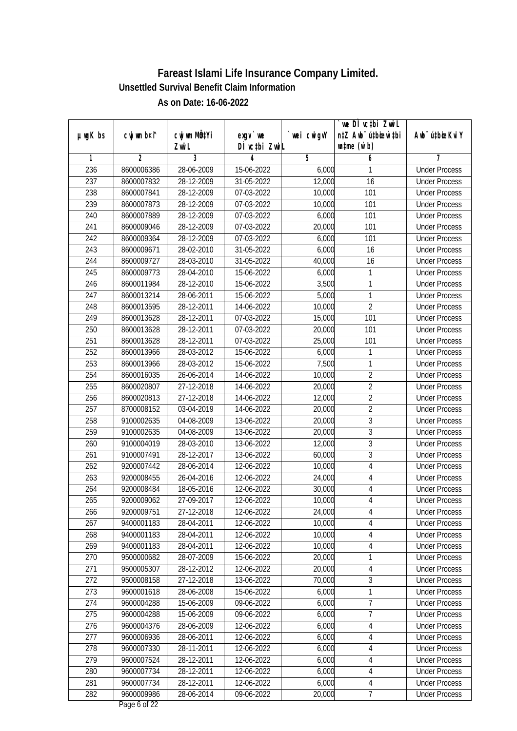| µwgK bs | cwj wm b¤i^    | cwj wm MQtYi   | $exqu$ we     | `wei cwigvY | we DI vctbi ZwiL<br>n‡Z Awb <sup>-</sup> ú‡bioar`‡bi | Awb <sup>-</sup> ú‡bioeKviY |
|---------|----------------|----------------|---------------|-------------|------------------------------------------------------|-----------------------------|
|         |                | Zwi L          | DÌ vctbi ZwiL |             | $\n  untime\n  (u`b)\n$                              |                             |
| 1       | $\overline{2}$ | $\overline{3}$ | 4             | 5           | 6                                                    | 7                           |
| 236     | 8600006386     | 28-06-2009     | 15-06-2022    | 6,000       | 1                                                    | <b>Under Process</b>        |
| 237     | 8600007832     | 28-12-2009     | 31-05-2022    | 12,000      | 16                                                   | <b>Under Process</b>        |
| 238     | 8600007841     | 28-12-2009     | 07-03-2022    | 10,000      | 101                                                  | <b>Under Process</b>        |
| 239     | 8600007873     | 28-12-2009     | 07-03-2022    | 10,000      | 101                                                  | <b>Under Process</b>        |
| 240     | 8600007889     | 28-12-2009     | 07-03-2022    | 6,000       | 101                                                  | <b>Under Process</b>        |
| 241     | 8600009046     | 28-12-2009     | 07-03-2022    | 20,000      | 101                                                  | <b>Under Process</b>        |
| 242     | 8600009364     | 28-12-2009     | 07-03-2022    | 6,000       | 101                                                  | <b>Under Process</b>        |
| 243     | 8600009671     | 28-02-2010     | 31-05-2022    | 6,000       | 16                                                   | <b>Under Process</b>        |
| 244     | 8600009727     | 28-03-2010     | 31-05-2022    | 40,000      | 16                                                   | <b>Under Process</b>        |
| 245     | 8600009773     | 28-04-2010     | 15-06-2022    | 6,000       | 1                                                    | <b>Under Process</b>        |
| 246     | 8600011984     | 28-12-2010     | 15-06-2022    | 3,500       | 1                                                    | <b>Under Process</b>        |
| 247     | 8600013214     | 28-06-2011     | 15-06-2022    | 5,000       | 1                                                    | <b>Under Process</b>        |
| 248     | 8600013595     | 28-12-2011     | 14-06-2022    | 10,000      | $\overline{2}$                                       | <b>Under Process</b>        |
| 249     | 8600013628     | 28-12-2011     | 07-03-2022    | 15,000      | 101                                                  | <b>Under Process</b>        |
| 250     | 8600013628     | 28-12-2011     | 07-03-2022    | 20,000      | 101                                                  | <b>Under Process</b>        |
| 251     | 8600013628     | 28-12-2011     | 07-03-2022    | 25,000      | 101                                                  | <b>Under Process</b>        |
| 252     | 8600013966     | 28-03-2012     | 15-06-2022    | 6,000       | 1                                                    | <b>Under Process</b>        |
| 253     | 8600013966     | 28-03-2012     | 15-06-2022    | 7,500       | 1                                                    | <b>Under Process</b>        |
| 254     | 8600016035     | 26-06-2014     | 14-06-2022    | 10,000      | $\overline{2}$                                       | <b>Under Process</b>        |
| 255     | 8600020807     | 27-12-2018     | 14-06-2022    | 20,000      | $\overline{2}$                                       | <b>Under Process</b>        |
| 256     | 8600020813     | 27-12-2018     | 14-06-2022    | 12,000      | $\overline{2}$                                       | <b>Under Process</b>        |
| 257     | 8700008152     | 03-04-2019     | 14-06-2022    | 20,000      | $\overline{2}$                                       | <b>Under Process</b>        |
| 258     | 9100002635     | 04-08-2009     | 13-06-2022    | 20,000      | 3                                                    | <b>Under Process</b>        |
| 259     | 9100002635     | 04-08-2009     | 13-06-2022    | 20,000      | $\overline{3}$                                       | <b>Under Process</b>        |
| 260     | 9100004019     | 28-03-2010     | 13-06-2022    | 12,000      | $\overline{3}$                                       | <b>Under Process</b>        |
| 261     | 9100007491     | 28-12-2017     | 13-06-2022    | 60,000      | 3                                                    | <b>Under Process</b>        |
| 262     | 9200007442     | 28-06-2014     | 12-06-2022    | 10,000      | 4                                                    | <b>Under Process</b>        |
| 263     | 9200008455     | 26-04-2016     | 12-06-2022    | 24,000      | $\overline{4}$                                       | <b>Under Process</b>        |
| 264     | 9200008484     | 18-05-2016     | 12-06-2022    | 30,000      | 4                                                    | <b>Under Process</b>        |
| 265     | 9200009062     | 27-09-2017     | 12-06-2022    | 10,000      | 4                                                    | <b>Under Process</b>        |
| 266     | 9200009751     | 27-12-2018     | 12-06-2022    | 24,000      | 4                                                    | <b>Under Process</b>        |
| 267     | 9400001183     | 28-04-2011     | 12-06-2022    | 10,000      | 4                                                    | <b>Under Process</b>        |
| 268     | 9400001183     | 28-04-2011     | 12-06-2022    | 10,000      | 4                                                    | <b>Under Process</b>        |
| 269     | 9400001183     | 28-04-2011     | 12-06-2022    | 10,000      | $\sqrt{4}$                                           | <b>Under Process</b>        |
| 270     | 9500000682     | 28-07-2009     | 15-06-2022    | 20,000      | 1                                                    | <b>Under Process</b>        |
| 271     | 9500005307     | 28-12-2012     | 12-06-2022    | 20,000      | $\overline{4}$                                       | <b>Under Process</b>        |
| 272     | 9500008158     | 27-12-2018     | 13-06-2022    | 70,000      | 3                                                    | <b>Under Process</b>        |
| 273     | 9600001618     | 28-06-2008     | 15-06-2022    | 6,000       | 1                                                    | <b>Under Process</b>        |
| 274     | 9600004288     | 15-06-2009     | 09-06-2022    | 6,000       | $\overline{7}$                                       | <b>Under Process</b>        |
| 275     | 9600004288     | 15-06-2009     | 09-06-2022    | 6,000       | $\overline{7}$                                       | <b>Under Process</b>        |
| 276     | 9600004376     | 28-06-2009     | 12-06-2022    | 6,000       | $\overline{4}$                                       | <b>Under Process</b>        |
| 277     | 9600006936     | 28-06-2011     | 12-06-2022    | 6,000       | 4                                                    | <b>Under Process</b>        |
| 278     | 9600007330     | 28-11-2011     | 12-06-2022    | 6,000       | $\sqrt{4}$                                           | <b>Under Process</b>        |
| 279     | 9600007524     | 28-12-2011     | 12-06-2022    | 6,000       | $\overline{4}$                                       | <b>Under Process</b>        |
| 280     | 9600007734     | 28-12-2011     | 12-06-2022    | 6,000       | $\overline{4}$                                       | <b>Under Process</b>        |
| 281     | 9600007734     | 28-12-2011     | 12-06-2022    | 6,000       | 4                                                    | <b>Under Process</b>        |
| 282     | 9600009986     | 28-06-2014     | 09-06-2022    | 20,000      | $\overline{7}$                                       | <b>Under Process</b>        |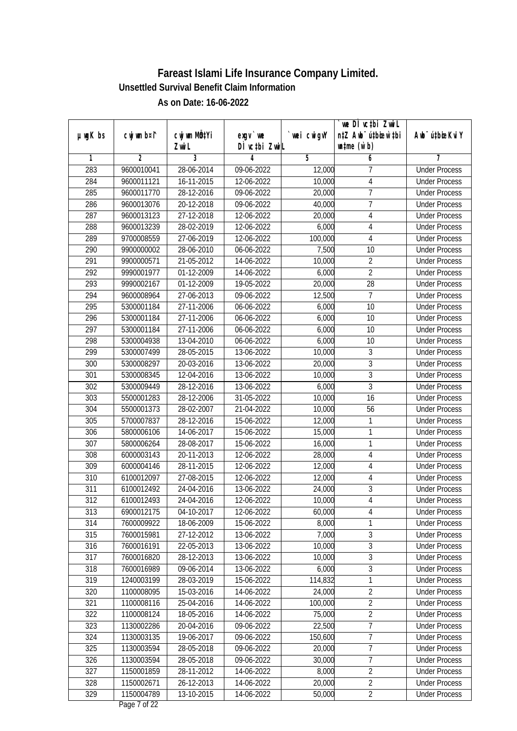|               |             |              |               |             | `we DÌ vc‡bi ZwwiL               |                             |
|---------------|-------------|--------------|---------------|-------------|----------------------------------|-----------------------------|
| $µ$ ug $K$ bs | cwj wm b¤i^ | cwj wm MQtYi | $exgV$ we     | `wei cwigvY | n‡Z Awb <sup>-</sup> ú‡bioen`‡bi | Awb <sup>-</sup> ú‡bioeKviY |
|               |             | Zwi L        | DÌ vctbi ZwiL |             | $\n  untime\n  (u`b)\n$          |                             |
| 1             | 2           | 3            | 4             | 5           | 6                                | 7                           |
| 283           | 9600010041  | 28-06-2014   | 09-06-2022    | 12,000      | 7                                | <b>Under Process</b>        |
| 284           | 9600011121  | 16-11-2015   | 12-06-2022    | 10,000      | $\overline{4}$                   | <b>Under Process</b>        |
| 285           | 9600011770  | 28-12-2016   | 09-06-2022    | 20,000      | $\overline{7}$                   | <b>Under Process</b>        |
| 286           | 9600013076  | 20-12-2018   | 09-06-2022    | 40,000      | $\overline{7}$                   | <b>Under Process</b>        |
| 287           | 9600013123  | 27-12-2018   | 12-06-2022    | 20,000      | 4                                | <b>Under Process</b>        |
| 288           | 9600013239  | 28-02-2019   | 12-06-2022    | 6,000       | 4                                | <b>Under Process</b>        |
| 289           | 9700008559  | 27-06-2019   | 12-06-2022    | 100,000     | $\overline{4}$                   | <b>Under Process</b>        |
| 290           | 9900000002  | 28-06-2010   | 06-06-2022    | 7,500       | 10                               | <b>Under Process</b>        |
| 291           | 9900000571  | 21-05-2012   | 14-06-2022    | 10,000      | $\overline{2}$                   | <b>Under Process</b>        |
| 292           | 9990001977  | 01-12-2009   | 14-06-2022    | 6,000       | $\overline{2}$                   | <b>Under Process</b>        |
| 293           | 9990002167  | 01-12-2009   | 19-05-2022    | 20,000      | 28                               | <b>Under Process</b>        |
| 294           | 9600008964  | 27-06-2013   | 09-06-2022    | 12,500      | $\overline{7}$                   | <b>Under Process</b>        |
| 295           | 5300001184  | 27-11-2006   | 06-06-2022    | 6,000       | $\overline{10}$                  | <b>Under Process</b>        |
| 296           | 5300001184  | 27-11-2006   | 06-06-2022    | 6,000       | 10                               | <b>Under Process</b>        |
| 297           | 5300001184  | 27-11-2006   | 06-06-2022    | 6,000       | 10                               | <b>Under Process</b>        |
| 298           | 5300004938  | 13-04-2010   | 06-06-2022    | 6,000       | 10                               | <b>Under Process</b>        |
| 299           | 5300007499  | 28-05-2015   | 13-06-2022    | 10,000      | 3                                | <b>Under Process</b>        |
| 300           | 5300008297  | 20-03-2016   | 13-06-2022    | 20,000      | $\overline{3}$                   | <b>Under Process</b>        |
| 301           | 5300008345  | 12-04-2016   | 13-06-2022    | 10,000      | $\overline{3}$                   | <b>Under Process</b>        |
| 302           | 5300009449  | 28-12-2016   | 13-06-2022    | 6,000       | $\overline{3}$                   | <b>Under Process</b>        |
| 303           | 5500001283  | 28-12-2006   | 31-05-2022    | 10,000      | 16                               | <b>Under Process</b>        |
| 304           | 5500001373  | 28-02-2007   | 21-04-2022    | 10,000      | 56                               | <b>Under Process</b>        |
| 305           | 5700007837  | 28-12-2016   | 15-06-2022    | 12,000      | 1                                | <b>Under Process</b>        |
| 306           | 5800006106  | 14-06-2017   | 15-06-2022    | 15,000      | $\mathbf{1}$                     | <b>Under Process</b>        |
| 307           | 5800006264  | 28-08-2017   | 15-06-2022    | 16,000      | 1                                | <b>Under Process</b>        |
| 308           | 6000003143  | 20-11-2013   | 12-06-2022    | 28,000      | 4                                | <b>Under Process</b>        |
| 309           | 6000004146  | 28-11-2015   | 12-06-2022    | 12,000      | $\sqrt{4}$                       | <b>Under Process</b>        |
| 310           | 6100012097  | 27-08-2015   | 12-06-2022    | 12,000      | 4                                | <b>Under Process</b>        |
| 311           | 6100012492  | 24-04-2016   | 13-06-2022    | 24,000      | $\overline{3}$                   | <b>Under Process</b>        |
| 312           | 6100012493  | 24-04-2016   | 12-06-2022    | 10,000      | $\overline{4}$                   | <b>Under Process</b>        |
| 313           | 6900012175  | 04-10-2017   | 12-06-2022    | 60,000      | 4                                | <b>Under Process</b>        |
| 314           | 7600009922  | 18-06-2009   | 15-06-2022    | 8,000       | 1                                | <b>Under Process</b>        |
| 315           | 7600015981  | 27-12-2012   | 13-06-2022    | 7,000       | 3                                | <b>Under Process</b>        |
| 316           | 7600016191  | 22-05-2013   | 13-06-2022    | 10,000      | $\overline{3}$                   | <b>Under Process</b>        |
| 317           | 7600016820  | 28-12-2013   | 13-06-2022    | 10,000      | $\overline{3}$                   | <b>Under Process</b>        |
| 318           | 7600016989  | 09-06-2014   | 13-06-2022    | 6,000       | 3                                | <b>Under Process</b>        |
| 319           | 1240003199  | 28-03-2019   | 15-06-2022    | 114,832     | 1                                | <b>Under Process</b>        |
| 320           | 1100008095  | 15-03-2016   | 14-06-2022    | 24,000      | $\overline{2}$                   | <b>Under Process</b>        |
| 321           | 1100008116  | 25-04-2016   | 14-06-2022    | 100,000     | $\overline{2}$                   | <b>Under Process</b>        |
| 322           | 1100008124  | 18-05-2016   | 14-06-2022    | 75,000      | $\overline{2}$                   | <b>Under Process</b>        |
| 323           | 1130002286  | 20-04-2016   | 09-06-2022    | 22,500      | $\overline{7}$                   | <b>Under Process</b>        |
| 324           | 1130003135  | 19-06-2017   | 09-06-2022    | 150,600     | $\overline{7}$                   | <b>Under Process</b>        |
| 325           | 1130003594  | 28-05-2018   | 09-06-2022    | 20,000      | $\overline{7}$                   | <b>Under Process</b>        |
| 326           | 1130003594  | 28-05-2018   | 09-06-2022    | 30,000      | $\overline{7}$                   | <b>Under Process</b>        |
| 327           | 1150001859  | 28-11-2012   | 14-06-2022    | 8,000       | $\overline{2}$                   | <b>Under Process</b>        |
| 328           | 1150002671  | 26-12-2013   | 14-06-2022    | 20,000      | $\overline{2}$                   | <b>Under Process</b>        |
| 329           | 1150004789  | 13-10-2015   | 14-06-2022    | 50,000      | $\overline{2}$                   | <b>Under Process</b>        |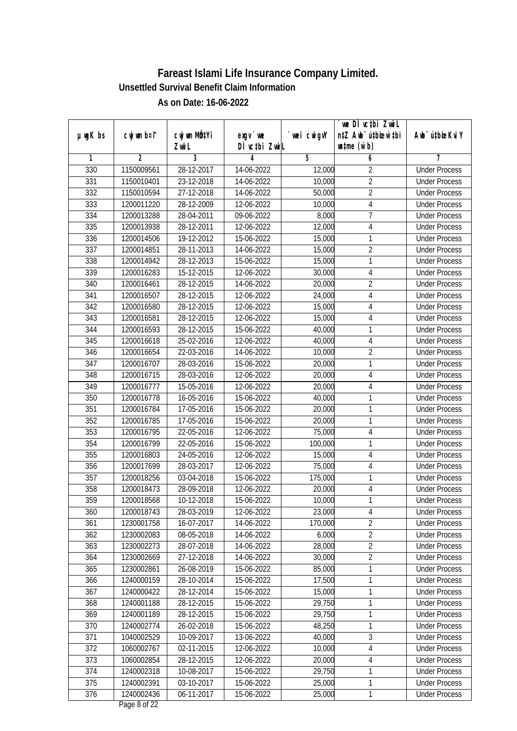|               |                          |                          |                            |                   | we DI vctbi ZwiL                                            |                                              |
|---------------|--------------------------|--------------------------|----------------------------|-------------------|-------------------------------------------------------------|----------------------------------------------|
| $µ$ ug $K$ bs | cwj wm b¤i^              | cwj wm MQtYi<br>Zwi L    | $exqu$ we<br>DÌ vctbi ZwiL | `wei cwigvY       | n‡Z Awb <sup>-</sup> ú‡bioar`‡bi<br>$\n  untime\n  (u`b)\n$ | Awb <sup>-</sup> ú‡bioeKviY                  |
| 1             | $\overline{2}$           | 3                        | 4                          | 5                 | 6                                                           | 7                                            |
| 330           | 1150009561               | 28-12-2017               | 14-06-2022                 | 12,000            | $\overline{2}$                                              | <b>Under Process</b>                         |
| 331           | 1150010401               | 23-12-2018               | 14-06-2022                 | 10,000            | $\overline{2}$                                              | <b>Under Process</b>                         |
| 332           | 1150010594               | 27-12-2018               | 14-06-2022                 | 50,000            | $\overline{2}$                                              | <b>Under Process</b>                         |
| 333           | 1200011220               | 28-12-2009               | 12-06-2022                 | 10,000            | $\overline{4}$                                              | <b>Under Process</b>                         |
| 334           | 1200013288               | 28-04-2011               | 09-06-2022                 | 8,000             | $\overline{7}$                                              | <b>Under Process</b>                         |
| 335           | 1200013938               | 28-12-2011               | 12-06-2022                 | 12,000            | $\sqrt{4}$                                                  | <b>Under Process</b>                         |
| 336           | 1200014506               | 19-12-2012               | 15-06-2022                 | 15,000            | 1                                                           | <b>Under Process</b>                         |
| 337           | 1200014851               | 28-11-2013               | 14-06-2022                 | 15,000            | $\overline{2}$                                              | <b>Under Process</b>                         |
| 338           | 1200014942               | 28-12-2013               | 15-06-2022                 | 15,000            | 1                                                           | <b>Under Process</b>                         |
| 339           | 1200016283               | 15-12-2015               | 12-06-2022                 | 30,000            | 4                                                           | <b>Under Process</b>                         |
| 340           | 1200016461               | 28-12-2015               | 14-06-2022                 | 20,000            | $\overline{2}$                                              | <b>Under Process</b>                         |
| 341           | 1200016507               | 28-12-2015               | 12-06-2022                 | 24,000            | $\overline{4}$                                              | <b>Under Process</b>                         |
| 342           | 1200016580               | 28-12-2015               | 12-06-2022                 | 15,000            | $\overline{4}$                                              | <b>Under Process</b>                         |
| 343           | 1200016581               | 28-12-2015               | 12-06-2022                 | 15,000            | 4                                                           | <b>Under Process</b>                         |
| 344           | 1200016593               | $28-12-2015$             | 15-06-2022                 | 40,000            | 1                                                           | <b>Under Process</b>                         |
| 345           | 1200016618               | 25-02-2016               | 12-06-2022                 | 40,000            | $\sqrt{4}$                                                  | <b>Under Process</b>                         |
| 346           | 1200016654               | 22-03-2016               | 14-06-2022                 | 10,000            | $\overline{2}$                                              | <b>Under Process</b>                         |
| 347           | 1200016707               | 28-03-2016               | 15-06-2022                 | 20,000            | 1                                                           | <b>Under Process</b>                         |
| 348           | 1200016715               | 28-03-2016               | 12-06-2022                 | 20,000            | 4                                                           | <b>Under Process</b>                         |
| 349           | 1200016777               | 15-05-2016               | 12-06-2022                 | 20,000            | 4                                                           | <b>Under Process</b>                         |
| 350           | 1200016778               | 16-05-2016               | 15-06-2022                 | 40,000            | 1                                                           | <b>Under Process</b>                         |
| 351           | 1200016784               | 17-05-2016               | 15-06-2022                 | 20,000            | 1                                                           | <b>Under Process</b>                         |
| 352           |                          |                          |                            |                   | 1                                                           | <b>Under Process</b>                         |
| 353           | 1200016785               | 17-05-2016               | 15-06-2022                 | 20,000            |                                                             |                                              |
| 354           | 1200016795               | 22-05-2016               | 12-06-2022                 | 75,000            | $\sqrt{4}$<br>1                                             | <b>Under Process</b><br><b>Under Process</b> |
| 355           | 1200016799               | 22-05-2016               | 15-06-2022                 | 100,000           |                                                             | <b>Under Process</b>                         |
| 356           | 1200016803               | 24-05-2016               | 12-06-2022                 | 15,000<br>75,000  | 4                                                           |                                              |
| 357           | 1200017699               | 28-03-2017               | 12-06-2022<br>15-06-2022   |                   | 4<br>1                                                      | <b>Under Process</b><br><b>Under Process</b> |
| 358           | 1200018256<br>1200018473 | 03-04-2018<br>28-09-2018 | 12-06-2022                 | 175,000<br>20,000 | 4                                                           | <b>Under Process</b>                         |
| 359           | 1200018568               |                          |                            | 10,000            | 1                                                           | <b>Under Process</b>                         |
|               | 1200018743               | 10-12-2018<br>28-03-2019 | 15-06-2022<br>12-06-2022   | 23,000            |                                                             |                                              |
| 360<br>361    | 1230001758               | 16-07-2017               | 14-06-2022                 | 170,000           | 4<br>$\overline{2}$                                         | <b>Under Process</b><br><b>Under Process</b> |
| 362           | 1230002083               | 08-05-2018               | 14-06-2022                 | 6,000             | $\overline{2}$                                              | <b>Under Process</b>                         |
| 363           |                          |                          |                            | 28,000            | $\overline{2}$                                              | <b>Under Process</b>                         |
| 364           | 1230002273<br>1230002669 | 28-07-2018<br>27-12-2018 | 14-06-2022<br>14-06-2022   | 30,000            | $\overline{2}$                                              | <b>Under Process</b>                         |
| 365           | 1230002861               | 26-08-2019               | 15-06-2022                 | 85,000            | 1                                                           | <b>Under Process</b>                         |
| 366           | 1240000159               | 28-10-2014               | 15-06-2022                 | 17,500            | 1                                                           | <b>Under Process</b>                         |
| 367           | 1240000422               | 28-12-2014               | 15-06-2022                 | 15,000            | 1                                                           | <b>Under Process</b>                         |
| 368           | 1240001188               | 28-12-2015               | 15-06-2022                 | 29,750            | 1                                                           | <b>Under Process</b>                         |
| 369           | 1240001189               |                          |                            | 29,750            | $\mathbf{1}$                                                | <b>Under Process</b>                         |
| 370           | 1240002774               | 28-12-2015<br>26-02-2018 | 15-06-2022<br>15-06-2022   | 48,250            | 1                                                           | <b>Under Process</b>                         |
| 371           | 1040002529               | 10-09-2017               | 13-06-2022                 | 40,000            | $\overline{3}$                                              | <b>Under Process</b>                         |
| 372           | 1060002767               | 02-11-2015               | 12-06-2022                 | 10,000            | $\sqrt{4}$                                                  | <b>Under Process</b>                         |
| 373           | 1060002854               | 28-12-2015               | 12-06-2022                 | 20,000            | $\overline{4}$                                              | <b>Under Process</b>                         |
| 374           | 1240002318               | 10-08-2017               | 15-06-2022                 | 29,750            | 1                                                           | <b>Under Process</b>                         |
| 375           | 1240002391               | 03-10-2017               | 15-06-2022                 | 25,000            | 1                                                           | <b>Under Process</b>                         |
|               |                          | 06-11-2017               |                            | 25,000            | 1                                                           |                                              |
| 376           | 1240002436               |                          | 15-06-2022                 |                   |                                                             | <b>Under Process</b>                         |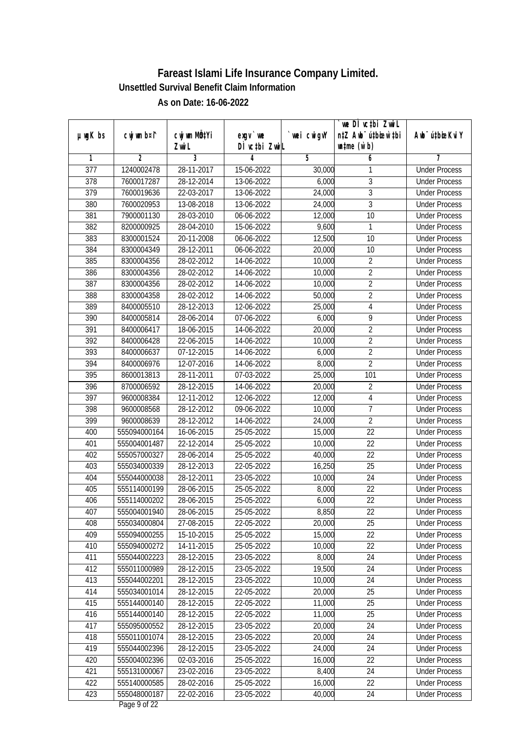|                  |                |              |               |            | we DÌ vc‡bi ZwiL                 |                             |
|------------------|----------------|--------------|---------------|------------|----------------------------------|-----------------------------|
| $µ$ ug $K$ bs    | cwj wm b¤i^    | cwj wm MQtYi | $exqu$ we     | wei cwigvY | n‡Z Awb <sup>-</sup> ú‡bioar`‡bi | Awb <sup>-</sup> ú‡bioeKviY |
|                  |                | Zwi L        | DÌ vctbi ZwiL |            | $\n  untime\n  (u`b)\n$          |                             |
| 1                | $\overline{2}$ | 3            | 4             | 5          | 6                                | 7                           |
| $\overline{377}$ | 1240002478     | 28-11-2017   | 15-06-2022    | 30,000     | 1                                | <b>Under Process</b>        |
| 378              | 7600017287     | 28-12-2014   | 13-06-2022    | 6,000      | $\overline{3}$                   | <b>Under Process</b>        |
| 379              | 7600019636     | 22-03-2017   | 13-06-2022    | 24,000     | $\overline{3}$                   | <b>Under Process</b>        |
| 380              | 7600020953     | 13-08-2018   | 13-06-2022    | 24,000     | $\overline{3}$                   | <b>Under Process</b>        |
| 381              | 7900001130     | 28-03-2010   | 06-06-2022    | 12,000     | 10                               | <b>Under Process</b>        |
| 382              | 8200000925     | 28-04-2010   | 15-06-2022    | 9,600      | 1                                | <b>Under Process</b>        |
| 383              | 8300001524     | 20-11-2008   | 06-06-2022    | 12,500     | $\overline{10}$                  | <b>Under Process</b>        |
| 384              | 8300004349     | 28-12-2011   | 06-06-2022    | 20,000     | $\overline{10}$                  | <b>Under Process</b>        |
| 385              | 8300004356     | 28-02-2012   | 14-06-2022    | 10,000     | $\overline{2}$                   | <b>Under Process</b>        |
| 386              | 8300004356     | 28-02-2012   | 14-06-2022    | 10,000     | $\overline{2}$                   | <b>Under Process</b>        |
| 387              | 8300004356     | 28-02-2012   | 14-06-2022    | 10,000     | $\overline{2}$                   | <b>Under Process</b>        |
| 388              | 8300004358     | 28-02-2012   | 14-06-2022    | 50,000     | $\overline{2}$                   | <b>Under Process</b>        |
| 389              | 8400005510     | 28-12-2013   | 12-06-2022    | 25,000     | $\overline{4}$                   | <b>Under Process</b>        |
| 390              | 8400005814     | 28-06-2014   | 07-06-2022    | 6,000      | 9                                | <b>Under Process</b>        |
| 391              | 8400006417     | 18-06-2015   | 14-06-2022    | 20,000     | $\overline{2}$                   | <b>Under Process</b>        |
| 392              | 8400006428     | 22-06-2015   | 14-06-2022    | 10,000     | $\overline{2}$                   | <b>Under Process</b>        |
| 393              | 8400006637     | 07-12-2015   | 14-06-2022    | 6,000      | $\overline{2}$                   | <b>Under Process</b>        |
| 394              | 8400006976     | 12-07-2016   | 14-06-2022    | 8,000      | $\overline{2}$                   | <b>Under Process</b>        |
| 395              | 8600013813     | 28-11-2011   | 07-03-2022    | 25,000     | 101                              | <b>Under Process</b>        |
| 396              | 8700006592     | 28-12-2015   | 14-06-2022    | 20,000     | $\overline{2}$                   | <b>Under Process</b>        |
| 397              | 9600008384     | 12-11-2012   | 12-06-2022    | 12,000     | $\overline{\mathbf{4}}$          | <b>Under Process</b>        |
| 398              | 9600008568     | 28-12-2012   | 09-06-2022    | 10,000     | $\overline{1}$                   | <b>Under Process</b>        |
| 399              | 9600008639     | 28-12-2012   | 14-06-2022    | 24,000     | $\overline{2}$                   | <b>Under Process</b>        |
| 400              | 555094000164   | 16-06-2015   | 25-05-2022    | 15,000     | 22                               | <b>Under Process</b>        |
| 401              | 555004001487   | 22-12-2014   | 25-05-2022    | 10,000     | 22                               | <b>Under Process</b>        |
| 402              | 555057000327   | 28-06-2014   | 25-05-2022    | 40,000     | 22                               | <b>Under Process</b>        |
| 403              | 555034000339   | 28-12-2013   | 22-05-2022    | 16,250     | 25                               | <b>Under Process</b>        |
| 404              | 555044000038   | 28-12-2011   | 23-05-2022    | 10,000     | 24                               | <b>Under Process</b>        |
| 405              | 555114000199   | 28-06-2015   | 25-05-2022    | 8,000      | 22                               | <b>Under Process</b>        |
| 406              | 555114000202   | 28-06-2015   | 25-05-2022    | 6,000      | 22                               | <b>Under Process</b>        |
| 407              | 555004001940   | 28-06-2015   | 25-05-2022    | 8,850      | 22                               | <b>Under Process</b>        |
| 408              | 555034000804   | 27-08-2015   | 22-05-2022    | 20,000     | 25                               | <b>Under Process</b>        |
| 409              | 555094000255   | 15-10-2015   | 25-05-2022    | 15,000     | 22                               | <b>Under Process</b>        |
| 410              | 555094000272   | 14-11-2015   | 25-05-2022    | 10,000     | 22                               | <b>Under Process</b>        |
| 411              | 555044002223   | 28-12-2015   | 23-05-2022    | 8,000      | 24                               | <b>Under Process</b>        |
| 412              | 555011000989   | 28-12-2015   | 23-05-2022    | 19,500     | 24                               | <b>Under Process</b>        |
| 413              | 555044002201   | 28-12-2015   | 23-05-2022    | 10,000     | 24                               | <b>Under Process</b>        |
| 414              | 555034001014   | 28-12-2015   | 22-05-2022    | 20,000     | 25                               | <b>Under Process</b>        |
| 415              | 555144000140   | 28-12-2015   | 22-05-2022    | 11,000     | 25                               | <b>Under Process</b>        |
| 416              | 555144000140   | 28-12-2015   | 22-05-2022    | 11,000     | 25                               | <b>Under Process</b>        |
| 417              | 555095000552   | 28-12-2015   | 23-05-2022    | 20,000     | 24                               | <b>Under Process</b>        |
| 418              | 555011001074   | 28-12-2015   | 23-05-2022    | 20,000     | 24                               | <b>Under Process</b>        |
| 419              | 555044002396   | 28-12-2015   | 23-05-2022    | 24,000     | 24                               | <b>Under Process</b>        |
| 420              | 555004002396   | 02-03-2016   | 25-05-2022    | 16,000     | 22                               | <b>Under Process</b>        |
| 421              | 555131000067   | 23-02-2016   | 23-05-2022    | 8,400      | 24                               | <b>Under Process</b>        |
| 422              | 555140000585   | 28-02-2016   | 25-05-2022    | 16,000     | 22                               | <b>Under Process</b>        |
| 423              | 555048000187   | 22-02-2016   | 23-05-2022    | 40,000     | 24                               | <b>Under Process</b>        |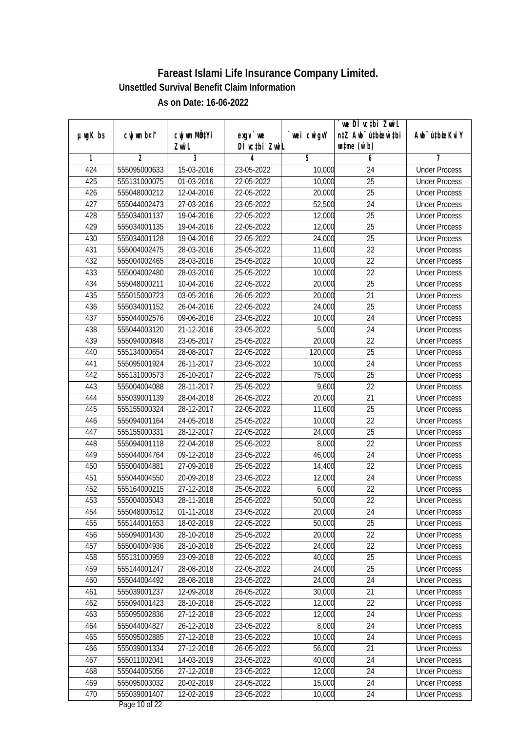| $µ$ mg $K$ bs | cwj wm b¤i^    | cwj wm MQtYi     | $exqu$ we     | wei cwigvY         | we DI vctbi ZwiL<br>n‡Z Awb <sup>-</sup> ú‡bioar`‡bi | Awb <sup>-</sup> ú‡bioeKviY |
|---------------|----------------|------------------|---------------|--------------------|------------------------------------------------------|-----------------------------|
|               |                | Zwi L            | DÌ vctbi ZwiL |                    | $\n  untime\n  (u`b)\n$                              |                             |
| 1             | $\overline{2}$ | 3                | 4             | 5                  | 6                                                    | 7                           |
| 424           | 555095000633   | 15-03-2016       | 23-05-2022    | 10,000             | 24                                                   | <b>Under Process</b>        |
| 425           | 555131000075   | 01-03-2016       | 22-05-2022    | 10,000             | $\overline{25}$                                      | <b>Under Process</b>        |
| 426           | 555048000212   | 12-04-2016       | 22-05-2022    | 20,000             | $\overline{25}$                                      | <b>Under Process</b>        |
| 427           | 555044002473   | $27 - 03 - 2016$ | 23-05-2022    | 52,500             | $\overline{24}$                                      | <b>Under Process</b>        |
| 428           | 555034001137   | 19-04-2016       | 22-05-2022    | 12,000             | $\overline{25}$                                      | <b>Under Process</b>        |
| 429           | 555034001135   | 19-04-2016       | 22-05-2022    | 12,000             | $\overline{25}$                                      | <b>Under Process</b>        |
| 430           | 555034001128   | 19-04-2016       | 22-05-2022    | 24,000             | $\overline{25}$                                      | <b>Under Process</b>        |
| 431           | 555004002475   | 28-03-2016       | 25-05-2022    | 11,600             | 22                                                   | <b>Under Process</b>        |
| 432           | 555004002465   | 28-03-2016       | 25-05-2022    | 10,000             | 22                                                   | <b>Under Process</b>        |
| 433           | 555004002480   | 28-03-2016       | 25-05-2022    | 10,000             | $\overline{22}$                                      | <b>Under Process</b>        |
| 434           | 555048000211   | $10-04-2016$     | 22-05-2022    | 20,000             | $\overline{25}$                                      | <b>Under Process</b>        |
| 435           | 555015000723   | 03-05-2016       | 26-05-2022    | 20,000             | 21                                                   | <b>Under Process</b>        |
| 436           | 555034001152   | 26-04-2016       | 22-05-2022    | 24,000             | $\overline{25}$                                      | <b>Under Process</b>        |
| 437           | 555044002576   | 09-06-2016       | 23-05-2022    | 10,000             | 24                                                   | <b>Under Process</b>        |
| 438           | 555044003120   | 21-12-2016       | 23-05-2022    | 5,000              | 24                                                   | <b>Under Process</b>        |
| 439           | 555094000848   | 23-05-2017       | 25-05-2022    | 20,000             | 22                                                   | <b>Under Process</b>        |
| 440           | 555134000654   | 28-08-2017       | 22-05-2022    | 120,000            | 25                                                   | <b>Under Process</b>        |
| 441           | 555095001924   | 26-11-2017       | 23-05-2022    | 10,000             | 24                                                   | <b>Under Process</b>        |
| 442           | 555131000573   | 26-10-2017       | 22-05-2022    | 75,000             | 25                                                   | <b>Under Process</b>        |
| 443           | 555004004088   | 28-11-2017       | 25-05-2022    | $\overline{9,600}$ | 22                                                   | <b>Under Process</b>        |
| 444           | 555039001139   | 28-04-2018       | 26-05-2022    | 20,000             | 21                                                   | <b>Under Process</b>        |
| 445           | 555155000324   | 28-12-2017       | 22-05-2022    | 11,600             | 25                                                   | <b>Under Process</b>        |
| 446           | 555094001164   | 24-05-2018       | 25-05-2022    | 10,000             | 22                                                   | <b>Under Process</b>        |
| 447           | 555155000331   | 28-12-2017       | 22-05-2022    | 24,000             | 25                                                   | <b>Under Process</b>        |
| 448           | 555094001118   | 22-04-2018       | 25-05-2022    | 8,000              | 22                                                   | <b>Under Process</b>        |
| 449           | 555044004764   | 09-12-2018       | 23-05-2022    | 46,000             | 24                                                   | <b>Under Process</b>        |
| 450           | 555004004881   | 27-09-2018       | 25-05-2022    | 14,400             | 22                                                   | <b>Under Process</b>        |
| 451           | 555044004550   | 20-09-2018       | 23-05-2022    | 12,000             | 24                                                   | <b>Under Process</b>        |
| 452           | 555164000215   | 27-12-2018       | 25-05-2022    | 6,000              | 22                                                   | <b>Under Process</b>        |
| 453           | 555004005043   | 28-11-2018       | 25-05-2022    | 50,000             | 22                                                   | <b>Under Process</b>        |
| 454           | 555048000512   | 01-11-2018       | 23-05-2022    | 20,000             | 24                                                   | <b>Under Process</b>        |
| 455           | 555144001653   | 18-02-2019       | 22-05-2022    | 50,000             | 25                                                   | <b>Under Process</b>        |
| 456           | 555094001430   | 28-10-2018       | 25-05-2022    | 20,000             | 22                                                   | <b>Under Process</b>        |
| 457           | 555004004936   | 28-10-2018       | 25-05-2022    | 24,000             | 22                                                   | <b>Under Process</b>        |
| 458           | 555131000959   | 23-09-2018       | 22-05-2022    | 40,000             | 25                                                   | <b>Under Process</b>        |
| 459           | 555144001247   | 28-08-2018       | 22-05-2022    | 24,000             | 25                                                   | <b>Under Process</b>        |
| 460           | 555044004492   | 28-08-2018       | 23-05-2022    | 24,000             | 24                                                   | <b>Under Process</b>        |
| 461           | 555039001237   | 12-09-2018       | 26-05-2022    | 30,000             | 21                                                   | <b>Under Process</b>        |
| 462           | 555094001423   | 28-10-2018       | 25-05-2022    | 12,000             | 22                                                   | <b>Under Process</b>        |
| 463           | 555095002836   | 27-12-2018       | 23-05-2022    | 12,000             | 24                                                   | <b>Under Process</b>        |
| 464           | 555044004827   | 26-12-2018       | 23-05-2022    | 8,000              | 24                                                   | <b>Under Process</b>        |
| 465           | 555095002885   | 27-12-2018       | 23-05-2022    | 10,000             | $\overline{24}$                                      | <b>Under Process</b>        |
| 466           | 555039001334   | 27-12-2018       | 26-05-2022    | 56,000             | 21                                                   | <b>Under Process</b>        |
| 467           | 555011002041   | 14-03-2019       | 23-05-2022    | 40,000             | 24                                                   | <b>Under Process</b>        |
| 468           | 555044005056   | 27-12-2018       | 23-05-2022    | 12,000             | 24                                                   | <b>Under Process</b>        |
| 469           | 555095003032   | 20-02-2019       | 23-05-2022    | 15,000             | 24                                                   | <b>Under Process</b>        |
| 470           | 555039001407   | 12-02-2019       | 23-05-2022    | 10,000             | 24                                                   | <b>Under Process</b>        |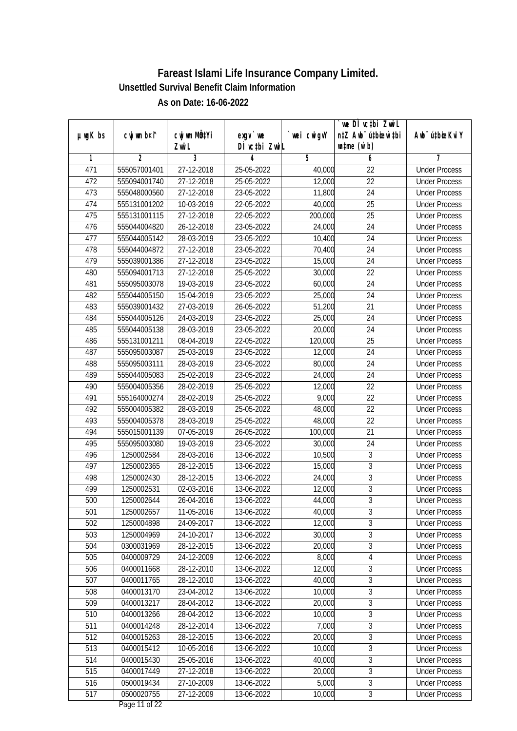| 3<br>$\overline{2}$<br>4<br>5<br>7<br>1<br>6<br>471<br>555057001401<br>27-12-2018<br>25-05-2022<br><b>Under Process</b><br>40,000<br>22<br>$\overline{22}$<br>472<br>555094001740<br>27-12-2018<br>25-05-2022<br>12,000<br><b>Under Process</b><br>473<br>27-12-2018<br>$\overline{24}$<br>555048000560<br>23-05-2022<br>11,800<br><b>Under Process</b><br>474<br>$\overline{25}$<br>555131001202<br>10-03-2019<br>22-05-2022<br>40,000<br><b>Under Process</b><br>475<br>555131001115<br>27-12-2018<br>200,000<br>$\overline{25}$<br>22-05-2022<br><b>Under Process</b><br>476<br>555044004820<br>26-12-2018<br>23-05-2022<br>24,000<br>24<br><b>Under Process</b><br>477<br>28-03-2019<br>$\overline{24}$<br>555044005142<br>23-05-2022<br>10,400<br><b>Under Process</b><br>478<br>27-12-2018<br>23-05-2022<br>24<br>555044004872<br>70,400<br><b>Under Process</b><br>479<br>27-12-2018<br>23-05-2022<br>15,000<br>24<br>555039001386<br><b>Under Process</b><br>27-12-2018<br>22<br>480<br>555094001713<br>25-05-2022<br>30,000<br><b>Under Process</b><br>481<br>60,000<br>$\overline{24}$<br>555095003078<br>19-03-2019<br>23-05-2022<br><b>Under Process</b><br>24<br>482<br>555044005150<br>15-04-2019<br>23-05-2022<br>25,000<br><b>Under Process</b><br>$\overline{21}$<br>483<br>27-03-2019<br>51,200<br>555039001432<br>26-05-2022<br><b>Under Process</b><br>24<br>484<br>555044005126<br>24-03-2019<br>23-05-2022<br>25,000<br><b>Under Process</b><br>28-03-2019<br>24<br>485<br>555044005138<br>23-05-2022<br>20,000<br><b>Under Process</b><br>25<br>486<br>555131001211<br>08-04-2019<br>22-05-2022<br>120,000<br><b>Under Process</b><br>24<br>487<br>25-03-2019<br>12,000<br>555095003087<br>23-05-2022<br><b>Under Process</b><br>28-03-2019<br>24<br>488<br>555095003111<br>23-05-2022<br>80,000<br><b>Under Process</b><br>489<br>25-02-2019<br>23-05-2022<br>24<br>555044005083<br>24,000<br><b>Under Process</b><br>28-02-2019<br>22<br>490<br>555004005356<br>25-05-2022<br>12,000<br><b>Under Process</b><br>9,000<br>22<br>491<br>28-02-2019<br>25-05-2022<br><b>Under Process</b><br>555164000274<br>48,000<br>22<br>492<br>555004005382<br>28-03-2019<br>25-05-2022<br><b>Under Process</b><br>22<br>493<br>28-03-2019<br>25-05-2022<br>48,000<br>555004005378<br><b>Under Process</b><br>494<br>555015001139<br>07-05-2019<br>26-05-2022<br>21<br>100,000<br><b>Under Process</b><br>495<br>555095003080<br>19-03-2019<br>23-05-2022<br>30,000<br>24<br><b>Under Process</b><br>$\overline{3}$<br>496<br>1250002584<br>28-03-2016<br>10,500<br><b>Under Process</b><br>13-06-2022<br>$\sqrt{3}$<br>497<br>28-12-2015<br>15,000<br>1250002365<br>13-06-2022<br><b>Under Process</b><br>$\overline{3}$<br>498<br>28-12-2015<br>1250002430<br>13-06-2022<br>24,000<br><b>Under Process</b><br>$\overline{3}$<br>499<br>1250002531<br>02-03-2016<br>13-06-2022<br>12,000<br><b>Under Process</b><br>$\overline{3}$<br>500<br>1250002644<br>26-04-2016<br>13-06-2022<br>44,000<br><b>Under Process</b><br>1250002657<br>11-05-2016<br>13-06-2022<br>40,000<br>$\sqrt{3}$<br>501<br><b>Under Process</b><br>$\overline{3}$<br>502<br>24-09-2017<br>12,000<br>1250004898<br>13-06-2022<br><b>Under Process</b><br>$\overline{3}$<br>503<br>30,000<br>1250004969<br>24-10-2017<br>13-06-2022<br><b>Under Process</b><br>$\overline{3}$<br>504<br>0300031969<br>20,000<br>28-12-2015<br>13-06-2022<br><b>Under Process</b><br>505<br>8,000<br>$\overline{4}$<br>0400009729<br>24-12-2009<br>12-06-2022<br><b>Under Process</b><br>3<br>506<br>0400011668<br>28-12-2010<br>12,000<br>13-06-2022<br><b>Under Process</b><br>3<br>507<br>0400011765<br>28-12-2010<br>40,000<br>13-06-2022<br><b>Under Process</b><br>$\sqrt{3}$<br>10,000<br>508<br>0400013170<br>23-04-2012<br>13-06-2022<br><b>Under Process</b><br>$\overline{3}$<br>509<br>20,000<br>0400013217<br>28-04-2012<br>13-06-2022<br><b>Under Process</b><br>$\overline{3}$<br>510<br>10,000<br>0400013266<br>28-04-2012<br>13-06-2022<br><b>Under Process</b><br>$\sqrt{3}$<br>511<br>0400014248<br>28-12-2014<br>13-06-2022<br>7,000<br><b>Under Process</b><br>$\overline{3}$<br>512<br>0400015263<br>28-12-2015<br>13-06-2022<br>20,000<br><b>Under Process</b><br>$\overline{3}$<br>10,000<br>513<br>0400015412<br>10-05-2016<br>13-06-2022<br><b>Under Process</b><br>$\overline{3}$<br>514<br>25-05-2016<br>40,000<br>0400015430<br>13-06-2022<br><b>Under Process</b><br>$\overline{3}$<br>515<br>20,000<br>0400017449<br>27-12-2018<br>13-06-2022<br><b>Under Process</b><br>$\overline{3}$<br>27-10-2009<br>5,000<br>516<br>0500019434<br>13-06-2022<br><b>Under Process</b><br>517<br>$\overline{3}$<br>0500020755<br>27-12-2009<br>10,000<br>13-06-2022<br><b>Under Process</b> | $µ$ mg $K$ bs | cwj wm b¤i^ | cwj wm MQtYi<br>Zwi L | $exqu$ we<br>DÌ vctbi ZwiL | wei cwigvY | we DI vctbi ZwiL<br>n‡Z Awb <sup>-</sup> ú‡bioar`‡bi<br>$\n  untime\n  (u`b)\n$ | Awb <sup>-</sup> ú‡bioeKviY |
|-------------------------------------------------------------------------------------------------------------------------------------------------------------------------------------------------------------------------------------------------------------------------------------------------------------------------------------------------------------------------------------------------------------------------------------------------------------------------------------------------------------------------------------------------------------------------------------------------------------------------------------------------------------------------------------------------------------------------------------------------------------------------------------------------------------------------------------------------------------------------------------------------------------------------------------------------------------------------------------------------------------------------------------------------------------------------------------------------------------------------------------------------------------------------------------------------------------------------------------------------------------------------------------------------------------------------------------------------------------------------------------------------------------------------------------------------------------------------------------------------------------------------------------------------------------------------------------------------------------------------------------------------------------------------------------------------------------------------------------------------------------------------------------------------------------------------------------------------------------------------------------------------------------------------------------------------------------------------------------------------------------------------------------------------------------------------------------------------------------------------------------------------------------------------------------------------------------------------------------------------------------------------------------------------------------------------------------------------------------------------------------------------------------------------------------------------------------------------------------------------------------------------------------------------------------------------------------------------------------------------------------------------------------------------------------------------------------------------------------------------------------------------------------------------------------------------------------------------------------------------------------------------------------------------------------------------------------------------------------------------------------------------------------------------------------------------------------------------------------------------------------------------------------------------------------------------------------------------------------------------------------------------------------------------------------------------------------------------------------------------------------------------------------------------------------------------------------------------------------------------------------------------------------------------------------------------------------------------------------------------------------------------------------------------------------------------------------------------------------------------------------------------------------------------------------------------------------------------------------------------------------------------------------------------------------------------------------------------------------------------------------------------------------------------------------------------------------------------------------------------------------------------------------------------------------------------------------------------------------------------------------------------------------------------------------------------------------------------------------------------------------------------------------------------------------------------------------------------------------------------------------------------------------------------------------------------------------------------------------------------------------------------------------------------------------------------------------------------------------------------------------------------------|---------------|-------------|-----------------------|----------------------------|------------|---------------------------------------------------------------------------------|-----------------------------|
|                                                                                                                                                                                                                                                                                                                                                                                                                                                                                                                                                                                                                                                                                                                                                                                                                                                                                                                                                                                                                                                                                                                                                                                                                                                                                                                                                                                                                                                                                                                                                                                                                                                                                                                                                                                                                                                                                                                                                                                                                                                                                                                                                                                                                                                                                                                                                                                                                                                                                                                                                                                                                                                                                                                                                                                                                                                                                                                                                                                                                                                                                                                                                                                                                                                                                                                                                                                                                                                                                                                                                                                                                                                                                                                                                                                                                                                                                                                                                                                                                                                                                                                                                                                                                                                                                                                                                                                                                                                                                                                                                                                                                                                                                                                                                                               |               |             |                       |                            |            |                                                                                 |                             |
|                                                                                                                                                                                                                                                                                                                                                                                                                                                                                                                                                                                                                                                                                                                                                                                                                                                                                                                                                                                                                                                                                                                                                                                                                                                                                                                                                                                                                                                                                                                                                                                                                                                                                                                                                                                                                                                                                                                                                                                                                                                                                                                                                                                                                                                                                                                                                                                                                                                                                                                                                                                                                                                                                                                                                                                                                                                                                                                                                                                                                                                                                                                                                                                                                                                                                                                                                                                                                                                                                                                                                                                                                                                                                                                                                                                                                                                                                                                                                                                                                                                                                                                                                                                                                                                                                                                                                                                                                                                                                                                                                                                                                                                                                                                                                                               |               |             |                       |                            |            |                                                                                 |                             |
|                                                                                                                                                                                                                                                                                                                                                                                                                                                                                                                                                                                                                                                                                                                                                                                                                                                                                                                                                                                                                                                                                                                                                                                                                                                                                                                                                                                                                                                                                                                                                                                                                                                                                                                                                                                                                                                                                                                                                                                                                                                                                                                                                                                                                                                                                                                                                                                                                                                                                                                                                                                                                                                                                                                                                                                                                                                                                                                                                                                                                                                                                                                                                                                                                                                                                                                                                                                                                                                                                                                                                                                                                                                                                                                                                                                                                                                                                                                                                                                                                                                                                                                                                                                                                                                                                                                                                                                                                                                                                                                                                                                                                                                                                                                                                                               |               |             |                       |                            |            |                                                                                 |                             |
|                                                                                                                                                                                                                                                                                                                                                                                                                                                                                                                                                                                                                                                                                                                                                                                                                                                                                                                                                                                                                                                                                                                                                                                                                                                                                                                                                                                                                                                                                                                                                                                                                                                                                                                                                                                                                                                                                                                                                                                                                                                                                                                                                                                                                                                                                                                                                                                                                                                                                                                                                                                                                                                                                                                                                                                                                                                                                                                                                                                                                                                                                                                                                                                                                                                                                                                                                                                                                                                                                                                                                                                                                                                                                                                                                                                                                                                                                                                                                                                                                                                                                                                                                                                                                                                                                                                                                                                                                                                                                                                                                                                                                                                                                                                                                                               |               |             |                       |                            |            |                                                                                 |                             |
|                                                                                                                                                                                                                                                                                                                                                                                                                                                                                                                                                                                                                                                                                                                                                                                                                                                                                                                                                                                                                                                                                                                                                                                                                                                                                                                                                                                                                                                                                                                                                                                                                                                                                                                                                                                                                                                                                                                                                                                                                                                                                                                                                                                                                                                                                                                                                                                                                                                                                                                                                                                                                                                                                                                                                                                                                                                                                                                                                                                                                                                                                                                                                                                                                                                                                                                                                                                                                                                                                                                                                                                                                                                                                                                                                                                                                                                                                                                                                                                                                                                                                                                                                                                                                                                                                                                                                                                                                                                                                                                                                                                                                                                                                                                                                                               |               |             |                       |                            |            |                                                                                 |                             |
|                                                                                                                                                                                                                                                                                                                                                                                                                                                                                                                                                                                                                                                                                                                                                                                                                                                                                                                                                                                                                                                                                                                                                                                                                                                                                                                                                                                                                                                                                                                                                                                                                                                                                                                                                                                                                                                                                                                                                                                                                                                                                                                                                                                                                                                                                                                                                                                                                                                                                                                                                                                                                                                                                                                                                                                                                                                                                                                                                                                                                                                                                                                                                                                                                                                                                                                                                                                                                                                                                                                                                                                                                                                                                                                                                                                                                                                                                                                                                                                                                                                                                                                                                                                                                                                                                                                                                                                                                                                                                                                                                                                                                                                                                                                                                                               |               |             |                       |                            |            |                                                                                 |                             |
|                                                                                                                                                                                                                                                                                                                                                                                                                                                                                                                                                                                                                                                                                                                                                                                                                                                                                                                                                                                                                                                                                                                                                                                                                                                                                                                                                                                                                                                                                                                                                                                                                                                                                                                                                                                                                                                                                                                                                                                                                                                                                                                                                                                                                                                                                                                                                                                                                                                                                                                                                                                                                                                                                                                                                                                                                                                                                                                                                                                                                                                                                                                                                                                                                                                                                                                                                                                                                                                                                                                                                                                                                                                                                                                                                                                                                                                                                                                                                                                                                                                                                                                                                                                                                                                                                                                                                                                                                                                                                                                                                                                                                                                                                                                                                                               |               |             |                       |                            |            |                                                                                 |                             |
|                                                                                                                                                                                                                                                                                                                                                                                                                                                                                                                                                                                                                                                                                                                                                                                                                                                                                                                                                                                                                                                                                                                                                                                                                                                                                                                                                                                                                                                                                                                                                                                                                                                                                                                                                                                                                                                                                                                                                                                                                                                                                                                                                                                                                                                                                                                                                                                                                                                                                                                                                                                                                                                                                                                                                                                                                                                                                                                                                                                                                                                                                                                                                                                                                                                                                                                                                                                                                                                                                                                                                                                                                                                                                                                                                                                                                                                                                                                                                                                                                                                                                                                                                                                                                                                                                                                                                                                                                                                                                                                                                                                                                                                                                                                                                                               |               |             |                       |                            |            |                                                                                 |                             |
|                                                                                                                                                                                                                                                                                                                                                                                                                                                                                                                                                                                                                                                                                                                                                                                                                                                                                                                                                                                                                                                                                                                                                                                                                                                                                                                                                                                                                                                                                                                                                                                                                                                                                                                                                                                                                                                                                                                                                                                                                                                                                                                                                                                                                                                                                                                                                                                                                                                                                                                                                                                                                                                                                                                                                                                                                                                                                                                                                                                                                                                                                                                                                                                                                                                                                                                                                                                                                                                                                                                                                                                                                                                                                                                                                                                                                                                                                                                                                                                                                                                                                                                                                                                                                                                                                                                                                                                                                                                                                                                                                                                                                                                                                                                                                                               |               |             |                       |                            |            |                                                                                 |                             |
|                                                                                                                                                                                                                                                                                                                                                                                                                                                                                                                                                                                                                                                                                                                                                                                                                                                                                                                                                                                                                                                                                                                                                                                                                                                                                                                                                                                                                                                                                                                                                                                                                                                                                                                                                                                                                                                                                                                                                                                                                                                                                                                                                                                                                                                                                                                                                                                                                                                                                                                                                                                                                                                                                                                                                                                                                                                                                                                                                                                                                                                                                                                                                                                                                                                                                                                                                                                                                                                                                                                                                                                                                                                                                                                                                                                                                                                                                                                                                                                                                                                                                                                                                                                                                                                                                                                                                                                                                                                                                                                                                                                                                                                                                                                                                                               |               |             |                       |                            |            |                                                                                 |                             |
|                                                                                                                                                                                                                                                                                                                                                                                                                                                                                                                                                                                                                                                                                                                                                                                                                                                                                                                                                                                                                                                                                                                                                                                                                                                                                                                                                                                                                                                                                                                                                                                                                                                                                                                                                                                                                                                                                                                                                                                                                                                                                                                                                                                                                                                                                                                                                                                                                                                                                                                                                                                                                                                                                                                                                                                                                                                                                                                                                                                                                                                                                                                                                                                                                                                                                                                                                                                                                                                                                                                                                                                                                                                                                                                                                                                                                                                                                                                                                                                                                                                                                                                                                                                                                                                                                                                                                                                                                                                                                                                                                                                                                                                                                                                                                                               |               |             |                       |                            |            |                                                                                 |                             |
|                                                                                                                                                                                                                                                                                                                                                                                                                                                                                                                                                                                                                                                                                                                                                                                                                                                                                                                                                                                                                                                                                                                                                                                                                                                                                                                                                                                                                                                                                                                                                                                                                                                                                                                                                                                                                                                                                                                                                                                                                                                                                                                                                                                                                                                                                                                                                                                                                                                                                                                                                                                                                                                                                                                                                                                                                                                                                                                                                                                                                                                                                                                                                                                                                                                                                                                                                                                                                                                                                                                                                                                                                                                                                                                                                                                                                                                                                                                                                                                                                                                                                                                                                                                                                                                                                                                                                                                                                                                                                                                                                                                                                                                                                                                                                                               |               |             |                       |                            |            |                                                                                 |                             |
|                                                                                                                                                                                                                                                                                                                                                                                                                                                                                                                                                                                                                                                                                                                                                                                                                                                                                                                                                                                                                                                                                                                                                                                                                                                                                                                                                                                                                                                                                                                                                                                                                                                                                                                                                                                                                                                                                                                                                                                                                                                                                                                                                                                                                                                                                                                                                                                                                                                                                                                                                                                                                                                                                                                                                                                                                                                                                                                                                                                                                                                                                                                                                                                                                                                                                                                                                                                                                                                                                                                                                                                                                                                                                                                                                                                                                                                                                                                                                                                                                                                                                                                                                                                                                                                                                                                                                                                                                                                                                                                                                                                                                                                                                                                                                                               |               |             |                       |                            |            |                                                                                 |                             |
|                                                                                                                                                                                                                                                                                                                                                                                                                                                                                                                                                                                                                                                                                                                                                                                                                                                                                                                                                                                                                                                                                                                                                                                                                                                                                                                                                                                                                                                                                                                                                                                                                                                                                                                                                                                                                                                                                                                                                                                                                                                                                                                                                                                                                                                                                                                                                                                                                                                                                                                                                                                                                                                                                                                                                                                                                                                                                                                                                                                                                                                                                                                                                                                                                                                                                                                                                                                                                                                                                                                                                                                                                                                                                                                                                                                                                                                                                                                                                                                                                                                                                                                                                                                                                                                                                                                                                                                                                                                                                                                                                                                                                                                                                                                                                                               |               |             |                       |                            |            |                                                                                 |                             |
|                                                                                                                                                                                                                                                                                                                                                                                                                                                                                                                                                                                                                                                                                                                                                                                                                                                                                                                                                                                                                                                                                                                                                                                                                                                                                                                                                                                                                                                                                                                                                                                                                                                                                                                                                                                                                                                                                                                                                                                                                                                                                                                                                                                                                                                                                                                                                                                                                                                                                                                                                                                                                                                                                                                                                                                                                                                                                                                                                                                                                                                                                                                                                                                                                                                                                                                                                                                                                                                                                                                                                                                                                                                                                                                                                                                                                                                                                                                                                                                                                                                                                                                                                                                                                                                                                                                                                                                                                                                                                                                                                                                                                                                                                                                                                                               |               |             |                       |                            |            |                                                                                 |                             |
|                                                                                                                                                                                                                                                                                                                                                                                                                                                                                                                                                                                                                                                                                                                                                                                                                                                                                                                                                                                                                                                                                                                                                                                                                                                                                                                                                                                                                                                                                                                                                                                                                                                                                                                                                                                                                                                                                                                                                                                                                                                                                                                                                                                                                                                                                                                                                                                                                                                                                                                                                                                                                                                                                                                                                                                                                                                                                                                                                                                                                                                                                                                                                                                                                                                                                                                                                                                                                                                                                                                                                                                                                                                                                                                                                                                                                                                                                                                                                                                                                                                                                                                                                                                                                                                                                                                                                                                                                                                                                                                                                                                                                                                                                                                                                                               |               |             |                       |                            |            |                                                                                 |                             |
|                                                                                                                                                                                                                                                                                                                                                                                                                                                                                                                                                                                                                                                                                                                                                                                                                                                                                                                                                                                                                                                                                                                                                                                                                                                                                                                                                                                                                                                                                                                                                                                                                                                                                                                                                                                                                                                                                                                                                                                                                                                                                                                                                                                                                                                                                                                                                                                                                                                                                                                                                                                                                                                                                                                                                                                                                                                                                                                                                                                                                                                                                                                                                                                                                                                                                                                                                                                                                                                                                                                                                                                                                                                                                                                                                                                                                                                                                                                                                                                                                                                                                                                                                                                                                                                                                                                                                                                                                                                                                                                                                                                                                                                                                                                                                                               |               |             |                       |                            |            |                                                                                 |                             |
|                                                                                                                                                                                                                                                                                                                                                                                                                                                                                                                                                                                                                                                                                                                                                                                                                                                                                                                                                                                                                                                                                                                                                                                                                                                                                                                                                                                                                                                                                                                                                                                                                                                                                                                                                                                                                                                                                                                                                                                                                                                                                                                                                                                                                                                                                                                                                                                                                                                                                                                                                                                                                                                                                                                                                                                                                                                                                                                                                                                                                                                                                                                                                                                                                                                                                                                                                                                                                                                                                                                                                                                                                                                                                                                                                                                                                                                                                                                                                                                                                                                                                                                                                                                                                                                                                                                                                                                                                                                                                                                                                                                                                                                                                                                                                                               |               |             |                       |                            |            |                                                                                 |                             |
|                                                                                                                                                                                                                                                                                                                                                                                                                                                                                                                                                                                                                                                                                                                                                                                                                                                                                                                                                                                                                                                                                                                                                                                                                                                                                                                                                                                                                                                                                                                                                                                                                                                                                                                                                                                                                                                                                                                                                                                                                                                                                                                                                                                                                                                                                                                                                                                                                                                                                                                                                                                                                                                                                                                                                                                                                                                                                                                                                                                                                                                                                                                                                                                                                                                                                                                                                                                                                                                                                                                                                                                                                                                                                                                                                                                                                                                                                                                                                                                                                                                                                                                                                                                                                                                                                                                                                                                                                                                                                                                                                                                                                                                                                                                                                                               |               |             |                       |                            |            |                                                                                 |                             |
|                                                                                                                                                                                                                                                                                                                                                                                                                                                                                                                                                                                                                                                                                                                                                                                                                                                                                                                                                                                                                                                                                                                                                                                                                                                                                                                                                                                                                                                                                                                                                                                                                                                                                                                                                                                                                                                                                                                                                                                                                                                                                                                                                                                                                                                                                                                                                                                                                                                                                                                                                                                                                                                                                                                                                                                                                                                                                                                                                                                                                                                                                                                                                                                                                                                                                                                                                                                                                                                                                                                                                                                                                                                                                                                                                                                                                                                                                                                                                                                                                                                                                                                                                                                                                                                                                                                                                                                                                                                                                                                                                                                                                                                                                                                                                                               |               |             |                       |                            |            |                                                                                 |                             |
|                                                                                                                                                                                                                                                                                                                                                                                                                                                                                                                                                                                                                                                                                                                                                                                                                                                                                                                                                                                                                                                                                                                                                                                                                                                                                                                                                                                                                                                                                                                                                                                                                                                                                                                                                                                                                                                                                                                                                                                                                                                                                                                                                                                                                                                                                                                                                                                                                                                                                                                                                                                                                                                                                                                                                                                                                                                                                                                                                                                                                                                                                                                                                                                                                                                                                                                                                                                                                                                                                                                                                                                                                                                                                                                                                                                                                                                                                                                                                                                                                                                                                                                                                                                                                                                                                                                                                                                                                                                                                                                                                                                                                                                                                                                                                                               |               |             |                       |                            |            |                                                                                 |                             |
|                                                                                                                                                                                                                                                                                                                                                                                                                                                                                                                                                                                                                                                                                                                                                                                                                                                                                                                                                                                                                                                                                                                                                                                                                                                                                                                                                                                                                                                                                                                                                                                                                                                                                                                                                                                                                                                                                                                                                                                                                                                                                                                                                                                                                                                                                                                                                                                                                                                                                                                                                                                                                                                                                                                                                                                                                                                                                                                                                                                                                                                                                                                                                                                                                                                                                                                                                                                                                                                                                                                                                                                                                                                                                                                                                                                                                                                                                                                                                                                                                                                                                                                                                                                                                                                                                                                                                                                                                                                                                                                                                                                                                                                                                                                                                                               |               |             |                       |                            |            |                                                                                 |                             |
|                                                                                                                                                                                                                                                                                                                                                                                                                                                                                                                                                                                                                                                                                                                                                                                                                                                                                                                                                                                                                                                                                                                                                                                                                                                                                                                                                                                                                                                                                                                                                                                                                                                                                                                                                                                                                                                                                                                                                                                                                                                                                                                                                                                                                                                                                                                                                                                                                                                                                                                                                                                                                                                                                                                                                                                                                                                                                                                                                                                                                                                                                                                                                                                                                                                                                                                                                                                                                                                                                                                                                                                                                                                                                                                                                                                                                                                                                                                                                                                                                                                                                                                                                                                                                                                                                                                                                                                                                                                                                                                                                                                                                                                                                                                                                                               |               |             |                       |                            |            |                                                                                 |                             |
|                                                                                                                                                                                                                                                                                                                                                                                                                                                                                                                                                                                                                                                                                                                                                                                                                                                                                                                                                                                                                                                                                                                                                                                                                                                                                                                                                                                                                                                                                                                                                                                                                                                                                                                                                                                                                                                                                                                                                                                                                                                                                                                                                                                                                                                                                                                                                                                                                                                                                                                                                                                                                                                                                                                                                                                                                                                                                                                                                                                                                                                                                                                                                                                                                                                                                                                                                                                                                                                                                                                                                                                                                                                                                                                                                                                                                                                                                                                                                                                                                                                                                                                                                                                                                                                                                                                                                                                                                                                                                                                                                                                                                                                                                                                                                                               |               |             |                       |                            |            |                                                                                 |                             |
|                                                                                                                                                                                                                                                                                                                                                                                                                                                                                                                                                                                                                                                                                                                                                                                                                                                                                                                                                                                                                                                                                                                                                                                                                                                                                                                                                                                                                                                                                                                                                                                                                                                                                                                                                                                                                                                                                                                                                                                                                                                                                                                                                                                                                                                                                                                                                                                                                                                                                                                                                                                                                                                                                                                                                                                                                                                                                                                                                                                                                                                                                                                                                                                                                                                                                                                                                                                                                                                                                                                                                                                                                                                                                                                                                                                                                                                                                                                                                                                                                                                                                                                                                                                                                                                                                                                                                                                                                                                                                                                                                                                                                                                                                                                                                                               |               |             |                       |                            |            |                                                                                 |                             |
|                                                                                                                                                                                                                                                                                                                                                                                                                                                                                                                                                                                                                                                                                                                                                                                                                                                                                                                                                                                                                                                                                                                                                                                                                                                                                                                                                                                                                                                                                                                                                                                                                                                                                                                                                                                                                                                                                                                                                                                                                                                                                                                                                                                                                                                                                                                                                                                                                                                                                                                                                                                                                                                                                                                                                                                                                                                                                                                                                                                                                                                                                                                                                                                                                                                                                                                                                                                                                                                                                                                                                                                                                                                                                                                                                                                                                                                                                                                                                                                                                                                                                                                                                                                                                                                                                                                                                                                                                                                                                                                                                                                                                                                                                                                                                                               |               |             |                       |                            |            |                                                                                 |                             |
|                                                                                                                                                                                                                                                                                                                                                                                                                                                                                                                                                                                                                                                                                                                                                                                                                                                                                                                                                                                                                                                                                                                                                                                                                                                                                                                                                                                                                                                                                                                                                                                                                                                                                                                                                                                                                                                                                                                                                                                                                                                                                                                                                                                                                                                                                                                                                                                                                                                                                                                                                                                                                                                                                                                                                                                                                                                                                                                                                                                                                                                                                                                                                                                                                                                                                                                                                                                                                                                                                                                                                                                                                                                                                                                                                                                                                                                                                                                                                                                                                                                                                                                                                                                                                                                                                                                                                                                                                                                                                                                                                                                                                                                                                                                                                                               |               |             |                       |                            |            |                                                                                 |                             |
|                                                                                                                                                                                                                                                                                                                                                                                                                                                                                                                                                                                                                                                                                                                                                                                                                                                                                                                                                                                                                                                                                                                                                                                                                                                                                                                                                                                                                                                                                                                                                                                                                                                                                                                                                                                                                                                                                                                                                                                                                                                                                                                                                                                                                                                                                                                                                                                                                                                                                                                                                                                                                                                                                                                                                                                                                                                                                                                                                                                                                                                                                                                                                                                                                                                                                                                                                                                                                                                                                                                                                                                                                                                                                                                                                                                                                                                                                                                                                                                                                                                                                                                                                                                                                                                                                                                                                                                                                                                                                                                                                                                                                                                                                                                                                                               |               |             |                       |                            |            |                                                                                 |                             |
|                                                                                                                                                                                                                                                                                                                                                                                                                                                                                                                                                                                                                                                                                                                                                                                                                                                                                                                                                                                                                                                                                                                                                                                                                                                                                                                                                                                                                                                                                                                                                                                                                                                                                                                                                                                                                                                                                                                                                                                                                                                                                                                                                                                                                                                                                                                                                                                                                                                                                                                                                                                                                                                                                                                                                                                                                                                                                                                                                                                                                                                                                                                                                                                                                                                                                                                                                                                                                                                                                                                                                                                                                                                                                                                                                                                                                                                                                                                                                                                                                                                                                                                                                                                                                                                                                                                                                                                                                                                                                                                                                                                                                                                                                                                                                                               |               |             |                       |                            |            |                                                                                 |                             |
|                                                                                                                                                                                                                                                                                                                                                                                                                                                                                                                                                                                                                                                                                                                                                                                                                                                                                                                                                                                                                                                                                                                                                                                                                                                                                                                                                                                                                                                                                                                                                                                                                                                                                                                                                                                                                                                                                                                                                                                                                                                                                                                                                                                                                                                                                                                                                                                                                                                                                                                                                                                                                                                                                                                                                                                                                                                                                                                                                                                                                                                                                                                                                                                                                                                                                                                                                                                                                                                                                                                                                                                                                                                                                                                                                                                                                                                                                                                                                                                                                                                                                                                                                                                                                                                                                                                                                                                                                                                                                                                                                                                                                                                                                                                                                                               |               |             |                       |                            |            |                                                                                 |                             |
|                                                                                                                                                                                                                                                                                                                                                                                                                                                                                                                                                                                                                                                                                                                                                                                                                                                                                                                                                                                                                                                                                                                                                                                                                                                                                                                                                                                                                                                                                                                                                                                                                                                                                                                                                                                                                                                                                                                                                                                                                                                                                                                                                                                                                                                                                                                                                                                                                                                                                                                                                                                                                                                                                                                                                                                                                                                                                                                                                                                                                                                                                                                                                                                                                                                                                                                                                                                                                                                                                                                                                                                                                                                                                                                                                                                                                                                                                                                                                                                                                                                                                                                                                                                                                                                                                                                                                                                                                                                                                                                                                                                                                                                                                                                                                                               |               |             |                       |                            |            |                                                                                 |                             |
|                                                                                                                                                                                                                                                                                                                                                                                                                                                                                                                                                                                                                                                                                                                                                                                                                                                                                                                                                                                                                                                                                                                                                                                                                                                                                                                                                                                                                                                                                                                                                                                                                                                                                                                                                                                                                                                                                                                                                                                                                                                                                                                                                                                                                                                                                                                                                                                                                                                                                                                                                                                                                                                                                                                                                                                                                                                                                                                                                                                                                                                                                                                                                                                                                                                                                                                                                                                                                                                                                                                                                                                                                                                                                                                                                                                                                                                                                                                                                                                                                                                                                                                                                                                                                                                                                                                                                                                                                                                                                                                                                                                                                                                                                                                                                                               |               |             |                       |                            |            |                                                                                 |                             |
|                                                                                                                                                                                                                                                                                                                                                                                                                                                                                                                                                                                                                                                                                                                                                                                                                                                                                                                                                                                                                                                                                                                                                                                                                                                                                                                                                                                                                                                                                                                                                                                                                                                                                                                                                                                                                                                                                                                                                                                                                                                                                                                                                                                                                                                                                                                                                                                                                                                                                                                                                                                                                                                                                                                                                                                                                                                                                                                                                                                                                                                                                                                                                                                                                                                                                                                                                                                                                                                                                                                                                                                                                                                                                                                                                                                                                                                                                                                                                                                                                                                                                                                                                                                                                                                                                                                                                                                                                                                                                                                                                                                                                                                                                                                                                                               |               |             |                       |                            |            |                                                                                 |                             |
|                                                                                                                                                                                                                                                                                                                                                                                                                                                                                                                                                                                                                                                                                                                                                                                                                                                                                                                                                                                                                                                                                                                                                                                                                                                                                                                                                                                                                                                                                                                                                                                                                                                                                                                                                                                                                                                                                                                                                                                                                                                                                                                                                                                                                                                                                                                                                                                                                                                                                                                                                                                                                                                                                                                                                                                                                                                                                                                                                                                                                                                                                                                                                                                                                                                                                                                                                                                                                                                                                                                                                                                                                                                                                                                                                                                                                                                                                                                                                                                                                                                                                                                                                                                                                                                                                                                                                                                                                                                                                                                                                                                                                                                                                                                                                                               |               |             |                       |                            |            |                                                                                 |                             |
|                                                                                                                                                                                                                                                                                                                                                                                                                                                                                                                                                                                                                                                                                                                                                                                                                                                                                                                                                                                                                                                                                                                                                                                                                                                                                                                                                                                                                                                                                                                                                                                                                                                                                                                                                                                                                                                                                                                                                                                                                                                                                                                                                                                                                                                                                                                                                                                                                                                                                                                                                                                                                                                                                                                                                                                                                                                                                                                                                                                                                                                                                                                                                                                                                                                                                                                                                                                                                                                                                                                                                                                                                                                                                                                                                                                                                                                                                                                                                                                                                                                                                                                                                                                                                                                                                                                                                                                                                                                                                                                                                                                                                                                                                                                                                                               |               |             |                       |                            |            |                                                                                 |                             |
|                                                                                                                                                                                                                                                                                                                                                                                                                                                                                                                                                                                                                                                                                                                                                                                                                                                                                                                                                                                                                                                                                                                                                                                                                                                                                                                                                                                                                                                                                                                                                                                                                                                                                                                                                                                                                                                                                                                                                                                                                                                                                                                                                                                                                                                                                                                                                                                                                                                                                                                                                                                                                                                                                                                                                                                                                                                                                                                                                                                                                                                                                                                                                                                                                                                                                                                                                                                                                                                                                                                                                                                                                                                                                                                                                                                                                                                                                                                                                                                                                                                                                                                                                                                                                                                                                                                                                                                                                                                                                                                                                                                                                                                                                                                                                                               |               |             |                       |                            |            |                                                                                 |                             |
|                                                                                                                                                                                                                                                                                                                                                                                                                                                                                                                                                                                                                                                                                                                                                                                                                                                                                                                                                                                                                                                                                                                                                                                                                                                                                                                                                                                                                                                                                                                                                                                                                                                                                                                                                                                                                                                                                                                                                                                                                                                                                                                                                                                                                                                                                                                                                                                                                                                                                                                                                                                                                                                                                                                                                                                                                                                                                                                                                                                                                                                                                                                                                                                                                                                                                                                                                                                                                                                                                                                                                                                                                                                                                                                                                                                                                                                                                                                                                                                                                                                                                                                                                                                                                                                                                                                                                                                                                                                                                                                                                                                                                                                                                                                                                                               |               |             |                       |                            |            |                                                                                 |                             |
|                                                                                                                                                                                                                                                                                                                                                                                                                                                                                                                                                                                                                                                                                                                                                                                                                                                                                                                                                                                                                                                                                                                                                                                                                                                                                                                                                                                                                                                                                                                                                                                                                                                                                                                                                                                                                                                                                                                                                                                                                                                                                                                                                                                                                                                                                                                                                                                                                                                                                                                                                                                                                                                                                                                                                                                                                                                                                                                                                                                                                                                                                                                                                                                                                                                                                                                                                                                                                                                                                                                                                                                                                                                                                                                                                                                                                                                                                                                                                                                                                                                                                                                                                                                                                                                                                                                                                                                                                                                                                                                                                                                                                                                                                                                                                                               |               |             |                       |                            |            |                                                                                 |                             |
|                                                                                                                                                                                                                                                                                                                                                                                                                                                                                                                                                                                                                                                                                                                                                                                                                                                                                                                                                                                                                                                                                                                                                                                                                                                                                                                                                                                                                                                                                                                                                                                                                                                                                                                                                                                                                                                                                                                                                                                                                                                                                                                                                                                                                                                                                                                                                                                                                                                                                                                                                                                                                                                                                                                                                                                                                                                                                                                                                                                                                                                                                                                                                                                                                                                                                                                                                                                                                                                                                                                                                                                                                                                                                                                                                                                                                                                                                                                                                                                                                                                                                                                                                                                                                                                                                                                                                                                                                                                                                                                                                                                                                                                                                                                                                                               |               |             |                       |                            |            |                                                                                 |                             |
|                                                                                                                                                                                                                                                                                                                                                                                                                                                                                                                                                                                                                                                                                                                                                                                                                                                                                                                                                                                                                                                                                                                                                                                                                                                                                                                                                                                                                                                                                                                                                                                                                                                                                                                                                                                                                                                                                                                                                                                                                                                                                                                                                                                                                                                                                                                                                                                                                                                                                                                                                                                                                                                                                                                                                                                                                                                                                                                                                                                                                                                                                                                                                                                                                                                                                                                                                                                                                                                                                                                                                                                                                                                                                                                                                                                                                                                                                                                                                                                                                                                                                                                                                                                                                                                                                                                                                                                                                                                                                                                                                                                                                                                                                                                                                                               |               |             |                       |                            |            |                                                                                 |                             |
|                                                                                                                                                                                                                                                                                                                                                                                                                                                                                                                                                                                                                                                                                                                                                                                                                                                                                                                                                                                                                                                                                                                                                                                                                                                                                                                                                                                                                                                                                                                                                                                                                                                                                                                                                                                                                                                                                                                                                                                                                                                                                                                                                                                                                                                                                                                                                                                                                                                                                                                                                                                                                                                                                                                                                                                                                                                                                                                                                                                                                                                                                                                                                                                                                                                                                                                                                                                                                                                                                                                                                                                                                                                                                                                                                                                                                                                                                                                                                                                                                                                                                                                                                                                                                                                                                                                                                                                                                                                                                                                                                                                                                                                                                                                                                                               |               |             |                       |                            |            |                                                                                 |                             |
|                                                                                                                                                                                                                                                                                                                                                                                                                                                                                                                                                                                                                                                                                                                                                                                                                                                                                                                                                                                                                                                                                                                                                                                                                                                                                                                                                                                                                                                                                                                                                                                                                                                                                                                                                                                                                                                                                                                                                                                                                                                                                                                                                                                                                                                                                                                                                                                                                                                                                                                                                                                                                                                                                                                                                                                                                                                                                                                                                                                                                                                                                                                                                                                                                                                                                                                                                                                                                                                                                                                                                                                                                                                                                                                                                                                                                                                                                                                                                                                                                                                                                                                                                                                                                                                                                                                                                                                                                                                                                                                                                                                                                                                                                                                                                                               |               |             |                       |                            |            |                                                                                 |                             |
|                                                                                                                                                                                                                                                                                                                                                                                                                                                                                                                                                                                                                                                                                                                                                                                                                                                                                                                                                                                                                                                                                                                                                                                                                                                                                                                                                                                                                                                                                                                                                                                                                                                                                                                                                                                                                                                                                                                                                                                                                                                                                                                                                                                                                                                                                                                                                                                                                                                                                                                                                                                                                                                                                                                                                                                                                                                                                                                                                                                                                                                                                                                                                                                                                                                                                                                                                                                                                                                                                                                                                                                                                                                                                                                                                                                                                                                                                                                                                                                                                                                                                                                                                                                                                                                                                                                                                                                                                                                                                                                                                                                                                                                                                                                                                                               |               |             |                       |                            |            |                                                                                 |                             |
|                                                                                                                                                                                                                                                                                                                                                                                                                                                                                                                                                                                                                                                                                                                                                                                                                                                                                                                                                                                                                                                                                                                                                                                                                                                                                                                                                                                                                                                                                                                                                                                                                                                                                                                                                                                                                                                                                                                                                                                                                                                                                                                                                                                                                                                                                                                                                                                                                                                                                                                                                                                                                                                                                                                                                                                                                                                                                                                                                                                                                                                                                                                                                                                                                                                                                                                                                                                                                                                                                                                                                                                                                                                                                                                                                                                                                                                                                                                                                                                                                                                                                                                                                                                                                                                                                                                                                                                                                                                                                                                                                                                                                                                                                                                                                                               |               |             |                       |                            |            |                                                                                 |                             |
|                                                                                                                                                                                                                                                                                                                                                                                                                                                                                                                                                                                                                                                                                                                                                                                                                                                                                                                                                                                                                                                                                                                                                                                                                                                                                                                                                                                                                                                                                                                                                                                                                                                                                                                                                                                                                                                                                                                                                                                                                                                                                                                                                                                                                                                                                                                                                                                                                                                                                                                                                                                                                                                                                                                                                                                                                                                                                                                                                                                                                                                                                                                                                                                                                                                                                                                                                                                                                                                                                                                                                                                                                                                                                                                                                                                                                                                                                                                                                                                                                                                                                                                                                                                                                                                                                                                                                                                                                                                                                                                                                                                                                                                                                                                                                                               |               |             |                       |                            |            |                                                                                 |                             |
|                                                                                                                                                                                                                                                                                                                                                                                                                                                                                                                                                                                                                                                                                                                                                                                                                                                                                                                                                                                                                                                                                                                                                                                                                                                                                                                                                                                                                                                                                                                                                                                                                                                                                                                                                                                                                                                                                                                                                                                                                                                                                                                                                                                                                                                                                                                                                                                                                                                                                                                                                                                                                                                                                                                                                                                                                                                                                                                                                                                                                                                                                                                                                                                                                                                                                                                                                                                                                                                                                                                                                                                                                                                                                                                                                                                                                                                                                                                                                                                                                                                                                                                                                                                                                                                                                                                                                                                                                                                                                                                                                                                                                                                                                                                                                                               |               |             |                       |                            |            |                                                                                 |                             |
|                                                                                                                                                                                                                                                                                                                                                                                                                                                                                                                                                                                                                                                                                                                                                                                                                                                                                                                                                                                                                                                                                                                                                                                                                                                                                                                                                                                                                                                                                                                                                                                                                                                                                                                                                                                                                                                                                                                                                                                                                                                                                                                                                                                                                                                                                                                                                                                                                                                                                                                                                                                                                                                                                                                                                                                                                                                                                                                                                                                                                                                                                                                                                                                                                                                                                                                                                                                                                                                                                                                                                                                                                                                                                                                                                                                                                                                                                                                                                                                                                                                                                                                                                                                                                                                                                                                                                                                                                                                                                                                                                                                                                                                                                                                                                                               |               |             |                       |                            |            |                                                                                 |                             |
|                                                                                                                                                                                                                                                                                                                                                                                                                                                                                                                                                                                                                                                                                                                                                                                                                                                                                                                                                                                                                                                                                                                                                                                                                                                                                                                                                                                                                                                                                                                                                                                                                                                                                                                                                                                                                                                                                                                                                                                                                                                                                                                                                                                                                                                                                                                                                                                                                                                                                                                                                                                                                                                                                                                                                                                                                                                                                                                                                                                                                                                                                                                                                                                                                                                                                                                                                                                                                                                                                                                                                                                                                                                                                                                                                                                                                                                                                                                                                                                                                                                                                                                                                                                                                                                                                                                                                                                                                                                                                                                                                                                                                                                                                                                                                                               |               |             |                       |                            |            |                                                                                 |                             |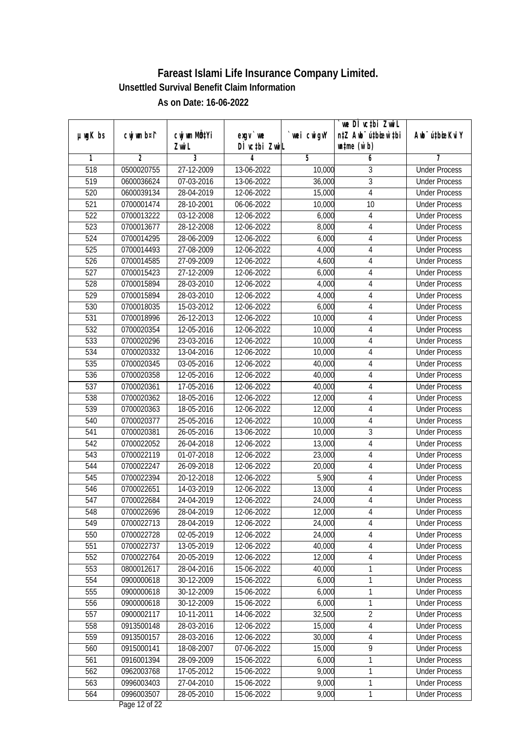|               |                |              |               |             | `we DÌ vc‡bi ZwwiL               |                             |
|---------------|----------------|--------------|---------------|-------------|----------------------------------|-----------------------------|
| $µ$ ug $K$ bs | cwj wm b¤i^    | cwj wm MQtYi | $exgV$ we     | `wei cwigvY | n‡Z Awb <sup>-</sup> ú‡bioen`‡bi | Awb <sup>-</sup> ú‡bioeKviY |
|               |                | Zwi L        | DÌ vctbi ZwiL |             | $\n  untime\n  (u`b)\n$          |                             |
| 1             | $\overline{2}$ | 3            | 4             | 5           | 6                                | 7                           |
| 518           | 0500020755     | 27-12-2009   | 13-06-2022    | 10,000      | 3                                | <b>Under Process</b>        |
| 519           | 0600036624     | 07-03-2016   | 13-06-2022    | 36,000      | $\overline{3}$                   | <b>Under Process</b>        |
| 520           | 0600039134     | 28-04-2019   | 12-06-2022    | 15,000      | $\overline{4}$                   | <b>Under Process</b>        |
| 521           | 0700001474     | 28-10-2001   | 06-06-2022    | 10,000      | 10                               | <b>Under Process</b>        |
| 522           | 0700013222     | 03-12-2008   | 12-06-2022    | 6,000       | 4                                | <b>Under Process</b>        |
| 523           | 0700013677     | 28-12-2008   | 12-06-2022    | 8,000       | 4                                | <b>Under Process</b>        |
| 524           | 0700014295     | 28-06-2009   | 12-06-2022    | 6,000       | 4                                | <b>Under Process</b>        |
| 525           | 0700014493     | 27-08-2009   | 12-06-2022    | 4,000       | $\overline{4}$                   | <b>Under Process</b>        |
| 526           | 0700014585     | 27-09-2009   | 12-06-2022    | 4,600       | 4                                | <b>Under Process</b>        |
| 527           | 0700015423     | 27-12-2009   | 12-06-2022    | 6,000       | 4                                | <b>Under Process</b>        |
| 528           | 0700015894     | 28-03-2010   | 12-06-2022    | 4,000       | 4                                | <b>Under Process</b>        |
| 529           | 0700015894     | 28-03-2010   | 12-06-2022    | 4,000       | 4                                | <b>Under Process</b>        |
| 530           | 0700018035     | 15-03-2012   | 12-06-2022    | 6,000       | $\overline{4}$                   | <b>Under Process</b>        |
| 531           | 0700018996     | 26-12-2013   | 12-06-2022    | 10,000      | $\sqrt{4}$                       | <b>Under Process</b>        |
| 532           | 0700020354     | 12-05-2016   | 12-06-2022    | 10,000      | 4                                | <b>Under Process</b>        |
| 533           | 0700020296     | 23-03-2016   | 12-06-2022    | 10,000      | 4                                | <b>Under Process</b>        |
| 534           | 0700020332     | 13-04-2016   | 12-06-2022    | 10,000      | 4                                | <b>Under Process</b>        |
| 535           | 0700020345     | 03-05-2016   | 12-06-2022    | 40,000      | $\overline{4}$                   | <b>Under Process</b>        |
| 536           | 0700020358     | 12-05-2016   | 12-06-2022    | 40,000      | 4                                | <b>Under Process</b>        |
| 537           | 0700020361     | 17-05-2016   | 12-06-2022    | 40,000      | 4                                | <b>Under Process</b>        |
| 538           | 0700020362     | 18-05-2016   | 12-06-2022    | 12,000      | 4                                | <b>Under Process</b>        |
| 539           | 0700020363     | 18-05-2016   | 12-06-2022    | 12,000      | 4                                | <b>Under Process</b>        |
| 540           | 0700020377     | 25-05-2016   | 12-06-2022    | 10,000      | $\overline{4}$                   | <b>Under Process</b>        |
| 541           | 0700020381     | 26-05-2016   | 13-06-2022    | 10,000      | $\overline{3}$                   | <b>Under Process</b>        |
| 542           | 0700022052     | 26-04-2018   | 12-06-2022    | 13,000      | 4                                | <b>Under Process</b>        |
| 543           | 0700022119     | 01-07-2018   | 12-06-2022    | 23,000      | $\overline{4}$                   | <b>Under Process</b>        |
| 544           | 0700022247     | 26-09-2018   | 12-06-2022    | 20,000      | 4                                | <b>Under Process</b>        |
| 545           | 0700022394     | 20-12-2018   | 12-06-2022    | 5,900       | 4                                | <b>Under Process</b>        |
| 546           | 0700022651     | 14-03-2019   | 12-06-2022    | 13,000      | $\overline{4}$                   | <b>Under Process</b>        |
| 547           | 0700022684     | 24-04-2019   | 12-06-2022    | 24,000      | $\overline{4}$                   | <b>Under Process</b>        |
| 548           | 0700022696     | 28-04-2019   | 12-06-2022    | 12,000      | 4                                | <b>Under Process</b>        |
| 549           | 0700022713     | 28-04-2019   | 12-06-2022    | 24,000      | 4                                | <b>Under Process</b>        |
| 550           | 0700022728     | 02-05-2019   | 12-06-2022    | 24,000      | 4                                | <b>Under Process</b>        |
| 551           | 0700022737     | 13-05-2019   | 12-06-2022    | 40,000      | $\overline{\mathbf{4}}$          | <b>Under Process</b>        |
| 552           | 0700022764     | 20-05-2019   | 12-06-2022    | 12,000      | $\overline{\mathcal{A}}$         | <b>Under Process</b>        |
| 553           | 0800012617     | 28-04-2016   | 15-06-2022    | 40,000      | 1                                | <b>Under Process</b>        |
| 554           | 0900000618     | 30-12-2009   | 15-06-2022    | 6,000       | 1                                | <b>Under Process</b>        |
| 555           | 0900000618     | 30-12-2009   | 15-06-2022    | 6,000       | 1                                | <b>Under Process</b>        |
| 556           | 0900000618     | 30-12-2009   | 15-06-2022    | 6,000       | 1                                | <b>Under Process</b>        |
| 557           | 0900002117     | 10-11-2011   | 14-06-2022    | 32,500      | $\overline{2}$                   | <b>Under Process</b>        |
| 558           | 0913500148     | 28-03-2016   | 12-06-2022    | 15,000      | $\overline{4}$                   | <b>Under Process</b>        |
| 559           | 0913500157     | 28-03-2016   | 12-06-2022    | 30,000      | 4                                | <b>Under Process</b>        |
| 560           | 0915000141     | 18-08-2007   | 07-06-2022    | 15,000      | $\overline{9}$                   | <b>Under Process</b>        |
| 561           | 0916001394     | 28-09-2009   | 15-06-2022    | 6,000       | 1                                | <b>Under Process</b>        |
| 562           | 0962003768     | 17-05-2012   | 15-06-2022    | 9,000       | 1                                | <b>Under Process</b>        |
| 563           | 0996003403     | 27-04-2010   | 15-06-2022    | 9,000       | 1                                | <b>Under Process</b>        |
| 564           | 0996003507     | 28-05-2010   | 15-06-2022    | 9,000       | 1                                | <b>Under Process</b>        |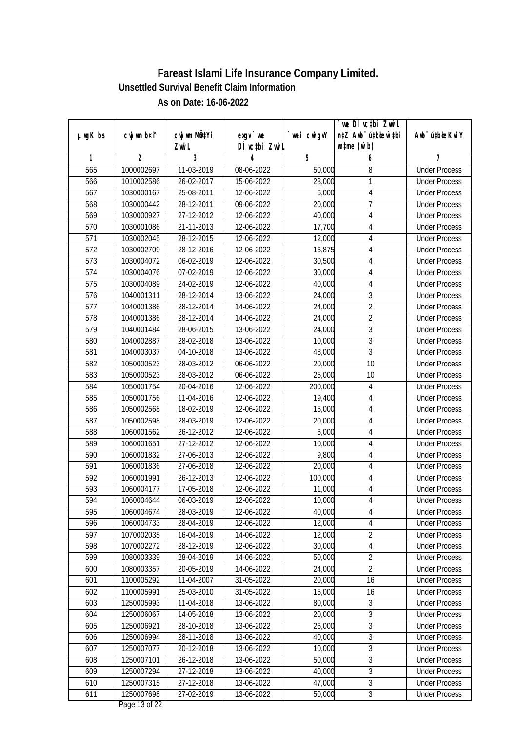|                  |                |              |               |             | `we DÌ vc‡bi ZwwiL               |                             |
|------------------|----------------|--------------|---------------|-------------|----------------------------------|-----------------------------|
| $µ$ ug $K$ bs    | cwj wm b¤i^    | cwj wm MQtYi | $exgV$ we     | `wei cwigvY | n‡Z Awb <sup>-</sup> ú‡bioen`‡bi | Awb <sup>-</sup> ú‡bioeKviY |
|                  |                | Zwi L        | DÌ vctbi ZwiL |             | $\n  untime\n  (u`b)\n$          |                             |
| 1                | $\overline{2}$ | 3            | 4             | 5           | 6                                | 7                           |
| 565              | 1000002697     | 11-03-2019   | 08-06-2022    | 50,000      | 8                                | <b>Under Process</b>        |
| 566              | 1010002586     | 26-02-2017   | 15-06-2022    | 28,000      | 1                                | <b>Under Process</b>        |
| 567              | 1030000167     | 25-08-2011   | 12-06-2022    | 6,000       | 4                                | <b>Under Process</b>        |
| 568              | 1030000442     | 28-12-2011   | 09-06-2022    | 20,000      | 7                                | <b>Under Process</b>        |
| 569              | 1030000927     | 27-12-2012   | 12-06-2022    | 40,000      | $\overline{4}$                   | <b>Under Process</b>        |
| 570              | 1030001086     | 21-11-2013   | 12-06-2022    | 17,700      | 4                                | <b>Under Process</b>        |
| $\overline{571}$ | 1030002045     | 28-12-2015   | 12-06-2022    | 12,000      | 4                                | <b>Under Process</b>        |
| $\overline{572}$ | 1030002709     | 28-12-2016   | 12-06-2022    | 16,875      | $\overline{4}$                   | <b>Under Process</b>        |
| 573              | 1030004072     | 06-02-2019   | 12-06-2022    | 30,500      | 4                                | <b>Under Process</b>        |
| 574              | 1030004076     | 07-02-2019   | 12-06-2022    | 30,000      | 4                                | <b>Under Process</b>        |
| 575              | 1030004089     | 24-02-2019   | 12-06-2022    | 40,000      | 4                                | <b>Under Process</b>        |
| 576              | 1040001311     | 28-12-2014   | 13-06-2022    | 24,000      | 3                                | <b>Under Process</b>        |
| 577              | 1040001386     | 28-12-2014   | 14-06-2022    | 24,000      | $\overline{2}$                   | <b>Under Process</b>        |
| 578              | 1040001386     | 28-12-2014   | 14-06-2022    | 24,000      | $\overline{2}$                   | <b>Under Process</b>        |
| 579              | 1040001484     | 28-06-2015   | 13-06-2022    | 24,000      | 3                                | <b>Under Process</b>        |
| 580              | 1040002887     | 28-02-2018   | 13-06-2022    | 10,000      | 3                                | <b>Under Process</b>        |
| 581              | 1040003037     | 04-10-2018   | 13-06-2022    | 48,000      | 3                                | <b>Under Process</b>        |
| 582              | 1050000523     | 28-03-2012   | 06-06-2022    | 20,000      | $\overline{10}$                  | <b>Under Process</b>        |
| 583              | 1050000523     | 28-03-2012   | 06-06-2022    | 25,000      | 10                               | <b>Under Process</b>        |
| 584              | 1050001754     | 20-04-2016   | 12-06-2022    | 200,000     | 4                                | <b>Under Process</b>        |
| 585              | 1050001756     | 11-04-2016   | 12-06-2022    | 19,400      | 4                                | <b>Under Process</b>        |
| 586              | 1050002568     | 18-02-2019   | 12-06-2022    | 15,000      | 4                                | <b>Under Process</b>        |
| 587              | 1050002598     | 28-03-2019   | 12-06-2022    | 20,000      | $\overline{4}$                   | <b>Under Process</b>        |
| 588              | 1060001562     | 26-12-2012   | 12-06-2022    | 6,000       | $\overline{4}$                   | <b>Under Process</b>        |
| 589              | 1060001651     | 27-12-2012   | 12-06-2022    | 10,000      | 4                                | <b>Under Process</b>        |
| 590              | 1060001832     | 27-06-2013   | 12-06-2022    | 9,800       | $\overline{4}$                   | <b>Under Process</b>        |
| 591              | 1060001836     | 27-06-2018   | 12-06-2022    | 20,000      | 4                                | <b>Under Process</b>        |
| 592              | 1060001991     | 26-12-2013   | 12-06-2022    | 100,000     | 4                                | <b>Under Process</b>        |
| 593              | 1060004177     | 17-05-2018   | 12-06-2022    | 11,000      | $\overline{4}$                   | <b>Under Process</b>        |
| 594              | 1060004644     | 06-03-2019   | 12-06-2022    | 10,000      | $\overline{4}$                   | <b>Under Process</b>        |
| 595              | 1060004674     | 28-03-2019   | 12-06-2022    | 40,000      | 4                                | <b>Under Process</b>        |
| 596              | 1060004733     | 28-04-2019   | 12-06-2022    | 12,000      | 4                                | <b>Under Process</b>        |
| 597              | 1070002035     | 16-04-2019   | 14-06-2022    | 12,000      | $\overline{2}$                   | <b>Under Process</b>        |
| 598              | 1070002272     | 28-12-2019   | 12-06-2022    | 30,000      | $\overline{\mathbf{4}}$          | <b>Under Process</b>        |
| 599              | 1080003339     | 28-04-2019   | 14-06-2022    | 50,000      | $\overline{2}$                   | <b>Under Process</b>        |
| 600              | 1080003357     | 20-05-2019   | 14-06-2022    | 24,000      | $\overline{2}$                   | <b>Under Process</b>        |
| 601              | 1100005292     | 11-04-2007   | 31-05-2022    | 20,000      | 16                               | <b>Under Process</b>        |
| 602              | 1100005991     | 25-03-2010   | 31-05-2022    | 15,000      | 16                               | <b>Under Process</b>        |
| 603              | 1250005993     | 11-04-2018   | 13-06-2022    | 80,000      | $\overline{3}$                   | <b>Under Process</b>        |
| 604              | 1250006067     | 14-05-2018   | 13-06-2022    | 20,000      | $\overline{3}$                   | <b>Under Process</b>        |
| 605              | 1250006921     | 28-10-2018   | 13-06-2022    | 26,000      | $\overline{3}$                   | <b>Under Process</b>        |
| 606              | 1250006994     | 28-11-2018   | 13-06-2022    | 40,000      | $\overline{3}$                   | <b>Under Process</b>        |
| 607              | 1250007077     | 20-12-2018   | 13-06-2022    | 10,000      | $\overline{3}$                   | <b>Under Process</b>        |
| 608              | 1250007101     | 26-12-2018   | 13-06-2022    | 50,000      | $\overline{3}$                   | <b>Under Process</b>        |
| 609              | 1250007294     | 27-12-2018   | 13-06-2022    | 40,000      | $\overline{3}$                   | <b>Under Process</b>        |
| 610              | 1250007315     | 27-12-2018   | 13-06-2022    | 47,000      | 3                                | <b>Under Process</b>        |
| 611              | 1250007698     | 27-02-2019   | 13-06-2022    | 50,000      | $\overline{3}$                   | <b>Under Process</b>        |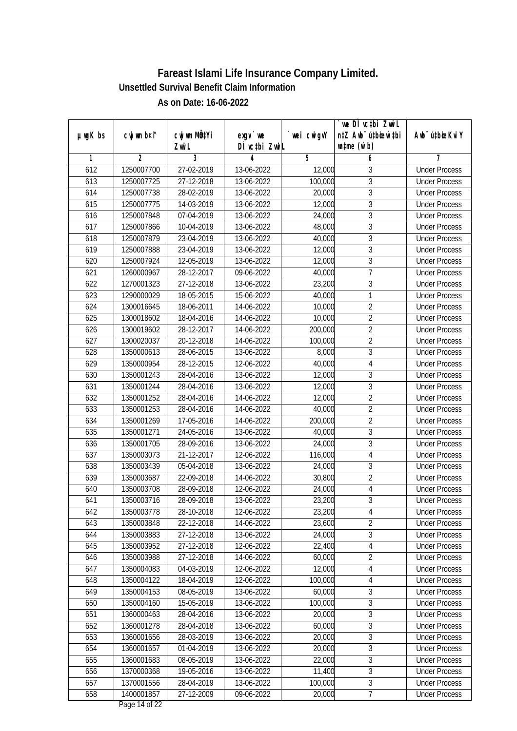|               |                |                          |                    |                  | `we DÌ vc‡bi ZwwiL               |                             |
|---------------|----------------|--------------------------|--------------------|------------------|----------------------------------|-----------------------------|
| $µ$ ug $K$ bs | cwj wm b¤i^    | CW wm MQYi               | $exgV$ we          | wei cwigvY       | n‡Z Awb <sup>-</sup> ú‡bioen`‡bi | Awb <sup>-</sup> ú‡bioeKviY |
| 1             | $\overline{2}$ | Zwi L<br>3               | DÌ vctbi ZwiL<br>4 | 5                | $\n  untime\n  (u`b)\n$<br>6     | 7                           |
| 612           | 1250007700     | 27-02-2019               | 13-06-2022         | 12,000           | 3                                | <b>Under Process</b>        |
| 613           | 1250007725     | 27-12-2018               | 13-06-2022         | 100,000          | $\overline{3}$                   | <b>Under Process</b>        |
|               |                |                          |                    |                  | $\overline{3}$                   |                             |
| 614           | 1250007738     | 28-02-2019               | 13-06-2022         | 20,000           | $\overline{3}$                   | <b>Under Process</b>        |
| 615           | 1250007775     | 14-03-2019<br>07-04-2019 | 13-06-2022         | 12,000<br>24,000 | $\overline{3}$                   | <b>Under Process</b>        |
| 616           | 1250007848     | 10-04-2019               | 13-06-2022         |                  |                                  | <b>Under Process</b>        |
| 617           | 1250007866     |                          | 13-06-2022         | 48,000           | $\overline{3}$                   | <b>Under Process</b>        |
| 618           | 1250007879     | 23-04-2019               | 13-06-2022         | 40,000           | $\overline{3}$<br>$\overline{3}$ | <b>Under Process</b>        |
| 619           | 1250007888     | 23-04-2019               | 13-06-2022         | 12,000           |                                  | <b>Under Process</b>        |
| 620           | 1250007924     | 12-05-2019               | 13-06-2022         | 12,000           | $\sqrt{3}$                       | <b>Under Process</b>        |
| 621           | 1260000967     | 28-12-2017               | 09-06-2022         | 40,000           | $\overline{7}$                   | <b>Under Process</b>        |
| 622           | 1270001323     | 27-12-2018               | 13-06-2022         | 23,200           | $\overline{3}$                   | <b>Under Process</b>        |
| 623           | 1290000029     | 18-05-2015               | 15-06-2022         | 40,000           | $\mathbf{1}$                     | <b>Under Process</b>        |
| 624           | 1300016645     | 18-06-2011               | 14-06-2022         | 10,000           | $\overline{2}$                   | <b>Under Process</b>        |
| 625           | 1300018602     | 18-04-2016               | 14-06-2022         | 10,000           | $\overline{2}$                   | <b>Under Process</b>        |
| 626           | 1300019602     | 28-12-2017               | 14-06-2022         | 200,000          | $\overline{2}$                   | <b>Under Process</b>        |
| 627           | 1300020037     | 20-12-2018               | 14-06-2022         | 100,000          | $\overline{2}$                   | <b>Under Process</b>        |
| 628           | 1350000613     | 28-06-2015               | 13-06-2022         | 8,000            | $\mathfrak{Z}$                   | <b>Under Process</b>        |
| 629           | 1350000954     | 28-12-2015               | 12-06-2022         | 40,000           | $\overline{4}$                   | <b>Under Process</b>        |
| 630           | 1350001243     | 28-04-2016               | 13-06-2022         | 12,000           | $\mathfrak{Z}$                   | <b>Under Process</b>        |
| 631           | 1350001244     | 28-04-2016               | 13-06-2022         | 12,000           | $\overline{3}$                   | <b>Under Process</b>        |
| 632           | 1350001252     | 28-04-2016               | 14-06-2022         | 12,000           | $\overline{2}$                   | <b>Under Process</b>        |
| 633           | 1350001253     | 28-04-2016               | 14-06-2022         | 40,000           | $\overline{2}$                   | <b>Under Process</b>        |
| 634           | 1350001269     | 17-05-2016               | 14-06-2022         | 200,000          | $\overline{2}$                   | <b>Under Process</b>        |
| 635           | 1350001271     | 24-05-2016               | 13-06-2022         | 40,000           | $\overline{3}$                   | <b>Under Process</b>        |
| 636           | 1350001705     | 28-09-2016               | 13-06-2022         | 24,000           | $\overline{3}$                   | <b>Under Process</b>        |
| 637           | 1350003073     | 21-12-2017               | 12-06-2022         | 116,000          | $\overline{\mathbf{4}}$          | <b>Under Process</b>        |
| 638           | 1350003439     | 05-04-2018               | 13-06-2022         | 24,000           | $\sqrt{3}$                       | <b>Under Process</b>        |
| 639           | 1350003687     | 22-09-2018               | 14-06-2022         | 30,800           | $\overline{2}$                   | <b>Under Process</b>        |
| 640           | 1350003708     | 28-09-2018               | 12-06-2022         | 24,000           | $\sqrt{4}$                       | <b>Under Process</b>        |
| 641           | 1350003716     | 28-09-2018               | 13-06-2022         | 23,200           | $\overline{3}$                   | <b>Under Process</b>        |
| 642           | 1350003778     | 28-10-2018               | 12-06-2022         | 23,200           | 4                                | <b>Under Process</b>        |
| 643           | 1350003848     | 22-12-2018               | 14-06-2022         | 23,600           | $\overline{2}$                   | <b>Under Process</b>        |
| 644           | 1350003883     | 27-12-2018               | 13-06-2022         | 24,000           | $\overline{3}$                   | <b>Under Process</b>        |
| 645           | 1350003952     | 27-12-2018               | 12-06-2022         | 22,400           | $\overline{4}$                   | <b>Under Process</b>        |
| 646           | 1350003988     | 27-12-2018               | 14-06-2022         | 60,000           | $\overline{2}$                   | <b>Under Process</b>        |
| 647           | 1350004083     | 04-03-2019               | 12-06-2022         | 12,000           | 4                                | <b>Under Process</b>        |
| 648           | 1350004122     | 18-04-2019               | 12-06-2022         | 100,000          | 4                                | <b>Under Process</b>        |
| 649           | 1350004153     | 08-05-2019               | 13-06-2022         | 60,000           | $\sqrt{3}$                       | <b>Under Process</b>        |
| 650           | 1350004160     | 15-05-2019               | 13-06-2022         | 100,000          | $\overline{3}$                   | <b>Under Process</b>        |
| 651           | 1360000463     | 28-04-2016               | 13-06-2022         | 20,000           | $\overline{3}$                   | <b>Under Process</b>        |
| 652           | 1360001278     | 28-04-2018               | 13-06-2022         | 60,000           | $\overline{3}$                   | <b>Under Process</b>        |
| 653           | 1360001656     | 28-03-2019               | 13-06-2022         | 20,000           | $\overline{3}$                   | <b>Under Process</b>        |
| 654           | 1360001657     | 01-04-2019               | 13-06-2022         | 20,000           | $\overline{3}$                   | <b>Under Process</b>        |
| 655           | 1360001683     | 08-05-2019               | 13-06-2022         | 22,000           | $\overline{3}$                   | <b>Under Process</b>        |
| 656           | 1370000368     | 19-05-2016               | 13-06-2022         | 11,400           | $\overline{3}$                   | <b>Under Process</b>        |
| 657           | 1370001556     | 28-04-2019               | 13-06-2022         | 100,000          | $\overline{3}$                   | <b>Under Process</b>        |
| 658           | 1400001857     | 27-12-2009               | 09-06-2022         | 20,000           | $\overline{7}$                   | <b>Under Process</b>        |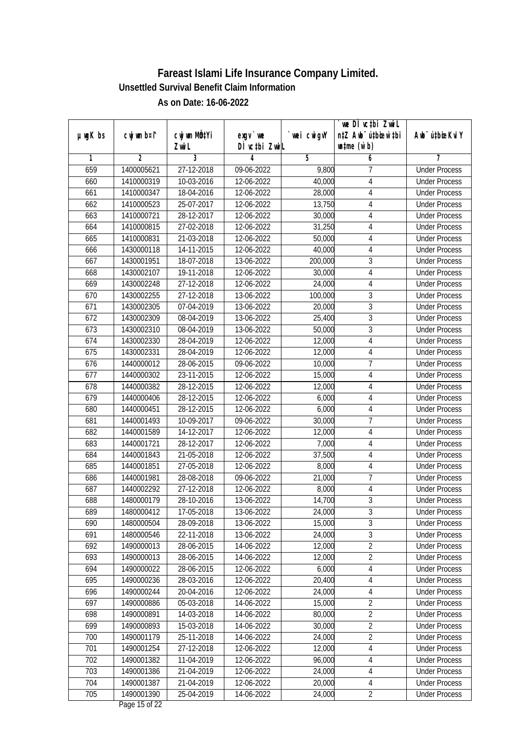|               |                |                  |               |            | we DI vctbi ZwiL                 |                             |
|---------------|----------------|------------------|---------------|------------|----------------------------------|-----------------------------|
| $µ$ ug $K$ bs | cwj wm b¤i^    | cwj wm MQtYi     | $exqu$ we     | wei cwigvY | n‡Z Awb <sup>-</sup> ú‡bioar`‡bi | Awb <sup>-</sup> ú‡bioeKviY |
|               |                | Zwi L            | DÌ vctbi ZwiL |            | $w$ tme $(w b)$                  |                             |
| 1             | $\overline{2}$ | 3                | 4             | 5          | 6                                | 7                           |
| 659           | 1400005621     | 27-12-2018       | 09-06-2022    | 9,800      | 7                                | <b>Under Process</b>        |
| 660           | 1410000319     | 10-03-2016       | 12-06-2022    | 40,000     | 4                                | <b>Under Process</b>        |
| 661           | 1410000347     | 18-04-2016       | 12-06-2022    | 28,000     | 4                                | <b>Under Process</b>        |
| 662           | 1410000523     | $25-07-2017$     | 12-06-2022    | 13,750     | 4                                | <b>Under Process</b>        |
| 663           | 1410000721     | 28-12-2017       | 12-06-2022    | 30,000     | $\overline{4}$                   | <b>Under Process</b>        |
| 664           | 1410000815     | 27-02-2018       | 12-06-2022    | 31,250     | 4                                | <b>Under Process</b>        |
| 665           | 1410000831     | 21-03-2018       | 12-06-2022    | 50,000     | 4                                | <b>Under Process</b>        |
| 666           | 1430000118     | 14-11-2015       | 12-06-2022    | 40,000     | 4                                | <b>Under Process</b>        |
| 667           | 1430001951     | 18-07-2018       | 13-06-2022    | 200,000    | 3                                | <b>Under Process</b>        |
| 668           | 1430002107     | 19-11-2018       | 12-06-2022    | 30,000     | $\overline{4}$                   | <b>Under Process</b>        |
| 669           | 1430002248     | $27 - 12 - 2018$ | 12-06-2022    | 24,000     | $\sqrt{4}$                       | <b>Under Process</b>        |
| 670           | 1430002255     | 27-12-2018       | 13-06-2022    | 100,000    | $\mathfrak z$                    | <b>Under Process</b>        |
| 671           | 1430002305     | 07-04-2019       | 13-06-2022    | 20,000     | $\overline{3}$                   | <b>Under Process</b>        |
| 672           | 1430002309     | 08-04-2019       | 13-06-2022    | 25,400     | $\mathfrak{Z}$                   | <b>Under Process</b>        |
| 673           | 1430002310     | 08-04-2019       | 13-06-2022    | 50,000     | $\overline{3}$                   | <b>Under Process</b>        |
| 674           | 1430002330     | 28-04-2019       | 12-06-2022    | 12,000     | $\sqrt{4}$                       | <b>Under Process</b>        |
| 675           | 1430002331     | 28-04-2019       | 12-06-2022    | 12,000     | $\overline{4}$                   | <b>Under Process</b>        |
| 676           | 1440000012     | 28-06-2015       | 09-06-2022    | 10,000     | $\overline{1}$                   | <b>Under Process</b>        |
| 677           | 1440000302     | 23-11-2015       | 12-06-2022    | 15,000     | 4                                | <b>Under Process</b>        |
| 678           | 1440000382     | 28-12-2015       | 12-06-2022    | 12,000     | $\overline{4}$                   | <b>Under Process</b>        |
| 679           | 1440000406     | 28-12-2015       | 12-06-2022    | 6,000      | 4                                | <b>Under Process</b>        |
| 680           | 1440000451     | 28-12-2015       | 12-06-2022    | 6,000      | 4                                | <b>Under Process</b>        |
| 681           | 1440001493     | 10-09-2017       | 09-06-2022    | 30,000     | $\overline{1}$                   | <b>Under Process</b>        |
| 682           | 1440001589     | 14-12-2017       | 12-06-2022    | 12,000     | $\sqrt{4}$                       | <b>Under Process</b>        |
| 683           | 1440001721     | $28-12-2017$     | 12-06-2022    | 7,000      | 4                                | <b>Under Process</b>        |
| 684           | 1440001843     | 21-05-2018       | 12-06-2022    | 37,500     | 4                                | <b>Under Process</b>        |
| 685           | 1440001851     | 27-05-2018       | 12-06-2022    | 8,000      | 4                                | <b>Under Process</b>        |
| 686           | 1440001981     | 28-08-2018       | 09-06-2022    | 21,000     | $\overline{7}$                   | <b>Under Process</b>        |
| 687           | 1440002292     | 27-12-2018       | 12-06-2022    | 8,000      | 4                                | <b>Under Process</b>        |
| 688           | 1480000179     | 28-10-2016       | 13-06-2022    | 14,700     | $\overline{3}$                   | <b>Under Process</b>        |
| 689           | 1480000412     | 17-05-2018       | 13-06-2022    | 24,000     | $\sqrt{3}$                       | <b>Under Process</b>        |
| 690           | 1480000504     | 28-09-2018       | 13-06-2022    | 15,000     | $\overline{3}$                   | <b>Under Process</b>        |
| 691           | 1480000546     | 22-11-2018       | 13-06-2022    | 24,000     | $\overline{3}$                   | <b>Under Process</b>        |
| 692           | 1490000013     | 28-06-2015       | 14-06-2022    | 12,000     | $\overline{2}$                   | <b>Under Process</b>        |
| 693           | 1490000013     | 28-06-2015       | 14-06-2022    | 12,000     | $\overline{2}$                   | <b>Under Process</b>        |
| 694           | 1490000022     | 28-06-2015       | 12-06-2022    | 6,000      | 4                                | <b>Under Process</b>        |
| 695           | 1490000236     | 28-03-2016       | 12-06-2022    | 20,400     | 4                                | <b>Under Process</b>        |
| 696           | 1490000244     | 20-04-2016       | 12-06-2022    | 24,000     | 4                                | <b>Under Process</b>        |
| 697           | 1490000886     | 05-03-2018       | 14-06-2022    | 15,000     | $\overline{2}$                   | <b>Under Process</b>        |
| 698           | 1490000891     | 14-03-2018       | 14-06-2022    | 80,000     | $\overline{2}$                   | <b>Under Process</b>        |
| 699           | 1490000893     | 15-03-2018       | 14-06-2022    | 30,000     | $\overline{2}$                   | <b>Under Process</b>        |
| 700           | 1490001179     | 25-11-2018       | 14-06-2022    | 24,000     | $\overline{2}$                   | <b>Under Process</b>        |
| 701           | 1490001254     | 27-12-2018       | 12-06-2022    | 12,000     | $\sqrt{4}$                       | <b>Under Process</b>        |
| 702           | 1490001382     | 11-04-2019       | 12-06-2022    | 96,000     | 4                                | <b>Under Process</b>        |
| 703           | 1490001386     | 21-04-2019       | 12-06-2022    | 24,000     | 4                                | <b>Under Process</b>        |
| 704           | 1490001387     | 21-04-2019       | 12-06-2022    | 20,000     | 4                                | <b>Under Process</b>        |
| 705           | 1490001390     | 25-04-2019       | 14-06-2022    | 24,000     | $\overline{2}$                   | <b>Under Process</b>        |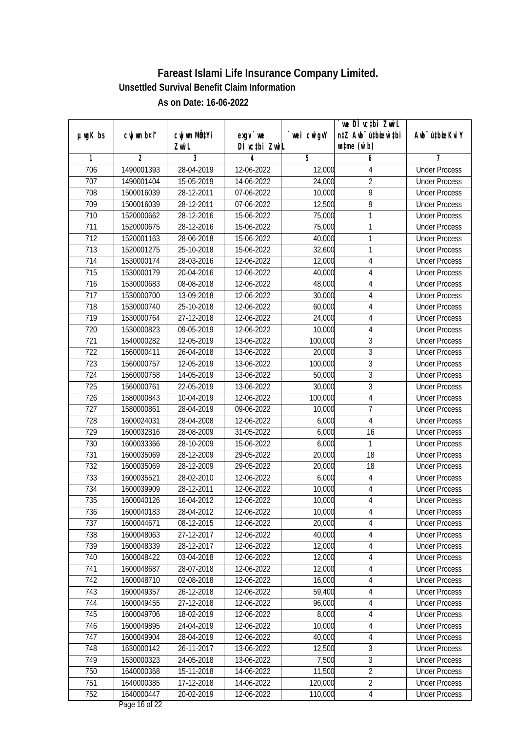|                  |                |                  |               |            | we DI vctbi ZwiL                 |                             |
|------------------|----------------|------------------|---------------|------------|----------------------------------|-----------------------------|
| $µ$ ug $K$ bs    | cwj wm b¤i^    | cwj wm MQtYi     | $exqu$ we     | wei cwigvY | n‡Z Awb <sup>-</sup> ú‡bioar`‡bi | Awb <sup>-</sup> ú‡bioeKviY |
|                  |                | Zwi L            | DÌ vctbi ZwiL |            | $\n  untime\n  (u`b)\n$          |                             |
| 1                | $\overline{2}$ | 3                | 4             | 5          | 6                                | 7                           |
| 706              | 1490001393     | 28-04-2019       | 12-06-2022    | 12,000     | 4                                | <b>Under Process</b>        |
| 707              | 1490001404     | 15-05-2019       | 14-06-2022    | 24,000     | $\overline{2}$                   | <b>Under Process</b>        |
| 708              | 1500016039     | 28-12-2011       | 07-06-2022    | 10,000     | 9                                | <b>Under Process</b>        |
| 709              | 1500016039     | 28-12-2011       | 07-06-2022    | 12,500     | 9                                | <b>Under Process</b>        |
| 710              | 1520000662     | 28-12-2016       | 15-06-2022    | 75,000     | 1                                | <b>Under Process</b>        |
| 711              | 1520000675     | 28-12-2016       | 15-06-2022    | 75,000     | 1                                | <b>Under Process</b>        |
| $\overline{712}$ | 1520001163     | 28-06-2018       | 15-06-2022    | 40,000     | 1                                | <b>Under Process</b>        |
| 713              | 1520001275     | 25-10-2018       | 15-06-2022    | 32,600     | 1                                | <b>Under Process</b>        |
| 714              | 1530000174     | 28-03-2016       | 12-06-2022    | 12,000     | 4                                | <b>Under Process</b>        |
| 715              | 1530000179     | 20-04-2016       | 12-06-2022    | 40,000     | 4                                | <b>Under Process</b>        |
| 716              | 1530000683     | $08 - 08 - 2018$ | 12-06-2022    | 48,000     | $\sqrt{4}$                       | <b>Under Process</b>        |
| 717              | 1530000700     | 13-09-2018       | 12-06-2022    | 30,000     | $\overline{4}$                   | <b>Under Process</b>        |
| 718              | 1530000740     | 25-10-2018       | 12-06-2022    | 60,000     | $\overline{4}$                   | <b>Under Process</b>        |
| 719              | 1530000764     | 27-12-2018       | 12-06-2022    | 24,000     | 4                                | <b>Under Process</b>        |
| 720              | 1530000823     | 09-05-2019       | 12-06-2022    | 10,000     | $\overline{4}$                   | <b>Under Process</b>        |
| 721              | 1540000282     | 12-05-2019       | 13-06-2022    | 100,000    | 3                                | <b>Under Process</b>        |
| 722              | 1560000411     | 26-04-2018       | 13-06-2022    | 20,000     | $\mathfrak{Z}$                   | <b>Under Process</b>        |
| 723              | 1560000757     | 12-05-2019       | 13-06-2022    | 100,000    | 3                                | <b>Under Process</b>        |
| 724              | 1560000758     | 14-05-2019       | 13-06-2022    | 50,000     | $\overline{3}$                   | <b>Under Process</b>        |
| 725              | 1560000761     | 22-05-2019       | 13-06-2022    | 30,000     | $\overline{3}$                   | <b>Under Process</b>        |
| 726              | 1580000843     | 10-04-2019       | 12-06-2022    | 100,000    | $\overline{4}$                   | <b>Under Process</b>        |
| 727              | 1580000861     | 28-04-2019       | 09-06-2022    | 10,000     | $\overline{1}$                   | <b>Under Process</b>        |
| 728              | 1600024031     | 28-04-2008       | 12-06-2022    | 6,000      | $\overline{4}$                   | <b>Under Process</b>        |
| 729              | 1600032816     | 28-08-2009       | 31-05-2022    | 6,000      | 16                               | <b>Under Process</b>        |
| 730              | 1600033366     | 28-10-2009       | 15-06-2022    | 6,000      | 1                                | <b>Under Process</b>        |
| 731              | 1600035069     | 28-12-2009       | 29-05-2022    | 20,000     | 18                               | <b>Under Process</b>        |
| 732              | 1600035069     | 28-12-2009       | 29-05-2022    | 20,000     | 18                               | <b>Under Process</b>        |
| 733              | 1600035521     | 28-02-2010       | 12-06-2022    | 6,000      | 4                                | <b>Under Process</b>        |
| 734              | 1600039909     | 28-12-2011       | 12-06-2022    | 10,000     | 4                                | <b>Under Process</b>        |
| 735              | 1600040126     | 16-04-2012       | 12-06-2022    | 10,000     | $\overline{4}$                   | <b>Under Process</b>        |
| 736              | 1600040183     | 28-04-2012       | 12-06-2022    | 10,000     | 4                                | <b>Under Process</b>        |
| 737              | 1600044671     | 08-12-2015       | 12-06-2022    | 20,000     | 4                                | <b>Under Process</b>        |
| 738              | 1600048063     | 27-12-2017       | 12-06-2022    | 40,000     | $\overline{4}$                   | <b>Under Process</b>        |
| 739              | 1600048339     | 28-12-2017       | 12-06-2022    | 12,000     | 4                                | <b>Under Process</b>        |
| 740              | 1600048422     | 03-04-2018       | 12-06-2022    | 12,000     | 4                                | <b>Under Process</b>        |
| 741              | 1600048687     | 28-07-2018       | 12-06-2022    | 12,000     | 4                                | <b>Under Process</b>        |
| 742              | 1600048710     | 02-08-2018       | 12-06-2022    | 16,000     | 4                                | <b>Under Process</b>        |
| 743              | 1600049357     | 26-12-2018       | 12-06-2022    | 59,400     | 4                                | <b>Under Process</b>        |
| 744              | 1600049455     | 27-12-2018       | 12-06-2022    | 96,000     | 4                                | <b>Under Process</b>        |
| 745              | 1600049706     | 18-02-2019       | 12-06-2022    | 8,000      | 4                                | <b>Under Process</b>        |
| 746              | 1600049895     | 24-04-2019       | 12-06-2022    | 10,000     | 4                                | <b>Under Process</b>        |
| 747              | 1600049904     | 28-04-2019       | 12-06-2022    | 40,000     | $\overline{4}$                   | <b>Under Process</b>        |
| 748              | 1630000142     | 26-11-2017       | 13-06-2022    | 12,500     | $\overline{3}$                   | <b>Under Process</b>        |
| 749              | 1630000323     | 24-05-2018       | 13-06-2022    | 7,500      | $\overline{3}$                   | <b>Under Process</b>        |
| 750              | 1640000368     | 15-11-2018       | 14-06-2022    | 11,500     | $\overline{2}$                   | <b>Under Process</b>        |
| 751              | 1640000385     | 17-12-2018       | 14-06-2022    | 120,000    | $\overline{2}$                   | <b>Under Process</b>        |
| 752              | 1640000447     | 20-02-2019       | 12-06-2022    | 110,000    | $\overline{4}$                   | <b>Under Process</b>        |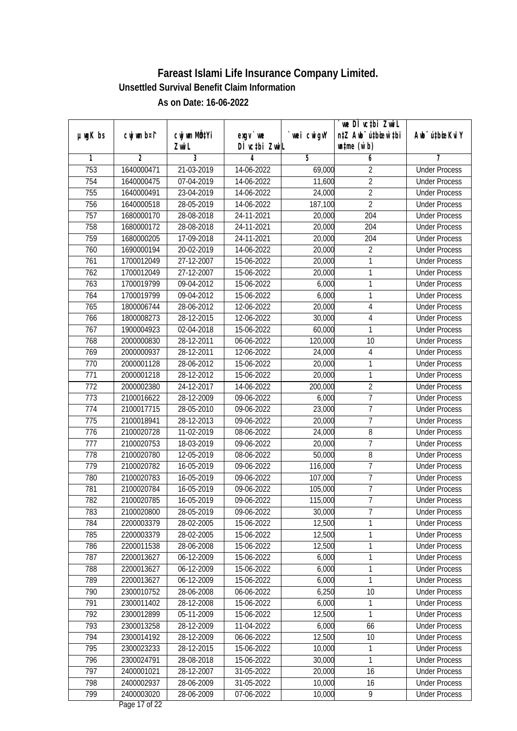|               |                |              |               |            | we DÌ vc‡bi ZwiL                 |                              |
|---------------|----------------|--------------|---------------|------------|----------------------------------|------------------------------|
| $µ$ ug $K$ bs | cwj wm b¤i^    | cwj wm MQtYi | $exqu$ we     | wei cwigvY | n‡Z Awb <sup>-</sup> ú‡bioen`‡bi | Aub <sup>-</sup> ú‡bioeKvi Y |
|               |                | Zwi L        | DÌ vctbi ZwiL |            | $\n  untime\n  (u`b)\n$          |                              |
| 1             | $\overline{2}$ | 3            | 4             | 5          | 6                                | 7                            |
| 753           | 1640000471     | 21-03-2019   | 14-06-2022    | 69,000     | $\overline{2}$                   | <b>Under Process</b>         |
| 754           | 1640000475     | 07-04-2019   | 14-06-2022    | 11,600     | $\overline{2}$                   | <b>Under Process</b>         |
| 755           | 1640000491     | 23-04-2019   | 14-06-2022    | 24,000     | $\overline{2}$                   | <b>Under Process</b>         |
| 756           | 1640000518     | 28-05-2019   | 14-06-2022    | 187,100    | $\overline{2}$                   | <b>Under Process</b>         |
| 757           | 1680000170     | 28-08-2018   | 24-11-2021    | 20,000     | 204                              | <b>Under Process</b>         |
| 758           | 1680000172     | 28-08-2018   | 24-11-2021    | 20,000     | $\overline{204}$                 | <b>Under Process</b>         |
| 759           | 1680000205     | 17-09-2018   | 24-11-2021    | 20,000     | $\overline{204}$                 | <b>Under Process</b>         |
| 760           | 1690000194     | 20-02-2019   | 14-06-2022    | 20,000     | $\overline{2}$                   | <b>Under Process</b>         |
| 761           | 1700012049     | 27-12-2007   | 15-06-2022    | 20,000     | 1                                | <b>Under Process</b>         |
| 762           | 1700012049     | 27-12-2007   | 15-06-2022    | 20,000     | $\mathbf{1}$                     | <b>Under Process</b>         |
| 763           | 1700019799     | 09-04-2012   | 15-06-2022    | 6,000      | $\mathbf{1}$                     | <b>Under Process</b>         |
| 764           | 1700019799     | 09-04-2012   | 15-06-2022    | 6,000      | 1                                | <b>Under Process</b>         |
| 765           | 1800006744     | 28-06-2012   | 12-06-2022    | 20,000     | 4                                | <b>Under Process</b>         |
| 766           | 1800008273     | 28-12-2015   | 12-06-2022    | 30,000     | $\sqrt{4}$                       | <b>Under Process</b>         |
| 767           | 1900004923     | 02-04-2018   | 15-06-2022    | 60,000     | 1                                | <b>Under Process</b>         |
| 768           | 2000000830     | 28-12-2011   | 06-06-2022    | 120,000    | 10                               | <b>Under Process</b>         |
| 769           | 2000000937     | 28-12-2011   | 12-06-2022    | 24,000     | 4                                | <b>Under Process</b>         |
| 770           | 2000001128     | 28-06-2012   | 15-06-2022    | 20,000     | 1                                | <b>Under Process</b>         |
| 771           | 2000001218     | 28-12-2012   | 15-06-2022    | 20,000     | 1                                | <b>Under Process</b>         |
| 772           | 2000002380     | 24-12-2017   | 14-06-2022    | 200,000    | $\overline{2}$                   | <b>Under Process</b>         |
| 773           | 2100016622     | 28-12-2009   | 09-06-2022    | 6,000      | $\overline{1}$                   | <b>Under Process</b>         |
| 774           | 2100017715     | 28-05-2010   | 09-06-2022    | 23,000     | $\overline{1}$                   | <b>Under Process</b>         |
| 775           | 2100018941     | 28-12-2013   | 09-06-2022    | 20,000     | $\overline{1}$                   | <b>Under Process</b>         |
| 776           | 2100020728     | 11-02-2019   | 08-06-2022    | 24,000     | 8                                | <b>Under Process</b>         |
| 777           | 2100020753     | 18-03-2019   | 09-06-2022    | 20,000     | $\overline{1}$                   | <b>Under Process</b>         |
| 778           | 2100020780     | 12-05-2019   | 08-06-2022    | 50,000     | 8                                | <b>Under Process</b>         |
| 779           | 2100020782     | 16-05-2019   | 09-06-2022    | 116,000    | $\overline{1}$                   | <b>Under Process</b>         |
| 780           | 2100020783     | 16-05-2019   | 09-06-2022    | 107,000    | $\overline{1}$                   | <b>Under Process</b>         |
| 781           | 2100020784     | 16-05-2019   | 09-06-2022    | 105,000    | $\overline{1}$                   | <b>Under Process</b>         |
| 782           | 2100020785     | 16-05-2019   | 09-06-2022    | 115,000    | $\overline{7}$                   | <b>Under Process</b>         |
| 783           | 2100020800     | 28-05-2019   | 09-06-2022    | 30,000     | 7                                | <b>Under Process</b>         |
| 784           | 2200003379     | 28-02-2005   | 15-06-2022    | 12,500     | 1                                | <b>Under Process</b>         |
| 785           | 2200003379     | 28-02-2005   | 15-06-2022    | 12,500     | 1                                | <b>Under Process</b>         |
| 786           | 2200011538     | 28-06-2008   | 15-06-2022    | 12,500     | 1                                | <b>Under Process</b>         |
| 787           | 2200013627     | 06-12-2009   | 15-06-2022    | 6,000      | $\mathbf{1}$                     | <b>Under Process</b>         |
| 788           | 2200013627     | 06-12-2009   | 15-06-2022    | 6,000      | 1                                | <b>Under Process</b>         |
| 789           | 2200013627     | 06-12-2009   | 15-06-2022    | 6,000      | 1                                | <b>Under Process</b>         |
| 790           | 2300010752     | 28-06-2008   | 06-06-2022    | 6,250      | 10                               | <b>Under Process</b>         |
| 791           | 2300011402     | 28-12-2008   | 15-06-2022    | 6,000      | $\mathbf{1}$                     | <b>Under Process</b>         |
| 792           | 2300012899     | 05-11-2009   | 15-06-2022    | 12,500     | 1                                | <b>Under Process</b>         |
| 793           | 2300013258     | 28-12-2009   | 11-04-2022    | 6,000      | 66                               | <b>Under Process</b>         |
| 794           | 2300014192     | 28-12-2009   | 06-06-2022    | 12,500     | 10                               | <b>Under Process</b>         |
| 795           | 2300023233     | 28-12-2015   | 15-06-2022    | 10,000     | 1                                | <b>Under Process</b>         |
| 796           | 2300024791     | 28-08-2018   | 15-06-2022    | 30,000     | 1                                | <b>Under Process</b>         |
| 797           | 2400001021     | 28-12-2007   | 31-05-2022    | 20,000     | 16                               | <b>Under Process</b>         |
| 798           | 2400002937     | 28-06-2009   | 31-05-2022    | 10,000     | 16                               | <b>Under Process</b>         |
| 799           | 2400003020     | 28-06-2009   | 07-06-2022    | 10,000     | $\overline{9}$                   | <b>Under Process</b>         |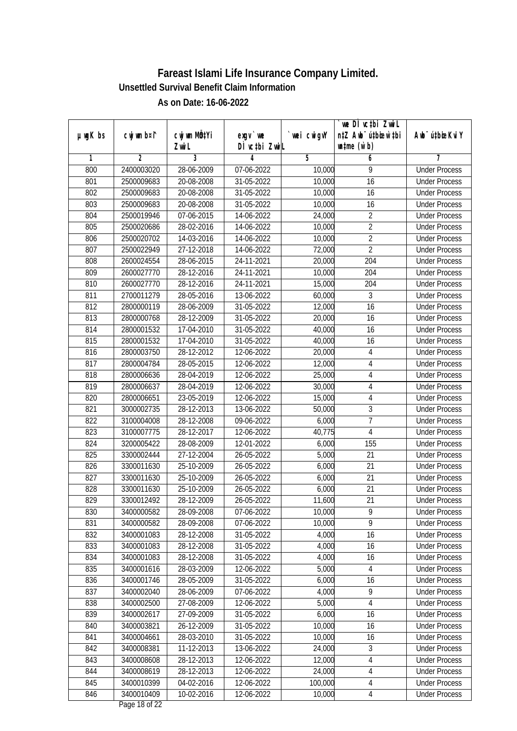|         |             |                                    |                            |            | we DI vctbi ZwiL<br>n‡Z Awb <sup>-</sup> ú‡bioen`‡bi |                             |
|---------|-------------|------------------------------------|----------------------------|------------|------------------------------------------------------|-----------------------------|
| µwgK bs | cwj wm b¤i^ | Cwj wm MQ <sup>1</sup> Yi<br>Zwi L | $exqu$ we<br>DÌ vctbi ZwiL | wei cwigvY | $\n  untime\n  (u`b)\n$                              | Awb <sup>-</sup> ú‡bioeKviY |
| 1       | 2           | 3                                  | 4                          | 5          | 6                                                    | 7                           |
| 800     | 2400003020  | 28-06-2009                         | 07-06-2022                 | 10,000     | 9                                                    | <b>Under Process</b>        |
| 801     | 2500009683  | 20-08-2008                         | 31-05-2022                 | 10,000     | 16                                                   | <b>Under Process</b>        |
| 802     | 2500009683  | 20-08-2008                         | 31-05-2022                 | 10,000     | 16                                                   | <b>Under Process</b>        |
| 803     | 2500009683  | 20-08-2008                         | 31-05-2022                 | 10,000     | 16                                                   | <b>Under Process</b>        |
| 804     | 2500019946  | 07-06-2015                         | 14-06-2022                 | 24,000     | $\overline{2}$                                       | <b>Under Process</b>        |
| 805     | 2500020686  | 28-02-2016                         | 14-06-2022                 | 10,000     | $\overline{2}$                                       | <b>Under Process</b>        |
| 806     | 2500020702  | 14-03-2016                         | 14-06-2022                 | 10,000     | $\overline{2}$                                       | <b>Under Process</b>        |
| 807     | 2500022949  | 27-12-2018                         | 14-06-2022                 | 72,000     | $\overline{2}$                                       | <b>Under Process</b>        |
| 808     | 2600024554  | 28-06-2015                         | 24-11-2021                 | 20,000     | 204                                                  | <b>Under Process</b>        |
| 809     | 2600027770  | 28-12-2016                         | 24-11-2021                 | 10,000     | 204                                                  | <b>Under Process</b>        |
| 810     | 2600027770  | 28-12-2016                         | 24-11-2021                 | 15,000     | $\overline{204}$                                     | <b>Under Process</b>        |
| 811     | 2700011279  | 28-05-2016                         | 13-06-2022                 | 60,000     | $\sqrt{3}$                                           | <b>Under Process</b>        |
| 812     | 2800000119  | 28-06-2009                         | 31-05-2022                 | 12,000     | $\overline{16}$                                      | <b>Under Process</b>        |
| 813     | 2800000768  | 28-12-2009                         | 31-05-2022                 | 20,000     | 16                                                   | <b>Under Process</b>        |
| 814     | 2800001532  | 17-04-2010                         | 31-05-2022                 | 40,000     | 16                                                   | <b>Under Process</b>        |
| 815     | 2800001532  | 17-04-2010                         | 31-05-2022                 | 40,000     | 16                                                   | <b>Under Process</b>        |
| 816     | 2800003750  | 28-12-2012                         | 12-06-2022                 | 20,000     | 4                                                    | <b>Under Process</b>        |
| 817     | 2800004784  | 28-05-2015                         | 12-06-2022                 | 12,000     | $\sqrt{4}$                                           | <b>Under Process</b>        |
| 818     | 2800006636  | 28-04-2019                         | 12-06-2022                 | 25,000     | 4                                                    | <b>Under Process</b>        |
| 819     | 2800006637  | 28-04-2019                         | 12-06-2022                 | 30,000     | $\overline{4}$                                       | <b>Under Process</b>        |
| 820     | 2800006651  | 23-05-2019                         | 12-06-2022                 | 15,000     | 4                                                    | <b>Under Process</b>        |
| 821     | 3000002735  | 28-12-2013                         | 13-06-2022                 | 50,000     | $\sqrt{3}$                                           | <b>Under Process</b>        |
| 822     | 3100004008  | 28-12-2008                         | 09-06-2022                 | 6,000      | $\overline{7}$                                       | <b>Under Process</b>        |
| 823     | 3100007775  | 28-12-2017                         | 12-06-2022                 | 40,775     | 4                                                    | <b>Under Process</b>        |
| 824     | 3200005422  | 28-08-2009                         | 12-01-2022                 | 6,000      | 155                                                  | <b>Under Process</b>        |
| 825     | 3300002444  | 27-12-2004                         | 26-05-2022                 | 5,000      | 21                                                   | <b>Under Process</b>        |
| 826     | 3300011630  | 25-10-2009                         | 26-05-2022                 | 6,000      | 21                                                   | <b>Under Process</b>        |
| 827     | 3300011630  | 25-10-2009                         | 26-05-2022                 | 6,000      | 21                                                   | <b>Under Process</b>        |
| 828     | 3300011630  | 25-10-2009                         | 26-05-2022                 | 6,000      | 21                                                   | <b>Under Process</b>        |
| 829     | 3300012492  | 28-12-2009                         | 26-05-2022                 | 11,600     | 21                                                   | <b>Under Process</b>        |
| 830     | 3400000582  | 28-09-2008                         | 07-06-2022                 | 10,000     | 9                                                    | <b>Under Process</b>        |
| 831     | 3400000582  | 28-09-2008                         | 07-06-2022                 | 10,000     | 9                                                    | <b>Under Process</b>        |
| 832     | 3400001083  | 28-12-2008                         | 31-05-2022                 | 4,000      | 16                                                   | <b>Under Process</b>        |
| 833     | 3400001083  | 28-12-2008                         | 31-05-2022                 | 4,000      | 16                                                   | <b>Under Process</b>        |
| 834     | 3400001083  | 28-12-2008                         | 31-05-2022                 | 4,000      | 16                                                   | <b>Under Process</b>        |
| 835     | 3400001616  | 28-03-2009                         | 12-06-2022                 | 5,000      | 4                                                    | <b>Under Process</b>        |
| 836     | 3400001746  | 28-05-2009                         | 31-05-2022                 | 6,000      | 16                                                   | <b>Under Process</b>        |
| 837     | 3400002040  | 28-06-2009                         | 07-06-2022                 | 4,000      | 9                                                    | <b>Under Process</b>        |
| 838     | 3400002500  | 27-08-2009                         | 12-06-2022                 | 5,000      | 4                                                    | <b>Under Process</b>        |
| 839     | 3400002617  | 27-09-2009                         | 31-05-2022                 | 6,000      | 16                                                   | <b>Under Process</b>        |
| 840     | 3400003821  | 26-12-2009                         | 31-05-2022                 | 10,000     | 16                                                   | <b>Under Process</b>        |
| 841     | 3400004661  | 28-03-2010                         | $31 - 05 - 2022$           | 10,000     | 16                                                   | <b>Under Process</b>        |
| 842     | 3400008381  | 11-12-2013                         | 13-06-2022                 | 24,000     | $\sqrt{3}$                                           | <b>Under Process</b>        |
| 843     | 3400008608  | 28-12-2013                         | 12-06-2022                 | 12,000     | 4                                                    | <b>Under Process</b>        |
| 844     | 3400008619  | 28-12-2013                         | 12-06-2022                 | 24,000     | 4                                                    | <b>Under Process</b>        |
| 845     | 3400010399  | 04-02-2016                         | 12-06-2022                 | 100,000    | 4                                                    | <b>Under Process</b>        |
| 846     | 3400010409  | 10-02-2016                         | 12-06-2022                 | 10,000     | $\overline{4}$                                       | <b>Under Process</b>        |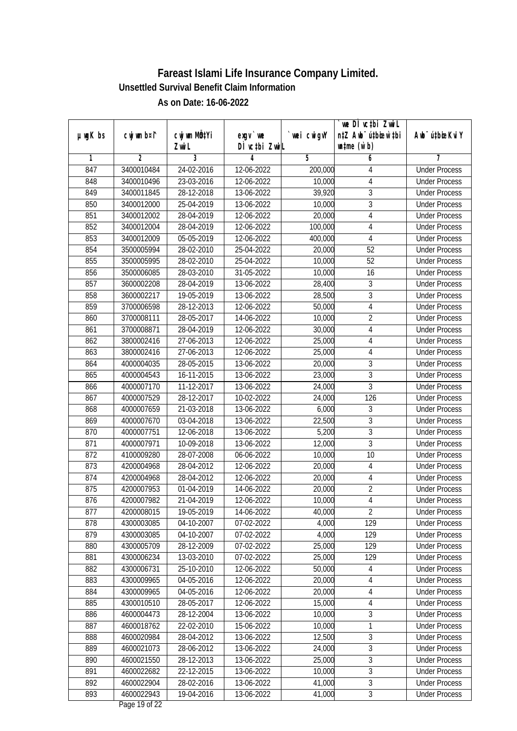| DÌ vctbi ZwiL<br>$\n  untime\n  (u`b)\n$<br>Zwi L<br>3<br>$\overline{2}$<br>5<br>6<br>1<br>4<br>7<br><b>Under Process</b><br>847<br>3400010484<br>24-02-2016<br>12-06-2022<br>200,000<br>4<br>848<br>3400010496<br>23-03-2016<br>12-06-2022<br>10,000<br>4<br><b>Under Process</b><br>$\overline{3}$<br>849<br>3400011845<br>28-12-2018<br>13-06-2022<br>39,920<br><b>Under Process</b><br>$\overline{3}$<br>850<br>3400012000<br>25-04-2019<br>13-06-2022<br>10,000<br><b>Under Process</b><br>851<br>4<br>3400012002<br>28-04-2019<br>12-06-2022<br>20,000<br><b>Under Process</b><br>852<br>3400012004<br>28-04-2019<br>12-06-2022<br>100,000<br>4<br><b>Under Process</b><br>853<br>05-05-2019<br>3400012009<br>400,000<br>4<br>12-06-2022<br><b>Under Process</b><br>854<br>$\overline{52}$<br>3500005994<br>28-02-2010<br>25-04-2022<br>20,000<br><b>Under Process</b><br>855<br>$\overline{52}$<br>3500005995<br>28-02-2010<br>25-04-2022<br>10,000<br><b>Under Process</b><br>856<br>28-03-2010<br>3500006085<br>31-05-2022<br>10,000<br>16<br><b>Under Process</b><br>$\overline{3}$<br>857<br>28,400<br>3600002208<br>28-04-2019<br>13-06-2022<br><b>Under Process</b><br>28,500<br>3<br>858<br>19-05-2019<br>13-06-2022<br>3600002217<br><b>Under Process</b><br>$\overline{4}$<br>859<br>3700006598<br>28-12-2013<br>12-06-2022<br>50,000<br><b>Under Process</b><br>$\overline{2}$<br>860<br>28-05-2017<br>14-06-2022<br>3700008111<br>10,000<br><b>Under Process</b><br>$\overline{4}$<br>861<br>3700008871<br>28-04-2019<br>12-06-2022<br>30,000<br><b>Under Process</b><br>862<br>3800002416<br>27-06-2013<br>12-06-2022<br>25,000<br>4<br><b>Under Process</b><br>863<br>25,000<br>3800002416<br>27-06-2013<br>12-06-2022<br>4<br><b>Under Process</b><br>3<br>864<br>4000004035<br>28-05-2015<br>20,000<br>13-06-2022<br><b>Under Process</b><br>$\overline{3}$<br>865<br>4000004543<br>16-11-2015<br>13-06-2022<br>23,000<br><b>Under Process</b><br>3<br>866<br>4000007170<br>11-12-2017<br>13-06-2022<br>24,000<br><b>Under Process</b><br>126<br>867<br>4000007529<br>28-12-2017<br>10-02-2022<br>24,000<br><b>Under Process</b><br>868<br>21-03-2018<br>13-06-2022<br>6,000<br>3<br>4000007659<br><b>Under Process</b><br>3<br>22,500<br>869<br>4000007670<br>03-04-2018<br>13-06-2022<br><b>Under Process</b><br>$\overline{3}$<br>5,200<br>870<br>4000007751<br>12-06-2018<br>13-06-2022<br><b>Under Process</b><br>$\overline{3}$<br>871<br>4000007971<br>10-09-2018<br>13-06-2022<br>12,000<br><b>Under Process</b><br>872<br>4100009280<br>28-07-2008<br>06-06-2022<br>10,000<br>10<br><b>Under Process</b><br>873<br>4200004968<br>28-04-2012<br>12-06-2022<br>20,000<br>4<br><b>Under Process</b><br>874<br>4200004968<br>28-04-2012<br>20,000<br>4<br>12-06-2022<br><b>Under Process</b><br>$\overline{2}$<br>875<br>4200007953<br>01-04-2019<br>14-06-2022<br>20,000<br><b>Under Process</b><br>$\overline{4}$<br>876<br>10,000<br>4200007982<br>21-04-2019<br>12-06-2022<br><b>Under Process</b><br>877<br>4200008015<br>19-05-2019<br>14-06-2022<br>40,000<br>$\overline{2}$<br><b>Under Process</b><br>4300003085<br>04-10-2007<br>07-02-2022<br>4,000<br>129<br>878<br><b>Under Process</b><br>879<br>4300003085<br>4,000<br>129<br>04-10-2007<br>07-02-2022<br><b>Under Process</b><br>25,000<br>880<br>28-12-2009<br>129<br>4300005709<br>07-02-2022<br><b>Under Process</b><br>881<br>4300006234<br>25,000<br>13-03-2010<br>07-02-2022<br>129<br><b>Under Process</b><br>4300006731<br>25-10-2010<br>50,000<br>882<br>12-06-2022<br><b>Under Process</b><br>4<br>883<br>4300009965<br>20,000<br>$\sqrt{4}$<br>04-05-2016<br>12-06-2022<br><b>Under Process</b><br>20,000<br>884<br>04-05-2016<br>12-06-2022<br>$\sqrt{4}$<br>4300009965<br><b>Under Process</b><br>885<br>15,000<br>$\sqrt{4}$<br>4300010510<br>28-05-2017<br>12-06-2022<br><b>Under Process</b><br>$\overline{3}$<br>886<br>10,000<br>4600004473<br>28-12-2004<br>13-06-2022<br><b>Under Process</b><br>887<br>10,000<br>1<br>4600018762<br>22-02-2010<br>15-06-2022<br><b>Under Process</b><br>3<br>888<br>28-04-2012<br>12,500<br>4600020984<br>13-06-2022<br><b>Under Process</b><br>$\overline{3}$<br>889<br>4600021073<br>28-06-2012<br>$13-06-2022$<br>24,000<br><b>Under Process</b><br>$\overline{3}$<br>25,000<br>28-12-2013<br>890<br>4600021550<br>13-06-2022<br><b>Under Process</b><br>$\overline{3}$<br>891<br>10,000<br>4600022682<br>22-12-2015<br>13-06-2022<br><b>Under Process</b><br>$\overline{3}$<br>892<br>41,000<br>4600022904<br>28-02-2016<br>13-06-2022<br><b>Under Process</b><br>893<br>19-04-2016<br>41,000<br>$\mathfrak{Z}$<br>4600022943<br>13-06-2022<br><b>Under Process</b> |               |             |              |           |             | we DI vctbi Zwil                 |                             |
|-------------------------------------------------------------------------------------------------------------------------------------------------------------------------------------------------------------------------------------------------------------------------------------------------------------------------------------------------------------------------------------------------------------------------------------------------------------------------------------------------------------------------------------------------------------------------------------------------------------------------------------------------------------------------------------------------------------------------------------------------------------------------------------------------------------------------------------------------------------------------------------------------------------------------------------------------------------------------------------------------------------------------------------------------------------------------------------------------------------------------------------------------------------------------------------------------------------------------------------------------------------------------------------------------------------------------------------------------------------------------------------------------------------------------------------------------------------------------------------------------------------------------------------------------------------------------------------------------------------------------------------------------------------------------------------------------------------------------------------------------------------------------------------------------------------------------------------------------------------------------------------------------------------------------------------------------------------------------------------------------------------------------------------------------------------------------------------------------------------------------------------------------------------------------------------------------------------------------------------------------------------------------------------------------------------------------------------------------------------------------------------------------------------------------------------------------------------------------------------------------------------------------------------------------------------------------------------------------------------------------------------------------------------------------------------------------------------------------------------------------------------------------------------------------------------------------------------------------------------------------------------------------------------------------------------------------------------------------------------------------------------------------------------------------------------------------------------------------------------------------------------------------------------------------------------------------------------------------------------------------------------------------------------------------------------------------------------------------------------------------------------------------------------------------------------------------------------------------------------------------------------------------------------------------------------------------------------------------------------------------------------------------------------------------------------------------------------------------------------------------------------------------------------------------------------------------------------------------------------------------------------------------------------------------------------------------------------------------------------------------------------------------------------------------------------------------------------------------------------------------------------------------------------------------------------------------------------------------------------------------------------------------------------------------------------------------------------------------------------------------------------------------------------------------------------------------------------------------------------------------------------------------------------------------------------------------------------------------------------------------------------------------------------------------------------------------------------------------|---------------|-------------|--------------|-----------|-------------|----------------------------------|-----------------------------|
|                                                                                                                                                                                                                                                                                                                                                                                                                                                                                                                                                                                                                                                                                                                                                                                                                                                                                                                                                                                                                                                                                                                                                                                                                                                                                                                                                                                                                                                                                                                                                                                                                                                                                                                                                                                                                                                                                                                                                                                                                                                                                                                                                                                                                                                                                                                                                                                                                                                                                                                                                                                                                                                                                                                                                                                                                                                                                                                                                                                                                                                                                                                                                                                                                                                                                                                                                                                                                                                                                                                                                                                                                                                                                                                                                                                                                                                                                                                                                                                                                                                                                                                                                                                                                                                                                                                                                                                                                                                                                                                                                                                                                                                                                                                         | $µ$ ug $K$ bs | cwj wm b¤i^ | cwj wm MQtYi | $exgV$ we | `wei cwigvY | n‡Z Awb <sup>-</sup> ú‡bioar`‡bi | Awb <sup>-</sup> ú‡bioeKviY |
|                                                                                                                                                                                                                                                                                                                                                                                                                                                                                                                                                                                                                                                                                                                                                                                                                                                                                                                                                                                                                                                                                                                                                                                                                                                                                                                                                                                                                                                                                                                                                                                                                                                                                                                                                                                                                                                                                                                                                                                                                                                                                                                                                                                                                                                                                                                                                                                                                                                                                                                                                                                                                                                                                                                                                                                                                                                                                                                                                                                                                                                                                                                                                                                                                                                                                                                                                                                                                                                                                                                                                                                                                                                                                                                                                                                                                                                                                                                                                                                                                                                                                                                                                                                                                                                                                                                                                                                                                                                                                                                                                                                                                                                                                                                         |               |             |              |           |             |                                  |                             |
|                                                                                                                                                                                                                                                                                                                                                                                                                                                                                                                                                                                                                                                                                                                                                                                                                                                                                                                                                                                                                                                                                                                                                                                                                                                                                                                                                                                                                                                                                                                                                                                                                                                                                                                                                                                                                                                                                                                                                                                                                                                                                                                                                                                                                                                                                                                                                                                                                                                                                                                                                                                                                                                                                                                                                                                                                                                                                                                                                                                                                                                                                                                                                                                                                                                                                                                                                                                                                                                                                                                                                                                                                                                                                                                                                                                                                                                                                                                                                                                                                                                                                                                                                                                                                                                                                                                                                                                                                                                                                                                                                                                                                                                                                                                         |               |             |              |           |             |                                  |                             |
|                                                                                                                                                                                                                                                                                                                                                                                                                                                                                                                                                                                                                                                                                                                                                                                                                                                                                                                                                                                                                                                                                                                                                                                                                                                                                                                                                                                                                                                                                                                                                                                                                                                                                                                                                                                                                                                                                                                                                                                                                                                                                                                                                                                                                                                                                                                                                                                                                                                                                                                                                                                                                                                                                                                                                                                                                                                                                                                                                                                                                                                                                                                                                                                                                                                                                                                                                                                                                                                                                                                                                                                                                                                                                                                                                                                                                                                                                                                                                                                                                                                                                                                                                                                                                                                                                                                                                                                                                                                                                                                                                                                                                                                                                                                         |               |             |              |           |             |                                  |                             |
|                                                                                                                                                                                                                                                                                                                                                                                                                                                                                                                                                                                                                                                                                                                                                                                                                                                                                                                                                                                                                                                                                                                                                                                                                                                                                                                                                                                                                                                                                                                                                                                                                                                                                                                                                                                                                                                                                                                                                                                                                                                                                                                                                                                                                                                                                                                                                                                                                                                                                                                                                                                                                                                                                                                                                                                                                                                                                                                                                                                                                                                                                                                                                                                                                                                                                                                                                                                                                                                                                                                                                                                                                                                                                                                                                                                                                                                                                                                                                                                                                                                                                                                                                                                                                                                                                                                                                                                                                                                                                                                                                                                                                                                                                                                         |               |             |              |           |             |                                  |                             |
|                                                                                                                                                                                                                                                                                                                                                                                                                                                                                                                                                                                                                                                                                                                                                                                                                                                                                                                                                                                                                                                                                                                                                                                                                                                                                                                                                                                                                                                                                                                                                                                                                                                                                                                                                                                                                                                                                                                                                                                                                                                                                                                                                                                                                                                                                                                                                                                                                                                                                                                                                                                                                                                                                                                                                                                                                                                                                                                                                                                                                                                                                                                                                                                                                                                                                                                                                                                                                                                                                                                                                                                                                                                                                                                                                                                                                                                                                                                                                                                                                                                                                                                                                                                                                                                                                                                                                                                                                                                                                                                                                                                                                                                                                                                         |               |             |              |           |             |                                  |                             |
|                                                                                                                                                                                                                                                                                                                                                                                                                                                                                                                                                                                                                                                                                                                                                                                                                                                                                                                                                                                                                                                                                                                                                                                                                                                                                                                                                                                                                                                                                                                                                                                                                                                                                                                                                                                                                                                                                                                                                                                                                                                                                                                                                                                                                                                                                                                                                                                                                                                                                                                                                                                                                                                                                                                                                                                                                                                                                                                                                                                                                                                                                                                                                                                                                                                                                                                                                                                                                                                                                                                                                                                                                                                                                                                                                                                                                                                                                                                                                                                                                                                                                                                                                                                                                                                                                                                                                                                                                                                                                                                                                                                                                                                                                                                         |               |             |              |           |             |                                  |                             |
|                                                                                                                                                                                                                                                                                                                                                                                                                                                                                                                                                                                                                                                                                                                                                                                                                                                                                                                                                                                                                                                                                                                                                                                                                                                                                                                                                                                                                                                                                                                                                                                                                                                                                                                                                                                                                                                                                                                                                                                                                                                                                                                                                                                                                                                                                                                                                                                                                                                                                                                                                                                                                                                                                                                                                                                                                                                                                                                                                                                                                                                                                                                                                                                                                                                                                                                                                                                                                                                                                                                                                                                                                                                                                                                                                                                                                                                                                                                                                                                                                                                                                                                                                                                                                                                                                                                                                                                                                                                                                                                                                                                                                                                                                                                         |               |             |              |           |             |                                  |                             |
|                                                                                                                                                                                                                                                                                                                                                                                                                                                                                                                                                                                                                                                                                                                                                                                                                                                                                                                                                                                                                                                                                                                                                                                                                                                                                                                                                                                                                                                                                                                                                                                                                                                                                                                                                                                                                                                                                                                                                                                                                                                                                                                                                                                                                                                                                                                                                                                                                                                                                                                                                                                                                                                                                                                                                                                                                                                                                                                                                                                                                                                                                                                                                                                                                                                                                                                                                                                                                                                                                                                                                                                                                                                                                                                                                                                                                                                                                                                                                                                                                                                                                                                                                                                                                                                                                                                                                                                                                                                                                                                                                                                                                                                                                                                         |               |             |              |           |             |                                  |                             |
|                                                                                                                                                                                                                                                                                                                                                                                                                                                                                                                                                                                                                                                                                                                                                                                                                                                                                                                                                                                                                                                                                                                                                                                                                                                                                                                                                                                                                                                                                                                                                                                                                                                                                                                                                                                                                                                                                                                                                                                                                                                                                                                                                                                                                                                                                                                                                                                                                                                                                                                                                                                                                                                                                                                                                                                                                                                                                                                                                                                                                                                                                                                                                                                                                                                                                                                                                                                                                                                                                                                                                                                                                                                                                                                                                                                                                                                                                                                                                                                                                                                                                                                                                                                                                                                                                                                                                                                                                                                                                                                                                                                                                                                                                                                         |               |             |              |           |             |                                  |                             |
|                                                                                                                                                                                                                                                                                                                                                                                                                                                                                                                                                                                                                                                                                                                                                                                                                                                                                                                                                                                                                                                                                                                                                                                                                                                                                                                                                                                                                                                                                                                                                                                                                                                                                                                                                                                                                                                                                                                                                                                                                                                                                                                                                                                                                                                                                                                                                                                                                                                                                                                                                                                                                                                                                                                                                                                                                                                                                                                                                                                                                                                                                                                                                                                                                                                                                                                                                                                                                                                                                                                                                                                                                                                                                                                                                                                                                                                                                                                                                                                                                                                                                                                                                                                                                                                                                                                                                                                                                                                                                                                                                                                                                                                                                                                         |               |             |              |           |             |                                  |                             |
|                                                                                                                                                                                                                                                                                                                                                                                                                                                                                                                                                                                                                                                                                                                                                                                                                                                                                                                                                                                                                                                                                                                                                                                                                                                                                                                                                                                                                                                                                                                                                                                                                                                                                                                                                                                                                                                                                                                                                                                                                                                                                                                                                                                                                                                                                                                                                                                                                                                                                                                                                                                                                                                                                                                                                                                                                                                                                                                                                                                                                                                                                                                                                                                                                                                                                                                                                                                                                                                                                                                                                                                                                                                                                                                                                                                                                                                                                                                                                                                                                                                                                                                                                                                                                                                                                                                                                                                                                                                                                                                                                                                                                                                                                                                         |               |             |              |           |             |                                  |                             |
|                                                                                                                                                                                                                                                                                                                                                                                                                                                                                                                                                                                                                                                                                                                                                                                                                                                                                                                                                                                                                                                                                                                                                                                                                                                                                                                                                                                                                                                                                                                                                                                                                                                                                                                                                                                                                                                                                                                                                                                                                                                                                                                                                                                                                                                                                                                                                                                                                                                                                                                                                                                                                                                                                                                                                                                                                                                                                                                                                                                                                                                                                                                                                                                                                                                                                                                                                                                                                                                                                                                                                                                                                                                                                                                                                                                                                                                                                                                                                                                                                                                                                                                                                                                                                                                                                                                                                                                                                                                                                                                                                                                                                                                                                                                         |               |             |              |           |             |                                  |                             |
|                                                                                                                                                                                                                                                                                                                                                                                                                                                                                                                                                                                                                                                                                                                                                                                                                                                                                                                                                                                                                                                                                                                                                                                                                                                                                                                                                                                                                                                                                                                                                                                                                                                                                                                                                                                                                                                                                                                                                                                                                                                                                                                                                                                                                                                                                                                                                                                                                                                                                                                                                                                                                                                                                                                                                                                                                                                                                                                                                                                                                                                                                                                                                                                                                                                                                                                                                                                                                                                                                                                                                                                                                                                                                                                                                                                                                                                                                                                                                                                                                                                                                                                                                                                                                                                                                                                                                                                                                                                                                                                                                                                                                                                                                                                         |               |             |              |           |             |                                  |                             |
|                                                                                                                                                                                                                                                                                                                                                                                                                                                                                                                                                                                                                                                                                                                                                                                                                                                                                                                                                                                                                                                                                                                                                                                                                                                                                                                                                                                                                                                                                                                                                                                                                                                                                                                                                                                                                                                                                                                                                                                                                                                                                                                                                                                                                                                                                                                                                                                                                                                                                                                                                                                                                                                                                                                                                                                                                                                                                                                                                                                                                                                                                                                                                                                                                                                                                                                                                                                                                                                                                                                                                                                                                                                                                                                                                                                                                                                                                                                                                                                                                                                                                                                                                                                                                                                                                                                                                                                                                                                                                                                                                                                                                                                                                                                         |               |             |              |           |             |                                  |                             |
|                                                                                                                                                                                                                                                                                                                                                                                                                                                                                                                                                                                                                                                                                                                                                                                                                                                                                                                                                                                                                                                                                                                                                                                                                                                                                                                                                                                                                                                                                                                                                                                                                                                                                                                                                                                                                                                                                                                                                                                                                                                                                                                                                                                                                                                                                                                                                                                                                                                                                                                                                                                                                                                                                                                                                                                                                                                                                                                                                                                                                                                                                                                                                                                                                                                                                                                                                                                                                                                                                                                                                                                                                                                                                                                                                                                                                                                                                                                                                                                                                                                                                                                                                                                                                                                                                                                                                                                                                                                                                                                                                                                                                                                                                                                         |               |             |              |           |             |                                  |                             |
|                                                                                                                                                                                                                                                                                                                                                                                                                                                                                                                                                                                                                                                                                                                                                                                                                                                                                                                                                                                                                                                                                                                                                                                                                                                                                                                                                                                                                                                                                                                                                                                                                                                                                                                                                                                                                                                                                                                                                                                                                                                                                                                                                                                                                                                                                                                                                                                                                                                                                                                                                                                                                                                                                                                                                                                                                                                                                                                                                                                                                                                                                                                                                                                                                                                                                                                                                                                                                                                                                                                                                                                                                                                                                                                                                                                                                                                                                                                                                                                                                                                                                                                                                                                                                                                                                                                                                                                                                                                                                                                                                                                                                                                                                                                         |               |             |              |           |             |                                  |                             |
|                                                                                                                                                                                                                                                                                                                                                                                                                                                                                                                                                                                                                                                                                                                                                                                                                                                                                                                                                                                                                                                                                                                                                                                                                                                                                                                                                                                                                                                                                                                                                                                                                                                                                                                                                                                                                                                                                                                                                                                                                                                                                                                                                                                                                                                                                                                                                                                                                                                                                                                                                                                                                                                                                                                                                                                                                                                                                                                                                                                                                                                                                                                                                                                                                                                                                                                                                                                                                                                                                                                                                                                                                                                                                                                                                                                                                                                                                                                                                                                                                                                                                                                                                                                                                                                                                                                                                                                                                                                                                                                                                                                                                                                                                                                         |               |             |              |           |             |                                  |                             |
|                                                                                                                                                                                                                                                                                                                                                                                                                                                                                                                                                                                                                                                                                                                                                                                                                                                                                                                                                                                                                                                                                                                                                                                                                                                                                                                                                                                                                                                                                                                                                                                                                                                                                                                                                                                                                                                                                                                                                                                                                                                                                                                                                                                                                                                                                                                                                                                                                                                                                                                                                                                                                                                                                                                                                                                                                                                                                                                                                                                                                                                                                                                                                                                                                                                                                                                                                                                                                                                                                                                                                                                                                                                                                                                                                                                                                                                                                                                                                                                                                                                                                                                                                                                                                                                                                                                                                                                                                                                                                                                                                                                                                                                                                                                         |               |             |              |           |             |                                  |                             |
|                                                                                                                                                                                                                                                                                                                                                                                                                                                                                                                                                                                                                                                                                                                                                                                                                                                                                                                                                                                                                                                                                                                                                                                                                                                                                                                                                                                                                                                                                                                                                                                                                                                                                                                                                                                                                                                                                                                                                                                                                                                                                                                                                                                                                                                                                                                                                                                                                                                                                                                                                                                                                                                                                                                                                                                                                                                                                                                                                                                                                                                                                                                                                                                                                                                                                                                                                                                                                                                                                                                                                                                                                                                                                                                                                                                                                                                                                                                                                                                                                                                                                                                                                                                                                                                                                                                                                                                                                                                                                                                                                                                                                                                                                                                         |               |             |              |           |             |                                  |                             |
|                                                                                                                                                                                                                                                                                                                                                                                                                                                                                                                                                                                                                                                                                                                                                                                                                                                                                                                                                                                                                                                                                                                                                                                                                                                                                                                                                                                                                                                                                                                                                                                                                                                                                                                                                                                                                                                                                                                                                                                                                                                                                                                                                                                                                                                                                                                                                                                                                                                                                                                                                                                                                                                                                                                                                                                                                                                                                                                                                                                                                                                                                                                                                                                                                                                                                                                                                                                                                                                                                                                                                                                                                                                                                                                                                                                                                                                                                                                                                                                                                                                                                                                                                                                                                                                                                                                                                                                                                                                                                                                                                                                                                                                                                                                         |               |             |              |           |             |                                  |                             |
|                                                                                                                                                                                                                                                                                                                                                                                                                                                                                                                                                                                                                                                                                                                                                                                                                                                                                                                                                                                                                                                                                                                                                                                                                                                                                                                                                                                                                                                                                                                                                                                                                                                                                                                                                                                                                                                                                                                                                                                                                                                                                                                                                                                                                                                                                                                                                                                                                                                                                                                                                                                                                                                                                                                                                                                                                                                                                                                                                                                                                                                                                                                                                                                                                                                                                                                                                                                                                                                                                                                                                                                                                                                                                                                                                                                                                                                                                                                                                                                                                                                                                                                                                                                                                                                                                                                                                                                                                                                                                                                                                                                                                                                                                                                         |               |             |              |           |             |                                  |                             |
|                                                                                                                                                                                                                                                                                                                                                                                                                                                                                                                                                                                                                                                                                                                                                                                                                                                                                                                                                                                                                                                                                                                                                                                                                                                                                                                                                                                                                                                                                                                                                                                                                                                                                                                                                                                                                                                                                                                                                                                                                                                                                                                                                                                                                                                                                                                                                                                                                                                                                                                                                                                                                                                                                                                                                                                                                                                                                                                                                                                                                                                                                                                                                                                                                                                                                                                                                                                                                                                                                                                                                                                                                                                                                                                                                                                                                                                                                                                                                                                                                                                                                                                                                                                                                                                                                                                                                                                                                                                                                                                                                                                                                                                                                                                         |               |             |              |           |             |                                  |                             |
|                                                                                                                                                                                                                                                                                                                                                                                                                                                                                                                                                                                                                                                                                                                                                                                                                                                                                                                                                                                                                                                                                                                                                                                                                                                                                                                                                                                                                                                                                                                                                                                                                                                                                                                                                                                                                                                                                                                                                                                                                                                                                                                                                                                                                                                                                                                                                                                                                                                                                                                                                                                                                                                                                                                                                                                                                                                                                                                                                                                                                                                                                                                                                                                                                                                                                                                                                                                                                                                                                                                                                                                                                                                                                                                                                                                                                                                                                                                                                                                                                                                                                                                                                                                                                                                                                                                                                                                                                                                                                                                                                                                                                                                                                                                         |               |             |              |           |             |                                  |                             |
|                                                                                                                                                                                                                                                                                                                                                                                                                                                                                                                                                                                                                                                                                                                                                                                                                                                                                                                                                                                                                                                                                                                                                                                                                                                                                                                                                                                                                                                                                                                                                                                                                                                                                                                                                                                                                                                                                                                                                                                                                                                                                                                                                                                                                                                                                                                                                                                                                                                                                                                                                                                                                                                                                                                                                                                                                                                                                                                                                                                                                                                                                                                                                                                                                                                                                                                                                                                                                                                                                                                                                                                                                                                                                                                                                                                                                                                                                                                                                                                                                                                                                                                                                                                                                                                                                                                                                                                                                                                                                                                                                                                                                                                                                                                         |               |             |              |           |             |                                  |                             |
|                                                                                                                                                                                                                                                                                                                                                                                                                                                                                                                                                                                                                                                                                                                                                                                                                                                                                                                                                                                                                                                                                                                                                                                                                                                                                                                                                                                                                                                                                                                                                                                                                                                                                                                                                                                                                                                                                                                                                                                                                                                                                                                                                                                                                                                                                                                                                                                                                                                                                                                                                                                                                                                                                                                                                                                                                                                                                                                                                                                                                                                                                                                                                                                                                                                                                                                                                                                                                                                                                                                                                                                                                                                                                                                                                                                                                                                                                                                                                                                                                                                                                                                                                                                                                                                                                                                                                                                                                                                                                                                                                                                                                                                                                                                         |               |             |              |           |             |                                  |                             |
|                                                                                                                                                                                                                                                                                                                                                                                                                                                                                                                                                                                                                                                                                                                                                                                                                                                                                                                                                                                                                                                                                                                                                                                                                                                                                                                                                                                                                                                                                                                                                                                                                                                                                                                                                                                                                                                                                                                                                                                                                                                                                                                                                                                                                                                                                                                                                                                                                                                                                                                                                                                                                                                                                                                                                                                                                                                                                                                                                                                                                                                                                                                                                                                                                                                                                                                                                                                                                                                                                                                                                                                                                                                                                                                                                                                                                                                                                                                                                                                                                                                                                                                                                                                                                                                                                                                                                                                                                                                                                                                                                                                                                                                                                                                         |               |             |              |           |             |                                  |                             |
|                                                                                                                                                                                                                                                                                                                                                                                                                                                                                                                                                                                                                                                                                                                                                                                                                                                                                                                                                                                                                                                                                                                                                                                                                                                                                                                                                                                                                                                                                                                                                                                                                                                                                                                                                                                                                                                                                                                                                                                                                                                                                                                                                                                                                                                                                                                                                                                                                                                                                                                                                                                                                                                                                                                                                                                                                                                                                                                                                                                                                                                                                                                                                                                                                                                                                                                                                                                                                                                                                                                                                                                                                                                                                                                                                                                                                                                                                                                                                                                                                                                                                                                                                                                                                                                                                                                                                                                                                                                                                                                                                                                                                                                                                                                         |               |             |              |           |             |                                  |                             |
|                                                                                                                                                                                                                                                                                                                                                                                                                                                                                                                                                                                                                                                                                                                                                                                                                                                                                                                                                                                                                                                                                                                                                                                                                                                                                                                                                                                                                                                                                                                                                                                                                                                                                                                                                                                                                                                                                                                                                                                                                                                                                                                                                                                                                                                                                                                                                                                                                                                                                                                                                                                                                                                                                                                                                                                                                                                                                                                                                                                                                                                                                                                                                                                                                                                                                                                                                                                                                                                                                                                                                                                                                                                                                                                                                                                                                                                                                                                                                                                                                                                                                                                                                                                                                                                                                                                                                                                                                                                                                                                                                                                                                                                                                                                         |               |             |              |           |             |                                  |                             |
|                                                                                                                                                                                                                                                                                                                                                                                                                                                                                                                                                                                                                                                                                                                                                                                                                                                                                                                                                                                                                                                                                                                                                                                                                                                                                                                                                                                                                                                                                                                                                                                                                                                                                                                                                                                                                                                                                                                                                                                                                                                                                                                                                                                                                                                                                                                                                                                                                                                                                                                                                                                                                                                                                                                                                                                                                                                                                                                                                                                                                                                                                                                                                                                                                                                                                                                                                                                                                                                                                                                                                                                                                                                                                                                                                                                                                                                                                                                                                                                                                                                                                                                                                                                                                                                                                                                                                                                                                                                                                                                                                                                                                                                                                                                         |               |             |              |           |             |                                  |                             |
|                                                                                                                                                                                                                                                                                                                                                                                                                                                                                                                                                                                                                                                                                                                                                                                                                                                                                                                                                                                                                                                                                                                                                                                                                                                                                                                                                                                                                                                                                                                                                                                                                                                                                                                                                                                                                                                                                                                                                                                                                                                                                                                                                                                                                                                                                                                                                                                                                                                                                                                                                                                                                                                                                                                                                                                                                                                                                                                                                                                                                                                                                                                                                                                                                                                                                                                                                                                                                                                                                                                                                                                                                                                                                                                                                                                                                                                                                                                                                                                                                                                                                                                                                                                                                                                                                                                                                                                                                                                                                                                                                                                                                                                                                                                         |               |             |              |           |             |                                  |                             |
|                                                                                                                                                                                                                                                                                                                                                                                                                                                                                                                                                                                                                                                                                                                                                                                                                                                                                                                                                                                                                                                                                                                                                                                                                                                                                                                                                                                                                                                                                                                                                                                                                                                                                                                                                                                                                                                                                                                                                                                                                                                                                                                                                                                                                                                                                                                                                                                                                                                                                                                                                                                                                                                                                                                                                                                                                                                                                                                                                                                                                                                                                                                                                                                                                                                                                                                                                                                                                                                                                                                                                                                                                                                                                                                                                                                                                                                                                                                                                                                                                                                                                                                                                                                                                                                                                                                                                                                                                                                                                                                                                                                                                                                                                                                         |               |             |              |           |             |                                  |                             |
|                                                                                                                                                                                                                                                                                                                                                                                                                                                                                                                                                                                                                                                                                                                                                                                                                                                                                                                                                                                                                                                                                                                                                                                                                                                                                                                                                                                                                                                                                                                                                                                                                                                                                                                                                                                                                                                                                                                                                                                                                                                                                                                                                                                                                                                                                                                                                                                                                                                                                                                                                                                                                                                                                                                                                                                                                                                                                                                                                                                                                                                                                                                                                                                                                                                                                                                                                                                                                                                                                                                                                                                                                                                                                                                                                                                                                                                                                                                                                                                                                                                                                                                                                                                                                                                                                                                                                                                                                                                                                                                                                                                                                                                                                                                         |               |             |              |           |             |                                  |                             |
|                                                                                                                                                                                                                                                                                                                                                                                                                                                                                                                                                                                                                                                                                                                                                                                                                                                                                                                                                                                                                                                                                                                                                                                                                                                                                                                                                                                                                                                                                                                                                                                                                                                                                                                                                                                                                                                                                                                                                                                                                                                                                                                                                                                                                                                                                                                                                                                                                                                                                                                                                                                                                                                                                                                                                                                                                                                                                                                                                                                                                                                                                                                                                                                                                                                                                                                                                                                                                                                                                                                                                                                                                                                                                                                                                                                                                                                                                                                                                                                                                                                                                                                                                                                                                                                                                                                                                                                                                                                                                                                                                                                                                                                                                                                         |               |             |              |           |             |                                  |                             |
|                                                                                                                                                                                                                                                                                                                                                                                                                                                                                                                                                                                                                                                                                                                                                                                                                                                                                                                                                                                                                                                                                                                                                                                                                                                                                                                                                                                                                                                                                                                                                                                                                                                                                                                                                                                                                                                                                                                                                                                                                                                                                                                                                                                                                                                                                                                                                                                                                                                                                                                                                                                                                                                                                                                                                                                                                                                                                                                                                                                                                                                                                                                                                                                                                                                                                                                                                                                                                                                                                                                                                                                                                                                                                                                                                                                                                                                                                                                                                                                                                                                                                                                                                                                                                                                                                                                                                                                                                                                                                                                                                                                                                                                                                                                         |               |             |              |           |             |                                  |                             |
|                                                                                                                                                                                                                                                                                                                                                                                                                                                                                                                                                                                                                                                                                                                                                                                                                                                                                                                                                                                                                                                                                                                                                                                                                                                                                                                                                                                                                                                                                                                                                                                                                                                                                                                                                                                                                                                                                                                                                                                                                                                                                                                                                                                                                                                                                                                                                                                                                                                                                                                                                                                                                                                                                                                                                                                                                                                                                                                                                                                                                                                                                                                                                                                                                                                                                                                                                                                                                                                                                                                                                                                                                                                                                                                                                                                                                                                                                                                                                                                                                                                                                                                                                                                                                                                                                                                                                                                                                                                                                                                                                                                                                                                                                                                         |               |             |              |           |             |                                  |                             |
|                                                                                                                                                                                                                                                                                                                                                                                                                                                                                                                                                                                                                                                                                                                                                                                                                                                                                                                                                                                                                                                                                                                                                                                                                                                                                                                                                                                                                                                                                                                                                                                                                                                                                                                                                                                                                                                                                                                                                                                                                                                                                                                                                                                                                                                                                                                                                                                                                                                                                                                                                                                                                                                                                                                                                                                                                                                                                                                                                                                                                                                                                                                                                                                                                                                                                                                                                                                                                                                                                                                                                                                                                                                                                                                                                                                                                                                                                                                                                                                                                                                                                                                                                                                                                                                                                                                                                                                                                                                                                                                                                                                                                                                                                                                         |               |             |              |           |             |                                  |                             |
|                                                                                                                                                                                                                                                                                                                                                                                                                                                                                                                                                                                                                                                                                                                                                                                                                                                                                                                                                                                                                                                                                                                                                                                                                                                                                                                                                                                                                                                                                                                                                                                                                                                                                                                                                                                                                                                                                                                                                                                                                                                                                                                                                                                                                                                                                                                                                                                                                                                                                                                                                                                                                                                                                                                                                                                                                                                                                                                                                                                                                                                                                                                                                                                                                                                                                                                                                                                                                                                                                                                                                                                                                                                                                                                                                                                                                                                                                                                                                                                                                                                                                                                                                                                                                                                                                                                                                                                                                                                                                                                                                                                                                                                                                                                         |               |             |              |           |             |                                  |                             |
|                                                                                                                                                                                                                                                                                                                                                                                                                                                                                                                                                                                                                                                                                                                                                                                                                                                                                                                                                                                                                                                                                                                                                                                                                                                                                                                                                                                                                                                                                                                                                                                                                                                                                                                                                                                                                                                                                                                                                                                                                                                                                                                                                                                                                                                                                                                                                                                                                                                                                                                                                                                                                                                                                                                                                                                                                                                                                                                                                                                                                                                                                                                                                                                                                                                                                                                                                                                                                                                                                                                                                                                                                                                                                                                                                                                                                                                                                                                                                                                                                                                                                                                                                                                                                                                                                                                                                                                                                                                                                                                                                                                                                                                                                                                         |               |             |              |           |             |                                  |                             |
|                                                                                                                                                                                                                                                                                                                                                                                                                                                                                                                                                                                                                                                                                                                                                                                                                                                                                                                                                                                                                                                                                                                                                                                                                                                                                                                                                                                                                                                                                                                                                                                                                                                                                                                                                                                                                                                                                                                                                                                                                                                                                                                                                                                                                                                                                                                                                                                                                                                                                                                                                                                                                                                                                                                                                                                                                                                                                                                                                                                                                                                                                                                                                                                                                                                                                                                                                                                                                                                                                                                                                                                                                                                                                                                                                                                                                                                                                                                                                                                                                                                                                                                                                                                                                                                                                                                                                                                                                                                                                                                                                                                                                                                                                                                         |               |             |              |           |             |                                  |                             |
|                                                                                                                                                                                                                                                                                                                                                                                                                                                                                                                                                                                                                                                                                                                                                                                                                                                                                                                                                                                                                                                                                                                                                                                                                                                                                                                                                                                                                                                                                                                                                                                                                                                                                                                                                                                                                                                                                                                                                                                                                                                                                                                                                                                                                                                                                                                                                                                                                                                                                                                                                                                                                                                                                                                                                                                                                                                                                                                                                                                                                                                                                                                                                                                                                                                                                                                                                                                                                                                                                                                                                                                                                                                                                                                                                                                                                                                                                                                                                                                                                                                                                                                                                                                                                                                                                                                                                                                                                                                                                                                                                                                                                                                                                                                         |               |             |              |           |             |                                  |                             |
|                                                                                                                                                                                                                                                                                                                                                                                                                                                                                                                                                                                                                                                                                                                                                                                                                                                                                                                                                                                                                                                                                                                                                                                                                                                                                                                                                                                                                                                                                                                                                                                                                                                                                                                                                                                                                                                                                                                                                                                                                                                                                                                                                                                                                                                                                                                                                                                                                                                                                                                                                                                                                                                                                                                                                                                                                                                                                                                                                                                                                                                                                                                                                                                                                                                                                                                                                                                                                                                                                                                                                                                                                                                                                                                                                                                                                                                                                                                                                                                                                                                                                                                                                                                                                                                                                                                                                                                                                                                                                                                                                                                                                                                                                                                         |               |             |              |           |             |                                  |                             |
|                                                                                                                                                                                                                                                                                                                                                                                                                                                                                                                                                                                                                                                                                                                                                                                                                                                                                                                                                                                                                                                                                                                                                                                                                                                                                                                                                                                                                                                                                                                                                                                                                                                                                                                                                                                                                                                                                                                                                                                                                                                                                                                                                                                                                                                                                                                                                                                                                                                                                                                                                                                                                                                                                                                                                                                                                                                                                                                                                                                                                                                                                                                                                                                                                                                                                                                                                                                                                                                                                                                                                                                                                                                                                                                                                                                                                                                                                                                                                                                                                                                                                                                                                                                                                                                                                                                                                                                                                                                                                                                                                                                                                                                                                                                         |               |             |              |           |             |                                  |                             |
|                                                                                                                                                                                                                                                                                                                                                                                                                                                                                                                                                                                                                                                                                                                                                                                                                                                                                                                                                                                                                                                                                                                                                                                                                                                                                                                                                                                                                                                                                                                                                                                                                                                                                                                                                                                                                                                                                                                                                                                                                                                                                                                                                                                                                                                                                                                                                                                                                                                                                                                                                                                                                                                                                                                                                                                                                                                                                                                                                                                                                                                                                                                                                                                                                                                                                                                                                                                                                                                                                                                                                                                                                                                                                                                                                                                                                                                                                                                                                                                                                                                                                                                                                                                                                                                                                                                                                                                                                                                                                                                                                                                                                                                                                                                         |               |             |              |           |             |                                  |                             |
|                                                                                                                                                                                                                                                                                                                                                                                                                                                                                                                                                                                                                                                                                                                                                                                                                                                                                                                                                                                                                                                                                                                                                                                                                                                                                                                                                                                                                                                                                                                                                                                                                                                                                                                                                                                                                                                                                                                                                                                                                                                                                                                                                                                                                                                                                                                                                                                                                                                                                                                                                                                                                                                                                                                                                                                                                                                                                                                                                                                                                                                                                                                                                                                                                                                                                                                                                                                                                                                                                                                                                                                                                                                                                                                                                                                                                                                                                                                                                                                                                                                                                                                                                                                                                                                                                                                                                                                                                                                                                                                                                                                                                                                                                                                         |               |             |              |           |             |                                  |                             |
|                                                                                                                                                                                                                                                                                                                                                                                                                                                                                                                                                                                                                                                                                                                                                                                                                                                                                                                                                                                                                                                                                                                                                                                                                                                                                                                                                                                                                                                                                                                                                                                                                                                                                                                                                                                                                                                                                                                                                                                                                                                                                                                                                                                                                                                                                                                                                                                                                                                                                                                                                                                                                                                                                                                                                                                                                                                                                                                                                                                                                                                                                                                                                                                                                                                                                                                                                                                                                                                                                                                                                                                                                                                                                                                                                                                                                                                                                                                                                                                                                                                                                                                                                                                                                                                                                                                                                                                                                                                                                                                                                                                                                                                                                                                         |               |             |              |           |             |                                  |                             |
|                                                                                                                                                                                                                                                                                                                                                                                                                                                                                                                                                                                                                                                                                                                                                                                                                                                                                                                                                                                                                                                                                                                                                                                                                                                                                                                                                                                                                                                                                                                                                                                                                                                                                                                                                                                                                                                                                                                                                                                                                                                                                                                                                                                                                                                                                                                                                                                                                                                                                                                                                                                                                                                                                                                                                                                                                                                                                                                                                                                                                                                                                                                                                                                                                                                                                                                                                                                                                                                                                                                                                                                                                                                                                                                                                                                                                                                                                                                                                                                                                                                                                                                                                                                                                                                                                                                                                                                                                                                                                                                                                                                                                                                                                                                         |               |             |              |           |             |                                  |                             |
|                                                                                                                                                                                                                                                                                                                                                                                                                                                                                                                                                                                                                                                                                                                                                                                                                                                                                                                                                                                                                                                                                                                                                                                                                                                                                                                                                                                                                                                                                                                                                                                                                                                                                                                                                                                                                                                                                                                                                                                                                                                                                                                                                                                                                                                                                                                                                                                                                                                                                                                                                                                                                                                                                                                                                                                                                                                                                                                                                                                                                                                                                                                                                                                                                                                                                                                                                                                                                                                                                                                                                                                                                                                                                                                                                                                                                                                                                                                                                                                                                                                                                                                                                                                                                                                                                                                                                                                                                                                                                                                                                                                                                                                                                                                         |               |             |              |           |             |                                  |                             |
|                                                                                                                                                                                                                                                                                                                                                                                                                                                                                                                                                                                                                                                                                                                                                                                                                                                                                                                                                                                                                                                                                                                                                                                                                                                                                                                                                                                                                                                                                                                                                                                                                                                                                                                                                                                                                                                                                                                                                                                                                                                                                                                                                                                                                                                                                                                                                                                                                                                                                                                                                                                                                                                                                                                                                                                                                                                                                                                                                                                                                                                                                                                                                                                                                                                                                                                                                                                                                                                                                                                                                                                                                                                                                                                                                                                                                                                                                                                                                                                                                                                                                                                                                                                                                                                                                                                                                                                                                                                                                                                                                                                                                                                                                                                         |               |             |              |           |             |                                  |                             |
|                                                                                                                                                                                                                                                                                                                                                                                                                                                                                                                                                                                                                                                                                                                                                                                                                                                                                                                                                                                                                                                                                                                                                                                                                                                                                                                                                                                                                                                                                                                                                                                                                                                                                                                                                                                                                                                                                                                                                                                                                                                                                                                                                                                                                                                                                                                                                                                                                                                                                                                                                                                                                                                                                                                                                                                                                                                                                                                                                                                                                                                                                                                                                                                                                                                                                                                                                                                                                                                                                                                                                                                                                                                                                                                                                                                                                                                                                                                                                                                                                                                                                                                                                                                                                                                                                                                                                                                                                                                                                                                                                                                                                                                                                                                         |               |             |              |           |             |                                  |                             |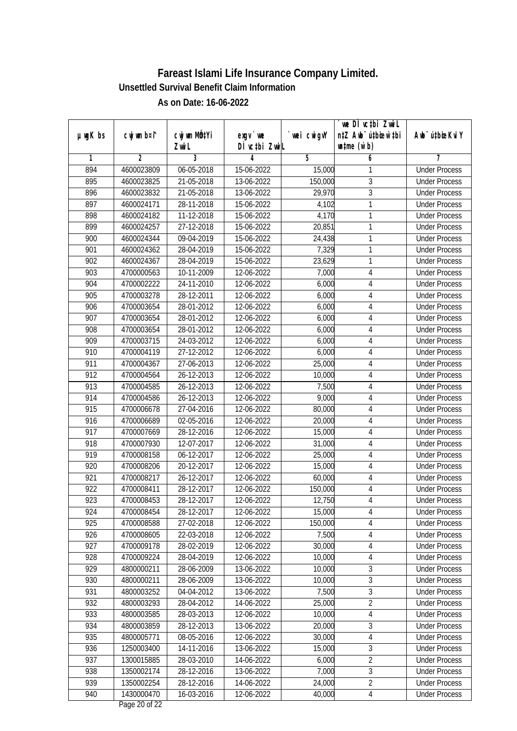|               |                |                  |               |            | we DI vctbi ZwiL                 |                             |
|---------------|----------------|------------------|---------------|------------|----------------------------------|-----------------------------|
| $µ$ ug $K$ bs | cwj wm b¤i^    | cwj wm MQtYi     | $exqu$ we     | wei cwigvY | n‡Z Awb <sup>-</sup> ú‡bioar`‡bi | Awb <sup>-</sup> ú‡bioeKviY |
|               |                | Zwi L            | DÌ vctbi ZwiL |            | $\n  untime\n  (u`b)\n$          |                             |
| 1             | $\overline{2}$ | 3                | 4             | 5          | 6                                | 7                           |
| 894           | 4600023809     | 06-05-2018       | 15-06-2022    | 15,000     | 1                                | <b>Under Process</b>        |
| 895           | 4600023825     | 21-05-2018       | 13-06-2022    | 150,000    | $\overline{3}$                   | <b>Under Process</b>        |
| 896           | 4600023832     | 21-05-2018       | 13-06-2022    | 29,970     | $\overline{3}$                   | <b>Under Process</b>        |
| 897           | 4600024171     | 28-11-2018       | 15-06-2022    | 4,102      | 1                                | <b>Under Process</b>        |
| 898           | 4600024182     | 11-12-2018       | 15-06-2022    | 4,170      | 1                                | <b>Under Process</b>        |
| 899           | 4600024257     | $27 - 12 - 2018$ | 15-06-2022    | 20,851     | 1                                | <b>Under Process</b>        |
| 900           | 4600024344     | 09-04-2019       | 15-06-2022    | 24,438     | 1                                | <b>Under Process</b>        |
| 901           | 4600024362     | 28-04-2019       | 15-06-2022    | 7,329      | 1                                | <b>Under Process</b>        |
| 902           | 4600024367     | 28-04-2019       | 15-06-2022    | 23,629     | 1                                | <b>Under Process</b>        |
| 903           | 4700000563     | 10-11-2009       | 12-06-2022    | 7,000      | $\sqrt{4}$                       | <b>Under Process</b>        |
| 904           | 4700002222     | 24-11-2010       | 12-06-2022    | 6,000      | $\sqrt{4}$                       | <b>Under Process</b>        |
| 905           | 4700003278     | 28-12-2011       | 12-06-2022    | 6,000      | 4                                | <b>Under Process</b>        |
| 906           | 4700003654     | 28-01-2012       | 12-06-2022    | 6,000      | $\overline{4}$                   | <b>Under Process</b>        |
| 907           | 4700003654     | 28-01-2012       | 12-06-2022    | 6,000      | 4                                | <b>Under Process</b>        |
| 908           | 4700003654     | 28-01-2012       | 12-06-2022    | 6,000      | $\overline{4}$                   | <b>Under Process</b>        |
| 909           | 4700003715     | 24-03-2012       | 12-06-2022    | 6,000      | $\sqrt{4}$                       | <b>Under Process</b>        |
| 910           | 4700004119     | 27-12-2012       | 12-06-2022    | 6,000      | $\overline{4}$                   | <b>Under Process</b>        |
| 911           | 4700004367     | 27-06-2013       | 12-06-2022    | 25,000     | $\sqrt{4}$                       | <b>Under Process</b>        |
| 912           | 4700004564     | 26-12-2013       | 12-06-2022    | 10,000     | 4                                | <b>Under Process</b>        |
| 913           | 4700004585     | 26-12-2013       | 12-06-2022    | 7,500      | $\overline{4}$                   | <b>Under Process</b>        |
| 914           | 4700004586     | 26-12-2013       | 12-06-2022    | 9,000      | 4                                | <b>Under Process</b>        |
| 915           | 4700006678     | 27-04-2016       | 12-06-2022    | 80,000     | 4                                | <b>Under Process</b>        |
| 916           | 4700006689     | 02-05-2016       | 12-06-2022    | 20,000     | $\overline{4}$                   | <b>Under Process</b>        |
| 917           | 4700007669     | 28-12-2016       | 12-06-2022    | 15,000     | $\sqrt{4}$                       | <b>Under Process</b>        |
| 918           | 4700007930     | 12-07-2017       | 12-06-2022    | 31,000     | 4                                | <b>Under Process</b>        |
| 919           | 4700008158     | $06 - 12 - 2017$ | 12-06-2022    | 25,000     | 4                                | <b>Under Process</b>        |
| 920           | 4700008206     | 20-12-2017       | 12-06-2022    | 15,000     | 4                                | <b>Under Process</b>        |
| 921           | 4700008217     | 26-12-2017       | 12-06-2022    | 60,000     | 4                                | <b>Under Process</b>        |
| 922           | 4700008411     | 28-12-2017       | 12-06-2022    | 150,000    | 4                                | <b>Under Process</b>        |
| 923           | 4700008453     | 28-12-2017       | 12-06-2022    | 12,750     | 4                                | <b>Under Process</b>        |
| 924           | 4700008454     | 28-12-2017       | 12-06-2022    | 15,000     | 4                                | <b>Under Process</b>        |
| 925           | 4700008588     | 27-02-2018       | 12-06-2022    | 150,000    | 4                                | <b>Under Process</b>        |
| 926           | 4700008605     | 22-03-2018       | 12-06-2022    | 7,500      | $\overline{4}$                   | <b>Under Process</b>        |
| 927           | 4700009178     | 28-02-2019       | 12-06-2022    | 30,000     | 4                                | <b>Under Process</b>        |
| 928           | 4700009224     | 28-04-2019       | 12-06-2022    | 10,000     | 4                                | <b>Under Process</b>        |
| 929           | 4800000211     | 28-06-2009       | 13-06-2022    | 10,000     | $\mathfrak{Z}$                   | <b>Under Process</b>        |
| 930           | 4800000211     | 28-06-2009       | 13-06-2022    | 10,000     | 3                                | <b>Under Process</b>        |
| 931           | 4800003252     | 04-04-2012       | 13-06-2022    | 7,500      | $\overline{3}$                   | <b>Under Process</b>        |
| 932           | 4800003293     | 28-04-2012       | 14-06-2022    | 25,000     | $\overline{2}$                   | <b>Under Process</b>        |
| 933           | 4800003585     | 28-03-2013       | 12-06-2022    | 10,000     | 4                                | <b>Under Process</b>        |
| 934           | 4800003859     | 28-12-2013       | 13-06-2022    | 20,000     | $\sqrt{3}$                       | <b>Under Process</b>        |
| 935           | 4800005771     | 08-05-2016       | 12-06-2022    | 30,000     | $\overline{\mathbf{4}}$          | <b>Under Process</b>        |
| 936           | 1250003400     | 14-11-2016       | 13-06-2022    | 15,000     | $\overline{3}$                   | <b>Under Process</b>        |
| 937           | 1300015885     | 28-03-2010       | 14-06-2022    | 6,000      | $\overline{2}$                   | <b>Under Process</b>        |
| 938           | 1350002174     | 28-12-2016       | 13-06-2022    | 7,000      | $\overline{3}$                   | <b>Under Process</b>        |
| 939           | 1350002254     | 28-12-2016       | 14-06-2022    | 24,000     | $\overline{2}$                   | <b>Under Process</b>        |
| 940           | 1430000470     | 16-03-2016       | 12-06-2022    | 40,000     | $\overline{4}$                   | <b>Under Process</b>        |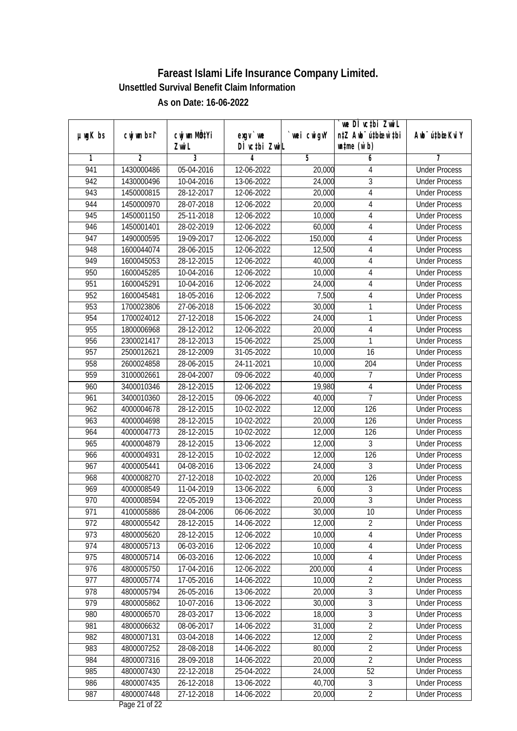|               |             |                          |               |             | `we DÌ vc‡bi ZwwiL               |                             |
|---------------|-------------|--------------------------|---------------|-------------|----------------------------------|-----------------------------|
| $µ$ ug $K$ bs | cwj wm b¤i^ | cwj wm MQtYi             | $exgV$ we     | `wei cwigvY | n‡Z Awb <sup>-</sup> ú‡bioen`‡bi | Awb <sup>-</sup> ú‡bioeKviY |
|               |             | Zwi L                    | DÌ vctbi ZwiL |             | $\n  untime\n  (u`b)\n$          |                             |
| 1             | 2           | 3                        | 4             | 5           | 6                                | 7                           |
| 941           | 1430000486  | 05-04-2016               | 12-06-2022    | 20,000      | 4                                | <b>Under Process</b>        |
| 942           | 1430000496  | 10-04-2016               | 13-06-2022    | 24,000      | $\overline{3}$                   | <b>Under Process</b>        |
| 943           | 1450000815  | 28-12-2017               | 12-06-2022    | 20,000      | $\overline{4}$                   | <b>Under Process</b>        |
| 944           | 1450000970  | 28-07-2018               | 12-06-2022    | 20,000      | 4                                | <b>Under Process</b>        |
| 945           | 1450001150  | 25-11-2018               | 12-06-2022    | 10,000      | 4                                | <b>Under Process</b>        |
| 946           | 1450001401  | 28-02-2019               | 12-06-2022    | 60,000      | 4                                | <b>Under Process</b>        |
| 947           | 1490000595  | 19-09-2017               | 12-06-2022    | 150,000     | 4                                | <b>Under Process</b>        |
| 948           | 1600044074  | 28-06-2015               | 12-06-2022    | 12,500      | $\overline{4}$                   | <b>Under Process</b>        |
| 949           | 1600045053  | 28-12-2015               | 12-06-2022    | 40,000      | 4                                | <b>Under Process</b>        |
| 950           | 1600045285  | 10-04-2016               | 12-06-2022    | 10,000      | 4                                | <b>Under Process</b>        |
| 951           | 1600045291  | $\overline{10}$ -04-2016 | 12-06-2022    | 24,000      | 4                                | <b>Under Process</b>        |
| 952           | 1600045481  | 18-05-2016               | 12-06-2022    | 7,500       | $\overline{4}$                   | <b>Under Process</b>        |
| 953           | 1700023806  | 27-06-2018               | 15-06-2022    | 30,000      | 1                                | <b>Under Process</b>        |
| 954           | 1700024012  | 27-12-2018               | 15-06-2022    | 24,000      | 1                                | <b>Under Process</b>        |
| 955           | 1800006968  | 28-12-2012               | 12-06-2022    | 20,000      | $\overline{4}$                   | <b>Under Process</b>        |
| 956           | 2300021417  | 28-12-2013               | 15-06-2022    | 25,000      | 1                                | <b>Under Process</b>        |
| 957           | 2500012621  | 28-12-2009               | 31-05-2022    | 10,000      | 16                               | <b>Under Process</b>        |
| 958           | 2600024858  | 28-06-2015               | 24-11-2021    | 10,000      | 204                              | <b>Under Process</b>        |
| 959           | 3100002661  | 28-04-2007               | 09-06-2022    | 40,000      | 7                                | <b>Under Process</b>        |
| 960           | 3400010346  | 28-12-2015               | 12-06-2022    | 19,980      | $\overline{4}$                   | <b>Under Process</b>        |
| 961           | 3400010360  | 28-12-2015               | 09-06-2022    | 40,000      | $\overline{7}$                   | <b>Under Process</b>        |
| 962           | 4000004678  | 28-12-2015               | 10-02-2022    | 12,000      | 126                              | <b>Under Process</b>        |
| 963           | 4000004698  | 28-12-2015               | 10-02-2022    | 20,000      | 126                              | <b>Under Process</b>        |
| 964           | 4000004773  | 28-12-2015               | 10-02-2022    | 12,000      | 126                              | <b>Under Process</b>        |
| 965           | 4000004879  | 28-12-2015               | 13-06-2022    | 12,000      | 3                                | <b>Under Process</b>        |
| 966           | 4000004931  | 28-12-2015               | 10-02-2022    | 12,000      | 126                              | <b>Under Process</b>        |
| 967           | 4000005441  | 04-08-2016               | 13-06-2022    | 24,000      | 3                                | <b>Under Process</b>        |
| 968           | 4000008270  | 27-12-2018               | 10-02-2022    | 20,000      | 126                              | <b>Under Process</b>        |
| 969           | 4000008549  | 11-04-2019               | 13-06-2022    | 6,000       | $\sqrt{3}$                       | <b>Under Process</b>        |
| 970           | 4000008594  | 22-05-2019               | 13-06-2022    | 20,000      | $\overline{3}$                   | <b>Under Process</b>        |
| 971           | 4100005886  | 28-04-2006               | 06-06-2022    | 30,000      | 10                               | <b>Under Process</b>        |
| 972           | 4800005542  | 28-12-2015               | 14-06-2022    | 12,000      | $\overline{2}$                   | <b>Under Process</b>        |
| 973           | 4800005620  | 28-12-2015               | 12-06-2022    | 10,000      | 4                                | <b>Under Process</b>        |
| 974           | 4800005713  | 06-03-2016               | 12-06-2022    | 10,000      | $\overline{\mathbf{4}}$          | <b>Under Process</b>        |
| 975           | 4800005714  | 06-03-2016               | 12-06-2022    | 10,000      | $\overline{4}$                   | <b>Under Process</b>        |
| 976           | 4800005750  | 17-04-2016               | 12-06-2022    | 200,000     | $\overline{4}$                   | <b>Under Process</b>        |
| 977           | 4800005774  | 17-05-2016               | 14-06-2022    | 10,000      | $\overline{2}$                   | <b>Under Process</b>        |
| 978           | 4800005794  | 26-05-2016               | 13-06-2022    | 20,000      | 3                                | <b>Under Process</b>        |
| 979           | 4800005862  | 10-07-2016               | 13-06-2022    | 30,000      | $\overline{3}$                   | <b>Under Process</b>        |
| 980           | 4800006570  | 28-03-2017               | 13-06-2022    | 18,000      | $\overline{3}$                   | <b>Under Process</b>        |
| 981           | 4800006632  | 08-06-2017               | 14-06-2022    | 31,000      | $\overline{2}$                   | <b>Under Process</b>        |
| 982           | 4800007131  | 03-04-2018               | 14-06-2022    | 12,000      | $\overline{2}$                   | <b>Under Process</b>        |
| 983           | 4800007252  | 28-08-2018               | 14-06-2022    | 80,000      | $\overline{2}$                   | <b>Under Process</b>        |
| 984           | 4800007316  | 28-09-2018               | 14-06-2022    | 20,000      | $\overline{2}$                   | <b>Under Process</b>        |
| 985           | 4800007430  | 22-12-2018               | 25-04-2022    | 24,000      | 52                               | <b>Under Process</b>        |
| 986           | 4800007435  | 26-12-2018               | 13-06-2022    | 40,700      | 3                                | <b>Under Process</b>        |
| 987           | 4800007448  | 27-12-2018               | 14-06-2022    | 20,000      | $\overline{2}$                   | <b>Under Process</b>        |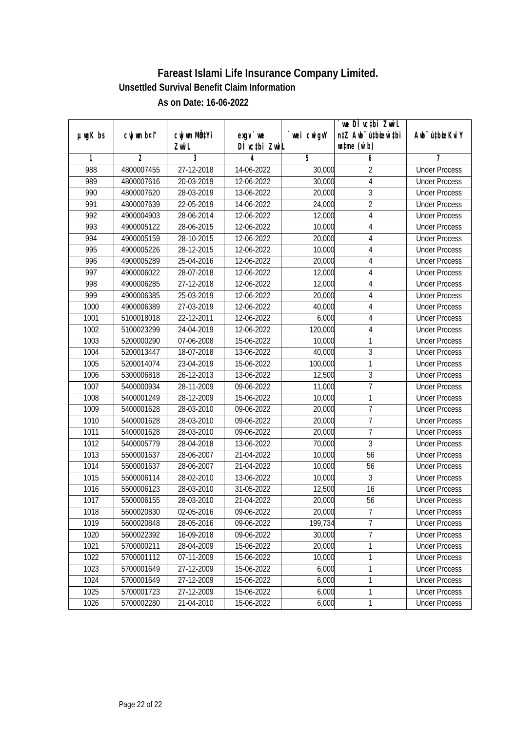|               |                |                |               |             | we DI vctbi ZwiL                 |                             |
|---------------|----------------|----------------|---------------|-------------|----------------------------------|-----------------------------|
| $µ$ mg $K$ bs | cwj wm b¤i^    | cwj wm MQtYi   | $exqu$ we     | `wei cwigvY | n‡Z Awb <sup>-</sup> ú‡bioen`‡bi | Awb <sup>-</sup> ú‡bioeKviY |
|               |                | Zwi L          | DI vctbi ZwiL |             | $\n  untime\n  (u`b)\n$          |                             |
| 1             | $\overline{2}$ | $\overline{3}$ | 4             | 5           | 6                                | 7                           |
| 988           | 4800007455     | 27-12-2018     | 14-06-2022    | 30,000      | $\overline{2}$                   | <b>Under Process</b>        |
| 989           | 4800007616     | 20-03-2019     | 12-06-2022    | 30,000      | $\overline{\mathbf{4}}$          | <b>Under Process</b>        |
| 990           | 4800007620     | 28-03-2019     | 13-06-2022    | 20,000      | 3                                | <b>Under Process</b>        |
| 991           | 4800007639     | 22-05-2019     | 14-06-2022    | 24,000      | $\overline{2}$                   | <b>Under Process</b>        |
| 992           | 4900004903     | 28-06-2014     | 12-06-2022    | 12,000      | 4                                | <b>Under Process</b>        |
| 993           | 4900005122     | 28-06-2015     | 12-06-2022    | 10,000      | 4                                | <b>Under Process</b>        |
| 994           | 4900005159     | 28-10-2015     | 12-06-2022    | 20,000      | 4                                | <b>Under Process</b>        |
| 995           | 4900005226     | 28-12-2015     | 12-06-2022    | 10,000      | 4                                | <b>Under Process</b>        |
| 996           | 4900005289     | 25-04-2016     | 12-06-2022    | 20,000      | 4                                | <b>Under Process</b>        |
| 997           | 4900006022     | 28-07-2018     | 12-06-2022    | 12,000      | 4                                | <b>Under Process</b>        |
| 998           | 4900006285     | 27-12-2018     | 12-06-2022    | 12,000      | 4                                | <b>Under Process</b>        |
| 999           | 4900006385     | 25-03-2019     | 12-06-2022    | 20,000      | $\overline{\mathbf{4}}$          | <b>Under Process</b>        |
| 1000          | 4900006389     | 27-03-2019     | 12-06-2022    | 40,000      | 4                                | <b>Under Process</b>        |
| 1001          | 5100018018     | 22-12-2011     | 12-06-2022    | 6,000       | $\overline{4}$                   | <b>Under Process</b>        |
| 1002          | 5100023299     | 24-04-2019     | 12-06-2022    | 120,000     | 4                                | <b>Under Process</b>        |
| 1003          | 5200000290     | 07-06-2008     | 15-06-2022    | 10,000      | 1                                | <b>Under Process</b>        |
| 1004          | 5200013447     | 18-07-2018     | 13-06-2022    | 40,000      | 3                                | <b>Under Process</b>        |
| 1005          | 5200014074     | 23-04-2019     | 15-06-2022    | 100,000     | $\mathbf{1}$                     | <b>Under Process</b>        |
| 1006          | 5300006818     | 26-12-2013     | 13-06-2022    | 12,500      | 3                                | <b>Under Process</b>        |
| 1007          | 5400000934     | 28-11-2009     | 09-06-2022    | 11,000      | $\overline{7}$                   | <b>Under Process</b>        |
| 1008          | 5400001249     | 28-12-2009     | 15-06-2022    | 10,000      | 1                                | <b>Under Process</b>        |
| 1009          | 5400001628     | 28-03-2010     | 09-06-2022    | 20,000      | $\overline{1}$                   | <b>Under Process</b>        |
| 1010          | 5400001628     | 28-03-2010     | 09-06-2022    | 20,000      | $\overline{7}$                   | <b>Under Process</b>        |
| 1011          | 5400001628     | 28-03-2010     | 09-06-2022    | 20,000      | $\overline{1}$                   | <b>Under Process</b>        |
| 1012          | 5400005779     | 28-04-2018     | 13-06-2022    | 70,000      | $\overline{3}$                   | <b>Under Process</b>        |
| 1013          | 5500001637     | 28-06-2007     | 21-04-2022    | 10,000      | 56                               | <b>Under Process</b>        |
| 1014          | 5500001637     | 28-06-2007     | 21-04-2022    | 10,000      | 56                               | <b>Under Process</b>        |
| 1015          | 5500006114     | 28-02-2010     | 13-06-2022    | 10,000      | $\overline{3}$                   | <b>Under Process</b>        |
| 1016          | 5500006123     | 28-03-2010     | 31-05-2022    | 12,500      | 16                               | <b>Under Process</b>        |
| 1017          | 5500006155     | 28-03-2010     | 21-04-2022    | 20,000      | 56                               | <b>Under Process</b>        |
| 1018          | 5600020830     | 02-05-2016     | 09-06-2022    | 20,000      | $\overline{7}$                   | <b>Under Process</b>        |
| 1019          | 5600020848     | 28-05-2016     | 09-06-2022    | 199,734     | $\overline{7}$                   | <b>Under Process</b>        |
| 1020          | 5600022392     | 16-09-2018     | 09-06-2022    | 30,000      | $\overline{7}$                   | <b>Under Process</b>        |
| 1021          | 5700000211     | 28-04-2009     | 15-06-2022    | 20,000      | 1                                | <b>Under Process</b>        |
| 1022          | 5700001112     | 07-11-2009     | 15-06-2022    | 10,000      | 1                                | <b>Under Process</b>        |
| 1023          | 5700001649     | 27-12-2009     | 15-06-2022    | 6,000       | 1                                | <b>Under Process</b>        |
| 1024          | 5700001649     | 27-12-2009     | 15-06-2022    | 6,000       | 1                                | <b>Under Process</b>        |
| 1025          | 5700001723     | 27-12-2009     | 15-06-2022    | 6,000       | 1                                | <b>Under Process</b>        |
| 1026          | 5700002280     | 21-04-2010     | 15-06-2022    | 6,000       | $\mathbf{1}$                     | <b>Under Process</b>        |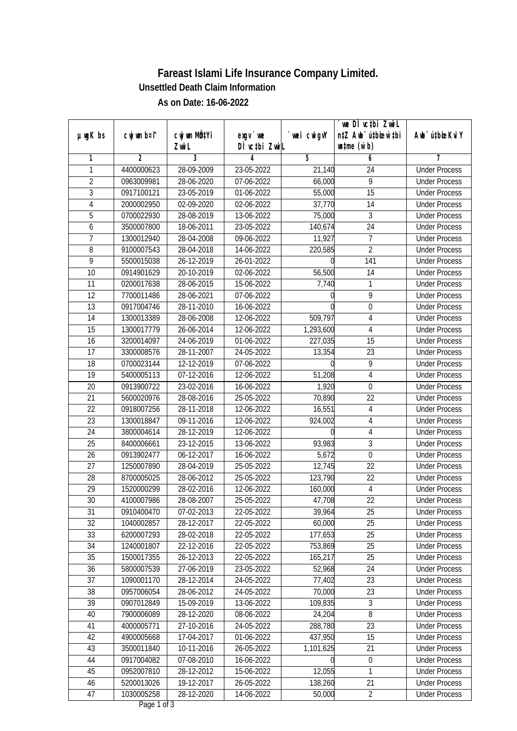|                 |                |                |                  |            | we DI vctbi Zwil                             |                             |
|-----------------|----------------|----------------|------------------|------------|----------------------------------------------|-----------------------------|
| $µ$ ug $K$ bs   | cwj wm b¤i^    | cwj wm MQtYi   | $exgV$ we        | wei cwigvY | n‡Z Awb <sup>-</sup> ú‡bioen`‡bi             | Awb <sup>-</sup> ú‡bioeKviY |
|                 |                | Zwi L          | DÌ vctbi ZwiL    |            | $\n  un \uparrow me \left(\vec{v}, b\right)$ |                             |
| 1               | $\overline{2}$ | $\overline{3}$ | 4                | 5          | 6                                            | 7                           |
| 1               | 4400000623     | 28-09-2009     | 23-05-2022       | 21,140     | 24                                           | <b>Under Process</b>        |
| $\overline{2}$  | 0963009981     | 28-06-2020     | 07-06-2022       | 66,000     | $\overline{9}$                               | <b>Under Process</b>        |
| $\overline{3}$  | 0917100121     | 23-05-2019     | 01-06-2022       | 55,000     | $\overline{15}$                              | <b>Under Process</b>        |
| 4               | 2000002950     | 02-09-2020     | 02-06-2022       | 37,770     | 14                                           | <b>Under Process</b>        |
| $\overline{5}$  | 0700022930     | 28-08-2019     | 13-06-2022       | 75,000     | $\overline{3}$                               | <b>Under Process</b>        |
| 6               | 3500007800     | 18-06-2011     | 23-05-2022       | 140,674    | $\overline{24}$                              | <b>Under Process</b>        |
| 7               | 1300012940     | 28-04-2008     | 09-06-2022       | 11,927     | $\overline{7}$                               | <b>Under Process</b>        |
| 8               | 9100007543     | 28-04-2018     | 14-06-2022       | 220,585    | $\overline{2}$                               | <b>Under Process</b>        |
| $\overline{9}$  | 5500015038     | 26-12-2019     | 26-01-2022       | U          | 141                                          | <b>Under Process</b>        |
| 10              | 0914901629     | 20-10-2019     | 02-06-2022       | 56,500     | 14                                           | <b>Under Process</b>        |
| $\overline{11}$ | 0200017638     | 28-06-2015     | 15-06-2022       | 7,740      | 1                                            | <b>Under Process</b>        |
| 12              | 7700011486     | 28-06-2021     | 07-06-2022       |            | 9                                            | <b>Under Process</b>        |
| $\overline{13}$ | 0917004746     | 28-11-2010     | 16-06-2022       |            | $\overline{0}$                               | <b>Under Process</b>        |
| 14              | 1300013389     | 28-06-2008     | 12-06-2022       | 509,797    | 4                                            | <b>Under Process</b>        |
| 15              | 1300017779     | 26-06-2014     | 12-06-2022       | 1,293,600  | $\overline{4}$                               | <b>Under Process</b>        |
| 16              | 3200014097     | 24-06-2019     | 01-06-2022       | 227,035    | 15                                           | <b>Under Process</b>        |
| 17              | 3300008576     | 28-11-2007     | 24-05-2022       | 13,354     | 23                                           | <b>Under Process</b>        |
| 18              | 0700023144     | 12-12-2019     | $07 - 06 - 2022$ | 0          | 9                                            | <b>Under Process</b>        |
| 19              | 5400005113     | 07-12-2016     | 12-06-2022       | 51,208     | $\overline{\mathbf{4}}$                      | <b>Under Process</b>        |
| 20              | 0913900722     | 23-02-2016     | 16-06-2022       | 1,920      | $\boldsymbol{0}$                             | <b>Under Process</b>        |
| 21              | 5600020976     | 28-08-2016     | 25-05-2022       | 70,890     | 22                                           | <b>Under Process</b>        |
| 22              | 0918007256     | 28-11-2018     | 12-06-2022       | 16,551     | $\overline{4}$                               | <b>Under Process</b>        |
| 23              | 1300018847     | 09-11-2016     | 12-06-2022       | 924,002    | $\overline{\mathbf{4}}$                      | <b>Under Process</b>        |
| 24              | 3800004614     | 28-12-2019     | 12-06-2022       |            | $\overline{\mathbf{4}}$                      | <b>Under Process</b>        |
| 25              | 8400006661     | 23-12-2015     | 13-06-2022       | 93,983     | $\overline{3}$                               | <b>Under Process</b>        |
| 26              | 0913902477     | 06-12-2017     | 16-06-2022       | 5,672      | $\mathbf 0$                                  | <b>Under Process</b>        |
| 27              | 1250007890     | 28-04-2019     | 25-05-2022       | 12,745     | 22                                           | <b>Under Process</b>        |
| 28              | 8700005025     | 28-06-2012     | 25-05-2022       | 123,790    | 22                                           | <b>Under Process</b>        |
| 29              | 1520000299     | 28-02-2016     | 12-06-2022       | 160,000    | $\overline{4}$                               | <b>Under Process</b>        |
| 30              | 4100007986     | 28-08-2007     | 25-05-2022       | 47,708     | 22                                           | <b>Under Process</b>        |
| 31              | 0910400470     | 07-02-2013     | 22-05-2022       | 39,964     | 25                                           | <b>Under Process</b>        |
| 32              | 1040002857     | 28-12-2017     | 22-05-2022       | 60,000     | 25                                           | <b>Under Process</b>        |
| 33              | 6200007293     | 28-02-2018     | 22-05-2022       | 177,653    | 25                                           | <b>Under Process</b>        |
| 34              | 1240001807     | 22-12-2016     | 22-05-2022       | 753,869    | 25                                           | <b>Under Process</b>        |
| 35              | 1500017355     | 26-12-2013     | 22-05-2022       | 165,217    | 25                                           | <b>Under Process</b>        |
| 36              | 5800007539     | 27-06-2019     | 23-05-2022       | 52,968     | 24                                           | <b>Under Process</b>        |
| 37              | 1090001170     | 28-12-2014     | 24-05-2022       | 77,402     | 23                                           | <b>Under Process</b>        |
| 38              | 0957006054     | 28-06-2012     | 24-05-2022       | 70,000     | $\overline{23}$                              | <b>Under Process</b>        |
| 39              | 0907012849     | 15-09-2019     | 13-06-2022       | 109,835    | 3                                            | <b>Under Process</b>        |
| 40              | 7900006089     | 28-12-2020     | 08-06-2022       | 24,204     | $\overline{8}$                               | <b>Under Process</b>        |
| 41              | 4000005771     | 27-10-2016     | 24-05-2022       | 288,780    | 23                                           | <b>Under Process</b>        |
| 42              | 4900005668     | 17-04-2017     | 01-06-2022       | 437,950    | 15                                           | <b>Under Process</b>        |
| 43              | 3500011840     | 10-11-2016     | 26-05-2022       | 1,101,625  | 21                                           | <b>Under Process</b>        |
| 44              | 0917004082     | 07-08-2010     | 16-06-2022       |            | $\boldsymbol{0}$                             | <b>Under Process</b>        |
| 45              | 0952007810     | 28-12-2012     | 15-06-2022       | 12,055     | 1                                            | <b>Under Process</b>        |
| 46              | 5200013026     | 19-12-2017     | 26-05-2022       | 138,260    | 21                                           | <b>Under Process</b>        |
| 47              | 1030005258     | 28-12-2020     | 14-06-2022       | 50,000     | $\overline{2}$                               | <b>Under Process</b>        |
|                 |                |                |                  |            |                                              |                             |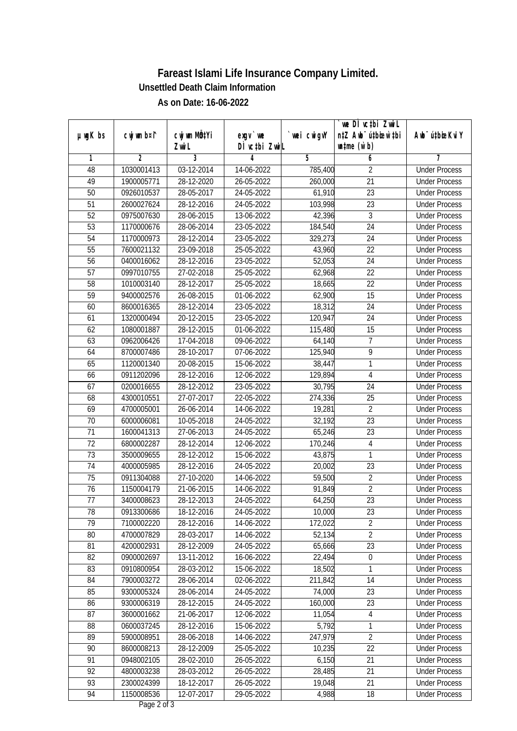| cwj wm b¤i^<br>cwj wm MQtYi<br>$µ$ ug $K$ bs<br>$exgV$ we<br>wei cwigvY<br>Awb <sup>-</sup> ú‡bioeKviY<br>DÌ vctbi ZwiL<br>$\n  un \uparrow me \left(\vec{v}, b\right)$<br>Zwi L<br>$\overline{3}$<br>$\overline{2}$<br>5<br>4<br>6<br>7<br>1<br><b>Under Process</b><br>48<br>1030001413<br>03-12-2014<br>14-06-2022<br>785,400<br>$\overline{2}$<br>$\overline{21}$<br>49<br>28-12-2020<br>26-05-2022<br>260,000<br>1900005771<br><b>Under Process</b><br>50<br>$\overline{23}$<br>0926010537<br>28-05-2017<br>24-05-2022<br>61,910<br><b>Under Process</b><br>51<br>2600027624<br>28-12-2016<br>24-05-2022<br>103,998<br>23<br><b>Under Process</b><br>$\overline{3}$<br>52<br>0975007630<br>28-06-2015<br>13-06-2022<br>42,396<br><b>Under Process</b><br>53<br>$\overline{24}$<br>1170000676<br>28-06-2014<br>23-05-2022<br>184,540<br><b>Under Process</b><br>329,273<br>$\overline{24}$<br>54<br>1170000973<br>28-12-2014<br>23-05-2022<br><b>Under Process</b><br>55<br>7600021132<br>25-05-2022<br>22<br>23-09-2018<br>43,960<br><b>Under Process</b><br>56<br>$\overline{24}$<br>0400016062<br>28-12-2016<br>23-05-2022<br>52,053<br><b>Under Process</b><br>57<br>0997010755<br>27-02-2018<br>25-05-2022<br>22<br>62,968<br><b>Under Process</b><br>$\overline{22}$<br>58<br>28-12-2017<br>1010003140<br>25-05-2022<br>18,665<br><b>Under Process</b><br>62,900<br>15<br>59<br>01-06-2022<br>9400002576<br>26-08-2015<br><b>Under Process</b><br>18,312<br>$\overline{24}$<br>60<br>8600016365<br>28-12-2014<br>23-05-2022<br><b>Under Process</b><br>24<br>61<br>1320000494<br>20-12-2015<br>23-05-2022<br>120,947<br><b>Under Process</b><br>15<br>62<br>1080001887<br>28-12-2015<br>01-06-2022<br>115,480<br><b>Under Process</b><br>$\overline{7}$<br>63<br>0962006426<br>17-04-2018<br>09-06-2022<br>64,140<br><b>Under Process</b><br>9<br>125,940<br>64<br>8700007486<br>28-10-2017<br>07-06-2022<br><b>Under Process</b><br>1<br>65<br>1120001340<br>20-08-2015<br>38,447<br>15-06-2022<br><b>Under Process</b><br>$\overline{4}$<br>66<br>0911202096<br>28-12-2016<br>129,894<br>12-06-2022<br><b>Under Process</b><br>67<br>0200016655<br>28-12-2012<br>23-05-2022<br>30,795<br>24<br><b>Under Process</b><br>25<br>68<br>4300010551<br>27-07-2017<br>22-05-2022<br>274,336<br><b>Under Process</b><br>69<br>19,281<br>$\overline{2}$<br>26-06-2014<br>14-06-2022<br>4700005001<br><b>Under Process</b><br>32,192<br>23<br>70<br>6000006081<br>10-05-2018<br>24-05-2022<br><b>Under Process</b><br>23<br>71<br>27-06-2013<br>24-05-2022<br>65,246<br>1600041313<br><b>Under Process</b><br>72<br>$\overline{4}$<br>6800002287<br>28-12-2014<br>12-06-2022<br>170,246<br><b>Under Process</b><br>73<br>1<br>3500009655<br>28-12-2012<br>15-06-2022<br>43,875<br><b>Under Process</b><br>74<br>23<br>4000005985<br>28-12-2016<br>24-05-2022<br>20,002<br><b>Under Process</b><br>$\overline{2}$<br>75<br>0911304088<br>27-10-2020<br>14-06-2022<br>59,500<br><b>Under Process</b><br>$\overline{2}$<br>76<br>1150004179<br>21-06-2015<br>14-06-2022<br>91,849<br><b>Under Process</b><br>23<br>77<br>3400008623<br>28-12-2013<br>24-05-2022<br>64,250<br><b>Under Process</b><br>78<br>0913300686<br>18-12-2016<br>24-05-2022<br>10,000<br>23<br><b>Under Process</b><br>$\overline{2}$<br>79<br>7100002220<br>28-12-2016<br>172,022<br>14-06-2022<br><b>Under Process</b><br>$\overline{2}$<br>4700007829<br>52,134<br>80<br>28-03-2017<br>14-06-2022<br><b>Under Process</b><br>23<br>81<br>4200002931<br>28-12-2009<br>24-05-2022<br>65,666<br><b>Under Process</b><br>82<br>0900002697<br>22,494<br>13-11-2012<br>16-06-2022<br>$\pmb{0}$<br><b>Under Process</b><br>0910800954<br>28-03-2012<br>18,502<br>83<br>15-06-2022<br><b>Under Process</b><br>1<br>84<br>7900003272<br>211,842<br>14<br>28-06-2014<br>02-06-2022<br><b>Under Process</b><br>$\overline{23}$<br>85<br>74,000<br>9300005324<br>28-06-2014<br>24-05-2022<br><b>Under Process</b><br>160,000<br>23<br>86<br>9300006319<br>28-12-2015<br>24-05-2022<br><b>Under Process</b><br>87<br>11,054<br>3600001662<br>21-06-2017<br>12-06-2022<br>$\overline{4}$<br><b>Under Process</b><br>5,792<br>88<br>0600037245<br>28-12-2016<br>15-06-2022<br>1<br><b>Under Process</b><br>$\overline{2}$<br>89<br>5900008951<br>28-06-2018<br>247,979<br>14-06-2022<br><b>Under Process</b><br>90<br>8600008213<br>28-12-2009<br>10,235<br>22<br>25-05-2022<br><b>Under Process</b><br>91<br>6,150<br>21<br>0948002105<br>28-02-2010<br>26-05-2022<br><b>Under Process</b><br>92<br>28,485<br>21<br>4800003238<br>28-03-2012<br>26-05-2022<br><b>Under Process</b><br>93<br>2300024399<br>18-12-2017<br>26-05-2022<br>19,048<br>21<br><b>Under Process</b><br>94<br>1150008536<br>12-07-2017<br>$29-05-2022$<br>4,988<br>18<br><b>Under Process</b> |  |  | we DI vctbi Zwil                 |  |
|-------------------------------------------------------------------------------------------------------------------------------------------------------------------------------------------------------------------------------------------------------------------------------------------------------------------------------------------------------------------------------------------------------------------------------------------------------------------------------------------------------------------------------------------------------------------------------------------------------------------------------------------------------------------------------------------------------------------------------------------------------------------------------------------------------------------------------------------------------------------------------------------------------------------------------------------------------------------------------------------------------------------------------------------------------------------------------------------------------------------------------------------------------------------------------------------------------------------------------------------------------------------------------------------------------------------------------------------------------------------------------------------------------------------------------------------------------------------------------------------------------------------------------------------------------------------------------------------------------------------------------------------------------------------------------------------------------------------------------------------------------------------------------------------------------------------------------------------------------------------------------------------------------------------------------------------------------------------------------------------------------------------------------------------------------------------------------------------------------------------------------------------------------------------------------------------------------------------------------------------------------------------------------------------------------------------------------------------------------------------------------------------------------------------------------------------------------------------------------------------------------------------------------------------------------------------------------------------------------------------------------------------------------------------------------------------------------------------------------------------------------------------------------------------------------------------------------------------------------------------------------------------------------------------------------------------------------------------------------------------------------------------------------------------------------------------------------------------------------------------------------------------------------------------------------------------------------------------------------------------------------------------------------------------------------------------------------------------------------------------------------------------------------------------------------------------------------------------------------------------------------------------------------------------------------------------------------------------------------------------------------------------------------------------------------------------------------------------------------------------------------------------------------------------------------------------------------------------------------------------------------------------------------------------------------------------------------------------------------------------------------------------------------------------------------------------------------------------------------------------------------------------------------------------------------------------------------------------------------------------------------------------------------------------------------------------------------------------------------------------------------------------------------------------------------------------------------------------------------------------------------------------------------------------------------------------------------------------------------------------------------------------------------------------------------------------------------------------------------------------------------------------------------------------------------------------------------|--|--|----------------------------------|--|
|                                                                                                                                                                                                                                                                                                                                                                                                                                                                                                                                                                                                                                                                                                                                                                                                                                                                                                                                                                                                                                                                                                                                                                                                                                                                                                                                                                                                                                                                                                                                                                                                                                                                                                                                                                                                                                                                                                                                                                                                                                                                                                                                                                                                                                                                                                                                                                                                                                                                                                                                                                                                                                                                                                                                                                                                                                                                                                                                                                                                                                                                                                                                                                                                                                                                                                                                                                                                                                                                                                                                                                                                                                                                                                                                                                                                                                                                                                                                                                                                                                                                                                                                                                                                                                                                                                                                                                                                                                                                                                                                                                                                                                                                                                                                                                                                                               |  |  | n‡Z Awb <sup>-</sup> ú‡bioen`‡bi |  |
|                                                                                                                                                                                                                                                                                                                                                                                                                                                                                                                                                                                                                                                                                                                                                                                                                                                                                                                                                                                                                                                                                                                                                                                                                                                                                                                                                                                                                                                                                                                                                                                                                                                                                                                                                                                                                                                                                                                                                                                                                                                                                                                                                                                                                                                                                                                                                                                                                                                                                                                                                                                                                                                                                                                                                                                                                                                                                                                                                                                                                                                                                                                                                                                                                                                                                                                                                                                                                                                                                                                                                                                                                                                                                                                                                                                                                                                                                                                                                                                                                                                                                                                                                                                                                                                                                                                                                                                                                                                                                                                                                                                                                                                                                                                                                                                                                               |  |  |                                  |  |
|                                                                                                                                                                                                                                                                                                                                                                                                                                                                                                                                                                                                                                                                                                                                                                                                                                                                                                                                                                                                                                                                                                                                                                                                                                                                                                                                                                                                                                                                                                                                                                                                                                                                                                                                                                                                                                                                                                                                                                                                                                                                                                                                                                                                                                                                                                                                                                                                                                                                                                                                                                                                                                                                                                                                                                                                                                                                                                                                                                                                                                                                                                                                                                                                                                                                                                                                                                                                                                                                                                                                                                                                                                                                                                                                                                                                                                                                                                                                                                                                                                                                                                                                                                                                                                                                                                                                                                                                                                                                                                                                                                                                                                                                                                                                                                                                                               |  |  |                                  |  |
|                                                                                                                                                                                                                                                                                                                                                                                                                                                                                                                                                                                                                                                                                                                                                                                                                                                                                                                                                                                                                                                                                                                                                                                                                                                                                                                                                                                                                                                                                                                                                                                                                                                                                                                                                                                                                                                                                                                                                                                                                                                                                                                                                                                                                                                                                                                                                                                                                                                                                                                                                                                                                                                                                                                                                                                                                                                                                                                                                                                                                                                                                                                                                                                                                                                                                                                                                                                                                                                                                                                                                                                                                                                                                                                                                                                                                                                                                                                                                                                                                                                                                                                                                                                                                                                                                                                                                                                                                                                                                                                                                                                                                                                                                                                                                                                                                               |  |  |                                  |  |
|                                                                                                                                                                                                                                                                                                                                                                                                                                                                                                                                                                                                                                                                                                                                                                                                                                                                                                                                                                                                                                                                                                                                                                                                                                                                                                                                                                                                                                                                                                                                                                                                                                                                                                                                                                                                                                                                                                                                                                                                                                                                                                                                                                                                                                                                                                                                                                                                                                                                                                                                                                                                                                                                                                                                                                                                                                                                                                                                                                                                                                                                                                                                                                                                                                                                                                                                                                                                                                                                                                                                                                                                                                                                                                                                                                                                                                                                                                                                                                                                                                                                                                                                                                                                                                                                                                                                                                                                                                                                                                                                                                                                                                                                                                                                                                                                                               |  |  |                                  |  |
|                                                                                                                                                                                                                                                                                                                                                                                                                                                                                                                                                                                                                                                                                                                                                                                                                                                                                                                                                                                                                                                                                                                                                                                                                                                                                                                                                                                                                                                                                                                                                                                                                                                                                                                                                                                                                                                                                                                                                                                                                                                                                                                                                                                                                                                                                                                                                                                                                                                                                                                                                                                                                                                                                                                                                                                                                                                                                                                                                                                                                                                                                                                                                                                                                                                                                                                                                                                                                                                                                                                                                                                                                                                                                                                                                                                                                                                                                                                                                                                                                                                                                                                                                                                                                                                                                                                                                                                                                                                                                                                                                                                                                                                                                                                                                                                                                               |  |  |                                  |  |
|                                                                                                                                                                                                                                                                                                                                                                                                                                                                                                                                                                                                                                                                                                                                                                                                                                                                                                                                                                                                                                                                                                                                                                                                                                                                                                                                                                                                                                                                                                                                                                                                                                                                                                                                                                                                                                                                                                                                                                                                                                                                                                                                                                                                                                                                                                                                                                                                                                                                                                                                                                                                                                                                                                                                                                                                                                                                                                                                                                                                                                                                                                                                                                                                                                                                                                                                                                                                                                                                                                                                                                                                                                                                                                                                                                                                                                                                                                                                                                                                                                                                                                                                                                                                                                                                                                                                                                                                                                                                                                                                                                                                                                                                                                                                                                                                                               |  |  |                                  |  |
|                                                                                                                                                                                                                                                                                                                                                                                                                                                                                                                                                                                                                                                                                                                                                                                                                                                                                                                                                                                                                                                                                                                                                                                                                                                                                                                                                                                                                                                                                                                                                                                                                                                                                                                                                                                                                                                                                                                                                                                                                                                                                                                                                                                                                                                                                                                                                                                                                                                                                                                                                                                                                                                                                                                                                                                                                                                                                                                                                                                                                                                                                                                                                                                                                                                                                                                                                                                                                                                                                                                                                                                                                                                                                                                                                                                                                                                                                                                                                                                                                                                                                                                                                                                                                                                                                                                                                                                                                                                                                                                                                                                                                                                                                                                                                                                                                               |  |  |                                  |  |
|                                                                                                                                                                                                                                                                                                                                                                                                                                                                                                                                                                                                                                                                                                                                                                                                                                                                                                                                                                                                                                                                                                                                                                                                                                                                                                                                                                                                                                                                                                                                                                                                                                                                                                                                                                                                                                                                                                                                                                                                                                                                                                                                                                                                                                                                                                                                                                                                                                                                                                                                                                                                                                                                                                                                                                                                                                                                                                                                                                                                                                                                                                                                                                                                                                                                                                                                                                                                                                                                                                                                                                                                                                                                                                                                                                                                                                                                                                                                                                                                                                                                                                                                                                                                                                                                                                                                                                                                                                                                                                                                                                                                                                                                                                                                                                                                                               |  |  |                                  |  |
|                                                                                                                                                                                                                                                                                                                                                                                                                                                                                                                                                                                                                                                                                                                                                                                                                                                                                                                                                                                                                                                                                                                                                                                                                                                                                                                                                                                                                                                                                                                                                                                                                                                                                                                                                                                                                                                                                                                                                                                                                                                                                                                                                                                                                                                                                                                                                                                                                                                                                                                                                                                                                                                                                                                                                                                                                                                                                                                                                                                                                                                                                                                                                                                                                                                                                                                                                                                                                                                                                                                                                                                                                                                                                                                                                                                                                                                                                                                                                                                                                                                                                                                                                                                                                                                                                                                                                                                                                                                                                                                                                                                                                                                                                                                                                                                                                               |  |  |                                  |  |
|                                                                                                                                                                                                                                                                                                                                                                                                                                                                                                                                                                                                                                                                                                                                                                                                                                                                                                                                                                                                                                                                                                                                                                                                                                                                                                                                                                                                                                                                                                                                                                                                                                                                                                                                                                                                                                                                                                                                                                                                                                                                                                                                                                                                                                                                                                                                                                                                                                                                                                                                                                                                                                                                                                                                                                                                                                                                                                                                                                                                                                                                                                                                                                                                                                                                                                                                                                                                                                                                                                                                                                                                                                                                                                                                                                                                                                                                                                                                                                                                                                                                                                                                                                                                                                                                                                                                                                                                                                                                                                                                                                                                                                                                                                                                                                                                                               |  |  |                                  |  |
|                                                                                                                                                                                                                                                                                                                                                                                                                                                                                                                                                                                                                                                                                                                                                                                                                                                                                                                                                                                                                                                                                                                                                                                                                                                                                                                                                                                                                                                                                                                                                                                                                                                                                                                                                                                                                                                                                                                                                                                                                                                                                                                                                                                                                                                                                                                                                                                                                                                                                                                                                                                                                                                                                                                                                                                                                                                                                                                                                                                                                                                                                                                                                                                                                                                                                                                                                                                                                                                                                                                                                                                                                                                                                                                                                                                                                                                                                                                                                                                                                                                                                                                                                                                                                                                                                                                                                                                                                                                                                                                                                                                                                                                                                                                                                                                                                               |  |  |                                  |  |
|                                                                                                                                                                                                                                                                                                                                                                                                                                                                                                                                                                                                                                                                                                                                                                                                                                                                                                                                                                                                                                                                                                                                                                                                                                                                                                                                                                                                                                                                                                                                                                                                                                                                                                                                                                                                                                                                                                                                                                                                                                                                                                                                                                                                                                                                                                                                                                                                                                                                                                                                                                                                                                                                                                                                                                                                                                                                                                                                                                                                                                                                                                                                                                                                                                                                                                                                                                                                                                                                                                                                                                                                                                                                                                                                                                                                                                                                                                                                                                                                                                                                                                                                                                                                                                                                                                                                                                                                                                                                                                                                                                                                                                                                                                                                                                                                                               |  |  |                                  |  |
|                                                                                                                                                                                                                                                                                                                                                                                                                                                                                                                                                                                                                                                                                                                                                                                                                                                                                                                                                                                                                                                                                                                                                                                                                                                                                                                                                                                                                                                                                                                                                                                                                                                                                                                                                                                                                                                                                                                                                                                                                                                                                                                                                                                                                                                                                                                                                                                                                                                                                                                                                                                                                                                                                                                                                                                                                                                                                                                                                                                                                                                                                                                                                                                                                                                                                                                                                                                                                                                                                                                                                                                                                                                                                                                                                                                                                                                                                                                                                                                                                                                                                                                                                                                                                                                                                                                                                                                                                                                                                                                                                                                                                                                                                                                                                                                                                               |  |  |                                  |  |
|                                                                                                                                                                                                                                                                                                                                                                                                                                                                                                                                                                                                                                                                                                                                                                                                                                                                                                                                                                                                                                                                                                                                                                                                                                                                                                                                                                                                                                                                                                                                                                                                                                                                                                                                                                                                                                                                                                                                                                                                                                                                                                                                                                                                                                                                                                                                                                                                                                                                                                                                                                                                                                                                                                                                                                                                                                                                                                                                                                                                                                                                                                                                                                                                                                                                                                                                                                                                                                                                                                                                                                                                                                                                                                                                                                                                                                                                                                                                                                                                                                                                                                                                                                                                                                                                                                                                                                                                                                                                                                                                                                                                                                                                                                                                                                                                                               |  |  |                                  |  |
|                                                                                                                                                                                                                                                                                                                                                                                                                                                                                                                                                                                                                                                                                                                                                                                                                                                                                                                                                                                                                                                                                                                                                                                                                                                                                                                                                                                                                                                                                                                                                                                                                                                                                                                                                                                                                                                                                                                                                                                                                                                                                                                                                                                                                                                                                                                                                                                                                                                                                                                                                                                                                                                                                                                                                                                                                                                                                                                                                                                                                                                                                                                                                                                                                                                                                                                                                                                                                                                                                                                                                                                                                                                                                                                                                                                                                                                                                                                                                                                                                                                                                                                                                                                                                                                                                                                                                                                                                                                                                                                                                                                                                                                                                                                                                                                                                               |  |  |                                  |  |
|                                                                                                                                                                                                                                                                                                                                                                                                                                                                                                                                                                                                                                                                                                                                                                                                                                                                                                                                                                                                                                                                                                                                                                                                                                                                                                                                                                                                                                                                                                                                                                                                                                                                                                                                                                                                                                                                                                                                                                                                                                                                                                                                                                                                                                                                                                                                                                                                                                                                                                                                                                                                                                                                                                                                                                                                                                                                                                                                                                                                                                                                                                                                                                                                                                                                                                                                                                                                                                                                                                                                                                                                                                                                                                                                                                                                                                                                                                                                                                                                                                                                                                                                                                                                                                                                                                                                                                                                                                                                                                                                                                                                                                                                                                                                                                                                                               |  |  |                                  |  |
|                                                                                                                                                                                                                                                                                                                                                                                                                                                                                                                                                                                                                                                                                                                                                                                                                                                                                                                                                                                                                                                                                                                                                                                                                                                                                                                                                                                                                                                                                                                                                                                                                                                                                                                                                                                                                                                                                                                                                                                                                                                                                                                                                                                                                                                                                                                                                                                                                                                                                                                                                                                                                                                                                                                                                                                                                                                                                                                                                                                                                                                                                                                                                                                                                                                                                                                                                                                                                                                                                                                                                                                                                                                                                                                                                                                                                                                                                                                                                                                                                                                                                                                                                                                                                                                                                                                                                                                                                                                                                                                                                                                                                                                                                                                                                                                                                               |  |  |                                  |  |
|                                                                                                                                                                                                                                                                                                                                                                                                                                                                                                                                                                                                                                                                                                                                                                                                                                                                                                                                                                                                                                                                                                                                                                                                                                                                                                                                                                                                                                                                                                                                                                                                                                                                                                                                                                                                                                                                                                                                                                                                                                                                                                                                                                                                                                                                                                                                                                                                                                                                                                                                                                                                                                                                                                                                                                                                                                                                                                                                                                                                                                                                                                                                                                                                                                                                                                                                                                                                                                                                                                                                                                                                                                                                                                                                                                                                                                                                                                                                                                                                                                                                                                                                                                                                                                                                                                                                                                                                                                                                                                                                                                                                                                                                                                                                                                                                                               |  |  |                                  |  |
|                                                                                                                                                                                                                                                                                                                                                                                                                                                                                                                                                                                                                                                                                                                                                                                                                                                                                                                                                                                                                                                                                                                                                                                                                                                                                                                                                                                                                                                                                                                                                                                                                                                                                                                                                                                                                                                                                                                                                                                                                                                                                                                                                                                                                                                                                                                                                                                                                                                                                                                                                                                                                                                                                                                                                                                                                                                                                                                                                                                                                                                                                                                                                                                                                                                                                                                                                                                                                                                                                                                                                                                                                                                                                                                                                                                                                                                                                                                                                                                                                                                                                                                                                                                                                                                                                                                                                                                                                                                                                                                                                                                                                                                                                                                                                                                                                               |  |  |                                  |  |
|                                                                                                                                                                                                                                                                                                                                                                                                                                                                                                                                                                                                                                                                                                                                                                                                                                                                                                                                                                                                                                                                                                                                                                                                                                                                                                                                                                                                                                                                                                                                                                                                                                                                                                                                                                                                                                                                                                                                                                                                                                                                                                                                                                                                                                                                                                                                                                                                                                                                                                                                                                                                                                                                                                                                                                                                                                                                                                                                                                                                                                                                                                                                                                                                                                                                                                                                                                                                                                                                                                                                                                                                                                                                                                                                                                                                                                                                                                                                                                                                                                                                                                                                                                                                                                                                                                                                                                                                                                                                                                                                                                                                                                                                                                                                                                                                                               |  |  |                                  |  |
|                                                                                                                                                                                                                                                                                                                                                                                                                                                                                                                                                                                                                                                                                                                                                                                                                                                                                                                                                                                                                                                                                                                                                                                                                                                                                                                                                                                                                                                                                                                                                                                                                                                                                                                                                                                                                                                                                                                                                                                                                                                                                                                                                                                                                                                                                                                                                                                                                                                                                                                                                                                                                                                                                                                                                                                                                                                                                                                                                                                                                                                                                                                                                                                                                                                                                                                                                                                                                                                                                                                                                                                                                                                                                                                                                                                                                                                                                                                                                                                                                                                                                                                                                                                                                                                                                                                                                                                                                                                                                                                                                                                                                                                                                                                                                                                                                               |  |  |                                  |  |
|                                                                                                                                                                                                                                                                                                                                                                                                                                                                                                                                                                                                                                                                                                                                                                                                                                                                                                                                                                                                                                                                                                                                                                                                                                                                                                                                                                                                                                                                                                                                                                                                                                                                                                                                                                                                                                                                                                                                                                                                                                                                                                                                                                                                                                                                                                                                                                                                                                                                                                                                                                                                                                                                                                                                                                                                                                                                                                                                                                                                                                                                                                                                                                                                                                                                                                                                                                                                                                                                                                                                                                                                                                                                                                                                                                                                                                                                                                                                                                                                                                                                                                                                                                                                                                                                                                                                                                                                                                                                                                                                                                                                                                                                                                                                                                                                                               |  |  |                                  |  |
|                                                                                                                                                                                                                                                                                                                                                                                                                                                                                                                                                                                                                                                                                                                                                                                                                                                                                                                                                                                                                                                                                                                                                                                                                                                                                                                                                                                                                                                                                                                                                                                                                                                                                                                                                                                                                                                                                                                                                                                                                                                                                                                                                                                                                                                                                                                                                                                                                                                                                                                                                                                                                                                                                                                                                                                                                                                                                                                                                                                                                                                                                                                                                                                                                                                                                                                                                                                                                                                                                                                                                                                                                                                                                                                                                                                                                                                                                                                                                                                                                                                                                                                                                                                                                                                                                                                                                                                                                                                                                                                                                                                                                                                                                                                                                                                                                               |  |  |                                  |  |
|                                                                                                                                                                                                                                                                                                                                                                                                                                                                                                                                                                                                                                                                                                                                                                                                                                                                                                                                                                                                                                                                                                                                                                                                                                                                                                                                                                                                                                                                                                                                                                                                                                                                                                                                                                                                                                                                                                                                                                                                                                                                                                                                                                                                                                                                                                                                                                                                                                                                                                                                                                                                                                                                                                                                                                                                                                                                                                                                                                                                                                                                                                                                                                                                                                                                                                                                                                                                                                                                                                                                                                                                                                                                                                                                                                                                                                                                                                                                                                                                                                                                                                                                                                                                                                                                                                                                                                                                                                                                                                                                                                                                                                                                                                                                                                                                                               |  |  |                                  |  |
|                                                                                                                                                                                                                                                                                                                                                                                                                                                                                                                                                                                                                                                                                                                                                                                                                                                                                                                                                                                                                                                                                                                                                                                                                                                                                                                                                                                                                                                                                                                                                                                                                                                                                                                                                                                                                                                                                                                                                                                                                                                                                                                                                                                                                                                                                                                                                                                                                                                                                                                                                                                                                                                                                                                                                                                                                                                                                                                                                                                                                                                                                                                                                                                                                                                                                                                                                                                                                                                                                                                                                                                                                                                                                                                                                                                                                                                                                                                                                                                                                                                                                                                                                                                                                                                                                                                                                                                                                                                                                                                                                                                                                                                                                                                                                                                                                               |  |  |                                  |  |
|                                                                                                                                                                                                                                                                                                                                                                                                                                                                                                                                                                                                                                                                                                                                                                                                                                                                                                                                                                                                                                                                                                                                                                                                                                                                                                                                                                                                                                                                                                                                                                                                                                                                                                                                                                                                                                                                                                                                                                                                                                                                                                                                                                                                                                                                                                                                                                                                                                                                                                                                                                                                                                                                                                                                                                                                                                                                                                                                                                                                                                                                                                                                                                                                                                                                                                                                                                                                                                                                                                                                                                                                                                                                                                                                                                                                                                                                                                                                                                                                                                                                                                                                                                                                                                                                                                                                                                                                                                                                                                                                                                                                                                                                                                                                                                                                                               |  |  |                                  |  |
|                                                                                                                                                                                                                                                                                                                                                                                                                                                                                                                                                                                                                                                                                                                                                                                                                                                                                                                                                                                                                                                                                                                                                                                                                                                                                                                                                                                                                                                                                                                                                                                                                                                                                                                                                                                                                                                                                                                                                                                                                                                                                                                                                                                                                                                                                                                                                                                                                                                                                                                                                                                                                                                                                                                                                                                                                                                                                                                                                                                                                                                                                                                                                                                                                                                                                                                                                                                                                                                                                                                                                                                                                                                                                                                                                                                                                                                                                                                                                                                                                                                                                                                                                                                                                                                                                                                                                                                                                                                                                                                                                                                                                                                                                                                                                                                                                               |  |  |                                  |  |
|                                                                                                                                                                                                                                                                                                                                                                                                                                                                                                                                                                                                                                                                                                                                                                                                                                                                                                                                                                                                                                                                                                                                                                                                                                                                                                                                                                                                                                                                                                                                                                                                                                                                                                                                                                                                                                                                                                                                                                                                                                                                                                                                                                                                                                                                                                                                                                                                                                                                                                                                                                                                                                                                                                                                                                                                                                                                                                                                                                                                                                                                                                                                                                                                                                                                                                                                                                                                                                                                                                                                                                                                                                                                                                                                                                                                                                                                                                                                                                                                                                                                                                                                                                                                                                                                                                                                                                                                                                                                                                                                                                                                                                                                                                                                                                                                                               |  |  |                                  |  |
|                                                                                                                                                                                                                                                                                                                                                                                                                                                                                                                                                                                                                                                                                                                                                                                                                                                                                                                                                                                                                                                                                                                                                                                                                                                                                                                                                                                                                                                                                                                                                                                                                                                                                                                                                                                                                                                                                                                                                                                                                                                                                                                                                                                                                                                                                                                                                                                                                                                                                                                                                                                                                                                                                                                                                                                                                                                                                                                                                                                                                                                                                                                                                                                                                                                                                                                                                                                                                                                                                                                                                                                                                                                                                                                                                                                                                                                                                                                                                                                                                                                                                                                                                                                                                                                                                                                                                                                                                                                                                                                                                                                                                                                                                                                                                                                                                               |  |  |                                  |  |
|                                                                                                                                                                                                                                                                                                                                                                                                                                                                                                                                                                                                                                                                                                                                                                                                                                                                                                                                                                                                                                                                                                                                                                                                                                                                                                                                                                                                                                                                                                                                                                                                                                                                                                                                                                                                                                                                                                                                                                                                                                                                                                                                                                                                                                                                                                                                                                                                                                                                                                                                                                                                                                                                                                                                                                                                                                                                                                                                                                                                                                                                                                                                                                                                                                                                                                                                                                                                                                                                                                                                                                                                                                                                                                                                                                                                                                                                                                                                                                                                                                                                                                                                                                                                                                                                                                                                                                                                                                                                                                                                                                                                                                                                                                                                                                                                                               |  |  |                                  |  |
|                                                                                                                                                                                                                                                                                                                                                                                                                                                                                                                                                                                                                                                                                                                                                                                                                                                                                                                                                                                                                                                                                                                                                                                                                                                                                                                                                                                                                                                                                                                                                                                                                                                                                                                                                                                                                                                                                                                                                                                                                                                                                                                                                                                                                                                                                                                                                                                                                                                                                                                                                                                                                                                                                                                                                                                                                                                                                                                                                                                                                                                                                                                                                                                                                                                                                                                                                                                                                                                                                                                                                                                                                                                                                                                                                                                                                                                                                                                                                                                                                                                                                                                                                                                                                                                                                                                                                                                                                                                                                                                                                                                                                                                                                                                                                                                                                               |  |  |                                  |  |
|                                                                                                                                                                                                                                                                                                                                                                                                                                                                                                                                                                                                                                                                                                                                                                                                                                                                                                                                                                                                                                                                                                                                                                                                                                                                                                                                                                                                                                                                                                                                                                                                                                                                                                                                                                                                                                                                                                                                                                                                                                                                                                                                                                                                                                                                                                                                                                                                                                                                                                                                                                                                                                                                                                                                                                                                                                                                                                                                                                                                                                                                                                                                                                                                                                                                                                                                                                                                                                                                                                                                                                                                                                                                                                                                                                                                                                                                                                                                                                                                                                                                                                                                                                                                                                                                                                                                                                                                                                                                                                                                                                                                                                                                                                                                                                                                                               |  |  |                                  |  |
|                                                                                                                                                                                                                                                                                                                                                                                                                                                                                                                                                                                                                                                                                                                                                                                                                                                                                                                                                                                                                                                                                                                                                                                                                                                                                                                                                                                                                                                                                                                                                                                                                                                                                                                                                                                                                                                                                                                                                                                                                                                                                                                                                                                                                                                                                                                                                                                                                                                                                                                                                                                                                                                                                                                                                                                                                                                                                                                                                                                                                                                                                                                                                                                                                                                                                                                                                                                                                                                                                                                                                                                                                                                                                                                                                                                                                                                                                                                                                                                                                                                                                                                                                                                                                                                                                                                                                                                                                                                                                                                                                                                                                                                                                                                                                                                                                               |  |  |                                  |  |
|                                                                                                                                                                                                                                                                                                                                                                                                                                                                                                                                                                                                                                                                                                                                                                                                                                                                                                                                                                                                                                                                                                                                                                                                                                                                                                                                                                                                                                                                                                                                                                                                                                                                                                                                                                                                                                                                                                                                                                                                                                                                                                                                                                                                                                                                                                                                                                                                                                                                                                                                                                                                                                                                                                                                                                                                                                                                                                                                                                                                                                                                                                                                                                                                                                                                                                                                                                                                                                                                                                                                                                                                                                                                                                                                                                                                                                                                                                                                                                                                                                                                                                                                                                                                                                                                                                                                                                                                                                                                                                                                                                                                                                                                                                                                                                                                                               |  |  |                                  |  |
|                                                                                                                                                                                                                                                                                                                                                                                                                                                                                                                                                                                                                                                                                                                                                                                                                                                                                                                                                                                                                                                                                                                                                                                                                                                                                                                                                                                                                                                                                                                                                                                                                                                                                                                                                                                                                                                                                                                                                                                                                                                                                                                                                                                                                                                                                                                                                                                                                                                                                                                                                                                                                                                                                                                                                                                                                                                                                                                                                                                                                                                                                                                                                                                                                                                                                                                                                                                                                                                                                                                                                                                                                                                                                                                                                                                                                                                                                                                                                                                                                                                                                                                                                                                                                                                                                                                                                                                                                                                                                                                                                                                                                                                                                                                                                                                                                               |  |  |                                  |  |
|                                                                                                                                                                                                                                                                                                                                                                                                                                                                                                                                                                                                                                                                                                                                                                                                                                                                                                                                                                                                                                                                                                                                                                                                                                                                                                                                                                                                                                                                                                                                                                                                                                                                                                                                                                                                                                                                                                                                                                                                                                                                                                                                                                                                                                                                                                                                                                                                                                                                                                                                                                                                                                                                                                                                                                                                                                                                                                                                                                                                                                                                                                                                                                                                                                                                                                                                                                                                                                                                                                                                                                                                                                                                                                                                                                                                                                                                                                                                                                                                                                                                                                                                                                                                                                                                                                                                                                                                                                                                                                                                                                                                                                                                                                                                                                                                                               |  |  |                                  |  |
|                                                                                                                                                                                                                                                                                                                                                                                                                                                                                                                                                                                                                                                                                                                                                                                                                                                                                                                                                                                                                                                                                                                                                                                                                                                                                                                                                                                                                                                                                                                                                                                                                                                                                                                                                                                                                                                                                                                                                                                                                                                                                                                                                                                                                                                                                                                                                                                                                                                                                                                                                                                                                                                                                                                                                                                                                                                                                                                                                                                                                                                                                                                                                                                                                                                                                                                                                                                                                                                                                                                                                                                                                                                                                                                                                                                                                                                                                                                                                                                                                                                                                                                                                                                                                                                                                                                                                                                                                                                                                                                                                                                                                                                                                                                                                                                                                               |  |  |                                  |  |
|                                                                                                                                                                                                                                                                                                                                                                                                                                                                                                                                                                                                                                                                                                                                                                                                                                                                                                                                                                                                                                                                                                                                                                                                                                                                                                                                                                                                                                                                                                                                                                                                                                                                                                                                                                                                                                                                                                                                                                                                                                                                                                                                                                                                                                                                                                                                                                                                                                                                                                                                                                                                                                                                                                                                                                                                                                                                                                                                                                                                                                                                                                                                                                                                                                                                                                                                                                                                                                                                                                                                                                                                                                                                                                                                                                                                                                                                                                                                                                                                                                                                                                                                                                                                                                                                                                                                                                                                                                                                                                                                                                                                                                                                                                                                                                                                                               |  |  |                                  |  |
|                                                                                                                                                                                                                                                                                                                                                                                                                                                                                                                                                                                                                                                                                                                                                                                                                                                                                                                                                                                                                                                                                                                                                                                                                                                                                                                                                                                                                                                                                                                                                                                                                                                                                                                                                                                                                                                                                                                                                                                                                                                                                                                                                                                                                                                                                                                                                                                                                                                                                                                                                                                                                                                                                                                                                                                                                                                                                                                                                                                                                                                                                                                                                                                                                                                                                                                                                                                                                                                                                                                                                                                                                                                                                                                                                                                                                                                                                                                                                                                                                                                                                                                                                                                                                                                                                                                                                                                                                                                                                                                                                                                                                                                                                                                                                                                                                               |  |  |                                  |  |
|                                                                                                                                                                                                                                                                                                                                                                                                                                                                                                                                                                                                                                                                                                                                                                                                                                                                                                                                                                                                                                                                                                                                                                                                                                                                                                                                                                                                                                                                                                                                                                                                                                                                                                                                                                                                                                                                                                                                                                                                                                                                                                                                                                                                                                                                                                                                                                                                                                                                                                                                                                                                                                                                                                                                                                                                                                                                                                                                                                                                                                                                                                                                                                                                                                                                                                                                                                                                                                                                                                                                                                                                                                                                                                                                                                                                                                                                                                                                                                                                                                                                                                                                                                                                                                                                                                                                                                                                                                                                                                                                                                                                                                                                                                                                                                                                                               |  |  |                                  |  |
|                                                                                                                                                                                                                                                                                                                                                                                                                                                                                                                                                                                                                                                                                                                                                                                                                                                                                                                                                                                                                                                                                                                                                                                                                                                                                                                                                                                                                                                                                                                                                                                                                                                                                                                                                                                                                                                                                                                                                                                                                                                                                                                                                                                                                                                                                                                                                                                                                                                                                                                                                                                                                                                                                                                                                                                                                                                                                                                                                                                                                                                                                                                                                                                                                                                                                                                                                                                                                                                                                                                                                                                                                                                                                                                                                                                                                                                                                                                                                                                                                                                                                                                                                                                                                                                                                                                                                                                                                                                                                                                                                                                                                                                                                                                                                                                                                               |  |  |                                  |  |
|                                                                                                                                                                                                                                                                                                                                                                                                                                                                                                                                                                                                                                                                                                                                                                                                                                                                                                                                                                                                                                                                                                                                                                                                                                                                                                                                                                                                                                                                                                                                                                                                                                                                                                                                                                                                                                                                                                                                                                                                                                                                                                                                                                                                                                                                                                                                                                                                                                                                                                                                                                                                                                                                                                                                                                                                                                                                                                                                                                                                                                                                                                                                                                                                                                                                                                                                                                                                                                                                                                                                                                                                                                                                                                                                                                                                                                                                                                                                                                                                                                                                                                                                                                                                                                                                                                                                                                                                                                                                                                                                                                                                                                                                                                                                                                                                                               |  |  |                                  |  |
|                                                                                                                                                                                                                                                                                                                                                                                                                                                                                                                                                                                                                                                                                                                                                                                                                                                                                                                                                                                                                                                                                                                                                                                                                                                                                                                                                                                                                                                                                                                                                                                                                                                                                                                                                                                                                                                                                                                                                                                                                                                                                                                                                                                                                                                                                                                                                                                                                                                                                                                                                                                                                                                                                                                                                                                                                                                                                                                                                                                                                                                                                                                                                                                                                                                                                                                                                                                                                                                                                                                                                                                                                                                                                                                                                                                                                                                                                                                                                                                                                                                                                                                                                                                                                                                                                                                                                                                                                                                                                                                                                                                                                                                                                                                                                                                                                               |  |  |                                  |  |
|                                                                                                                                                                                                                                                                                                                                                                                                                                                                                                                                                                                                                                                                                                                                                                                                                                                                                                                                                                                                                                                                                                                                                                                                                                                                                                                                                                                                                                                                                                                                                                                                                                                                                                                                                                                                                                                                                                                                                                                                                                                                                                                                                                                                                                                                                                                                                                                                                                                                                                                                                                                                                                                                                                                                                                                                                                                                                                                                                                                                                                                                                                                                                                                                                                                                                                                                                                                                                                                                                                                                                                                                                                                                                                                                                                                                                                                                                                                                                                                                                                                                                                                                                                                                                                                                                                                                                                                                                                                                                                                                                                                                                                                                                                                                                                                                                               |  |  |                                  |  |
|                                                                                                                                                                                                                                                                                                                                                                                                                                                                                                                                                                                                                                                                                                                                                                                                                                                                                                                                                                                                                                                                                                                                                                                                                                                                                                                                                                                                                                                                                                                                                                                                                                                                                                                                                                                                                                                                                                                                                                                                                                                                                                                                                                                                                                                                                                                                                                                                                                                                                                                                                                                                                                                                                                                                                                                                                                                                                                                                                                                                                                                                                                                                                                                                                                                                                                                                                                                                                                                                                                                                                                                                                                                                                                                                                                                                                                                                                                                                                                                                                                                                                                                                                                                                                                                                                                                                                                                                                                                                                                                                                                                                                                                                                                                                                                                                                               |  |  |                                  |  |
|                                                                                                                                                                                                                                                                                                                                                                                                                                                                                                                                                                                                                                                                                                                                                                                                                                                                                                                                                                                                                                                                                                                                                                                                                                                                                                                                                                                                                                                                                                                                                                                                                                                                                                                                                                                                                                                                                                                                                                                                                                                                                                                                                                                                                                                                                                                                                                                                                                                                                                                                                                                                                                                                                                                                                                                                                                                                                                                                                                                                                                                                                                                                                                                                                                                                                                                                                                                                                                                                                                                                                                                                                                                                                                                                                                                                                                                                                                                                                                                                                                                                                                                                                                                                                                                                                                                                                                                                                                                                                                                                                                                                                                                                                                                                                                                                                               |  |  |                                  |  |
|                                                                                                                                                                                                                                                                                                                                                                                                                                                                                                                                                                                                                                                                                                                                                                                                                                                                                                                                                                                                                                                                                                                                                                                                                                                                                                                                                                                                                                                                                                                                                                                                                                                                                                                                                                                                                                                                                                                                                                                                                                                                                                                                                                                                                                                                                                                                                                                                                                                                                                                                                                                                                                                                                                                                                                                                                                                                                                                                                                                                                                                                                                                                                                                                                                                                                                                                                                                                                                                                                                                                                                                                                                                                                                                                                                                                                                                                                                                                                                                                                                                                                                                                                                                                                                                                                                                                                                                                                                                                                                                                                                                                                                                                                                                                                                                                                               |  |  |                                  |  |
|                                                                                                                                                                                                                                                                                                                                                                                                                                                                                                                                                                                                                                                                                                                                                                                                                                                                                                                                                                                                                                                                                                                                                                                                                                                                                                                                                                                                                                                                                                                                                                                                                                                                                                                                                                                                                                                                                                                                                                                                                                                                                                                                                                                                                                                                                                                                                                                                                                                                                                                                                                                                                                                                                                                                                                                                                                                                                                                                                                                                                                                                                                                                                                                                                                                                                                                                                                                                                                                                                                                                                                                                                                                                                                                                                                                                                                                                                                                                                                                                                                                                                                                                                                                                                                                                                                                                                                                                                                                                                                                                                                                                                                                                                                                                                                                                                               |  |  |                                  |  |
|                                                                                                                                                                                                                                                                                                                                                                                                                                                                                                                                                                                                                                                                                                                                                                                                                                                                                                                                                                                                                                                                                                                                                                                                                                                                                                                                                                                                                                                                                                                                                                                                                                                                                                                                                                                                                                                                                                                                                                                                                                                                                                                                                                                                                                                                                                                                                                                                                                                                                                                                                                                                                                                                                                                                                                                                                                                                                                                                                                                                                                                                                                                                                                                                                                                                                                                                                                                                                                                                                                                                                                                                                                                                                                                                                                                                                                                                                                                                                                                                                                                                                                                                                                                                                                                                                                                                                                                                                                                                                                                                                                                                                                                                                                                                                                                                                               |  |  |                                  |  |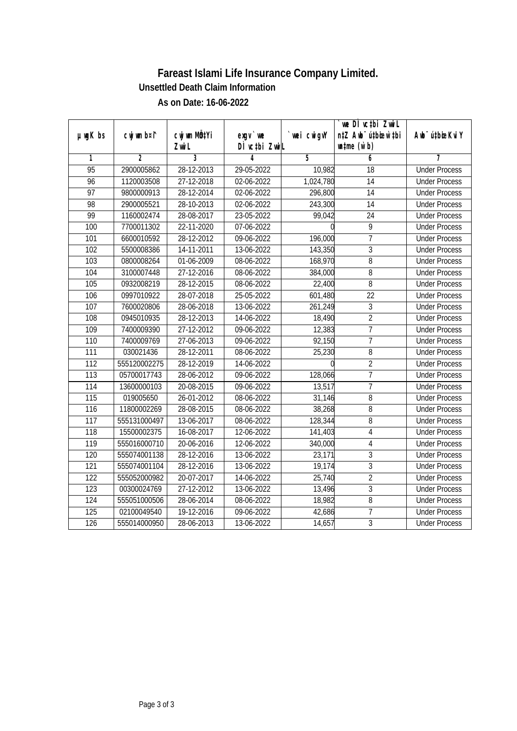|                  |              |                  |               |            | we DI vctbi ZwiL                 |                             |
|------------------|--------------|------------------|---------------|------------|----------------------------------|-----------------------------|
| $µ$ ug $K$ bs    | cwj wm b¤i^  | CW WM MÖZYI      | $exqu$ we     | wei cwigvY | n‡Z Awb <sup>-</sup> ú‡bioen`‡bi | Awb <sup>-</sup> ú‡bioeKviY |
|                  |              | Zwi L            | DI vctbi ZwiL |            | $\n  untime\n  (u`b)\n$          |                             |
| 1                | 2            | 3                |               | 5          | 6                                |                             |
| $\overline{95}$  | 2900005862   | 28-12-2013       | 29-05-2022    | 10,982     | 18                               | <b>Under Process</b>        |
| 96               | 1120003508   | 27-12-2018       | 02-06-2022    | 1,024,780  | 14                               | <b>Under Process</b>        |
| 97               | 9800000913   | 28-12-2014       | 02-06-2022    | 296,800    | $\overline{14}$                  | <b>Under Process</b>        |
| 98               | 2900005521   | 28-10-2013       | 02-06-2022    | 243,300    | $\overline{14}$                  | <b>Under Process</b>        |
| 99               | 1160002474   | 28-08-2017       | 23-05-2022    | 99,042     | $\overline{24}$                  | <b>Under Process</b>        |
| 100              | 7700011302   | 22-11-2020       | 07-06-2022    |            | 9                                | <b>Under Process</b>        |
| 101              | 6600010592   | 28-12-2012       | 09-06-2022    | 196,000    | $\overline{7}$                   | <b>Under Process</b>        |
| 102              | 5500008386   | 14-11-2011       | 13-06-2022    | 143,350    | $\overline{3}$                   | <b>Under Process</b>        |
| 103              | 0800008264   | 01-06-2009       | 08-06-2022    | 168,970    | $\overline{8}$                   | <b>Under Process</b>        |
| 104              | 3100007448   | 27-12-2016       | 08-06-2022    | 384,000    | 8                                | <b>Under Process</b>        |
| 105              | 0932008219   | 28-12-2015       | 08-06-2022    | 22,400     | $\overline{8}$                   | <b>Under Process</b>        |
| 106              | 0997010922   | 28-07-2018       | 25-05-2022    | 601,480    | 22                               | <b>Under Process</b>        |
| 107              | 7600020806   | 28-06-2018       | 13-06-2022    | 261,249    | $\overline{3}$                   | <b>Under Process</b>        |
| 108              | 0945010935   | 28-12-2013       | 14-06-2022    | 18,490     | $\overline{2}$                   | <b>Under Process</b>        |
| 109              | 7400009390   | 27-12-2012       | 09-06-2022    | 12,383     | $\overline{7}$                   | <b>Under Process</b>        |
| 110              | 7400009769   | 27-06-2013       | 09-06-2022    | 92,150     | $\overline{7}$                   | <b>Under Process</b>        |
| 111              | 030021436    | 28-12-2011       | 08-06-2022    | 25,230     | 8                                | <b>Under Process</b>        |
| 112              | 555120002275 | 28-12-2019       | 14-06-2022    |            | $\overline{2}$                   | <b>Under Process</b>        |
| 113              | 05700017743  | 28-06-2012       | 09-06-2022    | 128,066    | $\overline{1}$                   | <b>Under Process</b>        |
| 114              | 13600000103  | $20 - 08 - 2015$ | 09-06-2022    | 13,517     | $\overline{7}$                   | <b>Under Process</b>        |
| 115              | 019005650    | 26-01-2012       | 08-06-2022    | 31,146     | 8                                | <b>Under Process</b>        |
| 116              | 11800002269  | 28-08-2015       | 08-06-2022    | 38,268     | 8                                | <b>Under Process</b>        |
| $\overline{117}$ | 555131000497 | 13-06-2017       | 08-06-2022    | 128,344    | 8                                | <b>Under Process</b>        |
| 118              | 15500002375  | 16-08-2017       | 12-06-2022    | 141,403    | $\overline{4}$                   | <b>Under Process</b>        |
| 119              | 555016000710 | 20-06-2016       | 12-06-2022    | 340,000    | $\overline{4}$                   | <b>Under Process</b>        |
| 120              | 555074001138 | 28-12-2016       | 13-06-2022    | 23,171     | $\overline{3}$                   | <b>Under Process</b>        |
| 121              | 555074001104 | 28-12-2016       | 13-06-2022    | 19,174     | $\overline{3}$                   | <b>Under Process</b>        |
| 122              | 555052000982 | 20-07-2017       | 14-06-2022    | 25,740     | $\overline{2}$                   | <b>Under Process</b>        |
| 123              | 00300024769  | 27-12-2012       | 13-06-2022    | 13,496     | $\overline{3}$                   | <b>Under Process</b>        |
| 124              | 555051000506 | 28-06-2014       | 08-06-2022    | 18,982     | $\, 8$                           | <b>Under Process</b>        |
| 125              | 02100049540  | 19-12-2016       | 09-06-2022    | 42,686     | $\overline{7}$                   | <b>Under Process</b>        |
| 126              | 555014000950 | 28-06-2013       | 13-06-2022    | 14,657     | $\overline{3}$                   | <b>Under Process</b>        |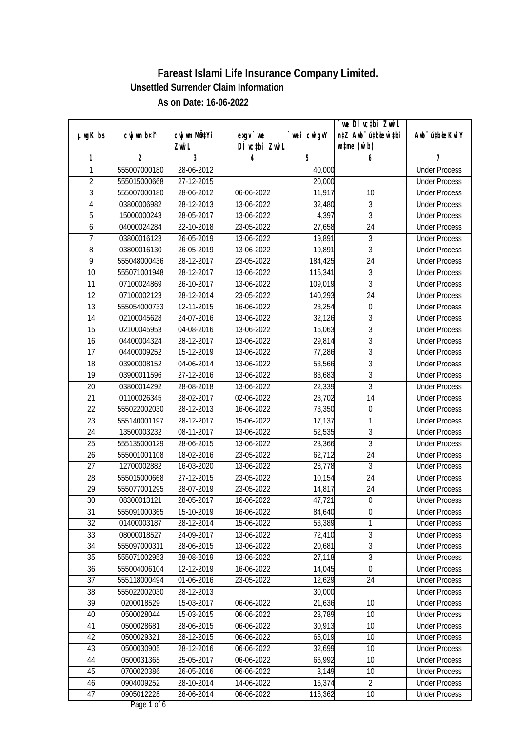|                 |                |                  |               |            | we DI vctbi ZwiL                 |                             |
|-----------------|----------------|------------------|---------------|------------|----------------------------------|-----------------------------|
| $µ$ ug $K$ bs   | cwj wm b¤i^    | cwj wm MQtYi     | $exqu$ we     | wei cwigvY | n‡Z Awb <sup>-</sup> ú‡bioar`‡bi | Awb <sup>-</sup> ú‡bioeKviY |
|                 |                | Zwi L            | DÌ vctbi ZwiL |            | $w$ tme $(w b)$                  |                             |
| 1               | $\overline{2}$ | 3                | 4             | 5          | 6                                | 7                           |
| 1               | 555007000180   | 28-06-2012       |               | 40,000     |                                  | <b>Under Process</b>        |
| $\overline{2}$  | 555015000668   | 27-12-2015       |               | 20,000     |                                  | <b>Under Process</b>        |
| $\overline{3}$  | 555007000180   | 28-06-2012       | 06-06-2022    | 11,917     | 10                               | <b>Under Process</b>        |
| $\overline{4}$  | 03800006982    | 28-12-2013       | 13-06-2022    | 32,480     | 3                                | <b>Under Process</b>        |
| 5               | 15000000243    | 28-05-2017       | 13-06-2022    | 4,397      | $\overline{3}$                   | <b>Under Process</b>        |
| 6               | 04000024284    | 22-10-2018       | 23-05-2022    | 27,658     | $\overline{24}$                  | <b>Under Process</b>        |
| $\overline{7}$  | 03800016123    | 26-05-2019       | 13-06-2022    | 19,891     | $\overline{3}$                   | <b>Under Process</b>        |
| 8               | 03800016130    | 26-05-2019       | 13-06-2022    | 19,891     | $\overline{3}$                   | <b>Under Process</b>        |
| 9               | 555048000436   | 28-12-2017       | 23-05-2022    | 184,425    | $\overline{24}$                  | <b>Under Process</b>        |
| 10              | 555071001948   | 28-12-2017       | 13-06-2022    | 115,341    | 3                                | <b>Under Process</b>        |
| $\overline{11}$ | 07100024869    | $26 - 10 - 2017$ | 13-06-2022    | 109,019    | $\overline{3}$                   | <b>Under Process</b>        |
| 12              | 07100002123    | 28-12-2014       | 23-05-2022    | 140,293    | 24                               | <b>Under Process</b>        |
| $\overline{13}$ | 555054000733   | 12-11-2015       | 16-06-2022    | 23,254     | $\boldsymbol{0}$                 | <b>Under Process</b>        |
| 14              | 02100045628    | 24-07-2016       | 13-06-2022    | 32,126     | 3                                | <b>Under Process</b>        |
| 15              | 02100045953    | $04 - 08 - 2016$ | 13-06-2022    | 16,063     | $\overline{3}$                   | <b>Under Process</b>        |
| 16              | 04400004324    | 28-12-2017       | 13-06-2022    | 29,814     | $\mathfrak{Z}$                   | <b>Under Process</b>        |
| 17              | 04400009252    | 15-12-2019       | 13-06-2022    | 77,286     | $\mathfrak{Z}$                   | <b>Under Process</b>        |
| 18              | 03900008152    | 04-06-2014       | 13-06-2022    | 53,566     | 3                                | <b>Under Process</b>        |
| 19              | 03900011596    | 27-12-2016       | 13-06-2022    | 83,683     | $\overline{3}$                   | <b>Under Process</b>        |
| 20              | 03800014292    | 28-08-2018       | 13-06-2022    | 22,339     | $\overline{3}$                   | <b>Under Process</b>        |
| 21              | 01100026345    | 28-02-2017       | 02-06-2022    | 23,702     | 14                               | <b>Under Process</b>        |
| 22              | 555022002030   | 28-12-2013       | 16-06-2022    | 73,350     | $\boldsymbol{0}$                 | <b>Under Process</b>        |
| 23              | 555140001197   | 28-12-2017       | 15-06-2022    | 17,137     | $\mathbf{1}$                     | <b>Under Process</b>        |
| 24              | 13500003232    | 08-11-2017       | 13-06-2022    | 52,535     | $\mathfrak{Z}$                   | <b>Under Process</b>        |
| 25              | 555135000129   | 28-06-2015       | 13-06-2022    | 23,366     | $\overline{3}$                   | <b>Under Process</b>        |
| 26              | 555001001108   | 18-02-2016       | 23-05-2022    | 62,712     | 24                               | <b>Under Process</b>        |
| 27              | 12700002882    | 16-03-2020       | 13-06-2022    | 28,778     | 3                                | <b>Under Process</b>        |
| 28              | 555015000668   | 27-12-2015       | 23-05-2022    | 10,154     | $\overline{24}$                  | <b>Under Process</b>        |
| 29              | 555077001295   | 28-07-2019       | 23-05-2022    | 14,817     | 24                               | <b>Under Process</b>        |
| 30              | 08300013121    | 28-05-2017       | 16-06-2022    | 47,721     | $\boldsymbol{0}$                 | <b>Under Process</b>        |
| 31              | 555091000365   | 15-10-2019       | 16-06-2022    | 84,640     | 0                                | <b>Under Process</b>        |
| 32              | 01400003187    | 28-12-2014       | 15-06-2022    | 53,389     | 1                                | <b>Under Process</b>        |
| 33              | 08000018527    | 24-09-2017       | 13-06-2022    | 72,410     | $\sqrt{3}$                       | <b>Under Process</b>        |
| 34              | 555097000311   | 28-06-2015       | 13-06-2022    | 20,681     | $\overline{3}$                   | <b>Under Process</b>        |
| 35              | 555071002953   | 28-08-2019       | 13-06-2022    | 27,118     | $\overline{3}$                   | <b>Under Process</b>        |
| 36              | 555004006104   | 12-12-2019       | 16-06-2022    | 14,045     | $\boldsymbol{0}$                 | <b>Under Process</b>        |
| 37              | 555118000494   | 01-06-2016       | 23-05-2022    | 12,629     | 24                               | <b>Under Process</b>        |
| 38              | 555022002030   | 28-12-2013       |               | 30,000     |                                  | <b>Under Process</b>        |
| 39              | 0200018529     | 15-03-2017       | 06-06-2022    | 21,636     | 10                               | <b>Under Process</b>        |
| 40              | 0500028044     | 15-03-2015       | 06-06-2022    | 23,789     | 10                               | <b>Under Process</b>        |
| 41              | 0500028681     | 28-06-2015       | 06-06-2022    | 30,913     | 10                               | <b>Under Process</b>        |
| 42              | 0500029321     | 28-12-2015       | 06-06-2022    | 65,019     | 10                               | <b>Under Process</b>        |
| 43              | 0500030905     | 28-12-2016       | 06-06-2022    | 32,699     | 10                               | <b>Under Process</b>        |
| 44              | 0500031365     | 25-05-2017       | 06-06-2022    | 66,992     | 10                               | <b>Under Process</b>        |
| 45              | 0700020386     | 26-05-2016       | 06-06-2022    | 3,149      | 10                               | <b>Under Process</b>        |
| 46              | 0904009252     | 28-10-2014       | 14-06-2022    | 16,374     | $\overline{2}$                   | <b>Under Process</b>        |
| 47              | 0905012228     | 26-06-2014       | 06-06-2022    | 116,362    | 10                               | <b>Under Process</b>        |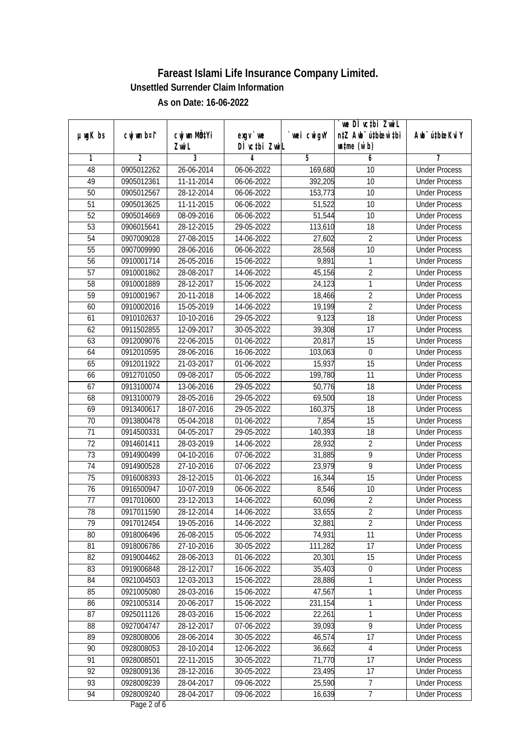|                 |                |                  |               |            | we DI vctbi Zwil                 |                             |
|-----------------|----------------|------------------|---------------|------------|----------------------------------|-----------------------------|
| $µ$ ug $K$ bs   | cwj wm b¤i^    | cwj wm MQtYi     | $exqu$ we     | wei cwigvY | n‡Z Awb <sup>-</sup> ú‡bioen`‡bi | Awb <sup>-</sup> ú‡bioeKviY |
|                 |                | Zwi L            | DÌ vctbi ZwiL |            | $\n  untime\n  (u`b)\n$          |                             |
| 1               | $\overline{2}$ | 3                | 4             | 5          | 6                                | 7                           |
| 48              | 0905012262     | 26-06-2014       | 06-06-2022    | 169,680    | $\overline{10}$                  | <b>Under Process</b>        |
| 49              | 0905012361     | 11-11-2014       | 06-06-2022    | 392,205    | 10                               | <b>Under Process</b>        |
| $\overline{50}$ | 0905012567     | 28-12-2014       | 06-06-2022    | 153,773    | $\overline{10}$                  | <b>Under Process</b>        |
| 51              | 0905013625     | 11-11-2015       | 06-06-2022    | 51,522     | 10                               | <b>Under Process</b>        |
| $\overline{52}$ | 0905014669     | 08-09-2016       | 06-06-2022    | 51,544     | $\overline{10}$                  | <b>Under Process</b>        |
| $\overline{53}$ | 0906015641     | 28-12-2015       | 29-05-2022    | 113,610    | $\overline{18}$                  | <b>Under Process</b>        |
| 54              | 0907009028     | 27-08-2015       | 14-06-2022    | 27,602     | $\overline{2}$                   | <b>Under Process</b>        |
| 55              | 0907009990     | 28-06-2016       | 06-06-2022    | 28,568     | 10                               | <b>Under Process</b>        |
| $\overline{56}$ | 0910001714     | 26-05-2016       | 15-06-2022    | 9,891      | 1                                | <b>Under Process</b>        |
| 57              | 0910001862     | 28-08-2017       | 14-06-2022    | 45,156     | $\overline{2}$                   | <b>Under Process</b>        |
| $\overline{58}$ | 0910001889     | 28-12-2017       | 15-06-2022    | 24,123     | $\mathbf{1}$                     | <b>Under Process</b>        |
| 59              | 0910001967     | 20-11-2018       | 14-06-2022    | 18,466     | $\overline{2}$                   | <b>Under Process</b>        |
| 60              | 0910002016     | 15-05-2019       | 14-06-2022    | 19,199     | $\overline{2}$                   | <b>Under Process</b>        |
| 61              | 0910102637     | 10-10-2016       | 29-05-2022    | 9,123      | 18                               | <b>Under Process</b>        |
| 62              | 0911502855     | 12-09-2017       | 30-05-2022    | 39,308     | 17                               | <b>Under Process</b>        |
| 63              | 0912009076     | 22-06-2015       | 01-06-2022    | 20,817     | 15                               | <b>Under Process</b>        |
| 64              | 0912010595     | 28-06-2016       | 16-06-2022    | 103,063    | $\mathbf 0$                      | <b>Under Process</b>        |
| 65              | 0912011922     | 21-03-2017       | 01-06-2022    | 15,937     | 15                               | <b>Under Process</b>        |
| 66              | 0912701050     | 09-08-2017       | 05-06-2022    | 199,780    | 11                               | <b>Under Process</b>        |
| 67              | 0913100074     | 13-06-2016       | 29-05-2022    | 50,776     | 18                               | <b>Under Process</b>        |
| 68              | 0913100079     | 28-05-2016       | 29-05-2022    | 69,500     | 18                               | <b>Under Process</b>        |
| 69              | 0913400617     | 18-07-2016       | 29-05-2022    | 160,375    | 18                               | <b>Under Process</b>        |
| 70              | 0913800478     | 05-04-2018       | 01-06-2022    | 7,854      | 15                               | <b>Under Process</b>        |
| 71              | 0914500331     | 04-05-2017       | 29-05-2022    | 140,393    | 18                               | <b>Under Process</b>        |
| 72              | 0914601411     | 28-03-2019       | 14-06-2022    | 28,932     | $\overline{2}$                   | <b>Under Process</b>        |
| 73              | 0914900499     | $04 - 10 - 2016$ | 07-06-2022    | 31,885     | 9                                | <b>Under Process</b>        |
| 74              | 0914900528     | 27-10-2016       | 07-06-2022    | 23,979     | 9                                | <b>Under Process</b>        |
| 75              | 0916008393     | 28-12-2015       | 01-06-2022    | 16,344     | 15                               | <b>Under Process</b>        |
| 76              | 0916500947     | 10-07-2019       | 06-06-2022    | 8,546      | 10                               | <b>Under Process</b>        |
| 77              | 0917010600     | 23-12-2013       | 14-06-2022    | 60,096     | $\overline{2}$                   | <b>Under Process</b>        |
| 78              | 0917011590     | 28-12-2014       | 14-06-2022    | 33,655     | 2                                | <b>Under Process</b>        |
| 79              | 0917012454     | 19-05-2016       | 14-06-2022    | 32,881     | $\overline{2}$                   | <b>Under Process</b>        |
| 80              | 0918006496     | 26-08-2015       | 05-06-2022    | 74,931     | 11                               | <b>Under Process</b>        |
| 81              | 0918006786     | 27-10-2016       | 30-05-2022    | 111,282    | 17                               | <b>Under Process</b>        |
| 82              | 0919004462     | 28-06-2013       | 01-06-2022    | 20,301     | 15                               | <b>Under Process</b>        |
| 83              | 0919006848     | 28-12-2017       | 16-06-2022    | 35,403     | 0                                | <b>Under Process</b>        |
| 84              | 0921004503     | 12-03-2013       | 15-06-2022    | 28,886     | 1                                | <b>Under Process</b>        |
| 85              | 0921005080     | 28-03-2016       | 15-06-2022    | 47,567     | $\mathbf{1}$                     | <b>Under Process</b>        |
| 86              | 0921005314     | 20-06-2017       | 15-06-2022    | 231,154    | $\mathbf{1}$                     | <b>Under Process</b>        |
| 87              | 0925011126     | 28-03-2016       | 15-06-2022    | 22,261     | $\mathbf{1}$                     | <b>Under Process</b>        |
| 88              | 0927004747     | 28-12-2017       | 07-06-2022    | 39,093     | 9                                | <b>Under Process</b>        |
| 89              | 0928008006     | 28-06-2014       | 30-05-2022    | 46,574     | 17                               | <b>Under Process</b>        |
| 90              | 0928008053     | 28-10-2014       | 12-06-2022    | 36,662     | 4                                | <b>Under Process</b>        |
| 91              | 0928008501     | 22-11-2015       | 30-05-2022    | 71,770     | 17                               | <b>Under Process</b>        |
| 92              | 0928009136     | 28-12-2016       | 30-05-2022    | 23,495     | 17                               | <b>Under Process</b>        |
| 93              | 0928009239     | 28-04-2017       | 09-06-2022    | 25,590     | $\overline{7}$                   | <b>Under Process</b>        |
| 94              | 0928009240     | 28-04-2017       | 09-06-2022    | 16,639     | $\overline{7}$                   | <b>Under Process</b>        |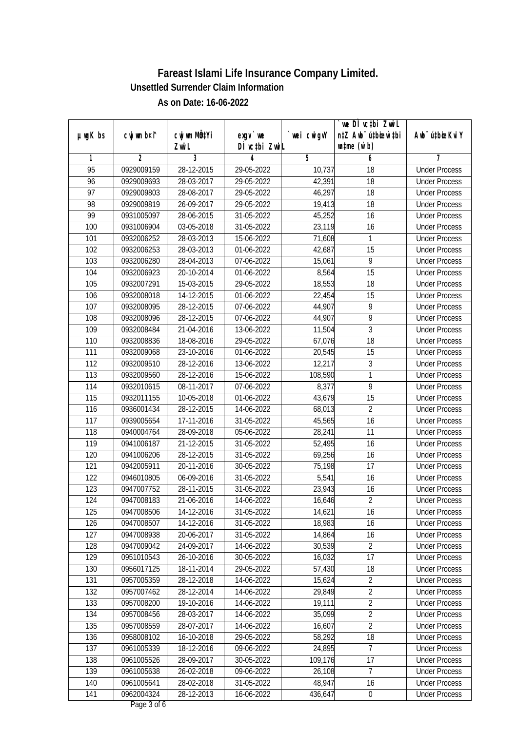|                 |                |                          |               |                | we DI vctbi Zwil                 |                             |
|-----------------|----------------|--------------------------|---------------|----------------|----------------------------------|-----------------------------|
| $µ$ ug $K$ bs   | cwj wm b¤i^    | cwj wm MQtYi             | $exgv$ we     | wei cwigvY     | n‡Z Awb <sup>-</sup> ú‡bioen`‡bi | Awb <sup>-</sup> ú‡bioeKviY |
|                 |                | Zwi L                    | DÌ vctbi ZwiL |                | $\n  untime\n  (u`b)\n$          |                             |
| 1               | $\overline{2}$ | 3                        | 4             | $\overline{5}$ | 6                                | 7                           |
| $\overline{95}$ | 0929009159     | 28-12-2015               | 29-05-2022    | 10,737         | $\overline{18}$                  | <b>Under Process</b>        |
| 96              | 0929009693     | 28-03-2017               | 29-05-2022    | 42,391         | 18                               | <b>Under Process</b>        |
| $\overline{97}$ | 0929009803     | 28-08-2017               | 29-05-2022    | 46,297         | $\overline{18}$                  | <b>Under Process</b>        |
| 98              | 0929009819     | 26-09-2017               | 29-05-2022    | 19,413         | 18                               | <b>Under Process</b>        |
| 99              | 0931005097     | 28-06-2015               | 31-05-2022    | 45,252         | $\overline{16}$                  | <b>Under Process</b>        |
| 100             | 0931006904     | 03-05-2018               | 31-05-2022    | 23,119         | $\overline{16}$                  | <b>Under Process</b>        |
| 101             | 0932006252     | 28-03-2013               | 15-06-2022    | 71,608         | 1                                | <b>Under Process</b>        |
| 102             | 0932006253     | 28-03-2013               | 01-06-2022    | 42,687         | 15                               | <b>Under Process</b>        |
| 103             | 0932006280     | 28-04-2013               | 07-06-2022    | 15,061         | 9                                | <b>Under Process</b>        |
| 104             | 0932006923     | 20-10-2014               | 01-06-2022    | 8,564          | 15                               | <b>Under Process</b>        |
| 105             | 0932007291     | 15-03-2015               | 29-05-2022    | 18,553         | $\overline{18}$                  | <b>Under Process</b>        |
| 106             | 0932008018     | $\overline{1}$ 4-12-2015 | 01-06-2022    | 22,454         | 15                               | <b>Under Process</b>        |
| 107             | 0932008095     | 28-12-2015               | 07-06-2022    | 44,907         | $\overline{9}$                   | <b>Under Process</b>        |
| 108             | 0932008096     | 28-12-2015               | 07-06-2022    | 44,907         | 9                                | <b>Under Process</b>        |
| 109             | 0932008484     | 21-04-2016               | 13-06-2022    | 11,504         | $\mathfrak{Z}$                   | <b>Under Process</b>        |
| 110             | 0932008836     | 18-08-2016               | 29-05-2022    | 67,076         | 18                               | <b>Under Process</b>        |
| 111             | 0932009068     | 23-10-2016               | 01-06-2022    | 20,545         | 15                               | <b>Under Process</b>        |
| 112             | 0932009510     | 28-12-2016               | 13-06-2022    | 12,217         | $\sqrt{3}$                       | <b>Under Process</b>        |
| 113             | 0932009560     | 28-12-2016               | 15-06-2022    | 108,590        | $\mathbf{1}$                     | <b>Under Process</b>        |
| 114             | 0932010615     | 08-11-2017               | 07-06-2022    | 8,377          | 9                                | <b>Under Process</b>        |
| 115             | 0932011155     | 10-05-2018               | 01-06-2022    | 43,679         | 15                               | <b>Under Process</b>        |
| 116             | 0936001434     | 28-12-2015               | 14-06-2022    | 68,013         | $\overline{2}$                   | <b>Under Process</b>        |
| 117             | 0939005654     | 17-11-2016               | 31-05-2022    | 45,565         | 16                               | <b>Under Process</b>        |
| 118             | 0940004764     | 28-09-2018               | 05-06-2022    | 28,241         | 11                               | <b>Under Process</b>        |
| 119             | 0941006187     | 21-12-2015               | 31-05-2022    | 52,495         | 16                               | <b>Under Process</b>        |
| 120             | 0941006206     | 28-12-2015               | 31-05-2022    | 69,256         | 16                               | <b>Under Process</b>        |
| 121             | 0942005911     | 20-11-2016               | 30-05-2022    | 75,198         | 17                               | <b>Under Process</b>        |
| 122             | 0946010805     | 06-09-2016               | 31-05-2022    | 5,541          | 16                               | <b>Under Process</b>        |
| 123             | 0947007752     | 28-11-2015               | 31-05-2022    | 23,943         | 16                               | <b>Under Process</b>        |
| 124             | 0947008183     | 21-06-2016               | 14-06-2022    | 16,646         | $\overline{2}$                   | <b>Under Process</b>        |
| 125             | 0947008506     | 14-12-2016               | 31-05-2022    | 14,621         | 16                               | <b>Under Process</b>        |
| 126             | 0947008507     | 14-12-2016               | 31-05-2022    | 18,983         | 16                               | <b>Under Process</b>        |
| 127             | 0947008938     | 20-06-2017               | 31-05-2022    | 14,864         | 16                               | <b>Under Process</b>        |
| 128             | 0947009042     | 24-09-2017               | 14-06-2022    | 30,539         | $\overline{2}$                   | <b>Under Process</b>        |
| 129             | 0951010543     | 26-10-2016               | 30-05-2022    | 16,032         | 17                               | <b>Under Process</b>        |
| 130             | 0956017125     | 18-11-2014               | 29-05-2022    | 57,430         | 18                               | <b>Under Process</b>        |
| 131             | 0957005359     | 28-12-2018               | 14-06-2022    | 15,624         | $\overline{2}$                   | <b>Under Process</b>        |
| 132             | 0957007462     | 28-12-2014               | 14-06-2022    | 29,849         | $\overline{2}$                   | <b>Under Process</b>        |
| 133             | 0957008200     | 19-10-2016               | 14-06-2022    | 19,111         | $\overline{2}$                   | <b>Under Process</b>        |
| 134             | 0957008456     | 28-03-2017               | 14-06-2022    | 35,099         | $\overline{2}$                   | <b>Under Process</b>        |
| 135             | 0957008559     | 28-07-2017               | 14-06-2022    | 16,607         | $\overline{2}$                   | <b>Under Process</b>        |
| 136             | 0958008102     | 16-10-2018               | 29-05-2022    | 58,292         | 18                               | <b>Under Process</b>        |
| 137             | 0961005339     | 18-12-2016               | 09-06-2022    | 24,895         | $\overline{1}$                   | <b>Under Process</b>        |
| 138             | 0961005526     | 28-09-2017               | 30-05-2022    | 109,176        | 17                               | <b>Under Process</b>        |
| 139             | 0961005638     | 26-02-2018               | 09-06-2022    | 26,108         | 7                                | <b>Under Process</b>        |
| 140             | 0961005641     | 28-02-2018               | 31-05-2022    | 48,947         | 16                               | <b>Under Process</b>        |
| 141             | 0962004324     | 28-12-2013               | 16-06-2022    | 436,647        | $\pmb{0}$                        | <b>Under Process</b>        |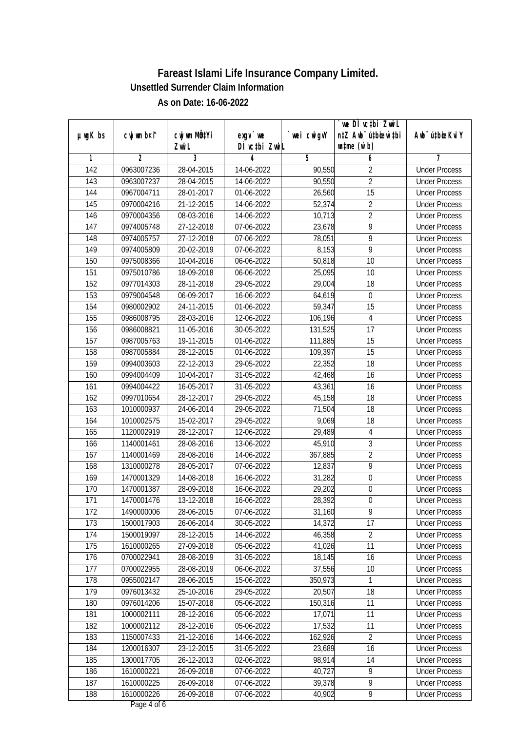|                  |             |                       |                            |             | we DI vctbi ZwiL                                            |                             |
|------------------|-------------|-----------------------|----------------------------|-------------|-------------------------------------------------------------|-----------------------------|
| $µ$ ug $K$ bs    | cwj wm b¤i^ | cwj wm MQtYi<br>Zwi L | $exqu$ we<br>DÌ vctbi ZwiL | `wei cwigvY | n‡Z Awb <sup>-</sup> ú‡bioen`‡bi<br>$\n  untime\n  (u`b)\n$ | Awb <sup>-</sup> ú‡bioeKviY |
| 1                | 2           | 3                     | 4                          | 5           | 6                                                           | 7                           |
| $\overline{142}$ | 0963007236  | 28-04-2015            | 14-06-2022                 | 90,550      | $\overline{2}$                                              | <b>Under Process</b>        |
| 143              | 0963007237  | 28-04-2015            | 14-06-2022                 | 90,550      | $\overline{2}$                                              | <b>Under Process</b>        |
| 144              | 0967004711  | 28-01-2017            | 01-06-2022                 | 26,560      | 15                                                          | <b>Under Process</b>        |
| 145              | 0970004216  | 21-12-2015            | 14-06-2022                 | 52,374      | $\overline{2}$                                              | <b>Under Process</b>        |
| 146              | 0970004356  | 08-03-2016            | 14-06-2022                 | 10,713      | $\overline{2}$                                              | <b>Under Process</b>        |
| $\overline{147}$ | 0974005748  | 27-12-2018            | 07-06-2022                 | 23,678      | 9                                                           | <b>Under Process</b>        |
| 148              | 0974005757  | 27-12-2018            | 07-06-2022                 | 78,051      | 9                                                           | <b>Under Process</b>        |
| 149              | 0974005809  | 20-02-2019            | 07-06-2022                 | 8,153       | $\overline{9}$                                              | <b>Under Process</b>        |
| 150              | 0975008366  | 10-04-2016            | 06-06-2022                 | 50,818      | 10                                                          | <b>Under Process</b>        |
| 151              | 0975010786  | 18-09-2018            | 06-06-2022                 | 25,095      | 10                                                          | <b>Under Process</b>        |
| 152              | 0977014303  | 28-11-2018            | 29-05-2022                 | 29,004      | $\overline{18}$                                             | <b>Under Process</b>        |
| 153              | 0979004548  | 06-09-2017            | 16-06-2022                 | 64,619      | $\boldsymbol{0}$                                            | <b>Under Process</b>        |
| 154              | 0980002902  | 24-11-2015            | 01-06-2022                 |             | $\overline{15}$                                             | <b>Under Process</b>        |
|                  |             |                       |                            | 59,347      |                                                             |                             |
| 155              | 0986008795  | 28-03-2016            | 12-06-2022                 | 106,196     | 4                                                           | <b>Under Process</b>        |
| 156              | 0986008821  | 11-05-2016            | 30-05-2022                 | 131,525     | 17                                                          | <b>Under Process</b>        |
| 157              | 0987005763  | 19-11-2015            | 01-06-2022                 | 111,885     | 15                                                          | <b>Under Process</b>        |
| 158              | 0987005884  | 28-12-2015            | 01-06-2022                 | 109,397     | 15                                                          | <b>Under Process</b>        |
| 159              | 0994003603  | 22-12-2013            | 29-05-2022                 | 22,352      | 18                                                          | <b>Under Process</b>        |
| 160              | 0994004409  | 10-04-2017            | 31-05-2022                 | 42,468      | 16                                                          | <b>Under Process</b>        |
| 161              | 0994004422  | 16-05-2017            | 31-05-2022                 | 43,361      | 16                                                          | <b>Under Process</b>        |
| 162              | 0997010654  | 28-12-2017            | 29-05-2022                 | 45,158      | 18                                                          | <b>Under Process</b>        |
| 163              | 1010000937  | 24-06-2014            | 29-05-2022                 | 71,504      | 18                                                          | <b>Under Process</b>        |
| 164              | 1010002575  | 15-02-2017            | 29-05-2022                 | 9,069       | 18                                                          | <b>Under Process</b>        |
| 165              | 1120002919  | 28-12-2017            | 12-06-2022                 | 29,489      | $\overline{4}$                                              | <b>Under Process</b>        |
| 166              | 1140001461  | 28-08-2016            | 13-06-2022                 | 45,910      | $\mathfrak z$                                               | <b>Under Process</b>        |
| 167              | 1140001469  | 28-08-2016            | 14-06-2022                 | 367,885     | $\overline{2}$                                              | <b>Under Process</b>        |
| 168              | 1310000278  | 28-05-2017            | 07-06-2022                 | 12,837      | 9                                                           | <b>Under Process</b>        |
| 169              | 1470001329  | 14-08-2018            | 16-06-2022                 | 31,282      | 0                                                           | <b>Under Process</b>        |
| 170              | 1470001387  | 28-09-2018            | 16-06-2022                 | 29,202      | $\overline{0}$                                              | <b>Under Process</b>        |
| 171              | 1470001476  | 13-12-2018            | 16-06-2022                 | 28,392      | $\boldsymbol{0}$                                            | <b>Under Process</b>        |
| 172              | 1490000006  | 28-06-2015            | 07-06-2022                 | 31,160      | 9                                                           | <b>Under Process</b>        |
| 173              | 1500017903  | 26-06-2014            | 30-05-2022                 | 14,372      | 17                                                          | <b>Under Process</b>        |
| 174              | 1500019097  | 28-12-2015            | 14-06-2022                 | 46,358      | $\overline{2}$                                              | <b>Under Process</b>        |
| 175              | 1610000265  | 27-09-2018            | 05-06-2022                 | 41,026      | 11                                                          | <b>Under Process</b>        |
| 176              | 0700022941  | 28-08-2019            | 31-05-2022                 | 18,145      | 16                                                          | <b>Under Process</b>        |
| 177              | 0700022955  | 28-08-2019            | 06-06-2022                 | 37,556      | 10                                                          | <b>Under Process</b>        |
| 178              | 0955002147  | 28-06-2015            | 15-06-2022                 | 350,973     | 1                                                           | <b>Under Process</b>        |
| 179              | 0976013432  | 25-10-2016            | 29-05-2022                 | 20,507      | 18                                                          | <b>Under Process</b>        |
| 180              | 0976014206  | 15-07-2018            | 05-06-2022                 | 150,316     | 11                                                          | <b>Under Process</b>        |
| 181              | 1000002111  | 28-12-2016            | 05-06-2022                 | 17,071      | 11                                                          | <b>Under Process</b>        |
| 182              | 1000002112  | 28-12-2016            | 05-06-2022                 | 17,532      | 11                                                          | <b>Under Process</b>        |
| 183              | 1150007433  | 21-12-2016            | 14-06-2022                 | 162,926     | $\overline{2}$                                              | <b>Under Process</b>        |
| 184              | 1200016307  | 23-12-2015            | $31 - 05 - 2022$           | 23,689      | $\overline{16}$                                             | <b>Under Process</b>        |
| 185              | 1300017705  | 26-12-2013            | 02-06-2022                 | 98,914      | 14                                                          | <b>Under Process</b>        |
| 186              | 1610000221  | 26-09-2018            | 07-06-2022                 | 40,727      | $\overline{9}$                                              | <b>Under Process</b>        |
| 187              | 1610000225  | 26-09-2018            | 07-06-2022                 | 39,378      | $\overline{9}$                                              | <b>Under Process</b>        |
| 188              | 1610000226  | 26-09-2018            | 07-06-2022                 | 40,902      | $\overline{9}$                                              | <b>Under Process</b>        |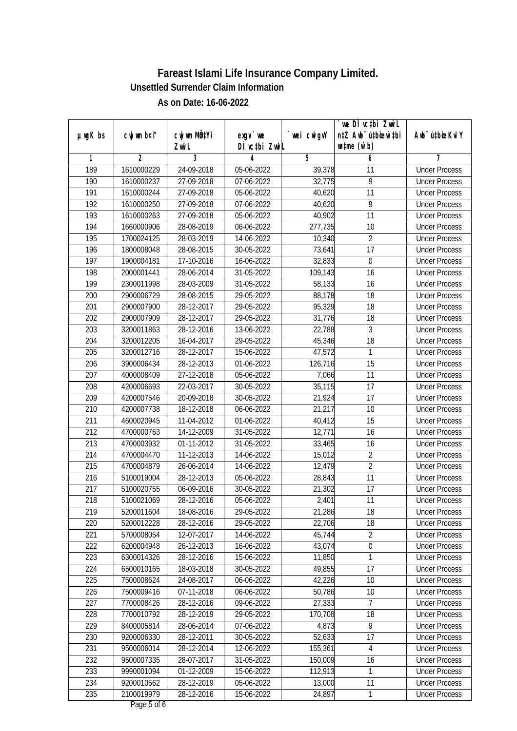|               |                |                           |                  |             | we DI vctbi Zwil                 |                             |
|---------------|----------------|---------------------------|------------------|-------------|----------------------------------|-----------------------------|
| $µ$ ug $K$ bs | cwj wm b¤i^    | cwj wm MQ <sup>1</sup> Yi | $exqu$ we        | `wei cwigvY | n‡Z Awb <sup>-</sup> ú‡bioar`‡bi | Awb <sup>-</sup> ú‡bioeKviY |
|               |                | Zwi L                     | DÌ vctbi ZwiL    |             | $\n  untime\n  (u`b)\n$          |                             |
| 1             | $\overline{2}$ | 3                         | 4                | 5           | 6                                | 7                           |
| 189           | 1610000229     | 24-09-2018                | 05-06-2022       | 39,378      | 11                               | <b>Under Process</b>        |
| 190           | 1610000237     | 27-09-2018                | 07-06-2022       | 32,775      | 9                                | <b>Under Process</b>        |
| 191           | 1610000244     | 27-09-2018                | 05-06-2022       | 40,620      | $\overline{11}$                  | <b>Under Process</b>        |
| 192           | 1610000250     | 27-09-2018                | 07-06-2022       | 40,620      | 9                                | <b>Under Process</b>        |
| 193           | 1610000263     | 27-09-2018                | 05-06-2022       | 40,902      | $\overline{11}$                  | <b>Under Process</b>        |
| 194           | 1660000906     | 28-08-2019                | $06 - 06 - 2022$ | 277,735     | $\overline{10}$                  | <b>Under Process</b>        |
| 195           | 1700024125     | 28-03-2019                | 14-06-2022       | 10,340      | $\overline{2}$                   | <b>Under Process</b>        |
| 196           | 1800008048     | 28-08-2015                | 30-05-2022       | 73,641      | $\overline{17}$                  | <b>Under Process</b>        |
| 197           | 1900004181     | 17-10-2016                | 16-06-2022       | 32,833      | $\pmb{0}$                        | <b>Under Process</b>        |
| 198           | 2000001441     | 28-06-2014                | 31-05-2022       | 109,143     | 16                               | <b>Under Process</b>        |
| 199           | 2300011998     | 28-03-2009                | 31-05-2022       | 58,133      | $\overline{16}$                  | <b>Under Process</b>        |
| 200           | 2900006729     | 28-08-2015                | 29-05-2022       | 88,178      | 18                               | <b>Under Process</b>        |
| 201           | 2900007900     | 28-12-2017                | 29-05-2022       | 95,329      | $\overline{18}$                  | <b>Under Process</b>        |
| 202           | 2900007909     | 28-12-2017                | 29-05-2022       | 31,776      | 18                               | <b>Under Process</b>        |
| 203           | 3200011863     | 28-12-2016                | 13-06-2022       | 22,788      | 3                                | <b>Under Process</b>        |
| 204           | 3200012205     | 16-04-2017                | 29-05-2022       | 45,346      | 18                               | <b>Under Process</b>        |
| 205           | 3200012716     | 28-12-2017                | 15-06-2022       | 47,572      | 1                                | <b>Under Process</b>        |
| 206           | 3900006434     | 28-12-2013                | 01-06-2022       | 126,716     | 15                               | <b>Under Process</b>        |
| 207           | 4000008409     | 27-12-2018                | 05-06-2022       | 7,066       | 11                               | <b>Under Process</b>        |
| 208           | 4200006693     | 22-03-2017                | 30-05-2022       | 35,115      | 17                               | <b>Under Process</b>        |
| 209           | 4200007546     | 20-09-2018                | 30-05-2022       | 21,924      | $\overline{17}$                  | <b>Under Process</b>        |
| 210           | 4200007738     | 18-12-2018                | 06-06-2022       | 21,217      | 10                               | <b>Under Process</b>        |
| 211           | 4600020945     | 11-04-2012                | 01-06-2022       | 40,412      | 15                               | <b>Under Process</b>        |
| 212           | 4700000763     | 14-12-2009                | 31-05-2022       | 12,771      | 16                               | <b>Under Process</b>        |
| 213           | 4700003932     | 01-11-2012                | 31-05-2022       | 33,465      | 16                               | <b>Under Process</b>        |
| 214           | 4700004470     | 11-12-2013                | 14-06-2022       | 15,012      | $\overline{2}$                   | <b>Under Process</b>        |
| 215           | 4700004879     | 26-06-2014                | 14-06-2022       | 12,479      | $\overline{2}$                   | <b>Under Process</b>        |
| 216           | 5100019004     | 28-12-2013                | 05-06-2022       | 28,843      | 11                               | <b>Under Process</b>        |
| 217           | 5100020755     | 06-09-2016                | 30-05-2022       | 21,302      | 17                               | <b>Under Process</b>        |
| 218           | 5100021069     | 28-12-2016                | 05-06-2022       | 2,401       | 11                               | <b>Under Process</b>        |
| 219           | 5200011604     | 18-08-2016                | 29-05-2022       | 21,286      | 18                               | <b>Under Process</b>        |
| 220           | 5200012228     | 28-12-2016                | 29-05-2022       | 22,706      | 18                               | <b>Under Process</b>        |
| 221           | 5700008054     | 12-07-2017                | 14-06-2022       | 45,744      | $\overline{2}$                   | <b>Under Process</b>        |
| 222           | 6200004948     | 26-12-2013                | 16-06-2022       | 43,074      | $\overline{0}$                   | <b>Under Process</b>        |
| 223           | 6300014326     | 28-12-2016                | 15-06-2022       | 11,850      | 1                                | <b>Under Process</b>        |
| 224           | 6500010165     | 18-03-2018                | 30-05-2022       | 49,855      | 17                               | <b>Under Process</b>        |
| 225           | 7500008624     | 24-08-2017                | 06-06-2022       | 42,226      | 10                               | <b>Under Process</b>        |
| 226           | 7500009416     | 07-11-2018                | 06-06-2022       | 50,786      | 10                               | <b>Under Process</b>        |
| 227           | 7700008426     | 28-12-2016                | 09-06-2022       | 27,333      | 7                                | <b>Under Process</b>        |
| 228           | 7700010792     | 28-12-2019                | 29-05-2022       | 170,708     | 18                               | <b>Under Process</b>        |
| 229           | 8400005814     | 28-06-2014                | 07-06-2022       | 4,873       | 9                                | <b>Under Process</b>        |
| 230           | 9200006330     | 28-12-2011                | 30-05-2022       | 52,633      | 17                               | <b>Under Process</b>        |
| 231           | 9500006014     | 28-12-2014                | 12-06-2022       | 155,361     | 4                                | <b>Under Process</b>        |
| 232           | 9500007335     | 28-07-2017                | 31-05-2022       | 150,009     | 16                               | <b>Under Process</b>        |
| 233           | 9990001094     | 01-12-2009                | 15-06-2022       | 112,913     | 1                                | <b>Under Process</b>        |
| 234           | 9200010562     | 28-12-2019                | 05-06-2022       | 13,000      | 11                               | <b>Under Process</b>        |
| 235           | 2100019979     | 28-12-2016                | 15-06-2022       | 24,897      | 1                                | <b>Under Process</b>        |